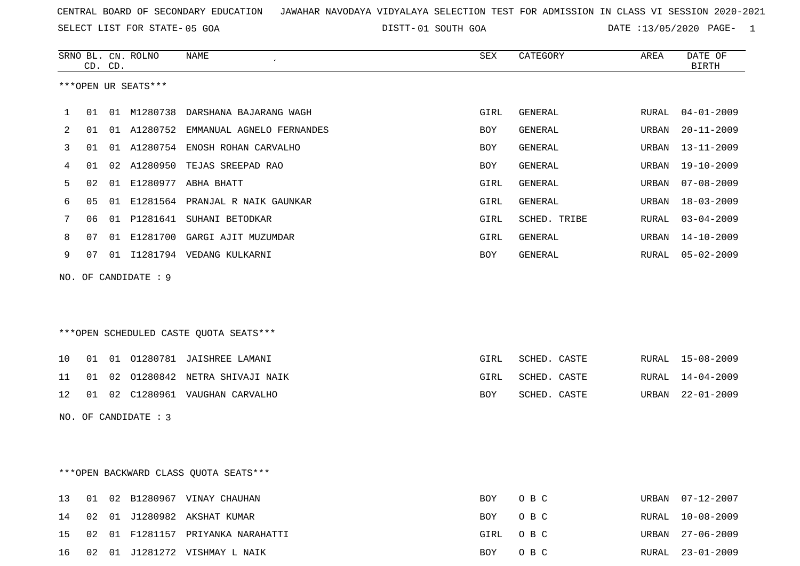SELECT LIST FOR STATE- DISTT- 05 GOA

01 SOUTH GOA DATE :13/05/2020 PAGE- 1

|    |                                        | CD. CD. | SRNO BL. CN. ROLNO   | NAME                                   | SEX        | CATEGORY     | AREA  | DATE OF<br><b>BIRTH</b> |  |
|----|----------------------------------------|---------|----------------------|----------------------------------------|------------|--------------|-------|-------------------------|--|
|    |                                        |         | ***OPEN UR SEATS***  |                                        |            |              |       |                         |  |
| 1  | 01                                     |         |                      | 01 M1280738 DARSHANA BAJARANG WAGH     | GIRL       | GENERAL      | RURAL | $04 - 01 - 2009$        |  |
| 2  | 01                                     |         |                      | 01 A1280752 EMMANUAL AGNELO FERNANDES  | BOY        | GENERAL      | URBAN | $20 - 11 - 2009$        |  |
| 3  | 01                                     |         |                      | 01 A1280754 ENOSH ROHAN CARVALHO       | BOY        | GENERAL      | URBAN | $13 - 11 - 2009$        |  |
| 4  | 01                                     |         |                      | 02 A1280950 TEJAS SREEPAD RAO          | BOY        | GENERAL      | URBAN | $19 - 10 - 2009$        |  |
| 5  | 02                                     |         |                      | 01 E1280977 ABHA BHATT                 | GIRL       | GENERAL      | URBAN | $07 - 08 - 2009$        |  |
| 6  | 05                                     |         |                      | 01 E1281564 PRANJAL R NAIK GAUNKAR     | GIRL       | GENERAL      | URBAN | $18 - 03 - 2009$        |  |
| 7  | 06                                     |         |                      | 01 P1281641 SUHANI BETODKAR            | GIRL       | SCHED. TRIBE | RURAL | $03 - 04 - 2009$        |  |
| 8  | 07                                     |         |                      | 01 E1281700 GARGI AJIT MUZUMDAR        | GIRL       | GENERAL      | URBAN | $14 - 10 - 2009$        |  |
| 9  | 07                                     |         |                      | 01 I1281794 VEDANG KULKARNI            | BOY        | GENERAL      | RURAL | $05 - 02 - 2009$        |  |
|    |                                        |         | NO. OF CANDIDATE : 9 |                                        |            |              |       |                         |  |
|    |                                        |         |                      |                                        |            |              |       |                         |  |
|    |                                        |         |                      |                                        |            |              |       |                         |  |
|    |                                        |         |                      | ***OPEN SCHEDULED CASTE QUOTA SEATS*** |            |              |       |                         |  |
| 10 | 01                                     |         |                      | 01 01280781 JAISHREE LAMANI            | GIRL       | SCHED. CASTE | RURAL | $15 - 08 - 2009$        |  |
| 11 | 01                                     | 02      |                      | 01280842 NETRA SHIVAJI NAIK            | GIRL       | SCHED. CASTE | RURAL | $14 - 04 - 2009$        |  |
| 12 | 01                                     |         |                      | 02 C1280961 VAUGHAN CARVALHO           | BOY        | SCHED. CASTE | URBAN | $22 - 01 - 2009$        |  |
|    |                                        |         | NO. OF CANDIDATE : 3 |                                        |            |              |       |                         |  |
|    |                                        |         |                      |                                        |            |              |       |                         |  |
|    |                                        |         |                      |                                        |            |              |       |                         |  |
|    | *** OPEN BACKWARD CLASS QUOTA SEATS*** |         |                      |                                        |            |              |       |                         |  |
| 13 | 01                                     |         |                      | 02 B1280967 VINAY CHAUHAN              | <b>BOY</b> | O B C        | URBAN | $07 - 12 - 2007$        |  |

|  |  | 14 02 01 J1280982 AKSHAT KUMAR       | BOY OBC  | RURAL 10-08-2009 |
|--|--|--------------------------------------|----------|------------------|
|  |  | 15 02 01 F1281157 PRIYANKA NARAHATTI | GIRL OBC | URBAN 27-06-2009 |
|  |  | 16 02 01 J1281272 VISHMAY L NAIK     | BOY OBC  | RURAL 23-01-2009 |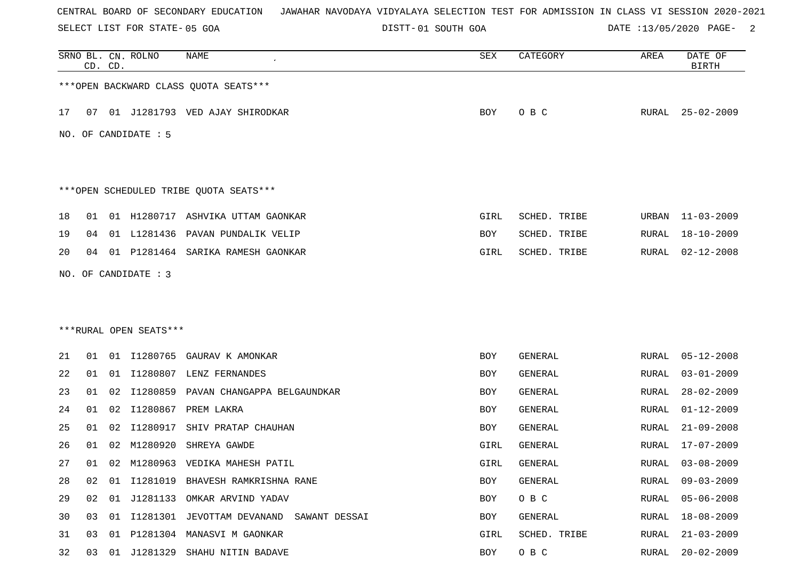SELECT LIST FOR STATE- DISTT- 05 GOA

01 SOUTH GOA DATE :13/05/2020 PAGE- 2

|    |    | CD. CD. | SRNO BL. CN. ROLNO     | NAME                                        | SEX        | CATEGORY       | AREA         | DATE OF<br><b>BIRTH</b> |
|----|----|---------|------------------------|---------------------------------------------|------------|----------------|--------------|-------------------------|
|    |    |         |                        | *** OPEN BACKWARD CLASS QUOTA SEATS***      |            |                |              |                         |
| 17 |    |         |                        | 07 01 J1281793 VED AJAY SHIRODKAR           | BOY        | O B C          | RURAL        | $25 - 02 - 2009$        |
|    |    |         | NO. OF CANDIDATE : 5   |                                             |            |                |              |                         |
|    |    |         |                        |                                             |            |                |              |                         |
|    |    |         |                        | ***OPEN SCHEDULED TRIBE QUOTA SEATS***      |            |                |              |                         |
| 18 | 01 |         |                        | 01 H1280717 ASHVIKA UTTAM GAONKAR           | GIRL       | SCHED. TRIBE   | URBAN        | 11-03-2009              |
| 19 | 04 |         |                        | 01 L1281436 PAVAN PUNDALIK VELIP            | BOY        | SCHED. TRIBE   | <b>RURAL</b> | $18 - 10 - 2009$        |
| 20 | 04 |         |                        | 01 P1281464 SARIKA RAMESH GAONKAR           | GIRL       | SCHED. TRIBE   | RURAL        | $02 - 12 - 2008$        |
|    |    |         | NO. OF CANDIDATE : 3   |                                             |            |                |              |                         |
|    |    |         |                        |                                             |            |                |              |                         |
|    |    |         |                        |                                             |            |                |              |                         |
|    |    |         | ***RURAL OPEN SEATS*** |                                             |            |                |              |                         |
| 21 | 01 |         | 01 11280765            | GAURAV K AMONKAR                            | BOY        | GENERAL        | RURAL        | $05 - 12 - 2008$        |
| 22 | 01 |         |                        | 01 I1280807 LENZ FERNANDES                  | BOY        | <b>GENERAL</b> | RURAL        | $03 - 01 - 2009$        |
| 23 | 01 | 02      | I1280859               | PAVAN CHANGAPPA BELGAUNDKAR                 | BOY        | <b>GENERAL</b> | <b>RURAL</b> | $28 - 02 - 2009$        |
| 24 | 01 | 02      | I1280867               | PREM LAKRA                                  | BOY        | <b>GENERAL</b> | RURAL        | $01 - 12 - 2009$        |
| 25 | 01 | 02      | I1280917               | SHIV PRATAP CHAUHAN                         | BOY        | <b>GENERAL</b> | RURAL        | $21 - 09 - 2008$        |
| 26 | 01 | 02      | M1280920               | SHREYA GAWDE                                | GIRL       | GENERAL        | RURAL        | $17 - 07 - 2009$        |
| 27 | 01 |         |                        | 02 M1280963 VEDIKA MAHESH PATIL             | GIRL       | GENERAL        | RURAL        | $03 - 08 - 2009$        |
| 28 | 02 | 01      |                        | I1281019 BHAVESH RAMKRISHNA RANE            | <b>BOY</b> | GENERAL        | RURAL        | $09 - 03 - 2009$        |
| 29 | 02 |         |                        | 01 J1281133 OMKAR ARVIND YADAV              | BOY        | O B C          | <b>RURAL</b> | $05 - 06 - 2008$        |
| 30 | 03 |         |                        | 01 I1281301 JEVOTTAM DEVANAND SAWANT DESSAI | BOY        | GENERAL        | RURAL        | 18-08-2009              |
| 31 | 03 | 01      |                        | P1281304 MANASVI M GAONKAR                  | GIRL       | SCHED. TRIBE   | <b>RURAL</b> | $21 - 03 - 2009$        |
| 32 | 03 |         |                        | 01 J1281329 SHAHU NITIN BADAVE              | BOY        | O B C          | <b>RURAL</b> | $20 - 02 - 2009$        |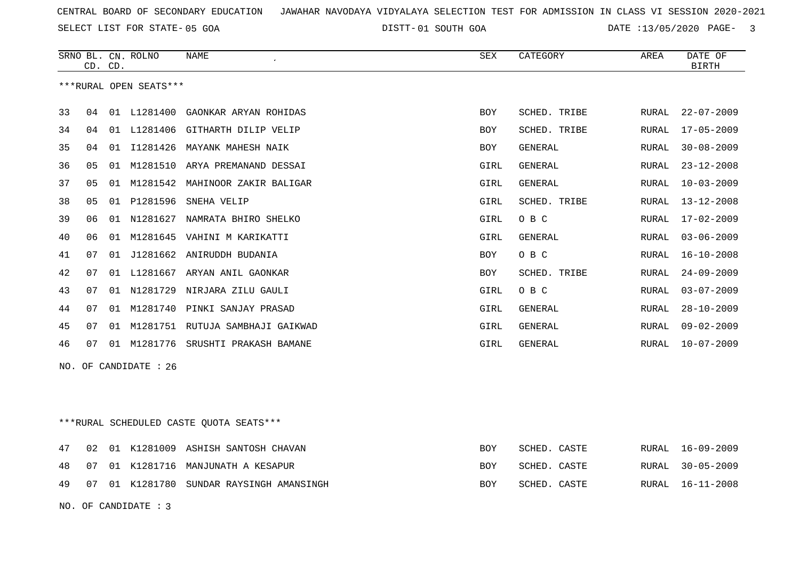SELECT LIST FOR STATE- DISTT- 05 GOA

01 SOUTH GOA DATE :13/05/2020 PAGE- 3

|                                         |    | CD. CD. | SRNO BL. CN. ROLNO     | <b>NAME</b>                          | <b>SEX</b> | CATEGORY       | AREA         | DATE OF<br><b>BIRTH</b>   |
|-----------------------------------------|----|---------|------------------------|--------------------------------------|------------|----------------|--------------|---------------------------|
|                                         |    |         | ***RURAL OPEN SEATS*** |                                      |            |                |              |                           |
| 33                                      | 04 |         | 01 L1281400            | GAONKAR ARYAN ROHIDAS                | BOY        | SCHED. TRIBE   | RURAL        | $22 - 07 - 2009$          |
| 34                                      | 04 |         |                        | 01 L1281406 GITHARTH DILIP VELIP     | <b>BOY</b> | SCHED. TRIBE   | RURAL        | $17 - 05 - 2009$          |
| 35                                      | 04 |         |                        | 01 I1281426 MAYANK MAHESH NAIK       | BOY        | GENERAL        | RURAL        | $30 - 08 - 2009$          |
| 36                                      | 05 | 01      | M1281510               | ARYA PREMANAND DESSAI                | GIRL       | GENERAL        | <b>RURAL</b> | $23 - 12 - 2008$          |
| 37                                      | 05 |         |                        | 01 M1281542 MAHINOOR ZAKIR BALIGAR   | GIRL       | <b>GENERAL</b> | RURAL        | $10 - 03 - 2009$          |
| 38                                      | 05 |         | 01 P1281596            | SNEHA VELIP                          | GIRL       | SCHED. TRIBE   | RURAL        | $13 - 12 - 2008$          |
| 39                                      | 06 | 01      | N1281627               | NAMRATA BHIRO SHELKO                 | GIRL       | O B C          | <b>RURAL</b> | $17 - 02 - 2009$          |
| 40                                      | 06 |         |                        | 01 M1281645 VAHINI M KARIKATTI       | GIRL       | GENERAL        | RURAL        | $03 - 06 - 2009$          |
| 41                                      | 07 | 01      |                        | J1281662 ANIRUDDH BUDANIA            | BOY        | O B C          | <b>RURAL</b> | $16 - 10 - 2008$          |
| 42                                      | 07 |         |                        | 01 L1281667 ARYAN ANIL GAONKAR       | <b>BOY</b> | SCHED. TRIBE   | RURAL        | $24 - 09 - 2009$          |
| 43                                      | 07 |         |                        | 01 N1281729 NIRJARA ZILU GAULI       | GIRL       | O B C          | <b>RURAL</b> | $03 - 07 - 2009$          |
| 44                                      | 07 |         |                        | 01 M1281740 PINKI SANJAY PRASAD      | GIRL       | <b>GENERAL</b> | <b>RURAL</b> | $28 - 10 - 2009$          |
| 45                                      | 07 | 01      |                        | M1281751 RUTUJA SAMBHAJI GAIKWAD     | GIRL       | <b>GENERAL</b> | RURAL        | $09 - 02 - 2009$          |
| 46                                      | 07 |         |                        | 01 M1281776 SRUSHTI PRAKASH BAMANE   | GIRL       | GENERAL        | <b>RURAL</b> | $10 - 07 - 2009$          |
|                                         |    |         | NO. OF CANDIDATE : 26  |                                      |            |                |              |                           |
|                                         |    |         |                        |                                      |            |                |              |                           |
|                                         |    |         |                        |                                      |            |                |              |                           |
| ***RURAL SCHEDULED CASTE OUOTA SEATS*** |    |         |                        |                                      |            |                |              |                           |
| 47                                      |    |         |                        | 02 01 K1281009 ACHTCH CANTOCH CHAUAN | $P\cap V$  |                |              | <b>PITPAT.</b> 16-09-2009 |

|  |  | 47 UZ UI NIZOIUUY ASHISH SANIUSH CHAVAN     | BUI        | SUNLU. UASIL | KUKAL 10-09-4009 |
|--|--|---------------------------------------------|------------|--------------|------------------|
|  |  | 48 07 01 K1281716 MANJUNATH A KESAPUR       | BOY        | SCHED. CASTE | RURAL 30-05-2009 |
|  |  | 49 07 01 K1281780 SUNDAR RAYSINGH AMANSINGH | <b>BOY</b> | SCHED. CASTE | RURAL 16-11-2008 |

NO. OF CANDIDATE : 3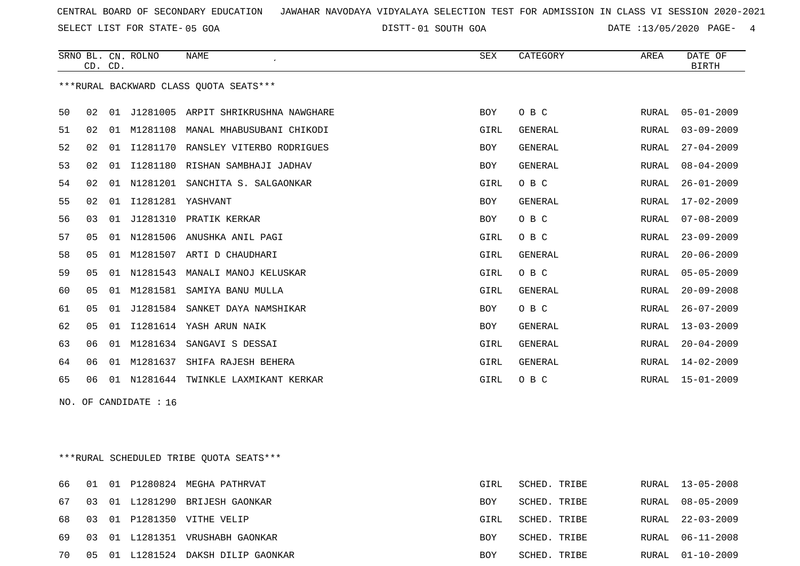SELECT LIST FOR STATE- DISTT- 05 GOA

01 SOUTH GOA DATE :13/05/2020 PAGE- 4

|    |                | CD. CD. | SRNO BL. CN. ROLNO   | <b>NAME</b>                            | SEX        | CATEGORY       | AREA  | DATE OF<br><b>BIRTH</b> |
|----|----------------|---------|----------------------|----------------------------------------|------------|----------------|-------|-------------------------|
|    |                |         |                      | ***RURAL BACKWARD CLASS OUOTA SEATS*** |            |                |       |                         |
| 50 | 02             |         |                      | 01 J1281005 ARPIT SHRIKRUSHNA NAWGHARE | BOY        | O B C          | RURAL | $05 - 01 - 2009$        |
| 51 | 02             | 01      | M1281108             | MANAL MHABUSUBANI CHIKODI              | GIRL       | <b>GENERAL</b> | RURAL | $03 - 09 - 2009$        |
| 52 | 02             | 01      | I1281170             | RANSLEY VITERBO RODRIGUES              | <b>BOY</b> | <b>GENERAL</b> | RURAL | $27 - 04 - 2009$        |
| 53 | 02             | 01      |                      | I1281180 RISHAN SAMBHAJI JADHAV        | <b>BOY</b> | <b>GENERAL</b> | RURAL | $08 - 04 - 2009$        |
| 54 | 02             | 01      | N1281201             | SANCHITA S. SALGAONKAR                 | GIRL       | O B C          | RURAL | $26 - 01 - 2009$        |
| 55 | 02             |         | 01 I1281281 YASHVANT |                                        | <b>BOY</b> | GENERAL        | RURAL | $17 - 02 - 2009$        |
| 56 | 03             | 01      | J1281310             | PRATIK KERKAR                          | <b>BOY</b> | O B C          | RURAL | $07 - 08 - 2009$        |
| 57 | 05             | 01      | N1281506             | ANUSHKA ANIL PAGI                      | GIRL       | O B C          | RURAL | $23 - 09 - 2009$        |
| 58 | 05             | 01      | M1281507             | ARTI D CHAUDHARI                       | GIRL       | <b>GENERAL</b> | RURAL | $20 - 06 - 2009$        |
| 59 | 0 <sub>5</sub> | 01      | N1281543             | MANALI MANOJ KELUSKAR                  | GIRL       | O B C          | RURAL | $05 - 05 - 2009$        |
| 60 | 0 <sub>5</sub> | 01      | M1281581             | SAMIYA BANU MULLA                      | GIRL       | <b>GENERAL</b> | RURAL | $20 - 09 - 2008$        |
| 61 | 05             | 01      | J1281584             | SANKET DAYA NAMSHIKAR                  | <b>BOY</b> | O B C          | RURAL | $26 - 07 - 2009$        |
| 62 | 05             | 01      | I1281614             | YASH ARUN NAIK                         | <b>BOY</b> | <b>GENERAL</b> | RURAL | $13 - 03 - 2009$        |
| 63 | 06             | 01      | M1281634             | SANGAVI S DESSAI                       | GIRL       | <b>GENERAL</b> | RURAL | $20 - 04 - 2009$        |
| 64 | 06             | 01      | M1281637             | SHIFA RAJESH BEHERA                    | GIRL       | <b>GENERAL</b> | RURAL | $14 - 02 - 2009$        |
| 65 | 06             | 01      | N1281644             | TWINKLE LAXMIKANT KERKAR               | GIRL       | O B C          | RURAL | $15 - 01 - 2009$        |

NO. OF CANDIDATE : 16

\*\*\*RURAL SCHEDULED TRIBE QUOTA SEATS\*\*\*

|       |  | 66 01 01 P1280824 MEGHA PATHRVAT   | GIRL       | SCHED. TRIBE | RURAL 13-05-2008 |
|-------|--|------------------------------------|------------|--------------|------------------|
| 67 03 |  | 01 L1281290 BRIJESH GAONKAR        | BOY        | SCHED. TRIBE | RURAL 08-05-2009 |
|       |  | 68 03 01 P1281350 VITHE VELIP      | GIRL       | SCHED. TRIBE | RURAL 22-03-2009 |
|       |  | 69 03 01 L1281351 VRUSHABH GAONKAR | <b>BOY</b> | SCHED. TRIBE | RURAL 06-11-2008 |
| 70    |  | 05 01 L1281524 DAKSH DILIP GAONKAR | <b>BOY</b> | SCHED. TRIBE | RURAL 01-10-2009 |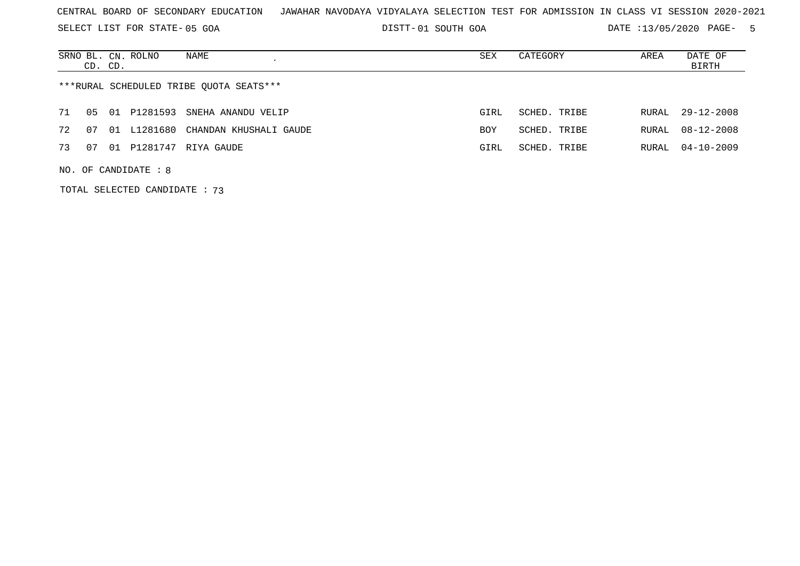SELECT LIST FOR STATE- DISTT- 05 GOA

01 SOUTH GOA DATE :13/05/2020 PAGE- 5

|    | CD. CD.                                 |       | SRNO BL. CN. ROLNO | NAME                            | SEX        | CATEGORY     | AREA  | DATE OF<br>BIRTH |  |  |  |
|----|-----------------------------------------|-------|--------------------|---------------------------------|------------|--------------|-------|------------------|--|--|--|
|    | ***RURAL SCHEDULED TRIBE OUOTA SEATS*** |       |                    |                                 |            |              |       |                  |  |  |  |
| 71 | 05                                      | . N 1 |                    | P1281593 SNEHA ANANDU VELIP     | GIRL       | SCHED. TRIBE | RURAL | $29 - 12 - 2008$ |  |  |  |
| 72 | . በ 7                                   | 01    |                    | L1281680 CHANDAN KHUSHALI GAUDE | <b>BOY</b> | SCHED. TRIBE | RURAL | $08 - 12 - 2008$ |  |  |  |
| 73 | 07                                      |       | 01 P1281747        | RIYA GAUDE                      | GIRL       | SCHED. TRIBE | RURAL | $04 - 10 - 2009$ |  |  |  |
|    | NO. OF CANDIDATE : $8$                  |       |                    |                                 |            |              |       |                  |  |  |  |

TOTAL SELECTED CANDIDATE : 73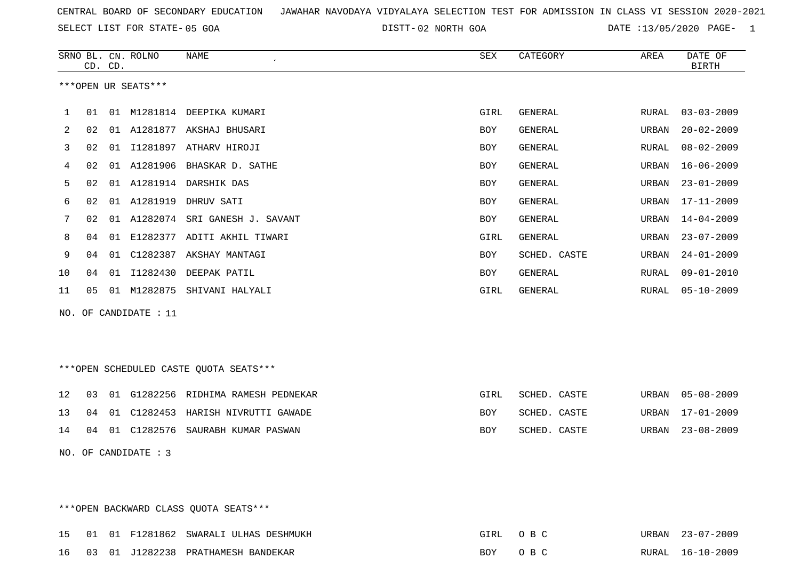SELECT LIST FOR STATE- DISTT- 05 GOA

02 NORTH GOA DATE :13/05/2020 PAGE- 1

|    |    | CD. CD. | SRNO BL. CN. ROLNO    | NAME                                   | SEX        | CATEGORY       | AREA  | DATE OF<br><b>BIRTH</b> |
|----|----|---------|-----------------------|----------------------------------------|------------|----------------|-------|-------------------------|
|    |    |         | ***OPEN UR SEATS***   |                                        |            |                |       |                         |
|    |    |         |                       |                                        |            |                |       |                         |
| 1  | 01 |         |                       | 01 M1281814 DEEPIKA KUMARI             | GIRL       | GENERAL        | RURAL | $03 - 03 - 2009$        |
| 2  | 02 |         |                       | 01 A1281877 AKSHAJ BHUSARI             | <b>BOY</b> | GENERAL        | URBAN | $20 - 02 - 2009$        |
| 3  | 02 |         |                       | 01 I1281897 ATHARV HIROJI              | <b>BOY</b> | <b>GENERAL</b> | RURAL | $08 - 02 - 2009$        |
| 4  | 02 |         |                       | 01 A1281906 BHASKAR D. SATHE           | <b>BOY</b> | GENERAL        | URBAN | $16 - 06 - 2009$        |
| 5  | 02 |         |                       | 01 A1281914 DARSHIK DAS                | <b>BOY</b> | <b>GENERAL</b> | URBAN | $23 - 01 - 2009$        |
| 6  | 02 |         |                       | 01 A1281919 DHRUV SATI                 | <b>BOY</b> | <b>GENERAL</b> | URBAN | $17 - 11 - 2009$        |
| 7  | 02 |         |                       | 01 A1282074 SRI GANESH J. SAVANT       | <b>BOY</b> | <b>GENERAL</b> | URBAN | $14 - 04 - 2009$        |
| 8  | 04 |         |                       | 01 E1282377 ADITI AKHIL TIWARI         | GIRL       | <b>GENERAL</b> | URBAN | $23 - 07 - 2009$        |
| 9  | 04 | 01      |                       | C1282387 AKSHAY MANTAGI                | <b>BOY</b> | SCHED. CASTE   | URBAN | $24 - 01 - 2009$        |
| 10 | 04 |         |                       | 01 I1282430 DEEPAK PATIL               | <b>BOY</b> | GENERAL        | RURAL | $09 - 01 - 2010$        |
| 11 | 05 |         |                       | 01 M1282875 SHIVANI HALYALI            | GIRL       | GENERAL        | RURAL | $05 - 10 - 2009$        |
|    |    |         | NO. OF CANDIDATE : 11 |                                        |            |                |       |                         |
|    |    |         |                       |                                        |            |                |       |                         |
|    |    |         |                       |                                        |            |                |       |                         |
|    |    |         |                       | ***OPEN SCHEDULED CASTE QUOTA SEATS*** |            |                |       |                         |
| 12 | 03 |         |                       | 01 G1282256 RIDHIMA RAMESH PEDNEKAR    | GIRL       | SCHED. CASTE   | URBAN | $05 - 08 - 2009$        |
| 13 | 04 | 01      |                       | C1282453 HARISH NIVRUTTI GAWADE        | <b>BOY</b> | SCHED. CASTE   | URBAN | $17 - 01 - 2009$        |
| 14 | 04 | 01      |                       | C1282576 SAURABH KUMAR PASWAN          | <b>BOY</b> | SCHED. CASTE   | URBAN | $23 - 08 - 2009$        |
|    |    |         | NO. OF CANDIDATE : 3  |                                        |            |                |       |                         |

\*\*\*OPEN BACKWARD CLASS QUOTA SEATS\*\*\*

|  |  | 15 01 01 F1281862 SWARALI ULHAS DESHMUKH | GIRL OBC | URBAN 23-07-2009 |
|--|--|------------------------------------------|----------|------------------|
|  |  | 16 03 01 J1282238 PRATHAMESH BANDEKAR    | BOY OBC  | RURAL 16-10-2009 |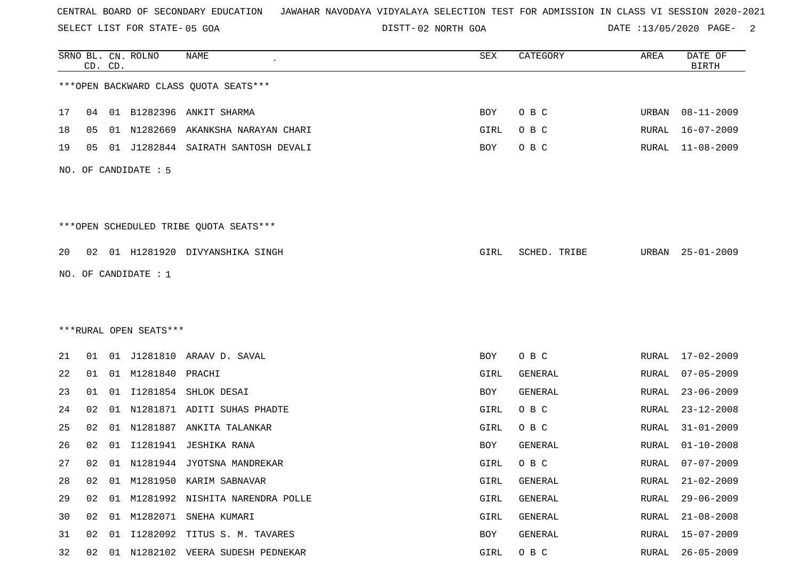SELECT LIST FOR STATE- DISTT- 05 GOA

02 NORTH GOA DATE :13/05/2020 PAGE- 2

|    |    | CD. CD. | SRNO BL. CN. ROLNO     | <b>NAME</b>                            | <b>SEX</b> | CATEGORY       | AREA  | DATE OF<br><b>BIRTH</b> |
|----|----|---------|------------------------|----------------------------------------|------------|----------------|-------|-------------------------|
|    |    |         |                        | *** OPEN BACKWARD CLASS QUOTA SEATS*** |            |                |       |                         |
| 17 |    |         |                        | 04 01 B1282396 ANKIT SHARMA            | BOY        | O B C          | URBAN | 08-11-2009              |
| 18 | 05 |         | 01 N1282669            | AKANKSHA NARAYAN CHARI                 | GIRL       | O B C          | RURAL | $16 - 07 - 2009$        |
| 19 | 05 |         |                        | 01 J1282844 SAIRATH SANTOSH DEVALI     | BOY        | O B C          | RURAL | $11 - 08 - 2009$        |
|    |    |         | NO. OF CANDIDATE $: 5$ |                                        |            |                |       |                         |
|    |    |         |                        |                                        |            |                |       |                         |
|    |    |         |                        | ***OPEN SCHEDULED TRIBE QUOTA SEATS*** |            |                |       |                         |
| 20 |    |         |                        | 02 01 H1281920 DIVYANSHIKA SINGH       | GIRL       | SCHED. TRIBE   | URBAN | $25 - 01 - 2009$        |
|    |    |         | NO. OF CANDIDATE $: 1$ |                                        |            |                |       |                         |
|    |    |         |                        |                                        |            |                |       |                         |
|    |    |         |                        |                                        |            |                |       |                         |
|    |    |         | ***RURAL OPEN SEATS*** |                                        |            |                |       |                         |
| 21 |    |         |                        | 01  01  J1281810  ARAAV  D. SAVAL      | BOY        | O B C          | RURAL | $17 - 02 - 2009$        |
| 22 | 01 |         | 01 M1281840 PRACHI     |                                        | GIRL       | GENERAL        | RURAL | $07 - 05 - 2009$        |
| 23 | 01 |         |                        | 01 I1281854 SHLOK DESAI                | BOY        | GENERAL        | RURAL | $23 - 06 - 2009$        |
| 24 | 02 |         |                        | 01 N1281871 ADITI SUHAS PHADTE         | GIRL       | O B C          | RURAL | $23 - 12 - 2008$        |
| 25 | 02 |         |                        | 01 N1281887 ANKITA TALANKAR            | GIRL       | O B C          | RURAL | $31 - 01 - 2009$        |
| 26 | 02 | 01      |                        | I1281941 JESHIKA RANA                  | BOY        | <b>GENERAL</b> | RURAL | $01 - 10 - 2008$        |
| 27 |    |         |                        | 02 01 N1281944 JYOTSNA MANDREKAR       | GIRL       | O B C          | RURAL | $07 - 07 - 2009$        |
| 28 | 02 |         |                        | 01 M1281950 KARIM SABNAVAR             | GIRL       | GENERAL        | RURAL | $21 - 02 - 2009$        |
| 29 |    |         |                        | 02 01 M1281992 NISHITA NARENDRA POLLE  | GIRL       | GENERAL        | RURAL | $29 - 06 - 2009$        |
| 30 |    |         |                        | 02 01 M1282071 SNEHA KUMARI            | GIRL       | GENERAL        | RURAL | $21 - 08 - 2008$        |
| 31 | 02 | 01      |                        | I1282092 TITUS S. M. TAVARES           | BOY        | GENERAL        | RURAL | $15 - 07 - 2009$        |
| 32 |    |         |                        | 02 01 N1282102 VEERA SUDESH PEDNEKAR   | GIRL       | O B C          | RURAL | 26-05-2009              |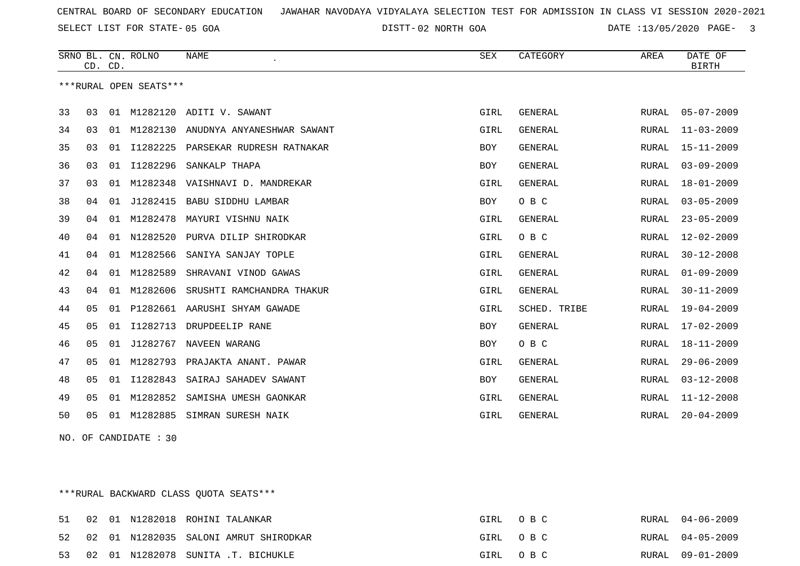SELECT LIST FOR STATE- DISTT- 05 GOA

02 NORTH GOA DATE :13/05/2020 PAGE- 3

|    |                | CD. CD. | SRNO BL. CN. ROLNO     | <b>NAME</b>                | <b>SEX</b>  | CATEGORY       | AREA         | DATE OF<br><b>BIRTH</b> |
|----|----------------|---------|------------------------|----------------------------|-------------|----------------|--------------|-------------------------|
|    |                |         | ***RURAL OPEN SEATS*** |                            |             |                |              |                         |
| 33 | 03             | 01      |                        | M1282120 ADITI V. SAWANT   | GIRL        | <b>GENERAL</b> | RURAL        | $05 - 07 - 2009$        |
| 34 | 03             | 01      | M1282130               | ANUDNYA ANYANESHWAR SAWANT | GIRL        | GENERAL        | RURAL        | $11 - 03 - 2009$        |
| 35 | 03             | 01      | I1282225               | PARSEKAR RUDRESH RATNAKAR  | <b>BOY</b>  | <b>GENERAL</b> | RURAL        | $15 - 11 - 2009$        |
| 36 | 03             | 01      | I1282296               | SANKALP THAPA              | <b>BOY</b>  | <b>GENERAL</b> | RURAL        | $03 - 09 - 2009$        |
| 37 | 03             | 01      | M1282348               | VAISHNAVI D. MANDREKAR     | GIRL        | <b>GENERAL</b> | RURAL        | $18 - 01 - 2009$        |
| 38 | 04             | 01      | J1282415               | BABU SIDDHU LAMBAR         | <b>BOY</b>  | O B C          | RURAL        | $03 - 05 - 2009$        |
| 39 | 04             | 01      | M1282478               | MAYURI VISHNU NAIK         | GIRL        | <b>GENERAL</b> | RURAL        | $23 - 05 - 2009$        |
| 40 | 04             | 01      | N1282520               | PURVA DILIP SHIRODKAR      | GIRL        | O B C          | RURAL        | $12 - 02 - 2009$        |
| 41 | 04             | 01      | M1282566               | SANIYA SANJAY TOPLE        | GIRL        | <b>GENERAL</b> | RURAL        | $30 - 12 - 2008$        |
| 42 | 04             | 01      | M1282589               | SHRAVANI VINOD GAWAS       | GIRL        | <b>GENERAL</b> | RURAL        | $01 - 09 - 2009$        |
| 43 | 04             | 01      | M1282606               | SRUSHTI RAMCHANDRA THAKUR  | GIRL        | GENERAL        | RURAL        | $30 - 11 - 2009$        |
| 44 | 05             | 01      | P1282661               | AARUSHI SHYAM GAWADE       | GIRL        | SCHED. TRIBE   | RURAL        | $19 - 04 - 2009$        |
| 45 | 05             | 01      | I1282713               | DRUPDEELIP RANE            | <b>BOY</b>  | <b>GENERAL</b> | RURAL        | $17 - 02 - 2009$        |
| 46 | 05             | 01      | J1282767               | NAVEEN WARANG              | <b>BOY</b>  | O B C          | RURAL        | $18 - 11 - 2009$        |
| 47 | 05             | 01      | M1282793               | PRAJAKTA ANANT. PAWAR      | GIRL        | <b>GENERAL</b> | RURAL        | $29 - 06 - 2009$        |
| 48 | 0 <sub>5</sub> | 01      | I1282843               | SAIRAJ SAHADEV SAWANT      | <b>BOY</b>  | <b>GENERAL</b> | <b>RURAL</b> | $03 - 12 - 2008$        |
| 49 | 05             | 01      | M1282852               | SAMISHA UMESH GAONKAR      | GIRL        | <b>GENERAL</b> | RURAL        | $11 - 12 - 2008$        |
| 50 | 05             | 01      | M1282885               | SIMRAN SURESH NAIK         | <b>GIRL</b> | <b>GENERAL</b> | RURAL        | $20 - 04 - 2009$        |

NO. OF CANDIDATE : 30

\*\*\*RURAL BACKWARD CLASS QUOTA SEATS\*\*\*

|  |  | 51 02 01 N1282018 ROHINI TALANKAR        | GIRL OBC | RURAL 04-06-2009 |
|--|--|------------------------------------------|----------|------------------|
|  |  | 52 02 01 N1282035 SALONI AMRUT SHIRODKAR | GIRL OBC | RURAL 04-05-2009 |
|  |  | 53 02 01 N1282078 SUNITA .T. BICHUKLE    | GIRL OBC | RURAL 09-01-2009 |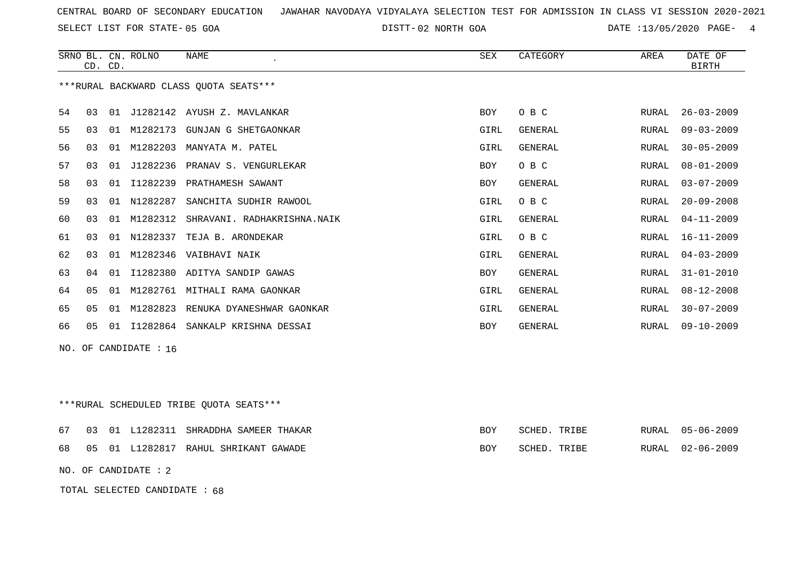SELECT LIST FOR STATE- DISTT- 05 GOA

02 NORTH GOA DATE :13/05/2020 PAGE- 4

|    | CD. CD.                 |    | SRNO BL. CN. ROLNO | <b>NAME</b>                            | <b>SEX</b> | CATEGORY       | AREA  | DATE OF<br><b>BIRTH</b> |  |
|----|-------------------------|----|--------------------|----------------------------------------|------------|----------------|-------|-------------------------|--|
|    |                         |    |                    | ***RURAL BACKWARD CLASS OUOTA SEATS*** |            |                |       |                         |  |
| 54 | 03                      |    |                    | 01 J1282142 AYUSH Z. MAVLANKAR         | <b>BOY</b> | O B C          | RURAL | $26 - 03 - 2009$        |  |
| 55 | 03                      | 01 | M1282173           | GUNJAN G SHETGAONKAR                   | GIRL       | GENERAL        | RURAL | $09 - 03 - 2009$        |  |
| 56 | 03                      | 01 | M1282203           | MANYATA M. PATEL                       | GIRL       | GENERAL        | RURAL | $30 - 05 - 2009$        |  |
| 57 | 03                      | 01 |                    | J1282236 PRANAV S. VENGURLEKAR         | <b>BOY</b> | O B C          | RURAL | $08 - 01 - 2009$        |  |
| 58 | 03                      | 01 | I1282239           | PRATHAMESH SAWANT                      | <b>BOY</b> | GENERAL        | RURAL | $03 - 07 - 2009$        |  |
| 59 | 03                      |    | 01 N1282287        | SANCHITA SUDHIR RAWOOL                 | GIRL       | O B C          | RURAL | $20 - 09 - 2008$        |  |
| 60 | 03                      | 01 | M1282312           | SHRAVANI. RADHAKRISHNA.NAIK            | GIRL       | GENERAL        | RURAL | $04 - 11 - 2009$        |  |
| 61 | 03                      | 01 | N1282337           | TEJA B. ARONDEKAR                      | GIRL       | O B C          | RURAL | $16 - 11 - 2009$        |  |
| 62 | 03                      | 01 | M1282346           | VAIBHAVI NAIK                          | GIRL       | <b>GENERAL</b> | RURAL | $04 - 03 - 2009$        |  |
| 63 | 04                      | 01 |                    | I1282380 ADITYA SANDIP GAWAS           | <b>BOY</b> | GENERAL        | RURAL | $31 - 01 - 2010$        |  |
| 64 | 05                      | 01 |                    | M1282761 MITHALI RAMA GAONKAR          | GIRL       | GENERAL        | RURAL | $08 - 12 - 2008$        |  |
| 65 | 0 <sub>5</sub>          | 01 | M1282823           | RENUKA DYANESHWAR GAONKAR              | GIRL       | GENERAL        | RURAL | $30 - 07 - 2009$        |  |
| 66 | 05                      |    | 01 11282864        | SANKALP KRISHNA DESSAI                 | <b>BOY</b> | GENERAL        | RURAL | $09 - 10 - 2009$        |  |
|    | $NO.$ OF CANDIDATE : 16 |    |                    |                                        |            |                |       |                         |  |

\*\*\*RURAL SCHEDULED TRIBE QUOTA SEATS\*\*\*

|  |  | 67 03 01 L1282311 SHRADDHA SAMEER THAKAR | BOY | SCHED. TRIBE |  | RURAL 05-06-2009 |
|--|--|------------------------------------------|-----|--------------|--|------------------|
|  |  | 68 05 01 L1282817 RAHUL SHRIKANT GAWADE  | BOY | SCHED. TRIBE |  | RURAL 02-06-2009 |

NO. OF CANDIDATE : 2

TOTAL SELECTED CANDIDATE : 68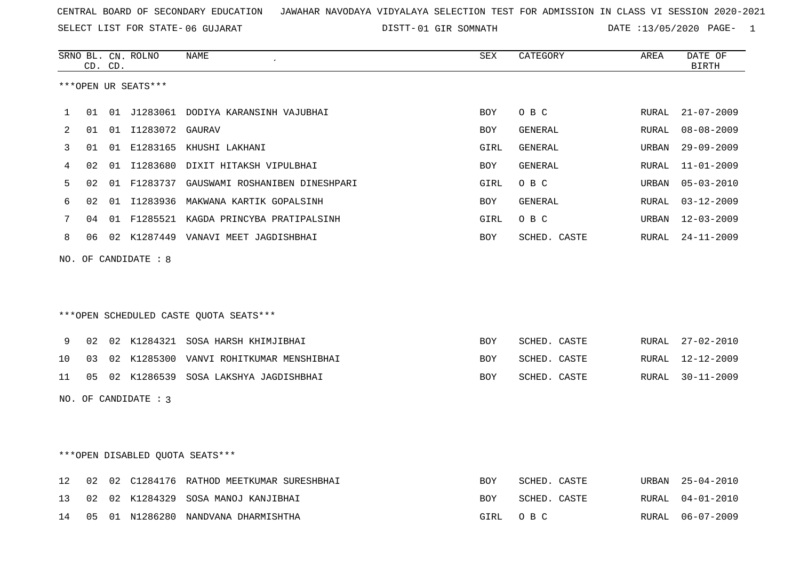SELECT LIST FOR STATE- DISTT- 06 GUJARAT

|    |    | CD. CD. | SRNO BL. CN. ROLNO   | <b>NAME</b>                                | SEX        | CATEGORY       | AREA         | DATE OF<br><b>BIRTH</b> |
|----|----|---------|----------------------|--------------------------------------------|------------|----------------|--------------|-------------------------|
|    |    |         | ***OPEN UR SEATS***  |                                            |            |                |              |                         |
| 1  | 01 |         |                      | 01 J1283061 DODIYA KARANSINH VAJUBHAI      | BOY        | O B C          | RURAL        | $21 - 07 - 2009$        |
| 2  | 01 |         | 01 I1283072 GAURAV   |                                            | <b>BOY</b> | GENERAL        | RURAL        | $08 - 08 - 2009$        |
| 3  | 01 |         |                      | 01 E1283165 KHUSHI LAKHANI                 | GIRL       | GENERAL        | URBAN        | $29 - 09 - 2009$        |
| 4  | 02 |         |                      | 01 I1283680 DIXIT HITAKSH VIPULBHAI        | BOY        | <b>GENERAL</b> | RURAL        | $11 - 01 - 2009$        |
| 5  | 02 |         |                      | 01 F1283737 GAUSWAMI ROSHANIBEN DINESHPARI | GIRL       | O B C          | URBAN        | $05 - 03 - 2010$        |
| 6  | 02 |         |                      | 01 I1283936 MAKWANA KARTIK GOPALSINH       | BOY        | GENERAL        | <b>RURAL</b> | $03 - 12 - 2009$        |
| 7  | 04 |         |                      | 01 F1285521 KAGDA PRINCYBA PRATIPALSINH    | GIRL       | O B C          | URBAN        | $12 - 03 - 2009$        |
| 8  | 06 |         |                      | 02 K1287449 VANAVI MEET JAGDISHBHAI        | BOY        | SCHED. CASTE   | RURAL        | $24 - 11 - 2009$        |
|    |    |         | NO. OF CANDIDATE : 8 |                                            |            |                |              |                         |
|    |    |         |                      | ***OPEN SCHEDULED CASTE QUOTA SEATS***     |            |                |              |                         |
| 9  | 02 |         |                      | 02 K1284321 SOSA HARSH KHIMJIBHAI          | BOY        | SCHED. CASTE   | RURAL        | $27 - 02 - 2010$        |
| 10 | 03 |         |                      | 02 K1285300 VANVI ROHITKUMAR MENSHIBHAI    | BOY        | SCHED. CASTE   | RURAL        | $12 - 12 - 2009$        |
| 11 | 05 |         |                      | 02 K1286539 SOSA LAKSHYA JAGDISHBHAI       | <b>BOY</b> | SCHED. CASTE   | RURAL        | $30 - 11 - 2009$        |
|    |    |         | NO. OF CANDIDATE : 3 |                                            |            |                |              |                         |
|    |    |         |                      | ***OPEN DISABLED OUOTA SEATS***            |            |                |              |                         |
| 12 | 02 |         |                      | 02 C1284176 RATHOD MEETKUMAR SURESHBHAI    | BOY        | SCHED. CASTE   | URBAN        | $25 - 04 - 2010$        |
| 13 | 02 |         |                      | 02 K1284329 SOSA MANOJ KANJIBHAI           | <b>BOY</b> | SCHED. CASTE   | RURAL        | $04 - 01 - 2010$        |
| 14 | 05 |         |                      | 01 N1286280 NANDVANA DHARMISHTHA           | GIRL       | O B C          | <b>RURAL</b> | $06 - 07 - 2009$        |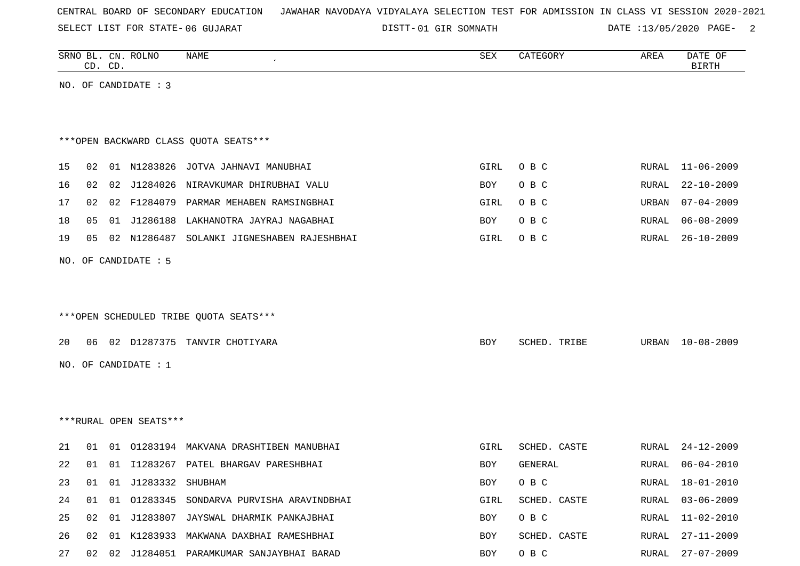SELECT LIST FOR STATE- DISTT- 06 GUJARAT

|    |    | CD. CD. | SRNO BL. CN. ROLNO     | <b>NAME</b>                                | SEX  | CATEGORY     | AREA  | DATE OF<br><b>BIRTH</b> |
|----|----|---------|------------------------|--------------------------------------------|------|--------------|-------|-------------------------|
|    |    |         | NO. OF CANDIDATE : 3   |                                            |      |              |       |                         |
|    |    |         |                        |                                            |      |              |       |                         |
|    |    |         |                        |                                            |      |              |       |                         |
|    |    |         |                        | *** OPEN BACKWARD CLASS QUOTA SEATS***     |      |              |       |                         |
| 15 | 02 |         |                        | 01 N1283826 JOTVA JAHNAVI MANUBHAI         | GIRL | O B C        | RURAL | 11-06-2009              |
| 16 | 02 | 02      | J1284026               | NIRAVKUMAR DHIRUBHAI VALU                  | BOY  | O B C        | RURAL | $22 - 10 - 2009$        |
| 17 | 02 |         |                        | 02 F1284079 PARMAR MEHABEN RAMSINGBHAI     | GIRL | O B C        | URBAN | $07 - 04 - 2009$        |
| 18 | 05 | 01      | J1286188               | LAKHANOTRA JAYRAJ NAGABHAI                 | BOY  | O B C        | RURAL | $06 - 08 - 2009$        |
| 19 | 05 |         |                        | 02 N1286487 SOLANKI JIGNESHABEN RAJESHBHAI | GIRL | O B C        | RURAL | $26 - 10 - 2009$        |
|    |    |         | NO. OF CANDIDATE : 5   |                                            |      |              |       |                         |
|    |    |         |                        |                                            |      |              |       |                         |
|    |    |         |                        |                                            |      |              |       |                         |
|    |    |         |                        | ***OPEN SCHEDULED TRIBE QUOTA SEATS***     |      |              |       |                         |
|    |    |         |                        |                                            |      |              |       |                         |
| 20 | 06 |         |                        | 02 D1287375 TANVIR CHOTIYARA               | BOY  | SCHED. TRIBE |       | URBAN 10-08-2009        |
|    |    |         | NO. OF CANDIDATE : $1$ |                                            |      |              |       |                         |
|    |    |         |                        |                                            |      |              |       |                         |
|    |    |         |                        |                                            |      |              |       |                         |
|    |    |         | ***RURAL OPEN SEATS*** |                                            |      |              |       |                         |
| 21 | 01 |         |                        | 01 01283194 MAKVANA DRASHTIBEN MANUBHAI    | GIRL | SCHED. CASTE | RURAL | $24 - 12 - 2009$        |
| 22 | 01 |         |                        | 01 I1283267 PATEL BHARGAV PARESHBHAI       | BOY  | GENERAL      | RURAL | $06 - 04 - 2010$        |
| 23 | 01 |         | 01 J1283332 SHUBHAM    |                                            | BOY  | O B C        |       | RURAL 18-01-2010        |
| 24 | 01 | 01      |                        | 01283345 SONDARVA PURVISHA ARAVINDBHAI     | GIRL | SCHED. CASTE |       | RURAL 03-06-2009        |
| 25 | 02 |         |                        | 01 J1283807 JAYSWAL DHARMIK PANKAJBHAI     | BOY  | O B C        | RURAL | $11 - 02 - 2010$        |
| 26 |    |         |                        | 02 01 K1283933 MAKWANA DAXBHAI RAMESHBHAI  | BOY  | SCHED. CASTE | RURAL | 27-11-2009              |
| 27 |    |         |                        | 02 02 J1284051 PARAMKUMAR SANJAYBHAI BARAD | BOY  | O B C        | RURAL | 27-07-2009              |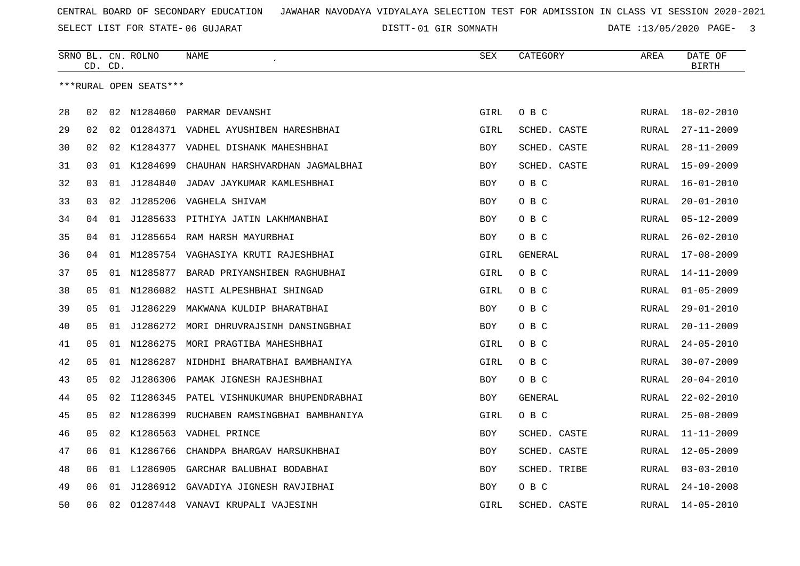SELECT LIST FOR STATE- DISTT- 06 GUJARAT

|    |    | CD. CD. | SRNO BL. CN. ROLNO     | NAME                                        | SEX        | CATEGORY     | AREA  | DATE OF<br><b>BIRTH</b> |
|----|----|---------|------------------------|---------------------------------------------|------------|--------------|-------|-------------------------|
|    |    |         | ***RURAL OPEN SEATS*** |                                             |            |              |       |                         |
|    |    |         |                        |                                             |            |              |       |                         |
| 28 | 02 |         |                        | 02 N1284060 PARMAR DEVANSHI                 | GIRL       | O B C        | RURAL | $18 - 02 - 2010$        |
| 29 | 02 | 02      |                        | 01284371 VADHEL AYUSHIBEN HARESHBHAI        | GIRL       | SCHED. CASTE | RURAL | $27 - 11 - 2009$        |
| 30 | 02 | 02      | K1284377               | VADHEL DISHANK MAHESHBHAI                   | BOY        | SCHED. CASTE | RURAL | $28 - 11 - 2009$        |
| 31 | 03 |         | 01 K1284699            | CHAUHAN HARSHVARDHAN JAGMALBHAI             | BOY        | SCHED. CASTE | RURAL | $15 - 09 - 2009$        |
| 32 | 03 |         | 01 J1284840            | JADAV JAYKUMAR KAMLESHBHAI                  | <b>BOY</b> | O B C        | RURAL | $16 - 01 - 2010$        |
| 33 | 03 | 02      |                        | J1285206 VAGHELA SHIVAM                     | BOY        | O B C        | RURAL | $20 - 01 - 2010$        |
| 34 | 04 |         |                        | 01 J1285633 PITHIYA JATIN LAKHMANBHAI       | <b>BOY</b> | O B C        | RURAL | $05 - 12 - 2009$        |
| 35 | 04 |         |                        | 01 J1285654 RAM HARSH MAYURBHAI             | <b>BOY</b> | O B C        | RURAL | $26 - 02 - 2010$        |
| 36 | 04 |         |                        | 01 M1285754 VAGHASIYA KRUTI RAJESHBHAI      | GIRL       | GENERAL      | RURAL | $17 - 08 - 2009$        |
| 37 | 05 |         |                        | 01 N1285877 BARAD PRIYANSHIBEN RAGHUBHAI    | GIRL       | O B C        | RURAL | $14 - 11 - 2009$        |
| 38 | 05 |         |                        | 01 N1286082 HASTI ALPESHBHAI SHINGAD        | GIRL       | O B C        | RURAL | $01 - 05 - 2009$        |
| 39 | 05 | 01      | J1286229               | MAKWANA KULDIP BHARATBHAI                   | <b>BOY</b> | O B C        | RURAL | $29 - 01 - 2010$        |
| 40 | 05 |         |                        | 01 J1286272 MORI DHRUVRAJSINH DANSINGBHAI   | <b>BOY</b> | O B C        | RURAL | $20 - 11 - 2009$        |
| 41 | 05 |         | 01 N1286275            | MORI PRAGTIBA MAHESHBHAI                    | GIRL       | O B C        | RURAL | $24 - 05 - 2010$        |
| 42 | 05 | 01      | N1286287               | NIDHDHI BHARATBHAI BAMBHANIYA               | GIRL       | O B C        | RURAL | $30 - 07 - 2009$        |
| 43 | 05 | 02      | J1286306               | PAMAK JIGNESH RAJESHBHAI                    | <b>BOY</b> | O B C        | RURAL | $20 - 04 - 2010$        |
| 44 | 05 | 02      |                        | I1286345 PATEL VISHNUKUMAR BHUPENDRABHAI    | BOY        | GENERAL      | RURAL | $22 - 02 - 2010$        |
| 45 | 05 |         |                        | 02 N1286399 RUCHABEN RAMSINGBHAI BAMBHANIYA | GIRL       | O B C        | RURAL | $25 - 08 - 2009$        |
| 46 | 05 | 02      |                        | K1286563 VADHEL PRINCE                      | BOY        | SCHED. CASTE | RURAL | $11 - 11 - 2009$        |
| 47 | 06 |         | 01 K1286766            | CHANDPA BHARGAV HARSUKHBHAI                 | BOY        | SCHED. CASTE | RURAL | $12 - 05 - 2009$        |
| 48 | 06 |         | 01 L1286905            | GARCHAR BALUBHAI BODABHAI                   | BOY        | SCHED. TRIBE | RURAL | $03 - 03 - 2010$        |
| 49 | 06 |         |                        | 01 J1286912 GAVADIYA JIGNESH RAVJIBHAI      | <b>BOY</b> | O B C        | RURAL | $24 - 10 - 2008$        |
| 50 | 06 | 02      |                        | 01287448 VANAVI KRUPALI VAJESINH            | GIRL       | SCHED. CASTE | RURAL | $14 - 05 - 2010$        |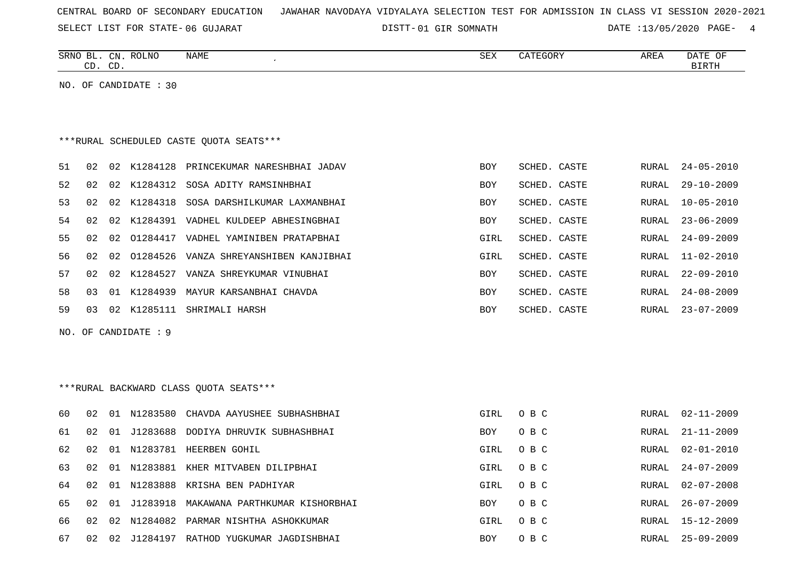SELECT LIST FOR STATE- DISTT- 06 GUJARAT

|    |    | CD. CD. | SRNO BL. CN. ROLNO    | <b>NAME</b>                              | ${\tt SEX}$ | CATEGORY     | AREA          | DATE OF<br><b>BIRTH</b> |
|----|----|---------|-----------------------|------------------------------------------|-------------|--------------|---------------|-------------------------|
|    |    |         | NO. OF CANDIDATE : 30 |                                          |             |              |               |                         |
|    |    |         |                       |                                          |             |              |               |                         |
|    |    |         |                       |                                          |             |              |               |                         |
|    |    |         |                       | *** RURAL SCHEDULED CASTE QUOTA SEATS*** |             |              |               |                         |
| 51 | 02 |         | 02 K1284128           | PRINCEKUMAR NARESHBHAI JADAV             | BOY         | SCHED. CASTE | RURAL         | $24 - 05 - 2010$        |
| 52 | 02 | 02      | K1284312              | SOSA ADITY RAMSINHBHAI                   | BOY         | SCHED. CASTE | RURAL         | $29 - 10 - 2009$        |
| 53 | 02 | 02      | K1284318              | SOSA DARSHILKUMAR LAXMANBHAI             | <b>BOY</b>  | SCHED. CASTE | <b>RURAL</b>  | $10 - 05 - 2010$        |
| 54 | 02 | 02      |                       | K1284391 VADHEL KULDEEP ABHESINGBHAI     | BOY         | SCHED. CASTE | RURAL         | $23 - 06 - 2009$        |
| 55 | 02 | 02      |                       | 01284417 VADHEL YAMINIBEN PRATAPBHAI     | GIRL        | SCHED. CASTE | RURAL         | $24 - 09 - 2009$        |
| 56 | 02 | 02      |                       | 01284526 VANZA SHREYANSHIBEN KANJIBHAI   | GIRL        | SCHED. CASTE | ${\tt RURAL}$ | $11 - 02 - 2010$        |
| 57 | 02 | 02      |                       | K1284527 VANZA SHREYKUMAR VINUBHAI       | <b>BOY</b>  | SCHED. CASTE | RURAL         | $22 - 09 - 2010$        |
| 58 | 03 |         |                       | 01 K1284939 MAYUR KARSANBHAI CHAVDA      | BOY         | SCHED. CASTE | RURAL         | $24 - 08 - 2009$        |
| 59 | 03 | 02      | K1285111              | SHRIMALI HARSH                           | BOY         | SCHED. CASTE | RURAL         | $23 - 07 - 2009$        |
|    |    |         | NO. OF CANDIDATE : 9  |                                          |             |              |               |                         |
|    |    |         |                       |                                          |             |              |               |                         |
|    |    |         |                       |                                          |             |              |               |                         |
|    |    |         |                       | *** RURAL BACKWARD CLASS QUOTA SEATS***  |             |              |               |                         |
| 60 | 02 |         |                       | 01 N1283580 CHAVDA AAYUSHEE SUBHASHBHAI  | GIRL        | O B C        | RURAL         | $02 - 11 - 2009$        |
| 61 | 02 | 01      |                       | J1283688 DODIYA DHRUVIK SUBHASHBHAI      | BOY         | O B C        | <b>RURAL</b>  | $21 - 11 - 2009$        |
| 62 | 02 |         |                       | 01 N1283781 HEERBEN GOHIL                | GIRL        | O B C        | RURAL         | $02 - 01 - 2010$        |
| 63 | 02 | 01      |                       | N1283881 KHER MITVABEN DILIPBHAI         | GIRL        | O B C        | RURAL         | $24 - 07 - 2009$        |
| 64 | 02 | 01      | N1283888              | KRISHA BEN PADHIYAR                      | GIRL        | O B C        | RURAL         | $02 - 07 - 2008$        |
| 65 | 02 | 01      | J1283918              | MAKAWANA PARTHKUMAR KISHORBHAI           | <b>BOY</b>  | O B C        | <b>RURAL</b>  | $26 - 07 - 2009$        |
| 66 | 02 | 02      |                       | N1284082 PARMAR NISHTHA ASHOKKUMAR       | GIRL        | O B C        | RURAL         | $15 - 12 - 2009$        |
| 67 | 02 | 02      |                       | J1284197 RATHOD YUGKUMAR JAGDISHBHAI     | BOY         | O B C        | RURAL         | $25 - 09 - 2009$        |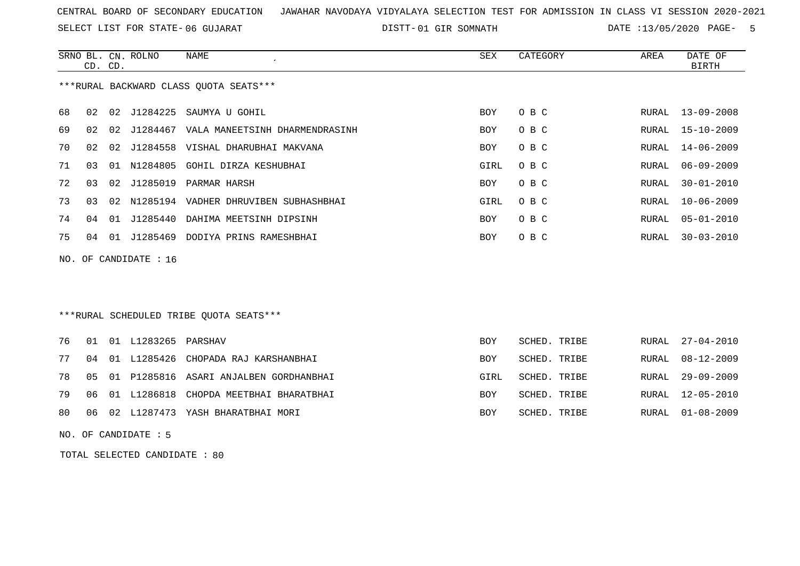SELECT LIST FOR STATE- DISTT- 06 GUJARAT

01 GIR SOMNATH DATE :13/05/2020 PAGE- 5

|                                        |    | CD. CD. | SRNO BL. CN. ROLNO      | NAME                                    | SEX  | CATEGORY | AREA  | DATE OF<br>BIRTH |
|----------------------------------------|----|---------|-------------------------|-----------------------------------------|------|----------|-------|------------------|
| ***RURAL BACKWARD CLASS QUOTA SEATS*** |    |         |                         |                                         |      |          |       |                  |
| 68                                     | 02 | 02      | J1284225                | SAUMYA U GOHIL                          | BOY  | O B C    |       | RURAL 13-09-2008 |
| 69                                     | 02 | 02      |                         | J1284467 VALA MANEETSINH DHARMENDRASINH | BOY  | O B C    | RURAL | 15-10-2009       |
| 70                                     | 02 | 02      | J1284558                | VISHAL DHARUBHAI MAKVANA                | BOY  | O B C    | RURAL | 14-06-2009       |
| 71                                     | 03 | 01      |                         | N1284805 GOHIL DIRZA KESHUBHAI          | GIRL | O B C    | RURAL | $06 - 09 - 2009$ |
| 72                                     | 03 | 02      | J1285019                | PARMAR HARSH                            | BOY  | O B C    | RURAL | $30 - 01 - 2010$ |
| 73                                     | 03 | 02      |                         | N1285194 VADHER DHRUVIBEN SUBHASHBHAI   | GIRL | O B C    | RURAL | $10 - 06 - 2009$ |
| 74                                     | 04 | 01      | J1285440                | DAHIMA MEETSINH DIPSINH                 | BOY  | O B C    | RURAL | $05 - 01 - 2010$ |
| 75                                     | 04 | 01      |                         | J1285469 DODIYA PRINS RAMESHBHAI        | BOY  | O B C    | RURAL | $30 - 03 - 2010$ |
|                                        |    |         | NO. OF CANDIDATE : $16$ |                                         |      |          |       |                  |
|                                        |    |         |                         |                                         |      |          |       |                  |

# \*\*\*RURAL SCHEDULED TRIBE QUOTA SEATS\*\*\*

|  | 76  01  01  L1283265  PARSHAV |                                              | <b>BOY</b> | SCHED. TRIBE |  | RURAL 27-04-2010 |
|--|-------------------------------|----------------------------------------------|------------|--------------|--|------------------|
|  |                               | 77 04 01 L1285426 CHOPADA RAJ KARSHANBHAI    | <b>BOY</b> | SCHED. TRIBE |  | RURAL 08-12-2009 |
|  |                               | 78 05 01 P1285816 ASARI ANJALBEN GORDHANBHAI | GIRL       | SCHED. TRIBE |  | RURAL 29-09-2009 |
|  |                               | 79 06 01 L1286818 CHOPDA MEETBHAI BHARATBHAI | BOY        | SCHED. TRIBE |  | RURAL 12-05-2010 |
|  |                               | 80 06 02 L1287473 YASH BHARATBHAI MORI       | BOY        | SCHED. TRIBE |  | RURAL 01-08-2009 |

NO. OF CANDIDATE : 5

TOTAL SELECTED CANDIDATE : 80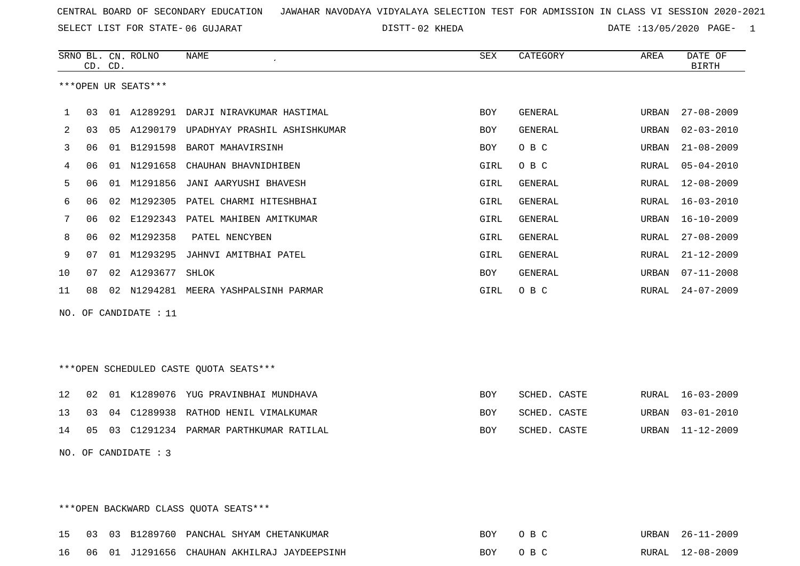SELECT LIST FOR STATE- DISTT- 06 GUJARAT

02 KHEDA DATE :13/05/2020 PAGE- 1

|             |    | CD. CD. | SRNO BL. CN. ROLNO   | NAME                                   | ${\tt SEX}$ | CATEGORY       | AREA  | DATE OF<br><b>BIRTH</b> |
|-------------|----|---------|----------------------|----------------------------------------|-------------|----------------|-------|-------------------------|
|             |    |         | ***OPEN UR SEATS***  |                                        |             |                |       |                         |
| $\mathbf 1$ | 03 |         | 01 A1289291          | DARJI NIRAVKUMAR HASTIMAL              | <b>BOY</b>  | GENERAL        | URBAN | $27 - 08 - 2009$        |
| 2           | 03 | 05      |                      | A1290179 UPADHYAY PRASHIL ASHISHKUMAR  | <b>BOY</b>  | GENERAL        | URBAN | $02 - 03 - 2010$        |
| 3           | 06 |         | 01 B1291598          | BAROT MAHAVIRSINH                      | <b>BOY</b>  | O B C          | URBAN | $21 - 08 - 2009$        |
| 4           | 06 |         | 01 N1291658          | CHAUHAN BHAVNIDHIBEN                   | GIRL        | O B C          | RURAL | $05 - 04 - 2010$        |
| 5           | 06 |         | 01 M1291856          | JANI AARYUSHI BHAVESH                  | GIRL        | <b>GENERAL</b> | RURAL | $12 - 08 - 2009$        |
| 6           | 06 | 02      | M1292305             | PATEL CHARMI HITESHBHAI                | GIRL        | <b>GENERAL</b> | RURAL | $16 - 03 - 2010$        |
| 7           | 06 | 02      | E1292343             | PATEL MAHIBEN AMITKUMAR                | GIRL        | <b>GENERAL</b> | URBAN | $16 - 10 - 2009$        |
| 8           | 06 | 02      | M1292358             | PATEL NENCYBEN                         | GIRL        | GENERAL        | RURAL | $27 - 08 - 2009$        |
| 9           | 07 | 01      | M1293295             | JAHNVI AMITBHAI PATEL                  | GIRL        | GENERAL        | RURAL | $21 - 12 - 2009$        |
| 10          | 07 |         | 02 A1293677          | SHLOK                                  | BOY         | GENERAL        | URBAN | $07 - 11 - 2008$        |
| 11          | 08 |         |                      | 02 N1294281 MEERA YASHPALSINH PARMAR   | GIRL        | O B C          | RURAL | $24 - 07 - 2009$        |
| NO.         |    |         | OF CANDIDATE : 11    |                                        |             |                |       |                         |
|             |    |         |                      |                                        |             |                |       |                         |
|             |    |         |                      |                                        |             |                |       |                         |
|             |    |         |                      | ***OPEN SCHEDULED CASTE QUOTA SEATS*** |             |                |       |                         |
|             |    |         |                      |                                        |             |                |       |                         |
| 12          | 02 |         |                      | 01 K1289076 YUG PRAVINBHAI MUNDHAVA    | <b>BOY</b>  | SCHED. CASTE   | RURAL | $16 - 03 - 2009$        |
| 13          | 03 | 04      |                      | C1289938 RATHOD HENIL VIMALKUMAR       | BOY         | SCHED. CASTE   | URBAN | $03 - 01 - 2010$        |
| 14          | 05 |         |                      | 03 C1291234 PARMAR PARTHKUMAR RATILAL  | BOY         | SCHED. CASTE   | URBAN | $11 - 12 - 2009$        |
|             |    |         | NO. OF CANDIDATE : 3 |                                        |             |                |       |                         |
|             |    |         |                      |                                        |             |                |       |                         |
|             |    |         |                      |                                        |             |                |       |                         |

\*\*\*OPEN BACKWARD CLASS QUOTA SEATS\*\*\*

|  |  | 15 03 03 B1289760 PANCHAL SHYAM CHETANKUMAR    | BOY OBC | URBAN 26-11-2009 |
|--|--|------------------------------------------------|---------|------------------|
|  |  | 16 06 01 J1291656 CHAUHAN AKHILRAJ JAYDEEPSINH | BOY OBC | RURAL 12-08-2009 |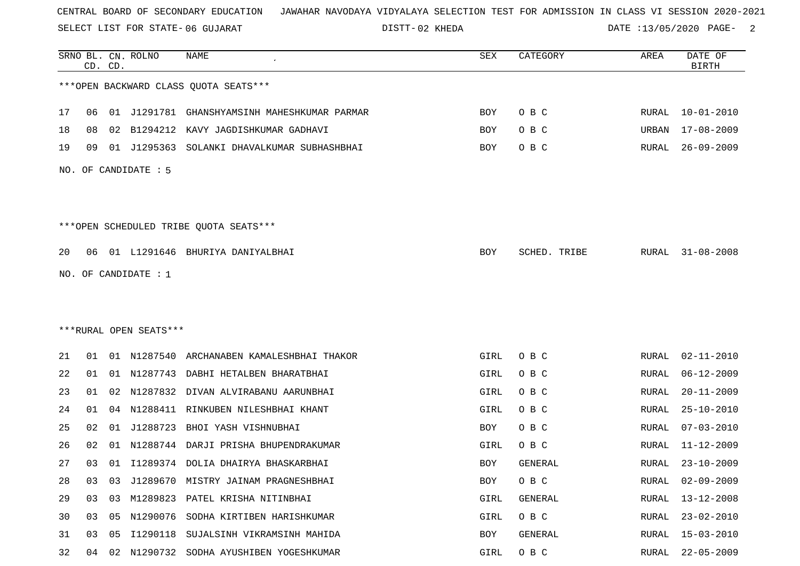SELECT LIST FOR STATE- DISTT- 06 GUJARAT

02 KHEDA DATE :13/05/2020 PAGE- 2

|    |    | CD. CD. | SRNO BL. CN. ROLNO     | <b>NAME</b>                                  | SEX  | CATEGORY     | AREA  | DATE OF<br><b>BIRTH</b> |
|----|----|---------|------------------------|----------------------------------------------|------|--------------|-------|-------------------------|
|    |    |         |                        | *** OPEN BACKWARD CLASS QUOTA SEATS***       |      |              |       |                         |
| 17 | 06 |         |                        | 01 J1291781 GHANSHYAMSINH MAHESHKUMAR PARMAR | BOY  | O B C        | RURAL | 10-01-2010              |
| 18 | 08 |         | 02 B1294212            | KAVY JAGDISHKUMAR GADHAVI                    | BOY  | O B C        | URBAN | $17 - 08 - 2009$        |
| 19 | 09 |         | 01 J1295363            | SOLANKI DHAVALKUMAR SUBHASHBHAI              | BOY  | O B C        | RURAL | $26 - 09 - 2009$        |
|    |    |         | NO. OF CANDIDATE : 5   |                                              |      |              |       |                         |
|    |    |         |                        | ***OPEN SCHEDULED TRIBE QUOTA SEATS***       |      |              |       |                         |
| 20 | 06 |         |                        | 01 L1291646 BHURIYA DANIYALBHAI              | BOY  | SCHED. TRIBE | RURAL | $31 - 08 - 2008$        |
|    |    |         | NO. OF CANDIDATE : $1$ |                                              |      |              |       |                         |
|    |    |         |                        |                                              |      |              |       |                         |
|    |    |         |                        |                                              |      |              |       |                         |
|    |    |         | ***RURAL OPEN SEATS*** |                                              |      |              |       |                         |
| 21 | 01 |         |                        | 01 N1287540 ARCHANABEN KAMALESHBHAI THAKOR   | GIRL | O B C        | RURAL | $02 - 11 - 2010$        |
| 22 | 01 |         |                        | 01 N1287743 DABHI HETALBEN BHARATBHAI        | GIRL | O B C        | RURAL | $06 - 12 - 2009$        |
| 23 | 01 | 02      |                        | N1287832 DIVAN ALVIRABANU AARUNBHAI          | GIRL | O B C        | RURAL | $20 - 11 - 2009$        |
| 24 | 01 | 04      | N1288411               | RINKUBEN NILESHBHAI KHANT                    | GIRL | O B C        | RURAL | $25 - 10 - 2010$        |
| 25 | 02 | 01      | J1288723               | BHOI YASH VISHNUBHAI                         | BOY  | O B C        | RURAL | $07 - 03 - 2010$        |
| 26 | 02 | 01      | N1288744               | DARJI PRISHA BHUPENDRAKUMAR                  | GIRL | O B C        | RURAL | $11 - 12 - 2009$        |
| 27 | 03 |         |                        | 01 I1289374 DOLIA DHAIRYA BHASKARBHAI        | BOY  | GENERAL      | RURAL | $23 - 10 - 2009$        |
| 28 | 03 | 03      |                        | J1289670 MISTRY JAINAM PRAGNESHBHAI          | BOY  | O B C        | RURAL | $02 - 09 - 2009$        |
| 29 | 03 | 03      |                        | M1289823 PATEL KRISHA NITINBHAI              | GIRL | GENERAL      | RURAL | $13 - 12 - 2008$        |
| 30 | 03 |         |                        | 05 N1290076 SODHA KIRTIBEN HARISHKUMAR       | GIRL | O B C        | RURAL | $23 - 02 - 2010$        |
| 31 | 03 | 05      | I1290118               | SUJALSINH VIKRAMSINH MAHIDA                  | BOY  | GENERAL      | RURAL | $15 - 03 - 2010$        |
| 32 |    |         |                        | 04 02 N1290732 SODHA AYUSHIBEN YOGESHKUMAR   | GIRL | O B C        |       | RURAL 22-05-2009        |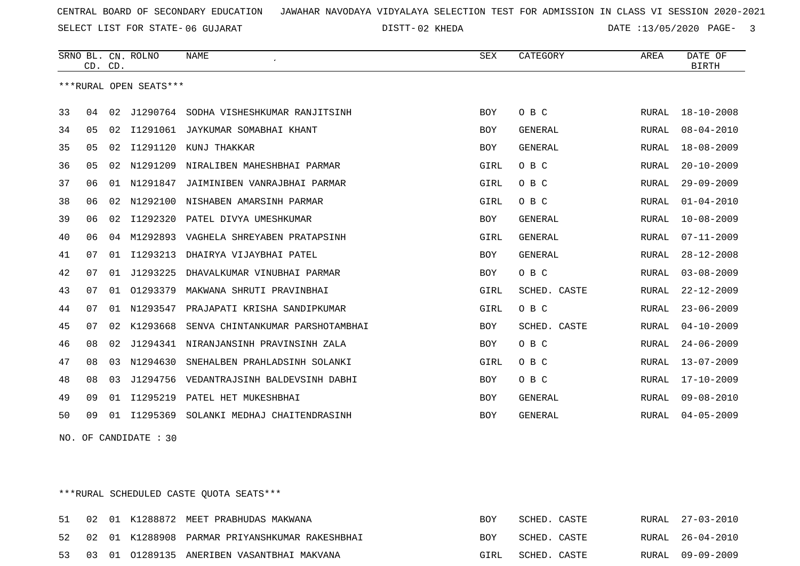SELECT LIST FOR STATE- DISTT- 06 GUJARAT

02 KHEDA DATE :13/05/2020 PAGE- 3

|    | CD. CD. |    | SRNO BL. CN. ROLNO     | NAME                             | SEX        | CATEGORY       | AREA         | DATE OF<br><b>BIRTH</b> |
|----|---------|----|------------------------|----------------------------------|------------|----------------|--------------|-------------------------|
|    |         |    | ***RURAL OPEN SEATS*** |                                  |            |                |              |                         |
| 33 | 04      | 02 | J1290764               | SODHA VISHESHKUMAR RANJITSINH    | <b>BOY</b> | O B C          | RURAL        | $18 - 10 - 2008$        |
| 34 | 05      | 02 | I1291061               | JAYKUMAR SOMABHAI KHANT          | BOY        | GENERAL        | RURAL        | $08 - 04 - 2010$        |
| 35 | 05      | 02 | I1291120               | KUNJ THAKKAR                     | <b>BOY</b> | <b>GENERAL</b> | RURAL        | $18 - 08 - 2009$        |
| 36 | 05      | 02 | N1291209               | NIRALIBEN MAHESHBHAI PARMAR      | GIRL       | O B C          | RURAL        | $20 - 10 - 2009$        |
| 37 | 06      | 01 | N1291847               | JAIMINIBEN VANRAJBHAI PARMAR     | GIRL       | O B C          | RURAL        | $29 - 09 - 2009$        |
| 38 | 06      | 02 | N1292100               | NISHABEN AMARSINH PARMAR         | GIRL       | O B C          | RURAL        | $01 - 04 - 2010$        |
| 39 | 06      | 02 | I1292320               | PATEL DIVYA UMESHKUMAR           | <b>BOY</b> | <b>GENERAL</b> | RURAL        | $10 - 08 - 2009$        |
| 40 | 06      | 04 | M1292893               | VAGHELA SHREYABEN PRATAPSINH     | GIRL       | <b>GENERAL</b> | RURAL        | $07 - 11 - 2009$        |
| 41 | 07      | 01 | I1293213               | DHAIRYA VIJAYBHAI PATEL          | <b>BOY</b> | <b>GENERAL</b> | RURAL        | $28 - 12 - 2008$        |
| 42 | 07      | 01 | J1293225               | DHAVALKUMAR VINUBHAI PARMAR      | <b>BOY</b> | O B C          | <b>RURAL</b> | $03 - 08 - 2009$        |
| 43 | 07      | 01 | 01293379               | MAKWANA SHRUTI PRAVINBHAI        | GIRL       | SCHED. CASTE   | RURAL        | $22 - 12 - 2009$        |
| 44 | 07      | 01 | N1293547               | PRAJAPATI KRISHA SANDIPKUMAR     | GIRL       | O B C          | RURAL        | $23 - 06 - 2009$        |
| 45 | 07      | 02 | K1293668               | SENVA CHINTANKUMAR PARSHOTAMBHAI | <b>BOY</b> | SCHED. CASTE   | <b>RURAL</b> | $04 - 10 - 2009$        |
| 46 | 08      | 02 | J1294341               | NIRANJANSINH PRAVINSINH ZALA     | <b>BOY</b> | O B C          | <b>RURAL</b> | $24 - 06 - 2009$        |
| 47 | 08      | 03 | N1294630               | SNEHALBEN PRAHLADSINH SOLANKI    | GIRL       | O B C          | RURAL        | $13 - 07 - 2009$        |
| 48 | 08      | 03 | J1294756               | VEDANTRAJSINH BALDEVSINH DABHI   | <b>BOY</b> | O B C          | RURAL        | $17 - 10 - 2009$        |
| 49 | 09      | 01 | I1295219               | PATEL HET MUKESHBHAI             | <b>BOY</b> | <b>GENERAL</b> | RURAL        | $09 - 08 - 2010$        |
| 50 | 09      | 01 | I1295369               | SOLANKI MEDHAJ CHAITENDRASINH    | <b>BOY</b> | <b>GENERAL</b> | RURAL        | $04 - 05 - 2009$        |

NO. OF CANDIDATE : 30

\*\*\*RURAL SCHEDULED CASTE QUOTA SEATS\*\*\*

|  |  | 51 02 01 K1288872 MEET PRABHUDAS MAKWANA          | <b>BOY</b> | SCHED. CASTE |  | RURAL 27-03-2010 |
|--|--|---------------------------------------------------|------------|--------------|--|------------------|
|  |  | 52 02 01 K1288908 PARMAR PRIYANSHKUMAR RAKESHBHAI | <b>BOY</b> | SCHED. CASTE |  | RURAL 26-04-2010 |
|  |  | 53 03 01 01289135 ANERIBEN VASANTBHAI MAKVANA     | GIRL       | SCHED. CASTE |  | RURAL 09-09-2009 |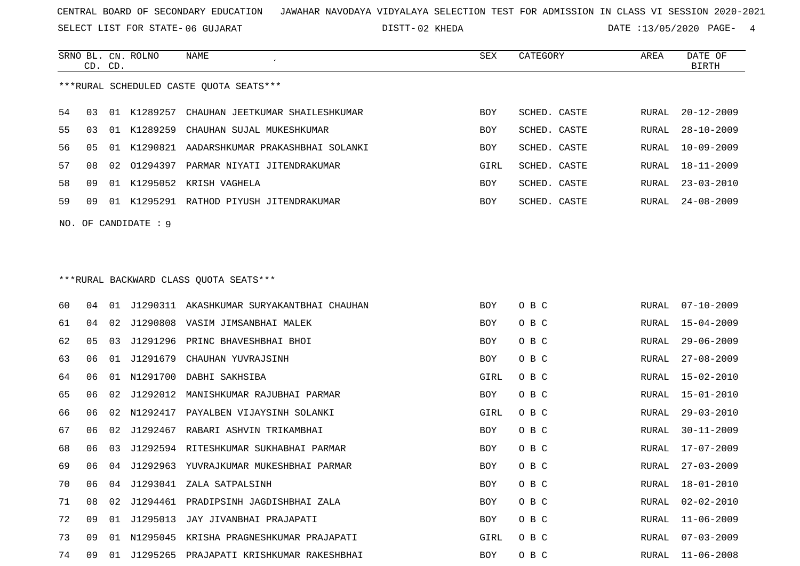SELECT LIST FOR STATE- DISTT- 06 GUJARAT

SRNO BL. CN.

ROLNO NAME SEX CATEGORY AREA DATE OF

02 KHEDA DATE :13/05/2020 PAGE- 4

|    | CD. CD. |    |                        |                                              |            |              |               | <b>BIRTH</b>     |
|----|---------|----|------------------------|----------------------------------------------|------------|--------------|---------------|------------------|
|    |         |    |                        | ***RURAL SCHEDULED CASTE QUOTA SEATS***      |            |              |               |                  |
| 54 | 03      |    | 01 K1289257            | CHAUHAN JEETKUMAR SHAILESHKUMAR              | <b>BOY</b> | SCHED. CASTE | RURAL         | $20 - 12 - 2009$ |
| 55 | 03      |    | 01 K1289259            | CHAUHAN SUJAL MUKESHKUMAR                    | BOY        | SCHED. CASTE | RURAL         | $28 - 10 - 2009$ |
| 56 | 05      |    |                        | 01 K1290821 AADARSHKUMAR PRAKASHBHAI SOLANKI | BOY        | SCHED. CASTE | RURAL         | $10 - 09 - 2009$ |
| 57 | 08      |    |                        | 02 01294397 PARMAR NIYATI JITENDRAKUMAR      | GIRL       | SCHED. CASTE | RURAL         | $18 - 11 - 2009$ |
| 58 | 09      |    |                        | 01 K1295052 KRISH VAGHELA                    | BOY        | SCHED. CASTE | RURAL         | $23 - 03 - 2010$ |
| 59 | 09      |    |                        | 01 K1295291 RATHOD PIYUSH JITENDRAKUMAR      | BOY        | SCHED. CASTE | RURAL         | $24 - 08 - 2009$ |
|    |         |    | $NO.$ OF CANDIDATE : 9 |                                              |            |              |               |                  |
|    |         |    |                        |                                              |            |              |               |                  |
|    |         |    |                        | *** RURAL BACKWARD CLASS QUOTA SEATS***      |            |              |               |                  |
| 60 | 04      |    |                        | 01 J1290311 AKASHKUMAR SURYAKANTBHAI CHAUHAN | <b>BOY</b> | O B C        | RURAL         | $07 - 10 - 2009$ |
| 61 | 04      | 02 |                        | J1290808 VASIM JIMSANBHAI MALEK              | BOY        | O B C        | RURAL         | 15-04-2009       |
| 62 | 05      | 03 |                        | J1291296 PRINC BHAVESHBHAI BHOI              | BOY        | O B C        | RURAL         | $29 - 06 - 2009$ |
| 63 | 06      |    | 01 J1291679            | CHAUHAN YUVRAJSINH                           | BOY        | O B C        | RURAL         | $27 - 08 - 2009$ |
| 64 | 06      |    |                        | 01 N1291700 DABHI SAKHSIBA                   | GIRL       | O B C        | RURAL         | $15 - 02 - 2010$ |
| 65 | 06      | 02 | J1292012               | MANISHKUMAR RAJUBHAI PARMAR                  | BOY        | O B C        | RURAL         | $15 - 01 - 2010$ |
| 66 | 06      | 02 | N1292417               | PAYALBEN VIJAYSINH SOLANKI                   | GIRL       | O B C        | RURAL         | $29 - 03 - 2010$ |
| 67 | 06      | 02 |                        | J1292467 RABARI ASHVIN TRIKAMBHAI            | BOY        | O B C        | RURAL         | $30 - 11 - 2009$ |
| 68 | 06      | 03 |                        | J1292594 RITESHKUMAR SUKHABHAI PARMAR        | BOY        | O B C        | RURAL         | 17-07-2009       |
| 69 | 06      |    |                        | 04 J1292963 YUVRAJKUMAR MUKESHBHAI PARMAR    | <b>BOY</b> | O B C        | RURAL         | $27 - 03 - 2009$ |
| 70 | 06      |    |                        | 04 J1293041 ZALA SATPALSINH                  | BOY        | O B C        | ${\tt RURAL}$ | $18 - 01 - 2010$ |
| 71 |         |    |                        | 08 02 J1294461 PRADIPSINH JAGDISHBHAI ZALA   | BOY        | O B C        | RURAL         | $02 - 02 - 2010$ |
| 72 | 09      |    |                        | 01 J1295013 JAY JIVANBHAI PRAJAPATI          | BOY        | O B C        | RURAL         | $11 - 06 - 2009$ |
| 73 | 09      |    |                        | 01 N1295045 KRISHA PRAGNESHKUMAR PRAJAPATI   | GIRL       | O B C        | RURAL         | $07 - 03 - 2009$ |
| 74 | 09      |    |                        | 01 J1295265 PRAJAPATI KRISHKUMAR RAKESHBHAI  | BOY        | O B C        | RURAL         | $11 - 06 - 2008$ |
|    |         |    |                        |                                              |            |              |               |                  |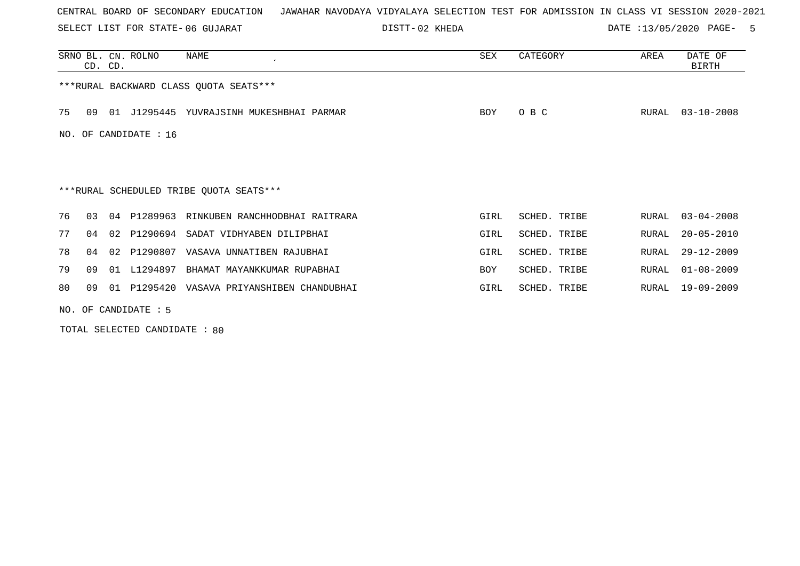SELECT LIST FOR STATE- DISTT- 06 GUJARAT

02 KHEDA DATE :13/05/2020 PAGE- 5

|     | CD. CD.                |  | SRNO BL. CN. ROLNO | NAME                                       | <b>SEX</b> | CATEGORY     | AREA  | DATE OF<br>BIRTH |  |  |
|-----|------------------------|--|--------------------|--------------------------------------------|------------|--------------|-------|------------------|--|--|
|     |                        |  |                    | *** RURAL BACKWARD CLASS QUOTA SEATS***    |            |              |       |                  |  |  |
| 75  | 09                     |  |                    | 01 J1295445 YUVRAJSINH MUKESHBHAI PARMAR   | <b>BOY</b> | O B C        | RURAL | $03 - 10 - 2008$ |  |  |
| NO. | OF CANDIDATE : 16      |  |                    |                                            |            |              |       |                  |  |  |
|     |                        |  |                    |                                            |            |              |       |                  |  |  |
|     |                        |  |                    | ***RURAL SCHEDULED TRIBE QUOTA SEATS***    |            |              |       |                  |  |  |
| 76  | 03                     |  | 04 P1289963        | RINKUBEN RANCHHODBHAI RAITRARA             | GIRL       | SCHED. TRIBE | RURAL | $03 - 04 - 2008$ |  |  |
| 77  | 04                     |  | 02 P1290694        | SADAT VIDHYABEN DILIPBHAI                  | GIRL       | SCHED. TRIBE | RURAL | $20 - 05 - 2010$ |  |  |
| 78  | 04                     |  | 02 P1290807        | VASAVA UNNATIBEN RAJUBHAI                  | GIRL       | SCHED. TRIBE | RURAL | $29 - 12 - 2009$ |  |  |
| 79  | 09                     |  | 01 L1294897        | BHAMAT MAYANKKUMAR RUPABHAI                | <b>BOY</b> | SCHED. TRIBE | RURAL | $01 - 08 - 2009$ |  |  |
| 80  | 09                     |  |                    | 01 P1295420 VASAVA PRIYANSHIBEN CHANDUBHAI | GIRL       | SCHED. TRIBE | RURAL | 19-09-2009       |  |  |
|     | NO. OF CANDIDATE $: 5$ |  |                    |                                            |            |              |       |                  |  |  |

TOTAL SELECTED CANDIDATE : 80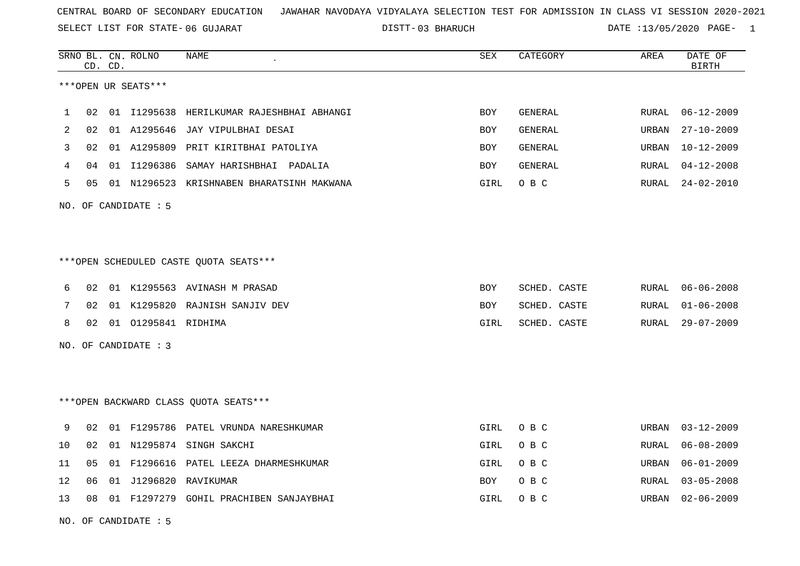SELECT LIST FOR STATE- DISTT- 06 GUJARAT

03 BHARUCH DATE :13/05/2020 PAGE- 1

|    |    | CD. CD. | SRNO BL. CN. ROLNO     | NAME                                      | SEX        | CATEGORY       | AREA  | DATE OF<br><b>BIRTH</b> |
|----|----|---------|------------------------|-------------------------------------------|------------|----------------|-------|-------------------------|
|    |    |         | ***OPEN UR SEATS***    |                                           |            |                |       |                         |
| 1  | 02 |         | 01 11295638            | HERILKUMAR RAJESHBHAI ABHANGI             | <b>BOY</b> | GENERAL        | RURAL | $06 - 12 - 2009$        |
| 2  | 02 |         | 01 A1295646            | JAY VIPULBHAI DESAI                       | <b>BOY</b> | <b>GENERAL</b> | URBAN | $27 - 10 - 2009$        |
| 3  | 02 |         |                        | 01 A1295809 PRIT KIRITBHAI PATOLIYA       | BOY        | GENERAL        | URBAN | $10 - 12 - 2009$        |
| 4  | 04 |         |                        | 01 I1296386 SAMAY HARISHBHAI PADALIA      | <b>BOY</b> | GENERAL        | RURAL | $04 - 12 - 2008$        |
| 5  | 05 |         |                        | 01 N1296523 KRISHNABEN BHARATSINH MAKWANA | GIRL       | O B C          | RURAL | $24 - 02 - 2010$        |
|    |    |         | NO. OF CANDIDATE $: 5$ |                                           |            |                |       |                         |
|    |    |         |                        |                                           |            |                |       |                         |
|    |    |         |                        | ***OPEN SCHEDULED CASTE QUOTA SEATS***    |            |                |       |                         |
| 6  | 02 |         |                        | 01 K1295563 AVINASH M PRASAD              | BOY        | SCHED. CASTE   | RURAL | $06 - 06 - 2008$        |
| 7  | 02 |         |                        | 01 K1295820 RAJNISH SANJIV DEV            | <b>BOY</b> | SCHED. CASTE   | RURAL | $01 - 06 - 2008$        |
| 8  | 02 |         | 01 01295841 RIDHIMA    |                                           | GIRL       | SCHED. CASTE   | RURAL | $29 - 07 - 2009$        |
|    |    |         | NO. OF CANDIDATE : 3   |                                           |            |                |       |                         |
|    |    |         |                        |                                           |            |                |       |                         |
|    |    |         |                        | *** OPEN BACKWARD CLASS QUOTA SEATS***    |            |                |       |                         |
| 9  | 02 |         |                        | 01 F1295786 PATEL VRUNDA NARESHKUMAR      | GIRL       | O B C          | URBAN | $03 - 12 - 2009$        |
| 10 | 02 |         |                        | 01 N1295874 SINGH SAKCHI                  | GIRL       | O B C          | RURAL | $06 - 08 - 2009$        |
| 11 | 05 |         |                        | 01 F1296616 PATEL LEEZA DHARMESHKUMAR     | GIRL       | O B C          | URBAN | $06 - 01 - 2009$        |
| 12 | 06 | 01      | J1296820               | RAVIKUMAR                                 | <b>BOY</b> | O B C          | RURAL | $03 - 05 - 2008$        |
| 13 | 08 |         |                        | 01 F1297279 GOHIL PRACHIBEN SANJAYBHAI    | GIRL       | O B C          | URBAN | $02 - 06 - 2009$        |

NO. OF CANDIDATE : 5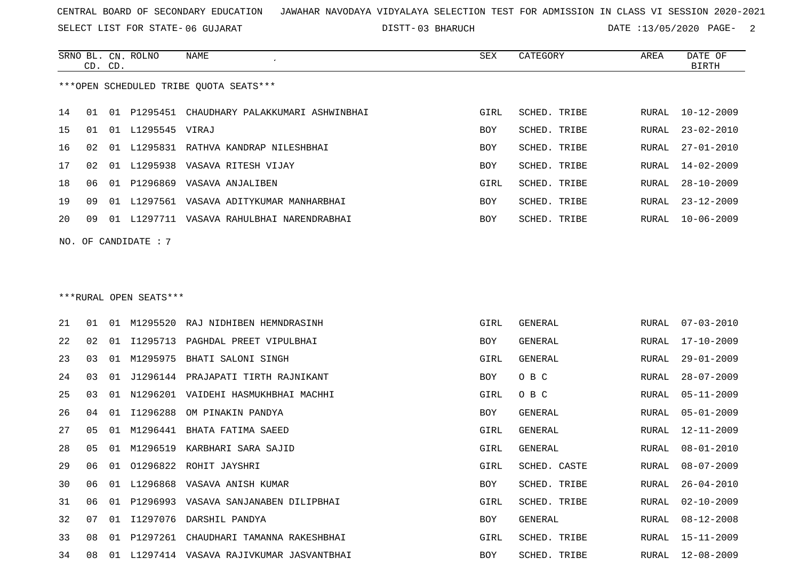SELECT LIST FOR STATE- DISTT- 06 GUJARAT

03 BHARUCH DATE :13/05/2020 PAGE- 2

|                                        | CD. CD. |       | SRNO BL. CN. ROLNO | NAME                             | SEX        | CATEGORY     | AREA  | DATE OF<br>BIRTH |  |  |
|----------------------------------------|---------|-------|--------------------|----------------------------------|------------|--------------|-------|------------------|--|--|
| ***OPEN SCHEDULED TRIBE OUOTA SEATS*** |         |       |                    |                                  |            |              |       |                  |  |  |
| 14                                     | 01      | O 1   | P1295451           | CHAUDHARY PALAKKUMARI ASHWINBHAI | GIRL       | SCHED. TRIBE | RURAL | $10 - 12 - 2009$ |  |  |
| 15                                     | 01      | 01    | L1295545 VIRAJ     |                                  | <b>BOY</b> | SCHED. TRIBE | RURAL | $23 - 02 - 2010$ |  |  |
| 16                                     | 02      | . N 1 | L1295831           | RATHVA KANDRAP NILESHBHAI        | <b>BOY</b> | SCHED. TRIBE | RURAL | 27-01-2010       |  |  |
| 17                                     | 02      | . N 1 | L1295938           | VASAVA RITESH VIJAY              | <b>BOY</b> | SCHED. TRIBE | RURAL | $14 - 02 - 2009$ |  |  |
| 18                                     | 06      | 01    |                    | P1296869 VASAVA ANJALIBEN        | GIRL       | SCHED. TRIBE | RURAL | 28-10-2009       |  |  |
| 19                                     | 09      | O 1   | L1297561           | VASAVA ADITYKUMAR MANHARBHAI     | <b>BOY</b> | SCHED. TRIBE | RURAL | $23 - 12 - 2009$ |  |  |
| 20                                     | 09      | . N 1 | L1297711           | VASAVA RAHULBHAI NARENDRABHAI    | <b>BOY</b> | SCHED. TRIBE | RURAL | $10 - 06 - 2009$ |  |  |
|                                        |         |       |                    |                                  |            |              |       |                  |  |  |

NO. OF CANDIDATE : 7

# \*\*\*RURAL OPEN SEATS\*\*\*

| 21 | 01 | 01  |          | M1295520 RAJ NIDHIBEN HEMNDRASINH      | GIRL       | GENERAL      | RURAL | 07-03-2010       |
|----|----|-----|----------|----------------------------------------|------------|--------------|-------|------------------|
| 22 | 02 | 01  | I1295713 | PAGHDAL PREET VIPULBHAI                | BOY        | GENERAL      | RURAL | 17-10-2009       |
| 23 | 03 | 01  | M1295975 | BHATI SALONI SINGH                     | GIRL       | GENERAL      | RURAL | $29 - 01 - 2009$ |
| 24 | 03 | 01  |          | J1296144 PRAJAPATI TIRTH RAJNIKANT     | BOY        | O B C        | RURAL | $28 - 07 - 2009$ |
| 25 | 03 | 01  |          | N1296201 VAIDEHI HASMUKHBHAI MACHHI    | GIRL       | O B C        | RURAL | 05-11-2009       |
| 26 | 04 | 01  | I1296288 | OM PINAKIN PANDYA                      | BOY        | GENERAL      | RURAL | $05 - 01 - 2009$ |
| 27 | 05 | 01  | M1296441 | BHATA FATIMA SAEED                     | GIRL       | GENERAL      | RURAL | $12 - 11 - 2009$ |
| 28 | 05 | 01  | M1296519 | KARBHARI SARA SAJID                    | GIRL       | GENERAL      | RURAL | $08 - 01 - 2010$ |
| 29 | 06 | O 1 |          | 01296822 ROHIT JAYSHRI                 | GIRL       | SCHED. CASTE | RURAL | $08 - 07 - 2009$ |
| 30 | 06 | 01  |          | L1296868 VASAVA ANISH KUMAR            | BOY        | SCHED. TRIBE | RURAL | $26 - 04 - 2010$ |
| 31 | 06 | O 1 | P1296993 | VASAVA SANJANABEN DILIPBHAI            | GIRL       | SCHED. TRIBE | RURAL | $02 - 10 - 2009$ |
| 32 | 07 | 01  | I1297076 | DARSHIL PANDYA                         | BOY        | GENERAL      | RURAL | 08-12-2008       |
| 33 | 08 | 01  |          | P1297261 CHAUDHARI TAMANNA RAKESHBHAI  | GIRL       | SCHED. TRIBE | RURAL | 15-11-2009       |
| 34 | 08 | 01  |          | L1297414 VASAVA RAJIVKUMAR JASVANTBHAI | <b>BOY</b> | SCHED. TRIBE | RURAL | $12 - 08 - 2009$ |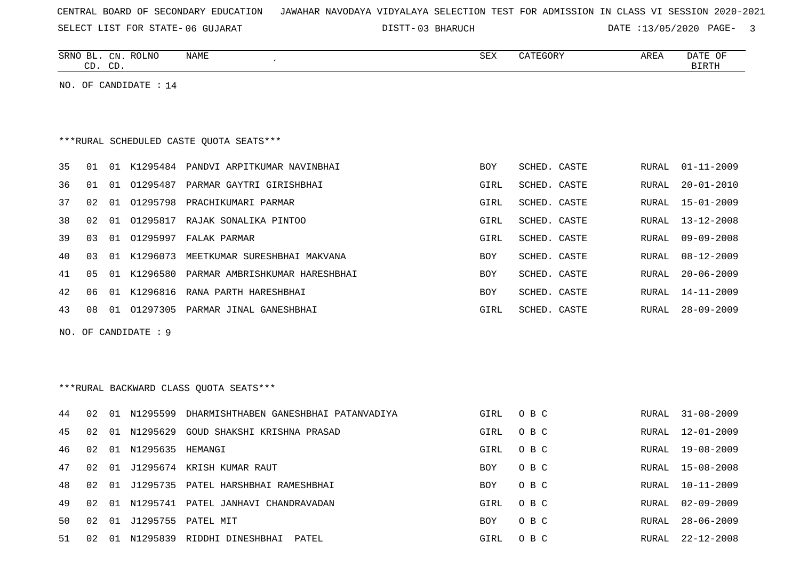SELECT LIST FOR STATE- DISTT- 06 GUJARAT

03 BHARUCH DATE :13/05/2020 PAGE- 3

|    | CD. CD.                                 |    | SRNO BL. CN. ROLNO    | NAME                                              | <b>SEX</b> | CATEGORY     | AREA         | DATE OF<br>BIRTH |  |  |  |
|----|-----------------------------------------|----|-----------------------|---------------------------------------------------|------------|--------------|--------------|------------------|--|--|--|
|    |                                         |    | NO. OF CANDIDATE : 14 |                                                   |            |              |              |                  |  |  |  |
|    |                                         |    |                       |                                                   |            |              |              |                  |  |  |  |
|    | ***RURAL SCHEDULED CASTE QUOTA SEATS*** |    |                       |                                                   |            |              |              |                  |  |  |  |
|    |                                         |    |                       |                                                   |            |              |              |                  |  |  |  |
| 35 | 01                                      |    |                       | 01 K1295484 PANDVI ARPITKUMAR NAVINBHAI           | <b>BOY</b> | SCHED. CASTE | RURAL        | $01 - 11 - 2009$ |  |  |  |
| 36 | 01                                      | 01 |                       | 01295487 PARMAR GAYTRI GIRISHBHAI                 | GIRL       | SCHED. CASTE | RURAL        | $20 - 01 - 2010$ |  |  |  |
| 37 | 02                                      | 01 |                       | 01295798 PRACHIKUMARI PARMAR                      | GIRL       | SCHED. CASTE | <b>RURAL</b> | $15 - 01 - 2009$ |  |  |  |
| 38 | 02                                      |    |                       | 01 01295817 RAJAK SONALIKA PINTOO                 | GIRL       | SCHED. CASTE | <b>RURAL</b> | $13 - 12 - 2008$ |  |  |  |
| 39 | 03                                      | 01 |                       | 01295997 FALAK PARMAR                             | GIRL       | SCHED. CASTE | RURAL        | $09 - 09 - 2008$ |  |  |  |
| 40 | 03                                      |    |                       | 01 K1296073 MEETKUMAR SURESHBHAI MAKVANA          | BOY        | SCHED. CASTE | <b>RURAL</b> | $08 - 12 - 2009$ |  |  |  |
| 41 | 05                                      |    |                       | 01 K1296580 PARMAR AMBRISHKUMAR HARESHBHAI        | <b>BOY</b> | SCHED. CASTE | <b>RURAL</b> | $20 - 06 - 2009$ |  |  |  |
| 42 | 06                                      |    |                       | 01 K1296816 RANA PARTH HARESHBHAI                 | <b>BOY</b> | SCHED. CASTE | RURAL        | $14 - 11 - 2009$ |  |  |  |
| 43 | 08                                      |    |                       | 01 01297305 PARMAR JINAL GANESHBHAI               | GIRL       | SCHED. CASTE | RURAL        | $28 - 09 - 2009$ |  |  |  |
|    |                                         |    | NO. OF CANDIDATE : 9  |                                                   |            |              |              |                  |  |  |  |
|    |                                         |    |                       |                                                   |            |              |              |                  |  |  |  |
|    |                                         |    |                       |                                                   |            |              |              |                  |  |  |  |
|    |                                         |    |                       | ***RURAL BACKWARD CLASS OUOTA SEATS***            |            |              |              |                  |  |  |  |
| 44 | 02                                      |    |                       | 01 N1295599 DHARMISHTHABEN GANESHBHAI PATANVADIYA | GIRL       | O B C        | RURAL        | $31 - 08 - 2009$ |  |  |  |
| 45 | 02                                      |    | 01 N1295629           | GOUD SHAKSHI KRISHNA PRASAD                       | GIRL       | O B C        | <b>RURAL</b> | $12 - 01 - 2009$ |  |  |  |
| 46 | 02                                      |    | 01 N1295635 HEMANGI   |                                                   | GIRL       | O B C        | <b>RURAL</b> | $19 - 08 - 2009$ |  |  |  |
| 47 | 02                                      | 01 |                       | J1295674 KRISH KUMAR RAUT                         | <b>BOY</b> | O B C        | <b>RURAL</b> | $15 - 08 - 2008$ |  |  |  |
| 48 | 02                                      | 01 |                       | J1295735 PATEL HARSHBHAI RAMESHBHAI               | <b>BOY</b> | O B C        | RURAL        | $10 - 11 - 2009$ |  |  |  |
| 49 | 02                                      |    |                       | 01 N1295741 PATEL JANHAVI CHANDRAVADAN            | GIRL       | O B C        | RURAL        | $02 - 09 - 2009$ |  |  |  |

50 02 01 J1295755 PATEL MIT BOY O B C RURAL 28-06-2009 51 02 01 N1295839 RIDDHI DINESHBHAI PATEL SAN SANG GIRL O B C SAN RURAL 22-12-2008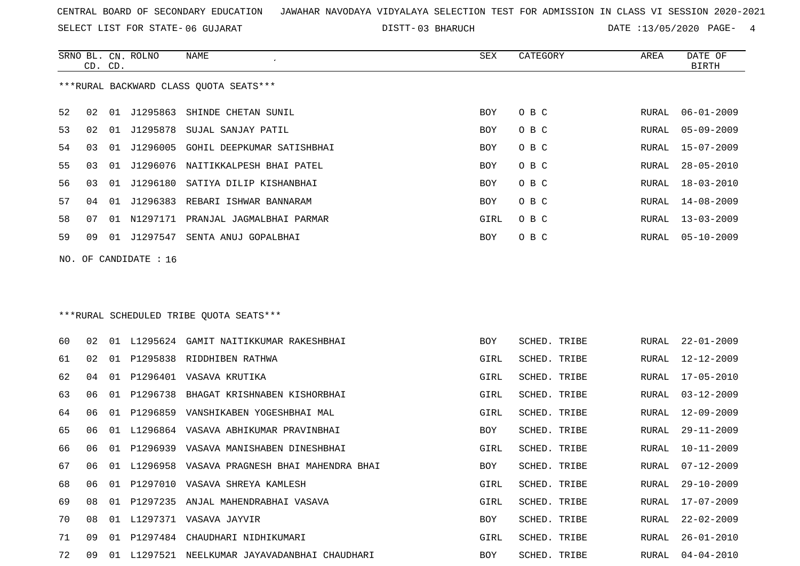SELECT LIST FOR STATE- DISTT- 06 GUJARAT

03 BHARUCH DATE :13/05/2020 PAGE- 4

|    |                                        | CD. CD. | SRNO BL. CN. ROLNO      | NAME<br>$\mathcal{L}_{\mathcal{A}}$ | SEX  | CATEGORY | AREA  | DATE OF<br>BIRTH |  |  |  |
|----|----------------------------------------|---------|-------------------------|-------------------------------------|------|----------|-------|------------------|--|--|--|
|    | ***RURAL BACKWARD CLASS QUOTA SEATS*** |         |                         |                                     |      |          |       |                  |  |  |  |
| 52 | 02                                     |         | 01 J1295863             | SHINDE CHETAN SUNIL                 | BOY  | O B C    | RURAL | $06 - 01 - 2009$ |  |  |  |
| 53 | 02                                     |         |                         | 01 J1295878 SUJAL SANJAY PATIL      | BOY  | O B C    | RURAL | 05-09-2009       |  |  |  |
| 54 | 03                                     | 01      | J1296005                | GOHIL DEEPKUMAR SATISHBHAI          | BOY  | O B C    | RURAL | 15-07-2009       |  |  |  |
| 55 | 03                                     | 01      |                         | J1296076 NAITIKKALPESH BHAI PATEL   | BOY  | O B C    | RURAL | $28 - 05 - 2010$ |  |  |  |
| 56 | 03                                     |         |                         | 01 J1296180 SATIYA DILIP KISHANBHAI | BOY  | O B C    | RURAL | 18-03-2010       |  |  |  |
| 57 | 04                                     |         |                         | 01 J1296383 REBARI ISHWAR BANNARAM  | BOY  | O B C    | RURAL | 14-08-2009       |  |  |  |
| 58 | 07                                     |         | 01 N1297171             | PRANJAL JAGMALBHAI PARMAR           | GIRL | O B C    | RURAL | $13 - 03 - 2009$ |  |  |  |
| 59 | 09                                     |         | 01 J1297547             | SENTA ANUJ GOPALBHAI                | BOY  | O B C    | RURAL | 05-10-2009       |  |  |  |
|    |                                        |         | NO. OF CANDIDATE : $16$ |                                     |      |          |       |                  |  |  |  |
|    |                                        |         |                         |                                     |      |          |       |                  |  |  |  |
|    |                                        |         |                         |                                     |      |          |       |                  |  |  |  |

# \*\*\*RURAL SCHEDULED TRIBE QUOTA SEATS\*\*\*

| 60 | 02  | 01    | L1295624 | GAMIT NAITIKKUMAR RAKESHBHAI       | <b>BOY</b> | SCHED. TRIBE | RURAL | 22-01-2009       |
|----|-----|-------|----------|------------------------------------|------------|--------------|-------|------------------|
| 61 | 02  |       |          | 01 P1295838 RIDDHIBEN RATHWA       | GIRL       | SCHED. TRIBE | RURAL | 12-12-2009       |
| 62 | 04  |       |          | 01 P1296401 VASAVA KRUTIKA         | GIRL       | SCHED. TRIBE | RURAL | 17-05-2010       |
| 63 | 06  | 01    | P1296738 | BHAGAT KRISHNABEN KISHORBHAI       | GIRL       | SCHED. TRIBE | RURAL | $03 - 12 - 2009$ |
| 64 | 06  | . O 1 | P1296859 | VANSHIKABEN YOGESHBHAI MAL         | GIRL       | SCHED. TRIBE | RURAL | $12 - 09 - 2009$ |
| 65 | 06  | 01    | L1296864 | VASAVA ABHIKUMAR PRAVINBHAI        | BOY        | SCHED. TRIBE | RURAL | $29 - 11 - 2009$ |
| 66 | 06  | O 1   | P1296939 | VASAVA MANISHABEN DINESHBHAI       | GIRL       | SCHED. TRIBE | RURAL | $10 - 11 - 2009$ |
| 67 | 06  | 01    | L1296958 | VASAVA PRAGNESH BHAI MAHENDRA BHAI | <b>BOY</b> | SCHED. TRIBE | RURAL | $07 - 12 - 2009$ |
| 68 | 06  | O 1   | P1297010 | VASAVA SHREYA KAMLESH              | GIRL       | SCHED. TRIBE | RURAL | $29 - 10 - 2009$ |
| 69 | 08  | 01    | P1297235 | ANJAL MAHENDRABHAI VASAVA          | GIRL       | SCHED. TRIBE | RURAL | $17 - 07 - 2009$ |
| 70 | 0.8 | O 1   |          | L1297371 VASAVA JAYVIR             | BOY        | SCHED. TRIBE | RURAL | $22 - 02 - 2009$ |
| 71 | 09  | 01    | P1297484 | CHAUDHARI NIDHIKUMARI              | GIRL       | SCHED. TRIBE | RURAL | $26 - 01 - 2010$ |
| 72 | O 9 | O 1   | L1297521 | NEELKUMAR JAYAVADANBHAI CHAUDHARI  | <b>BOY</b> | SCHED. TRIBE | RURAL | 04-04-2010       |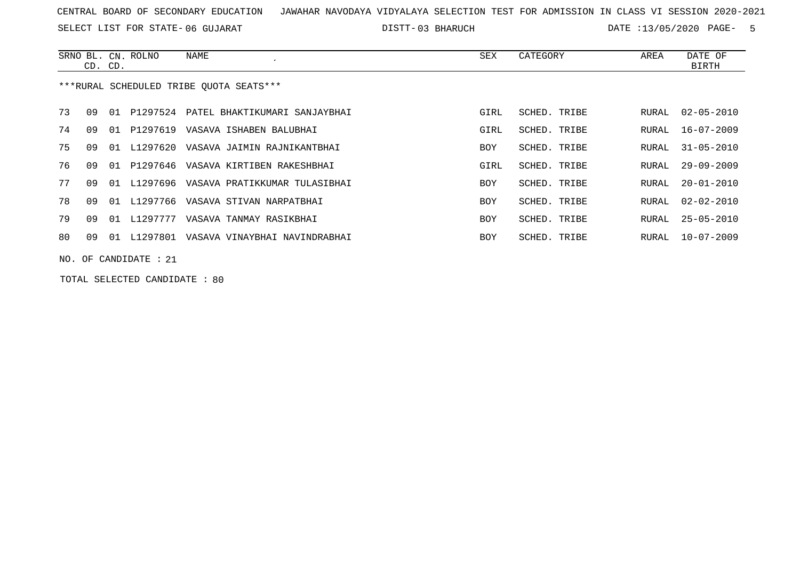SELECT LIST FOR STATE- DISTT- 06 GUJARAT

03 BHARUCH DATE :13/05/2020 PAGE- 5

|    |                                         |    | SRNO BL. CN. ROLNO | NAME                                      | SEX        | CATEGORY     | AREA  | DATE OF          |  |  |
|----|-----------------------------------------|----|--------------------|-------------------------------------------|------------|--------------|-------|------------------|--|--|
|    | CD. CD.                                 |    |                    |                                           |            |              |       | BIRTH            |  |  |
|    | ***RURAL SCHEDULED TRIBE OUOTA SEATS*** |    |                    |                                           |            |              |       |                  |  |  |
| 73 | O 9                                     | 01 |                    | P1297524 PATEL BHAKTIKUMARI SANJAYBHAI    | GIRL       | SCHED. TRIBE | RURAL | $02 - 05 - 2010$ |  |  |
| 74 | O 9                                     | 01 |                    | P1297619 VASAVA ISHABEN BALUBHAI          | GIRL       | SCHED. TRIBE | RURAL | 16-07-2009       |  |  |
| 75 | O 9                                     | 01 |                    | L1297620 VASAVA JAIMIN RAJNIKANTBHAI      | <b>BOY</b> | SCHED. TRIBE | RURAL | $31 - 05 - 2010$ |  |  |
| 76 | O 9                                     | 01 |                    | P1297646 VASAVA KIRTIBEN RAKESHBHAI       | GIRL       | SCHED. TRIBE | RURAL | $29 - 09 - 2009$ |  |  |
| 77 | O 9                                     |    |                    | 01 L1297696 VASAVA PRATIKKUMAR TULASIBHAI | BOY        | SCHED. TRIBE | RURAL | 20-01-2010       |  |  |
| 78 | O 9                                     |    |                    | 01 L1297766 VASAVA STIVAN NARPATBHAI      | <b>BOY</b> | SCHED. TRIBE | RURAL | $02 - 02 - 2010$ |  |  |
| 79 | 09                                      | 01 | L1297777           | VASAVA TANMAY RASIKBHAI                   | BOY        | SCHED. TRIBE | RURAL | 25-05-2010       |  |  |
| 80 | 09                                      | 01 | L1297801           | VASAVA VINAYBHAI NAVINDRABHAI             | BOY        | SCHED. TRIBE | RURAL | $10 - 07 - 2009$ |  |  |
|    | $NO.$ OF CANDIDATE : 21                 |    |                    |                                           |            |              |       |                  |  |  |

TOTAL SELECTED CANDIDATE : 80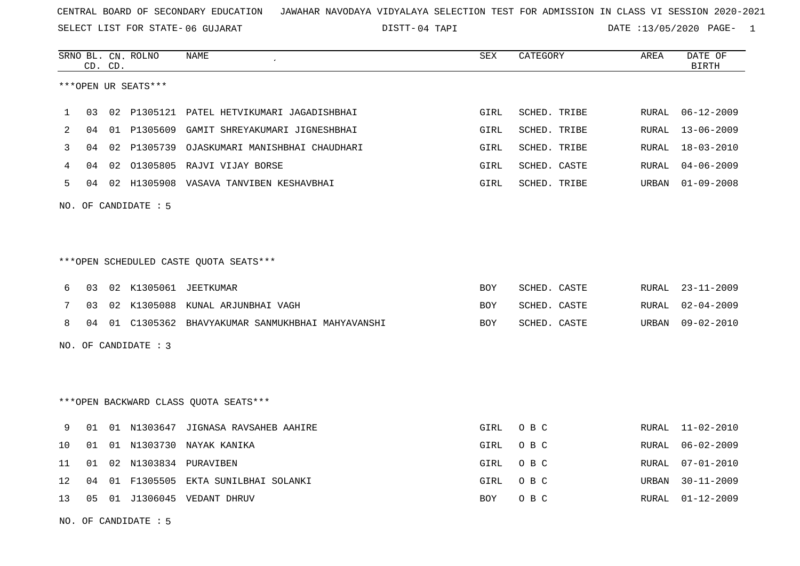SELECT LIST FOR STATE- DISTT- 06 GUJARAT

04 TAPI DATE :13/05/2020 PAGE- 1

|    |    | CD. CD. | SRNO BL. CN. ROLNO   | NAME                                            | <b>SEX</b> | CATEGORY     | AREA  | DATE OF<br><b>BIRTH</b> |
|----|----|---------|----------------------|-------------------------------------------------|------------|--------------|-------|-------------------------|
|    |    |         | ***OPEN UR SEATS***  |                                                 |            |              |       |                         |
| 1  | 03 |         |                      | 02 P1305121 PATEL HETVIKUMARI JAGADISHBHAI      | GIRL       | SCHED. TRIBE | RURAL | $06 - 12 - 2009$        |
| 2  | 04 |         |                      | 01 P1305609 GAMIT SHREYAKUMARI JIGNESHBHAI      | GIRL       | SCHED. TRIBE | RURAL | $13 - 06 - 2009$        |
| 3  | 04 | 02      | P1305739             | OJASKUMARI MANISHBHAI CHAUDHARI                 | GIRL       | SCHED. TRIBE | RURAL | $18 - 03 - 2010$        |
| 4  | 04 | 02      |                      | 01305805 RAJVI VIJAY BORSE                      | GIRL       | SCHED. CASTE | RURAL | $04 - 06 - 2009$        |
| 5  | 04 |         |                      | 02 H1305908 VASAVA TANVIBEN KESHAVBHAI          | GIRL       | SCHED. TRIBE | URBAN | $01 - 09 - 2008$        |
|    |    |         | NO. OF CANDIDATE : 5 |                                                 |            |              |       |                         |
|    |    |         |                      |                                                 |            |              |       |                         |
|    |    |         |                      | ***OPEN SCHEDULED CASTE QUOTA SEATS***          |            |              |       |                         |
| 6  | 03 |         |                      | 02 K1305061 JEETKUMAR                           | BOY        | SCHED. CASTE | RURAL | $23 - 11 - 2009$        |
| 7  | 03 |         |                      | 02 K1305088 KUNAL ARJUNBHAI VAGH                | BOY        | SCHED. CASTE | RURAL | $02 - 04 - 2009$        |
| 8  | 04 |         |                      | 01 C1305362 BHAVYAKUMAR SANMUKHBHAI MAHYAVANSHI | BOY        | SCHED. CASTE | URBAN | $09 - 02 - 2010$        |
|    |    |         | NO. OF CANDIDATE : 3 |                                                 |            |              |       |                         |
|    |    |         |                      |                                                 |            |              |       |                         |
|    |    |         |                      | *** OPEN BACKWARD CLASS QUOTA SEATS***          |            |              |       |                         |
| 9  | 01 |         |                      | 01 N1303647 JIGNASA RAVSAHEB AAHIRE             | GIRL       | O B C        | RURAL | $11 - 02 - 2010$        |
| 10 | 01 | 01      | N1303730             | NAYAK KANIKA                                    | GIRL       | O B C        | RURAL | $06 - 02 - 2009$        |
| 11 | 01 |         |                      | 02 N1303834 PURAVIBEN                           | GIRL       | O B C        | RURAL | $07 - 01 - 2010$        |
| 12 | 04 | 01      | F1305505             | EKTA SUNILBHAI SOLANKI                          | GIRL       | O B C        | URBAN | $30 - 11 - 2009$        |
| 13 | 05 |         |                      | 01 J1306045 VEDANT DHRUV                        | BOY        | O B C        | RURAL | $01 - 12 - 2009$        |
|    |    |         |                      |                                                 |            |              |       |                         |

NO. OF CANDIDATE : 5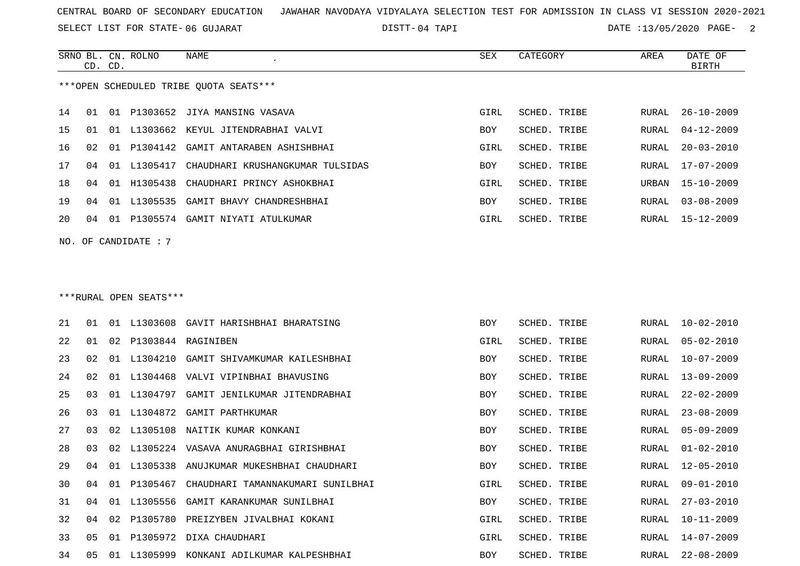SELECT LIST FOR STATE- DISTT- 06 GUJARAT

04 TAPI DATE :13/05/2020 PAGE- 2

|     |                                        | CD. CD. | SRNO BL. CN. ROLNO     | <b>NAME</b>                             | <b>SEX</b> | CATEGORY            | AREA         | DATE OF<br><b>BIRTH</b> |  |  |  |
|-----|----------------------------------------|---------|------------------------|-----------------------------------------|------------|---------------------|--------------|-------------------------|--|--|--|
|     | ***OPEN SCHEDULED TRIBE OUOTA SEATS*** |         |                        |                                         |            |                     |              |                         |  |  |  |
| 14  | 01                                     | 01      |                        | P1303652 JIYA MANSING VASAVA            | GIRL       | SCHED. TRIBE        | RURAL        | $26 - 10 - 2009$        |  |  |  |
| 15  | 01                                     | 01      |                        | L1303662 KEYUL JITENDRABHAI VALVI       | BOY        | SCHED. TRIBE        | RURAL        | $04 - 12 - 2009$        |  |  |  |
| 16  | 02                                     | 01      | P1304142               | GAMIT ANTARABEN ASHISHBHAI              | GIRL       | SCHED. TRIBE        | RURAL        | $20 - 03 - 2010$        |  |  |  |
| 17  | 04                                     |         | 01 L1305417            | CHAUDHARI KRUSHANGKUMAR TULSIDAS        | <b>BOY</b> | <b>SCHED. TRIBE</b> | RURAL        | $17 - 07 - 2009$        |  |  |  |
| 18  | 04                                     | 01      | H1305438               | CHAUDHARI PRINCY ASHOKBHAI              | GIRL       | SCHED. TRIBE        | URBAN        | $15 - 10 - 2009$        |  |  |  |
| 19  | 04                                     | 01      | L1305535               | GAMIT BHAVY CHANDRESHBHAI               | BOY        | SCHED. TRIBE        | RURAL        | $03 - 08 - 2009$        |  |  |  |
| 20  | 04                                     | 01      |                        | P1305574 GAMIT NIYATI ATULKUMAR         | GIRL       | SCHED. TRIBE        | RURAL        | $15 - 12 - 2009$        |  |  |  |
| NO. |                                        |         | OF CANDIDATE : 7       |                                         |            |                     |              |                         |  |  |  |
|     |                                        |         |                        |                                         |            |                     |              |                         |  |  |  |
|     |                                        |         |                        |                                         |            |                     |              |                         |  |  |  |
|     |                                        |         | ***RURAL OPEN SEATS*** |                                         |            |                     |              |                         |  |  |  |
| 21  | 01                                     |         |                        | 01 L1303608 GAVIT HARISHBHAI BHARATSING | <b>BOY</b> | <b>SCHED. TRIBE</b> | RURAL        | $10 - 02 - 2010$        |  |  |  |
| 22  | 01                                     | 02      |                        | P1303844 RAGINIBEN                      | GIRL       | SCHED. TRIBE        | RURAL        | $05 - 02 - 2010$        |  |  |  |
| 23  | 02                                     | 01      | L1304210               | GAMIT SHIVAMKUMAR KAILESHBHAI           | <b>BOY</b> | <b>SCHED. TRIBE</b> | RURAL        | $10 - 07 - 2009$        |  |  |  |
| 24  | 02                                     | 01      | L1304468               | VALVI VIPINBHAI BHAVUSING               | <b>BOY</b> | SCHED. TRIBE        | <b>RURAL</b> | $13 - 09 - 2009$        |  |  |  |
| 25  | 03                                     | 01      | L1304797               | GAMIT JENILKUMAR JITENDRABHAI           | <b>BOY</b> | SCHED. TRIBE        | <b>RURAL</b> | $22 - 02 - 2009$        |  |  |  |
| 26  | 03                                     |         |                        | 01 L1304872 GAMIT PARTHKUMAR            | <b>BOY</b> | SCHED. TRIBE        | RURAL        | $23 - 08 - 2009$        |  |  |  |

27 03 02 L1305108 NAITIK KUMAR KONKANI 28 03 02 L1305224 VASAVA ANURAGBHAI GIRISHBHAI

33 05 01 P1305972 DIXA CHAUDHARI

29 04 01 L1305338 ANUJKUMAR MUKESHBHAI CHAUDHARI

30 04 01 P1305467 CHAUDHARI TAMANNAKUMARI SUNILBHAI

31 04 01 L1305556 GAMIT KARANKUMAR SUNILBHAI

32 04 02 P1305780 PREIZYBEN JIVALBHAI KOKANI

34 05 01 L1305999 KONKANI ADILKUMAR KALPESHBHAI

| ⊥∪⊥        | 551152. IRIB | ------- | 23 UU 2002       |
|------------|--------------|---------|------------------|
| <b>BOY</b> | SCHED. TRIBE | RURAL,  | $05 - 09 - 2009$ |
| <b>BOY</b> | SCHED. TRIBE | RURAL   | $01 - 02 - 2010$ |
| <b>BOY</b> | SCHED. TRIBE | RURAL   | $12 - 05 - 2010$ |
| GIRL       | SCHED. TRIBE | RURAL   | $09 - 01 - 2010$ |
| <b>BOY</b> | SCHED. TRIBE | RURAL   | $27 - 03 - 2010$ |
| GIRL       | SCHED. TRIBE | RURAL   | $10 - 11 - 2009$ |
| GIRL       | SCHED. TRIBE | RURAL   | $14 - 07 - 2009$ |
| BOY        | SCHED. TRIBE | RURAL   | $22 - 08 - 2009$ |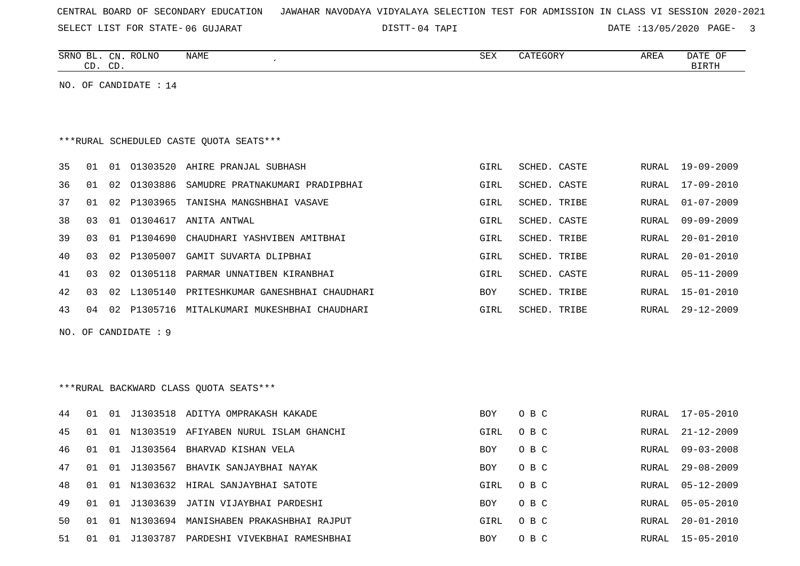SELECT LIST FOR STATE- DISTT- 06 GUJARAT

04 TAPI DATE :13/05/2020 PAGE- 3

| SRNO<br>$\overline{\phantom{0}}$<br>RL | C <sub>NT</sub><br>لالمب | <b>ROLNO</b><br>NAME | $\cap$<br>∆∟ت | CATEGORY | AREI | <b>DAME</b><br>OF<br><u>DA I E</u> |
|----------------------------------------|--------------------------|----------------------|---------------|----------|------|------------------------------------|
| $\sim$<br>سد                           | $\sqrt{2}$<br>ىب         |                      |               |          |      | <b>BIRTH</b>                       |

NO. OF CANDIDATE : 14

# \*\*\*RURAL SCHEDULED CASTE QUOTA SEATS\*\*\*

| 35 | 01 | .N.   | 01303520 | AHIRE PRANJAL SUBHASH             | GIRL | SCHED, CASTE | RURAL | 19-09-2009       |
|----|----|-------|----------|-----------------------------------|------|--------------|-------|------------------|
| 36 | 01 | O 2.  | 01303886 | SAMUDRE PRATNAKUMARI PRADIPBHAI   | GIRL | SCHED. CASTE | RURAL | $17 - 09 - 2010$ |
| 37 | 01 | O 2.  | P1303965 | TANISHA MANGSHBHAI VASAVE         | GIRL | SCHED. TRIBE | RURAL | $01 - 07 - 2009$ |
| 38 | 03 | . O 1 | 01304617 | ANITA ANTWAL                      | GIRL | SCHED. CASTE | RURAL | $09 - 09 - 2009$ |
| 39 | 03 | . N 1 | P1304690 | CHAUDHARI YASHVIBEN AMITBHAI      | GIRL | SCHED. TRIBE | RURAL | $20 - 01 - 2010$ |
| 40 | 03 | 02.   | P1305007 | GAMIT SUVARTA DLIPBHAI            | GIRL | SCHED, TRIBE | RURAL | $20 - 01 - 2010$ |
| 41 | 03 | O 2.  | 01305118 | PARMAR UNNATIBEN KIRANBHAI        | GIRL | SCHED. CASTE | RURAL | $05 - 11 - 2009$ |
| 42 | 03 | 02.   | L1305140 | PRITESHKUMAR GANESHBHAI CHAUDHARI | BOY  | SCHED. TRIBE | RURAL | $15 - 01 - 2010$ |
| 43 | 04 | - 0.2 | P1305716 | MITALKUMARI MUKESHBHAI CHAUDHARI  | GIRL | SCHED. TRIBE | RURAL | $29 - 12 - 2009$ |

NO. OF CANDIDATE : 9

# \*\*\*RURAL BACKWARD CLASS QUOTA SEATS\*\*\*

| 44 | . O 1 | . N 1 |             | J1303518 ADITYA OMPRAKASH KAKADE    | <b>BOY</b> | O B C | RURAL | 17-05-2010       |
|----|-------|-------|-------------|-------------------------------------|------------|-------|-------|------------------|
| 45 | . በ 1 | 01    | N 1303519   | AFIYABEN NURUL ISLAM GHANCHI        | GIRL       | O B C | RURAL | $21 - 12 - 2009$ |
| 46 | O 1   | . N 1 | J1303564    | BHARVAD KISHAN VELA                 | <b>BOY</b> | O B C | RURAL | $09 - 03 - 2008$ |
| 47 | . N 1 |       | 01 J1303567 | BHAVIK SANJAYBHAI NAYAK             | <b>BOY</b> | O B C | RURAL | $29 - 08 - 2009$ |
| 48 | O 1   |       |             | 01 N1303632 HIRAL SANJAYBHAI SATOTE | GIRL       | O B C | RURAL | $05 - 12 - 2009$ |
| 49 | . O 1 | 01    | J1303639    | JATIN VIJAYBHAI PARDESHI            | <b>BOY</b> | O B C | RURAL | 05-05-2010       |
| 50 | O 1   | 01    | N1303694    | MANISHABEN PRAKASHBHAI RAJPUT       | GIRL       | O B C | RURAL | $20 - 01 - 2010$ |
| 51 | -01   | 01    | J1303787    | PARDESHI VIVEKBHAI RAMESHBHAI       | <b>BOY</b> | O B C | RURAL | $15 - 05 - 2010$ |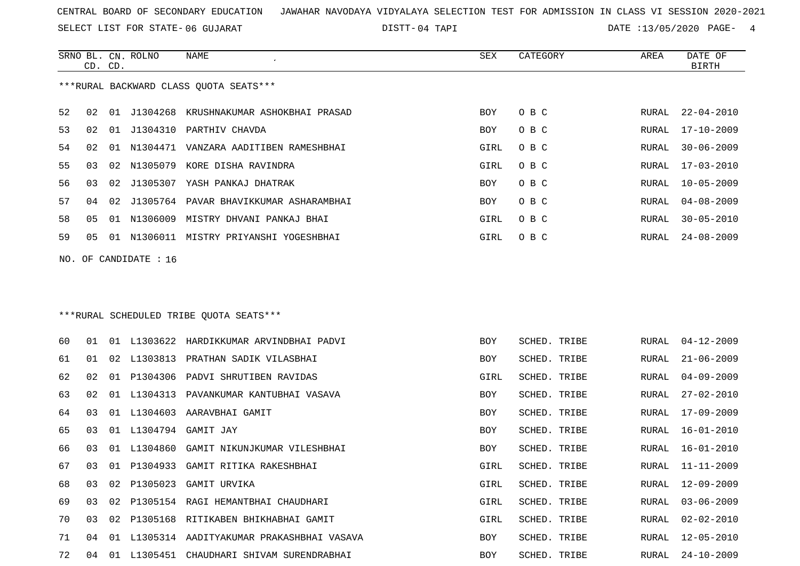SELECT LIST FOR STATE- DISTT- 06 GUJARAT

04 TAPI DATE :13/05/2020 PAGE- 4

|    | CD. CD.                                |  | SRNO BL. CN. ROLNO      | NAME<br>$\epsilon$                        | SEX  | CATEGORY | AREA  | DATE OF<br>BIRTH |  |  |
|----|----------------------------------------|--|-------------------------|-------------------------------------------|------|----------|-------|------------------|--|--|
|    | ***RURAL BACKWARD CLASS OUOTA SEATS*** |  |                         |                                           |      |          |       |                  |  |  |
| 52 | O 2.                                   |  |                         | 01 J1304268 KRUSHNAKUMAR ASHOKBHAI PRASAD | BOY  | O B C    | RURAL | 22-04-2010       |  |  |
| 53 | 02                                     |  |                         | 01 J1304310 PARTHIV CHAVDA                | BOY  | O B C    | RURAL | $17 - 10 - 2009$ |  |  |
| 54 | 02                                     |  |                         | 01 N1304471 VANZARA AADITIBEN RAMESHBHAI  | GIRL | O B C    | RURAL | $30 - 06 - 2009$ |  |  |
| 55 | 03                                     |  |                         | 02 N1305079 KORE DISHA RAVINDRA           | GIRL | O B C    | RURAL | $17 - 03 - 2010$ |  |  |
| 56 | 03                                     |  |                         | 02 J1305307 YASH PANKAJ DHATRAK           | BOY  | O B C    | RURAL | $10 - 05 - 2009$ |  |  |
| 57 | 04                                     |  |                         | 02 J1305764 PAVAR BHAVIKKUMAR ASHARAMBHAI | BOY  | O B C    | RURAL | $04 - 08 - 2009$ |  |  |
| 58 | 05                                     |  |                         | 01 N1306009 MISTRY DHVANI PANKAJ BHAI     | GIRL | O B C    | RURAL | $30 - 05 - 2010$ |  |  |
| 59 | 05                                     |  |                         | 01 N1306011 MISTRY PRIYANSHI YOGESHBHAI   | GIRL | O B C    | RURAL | $24 - 08 - 2009$ |  |  |
|    |                                        |  | NO. OF CANDIDATE : $16$ |                                           |      |          |       |                  |  |  |
|    |                                        |  |                         |                                           |      |          |       |                  |  |  |
|    |                                        |  |                         |                                           |      |          |       |                  |  |  |

# \*\*\*RURAL SCHEDULED TRIBE QUOTA SEATS\*\*\*

| 60 | 01              | . N 1 |             | L1303622 HARDIKKUMAR ARVINDBHAI PADVI | <b>BOY</b> | SCHED. TRIBE | RURAL | $04 - 12 - 2009$ |
|----|-----------------|-------|-------------|---------------------------------------|------------|--------------|-------|------------------|
| 61 | 01              |       |             | 02 L1303813 PRATHAN SADIK VILASBHAI   | BOY        | SCHED. TRIBE | RURAL | 21-06-2009       |
| 62 | 02 <sub>o</sub> | 01    |             | P1304306 PADVI SHRUTIBEN RAVIDAS      | GIRL       | SCHED. TRIBE | RURAL | $04 - 09 - 2009$ |
| 63 | 02              |       | 01 L1304313 | PAVANKUMAR KANTUBHAI VASAVA           | BOY        | SCHED. TRIBE | RURAL | $27 - 02 - 2010$ |
| 64 | 03              |       | 01 L1304603 | AARAVBHAI GAMIT                       | BOY        | SCHED. TRIBE | RURAL | 17-09-2009       |
| 65 | 03              |       | 01 L1304794 | GAMIT JAY                             | BOY        | SCHED. TRIBE | RURAL | 16-01-2010       |
| 66 | 03              | O 1   | L1304860    | GAMIT NIKUNJKUMAR VILESHBHAI          | BOY        | SCHED. TRIBE | RURAL | $16 - 01 - 2010$ |
| 67 | 03              | 01    | P1304933    | GAMIT RITIKA RAKESHBHAI               | GIRL       | SCHED. TRIBE | RURAL | $11 - 11 - 2009$ |
| 68 | 03              | 02    | P1305023    | GAMIT URVIKA                          | GIRL       | SCHED. TRIBE | RURAL | $12 - 09 - 2009$ |
| 69 | 03              | 02    | P1305154    | RAGI HEMANTBHAI CHAUDHARI             | GIRL       | SCHED. TRIBE | RURAL | $03 - 06 - 2009$ |
| 70 | 03              | 02    | P1305168    | RITIKABEN BHIKHABHAI GAMIT            | GIRL       | SCHED. TRIBE | RURAL | $02 - 02 - 2010$ |
| 71 | 04              | 01    | L1305314    | AADITYAKUMAR PRAKASHBHAI VASAVA       | <b>BOY</b> | SCHED. TRIBE | RURAL | $12 - 05 - 2010$ |
| 72 | 04              | . N 1 | L1305451    | CHAUDHARI SHIVAM SURENDRABHAI         | <b>BOY</b> | SCHED. TRIBE | RURAL | $24 - 10 - 2009$ |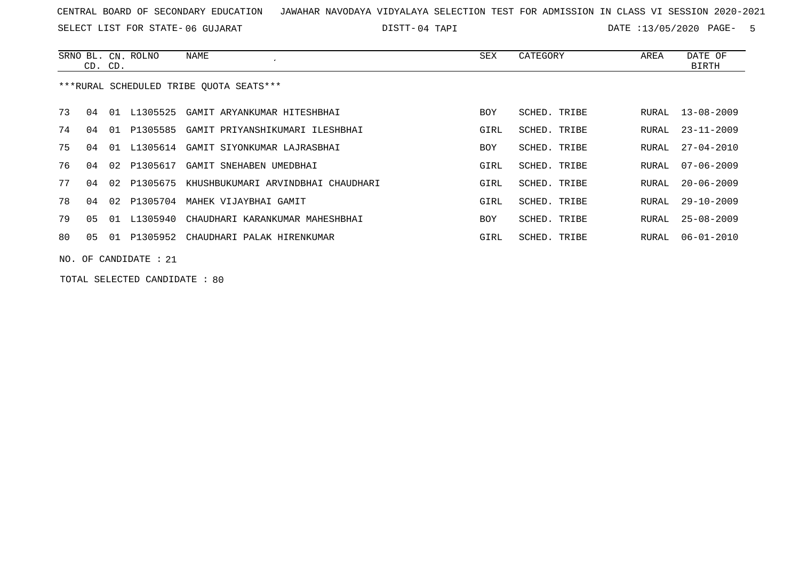SELECT LIST FOR STATE- DISTT- 06 GUJARAT

04 TAPI DATE :13/05/2020 PAGE- 5

|                                         | CD. CD.               |    | SRNO BL. CN. ROLNO | NAME                                        | SEX        | CATEGORY     | AREA  | DATE OF<br>BIRTH |  |  |
|-----------------------------------------|-----------------------|----|--------------------|---------------------------------------------|------------|--------------|-------|------------------|--|--|
| ***RURAL SCHEDULED TRIBE OUOTA SEATS*** |                       |    |                    |                                             |            |              |       |                  |  |  |
| 73                                      | 04                    | 01 | L1305525           | GAMIT ARYANKUMAR HITESHBHAI                 | <b>BOY</b> | SCHED. TRIBE | RURAL | $13 - 08 - 2009$ |  |  |
| 74                                      | በ 4                   | 01 | P1305585           | GAMIT PRIYANSHIKUMARI ILESHBHAI             | GIRL       | SCHED. TRIBE | RURAL | $23 - 11 - 2009$ |  |  |
| 75                                      | 04                    | 01 | L1305614           | GAMIT SIYONKUMAR LAJRASBHAI                 | <b>BOY</b> | SCHED. TRIBE | RURAL | $27 - 04 - 2010$ |  |  |
| 76                                      | በ 4                   | 02 | P1305617           | GAMIT SNEHABEN UMEDBHAI                     | GIRL       | SCHED. TRIBE | RURAL | $07 - 06 - 2009$ |  |  |
| 77                                      | 04                    | 02 |                    | P1305675 KHUSHBUKUMARI ARVINDBHAI CHAUDHARI | GIRL       | SCHED. TRIBE | RURAL | $20 - 06 - 2009$ |  |  |
| 78                                      | 04                    | 02 | P1305704           | MAHEK VIJAYBHAI GAMIT                       | GIRL       | SCHED, TRIBE | RURAL | $29 - 10 - 2009$ |  |  |
| 79                                      | 05                    |    | 01 L1305940        | CHAUDHARI KARANKUMAR MAHESHBHAI             | <b>BOY</b> | SCHED. TRIBE | RURAL | $25 - 08 - 2009$ |  |  |
| 80                                      | 05                    |    | 01 P1305952        | CHAUDHARI PALAK HIRENKUMAR                  | GIRL       | SCHED. TRIBE | RURAL | $06 - 01 - 2010$ |  |  |
|                                         | NO. OF CANDIDATE : 21 |    |                    |                                             |            |              |       |                  |  |  |

TOTAL SELECTED CANDIDATE : 80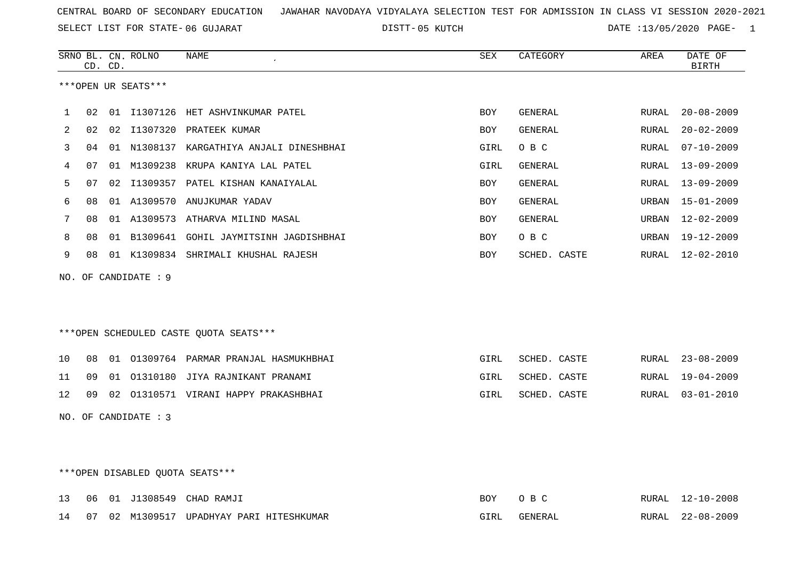SELECT LIST FOR STATE- DISTT- 06 GUJARAT

05 KUTCH DATE :13/05/2020 PAGE- 1

|    |    | CD. CD. | SRNO BL. CN. ROLNO   | <b>NAME</b>                              | SEX        | CATEGORY       | AREA  | DATE OF<br><b>BIRTH</b> |
|----|----|---------|----------------------|------------------------------------------|------------|----------------|-------|-------------------------|
|    |    |         | ***OPEN UR SEATS***  |                                          |            |                |       |                         |
| 1  | 02 |         |                      | 01 I1307126 HET ASHVINKUMAR PATEL        | BOY        | GENERAL        | RURAL | $20 - 08 - 2009$        |
| 2  | 02 |         |                      | 02 I1307320 PRATEEK KUMAR                | BOY        | <b>GENERAL</b> | RURAL | $20 - 02 - 2009$        |
| 3  | 04 |         |                      | 01 N1308137 KARGATHIYA ANJALI DINESHBHAI | GIRL       | O B C          | RURAL | $07 - 10 - 2009$        |
| 4  | 07 |         | 01 M1309238          | KRUPA KANIYA LAL PATEL                   | GIRL       | <b>GENERAL</b> | RURAL | $13 - 09 - 2009$        |
| 5  | 07 | 02      |                      | I1309357 PATEL KISHAN KANAIYALAL         | <b>BOY</b> | <b>GENERAL</b> | RURAL | $13 - 09 - 2009$        |
| 6  | 08 |         | 01 A1309570          | ANUJKUMAR YADAV                          | BOY        | <b>GENERAL</b> | URBAN | 15-01-2009              |
| 7  | 08 |         |                      | 01 A1309573 ATHARVA MILIND MASAL         | <b>BOY</b> | GENERAL        | URBAN | $12 - 02 - 2009$        |
| 8  | 08 |         |                      | 01 B1309641 GOHIL JAYMITSINH JAGDISHBHAI | BOY        | O B C          | URBAN | 19-12-2009              |
| 9  | 08 |         |                      | 01 K1309834 SHRIMALI KHUSHAL RAJESH      | BOY        | SCHED. CASTE   | RURAL | 12-02-2010              |
|    |    |         | NO. OF CANDIDATE : 9 |                                          |            |                |       |                         |
|    |    |         |                      | ***OPEN SCHEDULED CASTE QUOTA SEATS***   |            |                |       |                         |
| 10 | 08 |         |                      | 01 01309764 PARMAR PRANJAL HASMUKHBHAI   | GIRL       | SCHED. CASTE   | RURAL | $23 - 08 - 2009$        |
| 11 | 09 |         |                      | 01 01310180 JIYA RAJNIKANT PRANAMI       | GIRL       | SCHED. CASTE   | RURAL | $19 - 04 - 2009$        |
| 12 | 09 |         |                      | 02 01310571 VIRANI HAPPY PRAKASHBHAI     | GIRL       | SCHED. CASTE   |       | RURAL 03-01-2010        |
|    |    |         | NO. OF CANDIDATE : 3 |                                          |            |                |       |                         |
|    |    |         |                      | ***OPEN DISABLED OUOTA SEATS***          |            |                |       |                         |

|  |  | 13 06 01 J1308549 CHAD RAMJI                |                | RURAL | $12 - 10 - 2008$ |
|--|--|---------------------------------------------|----------------|-------|------------------|
|  |  | 14 07 02 M1309517 UPADHYAY PARI HITESHKUMAR | <b>GENERAI</b> | RURAL | $22 - 08 - 2009$ |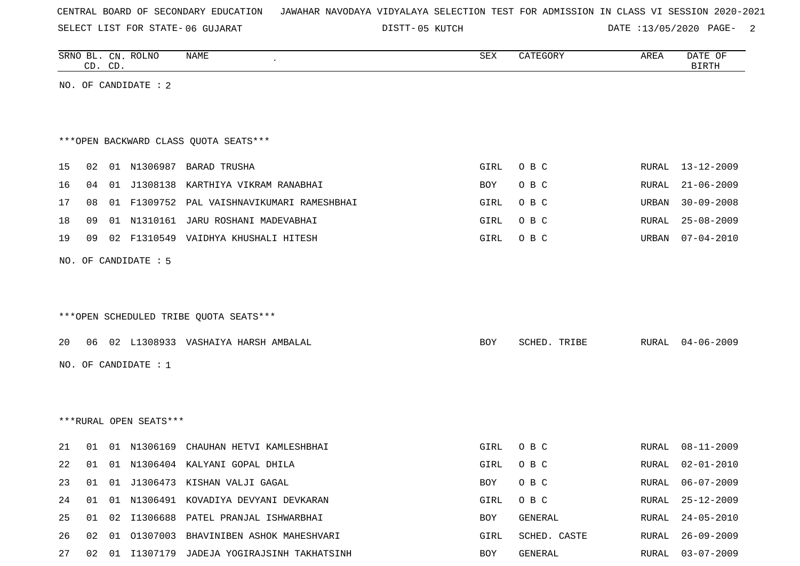SELECT LIST FOR STATE- DISTT- 06 GUJARAT

05 KUTCH DATE :13/05/2020 PAGE- 2

|    | CD. CD. |    | SRNO BL. CN. ROLNO     | <b>NAME</b>                                  | ${\tt SEX}$ | CATEGORY     | AREA  | DATE OF<br><b>BIRTH</b> |
|----|---------|----|------------------------|----------------------------------------------|-------------|--------------|-------|-------------------------|
|    |         |    | NO. OF CANDIDATE : 2   |                                              |             |              |       |                         |
|    |         |    |                        |                                              |             |              |       |                         |
|    |         |    |                        |                                              |             |              |       |                         |
|    |         |    |                        | *** OPEN BACKWARD CLASS QUOTA SEATS***       |             |              |       |                         |
| 15 | 02      |    |                        | 01 N1306987 BARAD TRUSHA                     | GIRL        | O B C        | RURAL | $13 - 12 - 2009$        |
| 16 | 04      |    | 01 J1308138            | KARTHIYA VIKRAM RANABHAI                     | BOY         | O B C        | RURAL | $21 - 06 - 2009$        |
| 17 | 08      |    |                        | 01 F1309752 PAL VAISHNAVIKUMARI RAMESHBHAI   | GIRL        | O B C        | URBAN | $30 - 09 - 2008$        |
| 18 | 09      |    |                        | 01 N1310161 JARU ROSHANI MADEVABHAI          | GIRL        | O B C        | RURAL | $25 - 08 - 2009$        |
| 19 | 09      | 02 |                        | F1310549 VAIDHYA KHUSHALI HITESH             | GIRL        | O B C        | URBAN | $07 - 04 - 2010$        |
|    |         |    |                        |                                              |             |              |       |                         |
|    |         |    | NO. OF CANDIDATE : 5   |                                              |             |              |       |                         |
|    |         |    |                        |                                              |             |              |       |                         |
|    |         |    |                        |                                              |             |              |       |                         |
|    |         |    |                        | ***OPEN SCHEDULED TRIBE QUOTA SEATS***       |             |              |       |                         |
| 20 |         |    |                        | 06 02 L1308933 VASHAIYA HARSH AMBALAL        | BOY         | SCHED. TRIBE | RURAL | $04 - 06 - 2009$        |
|    |         |    | NO. OF CANDIDATE : 1   |                                              |             |              |       |                         |
|    |         |    |                        |                                              |             |              |       |                         |
|    |         |    |                        |                                              |             |              |       |                         |
|    |         |    | ***RURAL OPEN SEATS*** |                                              |             |              |       |                         |
|    |         |    |                        |                                              |             |              |       |                         |
| 21 | 01      |    |                        | 01 N1306169 CHAUHAN HETVI KAMLESHBHAI        | GIRL        | O B C        | RURAL | $08 - 11 - 2009$        |
| 22 | 01      |    |                        | 01 N1306404 KALYANI GOPAL DHILA              | GIRL        | O B C        | RURAL | $02 - 01 - 2010$        |
| 23 |         |    |                        | 01 01 J1306473 KISHAN VALJI GAGAL            | BOY         | O B C        |       | RURAL 06-07-2009        |
| 24 | 01      |    |                        | 01 N1306491 KOVADIYA DEVYANI DEVKARAN        | GIRL        | O B C        | RURAL | $25 - 12 - 2009$        |
| 25 |         |    |                        | 01 02 I1306688 PATEL PRANJAL ISHWARBHAI      | BOY         | GENERAL      | RURAL | 24-05-2010              |
| 26 |         |    |                        | 02 01 01307003 BHAVINIBEN ASHOK MAHESHVARI   | GIRL        | SCHED. CASTE |       | RURAL 26-09-2009        |
| 27 |         |    |                        | 02 01 I1307179 JADEJA YOGIRAJSINH TAKHATSINH | BOY         | GENERAL      |       | RURAL 03-07-2009        |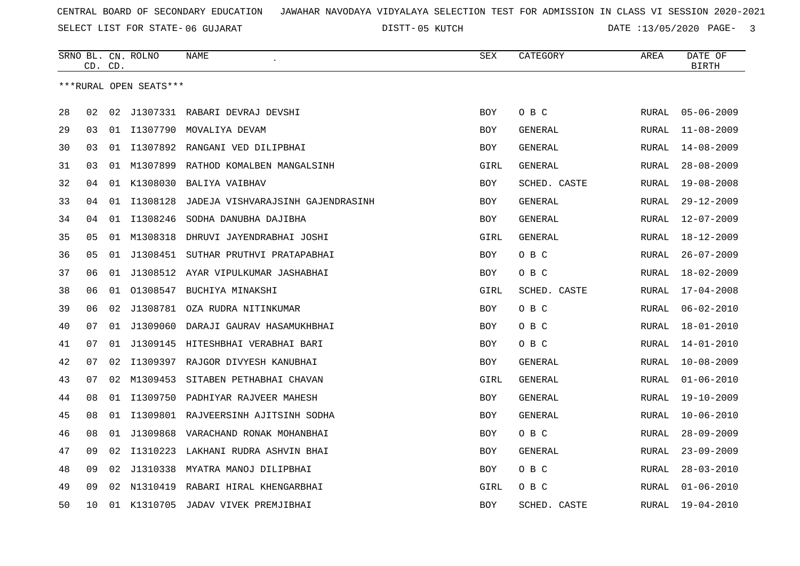SELECT LIST FOR STATE- DISTT- 06 GUJARAT

05 KUTCH DATE :13/05/2020 PAGE- 3

|    |    | CD. CD. | SRNO BL. CN. ROLNO     | NAME                                   | <b>SEX</b> | CATEGORY       | AREA         | DATE OF<br><b>BIRTH</b> |
|----|----|---------|------------------------|----------------------------------------|------------|----------------|--------------|-------------------------|
|    |    |         | ***RURAL OPEN SEATS*** |                                        |            |                |              |                         |
|    |    |         |                        |                                        |            |                |              |                         |
| 28 | 02 | 02      |                        | J1307331 RABARI DEVRAJ DEVSHI          | <b>BOY</b> | O B C          | RURAL        | $05 - 06 - 2009$        |
| 29 | 03 |         | 01 I1307790            | MOVALIYA DEVAM                         | <b>BOY</b> | GENERAL        | <b>RURAL</b> | $11 - 08 - 2009$        |
| 30 | 03 | 01      | I1307892               | RANGANI VED DILIPBHAI                  | BOY        | GENERAL        | RURAL        | $14 - 08 - 2009$        |
| 31 | 03 |         | 01 M1307899            | RATHOD KOMALBEN MANGALSINH             | GIRL       | GENERAL        | RURAL        | $28 - 08 - 2009$        |
| 32 | 04 |         | 01 K1308030            | BALIYA VAIBHAV                         | BOY        | SCHED. CASTE   | RURAL        | $19 - 08 - 2008$        |
| 33 | 04 | 01      | I1308128               | JADEJA VISHVARAJSINH GAJENDRASINH      | <b>BOY</b> | <b>GENERAL</b> | <b>RURAL</b> | $29 - 12 - 2009$        |
| 34 | 04 | 01      | I1308246               | SODHA DANUBHA DAJIBHA                  | BOY        | GENERAL        | RURAL        | $12 - 07 - 2009$        |
| 35 | 05 |         | 01 M1308318            | DHRUVI JAYENDRABHAI JOSHI              | GIRL       | GENERAL        | RURAL        | $18 - 12 - 2009$        |
| 36 | 05 |         | 01 J1308451            | SUTHAR PRUTHVI PRATAPABHAI             | BOY        | O B C          | RURAL        | $26 - 07 - 2009$        |
| 37 | 06 | 01      | J1308512               | AYAR VIPULKUMAR JASHABHAI              | BOY        | O B C          | <b>RURAL</b> | $18 - 02 - 2009$        |
| 38 | 06 | 01      | 01308547               | BUCHIYA MINAKSHI                       | GIRL       | SCHED. CASTE   | <b>RURAL</b> | $17 - 04 - 2008$        |
| 39 | 06 | 02      | J1308781               | OZA RUDRA NITINKUMAR                   | <b>BOY</b> | O B C          | <b>RURAL</b> | $06 - 02 - 2010$        |
| 40 | 07 | 01      | J1309060               | DARAJI GAURAV HASAMUKHBHAI             | BOY        | O B C          | RURAL        | $18 - 01 - 2010$        |
| 41 | 07 | 01      | J1309145               | HITESHBHAI VERABHAI BARI               | <b>BOY</b> | O B C          | RURAL        | $14 - 01 - 2010$        |
| 42 | 07 | 02      |                        | I1309397 RAJGOR DIVYESH KANUBHAI       | BOY        | GENERAL        | <b>RURAL</b> | $10 - 08 - 2009$        |
| 43 | 07 | 02      | M1309453               | SITABEN PETHABHAI CHAVAN               | GIRL       | <b>GENERAL</b> | <b>RURAL</b> | $01 - 06 - 2010$        |
| 44 | 08 | 01      | I1309750               | PADHIYAR RAJVEER MAHESH                | BOY        | GENERAL        | RURAL        | $19 - 10 - 2009$        |
| 45 | 08 |         |                        | 01 I1309801 RAJVEERSINH AJITSINH SODHA | BOY        | GENERAL        | RURAL        | $10 - 06 - 2010$        |
| 46 | 08 |         | 01 J1309868            | VARACHAND RONAK MOHANBHAI              | BOY        | O B C          | <b>RURAL</b> | $28 - 09 - 2009$        |
| 47 | 09 | 02      | I1310223               | LAKHANI RUDRA ASHVIN BHAI              | <b>BOY</b> | GENERAL        | <b>RURAL</b> | $23 - 09 - 2009$        |
| 48 | 09 | 02      | J1310338               | MYATRA MANOJ DILIPBHAI                 | <b>BOY</b> | O B C          | <b>RURAL</b> | $28 - 03 - 2010$        |
| 49 | 09 |         |                        | 02 N1310419 RABARI HIRAL KHENGARBHAI   | GIRL       | O B C          | RURAL        | $01 - 06 - 2010$        |
| 50 | 10 |         |                        | 01 K1310705 JADAV VIVEK PREMJIBHAI     | BOY        | SCHED. CASTE   | <b>RURAL</b> | $19 - 04 - 2010$        |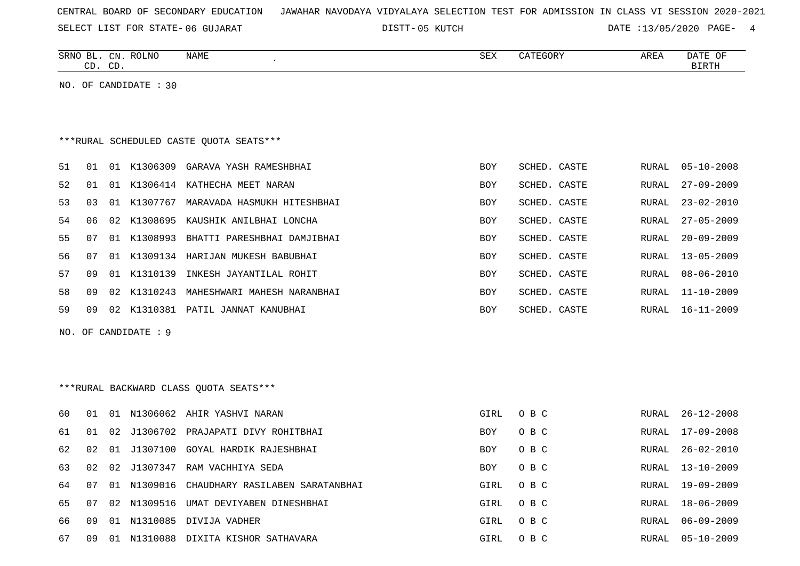SELECT LIST FOR STATE- DISTT- 06 GUJARAT

DISTT-05 KUTCH **DATE** :13/05/2020 PAGE- 4

|                                         |    | CD. CD. | SRNO BL. CN. ROLNO   | NAME                                    | SEX        | CATEGORY     | AREA         | DATE OF<br>BIRTH |  |  |
|-----------------------------------------|----|---------|----------------------|-----------------------------------------|------------|--------------|--------------|------------------|--|--|
| NO. OF CANDIDATE : 30                   |    |         |                      |                                         |            |              |              |                  |  |  |
|                                         |    |         |                      |                                         |            |              |              |                  |  |  |
|                                         |    |         |                      |                                         |            |              |              |                  |  |  |
| ***RURAL SCHEDULED CASTE QUOTA SEATS*** |    |         |                      |                                         |            |              |              |                  |  |  |
| 51                                      | 01 |         |                      | 01 K1306309 GARAVA YASH RAMESHBHAI      | <b>BOY</b> | SCHED. CASTE | RURAL        | $05 - 10 - 2008$ |  |  |
| 52                                      | 01 |         |                      | 01 K1306414 KATHECHA MEET NARAN         | <b>BOY</b> | SCHED. CASTE | RURAL        | $27 - 09 - 2009$ |  |  |
| 53                                      | 03 |         |                      | 01 K1307767 MARAVADA HASMUKH HITESHBHAI | <b>BOY</b> | SCHED. CASTE | RURAL        | $23 - 02 - 2010$ |  |  |
| 54                                      | 06 | 02      |                      | K1308695 KAUSHIK ANILBHAI LONCHA        | <b>BOY</b> | SCHED. CASTE | RURAL        | $27 - 05 - 2009$ |  |  |
| 55                                      | 07 |         |                      | 01 K1308993 BHATTI PARESHBHAI DAMJIBHAI | <b>BOY</b> | SCHED. CASTE | RURAL        | $20 - 09 - 2009$ |  |  |
| 56                                      | 07 |         |                      | 01 K1309134 HARIJAN MUKESH BABUBHAI     | <b>BOY</b> | SCHED. CASTE | <b>RURAL</b> | $13 - 05 - 2009$ |  |  |
| 57                                      | 09 |         | 01 K1310139          | INKESH JAYANTILAL ROHIT                 | BOY        | SCHED. CASTE | RURAL        | $08 - 06 - 2010$ |  |  |
| 58                                      | 09 | 02      |                      | K1310243 MAHESHWARI MAHESH NARANBHAI    | <b>BOY</b> | SCHED. CASTE | RURAL        | $11 - 10 - 2009$ |  |  |
| 59                                      | 09 | 02      |                      | K1310381 PATIL JANNAT KANUBHAI          | <b>BOY</b> | SCHED. CASTE | RURAL        | $16 - 11 - 2009$ |  |  |
|                                         |    |         | NO. OF CANDIDATE : 9 |                                         |            |              |              |                  |  |  |
|                                         |    |         |                      |                                         |            |              |              |                  |  |  |
|                                         |    |         |                      |                                         |            |              |              |                  |  |  |
|                                         |    |         |                      | ***RURAL BACKWARD CLASS OUOTA SEATS***  |            |              |              |                  |  |  |
| 60                                      | 01 |         |                      | 01 N1306062 AHIR YASHVI NARAN           | GIRL       | O B C        | <b>RURAL</b> | $26 - 12 - 2008$ |  |  |
| 61                                      | 01 | 02      |                      | J1306702 PRAJAPATI DIVY ROHITBHAI       | <b>BOY</b> | O B C        | RURAL        | $17 - 09 - 2008$ |  |  |
| 62                                      | 02 |         |                      | 01 J1307100 GOYAL HARDIK RAJESHBHAI     | <b>BOY</b> | O B C        | RURAL        | $26 - 02 - 2010$ |  |  |
| 63                                      | 02 | 02      |                      | J1307347 RAM VACHHIYA SEDA              | BOY        | O B C        | RURAL        | $13 - 10 - 2009$ |  |  |
| 64                                      | 07 | 01      | N1309016             | CHAUDHARY RASILABEN SARATANBHAI         | GIRL       | O B C        | RURAL        | 19-09-2009       |  |  |
| 65                                      | 07 | 02      |                      | N1309516 UMAT DEVIYABEN DINESHBHAI      | GIRL       | O B C        | RURAL        | $18 - 06 - 2009$ |  |  |
| 66                                      | 09 |         |                      | 01 N1310085 DIVIJA VADHER               | GIRL       | O B C        | RURAL        | $06 - 09 - 2009$ |  |  |
| 67                                      | 09 |         |                      | 01 N1310088 DIXITA KISHOR SATHAVARA     | GIRL       | O B C        | RURAL        | $05 - 10 - 2009$ |  |  |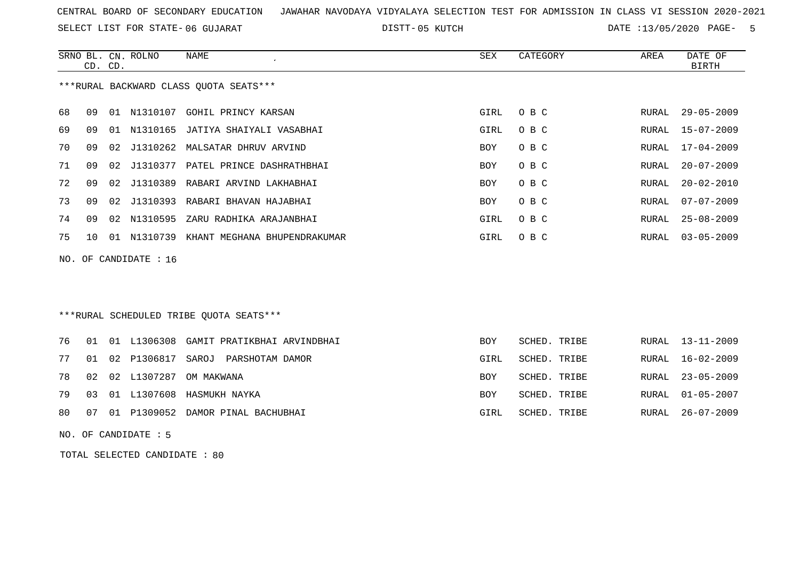SELECT LIST FOR STATE- DISTT- 06 GUJARAT

05 KUTCH DATE :13/05/2020 PAGE- 5

|    | CD. CD.                                |    | SRNO BL. CN. ROLNO | NAME                                 | SEX        | CATEGORY | AREA  | DATE OF<br>BIRTH |  |  |
|----|----------------------------------------|----|--------------------|--------------------------------------|------------|----------|-------|------------------|--|--|
|    | ***RURAL BACKWARD CLASS QUOTA SEATS*** |    |                    |                                      |            |          |       |                  |  |  |
| 68 | O 9                                    |    | 01 N1310107        | GOHIL PRINCY KARSAN                  | GIRL       | O B C    | RURAL | $29 - 05 - 2009$ |  |  |
| 69 | 09                                     |    |                    | 01 N1310165 JATIYA SHAIYALI VASABHAI | GIRL       | O B C    |       | RURAL 15-07-2009 |  |  |
| 70 | 09                                     |    |                    | 02 J1310262 MALSATAR DHRUV ARVIND    | <b>BOY</b> | O B C    |       | RURAL 17-04-2009 |  |  |
| 71 | O 9                                    | 02 |                    | J1310377 PATEL PRINCE DASHRATHBHAI   | <b>BOY</b> | O B C    | RURAL | $20 - 07 - 2009$ |  |  |
| 72 | O 9                                    |    |                    | 02 J1310389 RABARI ARVIND LAKHABHAI  | <b>BOY</b> | O B C    | RURAL | $20 - 02 - 2010$ |  |  |
| 73 | 09                                     |    |                    | 02 J1310393 RABARI BHAVAN HAJABHAI   | <b>BOY</b> | O B C    | RURAL | $07 - 07 - 2009$ |  |  |
| 74 | 09                                     |    | 02 N1310595        | ZARU RADHIKA ARAJANBHAI              | GIRL       | O B C    | RURAL | 25-08-2009       |  |  |
| 75 | 1 O                                    | 01 | N1310739           | KHANT MEGHANA BHUPENDRAKUMAR         | GIRL       | O B C    |       | RURAL 03-05-2009 |  |  |
|    | NO. OF CANDIDATE : $16$                |    |                    |                                      |            |          |       |                  |  |  |

\*\*\*RURAL SCHEDULED TRIBE QUOTA SEATS\*\*\*

|  |  | 76 01 01 L1306308 GAMIT PRATIKBHAI ARVINDBHAI | <b>BOY</b> | SCHED. TRIBE | RURAL 13-11-2009 |
|--|--|-----------------------------------------------|------------|--------------|------------------|
|  |  | 77 01 02 P1306817 SAROJ PARSHOTAM DAMOR       | GIRL       | SCHED. TRIBE | RURAL 16-02-2009 |
|  |  | 78 02 02 L1307287 OM MAKWANA                  | BOY        | SCHED. TRIBE | RURAL 23-05-2009 |
|  |  | 79 03 01 L1307608 HASMUKH NAYKA               | BOY        | SCHED. TRIBE | RURAL 01-05-2007 |
|  |  | 80 07 01 P1309052 DAMOR PINAL BACHUBHAI       | GIRL       | SCHED. TRIBE | RURAL 26-07-2009 |

NO. OF CANDIDATE : 5

TOTAL SELECTED CANDIDATE : 80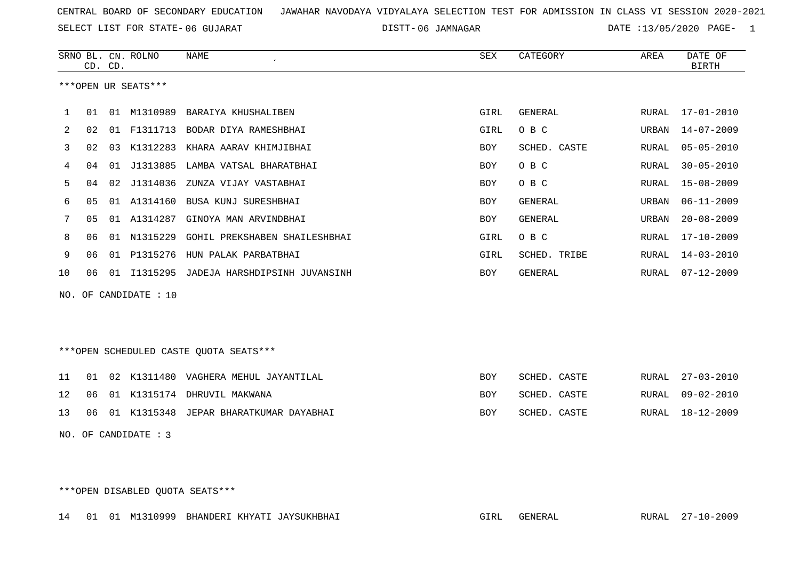SELECT LIST FOR STATE- DISTT- 06 GUJARAT

DISTT-06 JAMNAGAR DATE :13/05/2020 PAGE- 1

|                                        | CD. CD.                |    | SRNO BL. CN. ROLNO | NAME                                      | SEX        | CATEGORY       | AREA         | DATE OF<br><b>BIRTH</b> |  |
|----------------------------------------|------------------------|----|--------------------|-------------------------------------------|------------|----------------|--------------|-------------------------|--|
| ***OPEN UR SEATS***                    |                        |    |                    |                                           |            |                |              |                         |  |
| 1                                      | 01                     |    | 01 M1310989        | BARAIYA KHUSHALIBEN                       | GIRL       | GENERAL        | RURAL        | 17-01-2010              |  |
| 2                                      | 02                     |    | 01 F1311713        | BODAR DIYA RAMESHBHAI                     | GIRL       | O B C          | URBAN        | $14 - 07 - 2009$        |  |
| 3                                      | 02                     |    |                    | 03 K1312283 KHARA AARAV KHIMJIBHAI        | BOY        | SCHED. CASTE   | RURAL        | $05 - 05 - 2010$        |  |
| 4                                      | 04                     | 01 | J1313885           | LAMBA VATSAL BHARATBHAI                   | BOY        | O B C          | RURAL        | $30 - 05 - 2010$        |  |
| 5                                      | 04                     |    | 02 J1314036        | ZUNZA VIJAY VASTABHAI                     | <b>BOY</b> | O B C          | <b>RURAL</b> | $15 - 08 - 2009$        |  |
| 6                                      | 0 <sub>5</sub>         |    | 01 A1314160        | BUSA KUNJ SURESHBHAI                      | BOY        | <b>GENERAL</b> | URBAN        | $06 - 11 - 2009$        |  |
| 7                                      | 05                     |    |                    | 01 A1314287 GINOYA MAN ARVINDBHAI         | BOY        | <b>GENERAL</b> | URBAN        | $20 - 08 - 2009$        |  |
| 8                                      | 06                     | 01 | N1315229           | GOHIL PREKSHABEN SHAILESHBHAI             | GIRL       | O B C          | RURAL        | $17 - 10 - 2009$        |  |
| 9                                      | 06                     | 01 | P1315276           | HUN PALAK PARBATBHAI                      | GIRL       | SCHED. TRIBE   | RURAL        | $14 - 03 - 2010$        |  |
| 10                                     | 06                     |    |                    | 01 I1315295 JADEJA HARSHDIPSINH JUVANSINH | BOY        | GENERAL        |              | RURAL 07-12-2009        |  |
|                                        | NO. OF CANDIDATE : 10  |    |                    |                                           |            |                |              |                         |  |
|                                        |                        |    |                    |                                           |            |                |              |                         |  |
| ***OPEN SCHEDULED CASTE QUOTA SEATS*** |                        |    |                    |                                           |            |                |              |                         |  |
| 11                                     | 01                     |    |                    | 02 K1311480 VAGHERA MEHUL JAYANTILAL      | BOY        | SCHED. CASTE   | RURAL        | $27 - 03 - 2010$        |  |
| 12                                     | 06                     |    |                    | 01 K1315174 DHRUVIL MAKWANA               | BOY        | SCHED. CASTE   | RURAL        | $09 - 02 - 2010$        |  |
| 13                                     | 06                     |    |                    | 01 K1315348 JEPAR BHARATKUMAR DAYABHAI    | BOY        | SCHED. CASTE   | RURAL        | $18 - 12 - 2009$        |  |
|                                        | NO. OF CANDIDATE : $3$ |    |                    |                                           |            |                |              |                         |  |

\*\*\*OPEN DISABLED QUOTA SEATS\*\*\*

14 01 01 M1310999 BHANDERI KHYATI JAYSUKHBHAI GIRL GENERAL RURAL 27-10-2009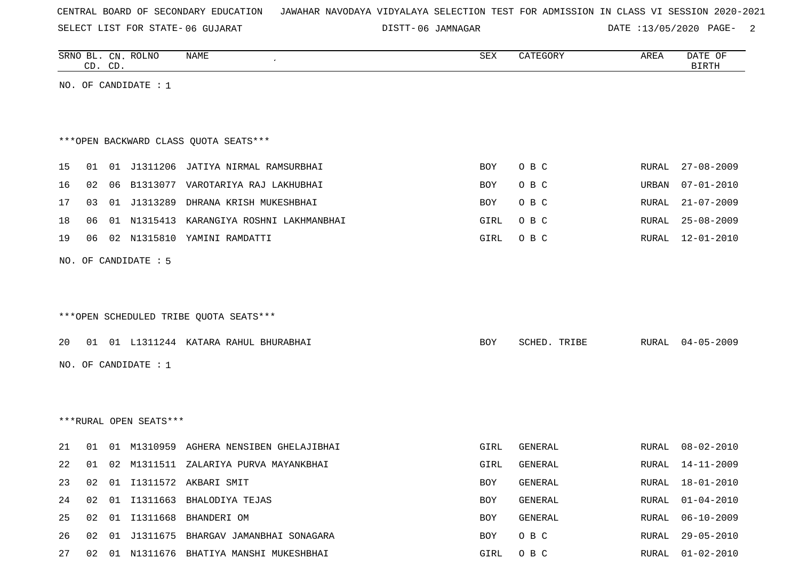SELECT LIST FOR STATE- DISTT- 06 GUJARAT

06 JAMNAGAR DATE :13/05/2020 PAGE- 2

|                                        |    | CD. CD. | SRNO BL. CN. ROLNO     | <b>NAME</b>                              | SEX  | CATEGORY     | AREA  | DATE OF<br><b>BIRTH</b> |  |  |
|----------------------------------------|----|---------|------------------------|------------------------------------------|------|--------------|-------|-------------------------|--|--|
|                                        |    |         | NO. OF CANDIDATE : $1$ |                                          |      |              |       |                         |  |  |
|                                        |    |         |                        |                                          |      |              |       |                         |  |  |
|                                        |    |         |                        |                                          |      |              |       |                         |  |  |
| *** OPEN BACKWARD CLASS QUOTA SEATS*** |    |         |                        |                                          |      |              |       |                         |  |  |
| 15                                     | 01 |         |                        | 01 J1311206 JATIYA NIRMAL RAMSURBHAI     | BOY  | O B C        | RURAL | $27 - 08 - 2009$        |  |  |
| 16                                     | 02 |         |                        | 06 B1313077 VAROTARIYA RAJ LAKHUBHAI     | BOY  | O B C        | URBAN | $07 - 01 - 2010$        |  |  |
| 17                                     | 03 |         |                        | 01 J1313289 DHRANA KRISH MUKESHBHAI      | BOY  | O B C        | RURAL | $21 - 07 - 2009$        |  |  |
| 18                                     | 06 |         |                        | 01 N1315413 KARANGIYA ROSHNI LAKHMANBHAI | GIRL | O B C        | RURAL | $25 - 08 - 2009$        |  |  |
| 19                                     | 06 |         |                        | 02 N1315810 YAMINI RAMDATTI              | GIRL | O B C        | RURAL | $12 - 01 - 2010$        |  |  |
|                                        |    |         | NO. OF CANDIDATE : 5   |                                          |      |              |       |                         |  |  |
|                                        |    |         |                        |                                          |      |              |       |                         |  |  |
|                                        |    |         |                        |                                          |      |              |       |                         |  |  |
|                                        |    |         |                        | ***OPEN SCHEDULED TRIBE QUOTA SEATS***   |      |              |       |                         |  |  |
|                                        |    |         |                        |                                          |      |              |       |                         |  |  |
| 20                                     |    |         |                        | 01 01 L1311244 KATARA RAHUL BHURABHAI    | BOY  | SCHED. TRIBE | RURAL | $04 - 05 - 2009$        |  |  |
|                                        |    |         | NO. OF CANDIDATE : 1   |                                          |      |              |       |                         |  |  |
|                                        |    |         |                        |                                          |      |              |       |                         |  |  |
|                                        |    |         |                        |                                          |      |              |       |                         |  |  |
|                                        |    |         | ***RURAL OPEN SEATS*** |                                          |      |              |       |                         |  |  |
| 21                                     | 01 |         |                        | 01 M1310959 AGHERA NENSIBEN GHELAJIBHAI  | GIRL | GENERAL      | RURAL | $08 - 02 - 2010$        |  |  |
| 22                                     |    |         |                        | 01 02 M1311511 ZALARIYA PURVA MAYANKBHAI | GIRL | GENERAL      | RURAL | $14 - 11 - 2009$        |  |  |
| 23                                     | 02 |         |                        | 01 I1311572 AKBARI SMIT                  | BOY  | GENERAL      |       | RURAL 18-01-2010        |  |  |
| 24                                     | 02 | 01      |                        | I1311663 BHALODIYA TEJAS                 | BOY  | GENERAL      | RURAL | $01 - 04 - 2010$        |  |  |
| 25                                     | 02 | 01      |                        | I1311668 BHANDERI OM                     | BOY  | GENERAL      | RURAL | $06 - 10 - 2009$        |  |  |
| 26                                     | 02 |         |                        | 01 J1311675 BHARGAV JAMANBHAI SONAGARA   | BOY  | O B C        | RURAL | $29 - 05 - 2010$        |  |  |
| 27                                     | 02 |         |                        | 01 N1311676 BHATIYA MANSHI MUKESHBHAI    | GIRL | O B C        | RURAL | $01 - 02 - 2010$        |  |  |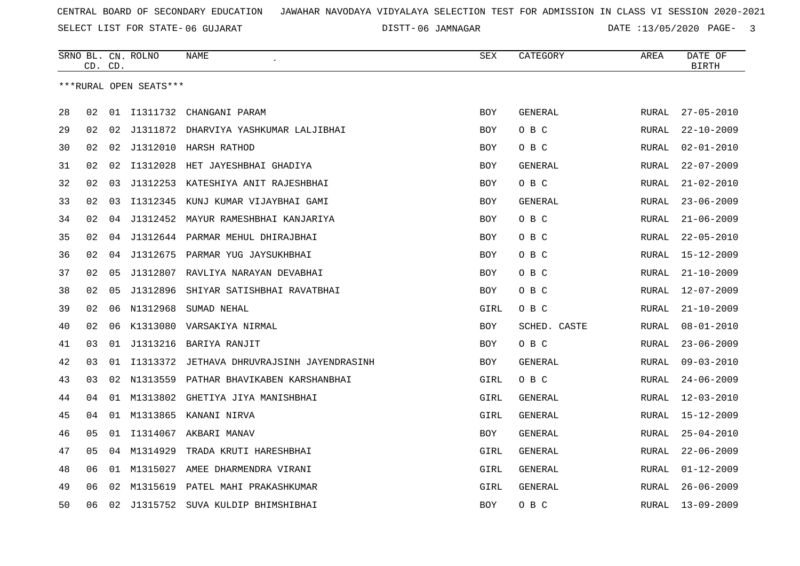SELECT LIST FOR STATE- DISTT- 06 GUJARAT

06 JAMNAGAR DATE :13/05/2020 PAGE- 3

|    |    | CD. CD. | SRNO BL. CN. ROLNO     | <b>NAME</b>                                   | <b>SEX</b> | CATEGORY       | AREA         | DATE OF<br>BIRTH |
|----|----|---------|------------------------|-----------------------------------------------|------------|----------------|--------------|------------------|
|    |    |         | ***RURAL OPEN SEATS*** |                                               |            |                |              |                  |
|    |    |         |                        |                                               |            |                |              |                  |
| 28 | 02 |         |                        | 01 I1311732 CHANGANI PARAM                    | <b>BOY</b> | <b>GENERAL</b> | RURAL        | $27 - 05 - 2010$ |
| 29 | 02 | 02      |                        | J1311872 DHARVIYA YASHKUMAR LALJIBHAI         | <b>BOY</b> | O B C          | RURAL        | $22 - 10 - 2009$ |
| 30 | 02 | 02      | J1312010               | HARSH RATHOD                                  | <b>BOY</b> | O B C          | RURAL        | $02 - 01 - 2010$ |
| 31 | 02 | 02      | I1312028               | HET JAYESHBHAI GHADIYA                        | BOY        | GENERAL        | RURAL        | $22 - 07 - 2009$ |
| 32 | 02 | 03      | J1312253               | KATESHIYA ANIT RAJESHBHAI                     | BOY        | O B C          | <b>RURAL</b> | $21 - 02 - 2010$ |
| 33 | 02 | 03      | I1312345               | KUNJ KUMAR VIJAYBHAI GAMI                     | <b>BOY</b> | <b>GENERAL</b> | RURAL        | $23 - 06 - 2009$ |
| 34 | 02 | 04      |                        | J1312452 MAYUR RAMESHBHAI KANJARIYA           | <b>BOY</b> | O B C          | RURAL        | $21 - 06 - 2009$ |
| 35 | 02 | 04      |                        | J1312644 PARMAR MEHUL DHIRAJBHAI              | BOY        | O B C          | RURAL        | $22 - 05 - 2010$ |
| 36 | 02 | 04      |                        | J1312675 PARMAR YUG JAYSUKHBHAI               | BOY        | O B C          | RURAL        | $15 - 12 - 2009$ |
| 37 | 02 | 05      | J1312807               | RAVLIYA NARAYAN DEVABHAI                      | <b>BOY</b> | O B C          | RURAL        | $21 - 10 - 2009$ |
| 38 | 02 | 05      |                        | J1312896 SHIYAR SATISHBHAI RAVATBHAI          | BOY        | O B C          | RURAL        | $12 - 07 - 2009$ |
| 39 | 02 | 06      | N1312968               | SUMAD NEHAL                                   | GIRL       | O B C          | RURAL        | $21 - 10 - 2009$ |
| 40 | 02 | 06      |                        | K1313080 VARSAKIYA NIRMAL                     | <b>BOY</b> | SCHED. CASTE   | RURAL        | $08 - 01 - 2010$ |
| 41 | 03 | 01      | J1313216               | BARIYA RANJIT                                 | <b>BOY</b> | O B C          | <b>RURAL</b> | $23 - 06 - 2009$ |
| 42 | 03 |         |                        | 01 I1313372 JETHAVA DHRUVRAJSINH JAYENDRASINH | <b>BOY</b> | GENERAL        | RURAL        | $09 - 03 - 2010$ |
| 43 | 03 | 02      | N1313559               | PATHAR BHAVIKABEN KARSHANBHAI                 | GIRL       | O B C          | RURAL        | $24 - 06 - 2009$ |
| 44 | 04 |         | 01 M1313802            | GHETIYA JIYA MANISHBHAI                       | GIRL       | GENERAL        | RURAL        | $12 - 03 - 2010$ |
| 45 | 04 |         |                        | 01 M1313865 KANANI NIRVA                      | GIRL       | GENERAL        | RURAL        | $15 - 12 - 2009$ |
| 46 | 05 |         |                        | 01 I1314067 AKBARI MANAV                      | <b>BOY</b> | GENERAL        | RURAL        | $25 - 04 - 2010$ |
| 47 | 05 |         | 04 M1314929            | TRADA KRUTI HARESHBHAI                        | GIRL       | GENERAL        | RURAL        | $22 - 06 - 2009$ |
| 48 | 06 |         | 01 M1315027            | AMEE DHARMENDRA VIRANI                        | GIRL       | GENERAL        | <b>RURAL</b> | $01 - 12 - 2009$ |
| 49 | 06 | 02      |                        | M1315619 PATEL MAHI PRAKASHKUMAR              | GIRL       | <b>GENERAL</b> | RURAL        | $26 - 06 - 2009$ |
| 50 | 06 | 02      |                        | J1315752 SUVA KULDIP BHIMSHIBHAI              | <b>BOY</b> | O B C          | RURAL        | $13 - 09 - 2009$ |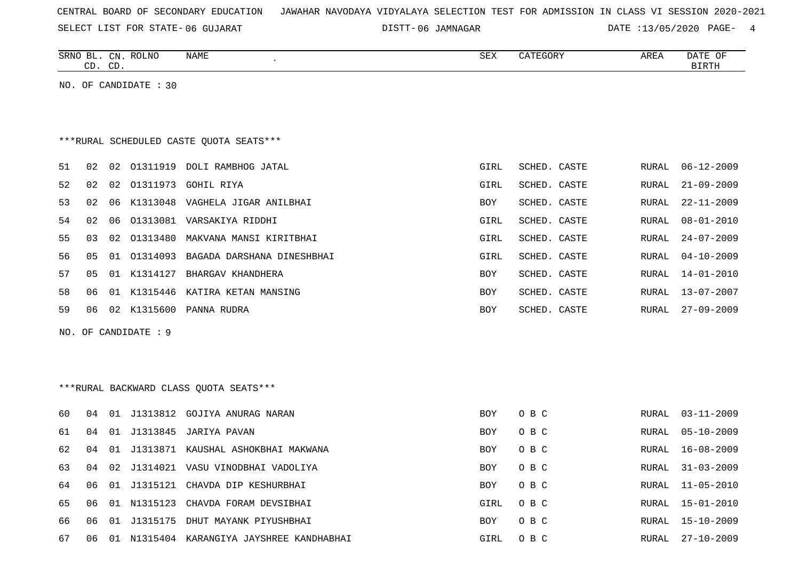|  |  |  |  | CENTRAL BOARD OF SECONDARY EDUCATION – JAWAHAR NAVODAYA VIDYALAYA SELECTION TEST FOR ADMISSION IN CLASS VI SESSION 2020-2021 |  |  |  |  |  |  |  |  |  |  |  |  |  |
|--|--|--|--|------------------------------------------------------------------------------------------------------------------------------|--|--|--|--|--|--|--|--|--|--|--|--|--|
|--|--|--|--|------------------------------------------------------------------------------------------------------------------------------|--|--|--|--|--|--|--|--|--|--|--|--|--|

SELECT LIST FOR STATE-06 GUJARAT

06 GUJARAT 06 JAMNAGAR DATE :13/05/2020 PAGE- 4

|    |    | CD. CD. | SRNO BL. CN. ROLNO    | <b>NAME</b>                              | <b>SEX</b> | CATEGORY     | AREA  | DATE OF<br><b>BIRTH</b> |
|----|----|---------|-----------------------|------------------------------------------|------------|--------------|-------|-------------------------|
|    |    |         | NO. OF CANDIDATE : 30 |                                          |            |              |       |                         |
|    |    |         |                       |                                          |            |              |       |                         |
|    |    |         |                       |                                          |            |              |       |                         |
|    |    |         |                       | *** RURAL SCHEDULED CASTE QUOTA SEATS*** |            |              |       |                         |
| 51 | 02 |         |                       | 02 01311919 DOLI RAMBHOG JATAL           | GIRL       | SCHED. CASTE | RURAL | $06 - 12 - 2009$        |
| 52 | 02 | 02      | 01311973              | GOHIL RIYA                               | GIRL       | SCHED. CASTE | RURAL | $21 - 09 - 2009$        |
| 53 | 02 | 06      | K1313048              | VAGHELA JIGAR ANILBHAI                   | BOY        | SCHED. CASTE | RURAL | $22 - 11 - 2009$        |
| 54 | 02 | 06      |                       | 01313081 VARSAKIYA RIDDHI                | GIRL       | SCHED. CASTE | RURAL | $08 - 01 - 2010$        |
| 55 | 03 |         | 02 01313480           | MAKVANA MANSI KIRITBHAI                  | GIRL       | SCHED. CASTE | RURAL | $24 - 07 - 2009$        |
| 56 | 05 |         | 01 01314093           | BAGADA DARSHANA DINESHBHAI               | GIRL       | SCHED. CASTE | RURAL | $04 - 10 - 2009$        |
| 57 | 05 |         | 01 K1314127           | BHARGAV KHANDHERA                        | BOY        | SCHED. CASTE | RURAL | 14-01-2010              |
| 58 | 06 |         |                       | 01 K1315446 KATIRA KETAN MANSING         | BOY        | SCHED. CASTE | RURAL | $13 - 07 - 2007$        |
| 59 | 06 |         | 02 K1315600           | PANNA RUDRA                              | BOY        | SCHED. CASTE | RURAL | $27 - 09 - 2009$        |
|    |    |         | NO. OF CANDIDATE : 9  |                                          |            |              |       |                         |
|    |    |         |                       |                                          |            |              |       |                         |
|    |    |         |                       |                                          |            |              |       |                         |
|    |    |         |                       | ***RURAL BACKWARD CLASS QUOTA SEATS***   |            |              |       |                         |
|    |    |         |                       |                                          |            |              |       |                         |
| 60 | 04 |         |                       | 01 J1313812 GOJIYA ANURAG NARAN          | BOY        | O B C        | RURAL | $03 - 11 - 2009$        |
| 61 | 04 |         |                       | 01 J1313845 JARIYA PAVAN                 | <b>BOY</b> | O B C        | RURAL | $05 - 10 - 2009$        |
| 62 | 04 |         |                       | 01 J1313871 KAUSHAL ASHOKBHAI MAKWANA    | BOY        | O B C        | RURAL | $16 - 08 - 2009$        |
| 63 | 04 | 02      |                       | J1314021 VASU VINODBHAI VADOLIYA         | BOY        | O B C        | RURAL | $31 - 03 - 2009$        |
| 64 | 06 |         |                       | 01 J1315121 CHAVDA DIP KESHURBHAI        | BOY        | O B C        | RURAL | $11 - 05 - 2010$        |
| 65 | 06 |         |                       | 01 N1315123 CHAVDA FORAM DEVSIBHAI       | GIRL       | O B C        | RURAL | 15-01-2010              |
| 66 | 06 |         |                       | 01 J1315175 DHUT MAYANK PIYUSHBHAI       | <b>BOY</b> | O B C        |       | RURAL 15-10-2009        |

67 06 01 N1315404 KARANGIYA JAYSHREE KANDHABHAI GUNA GIRL O B C RURAL 27-10-2009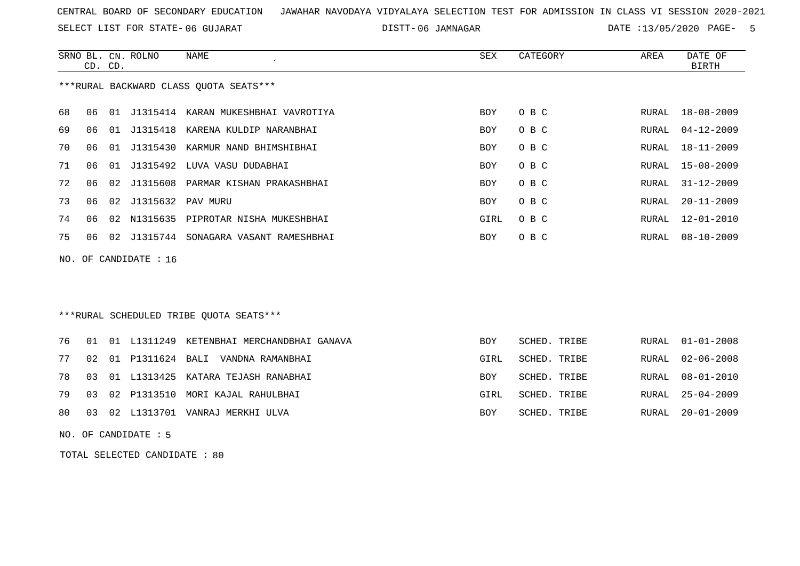SELECT LIST FOR STATE- DISTT- 06 GUJARAT

06 JAMNAGAR DATE :13/05/2020 PAGE- 5

|    | CD. CD. |    | SRNO BL. CN. ROLNO | NAME                                   | SEX        | CATEGORY | AREA  | DATE OF<br>BIRTH |
|----|---------|----|--------------------|----------------------------------------|------------|----------|-------|------------------|
|    |         |    |                    | ***RURAL BACKWARD CLASS QUOTA SEATS*** |            |          |       |                  |
| 68 | ೧೯      |    |                    | 01 J1315414 KARAN MUKESHBHAI VAVROTIYA | <b>BOY</b> | O B C    |       | RURAL 18-08-2009 |
| 69 | 06      | 01 | J1315418           | KARENA KULDIP NARANBHAI                | BOY        | O B C    | RURAL | 04-12-2009       |
| 70 | 06      | 01 | J1315430           | KARMUR NAND BHIMSHIBHAI                | <b>BOY</b> | O B C    | RURAL | $18 - 11 - 2009$ |
| 71 | 06      | 01 | J1315492           | LUVA VASU DUDABHAI                     | <b>BOY</b> | O B C    | RURAL | 15-08-2009       |
| 72 | 06      |    |                    | 02 J1315608 PARMAR KISHAN PRAKASHBHAI  | <b>BOY</b> | O B C    | RURAL | 31-12-2009       |
| 73 | 06      | 02 | J1315632 PAV MURU  |                                        | <b>BOY</b> | O B C    | RURAL | $20 - 11 - 2009$ |
| 74 | 06      | 02 | N1315635           | PIPROTAR NISHA MUKESHBHAI              | GIRL       | O B C    | RURAL | $12 - 01 - 2010$ |
| 75 | 06      | 02 | J1315744           | SONAGARA VASANT RAMESHBHAI             | <b>BOY</b> | O B C    | RURAL | $08 - 10 - 2009$ |
|    |         |    |                    |                                        |            |          |       |                  |

NO. OF CANDIDATE : 16

# \*\*\*RURAL SCHEDULED TRIBE QUOTA SEATS\*\*\*

|  |  | 76 01 01 L1311249 KETENBHAI MERCHANDBHAI GANAVA | BOY        | SCHED. TRIBE |  | RURAL 01-01-2008 |
|--|--|-------------------------------------------------|------------|--------------|--|------------------|
|  |  | 77 02 01 P1311624 BALI VANDNA RAMANBHAI         | GIRL       | SCHED. TRIBE |  | RURAL 02-06-2008 |
|  |  | 78 03 01 L1313425 KATARA TEJASH RANABHAI        | <b>BOY</b> | SCHED. TRIBE |  | RURAL 08-01-2010 |
|  |  | 79 03 02 P1313510 MORI KAJAL RAHULBHAI          | GIRL       | SCHED. TRIBE |  | RURAL 25-04-2009 |
|  |  | 80 03 02 L1313701 VANRAJ MERKHI ULVA            | BOY        | SCHED. TRIBE |  | RURAL 20-01-2009 |

NO. OF CANDIDATE : 5

TOTAL SELECTED CANDIDATE : 80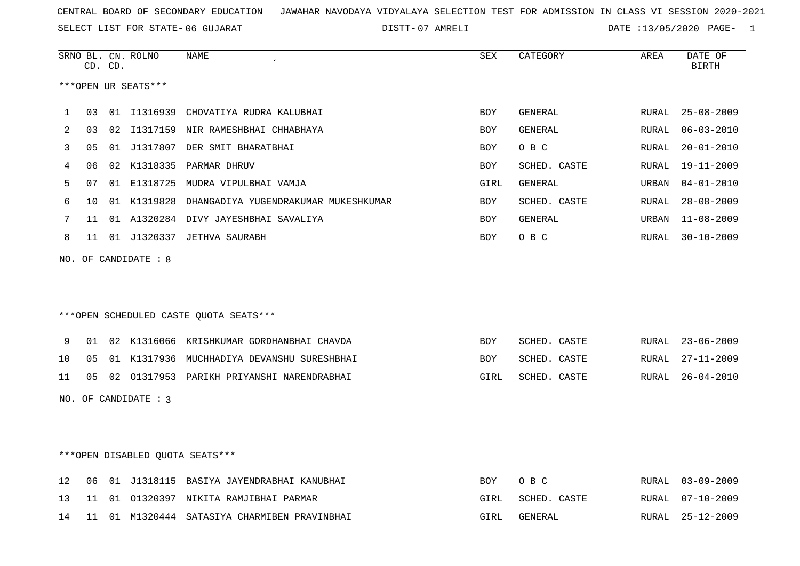07 AMRELI DATE :13/05/2020 PAGE- 1

|    |    | CD. CD. | SRNO BL. CN. ROLNO     | NAME                                             | SEX        | CATEGORY       | AREA         | DATE OF<br><b>BIRTH</b> |
|----|----|---------|------------------------|--------------------------------------------------|------------|----------------|--------------|-------------------------|
|    |    |         | ***OPEN UR SEATS***    |                                                  |            |                |              |                         |
| 1  | 03 |         |                        | 01 I1316939 CHOVATIYA RUDRA KALUBHAI             | BOY        | GENERAL        | RURAL        | $25 - 08 - 2009$        |
| 2  | 03 |         |                        | 02 I1317159 NIR RAMESHBHAI CHHABHAYA             | <b>BOY</b> | <b>GENERAL</b> | RURAL        | $06 - 03 - 2010$        |
| 3  | 05 |         |                        | 01 J1317807 DER SMIT BHARATBHAI                  | BOY        | O B C          | RURAL        | $20 - 01 - 2010$        |
| 4  | 06 |         |                        | 02 K1318335 PARMAR DHRUV                         | <b>BOY</b> | SCHED. CASTE   | RURAL        | $19 - 11 - 2009$        |
| 5  | 07 |         |                        | 01 E1318725 MUDRA VIPULBHAI VAMJA                | GIRL       | GENERAL        | URBAN        | $04 - 01 - 2010$        |
| 6  | 10 |         |                        | 01 K1319828 DHANGADIYA YUGENDRAKUMAR MUKESHKUMAR | BOY        | SCHED. CASTE   | <b>RURAL</b> | $28 - 08 - 2009$        |
| 7  | 11 |         |                        | 01 A1320284 DIVY JAYESHBHAI SAVALIYA             | <b>BOY</b> | GENERAL        | URBAN        | $11 - 08 - 2009$        |
| 8  | 11 |         |                        | 01 J1320337 JETHVA SAURABH                       | BOY        | O B C          | RURAL        | $30 - 10 - 2009$        |
|    |    |         | NO. OF CANDIDATE : $8$ |                                                  |            |                |              |                         |
|    |    |         |                        |                                                  |            |                |              |                         |
|    |    |         |                        |                                                  |            |                |              |                         |
|    |    |         |                        | ***OPEN SCHEDULED CASTE QUOTA SEATS***           |            |                |              |                         |
| 9  | 01 |         |                        | 02 K1316066 KRISHKUMAR GORDHANBHAI CHAVDA        | <b>BOY</b> | SCHED. CASTE   | RURAL        | $23 - 06 - 2009$        |
| 10 | 05 |         |                        | 01 K1317936 MUCHHADIYA DEVANSHU SURESHBHAI       | BOY        | SCHED. CASTE   | RURAL        | $27 - 11 - 2009$        |
| 11 | 05 |         |                        | 02 01317953 PARIKH PRIYANSHI NARENDRABHAI        | GIRL       | SCHED. CASTE   | RURAL        | $26 - 04 - 2010$        |
|    |    |         | NO. OF CANDIDATE : 3   |                                                  |            |                |              |                         |
|    |    |         |                        |                                                  |            |                |              |                         |
|    |    |         |                        |                                                  |            |                |              |                         |
|    |    |         |                        | ***OPEN DISABLED QUOTA SEATS***                  |            |                |              |                         |
| 12 | 06 |         |                        | 01 J1318115 BASIYA JAYENDRABHAI KANUBHAI         | BOY        | O B C          | RURAL        | $03 - 09 - 2009$        |
| 13 | 11 | 01      |                        | 01320397 NIKITA RAMJIBHAI PARMAR                 | GIRL       | SCHED. CASTE   | RURAL        | $07 - 10 - 2009$        |

14 11 01 M1320444 SATASIYA CHARMIBEN PRAVINBHAI GIRL GENERAL RURAL 25-12-2009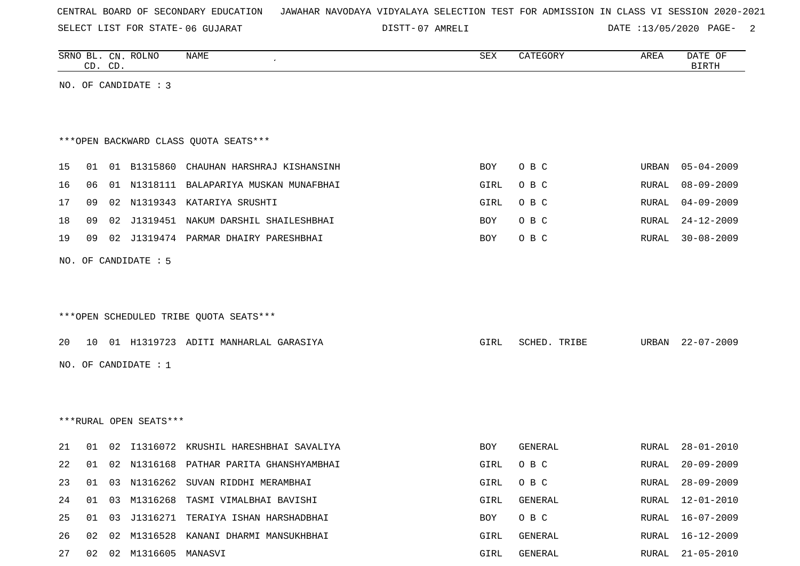SELECT LIST FOR STATE- DISTT- 06 GUJARAT

07 AMRELI DATE :13/05/2020 PAGE- 2

|    | CD. CD.         |    | SRNO BL. CN. ROLNO        | NAME                                    | SEX        | CATEGORY     | AREA  | DATE OF<br><b>BIRTH</b> |
|----|-----------------|----|---------------------------|-----------------------------------------|------------|--------------|-------|-------------------------|
|    |                 |    | NO. OF CANDIDATE : 3      |                                         |            |              |       |                         |
|    |                 |    |                           |                                         |            |              |       |                         |
|    |                 |    |                           | *** OPEN BACKWARD CLASS QUOTA SEATS***  |            |              |       |                         |
| 15 | 01              |    | 01 B1315860               | CHAUHAN HARSHRAJ KISHANSINH             | BOY        | O B C        | URBAN | $05 - 04 - 2009$        |
| 16 | 06              |    |                           | 01 N1318111 BALAPARIYA MUSKAN MUNAFBHAI | GIRL       | O B C        | RURAL | $08 - 09 - 2009$        |
| 17 | 09              | 02 | N1319343                  | KATARIYA SRUSHTI                        | GIRL       | O B C        | RURAL | $04 - 09 - 2009$        |
| 18 | 09              | 02 |                           | J1319451 NAKUM DARSHIL SHAILESHBHAI     | <b>BOY</b> | O B C        | RURAL | $24 - 12 - 2009$        |
| 19 | 09              | 02 |                           | J1319474 PARMAR DHAIRY PARESHBHAI       | BOY        | O B C        | RURAL | $30 - 08 - 2009$        |
|    |                 |    | NO. OF CANDIDATE : 5      |                                         |            |              |       |                         |
|    |                 |    |                           |                                         |            |              |       |                         |
|    |                 |    |                           |                                         |            |              |       |                         |
|    |                 |    |                           | ***OPEN SCHEDULED TRIBE QUOTA SEATS***  |            |              |       |                         |
| 20 | 10 <sup>°</sup> |    |                           | 01 H1319723 ADITI MANHARLAL GARASIYA    | GIRL       | SCHED. TRIBE | URBAN | $22 - 07 - 2009$        |
|    |                 |    | NO. OF CANDIDATE : 1      |                                         |            |              |       |                         |
|    |                 |    |                           |                                         |            |              |       |                         |
|    |                 |    |                           |                                         |            |              |       |                         |
|    |                 |    | ***RURAL OPEN SEATS***    |                                         |            |              |       |                         |
|    |                 |    |                           |                                         |            |              |       |                         |
| 21 | 01              | 02 |                           | I1316072 KRUSHIL HARESHBHAI SAVALIYA    | BOY        | GENERAL      | RURAL | $28 - 01 - 2010$        |
| 22 | 01              |    |                           | 02 N1316168 PATHAR PARITA GHANSHYAMBHAI | GIRL       | O B C        | RURAL | $20 - 09 - 2009$        |
| 23 | 01              |    | 03 N1316262               | SUVAN RIDDHI MERAMBHAI                  | GIRL       | O B C        | RURAL | $28 - 09 - 2009$        |
| 24 | 01              | 03 |                           | M1316268 TASMI VIMALBHAI BAVISHI        | GIRL       | GENERAL      | RURAL | 12-01-2010              |
| 25 | 01              | 03 |                           | J1316271 TERAIYA ISHAN HARSHADBHAI      | BOY        | O B C        | RURAL | 16-07-2009              |
| 26 | 02              | 02 |                           | M1316528 KANANI DHARMI MANSUKHBHAI      | GIRL       | GENERAL      | RURAL | $16 - 12 - 2009$        |
| 27 |                 |    | 02  02  M1316605  MANASVI |                                         | GIRL       | GENERAL      | RURAL | $21 - 05 - 2010$        |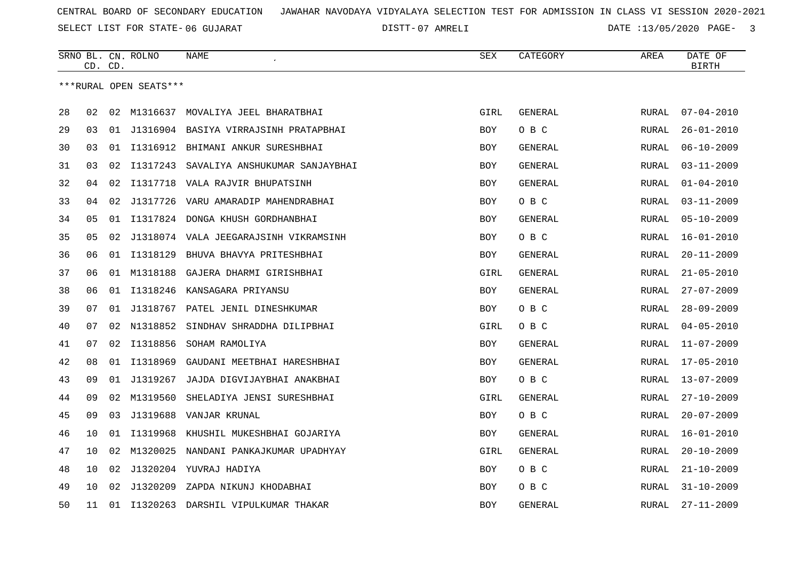SELECT LIST FOR STATE- DISTT- 06 GUJARAT

07 AMRELI DATE :13/05/2020 PAGE- 3

|    |    | CD. CD. | SRNO BL. CN. ROLNO     | <b>NAME</b>                              | <b>SEX</b> | CATEGORY       | AREA         | DATE OF<br>BIRTH |
|----|----|---------|------------------------|------------------------------------------|------------|----------------|--------------|------------------|
|    |    |         | ***RURAL OPEN SEATS*** |                                          |            |                |              |                  |
| 28 | 02 | 02      |                        | M1316637 MOVALIYA JEEL BHARATBHAI        | GIRL       | GENERAL        | RURAL        | $07 - 04 - 2010$ |
| 29 | 03 |         |                        | 01 J1316904 BASIYA VIRRAJSINH PRATAPBHAI | <b>BOY</b> | O B C          | <b>RURAL</b> | $26 - 01 - 2010$ |
| 30 | 03 | 01      |                        | I1316912 BHIMANI ANKUR SURESHBHAI        | <b>BOY</b> | GENERAL        | <b>RURAL</b> | $06 - 10 - 2009$ |
| 31 | 03 | 02      | I1317243               | SAVALIYA ANSHUKUMAR SANJAYBHAI           | <b>BOY</b> | GENERAL        | RURAL        | $03 - 11 - 2009$ |
| 32 | 04 | 02      | I1317718               | VALA RAJVIR BHUPATSINH                   | <b>BOY</b> | GENERAL        | RURAL        | $01 - 04 - 2010$ |
| 33 | 04 | 02      | J1317726               | VARU AMARADIP MAHENDRABHAI               | BOY        | O B C          | RURAL        | $03 - 11 - 2009$ |
| 34 | 05 | 01      |                        | I1317824 DONGA KHUSH GORDHANBHAI         | <b>BOY</b> | <b>GENERAL</b> | <b>RURAL</b> | $05 - 10 - 2009$ |
| 35 | 05 | 02      |                        | J1318074 VALA JEEGARAJSINH VIKRAMSINH    | <b>BOY</b> | O B C          | <b>RURAL</b> | $16 - 01 - 2010$ |
| 36 | 06 |         | 01 I1318129            | BHUVA BHAVYA PRITESHBHAI                 | <b>BOY</b> | <b>GENERAL</b> | RURAL        | $20 - 11 - 2009$ |
| 37 | 06 | 01      | M1318188               | GAJERA DHARMI GIRISHBHAI                 | GIRL       | <b>GENERAL</b> | RURAL        | $21 - 05 - 2010$ |
| 38 | 06 | 01      | I1318246               | KANSAGARA PRIYANSU                       | BOY        | GENERAL        | RURAL        | $27 - 07 - 2009$ |
| 39 | 07 | 01      | J1318767               | PATEL JENIL DINESHKUMAR                  | BOY        | O B C          | RURAL        | $28 - 09 - 2009$ |
| 40 | 07 | 02      | N1318852               | SINDHAV SHRADDHA DILIPBHAI               | GIRL       | O B C          | <b>RURAL</b> | $04 - 05 - 2010$ |
| 41 | 07 | 02      | I1318856               | SOHAM RAMOLIYA                           | BOY        | GENERAL        | RURAL        | $11 - 07 - 2009$ |
| 42 | 08 | 01      | I1318969               | GAUDANI MEETBHAI HARESHBHAI              | <b>BOY</b> | GENERAL        | RURAL        | $17 - 05 - 2010$ |
| 43 | 09 | 01      | J1319267               | JAJDA DIGVIJAYBHAI ANAKBHAI              | BOY        | O B C          | RURAL        | $13 - 07 - 2009$ |
| 44 | 09 | 02      | M1319560               | SHELADIYA JENSI SURESHBHAI               | GIRL       | GENERAL        | RURAL        | $27 - 10 - 2009$ |
| 45 | 09 | 03      | J1319688               | VANJAR KRUNAL                            | <b>BOY</b> | O B C          | <b>RURAL</b> | $20 - 07 - 2009$ |
| 46 | 10 | 01      | I1319968               | KHUSHIL MUKESHBHAI GOJARIYA              | <b>BOY</b> | GENERAL        | <b>RURAL</b> | $16 - 01 - 2010$ |
| 47 | 10 | 02      | M1320025               | NANDANI PANKAJKUMAR UPADHYAY             | GIRL       | GENERAL        | RURAL        | $20 - 10 - 2009$ |
| 48 | 10 | 02      |                        | J1320204 YUVRAJ HADIYA                   | <b>BOY</b> | O B C          | RURAL        | $21 - 10 - 2009$ |
| 49 | 10 | 02      | J1320209               | ZAPDA NIKUNJ KHODABHAI                   | <b>BOY</b> | O B C          | RURAL        | $31 - 10 - 2009$ |
| 50 | 11 | 01      | I1320263               | DARSHIL VIPULKUMAR THAKAR                | <b>BOY</b> | GENERAL        | RURAL        | $27 - 11 - 2009$ |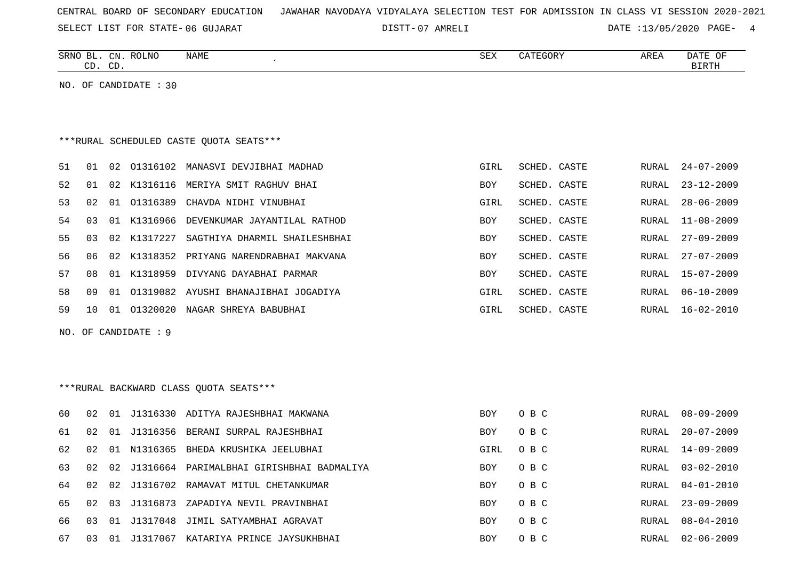|  |  |  | CENTRAL BOARD OF SECONDARY EDUCATION – JAWAHAR NAVODAYA VIDYALAYA SELECTION TEST FOR ADMISSION IN CLASS VI SESSION 2020-2021 |  |  |  |  |  |  |  |  |  |  |  |  |  |  |  |
|--|--|--|------------------------------------------------------------------------------------------------------------------------------|--|--|--|--|--|--|--|--|--|--|--|--|--|--|--|
|--|--|--|------------------------------------------------------------------------------------------------------------------------------|--|--|--|--|--|--|--|--|--|--|--|--|--|--|--|

07 AMRELI DATE :13/05/2020 PAGE- 4

| SRNO<br>BL<br>CN                               | ROLNC | <b>NAME</b> | SEX | ATEGORY | AREA | DATE<br>OF |
|------------------------------------------------|-------|-------------|-----|---------|------|------------|
| $\sim$<br>$\cap$<br>$\sim$ $\sim$ $\sim$<br>ىب |       |             |     |         |      | RTDTH      |
|                                                |       |             |     |         |      |            |

NO. OF CANDIDATE : 30

# \*\*\*RURAL SCHEDULED CASTE QUOTA SEATS\*\*\*

| 51 | 01  | 02    | 01316102    | MANASVI DEVJIBHAI MADHAD      | GIRL       | SCHED. CASTE |       | RURAL 24-07-2009 |
|----|-----|-------|-------------|-------------------------------|------------|--------------|-------|------------------|
| 52 | 01  |       | 02 K1316116 | MERIYA SMIT RAGHUV BHAI       | <b>BOY</b> | SCHED. CASTE | RURAL | $23 - 12 - 2009$ |
| 53 | 02. | 01    | 01316389    | CHAVDA NIDHI VINUBHAI         | GIRL       | SCHED. CASTE | RURAL | 28-06-2009       |
| 54 | 0.3 |       | 01 K1316966 | DEVENKUMAR JAYANTILAL RATHOD  | <b>BOY</b> | SCHED. CASTE | RURAL | 11-08-2009       |
| 55 | 03  |       | 02 K1317227 | SAGTHIYA DHARMIL SHAILESHBHAI | <b>BOY</b> | SCHED. CASTE | RURAL | $27 - 09 - 2009$ |
| 56 | በ6  |       | 02 K1318352 | PRIYANG NARENDRABHAI MAKVANA  | <b>BOY</b> | SCHED, CASTE | RURAL | $27 - 07 - 2009$ |
| 57 | 0.8 |       | 01 K1318959 | DIVYANG DAYABHAI PARMAR       | <b>BOY</b> | SCHED. CASTE | RURAL | $15 - 07 - 2009$ |
| 58 | O 9 | O 1   | 01319082    | AYUSHI BHANAJIBHAI JOGADIYA   | GIRL       | SCHED, CASTE | RURAL | $06 - 10 - 2009$ |
| 59 | 1 O | . O 1 | 01320020    | NAGAR SHREYA BABUBHAI         | GIRL       | SCHED. CASTE | RURAL | $16 - 02 - 2010$ |

NO. OF CANDIDATE : 9

# \*\*\*RURAL BACKWARD CLASS QUOTA SEATS\*\*\*

| 60  | 02.  | 01    |             | J1316330 ADITYA RAJESHBHAI MAKWANA    | BOY        | O B C | RURAL | $08 - 09 - 2009$ |
|-----|------|-------|-------------|---------------------------------------|------------|-------|-------|------------------|
| 61  | O 2. | O 1   |             | J1316356 BERANI SURPAL RAJESHBHAI     | <b>BOY</b> | O B C | RURAL | $20 - 07 - 2009$ |
| 62  | 02   |       |             | 01 N1316365 BHEDA KRUSHIKA JEELUBHAI  | GIRL       | O B C | RURAL | $14 - 09 - 2009$ |
| 63  | O 2. |       | 02 J1316664 | PARIMALBHAI GIRISHBHAI BADMALIYA      | <b>BOY</b> | O B C | RURAL | $03 - 02 - 2010$ |
| 64  | 02.  |       |             | 02 J1316702 RAMAVAT MITUL CHETANKUMAR | BOY        | O B C |       | RURAL 04-01-2010 |
| 65  | O 2. | 03    |             | J1316873 ZAPADIYA NEVIL PRAVINBHAI    | <b>BOY</b> | O B C | RURAL | $23 - 09 - 2009$ |
| 66. | 03   | 01    |             | J1317048 JIMIL SATYAMBHAI AGRAVAT     | <b>BOY</b> | O B C | RURAL | $08 - 04 - 2010$ |
| 67  | 03   | . O 1 | J1317067    | KATARIYA PRINCE JAYSUKHBHAI           | BOY        | O B C | RURAL | $02 - 06 - 2009$ |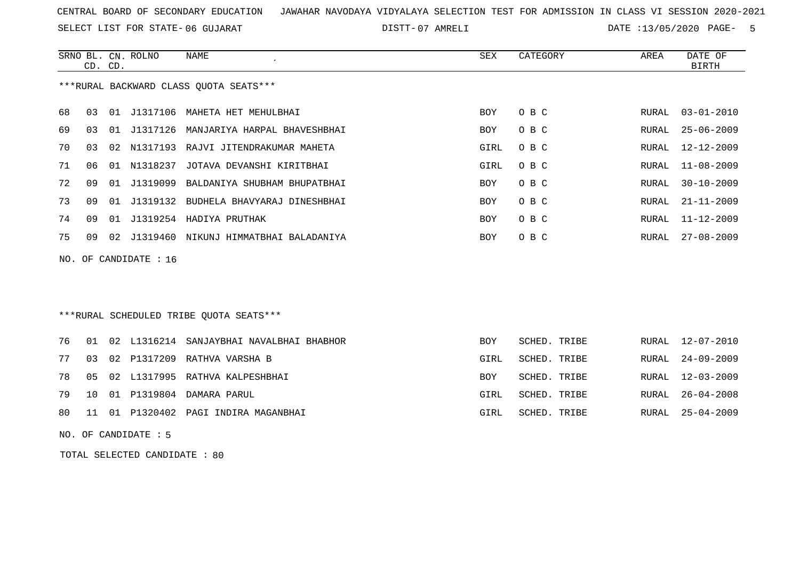SELECT LIST FOR STATE- DISTT- 06 GUJARAT

07 AMRELI DATE :13/05/2020 PAGE- 5

|     |    | CD. CD. | SRNO BL. CN. ROLNO | NAME                                     | SEX        | CATEGORY | AREA  | DATE OF<br>BIRTH |
|-----|----|---------|--------------------|------------------------------------------|------------|----------|-------|------------------|
|     |    |         |                    | ***RURAL BACKWARD CLASS OUOTA SEATS***   |            |          |       |                  |
| 68  | 03 |         |                    | 01 J1317106 MAHETA HET MEHULBHAI         | BOY        | O B C    | RURAL | 03-01-2010       |
| 69  | 03 | 01      |                    | J1317126 MANJARIYA HARPAL BHAVESHBHAI    | BOY        | O B C    | RURAL | $25 - 06 - 2009$ |
| 70  | 03 | 02      | N1317193           | RAJVI JITENDRAKUMAR MAHETA               | GIRL       | O B C    | RURAL | $12 - 12 - 2009$ |
| 71  | 06 | 01      | N1318237           | JOTAVA DEVANSHI KIRITBHAI                | GIRL       | O B C    | RURAL | $11 - 08 - 2009$ |
| 72  | 09 | 01      | J1319099           | BALDANIYA SHUBHAM BHUPATBHAI             | <b>BOY</b> | O B C    | RURAL | $30 - 10 - 2009$ |
| 73  | 09 | 01      | J1319132           | BUDHELA BHAVYARAJ DINESHBHAI             | <b>BOY</b> | O B C    | RURAL | 21-11-2009       |
| 74  | 09 | 01      |                    | J1319254 HADIYA PRUTHAK                  | <b>BOY</b> | O B C    | RURAL | $11 - 12 - 2009$ |
| 75  | 09 |         |                    | 02 J1319460 NIKUNJ HIMMATBHAI BALADANIYA | <b>BOY</b> | O B C    | RURAL | $27 - 08 - 2009$ |
| NO. |    |         | OF CANDIDATE : 16  |                                          |            |          |       |                  |
|     |    |         |                    |                                          |            |          |       |                  |

# \*\*\*RURAL SCHEDULED TRIBE QUOTA SEATS\*\*\*

|  |  | 76 01 02 L1316214 SANJAYBHAI NAVALBHAI BHABHOR | <b>BOY</b> | SCHED. TRIBE | RURAL 12-07-2010 |
|--|--|------------------------------------------------|------------|--------------|------------------|
|  |  | 77 03 02 P1317209 RATHVA VARSHA B              | GIRL       | SCHED. TRIBE | RURAL 24-09-2009 |
|  |  | 78 05 02 L1317995 RATHVA KALPESHBHAI           | <b>BOY</b> | SCHED. TRIBE | RURAL 12-03-2009 |
|  |  | 79 10 01 P1319804 DAMARA PARUL                 | GIRL       | SCHED. TRIBE | RURAL 26-04-2008 |
|  |  | 80 11 01 P1320402 PAGI INDIRA MAGANBHAI        | GIRL       | SCHED. TRIBE | RURAL 25-04-2009 |

NO. OF CANDIDATE : 5

TOTAL SELECTED CANDIDATE : 80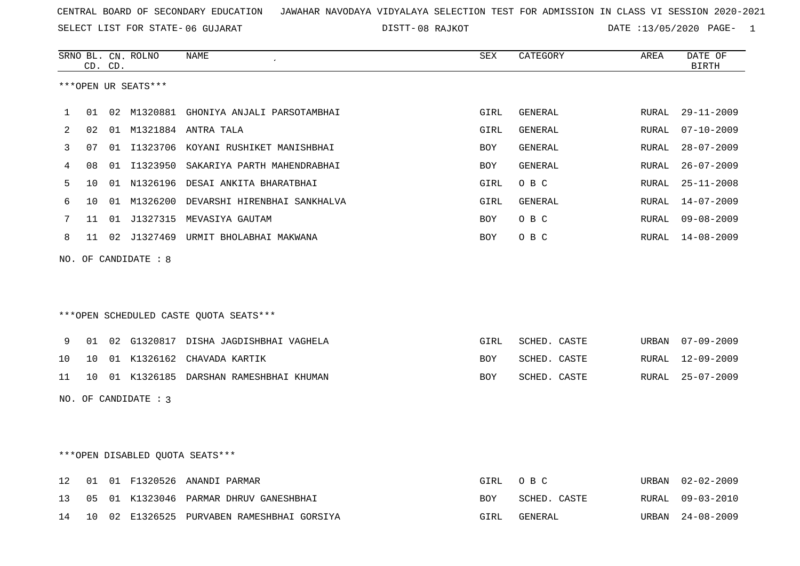SELECT LIST FOR STATE- DISTT- 06 GUJARAT

08 RAJKOT DATE :13/05/2020 PAGE- 1

|    |                 | CD. CD. | SRNO BL. CN. ROLNO   | NAME                                     | SEX        | CATEGORY       | AREA  | DATE OF<br><b>BIRTH</b> |
|----|-----------------|---------|----------------------|------------------------------------------|------------|----------------|-------|-------------------------|
|    |                 |         | ***OPEN UR SEATS***  |                                          |            |                |       |                         |
| 1  | 01              |         |                      | 02 M1320881 GHONIYA ANJALI PARSOTAMBHAI  | GIRL       | GENERAL        | RURAL | $29 - 11 - 2009$        |
| 2  | 02              |         |                      | 01 M1321884 ANTRA TALA                   | GIRL       | GENERAL        | RURAL | $07 - 10 - 2009$        |
| 3  | 07              |         |                      | 01 I1323706 KOYANI RUSHIKET MANISHBHAI   | <b>BOY</b> | <b>GENERAL</b> | RURAL | $28 - 07 - 2009$        |
| 4  | 08              |         |                      | 01 I1323950 SAKARIYA PARTH MAHENDRABHAI  | BOY        | GENERAL        | RURAL | $26 - 07 - 2009$        |
| 5  | 10              |         |                      | 01 N1326196 DESAI ANKITA BHARATBHAI      | GIRL       | O B C          | RURAL | $25 - 11 - 2008$        |
| 6  | 10 <sup>°</sup> |         |                      | 01 M1326200 DEVARSHI HIRENBHAI SANKHALVA | GIRL       | GENERAL        | RURAL | 14-07-2009              |
| 7  | 11              |         |                      | 01 J1327315 MEVASIYA GAUTAM              | <b>BOY</b> | O B C          | RURAL | $09 - 08 - 2009$        |
| 8  | 11              |         |                      | 02 J1327469 URMIT BHOLABHAI MAKWANA      | <b>BOY</b> | O B C          | RURAL | 14-08-2009              |
|    |                 |         | NO. OF CANDIDATE : 8 | *** OPEN SCHEDULED CASTE QUOTA SEATS***  |            |                |       |                         |
| 9  | 01              |         |                      | 02 G1320817 DISHA JAGDISHBHAI VAGHELA    | GIRL       | SCHED. CASTE   | URBAN | 07-09-2009              |
| 10 | $10^{-}$        |         |                      | 01 K1326162 CHAVADA KARTIK               | <b>BOY</b> | SCHED. CASTE   | RURAL | 12-09-2009              |
| 11 | $10^{-}$        |         |                      | 01 K1326185 DARSHAN RAMESHBHAI KHUMAN    | BOY        | SCHED. CASTE   | RURAL | $25 - 07 - 2009$        |
|    |                 |         | NO. OF CANDIDATE : 3 |                                          |            |                |       |                         |
|    |                 |         |                      | ***OPEN DISABLED QUOTA SEATS***          |            |                |       |                         |
| 12 | 01              |         |                      | 01 F1320526 ANANDI PARMAR                | GIRL       | O B C          | URBAN | $02 - 02 - 2009$        |
| 13 | 05              |         |                      | 01 K1323046 PARMAR DHRUV GANESHBHAI      | BOY        | SCHED. CASTE   | RURAL | $09 - 03 - 2010$        |

14 10 02 E1326525 PURVABEN RAMESHBHAI GORSIYA GIRL GENERAL URBAN 24-08-2009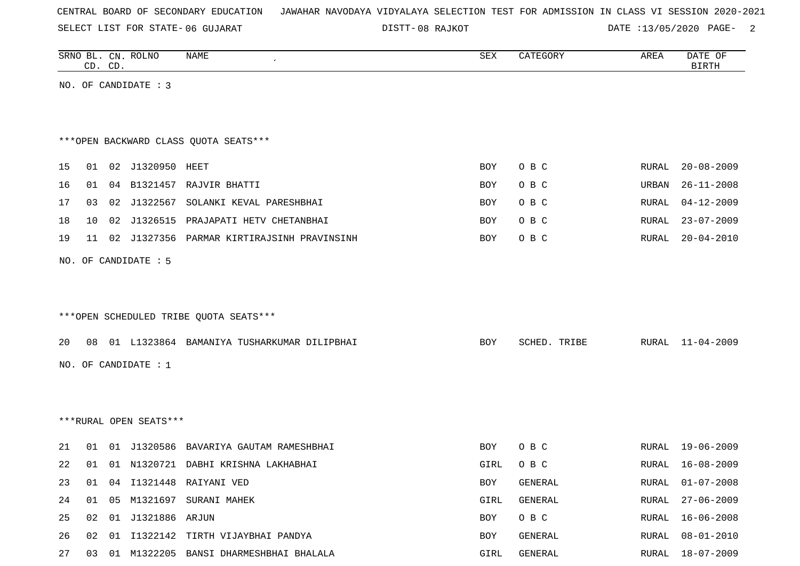SELECT LIST FOR STATE- DISTT- 06 GUJARAT

08 RAJKOT DATE :13/05/2020 PAGE- 2

|    |    | CD. CD. | SRNO BL. CN. ROLNO     | NAME                                          | SEX  | CATEGORY     | AREA  | DATE OF<br><b>BIRTH</b> |
|----|----|---------|------------------------|-----------------------------------------------|------|--------------|-------|-------------------------|
|    |    |         | NO. OF CANDIDATE : 3   |                                               |      |              |       |                         |
|    |    |         |                        |                                               |      |              |       |                         |
|    |    |         |                        |                                               |      |              |       |                         |
|    |    |         |                        | *** OPEN BACKWARD CLASS QUOTA SEATS***        |      |              |       |                         |
| 15 |    |         | 01 02 J1320950 HEET    |                                               | BOY  | O B C        | RURAL | $20 - 08 - 2009$        |
| 16 | 01 |         |                        | 04 B1321457 RAJVIR BHATTI                     | BOY  | O B C        | URBAN | $26 - 11 - 2008$        |
| 17 | 03 |         |                        | 02 J1322567 SOLANKI KEVAL PARESHBHAI          | BOY  | O B C        | RURAL | $04 - 12 - 2009$        |
| 18 | 10 |         |                        | 02 J1326515 PRAJAPATI HETV CHETANBHAI         | BOY  | O B C        | RURAL | $23 - 07 - 2009$        |
| 19 | 11 |         |                        | 02 J1327356 PARMAR KIRTIRAJSINH PRAVINSINH    | BOY  | O B C        | RURAL | $20 - 04 - 2010$        |
|    |    |         | NO. OF CANDIDATE : 5   |                                               |      |              |       |                         |
|    |    |         |                        |                                               |      |              |       |                         |
|    |    |         |                        |                                               |      |              |       |                         |
|    |    |         |                        | ***OPEN SCHEDULED TRIBE QUOTA SEATS***        |      |              |       |                         |
|    |    |         |                        |                                               |      |              |       |                         |
| 20 |    |         |                        | 08 01 L1323864 BAMANIYA TUSHARKUMAR DILIPBHAI | BOY  | SCHED. TRIBE | RURAL | $11 - 04 - 2009$        |
|    |    |         | NO. OF CANDIDATE $: 1$ |                                               |      |              |       |                         |
|    |    |         |                        |                                               |      |              |       |                         |
|    |    |         |                        |                                               |      |              |       |                         |
|    |    |         | ***RURAL OPEN SEATS*** |                                               |      |              |       |                         |
| 21 |    |         |                        | 01 01 J1320586 BAVARIYA GAUTAM RAMESHBHAI     | BOY  | O B C        | RURAL | 19-06-2009              |
| 22 | 01 | 01      |                        | N1320721 DABHI KRISHNA LAKHABHAI              | GIRL | O B C        | RURAL | $16 - 08 - 2009$        |
| 23 |    |         |                        | 01 04 I1321448 RAIYANI VED                    | BOY  | GENERAL      |       | RURAL 01-07-2008        |
| 24 |    |         |                        | 01  05  M1321697  SURANI  MAHEK               | GIRL | GENERAL      | RURAL | $27 - 06 - 2009$        |
| 25 | 02 |         | 01 J1321886 ARJUN      |                                               | BOY  | O B C        | RURAL | $16 - 06 - 2008$        |
| 26 |    |         |                        | 02 01 I1322142 TIRTH VIJAYBHAI PANDYA         | BOY  | GENERAL      | RURAL | $08 - 01 - 2010$        |
| 27 |    |         |                        | 03 01 M1322205 BANSI DHARMESHBHAI BHALALA     | GIRL | GENERAL      |       | RURAL 18-07-2009        |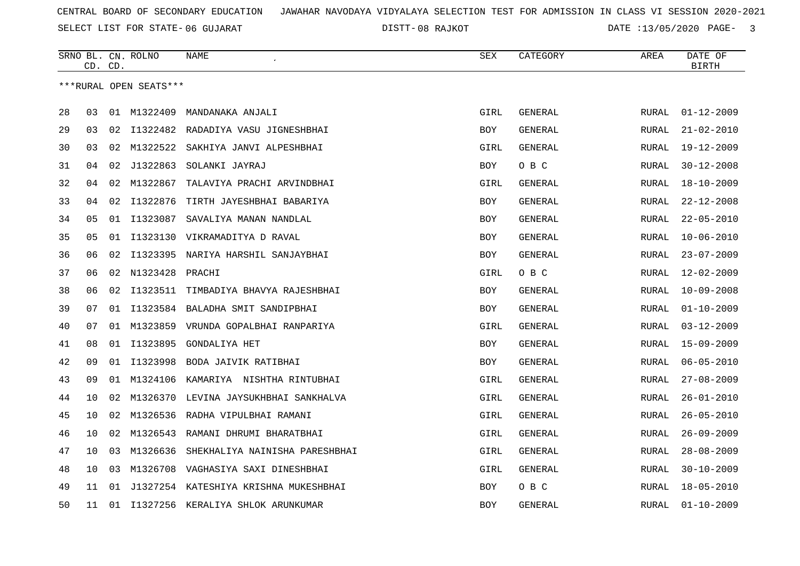SELECT LIST FOR STATE- DISTT- 06 GUJARAT

DISTT-08 RAJKOT **DATE** :13/05/2020 PAGE- 3

|    |    | CD. CD. | SRNO BL. CN. ROLNO     | <b>NAME</b>                           | <b>SEX</b> | CATEGORY       | AREA         | DATE OF<br><b>BIRTH</b> |
|----|----|---------|------------------------|---------------------------------------|------------|----------------|--------------|-------------------------|
|    |    |         | ***RURAL OPEN SEATS*** |                                       |            |                |              |                         |
|    |    |         |                        |                                       |            |                |              |                         |
| 28 | 03 |         | 01 M1322409            | MANDANAKA ANJALI                      | GIRL       | GENERAL        | RURAL        | $01 - 12 - 2009$        |
| 29 | 03 | 02      | I1322482               | RADADIYA VASU JIGNESHBHAI             | <b>BOY</b> | <b>GENERAL</b> | RURAL        | $21 - 02 - 2010$        |
| 30 | 03 | 02      | M1322522               | SAKHIYA JANVI ALPESHBHAI              | GIRL       | GENERAL        | RURAL        | $19 - 12 - 2009$        |
| 31 | 04 | 02      | J1322863               | SOLANKI JAYRAJ                        | BOY        | O B C          | RURAL        | $30 - 12 - 2008$        |
| 32 | 04 | 02      | M1322867               | TALAVIYA PRACHI ARVINDBHAI            | GIRL       | GENERAL        | RURAL        | $18 - 10 - 2009$        |
| 33 | 04 | 02      | I1322876               | TIRTH JAYESHBHAI BABARIYA             | <b>BOY</b> | GENERAL        | RURAL        | $22 - 12 - 2008$        |
| 34 | 05 | 01      | I1323087               | SAVALIYA MANAN NANDLAL                | <b>BOY</b> | GENERAL        | <b>RURAL</b> | $22 - 05 - 2010$        |
| 35 | 05 | 01      |                        | I1323130 VIKRAMADITYA D RAVAL         | BOY        | GENERAL        | RURAL        | $10 - 06 - 2010$        |
| 36 | 06 | 02      | I1323395               | NARIYA HARSHIL SANJAYBHAI             | BOY        | <b>GENERAL</b> | RURAL        | $23 - 07 - 2009$        |
| 37 | 06 | 02      | N1323428               | PRACHI                                | GIRL       | O B C          | <b>RURAL</b> | $12 - 02 - 2009$        |
| 38 | 06 | 02      | I1323511               | TIMBADIYA BHAVYA RAJESHBHAI           | BOY        | GENERAL        | <b>RURAL</b> | $10 - 09 - 2008$        |
| 39 | 07 | 01      | I1323584               | BALADHA SMIT SANDIPBHAI               | BOY        | GENERAL        | <b>RURAL</b> | $01 - 10 - 2009$        |
| 40 | 07 | 01      | M1323859               | VRUNDA GOPALBHAI RANPARIYA            | GIRL       | GENERAL        | RURAL        | $03 - 12 - 2009$        |
| 41 | 08 | 01      | I1323895               | <b>GONDALIYA HET</b>                  | <b>BOY</b> | GENERAL        | RURAL        | $15 - 09 - 2009$        |
| 42 | 09 | 01      | I1323998               | BODA JAIVIK RATIBHAI                  | BOY        | GENERAL        | RURAL        | $06 - 05 - 2010$        |
| 43 | 09 | 01      | M1324106               | KAMARIYA NISHTHA RINTUBHAI            | GIRL       | <b>GENERAL</b> | <b>RURAL</b> | $27 - 08 - 2009$        |
| 44 | 10 | 02      | M1326370               | LEVINA JAYSUKHBHAI SANKHALVA          | GIRL       | GENERAL        | RURAL        | $26 - 01 - 2010$        |
| 45 | 10 | 02      | M1326536               | RADHA VIPULBHAI RAMANI                | GIRL       | GENERAL        | RURAL        | $26 - 05 - 2010$        |
| 46 | 10 | 02      | M1326543               | RAMANI DHRUMI BHARATBHAI              | GIRL       | GENERAL        | RURAL        | $26 - 09 - 2009$        |
| 47 | 10 | 03      | M1326636               | SHEKHALIYA NAINISHA PARESHBHAI        | GIRL       | GENERAL        | RURAL        | $28 - 08 - 2009$        |
| 48 | 10 | 03      | M1326708               | VAGHASIYA SAXI DINESHBHAI             | GIRL       | GENERAL        | <b>RURAL</b> | $30 - 10 - 2009$        |
| 49 | 11 | 01      |                        | J1327254 KATESHIYA KRISHNA MUKESHBHAI | BOY        | O B C          | RURAL        | $18 - 05 - 2010$        |
| 50 | 11 | 01      |                        | I1327256 KERALIYA SHLOK ARUNKUMAR     | <b>BOY</b> | <b>GENERAL</b> | <b>RURAL</b> | $01 - 10 - 2009$        |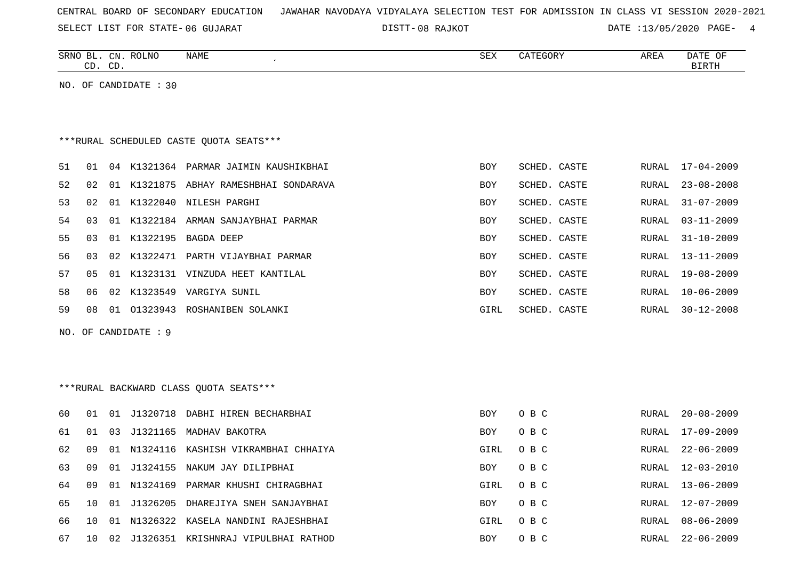SELECT LIST FOR STATE- DISTT- 06 GUJARAT

08 RAJKOT DATE :13/05/2020 PAGE- 4

|    |    | CD. CD. | SRNO BL. CN. ROLNO    | NAME                                    | <b>SEX</b> | CATEGORY     | AREA  | DATE OF<br><b>BIRTH</b> |
|----|----|---------|-----------------------|-----------------------------------------|------------|--------------|-------|-------------------------|
|    |    |         | NO. OF CANDIDATE : 30 |                                         |            |              |       |                         |
|    |    |         |                       |                                         |            |              |       |                         |
|    |    |         |                       |                                         |            |              |       |                         |
|    |    |         |                       | ***RURAL SCHEDULED CASTE QUOTA SEATS*** |            |              |       |                         |
| 51 | 01 |         |                       | 04 K1321364 PARMAR JAIMIN KAUSHIKBHAI   | <b>BOY</b> | SCHED. CASTE | RURAL | $17 - 04 - 2009$        |
| 52 | 02 |         |                       | 01 K1321875 ABHAY RAMESHBHAI SONDARAVA  | <b>BOY</b> | SCHED. CASTE | RURAL | $23 - 08 - 2008$        |
| 53 | 02 |         |                       | 01 K1322040 NILESH PARGHI               | <b>BOY</b> | SCHED. CASTE | RURAL | $31 - 07 - 2009$        |
| 54 | 03 |         |                       | 01 K1322184 ARMAN SANJAYBHAI PARMAR     | <b>BOY</b> | SCHED. CASTE | RURAL | $03 - 11 - 2009$        |
| 55 | 03 |         |                       | 01 K1322195 BAGDA DEEP                  | <b>BOY</b> | SCHED. CASTE | RURAL | $31 - 10 - 2009$        |
| 56 | 03 |         |                       | 02 K1322471 PARTH VIJAYBHAI PARMAR      | BOY        | SCHED. CASTE | RURAL | $13 - 11 - 2009$        |
| 57 | 05 |         |                       | 01 K1323131 VINZUDA HEET KANTILAL       | <b>BOY</b> | SCHED. CASTE | RURAL | $19 - 08 - 2009$        |
| 58 | 06 |         |                       | 02 K1323549 VARGIYA SUNIL               | BOY        | SCHED. CASTE | RURAL | $10 - 06 - 2009$        |
| 59 | 08 |         |                       | 01 01323943 ROSHANIBEN SOLANKI          | GIRL       | SCHED. CASTE | RURAL | $30 - 12 - 2008$        |
|    |    |         | NO. OF CANDIDATE : 9  |                                         |            |              |       |                         |
|    |    |         |                       |                                         |            |              |       |                         |
|    |    |         |                       |                                         |            |              |       |                         |
|    |    |         |                       |                                         |            |              |       |                         |
|    |    |         |                       | *** RURAL BACKWARD CLASS QUOTA SEATS*** |            |              |       |                         |
| 60 | 01 |         |                       | 01 J1320718 DABHI HIREN BECHARBHAI      | BOY        | O B C        | RURAL | $20 - 08 - 2009$        |
| 61 | 01 | 03      |                       | J1321165 MADHAV BAKOTRA                 | BOY        | O B C        | RURAL | $17 - 09 - 2009$        |
| 62 | 09 |         | 01 N1324116           | KASHISH VIKRAMBHAI CHHAIYA              | GIRL       | O B C        | RURAL | $22 - 06 - 2009$        |
| 63 | 09 |         |                       | 01 J1324155 NAKUM JAY DILIPBHAI         | BOY        | O B C        | RURAL | $12 - 03 - 2010$        |
| 64 | 09 |         | 01 N1324169           | PARMAR KHUSHI CHIRAGBHAI                | GIRL       | O B C        | RURAL | $13 - 06 - 2009$        |
| 65 | 10 |         | 01 J1326205           | DHAREJIYA SNEH SANJAYBHAI               | BOY        | O B C        | RURAL | $12 - 07 - 2009$        |
| 66 | 10 | 01      |                       | N1326322 KASELA NANDINI RAJESHBHAI      | GIRL       | O B C        | RURAL | $08 - 06 - 2009$        |
| 67 | 10 |         |                       | 02 J1326351 KRISHNRAJ VIPULBHAI RATHOD  | BOY        | O B C        | RURAL | $22 - 06 - 2009$        |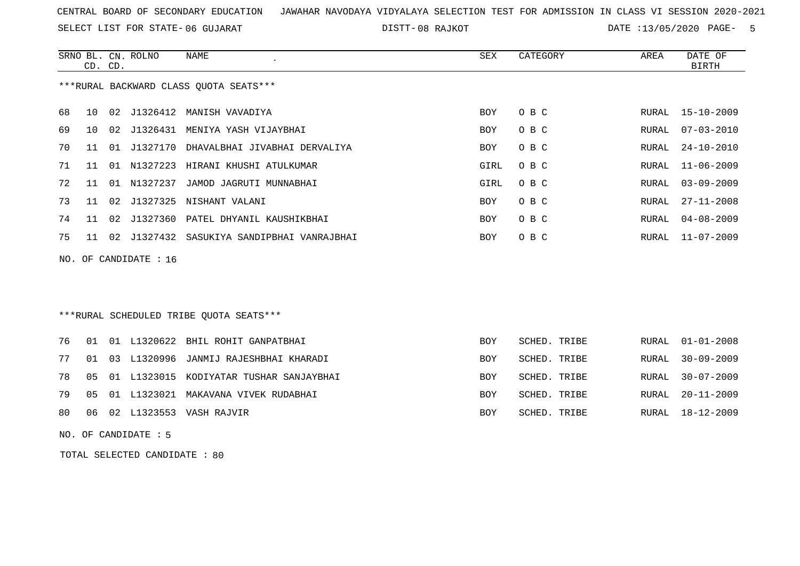SELECT LIST FOR STATE- DISTT- 06 GUJARAT

08 RAJKOT DATE :13/05/2020 PAGE- 5

|    | CD. CD.                                |                 | SRNO BL. CN. ROLNO | NAME                           | SEX        | CATEGORY | AREA  | DATE OF<br>BIRTH |  |  |  |
|----|----------------------------------------|-----------------|--------------------|--------------------------------|------------|----------|-------|------------------|--|--|--|
|    | ***RURAL BACKWARD CLASS QUOTA SEATS*** |                 |                    |                                |            |          |       |                  |  |  |  |
| 68 | 10                                     |                 |                    | 02 J1326412 MANISH VAVADIYA    | <b>BOY</b> | O B C    |       | RURAL 15-10-2009 |  |  |  |
| 69 | 1 O                                    | 02 <sub>2</sub> | J1326431           | MENIYA YASH VIJAYBHAI          | <b>BOY</b> | O B C    | RURAL | $07 - 03 - 2010$ |  |  |  |
| 70 | 11                                     | 01              | J1327170           | DHAVALBHAI JIVABHAI DERVALIYA  | <b>BOY</b> | O B C    | RURAL | $24 - 10 - 2010$ |  |  |  |
| 71 | 11                                     | . N 1           | N1327223           | HIRANI KHUSHI ATULKUMAR        | GIRL       | O B C    | RURAL | 11-06-2009       |  |  |  |
| 72 | 11                                     | O 1             | N1327237           | JAMOD JAGRUTI MUNNABHAI        | GIRL       | O B C    | RURAL | $03 - 09 - 2009$ |  |  |  |
| 73 | 11                                     | 02              | J1327325           | NISHANT VALANI                 | <b>BOY</b> | O B C    | RURAL | $27 - 11 - 2008$ |  |  |  |
| 74 | 11                                     | 02              | J1327360           | PATEL DHYANIL KAUSHIKBHAI      | <b>BOY</b> | O B C    | RURAL | $04 - 08 - 2009$ |  |  |  |
| 75 | 11                                     | 02              | J1327432           | SASUKIYA SANDIPBHAI VANRAJBHAI | <b>BOY</b> | O B C    | RURAL | 11-07-2009       |  |  |  |
|    |                                        |                 |                    |                                |            |          |       |                  |  |  |  |

NO. OF CANDIDATE : 16

# \*\*\*RURAL SCHEDULED TRIBE QUOTA SEATS\*\*\*

|  |  | 76 01 01 L1320622 BHIL ROHIT GANPATBHAI       | <b>BOY</b> | SCHED. TRIBE | RURAL 01-01-2008 |
|--|--|-----------------------------------------------|------------|--------------|------------------|
|  |  | 77 01 03 L1320996 JANMIJ RAJESHBHAI KHARADI   | <b>BOY</b> | SCHED. TRIBE | RURAL 30-09-2009 |
|  |  | 78 05 01 L1323015 KODIYATAR TUSHAR SANJAYBHAI | BOY        | SCHED. TRIBE | RURAL 30-07-2009 |
|  |  | 79 05 01 L1323021 MAKAVANA VIVEK RUDABHAI     | <b>BOY</b> | SCHED. TRIBE | RURAL 20-11-2009 |
|  |  | 80 06 02 L1323553 VASH RAJVIR                 | <b>BOY</b> | SCHED. TRIBE | RURAL 18-12-2009 |

NO. OF CANDIDATE : 5

TOTAL SELECTED CANDIDATE : 80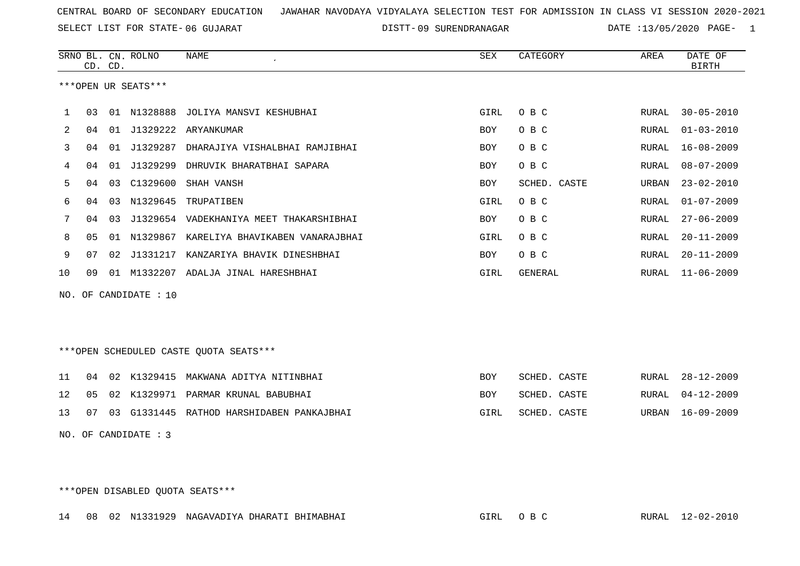SELECT LIST FOR STATE- DISTT- 06 GUJARAT

09 SURENDRANAGAR DATE :13/05/2020 PAGE- 1

|     |    | CD. CD. | SRNO BL. CN. ROLNO   | <b>NAME</b>                             | SEX        | CATEGORY        | AREA         | DATE OF<br><b>BIRTH</b> |
|-----|----|---------|----------------------|-----------------------------------------|------------|-----------------|--------------|-------------------------|
|     |    |         | ***OPEN UR SEATS***  |                                         |            |                 |              |                         |
|     |    |         |                      |                                         |            |                 |              |                         |
| 1   | 03 |         | 01 N1328888          | JOLIYA MANSVI KESHUBHAI                 | GIRL       | O B C           | RURAL        | $30 - 05 - 2010$        |
| 2   | 04 | 01      | J1329222             | ARYANKUMAR                              | <b>BOY</b> | O B C           | RURAL        | $01 - 03 - 2010$        |
| 3   | 04 | 01      | J1329287             | DHARAJIYA VISHALBHAI RAMJIBHAI          | <b>BOY</b> | O B C           | <b>RURAL</b> | $16 - 08 - 2009$        |
| 4   | 04 | 01      | J1329299             | DHRUVIK BHARATBHAI SAPARA               | <b>BOY</b> | O B C           | <b>RURAL</b> | $08 - 07 - 2009$        |
| 5   | 04 | 03      | C1329600             | SHAH VANSH                              | <b>BOY</b> | CASTE<br>SCHED. | URBAN        | $23 - 02 - 2010$        |
| 6   | 04 | 03      | N1329645             | TRUPATIBEN                              | GIRL       | O B C           | RURAL        | $01 - 07 - 2009$        |
| 7   | 04 | 03      |                      | J1329654 VADEKHANIYA MEET THAKARSHIBHAI | <b>BOY</b> | O B C           | RURAL        | $27 - 06 - 2009$        |
| 8   | 05 |         | 01 N1329867          | KARELIYA BHAVIKABEN VANARAJBHAI         | GIRL       | O B C           | RURAL        | $20 - 11 - 2009$        |
| 9   | 07 |         |                      | 02 J1331217 KANZARIYA BHAVIK DINESHBHAI | <b>BOY</b> | O B C           | <b>RURAL</b> | $20 - 11 - 2009$        |
| 10  | 09 | 01      |                      | M1332207 ADALJA JINAL HARESHBHAI        | GIRL       | GENERAL         | RURAL        | $11 - 06 - 2009$        |
| NO. |    |         | OF CANDIDATE : 10    |                                         |            |                 |              |                         |
|     |    |         |                      |                                         |            |                 |              |                         |
|     |    |         |                      |                                         |            |                 |              |                         |
|     |    |         |                      | ***OPEN SCHEDULED CASTE QUOTA SEATS***  |            |                 |              |                         |
|     |    |         |                      |                                         |            |                 |              |                         |
| 11  | 04 |         | 02 K1329415          | MAKWANA ADITYA NITINBHAI                | <b>BOY</b> | SCHED. CASTE    | RURAL        | $28 - 12 - 2009$        |
| 12  | 05 | 02      | K1329971             | PARMAR KRUNAL BABUBHAI                  | <b>BOY</b> | SCHED. CASTE    | <b>RURAL</b> | $04 - 12 - 2009$        |
| 13  | 07 | 03      | G1331445             | RATHOD HARSHIDABEN PANKAJBHAI           | GIRL       | SCHED. CASTE    | URBAN        | $16 - 09 - 2009$        |
|     |    |         | NO. OF CANDIDATE : 3 |                                         |            |                 |              |                         |
|     |    |         |                      |                                         |            |                 |              |                         |
|     |    |         |                      |                                         |            |                 |              |                         |

\*\*\*OPEN DISABLED QUOTA SEATS\*\*\*

14 08 02 N1331929 NAGAVADIYA DHARATI BHIMABHAI GIRL O B C RURAL 12-02-2010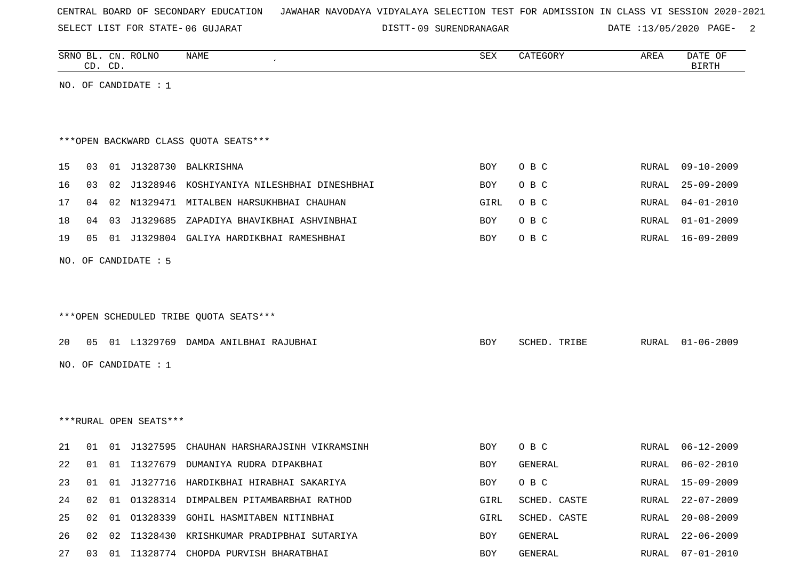SELECT LIST FOR STATE- DISTT- 06 GUJARAT

DISTT-09 SURENDRANAGAR DATE :13/05/2020 PAGE- 2

|    |    | CD. CD. | SRNO BL. CN. ROLNO     | <b>NAME</b>                                   | <b>SEX</b> | CATEGORY     | AREA         | DATE OF<br><b>BIRTH</b> |
|----|----|---------|------------------------|-----------------------------------------------|------------|--------------|--------------|-------------------------|
|    |    |         | NO. OF CANDIDATE : $1$ |                                               |            |              |              |                         |
|    |    |         |                        |                                               |            |              |              |                         |
|    |    |         |                        |                                               |            |              |              |                         |
|    |    |         |                        | *** OPEN BACKWARD CLASS QUOTA SEATS***        |            |              |              |                         |
| 15 | 03 |         |                        | 01 J1328730 BALKRISHNA                        | BOY        | O B C        | RURAL        | $09 - 10 - 2009$        |
| 16 | 03 |         | 02 J1328946            | KOSHIYANIYA NILESHBHAI DINESHBHAI             | BOY        | O B C        | RURAL        | $25 - 09 - 2009$        |
| 17 | 04 |         |                        | 02 N1329471 MITALBEN HARSUKHBHAI CHAUHAN      | GIRL       | O B C        | RURAL        | $04 - 01 - 2010$        |
| 18 | 04 |         | 03 J1329685            | ZAPADIYA BHAVIKBHAI ASHVINBHAI                | BOY        | O B C        | RURAL        | $01 - 01 - 2009$        |
| 19 | 05 |         |                        | 01 J1329804 GALIYA HARDIKBHAI RAMESHBHAI      | BOY        | O B C        | RURAL        | $16 - 09 - 2009$        |
|    |    |         | NO. OF CANDIDATE : 5   |                                               |            |              |              |                         |
|    |    |         |                        |                                               |            |              |              |                         |
|    |    |         |                        |                                               |            |              |              |                         |
|    |    |         |                        | ***OPEN SCHEDULED TRIBE QUOTA SEATS***        |            |              |              |                         |
| 20 | 05 |         |                        | 01 L1329769 DAMDA ANILBHAI RAJUBHAI           | BOY        | SCHED. TRIBE | RURAL        | $01 - 06 - 2009$        |
|    |    |         | NO. OF CANDIDATE : $1$ |                                               |            |              |              |                         |
|    |    |         |                        |                                               |            |              |              |                         |
|    |    |         |                        |                                               |            |              |              |                         |
|    |    |         | ***RURAL OPEN SEATS*** |                                               |            |              |              |                         |
|    |    |         |                        |                                               |            |              |              |                         |
| 21 | 01 |         | 01 J1327595            | CHAUHAN HARSHARAJSINH VIKRAMSINH              | BOY        | O B C        | RURAL        | $06 - 12 - 2009$        |
| 22 | 01 |         |                        | 01 I1327679 DUMANIYA RUDRA DIPAKBHAI          | <b>BOY</b> | GENERAL      | <b>RURAL</b> | $06 - 02 - 2010$        |
| 23 |    |         |                        | 01 01 J1327716 HARDIKBHAI HIRABHAI SAKARIYA   | BOY        | O B C        |              | RURAL 15-09-2009        |
| 24 |    |         |                        | 02 01 01328314 DIMPALBEN PITAMBARBHAI RATHOD  | GIRL       | SCHED. CASTE |              | RURAL 22-07-2009        |
| 25 |    |         |                        | 02 01 01328339 GOHIL HASMITABEN NITINBHAI     | GIRL       | SCHED. CASTE |              | RURAL 20-08-2009        |
| 26 |    |         |                        | 02 02 I1328430 KRISHKUMAR PRADIPBHAI SUTARIYA | BOY        | GENERAL      | RURAL        | $22 - 06 - 2009$        |
| 27 |    |         |                        | 03 01 I1328774 CHOPDA PURVISH BHARATBHAI      | BOY        | GENERAL      | RURAL        | $07 - 01 - 2010$        |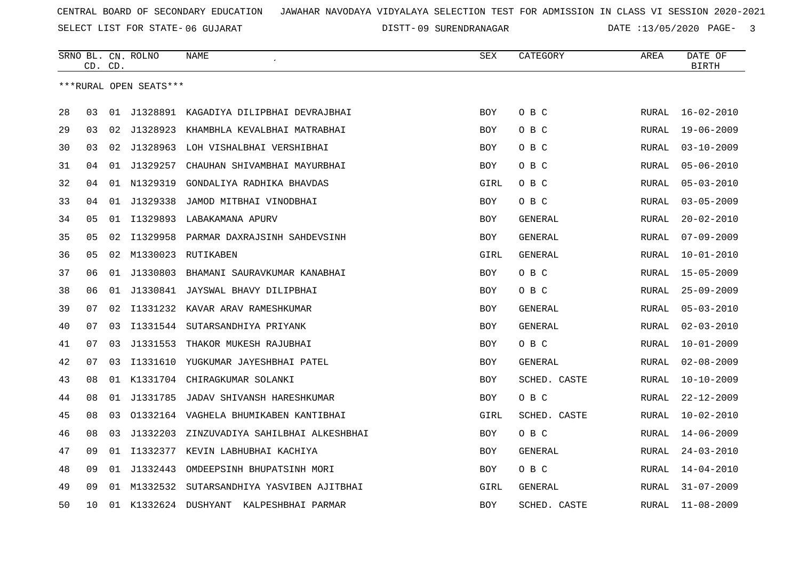DISTT-09 SURENDRANAGAR DATE :13/05/2020 PAGE- 3

|    | CD. | CD. | SRNO BL. CN. ROLNO     | <b>NAME</b>                              | SEX        | CATEGORY       | AREA         | DATE OF<br><b>BIRTH</b> |
|----|-----|-----|------------------------|------------------------------------------|------------|----------------|--------------|-------------------------|
|    |     |     | ***RURAL OPEN SEATS*** |                                          |            |                |              |                         |
| 28 | 03  | 01  | J1328891               | KAGADIYA DILIPBHAI DEVRAJBHAI            | <b>BOY</b> | O B C          | RURAL        | $16 - 02 - 2010$        |
| 29 | 03  |     |                        | 02 J1328923 KHAMBHLA KEVALBHAI MATRABHAI | <b>BOY</b> | O B C          | RURAL        | $19 - 06 - 2009$        |
| 30 | 03  | 02  | J1328963               | LOH VISHALBHAI VERSHIBHAI                | <b>BOY</b> | O B C          | <b>RURAL</b> | $03 - 10 - 2009$        |
| 31 | 04  | 01  | J1329257               | CHAUHAN SHIVAMBHAI MAYURBHAI             | <b>BOY</b> | O B C          | <b>RURAL</b> | $05 - 06 - 2010$        |
| 32 | 04  | 01  | N1329319               | GONDALIYA RADHIKA BHAVDAS                | GIRL       | O B C          | <b>RURAL</b> | $05 - 03 - 2010$        |
| 33 | 04  | 01  | J1329338               | JAMOD MITBHAI VINODBHAI                  | BOY        | O B C          | <b>RURAL</b> | $03 - 05 - 2009$        |
| 34 | 05  | 01  | I1329893               | LABAKAMANA APURV                         | <b>BOY</b> | <b>GENERAL</b> | <b>RURAL</b> | $20 - 02 - 2010$        |
| 35 | 05  | 02  | I1329958               | PARMAR DAXRAJSINH SAHDEVSINH             | <b>BOY</b> | GENERAL        | <b>RURAL</b> | $07 - 09 - 2009$        |
| 36 | 05  | 02  | M1330023               | RUTIKABEN                                | GIRL       | GENERAL        | <b>RURAL</b> | $10 - 01 - 2010$        |
| 37 | 06  | 01  | J1330803               | BHAMANI SAURAVKUMAR KANABHAI             | <b>BOY</b> | O B C          | RURAL        | $15 - 05 - 2009$        |
| 38 | 06  |     |                        | 01 J1330841 JAYSWAL BHAVY DILIPBHAI      | BOY        | O B C          | <b>RURAL</b> | $25 - 09 - 2009$        |
| 39 | 07  | 02  |                        | I1331232 KAVAR ARAV RAMESHKUMAR          | <b>BOY</b> | GENERAL        | <b>RURAL</b> | $05 - 03 - 2010$        |
| 40 | 07  | 03  |                        | I1331544 SUTARSANDHIYA PRIYANK           | <b>BOY</b> | GENERAL        | RURAL        | $02 - 03 - 2010$        |
| 41 | 07  | 03  | J1331553               | THAKOR MUKESH RAJUBHAI                   | <b>BOY</b> | O B C          | <b>RURAL</b> | $10 - 01 - 2009$        |
| 42 | 07  | 03  |                        | I1331610 YUGKUMAR JAYESHBHAI PATEL       | <b>BOY</b> | <b>GENERAL</b> | RURAL        | $02 - 08 - 2009$        |
| 43 | 08  |     |                        | 01 K1331704 CHIRAGKUMAR SOLANKI          | <b>BOY</b> | SCHED. CASTE   | RURAL        | $10 - 10 - 2009$        |
| 44 | 08  | 01  | J1331785               | JADAV SHIVANSH HARESHKUMAR               | <b>BOY</b> | O B C          | RURAL        | $22 - 12 - 2009$        |
| 45 | 08  | 03  |                        | 01332164 VAGHELA BHUMIKABEN KANTIBHAI    | GIRL       | SCHED. CASTE   | RURAL        | $10 - 02 - 2010$        |
| 46 | 08  | 03  | J1332203               | ZINZUVADIYA SAHILBHAI ALKESHBHAI         | BOY        | O B C          | RURAL        | $14 - 06 - 2009$        |
| 47 | 09  |     |                        | 01 I1332377 KEVIN LABHUBHAI KACHIYA      | <b>BOY</b> | GENERAL        | RURAL        | $24 - 03 - 2010$        |
| 48 | 09  | 01  | J1332443               | OMDEEPSINH BHUPATSINH MORI               | <b>BOY</b> | O B C          | RURAL        | $14 - 04 - 2010$        |
| 49 | 09  | 01  | M1332532               | SUTARSANDHIYA YASVIBEN AJITBHAI          | GIRL       | GENERAL        | RURAL        | $31 - 07 - 2009$        |
| 50 | 10  | 01  |                        | K1332624 DUSHYANT<br>KALPESHBHAI PARMAR  | <b>BOY</b> | SCHED. CASTE   | RURAL        | $11 - 08 - 2009$        |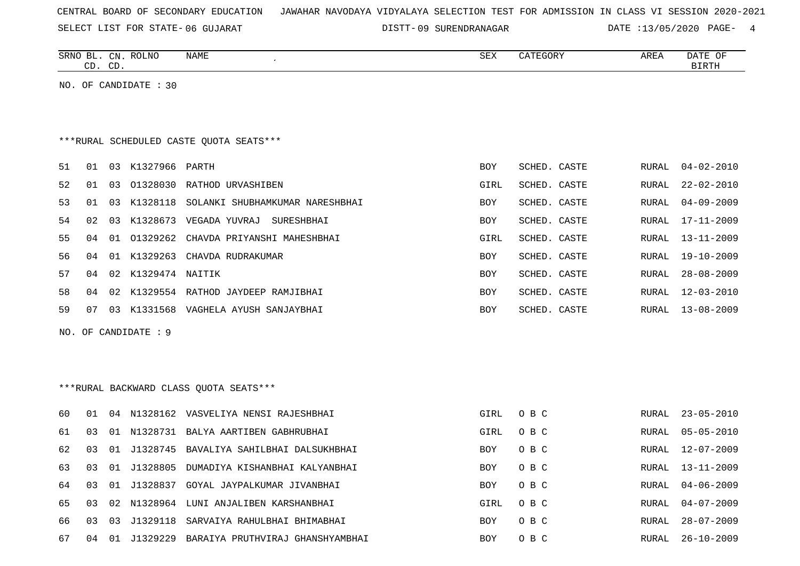|  |  |  | CENTRAL BOARD OF SECONDARY EDUCATION – JAWAHAR NAVODAYA VIDYALAYA SELECTION TEST FOR ADMISSION IN CLASS VI SESSION 2020-2021 |  |  |  |  |  |  |  |  |  |  |  |  |  |  |
|--|--|--|------------------------------------------------------------------------------------------------------------------------------|--|--|--|--|--|--|--|--|--|--|--|--|--|--|
|--|--|--|------------------------------------------------------------------------------------------------------------------------------|--|--|--|--|--|--|--|--|--|--|--|--|--|--|

DISTT-09 SURENDRANAGAR DATE :13/05/2020 PAGE- 4

|    | CD. CD. |    | SRNO BL. CN. ROLNO    | <b>NAME</b>                                     | <b>SEX</b> | CATEGORY     | AREA         | DATE OF<br>$\operatorname{BIRTH}$ |
|----|---------|----|-----------------------|-------------------------------------------------|------------|--------------|--------------|-----------------------------------|
|    |         |    | NO. OF CANDIDATE : 30 |                                                 |            |              |              |                                   |
|    |         |    |                       |                                                 |            |              |              |                                   |
|    |         |    |                       |                                                 |            |              |              |                                   |
|    |         |    |                       | ***RURAL SCHEDULED CASTE OUOTA SEATS***         |            |              |              |                                   |
| 51 | 01      |    | 03 K1327966 PARTH     |                                                 | BOY        | SCHED. CASTE | RURAL        | $04 - 02 - 2010$                  |
| 52 | 01      |    |                       | 03 01328030 RATHOD URVASHIBEN                   | GIRL       | SCHED. CASTE | RURAL        | $22 - 02 - 2010$                  |
| 53 | 01      |    |                       | 03 K1328118 SOLANKI SHUBHAMKUMAR NARESHBHAI     | BOY        | SCHED. CASTE | <b>RURAL</b> | $04 - 09 - 2009$                  |
| 54 | 02      |    |                       | 03 K1328673 VEGADA YUVRAJ SURESHBHAI            | BOY        | SCHED. CASTE | RURAL        | $17 - 11 - 2009$                  |
| 55 | 04      |    |                       | 01 01329262 CHAVDA PRIYANSHI MAHESHBHAI         | GIRL       | SCHED. CASTE | RURAL        | 13-11-2009                        |
| 56 | 04      |    |                       | 01 K1329263 CHAVDA RUDRAKUMAR                   | <b>BOY</b> | SCHED. CASTE | <b>RURAL</b> | $19 - 10 - 2009$                  |
| 57 | 04      |    | 02 K1329474 NAITIK    |                                                 | <b>BOY</b> | SCHED. CASTE | <b>RURAL</b> | $28 - 08 - 2009$                  |
| 58 | 04      |    |                       | 02 K1329554 RATHOD JAYDEEP RAMJIBHAI            | <b>BOY</b> | SCHED. CASTE | RURAL        | $12 - 03 - 2010$                  |
| 59 | 07      |    |                       | 03 K1331568 VAGHELA AYUSH SANJAYBHAI            | <b>BOY</b> | SCHED. CASTE | RURAL        | $13 - 08 - 2009$                  |
|    |         |    | NO. OF CANDIDATE : 9  |                                                 |            |              |              |                                   |
|    |         |    |                       |                                                 |            |              |              |                                   |
|    |         |    |                       |                                                 |            |              |              |                                   |
|    |         |    |                       | ***RURAL BACKWARD CLASS OUOTA SEATS***          |            |              |              |                                   |
| 60 | 01      |    |                       | 04 N1328162 VASVELIYA NENSI RAJESHBHAI          | GIRL       | O B C        | RURAL        | $23 - 05 - 2010$                  |
| 61 | 03      |    |                       | 01 N1328731 BALYA AARTIBEN GABHRUBHAI           | GIRL       | O B C        | RURAL        | $05 - 05 - 2010$                  |
| 62 | 03      |    |                       | 01 J1328745 BAVALIYA SAHILBHAI DALSUKHBHAI      | <b>BOY</b> | O B C        | RURAL        | $12 - 07 - 2009$                  |
| 63 | 03      |    | 01 J1328805           | DUMADIYA KISHANBHAI KALYANBHAI                  | <b>BOY</b> | O B C        | <b>RURAL</b> | $13 - 11 - 2009$                  |
| 64 | 03      |    |                       | 01 J1328837 GOYAL JAYPALKUMAR JIVANBHAI         | BOY        | O B C        | RURAL        | $04 - 06 - 2009$                  |
| 65 | 03      |    |                       | 02 N1328964 LUNI ANJALIBEN KARSHANBHAI          | GIRL       | O B C        | RURAL        | $04 - 07 - 2009$                  |
| 66 | 03      | 03 |                       | J1329118 SARVAIYA RAHULBHAI BHIMABHAI           | <b>BOY</b> | O B C        | RURAL        | $28 - 07 - 2009$                  |
| 67 |         |    |                       | 04 01 J1329229 BARAIYA PRUTHVIRAJ GHANSHYAMBHAI | <b>BOY</b> | O B C        |              | RURAL 26-10-2009                  |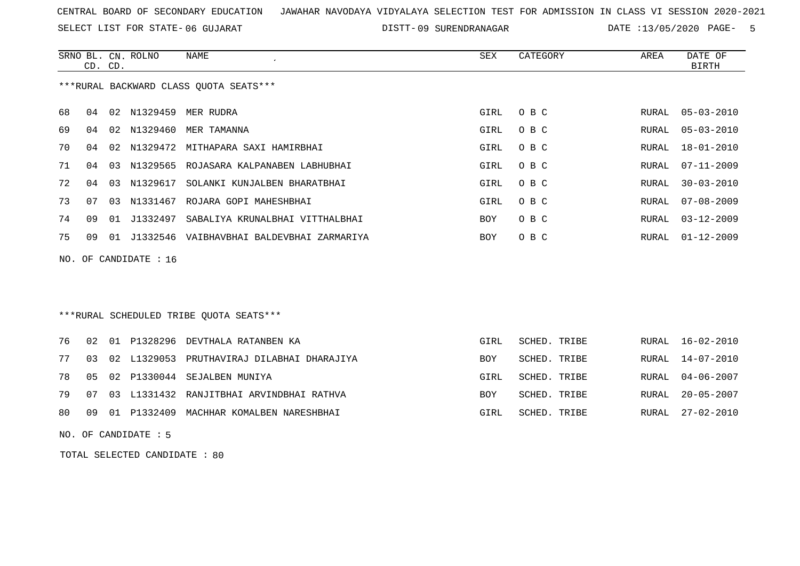SELECT LIST FOR STATE- DISTT- 06 GUJARAT

09 SURENDRANAGAR DATE :13/05/2020 PAGE- 5

|    |                                        | CD. CD. | SRNO BL. CN. ROLNO | NAME<br>$\cdot$                              | SEX  | CATEGORY | AREA  | DATE OF<br>BIRTH |
|----|----------------------------------------|---------|--------------------|----------------------------------------------|------|----------|-------|------------------|
|    | ***RURAL BACKWARD CLASS QUOTA SEATS*** |         |                    |                                              |      |          |       |                  |
| 68 | 04                                     |         |                    | 02 N1329459 MER RUDRA                        | GIRL | O B C    | RURAL | 05-03-2010       |
| 69 | 04                                     |         |                    | 02 N1329460 MER TAMANNA                      | GIRL | O B C    | RURAL | $05 - 03 - 2010$ |
| 70 | 04                                     |         |                    | 02 N1329472 MITHAPARA SAXI HAMIRBHAI         | GIRL | O B C    | RURAL | 18-01-2010       |
| 71 | 04                                     | 03      | N1329565           | ROJASARA KALPANABEN LABHUBHAI                | GIRL | O B C    | RURAL | 07-11-2009       |
| 72 | 04                                     | 03      | N1329617           | SOLANKI KUNJALBEN BHARATBHAI                 | GIRL | O B C    | RURAL | $30 - 03 - 2010$ |
| 73 | 07                                     | 03      | N1331467           | ROJARA GOPI MAHESHBHAI                       | GIRL | O B C    | RURAL | $07 - 08 - 2009$ |
| 74 | 09                                     | 01      | J1332497           | SABALIYA KRUNALBHAI VITTHALBHAI              | BOY  | O B C    | RURAL | $03 - 12 - 2009$ |
| 75 | 09                                     |         |                    | 01 J1332546 VAIBHAVBHAI BALDEVBHAI ZARMARIYA | BOY  | O B C    | RURAL | $01 - 12 - 2009$ |
|    | NO. OF CANDIDATE : $16$                |         |                    |                                              |      |          |       |                  |

# \*\*\*RURAL SCHEDULED TRIBE QUOTA SEATS\*\*\*

|  |  | 76 02 01 P1328296 DEVTHALA RATANBEN KA           | GIRL       | SCHED. TRIBE |  | RURAL 16-02-2010 |
|--|--|--------------------------------------------------|------------|--------------|--|------------------|
|  |  | 77 03 02 L1329053 PRUTHAVIRAJ DILABHAI DHARAJIYA | <b>BOY</b> | SCHED. TRIBE |  | RURAL 14-07-2010 |
|  |  | 78 05 02 P1330044 SEJALBEN MUNIYA                | GIRL       | SCHED. TRIBE |  | RURAL 04-06-2007 |
|  |  | 79 07 03 L1331432 RANJITBHAI ARVINDBHAI RATHVA   | <b>BOY</b> | SCHED. TRIBE |  | RURAL 20-05-2007 |
|  |  | 80 09 01 P1332409 MACHHAR KOMALBEN NARESHBHAI    | GIRL       | SCHED. TRIBE |  | RURAL 27-02-2010 |

NO. OF CANDIDATE : 5

TOTAL SELECTED CANDIDATE : 80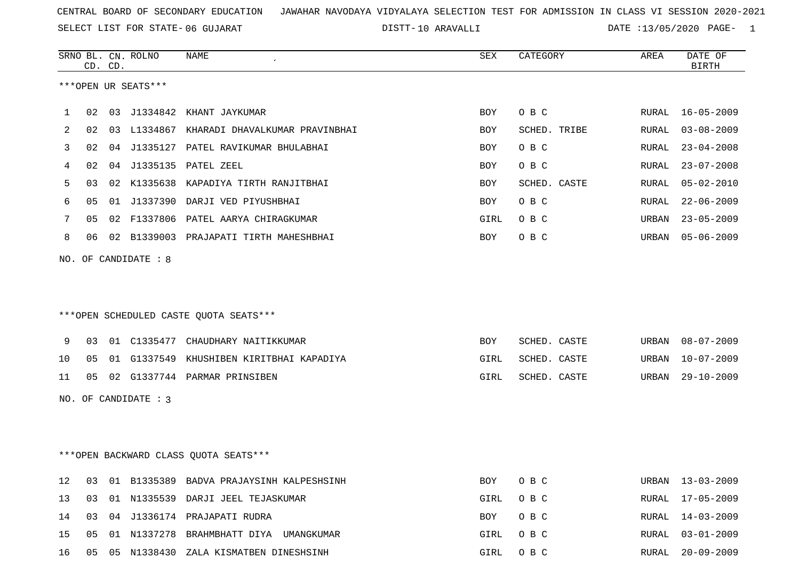SELECT LIST FOR STATE- DISTT- 06 GUJARAT

10 ARAVALLI DATE :13/05/2020 PAGE- 1

|    |    | CD. CD. | SRNO BL. CN. ROLNO   | NAME                                       | SEX        | CATEGORY     | AREA  | DATE OF<br><b>BIRTH</b> |
|----|----|---------|----------------------|--------------------------------------------|------------|--------------|-------|-------------------------|
|    |    |         | ***OPEN UR SEATS***  |                                            |            |              |       |                         |
| 1  | 02 |         |                      | 03 J1334842 KHANT JAYKUMAR                 | <b>BOY</b> | O B C        | RURAL | 16-05-2009              |
| 2  | 02 |         |                      | 03 L1334867 KHARADI DHAVALKUMAR PRAVINBHAI | <b>BOY</b> | SCHED. TRIBE | RURAL | $03 - 08 - 2009$        |
| 3  | 02 |         |                      | 04 J1335127 PATEL RAVIKUMAR BHULABHAI      | BOY        | O B C        | RURAL | $23 - 04 - 2008$        |
| 4  | 02 |         |                      | 04 J1335135 PATEL ZEEL                     | <b>BOY</b> | O B C        | RURAL | $23 - 07 - 2008$        |
| 5  | 03 |         |                      | 02 K1335638 KAPADIYA TIRTH RANJITBHAI      | BOY        | SCHED. CASTE | RURAL | $05 - 02 - 2010$        |
| 6  | 05 |         |                      | 01 J1337390 DARJI VED PIYUSHBHAI           | <b>BOY</b> | O B C        | RURAL | $22 - 06 - 2009$        |
| 7  | 05 |         |                      | 02 F1337806 PATEL AARYA CHIRAGKUMAR        | GIRL       | O B C        | URBAN | $23 - 05 - 2009$        |
| 8  | 06 |         |                      | 02 B1339003 PRAJAPATI TIRTH MAHESHBHAI     | BOY        | O B C        | URBAN | $05 - 06 - 2009$        |
|    |    |         | NO. OF CANDIDATE : 8 |                                            |            |              |       |                         |
|    |    |         |                      |                                            |            |              |       |                         |
|    |    |         |                      |                                            |            |              |       |                         |
|    |    |         |                      | ***OPEN SCHEDULED CASTE QUOTA SEATS***     |            |              |       |                         |
|    |    |         |                      |                                            |            |              |       |                         |
| 9  | 03 |         |                      | 01 C1335477 CHAUDHARY NAITIKKUMAR          | BOY        | SCHED. CASTE | URBAN | $08 - 07 - 2009$        |
| 10 | 05 |         |                      | 01 G1337549 KHUSHIBEN KIRITBHAI KAPADIYA   | GIRL       | SCHED. CASTE | URBAN | $10 - 07 - 2009$        |
| 11 | 05 |         |                      | 02 G1337744 PARMAR PRINSIBEN               | GIRL       | SCHED. CASTE | URBAN | $29 - 10 - 2009$        |
|    |    |         | NO. OF CANDIDATE : 3 |                                            |            |              |       |                         |
|    |    |         |                      |                                            |            |              |       |                         |
|    |    |         |                      |                                            |            |              |       |                         |
|    |    |         |                      | *** OPEN BACKWARD CLASS QUOTA SEATS***     |            |              |       |                         |
|    |    |         |                      |                                            |            |              |       |                         |
| 12 | 03 |         |                      | 01 B1335389 BADVA PRAJAYSINH KALPESHSINH   | <b>BOY</b> | O B C        | URBAN | $13 - 03 - 2009$        |
| 13 | 03 |         |                      | 01 N1335539 DARJI JEEL TEJASKUMAR          | GIRL       | O B C        | RURAL | $17 - 05 - 2009$        |
| 14 | 03 |         |                      | 04 J1336174 PRAJAPATI RUDRA                | <b>BOY</b> | O B C        | RURAL | $14 - 03 - 2009$        |
| 15 | 05 |         |                      | 01 N1337278 BRAHMBHATT DIYA UMANGKUMAR     | GIRL       | O B C        | RURAL | $03 - 01 - 2009$        |

16 05 05 N1338430 ZALA KISMATBEN DINESHSINH GUNU GIRL O B C RURAL 20-09-2009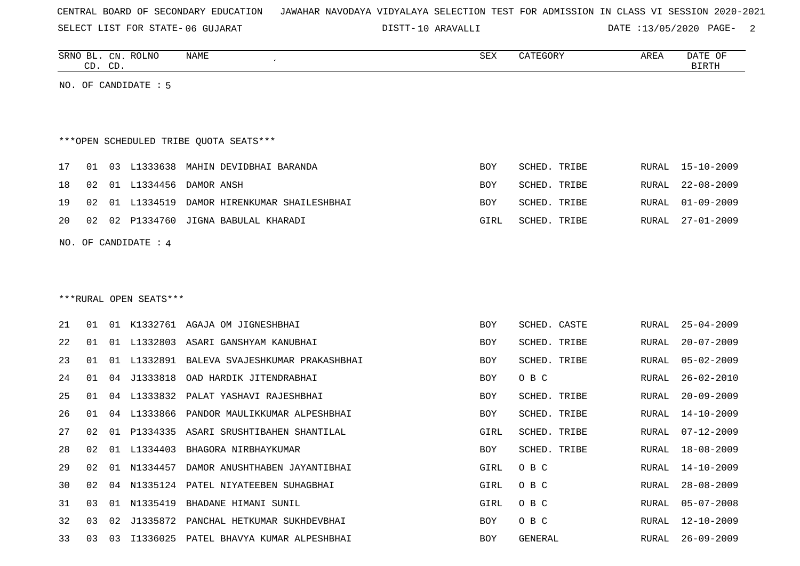SELECT LIST FOR STATE- DISTT- 06 GUJARAT

10 ARAVALLI DATE :13/05/2020 PAGE- 2

| SRNO BL.<br>CN.<br>$\cap$<br>CD.<br>ىب | ROLNO<br>NAME | <b>SEX</b> | $\alpha$<br>.EGOK Y<br>∸ | AREA | DATE<br>OF<br>BIRTH |
|----------------------------------------|---------------|------------|--------------------------|------|---------------------|
|                                        |               |            |                          |      |                     |

NO. OF CANDIDATE : 5

# \*\*\*OPEN SCHEDULED TRIBE QUOTA SEATS\*\*\*

|  |  | 17 01 03 L1333638 MAHIN DEVIDBHAI BARANDA       | BOY        | SCHED. TRIBE | RURAL 15-10-2009 |
|--|--|-------------------------------------------------|------------|--------------|------------------|
|  |  | 18 02 01 L1334456 DAMOR ANSH                    | <b>BOY</b> | SCHED. TRIBE | RURAL 22-08-2009 |
|  |  | 19 02 01 L1334519 DAMOR HIRENKUMAR SHAILESHBHAI | BOY        | SCHED. TRIBE | RURAL 01-09-2009 |
|  |  | 20 02 02 P1334760 JIGNA BABULAL KHARADI         | GIRL       | SCHED. TRIBE | RURAL 27-01-2009 |
|  |  |                                                 |            |              |                  |

NO. OF CANDIDATE : 4

# \*\*\*RURAL OPEN SEATS\*\*\*

| 21 | 01 | 01    | K1332761       | AGAJA OM JIGNESHBHAI                   | <b>BOY</b> | SCHED. CASTE | RURAL | $25 - 04 - 2009$ |
|----|----|-------|----------------|----------------------------------------|------------|--------------|-------|------------------|
| 22 | 01 | . N 1 | L1332803       | ASARI GANSHYAM KANUBHAI                | BOY        | SCHED. TRIBE | RURAL | $20 - 07 - 2009$ |
| 23 | 01 | 01    | L1332891       | BALEVA SVAJESHKUMAR PRAKASHBHAI        | BOY        | SCHED. TRIBE | RURAL | $05 - 02 - 2009$ |
| 24 | 01 | 04    | J1333818       | OAD HARDIK JITENDRABHAI                | BOY        | O B C        | RURAL | $26 - 02 - 2010$ |
| 25 | 01 |       |                | 04 L1333832 PALAT YASHAVI RAJESHBHAI   | BOY        | SCHED. TRIBE | RURAL | $20 - 09 - 2009$ |
| 26 | 01 |       | 04 L1333866    | PANDOR MAULIKKUMAR ALPESHBHAI          | <b>BOY</b> | SCHED. TRIBE | RURAL | 14-10-2009       |
| 27 | 02 | 01    |                | P1334335 ASARI SRUSHTIBAHEN SHANTILAL  | GIRL       | SCHED. TRIBE | RURAL | 07-12-2009       |
| 28 | 02 |       | 01 L1334403    | BHAGORA NIRBHAYKUMAR                   | BOY        | SCHED. TRIBE | RURAL | 18-08-2009       |
| 29 |    |       | 02 01 N1334457 | DAMOR ANUSHTHABEN JAYANTIBHAI          | GIRL       | O B C        | RURAL | $14 - 10 - 2009$ |
| 30 | 02 |       |                | 04 N1335124 PATEL NIYATEEBEN SUHAGBHAI | GIRL       | O B C        | RURAL | $28 - 08 - 2009$ |
| 31 | 03 | 01    | N1335419       | BHADANE HIMANI SUNIL                   | GIRL       | O B C        | RURAL | $05 - 07 - 2008$ |
| 32 | 03 | 02    | J1335872       | PANCHAL HETKUMAR SUKHDEVBHAI           | BOY        | O B C        | RURAL | 12-10-2009       |
| 33 | 03 | 03    | I1336025       | PATEL BHAVYA KUMAR ALPESHBHAI          | BOY        | GENERAL      |       | RURAL 26-09-2009 |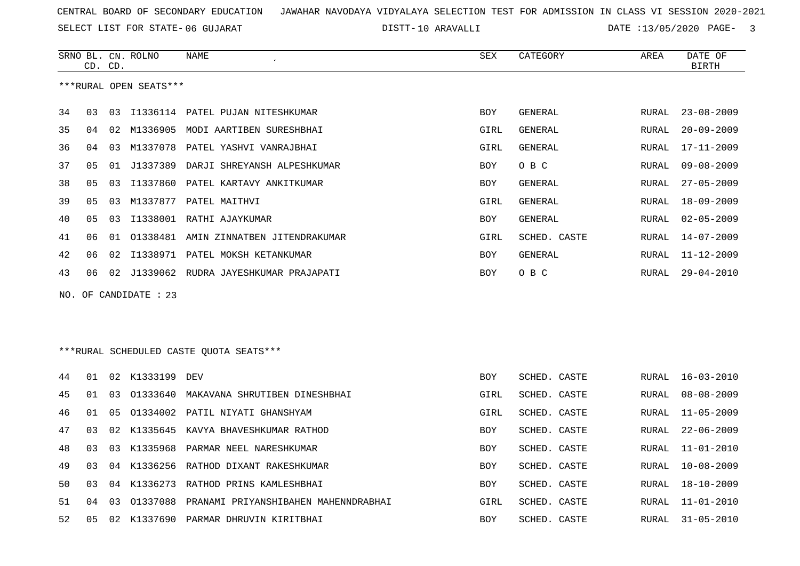SELECT LIST FOR STATE- DISTT- 06 GUJARAT

10 ARAVALLI DATE :13/05/2020 PAGE- 3

 $\overline{\phantom{a}}$ 

|                       | CD.            | CD. | SRNO BL. CN. ROLNO     | NAME                                     | SEX        | CATEGORY       | AREA         | DATE OF<br><b>BIRTH</b> |  |
|-----------------------|----------------|-----|------------------------|------------------------------------------|------------|----------------|--------------|-------------------------|--|
|                       |                |     | ***RURAL OPEN SEATS*** |                                          |            |                |              |                         |  |
| 34                    | 03             | 03  |                        | I1336114 PATEL PUJAN NITESHKUMAR         | <b>BOY</b> | GENERAL        | RURAL        | $23 - 08 - 2009$        |  |
| 35                    | 04             | 02  | M1336905               | MODI AARTIBEN SURESHBHAI                 | GIRL       | GENERAL        | RURAL        | $20 - 09 - 2009$        |  |
| 36                    | 04             | 03  | M1337078               | PATEL YASHVI VANRAJBHAI                  | GIRL       | GENERAL        | RURAL        | $17 - 11 - 2009$        |  |
| 37                    | 05             | 01  | J1337389               | DARJI SHREYANSH ALPESHKUMAR              | <b>BOY</b> | O B C          | RURAL        | $09 - 08 - 2009$        |  |
| 38                    | 05             | 03  | I1337860               | PATEL KARTAVY ANKITKUMAR                 | <b>BOY</b> | GENERAL        | RURAL        | $27 - 05 - 2009$        |  |
| 39                    | 0 <sub>5</sub> | 03  | M1337877               | PATEL MAITHVI                            | GIRL       | <b>GENERAL</b> | RURAL        | $18 - 09 - 2009$        |  |
| 40                    | 05             | 03  |                        | I1338001 RATHI AJAYKUMAR                 | <b>BOY</b> | GENERAL        | <b>RURAL</b> | $02 - 05 - 2009$        |  |
| 41                    | 06             |     |                        | 01 01338481 AMIN ZINNATBEN JITENDRAKUMAR | GIRL       | SCHED. CASTE   | <b>RURAL</b> | $14 - 07 - 2009$        |  |
| 42                    | 06             | 02  |                        | I1338971 PATEL MOKSH KETANKUMAR          | <b>BOY</b> | GENERAL        | RURAL        | $11 - 12 - 2009$        |  |
| 43                    | 06             | 02  |                        | J1339062 RUDRA JAYESHKUMAR PRAJAPATI     | <b>BOY</b> | O B C          | RURAL        | $29 - 04 - 2010$        |  |
| NO. OF CANDIDATE : 23 |                |     |                        |                                          |            |                |              |                         |  |
|                       |                |     |                        |                                          |            |                |              |                         |  |
|                       |                |     |                        |                                          |            |                |              |                         |  |
|                       |                |     |                        | ***RURAL SCHEDULED CASTE OUOTA SEATS***  |            |                |              |                         |  |
| 44                    | 01             |     | 02 K1333199 DEV        |                                          | BOY        | SCHED. CASTE   | RURAL        | $16 - 03 - 2010$        |  |
| 45                    | 01             | 03  |                        | 01333640 MAKAVANA SHRUTIBEN DINESHBHAI   | GIRL       | SCHED. CASTE   | RURAL        | $08 - 08 - 2009$        |  |
| 46                    | 01             | 05  |                        | 01334002 PATIL NIYATI GHANSHYAM          | GIRL       | SCHED. CASTE   | RURAL        | $11 - 05 - 2009$        |  |
| 47                    | 03             | 02  | K1335645               | KAVYA BHAVESHKUMAR RATHOD                | <b>BOY</b> | SCHED. CASTE   | RURAL        | $22 - 06 - 2009$        |  |
| 48                    | 03             | 03  | K1335968               | PARMAR NEEL NARESHKUMAR                  | <b>BOY</b> | SCHED. CASTE   | RURAL        | $11 - 01 - 2010$        |  |
| 49                    | 03             | 04  | K1336256               | RATHOD DIXANT RAKESHKUMAR                | <b>BOY</b> | SCHED. CASTE   | RURAL        | $10 - 08 - 2009$        |  |
| 50                    | 03             | 04  |                        | K1336273 RATHOD PRINS KAMLESHBHAI        | <b>BOY</b> | SCHED. CASTE   | RURAL        | $18 - 10 - 2009$        |  |
| 51                    | 04             | 03  | 01337088               | PRANAMI PRIYANSHIBAHEN MAHENNDRABHAI     | GIRL       | SCHED. CASTE   | RURAL        | $11 - 01 - 2010$        |  |
| 52                    | 05             |     |                        | 02 K1337690 PARMAR DHRUVIN KIRITBHAI     | <b>BOY</b> | SCHED. CASTE   | RURAL        | $31 - 05 - 2010$        |  |
|                       |                |     |                        |                                          |            |                |              |                         |  |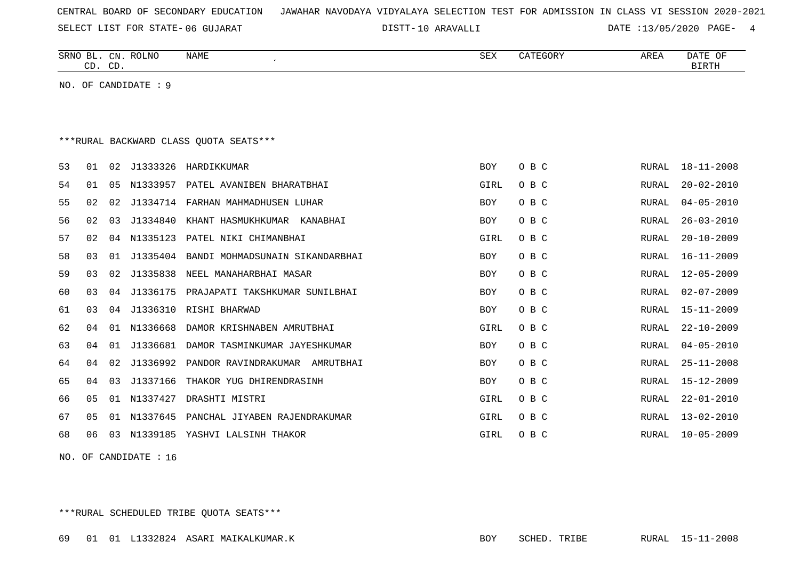SELECT LIST FOR STATE- DISTT- 06 GUJARAT

10 ARAVALLI DATE :13/05/2020 PAGE- 4

|    | CD. CD.                                |                | SRNO BL. CN. ROLNO   | <b>NAME</b>                        | <b>SEX</b> | CATEGORY | AREA  | DATE OF<br><b>BIRTH</b> |  |  |
|----|----------------------------------------|----------------|----------------------|------------------------------------|------------|----------|-------|-------------------------|--|--|
|    |                                        |                | NO. OF CANDIDATE : 9 |                                    |            |          |       |                         |  |  |
|    |                                        |                |                      |                                    |            |          |       |                         |  |  |
|    |                                        |                |                      |                                    |            |          |       |                         |  |  |
|    | ***RURAL BACKWARD CLASS OUOTA SEATS*** |                |                      |                                    |            |          |       |                         |  |  |
| 53 | 01                                     | 02             | J1333326             | HARDIKKUMAR                        | <b>BOY</b> | O B C    | RURAL | $18 - 11 - 2008$        |  |  |
| 54 | 01                                     | 05             |                      | N1333957 PATEL AVANIBEN BHARATBHAI | GIRL       | O B C    | RURAL | $20 - 02 - 2010$        |  |  |
| 55 | 02                                     | 02             |                      | J1334714 FARHAN MAHMADHUSEN LUHAR  | BOY        | O B C    | RURAL | $04 - 05 - 2010$        |  |  |
| 56 | 02                                     | 0 <sub>3</sub> | J1334840             | KHANT HASMUKHKUMAR<br>KANABHAI     | <b>BOY</b> | O B C    | RURAL | $26 - 03 - 2010$        |  |  |
| 57 | 02                                     | 04             | N1335123             | PATEL NIKI CHIMANBHAI              | GIRL       | O B C    | RURAL | $20 - 10 - 2009$        |  |  |
| 58 | 03                                     | 01             | J1335404             | BANDI MOHMADSUNAIN SIKANDARBHAI    | BOY        | O B C    | RURAL | $16 - 11 - 2009$        |  |  |
| 59 | 03                                     | 02             | J1335838             | NEEL MANAHARBHAI MASAR             | <b>BOY</b> | O B C    | RURAL | $12 - 05 - 2009$        |  |  |
| 60 | 03                                     | 04             | J1336175             | PRAJAPATI TAKSHKUMAR SUNILBHAI     | <b>BOY</b> | O B C    | RURAL | $02 - 07 - 2009$        |  |  |
| 61 | 0 <sub>3</sub>                         | 04             | J1336310             | RISHI BHARWAD                      | <b>BOY</b> | O B C    | RURAL | $15 - 11 - 2009$        |  |  |
| 62 | 04                                     | 01             | N1336668             | DAMOR KRISHNABEN AMRUTBHAI         | GIRL       | O B C    | RURAL | $22 - 10 - 2009$        |  |  |
| 63 | 04                                     | 01             | J1336681             | DAMOR TASMINKUMAR JAYESHKUMAR      | <b>BOY</b> | O B C    | RURAL | $04 - 05 - 2010$        |  |  |
| 64 | 04                                     | 02             | J1336992             | PANDOR RAVINDRAKUMAR AMRUTBHAI     | <b>BOY</b> | O B C    | RURAL | $25 - 11 - 2008$        |  |  |
| 65 | 04                                     | 03             | J1337166             | THAKOR YUG DHIRENDRASINH           | <b>BOY</b> | O B C    | RURAL | $15 - 12 - 2009$        |  |  |
| 66 | 05                                     | 01             | N1337427             | DRASHTI MISTRI                     | GIRL       | O B C    | RURAL | $22 - 01 - 2010$        |  |  |
| 67 | 05                                     | 01             | N1337645             | PANCHAL JIYABEN RAJENDRAKUMAR      | GIRL       | O B C    | RURAL | $13 - 02 - 2010$        |  |  |
| 68 | 06                                     | 03             | N1339185             | YASHVI LALSINH THAKOR              | GIRL       | O B C    | RURAL | $10 - 05 - 2009$        |  |  |

NO. OF CANDIDATE : 16

\*\*\*RURAL SCHEDULED TRIBE QUOTA SEATS\*\*\*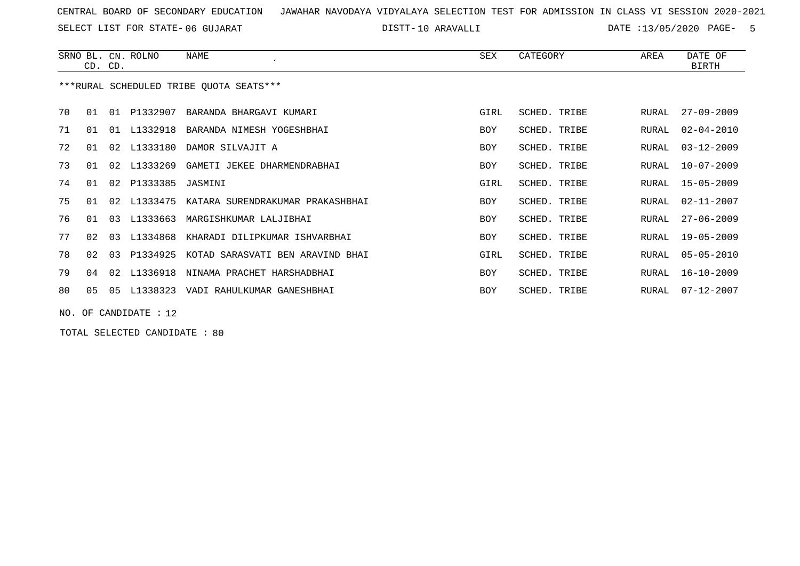SELECT LIST FOR STATE- DISTT- 06 GUJARAT

10 ARAVALLI DATE :13/05/2020 PAGE- 5

|    |                | CD. CD. | SRNO BL. CN. ROLNO | NAME                                      | SEX        | CATEGORY     | AREA  | DATE OF<br><b>BIRTH</b> |
|----|----------------|---------|--------------------|-------------------------------------------|------------|--------------|-------|-------------------------|
|    |                |         |                    | ***RURAL SCHEDULED TRIBE QUOTA SEATS***   |            |              |       |                         |
| 70 | 01             |         |                    | 01 P1332907 BARANDA BHARGAVI KUMARI       | GIRL       | SCHED, TRIBE | RURAL | $27 - 09 - 2009$        |
| 71 | 01             |         |                    | 01 L1332918 BARANDA NIMESH YOGESHBHAI     | <b>BOY</b> | SCHED. TRIBE | RURAL | $02 - 04 - 2010$        |
| 72 | 01             | 02      | L1333180           | DAMOR SILVAJIT A                          | BOY        | SCHED. TRIBE | RURAL | $03 - 12 - 2009$        |
| 73 | 01             |         |                    | 02 L1333269 GAMETI JEKEE DHARMENDRABHAI   | BOY        | SCHED. TRIBE | RURAL | $10 - 07 - 2009$        |
| 74 | 01             | 02      | P1333385 JASMINI   |                                           | GIRL       | SCHED. TRIBE | RURAL | $15 - 05 - 2009$        |
| 75 | 01             | 02      |                    | L1333475 KATARA SURENDRAKUMAR PRAKASHBHAI | BOY        | SCHED. TRIBE | RURAL | $02 - 11 - 2007$        |
| 76 | 01             | 03      | L1333663           | MARGISHKUMAR LALJIBHAI                    | <b>BOY</b> | SCHED. TRIBE | RURAL | $27 - 06 - 2009$        |
| 77 | 02             | 03      |                    | L1334868 KHARADI DILIPKUMAR ISHVARBHAI    | <b>BOY</b> | SCHED. TRIBE | RURAL | $19 - 05 - 2009$        |
| 78 | 02             | 03      | P1334925           | KOTAD SARASVATI BEN ARAVIND BHAI          | GIRL       | SCHED. TRIBE | RURAL | $05 - 05 - 2010$        |
| 79 | 04             | 02      | L1336918           | NINAMA PRACHET HARSHADBHAI                | BOY        | SCHED. TRIBE | RURAL | $16 - 10 - 2009$        |
| 80 | 0 <sub>5</sub> | 05      | L1338323           | VADI RAHULKUMAR GANESHBHAI                | BOY        | SCHED. TRIBE | RURAL | $07 - 12 - 2007$        |
|    |                |         |                    |                                           |            |              |       |                         |

NO. OF CANDIDATE : 12

TOTAL SELECTED CANDIDATE : 80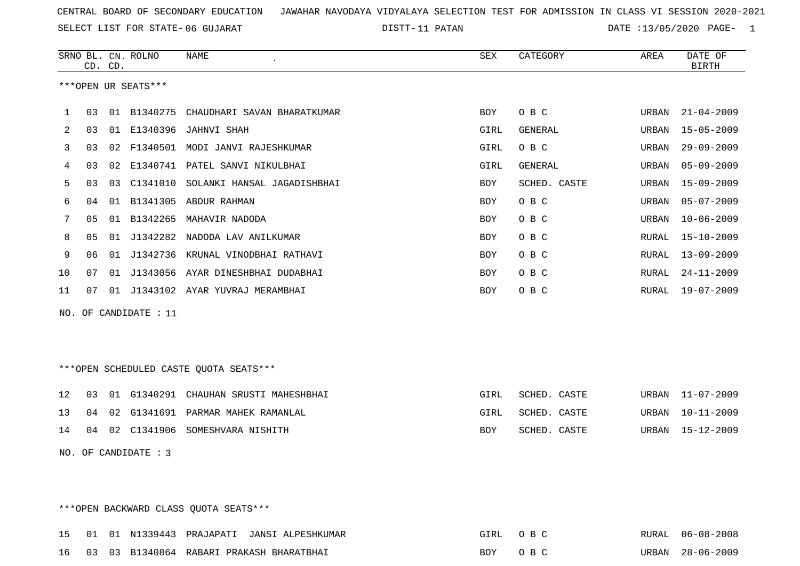DISTT-11 PATAN 11 2001 12 2002 DATE :13/05/2020 PAGE- 1

|    |    | CD. CD. | SRNO BL. CN. ROLNO    | <b>NAME</b>                            | <b>SEX</b>  | CATEGORY       | AREA         | DATE OF<br><b>BIRTH</b> |
|----|----|---------|-----------------------|----------------------------------------|-------------|----------------|--------------|-------------------------|
|    |    |         | ***OPEN UR SEATS***   |                                        |             |                |              |                         |
| 1  | 03 | 01      | B1340275              | CHAUDHARI SAVAN BHARATKUMAR            | BOY         | O B C          | URBAN        | $21 - 04 - 2009$        |
| 2  | 03 |         | 01 E1340396           | <b>JAHNVI SHAH</b>                     | GIRL        | <b>GENERAL</b> | URBAN        | $15 - 05 - 2009$        |
| 3  | 03 | 02      |                       | F1340501 MODI JANVI RAJESHKUMAR        | <b>GIRL</b> | O B C          | URBAN        | $29 - 09 - 2009$        |
| 4  | 03 | 02      | E1340741              | PATEL SANVI NIKULBHAI                  | GIRL        | GENERAL        | URBAN        | $05 - 09 - 2009$        |
| 5  | 03 | 03      | C1341010              | SOLANKI HANSAL JAGADISHBHAI            | <b>BOY</b>  | SCHED. CASTE   | URBAN        | $15 - 09 - 2009$        |
| 6  | 04 | 01      |                       | B1341305 ABDUR RAHMAN                  | BOY         | O B C          | URBAN        | $05 - 07 - 2009$        |
| 7  | 05 | 01      | B1342265              | MAHAVIR NADODA                         | <b>BOY</b>  | O B C          | URBAN        | $10 - 06 - 2009$        |
| 8  | 05 | 01      |                       | J1342282 NADODA LAV ANILKUMAR          | <b>BOY</b>  | O B C          | <b>RURAL</b> | $15 - 10 - 2009$        |
| 9  | 06 | 01      | J1342736              | KRUNAL VINODBHAI RATHAVI               | BOY         | O B C          | RURAL        | $13 - 09 - 2009$        |
| 10 | 07 | 01      |                       | J1343056 AYAR DINESHBHAI DUDABHAI      | <b>BOY</b>  | O B C          | <b>RURAL</b> | $24 - 11 - 2009$        |
| 11 | 07 |         |                       | 01 J1343102 AYAR YUVRAJ MERAMBHAI      | <b>BOY</b>  | O B C          | RURAL        | $19 - 07 - 2009$        |
|    |    |         | NO. OF CANDIDATE : 11 |                                        |             |                |              |                         |
|    |    |         |                       |                                        |             |                |              |                         |
|    |    |         |                       |                                        |             |                |              |                         |
|    |    |         |                       | ***OPEN SCHEDULED CASTE QUOTA SEATS*** |             |                |              |                         |
| 12 | 03 | 01      | G1340291              | CHAUHAN SRUSTI MAHESHBHAI              | <b>GIRL</b> | SCHED. CASTE   | URBAN        | $11 - 07 - 2009$        |
| 13 | 04 | 02      |                       | G1341691 PARMAR MAHEK RAMANLAL         | GIRL        | SCHED. CASTE   | URBAN        | $10 - 11 - 2009$        |
| 14 | 04 |         |                       | 02 C1341906 SOMESHVARA NISHITH         | BOY         | SCHED. CASTE   | URBAN        | $15 - 12 - 2009$        |
|    |    |         | NO. OF CANDIDATE : 3  |                                        |             |                |              |                         |

\*\*\*OPEN BACKWARD CLASS QUOTA SEATS\*\*\*

|  |  | 15 01 01 N1339443 PRAJAPATI JANSI ALPESHKUMAR | GIRL OBC |  | RURAL 06-08-2008 |
|--|--|-----------------------------------------------|----------|--|------------------|
|  |  | 16 03 03 B1340864 RABARI PRAKASH BHARATBHAI   | BOY OBC  |  | URBAN 28-06-2009 |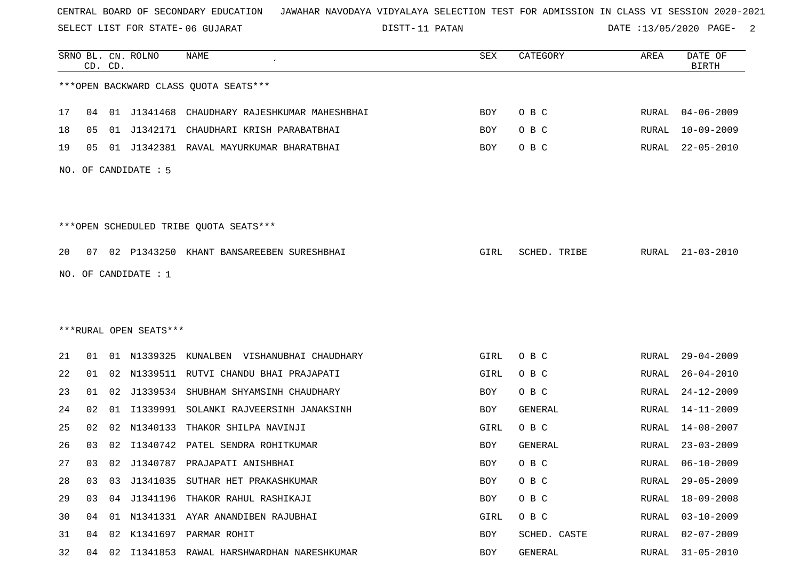SELECT LIST FOR STATE- DISTT- 06 GUJARAT

DISTT-11 PATAN 11 2001 12:30 DATE :13/05/2020 PAGE- 2

|    |    | CD. CD. | SRNO BL. CN. ROLNO     | <b>NAME</b>                                  | ${\tt SEX}$ | CATEGORY     | AREA          | DATE OF<br>BIRTH |
|----|----|---------|------------------------|----------------------------------------------|-------------|--------------|---------------|------------------|
|    |    |         |                        | *** OPEN BACKWARD CLASS QUOTA SEATS***       |             |              |               |                  |
| 17 | 04 |         |                        | 01 J1341468 CHAUDHARY RAJESHKUMAR MAHESHBHAI | <b>BOY</b>  | O B C        | RURAL         | $04 - 06 - 2009$ |
| 18 | 05 |         | 01 J1342171            | CHAUDHARI KRISH PARABATBHAI                  | BOY         | O B C        | RURAL         | $10 - 09 - 2009$ |
| 19 | 05 |         |                        | 01 J1342381 RAVAL MAYURKUMAR BHARATBHAI      | BOY         | O B C        | <b>RURAL</b>  | $22 - 05 - 2010$ |
|    |    |         | NO. OF CANDIDATE : 5   |                                              |             |              |               |                  |
|    |    |         |                        | ***OPEN SCHEDULED TRIBE QUOTA SEATS***       |             |              |               |                  |
| 20 | 07 |         |                        | 02 P1343250 KHANT BANSAREEBEN SURESHBHAI     | GIRL        | SCHED. TRIBE | RURAL         | $21 - 03 - 2010$ |
|    |    |         | NO. OF CANDIDATE : $1$ |                                              |             |              |               |                  |
|    |    |         |                        |                                              |             |              |               |                  |
|    |    |         |                        |                                              |             |              |               |                  |
|    |    |         | ***RURAL OPEN SEATS*** |                                              |             |              |               |                  |
| 21 | 01 |         | 01 N1339325            | KUNALBEN<br>VISHANUBHAI CHAUDHARY            | GIRL        | O B C        | RURAL         | $29 - 04 - 2009$ |
| 22 | 01 |         |                        | 02 N1339511 RUTVI CHANDU BHAI PRAJAPATI      | GIRL        | O B C        | RURAL         | $26 - 04 - 2010$ |
| 23 | 01 | 02      | J1339534               | SHUBHAM SHYAMSINH CHAUDHARY                  | BOY         | O B C        | <b>RURAL</b>  | $24 - 12 - 2009$ |
| 24 | 02 | 01      | I1339991               | SOLANKI RAJVEERSINH JANAKSINH                | BOY         | GENERAL      | <b>RURAL</b>  | $14 - 11 - 2009$ |
| 25 | 02 | 02      | N1340133               | THAKOR SHILPA NAVINJI                        | GIRL        | O B C        | RURAL         | $14 - 08 - 2007$ |
| 26 | 03 | 02      | I1340742               | PATEL SENDRA ROHITKUMAR                      | BOY         | GENERAL      | RURAL         | $23 - 03 - 2009$ |
| 27 | 03 |         |                        | 02 J1340787 PRAJAPATI ANISHBHAI              | BOY         | O B C        | RURAL         | $06 - 10 - 2009$ |
| 28 | 03 |         |                        | 03 J1341035 SUTHAR HET PRAKASHKUMAR          | BOY         | O B C        | RURAL         | $29 - 05 - 2009$ |
| 29 | 03 |         |                        | 04 J1341196 THAKOR RAHUL RASHIKAJI           | BOY         | O B C        | RURAL         | $18 - 09 - 2008$ |
| 30 | 04 |         |                        | 01 N1341331 AYAR ANANDIBEN RAJUBHAI          | GIRL        | O B C        | RURAL         | $03 - 10 - 2009$ |
| 31 | 04 |         |                        | 02 K1341697 PARMAR ROHIT                     | BOY         | SCHED. CASTE | ${\tt RURAL}$ | $02 - 07 - 2009$ |
| 32 | 04 |         |                        | 02 I1341853 RAWAL HARSHWARDHAN NARESHKUMAR   | BOY         | GENERAL      | RURAL         | $31 - 05 - 2010$ |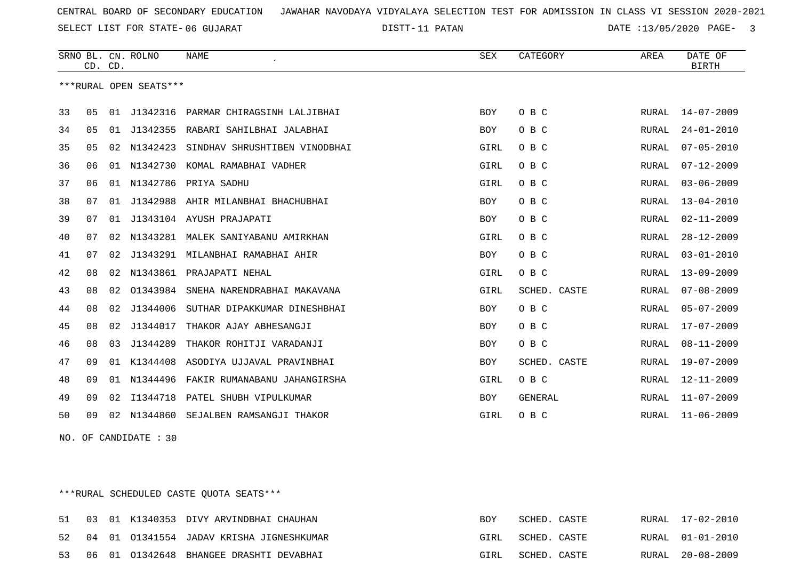11 PATAN DATE :13/05/2020 PAGE- 3

|    |    | CD. CD. | SRNO BL. CN. ROLNO     | <b>NAME</b>                   | SEX        | CATEGORY       | AREA  | DATE OF<br><b>BIRTH</b> |
|----|----|---------|------------------------|-------------------------------|------------|----------------|-------|-------------------------|
|    |    |         | ***RURAL OPEN SEATS*** |                               |            |                |       |                         |
| 33 | 05 | 01      | J1342316               | PARMAR CHIRAGSINH LALJIBHAI   | <b>BOY</b> | O B C          | RURAL | $14 - 07 - 2009$        |
| 34 | 05 | 01      | J1342355               | RABARI SAHILBHAI JALABHAI     | BOY        | O B C          | RURAL | $24 - 01 - 2010$        |
| 35 | 05 | 02      | N1342423               | SINDHAV SHRUSHTIBEN VINODBHAI | GIRL       | O B C          | RURAL | $07 - 05 - 2010$        |
| 36 | 06 | 01      | N1342730               | KOMAL RAMABHAI VADHER         | GIRL       | O B C          | RURAL | $07 - 12 - 2009$        |
| 37 | 06 | 01      | N1342786               | PRIYA SADHU                   | GIRL       | O B C          | RURAL | $03 - 06 - 2009$        |
| 38 | 07 | 01      | J1342988               | AHIR MILANBHAI BHACHUBHAI     | <b>BOY</b> | O B C          | RURAL | $13 - 04 - 2010$        |
| 39 | 07 | 01      |                        | J1343104 AYUSH PRAJAPATI      | <b>BOY</b> | O B C          | RURAL | 02-11-2009              |
| 40 | 07 | 02      | N1343281               | MALEK SANIYABANU AMIRKHAN     | GIRL       | O B C          | RURAL | $28 - 12 - 2009$        |
| 41 | 07 | 02      | J1343291               | MILANBHAI RAMABHAI AHIR       | BOY        | O B C          | RURAL | $03 - 01 - 2010$        |
| 42 | 08 | 02      | N1343861               | PRAJAPATI NEHAL               | GIRL       | O B C          | RURAL | $13 - 09 - 2009$        |
| 43 | 08 | 02      | 01343984               | SNEHA NARENDRABHAI MAKAVANA   | GIRL       | SCHED. CASTE   | RURAL | $07 - 08 - 2009$        |
| 44 | 08 | 02      | J1344006               | SUTHAR DIPAKKUMAR DINESHBHAI  | BOY        | O B C          | RURAL | $05 - 07 - 2009$        |
| 45 | 08 | 02      | J1344017               | THAKOR AJAY ABHESANGJI        | <b>BOY</b> | O B C          | RURAL | $17 - 07 - 2009$        |
| 46 | 08 | 03      | J1344289               | THAKOR ROHITJI VARADANJI      | <b>BOY</b> | O B C          | RURAL | $08 - 11 - 2009$        |
| 47 | 09 | 01      | K1344408               | ASODIYA UJJAVAL PRAVINBHAI    | <b>BOY</b> | SCHED. CASTE   | RURAL | $19 - 07 - 2009$        |
| 48 | 09 | 01      | N1344496               | FAKIR RUMANABANU JAHANGIRSHA  | GIRL       | O B C          | RURAL | 12-11-2009              |
| 49 | 09 | 02      | I1344718               | PATEL SHUBH VIPULKUMAR        | BOY        | <b>GENERAL</b> | RURAL | $11 - 07 - 2009$        |
| 50 | 09 | 02      | N1344860               | SEJALBEN RAMSANGJI THAKOR     | GIRL       | O B C          | RURAL | $11 - 06 - 2009$        |

NO. OF CANDIDATE : 30

\*\*\*RURAL SCHEDULED CASTE QUOTA SEATS\*\*\*

|  |  | 51 03 01 K1340353 DIVY ARVINDBHAI CHAUHAN   | <b>BOY</b> | SCHED. CASTE |  | RURAL 17-02-2010 |
|--|--|---------------------------------------------|------------|--------------|--|------------------|
|  |  | 52 04 01 01341554 JADAV KRISHA JIGNESHKUMAR | GIRL       | SCHED. CASTE |  | RURAL 01-01-2010 |
|  |  | 53 06 01 01342648 BHANGEE DRASHTI DEVABHAI  | GIRL       | SCHED. CASTE |  | RURAL 20-08-2009 |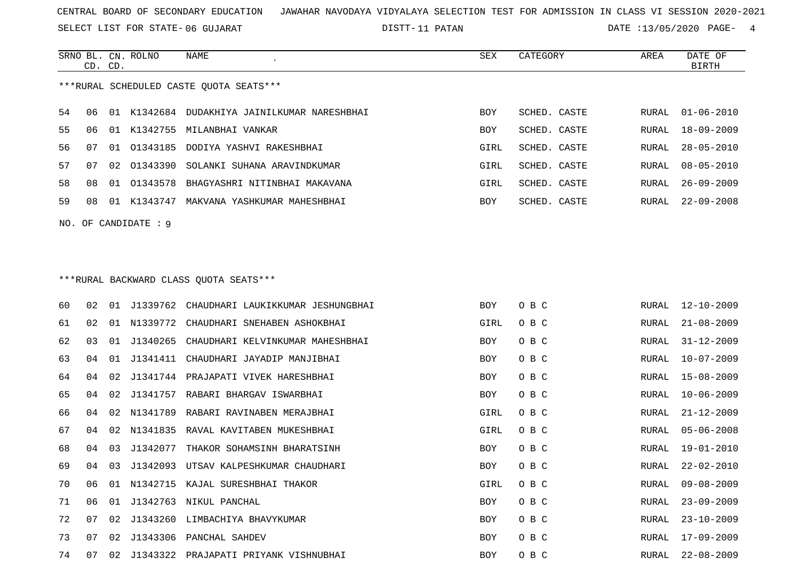SELECT LIST FOR STATE- DISTT- 06 GUJARAT

DISTT-11 PATAN 11 DATE :13/05/2020 PAGE- 4

|    | CD. CD. |    | SRNO BL. CN. ROLNO     | NAME                                         | SEX  | CATEGORY     | AREA  | DATE OF<br><b>BIRTH</b> |
|----|---------|----|------------------------|----------------------------------------------|------|--------------|-------|-------------------------|
|    |         |    |                        | ***RURAL SCHEDULED CASTE QUOTA SEATS***      |      |              |       |                         |
| 54 | 06      |    |                        | 01 K1342684 DUDAKHIYA JAINILKUMAR NARESHBHAI | BOY  | SCHED. CASTE | RURAL | $01 - 06 - 2010$        |
| 55 | 06      |    |                        | 01 K1342755 MILANBHAI VANKAR                 | BOY  | SCHED. CASTE | RURAL | 18-09-2009              |
| 56 | 07      | 01 | 01343185               | DODIYA YASHVI RAKESHBHAI                     | GIRL | SCHED. CASTE | RURAL | $28 - 05 - 2010$        |
| 57 | 07      | 02 | 01343390               | SOLANKI SUHANA ARAVINDKUMAR                  | GIRL | SCHED. CASTE | RURAL | $08 - 05 - 2010$        |
| 58 | 08      | 01 | 01343578               | BHAGYASHRI NITINBHAI MAKAVANA                | GIRL | SCHED. CASTE | RURAL | $26 - 09 - 2009$        |
| 59 | 08      |    | 01 K1343747            | MAKVANA YASHKUMAR MAHESHBHAI                 | BOY  | SCHED. CASTE | RURAL | $22 - 09 - 2008$        |
|    |         |    | NO. OF CANDIDATE : $9$ |                                              |      |              |       |                         |
|    |         |    |                        | ***RURAL BACKWARD CLASS OUOTA SEATS***       |      |              |       |                         |
| 60 | 02      | 01 | J1339762               | CHAUDHARI LAUKIKKUMAR JESHUNGBHAI            | BOY  | O B C        | RURAL | 12-10-2009              |
| 61 | 02      |    |                        | 01 N1339772 CHAUDHARI SNEHABEN ASHOKBHAI     | GIRL | O B C        | RURAL | $21 - 08 - 2009$        |
| 62 | 03      | 01 | J1340265               | CHAUDHARI KELVINKUMAR MAHESHBHAI             | BOY  | O B C        | RURAL | $31 - 12 - 2009$        |
| 63 | 04      | 01 | J1341411               | CHAUDHARI JAYADIP MANJIBHAI                  | BOY  | O B C        | RURAL | $10 - 07 - 2009$        |
| 64 | 04      | 02 | J1341744               | PRAJAPATI VIVEK HARESHBHAI                   | BOY  | O B C        | RURAL | $15 - 08 - 2009$        |
| 65 | 04      | 02 | J1341757               | RABARI BHARGAV ISWARBHAI                     | BOY  | O B C        | RURAL | $10 - 06 - 2009$        |
| 66 | 04      | 02 | N1341789               | RABARI RAVINABEN MERAJBHAI                   | GIRL | O B C        | RURAL | $21 - 12 - 2009$        |
| 67 | 04      | 02 | N1341835               | RAVAL KAVITABEN MUKESHBHAI                   | GIRL | O B C        | RURAL | $05 - 06 - 2008$        |
| 68 | 04      | 03 | J1342077               | THAKOR SOHAMSINH BHARATSINH                  | BOY  | O B C        | RURAL | 19-01-2010              |
| 69 | 04      | 03 |                        | J1342093 UTSAV KALPESHKUMAR CHAUDHARI        | BOY  | O B C        | RURAL | $22 - 02 - 2010$        |
| 70 | U6      |    |                        | 01 N1342715 KAJAL SURESHBHAI THAKOR          | GIRL | O B C        | RURAL | $09 - 08 - 2009$        |
| 71 | 06      |    |                        | 01 J1342763 NIKUL PANCHAL                    | BOY  | O B C        | RURAL | $23 - 09 - 2009$        |
| 72 | 07      | 02 |                        | J1343260 LIMBACHIYA BHAVYKUMAR               | BOY  | O B C        | RURAL | $23 - 10 - 2009$        |
| 73 | 07      |    |                        | 02 J1343306 PANCHAL SAHDEV                   | BOY  | O B C        | RURAL | 17-09-2009              |
| 74 | 07      |    |                        | 02 J1343322 PRAJAPATI PRIYANK VISHNUBHAI     | BOY  | O B C        |       | RURAL 22-08-2009        |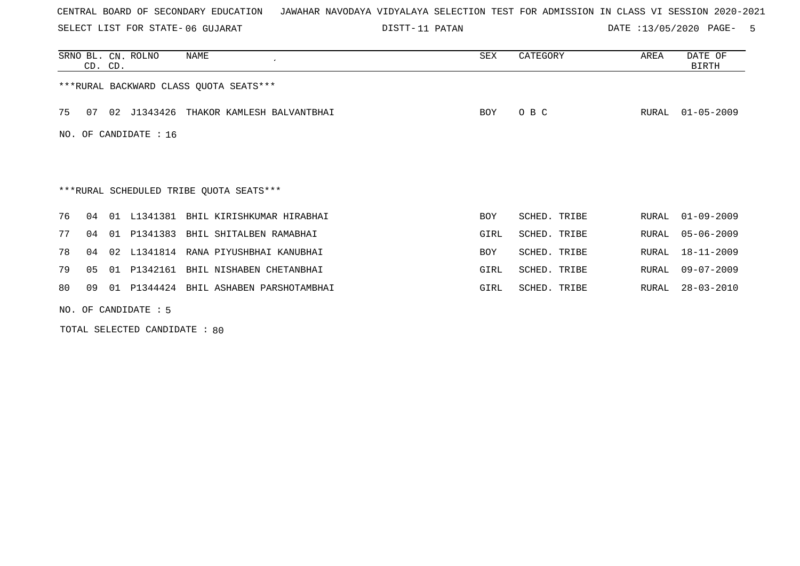SELECT LIST FOR STATE- DISTT- 06 GUJARAT

DISTT-11 PATAN 11 12 13/05/2020 PAGE- 5

|     | CD. CD. |    | SRNO BL. CN. ROLNO | NAME                                    | SEX        | CATEGORY     | AREA  | DATE OF<br>BIRTH |
|-----|---------|----|--------------------|-----------------------------------------|------------|--------------|-------|------------------|
|     |         |    |                    | *** RURAL BACKWARD CLASS QUOTA SEATS*** |            |              |       |                  |
| 75  | 07      |    | 02 J1343426        | THAKOR KAMLESH BALVANTBHAI              | BOY        | O B C        | RURAL | $01 - 05 - 2009$ |
| NO. |         |    | OF CANDIDATE : 16  |                                         |            |              |       |                  |
|     |         |    |                    |                                         |            |              |       |                  |
|     |         |    |                    | ***RURAL SCHEDULED TRIBE OUOTA SEATS*** |            |              |       |                  |
| 76  | 04      |    | 01 L1341381        | BHIL KIRISHKUMAR HIRABHAI               | <b>BOY</b> | SCHED. TRIBE | RURAL | $01 - 09 - 2009$ |
| 77  | 04      | 01 | P1341383           | BHIL SHITALBEN RAMABHAI                 | GIRL       | SCHED. TRIBE | RURAL | $05 - 06 - 2009$ |
| 78  | 04      | 02 | L1341814           | RANA PIYUSHBHAI KANUBHAI                | BOY        | SCHED. TRIBE | RURAL | 18-11-2009       |
| 79  | 05      | 01 | P1342161           | BHIL NISHABEN CHETANBHAI                | GIRL       | SCHED. TRIBE | RURAL | $09 - 07 - 2009$ |
| 80  | 09      | 01 |                    | P1344424 BHIL ASHABEN PARSHOTAMBHAI     | GIRL       | SCHED. TRIBE | RURAL | $28 - 03 - 2010$ |
|     |         |    |                    |                                         |            |              |       |                  |

NO. OF CANDIDATE : 5

TOTAL SELECTED CANDIDATE : 80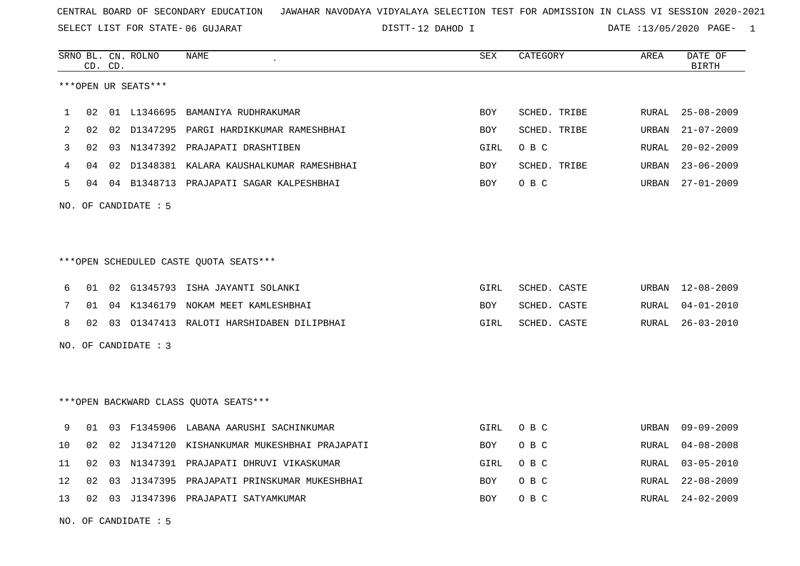SELECT LIST FOR STATE- DISTT- 06 GUJARAT

DISTT-12 DAHOD I DATE :13/05/2020 PAGE- 1

|    |    | CD. CD. | SRNO BL. CN. ROLNO   | <b>NAME</b>                                  | <b>SEX</b> | CATEGORY     | AREA  | DATE OF<br><b>BIRTH</b> |
|----|----|---------|----------------------|----------------------------------------------|------------|--------------|-------|-------------------------|
|    |    |         | ***OPEN UR SEATS***  |                                              |            |              |       |                         |
| 1  | 02 |         | 01 L1346695          | BAMANIYA RUDHRAKUMAR                         | <b>BOY</b> | SCHED. TRIBE | RURAL | $25 - 08 - 2009$        |
| 2  | 02 |         |                      | 02 D1347295 PARGI HARDIKKUMAR RAMESHBHAI     | <b>BOY</b> | SCHED. TRIBE | URBAN | $21 - 07 - 2009$        |
| 3  | 02 |         |                      | 03 N1347392 PRAJAPATI DRASHTIBEN             | GIRL       | O B C        | RURAL | $20 - 02 - 2009$        |
| 4  | 04 |         |                      | 02 D1348381 KALARA KAUSHALKUMAR RAMESHBHAI   | <b>BOY</b> | SCHED. TRIBE | URBAN | $23 - 06 - 2009$        |
| 5  | 04 |         |                      | 04 B1348713 PRAJAPATI SAGAR KALPESHBHAI      | <b>BOY</b> | O B C        | URBAN | $27 - 01 - 2009$        |
|    |    |         | NO. OF CANDIDATE : 5 |                                              |            |              |       |                         |
|    |    |         |                      |                                              |            |              |       |                         |
|    |    |         |                      |                                              |            |              |       |                         |
|    |    |         |                      | ***OPEN SCHEDULED CASTE QUOTA SEATS***       |            |              |       |                         |
| 6  | 01 | 02      |                      | G1345793 ISHA JAYANTI SOLANKI                | GIRL       | SCHED. CASTE | URBAN | 12-08-2009              |
| 7  | 01 |         | 04 K1346179          | NOKAM MEET KAMLESHBHAI                       | BOY        | SCHED. CASTE | RURAL | $04 - 01 - 2010$        |
| 8  | 02 |         |                      | 03 01347413 RALOTI HARSHIDABEN DILIPBHAI     | GIRL       | SCHED. CASTE | RURAL | $26 - 03 - 2010$        |
|    |    |         | NO. OF CANDIDATE : 3 |                                              |            |              |       |                         |
|    |    |         |                      |                                              |            |              |       |                         |
|    |    |         |                      |                                              |            |              |       |                         |
|    |    |         |                      | *** OPEN BACKWARD CLASS QUOTA SEATS***       |            |              |       |                         |
| 9  | 01 |         |                      | 03 F1345906 LABANA AARUSHI SACHINKUMAR       | GIRL       | O B C        | URBAN | 09-09-2009              |
| 10 | 02 |         |                      | 02 J1347120 KISHANKUMAR MUKESHBHAI PRAJAPATI | BOY        | O B C        | RURAL | $04 - 08 - 2008$        |
| 11 | 02 | 03      |                      | N1347391 PRAJAPATI DHRUVI VIKASKUMAR         | GIRL       | O B C        | RURAL | $03 - 05 - 2010$        |
| 12 | 02 | 03      |                      | J1347395 PRAJAPATI PRINSKUMAR MUKESHBHAI     | BOY        | O B C        | RURAL | $22 - 08 - 2009$        |
| 13 | 02 |         |                      | 03 J1347396 PRAJAPATI SATYAMKUMAR            | <b>BOY</b> | O B C        | RURAL | 24-02-2009              |
|    |    |         |                      |                                              |            |              |       |                         |

NO. OF CANDIDATE : 5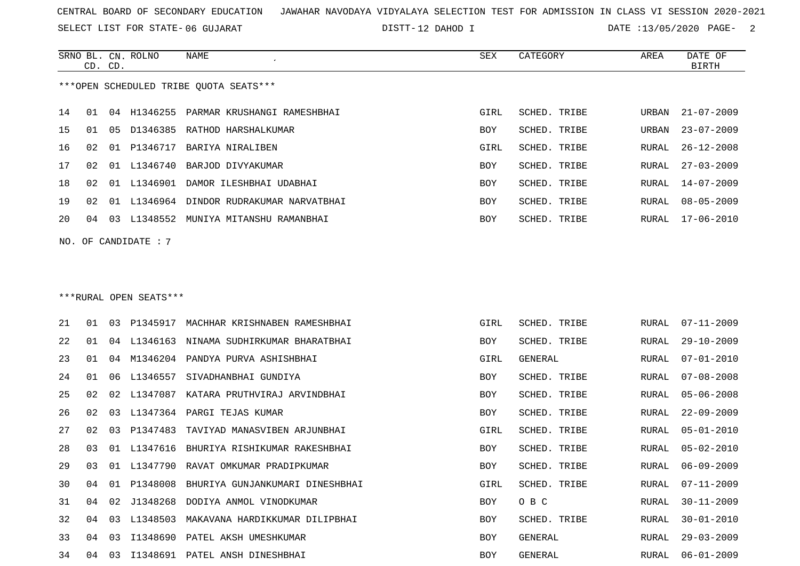SELECT LIST FOR STATE- DISTT- 06 GUJARAT

DISTT-12 DAHOD I DATE :13/05/2020 PAGE- 2

|    |    | CD. CD. | SRNO BL. CN. ROLNO     | <b>NAME</b>                            | SEX        | CATEGORY     | AREA  | DATE OF<br><b>BIRTH</b> |
|----|----|---------|------------------------|----------------------------------------|------------|--------------|-------|-------------------------|
|    |    |         |                        | ***OPEN SCHEDULED TRIBE QUOTA SEATS*** |            |              |       |                         |
| 14 | 01 | 04      | H1346255               | PARMAR KRUSHANGI RAMESHBHAI            | GIRL       | SCHED. TRIBE | URBAN | $21 - 07 - 2009$        |
| 15 | 01 | 05      | D1346385               | RATHOD HARSHALKUMAR                    | BOY        | SCHED. TRIBE | URBAN | $23 - 07 - 2009$        |
| 16 | 02 | 01      | P1346717               | BARIYA NIRALIBEN                       | GIRL       | SCHED. TRIBE | RURAL | $26 - 12 - 2008$        |
| 17 | 02 | 01      | L1346740               | BARJOD DIVYAKUMAR                      | <b>BOY</b> | SCHED. TRIBE | RURAL | $27 - 03 - 2009$        |
| 18 | 02 | 01      | L1346901               | DAMOR ILESHBHAI UDABHAI                | BOY        | SCHED. TRIBE | RURAL | $14 - 07 - 2009$        |
| 19 | 02 | 01      | L1346964               | DINDOR RUDRAKUMAR NARVATBHAI           | <b>BOY</b> | SCHED. TRIBE | RURAL | $08 - 05 - 2009$        |
| 20 | 04 | 03      |                        | L1348552 MUNIYA MITANSHU RAMANBHAI     | <b>BOY</b> | SCHED. TRIBE | RURAL | $17 - 06 - 2010$        |
|    |    |         | NO. OF CANDIDATE : 7   |                                        |            |              |       |                         |
|    |    |         | ***RURAL OPEN SEATS*** |                                        |            |              |       |                         |
| 21 | 01 | 03      | P1345917               | MACHHAR KRISHNABEN RAMESHBHAI          | GIRL       | SCHED. TRIBE | RURAL | 07-11-2009              |

| ∠ ⊥ |    |     |             | EIJIJIA MACHHAR RRIDHNADEN RAMEDHDHAI | سىت  | UCHED. IRIUE | 1701771 | VI LL AVVJ       |
|-----|----|-----|-------------|---------------------------------------|------|--------------|---------|------------------|
| 22  | 01 |     | 04 L1346163 | NINAMA SUDHIRKUMAR BHARATBHAI         | BOY  | SCHED. TRIBE | RURAL   | $29 - 10 - 2009$ |
| 23  | 01 | 04  | M1346204    | PANDYA PURVA ASHISHBHAI               | GIRL | GENERAL      | RURAL   | $07 - 01 - 2010$ |
| 24  | 01 | 06  | L1346557    | SIVADHANBHAI GUNDIYA                  | BOY  | SCHED. TRIBE | RURAL   | $07 - 08 - 2008$ |
| 25  | 02 | 02  | L1347087    | KATARA PRUTHVIRAJ ARVINDBHAI          | BOY  | SCHED. TRIBE | RURAL   | $05 - 06 - 2008$ |
| 26  | 02 | 03  | L1347364    | PARGI TEJAS KUMAR                     | BOY  | SCHED. TRIBE | RURAL   | $22 - 09 - 2009$ |
| 27  | 02 | 03  | P1347483    | TAVIYAD MANASVIBEN ARJUNBHAI          | GIRL | SCHED. TRIBE | RURAL   | $05 - 01 - 2010$ |
| 28  | 03 | 01  | L1347616    | BHURIYA RISHIKUMAR RAKESHBHAI         | BOY  | SCHED. TRIBE | RURAL   | $05 - 02 - 2010$ |
| 29  | 03 | O 1 | L1347790    | RAVAT OMKUMAR PRADIPKUMAR             | BOY  | SCHED. TRIBE | RURAL   | $06 - 09 - 2009$ |
| 30  | 04 | 01  | P1348008    | BHURIYA GUNJANKUMARI DINESHBHAI       | GIRL | SCHED. TRIBE | RURAL   | $07 - 11 - 2009$ |
| 31  | 04 | 02  | J1348268    | DODIYA ANMOL VINODKUMAR               | BOY  | O B C        | RURAL   | $30 - 11 - 2009$ |
| 32  | 04 | 03  | L1348503    | MAKAVANA HARDIKKUMAR DILIPBHAI        | BOY  | SCHED. TRIBE | RURAL   | $30 - 01 - 2010$ |
| 33  | 04 | 03  | I1348690    | PATEL AKSH UMESHKUMAR                 | BOY  | GENERAL      | RURAL   | $29 - 03 - 2009$ |
| 34  | 04 | 03  | I1348691    | PATEL ANSH DINESHBHAI                 | BOY  | GENERAL      | RURAL   | $06 - 01 - 2009$ |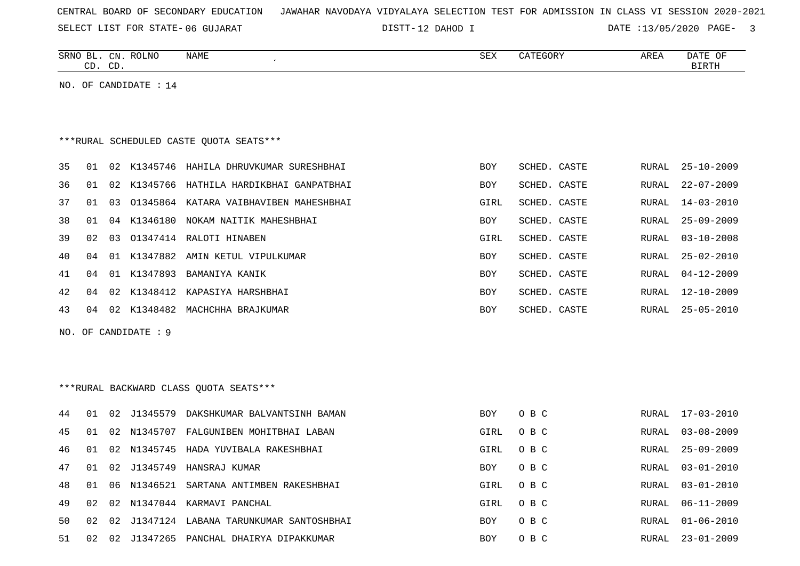|  |  |  | CENTRAL BOARD OF SECONDARY EDUCATION – JAWAHAR NAVODAYA VIDYALAYA SELECTION TEST FOR ADMISSION IN CLASS VI SESSION 2020-2021 |  |  |  |  |  |  |  |  |  |  |  |  |  |  |  |
|--|--|--|------------------------------------------------------------------------------------------------------------------------------|--|--|--|--|--|--|--|--|--|--|--|--|--|--|--|
|--|--|--|------------------------------------------------------------------------------------------------------------------------------|--|--|--|--|--|--|--|--|--|--|--|--|--|--|--|

DISTT-12 DAHOD I DATE :13/05/2020 PAGE- 3

RURAL 01-06-2010

|    |    | CD. CD. | SRNO BL. CN. ROLNO    | NAME                                      | SEX        | CATEGORY     | AREA         | DATE OF<br><b>BIRTH</b> |
|----|----|---------|-----------------------|-------------------------------------------|------------|--------------|--------------|-------------------------|
|    |    |         | NO. OF CANDIDATE : 14 |                                           |            |              |              |                         |
|    |    |         |                       |                                           |            |              |              |                         |
|    |    |         |                       |                                           |            |              |              |                         |
|    |    |         |                       | ***RURAL SCHEDULED CASTE QUOTA SEATS***   |            |              |              |                         |
|    |    |         |                       |                                           |            |              |              |                         |
| 35 | 01 |         |                       | 02 K1345746 HAHILA DHRUVKUMAR SURESHBHAI  | <b>BOY</b> | SCHED. CASTE | RURAL        | $25 - 10 - 2009$        |
| 36 | 01 |         |                       | 02 K1345766 HATHILA HARDIKBHAI GANPATBHAI | <b>BOY</b> | SCHED. CASTE | RURAL        | $22 - 07 - 2009$        |
| 37 | 01 | 03      |                       | 01345864 KATARA VAIBHAVIBEN MAHESHBHAI    | GIRL       | SCHED. CASTE | RURAL        | $14 - 03 - 2010$        |
| 38 | 01 |         |                       | 04 K1346180 NOKAM NAITIK MAHESHBHAI       | BOY        | SCHED. CASTE | RURAL        | $25 - 09 - 2009$        |
| 39 | 02 |         |                       | 03 01347414 RALOTI HINABEN                | GIRL       | SCHED. CASTE | RURAL        | $03 - 10 - 2008$        |
| 40 | 04 |         |                       | 01 K1347882 AMIN KETUL VIPULKUMAR         | <b>BOY</b> | SCHED. CASTE | RURAL        | $25 - 02 - 2010$        |
| 41 | 04 |         |                       | 01 K1347893 BAMANIYA KANIK                | <b>BOY</b> | SCHED. CASTE | RURAL        | $04 - 12 - 2009$        |
| 42 | 04 | 02      |                       | K1348412 KAPASIYA HARSHBHAI               | BOY        | SCHED. CASTE | <b>RURAL</b> | $12 - 10 - 2009$        |
| 43 | 04 |         |                       | 02 K1348482 MACHCHHA BRAJKUMAR            | <b>BOY</b> | SCHED. CASTE | RURAL        | $25 - 05 - 2010$        |
|    |    |         |                       |                                           |            |              |              |                         |
|    |    |         | NO. OF CANDIDATE : 9  |                                           |            |              |              |                         |
|    |    |         |                       |                                           |            |              |              |                         |
|    |    |         |                       |                                           |            |              |              |                         |
|    |    |         |                       | ***RURAL BACKWARD CLASS OUOTA SEATS***    |            |              |              |                         |
| 44 | 01 |         |                       | 02 J1345579 DAKSHKUMAR BALVANTSINH BAMAN  | <b>BOY</b> | O B C        | RURAL        | 17-03-2010              |
| 45 | 01 |         |                       | 02 N1345707 FALGUNIBEN MOHITBHAI LABAN    | GIRL       | O B C        | RURAL        | $03 - 08 - 2009$        |
| 46 | 01 |         |                       | 02 N1345745 HADA YUVIBALA RAKESHBHAI      | GIRL       | O B C        | RURAL        | $25 - 09 - 2009$        |
| 47 | 01 | 02      | J1345749              | HANSRAJ KUMAR                             | BOY        | O B C        | <b>RURAL</b> | $03 - 01 - 2010$        |
| 48 | 01 | 06      | N1346521              | SARTANA ANTIMBEN RAKESHBHAI               | GIRL       | O B C        | RURAL        | $03 - 01 - 2010$        |
| 49 | 02 |         |                       | 02 N1347044 KARMAVI PANCHAL               | GIRL       | O B C        | RURAL        | $06 - 11 - 2009$        |

51 02 02 J1347265 PANCHAL DHAIRYA DIPAKKUMAR BOY O B C RURAL 23-01-2009

50 02 02 J1347124 LABANA TARUNKUMAR SANTOSHBHAI BOY O B C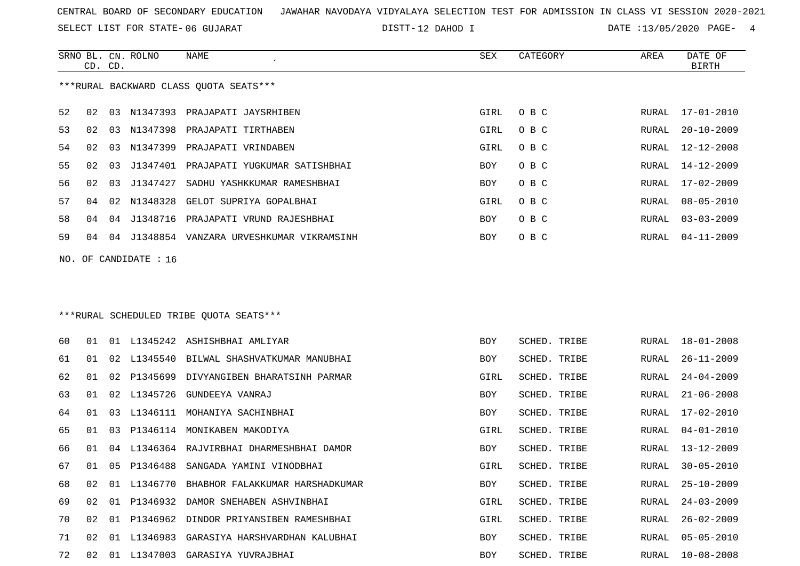SELECT LIST FOR STATE- DISTT- 06 GUJARAT

DISTT-12 DAHOD I DATE :13/05/2020 PAGE- 4

|    | CD. CD.         |    | SRNO BL. CN. ROLNO    | <b>NAME</b>                                | <b>SEX</b> | CATEGORY     | AREA  | DATE OF<br><b>BIRTH</b> |
|----|-----------------|----|-----------------------|--------------------------------------------|------------|--------------|-------|-------------------------|
|    |                 |    |                       | *** RURAL BACKWARD CLASS QUOTA SEATS***    |            |              |       |                         |
| 52 | 02              |    |                       | 03 N1347393 PRAJAPATI JAYSRHIBEN           | GIRL       | O B C        | RURAL | $17 - 01 - 2010$        |
| 53 | 02              |    |                       | 03 N1347398 PRAJAPATI TIRTHABEN            | GIRL       | O B C        | RURAL | $20 - 10 - 2009$        |
| 54 | 02              | 03 | N1347399              | PRAJAPATI VRINDABEN                        | GIRL       | O B C        | RURAL | $12 - 12 - 2008$        |
| 55 | 02 <sub>o</sub> |    |                       | 03 J1347401 PRAJAPATI YUGKUMAR SATISHBHAI  | <b>BOY</b> | O B C        | RURAL | $14 - 12 - 2009$        |
| 56 | 02              |    | 03 J1347427           | SADHU YASHKKUMAR RAMESHBHAI                | BOY        | O B C        | RURAL | $17 - 02 - 2009$        |
| 57 | 04              |    |                       | 02 N1348328 GELOT SUPRIYA GOPALBHAI        | GIRL       | O B C        | RURAL | $08 - 05 - 2010$        |
| 58 | 04              |    | 04 J1348716           | PRAJAPATI VRUND RAJESHBHAI                 | BOY        | O B C        | RURAL | $03 - 03 - 2009$        |
| 59 | 04              |    |                       | 04 J1348854 VANZARA URVESHKUMAR VIKRAMSINH | <b>BOY</b> | O B C        | RURAL | $04 - 11 - 2009$        |
|    |                 |    | NO. OF CANDIDATE : 16 |                                            |            |              |       |                         |
|    |                 |    |                       |                                            |            |              |       |                         |
|    |                 |    |                       |                                            |            |              |       |                         |
|    |                 |    |                       | ***RURAL SCHEDULED TRIBE QUOTA SEATS***    |            |              |       |                         |
| 60 | 01              |    |                       | 01 L1345242 ASHISHBHAI AMLIYAR             | BOY        | SCHED. TRIBE | RURAL | $18 - 01 - 2008$        |
| 61 | 01              |    |                       | 02 L1345540 BILWAL SHASHVATKUMAR MANUBHAI  | BOY        | SCHED. TRIBE | RURAL | $26 - 11 - 2009$        |
|    |                 |    |                       |                                            |            |              |       |                         |
| 62 | 01              |    |                       | 02 P1345699 DIVYANGIBEN BHARATSINH PARMAR  | GIRL       | SCHED. TRIBE | RURAL | $24 - 04 - 2009$        |
| 63 | 01              |    |                       | 02 L1345726 GUNDEEYA VANRAJ                | <b>BOY</b> | SCHED. TRIBE | RURAL | $21 - 06 - 2008$        |
| 64 | 01              |    |                       | 03 L1346111 MOHANIYA SACHINBHAI            | <b>BOY</b> | SCHED. TRIBE | RURAL | $17 - 02 - 2010$        |
| 65 | 01              | 03 |                       | P1346114 MONIKABEN MAKODIYA                | GIRL       | SCHED. TRIBE | RURAL | $04 - 01 - 2010$        |
| 66 | 01              |    |                       | 04 L1346364 RAJVIRBHAI DHARMESHBHAI DAMOR  | BOY        | SCHED. TRIBE | RURAL | $13 - 12 - 2009$        |
| 67 | 01              |    |                       | 05 P1346488 SANGADA YAMINI VINODBHAI       | GIRL       | SCHED. TRIBE | RURAL | $30 - 05 - 2010$        |

68 02 01 L1346770 BHABHOR FALAKKUMAR HARSHADKUMAR BOY SCHED. TRIBE RURAL 25-10-2009SCHED. TRIBE RURAL 25-10-2009

69 02 01 P1346932 DAMOR SNEHABEN ASHVINBHAI GIRL SCHED. TRIBE RURAL 24-03-2009

70 02 01 P1346962 DINDOR PRIYANSIBEN RAMESHBHAI GIRL SCHED. TRIBE RURAL 26-02-2009 71 02 01 L1346983 GARASIYA HARSHVARDHAN KALUBHAI BOY SCHED. TRIBE RURAL 05-05-2010

72 02 01 L1347003 GARASIYA YUVRAJBHAI BOY SCHED. TRIBE RURAL 10-08-2008

RURAL 05-05-2010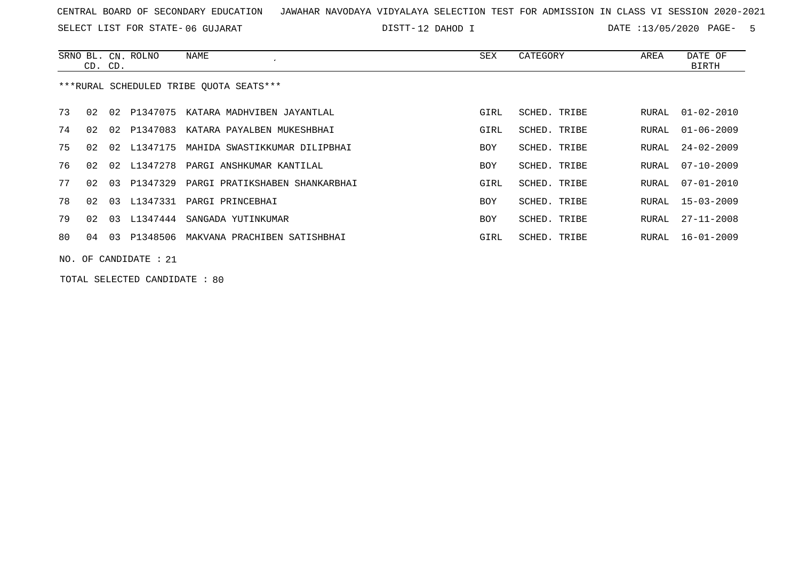SELECT LIST FOR STATE- DISTT- 06 GUJARAT

DISTT-12 DAHOD I DATE :13/05/2020 PAGE- 5

|     | CD. CD. |    | SRNO BL. CN. ROLNO      | NAME                                    | SEX        | CATEGORY     | AREA  | DATE OF<br>BIRTH |
|-----|---------|----|-------------------------|-----------------------------------------|------------|--------------|-------|------------------|
|     |         |    |                         | ***RURAL SCHEDULED TRIBE OUOTA SEATS*** |            |              |       |                  |
| 73  | 02      |    |                         | 02 P1347075 KATARA MADHVIBEN JAYANTLAL  | GIRL       | SCHED. TRIBE | RURAL | $01 - 02 - 2010$ |
| 74  | 02      | 02 | P1347083                | KATARA PAYALBEN MUKESHBHAI              | GIRL       | SCHED. TRIBE | RURAL | $01 - 06 - 2009$ |
| 75  | 02      |    | 02 L1347175             | MAHIDA SWASTIKKUMAR DILIPBHAI           | <b>BOY</b> | SCHED. TRIBE | RURAL | $24 - 02 - 2009$ |
| 76  | 02      |    |                         | 02 L1347278 PARGI ANSHKUMAR KANTILAL    | BOY        | SCHED. TRIBE | RURAL | $07 - 10 - 2009$ |
| 77  | 02      | 03 | P1347329                | PARGI PRATIKSHABEN SHANKARBHAI          | GIRL       | SCHED. TRIBE | RURAL | $07 - 01 - 2010$ |
| 78  | 02      | 03 |                         | L1347331 PARGI PRINCEBHAI               | BOY        | SCHED. TRIBE | RURAL | $15 - 03 - 2009$ |
| 79  | 02      | 03 |                         | L1347444 SANGADA YUTINKUMAR             | BOY        | SCHED. TRIBE | RURAL | $27 - 11 - 2008$ |
| 80. | 04      | 03 | P1348506                | MAKVANA PRACHIBEN SATISHBHAI            | GIRL       | SCHED. TRIBE | RURAL | 16-01-2009       |
|     |         |    | NO. OF CANDIDATE : $21$ |                                         |            |              |       |                  |

TOTAL SELECTED CANDIDATE : 80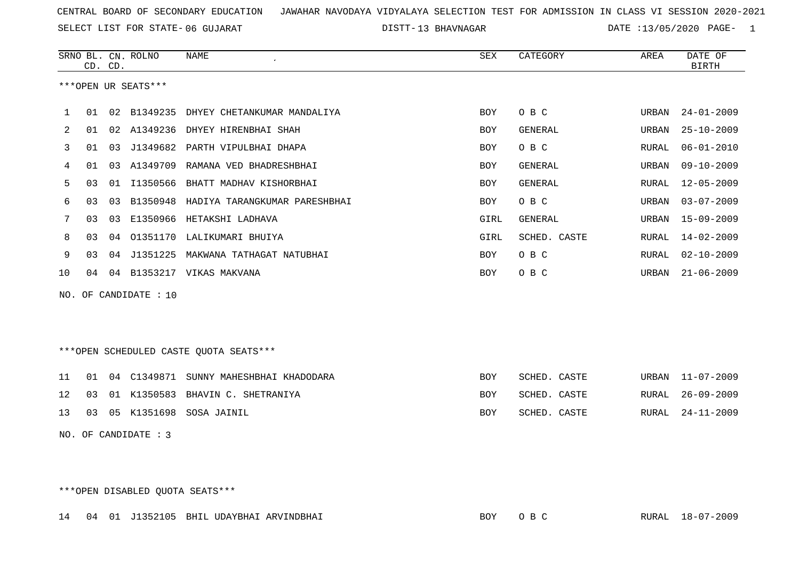13 BHAVNAGAR DATE :13/05/2020 PAGE- 1

|                                        | CD. CD.              |    | SRNO BL. CN. ROLNO | <b>NAME</b>                             | SEX        | CATEGORY       | AREA  | DATE OF<br><b>BIRTH</b> |  |
|----------------------------------------|----------------------|----|--------------------|-----------------------------------------|------------|----------------|-------|-------------------------|--|
|                                        | ***OPEN UR SEATS***  |    |                    |                                         |            |                |       |                         |  |
| 1                                      | 01                   |    |                    | 02 B1349235 DHYEY CHETANKUMAR MANDALIYA | <b>BOY</b> | O B C          | URBAN | $24 - 01 - 2009$        |  |
| 2                                      | 01                   |    |                    | 02 A1349236 DHYEY HIRENBHAI SHAH        | <b>BOY</b> | GENERAL        | URBAN | $25 - 10 - 2009$        |  |
| 3                                      | 01                   | 03 |                    | J1349682 PARTH VIPULBHAI DHAPA          | <b>BOY</b> | O B C          | RURAL | $06 - 01 - 2010$        |  |
| 4                                      | 01                   | 03 | A1349709           | RAMANA VED BHADRESHBHAI                 | <b>BOY</b> | <b>GENERAL</b> | URBAN | $09 - 10 - 2009$        |  |
| 5                                      | 03                   | 01 |                    | I1350566 BHATT MADHAV KISHORBHAI        | <b>BOY</b> | <b>GENERAL</b> | RURAL | $12 - 05 - 2009$        |  |
| 6                                      | 03                   | 03 | B1350948           | HADIYA TARANGKUMAR PARESHBHAI           | <b>BOY</b> | O B C          | URBAN | $03 - 07 - 2009$        |  |
| 7                                      | 03                   | 03 |                    | E1350966 HETAKSHI LADHAVA               | GIRL       | GENERAL        | URBAN | $15 - 09 - 2009$        |  |
| 8                                      | 03                   | 04 |                    | 01351170 LALIKUMARI BHUIYA              | GIRL       | SCHED. CASTE   | RURAL | $14 - 02 - 2009$        |  |
| 9                                      | 03                   | 04 | J1351225           | MAKWANA TATHAGAT NATUBHAI               | <b>BOY</b> | O B C          | RURAL | $02 - 10 - 2009$        |  |
| 10                                     | 04                   | 04 |                    | B1353217 VIKAS MAKVANA                  | <b>BOY</b> | O B C          | URBAN | $21 - 06 - 2009$        |  |
| NO. OF CANDIDATE : 10                  |                      |    |                    |                                         |            |                |       |                         |  |
| ***OPEN SCHEDULED CASTE QUOTA SEATS*** |                      |    |                    |                                         |            |                |       |                         |  |
| 11                                     | 01                   |    | 04 C1349871        | SUNNY MAHESHBHAI KHADODARA              | <b>BOY</b> | SCHED. CASTE   | URBAN | $11 - 07 - 2009$        |  |
| 12                                     | 03                   | 01 | K1350583           | BHAVIN C. SHETRANIYA                    | BOY        | SCHED. CASTE   | RURAL | $26 - 09 - 2009$        |  |
| 13                                     | 03                   | 05 |                    | K1351698 SOSA JAINIL                    | BOY        | SCHED. CASTE   | RURAL | $24 - 11 - 2009$        |  |
|                                        | NO. OF CANDIDATE : 3 |    |                    |                                         |            |                |       |                         |  |

\*\*\*OPEN DISABLED QUOTA SEATS\*\*\*

|  |  |  | 14 04 01 J1352105 BHIL UDAYBHAI ARVINDBHAI | BOY<br>O B C | RURAL 18-07-2009 |
|--|--|--|--------------------------------------------|--------------|------------------|
|--|--|--|--------------------------------------------|--------------|------------------|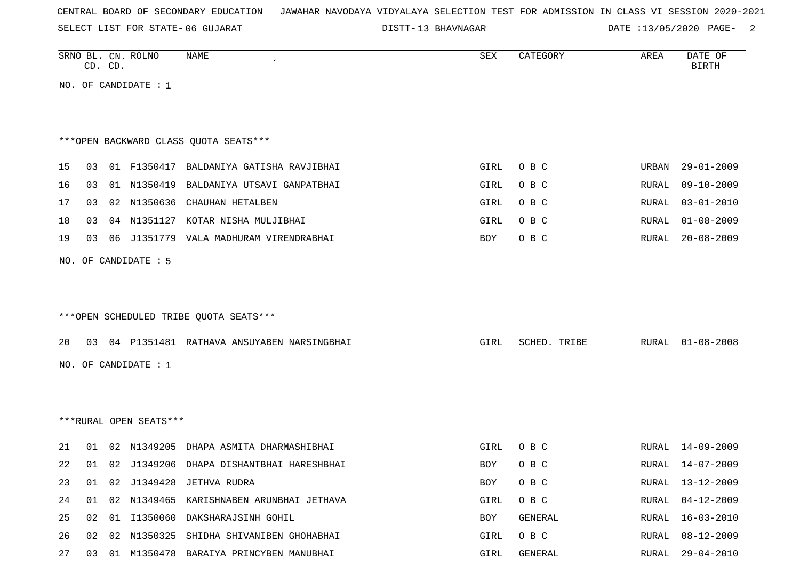SELECT LIST FOR STATE- DISTT- 06 GUJARAT

13 BHAVNAGAR DATE :13/05/2020 PAGE- 2

|                                        | CD. CD. |    | SRNO BL. CN. ROLNO   | <b>NAME</b>                                  | ${\tt SEX}$ | CATEGORY     | AREA  | DATE OF<br><b>BIRTH</b> |  |
|----------------------------------------|---------|----|----------------------|----------------------------------------------|-------------|--------------|-------|-------------------------|--|
| NO. OF CANDIDATE : $1$                 |         |    |                      |                                              |             |              |       |                         |  |
|                                        |         |    |                      |                                              |             |              |       |                         |  |
|                                        |         |    |                      |                                              |             |              |       |                         |  |
| *** OPEN BACKWARD CLASS QUOTA SEATS*** |         |    |                      |                                              |             |              |       |                         |  |
| 15                                     | 03      |    |                      | 01 F1350417 BALDANIYA GATISHA RAVJIBHAI      | GIRL        | O B C        | URBAN | $29 - 01 - 2009$        |  |
| 16                                     | 03      |    | 01 N1350419          | BALDANIYA UTSAVI GANPATBHAI                  | GIRL        | O B C        | RURAL | $09 - 10 - 2009$        |  |
| 17                                     | 03      |    |                      | 02 N1350636 CHAUHAN HETALBEN                 | GIRL        | O B C        | RURAL | $03 - 01 - 2010$        |  |
| 18                                     | 03      |    |                      | 04 N1351127 KOTAR NISHA MULJIBHAI            | GIRL        | O B C        | RURAL | $01 - 08 - 2009$        |  |
| 19                                     | 03      |    |                      | 06 J1351779 VALA MADHURAM VIRENDRABHAI       | BOY         | O B C        | RURAL | $20 - 08 - 2009$        |  |
|                                        |         |    | NO. OF CANDIDATE : 5 |                                              |             |              |       |                         |  |
|                                        |         |    |                      |                                              |             |              |       |                         |  |
|                                        |         |    |                      |                                              |             |              |       |                         |  |
|                                        |         |    |                      | ***OPEN SCHEDULED TRIBE QUOTA SEATS***       |             |              |       |                         |  |
| 20                                     |         |    |                      | 03 04 P1351481 RATHAVA ANSUYABEN NARSINGBHAI | GIRL        | SCHED. TRIBE | RURAL | $01 - 08 - 2008$        |  |
|                                        |         |    |                      |                                              |             |              |       |                         |  |
| NO. OF CANDIDATE : 1                   |         |    |                      |                                              |             |              |       |                         |  |
|                                        |         |    |                      |                                              |             |              |       |                         |  |
|                                        |         |    |                      |                                              |             |              |       |                         |  |
| ***RURAL OPEN SEATS***                 |         |    |                      |                                              |             |              |       |                         |  |
| 21                                     | 01      |    | 02 N1349205          | DHAPA ASMITA DHARMASHIBHAI                   | GIRL        | O B C        | RURAL | $14 - 09 - 2009$        |  |
| 22                                     |         |    |                      | 01 02 J1349206 DHAPA DISHANTBHAI HARESHBHAI  | BOY         | O B C        | RURAL | 14-07-2009              |  |
| 23                                     |         |    |                      | 01 02 J1349428 JETHVA RUDRA                  | BOY         | O B C        |       | RURAL 13-12-2009        |  |
| 24                                     |         |    |                      | 01 02 N1349465 KARISHNABEN ARUNBHAI JETHAVA  | GIRL        | O B C        | RURAL | $04 - 12 - 2009$        |  |
| 25                                     | 02      | 01 |                      | I1350060 DAKSHARAJSINH GOHIL                 | BOY         | GENERAL      | RURAL | $16 - 03 - 2010$        |  |
| 26                                     | 02      |    |                      | 02 N1350325 SHIDHA SHIVANIBEN GHOHABHAI      | GIRL        | O B C        | RURAL | $08 - 12 - 2009$        |  |
| 27                                     |         |    |                      | 03 01 M1350478 BARAIYA PRINCYBEN MANUBHAI    | GIRL        | GENERAL      | RURAL | $29 - 04 - 2010$        |  |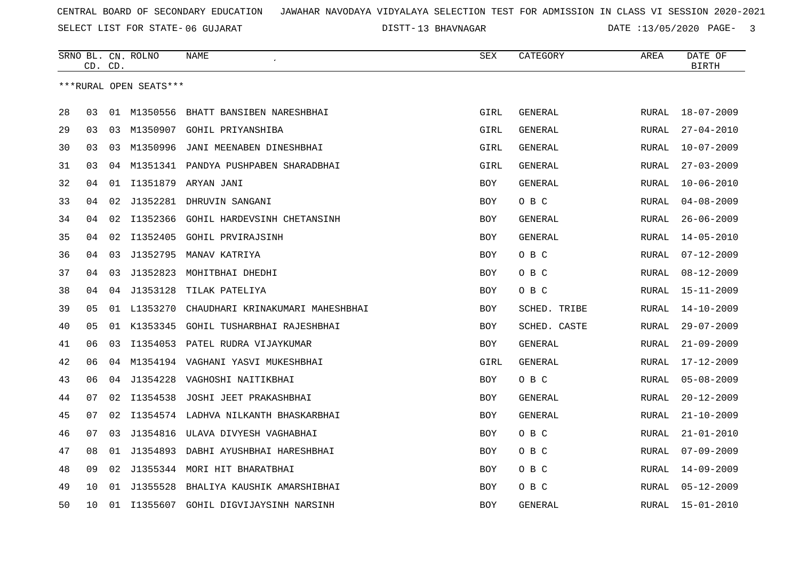13 BHAVNAGAR DATE :13/05/2020 PAGE- 3

|                        |    | CD. CD. | SRNO BL. CN. ROLNO | <b>NAME</b>                          | SEX        | CATEGORY       | AREA         | DATE OF<br><b>BIRTH</b> |
|------------------------|----|---------|--------------------|--------------------------------------|------------|----------------|--------------|-------------------------|
| ***RURAL OPEN SEATS*** |    |         |                    |                                      |            |                |              |                         |
|                        |    |         |                    |                                      |            |                |              |                         |
| 28                     | 03 |         | 01 M1350556        | BHATT BANSIBEN NARESHBHAI            | GIRL       | GENERAL        | RURAL        | $18 - 07 - 2009$        |
| 29                     | 03 | 03      | M1350907           | GOHIL PRIYANSHIBA                    | GIRL       | <b>GENERAL</b> | <b>RURAL</b> | $27 - 04 - 2010$        |
| 30                     | 03 | 03      | M1350996           | JANI MEENABEN DINESHBHAI             | GIRL       | <b>GENERAL</b> | RURAL        | $10 - 07 - 2009$        |
| 31                     | 03 | 04      |                    | M1351341 PANDYA PUSHPABEN SHARADBHAI | GIRL       | GENERAL        | RURAL        | $27 - 03 - 2009$        |
| 32                     | 04 | 01      | I1351879           | ARYAN JANI                           | <b>BOY</b> | <b>GENERAL</b> | <b>RURAL</b> | $10 - 06 - 2010$        |
| 33                     | 04 | 02      | J1352281           | DHRUVIN SANGANI                      | BOY        | O B C          | RURAL        | $04 - 08 - 2009$        |
| 34                     | 04 | 02      | I1352366           | <b>GOHIL HARDEVSINH CHETANSINH</b>   | BOY        | <b>GENERAL</b> | RURAL        | $26 - 06 - 2009$        |
| 35                     | 04 | 02      | I1352405           | <b>GOHIL PRVIRAJSINH</b>             | <b>BOY</b> | GENERAL        | <b>RURAL</b> | $14 - 05 - 2010$        |
| 36                     | 04 | 03      | J1352795           | MANAV KATRIYA                        | <b>BOY</b> | O B C          | <b>RURAL</b> | $07 - 12 - 2009$        |
| 37                     | 04 | 03      | J1352823           | MOHITBHAI DHEDHI                     | <b>BOY</b> | O B C          | RURAL        | $08 - 12 - 2009$        |
| 38                     | 04 | 04      | J1353128           | TILAK PATELIYA                       | BOY        | O B C          | RURAL        | $15 - 11 - 2009$        |
| 39                     | 05 | 01      | L1353270           | CHAUDHARI KRINAKUMARI MAHESHBHAI     | <b>BOY</b> | SCHED. TRIBE   | <b>RURAL</b> | $14 - 10 - 2009$        |
| 40                     | 05 |         | 01 K1353345        | GOHIL TUSHARBHAI RAJESHBHAI          | BOY        | SCHED. CASTE   | RURAL        | $29 - 07 - 2009$        |
| 41                     | 06 | 03      | I1354053           | PATEL RUDRA VIJAYKUMAR               | <b>BOY</b> | GENERAL        | RURAL        | $21 - 09 - 2009$        |
| 42                     | 06 | 04      | M1354194           | VAGHANI YASVI MUKESHBHAI             | GIRL       | <b>GENERAL</b> | RURAL        | $17 - 12 - 2009$        |
| 43                     | 06 | 04      | J1354228           | VAGHOSHI NAITIKBHAI                  | <b>BOY</b> | O B C          | <b>RURAL</b> | $05 - 08 - 2009$        |
| 44                     | 07 | 02      | I1354538           | JOSHI JEET PRAKASHBHAI               | <b>BOY</b> | <b>GENERAL</b> | <b>RURAL</b> | $20 - 12 - 2009$        |
| 45                     | 07 | 02      |                    | I1354574 LADHVA NILKANTH BHASKARBHAI | BOY        | GENERAL        | RURAL        | $21 - 10 - 2009$        |
| 46                     | 07 | 03      | J1354816           | ULAVA DIVYESH VAGHABHAI              | BOY        | O B C          | RURAL        | $21 - 01 - 2010$        |
| 47                     | 08 | 01      | J1354893           | DABHI AYUSHBHAI HARESHBHAI           | <b>BOY</b> | O B C          | <b>RURAL</b> | $07 - 09 - 2009$        |
| 48                     | 09 | 02      | J1355344           | MORI HIT BHARATBHAI                  | <b>BOY</b> | O B C          | <b>RURAL</b> | $14 - 09 - 2009$        |
| 49                     | 10 | 01      | J1355528           | BHALIYA KAUSHIK AMARSHIBHAI          | <b>BOY</b> | O B C          | RURAL        | $05 - 12 - 2009$        |
| 50                     | 10 | 01      | I1355607           | GOHIL DIGVIJAYSINH NARSINH           | <b>BOY</b> | GENERAL        | RURAL        | $15 - 01 - 2010$        |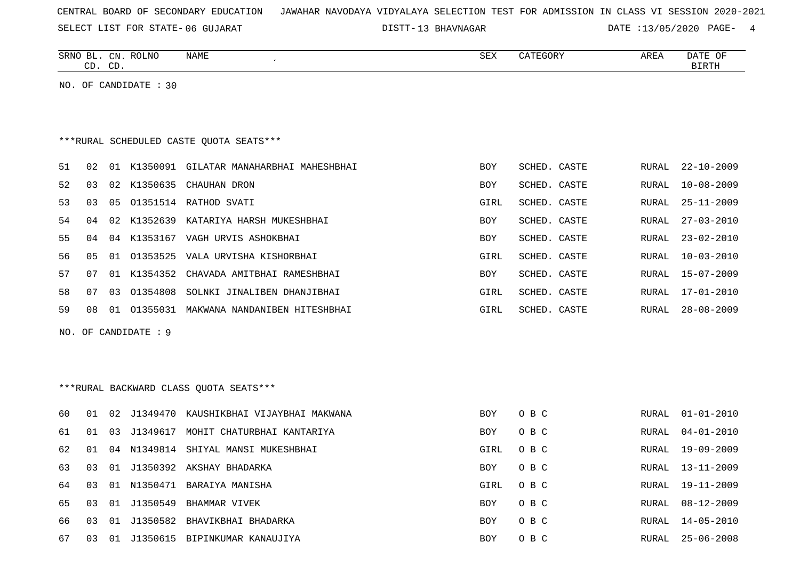SELECT LIST FOR STATE- DISTT- 06 GUJARAT

13 BHAVNAGAR DATE :13/05/2020 PAGE- 4

|    |    | CD. CD. | SRNO BL. CN. ROLNO      | <b>NAME</b>                                | <b>SEX</b> | CATEGORY     | AREA         | DATE OF<br><b>BIRTH</b> |
|----|----|---------|-------------------------|--------------------------------------------|------------|--------------|--------------|-------------------------|
|    |    |         | NO. OF CANDIDATE : $30$ |                                            |            |              |              |                         |
|    |    |         |                         |                                            |            |              |              |                         |
|    |    |         |                         |                                            |            |              |              |                         |
|    |    |         |                         | *** RURAL SCHEDULED CASTE QUOTA SEATS***   |            |              |              |                         |
| 51 | 02 |         |                         | 01 K1350091 GILATAR MANAHARBHAI MAHESHBHAI | <b>BOY</b> | SCHED. CASTE | RURAL        | $22 - 10 - 2009$        |
| 52 | 03 |         |                         | 02 K1350635 CHAUHAN DRON                   | <b>BOY</b> | SCHED. CASTE | <b>RURAL</b> | $10 - 08 - 2009$        |
| 53 | 03 | 05      |                         | 01351514 RATHOD SVATI                      | GIRL       | SCHED. CASTE | RURAL        | $25 - 11 - 2009$        |
| 54 | 04 | 02      | K1352639                | KATARIYA HARSH MUKESHBHAI                  | BOY        | SCHED. CASTE | RURAL        | $27 - 03 - 2010$        |
| 55 | 04 |         |                         | 04 K1353167 VAGH URVIS ASHOKBHAI           | <b>BOY</b> | SCHED. CASTE | RURAL        | $23 - 02 - 2010$        |
| 56 | 05 |         |                         | 01 01353525 VALA URVISHA KISHORBHAI        | GIRL       | SCHED. CASTE | RURAL        | $10 - 03 - 2010$        |
| 57 | 07 |         | 01 K1354352             | CHAVADA AMITBHAI RAMESHBHAI                | BOY        | SCHED. CASTE | RURAL        | 15-07-2009              |
| 58 | 07 | 03      | 01354808                | SOLNKI JINALIBEN DHANJIBHAI                | GIRL       | SCHED. CASTE | RURAL        | 17-01-2010              |
| 59 | 08 | 01      |                         | 01355031 MAKWANA NANDANIBEN HITESHBHAI     | GIRL       | SCHED. CASTE | RURAL        | $28 - 08 - 2009$        |
|    |    |         | NO. OF CANDIDATE : 9    |                                            |            |              |              |                         |
|    |    |         |                         |                                            |            |              |              |                         |
|    |    |         |                         |                                            |            |              |              |                         |
|    |    |         |                         | *** RURAL BACKWARD CLASS QUOTA SEATS***    |            |              |              |                         |
| 60 | 01 |         |                         | 02 J1349470 KAUSHIKBHAI VIJAYBHAI MAKWANA  | <b>BOY</b> | O B C        | RURAL        | $01 - 01 - 2010$        |
| 61 | 01 | 03      |                         | J1349617 MOHIT CHATURBHAI KANTARIYA        | <b>BOY</b> | O B C        | RURAL        | $04 - 01 - 2010$        |
| 62 | 01 | 04      |                         | N1349814 SHIYAL MANSI MUKESHBHAI           | GIRL       | O B C        | RURAL        | 19-09-2009              |
| 63 | 03 |         |                         | 01 J1350392 AKSHAY BHADARKA                | <b>BOY</b> | O B C        | RURAL        | $13 - 11 - 2009$        |
| 64 | 03 |         |                         | 01 N1350471 BARAIYA MANISHA                | GIRL       | O B C        | RURAL        | $19 - 11 - 2009$        |
| 65 | 03 | 01      |                         | J1350549 BHAMMAR VIVEK                     | <b>BOY</b> | O B C        | RURAL        | $08 - 12 - 2009$        |
| 66 | 03 |         |                         | 01 J1350582 BHAVIKBHAI BHADARKA            | <b>BOY</b> | O B C        | RURAL        | 14-05-2010              |
| 67 | 03 |         |                         | 01 J1350615 BIPINKUMAR KANAUJIYA           | <b>BOY</b> | O B C        | RURAL        | $25 - 06 - 2008$        |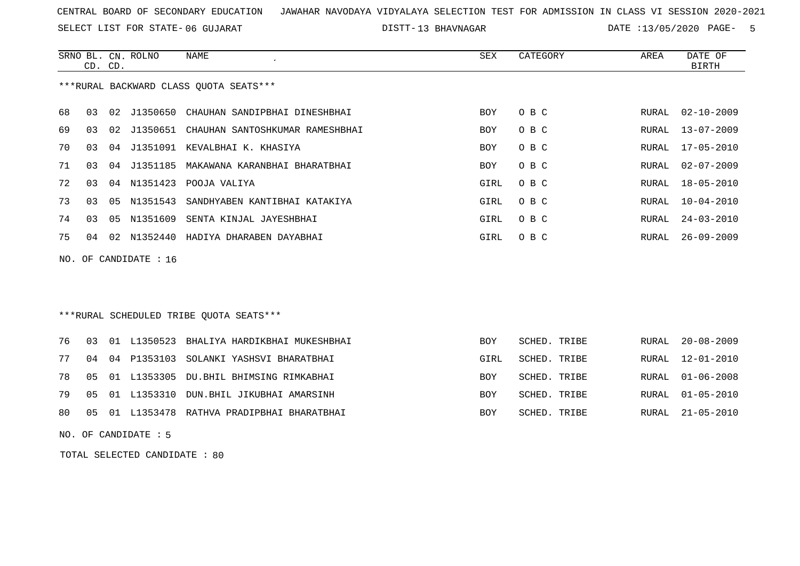SELECT LIST FOR STATE- DISTT- 06 GUJARAT

DISTT-13 BHAVNAGAR DATE :13/05/2020 PAGE- 5

|    | CD. CD. |      | SRNO BL. CN. ROLNO | NAME                                   | SEX        | CATEGORY | AREA  | DATE OF<br>BIRTH |
|----|---------|------|--------------------|----------------------------------------|------------|----------|-------|------------------|
|    |         |      |                    | ***RURAL BACKWARD CLASS OUOTA SEATS*** |            |          |       |                  |
| 68 | 03      |      | 02 J1350650        | CHAUHAN SANDIPBHAI DINESHBHAI          | <b>BOY</b> | O B C    |       | RURAL 02-10-2009 |
| 69 | 03      | 0.2  | J1350651           | CHAUHAN SANTOSHKUMAR RAMESHBHAI        | <b>BOY</b> | O B C    | RURAL | $13 - 07 - 2009$ |
| 70 | 03      | 04   | J1351091           | KEVALBHAI K. KHASIYA                   | <b>BOY</b> | O B C    | RURAL | $17 - 05 - 2010$ |
| 71 | 03      | 04   | J1351185           | MAKAWANA KARANBHAI BHARATBHAI          | <b>BOY</b> | O B C    | RURAL | 02-07-2009       |
| 72 | 03      | 04   | N1351423           | POOJA VALIYA                           | GIRL       | O B C    | RURAL | 18-05-2010       |
| 73 | 03      | 05   | N1351543           | SANDHYABEN KANTIBHAI KATAKIYA          | GIRL       | O B C    | RURAL | $10 - 04 - 2010$ |
| 74 | 03      | 05   | N1351609           | SENTA KINJAL JAYESHBHAI                | GIRL       | O B C    | RURAL | $24 - 03 - 2010$ |
| 75 | 04      | O 2. | N1352440           | HADIYA DHARABEN DAYABHAI               | GIRL       | O B C    | RURAL | $26 - 09 - 2009$ |
|    |         |      |                    |                                        |            |          |       |                  |

NO. OF CANDIDATE : 16

## \*\*\*RURAL SCHEDULED TRIBE QUOTA SEATS\*\*\*

|  | 76 03 01 L1350523 BHALIYA HARDIKBHAI MUKESHBHAI | <b>BOY</b> | SCHED. TRIBE |  | RURAL 20-08-2009 |
|--|-------------------------------------------------|------------|--------------|--|------------------|
|  | 77 04 04 P1353103 SOLANKI YASHSVI BHARATBHAI    | GIRL       | SCHED. TRIBE |  | RURAL 12-01-2010 |
|  | 78 05 01 L1353305 DU.BHIL BHIMSING RIMKABHAI    | BOY        | SCHED. TRIBE |  | RURAL 01-06-2008 |
|  | 79 05 01 L1353310 DUN.BHIL JIKUBHAI AMARSINH    | <b>BOY</b> | SCHED. TRIBE |  | RURAL 01-05-2010 |
|  | 80 05 01 L1353478 RATHVA PRADIPBHAI BHARATBHAI  | <b>BOY</b> | SCHED. TRIBE |  | RURAL 21-05-2010 |

NO. OF CANDIDATE : 5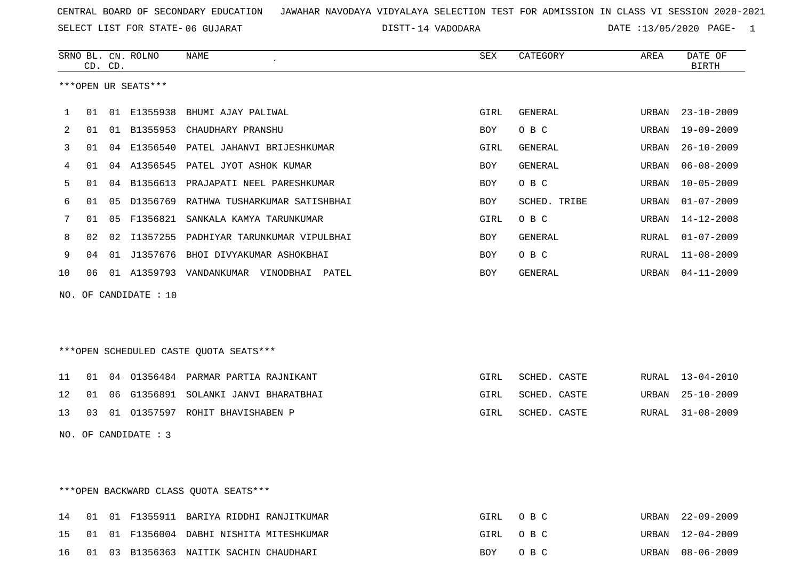SELECT LIST FOR STATE- DISTT- 06 GUJARAT

DISTT-14 VADODARA DATE :13/05/2020 PAGE- 1

|    | CD. CD. |    | SRNO BL. CN. ROLNO    | <b>NAME</b>                             | <b>SEX</b> | CATEGORY       | AREA  | DATE OF<br><b>BIRTH</b> |
|----|---------|----|-----------------------|-----------------------------------------|------------|----------------|-------|-------------------------|
|    |         |    | ***OPEN UR SEATS***   |                                         |            |                |       |                         |
| 1  | 01      |    | 01 E1355938           | BHUMI AJAY PALIWAL                      | GIRL       | GENERAL        | URBAN | $23 - 10 - 2009$        |
| 2  | 01      |    | 01 B1355953           | CHAUDHARY PRANSHU                       | BOY        | O B C          | URBAN | $19 - 09 - 2009$        |
| 3  | 01      | 04 | E1356540              | PATEL JAHANVI BRIJESHKUMAR              | GIRL       | <b>GENERAL</b> | URBAN | $26 - 10 - 2009$        |
| 4  | 01      | 04 | A1356545              | PATEL JYOT ASHOK KUMAR                  | BOY        | GENERAL        | URBAN | $06 - 08 - 2009$        |
| 5  | 01      | 04 | B1356613              | PRAJAPATI NEEL PARESHKUMAR              | BOY        | O B C          | URBAN | $10 - 05 - 2009$        |
| 6  | 01      | 05 | D1356769              | RATHWA TUSHARKUMAR SATISHBHAI           | <b>BOY</b> | SCHED. TRIBE   | URBAN | $01 - 07 - 2009$        |
| 7  | 01      | 05 | F1356821              | SANKALA KAMYA TARUNKUMAR                | GIRL       | O B C          | URBAN | $14 - 12 - 2008$        |
| 8  | 02      | 02 | I1357255              | PADHIYAR TARUNKUMAR VIPULBHAI           | <b>BOY</b> | <b>GENERAL</b> | RURAL | $01 - 07 - 2009$        |
| 9  | 04      |    | 01 J1357676           | BHOI DIVYAKUMAR ASHOKBHAI               | BOY        | O B C          | RURAL | $11 - 08 - 2009$        |
| 10 | 06      |    |                       | 01 A1359793 VANDANKUMAR VINODBHAI PATEL | <b>BOY</b> | GENERAL        | URBAN | $04 - 11 - 2009$        |
|    |         |    | NO. OF CANDIDATE : 10 |                                         |            |                |       |                         |
|    |         |    |                       |                                         |            |                |       |                         |
|    |         |    |                       | ***OPEN SCHEDULED CASTE QUOTA SEATS***  |            |                |       |                         |
| 11 | 01      | 04 |                       | 01356484 PARMAR PARTIA RAJNIKANT        | GIRL       | SCHED. CASTE   | RURAL | $13 - 04 - 2010$        |
| 12 | 01      | 06 | G1356891              | SOLANKI JANVI BHARATBHAI                | GIRL       | SCHED. CASTE   | URBAN | $25 - 10 - 2009$        |
| 13 | 03      | 01 |                       | 01357597 ROHIT BHAVISHABEN P            | GIRL       | SCHED. CASTE   | RURAL | $31 - 08 - 2009$        |
|    |         |    | NO. OF CANDIDATE : 3  |                                         |            |                |       |                         |

## \*\*\*OPEN BACKWARD CLASS QUOTA SEATS\*\*\*

|  |  | 14 01 01 F1355911 BARIYA RIDDHI RANJITKUMAR | GIRL OBC | URBAN 22-09-2009 |
|--|--|---------------------------------------------|----------|------------------|
|  |  | 15 01 01 F1356004 DABHI NISHITA MITESHKUMAR | GIRL OBC | URBAN 12-04-2009 |
|  |  | 16 01 03 B1356363 NAITIK SACHIN CHAUDHARI   | BOY OBC  | URBAN 08-06-2009 |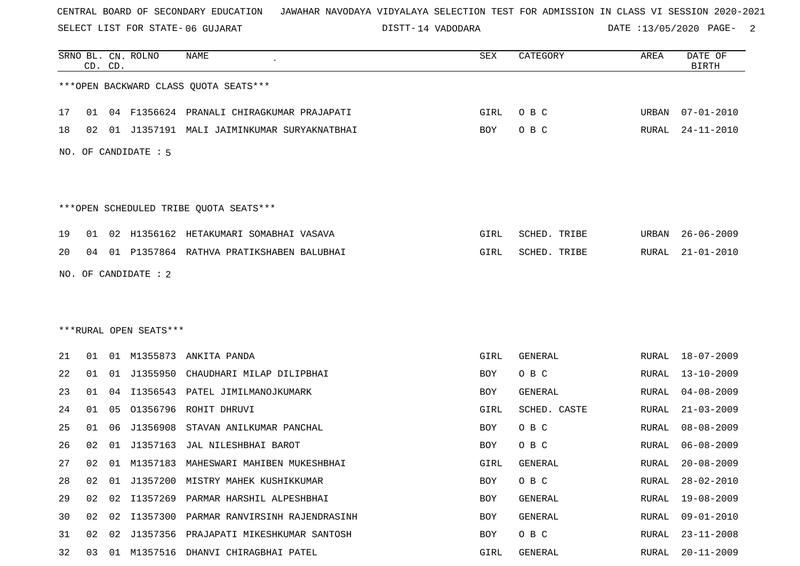SELECT LIST FOR STATE- DISTT- 06 GUJARAT

DISTT-14 VADODARA DATE :13/05/2020 PAGE- 2

|    |    | CD. CD. | SRNO BL. CN. ROLNO     | <b>NAME</b>                                | SEX        | CATEGORY     | AREA  | DATE OF<br><b>BIRTH</b> |
|----|----|---------|------------------------|--------------------------------------------|------------|--------------|-------|-------------------------|
|    |    |         |                        | *** OPEN BACKWARD CLASS QUOTA SEATS***     |            |              |       |                         |
| 17 | 01 |         |                        | 04 F1356624 PRANALI CHIRAGKUMAR PRAJAPATI  | GIRL       | O B C        | URBAN | $07 - 01 - 2010$        |
| 18 | 02 |         |                        | 01 J1357191 MALI JAIMINKUMAR SURYAKNATBHAI | BOY        | O B C        | RURAL | $24 - 11 - 2010$        |
|    |    |         | NO. OF CANDIDATE : 5   |                                            |            |              |       |                         |
|    |    |         |                        | ***OPEN SCHEDULED TRIBE QUOTA SEATS***     |            |              |       |                         |
| 19 | 01 |         |                        | 02 H1356162 HETAKUMARI SOMABHAI VASAVA     | GIRL       | SCHED. TRIBE | URBAN | $26 - 06 - 2009$        |
| 20 | 04 |         |                        | 01 P1357864 RATHVA PRATIKSHABEN BALUBHAI   | GIRL       | SCHED. TRIBE | RURAL | $21 - 01 - 2010$        |
|    |    |         | NO. OF CANDIDATE : 2   |                                            |            |              |       |                         |
|    |    |         |                        |                                            |            |              |       |                         |
|    |    |         |                        |                                            |            |              |       |                         |
|    |    |         | ***RURAL OPEN SEATS*** |                                            |            |              |       |                         |
| 21 | 01 |         |                        | 01 M1355873 ANKITA PANDA                   | GIRL       | GENERAL      | RURAL | 18-07-2009              |
| 22 | 01 |         | 01 J1355950            | CHAUDHARI MILAP DILIPBHAI                  | BOY        | O B C        | RURAL | 13-10-2009              |
| 23 | 01 | 04      |                        | I1356543 PATEL JIMILMANOJKUMARK            | BOY        | GENERAL      | RURAL | $04 - 08 - 2009$        |
| 24 | 01 | 05      | 01356796               | ROHIT DHRUVI                               | GIRL       | SCHED. CASTE | RURAL | $21 - 03 - 2009$        |
| 25 | 01 | 06      | J1356908               | STAVAN ANILKUMAR PANCHAL                   | BOY        | O B C        | RURAL | $08 - 08 - 2009$        |
| 26 | 02 | 01      | J1357163               | JAL NILESHBHAI BAROT                       | BOY        | O B C        | RURAL | $06 - 08 - 2009$        |
| 27 | 02 |         |                        | 01 M1357183 MAHESWARI MAHIBEN MUKESHBHAI   | GIRL       | GENERAL      | RURAL | $20 - 08 - 2009$        |
| 28 | 02 | 01      |                        | J1357200 MISTRY MAHEK KUSHIKKUMAR          | <b>BOY</b> | O B C        | RURAL | $28 - 02 - 2010$        |
| 29 | 02 | 02      |                        | I1357269 PARMAR HARSHIL ALPESHBHAI         | BOY        | GENERAL      | RURAL | $19 - 08 - 2009$        |
| 30 | 02 | 02      |                        | I1357300 PARMAR RANVIRSINH RAJENDRASINH    | BOY        | GENERAL      | RURAL | 09-01-2010              |
| 31 | 02 | 02      |                        | J1357356 PRAJAPATI MIKESHKUMAR SANTOSH     | BOY        | O B C        | RURAL | $23 - 11 - 2008$        |
| 32 | 03 |         |                        | 01 M1357516 DHANVI CHIRAGBHAI PATEL        | GIRL       | GENERAL      | RURAL | $20 - 11 - 2009$        |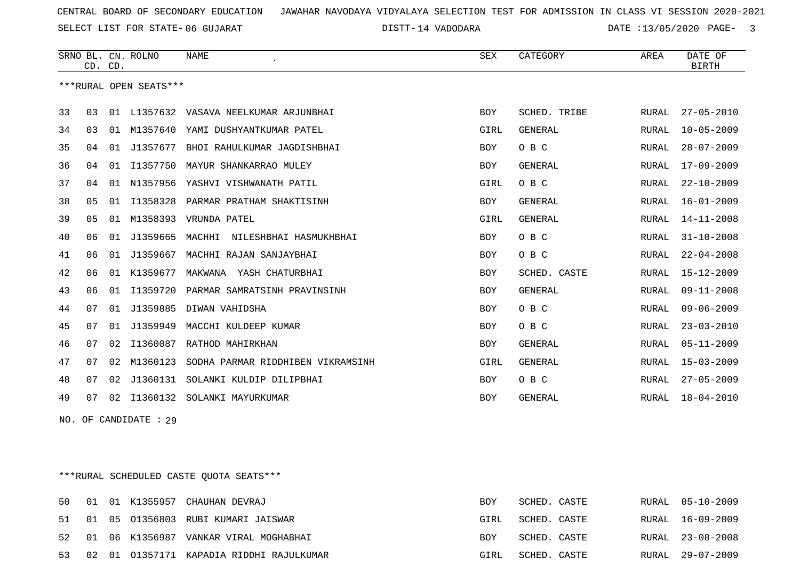SELECT LIST FOR STATE- DISTT- 06 GUJARAT

14 VADODARA DATE :13/05/2020 PAGE- 3

|    |                | CD. CD. | SRNO BL. CN. ROLNO     | <b>NAME</b><br>$\epsilon$              | <b>SEX</b> | CATEGORY       | AREA         | DATE OF<br><b>BIRTH</b> |
|----|----------------|---------|------------------------|----------------------------------------|------------|----------------|--------------|-------------------------|
|    |                |         | ***RURAL OPEN SEATS*** |                                        |            |                |              |                         |
| 33 | 03             |         |                        | 01 L1357632 VASAVA NEELKUMAR ARJUNBHAI | <b>BOY</b> | SCHED. TRIBE   | RURAL        | $27 - 05 - 2010$        |
| 34 | 03             | 01      | M1357640               | YAMI DUSHYANTKUMAR PATEL               | GIRL       | <b>GENERAL</b> | RURAL        | $10 - 05 - 2009$        |
| 35 | 04             | 01      | J1357677               | BHOI RAHULKUMAR JAGDISHBHAI            | <b>BOY</b> | O B C          | RURAL        | $28 - 07 - 2009$        |
| 36 | 04             | 01      | I1357750               | MAYUR SHANKARRAO MULEY                 | <b>BOY</b> | <b>GENERAL</b> | RURAL        | $17 - 09 - 2009$        |
| 37 | 04             | 01      | N1357956               | YASHVI VISHWANATH PATIL                | GIRL       | O B C          | RURAL        | $22 - 10 - 2009$        |
| 38 | 05             | 01      | I1358328               | PARMAR PRATHAM SHAKTISINH              | <b>BOY</b> | <b>GENERAL</b> | RURAL        | 16-01-2009              |
| 39 | 0 <sub>5</sub> | 01      | M1358393               | VRUNDA PATEL                           | GIRL       | <b>GENERAL</b> | <b>RURAL</b> | $14 - 11 - 2008$        |
| 40 | 06             | 01      | J1359665               | MACHHI<br>NILESHBHAI HASMUKHBHAI       | <b>BOY</b> | O B C          | RURAL        | $31 - 10 - 2008$        |
| 41 | 06             | 01      | J1359667               | MACHHI RAJAN SANJAYBHAI                | <b>BOY</b> | O B C          | RURAL        | $22 - 04 - 2008$        |
| 42 | 06             | 01      | K1359677               | MAKWANA<br>YASH CHATURBHAI             | <b>BOY</b> | SCHED. CASTE   | <b>RURAL</b> | $15 - 12 - 2009$        |
| 43 | 06             | 01      | I1359720               | PARMAR SAMRATSINH PRAVINSINH           | <b>BOY</b> | <b>GENERAL</b> | RURAL        | $09 - 11 - 2008$        |
| 44 | 07             | 01      | J1359885               | DIWAN VAHIDSHA                         | <b>BOY</b> | O B C          | <b>RURAL</b> | $09 - 06 - 2009$        |
| 45 | 07             | 01      | J1359949               | MACCHI KULDEEP KUMAR                   | <b>BOY</b> | O B C          | RURAL        | $23 - 03 - 2010$        |
| 46 | 07             | 02      | I1360087               | RATHOD MAHIRKHAN                       | <b>BOY</b> | <b>GENERAL</b> | RURAL        | $05 - 11 - 2009$        |
| 47 | 07             | 02      | M1360123               | SODHA PARMAR RIDDHIBEN VIKRAMSINH      | GIRL       | <b>GENERAL</b> | RURAL        | $15 - 03 - 2009$        |
| 48 | 07             | 02      | J1360131               | SOLANKI KULDIP DILIPBHAI               | <b>BOY</b> | O B C          | RURAL        | $27 - 05 - 2009$        |
| 49 | 07             | 02      | I1360132               | SOLANKI MAYURKUMAR                     | <b>BOY</b> | <b>GENERAL</b> | RURAL        | $18 - 04 - 2010$        |

NO. OF CANDIDATE : 29

\*\*\*RURAL SCHEDULED CASTE QUOTA SEATS\*\*\*

|  |  | 50 01 01 K1355957 CHAUHAN DEVRAJ            | <b>BOY</b> | SCHED. CASTE |  | RURAL 05-10-2009 |
|--|--|---------------------------------------------|------------|--------------|--|------------------|
|  |  | 51 01 05 01356803 RUBI KUMARI JAISWAR       | GIRL       | SCHED. CASTE |  | RURAL 16-09-2009 |
|  |  | 52 01 06 K1356987 VANKAR VIRAL MOGHABHAI    | BOY        | SCHED. CASTE |  | RURAL 23-08-2008 |
|  |  | 53 02 01 01357171 KAPADIA RIDDHI RAJULKUMAR | GIRL       | SCHED. CASTE |  | RURAL 29-07-2009 |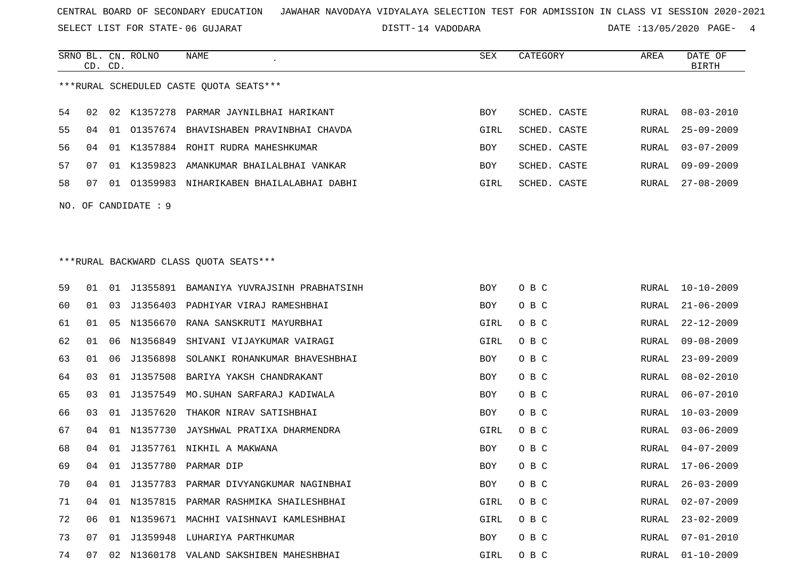SELECT LIST FOR STATE- DISTT- 06 GUJARAT

14 VADODARA DATE :13/05/2020 PAGE- 4

|     | CD. CD. |    | SRNO BL. CN. ROLNO | NAME                                       | SEX        | CATEGORY     | AREA  | DATE OF<br><b>BIRTH</b> |
|-----|---------|----|--------------------|--------------------------------------------|------------|--------------|-------|-------------------------|
|     |         |    |                    | ***RURAL SCHEDULED CASTE QUOTA SEATS***    |            |              |       |                         |
| 54  | 02      |    |                    | 02 K1357278 PARMAR JAYNILBHAI HARIKANT     | BOY        | SCHED. CASTE | RURAL | $08 - 03 - 2010$        |
| 55  | 04      |    |                    | 01 01357674 BHAVISHABEN PRAVINBHAI CHAVDA  | GIRL       | SCHED. CASTE | RURAL | $25 - 09 - 2009$        |
| 56  | 04      |    |                    | 01 K1357884 ROHIT RUDRA MAHESHKUMAR        | BOY        | SCHED. CASTE | RURAL | $03 - 07 - 2009$        |
| 57  | 07      |    | 01 K1359823        | AMANKUMAR BHAILALBHAI VANKAR               | BOY        | SCHED. CASTE | RURAL | $09 - 09 - 2009$        |
| 58  | 07      |    |                    | 01 01359983 NIHARIKABEN BHAILALABHAI DABHI | GIRL       | SCHED. CASTE | RURAL | $27 - 08 - 2009$        |
| NO. |         |    | OF CANDIDATE : 9   |                                            |            |              |       |                         |
|     |         |    |                    |                                            |            |              |       |                         |
|     |         |    |                    |                                            |            |              |       |                         |
|     |         |    |                    | *** RURAL BACKWARD CLASS QUOTA SEATS***    |            |              |       |                         |
| 59  | 01      | 01 | J1355891           | BAMANIYA YUVRAJSINH PRABHATSINH            | <b>BOY</b> | O B C        | RURAL | $10 - 10 - 2009$        |
| 60  | 01      | 03 | J1356403           | PADHIYAR VIRAJ RAMESHBHAI                  | BOY        | O B C        | RURAL | $21 - 06 - 2009$        |
| 61  | 01      | 05 | N1356670           | RANA SANSKRUTI MAYURBHAI                   | GIRL       | O B C        | RURAL | $22 - 12 - 2009$        |
| 62  | 01      | 06 | N1356849           | SHIVANI VIJAYKUMAR VAIRAGI                 | GIRL       | O B C        | RURAL | $09 - 08 - 2009$        |
| 63  | 01      | 06 | J1356898           | SOLANKI ROHANKUMAR BHAVESHBHAI             | <b>BOY</b> | O B C        | RURAL | $23 - 09 - 2009$        |
| 64  | 03      | 01 | J1357508           | BARIYA YAKSH CHANDRAKANT                   | BOY        | O B C        | RURAL | $08 - 02 - 2010$        |
| 65  | 03      | 01 | J1357549           | MO. SUHAN SARFARAJ KADIWALA                | BOY        | O B C        | RURAL | $06 - 07 - 2010$        |
| 66  | 03      | 01 | J1357620           | THAKOR NIRAV SATISHBHAI                    | BOY        | O B C        | RURAL | $10 - 03 - 2009$        |
| 67  | 04      | 01 | N1357730           | JAYSHWAL PRATIXA DHARMENDRA                | GIRL       | O B C        | RURAL | $03 - 06 - 2009$        |
| 68  | 04      | 01 |                    | J1357761 NIKHIL A MAKWANA                  | BOY        | O B C        | RURAL | $04 - 07 - 2009$        |
| 69  | 04      |    |                    | 01 J1357780 PARMAR DIP                     | BOY        | O B C        | RURAL | $17 - 06 - 2009$        |
| 70  | 04      |    |                    | 01 J1357783 PARMAR DIVYANGKUMAR NAGINBHAI  | BOY        | O B C        | RURAL | $26 - 03 - 2009$        |
| 71  | 04      | 01 |                    | N1357815 PARMAR RASHMIKA SHAILESHBHAI      | GIRL       | O B C        | RURAL | $02 - 07 - 2009$        |
| 72  | 06      | 01 |                    | N1359671 MACHHI VAISHNAVI KAMLESHBHAI      | GIRL       | O B C        | RURAL | $23 - 02 - 2009$        |
| 73  | 07      |    |                    | 01 J1359948 LUHARIYA PARTHKUMAR            | BOY        | O B C        | RURAL | $07 - 01 - 2010$        |
| 74  | 07      |    |                    | 02 N1360178 VALAND SAKSHIBEN MAHESHBHAI    | GIRL       | O B C        | RURAL | $01 - 10 - 2009$        |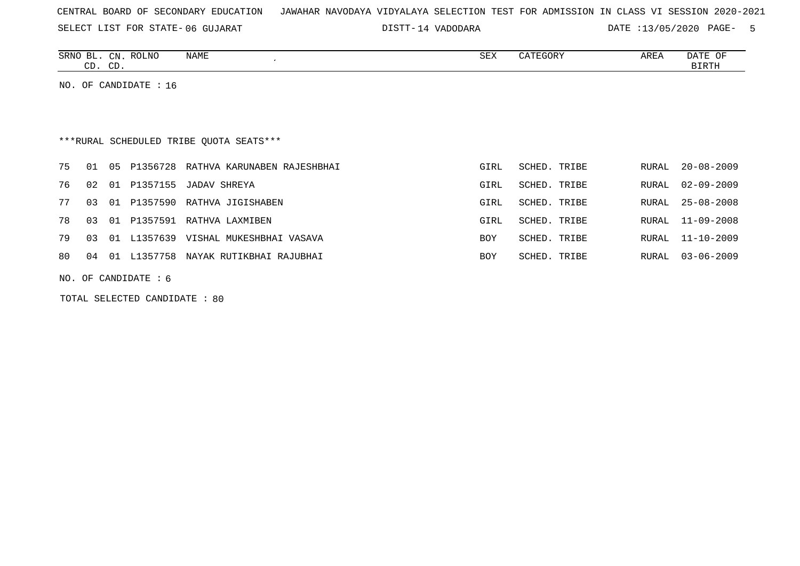SELECT LIST FOR STATE- DISTT- 06 GUJARAT

14 VADODARA DATE :13/05/2020 PAGE- 5

| SRNO<br>$\overline{\phantom{a}}$<br>RT | CN | ROLNO<br>NAME | $\cap$<br>つロマ | $\alpha$<br>"EGOR_ | AREA | DATE<br>$\cup$ |
|----------------------------------------|----|---------------|---------------|--------------------|------|----------------|
| $\cap$ T<br>رے                         | CD |               |               |                    |      | BIRTH          |

NO. OF CANDIDATE : 16

# \*\*\*RURAL SCHEDULED TRIBE QUOTA SEATS\*\*\*

|    |    |    |          | 75 01 05 P1356728 RATHVA KARUNABEN RAJESHBHAI | GIRL       | SCHED. TRIBE | RURAL 20-08-2009 |
|----|----|----|----------|-----------------------------------------------|------------|--------------|------------------|
|    |    |    |          | 76 02 01 P1357155 JADAV SHREYA                | GIRL       | SCHED. TRIBE | RURAL 02-09-2009 |
| 77 |    |    |          | 03 01 P1357590 RATHVA JIGISHABEN              | GIRL       | SCHED. TRIBE | RURAL 25-08-2008 |
| 78 |    |    |          | 03 01 P1357591 RATHVA LAXMIBEN                | GIRL       | SCHED. TRIBE | RURAL 11-09-2008 |
|    |    |    |          | 79 03 01 L1357639 VISHAL MUKESHBHAI VASAVA    | <b>BOY</b> | SCHED. TRIBE | RURAL 11-10-2009 |
| 80 | 04 | 01 | L1357758 | NAYAK RUTIKBHAI RAJUBHAI                      | BOY        | SCHED. TRIBE | RURAL 03-06-2009 |

NO. OF CANDIDATE : 6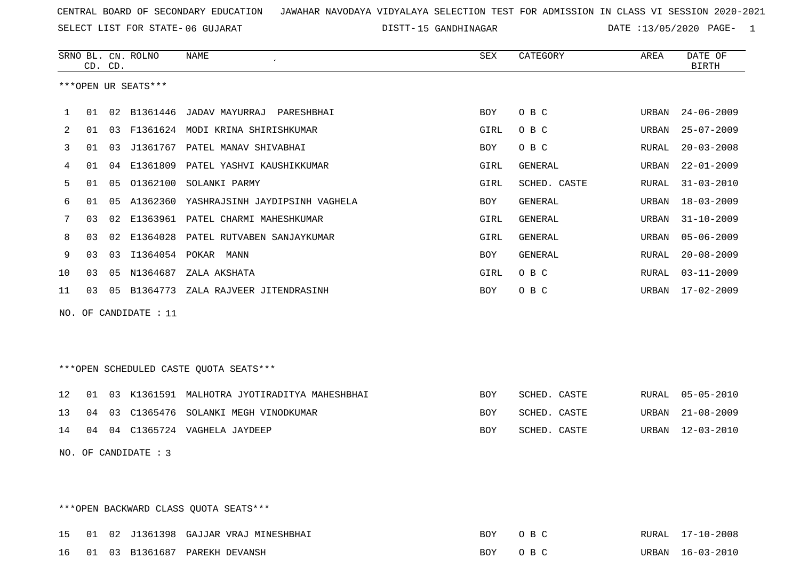SELECT LIST FOR STATE- DISTT- 06 GUJARAT

DISTT-15 GANDHINAGAR DATE :13/05/2020 PAGE- 1

|              |    | CD. CD. | SRNO BL. CN. ROLNO     | NAME                                         | SEX  | CATEGORY     | AREA  | DATE OF<br><b>BIRTH</b> |
|--------------|----|---------|------------------------|----------------------------------------------|------|--------------|-------|-------------------------|
|              |    |         | ***OPEN UR SEATS***    |                                              |      |              |       |                         |
| $\mathbf{1}$ |    |         |                        | 01 02 B1361446 JADAV MAYURRAJ PARESHBHAI     | BOY  | O B C        | URBAN | 24-06-2009              |
| 2            |    |         |                        | 01 03 F1361624 MODI KRINA SHIRISHKUMAR       | GIRL | O B C        | URBAN | $25 - 07 - 2009$        |
| 3            | 01 |         |                        | 03 J1361767 PATEL MANAV SHIVABHAI            | BOY  | O B C        | RURAL | $20 - 03 - 2008$        |
| 4            | 01 |         |                        | 04 E1361809 PATEL YASHVI KAUSHIKKUMAR        | GIRL | GENERAL      | URBAN | 22-01-2009              |
| 5            |    |         |                        | 01  05  01362100  SOLANKI PARMY              | GIRL | SCHED. CASTE | RURAL | 31-03-2010              |
| 6            | 01 |         |                        | 05 A1362360 YASHRAJSINH JAYDIPSINH VAGHELA   | BOY  | GENERAL      | URBAN | 18-03-2009              |
| 7            | 03 |         |                        | 02 E1363961 PATEL CHARMI MAHESHKUMAR         | GIRL | GENERAL      | URBAN | $31 - 10 - 2009$        |
| 8            | 03 |         |                        | 02 E1364028 PATEL RUTVABEN SANJAYKUMAR       | GIRL | GENERAL      | URBAN | 05-06-2009              |
| 9            | 03 |         |                        | 03 I1364054 POKAR MANN                       | BOY  | GENERAL      | RURAL | $20 - 08 - 2009$        |
| 10           | 03 |         |                        | 05 N1364687 ZALA AKSHATA                     | GIRL | O B C        | RURAL | $03 - 11 - 2009$        |
| 11           |    |         |                        | 03 05 B1364773 ZALA RAJVEER JITENDRASINH     | BOY  | O B C        |       | URBAN 17-02-2009        |
|              |    |         | NO. OF CANDIDATE : 11  |                                              |      |              |       |                         |
|              |    |         |                        |                                              |      |              |       |                         |
|              |    |         |                        | ***OPEN SCHEDULED CASTE QUOTA SEATS***       |      |              |       |                         |
| 12           | 01 |         |                        | 03 K1361591 MALHOTRA JYOTIRADITYA MAHESHBHAI | BOY  | SCHED. CASTE | RURAL | $05 - 05 - 2010$        |
| 13           |    |         |                        | 04 03 C1365476 SOLANKI MEGH VINODKUMAR       | BOY  | SCHED. CASTE |       | URBAN 21-08-2009        |
| 14           |    |         |                        | 04 04 C1365724 VAGHELA JAYDEEP               | BOY  | SCHED. CASTE |       | URBAN 12-03-2010        |
|              |    |         | NO. OF CANDIDATE : $3$ |                                              |      |              |       |                         |
|              |    |         |                        |                                              |      |              |       |                         |
|              |    |         |                        | *** OPEN BACKWARD CLASS QUOTA SEATS***       |      |              |       |                         |
| 15           |    |         |                        | 01 02 J1361398 GAJJAR VRAJ MINESHBHAI        | BOY  | O B C        |       | RURAL 17-10-2008        |

16 01 03 B1361687 PAREKH DEVANSH BOY O B C URBAN 16-03-2010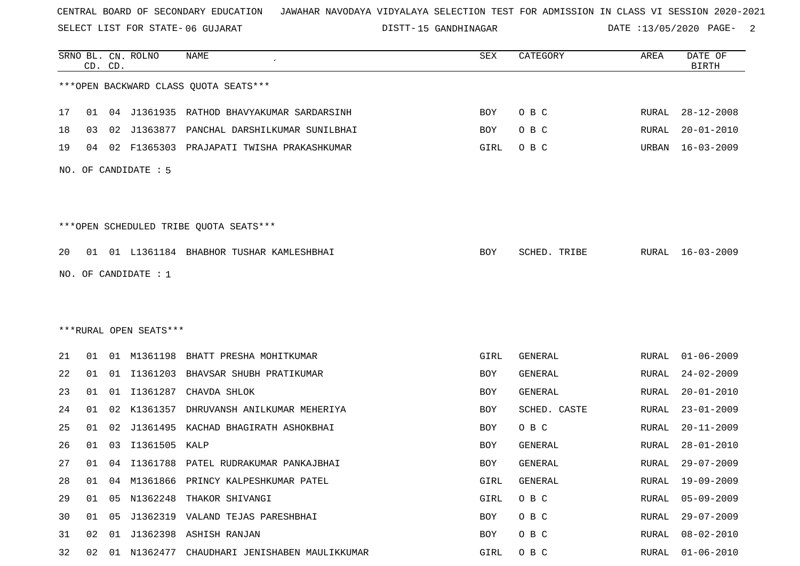SELECT LIST FOR STATE- DISTT- 06 GUJARAT

15 GANDHINAGAR DATE :13/05/2020 PAGE- 2

|    |    | CD. CD. | SRNO BL. CN. ROLNO     | <b>NAME</b>                               | SEX  | CATEGORY       | AREA         | DATE OF<br><b>BIRTH</b> |
|----|----|---------|------------------------|-------------------------------------------|------|----------------|--------------|-------------------------|
|    |    |         |                        | *** OPEN BACKWARD CLASS QUOTA SEATS***    |      |                |              |                         |
| 17 | 01 |         |                        | 04 J1361935 RATHOD BHAVYAKUMAR SARDARSINH | BOY  | O B C          | RURAL        | $28 - 12 - 2008$        |
| 18 | 03 |         | 02 J1363877            | PANCHAL DARSHILKUMAR SUNILBHAI            | BOY  | O B C          | RURAL        | $20 - 01 - 2010$        |
| 19 | 04 |         |                        | 02 F1365303 PRAJAPATI TWISHA PRAKASHKUMAR | GIRL | O B C          | URBAN        | 16-03-2009              |
|    |    |         | NO. OF CANDIDATE : 5   |                                           |      |                |              |                         |
|    |    |         |                        | ***OPEN SCHEDULED TRIBE QUOTA SEATS***    |      |                |              |                         |
| 20 |    |         |                        | 01 01 L1361184 BHABHOR TUSHAR KAMLESHBHAI | BOY  | SCHED. TRIBE   |              | RURAL 16-03-2009        |
|    |    |         |                        |                                           |      |                |              |                         |
|    |    |         | NO. OF CANDIDATE : 1   |                                           |      |                |              |                         |
|    |    |         |                        |                                           |      |                |              |                         |
|    |    |         |                        |                                           |      |                |              |                         |
|    |    |         | ***RURAL OPEN SEATS*** |                                           |      |                |              |                         |
| 21 | 01 |         |                        | 01 M1361198 BHATT PRESHA MOHITKUMAR       | GIRL | GENERAL        | RURAL        | $01 - 06 - 2009$        |
| 22 | 01 |         |                        | 01 I1361203 BHAVSAR SHUBH PRATIKUMAR      | BOY  | GENERAL        | RURAL        | $24 - 02 - 2009$        |
| 23 | 01 | 01      | I1361287               | CHAVDA SHLOK                              | BOY  | <b>GENERAL</b> | <b>RURAL</b> | $20 - 01 - 2010$        |
| 24 | 01 | 02      | K1361357               | DHRUVANSH ANILKUMAR MEHERIYA              | BOY  | SCHED. CASTE   | RURAL        | $23 - 01 - 2009$        |
| 25 | 01 | 02      | J1361495               | KACHAD BHAGIRATH ASHOKBHAI                | BOY  | O B C          | RURAL        | $20 - 11 - 2009$        |
| 26 | 01 | 03      | I1361505               | KALP                                      | BOY  | GENERAL        | RURAL        | $28 - 01 - 2010$        |
| 27 | 01 |         |                        | 04 I1361788 PATEL RUDRAKUMAR PANKAJBHAI   | BOY  | GENERAL        | RURAL        | $29 - 07 - 2009$        |
| 28 | 01 |         |                        | 04 M1361866 PRINCY KALPESHKUMAR PATEL     | GIRL | GENERAL        | <b>RURAL</b> | $19 - 09 - 2009$        |
| 29 | 01 |         | 05 N1362248            | THAKOR SHIVANGI                           | GIRL | O B C          | RURAL        | $05 - 09 - 2009$        |
| 30 | 01 | 05      |                        | J1362319 VALAND TEJAS PARESHBHAI          | BOY  | O B C          | RURAL        | $29 - 07 - 2009$        |
| 31 | 02 | 01      |                        | J1362398 ASHISH RANJAN                    | BOY  | O B C          | <b>RURAL</b> | $08 - 02 - 2010$        |
| 32 | 02 | 01      |                        | N1362477 CHAUDHARI JENISHABEN MAULIKKUMAR | GIRL | O B C          | RURAL        | $01 - 06 - 2010$        |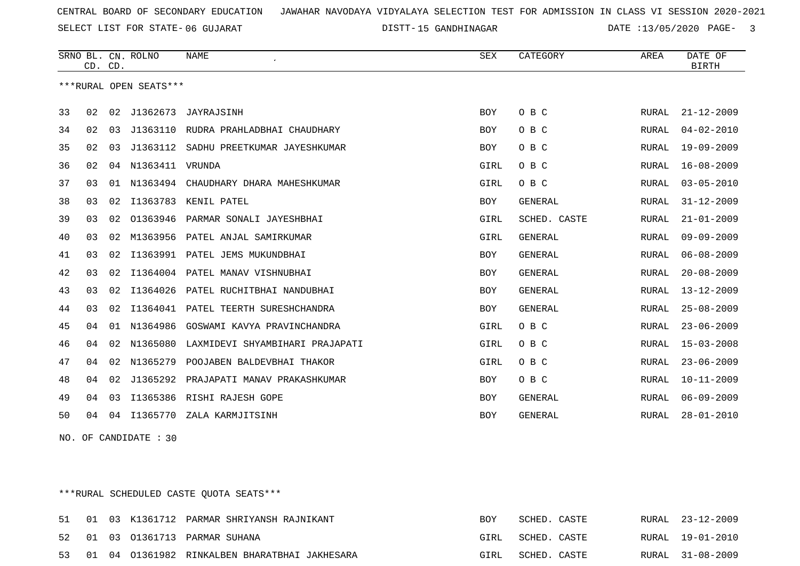SELECT LIST FOR STATE- DISTT- 06 GUJARAT

DISTT-15 GANDHINAGAR DATE :13/05/2020 PAGE- 3

|    | CD. CD. |    | SRNO BL. CN. ROLNO     | <b>NAME</b>                     | SEX        | CATEGORY       | AREA         | DATE OF<br><b>BIRTH</b> |
|----|---------|----|------------------------|---------------------------------|------------|----------------|--------------|-------------------------|
|    |         |    | ***RURAL OPEN SEATS*** |                                 |            |                |              |                         |
| 33 | 02      | 02 | J1362673               | JAYRAJSINH                      | <b>BOY</b> | O B C          | RURAL        | $21 - 12 - 2009$        |
| 34 | 02      | 03 | J1363110               | RUDRA PRAHLADBHAI CHAUDHARY     | <b>BOY</b> | O B C          | <b>RURAL</b> | $04 - 02 - 2010$        |
| 35 | 02      | 03 | J1363112               | SADHU PREETKUMAR JAYESHKUMAR    | <b>BOY</b> | O B C          | <b>RURAL</b> | $19 - 09 - 2009$        |
| 36 | 02      |    | 04 N1363411            | VRUNDA                          | GIRL       | O B C          | RURAL        | $16 - 08 - 2009$        |
| 37 | 03      | 01 | N1363494               | CHAUDHARY DHARA MAHESHKUMAR     | GIRL       | O B C          | RURAL        | $03 - 05 - 2010$        |
| 38 | 03      | 02 | I1363783               | KENIL PATEL                     | <b>BOY</b> | <b>GENERAL</b> | RURAL        | $31 - 12 - 2009$        |
| 39 | 03      | 02 | 01363946               | PARMAR SONALI JAYESHBHAI        | GIRL       | SCHED. CASTE   | <b>RURAL</b> | $21 - 01 - 2009$        |
| 40 | 03      | 02 | M1363956               | PATEL ANJAL SAMIRKUMAR          | GIRL       | GENERAL        | RURAL        | $09 - 09 - 2009$        |
| 41 | 03      | 02 | I1363991               | PATEL JEMS MUKUNDBHAI           | BOY        | GENERAL        | RURAL        | $06 - 08 - 2009$        |
| 42 | 03      | 02 | I1364004               | PATEL MANAV VISHNUBHAI          | <b>BOY</b> | <b>GENERAL</b> | RURAL        | $20 - 08 - 2009$        |
| 43 | 03      | 02 | I1364026               | PATEL RUCHITBHAI NANDUBHAI      | <b>BOY</b> | GENERAL        | RURAL        | $13 - 12 - 2009$        |
| 44 | 03      | 02 | I1364041               | PATEL TEERTH SURESHCHANDRA      | <b>BOY</b> | <b>GENERAL</b> | RURAL        | $25 - 08 - 2009$        |
| 45 | 04      | 01 | N1364986               | GOSWAMI KAVYA PRAVINCHANDRA     | GIRL       | O B C          | RURAL        | $23 - 06 - 2009$        |
| 46 | 04      | 02 | N1365080               | LAXMIDEVI SHYAMBIHARI PRAJAPATI | GIRL       | O B C          | RURAL        | $15 - 03 - 2008$        |
| 47 | 04      | 02 | N1365279               | POOJABEN BALDEVBHAI THAKOR      | GIRL       | O B C          | RURAL        | $23 - 06 - 2009$        |
| 48 | 04      | 02 | J1365292               | PRAJAPATI MANAV PRAKASHKUMAR    | BOY        | O B C          | RURAL        | $10 - 11 - 2009$        |
| 49 | 04      | 03 | I1365386               | RISHI RAJESH GOPE               | <b>BOY</b> | GENERAL        | RURAL        | $06 - 09 - 2009$        |
| 50 | 04      | 04 | I1365770               | ZALA KARMJITSINH                | <b>BOY</b> | <b>GENERAL</b> | RURAL        | $28 - 01 - 2010$        |

NO. OF CANDIDATE : 30

\*\*\*RURAL SCHEDULED CASTE QUOTA SEATS\*\*\*

|  |  | 51 01 03 K1361712 PARMAR SHRIYANSH RAJNIKANT     | <b>BOY</b> | SCHED. CASTE |  | RURAL 23-12-2009 |
|--|--|--------------------------------------------------|------------|--------------|--|------------------|
|  |  | 52 01 03 01361713 PARMAR SUHANA                  | GIRL       | SCHED. CASTE |  | RURAL 19-01-2010 |
|  |  | 53 01 04 01361982 RINKALBEN BHARATBHAI JAKHESARA | GIRL       | SCHED. CASTE |  | RURAL 31-08-2009 |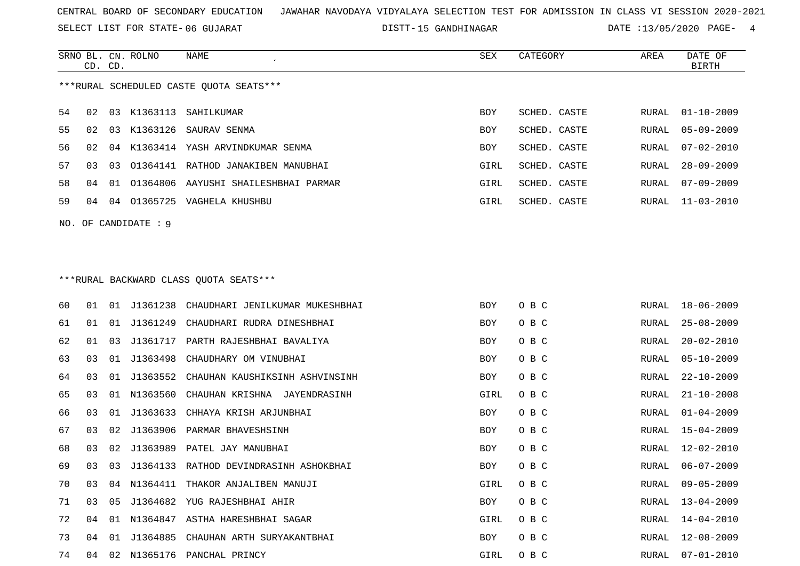SELECT LIST FOR STATE- DISTT- 06 GUJARAT

DISTT-15 GANDHINAGAR DATE :13/05/2020 PAGE- 4

|    | CD. CD. |    | SRNO BL. CN. ROLNO     | NAME                                    | SEX  | CATEGORY     | AREA  | DATE OF<br><b>BIRTH</b> |
|----|---------|----|------------------------|-----------------------------------------|------|--------------|-------|-------------------------|
|    |         |    |                        | ***RURAL SCHEDULED CASTE QUOTA SEATS*** |      |              |       |                         |
| 54 | 02      |    | 03 K1363113            | SAHILKUMAR                              | BOY  | SCHED. CASTE | RURAL | $01 - 10 - 2009$        |
| 55 | 02      |    |                        | 03 K1363126 SAURAV SENMA                | BOY  | SCHED. CASTE | RURAL | $05 - 09 - 2009$        |
| 56 | 02      |    |                        | 04 K1363414 YASH ARVINDKUMAR SENMA      | BOY  | SCHED. CASTE | RURAL | $07 - 02 - 2010$        |
| 57 | 03      | 03 |                        | 01364141 RATHOD JANAKIBEN MANUBHAI      | GIRL | SCHED. CASTE | RURAL | $28 - 09 - 2009$        |
| 58 | 04      | 01 | 01364806               | AAYUSHI SHAILESHBHAI PARMAR             | GIRL | SCHED. CASTE | RURAL | $07 - 09 - 2009$        |
| 59 | 04      | 04 |                        | 01365725 VAGHELA KHUSHBU                | GIRL | SCHED. CASTE | RURAL | $11 - 03 - 2010$        |
|    |         |    | NO. OF CANDIDATE : $9$ |                                         |      |              |       |                         |
|    |         |    |                        |                                         |      |              |       |                         |
|    |         |    |                        | *** RURAL BACKWARD CLASS QUOTA SEATS*** |      |              |       |                         |
| 60 | 01      |    | 01 J1361238            | CHAUDHARI JENILKUMAR MUKESHBHAI         | BOY  | O B C        | RURAL | $18 - 06 - 2009$        |
| 61 | 01      |    | 01 J1361249            | CHAUDHARI RUDRA DINESHBHAI              | BOY  | O B C        | RURAL | $25 - 08 - 2009$        |
| 62 | 01      | 03 | J1361717               | PARTH RAJESHBHAI BAVALIYA               | BOY  | O B C        | RURAL | $20 - 02 - 2010$        |
| 63 | 03      | 01 | J1363498               | CHAUDHARY OM VINUBHAI                   | BOY  | O B C        | RURAL | $05 - 10 - 2009$        |
| 64 | 03      | 01 | J1363552               | CHAUHAN KAUSHIKSINH ASHVINSINH          | BOY  | O B C        | RURAL | $22 - 10 - 2009$        |
| 65 | 03      | 01 | N1363560               | CHAUHAN KRISHNA JAYENDRASINH            | GIRL | O B C        | RURAL | $21 - 10 - 2008$        |
| 66 | 03      | 01 | J1363633               | CHHAYA KRISH ARJUNBHAI                  | BOY  | O B C        | RURAL | $01 - 04 - 2009$        |
| 67 | 03      | 02 | J1363906               | PARMAR BHAVESHSINH                      | BOY  | O B C        | RURAL | $15 - 04 - 2009$        |
| 68 | 03      | 02 |                        | J1363989 PATEL JAY MANUBHAI             | BOY  | O B C        | RURAL | $12 - 02 - 2010$        |
| 69 | 03      | 03 |                        | J1364133 RATHOD DEVINDRASINH ASHOKBHAI  | BOY  | O B C        | RURAL | $06 - 07 - 2009$        |
| 70 | 03      |    | 04 N1364411            | THAKOR ANJALIBEN MANUJI                 | GIRL | O B C        | RURAL | $09 - 05 - 2009$        |
| 71 | 03      |    |                        | 05 J1364682 YUG RAJESHBHAI AHIR         | BOY  | O B C        | RURAL | $13 - 04 - 2009$        |
| 72 | 04.     |    |                        | 01 N1364847 ASTHA HARESHBHAI SAGAR      | GIRL | O B C        | RURAL | 14-04-2010              |
| 73 | 04      |    |                        | 01 J1364885 CHAUHAN ARTH SURYAKANTBHAI  | BOY  | O B C        | RURAL | 12-08-2009              |
| 74 |         |    |                        | 04 02 N1365176 PANCHAL PRINCY           | GIRL | O B C        |       | RURAL 07-01-2010        |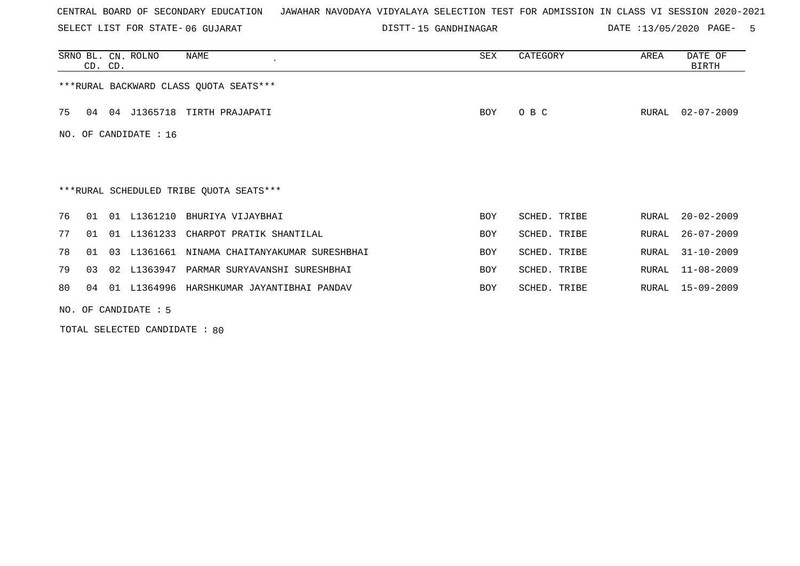SELECT LIST FOR STATE- DISTT- 06 GUJARAT

DISTT-15 GANDHINAGAR DATE :13/05/2020 PAGE- 5

|    |                         | CD. CD. | SRNO BL. CN. ROLNO | NAME                                         | SEX        | CATEGORY     | AREA  | DATE OF<br>BIRTH |  |  |  |
|----|-------------------------|---------|--------------------|----------------------------------------------|------------|--------------|-------|------------------|--|--|--|
|    |                         |         |                    | *** RURAL BACKWARD CLASS QUOTA SEATS***      |            |              |       |                  |  |  |  |
| 75 | 04                      |         |                    | 04 J1365718 TIRTH PRAJAPATI                  | <b>BOY</b> | O B C        | RURAL | $02 - 07 - 2009$ |  |  |  |
|    | NO. OF CANDIDATE : $16$ |         |                    |                                              |            |              |       |                  |  |  |  |
|    |                         |         |                    |                                              |            |              |       |                  |  |  |  |
|    |                         |         |                    | ***RURAL SCHEDULED TRIBE QUOTA SEATS***      |            |              |       |                  |  |  |  |
| 76 | 01                      |         |                    | 01 L1361210 BHURIYA VIJAYBHAI                | BOY        | SCHED. TRIBE | RURAL | $20 - 02 - 2009$ |  |  |  |
| 77 | 01                      | 01      | L1361233           | CHARPOT PRATIK SHANTILAL                     | <b>BOY</b> | SCHED. TRIBE | RURAL | $26 - 07 - 2009$ |  |  |  |
| 78 | 01                      |         |                    | 03 L1361661 NINAMA CHAITANYAKUMAR SURESHBHAI | BOY        | SCHED. TRIBE | RURAL | $31 - 10 - 2009$ |  |  |  |
| 79 | 03                      |         | 02 L1363947        | PARMAR SURYAVANSHI SURESHBHAI                | <b>BOY</b> | SCHED. TRIBE | RURAL | $11 - 08 - 2009$ |  |  |  |
| 80 | 04                      |         |                    | 01 L1364996 HARSHKUMAR JAYANTIBHAI PANDAV    | BOY        | SCHED. TRIBE | RURAL | $15 - 09 - 2009$ |  |  |  |
|    | NO. OF CANDIDATE $: 5$  |         |                    |                                              |            |              |       |                  |  |  |  |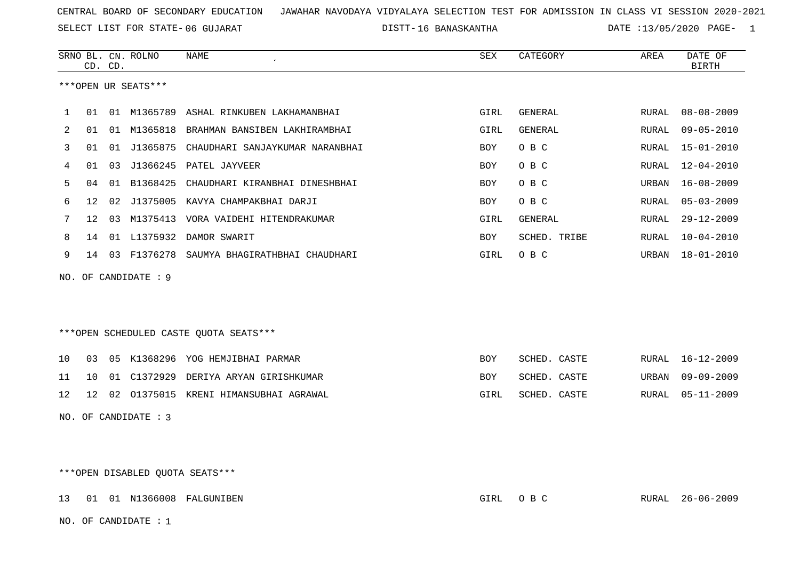SELECT LIST FOR STATE- DISTT- 06 GUJARAT

16 BANASKANTHA DATE :13/05/2020 PAGE- 1

|              | CD. CD.                          |    | SRNO BL. CN. ROLNO   | <b>NAME</b>                                   | SEX        | CATEGORY       | AREA  | DATE OF<br><b>BIRTH</b> |  |
|--------------|----------------------------------|----|----------------------|-----------------------------------------------|------------|----------------|-------|-------------------------|--|
|              |                                  |    | ***OPEN UR SEATS***  |                                               |            |                |       |                         |  |
| $\mathbf{1}$ | 01                               |    |                      | 01 M1365789 ASHAL RINKUBEN LAKHAMANBHAI       | GIRL       | GENERAL        | RURAL | 08-08-2009              |  |
| 2            | 01                               |    |                      | 01 M1365818 BRAHMAN BANSIBEN LAKHIRAMBHAI     | GIRL       | <b>GENERAL</b> | RURAL | $09 - 05 - 2010$        |  |
| 3            | 01                               |    |                      | 01 J1365875 CHAUDHARI SANJAYKUMAR NARANBHAI   | <b>BOY</b> | O B C          | RURAL | $15 - 01 - 2010$        |  |
| 4            | 01                               | 03 |                      | J1366245 PATEL JAYVEER                        | BOY        | O B C          | RURAL | 12-04-2010              |  |
| 5            | 04                               |    | 01 B1368425          | CHAUDHARI KIRANBHAI DINESHBHAI                | <b>BOY</b> | O B C          | URBAN | $16 - 08 - 2009$        |  |
| 6            | 12                               |    |                      | 02 J1375005 KAVYA CHAMPAKBHAI DARJI           | BOY        | O B C          | RURAL | $05 - 03 - 2009$        |  |
| 7            | 12 <sup>°</sup>                  |    |                      | 03 M1375413 VORA VAIDEHI HITENDRAKUMAR        | GIRL       | <b>GENERAL</b> | RURAL | $29 - 12 - 2009$        |  |
| 8            | 14                               |    |                      | 01 L1375932 DAMOR SWARIT                      | <b>BOY</b> | SCHED. TRIBE   | RURAL | $10 - 04 - 2010$        |  |
| 9            |                                  |    |                      | 14 03 F1376278 SAUMYA BHAGIRATHBHAI CHAUDHARI | GIRL       | O B C          | URBAN | $18 - 01 - 2010$        |  |
|              |                                  |    | NO. OF CANDIDATE : 9 |                                               |            |                |       |                         |  |
|              |                                  |    |                      |                                               |            |                |       |                         |  |
|              |                                  |    |                      |                                               |            |                |       |                         |  |
|              |                                  |    |                      | ***OPEN SCHEDULED CASTE QUOTA SEATS***        |            |                |       |                         |  |
| 10           | 03                               |    |                      | 05 K1368296 YOG HEMJIBHAI PARMAR              | <b>BOY</b> | SCHED. CASTE   | RURAL | $16 - 12 - 2009$        |  |
| 11           | 10                               |    |                      | 01 C1372929 DERIYA ARYAN GIRISHKUMAR          | BOY        | SCHED. CASTE   | URBAN | $09 - 09 - 2009$        |  |
| 12           | 12                               |    |                      | 02 01375015 KRENI HIMANSUBHAI AGRAWAL         | GIRL       | SCHED. CASTE   | RURAL | $05 - 11 - 2009$        |  |
|              |                                  |    | NO. OF CANDIDATE : 3 |                                               |            |                |       |                         |  |
|              |                                  |    |                      |                                               |            |                |       |                         |  |
|              |                                  |    |                      |                                               |            |                |       |                         |  |
|              | *** OPEN DISABLED QUOTA SEATS*** |    |                      |                                               |            |                |       |                         |  |

13 01 01 N1366008 FALGUNIBEN GIRL O B C RURAL 26-06-2009

NO. OF CANDIDATE : 1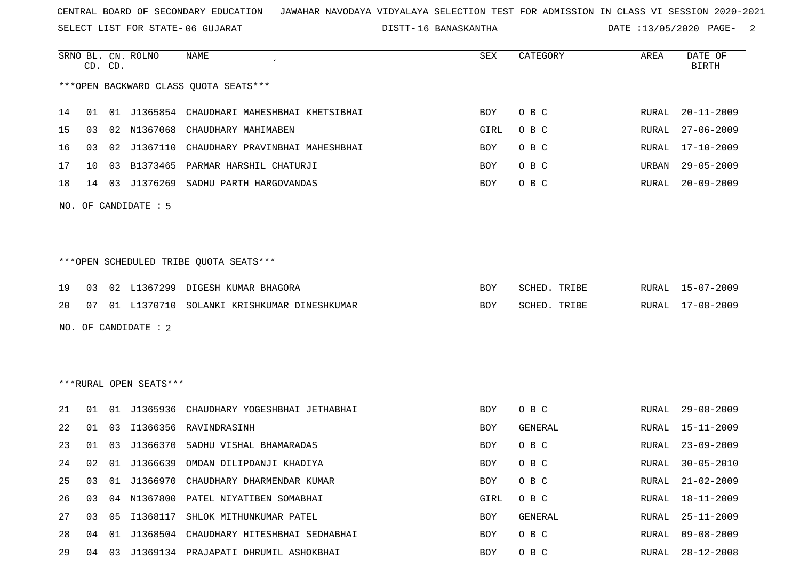SELECT LIST FOR STATE- DISTT- 06 GUJARAT

16 BANASKANTHA DATE :13/05/2020 PAGE- 2

|    |              | CD. CD. | SRNO BL. CN. ROLNO     | <b>NAME</b>                                 | ${\tt SEX}$ | CATEGORY     | AREA         | DATE OF<br><b>BIRTH</b> |
|----|--------------|---------|------------------------|---------------------------------------------|-------------|--------------|--------------|-------------------------|
|    |              |         |                        | *** OPEN BACKWARD CLASS QUOTA SEATS***      |             |              |              |                         |
| 14 | 01           |         |                        | 01 J1365854 CHAUDHARI MAHESHBHAI KHETSIBHAI | <b>BOY</b>  | O B C        | RURAL        | $20 - 11 - 2009$        |
| 15 | 03           | 02      | N1367068               | CHAUDHARY MAHIMABEN                         | GIRL        | O B C        | <b>RURAL</b> | $27 - 06 - 2009$        |
| 16 | 03           | 02      | J1367110               | CHAUDHARY PRAVINBHAI MAHESHBHAI             | BOY         | O B C        | RURAL        | $17 - 10 - 2009$        |
| 17 | $10^{\circ}$ | 03      | B1373465               | PARMAR HARSHIL CHATURJI                     | BOY         | O B C        | URBAN        | $29 - 05 - 2009$        |
| 18 | 14           | 03      |                        | J1376269 SADHU PARTH HARGOVANDAS            | BOY         | O B C        | RURAL        | $20 - 09 - 2009$        |
|    |              |         | NO. OF CANDIDATE : 5   |                                             |             |              |              |                         |
|    |              |         |                        | ***OPEN SCHEDULED TRIBE QUOTA SEATS***      |             |              |              |                         |
| 19 | 03           |         | 02 L1367299            | DIGESH KUMAR BHAGORA                        | BOY         | SCHED. TRIBE | RURAL        | $15 - 07 - 2009$        |
| 20 | 07           |         |                        | 01 L1370710 SOLANKI KRISHKUMAR DINESHKUMAR  | BOY         | SCHED. TRIBE | RURAL        | $17 - 08 - 2009$        |
|    |              |         | NO. OF CANDIDATE : $2$ |                                             |             |              |              |                         |
|    |              |         | ***RURAL OPEN SEATS*** |                                             |             |              |              |                         |
| 21 | 01           |         |                        | 01 J1365936 CHAUDHARY YOGESHBHAI JETHABHAI  | <b>BOY</b>  | O B C        | RURAL        | $29 - 08 - 2009$        |
| 22 | 01           | 03      | I1366356               | RAVINDRASINH                                | BOY         | GENERAL      | RURAL        | $15 - 11 - 2009$        |
| 23 | 01           | 03      | J1366370               | SADHU VISHAL BHAMARADAS                     | BOY         | O B C        | RURAL        | $23 - 09 - 2009$        |
| 24 | 02           |         |                        | 01 J1366639 OMDAN DILIPDANJI KHADIYA        | BOY         | O B C        | RURAL        | $30 - 05 - 2010$        |
| 25 | 03           |         |                        | 01 J1366970 CHAUDHARY DHARMENDAR KUMAR      | <b>BOY</b>  | O B C        | RURAL        | $21 - 02 - 2009$        |
| 26 | 03           |         |                        | 04 N1367800 PATEL NIYATIBEN SOMABHAI        | GIRL        | O B C        | RURAL        | $18 - 11 - 2009$        |
| 27 | 03           |         |                        | 05 I1368117 SHLOK MITHUNKUMAR PATEL         | BOY         | GENERAL      | RURAL        | $25 - 11 - 2009$        |
| 28 | 04           | 01      |                        | J1368504 CHAUDHARY HITESHBHAI SEDHABHAI     | BOY         | O B C        | <b>RURAL</b> | $09 - 08 - 2009$        |
| 29 |              |         |                        | 04 03 J1369134 PRAJAPATI DHRUMIL ASHOKBHAI  | BOY         | O B C        | RURAL        | $28 - 12 - 2008$        |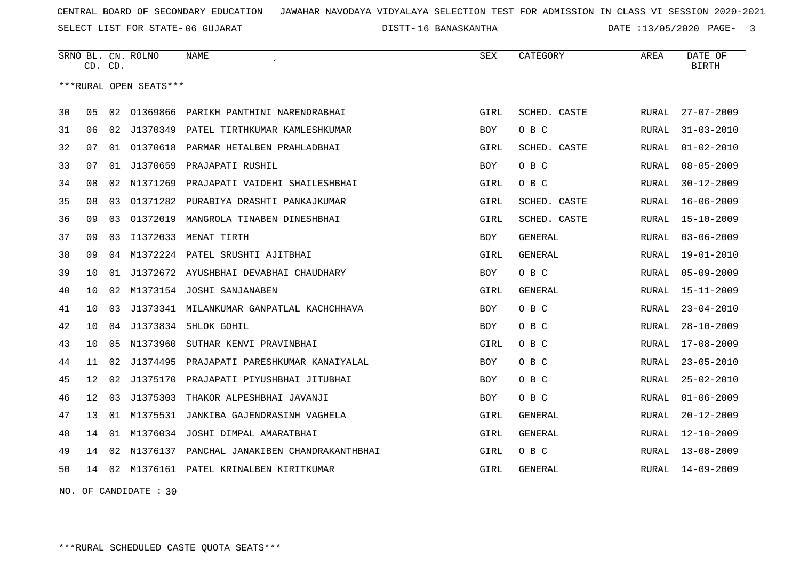SELECT LIST FOR STATE- DISTT- 06 GUJARAT

16 BANASKANTHA DATE :13/05/2020 PAGE- 3

|    | CD. CD.         |    | SRNO BL. CN. ROLNO     | <b>NAME</b>                              | <b>SEX</b> | CATEGORY       | AREA         | DATE OF<br><b>BIRTH</b> |
|----|-----------------|----|------------------------|------------------------------------------|------------|----------------|--------------|-------------------------|
|    |                 |    | ***RURAL OPEN SEATS*** |                                          |            |                |              |                         |
| 30 | 05              | 02 |                        | 01369866 PARIKH PANTHINI NARENDRABHAI    | GIRL       | SCHED. CASTE   | RURAL        | $27 - 07 - 2009$        |
| 31 | 06              | 02 | J1370349               | PATEL TIRTHKUMAR KAMLESHKUMAR            | <b>BOY</b> | O B C          | <b>RURAL</b> | $31 - 03 - 2010$        |
| 32 | 07              | 01 |                        | 01370618 PARMAR HETALBEN PRAHLADBHAI     | GIRL       | SCHED. CASTE   | RURAL        | $01 - 02 - 2010$        |
| 33 | 07              | 01 | J1370659               | PRAJAPATI RUSHIL                         | BOY        | O B C          | RURAL        | $08 - 05 - 2009$        |
| 34 | 08              | 02 | N1371269               | PRAJAPATI VAIDEHI SHAILESHBHAI           | GIRL       | O B C          | RURAL        | $30 - 12 - 2009$        |
| 35 | 08              | 03 | 01371282               | PURABIYA DRASHTI PANKAJKUMAR             | GIRL       | SCHED. CASTE   | RURAL        | $16 - 06 - 2009$        |
| 36 | 09              | 03 | 01372019               | MANGROLA TINABEN DINESHBHAI              | GIRL       | SCHED. CASTE   | RURAL        | $15 - 10 - 2009$        |
| 37 | 09              | 03 | I1372033               | MENAT TIRTH                              | <b>BOY</b> | GENERAL        | RURAL        | $03 - 06 - 2009$        |
| 38 | 09              | 04 |                        | M1372224 PATEL SRUSHTI AJITBHAI          | GIRL       | <b>GENERAL</b> | RURAL        | $19 - 01 - 2010$        |
| 39 | 10              | 01 |                        | J1372672 AYUSHBHAI DEVABHAI CHAUDHARY    | <b>BOY</b> | O B C          | RURAL        | $05 - 09 - 2009$        |
| 40 | 10              | 02 | M1373154               | JOSHI SANJANABEN                         | GIRL       | GENERAL        | RURAL        | $15 - 11 - 2009$        |
| 41 | 10              | 03 |                        | J1373341 MILANKUMAR GANPATLAL KACHCHHAVA | <b>BOY</b> | O B C          | RURAL        | $23 - 04 - 2010$        |
| 42 | 10              | 04 |                        | J1373834 SHLOK GOHIL                     | <b>BOY</b> | O B C          | RURAL        | $28 - 10 - 2009$        |
| 43 | 10              | 05 | N1373960               | SUTHAR KENVI PRAVINBHAI                  | GIRL       | O B C          | RURAL        | $17 - 08 - 2009$        |
| 44 | 11              | 02 | J1374495               | PRAJAPATI PARESHKUMAR KANAIYALAL         | <b>BOY</b> | O B C          | RURAL        | $23 - 05 - 2010$        |
| 45 | 12              | 02 | J1375170               | PRAJAPATI PIYUSHBHAI JITUBHAI            | <b>BOY</b> | O B C          | RURAL        | $25 - 02 - 2010$        |
| 46 | 12 <sub>1</sub> | 03 | J1375303               | THAKOR ALPESHBHAI JAVANJI                | <b>BOY</b> | O B C          | RURAL        | $01 - 06 - 2009$        |
| 47 | 13              | 01 | M1375531               | JANKIBA GAJENDRASINH VAGHELA             | GIRL       | <b>GENERAL</b> | RURAL        | $20 - 12 - 2009$        |
| 48 | 14              | 01 | M1376034               | JOSHI DIMPAL AMARATBHAI                  | GIRL       | GENERAL        | RURAL        | $12 - 10 - 2009$        |
| 49 | 14              | 02 | N1376137               | PANCHAL JANAKIBEN CHANDRAKANTHBHAI       | GIRL       | O B C          | RURAL        | $13 - 08 - 2009$        |
| 50 | 14              | 02 |                        | M1376161 PATEL KRINALBEN KIRITKUMAR      | GIRL       | <b>GENERAL</b> | RURAL        | $14 - 09 - 2009$        |
|    |                 |    |                        |                                          |            |                |              |                         |

NO. OF CANDIDATE : 30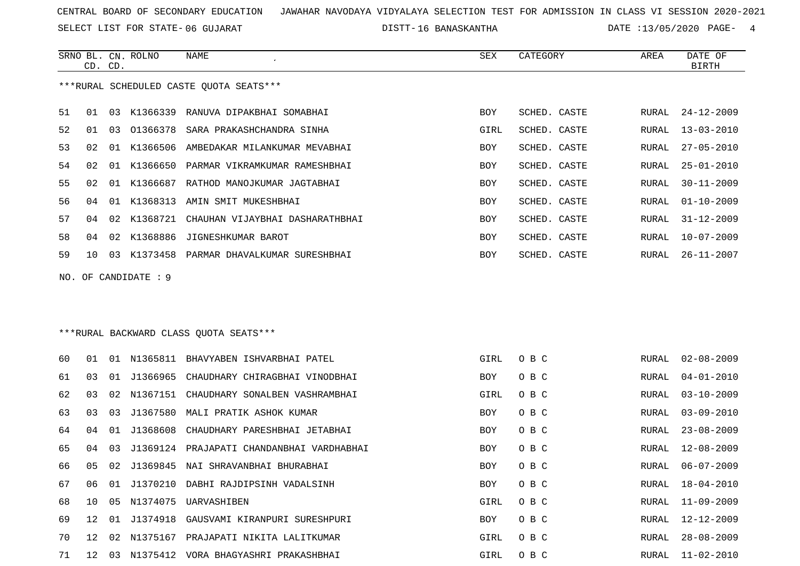SELECT LIST FOR STATE- DISTT- 06 GUJARAT

SRNO BL. CN.

CD. CD.

ROLNO NAME SEX CATEGORY AREA DATE OF

BIRTH

16 BANASKANTHA DATE :13/05/2020 PAGE- 4

| ***RURAL SCHEDULED CASTE QUOTA SEATS*** |    |    |                     |                                              |      |              |       |                  |  |
|-----------------------------------------|----|----|---------------------|----------------------------------------------|------|--------------|-------|------------------|--|
| 51                                      |    |    |                     | 01 03 K1366339 RANUVA DIPAKBHAI SOMABHAI     | BOY  | SCHED. CASTE |       | RURAL 24-12-2009 |  |
| 52                                      | 01 |    |                     | 03 01366378 SARA PRAKASHCHANDRA SINHA        | GIRL | SCHED. CASTE | RURAL | $13 - 03 - 2010$ |  |
| 53                                      | 02 |    |                     | 01 K1366506 AMBEDAKAR MILANKUMAR MEVABHAI    | BOY  | SCHED. CASTE | RURAL | $27 - 05 - 2010$ |  |
| 54                                      | 02 |    |                     | 01 K1366650 PARMAR VIKRAMKUMAR RAMESHBHAI    | BOY  | SCHED. CASTE | RURAL | $25 - 01 - 2010$ |  |
| 55                                      | 02 |    |                     | 01 K1366687 RATHOD MANOJKUMAR JAGTABHAI      | BOY  | SCHED. CASTE | RURAL | $30 - 11 - 2009$ |  |
| 56                                      | 04 |    |                     | 01 K1368313 AMIN SMIT MUKESHBHAI             | BOY  | SCHED. CASTE | RURAL | $01 - 10 - 2009$ |  |
| 57                                      | 04 |    | 02 K1368721         | CHAUHAN VIJAYBHAI DASHARATHBHAI              | BOY  | SCHED. CASTE | RURAL | $31 - 12 - 2009$ |  |
| 58                                      | 04 |    |                     | 02 K1368886 JIGNESHKUMAR BAROT               | BOY  | SCHED. CASTE | RURAL | 10-07-2009       |  |
| 59                                      | 10 |    |                     | 03 K1373458 PARMAR DHAVALKUMAR SURESHBHAI    | BOY  | SCHED. CASTE |       | RURAL 26-11-2007 |  |
|                                         |    |    | NO. OF CANDIDATE: 9 |                                              |      |              |       |                  |  |
|                                         |    |    |                     |                                              |      |              |       |                  |  |
|                                         |    |    |                     |                                              |      |              |       |                  |  |
|                                         |    |    |                     | ***RURAL BACKWARD CLASS OUOTA SEATS***       |      |              |       |                  |  |
| 60                                      | 01 |    |                     | 01 N1365811 BHAVYABEN ISHVARBHAI PATEL       | GIRL | O B C        |       | RURAL 02-08-2009 |  |
| 61                                      | 03 |    |                     | 01 J1366965 CHAUDHARY CHIRAGBHAI VINODBHAI   | BOY  | O B C        | RURAL | $04 - 01 - 2010$ |  |
| 62                                      | 03 |    |                     | 02 N1367151 CHAUDHARY SONALBEN VASHRAMBHAI   | GIRL | O B C        | RURAL | $03 - 10 - 2009$ |  |
| 63                                      | 03 |    |                     | 03 J1367580 MALI PRATIK ASHOK KUMAR          | BOY  | O B C        | RURAL | $03 - 09 - 2010$ |  |
| 64                                      | 04 |    | 01 J1368608         | CHAUDHARY PARESHBHAI JETABHAI                | BOY  | O B C        | RURAL | $23 - 08 - 2009$ |  |
| 65                                      | 04 |    |                     | 03 J1369124 PRAJAPATI CHANDANBHAI VARDHABHAI | BOY  | O B C        | RURAL | $12 - 08 - 2009$ |  |
| 66                                      | 05 | 02 |                     | J1369845 NAI SHRAVANBHAI BHURABHAI           | BOY  | O B C        | RURAL | $06 - 07 - 2009$ |  |
| 67                                      | 06 |    |                     | 01 J1370210 DABHI RAJDIPSINH VADALSINH       | BOY  | O B C        | RURAL | 18-04-2010       |  |
| 68                                      | 10 |    |                     | 05 N1374075 UARVASHIBEN                      | GIRL | O B C        |       | RURAL 11-09-2009 |  |
| 69                                      |    |    |                     | 12 01 J1374918 GAUSVAMI KIRANPURI SURESHPURI | BOY  | O B C        |       | RURAL 12-12-2009 |  |
| 70                                      |    |    |                     | 12 02 N1375167 PRAJAPATI NIKITA LALITKUMAR   | GIRL | O B C        | RURAL | $28 - 08 - 2009$ |  |
| 71                                      | 12 |    |                     | 03 N1375412 VORA BHAGYASHRI PRAKASHBHAI      | GIRL | O B C        | RURAL | $11 - 02 - 2010$ |  |
|                                         |    |    |                     |                                              |      |              |       |                  |  |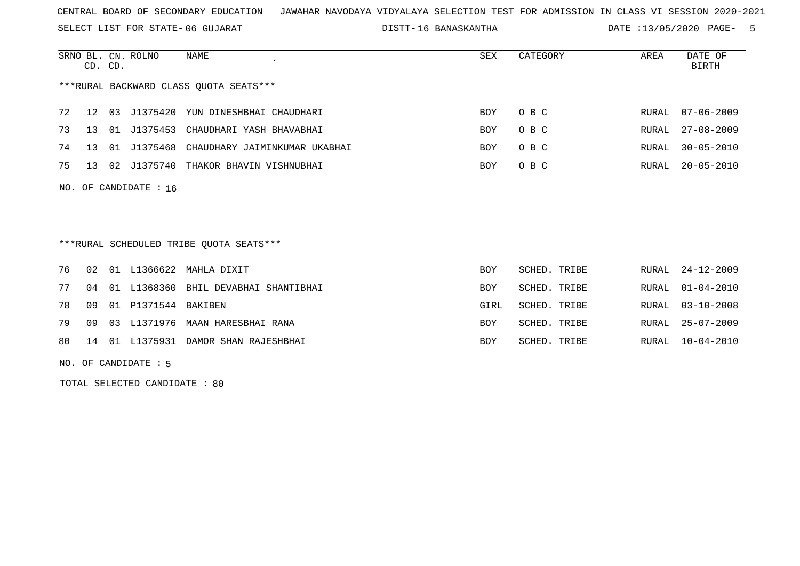SELECT LIST FOR STATE- DISTT- 06 GUJARAT

16 BANASKANTHA DATE :13/05/2020 PAGE- 5

|    | CD. CD. |    | SRNO BL. CN. ROLNO      | <b>NAME</b>                             | <b>SEX</b> | CATEGORY     | AREA  | DATE OF<br><b>BIRTH</b> |
|----|---------|----|-------------------------|-----------------------------------------|------------|--------------|-------|-------------------------|
|    |         |    |                         | ***RURAL BACKWARD CLASS OUOTA SEATS***  |            |              |       |                         |
| 72 | 12      | 03 | J1375420                | YUN DINESHBHAI CHAUDHARI                | BOY        | O B C        | RURAL | $07 - 06 - 2009$        |
| 73 | 13      | 01 | J1375453                | CHAUDHARI YASH BHAVABHAI                | <b>BOY</b> | O B C        | RURAL | $27 - 08 - 2009$        |
| 74 | 13      | 01 | J1375468                | CHAUDHARY JAIMINKUMAR UKABHAI           | <b>BOY</b> | O B C        | RURAL | $30 - 05 - 2010$        |
| 75 | 13      | 02 | J1375740                | THAKOR BHAVIN VISHNUBHAI                | BOY        | O B C        | RURAL | $20 - 05 - 2010$        |
|    |         |    | NO. OF CANDIDATE : $16$ |                                         |            |              |       |                         |
|    |         |    |                         | ***RURAL SCHEDULED TRIBE QUOTA SEATS*** |            |              |       |                         |
| 76 | 02      |    |                         | 01 L1366622 MAHLA DIXIT                 | <b>BOY</b> | SCHED. TRIBE | RURAL | $24 - 12 - 2009$        |
| 77 | 04      | 01 | L1368360                | BHIL DEVABHAI SHANTIBHAI                | <b>BOY</b> | SCHED. TRIBE | RURAL | $01 - 04 - 2010$        |
| 78 | 09      | 01 | P1371544                | BAKIBEN                                 | GIRL       | SCHED. TRIBE | RURAL | $03 - 10 - 2008$        |
| 79 | 09      | 03 | L1371976                | MAAN HARESBHAI RANA                     | <b>BOY</b> | SCHED. TRIBE | RURAL | $25 - 07 - 2009$        |
| 80 | 14      | 01 | L1375931                | DAMOR SHAN RAJESHBHAI                   | <b>BOY</b> | SCHED. TRIBE | RURAL | $10 - 04 - 2010$        |

NO. OF CANDIDATE : 5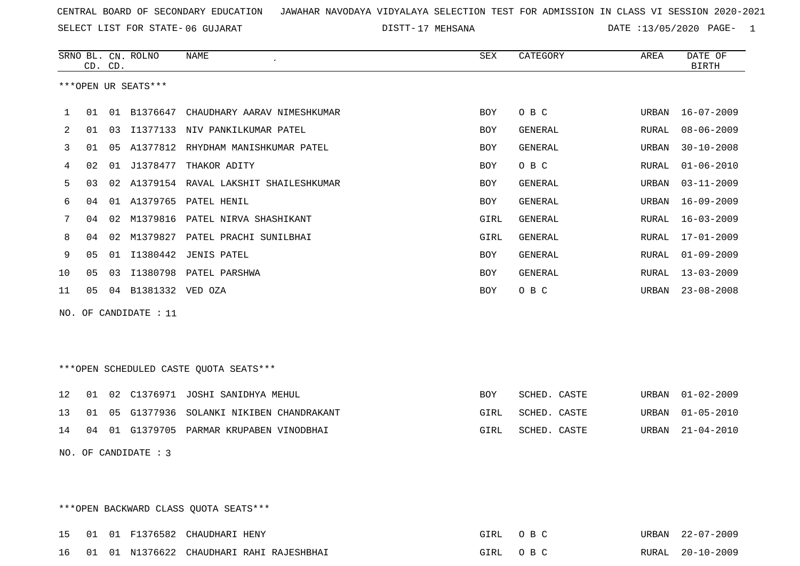SELECT LIST FOR STATE- DISTT- 06 GUJARAT

17 MEHSANA DATE :13/05/2020 PAGE- 1

|     |                      | CD. CD. | SRNO BL. CN. ROLNO  | <b>NAME</b>                            | <b>SEX</b> | CATEGORY       | AREA         | DATE OF<br><b>BIRTH</b> |  |
|-----|----------------------|---------|---------------------|----------------------------------------|------------|----------------|--------------|-------------------------|--|
|     |                      |         | ***OPEN UR SEATS*** |                                        |            |                |              |                         |  |
| 1   | 01                   |         | 01 B1376647         | CHAUDHARY AARAV NIMESHKUMAR            | <b>BOY</b> | O B C          | URBAN        | $16 - 07 - 2009$        |  |
|     |                      |         |                     |                                        |            |                |              |                         |  |
| 2   | 01                   | 03      |                     | I1377133 NIV PANKILKUMAR PATEL         | <b>BOY</b> | GENERAL        | RURAL        | $08 - 06 - 2009$        |  |
| 3   | 01                   | 05      |                     | A1377812 RHYDHAM MANISHKUMAR PATEL     | <b>BOY</b> | <b>GENERAL</b> | URBAN        | $30 - 10 - 2008$        |  |
| 4   | 02                   | 01      | J1378477            | THAKOR ADITY                           | BOY        | O B C          | RURAL        | $01 - 06 - 2010$        |  |
| 5   | 03                   | 02      |                     | A1379154 RAVAL LAKSHIT SHAILESHKUMAR   | <b>BOY</b> | <b>GENERAL</b> | URBAN        | $03 - 11 - 2009$        |  |
| 6   | 04                   |         |                     | 01 A1379765 PATEL HENIL                | BOY        | <b>GENERAL</b> | URBAN        | $16 - 09 - 2009$        |  |
| 7   | 04                   | 02      | M1379816            | PATEL NIRVA SHASHIKANT                 | GIRL       | <b>GENERAL</b> | RURAL        | $16 - 03 - 2009$        |  |
| 8   | 04                   |         |                     | 02 M1379827 PATEL PRACHI SUNILBHAI     | GIRL       | GENERAL        | RURAL        | $17 - 01 - 2009$        |  |
| 9   | 05                   | 01      |                     | I1380442 JENIS PATEL                   | <b>BOY</b> | <b>GENERAL</b> | RURAL        | $01 - 09 - 2009$        |  |
| 10  | 05                   | 03      |                     | I1380798 PATEL PARSHWA                 | <b>BOY</b> | GENERAL        | <b>RURAL</b> | $13 - 03 - 2009$        |  |
| 11  | 05                   |         | 04 B1381332 VED OZA |                                        | <b>BOY</b> | O B C          | URBAN        | $23 - 08 - 2008$        |  |
| NO. |                      |         | OF CANDIDATE : 11   |                                        |            |                |              |                         |  |
|     |                      |         |                     |                                        |            |                |              |                         |  |
|     |                      |         |                     |                                        |            |                |              |                         |  |
|     |                      |         |                     | ***OPEN SCHEDULED CASTE QUOTA SEATS*** |            |                |              |                         |  |
|     |                      |         |                     |                                        |            |                |              |                         |  |
| 12  | 01                   |         |                     | 02 C1376971 JOSHI SANIDHYA MEHUL       | <b>BOY</b> | SCHED. CASTE   | URBAN        | $01 - 02 - 2009$        |  |
| 13  | 01                   | 05      |                     | G1377936 SOLANKI NIKIBEN CHANDRAKANT   | GIRL       | SCHED. CASTE   | URBAN        | $01 - 05 - 2010$        |  |
| 14  | 04                   |         |                     | 01 G1379705 PARMAR KRUPABEN VINODBHAI  | GIRL       | SCHED. CASTE   | URBAN        | $21 - 04 - 2010$        |  |
|     | NO. OF CANDIDATE : 3 |         |                     |                                        |            |                |              |                         |  |
|     |                      |         |                     |                                        |            |                |              |                         |  |
|     |                      |         |                     |                                        |            |                |              |                         |  |

\*\*\*OPEN BACKWARD CLASS QUOTA SEATS\*\*\*

| 15 01 01 |  | 1 F1376582 CHAUDHARI HENY            | OTRI. |       | <b>URBAN</b> | $22 - 07 - 2009$ |
|----------|--|--------------------------------------|-------|-------|--------------|------------------|
| 16 01 01 |  | 1 N1376622 CHAUDHARI RAHI RAJESHBHAI | GTRT  | O R C | RURAL.       | $20 - 10 - 2009$ |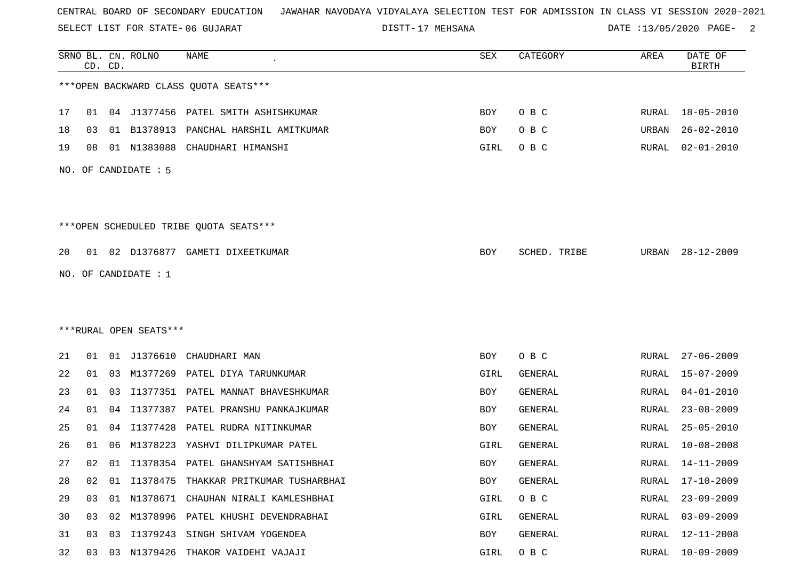SELECT LIST FOR STATE- DISTT- 06 GUJARAT

17 MEHSANA DATE :13/05/2020 PAGE- 2

|    | CD. CD. |    | SRNO BL. CN. ROLNO     | <b>NAME</b>                              | <b>SEX</b> | CATEGORY       | <b>AREA</b> | DATE OF<br><b>BIRTH</b> |
|----|---------|----|------------------------|------------------------------------------|------------|----------------|-------------|-------------------------|
|    |         |    |                        | *** OPEN BACKWARD CLASS QUOTA SEATS***   |            |                |             |                         |
| 17 | 01      |    |                        | 04 J1377456 PATEL SMITH ASHISHKUMAR      | BOY        | O B C          |             | RURAL 18-05-2010        |
| 18 | 03      |    | 01 B1378913            | PANCHAL HARSHIL AMITKUMAR                | BOY        | O B C          | URBAN       | $26 - 02 - 2010$        |
| 19 | 08      |    | 01 N1383088            | CHAUDHARI HIMANSHI                       | GIRL       | O B C          | RURAL       | $02 - 01 - 2010$        |
|    |         |    | NO. OF CANDIDATE : $5$ |                                          |            |                |             |                         |
|    |         |    |                        |                                          |            |                |             |                         |
|    |         |    |                        | ***OPEN SCHEDULED TRIBE QUOTA SEATS***   |            |                |             |                         |
| 20 |         |    |                        | 01 02 D1376877 GAMETI DIXEETKUMAR        | BOY        | SCHED. TRIBE   | URBAN       | $28 - 12 - 2009$        |
|    |         |    | NO. OF CANDIDATE : $1$ |                                          |            |                |             |                         |
|    |         |    |                        |                                          |            |                |             |                         |
|    |         |    |                        |                                          |            |                |             |                         |
|    |         |    | ***RURAL OPEN SEATS*** |                                          |            |                |             |                         |
| 21 | 01      |    | 01 J1376610            | CHAUDHARI MAN                            | BOY        | O B C          | RURAL       | $27 - 06 - 2009$        |
| 22 | 01      | 03 |                        | M1377269 PATEL DIYA TARUNKUMAR           | GIRL       | GENERAL        | RURAL       | $15 - 07 - 2009$        |
| 23 | 01      | 03 | I1377351               | PATEL MANNAT BHAVESHKUMAR                | BOY        | <b>GENERAL</b> | RURAL       | $04 - 01 - 2010$        |
| 24 | 01      | 04 | I1377387               | PATEL PRANSHU PANKAJKUMAR                | BOY        | GENERAL        | RURAL       | $23 - 08 - 2009$        |
| 25 | 01      | 04 | I1377428               | PATEL RUDRA NITINKUMAR                   | BOY        | <b>GENERAL</b> | RURAL       | $25 - 05 - 2010$        |
| 26 | 01      | 06 | M1378223               | YASHVI DILIPKUMAR PATEL                  | GIRL       | <b>GENERAL</b> | RURAL       | $10 - 08 - 2008$        |
| 27 | 02      |    |                        | 01 I1378354 PATEL GHANSHYAM SATISHBHAI   | BOY        | GENERAL        | RURAL       | $14 - 11 - 2009$        |
| 28 | 02      |    |                        | 01 I1378475 THAKKAR PRITKUMAR TUSHARBHAI | BOY        | GENERAL        | RURAL       | 17-10-2009              |
| 29 | 03      |    |                        | 01 N1378671 CHAUHAN NIRALI KAMLESHBHAI   | GIRL       | O B C          | RURAL       | $23 - 09 - 2009$        |
| 30 | 03      |    |                        | 02 M1378996 PATEL KHUSHI DEVENDRABHAI    | GIRL       | GENERAL        | RURAL       | 03-09-2009              |
| 31 | 03      | 03 |                        | I1379243 SINGH SHIVAM YOGENDEA           | BOY        | GENERAL        | RURAL       | $12 - 11 - 2008$        |
| 32 |         |    |                        | 03 03 N1379426 THAKOR VAIDEHI VAJAJI     | GIRL       | O B C          |             | RURAL 10-09-2009        |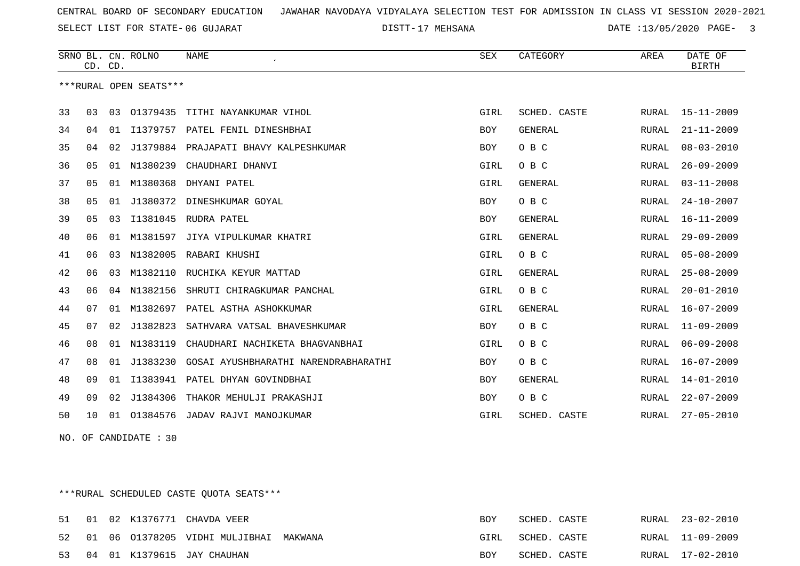SELECT LIST FOR STATE- DISTT- 06 GUJARAT

17 MEHSANA DATE :13/05/2020 PAGE- 3

|    | CD. CD. |    | SRNO BL. CN. ROLNO     | <b>NAME</b>                           | <b>SEX</b> | CATEGORY       | AREA         | DATE OF<br><b>BIRTH</b> |
|----|---------|----|------------------------|---------------------------------------|------------|----------------|--------------|-------------------------|
|    |         |    | ***RURAL OPEN SEATS*** |                                       |            |                |              |                         |
| 33 | 03      | 03 | 01379435               | TITHI NAYANKUMAR VIHOL                | GIRL       | SCHED. CASTE   | RURAL        | $15 - 11 - 2009$        |
| 34 | 04      | 01 | I1379757               | PATEL FENIL DINESHBHAI                | <b>BOY</b> | <b>GENERAL</b> | <b>RURAL</b> | $21 - 11 - 2009$        |
| 35 | 04      | 02 |                        | J1379884 PRAJAPATI BHAVY KALPESHKUMAR | <b>BOY</b> | O B C          | RURAL        | $08 - 03 - 2010$        |
| 36 | 05      |    | 01 N1380239            | CHAUDHARI DHANVI                      | GIRL       | O B C          | RURAL        | $26 - 09 - 2009$        |
| 37 | 05      | 01 | M1380368               | DHYANI PATEL                          | GIRL       | <b>GENERAL</b> | <b>RURAL</b> | $03 - 11 - 2008$        |
| 38 | 05      | 01 | J1380372               | DINESHKUMAR GOYAL                     | <b>BOY</b> | O B C          | <b>RURAL</b> | $24 - 10 - 2007$        |
| 39 | 05      | 03 | I1381045               | RUDRA PATEL                           | <b>BOY</b> | <b>GENERAL</b> | RURAL        | $16 - 11 - 2009$        |
| 40 | 06      | 01 | M1381597               | JIYA VIPULKUMAR KHATRI                | GIRL       | <b>GENERAL</b> | RURAL        | $29 - 09 - 2009$        |
| 41 | 06      | 03 | N1382005               | RABARI KHUSHI                         | GIRL       | O B C          | <b>RURAL</b> | $05 - 08 - 2009$        |
| 42 | 06      | 03 | M1382110               | RUCHIKA KEYUR MATTAD                  | GIRL       | <b>GENERAL</b> | <b>RURAL</b> | $25 - 08 - 2009$        |
| 43 | 06      | 04 | N1382156               | SHRUTI CHIRAGKUMAR PANCHAL            | GIRL       | O B C          | RURAL        | $20 - 01 - 2010$        |
| 44 | 07      | 01 | M1382697               | PATEL ASTHA ASHOKKUMAR                | GIRL       | <b>GENERAL</b> | <b>RURAL</b> | $16 - 07 - 2009$        |
| 45 | 07      | 02 | J1382823               | SATHVARA VATSAL BHAVESHKUMAR          | <b>BOY</b> | O B C          | RURAL        | $11 - 09 - 2009$        |
| 46 | 08      | 01 | N1383119               | CHAUDHARI NACHIKETA BHAGVANBHAI       | GIRL       | O B C          | RURAL        | $06 - 09 - 2008$        |
| 47 | 08      | 01 | J1383230               | GOSAI AYUSHBHARATHI NARENDRABHARATHI  | <b>BOY</b> | O B C          | RURAL        | $16 - 07 - 2009$        |
| 48 | 09      | 01 |                        | I1383941 PATEL DHYAN GOVINDBHAI       | <b>BOY</b> | <b>GENERAL</b> | <b>RURAL</b> | $14 - 01 - 2010$        |
| 49 | 09      | 02 | J1384306               | THAKOR MEHULJI PRAKASHJI              | <b>BOY</b> | O B C          | RURAL        | $22 - 07 - 2009$        |
| 50 | 10      | 01 |                        | 01384576 JADAV RAJVI MANOJKUMAR       | GIRL       | SCHED. CASTE   | RURAL        | $27 - 05 - 2010$        |

NO. OF CANDIDATE : 30

\*\*\*RURAL SCHEDULED CASTE QUOTA SEATS\*\*\*

|  |  | 51 01 02 K1376771 CHAVDA VEER             | BOY  | SCHED. CASTE |  | RURAL 23-02-2010 |
|--|--|-------------------------------------------|------|--------------|--|------------------|
|  |  | 52 01 06 01378205 VIDHI MULJIBHAI MAKWANA | GIRL | SCHED. CASTE |  | RURAL 11-09-2009 |
|  |  | 53 04 01 K1379615 JAY CHAUHAN             | BOY  | SCHED. CASTE |  | RURAL 17-02-2010 |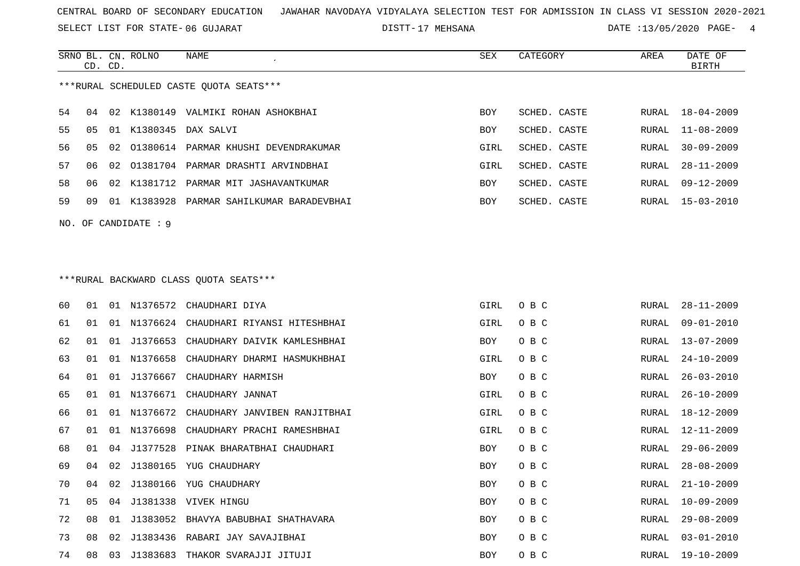SELECT LIST FOR STATE- DISTT- 06 GUJARAT

DISTT-17 MEHSANA 12000 12000 DATE :13/05/2020 PAGE- 4

|    | CD. CD. |    | SRNO BL. CN. ROLNO     | NAME                                     | SEX        | CATEGORY     | AREA  | DATE OF<br><b>BIRTH</b> |
|----|---------|----|------------------------|------------------------------------------|------------|--------------|-------|-------------------------|
|    |         |    |                        | ***RURAL SCHEDULED CASTE OUOTA SEATS***  |            |              |       |                         |
| 54 | 04      |    |                        | 02 K1380149 VALMIKI ROHAN ASHOKBHAI      | <b>BOY</b> | SCHED. CASTE | RURAL | $18 - 04 - 2009$        |
| 55 | 05      |    |                        | 01 K1380345 DAX SALVI                    | BOY        | SCHED. CASTE | RURAL | $11 - 08 - 2009$        |
| 56 | 05      | 02 |                        | 01380614 PARMAR KHUSHI DEVENDRAKUMAR     | GIRL       | SCHED. CASTE | RURAL | $30 - 09 - 2009$        |
| 57 | 06      | 02 |                        | 01381704 PARMAR DRASHTI ARVINDBHAI       | GIRL       | SCHED. CASTE | RURAL | $28 - 11 - 2009$        |
| 58 | 06      | 02 | K1381712               | PARMAR MIT JASHAVANTKUMAR                | BOY        | SCHED. CASTE | RURAL | $09 - 12 - 2009$        |
| 59 | 09      |    | 01 K1383928            | PARMAR SAHILKUMAR BARADEVBHAI            | BOY        | SCHED. CASTE | RURAL | $15 - 03 - 2010$        |
|    |         |    | NO. OF CANDIDATE $: 9$ |                                          |            |              |       |                         |
|    |         |    |                        |                                          |            |              |       |                         |
|    |         |    |                        | ***RURAL BACKWARD CLASS OUOTA SEATS***   |            |              |       |                         |
| 60 | 01      |    |                        | 01 N1376572 CHAUDHARI DIYA               | GIRL       | O B C        | RURAL | $28 - 11 - 2009$        |
| 61 | 01      |    |                        | 01 N1376624 CHAUDHARI RIYANSI HITESHBHAI | GIRL       | O B C        | RURAL | $09 - 01 - 2010$        |
| 62 | 01      |    | 01 J1376653            | CHAUDHARY DAIVIK KAMLESHBHAI             | BOY        | O B C        | RURAL | $13 - 07 - 2009$        |
| 63 | 01      | 01 | N1376658               | CHAUDHARY DHARMI HASMUKHBHAI             | GIRL       | O B C        | RURAL | $24 - 10 - 2009$        |
| 64 | 01      | 01 | J1376667               | CHAUDHARY HARMISH                        | BOY        | O B C        | RURAL | $26 - 03 - 2010$        |
| 65 | 01      | 01 | N1376671               | CHAUDHARY JANNAT                         | GIRL       | O B C        | RURAL | $26 - 10 - 2009$        |
| 66 | 01      | 01 | N1376672               | CHAUDHARY JANVIBEN RANJITBHAI            | GIRL       | O B C        | RURAL | 18-12-2009              |
| 67 | 01      | 01 | N1376698               | CHAUDHARY PRACHI RAMESHBHAI              | GIRL       | O B C        | RURAL | $12 - 11 - 2009$        |
| 68 | 01      | 04 | J1377528               | PINAK BHARATBHAI CHAUDHARI               | BOY        | O B C        | RURAL | $29 - 06 - 2009$        |
| 69 | 04      | 02 |                        | J1380165 YUG CHAUDHARY                   | BOY        | O B C        | RURAL | $28 - 08 - 2009$        |
| 70 | 04      | 02 |                        | J1380166 YUG CHAUDHARY                   | BOY        | овс          | RURAL | $21 - 10 - 2009$        |
| 71 | 05      |    |                        | 04 J1381338 VIVEK HINGU                  | <b>BOY</b> | O B C        | RURAL | $10 - 09 - 2009$        |
| 72 | 08      |    |                        | 01 J1383052 BHAVYA BABUBHAI SHATHAVARA   | BOY        | O B C        | RURAL | 29-08-2009              |
| 73 | 08      |    |                        | 02 J1383436 RABARI JAY SAVAJIBHAI        | BOY        | O B C        |       | RURAL 03-01-2010        |
| 74 |         |    |                        | 08 03 J1383683 THAKOR SVARAJJI JITUJI    | BOY        | O B C        |       | RURAL 19-10-2009        |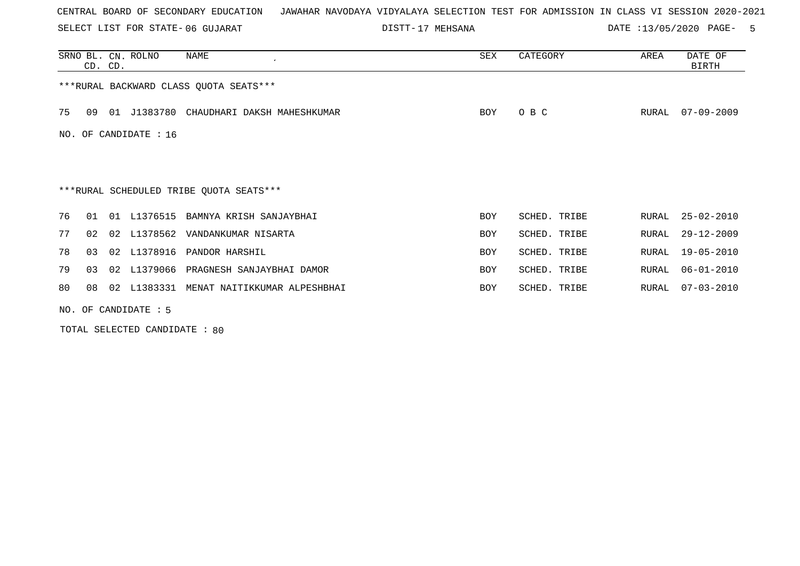SELECT LIST FOR STATE- DISTT- 06 GUJARAT

17 MEHSANA DATE :13/05/2020 PAGE- 5

|    |    | CD. CD. | SRNO BL. CN. ROLNO                                                                                                                                 | NAME                                    | SEX        | CATEGORY     | AREA  | DATE OF<br><b>BIRTH</b> |
|----|----|---------|----------------------------------------------------------------------------------------------------------------------------------------------------|-----------------------------------------|------------|--------------|-------|-------------------------|
|    |    |         |                                                                                                                                                    | *** RURAL BACKWARD CLASS QUOTA SEATS*** |            |              |       |                         |
| 75 | 09 | 01      | J1383780                                                                                                                                           | CHAUDHARI DAKSH MAHESHKUMAR             | BOY        | O B C        | RURAL | $07 - 09 - 2009$        |
|    |    |         | NO. OF CANDIDATE : $16$                                                                                                                            |                                         |            |              |       |                         |
|    |    |         |                                                                                                                                                    |                                         |            |              |       |                         |
|    |    |         |                                                                                                                                                    | ***RURAL SCHEDULED TRIBE QUOTA SEATS*** |            |              |       |                         |
| 76 | 01 | 01      | L1376515                                                                                                                                           | BAMNYA KRISH SANJAYBHAI                 | <b>BOY</b> | SCHED. TRIBE | RURAL | $25 - 02 - 2010$        |
| 77 | 02 |         |                                                                                                                                                    | 02 L1378562 VANDANKUMAR NISARTA         | <b>BOY</b> | SCHED. TRIBE | RURAL | $29 - 12 - 2009$        |
| 78 | 03 |         | 02 L1378916                                                                                                                                        | PANDOR HARSHIL                          | <b>BOY</b> | SCHED. TRIBE | RURAL | 19-05-2010              |
| 79 | 03 |         |                                                                                                                                                    | 02 L1379066 PRAGNESH SANJAYBHAI DAMOR   | <b>BOY</b> | SCHED. TRIBE | RURAL | $06 - 01 - 2010$        |
| 80 | 08 | 02      | L1383331                                                                                                                                           | MENAT NAITIKKUMAR ALPESHBHAI            | BOY        | SCHED. TRIBE | RURAL | $07 - 03 - 2010$        |
|    |    |         | $\overline{170}$ $\overline{0}$ $\overline{0}$ $\overline{111}$ $\overline{111}$ $\overline{111}$ $\overline{111}$ $\overline{11}$ $\overline{11}$ |                                         |            |              |       |                         |

NO. OF CANDIDATE : 5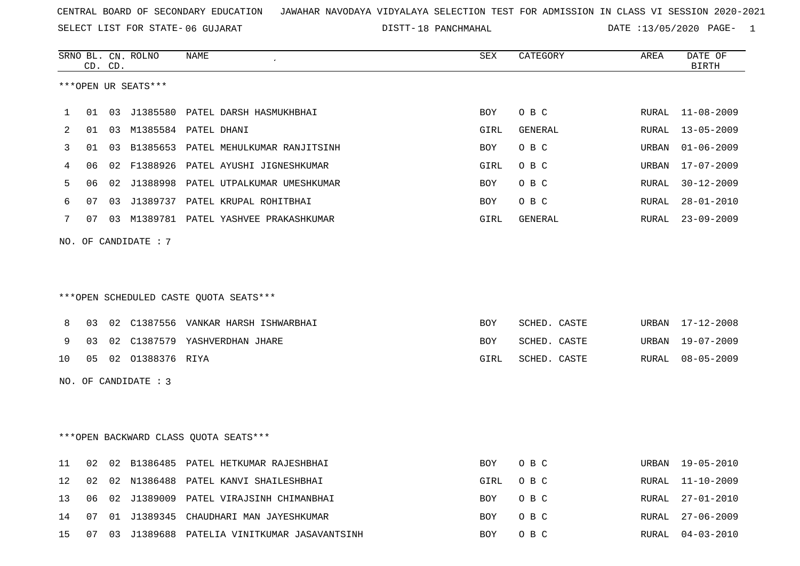SELECT LIST FOR STATE- DISTT- 06 GUJARAT

18 PANCHMAHAL DATE :13/05/2020 PAGE- 1

|    |    | CD. CD. | SRNO BL. CN. ROLNO   | <b>NAME</b>                                 | <b>SEX</b> | CATEGORY     | AREA         | DATE OF<br>BIRTH |
|----|----|---------|----------------------|---------------------------------------------|------------|--------------|--------------|------------------|
|    |    |         | ***OPEN UR SEATS***  |                                             |            |              |              |                  |
| 1  | 01 | 03      |                      | J1385580 PATEL DARSH HASMUKHBHAI            | BOY        | O B C        | RURAL        | $11 - 08 - 2009$ |
| 2  | 01 | 03      | M1385584             | PATEL DHANI                                 | GIRL       | GENERAL      | RURAL        | $13 - 05 - 2009$ |
| 3  | 01 | 03      | B1385653             | PATEL MEHULKUMAR RANJITSINH                 | BOY        | O B C        | URBAN        | $01 - 06 - 2009$ |
| 4  | 06 | 02      | F1388926             | PATEL AYUSHI JIGNESHKUMAR                   | GIRL       | O B C        | URBAN        | $17 - 07 - 2009$ |
| 5  | 06 | 02      | J1388998             | PATEL UTPALKUMAR UMESHKUMAR                 | BOY        | O B C        | <b>RURAL</b> | $30 - 12 - 2009$ |
| 6  | 07 | 03      |                      | J1389737 PATEL KRUPAL ROHITBHAI             | BOY        | O B C        | RURAL        | $28 - 01 - 2010$ |
| 7  | 07 |         |                      | 03 M1389781 PATEL YASHVEE PRAKASHKUMAR      | GIRL       | GENERAL      | RURAL        | $23 - 09 - 2009$ |
|    |    |         | NO. OF CANDIDATE : 7 |                                             |            |              |              |                  |
|    |    |         |                      |                                             |            |              |              |                  |
|    |    |         |                      | *** OPEN SCHEDULED CASTE QUOTA SEATS***     |            |              |              |                  |
| 8  | 03 |         |                      | 02 C1387556 VANKAR HARSH ISHWARBHAI         | BOY        | SCHED. CASTE | URBAN        | $17 - 12 - 2008$ |
| 9  | 03 | 02      | C1387579             | YASHVERDHAN JHARE                           | BOY        | SCHED. CASTE | URBAN        | $19 - 07 - 2009$ |
| 10 | 05 |         | 02 01388376 RIYA     |                                             | GIRL       | SCHED. CASTE | RURAL        | $08 - 05 - 2009$ |
|    |    |         | NO. OF CANDIDATE : 3 |                                             |            |              |              |                  |
|    |    |         |                      |                                             |            |              |              |                  |
|    |    |         |                      | *** OPEN BACKWARD CLASS QUOTA SEATS***      |            |              |              |                  |
| 11 |    |         |                      | 02 02 B1386485 PATEL HETKUMAR RAJESHBHAI    | BOY        | O B C        |              | URBAN 19-05-2010 |
| 12 | 02 | 02      |                      | N1386488 PATEL KANVI SHAILESHBHAI           | GIRL       | O B C        | RURAL        | $11 - 10 - 2009$ |
| 13 | 06 |         |                      | 02 J1389009 PATEL VIRAJSINH CHIMANBHAI      | BOY        | O B C        | RURAL        | $27 - 01 - 2010$ |
| 14 | 07 |         |                      | 01 J1389345 CHAUDHARI MAN JAYESHKUMAR       | BOY        | O B C        | <b>RURAL</b> | $27 - 06 - 2009$ |
| 15 | 07 |         |                      | 03 J1389688 PATELIA VINITKUMAR JASAVANTSINH | BOY        | O B C        | RURAL        | $04 - 03 - 2010$ |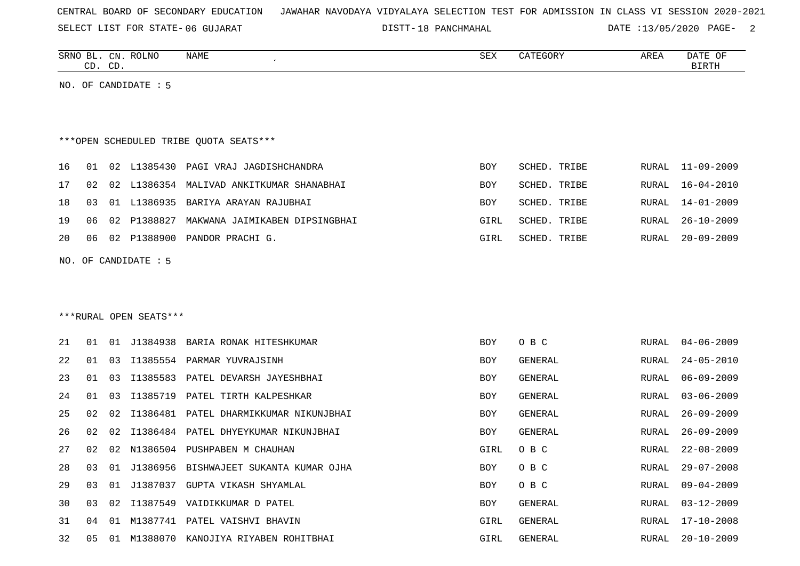SELECT LIST FOR STATE- DISTT- 06 GUJARAT

18 PANCHMAHAL DATE :13/05/2020 PAGE- 2

|    |                                        | CD. CD. | SRNO BL. CN. ROLNO     | NAME                                    | SEX        | CATEGORY     | AREA         | DATE OF<br><b>BIRTH</b> |  |  |
|----|----------------------------------------|---------|------------------------|-----------------------------------------|------------|--------------|--------------|-------------------------|--|--|
|    |                                        |         | NO. OF CANDIDATE : 5   |                                         |            |              |              |                         |  |  |
|    |                                        |         |                        |                                         |            |              |              |                         |  |  |
|    | ***OPEN SCHEDULED TRIBE QUOTA SEATS*** |         |                        |                                         |            |              |              |                         |  |  |
|    |                                        |         |                        |                                         |            |              |              |                         |  |  |
| 16 | 01                                     | 02      |                        | L1385430 PAGI VRAJ JAGDISHCHANDRA       | BOY        | SCHED. TRIBE | RURAL        | $11 - 09 - 2009$        |  |  |
| 17 | 02                                     | 02      |                        | L1386354 MALIVAD ANKITKUMAR SHANABHAI   | BOY        | SCHED. TRIBE | <b>RURAL</b> | $16 - 04 - 2010$        |  |  |
| 18 | 03                                     | 01      |                        | L1386935 BARIYA ARAYAN RAJUBHAI         | BOY        | SCHED. TRIBE | <b>RURAL</b> | $14 - 01 - 2009$        |  |  |
| 19 | 06                                     | 02      |                        | P1388827 MAKWANA JAIMIKABEN DIPSINGBHAI | GIRL       | SCHED. TRIBE | RURAL        | $26 - 10 - 2009$        |  |  |
| 20 | 06                                     | 02      |                        | P1388900 PANDOR PRACHI G.               | GIRL       | SCHED. TRIBE | RURAL        | $20 - 09 - 2009$        |  |  |
|    |                                        |         | NO. OF CANDIDATE : 5   |                                         |            |              |              |                         |  |  |
|    |                                        |         |                        |                                         |            |              |              |                         |  |  |
|    |                                        |         |                        |                                         |            |              |              |                         |  |  |
|    |                                        |         | ***RURAL OPEN SEATS*** |                                         |            |              |              |                         |  |  |
| 21 | 01                                     |         |                        | 01 J1384938 BARIA RONAK HITESHKUMAR     | <b>BOY</b> | O B C        | RURAL        | $04 - 06 - 2009$        |  |  |
| 22 | 01                                     | 03      |                        | I1385554 PARMAR YUVRAJSINH              | <b>BOY</b> | GENERAL      | <b>RURAL</b> | $24 - 05 - 2010$        |  |  |
| 23 | 01                                     | 03      |                        | I1385583 PATEL DEVARSH JAYESHBHAI       | <b>BOY</b> | GENERAL      | <b>RURAL</b> | $06 - 09 - 2009$        |  |  |
| 24 | 01                                     | 03      |                        | I1385719 PATEL TIRTH KALPESHKAR         | <b>BOY</b> | GENERAL      | RURAL        | $03 - 06 - 2009$        |  |  |
| 25 | 02                                     | 02      |                        | I1386481 PATEL DHARMIKKUMAR NIKUNJBHAI  | BOY        | GENERAL      | <b>RURAL</b> | $26 - 09 - 2009$        |  |  |
| 26 | 02                                     | 02      |                        | I1386484 PATEL DHYEYKUMAR NIKUNJBHAI    | <b>BOY</b> | GENERAL      | <b>RURAL</b> | $26 - 09 - 2009$        |  |  |
| 27 | 02                                     | 02      |                        | N1386504 PUSHPABEN M CHAUHAN            | GIRL       | O B C        | <b>RURAL</b> | $22 - 08 - 2009$        |  |  |
| 28 | 03                                     | 01      |                        | J1386956 BISHWAJEET SUKANTA KUMAR OJHA  | <b>BOY</b> | O B C        | <b>RURAL</b> | $29 - 07 - 2008$        |  |  |
| 29 | 03                                     | 01      |                        | J1387037 GUPTA VIKASH SHYAMLAL          | <b>BOY</b> | O B C        | <b>RURAL</b> | $09 - 04 - 2009$        |  |  |
| 30 | 03                                     | 02      |                        | I1387549 VAIDIKKUMAR D PATEL            | BOY        | GENERAL      | <b>RURAL</b> | $03 - 12 - 2009$        |  |  |
| 31 | 04                                     | 01      |                        | M1387741 PATEL VAISHVI BHAVIN           | GIRL       | GENERAL      | RURAL        | $17 - 10 - 2008$        |  |  |
| 32 | 05                                     | 01      |                        | M1388070 KANOJIYA RIYABEN ROHITBHAI     | GIRL       | GENERAL      | <b>RURAL</b> | $20 - 10 - 2009$        |  |  |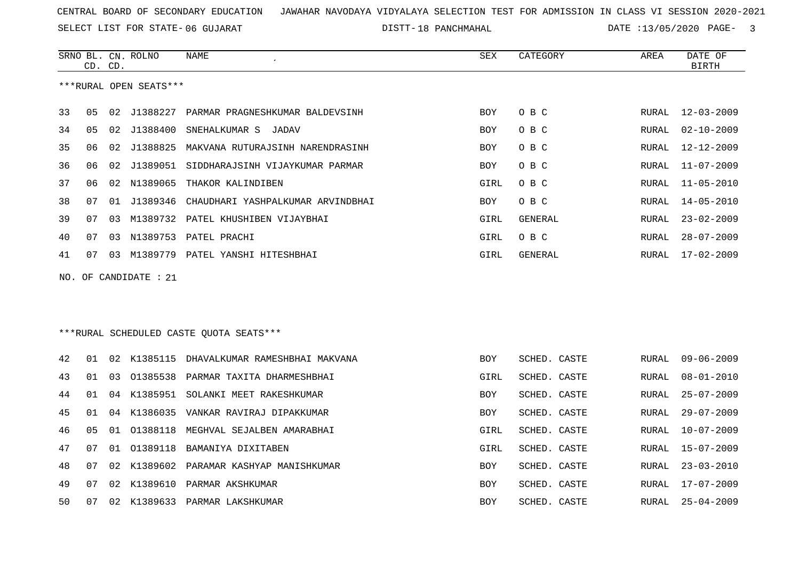SELECT LIST FOR STATE- DISTT- 06 GUJARAT

DISTT-18 PANCHMAHAL DATE :13/05/2020 PAGE- 3

|    | CD. | CD. | SRNO BL. CN. ROLNO     | NAME                                        | SEX        | CATEGORY     | AREA         | DATE OF<br><b>BIRTH</b> |
|----|-----|-----|------------------------|---------------------------------------------|------------|--------------|--------------|-------------------------|
|    |     |     | ***RURAL OPEN SEATS*** |                                             |            |              |              |                         |
| 33 | 05  |     |                        | 02 J1388227 PARMAR PRAGNESHKUMAR BALDEVSINH | <b>BOY</b> | O B C        | RURAL        | $12 - 03 - 2009$        |
| 34 | 05  | 02  | J1388400               | SNEHALKUMAR S<br>JADAV                      | <b>BOY</b> | O B C        | RURAL        | $02 - 10 - 2009$        |
| 35 | 06  | 02  | J1388825               | MAKVANA RUTURAJSINH NARENDRASINH            | <b>BOY</b> | O B C        | RURAL        | $12 - 12 - 2009$        |
| 36 | 06  | 02  | J1389051               | SIDDHARAJSINH VIJAYKUMAR PARMAR             | BOY        | O B C        | RURAL        | $11 - 07 - 2009$        |
| 37 | 06  | 02  | N1389065               | THAKOR KALINDIBEN                           | GIRL       | O B C        | RURAL        | $11 - 05 - 2010$        |
| 38 | 07  | 01  | J1389346               | CHAUDHARI YASHPALKUMAR ARVINDBHAI           | <b>BOY</b> | O B C        | RURAL        | $14 - 05 - 2010$        |
| 39 | 07  | 03  | M1389732               | PATEL KHUSHIBEN VIJAYBHAI                   | GIRL       | GENERAL      | RURAL        | $23 - 02 - 2009$        |
| 40 | 07  | 03  | N1389753               | PATEL PRACHI                                | GIRL       | O B C        | RURAL        | $28 - 07 - 2009$        |
| 41 | 07  | 03  |                        | M1389779 PATEL YANSHI HITESHBHAI            | GIRL       | GENERAL      | RURAL        | $17 - 02 - 2009$        |
|    |     |     | NO. OF CANDIDATE : 21  |                                             |            |              |              |                         |
|    |     |     |                        |                                             |            |              |              |                         |
|    |     |     |                        |                                             |            |              |              |                         |
|    |     |     |                        | ***RURAL SCHEDULED CASTE OUOTA SEATS***     |            |              |              |                         |
| 42 | 01  | 02  | K1385115               | DHAVALKUMAR RAMESHBHAI MAKVANA              | <b>BOY</b> | SCHED. CASTE | RURAL        | $09 - 06 - 2009$        |
| 43 | 01  | 03  | 01385538               | PARMAR TAXITA DHARMESHBHAI                  | GIRL       | SCHED. CASTE | <b>RURAL</b> | $08 - 01 - 2010$        |
| 44 | 01  | 04  | K1385951               | SOLANKI MEET RAKESHKUMAR                    | BOY        | SCHED. CASTE | RURAL        | $25 - 07 - 2009$        |
| 45 | 01  | 04  | K1386035               | VANKAR RAVIRAJ DIPAKKUMAR                   | <b>BOY</b> | SCHED. CASTE | <b>RURAL</b> | $29 - 07 - 2009$        |
| 46 | 05  |     | 01 01388118            | MEGHVAL SEJALBEN AMARABHAI                  | GIRL       | SCHED. CASTE | RURAL        | $10 - 07 - 2009$        |
| 47 | 07  | 01  | 01389118               | BAMANIYA DIXITABEN                          | GIRL       | SCHED. CASTE | RURAL        | $15 - 07 - 2009$        |
| 48 | 07  | 02  | K1389602               | PARAMAR KASHYAP MANISHKUMAR                 | <b>BOY</b> | SCHED. CASTE | RURAL        | $23 - 03 - 2010$        |
| 49 | 07  | 02  | K1389610               | PARMAR AKSHKUMAR                            | BOY        | SCHED. CASTE | RURAL        | 17-07-2009              |
| 50 | 07  | 02  |                        | K1389633 PARMAR LAKSHKUMAR                  | <b>BOY</b> | SCHED. CASTE | RURAL        | $25 - 04 - 2009$        |
|    |     |     |                        |                                             |            |              |              |                         |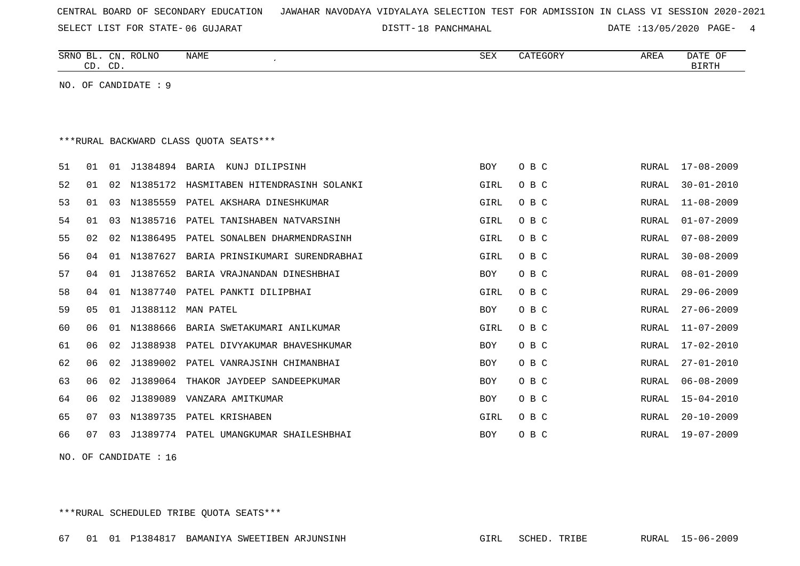SELECT LIST FOR STATE- DISTT- 06 GUJARAT

DISTT-18 PANCHMAHAL 18 PARTE :13/05/2020 PAGE- 4

|    | CD. CD.                                 |    | SRNO BL. CN. ROLNO   | NAME                                   | SEX        | CATEGORY | AREA         | DATE OF<br><b>BIRTH</b> |  |  |
|----|-----------------------------------------|----|----------------------|----------------------------------------|------------|----------|--------------|-------------------------|--|--|
|    |                                         |    | NO. OF CANDIDATE : 9 |                                        |            |          |              |                         |  |  |
|    |                                         |    |                      |                                        |            |          |              |                         |  |  |
|    |                                         |    |                      |                                        |            |          |              |                         |  |  |
|    | *** RURAL BACKWARD CLASS QUOTA SEATS*** |    |                      |                                        |            |          |              |                         |  |  |
| 51 | 01                                      | 01 | J1384894             | BARIA KUNJ DILIPSINH                   | <b>BOY</b> | O B C    | RURAL        | $17 - 08 - 2009$        |  |  |
| 52 | 01                                      | 02 | N1385172             | HASMITABEN HITENDRASINH SOLANKI        | GIRL       | O B C    | <b>RURAL</b> | $30 - 01 - 2010$        |  |  |
| 53 | 01                                      | 03 | N1385559             | PATEL AKSHARA DINESHKUMAR              | GIRL       | O B C    | <b>RURAL</b> | $11 - 08 - 2009$        |  |  |
| 54 | 01                                      | 03 | N1385716             | PATEL TANISHABEN NATVARSINH            | GIRL       | O B C    | <b>RURAL</b> | $01 - 07 - 2009$        |  |  |
| 55 | 02                                      | 02 | N1386495             | PATEL SONALBEN DHARMENDRASINH          | GIRL       | O B C    | <b>RURAL</b> | $07 - 08 - 2009$        |  |  |
| 56 | 04                                      | 01 | N1387627             | BARIA PRINSIKUMARI SURENDRABHAI        | GIRL       | O B C    | <b>RURAL</b> | $30 - 08 - 2009$        |  |  |
| 57 | 04                                      | 01 | J1387652             | BARIA VRAJNANDAN DINESHBHAI            | <b>BOY</b> | O B C    | <b>RURAL</b> | $08 - 01 - 2009$        |  |  |
| 58 | 04                                      | 01 |                      | N1387740 PATEL PANKTI DILIPBHAI        | GIRL       | O B C    | <b>RURAL</b> | $29 - 06 - 2009$        |  |  |
| 59 | 0 <sub>5</sub>                          | 01 | J1388112             | MAN PATEL                              | <b>BOY</b> | O B C    | <b>RURAL</b> | $27 - 06 - 2009$        |  |  |
| 60 | 06                                      | 01 | N1388666             | BARIA SWETAKUMARI ANILKUMAR            | GIRL       | O B C    | <b>RURAL</b> | $11 - 07 - 2009$        |  |  |
| 61 | 06                                      | 02 | J1388938             | PATEL DIVYAKUMAR BHAVESHKUMAR          | BOY        | O B C    | RURAL        | $17 - 02 - 2010$        |  |  |
| 62 | 06                                      | 02 | J1389002             | PATEL VANRAJSINH CHIMANBHAI            | <b>BOY</b> | O B C    | RURAL        | $27 - 01 - 2010$        |  |  |
| 63 | 06                                      | 02 | J1389064             | THAKOR JAYDEEP SANDEEPKUMAR            | <b>BOY</b> | O B C    | RURAL        | $06 - 08 - 2009$        |  |  |
| 64 | 06                                      | 02 | J1389089             | VANZARA AMITKUMAR                      | <b>BOY</b> | O B C    | <b>RURAL</b> | $15 - 04 - 2010$        |  |  |
| 65 | 07                                      | 03 | N1389735             | PATEL KRISHABEN                        | GIRL       | O B C    | RURAL        | $20 - 10 - 2009$        |  |  |
| 66 | 07                                      | 03 |                      | J1389774 PATEL UMANGKUMAR SHAILESHBHAI | <b>BOY</b> | O B C    | RURAL        | $19 - 07 - 2009$        |  |  |
|    |                                         |    |                      |                                        |            |          |              |                         |  |  |

NO. OF CANDIDATE : 16

\*\*\*RURAL SCHEDULED TRIBE QUOTA SEATS\*\*\*

67 01 01 P1384817 BAMANIYA SWEETIBEN ARJUNSINH GIRL SCHED. TRIBE RURAL 15-06-2009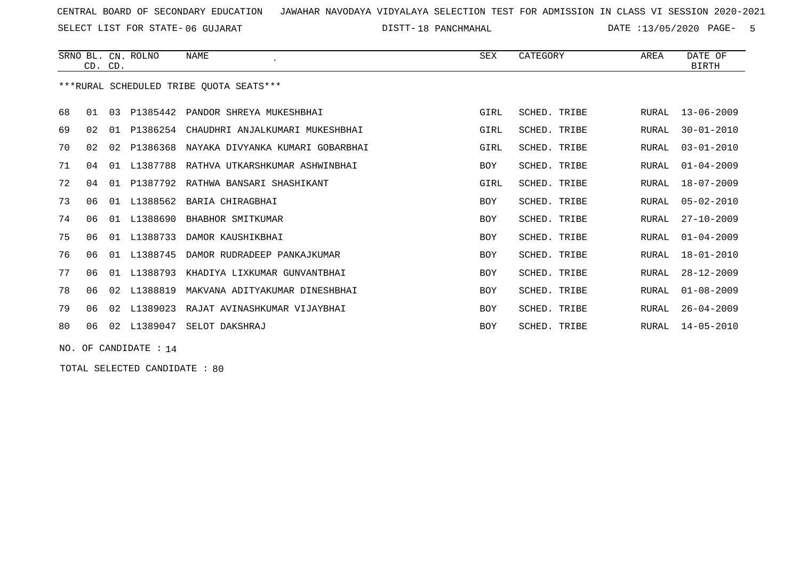SELECT LIST FOR STATE- DISTT- 06 GUJARAT

18 PANCHMAHAL DATE :13/05/2020 PAGE- 5

|    |                      | CD. CD. | SRNO BL. CN. ROLNO | <b>NAME</b>                             | SEX        | CATEGORY     | AREA         | DATE OF<br><b>BIRTH</b> |
|----|----------------------|---------|--------------------|-----------------------------------------|------------|--------------|--------------|-------------------------|
|    |                      |         |                    | ***RURAL SCHEDULED TRIBE OUOTA SEATS*** |            |              |              |                         |
| 68 | 01                   | 03      |                    | P1385442 PANDOR SHREYA MUKESHBHAI       | GIRL       | SCHED. TRIBE | RURAL        | 13-06-2009              |
| 69 | 02                   | 01      | P1386254           | CHAUDHRI ANJALKUMARI MUKESHBHAI         | GIRL       | SCHED. TRIBE | RURAL        | $30 - 01 - 2010$        |
| 70 | 02                   | 02      | P1386368           | NAYAKA DIVYANKA KUMARI GOBARBHAI        | GIRL       | SCHED. TRIBE | <b>RURAL</b> | $03 - 01 - 2010$        |
| 71 | 04                   | 01      | L1387788           | RATHVA UTKARSHKUMAR ASHWINBHAI          | <b>BOY</b> | SCHED. TRIBE | RURAL        | $01 - 04 - 2009$        |
| 72 | 04                   | 01      |                    | P1387792 RATHWA BANSARI SHASHIKANT      | GIRL       | SCHED. TRIBE | RURAL        | 18-07-2009              |
| 73 | 06                   |         | 01 L1388562        | BARIA CHIRAGBHAI                        | <b>BOY</b> | SCHED. TRIBE | RURAL        | $05 - 02 - 2010$        |
| 74 | 06                   |         | 01 L1388690        | BHABHOR SMITKUMAR                       | <b>BOY</b> | SCHED. TRIBE | <b>RURAL</b> | $27 - 10 - 2009$        |
| 75 | 06                   | 01      | L1388733           | DAMOR KAUSHIKBHAI                       | BOY        | SCHED. TRIBE | RURAL        | $01 - 04 - 2009$        |
| 76 | 06                   | 01      | L1388745           | DAMOR RUDRADEEP PANKAJKUMAR             | <b>BOY</b> | SCHED. TRIBE | RURAL        | $18 - 01 - 2010$        |
| 77 | 06                   |         | 01 L1388793        | KHADIYA LIXKUMAR GUNVANTBHAI            | <b>BOY</b> | SCHED. TRIBE | RURAL        | $28 - 12 - 2009$        |
| 78 | 06                   |         | 02 L1388819        | MAKVANA ADITYAKUMAR DINESHBHAI          | <b>BOY</b> | SCHED. TRIBE | RURAL        | $01 - 08 - 2009$        |
| 79 | 06                   | 02      | L1389023           | RAJAT AVINASHKUMAR VIJAYBHAI            | <b>BOY</b> | SCHED. TRIBE | RURAL        | $26 - 04 - 2009$        |
| 80 | 06                   |         | 02 L1389047        | SELOT DAKSHRAJ                          | <b>BOY</b> | SCHED. TRIBE | RURAL        | $14 - 05 - 2010$        |
|    | NO. OF CANDIDATE: 14 |         |                    |                                         |            |              |              |                         |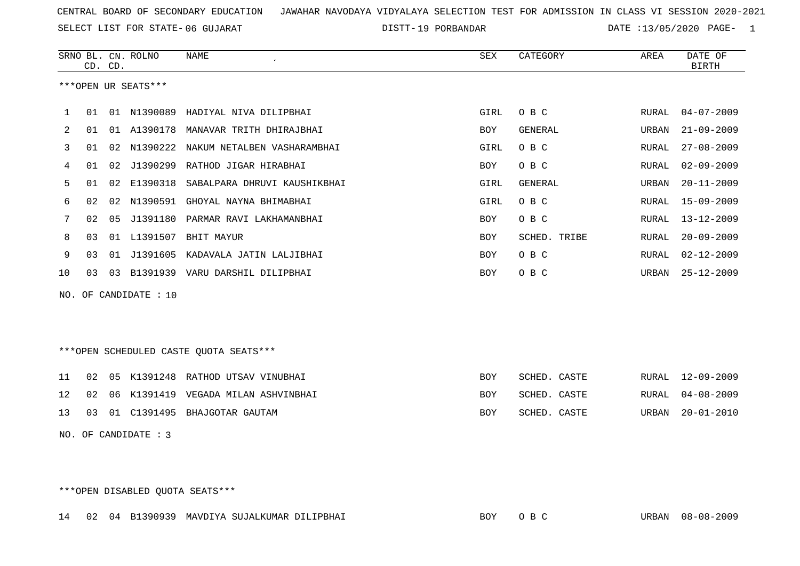SELECT LIST FOR STATE- DISTT- 06 GUJARAT

DISTT-19 PORBANDAR DATE :13/05/2020 PAGE- 1

|    |    | CD. CD. | SRNO BL. CN. ROLNO    | NAME                                   | SEX        | CATEGORY     | AREA  | DATE OF<br><b>BIRTH</b> |
|----|----|---------|-----------------------|----------------------------------------|------------|--------------|-------|-------------------------|
|    |    |         | ***OPEN UR SEATS***   |                                        |            |              |       |                         |
| 1  | 01 |         |                       | 01 N1390089 HADIYAL NIVA DILIPBHAI     | GIRL       | O B C        | RURAL | $04 - 07 - 2009$        |
| 2  | 01 |         | 01 A1390178           | MANAVAR TRITH DHIRAJBHAI               | BOY        | GENERAL      | URBAN | $21 - 09 - 2009$        |
| 3  | 01 | 02      |                       | N1390222 NAKUM NETALBEN VASHARAMBHAI   | GIRL       | O B C        | RURAL | $27 - 08 - 2009$        |
| 4  | 01 | 02      | J1390299              | RATHOD JIGAR HIRABHAI                  | BOY        | O B C        | RURAL | $02 - 09 - 2009$        |
| 5  | 01 | 02      | E1390318              | SABALPARA DHRUVI KAUSHIKBHAI           | GIRL       | GENERAL      | URBAN | $20 - 11 - 2009$        |
| 6  | 02 | 02      |                       | N1390591 GHOYAL NAYNA BHIMABHAI        | GIRL       | O B C        | RURAL | $15 - 09 - 2009$        |
| 7  | 02 | 05      |                       | J1391180 PARMAR RAVI LAKHAMANBHAI      | <b>BOY</b> | O B C        | RURAL | $13 - 12 - 2009$        |
| 8  | 03 |         | 01 L1391507           | BHIT MAYUR                             | <b>BOY</b> | SCHED. TRIBE | RURAL | $20 - 09 - 2009$        |
| 9  | 03 |         |                       | 01 J1391605 KADAVALA JATIN LALJIBHAI   | BOY        | O B C        | RURAL | $02 - 12 - 2009$        |
| 10 | 03 |         |                       | 03 B1391939 VARU DARSHIL DILIPBHAI     | BOY        | O B C        | URBAN | $25 - 12 - 2009$        |
|    |    |         | NO. OF CANDIDATE : 10 |                                        |            |              |       |                         |
|    |    |         |                       |                                        |            |              |       |                         |
|    |    |         |                       |                                        |            |              |       |                         |
|    |    |         |                       | ***OPEN SCHEDULED CASTE QUOTA SEATS*** |            |              |       |                         |
| 11 | 02 | 05      |                       | K1391248 RATHOD UTSAV VINUBHAI         | BOY        | SCHED. CASTE | RURAL | $12 - 09 - 2009$        |
| 12 | 02 | 06      |                       | K1391419 VEGADA MILAN ASHVINBHAI       | BOY        | SCHED. CASTE | RURAL | $04 - 08 - 2009$        |
| 13 | 03 |         |                       | 01 C1391495 BHAJGOTAR GAUTAM           | <b>BOY</b> | SCHED. CASTE | URBAN | $20 - 01 - 2010$        |
|    |    |         | NO. OF CANDIDATE : 3  |                                        |            |              |       |                         |
|    |    |         |                       |                                        |            |              |       |                         |
|    |    |         |                       |                                        |            |              |       |                         |
|    |    |         |                       |                                        |            |              |       |                         |

\*\*\*OPEN DISABLED QUOTA SEATS\*\*\*

14 02 04 B1390939 MAVDIYA SUJALKUMAR DILIPBHAI BOY O B C URBAN 08-08-2009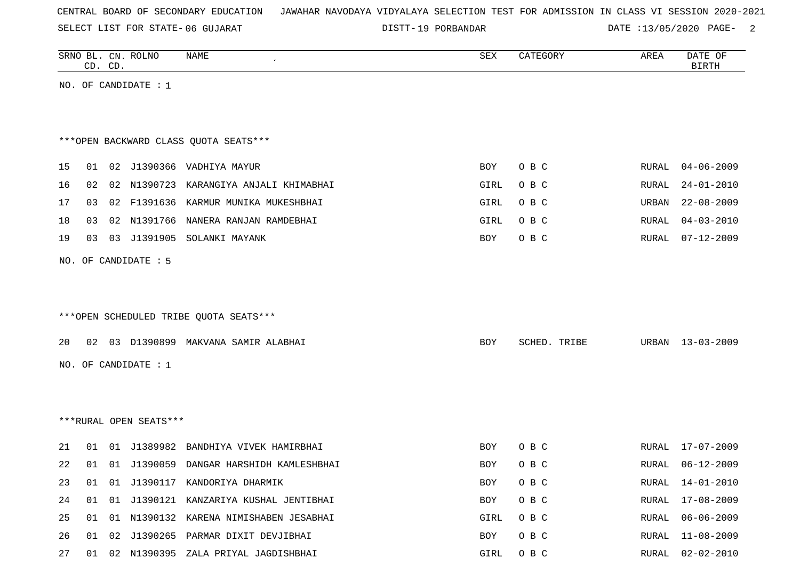SELECT LIST FOR STATE- DISTT- 06 GUJARAT

DISTT-19 PORBANDAR DATE :13/05/2020 PAGE- 2

|    |    | CD. CD. | SRNO BL. CN. ROLNO     | NAME                                    | SEX        | CATEGORY     | AREA  | DATE OF<br><b>BIRTH</b> |
|----|----|---------|------------------------|-----------------------------------------|------------|--------------|-------|-------------------------|
|    |    |         | NO. OF CANDIDATE : 1   |                                         |            |              |       |                         |
|    |    |         |                        |                                         |            |              |       |                         |
|    |    |         |                        |                                         |            |              |       |                         |
|    |    |         |                        | *** OPEN BACKWARD CLASS QUOTA SEATS***  |            |              |       |                         |
| 15 | 01 |         |                        | 02 J1390366 VADHIYA MAYUR               | BOY        | O B C        | RURAL | $04 - 06 - 2009$        |
| 16 | 02 |         |                        | 02 N1390723 KARANGIYA ANJALI KHIMABHAI  | GIRL       | O B C        | RURAL | $24 - 01 - 2010$        |
| 17 | 03 |         |                        | 02 F1391636 KARMUR MUNIKA MUKESHBHAI    | GIRL       | O B C        | URBAN | $22 - 08 - 2009$        |
| 18 | 03 |         |                        | 02 N1391766 NANERA RANJAN RAMDEBHAI     | GIRL       | O B C        | RURAL | $04 - 03 - 2010$        |
| 19 | 03 |         |                        | 03 J1391905 SOLANKI MAYANK              | BOY        | O B C        | RURAL | $07 - 12 - 2009$        |
|    |    |         | NO. OF CANDIDATE : 5   |                                         |            |              |       |                         |
|    |    |         |                        |                                         |            |              |       |                         |
|    |    |         |                        |                                         |            |              |       |                         |
|    |    |         |                        | ***OPEN SCHEDULED TRIBE QUOTA SEATS***  |            |              |       |                         |
| 20 | 02 |         |                        | 03 D1390899 MAKVANA SAMIR ALABHAI       | BOY        | SCHED. TRIBE | URBAN | 13-03-2009              |
|    |    |         |                        |                                         |            |              |       |                         |
|    |    |         | NO. OF CANDIDATE : 1   |                                         |            |              |       |                         |
|    |    |         |                        |                                         |            |              |       |                         |
|    |    |         |                        |                                         |            |              |       |                         |
|    |    |         | ***RURAL OPEN SEATS*** |                                         |            |              |       |                         |
| 21 | 01 |         |                        | 01 J1389982 BANDHIYA VIVEK HAMIRBHAI    | BOY        | O B C        | RURAL | $17 - 07 - 2009$        |
| 22 | 01 |         |                        | 01 J1390059 DANGAR HARSHIDH KAMLESHBHAI | <b>BOY</b> | O B C        | RURAL | $06 - 12 - 2009$        |
| 23 | 01 |         |                        | 01 J1390117 KANDORIYA DHARMIK           | BOY        | O B C        | RURAL | $14 - 01 - 2010$        |
| 24 | 01 |         |                        | 01 J1390121 KANZARIYA KUSHAL JENTIBHAI  | BOY        | O B C        | RURAL | $17 - 08 - 2009$        |
| 25 | 01 |         |                        | 01 N1390132 KARENA NIMISHABEN JESABHAI  | GIRL       | O B C        | RURAL | $06 - 06 - 2009$        |
| 26 | 01 |         |                        | 02 J1390265 PARMAR DIXIT DEVJIBHAI      | BOY        | O B C        | RURAL | $11 - 08 - 2009$        |

27 01 02 N1390395 ZALA PRIYAL JAGDISHBHAI GIRL O B C RURAL 02-02-2010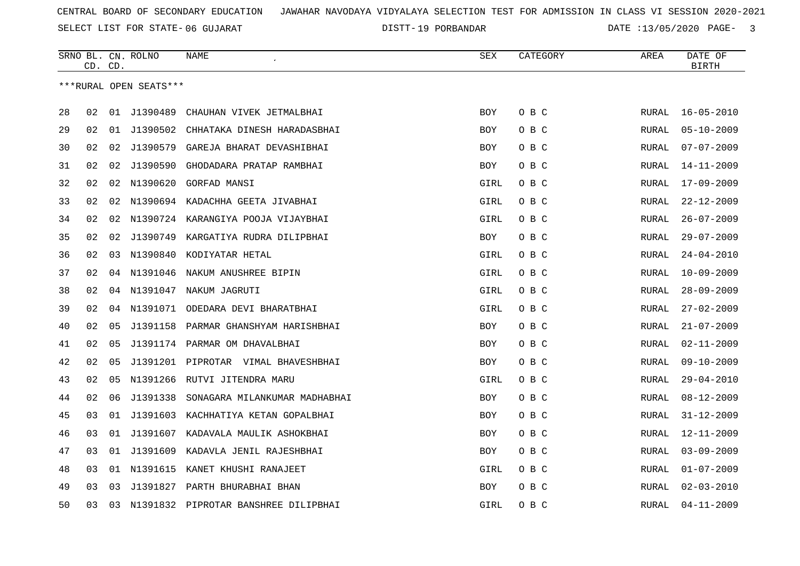SELECT LIST FOR STATE- DISTT- 06 GUJARAT

19 PORBANDAR DATE :13/05/2020 PAGE- 3

|    | CD. | CD. | SRNO BL. CN. ROLNO     | <b>NAME</b>                          | SEX        | CATEGORY | AREA         | DATE OF<br><b>BIRTH</b> |
|----|-----|-----|------------------------|--------------------------------------|------------|----------|--------------|-------------------------|
|    |     |     | ***RURAL OPEN SEATS*** |                                      |            |          |              |                         |
| 28 | 02  |     | 01 J1390489            | CHAUHAN VIVEK JETMALBHAI             | <b>BOY</b> | O B C    | <b>RURAL</b> | $16 - 05 - 2010$        |
| 29 | 02  |     | 01 J1390502            | CHHATAKA DINESH HARADASBHAI          | <b>BOY</b> | O B C    | RURAL        | $05 - 10 - 2009$        |
| 30 | 02  | 02  | J1390579               | GAREJA BHARAT DEVASHIBHAI            | <b>BOY</b> | O B C    | RURAL        | $07 - 07 - 2009$        |
| 31 | 02  | 02  | J1390590               | GHODADARA PRATAP RAMBHAI             | BOY        | O B C    | RURAL        | $14 - 11 - 2009$        |
| 32 | 02  | 02  | N1390620               | GORFAD MANSI                         | GIRL       | O B C    | RURAL        | $17 - 09 - 2009$        |
| 33 | 02  | 02  |                        | N1390694 KADACHHA GEETA JIVABHAI     | GIRL       | O B C    | RURAL        | $22 - 12 - 2009$        |
| 34 | 02  | 02  |                        | N1390724 KARANGIYA POOJA VIJAYBHAI   | GIRL       | O B C    | RURAL        | $26 - 07 - 2009$        |
| 35 | 02  | 02  | J1390749               | KARGATIYA RUDRA DILIPBHAI            | BOY        | O B C    | RURAL        | $29 - 07 - 2009$        |
| 36 | 02  | 03  |                        | N1390840 KODIYATAR HETAL             | GIRL       | O B C    | RURAL        | $24 - 04 - 2010$        |
| 37 | 02  |     | 04 N1391046            | NAKUM ANUSHREE BIPIN                 | GIRL       | O B C    | RURAL        | $10 - 09 - 2009$        |
| 38 | 02  |     |                        | 04 N1391047 NAKUM JAGRUTI            | GIRL       | O B C    | RURAL        | $28 - 09 - 2009$        |
| 39 | 02  | 04  |                        | N1391071 ODEDARA DEVI BHARATBHAI     | GIRL       | O B C    | RURAL        | $27 - 02 - 2009$        |
| 40 | 02  | 05  | J1391158               | PARMAR GHANSHYAM HARISHBHAI          | BOY        | O B C    | RURAL        | $21 - 07 - 2009$        |
| 41 | 02  | 05  |                        | J1391174 PARMAR OM DHAVALBHAI        | BOY        | O B C    | RURAL        | $02 - 11 - 2009$        |
| 42 | 02  | 05  |                        | J1391201 PIPROTAR VIMAL BHAVESHBHAI  | BOY        | O B C    | RURAL        | $09 - 10 - 2009$        |
| 43 | 02  | 05  | N1391266               | RUTVI JITENDRA MARU                  | GIRL       | O B C    | RURAL        | $29 - 04 - 2010$        |
| 44 | 02  | 06  | J1391338               | SONAGARA MILANKUMAR MADHABHAI        | <b>BOY</b> | O B C    | RURAL        | $08 - 12 - 2009$        |
| 45 | 03  | 01  | J1391603               | KACHHATIYA KETAN GOPALBHAI           | <b>BOY</b> | O B C    | RURAL        | $31 - 12 - 2009$        |
| 46 | 03  |     | 01 J1391607            | KADAVALA MAULIK ASHOKBHAI            | BOY        | O B C    | RURAL        | $12 - 11 - 2009$        |
| 47 | 03  |     |                        | 01 J1391609 KADAVLA JENIL RAJESHBHAI | <b>BOY</b> | O B C    | RURAL        | $03 - 09 - 2009$        |
| 48 | 03  | 01  | N1391615               | KANET KHUSHI RANAJEET                | GIRL       | O B C    | RURAL        | $01 - 07 - 2009$        |
| 49 | 03  | 03  | J1391827               | PARTH BHURABHAI BHAN                 | <b>BOY</b> | O B C    | RURAL        | $02 - 03 - 2010$        |
| 50 | 03  | 03  |                        | N1391832 PIPROTAR BANSHREE DILIPBHAI | GIRL       | O B C    | RURAL        | $04 - 11 - 2009$        |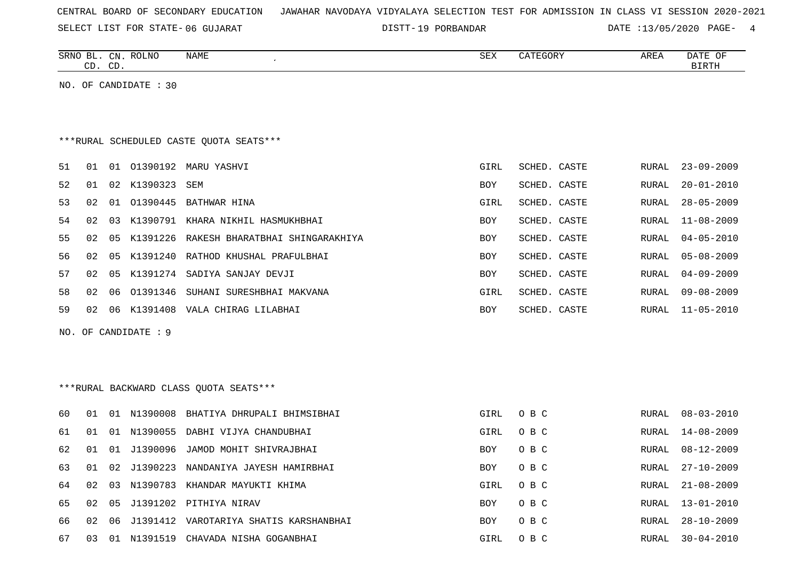|  |  |  | CENTRAL BOARD OF SECONDARY EDUCATION – JAWAHAR NAVODAYA VIDYALAYA SELECTION TEST FOR ADMISSION IN CLASS VI SESSION 2020-2021 |  |  |  |  |  |  |  |  |  |  |  |  |  |  |
|--|--|--|------------------------------------------------------------------------------------------------------------------------------|--|--|--|--|--|--|--|--|--|--|--|--|--|--|
|--|--|--|------------------------------------------------------------------------------------------------------------------------------|--|--|--|--|--|--|--|--|--|--|--|--|--|--|

SELECT LIST FOR STATE- DISTT- 06 GUJARAT

19 PORBANDAR DATE :13/05/2020 PAGE- 4

|    |    | CD. CD. | SRNO BL. CN. ROLNO    | NAME                                    | SEX        | CATEGORY     | AREA         | DATE OF<br><b>BIRTH</b> |
|----|----|---------|-----------------------|-----------------------------------------|------------|--------------|--------------|-------------------------|
|    |    |         | NO. OF CANDIDATE : 30 |                                         |            |              |              |                         |
|    |    |         |                       | ***RURAL SCHEDULED CASTE QUOTA SEATS*** |            |              |              |                         |
| 51 | 01 |         |                       | 01 01390192 MARU YASHVI                 | GIRL       | SCHED. CASTE | RURAL        | $23 - 09 - 2009$        |
| 52 | 01 |         | 02 K1390323           | SEM                                     | BOY        | SCHED. CASTE | RURAL        | $20 - 01 - 2010$        |
| 53 | 02 |         | 01 01390445           | BATHWAR HINA                            | GIRL       | SCHED. CASTE | RURAL        | $28 - 05 - 2009$        |
| 54 | 02 | 03      | K1390791              | KHARA NIKHIL HASMUKHBHAI                | BOY        | SCHED. CASTE | <b>RURAL</b> | $11 - 08 - 2009$        |
| 55 | 02 | 05      | K1391226              | RAKESH BHARATBHAI SHINGARAKHIYA         | <b>BOY</b> | SCHED. CASTE | <b>RURAL</b> | $04 - 05 - 2010$        |
| 56 | 02 | 05      | K1391240              | RATHOD KHUSHAL PRAFULBHAI               | BOY        | SCHED. CASTE | <b>RURAL</b> | $05 - 08 - 2009$        |
| 57 | 02 | 05      |                       | K1391274 SADIYA SANJAY DEVJI            | BOY        | SCHED. CASTE | RURAL        | $04 - 09 - 2009$        |
| 58 | 02 | 06      | 01391346              | SUHANI SURESHBHAI MAKVANA               | GIRL       | SCHED. CASTE | RURAL        | $09 - 08 - 2009$        |
| 59 | 02 |         |                       | 06 K1391408 VALA CHIRAG LILABHAI        | BOY        | SCHED. CASTE | RURAL        | $11 - 05 - 2010$        |
|    |    |         | NO. OF CANDIDATE : 9  |                                         |            |              |              |                         |
|    |    |         |                       |                                         |            |              |              |                         |
|    |    |         |                       |                                         |            |              |              |                         |
|    |    |         |                       | *** RURAL BACKWARD CLASS QUOTA SEATS*** |            |              |              |                         |
| 60 | 01 |         | 01 N1390008           | BHATIYA DHRUPALI BHIMSIBHAI             | GIRL       | O B C        | RURAL        | $08 - 03 - 2010$        |
| 61 | 01 |         | 01 N1390055           | DABHI VIJYA CHANDUBHAI                  | GIRL       | O B C        | RURAL        | $14 - 08 - 2009$        |
| 62 | 01 |         | 01 J1390096           | JAMOD MOHIT SHIVRAJBHAI                 | BOY        | O B C        | RURAL        | $08 - 12 - 2009$        |
| 63 | 01 |         | 02 J1390223           | NANDANIYA JAYESH HAMIRBHAI              | BOY        | O B C        | RURAL        | $27 - 10 - 2009$        |
| 64 | 02 |         |                       | 03 N1390783 KHANDAR MAYUKTI KHIMA       | GIRL       | O B C        | <b>RURAL</b> | $21 - 08 - 2009$        |

65 02 05 J1391202 PITHIYA NIRAV BOY O B C RURAL 13-01-2010 66 02 06 J1391412 VAROTARIYA SHATIS KARSHANBHAI

67 03 01 N1391519 CHAVADA NISHA GOGANBHAI GIRL O B C RURAL 30-04-2010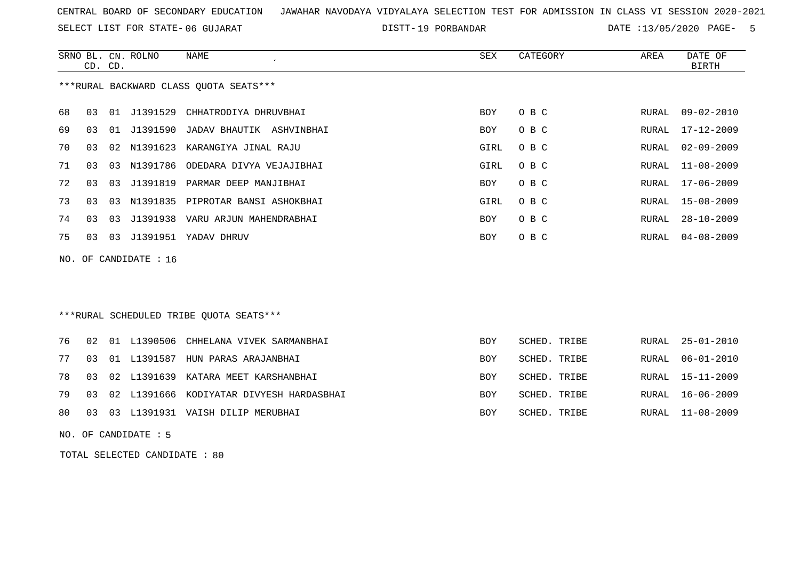SELECT LIST FOR STATE- DISTT- 06 GUJARAT

19 PORBANDAR DATE :13/05/2020 PAGE- 5

|    | CD. CD. |    | SRNO BL. CN. ROLNO    | NAME<br>$\cdot$                         | SEX        | CATEGORY     | AREA  | DATE OF<br><b>BIRTH</b> |
|----|---------|----|-----------------------|-----------------------------------------|------------|--------------|-------|-------------------------|
|    |         |    |                       | *** RURAL BACKWARD CLASS QUOTA SEATS*** |            |              |       |                         |
| 68 | 03      |    |                       | 01 J1391529 CHHATRODIYA DHRUVBHAI       | <b>BOY</b> | O B C        | RURAL | $09 - 02 - 2010$        |
| 69 | 03      | 01 |                       | J1391590 JADAV BHAUTIK ASHVINBHAI       | <b>BOY</b> | O B C        | RURAL | $17 - 12 - 2009$        |
| 70 | 03      |    | 02 N1391623           | KARANGIYA JINAL RAJU                    | GIRL       | O B C        | RURAL | $02 - 09 - 2009$        |
| 71 | 03      | 03 | N1391786              | ODEDARA DIVYA VEJAJIBHAI                | GIRL       | O B C        | RURAL | $11 - 08 - 2009$        |
| 72 | 03      | 03 | J1391819              | PARMAR DEEP MANJIBHAI                   | <b>BOY</b> | O B C        | RURAL | $17 - 06 - 2009$        |
| 73 | 03      | 03 |                       | N1391835 PIPROTAR BANSI ASHOKBHAI       | GIRL       | O B C        | RURAL | $15 - 08 - 2009$        |
| 74 | 03      | 03 |                       | J1391938 VARU ARJUN MAHENDRABHAI        | BOY        | O B C        | RURAL | $28 - 10 - 2009$        |
| 75 | 03      | 03 | J1391951              | YADAV DHRUV                             | BOY        | O B C        | RURAL | $04 - 08 - 2009$        |
|    |         |    | NO. OF CANDIDATE : 16 |                                         |            |              |       |                         |
|    |         |    |                       | ***RURAL SCHEDULED TRIBE QUOTA SEATS*** |            |              |       |                         |
| 76 | 02      | 01 |                       | L1390506 CHHELANA VIVEK SARMANBHAI      | <b>BOY</b> | SCHED. TRIBE | RURAL | $25 - 01 - 2010$        |

|  |  | 76 02 01 L1390506 CHHELANA VIVEK SARMANBHAI    | BOY        | SCHED. TRIBE | RURAL 25-01-2010 |
|--|--|------------------------------------------------|------------|--------------|------------------|
|  |  | 77 03 01 L1391587 HUN PARAS ARAJANBHAI         | BOY        | SCHED. TRIBE | RURAL 06-01-2010 |
|  |  | 78 03 02 L1391639 KATARA MEET KARSHANBHAI      | BOY        | SCHED. TRIBE | RURAL 15-11-2009 |
|  |  | 79 03 02 L1391666 KODIYATAR DIVYESH HARDASBHAI | <b>BOY</b> | SCHED. TRIBE | RURAL 16-06-2009 |
|  |  | 80 03 03 L1391931 VAISH DILIP MERUBHAI         | BOY        | SCHED. TRIBE | RURAL 11-08-2009 |

NO. OF CANDIDATE : 5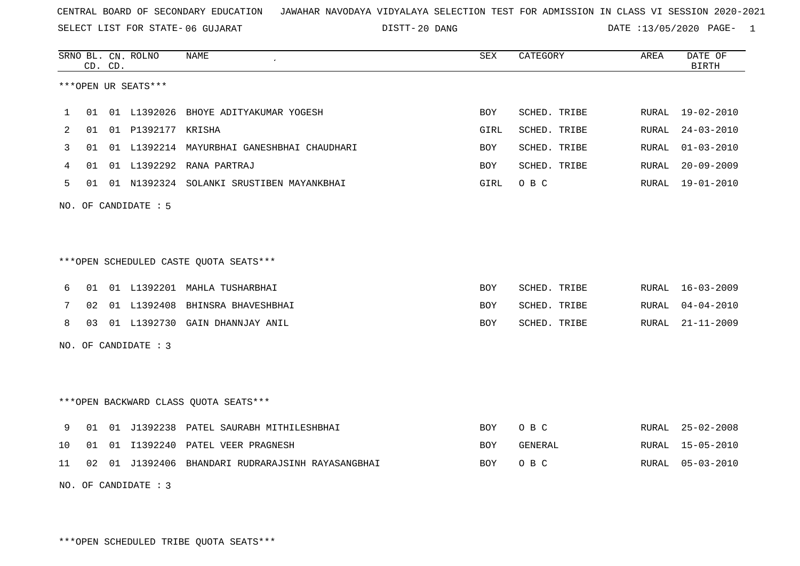SELECT LIST FOR STATE- DISTT- 06 GUJARAT

20 DANG DATE :13/05/2020 PAGE- 1

|    |    | CD. CD. | SRNO BL. CN. ROLNO   | <b>NAME</b>                                    | SEX        | CATEGORY     | AREA         | DATE OF<br><b>BIRTH</b> |
|----|----|---------|----------------------|------------------------------------------------|------------|--------------|--------------|-------------------------|
|    |    |         | ***OPEN UR SEATS***  |                                                |            |              |              |                         |
| 1  |    |         |                      | 01 01 L1392026 BHOYE ADITYAKUMAR YOGESH        | BOY        | SCHED. TRIBE | RURAL        | 19-02-2010              |
| 2  | 01 |         | 01 P1392177 KRISHA   |                                                | GIRL       | SCHED. TRIBE | RURAL        | $24 - 03 - 2010$        |
| 3  | 01 |         |                      | 01 L1392214 MAYURBHAI GANESHBHAI CHAUDHARI     | <b>BOY</b> | SCHED. TRIBE | <b>RURAL</b> | $01 - 03 - 2010$        |
| 4  | 01 |         |                      | 01 L1392292 RANA PARTRAJ                       | BOY        | SCHED. TRIBE | RURAL        | $20 - 09 - 2009$        |
| 5  | 01 |         |                      | 01 N1392324 SOLANKI SRUSTIBEN MAYANKBHAI       | GIRL       | O B C        | RURAL        | $19 - 01 - 2010$        |
|    |    |         | NO. OF CANDIDATE : 5 |                                                |            |              |              |                         |
|    |    |         |                      |                                                |            |              |              |                         |
|    |    |         |                      | ***OPEN SCHEDULED CASTE QUOTA SEATS***         |            |              |              |                         |
| 6  | 01 |         |                      | 01 L1392201 MAHLA TUSHARBHAI                   | BOY        | SCHED. TRIBE | RURAL        | $16 - 03 - 2009$        |
| 7  | 02 |         |                      | 01 L1392408 BHINSRA BHAVESHBHAI                | <b>BOY</b> | SCHED. TRIBE | RURAL        | $04 - 04 - 2010$        |
| 8  | 03 |         |                      | 01 L1392730 GAIN DHANNJAY ANIL                 | BOY        | SCHED. TRIBE | RURAL        | $21 - 11 - 2009$        |
|    |    |         | NO. OF CANDIDATE : 3 |                                                |            |              |              |                         |
|    |    |         |                      |                                                |            |              |              |                         |
|    |    |         |                      | *** OPEN BACKWARD CLASS QUOTA SEATS***         |            |              |              |                         |
| 9  | 01 |         |                      | 01 J1392238 PATEL SAURABH MITHILESHBHAI        | BOY        | O B C        | RURAL        | $25 - 02 - 2008$        |
| 10 | 01 |         |                      | 01 I1392240 PATEL VEER PRAGNESH                | <b>BOY</b> | GENERAL      | RURAL        | $15 - 05 - 2010$        |
| 11 | 02 |         |                      | 01 J1392406 BHANDARI RUDRARAJSINH RAYASANGBHAI | <b>BOY</b> | O B C        | RURAL        | $05 - 03 - 2010$        |

NO. OF CANDIDATE : 3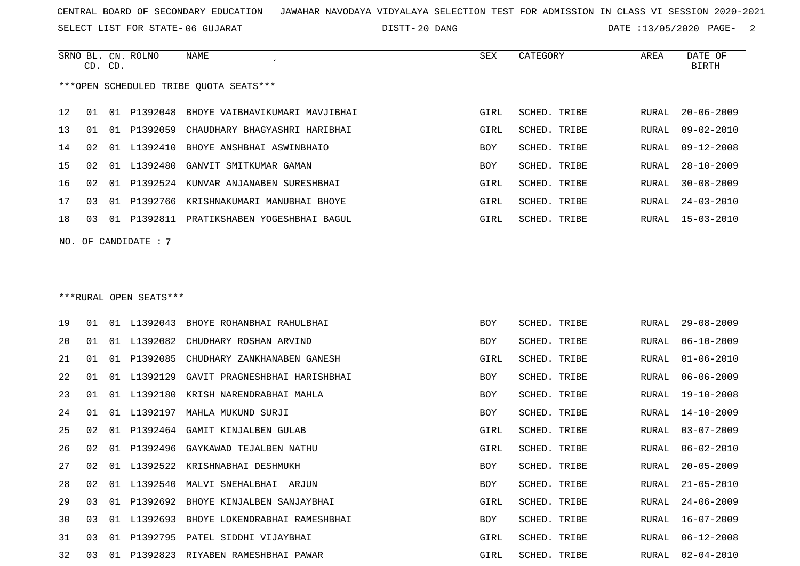SELECT LIST FOR STATE- DISTT- 06 GUJARAT

20 DANG DATE :13/05/2020 PAGE- 2

GIRL SCHED. TRIBE RURAL 06-02-2010

SCHED. TRIBE RURAL 20-05-2009

SCHED. TRIBE RURAL 21-05-2010

SCHED. TRIBE RURAL 24-06-2009

|     |    | CD. CD. | SRNO BL. CN. ROLNO     | <b>NAME</b>                               | SEX        | CATEGORY            | AREA         | DATE OF<br><b>BIRTH</b> |
|-----|----|---------|------------------------|-------------------------------------------|------------|---------------------|--------------|-------------------------|
|     |    |         |                        | ***OPEN SCHEDULED TRIBE OUOTA SEATS***    |            |                     |              |                         |
| 12  | 01 |         | 01 P1392048            | BHOYE VAIBHAVIKUMARI MAVJIBHAI            | GIRL       | SCHED. TRIBE        | RURAL        | $20 - 06 - 2009$        |
| 13  | 01 | 01      | P1392059               | CHAUDHARY BHAGYASHRI HARIBHAI             | GIRL       | <b>SCHED. TRIBE</b> | RURAL        | $09 - 02 - 2010$        |
| 14  | 02 | 01      | L1392410               | BHOYE ANSHBHAI ASWINBHAIO                 | <b>BOY</b> | SCHED. TRIBE        | RURAL        | $09 - 12 - 2008$        |
| 15  | 02 |         | 01 L1392480            | GANVIT SMITKUMAR GAMAN                    | <b>BOY</b> | <b>SCHED. TRIBE</b> | RURAL        | $28 - 10 - 2009$        |
| 16  | 02 | 01      | P1392524               | KUNVAR ANJANABEN SURESHBHAI               | GIRL       | SCHED. TRIBE        | RURAL        | $30 - 08 - 2009$        |
| 17  | 03 |         | 01 P1392766            | KRISHNAKUMARI MANUBHAI BHOYE              | GIRL       | SCHED. TRIBE        | RURAL        | $24 - 03 - 2010$        |
| 18  | 03 |         |                        | 01 P1392811 PRATIKSHABEN YOGESHBHAI BAGUL | GIRL       | SCHED. TRIBE        | RURAL        | $15 - 03 - 2010$        |
| NO. |    |         | OF CANDIDATE : 7       |                                           |            |                     |              |                         |
|     |    |         |                        |                                           |            |                     |              |                         |
|     |    |         |                        |                                           |            |                     |              |                         |
|     |    |         | ***RURAL OPEN SEATS*** |                                           |            |                     |              |                         |
|     |    |         |                        |                                           |            |                     |              |                         |
| 19  | 01 |         |                        | 01 L1392043 BHOYE ROHANBHAI RAHULBHAI     | <b>BOY</b> | SCHED. TRIBE        | <b>RURAL</b> | $29 - 08 - 2009$        |
| 20  | 01 |         | 01 L1392082            | CHUDHARY ROSHAN ARVIND                    | <b>BOY</b> | <b>SCHED. TRIBE</b> | RURAL        | $06 - 10 - 2009$        |
| 21  | 01 |         | 01 P1392085            | CHUDHARY ZANKHANABEN GANESH               | GIRL       | SCHED. TRIBE        | <b>RURAL</b> | $01 - 06 - 2010$        |
| 22  | 01 | 01      | L1392129               | GAVIT PRAGNESHBHAI HARISHBHAI             | BOY        | SCHED. TRIBE        | RURAL        | $06 - 06 - 2009$        |
| 23  | 01 |         | 01 L1392180            | KRISH NARENDRABHAI MAHLA                  | <b>BOY</b> | SCHED. TRIBE        | RURAL        | $19 - 10 - 2008$        |
| 24  | 01 |         | 01 L1392197            | MAHLA MUKUND SURJI                        | <b>BOY</b> | <b>SCHED. TRIBE</b> | RURAL        | $14 - 10 - 2009$        |
| 25  | 02 | 01      |                        | P1392464 GAMIT KINJALBEN GULAB            | GIRL       | SCHED. TRIBE        | <b>RURAL</b> | $03 - 07 - 2009$        |

26 02 01 P1392496 GAYKAWAD TEJALBEN NATHU

27 02 01 L1392522 KRISHNABHAI DESHMUKH BOY SCHED. TRIBE ROY

28 02 01 L1392540 MALVI SNEHALBHAI ARJUN BOY SOY

29 03 01 P1392692 BHOYE KINJALBEN SANJAYBHAI GARAL SERIGIRI

30 03 01 L1392693 BHOYE LOKENDRABHAI RAMESHBHAI BOY SCHED. TRIBE RURAL 16-07-2009 31 03 01 P1392795 PATEL SIDDHI VIJAYBHAI GURL GIRL SCHED. TRIBE RURAL 06-12-2008 32 03 01 P1392823 RIYABEN RAMESHBHAI PAWAR GIRL SCHED. TRIBE RURAL 02-04-2010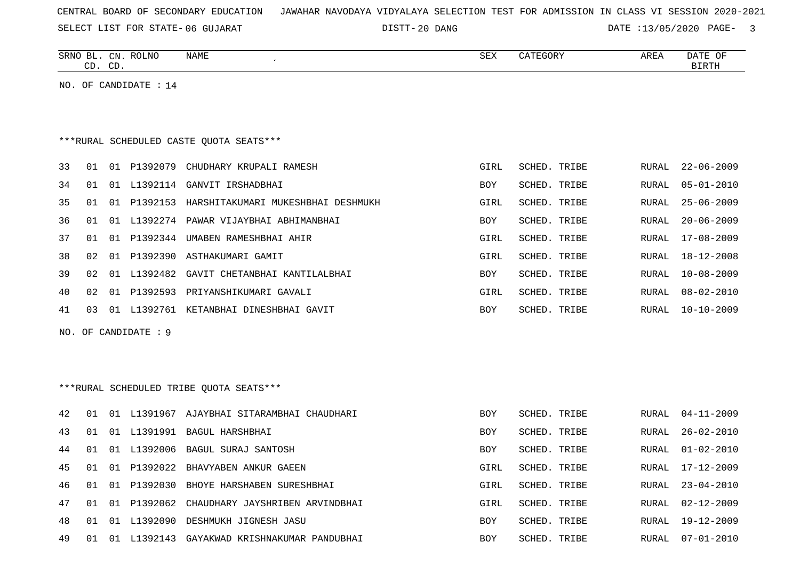SELECT LIST FOR STATE- DISTT- 06 GUJARAT

20 DANG DATE :13/05/2020 PAGE- 3

| SRNO<br>BL.<br>CN.<br>$\cap$<br>$\sqrt{2}$<br>. ש<br>ັ | <b>ROLNO</b> | NAME | <b>SEX</b> | $\alpha$ <sup>n</sup> $\beta$<br>LEGORY<br>∸ | AREA | DATE<br>ΟF<br>BIRTH |
|--------------------------------------------------------|--------------|------|------------|----------------------------------------------|------|---------------------|
|                                                        |              |      |            |                                              |      |                     |

NO. OF CANDIDATE : 14

# \*\*\*RURAL SCHEDULED CASTE QUOTA SEATS\*\*\*

| 33  | 01              | 01    | P1392079    | CHUDHARY KRUPALI RAMESH                 | GIRL       | SCHED. TRIBE |       | RURAL 22-06-2009 |
|-----|-----------------|-------|-------------|-----------------------------------------|------------|--------------|-------|------------------|
| 34  | . በ 1           | . O 1 | L1392114    | GANVIT IRSHADBHAI                       | BOY        | SCHED. TRIBE |       | RURAL 05-01-2010 |
| 35  | 01              |       | 01 P1392153 | HARSHITAKUMARI MUKESHBHAI DESHMUKH      | GIRL       | SCHED. TRIBE |       | RURAL 25-06-2009 |
| 36  | O 1             |       |             | 01 L1392274 PAWAR VIJAYBHAI ABHIMANBHAI | <b>BOY</b> | SCHED. TRIBE |       | RURAL 20-06-2009 |
| 37  | በ1              |       | 01 P1392344 | UMABEN RAMESHBHAI AHIR                  | GIRL       | SCHED. TRIBE | RURAL | 17-08-2009       |
| 38. | 02              | 01    | P1392390    | ASTHAKUMARI GAMIT                       | GIRL       | SCHED. TRIBE | RURAL | 18-12-2008       |
| 39. | O 2.            |       | 01 TJ392482 | GAVIT CHETANBHAI KANTILALBHAI           | <b>BOY</b> | SCHED. TRIBE | RURAL | $10 - 08 - 2009$ |
| 4 N | 02 <sub>1</sub> | 01    | P1392593    | PRIYANSHIKUMARI GAVALI                  | GIRL       | SCHED, TRIBE | RURAL | $08 - 02 - 2010$ |
| 41  | 03              | . O 1 | L1392761    | KETANBHAI DINESHBHAI GAVIT              | <b>BOY</b> | SCHED. TRIBE | RURAL | $10 - 10 - 2009$ |

NO. OF CANDIDATE : 9

## \*\*\*RURAL SCHEDULED TRIBE QUOTA SEATS\*\*\*

| 42 | 01    | . በ 1 | L1391967  | AJAYBHAI SITARAMBHAI CHAUDHARI  | <b>BOY</b> | SCHED. TRIBE | RURAL | $04 - 11 - 2009$ |
|----|-------|-------|-----------|---------------------------------|------------|--------------|-------|------------------|
| 43 | 01    | . በ 1 | L1391991  | BAGUL HARSHBHAI                 | <b>BOY</b> | SCHED. TRIBE | RURAL | 26-02-2010       |
| 44 | 01    | . N 1 | L1392006  | BAGUL SURAJ SANTOSH             | <b>BOY</b> | SCHED. TRIBE | RURAL | $01 - 02 - 2010$ |
| 45 | 01    | . N 1 | P1392022  | BHAVYABEN ANKUR GAEEN           | GIRL       | SCHED. TRIBE | RURAL | $17 - 12 - 2009$ |
| 46 | 01    | . በ 1 | P1392030  | BHOYE HARSHABEN SURESHBHAI      | GIRL       | SCHED. TRIBE | RURAL | $23 - 04 - 2010$ |
| 47 | . O 1 | . በ 1 | P1392062  | CHAUDHARY JAYSHRIBEN ARVINDBHAI | GIRL       | SCHED. TRIBE | RURAL | $02 - 12 - 2009$ |
| 48 | 01    | . N 1 | T.1392090 | DESHMUKH JIGNESH JASU           | BOY        | SCHED. TRIBE | RURAL | $19 - 12 - 2009$ |
| 49 | 01    | -01   | L1392143  | GAYAKWAD KRISHNAKUMAR PANDUBHAI | BOY        | SCHED. TRIBE | RURAL | $07 - 01 - 2010$ |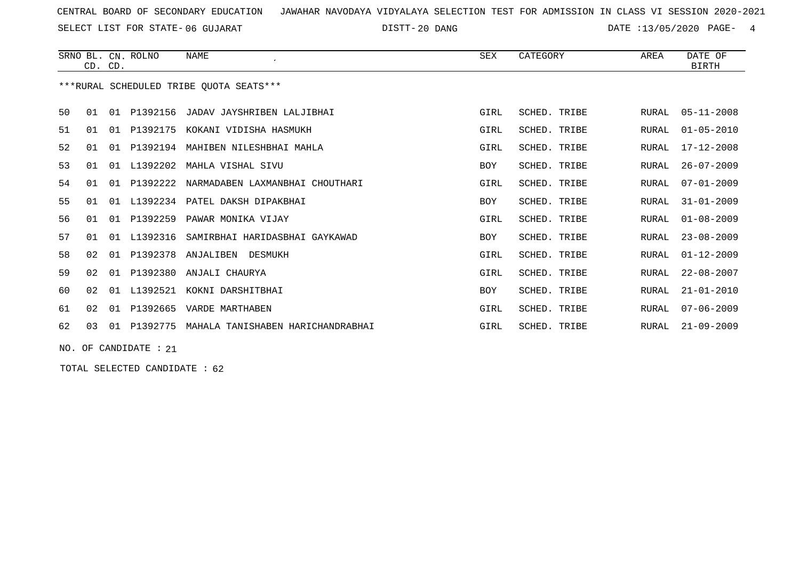SELECT LIST FOR STATE- DISTT- 06 GUJARAT

DISTT-20 DANG 2020 DATE :13/05/2020 PAGE- 4

|    |    | CD. CD. | SRNO BL. CN. ROLNO    | <b>NAME</b>                             | <b>SEX</b> | CATEGORY     | AREA  | DATE OF<br><b>BIRTH</b> |
|----|----|---------|-----------------------|-----------------------------------------|------------|--------------|-------|-------------------------|
|    |    |         |                       | ***RURAL SCHEDULED TRIBE OUOTA SEATS*** |            |              |       |                         |
| 50 | 01 |         |                       | 01 P1392156 JADAV JAYSHRIBEN LALJIBHAI  | GIRL       | SCHED. TRIBE | RURAL | 05-11-2008              |
| 51 | 01 | 01      |                       | P1392175 KOKANI VIDISHA HASMUKH         | GIRL       | SCHED. TRIBE | RURAL | $01 - 05 - 2010$        |
| 52 | 01 | 01      |                       | P1392194 MAHIBEN NILESHBHAI MAHLA       | GIRL       | SCHED. TRIBE | RURAL | $17 - 12 - 2008$        |
| 53 | 01 | 01      | L1392202              | MAHLA VISHAL SIVU                       | <b>BOY</b> | SCHED. TRIBE | RURAL | $26 - 07 - 2009$        |
| 54 | 01 |         | 01 P1392222           | NARMADABEN LAXMANBHAI CHOUTHARI         | GIRL       | SCHED. TRIBE | RURAL | $07 - 01 - 2009$        |
| 55 | 01 |         |                       | 01 L1392234 PATEL DAKSH DIPAKBHAI       | <b>BOY</b> | SCHED. TRIBE | RURAL | $31 - 01 - 2009$        |
| 56 | 01 | 01      | P1392259              | PAWAR MONIKA VIJAY                      | GIRL       | SCHED. TRIBE | RURAL | $01 - 08 - 2009$        |
| 57 | 01 | 01      | L1392316              | SAMIRBHAI HARIDASBHAI GAYKAWAD          | <b>BOY</b> | SCHED. TRIBE | RURAL | $23 - 08 - 2009$        |
| 58 | 02 | 01      | P1392378              | ANJALIBEN<br>DESMUKH                    | GIRL       | SCHED. TRIBE | RURAL | $01 - 12 - 2009$        |
| 59 | 02 | 01      | P1392380              | ANJALI CHAURYA                          | GIRL       | SCHED. TRIBE | RURAL | $22 - 08 - 2007$        |
| 60 | 02 |         |                       | 01 L1392521 KOKNI DARSHITBHAI           | <b>BOY</b> | SCHED. TRIBE | RURAL | $21 - 01 - 2010$        |
| 61 | 02 | 01      |                       | P1392665 VARDE MARTHABEN                | GIRL       | SCHED. TRIBE | RURAL | $07 - 06 - 2009$        |
| 62 | 03 |         | 01 P1392775           | MAHALA TANISHABEN HARICHANDRABHAI       | GIRL       | SCHED. TRIBE | RURAL | $21 - 09 - 2009$        |
|    |    |         | NO. OF CANDIDATE : 21 |                                         |            |              |       |                         |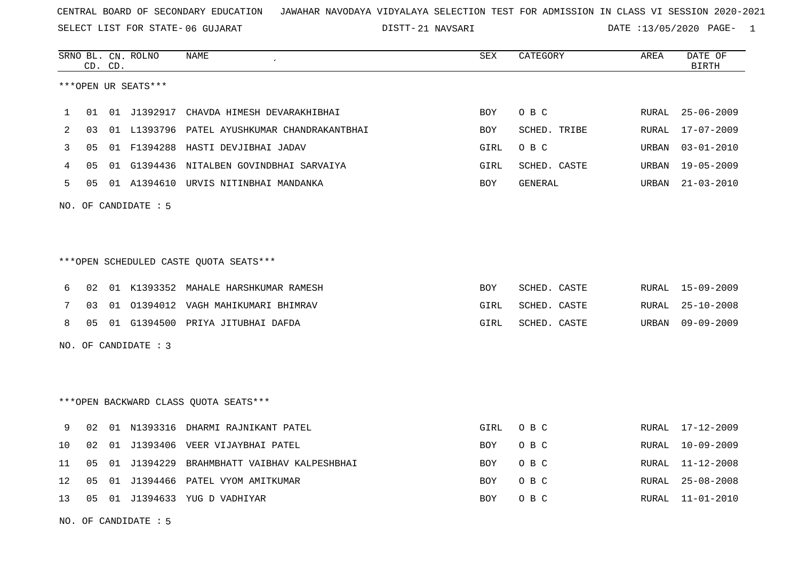SELECT LIST FOR STATE- DISTT- 06 GUJARAT

21 NAVSARI DATE :13/05/2020 PAGE- 1

|      | CD. CD. |    | SRNO BL. CN. ROLNO   | <b>NAME</b>                                  | SEX        | CATEGORY     | AREA  | DATE OF<br><b>BIRTH</b> |
|------|---------|----|----------------------|----------------------------------------------|------------|--------------|-------|-------------------------|
|      |         |    | ***OPEN UR SEATS***  |                                              |            |              |       |                         |
| 1    | 01      |    | 01 J1392917          | CHAVDA HIMESH DEVARAKHIBHAI                  | <b>BOY</b> | O B C        | RURAL | $25 - 06 - 2009$        |
| 2    | 03      |    |                      | 01 L1393796 PATEL AYUSHKUMAR CHANDRAKANTBHAI | <b>BOY</b> | SCHED. TRIBE | RURAL | 17-07-2009              |
| 3    | 05      |    |                      | 01 F1394288 HASTI DEVJIBHAI JADAV            | GIRL       | O B C        | URBAN | $03 - 01 - 2010$        |
| 4    | 05      |    |                      | 01 G1394436 NITALBEN GOVINDBHAI SARVAIYA     | GIRL       | SCHED. CASTE | URBAN | $19 - 05 - 2009$        |
| 5    | 05      |    |                      | 01 A1394610 URVIS NITINBHAI MANDANKA         | BOY        | GENERAL      | URBAN | $21 - 03 - 2010$        |
|      |         |    | NO. OF CANDIDATE : 5 |                                              |            |              |       |                         |
|      |         |    |                      |                                              |            |              |       |                         |
|      |         |    |                      | ***OPEN SCHEDULED CASTE QUOTA SEATS***       |            |              |       |                         |
| 6    | 02      |    |                      | 01 K1393352 MAHALE HARSHKUMAR RAMESH         | BOY        | SCHED. CASTE | RURAL | 15-09-2009              |
| 7    | 03      |    |                      | 01 01394012 VAGH MAHIKUMARI BHIMRAV          | GIRL       | SCHED. CASTE | RURAL | $25 - 10 - 2008$        |
| 8    | 05      |    |                      | 01 G1394500 PRIYA JITUBHAI DAFDA             | GIRL       | SCHED. CASTE | URBAN | $09 - 09 - 2009$        |
|      |         |    | NO. OF CANDIDATE : 3 |                                              |            |              |       |                         |
|      |         |    |                      |                                              |            |              |       |                         |
|      |         |    |                      | ***OPEN BACKWARD CLASS OUOTA SEATS***        |            |              |       |                         |
| 9    | 02      |    |                      | 01 N1393316 DHARMI RAJNIKANT PATEL           | GIRL       | O B C        | RURAL | 17-12-2009              |
| $10$ | 02      |    |                      | 01 J1393406 VEER VIJAYBHAI PATEL             | BOY        | O B C        | RURAL | 10-09-2009              |
| 11   | 05      |    | 01 J1394229          | BRAHMBHATT VAIBHAV KALPESHBHAI               | <b>BOY</b> | O B C        | RURAL | $11 - 12 - 2008$        |
| 12   | 05      | 01 | J1394466             | PATEL VYOM AMITKUMAR                         | <b>BOY</b> | O B C        | RURAL | $25 - 08 - 2008$        |
| 13   | 05      |    |                      | 01 J1394633 YUG D VADHIYAR                   | <b>BOY</b> | O B C        | RURAL | $11 - 01 - 2010$        |

NO. OF CANDIDATE : 5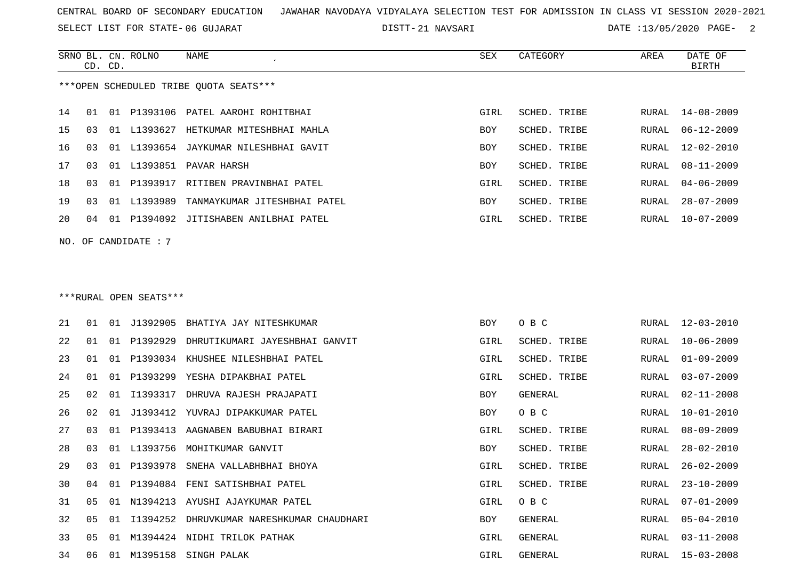SELECT LIST FOR STATE- DISTT- 06 GUJARAT

21 NAVSARI DATE :13/05/2020 PAGE- 2

|                                        |    | CD. CD. | SRNO BL. CN. ROLNO | NAME                               | SEX        | CATEGORY     | AREA  | DATE OF<br><b>BIRTH</b> |  |
|----------------------------------------|----|---------|--------------------|------------------------------------|------------|--------------|-------|-------------------------|--|
| ***OPEN SCHEDULED TRIBE OUOTA SEATS*** |    |         |                    |                                    |            |              |       |                         |  |
| 14                                     | 01 | 01      |                    | P1393106 PATEL AAROHI ROHITBHAI    | GIRL       | SCHED. TRIBE | RURAL | $14 - 08 - 2009$        |  |
| 15                                     | 03 | . O 1   | L1393627           | HETKUMAR MITESHBHAI MAHLA          | <b>BOY</b> | SCHED. TRIBE | RURAL | $06 - 12 - 2009$        |  |
| 16                                     | 03 | 01      |                    | L1393654 JAYKUMAR NILESHBHAI GAVIT | <b>BOY</b> | SCHED. TRIBE | RURAL | $12 - 02 - 2010$        |  |
| 17                                     | 03 | O 1     | L1393851           | PAVAR HARSH                        | <b>BOY</b> | SCHED. TRIBE | RURAL | $08 - 11 - 2009$        |  |
| 18                                     | 03 | O 1     | P1393917           | RITIBEN PRAVINBHAI PATEL           | GIRL       | SCHED. TRIBE | RURAL | $04 - 06 - 2009$        |  |
| 19                                     | 03 | 01      | L1393989           | TANMAYKUMAR JITESHBHAI PATEL       | <b>BOY</b> | SCHED. TRIBE | RURAL | $28 - 07 - 2009$        |  |
| $20^{\circ}$                           | 04 | 01      | P1394092           | JITISHABEN ANILBHAI PATEL          | GIRL       | SCHED. TRIBE | RURAL | $10 - 07 - 2009$        |  |
| NO. OF CANDIDATE : $7$                 |    |         |                    |                                    |            |              |       |                         |  |

#### \*\*\*RURAL OPEN SEATS\*\*\*

| 21 | 01             | 01  | J1392905 | BHATIYA JAY NITESHKUMAR          | BOY  | O B C        |       | RURAL 12-03-2010 |
|----|----------------|-----|----------|----------------------------------|------|--------------|-------|------------------|
| 22 | 01             | 01  | P1392929 | DHRUTIKUMARI JAYESHBHAI GANVIT   | GIRL | SCHED. TRIBE | RURAL | 10-06-2009       |
| 23 | 01             | O 1 | P1393034 | KHUSHEE NILESHBHAI PATEL         | GIRL | SCHED. TRIBE | RURAL | $01 - 09 - 2009$ |
| 24 | 01             | 01  | P1393299 | YESHA DIPAKBHAI PATEL            | GIRL | SCHED. TRIBE | RURAL | $03 - 07 - 2009$ |
| 25 | 02             | 01  | I1393317 | DHRUVA RAJESH PRAJAPATI          | BOY  | GENERAL      | RURAL | 02-11-2008       |
| 26 | 02             | 01  |          | J1393412 YUVRAJ DIPAKKUMAR PATEL | BOY  | O B C        | RURAL | 10-01-2010       |
| 27 | 03             | O 1 | P1393413 | AAGNABEN BABUBHAI BIRARI         | GIRL | SCHED. TRIBE | RURAL | $08 - 09 - 2009$ |
| 28 | 03             | 01  | L1393756 | MOHITKUMAR GANVIT                | BOY  | SCHED. TRIBE | RURAL | $28 - 02 - 2010$ |
| 29 | 03             | 01  | P1393978 | SNEHA VALLABHBHAI BHOYA          | GIRL | SCHED. TRIBE | RURAL | $26 - 02 - 2009$ |
| 30 | 04             | O 1 | P1394084 | FENI SATISHBHAI PATEL            | GIRL | SCHED. TRIBE | RURAL | $23 - 10 - 2009$ |
| 31 | 0 <sub>5</sub> | 01  | N1394213 | AYUSHI AJAYKUMAR PATEL           | GIRL | O B C        | RURAL | $07 - 01 - 2009$ |
| 32 | 05             | 01  | T1394252 | DHRUVKUMAR NARESHKUMAR CHAUDHARI | BOY  | GENERAL      | RURAL | $05 - 04 - 2010$ |
| 33 | 05             | O 1 |          | M1394424 NIDHI TRILOK PATHAK     | GIRL | GENERAL      | RURAL | $03 - 11 - 2008$ |
| 34 | 06             | 01  |          | M1395158 SINGH PALAK             | GIRL | GENERAL      |       | RURAL 15-03-2008 |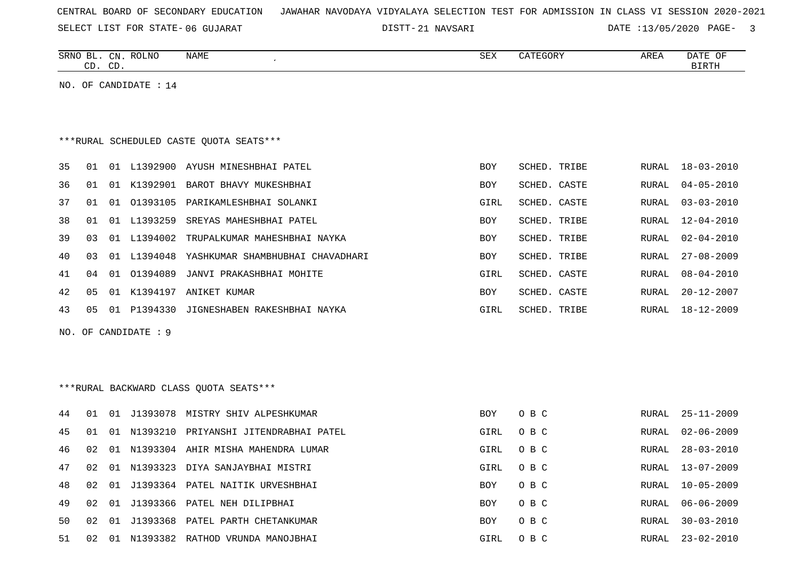SELECT LIST FOR STATE- DISTT- 06 GUJARAT

21 NAVSARI DATE :13/05/2020 PAGE- 3

|    |    | CD. CD. | SRNO BL. CN. ROLNO    | NAME                                         | <b>SEX</b> | CATEGORY     | AREA  | DATE OF<br><b>BIRTH</b> |
|----|----|---------|-----------------------|----------------------------------------------|------------|--------------|-------|-------------------------|
|    |    |         | NO. OF CANDIDATE : 14 |                                              |            |              |       |                         |
|    |    |         |                       |                                              |            |              |       |                         |
|    |    |         |                       |                                              |            |              |       |                         |
|    |    |         |                       | *** RURAL SCHEDULED CASTE QUOTA SEATS***     |            |              |       |                         |
| 35 | 01 |         |                       | 01 L1392900 AYUSH MINESHBHAI PATEL           | BOY        | SCHED. TRIBE | RURAL | 18-03-2010              |
| 36 | 01 |         |                       | 01 K1392901 BAROT BHAVY MUKESHBHAI           | <b>BOY</b> | SCHED. CASTE | RURAL | $04 - 05 - 2010$        |
| 37 | 01 | 01      |                       | 01393105 PARIKAMLESHBHAI SOLANKI             | GIRL       | SCHED. CASTE | RURAL | $03 - 03 - 2010$        |
| 38 | 01 | 01      | L1393259              | SREYAS MAHESHBHAI PATEL                      | BOY        | SCHED. TRIBE | RURAL | $12 - 04 - 2010$        |
| 39 | 03 |         | 01 L1394002           | TRUPALKUMAR MAHESHBHAI NAYKA                 | BOY        | SCHED. TRIBE | RURAL | $02 - 04 - 2010$        |
| 40 | 03 |         |                       | 01 L1394048 YASHKUMAR SHAMBHUBHAI CHAVADHARI | BOY        | SCHED. TRIBE | RURAL | $27 - 08 - 2009$        |
| 41 | 04 |         | 01 01394089           | JANVI PRAKASHBHAI MOHITE                     | GIRL       | SCHED. CASTE | RURAL | $08 - 04 - 2010$        |
| 42 | 05 |         |                       | 01 K1394197 ANIKET KUMAR                     | BOY        | SCHED. CASTE | RURAL | $20 - 12 - 2007$        |
| 43 | 05 |         |                       | 01 P1394330 JIGNESHABEN RAKESHBHAI NAYKA     | GIRL       | SCHED. TRIBE | RURAL | $18 - 12 - 2009$        |
|    |    |         | NO. OF CANDIDATE : 9  |                                              |            |              |       |                         |
|    |    |         |                       |                                              |            |              |       |                         |
|    |    |         |                       |                                              |            |              |       |                         |
|    |    |         |                       | *** RURAL BACKWARD CLASS QUOTA SEATS***      |            |              |       |                         |
| 44 | 01 |         |                       | 01 J1393078 MISTRY SHIV ALPESHKUMAR          | BOY        | O B C        | RURAL | $25 - 11 - 2009$        |
| 45 | 01 | 01      |                       | N1393210 PRIYANSHI JITENDRABHAI PATEL        | GIRL       | O B C        | RURAL | $02 - 06 - 2009$        |
| 46 | 02 |         |                       | 01 N1393304 AHIR MISHA MAHENDRA LUMAR        | GIRL       | O B C        | RURAL | $28 - 03 - 2010$        |
| 47 | 02 | 01      |                       | N1393323 DIYA SANJAYBHAI MISTRI              | GIRL       | O B C        | RURAL | $13 - 07 - 2009$        |
| 48 | 02 | 01      |                       | J1393364 PATEL NAITIK URVESHBHAI             | BOY        | O B C        | RURAL | $10 - 05 - 2009$        |
| 49 | 02 | 01      |                       | J1393366 PATEL NEH DILIPBHAI                 | <b>BOY</b> | O B C        | RURAL | $06 - 06 - 2009$        |
| 50 | 02 | 01      |                       | J1393368 PATEL PARTH CHETANKUMAR             | BOY        | O B C        | RURAL | $30 - 03 - 2010$        |
| 51 | 02 |         |                       | 01 N1393382 RATHOD VRUNDA MANOJBHAI          | GIRL       | O B C        | RURAL | $23 - 02 - 2010$        |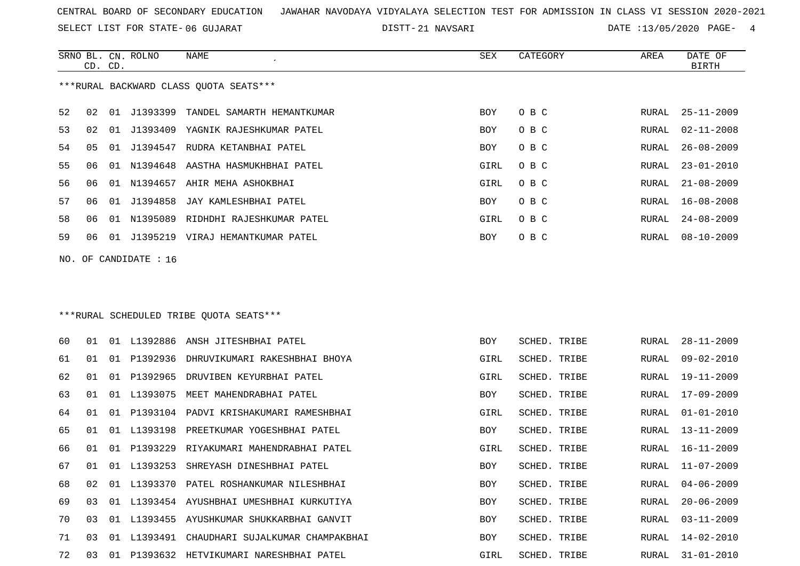SELECT LIST FOR STATE- DISTT- 06 GUJARAT

21 NAVSARI DATE :13/05/2020 PAGE- 4

|    | CD. CD.                                |    | SRNO BL. CN. ROLNO | NAME                                   | SEX  | CATEGORY | AREA  | DATE OF<br>BIRTH |  |  |  |  |
|----|----------------------------------------|----|--------------------|----------------------------------------|------|----------|-------|------------------|--|--|--|--|
|    | ***RURAL BACKWARD CLASS OUOTA SEATS*** |    |                    |                                        |      |          |       |                  |  |  |  |  |
| 52 | 02                                     |    |                    | 01 J1393399 TANDEL SAMARTH HEMANTKUMAR | BOY  | O B C    | RURAL | $25 - 11 - 2009$ |  |  |  |  |
| 53 | 02                                     | 01 | J1393409           | YAGNIK RAJESHKUMAR PATEL               | BOY  | O B C    |       | RURAL 02-11-2008 |  |  |  |  |
| 54 | 05                                     |    |                    | 01 J1394547 RUDRA KETANBHAI PATEL      | BOY  | O B C    | RURAL | $26 - 08 - 2009$ |  |  |  |  |
| 55 | 06                                     | 01 |                    | N1394648 AASTHA HASMUKHBHAI PATEL      | GIRL | O B C    | RURAL | $23 - 01 - 2010$ |  |  |  |  |
| 56 | 06                                     | 01 |                    | N1394657 AHIR MEHA ASHOKBHAI           | GIRL | O B C    | RURAL | $21 - 08 - 2009$ |  |  |  |  |
| 57 | 06                                     | 01 |                    | J1394858 JAY KAMLESHBHAI PATEL         | BOY  | O B C    | RURAL | 16-08-2008       |  |  |  |  |
| 58 | 06                                     | 01 |                    | N1395089 RIDHDHI RAJESHKUMAR PATEL     | GIRL | O B C    | RURAL | $24 - 08 - 2009$ |  |  |  |  |
| 59 | 06                                     |    |                    | 01 J1395219 VIRAJ HEMANTKUMAR PATEL    | BOY  | O B C    | RURAL | $08 - 10 - 2009$ |  |  |  |  |
|    | NO. OF CANDIDATE : $16$                |    |                    |                                        |      |          |       |                  |  |  |  |  |

\*\*\*RURAL SCHEDULED TRIBE QUOTA SEATS\*\*\*

| 60 | 01 | 01  | L1392886 | ANSH JITESHBHAI PATEL                  | <b>BOY</b> | SCHED. TRIBE | RURAL | $28 - 11 - 2009$ |
|----|----|-----|----------|----------------------------------------|------------|--------------|-------|------------------|
| 61 | 01 | 01  |          | P1392936 DHRUVIKUMARI RAKESHBHAI BHOYA | GIRL       | SCHED. TRIBE | RURAL | 09-02-2010       |
| 62 | 01 | 01  |          | P1392965 DRUVIBEN KEYURBHAI PATEL      | GIRL       | SCHED. TRIBE | RURAL | $19 - 11 - 2009$ |
| 63 | 01 | O 1 | L1393075 | MEET MAHENDRABHAI PATEL                | BOY        | SCHED. TRIBE | RURAL | 17-09-2009       |
| 64 | 01 | 01  |          | P1393104 PADVI KRISHAKUMARI RAMESHBHAI | GIRL       | SCHED. TRIBE | RURAL | $01 - 01 - 2010$ |
| 65 | 01 | 01  | L1393198 | PREETKUMAR YOGESHBHAI PATEL            | BOY        | SCHED. TRIBE | RURAL | $13 - 11 - 2009$ |
| 66 | 01 | 01  | P1393229 | RIYAKUMARI MAHENDRABHAI PATEL          | GIRL       | SCHED. TRIBE | RURAL | $16 - 11 - 2009$ |
| 67 | 01 | 01  | L1393253 | SHREYASH DINESHBHAI PATEL              | BOY        | SCHED. TRIBE | RURAL | $11 - 07 - 2009$ |
| 68 | 02 | 01  |          | L1393370 PATEL ROSHANKUMAR NILESHBHAI  | BOY        | SCHED. TRIBE | RURAL | $04 - 06 - 2009$ |
| 69 | 03 | 01  |          | L1393454 AYUSHBHAI UMESHBHAI KURKUTIYA | BOY        | SCHED. TRIBE | RURAL | $20 - 06 - 2009$ |
| 70 | 03 | O 1 | L1393455 | AYUSHKUMAR SHUKKARBHAI GANVIT          | BOY        | SCHED. TRIBE | RURAL | $03 - 11 - 2009$ |
| 71 | 03 | 01  | L1393491 | CHAUDHARI SUJALKUMAR CHAMPAKBHAI       | <b>BOY</b> | SCHED. TRIBE | RURAL | $14 - 02 - 2010$ |
| 72 | 03 | 01  | P1393632 | HETVIKUMARI NARESHBHAI PATEL           | GIRL       | SCHED. TRIBE | RURAL | 31-01-2010       |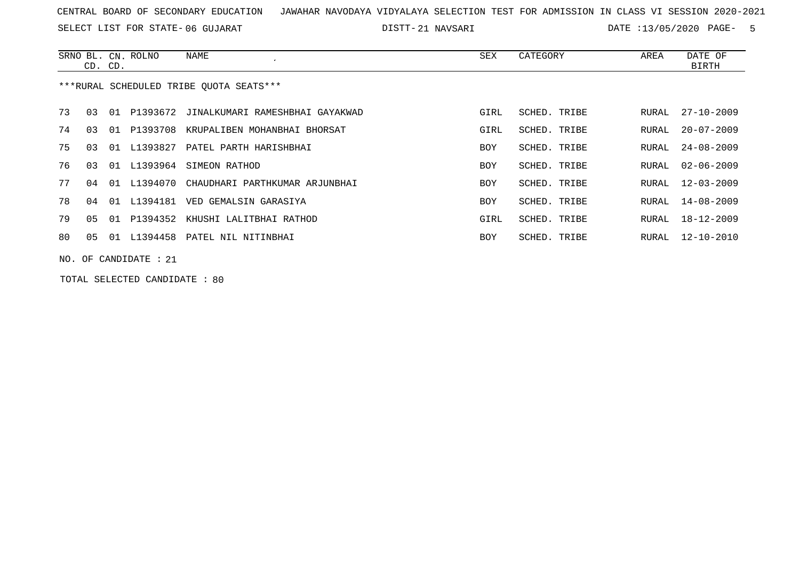SELECT LIST FOR STATE- DISTT- 06 GUJARAT

21 NAVSARI DATE :13/05/2020 PAGE- 5

|                                         | CD. CD.                 |    | SRNO BL. CN. ROLNO | NAME                                        | SEX        | CATEGORY     | AREA  | DATE OF<br><b>BIRTH</b> |  |
|-----------------------------------------|-------------------------|----|--------------------|---------------------------------------------|------------|--------------|-------|-------------------------|--|
| ***RURAL SCHEDULED TRIBE OUOTA SEATS*** |                         |    |                    |                                             |            |              |       |                         |  |
| 73                                      | 03                      |    |                    | 01 P1393672 JINALKUMARI RAMESHBHAI GAYAKWAD | GIRL       | SCHED, TRIBE | RURAL | $27 - 10 - 2009$        |  |
| 74                                      | 03                      | 01 | P1393708           | KRUPALIBEN MOHANBHAI BHORSAT                | GIRL       | SCHED. TRIBE | RURAL | $20 - 07 - 2009$        |  |
| 75                                      | 03                      | 01 | L1393827           | PATEL PARTH HARISHBHAI                      | BOY        | SCHED. TRIBE | RURAL | $24 - 08 - 2009$        |  |
| 76                                      | 03                      |    |                    | 01 L1393964 SIMEON RATHOD                   | BOY        | SCHED. TRIBE | RURAL | $02 - 06 - 2009$        |  |
| 77                                      | በ 4                     |    | 01 L1394070        | CHAUDHARI PARTHKUMAR ARJUNBHAI              | <b>BOY</b> | SCHED. TRIBE | RURAL | $12 - 03 - 2009$        |  |
| 78                                      | 04                      | 01 | L1394181           | VED GEMALSIN GARASIYA                       | BOY        | SCHED. TRIBE | RURAL | 14-08-2009              |  |
| 79                                      | 05                      | 01 |                    | P1394352 KHUSHI LALITBHAI RATHOD            | GIRL       | SCHED. TRIBE | RURAL | 18-12-2009              |  |
| 80                                      | 05                      |    |                    | 01 L1394458 PATEL NIL NITINBHAI             | BOY        | SCHED. TRIBE | RURAL | 12-10-2010              |  |
|                                         | NO. OF CANDIDATE : $21$ |    |                    |                                             |            |              |       |                         |  |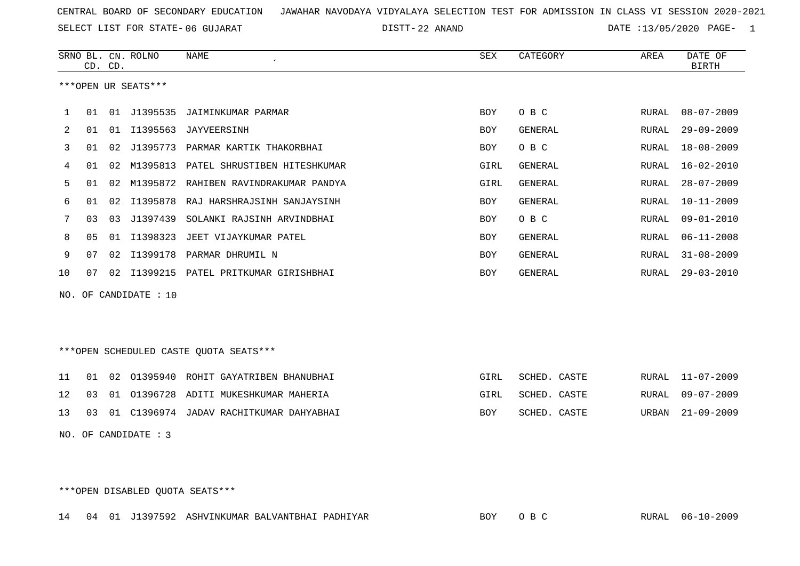22 ANAND DATE :13/05/2020 PAGE- 1

|         |                | CD. CD. | SRNO BL. CN. ROLNO  | <b>NAME</b>                            | <b>SEX</b> | CATEGORY       | AREA         | DATE OF<br><b>BIRTH</b> |
|---------|----------------|---------|---------------------|----------------------------------------|------------|----------------|--------------|-------------------------|
|         |                |         | ***OPEN UR SEATS*** |                                        |            |                |              |                         |
| 1       | 01             |         | 01 J1395535         | JAIMINKUMAR PARMAR                     | <b>BOY</b> | O B C          | RURAL        | $08 - 07 - 2009$        |
| 2       | 01             |         | 01 I1395563         | JAYVEERSINH                            | <b>BOY</b> | GENERAL        | RURAL        | $29 - 09 - 2009$        |
| 3       | 01             |         |                     | 02 J1395773 PARMAR KARTIK THAKORBHAI   | <b>BOY</b> | O B C          | RURAL        | $18 - 08 - 2009$        |
| 4       | 01             |         | 02 M1395813         | PATEL SHRUSTIBEN HITESHKUMAR           | GIRL       | GENERAL        | RURAL        | $16 - 02 - 2010$        |
| 5       | 01             |         | 02 M1395872         | RAHIBEN RAVINDRAKUMAR PANDYA           | GIRL       | <b>GENERAL</b> | RURAL        | $28 - 07 - 2009$        |
| 6       | 01             | 02      | I1395878            | RAJ HARSHRAJSINH SANJAYSINH            | <b>BOY</b> | GENERAL        | <b>RURAL</b> | $10 - 11 - 2009$        |
| 7       | 03             | 03      | J1397439            | SOLANKI RAJSINH ARVINDBHAI             | <b>BOY</b> | O B C          | <b>RURAL</b> | $09 - 01 - 2010$        |
| 8       | 0 <sub>5</sub> | 01      | I1398323            | JEET VIJAYKUMAR PATEL                  | <b>BOY</b> | GENERAL        | RURAL        | $06 - 11 - 2008$        |
| 9       | 07             |         | 02 I1399178         | PARMAR DHRUMIL N                       | <b>BOY</b> | GENERAL        | RURAL        | $31 - 08 - 2009$        |
| 10      | 07             |         |                     | 02 I1399215 PATEL PRITKUMAR GIRISHBHAI | <b>BOY</b> | GENERAL        | RURAL        | $29 - 03 - 2010$        |
| NO.     |                |         | OF CANDIDATE : 10   |                                        |            |                |              |                         |
|         |                |         |                     | ***OPEN SCHEDULED CASTE QUOTA SEATS*** |            |                |              |                         |
| 11      | 01             | 02      | 01395940            | ROHIT GAYATRIBEN BHANUBHAI             | GIRL       | SCHED. CASTE   | RURAL        | $11 - 07 - 2009$        |
| 12      | 03             | 01      |                     | 01396728 ADITI MUKESHKUMAR MAHERIA     | GIRL       | SCHED. CASTE   | <b>RURAL</b> | $09 - 07 - 2009$        |
| 13      | 03             | 01      |                     | C1396974 JADAV RACHITKUMAR DAHYABHAI   | <b>BOY</b> | SCHED. CASTE   | URBAN        | $21 - 09 - 2009$        |
| $- - -$ |                |         |                     |                                        |            |                |              |                         |

NO. OF CANDIDATE : 3

\*\*\*OPEN DISABLED QUOTA SEATS\*\*\*

14 04 01 J1397592 ASHVINKUMAR BALVANTBHAI PADHIYAR BOY O B C RURAL 06-10-2009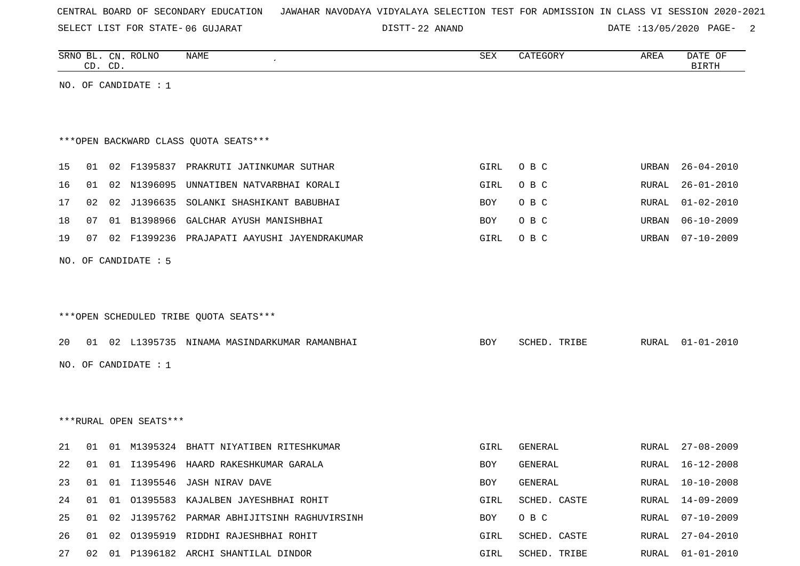|  |  |  |  | CENTRAL BOARD OF SECONDARY EDUCATION GAWAHAR NAVODAYA VIDYALAYA SELECTION TEST FOR ADMISSION IN CLASS VI SESSION 2020-2021 |  |  |  |  |  |  |  |  |  |  |
|--|--|--|--|----------------------------------------------------------------------------------------------------------------------------|--|--|--|--|--|--|--|--|--|--|
|--|--|--|--|----------------------------------------------------------------------------------------------------------------------------|--|--|--|--|--|--|--|--|--|--|

DISTT-22 ANAND DATE :13/05/2020 PAGE- 2

| SRNO BL. CN. ROLNO<br>NAME<br>CD. CD. | SEX | CATEGORY | AREA | DATE OF<br>BIRTH |
|---------------------------------------|-----|----------|------|------------------|
| NO. OF CANDIDATE : $1$                |     |          |      |                  |
|                                       |     |          |      |                  |

|  | ***OPEN BACKWARD CLASS OUOTA SEATS*** |  |  |  |
|--|---------------------------------------|--|--|--|
|--|---------------------------------------|--|--|--|

|  |  | 15 01 02 F1395837 PRAKRUTI JATINKUMAR SUTHAR      |          | GIRL OBC | URBAN 26-04-2010 |
|--|--|---------------------------------------------------|----------|----------|------------------|
|  |  | 16 01 02 N1396095 UNNATIBEN NATVARBHAI KORALI     | GIRL OBC |          | RURAL 26-01-2010 |
|  |  | 17 02 02 J1396635 SOLANKI SHASHIKANT BABUBHAI     | BOY OBC  |          | RURAL 01-02-2010 |
|  |  | 18 07 01 B1398966 GALCHAR AYUSH MANISHBHAI        | BOY OBC  |          | URBAN 06-10-2009 |
|  |  | 19 07 02 F1399236 PRAJAPATI AAYUSHI JAYENDRAKUMAR | GIRL OBC |          | URBAN 07-10-2009 |

NO. OF CANDIDATE : 5

## \*\*\*OPEN SCHEDULED TRIBE QUOTA SEATS\*\*\*

|  |                      | 20 01 02 L1395735 NINAMA MASINDARKUMAR RAMANBHAI |  | BOY | SCHED. TRIBE |  | RURAL 01-01-2010 |
|--|----------------------|--------------------------------------------------|--|-----|--------------|--|------------------|
|  | NO. OF CANDIDATE : 1 |                                                  |  |     |              |  |                  |

\*\*\*RURAL OPEN SEATS\*\*\*

| 21   | . N 1 | -01   |          | M1395324 BHATT NIYATIBEN RITESHKUMAR     | GIRL       | GENERAL      | RURAL | 27-08-2009       |
|------|-------|-------|----------|------------------------------------------|------------|--------------|-------|------------------|
| 2.2. | . O 1 | . N 1 |          | 11395496 HAARD RAKESHKUMAR GARALA        | <b>BOY</b> | GENERAL      | RURAL | 16-12-2008       |
| 23   | . O 1 | -01   |          | I1395546 JASH NIRAV DAVE                 | <b>BOY</b> | GENERAL      | RURAL | 10-10-2008       |
| 24   | . N 1 | . N 1 | 01395583 | KAJALBEN JAYESHBHAI ROHIT                | GIRL       | SCHED, CASTE | RURAL | 14-09-2009       |
| 25   | . N 1 | O 2.  |          | J1395762 PARMAR ABHIJITSINH RAGHUVIRSINH | <b>BOY</b> | O B C        | RURAL | 07-10-2009       |
| 26   | 01    | O 2.  | 01395919 | RIDDHI RAJESHBHAI ROHIT                  | GIRL       | SCHED, CASTE | RURAL | $27 - 04 - 2010$ |
| 27   | O 2.  | . N 1 |          | P1396182 ARCHI SHANTILAL DINDOR          | GIRL       | SCHED. TRIBE | RURAL | $01 - 01 - 2010$ |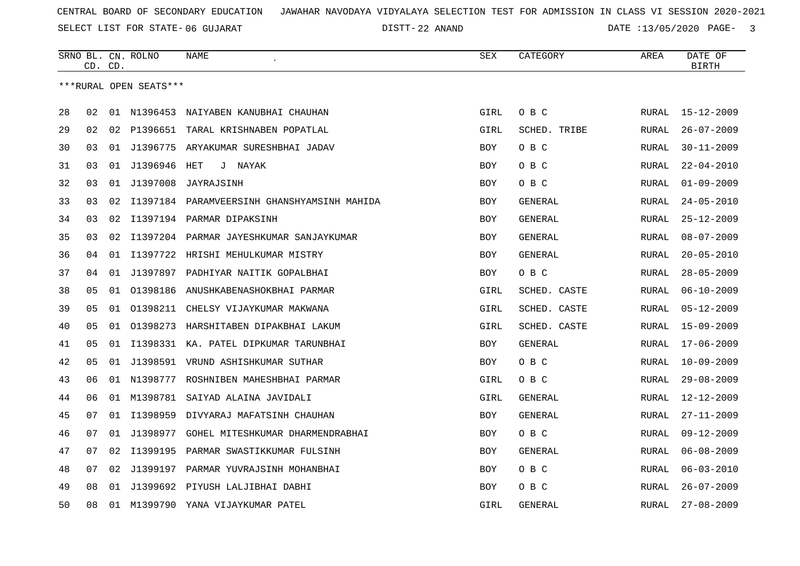22 ANAND DATE :13/05/2020 PAGE- 3

|    |    | CD. CD. | SRNO BL. CN. ROLNO     | <b>NAME</b>                           | SEX        | CATEGORY       | AREA         | DATE OF<br><b>BIRTH</b> |
|----|----|---------|------------------------|---------------------------------------|------------|----------------|--------------|-------------------------|
|    |    |         | ***RURAL OPEN SEATS*** |                                       |            |                |              |                         |
|    |    |         |                        |                                       |            |                |              |                         |
| 28 | 02 |         |                        | 01 N1396453 NAIYABEN KANUBHAI CHAUHAN | GIRL       | O B C          | RURAL        | $15 - 12 - 2009$        |
| 29 | 02 | 02      |                        | P1396651 TARAL KRISHNABEN POPATLAL    | GIRL       | SCHED. TRIBE   | RURAL        | $26 - 07 - 2009$        |
| 30 | 03 | 01      | J1396775               | ARYAKUMAR SURESHBHAI JADAV            | <b>BOY</b> | O B C          | <b>RURAL</b> | $30 - 11 - 2009$        |
| 31 | 03 | 01      | J1396946               | HET<br>J NAYAK                        | <b>BOY</b> | O B C          | RURAL        | $22 - 04 - 2010$        |
| 32 | 03 | 01      | J1397008               | JAYRAJSINH                            | <b>BOY</b> | O B C          | RURAL        | $01 - 09 - 2009$        |
| 33 | 03 | 02      | I1397184               | PARAMVEERSINH GHANSHYAMSINH MAHIDA    | BOY        | GENERAL        | RURAL        | $24 - 05 - 2010$        |
| 34 | 03 | 02      |                        | I1397194 PARMAR DIPAKSINH             | <b>BOY</b> | GENERAL        | RURAL        | $25 - 12 - 2009$        |
| 35 | 03 | 02      | I1397204               | PARMAR JAYESHKUMAR SANJAYKUMAR        | BOY        | GENERAL        | <b>RURAL</b> | $08 - 07 - 2009$        |
| 36 | 04 | 01      | I1397722               | HRISHI MEHULKUMAR MISTRY              | <b>BOY</b> | GENERAL        | RURAL        | $20 - 05 - 2010$        |
| 37 | 04 | 01      | J1397897               | PADHIYAR NAITIK GOPALBHAI             | BOY        | O B C          | RURAL        | $28 - 05 - 2009$        |
| 38 | 05 | 01      | 01398186               | ANUSHKABENASHOKBHAI PARMAR            | GIRL       | SCHED. CASTE   | RURAL        | $06 - 10 - 2009$        |
| 39 | 05 | 01      | 01398211               | CHELSY VIJAYKUMAR MAKWANA             | GIRL       | SCHED. CASTE   | RURAL        | $05 - 12 - 2009$        |
| 40 | 05 | 01      |                        | 01398273 HARSHITABEN DIPAKBHAI LAKUM  | GIRL       | SCHED. CASTE   | RURAL        | $15 - 09 - 2009$        |
| 41 | 05 | 01      |                        | 11398331 KA. PATEL DIPKUMAR TARUNBHAI | <b>BOY</b> | GENERAL        | RURAL        | $17 - 06 - 2009$        |
| 42 | 05 | 01      |                        | J1398591 VRUND ASHISHKUMAR SUTHAR     | BOY        | O B C          | RURAL        | $10 - 09 - 2009$        |
| 43 | 06 | 01      |                        | N1398777 ROSHNIBEN MAHESHBHAI PARMAR  | GIRL       | O B C          | <b>RURAL</b> | $29 - 08 - 2009$        |
| 44 | 06 | 01      | M1398781               | SAIYAD ALAINA JAVIDALI                | GIRL       | GENERAL        | RURAL        | $12 - 12 - 2009$        |
| 45 | 07 | 01      | I1398959               | DIVYARAJ MAFATSINH CHAUHAN            | <b>BOY</b> | <b>GENERAL</b> | <b>RURAL</b> | $27 - 11 - 2009$        |
| 46 | 07 | 01      | J1398977               | GOHEL MITESHKUMAR DHARMENDRABHAI      | <b>BOY</b> | O B C          | RURAL        | $09 - 12 - 2009$        |
| 47 | 07 | 02      | I1399195               | PARMAR SWASTIKKUMAR FULSINH           | <b>BOY</b> | GENERAL        | RURAL        | $06 - 08 - 2009$        |
| 48 | 07 | 02      | J1399197               | PARMAR YUVRAJSINH MOHANBHAI           | <b>BOY</b> | O B C          | <b>RURAL</b> | $06 - 03 - 2010$        |
| 49 | 08 |         |                        | 01 J1399692 PIYUSH LALJIBHAI DABHI    | <b>BOY</b> | O B C          | RURAL        | $26 - 07 - 2009$        |
| 50 | 08 |         | 01 M1399790            | YANA VIJAYKUMAR PATEL                 | GIRL       | <b>GENERAL</b> | <b>RURAL</b> | $27 - 08 - 2009$        |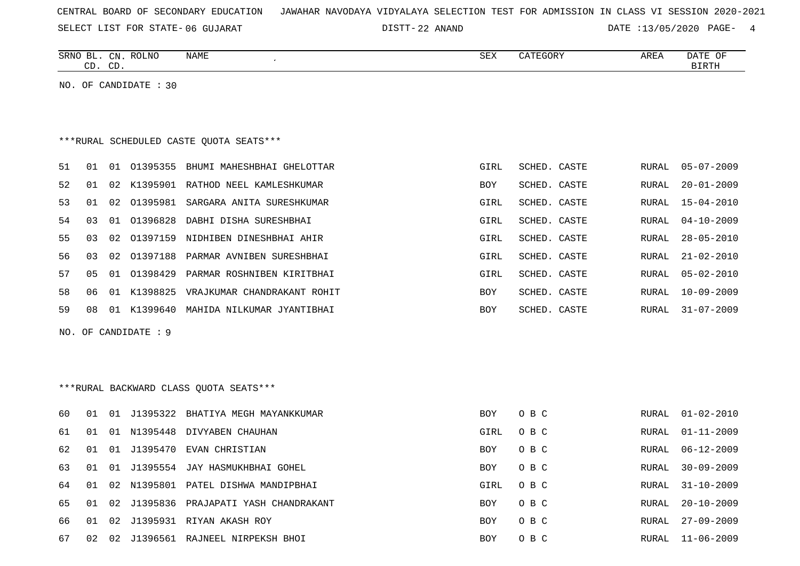| CENTRAL BOARD OF SECONDARY EDUCATION – JAWAHAR NAVODAYA VIDYALAYA SELECTION TEST FOR ADMISSION IN CLASS VI SESSION 2020-2021 |  |  |  |  |
|------------------------------------------------------------------------------------------------------------------------------|--|--|--|--|
|------------------------------------------------------------------------------------------------------------------------------|--|--|--|--|

DISTT-22 ANAND DATE :13/05/2020 PAGE- 4

| SRNO<br>ВL   | $\cap$ nt<br>سد | DTNTC<br>טאדה C | NAME | SEX | <b>AREI</b> | DATE<br>OF   |
|--------------|-----------------|-----------------|------|-----|-------------|--------------|
| $\sim$<br>-- | $\cap$<br>◡╜    |                 |      |     |             | יחים דם<br>. |
|              |                 |                 |      |     |             |              |

NO. OF CANDIDATE : 30

## \*\*\*RURAL SCHEDULED CASTE QUOTA SEATS\*\*\*

| 51  | . በ 1 | 01              | 01395355 | BHUMI MAHESHBHAI GHELOTTAR  | GIRL       | SCHED, CASTE | RURAL | $05 - 07 - 2009$ |
|-----|-------|-----------------|----------|-----------------------------|------------|--------------|-------|------------------|
| 52  | . N 1 | O 2.            | K1395901 | RATHOD NEEL KAMLESHKUMAR    | <b>BOY</b> | SCHED, CASTE | RURAL | $20 - 01 - 2009$ |
| 53  | 01    | 02 <sub>o</sub> | 01395981 | SARGARA ANITA SURESHKUMAR   | GIRL       | SCHED, CASTE | RURAL | $15 - 04 - 2010$ |
| 54  | 03    | 01              | 01396828 | DABHI DISHA SURESHBHAI      | GIRL       | SCHED. CASTE | RURAL | $04 - 10 - 2009$ |
| 55. | 03    | 02              | 01397159 | NIDHIBEN DINESHBHAI AHIR    | GIRL       | SCHED. CASTE | RURAL | $28 - 05 - 2010$ |
| 56. | 03    | 02 <sub>o</sub> | 01397188 | PARMAR AVNIBEN SURESHBHAI   | GIRL       | SCHED. CASTE | RURAL | $21 - 02 - 2010$ |
| 57  | 05    | O 1             | 01398429 | PARMAR ROSHNIBEN KIRITBHAI  | GIRL       | SCHED, CASTE | RURAL | $05 - 02 - 2010$ |
| 58  | 06.   | 01              | K1398825 | VRAJKUMAR CHANDRAKANT ROHIT | <b>BOY</b> | SCHED. CASTE | RURAL | $10 - 09 - 2009$ |
| 59  | 08    | 01              | K1399640 | MAHIDA NILKUMAR JYANTIBHAI  | <b>BOY</b> | SCHED. CASTE | RURAL | $31 - 07 - 2009$ |
|     |       |                 |          |                             |            |              |       |                  |

NO. OF CANDIDATE : 9

## \*\*\*RURAL BACKWARD CLASS QUOTA SEATS\*\*\*

| 60. | O 1   | -01   |          | J1395322 BHATIYA MEGH MAYANKKUMAR      | BOY        | O B C |       | RURAL 01-02-2010 |
|-----|-------|-------|----------|----------------------------------------|------------|-------|-------|------------------|
| 61  | . N 1 | - 01  |          | N1395448 DIVYABEN CHAUHAN              | GIRL       | O B C | RURAL | $01 - 11 - 2009$ |
| 62  | O 1   | . O 1 |          | J1395470 EVAN CHRISTIAN                | <b>BOY</b> | O B C | RURAL | $06 - 12 - 2009$ |
| 63  | 01    | - 01  |          | J1395554 JAY HASMUKHBHAI GOHEL         | <b>BOY</b> | O B C | RURAL | $30 - 09 - 2009$ |
| 64  | . N 1 |       |          | 02 N1395801 PATEL DISHWA MANDIPBHAI    | GIRL       | O B C | RURAL | $31 - 10 - 2009$ |
| 65. | O 1   |       |          | 02 J1395836 PRAJAPATI YASH CHANDRAKANT | <b>BOY</b> | O B C | RURAL | $20 - 10 - 2009$ |
| 66. | 01    | 02.   |          | J1395931 RIYAN AKASH ROY               | <b>BOY</b> | O B C | RURAL | $27 - 09 - 2009$ |
| 67  | 02    | 02    | J1396561 | RAJNEEL NIRPEKSH BHOI                  | BOY        | O B C | RURAL | $11 - 06 - 2009$ |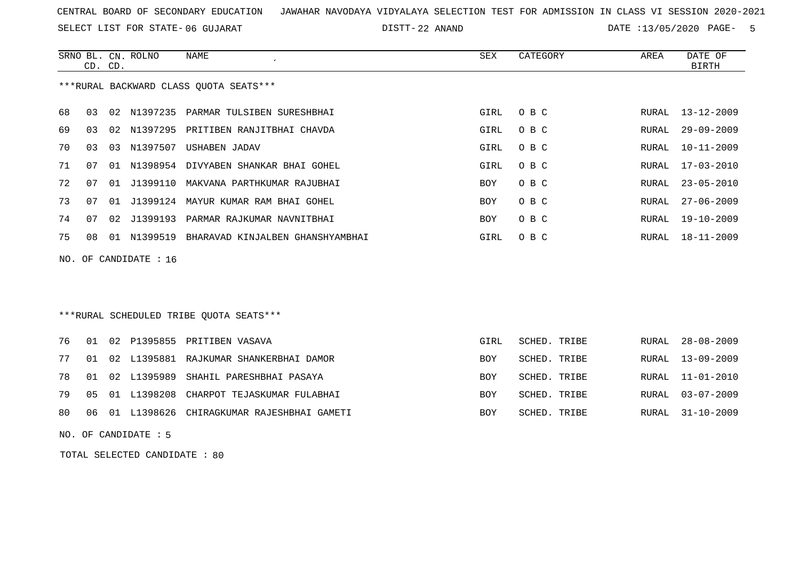SELECT LIST FOR STATE- DISTT- 06 GUJARAT

22 ANAND DATE :13/05/2020 PAGE- 5

|    | CD. CD.                                |  | SRNO BL. CN. ROLNO | NAME                                         | SEX  | CATEGORY | AREA  | DATE OF<br>BIRTH |  |  |  |
|----|----------------------------------------|--|--------------------|----------------------------------------------|------|----------|-------|------------------|--|--|--|
|    | ***RURAL BACKWARD CLASS QUOTA SEATS*** |  |                    |                                              |      |          |       |                  |  |  |  |
| 68 | 03                                     |  |                    | 02 N1397235 PARMAR TULSIBEN SURESHBHAI       | GIRL | O B C    |       | RURAL 13-12-2009 |  |  |  |
| 69 | 03                                     |  |                    | 02 N1397295 PRITIBEN RANJITBHAI CHAVDA       | GIRL | O B C    | RURAL | 29-09-2009       |  |  |  |
| 70 | 03                                     |  | 03 N1397507        | USHABEN JADAV                                | GIRL | O B C    |       | RURAL 10-11-2009 |  |  |  |
| 71 | 07                                     |  |                    | 01 N1398954 DIVYABEN SHANKAR BHAI GOHEL      | GIRL | O B C    |       | RURAL 17-03-2010 |  |  |  |
| 72 | 07                                     |  | 01 J1399110        | MAKVANA PARTHKUMAR RAJUBHAI                  | BOY  | O B C    |       | RURAL 23-05-2010 |  |  |  |
| 73 | 07                                     |  |                    | 01 J1399124 MAYUR KUMAR RAM BHAI GOHEL       | BOY  | O B C    | RURAL | 27-06-2009       |  |  |  |
| 74 | 07                                     |  |                    | 02 J1399193 PARMAR RAJKUMAR NAVNITBHAI       | BOY  | O B C    |       | RURAL 19-10-2009 |  |  |  |
| 75 | 08                                     |  |                    | 01 N1399519 BHARAVAD KINJALBEN GHANSHYAMBHAI | GIRL | O B C    |       | RURAL 18-11-2009 |  |  |  |
|    | NO. OF CANDIDATE : $16$                |  |                    |                                              |      |          |       |                  |  |  |  |

### \*\*\*RURAL SCHEDULED TRIBE QUOTA SEATS\*\*\*

|  |  | 76 01 02 P1395855 PRITIBEN VASAVA               | GIRL       | SCHED. TRIBE | RURAL 28-08-2009 |
|--|--|-------------------------------------------------|------------|--------------|------------------|
|  |  | 77 01 02 L1395881 RAJKUMAR SHANKERBHAI DAMOR    | <b>BOY</b> | SCHED. TRIBE | RURAL 13-09-2009 |
|  |  | 78 01 02 L1395989 SHAHIL PARESHBHAI PASAYA      | <b>BOY</b> | SCHED. TRIBE | RURAL 11-01-2010 |
|  |  | 79 05 01 L1398208 CHARPOT TEJASKUMAR FULABHAI   | <b>BOY</b> | SCHED. TRIBE | RURAL 03-07-2009 |
|  |  | 80 06 01 L1398626 CHIRAGKUMAR RAJESHBHAI GAMETI | <b>BOY</b> | SCHED. TRIBE | RURAL 31-10-2009 |
|  |  |                                                 |            |              |                  |

NO. OF CANDIDATE : 5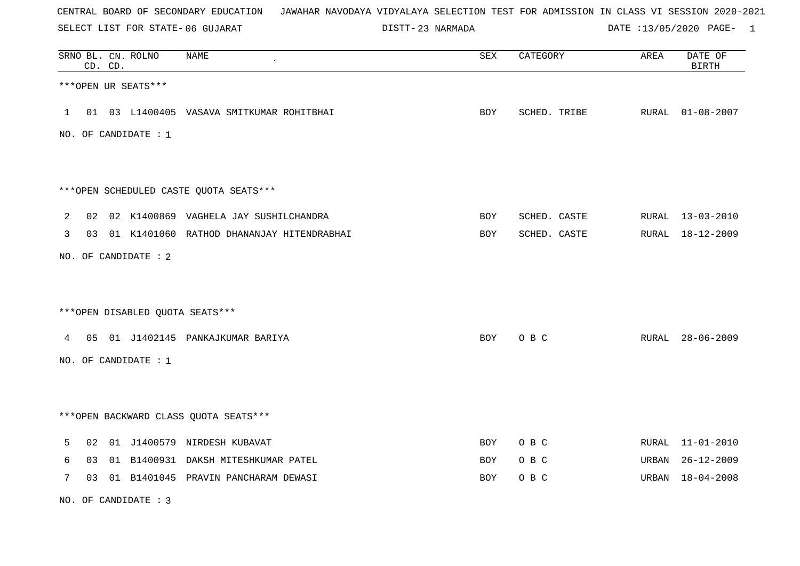SELECT LIST FOR STATE- DISTT- 06 GUJARAT

23 NARMADA DATE :13/05/2020 PAGE- 1

|                |    | CD. CD. | SRNO BL. CN. ROLNO   | <b>NAME</b>                                  | SEX | CATEGORY     | AREA  | DATE OF<br><b>BIRTH</b> |
|----------------|----|---------|----------------------|----------------------------------------------|-----|--------------|-------|-------------------------|
|                |    |         | ***OPEN UR SEATS***  |                                              |     |              |       |                         |
| $\mathbf{1}$   |    |         |                      | 01 03 L1400405 VASAVA SMITKUMAR ROHITBHAI    | BOY | SCHED. TRIBE |       | RURAL 01-08-2007        |
|                |    |         | NO. OF CANDIDATE : 1 |                                              |     |              |       |                         |
|                |    |         |                      |                                              |     |              |       |                         |
|                |    |         |                      | ***OPEN SCHEDULED CASTE QUOTA SEATS***       |     |              |       |                         |
| $\overline{2}$ |    |         |                      | 02 02 K1400869 VAGHELA JAY SUSHILCHANDRA     | BOY | SCHED. CASTE |       | RURAL 13-03-2010        |
| 3              |    |         |                      | 03 01 K1401060 RATHOD DHANANJAY HITENDRABHAI | BOY | SCHED. CASTE |       | RURAL 18-12-2009        |
|                |    |         | NO. OF CANDIDATE : 2 |                                              |     |              |       |                         |
|                |    |         |                      |                                              |     |              |       |                         |
|                |    |         |                      | ***OPEN DISABLED QUOTA SEATS***              |     |              |       |                         |
|                |    |         |                      | 4 05 01 J1402145 PANKAJKUMAR BARIYA          | BOY | O B C        |       | RURAL 28-06-2009        |
|                |    |         | NO. OF CANDIDATE : 1 |                                              |     |              |       |                         |
|                |    |         |                      |                                              |     |              |       |                         |
|                |    |         |                      | *** OPEN BACKWARD CLASS QUOTA SEATS***       |     |              |       |                         |
| 5              | 02 |         |                      | 01 J1400579 NIRDESH KUBAVAT                  | BOY | O B C        |       | RURAL 11-01-2010        |
| 6              | 03 |         |                      | 01 B1400931 DAKSH MITESHKUMAR PATEL          | BOY | O B C        | URBAN | $26 - 12 - 2009$        |
| 7              |    |         |                      | 03 01 B1401045 PRAVIN PANCHARAM DEWASI       | BOY | O B C        |       | URBAN 18-04-2008        |

NO. OF CANDIDATE : 3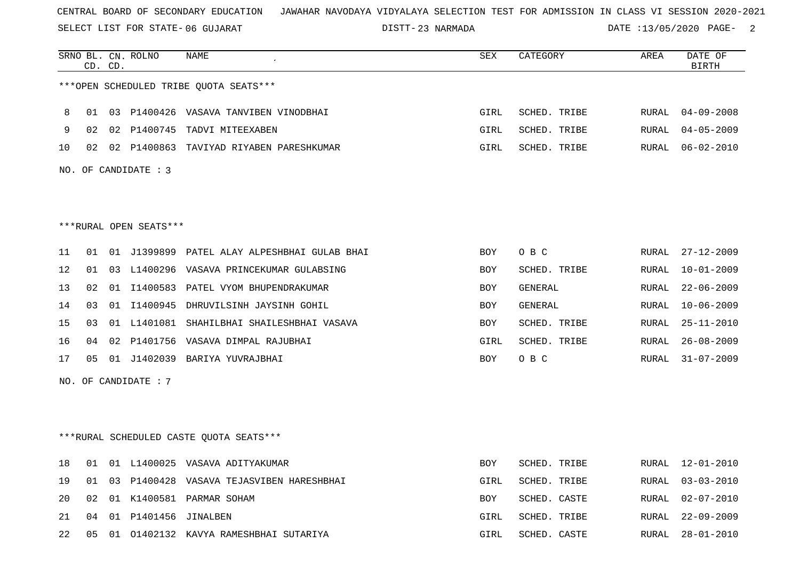SELECT LIST FOR STATE- DISTT- 06 GUJARAT

23 NARMADA DATE :13/05/2020 PAGE- 2

|    |    | CD. CD. | SRNO BL. CN. ROLNO     | <b>NAME</b>                                  | <b>SEX</b> | CATEGORY     | AREA  | DATE OF<br><b>BIRTH</b> |
|----|----|---------|------------------------|----------------------------------------------|------------|--------------|-------|-------------------------|
|    |    |         |                        | ***OPEN SCHEDULED TRIBE QUOTA SEATS***       |            |              |       |                         |
| 8  | 01 |         |                        | 03 P1400426 VASAVA TANVIBEN VINODBHAI        | GIRL       | SCHED. TRIBE | RURAL | 04-09-2008              |
| 9  |    |         |                        | 02 02 P1400745 TADVI MITEEXABEN              | GIRL       | SCHED. TRIBE | RURAL | $04 - 05 - 2009$        |
| 10 |    |         |                        | 02 02 P1400863 TAVIYAD RIYABEN PARESHKUMAR   | GIRL       | SCHED. TRIBE | RURAL | $06 - 02 - 2010$        |
|    |    |         | NO. OF CANDIDATE : 3   |                                              |            |              |       |                         |
|    |    |         |                        |                                              |            |              |       |                         |
|    |    |         | ***RURAL OPEN SEATS*** |                                              |            |              |       |                         |
| 11 | 01 |         |                        | 01 J1399899 PATEL ALAY ALPESHBHAI GULAB BHAI | <b>BOY</b> | O B C        | RURAL | $27 - 12 - 2009$        |
| 12 | 01 | 03      |                        | L1400296 VASAVA PRINCEKUMAR GULABSING        | <b>BOY</b> | SCHED. TRIBE | RURAL | $10 - 01 - 2009$        |
| 13 | 02 |         |                        | 01 I1400583 PATEL VYOM BHUPENDRAKUMAR        | BOY        | GENERAL      | RURAL | $22 - 06 - 2009$        |
| 14 | 03 |         |                        | 01 I1400945 DHRUVILSINH JAYSINH GOHIL        | BOY        | GENERAL      | RURAL | $10 - 06 - 2009$        |
| 15 | 03 | 01      |                        | L1401081 SHAHILBHAI SHAILESHBHAI VASAVA      | <b>BOY</b> | SCHED. TRIBE | RURAL | $25 - 11 - 2010$        |
| 16 | 04 | 02      |                        | P1401756 VASAVA DIMPAL RAJUBHAI              | GIRL       | SCHED. TRIBE | RURAL | $26 - 08 - 2009$        |
| 17 | 05 |         |                        | 01 J1402039 BARIYA YUVRAJBHAI                | <b>BOY</b> | O B C        |       | RURAL 31-07-2009        |
|    |    |         | NO. OF CANDIDATE : 7   |                                              |            |              |       |                         |
|    |    |         |                        |                                              |            |              |       |                         |
|    |    |         |                        | ***RURAL SCHEDULED CASTE OUOTA SEATS***      |            |              |       |                         |
| 18 | 01 |         |                        | 01 L1400025 VASAVA ADITYAKUMAR               | <b>BOY</b> | SCHED. TRIBE | RURAL | 12-01-2010              |
| 19 | 01 | 03      |                        | P1400428 VASAVA TEJASVIBEN HARESHBHAI        | GIRL       | SCHED. TRIBE | RURAL | $03 - 03 - 2010$        |
| 20 | 02 |         |                        | 01 K1400581 PARMAR SOHAM                     | BOY        | SCHED. CASTE | RURAL | $02 - 07 - 2010$        |
| 21 | 04 |         | 01 P1401456 JINALBEN   |                                              | GIRL       | SCHED. TRIBE | RURAL | $22 - 09 - 2009$        |
| 22 | 05 |         |                        | 01 01402132 KAVYA RAMESHBHAI SUTARIYA        | GIRL       | SCHED. CASTE | RURAL | $28 - 01 - 2010$        |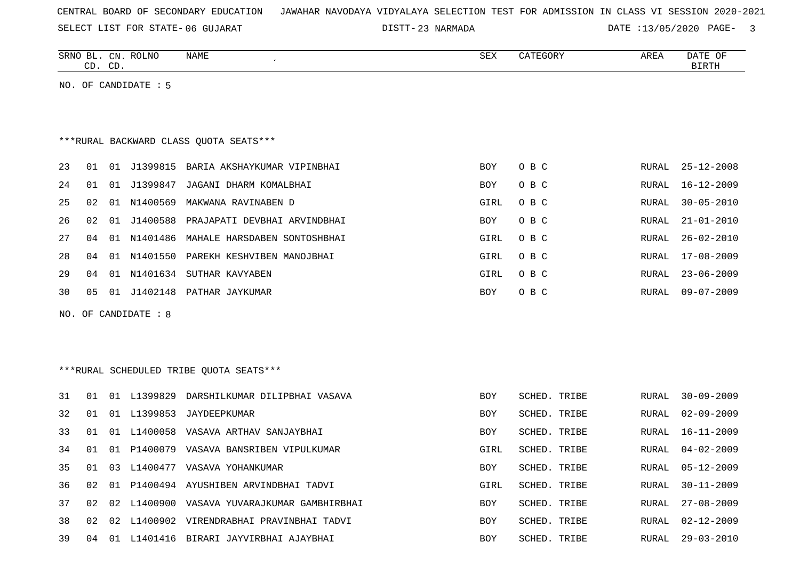SELECT LIST FOR STATE- DISTT- 06 GUJARAT

23 NARMADA DATE :13/05/2020 PAGE- 3

|    |    | CD. CD. | SRNO BL. CN. ROLNO   | <b>NAME</b>                               | <b>SEX</b> | CATEGORY     | AREA         | DATE OF<br><b>BIRTH</b> |
|----|----|---------|----------------------|-------------------------------------------|------------|--------------|--------------|-------------------------|
|    |    |         | NO. OF CANDIDATE : 5 |                                           |            |              |              |                         |
|    |    |         |                      |                                           |            |              |              |                         |
|    |    |         |                      |                                           |            |              |              |                         |
|    |    |         |                      | *** RURAL BACKWARD CLASS QUOTA SEATS***   |            |              |              |                         |
| 23 | 01 |         |                      | 01 J1399815 BARIA AKSHAYKUMAR VIPINBHAI   | BOY        | O B C        | RURAL        | $25 - 12 - 2008$        |
| 24 | 01 |         | 01 J1399847          | JAGANI DHARM KOMALBHAI                    | BOY        | O B C        | RURAL        | 16-12-2009              |
| 25 | 02 | 01      |                      | N1400569 MAKWANA RAVINABEN D              | GIRL       | O B C        | <b>RURAL</b> | $30 - 05 - 2010$        |
| 26 | 02 | 01      | J1400588             | PRAJAPATI DEVBHAI ARVINDBHAI              | BOY        | O B C        | <b>RURAL</b> | $21 - 01 - 2010$        |
| 27 | 04 |         |                      | 01 N1401486 MAHALE HARSDABEN SONTOSHBHAI  | GIRL       | O B C        | <b>RURAL</b> | $26 - 02 - 2010$        |
| 28 | 04 | 01      |                      | N1401550 PAREKH KESHVIBEN MANOJBHAI       | GIRL       | O B C        | <b>RURAL</b> | $17 - 08 - 2009$        |
| 29 | 04 |         |                      | 01 N1401634 SUTHAR KAVYABEN               | GIRL       | O B C        | RURAL        | $23 - 06 - 2009$        |
| 30 | 05 |         |                      | 01 J1402148 PATHAR JAYKUMAR               | BOY        | O B C        |              | RURAL 09-07-2009        |
|    |    |         | NO. OF CANDIDATE : 8 |                                           |            |              |              |                         |
|    |    |         |                      |                                           |            |              |              |                         |
|    |    |         |                      |                                           |            |              |              |                         |
|    |    |         |                      | *** RURAL SCHEDULED TRIBE QUOTA SEATS***  |            |              |              |                         |
| 31 | 01 |         |                      | 01 L1399829 DARSHILKUMAR DILIPBHAI VASAVA | <b>BOY</b> | SCHED. TRIBE | RURAL        | $30 - 09 - 2009$        |
| 32 | 01 |         |                      | 01 L1399853 JAYDEEPKUMAR                  | <b>BOY</b> | SCHED. TRIBE | RURAL        | $02 - 09 - 2009$        |
| 33 | 01 | 01      |                      | L1400058 VASAVA ARTHAV SANJAYBHAI         | BOY        | SCHED. TRIBE | <b>RURAL</b> | $16 - 11 - 2009$        |
| 34 | 01 | 01      |                      | P1400079 VASAVA BANSRIBEN VIPULKUMAR      | GIRL       | SCHED. TRIBE | RURAL        | $04 - 02 - 2009$        |
| 35 | 01 | 03      |                      | L1400477 VASAVA YOHANKUMAR                | <b>BOY</b> | SCHED. TRIBE | <b>RURAL</b> | $05 - 12 - 2009$        |
| 36 | 02 | 01      |                      | P1400494 AYUSHIBEN ARVINDBHAI TADVI       | GIRL       | SCHED. TRIBE | <b>RURAL</b> | $30 - 11 - 2009$        |
| 37 | 02 | 02      |                      | L1400900 VASAVA YUVARAJKUMAR GAMBHIRBHAI  | BOY        | SCHED. TRIBE | <b>RURAL</b> | $27 - 08 - 2009$        |
| 38 | 02 | 02      |                      | L1400902 VIRENDRABHAI PRAVINBHAI TADVI    | <b>BOY</b> | SCHED. TRIBE | RURAL        | $02 - 12 - 2009$        |
| 39 | 04 |         |                      | 01 L1401416 BIRARI JAYVIRBHAI AJAYBHAI    | <b>BOY</b> | SCHED. TRIBE | RURAL        | $29 - 03 - 2010$        |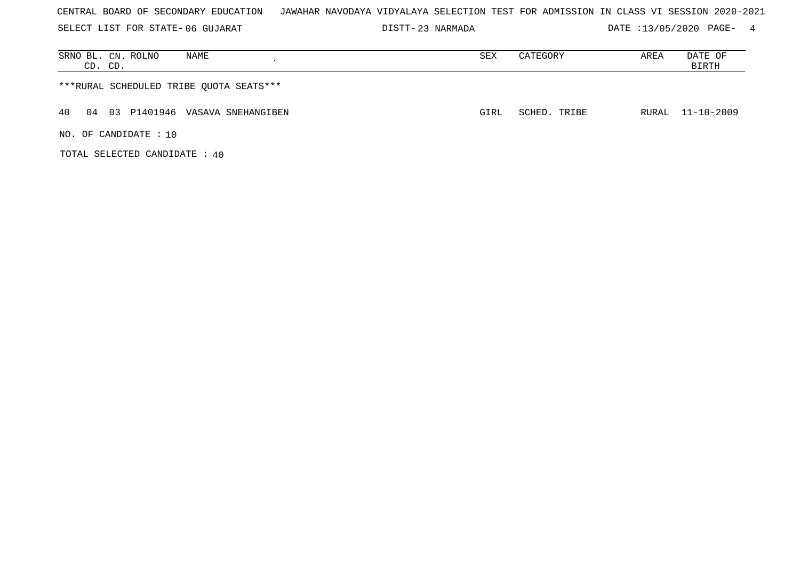| CENTRAL BOARD OF SECONDARY EDUCATION – JAWAHAR NAVODAYA VIDYALAYA SELECTION TEST FOR ADMISSION IN CLASS VI SESSION 2020-2021 |  |  |  |  |  |  |  |
|------------------------------------------------------------------------------------------------------------------------------|--|--|--|--|--|--|--|
|------------------------------------------------------------------------------------------------------------------------------|--|--|--|--|--|--|--|

23 NARMADA DATE :13/05/2020 PAGE- 4

| SRNO BL. CN. ROLNO<br>NAME<br>CD. CD.      | SEX  | CATEGORY     | AREA | DATE OF<br>BIRTH |
|--------------------------------------------|------|--------------|------|------------------|
| ***RURAL SCHEDULED TRIBE OUOTA SEATS***    |      |              |      |                  |
| 40<br>03 P1401946 VASAVA SNEHANGIBEN<br>04 | GIRL | SCHED. TRIBE |      | RURAL 11-10-2009 |
| NO. OF CANDIDATE: 10                       |      |              |      |                  |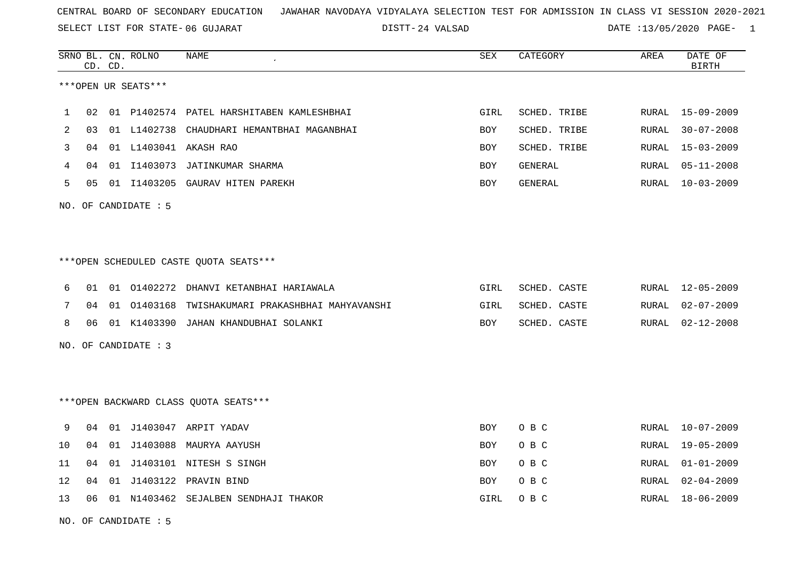24 VALSAD DATE :13/05/2020 PAGE- 1

|    |      | CD. CD. | SRNO BL. CN. ROLNO   | <b>NAME</b>                                | ${\tt SEX}$ | CATEGORY     | AREA  | DATE OF<br><b>BIRTH</b> |
|----|------|---------|----------------------|--------------------------------------------|-------------|--------------|-------|-------------------------|
|    |      |         | ***OPEN UR SEATS***  |                                            |             |              |       |                         |
| 1  | 02   |         |                      | 01 P1402574 PATEL HARSHITABEN KAMLESHBHAI  | GIRL        | SCHED. TRIBE | RURAL | 15-09-2009              |
| 2  | 03   |         |                      | 01 L1402738 CHAUDHARI HEMANTBHAI MAGANBHAI | BOY         | SCHED. TRIBE | RURAL | $30 - 07 - 2008$        |
| 3  | 04   |         |                      | 01 L1403041 AKASH RAO                      | BOY         | SCHED. TRIBE | RURAL | $15 - 03 - 2009$        |
| 4  | 04   |         |                      | 01 I1403073 JATINKUMAR SHARMA              | BOY         | GENERAL      | RURAL | $05 - 11 - 2008$        |
| 5  | 05   |         |                      | 01 I1403205 GAURAV HITEN PAREKH            | BOY         | GENERAL      | RURAL | $10 - 03 - 2009$        |
|    |      |         | NO. OF CANDIDATE : 5 |                                            |             |              |       |                         |
|    |      |         |                      | ***OPEN SCHEDULED CASTE QUOTA SEATS***     |             |              |       |                         |
| 6  | 01   |         | 01 01402272          | DHANVI KETANBHAI HARIAWALA                 | GIRL        | SCHED. CASTE | RURAL | $12 - 05 - 2009$        |
| 7  | 04   |         | 01 01403168          | TWISHAKUMARI PRAKASHBHAI MAHYAVANSHI       | GIRL        | SCHED. CASTE | RURAL | $02 - 07 - 2009$        |
| 8  | 06   |         |                      | 01 K1403390 JAHAN KHANDUBHAI SOLANKI       | <b>BOY</b>  | SCHED. CASTE | RURAL | $02 - 12 - 2008$        |
|    |      |         | NO. OF CANDIDATE : 3 |                                            |             |              |       |                         |
|    |      |         |                      |                                            |             |              |       |                         |
|    |      |         |                      | *** OPEN BACKWARD CLASS QUOTA SEATS***     |             |              |       |                         |
| 9  | 04   |         |                      | 01 J1403047 ARPIT YADAV                    | BOY         | O B C        | RURAL | $10 - 07 - 2009$        |
| 10 | 04   | 01      |                      | J1403088 MAURYA AAYUSH                     | BOY         | O B C        | RURAL | $19 - 05 - 2009$        |
| 11 | 04   |         |                      | 01 J1403101 NITESH S SINGH                 | BOY         | O B C        | RURAL | $01 - 01 - 2009$        |
| 12 | 04   | 01      |                      | J1403122 PRAVIN BIND                       | BOY         | O B C        | RURAL | $02 - 04 - 2009$        |
| 13 | 06 - |         |                      | 01 N1403462 SEJALBEN SENDHAJI THAKOR       | GIRL        | O B C        | RURAL | 18-06-2009              |
|    |      |         |                      |                                            |             |              |       |                         |

NO. OF CANDIDATE : 5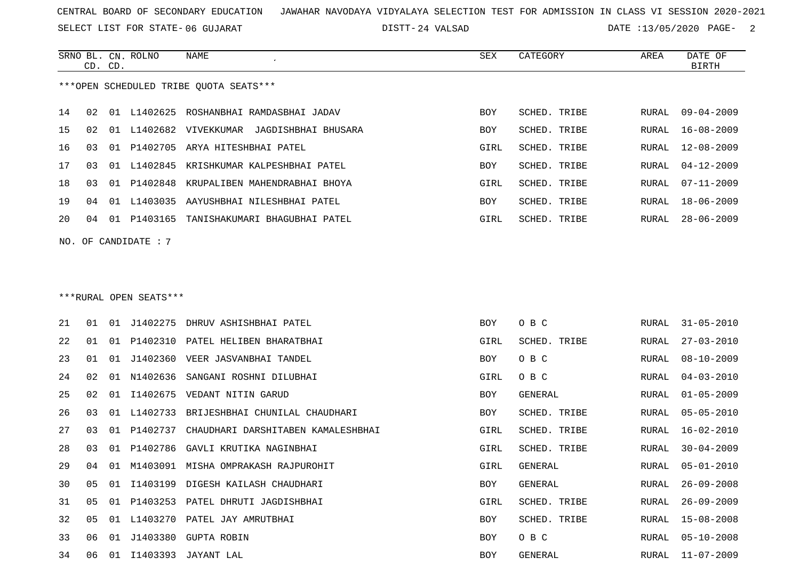SELECT LIST FOR STATE- DISTT- 06 GUJARAT

DISTT-24 VALSAD DATE :13/05/2020 PAGE- 2

|               | CD. CD. |    | SRNO BL. CN. ROLNO     | <b>NAME</b>                                                | <b>SEX</b> | CATEGORY             | AREA  | DATE OF<br><b>BIRTH</b> |
|---------------|---------|----|------------------------|------------------------------------------------------------|------------|----------------------|-------|-------------------------|
|               |         |    |                        | ***OPEN SCHEDULED TRIBE OUOTA SEATS***                     |            |                      |       |                         |
| 14            | 02      |    |                        | 01 L1402625 ROSHANBHAI RAMDASBHAI JADAV                    | <b>BOY</b> | SCHED. TRIBE         | RURAL | $09 - 04 - 2009$        |
| 15            | 02      | 01 |                        | L1402682 VIVEKKUMAR<br>JAGDISHBHAI BHUSARA                 | <b>BOY</b> | SCHED. TRIBE         | RURAL | $16 - 08 - 2009$        |
| 16            | 03      | 01 | P1402705               | ARYA HITESHBHAI PATEL                                      | GIRL       | SCHED. TRIBE         | RURAL | $12 - 08 - 2009$        |
| 17            | 03      | 01 | L1402845               | KRISHKUMAR KALPESHBHAI PATEL                               | <b>BOY</b> | SCHED. TRIBE         | RURAL | $04 - 12 - 2009$        |
| 18            | 03      | 01 | P1402848               | KRUPALIBEN MAHENDRABHAI BHOYA                              | GIRL       | SCHED. TRIBE         | RURAL | $07 - 11 - 2009$        |
| 19            | 04      |    | 01 L1403035            | AAYUSHBHAI NILESHBHAI PATEL                                | <b>BOY</b> | SCHED. TRIBE         | RURAL | $18 - 06 - 2009$        |
| 20            | 04      |    |                        | 01 P1403165 TANISHAKUMARI BHAGUBHAI PATEL                  | GIRL       | SCHED. TRIBE         | RURAL | $28 - 06 - 2009$        |
| NO.           |         |    | OF CANDIDATE : 7       |                                                            |            |                      |       |                         |
|               |         |    |                        |                                                            |            |                      |       |                         |
|               |         |    |                        |                                                            |            |                      |       |                         |
|               |         |    | ***RURAL OPEN SEATS*** |                                                            |            |                      |       |                         |
| 2.1           | 01      |    | 01 J1402275            | DHRUV ASHISHBHAI PATEL                                     | BOY        | O B C                | RURAL | $31 - 05 - 2010$        |
| 22            | 01      | 01 | P1402310               | PATEL HELIBEN BHARATBHAI                                   | GIRL       | SCHED. TRIBE         | RURAL | $27 - 03 - 2010$        |
| $\cap$ $\cap$ |         |    |                        | $21.01$ $71.00250$ $177770$ $72.0113170113$ $75.017317077$ | $T^{\sim}$ | $\sim$ $\sim$ $\sim$ |       | $P_{\text{H}}$          |

| 21 | 01             | 01  | J1402275 | DHRUV ASHISHBHAI PATEL             | BOY        | O B C        |       | RURAL 31-05-2010 |
|----|----------------|-----|----------|------------------------------------|------------|--------------|-------|------------------|
| 22 | 01             | 01  | P1402310 | PATEL HELIBEN BHARATBHAI           | GIRL       | SCHED. TRIBE | RURAL | $27 - 03 - 2010$ |
| 23 | 01             | 01  | J1402360 | VEER JASVANBHAI TANDEL             | BOY        | O B C        | RURAL | $08 - 10 - 2009$ |
| 24 | 02             | 01  | N1402636 | SANGANI ROSHNI DILUBHAI            | GIRL       | O B C        | RURAL | $04 - 03 - 2010$ |
| 25 | 02             | 01  |          | I1402675 VEDANT NITIN GARUD        | BOY        | GENERAL      | RURAL | $01 - 05 - 2009$ |
| 26 | 03             | 01  | L1402733 | BRIJESHBHAI CHUNILAL CHAUDHARI     | BOY        | SCHED. TRIBE | RURAL | $05 - 05 - 2010$ |
| 27 | 03             | O 1 | P1402737 | CHAUDHARI DARSHITABEN KAMALESHBHAI | GIRL       | SCHED. TRIBE | RURAL | $16 - 02 - 2010$ |
| 28 | 03             | 01  | P1402786 | GAVLI KRUTIKA NAGINBHAI            | GIRL       | SCHED. TRIBE | RURAL | $30 - 04 - 2009$ |
| 29 | 04             | 01  | M1403091 | MISHA OMPRAKASH RAJPUROHIT         | GIRL       | GENERAL      | RURAL | $05 - 01 - 2010$ |
| 30 | 0 <sub>5</sub> | 01  | I1403199 | DIGESH KAILASH CHAUDHARI           | <b>BOY</b> | GENERAL      | RURAL | $26 - 09 - 2008$ |
| 31 | 0 <sub>5</sub> | 01  | P1403253 | PATEL DHRUTI JAGDISHBHAI           | GIRL       | SCHED. TRIBE | RURAL | $26 - 09 - 2009$ |
| 32 | 05             | 01  | L1403270 | PATEL JAY AMRUTBHAI                | BOY        | SCHED. TRIBE | RURAL | 15-08-2008       |
| 33 | 06             | 01  |          | J1403380 GUPTA ROBIN               | BOY        | O B C        | RURAL | $05 - 10 - 2008$ |
| 34 | 06             | 01  | I1403393 | JAYANT LAL                         | <b>BOY</b> | GENERAL      | RURAL | $11 - 07 - 2009$ |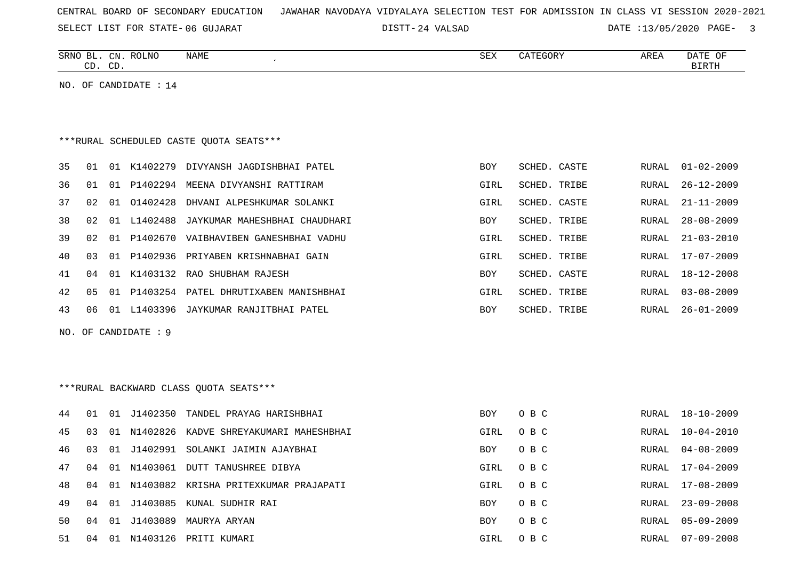|    |    |         |                         | SELECT LIST FOR STATE-06 GUJARAT        | DISTT-24 VALSAD |      |              |       | $DATA:13/05/2020$ $PAGE-3$ |
|----|----|---------|-------------------------|-----------------------------------------|-----------------|------|--------------|-------|----------------------------|
|    |    | CD. CD. | SRNO BL. CN. ROLNO      | NAME                                    |                 | SEX  | CATEGORY     | AREA  | DATE OF<br>BIRTH           |
|    |    |         | NO. OF CANDIDATE : $14$ |                                         |                 |      |              |       |                            |
|    |    |         |                         |                                         |                 |      |              |       |                            |
|    |    |         |                         | ***RURAL SCHEDULED CASTE QUOTA SEATS*** |                 |      |              |       |                            |
| 35 | 01 | 01      | K1402279                | DIVYANSH JAGDISHBHAI PATEL              |                 | BOY  | SCHED. CASTE | RURAL | 01-02-2009                 |
| 36 | 01 | 01      | P1402294                | MEENA DIVYANSHI RATTIRAM                |                 | GIRL | SCHED. TRIBE | RURAL | $26 - 12 - 2009$           |
| 37 | 02 | 01      | 01402428                | DHVANI ALPESHKUMAR SOLANKI              |                 | GIRL | SCHED. CASTE | RURAL | $21 - 11 - 2009$           |
| 38 | 02 | 01      | L1402488                | JAYKUMAR MAHESHBHAI CHAUDHARI           |                 | BOY  | SCHED. TRIBE | RURAL | $28 - 08 - 2009$           |
| 39 | 02 | 01      | P1402670                | VAIBHAVIBEN GANESHBHAI VADHU            |                 | GIRL | SCHED. TRIBE | RURAL | $21 - 03 - 2010$           |

GIRL SCHED. TRIBE RURAL 17-07-2009

GIRL SCHED. TRIBE RURAL 03-08-2009

SCHED. CASTE RURAL 18-12-2008

SCHED. TRIBE RURAL 26-01-2009

NO. OF CANDIDATE : 9

40 03 01 P1402936 PRIYABEN KRISHNABHAI GAIN

42 05 01 P1403254 PATEL DHRUTIXABEN MANISHBHAI

41 04 01 K1403132 RAO SHUBHAM RAJESH BOY SCHED. CASTE BOY

43 06 01 L1403396 JAYKUMAR RANJITBHAI PATEL SOM SOM SOM

## \*\*\*RURAL BACKWARD CLASS QUOTA SEATS\*\*\*

| 44 | -01 | 01    | J1402350 | TANDEL PRAYAG HARISHBHAI                 | BOY        | O B C | RURAL | $18 - 10 - 2009$ |
|----|-----|-------|----------|------------------------------------------|------------|-------|-------|------------------|
| 45 | 03  | 01    | N1402826 | KADVE SHREYAKUMARI MAHESHBHAI            | GIRL       | O B C | RURAL | $10 - 04 - 2010$ |
| 46 | 03  | 01    | J1402991 | SOLANKI JAIMIN AJAYBHAI                  | <b>BOY</b> | O B C | RURAL | $04 - 08 - 2009$ |
| 47 | 04  | . N 1 | N1403061 | DUTT TANUSHREE DIBYA                     | GIRL       | O B C | RURAL | 17-04-2009       |
| 48 | 04  |       |          | 01 N1403082 KRISHA PRITEXKUMAR PRAJAPATI | GIRL       | O B C | RURAL | $17 - 08 - 2009$ |
| 49 | 04  | 01    | J1403085 | KUNAL SUDHIR RAI                         | <b>BOY</b> | O B C | RURAL | $23 - 09 - 2008$ |
| 50 | 04  | 01    | J1403089 | MAURYA ARYAN                             | <b>BOY</b> | O B C | RURAL | $05 - 09 - 2009$ |
| 51 | 04  | 01    | N1403126 | PRITI KUMARI                             | GIRL       | O B C | RURAL | $07 - 09 - 2008$ |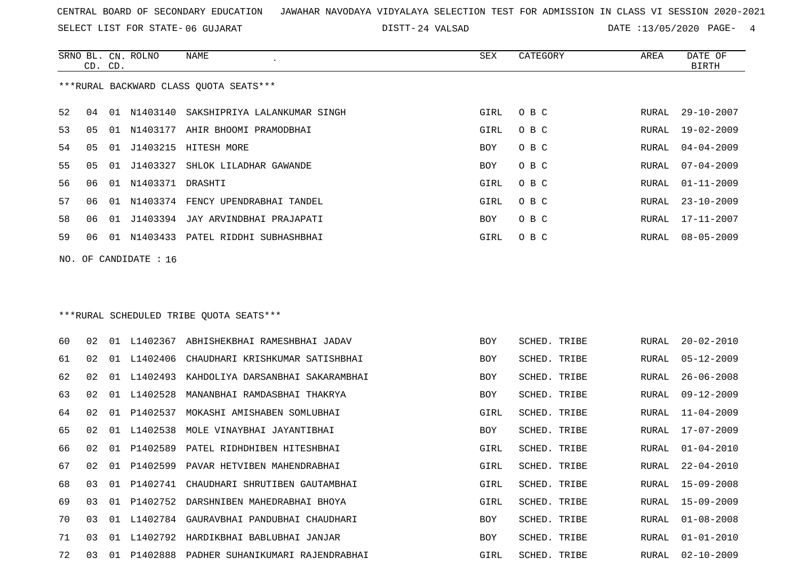SELECT LIST FOR STATE- DISTT- 06 GUJARAT

24 VALSAD DATE :13/05/2020 PAGE- 4

|     | CD. CD. |     | SRNO BL. CN. ROLNO | NAME                                   | SEX  | CATEGORY | AREA  | DATE OF<br><b>BIRTH</b> |
|-----|---------|-----|--------------------|----------------------------------------|------|----------|-------|-------------------------|
|     |         |     |                    | ***RURAL BACKWARD CLASS QUOTA SEATS*** |      |          |       |                         |
| 52  | 04      | 01  |                    | N1403140 SAKSHIPRIYA LALANKUMAR SINGH  | GIRL | O B C    |       | RURAL 29-10-2007        |
| 53  | 05      | 01  | N1403177           | AHIR BHOOMI PRAMODBHAI                 | GIRL | O B C    | RURAL | $19 - 02 - 2009$        |
| 54  | 05      | 01  |                    | J1403215 HITESH MORE                   | BOY  | O B C    | RURAL | $04 - 04 - 2009$        |
| 55  | 05      | 01  | J1403327           | SHLOK LILADHAR GAWANDE                 | BOY  | O B C    | RURAL | 07-04-2009              |
| 56. | 06      | 01  | N1403371 DRASHTI   |                                        | GIRL | O B C    |       | RURAL $01 - 11 - 2009$  |
| 57  | 06      | O 1 | N1403374           | FENCY UPENDRABHAI TANDEL               | GIRL | O B C    | RURAL | $23 - 10 - 2009$        |
| 58  | 06      | 01  |                    | J1403394 JAY ARVINDBHAI PRAJAPATI      | BOY  | O B C    | RURAL | 17-11-2007              |
| 59  | ೧೯      | 01  | N1403433           | PATEL RIDDHI SUBHASHBHAI               | GIRL | O B C    | RURAL | $08 - 05 - 2009$        |
|     |         |     |                    |                                        |      |          |       |                         |

NO. OF CANDIDATE : 16

### \*\*\*RURAL SCHEDULED TRIBE QUOTA SEATS\*\*\*

| 60 | 02 | 01    | L1402367 | ABHISHEKBHAI RAMESHBHAI JADAV    | BOY  | SCHED. TRIBE | RURAL | $20 - 02 - 2010$ |
|----|----|-------|----------|----------------------------------|------|--------------|-------|------------------|
| 61 | 02 | 01    | L1402406 | CHAUDHARI KRISHKUMAR SATISHBHAI  | BOY  | SCHED. TRIBE | RURAL | $05 - 12 - 2009$ |
| 62 | 02 | . N 1 | L1402493 | KAHDOLIYA DARSANBHAI SAKARAMBHAI | BOY  | SCHED. TRIBE | RURAL | $26 - 06 - 2008$ |
| 63 | 02 | O 1   | L1402528 | MANANBHAI RAMDASBHAI THAKRYA     | BOY  | SCHED. TRIBE | RURAL | $09 - 12 - 2009$ |
| 64 | 02 | O 1   | P1402537 | MOKASHI AMISHABEN SOMLUBHAI      | GIRL | SCHED. TRIBE | RURAL | $11 - 04 - 2009$ |
| 65 | 02 | 01    | L1402538 | MOLE VINAYBHAI JAYANTIBHAI       | BOY  | SCHED. TRIBE | RURAL | 17-07-2009       |
| 66 | 02 | O 1   | P1402589 | PATEL RIDHDHIBEN HITESHBHAI      | GIRL | SCHED. TRIBE | RURAL | $01 - 04 - 2010$ |
| 67 | 02 | O 1   | P1402599 | PAVAR HETVIBEN MAHENDRABHAI      | GIRL | SCHED. TRIBE | RURAL | $22 - 04 - 2010$ |
| 68 | 03 | 01    | P1402741 | CHAUDHARI SHRUTIBEN GAUTAMBHAI   | GIRL | SCHED. TRIBE | RURAL | $15 - 09 - 2008$ |
| 69 | 03 | 01    | P1402752 | DARSHNIBEN MAHEDRABHAI BHOYA     | GIRL | SCHED. TRIBE | RURAL | $15 - 09 - 2009$ |
| 70 | 03 | 01    | L1402784 | GAURAVBHAI PANDUBHAI CHAUDHARI   | BOY  | SCHED. TRIBE | RURAL | $01 - 08 - 2008$ |
| 71 | 03 | O 1   | L1402792 | HARDIKBHAI BABLUBHAI JANJAR      | BOY  | SCHED. TRIBE | RURAL | $01 - 01 - 2010$ |
| 72 | 03 | 01    | P1402888 | PADHER SUHANIKUMARI RAJENDRABHAI | GIRL | SCHED. TRIBE | RURAL | $02 - 10 - 2009$ |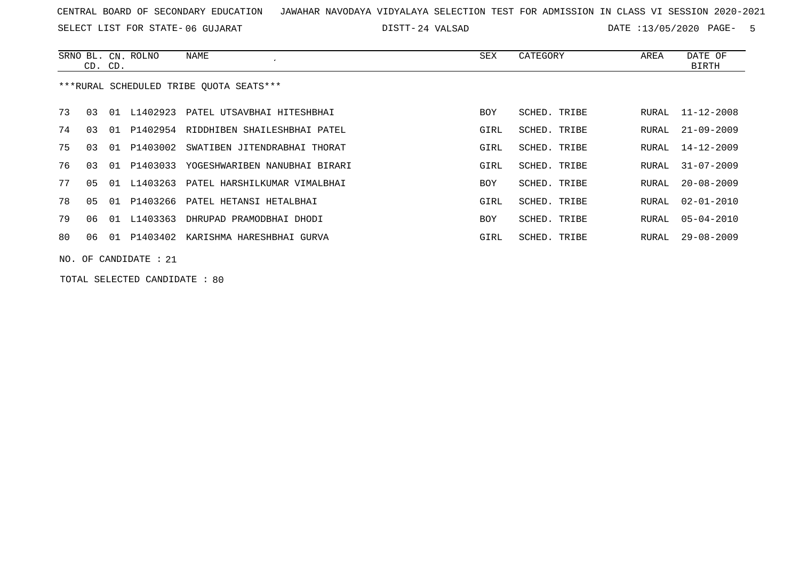SELECT LIST FOR STATE- DISTT- 06 GUJARAT

24 VALSAD DATE :13/05/2020 PAGE- 5

|    | CD. CD. |    | SRNO BL. CN. ROLNO   | NAME                                      | SEX        | CATEGORY     | AREA  | DATE OF<br>BIRTH |
|----|---------|----|----------------------|-------------------------------------------|------------|--------------|-------|------------------|
|    |         |    |                      | ***RURAL SCHEDULED TRIBE OUOTA SEATS***   |            |              |       |                  |
| 73 | 03      | 01 | L1402923             | PATEL UTSAVBHAI HITESHBHAI                | <b>BOY</b> | SCHED. TRIBE | RURAL | $11 - 12 - 2008$ |
| 74 | 03      | 01 |                      | P1402954 RIDDHIBEN SHAILESHBHAI PATEL     | GIRL       | SCHED. TRIBE | RURAL | $21 - 09 - 2009$ |
| 75 | 03      | 01 | P1403002             | SWATIBEN JITENDRABHAI THORAT              | GIRL       | SCHED. TRIBE | RURAL | $14 - 12 - 2009$ |
| 76 | 03      |    |                      | 01 P1403033 YOGESHWARIBEN NANUBHAI BIRARI | GIRL       | SCHED. TRIBE | RURAL | $31 - 07 - 2009$ |
| 77 | 05      | 01 |                      | L1403263 PATEL HARSHILKUMAR VIMALBHAI     | <b>BOY</b> | SCHED. TRIBE | RURAL | $20 - 08 - 2009$ |
| 78 | 05      | 01 |                      | P1403266 PATEL HETANSI HETALBHAI          | GIRL       | SCHED. TRIBE | RURAL | $02 - 01 - 2010$ |
| 79 | 06      | 01 | L1403363             | DHRUPAD PRAMODBHAI DHODI                  | <b>BOY</b> | SCHED. TRIBE | RURAL | $05 - 04 - 2010$ |
| 80 | 06      | 01 | P1403402             | KARISHMA HARESHBHAI GURVA                 | GIRL       | SCHED. TRIBE | RURAL | $29 - 08 - 2009$ |
|    |         |    | NO. OF CANDIDATE: 21 |                                           |            |              |       |                  |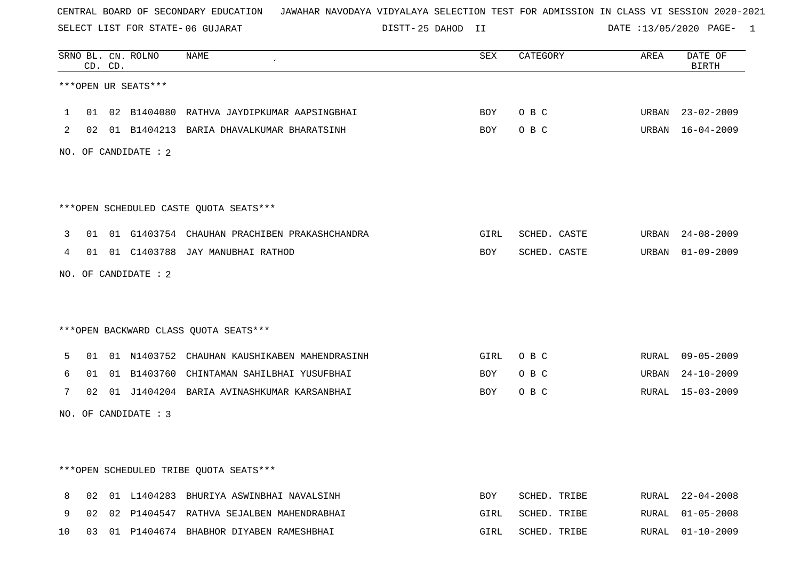SELECT LIST FOR STATE- DISTT- 06 GUJARAT

25 DAHOD II DATE :13/05/2020 PAGE- 1

|    |    | CD. CD. | SRNO BL. CN. ROLNO   | NAME                                            | <b>SEX</b> | CATEGORY     | AREA  | DATE OF<br><b>BIRTH</b> |
|----|----|---------|----------------------|-------------------------------------------------|------------|--------------|-------|-------------------------|
|    |    |         | ***OPEN UR SEATS***  |                                                 |            |              |       |                         |
| 1  |    |         |                      | 01 02 B1404080 RATHVA JAYDIPKUMAR AAPSINGBHAI   | <b>BOY</b> | O B C        | URBAN | 23-02-2009              |
| 2  |    |         |                      | 02 01 B1404213 BARIA DHAVALKUMAR BHARATSINH     | BOY        | O B C        |       | URBAN 16-04-2009        |
|    |    |         | NO. OF CANDIDATE : 2 |                                                 |            |              |       |                         |
|    |    |         |                      |                                                 |            |              |       |                         |
|    |    |         |                      | ***OPEN SCHEDULED CASTE QUOTA SEATS***          |            |              |       |                         |
| 3  |    |         |                      | 01 01 G1403754 CHAUHAN PRACHIBEN PRAKASHCHANDRA | GIRL       | SCHED. CASTE | URBAN | $24 - 08 - 2009$        |
| 4  |    |         |                      | 01 01 C1403788 JAY MANUBHAI RATHOD              | BOY        | SCHED. CASTE | URBAN | 01-09-2009              |
|    |    |         | NO. OF CANDIDATE : 2 |                                                 |            |              |       |                         |
|    |    |         |                      |                                                 |            |              |       |                         |
|    |    |         |                      | *** OPEN BACKWARD CLASS QUOTA SEATS***          |            |              |       |                         |
| 5  |    |         |                      | 01 01 N1403752 CHAUHAN KAUSHIKABEN MAHENDRASINH | GIRL       | O B C        |       | RURAL 09-05-2009        |
| 6  | 01 |         |                      | 01 B1403760 CHINTAMAN SAHILBHAI YUSUFBHAI       | BOY        | O B C        | URBAN | $24 - 10 - 2009$        |
| 7  |    |         |                      | 02 01 J1404204 BARIA AVINASHKUMAR KARSANBHAI    | <b>BOY</b> | O B C        |       | RURAL 15-03-2009        |
|    |    |         | NO. OF CANDIDATE : 3 |                                                 |            |              |       |                         |
|    |    |         |                      |                                                 |            |              |       |                         |
|    |    |         |                      | ***OPEN SCHEDULED TRIBE QUOTA SEATS***          |            |              |       |                         |
|    |    |         |                      |                                                 |            |              |       |                         |
| 8  | 02 |         |                      | 01 L1404283 BHURIYA ASWINBHAI NAVALSINH         | <b>BOY</b> | SCHED. TRIBE | RURAL | $22 - 04 - 2008$        |
| 9  | 02 |         |                      | 02 P1404547 RATHVA SEJALBEN MAHENDRABHAI        | GIRL       | SCHED. TRIBE | RURAL | $01 - 05 - 2008$        |
| 10 |    |         |                      | 03 01 P1404674 BHABHOR DIYABEN RAMESHBHAI       | GIRL       | SCHED. TRIBE | RURAL | $01 - 10 - 2009$        |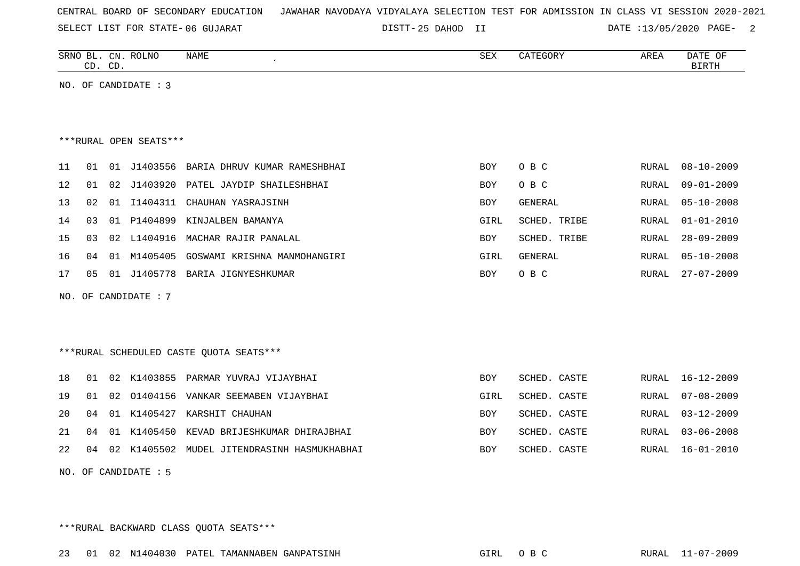| CENTRAL BOARD OF SECONDARY EDUCATION – JAWAHAR NAVODAYA VIDYALAYA SELECTION TEST FOR ADMISSION IN CLASS VI SESSION 2020-2021 |  |  |  |  |  |  |  |  |  |  |  |  |  |  |  |  |  |
|------------------------------------------------------------------------------------------------------------------------------|--|--|--|--|--|--|--|--|--|--|--|--|--|--|--|--|--|
|------------------------------------------------------------------------------------------------------------------------------|--|--|--|--|--|--|--|--|--|--|--|--|--|--|--|--|--|

25 DAHOD II DATE :13/05/2020 PAGE- 2

|    | CD. CD. |    | SRNO BL. CN. ROLNO     | <b>NAME</b>                             | SEX        | CATEGORY       | AREA  | DATE OF<br><b>BIRTH</b> |
|----|---------|----|------------------------|-----------------------------------------|------------|----------------|-------|-------------------------|
|    |         |    | NO. OF CANDIDATE : 3   |                                         |            |                |       |                         |
|    |         |    |                        |                                         |            |                |       |                         |
|    |         |    |                        |                                         |            |                |       |                         |
|    |         |    | ***RURAL OPEN SEATS*** |                                         |            |                |       |                         |
| 11 | 01      |    | 01 J1403556            | BARIA DHRUV KUMAR RAMESHBHAI            | <b>BOY</b> | O B C          | RURAL | $08 - 10 - 2009$        |
| 12 | 01      | 02 | J1403920               | PATEL JAYDIP SHAILESHBHAI               | BOY        | O B C          | RURAL | $09 - 01 - 2009$        |
| 13 | 02      | 01 | I1404311               | CHAUHAN YASRAJSINH                      | BOY        | GENERAL        | RURAL | $05 - 10 - 2008$        |
| 14 | 03      | 01 | P1404899               | KINJALBEN BAMANYA                       | GIRL       | SCHED. TRIBE   | RURAL | $01 - 01 - 2010$        |
| 15 | 03      | 02 | L1404916               | MACHAR RAJIR PANALAL                    | BOY        | SCHED. TRIBE   | RURAL | $28 - 09 - 2009$        |
| 16 | 04      | 01 | M1405405               | GOSWAMI KRISHNA MANMOHANGIRI            | GIRL       | <b>GENERAL</b> | RURAL | $05 - 10 - 2008$        |
| 17 | 05      |    |                        | 01 J1405778 BARIA JIGNYESHKUMAR         | <b>BOY</b> | O B C          | RURAL | $27 - 07 - 2009$        |
|    |         |    | NO. OF CANDIDATE : 7   |                                         |            |                |       |                         |
|    |         |    |                        |                                         |            |                |       |                         |
|    |         |    |                        |                                         |            |                |       |                         |
|    |         |    |                        | ***RURAL SCHEDULED CASTE QUOTA SEATS*** |            |                |       |                         |
|    |         |    | K1403855               |                                         |            |                |       | $16 - 12 - 2009$        |
| 18 | 01      | 02 |                        | PARMAR YUVRAJ VIJAYBHAI                 | <b>BOY</b> | SCHED. CASTE   | RURAL |                         |
| 19 | 01      | 02 | 01404156               | VANKAR SEEMABEN VIJAYBHAI               | GIRL       | SCHED. CASTE   | RURAL | $07 - 08 - 2009$        |
| 20 | 04      | 01 | K1405427               | KARSHIT CHAUHAN                         | BOY        | SCHED. CASTE   | RURAL | $03 - 12 - 2009$        |
| 21 | 04      | 01 | K1405450               | KEVAD BRIJESHKUMAR DHIRAJBHAI           | <b>BOY</b> | SCHED. CASTE   | RURAL | $03 - 06 - 2008$        |
| 22 | 04      |    | 02 K1405502            | MUDEL JITENDRASINH HASMUKHABHAI         | BOY        | SCHED. CASTE   | RURAL | $16 - 01 - 2010$        |
|    |         |    | NO. OF CANDIDATE : 5   |                                         |            |                |       |                         |

\*\*\*RURAL BACKWARD CLASS QUOTA SEATS\*\*\*

23 01 02 N1404030 PATEL TAMANNABEN GANPATSINH GIRL O B C RURAL 11-07-2009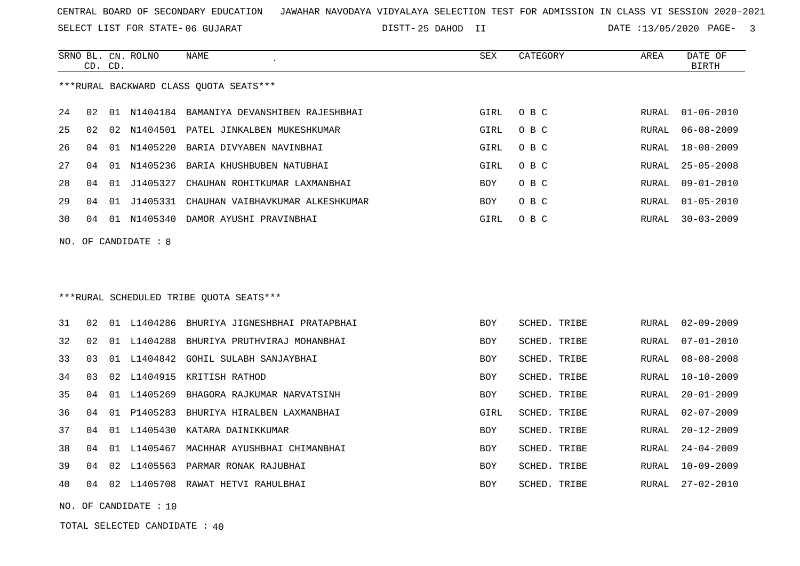SELECT LIST FOR STATE- DISTT- 06 GUJARAT

25 DAHOD II DATE :13/05/2020 PAGE- 3

|     | CD. CD. |    | SRNO BL. CN. ROLNO | <b>NAME</b>                                 | <b>SEX</b> | CATEGORY     | AREA         | DATE OF<br><b>BIRTH</b> |
|-----|---------|----|--------------------|---------------------------------------------|------------|--------------|--------------|-------------------------|
|     |         |    |                    | *** RURAL BACKWARD CLASS QUOTA SEATS***     |            |              |              |                         |
| 24  | 02      |    |                    | 01 N1404184 BAMANIYA DEVANSHIBEN RAJESHBHAI | GIRL       | O B C        | RURAL        | $01 - 06 - 2010$        |
| 25  | 02      |    |                    | 02 N1404501 PATEL JINKALBEN MUKESHKUMAR     | GIRL       | O B C        | RURAL        | $06 - 08 - 2009$        |
| 26  | 04      |    | 01 N1405220        | BARIA DIVYABEN NAVINBHAI                    | GIRL       | O B C        | RURAL        | $18 - 08 - 2009$        |
| 27  | 04      | 01 | N1405236           | BARIA KHUSHBUBEN NATUBHAI                   | GIRL       | O B C        | <b>RURAL</b> | $25 - 05 - 2008$        |
| 28  | 04      | 01 | J1405327           | CHAUHAN ROHITKUMAR LAXMANBHAI               | <b>BOY</b> | O B C        | RURAL        | $09 - 01 - 2010$        |
| 29  | 04      | 01 | J1405331           | CHAUHAN VAIBHAVKUMAR ALKESHKUMAR            | <b>BOY</b> | O B C        | <b>RURAL</b> | $01 - 05 - 2010$        |
| 30  | 04      |    |                    | 01 N1405340 DAMOR AYUSHI PRAVINBHAI         | GIRL       | O B C        | RURAL        | $30 - 03 - 2009$        |
| NO. |         |    | OF CANDIDATE : 8   |                                             |            |              |              |                         |
|     |         |    |                    |                                             |            |              |              |                         |
|     |         |    |                    |                                             |            |              |              |                         |
|     |         |    |                    | ***RURAL SCHEDULED TRIBE QUOTA SEATS***     |            |              |              |                         |
| 31  | 02      |    |                    | 01 L1404286 BHURIYA JIGNESHBHAI PRATAPBHAI  | <b>BOY</b> | SCHED. TRIBE | <b>RURAL</b> | $02 - 09 - 2009$        |
| 32  | 02      |    | 01 L1404288        | BHURIYA PRUTHVIRAJ MOHANBHAI                | <b>BOY</b> | SCHED. TRIBE | RURAL        | $07 - 01 - 2010$        |
| 33  | 03      |    | 01 L1404842        | GOHIL SULABH SANJAYBHAI                     | BOY        | SCHED. TRIBE | RURAL        | $08 - 08 - 2008$        |
| 34  | 03      |    |                    | 02 L1404915 KRITISH RATHOD                  | <b>BOY</b> | SCHED. TRIBE | <b>RURAL</b> | $10 - 10 - 2009$        |
| 35  | 04      |    | 01 L1405269        | BHAGORA RAJKUMAR NARVATSINH                 | BOY        | SCHED. TRIBE | RURAL        | $20 - 01 - 2009$        |
| 36  | 04      | 01 | P1405283           | BHURIYA HIRALBEN LAXMANBHAI                 | GIRL       | SCHED. TRIBE | <b>RURAL</b> | $02 - 07 - 2009$        |
| 37  | 04      | 01 | L1405430           | KATARA DAINIKKUMAR                          | <b>BOY</b> | SCHED. TRIBE | RURAL        | $20 - 12 - 2009$        |
| 38  | 04      | 01 | L1405467           | MACHHAR AYUSHBHAI CHIMANBHAI                | <b>BOY</b> | SCHED. TRIBE | RURAL        | $24 - 04 - 2009$        |
| 39  | 04      |    |                    | 02 L1405563 PARMAR RONAK RAJUBHAI           | <b>BOY</b> | SCHED. TRIBE | RURAL        | $10 - 09 - 2009$        |

40 04 02 L1405708 RAWAT HETVI RAHULBHAI BOY SCHED. TRIBE RURAL 27-02-2010

NO. OF CANDIDATE : 10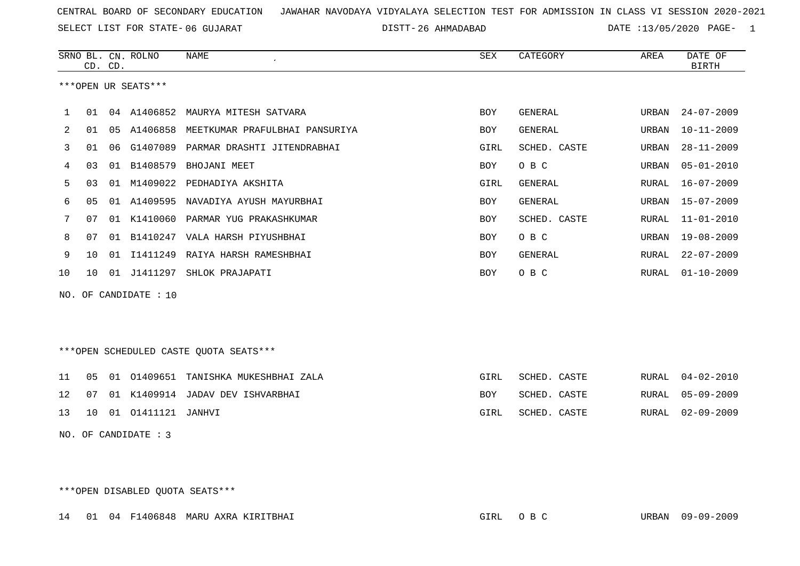SELECT LIST FOR STATE- DISTT- 06 GUJARAT

26 AHMADABAD DATE :13/05/2020 PAGE- 1

|              |                | CD. CD. | SRNO BL. CN. ROLNO  | <b>NAME</b>                                | SEX        | CATEGORY       | AREA  | DATE OF<br><b>BIRTH</b> |
|--------------|----------------|---------|---------------------|--------------------------------------------|------------|----------------|-------|-------------------------|
|              |                |         | ***OPEN UR SEATS*** |                                            |            |                |       |                         |
| $\mathbf{1}$ | 01             |         |                     | 04 A1406852 MAURYA MITESH SATVARA          | BOY        | GENERAL        | URBAN | $24 - 07 - 2009$        |
| 2            | 01             |         |                     | 05 A1406858 MEETKUMAR PRAFULBHAI PANSURIYA | <b>BOY</b> | GENERAL        | URBAN | $10 - 11 - 2009$        |
| 3            | 01             |         |                     | 06 G1407089 PARMAR DRASHTI JITENDRABHAI    | GIRL       | SCHED. CASTE   | URBAN | $28 - 11 - 2009$        |
| 4            | 03             | 01      | B1408579            | BHOJANI MEET                               | BOY        | O B C          | URBAN | $05 - 01 - 2010$        |
| 5            | 03             | 01      | M1409022            | PEDHADIYA AKSHITA                          | GIRL       | <b>GENERAL</b> | RURAL | $16 - 07 - 2009$        |
| 6            | 0 <sub>5</sub> |         |                     | 01 A1409595 NAVADIYA AYUSH MAYURBHAI       | BOY        | GENERAL        | URBAN | $15 - 07 - 2009$        |
| 7            | 07             |         |                     | 01 K1410060 PARMAR YUG PRAKASHKUMAR        | BOY        | SCHED. CASTE   | RURAL | $11 - 01 - 2010$        |
| 8            | 07             | 01      |                     | B1410247 VALA HARSH PIYUSHBHAI             | BOY        | O B C          | URBAN | $19 - 08 - 2009$        |
| 9            | 10             |         |                     | 01 I1411249 RAIYA HARSH RAMESHBHAI         | BOY        | <b>GENERAL</b> | RURAL | $22 - 07 - 2009$        |
| 10           | 10             |         |                     | 01 J1411297 SHLOK PRAJAPATI                | BOY        | O B C          | RURAL | $01 - 10 - 2009$        |
| NO.          |                |         | OF CANDIDATE : 10   |                                            |            |                |       |                         |
|              |                |         |                     | ***OPEN SCHEDULED CASTE OUOTA SEATS***     |            |                |       |                         |

|  |                                      | 11 05 01 01409651 TANISHKA MUKESHBHAI ZALA | GIRL | SCHED. CASTE |  | RURAL 04-02-2010 |
|--|--------------------------------------|--------------------------------------------|------|--------------|--|------------------|
|  |                                      | 12 07 01 K1409914 JADAV DEV ISHVARBHAI     | BOY  | SCHED. CASTE |  | RURAL 05-09-2009 |
|  | 13    10    01    01411121    JANHVI |                                            | GIRL | SCHED. CASTE |  | RURAL 02-09-2009 |

NO. OF CANDIDATE : 3

\*\*\*OPEN DISABLED QUOTA SEATS\*\*\*

14 01 04 F1406848 MARU AXRA KIRITBHAI GIRL O B C URBAN 09-09-2009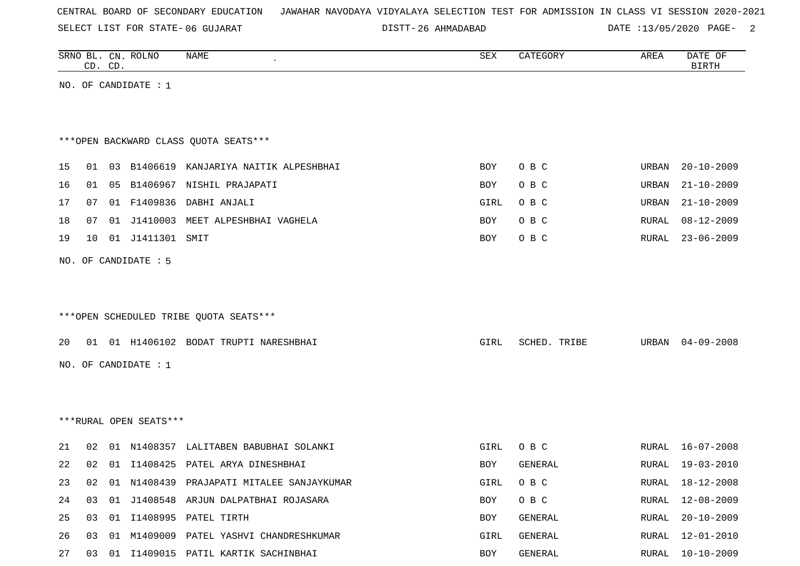SELECT LIST FOR STATE- DISTT- 06 GUJARAT

26 AHMADABAD DATE :13/05/2020 PAGE- 2

|    |    | CD. CD. | SRNO BL. CN. ROLNO     | <b>NAME</b>                                  | <b>SEX</b> | CATEGORY     | AREA  | DATE OF<br><b>BIRTH</b> |
|----|----|---------|------------------------|----------------------------------------------|------------|--------------|-------|-------------------------|
|    |    |         | NO. OF CANDIDATE : $1$ |                                              |            |              |       |                         |
|    |    |         |                        |                                              |            |              |       |                         |
|    |    |         |                        |                                              |            |              |       |                         |
|    |    |         |                        | *** OPEN BACKWARD CLASS QUOTA SEATS***       |            |              |       |                         |
| 15 |    |         |                        | 01 03 B1406619 KANJARIYA NAITIK ALPESHBHAI   | BOY        | O B C        | URBAN | $20 - 10 - 2009$        |
| 16 |    |         |                        | 01 05 B1406967 NISHIL PRAJAPATI              | <b>BOY</b> | O B C        | URBAN | $21 - 10 - 2009$        |
| 17 | 07 |         |                        | 01 F1409836 DABHI ANJALI                     | GIRL       | O B C        | URBAN | $21 - 10 - 2009$        |
| 18 | 07 | 01      | J1410003               | MEET ALPESHBHAI VAGHELA                      | BOY        | O B C        | RURAL | $08 - 12 - 2009$        |
| 19 | 10 |         | 01 J1411301 SMIT       |                                              | BOY        | O B C        | RURAL | $23 - 06 - 2009$        |
|    |    |         |                        |                                              |            |              |       |                         |
|    |    |         | NO. OF CANDIDATE : 5   |                                              |            |              |       |                         |
|    |    |         |                        |                                              |            |              |       |                         |
|    |    |         |                        |                                              |            |              |       |                         |
|    |    |         |                        | ***OPEN SCHEDULED TRIBE QUOTA SEATS***       |            |              |       |                         |
| 20 |    |         |                        | 01 01 H1406102 BODAT TRUPTI NARESHBHAI       | GIRL       | SCHED. TRIBE | URBAN | $04 - 09 - 2008$        |
|    |    |         | NO. OF CANDIDATE : $1$ |                                              |            |              |       |                         |
|    |    |         |                        |                                              |            |              |       |                         |
|    |    |         |                        |                                              |            |              |       |                         |
|    |    |         |                        |                                              |            |              |       |                         |
|    |    |         | ***RURAL OPEN SEATS*** |                                              |            |              |       |                         |
| 21 | 02 |         |                        | 01 N1408357 LALITABEN BABUBHAI SOLANKI       | GIRL       | O B C        |       | RURAL 16-07-2008        |
| 22 |    |         |                        | 02 01 I1408425 PATEL ARYA DINESHBHAI         | BOY        | GENERAL      |       | RURAL 19-03-2010        |
| 23 |    |         |                        | 02 01 N1408439 PRAJAPATI MITALEE SANJAYKUMAR | GIRL       | O B C        |       | RURAL 18-12-2008        |
| 24 | 03 | 01      |                        | J1408548 ARJUN DALPATBHAI ROJASARA           | BOY        | O B C        | RURAL | 12-08-2009              |
| 25 | 03 |         |                        | 01 I1408995 PATEL TIRTH                      | BOY        | GENERAL      | RURAL | $20 - 10 - 2009$        |
| 26 | 03 | 01      |                        | M1409009 PATEL YASHVI CHANDRESHKUMAR         | GIRL       | GENERAL      | RURAL | $12 - 01 - 2010$        |
| 27 |    |         |                        | 03 01 I1409015 PATIL KARTIK SACHINBHAI       | BOY        | GENERAL      | RURAL | $10 - 10 - 2009$        |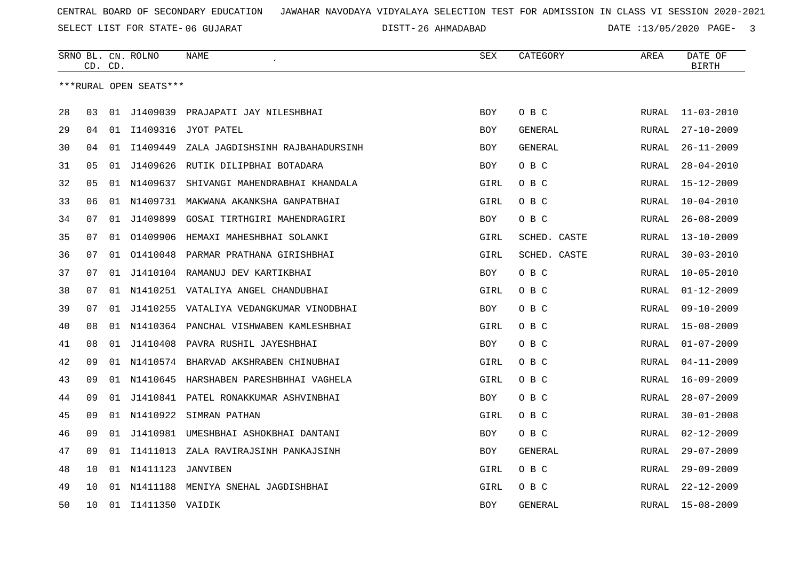SELECT LIST FOR STATE- DISTT- 06 GUJARAT

26 AHMADABAD DATE :13/05/2020 PAGE- 3

|    |    | CD. CD. | SRNO BL. CN. ROLNO     | NAME                                      | <b>SEX</b> | CATEGORY       | AREA         | DATE OF<br><b>BIRTH</b> |
|----|----|---------|------------------------|-------------------------------------------|------------|----------------|--------------|-------------------------|
|    |    |         | ***RURAL OPEN SEATS*** |                                           |            |                |              |                         |
|    |    |         |                        |                                           |            |                |              |                         |
| 28 | 03 |         | 01 J1409039            | PRAJAPATI JAY NILESHBHAI                  | BOY        | O B C          | RURAL        | $11 - 03 - 2010$        |
| 29 | 04 |         | 01 I1409316            | JYOT PATEL                                | <b>BOY</b> | GENERAL        | RURAL        | $27 - 10 - 2009$        |
| 30 | 04 | 01      | I1409449               | ZALA JAGDISHSINH RAJBAHADURSINH           | <b>BOY</b> | <b>GENERAL</b> | RURAL        | $26 - 11 - 2009$        |
| 31 | 05 | 01      | J1409626               | RUTIK DILIPBHAI BOTADARA                  | BOY        | O B C          | RURAL        | $28 - 04 - 2010$        |
| 32 | 05 |         | 01 N1409637            | SHIVANGI MAHENDRABHAI KHANDALA            | GIRL       | O B C          | RURAL        | $15 - 12 - 2009$        |
| 33 | 06 | 01      | N1409731               | MAKWANA AKANKSHA GANPATBHAI               | GIRL       | O B C          | RURAL        | $10 - 04 - 2010$        |
| 34 | 07 | 01      | J1409899               | GOSAI TIRTHGIRI MAHENDRAGIRI              | <b>BOY</b> | O B C          | RURAL        | $26 - 08 - 2009$        |
| 35 | 07 | 01      | 01409906               | HEMAXI MAHESHBHAI SOLANKI                 | GIRL       | SCHED. CASTE   | RURAL        | $13 - 10 - 2009$        |
| 36 | 07 | 01      |                        | 01410048 PARMAR PRATHANA GIRISHBHAI       | GIRL       | SCHED. CASTE   | RURAL        | $30 - 03 - 2010$        |
| 37 | 07 | 01      |                        | J1410104 RAMANUJ DEV KARTIKBHAI           | BOY        | O B C          | RURAL        | $10 - 05 - 2010$        |
| 38 | 07 | 01      |                        | N1410251 VATALIYA ANGEL CHANDUBHAI        | GIRL       | O B C          | RURAL        | $01 - 12 - 2009$        |
| 39 | 07 | 01      |                        | J1410255 VATALIYA VEDANGKUMAR VINODBHAI   | <b>BOY</b> | O B C          | RURAL        | $09 - 10 - 2009$        |
| 40 | 08 |         |                        | 01 N1410364 PANCHAL VISHWABEN KAMLESHBHAI | GIRL       | O B C          | RURAL        | 15-08-2009              |
| 41 | 08 | 01      | J1410408               | PAVRA RUSHIL JAYESHBHAI                   | BOY        | O B C          | RURAL        | $01 - 07 - 2009$        |
| 42 | 09 |         |                        | 01 N1410574 BHARVAD AKSHRABEN CHINUBHAI   | GIRL       | O B C          | RURAL        | $04 - 11 - 2009$        |
| 43 | 09 |         |                        | 01 N1410645 HARSHABEN PARESHBHHAI VAGHELA | GIRL       | O B C          | RURAL        | $16 - 09 - 2009$        |
| 44 | 09 | 01      |                        | J1410841 PATEL RONAKKUMAR ASHVINBHAI      | BOY        | O B C          | RURAL        | $28 - 07 - 2009$        |
| 45 | 09 |         |                        | 01 N1410922 SIMRAN PATHAN                 | GIRL       | O B C          | RURAL        | $30 - 01 - 2008$        |
| 46 | 09 | 01      | J1410981               | UMESHBHAI ASHOKBHAI DANTANI               | BOY        | O B C          | RURAL        | $02 - 12 - 2009$        |
| 47 | 09 | 01      | I1411013               | ZALA RAVIRAJSINH PANKAJSINH               | <b>BOY</b> | <b>GENERAL</b> | RURAL        | $29 - 07 - 2009$        |
| 48 | 10 |         | 01 N1411123            | JANVIBEN                                  | GIRL       | O B C          | RURAL        | $29 - 09 - 2009$        |
| 49 | 10 |         | 01 N1411188            | MENIYA SNEHAL JAGDISHBHAI                 | GIRL       | O B C          | RURAL        | $22 - 12 - 2009$        |
| 50 | 10 |         | 01 I1411350 VAIDIK     |                                           | <b>BOY</b> | <b>GENERAL</b> | <b>RURAL</b> | $15 - 08 - 2009$        |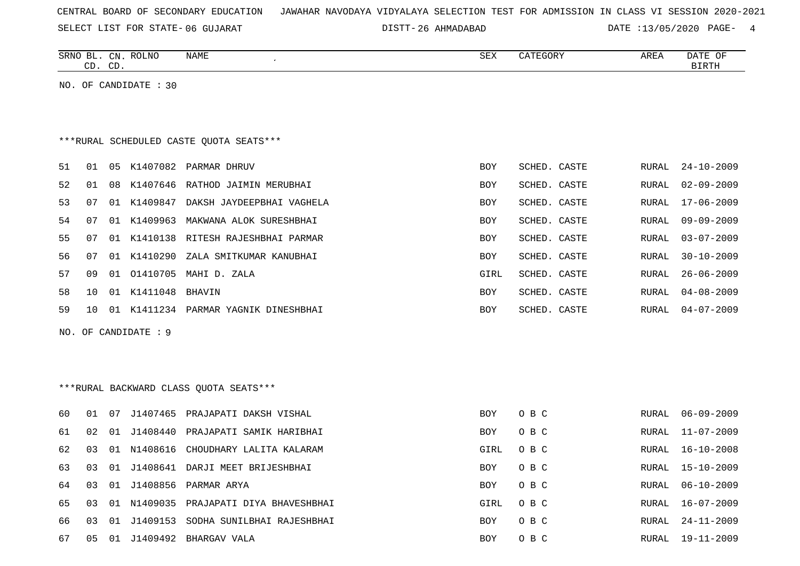SELECT LIST FOR STATE- DISTT- 06 GUJARAT

SRNO BL. CN.

ROLNO NAME SEX CATEGORY AREA DATE OF

26 AHMADABAD DATE :13/05/2020 PAGE- 4

| CD. CD. |                 |  |                       |                                         |            |              |  |              | <b>BIRTH</b>     |
|---------|-----------------|--|-----------------------|-----------------------------------------|------------|--------------|--|--------------|------------------|
|         |                 |  | NO. OF CANDIDATE : 30 |                                         |            |              |  |              |                  |
|         |                 |  |                       | ***RURAL SCHEDULED CASTE OUOTA SEATS*** |            |              |  |              |                  |
| 51      | 01              |  |                       | 05 K1407082 PARMAR DHRUV                | <b>BOY</b> | SCHED. CASTE |  | RURAL        | $24 - 10 - 2009$ |
| 52      | 01              |  |                       | 08 K1407646 RATHOD JAIMIN MERUBHAI      | <b>BOY</b> | SCHED. CASTE |  | RURAL        | $02 - 09 - 2009$ |
| 53      | 07              |  |                       | 01 K1409847 DAKSH JAYDEEPBHAI VAGHELA   | <b>BOY</b> | SCHED. CASTE |  | RURAL        | $17 - 06 - 2009$ |
| 54      | 07              |  |                       | 01 K1409963 MAKWANA ALOK SURESHBHAI     | <b>BOY</b> | SCHED. CASTE |  | <b>RURAL</b> | $09 - 09 - 2009$ |
| 55      | 07              |  |                       | 01 K1410138 RITESH RAJESHBHAI PARMAR    | <b>BOY</b> | SCHED. CASTE |  | <b>RURAL</b> | $03 - 07 - 2009$ |
| 56      | 07              |  | 01 K1410290           | ZALA SMITKUMAR KANUBHAI                 | BOY        | SCHED. CASTE |  | <b>RURAL</b> | $30 - 10 - 2009$ |
| 57      | 09              |  |                       | 01 01410705 MAHI D. ZALA                | GIRL       | SCHED. CASTE |  | RURAL        | $26 - 06 - 2009$ |
| 58      | 10              |  | 01 K1411048 BHAVIN    |                                         | <b>BOY</b> | SCHED. CASTE |  | RURAL        | $04 - 08 - 2009$ |
| 59      | 10 <sup>1</sup> |  |                       | 01 K1411234 PARMAR YAGNIK DINESHBHAI    | BOY        | SCHED. CASTE |  | RURAL        | $04 - 07 - 2009$ |
|         |                 |  | NO. OF CANDIDATE : 9  |                                         |            |              |  |              |                  |
|         |                 |  |                       | *** RURAL BACKWARD CLASS QUOTA SEATS*** |            |              |  |              |                  |
| 60      | 01              |  |                       | 07 J1407465 PRAJAPATI DAKSH VISHAL      | <b>BOY</b> | O B C        |  | RURAL        | $06 - 09 - 2009$ |
| 61      | 02              |  |                       | 01 J1408440 PRAJAPATI SAMIK HARIBHAI    | BOY        | O B C        |  | RURAL        | $11 - 07 - 2009$ |
| 62      | 03              |  | 01 N1408616           | CHOUDHARY LALITA KALARAM                | GIRL       | O B C        |  | RURAL        | 16-10-2008       |
| 63      | 03              |  |                       | 01 J1408641 DARJI MEET BRIJESHBHAI      | <b>BOY</b> | O B C        |  | RURAL        | $15 - 10 - 2009$ |
| 64      | 03              |  |                       | 01 J1408856 PARMAR ARYA                 | BOY        | O B C        |  | RURAL        | $06 - 10 - 2009$ |
| 65      | 03              |  | 01 N1409035           | PRAJAPATI DIYA BHAVESHBHAI              | GIRL       | O B C        |  | RURAL        | $16 - 07 - 2009$ |
| 66      | 03              |  |                       | 01 J1409153 SODHA SUNILBHAI RAJESHBHAI  | <b>BOY</b> | O B C        |  | RURAL        | 24-11-2009       |
| 67      | 05              |  |                       | 01 J1409492 BHARGAV VALA                | <b>BOY</b> | O B C        |  | RURAL        | 19-11-2009       |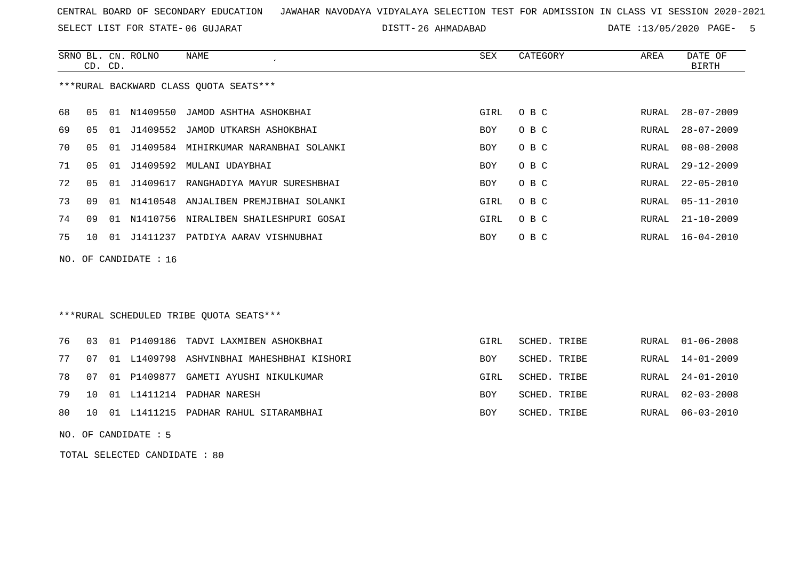SELECT LIST FOR STATE- DISTT- 06 GUJARAT

26 AHMADABAD DATE :13/05/2020 PAGE- 5

|    | CD. CD. |    | SRNO BL. CN. ROLNO | NAME                                   | SEX        | CATEGORY | AREA  | DATE OF<br>BIRTH |
|----|---------|----|--------------------|----------------------------------------|------------|----------|-------|------------------|
|    |         |    |                    | ***RURAL BACKWARD CLASS OUOTA SEATS*** |            |          |       |                  |
| 68 | 05      |    |                    | 01 N1409550 JAMOD ASHTHA ASHOKBHAI     | GIRL       | O B C    | RURAL | $28 - 07 - 2009$ |
| 69 | 05      | 01 |                    | J1409552 JAMOD UTKARSH ASHOKBHAI       | <b>BOY</b> | O B C    | RURAL | $28 - 07 - 2009$ |
| 70 | 05      | 01 | J1409584           | MIHIRKUMAR NARANBHAI SOLANKI           | <b>BOY</b> | O B C    | RURAL | $08 - 08 - 2008$ |
| 71 | 05      | 01 | J1409592           | MULANI UDAYBHAI                        | <b>BOY</b> | O B C    | RURAL | $29 - 12 - 2009$ |
| 72 | 05      | 01 | J1409617           | RANGHADIYA MAYUR SURESHBHAI            | <b>BOY</b> | O B C    | RURAL | 22-05-2010       |
| 73 | O 9     |    | 01 N1410548        | ANJALIBEN PREMJIBHAI SOLANKI           | GIRL       | O B C    |       | RURAL 05-11-2010 |
| 74 | 09      | 01 | N1410756           | NIRALIBEN SHAILESHPURI GOSAI           | GIRL       | O B C    | RURAL | $21 - 10 - 2009$ |
| 75 | 1 O     | 01 | J1411237           | PATDIYA AARAV VISHNUBHAI               | <b>BOY</b> | O B C    | RURAL | $16 - 04 - 2010$ |
|    |         |    |                    |                                        |            |          |       |                  |

NO. OF CANDIDATE : 16

### \*\*\*RURAL SCHEDULED TRIBE QUOTA SEATS\*\*\*

|  | 76 03 01 P1409186 TADVI LAXMIBEN ASHOKBHAI      | GIRL                                                                          | SCHED. TRIBE |                                              | RURAL 01-06-2008                           |
|--|-------------------------------------------------|-------------------------------------------------------------------------------|--------------|----------------------------------------------|--------------------------------------------|
|  | 77 07 01 L1409798 ASHVINBHAI MAHESHBHAI KISHORI | <b>BOY</b>                                                                    | SCHED. TRIBE |                                              | RURAL 14-01-2009                           |
|  |                                                 | GIRL                                                                          |              |                                              | RURAL 24-01-2010                           |
|  |                                                 | <b>BOY</b>                                                                    |              |                                              | RURAL 02-03-2008                           |
|  |                                                 | <b>BOY</b>                                                                    |              |                                              | RURAL 06-03-2010                           |
|  |                                                 | 78 07 01 P1409877 GAMETI AYUSHI NIKULKUMAR<br>79 10 01 L1411214 PADHAR NARESH |              | SCHED. TRIBE<br>SCHED. TRIBE<br>SCHED. TRIBE | 80 10 01 L1411215 PADHAR RAHUL SITARAMBHAI |

NO. OF CANDIDATE : 5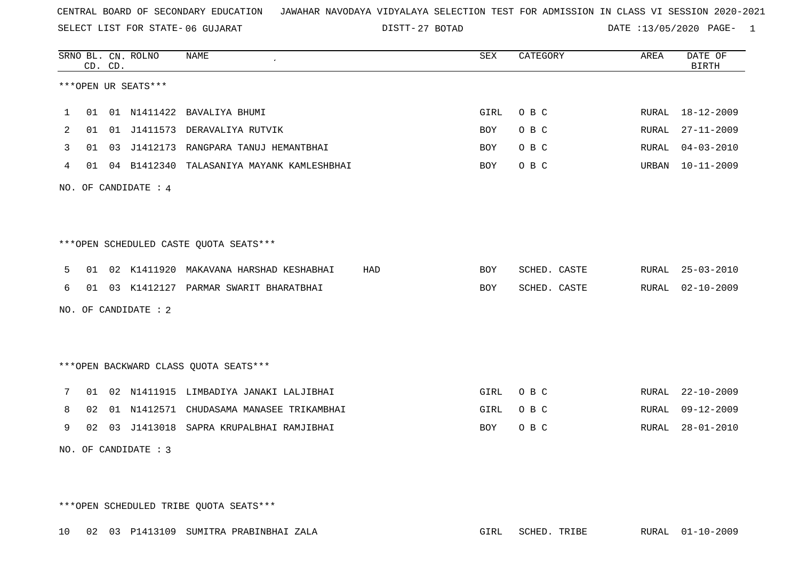SELECT LIST FOR STATE- DISTT- 06 GUJARAT

27 BOTAD DATE :13/05/2020 PAGE- 1

|    |                |               | <b>NAME</b>                                                                                                       |                                                                                                                                                                                                                                                                                                                                                                                                                                                               | SEX  | CATEGORY     | AREA  | DATE OF<br><b>BIRTH</b> |
|----|----------------|---------------|-------------------------------------------------------------------------------------------------------------------|---------------------------------------------------------------------------------------------------------------------------------------------------------------------------------------------------------------------------------------------------------------------------------------------------------------------------------------------------------------------------------------------------------------------------------------------------------------|------|--------------|-------|-------------------------|
|    |                |               |                                                                                                                   |                                                                                                                                                                                                                                                                                                                                                                                                                                                               |      |              |       |                         |
| 01 |                |               |                                                                                                                   |                                                                                                                                                                                                                                                                                                                                                                                                                                                               | GIRL | O B C        |       | RURAL 18-12-2009        |
| 01 | 01             |               |                                                                                                                   |                                                                                                                                                                                                                                                                                                                                                                                                                                                               | BOY  | O B C        | RURAL | $27 - 11 - 2009$        |
|    |                |               |                                                                                                                   |                                                                                                                                                                                                                                                                                                                                                                                                                                                               | BOY  | O B C        | RURAL | $04 - 03 - 2010$        |
|    |                |               |                                                                                                                   |                                                                                                                                                                                                                                                                                                                                                                                                                                                               | BOY  | O B C        | URBAN | $10 - 11 - 2009$        |
|    |                |               |                                                                                                                   |                                                                                                                                                                                                                                                                                                                                                                                                                                                               |      |              |       |                         |
|    |                |               |                                                                                                                   |                                                                                                                                                                                                                                                                                                                                                                                                                                                               |      |              |       |                         |
|    |                |               |                                                                                                                   |                                                                                                                                                                                                                                                                                                                                                                                                                                                               |      |              |       |                         |
|    |                |               |                                                                                                                   | HAD                                                                                                                                                                                                                                                                                                                                                                                                                                                           | BOY  | SCHED. CASTE |       | RURAL 25-03-2010        |
|    |                |               |                                                                                                                   |                                                                                                                                                                                                                                                                                                                                                                                                                                                               | BOY  | SCHED. CASTE | RURAL | $02 - 10 - 2009$        |
|    |                |               |                                                                                                                   |                                                                                                                                                                                                                                                                                                                                                                                                                                                               |      |              |       |                         |
|    |                |               |                                                                                                                   |                                                                                                                                                                                                                                                                                                                                                                                                                                                               |      |              |       |                         |
|    |                |               |                                                                                                                   |                                                                                                                                                                                                                                                                                                                                                                                                                                                               |      |              |       |                         |
|    |                |               |                                                                                                                   |                                                                                                                                                                                                                                                                                                                                                                                                                                                               | GIRL | O B C        |       | RURAL 22-10-2009        |
|    |                |               |                                                                                                                   |                                                                                                                                                                                                                                                                                                                                                                                                                                                               | GIRL | O B C        | RURAL | $09 - 12 - 2009$        |
|    |                |               |                                                                                                                   |                                                                                                                                                                                                                                                                                                                                                                                                                                                               | BOY  | O B C        | RURAL | $28 - 01 - 2010$        |
|    |                |               |                                                                                                                   |                                                                                                                                                                                                                                                                                                                                                                                                                                                               |      |              |       |                         |
|    | 01<br>02<br>02 | CD. CD.<br>01 | SRNO BL. CN. ROLNO<br>***OPEN UR SEATS***<br>NO. OF CANDIDATE : 4<br>NO. OF CANDIDATE : 2<br>NO. OF CANDIDATE : 3 | 01 N1411422 BAVALIYA BHUMI<br>J1411573 DERAVALIYA RUTVIK<br>03 J1412173 RANGPARA TANUJ HEMANTBHAI<br>01 04 B1412340 TALASANIYA MAYANK KAMLESHBHAI<br>***OPEN SCHEDULED CASTE QUOTA SEATS***<br>01 02 K1411920 MAKAVANA HARSHAD KESHABHAI<br>01 03 K1412127 PARMAR SWARIT BHARATBHAI<br>*** OPEN BACKWARD CLASS QUOTA SEATS***<br>02 N1411915 LIMBADIYA JANAKI LALJIBHAI<br>01 N1412571 CHUDASAMA MANASEE TRIKAMBHAI<br>03 J1413018 SAPRA KRUPALBHAI RAMJIBHAI |      |              |       |                         |

\*\*\*OPEN SCHEDULED TRIBE QUOTA SEATS\*\*\*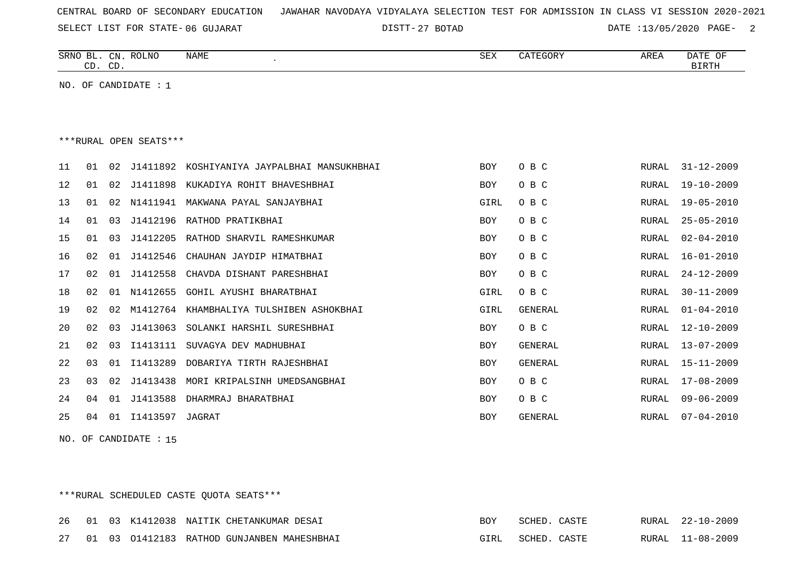|  |  |  |  | CENTRAL BOARD OF SECONDARY EDUCATION – JAWAHAR NAVODAYA VIDYALAYA SELECTION TEST FOR ADMISSION IN CLASS VI SESSION 2020-2021 |  |  |  |  |  |  |  |  |  |  |
|--|--|--|--|------------------------------------------------------------------------------------------------------------------------------|--|--|--|--|--|--|--|--|--|--|
|--|--|--|--|------------------------------------------------------------------------------------------------------------------------------|--|--|--|--|--|--|--|--|--|--|

DISTT-27 BOTAD DATE :13/05/2020 PAGE- 2

|    | CD. CD. |                | SRNO BL. CN. ROLNO     | NAME                               | <b>SEX</b> | CATEGORY | AREA         | DATE OF<br><b>BIRTH</b> |
|----|---------|----------------|------------------------|------------------------------------|------------|----------|--------------|-------------------------|
|    |         |                | NO. OF CANDIDATE : $1$ |                                    |            |          |              |                         |
|    |         |                |                        |                                    |            |          |              |                         |
|    |         |                |                        |                                    |            |          |              |                         |
|    |         |                | ***RURAL OPEN SEATS*** |                                    |            |          |              |                         |
| 11 | 01      | 02             | J1411892               | KOSHIYANIYA JAYPALBHAI MANSUKHBHAI | <b>BOY</b> | O B C    | RURAL        | $31 - 12 - 2009$        |
| 12 | 01      | 02             | J1411898               | KUKADIYA ROHIT BHAVESHBHAI         | <b>BOY</b> | O B C    | RURAL        | $19 - 10 - 2009$        |
| 13 | 01      | 02             | N1411941               | MAKWANA PAYAL SANJAYBHAI           | GIRL       | O B C    | RURAL        | $19 - 05 - 2010$        |
| 14 | 01      | 0 <sub>3</sub> | J1412196               | RATHOD PRATIKBHAI                  | <b>BOY</b> | O B C    | <b>RURAL</b> | $25 - 05 - 2010$        |
| 15 | 01      | 0 <sub>3</sub> | J1412205               | RATHOD SHARVIL RAMESHKUMAR         | <b>BOY</b> | O B C    | <b>RURAL</b> | $02 - 04 - 2010$        |
| 16 | 02      | 01             | J1412546               | CHAUHAN JAYDIP HIMATBHAI           | <b>BOY</b> | O B C    | RURAL        | $16 - 01 - 2010$        |
| 17 | 02      | 01             | J1412558               | CHAVDA DISHANT PARESHBHAI          | BOY        | O B C    | RURAL        | $24 - 12 - 2009$        |
| 18 | 02      | 01             | N1412655               | <b>GOHIL AYUSHI BHARATBHAI</b>     | GIRL       | O B C    | <b>RURAL</b> | $30 - 11 - 2009$        |
| 19 | 02      | 02             | M1412764               | KHAMBHALIYA TULSHIBEN ASHOKBHAI    | GIRL       | GENERAL  | RURAL        | $01 - 04 - 2010$        |
| 20 | 02      | 03             | J1413063               | SOLANKI HARSHIL SURESHBHAI         | <b>BOY</b> | O B C    | RURAL        | $12 - 10 - 2009$        |
| 21 | 02      | 03             | I1413111               | SUVAGYA DEV MADHUBHAI              | <b>BOY</b> | GENERAL  | RURAL        | $13 - 07 - 2009$        |
| 22 | 03      | 01             | I1413289               | DOBARIYA TIRTH RAJESHBHAI          | <b>BOY</b> | GENERAL  | RURAL        | $15 - 11 - 2009$        |
| 23 | 03      | 02             | J1413438               | MORI KRIPALSINH UMEDSANGBHAI       | <b>BOY</b> | O B C    | RURAL        | $17 - 08 - 2009$        |
| 24 | 04      | 01             | J1413588               | DHARMRAJ BHARATBHAI                | <b>BOY</b> | O B C    | <b>RURAL</b> | $09 - 06 - 2009$        |
| 25 | 04      | 01             | I1413597               | JAGRAT                             | <b>BOY</b> | GENERAL  | <b>RURAL</b> | $07 - 04 - 2010$        |

NO. OF CANDIDATE : 15

## \*\*\*RURAL SCHEDULED CASTE QUOTA SEATS\*\*\*

|  |  | 26 01 03 K1412038 NAITIK CHETANKUMAR DESAI    | <b>ROY</b> | SCHED. CASTE |  | RURAL 22-10-2009 |
|--|--|-----------------------------------------------|------------|--------------|--|------------------|
|  |  | 27 01 03 01412183 RATHOD GUNJANBEN MAHESHBHAI | GIRL       | SCHED. CASTE |  | RURAL 11-08-2009 |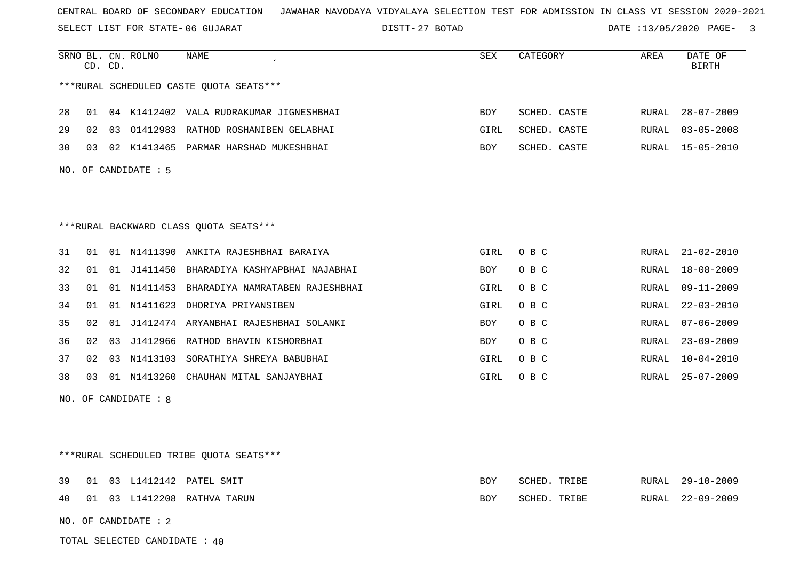SELECT LIST FOR STATE- DISTT- 06 GUJARAT

27 BOTAD DATE :13/05/2020 PAGE- 3

|    | CD. CD. |    | SRNO BL. CN. ROLNO     | NAME<br>$\pmb{\cdot}$                    | SEX        | CATEGORY     | AREA         | DATE OF<br><b>BIRTH</b> |
|----|---------|----|------------------------|------------------------------------------|------------|--------------|--------------|-------------------------|
|    |         |    |                        | ***RURAL SCHEDULED CASTE QUOTA SEATS***  |            |              |              |                         |
|    |         |    |                        |                                          |            |              |              |                         |
| 28 | 01      |    |                        | 04 K1412402 VALA RUDRAKUMAR JIGNESHBHAI  | <b>BOY</b> | SCHED. CASTE | RURAL        | $28 - 07 - 2009$        |
| 29 | 02      | 03 |                        | 01412983 RATHOD ROSHANIBEN GELABHAI      | GIRL       | SCHED. CASTE | RURAL        | $03 - 05 - 2008$        |
| 30 | 03      | 02 |                        | K1413465 PARMAR HARSHAD MUKESHBHAI       | BOY        | SCHED. CASTE | RURAL        | 15-05-2010              |
|    |         |    | NO. OF CANDIDATE : 5   |                                          |            |              |              |                         |
|    |         |    |                        |                                          |            |              |              |                         |
|    |         |    |                        |                                          |            |              |              |                         |
|    |         |    |                        | *** RURAL BACKWARD CLASS QUOTA SEATS***  |            |              |              |                         |
| 31 | 01      |    |                        | 01 N1411390 ANKITA RAJESHBHAI BARAIYA    | GIRL       | O B C        | RURAL        | $21 - 02 - 2010$        |
| 32 | 01      | 01 |                        | J1411450 BHARADIYA KASHYAPBHAI NAJABHAI  | <b>BOY</b> | O B C        | RURAL        | $18 - 08 - 2009$        |
| 33 | 01      | 01 | N1411453               | BHARADIYA NAMRATABEN RAJESHBHAI          | GIRL       | O B C        | RURAL        | $09 - 11 - 2009$        |
| 34 | 01      | 01 | N1411623               | DHORIYA PRIYANSIBEN                      | GIRL       | O B C        | RURAL        | $22 - 03 - 2010$        |
| 35 | 02      | 01 |                        | J1412474 ARYANBHAI RAJESHBHAI SOLANKI    | BOY        | O B C        | <b>RURAL</b> | $07 - 06 - 2009$        |
| 36 | 02      | 03 |                        | J1412966 RATHOD BHAVIN KISHORBHAI        | <b>BOY</b> | O B C        | RURAL        | $23 - 09 - 2009$        |
| 37 | 02      |    |                        | 03 N1413103 SORATHIYA SHREYA BABUBHAI    | GIRL       | O B C        | RURAL        | $10 - 04 - 2010$        |
| 38 | 03      |    |                        | 01 N1413260 CHAUHAN MITAL SANJAYBHAI     | GIRL       | O B C        | RURAL        | $25 - 07 - 2009$        |
|    |         |    | NO. OF CANDIDATE : $8$ |                                          |            |              |              |                         |
|    |         |    |                        |                                          |            |              |              |                         |
|    |         |    |                        |                                          |            |              |              |                         |
|    |         |    |                        | *** RURAL SCHEDULED TRIBE QUOTA SEATS*** |            |              |              |                         |
| 39 | 01      |    |                        | 03 L1412142 PATEL SMIT                   | BOY        | SCHED. TRIBE | RURAL        | $29 - 10 - 2009$        |
| 40 | 01      |    |                        | 03 L1412208 RATHVA TARUN                 | <b>BOY</b> | SCHED. TRIBE | RURAL        | $22 - 09 - 2009$        |
|    |         |    |                        |                                          |            |              |              |                         |

NO. OF CANDIDATE : 2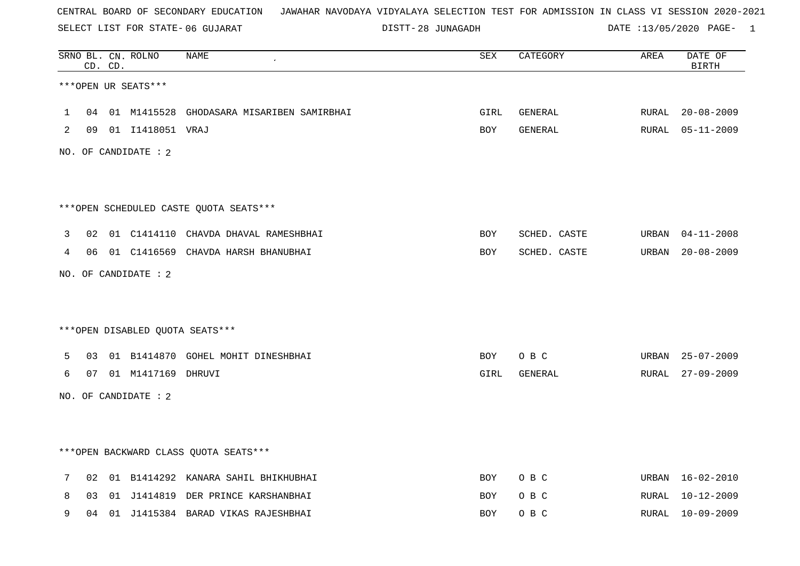SELECT LIST FOR STATE- DISTT- 06 GUJARAT

28 JUNAGADH DATE :13/05/2020 PAGE- 1

|   |    | CD. CD. | SRNO BL. CN. ROLNO     | <b>NAME</b>                               | <b>SEX</b> | CATEGORY     | AREA  | DATE OF<br><b>BIRTH</b> |
|---|----|---------|------------------------|-------------------------------------------|------------|--------------|-------|-------------------------|
|   |    |         | ***OPEN UR SEATS***    |                                           |            |              |       |                         |
| 1 | 04 |         |                        | 01 M1415528 GHODASARA MISARIBEN SAMIRBHAI | GIRL       | GENERAL      | RURAL | $20 - 08 - 2009$        |
| 2 |    |         | 09  01  11418051  VRAJ |                                           | <b>BOY</b> | GENERAL      |       | RURAL 05-11-2009        |
|   |    |         | NO. OF CANDIDATE : $2$ |                                           |            |              |       |                         |
|   |    |         |                        |                                           |            |              |       |                         |
|   |    |         |                        | ***OPEN SCHEDULED CASTE QUOTA SEATS***    |            |              |       |                         |
| 3 | 02 |         |                        | 01 C1414110 CHAVDA DHAVAL RAMESHBHAI      | <b>BOY</b> | SCHED. CASTE |       | URBAN 04-11-2008        |
| 4 |    |         |                        | 06 01 C1416569 CHAVDA HARSH BHANUBHAI     | BOY        | SCHED. CASTE | URBAN | $20 - 08 - 2009$        |
|   |    |         | NO. OF CANDIDATE : 2   |                                           |            |              |       |                         |
|   |    |         |                        |                                           |            |              |       |                         |
|   |    |         |                        | ***OPEN DISABLED QUOTA SEATS***           |            |              |       |                         |
| 5 | 03 |         |                        | 01 B1414870 GOHEL MOHIT DINESHBHAI        | BOY        | O B C        | URBAN | 25-07-2009              |
| 6 | 07 |         | 01 M1417169 DHRUVI     |                                           | GIRL       | GENERAL      | RURAL | $27 - 09 - 2009$        |
|   |    |         | NO. OF CANDIDATE : 2   |                                           |            |              |       |                         |
|   |    |         |                        |                                           |            |              |       |                         |
|   |    |         |                        | *** OPEN BACKWARD CLASS QUOTA SEATS ***   |            |              |       |                         |
| 7 | 02 |         |                        | 01 B1414292 KANARA SAHIL BHIKHUBHAI       | BOY        | O B C        |       | URBAN 16-02-2010        |
| 8 | 03 |         |                        | 01 J1414819 DER PRINCE KARSHANBHAI        | BOY        | O B C        | RURAL | 10-12-2009              |
| 9 | 04 |         |                        | 01 J1415384 BARAD VIKAS RAJESHBHAI        | <b>BOY</b> | O B C        | RURAL | $10 - 09 - 2009$        |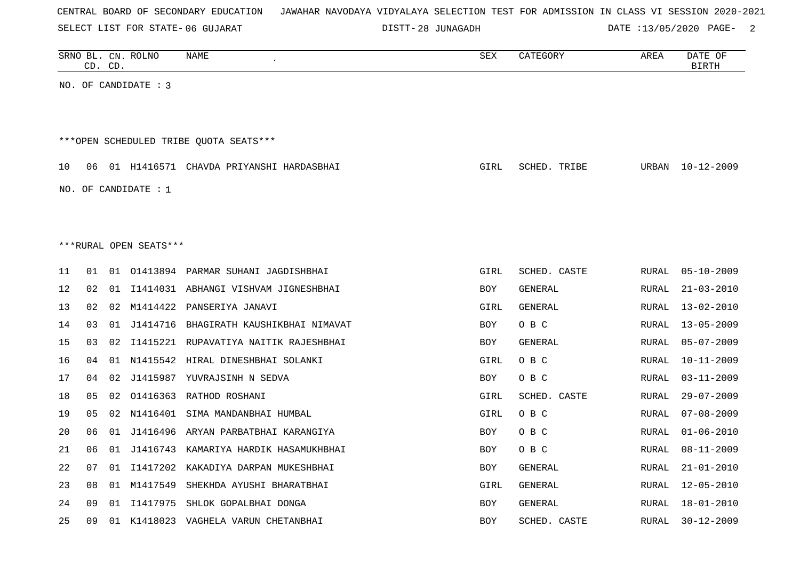|  |  |  |  | CENTRAL BOARD OF SECONDARY EDUCATION – JAWAHAR NAVODAYA VIDYALAYA SELECTION TEST FOR ADMISSION IN CLASS VI SESSION 2020-2021 |  |  |  |  |  |  |  |  |  |  |  |  |
|--|--|--|--|------------------------------------------------------------------------------------------------------------------------------|--|--|--|--|--|--|--|--|--|--|--|--|
|--|--|--|--|------------------------------------------------------------------------------------------------------------------------------|--|--|--|--|--|--|--|--|--|--|--|--|

DISTT-28 JUNAGADH DATE :13/05/2020 PAGE- 2

|    |    | CD. CD. | SRNO BL. CN. ROLNO     | NAME                                       | SEX         | CATEGORY       | AREA         | DATE OF<br><b>BIRTH</b> |
|----|----|---------|------------------------|--------------------------------------------|-------------|----------------|--------------|-------------------------|
|    |    |         | NO. OF CANDIDATE : 3   |                                            |             |                |              |                         |
|    |    |         |                        |                                            |             |                |              |                         |
|    |    |         |                        | ***OPEN SCHEDULED TRIBE QUOTA SEATS***     |             |                |              |                         |
| 10 |    |         |                        | 06 01 H1416571 CHAVDA PRIYANSHI HARDASBHAI | GIRL        | SCHED. TRIBE   | URBAN        | 10-12-2009              |
|    |    |         | NO. OF CANDIDATE : $1$ |                                            |             |                |              |                         |
|    |    |         |                        |                                            |             |                |              |                         |
|    |    |         |                        |                                            |             |                |              |                         |
|    |    |         | ***RURAL OPEN SEATS*** |                                            |             |                |              |                         |
| 11 | 01 |         |                        | 01 01413894 PARMAR SUHANI JAGDISHBHAI      | <b>GIRL</b> | SCHED. CASTE   | <b>RURAL</b> | $05 - 10 - 2009$        |
| 12 | 02 |         |                        | 01 I1414031 ABHANGI VISHVAM JIGNESHBHAI    | BOY         | GENERAL        | <b>RURAL</b> | $21 - 03 - 2010$        |
| 13 | 02 | 02      |                        | M1414422 PANSERIYA JANAVI                  | GIRL        | GENERAL        | RURAL        | $13 - 02 - 2010$        |
| 14 | 03 |         |                        | 01 J1414716 BHAGIRATH KAUSHIKBHAI NIMAVAT  | BOY         | O B C          | RURAL        | $13 - 05 - 2009$        |
| 15 | 03 | 02      |                        | I1415221 RUPAVATIYA NAITIK RAJESHBHAI      | BOY         | GENERAL        | RURAL        | $05 - 07 - 2009$        |
| 16 | 04 |         |                        | 01 N1415542 HIRAL DINESHBHAI SOLANKI       | GIRL        | O B C          | RURAL        | $10 - 11 - 2009$        |
| 17 | 04 | 02      |                        | J1415987 YUVRAJSINH N SEDVA                | BOY         | O B C          | RURAL        | $03 - 11 - 2009$        |
| 18 | 05 |         |                        | 02 01416363 RATHOD ROSHANI                 | GIRL        | SCHED. CASTE   | <b>RURAL</b> | $29 - 07 - 2009$        |
| 19 | 05 |         |                        | 02 N1416401 SIMA MANDANBHAI HUMBAL         | GIRL        | O B C          | RURAL        | $07 - 08 - 2009$        |
| 20 | 06 |         |                        | 01 J1416496 ARYAN PARBATBHAI KARANGIYA     | BOY         | O B C          | RURAL        | $01 - 06 - 2010$        |
| 21 | 06 |         |                        | 01 J1416743 KAMARIYA HARDIK HASAMUKHBHAI   | BOY         | O B C          | RURAL        | $08 - 11 - 2009$        |
| 22 | 07 | 01      |                        | I1417202 KAKADIYA DARPAN MUKESHBHAI        | BOY         | GENERAL        | RURAL        | $21 - 01 - 2010$        |
| 23 | 08 |         | 01 M1417549            | SHEKHDA AYUSHI BHARATBHAI                  | GIRL        | <b>GENERAL</b> | RURAL        | $12 - 05 - 2010$        |
| 24 | 09 |         |                        | 01 I1417975 SHLOK GOPALBHAI DONGA          | <b>BOY</b>  | <b>GENERAL</b> | <b>RURAL</b> | $18 - 01 - 2010$        |
| 25 | 09 |         |                        | 01 K1418023 VAGHELA VARUN CHETANBHAI       | <b>BOY</b>  | SCHED. CASTE   | RURAL        | $30 - 12 - 2009$        |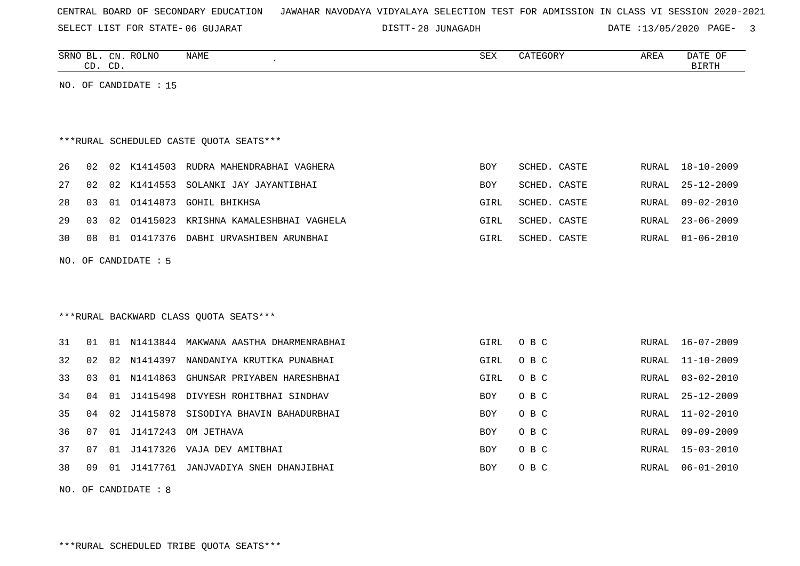SELECT LIST FOR STATE- DISTT- 06 GUJARAT

28 JUNAGADH DATE :13/05/2020 PAGE- 3

RURAL 06-01-2010

|    | CD. CD. |    | SRNO BL. CN. ROLNO    | NAME                                     | SEX        | CATEGORY     | AREA  | DATE OF<br><b>BIRTH</b> |
|----|---------|----|-----------------------|------------------------------------------|------------|--------------|-------|-------------------------|
|    |         |    | NO. OF CANDIDATE : 15 |                                          |            |              |       |                         |
|    |         |    |                       |                                          |            |              |       |                         |
|    |         |    |                       | ***RURAL SCHEDULED CASTE QUOTA SEATS***  |            |              |       |                         |
| 26 | 02      | 02 | K1414503              | RUDRA MAHENDRABHAI VAGHERA               | BOY        | SCHED. CASTE | RURAL | 18-10-2009              |
| 27 | 02      | 02 | K1414553              | SOLANKI JAY JAYANTIBHAI                  | <b>BOY</b> | SCHED. CASTE | RURAL | $25 - 12 - 2009$        |
| 28 | 03      | 01 | 01414873              | <b>GOHIL BHIKHSA</b>                     | GIRL       | SCHED. CASTE | RURAL | $09 - 02 - 2010$        |
| 29 | 03      | 02 |                       | 01415023 KRISHNA KAMALESHBHAI VAGHELA    | GIRL       | SCHED. CASTE | RURAL | $23 - 06 - 2009$        |
| 30 | 08      |    |                       | 01 01417376 DABHI URVASHIBEN ARUNBHAI    | GIRL       | SCHED. CASTE | RURAL | $01 - 06 - 2010$        |
|    |         |    | NO. OF CANDIDATE : 5  |                                          |            |              |       |                         |
|    |         |    |                       |                                          |            |              |       |                         |
|    |         |    |                       |                                          |            |              |       |                         |
|    |         |    |                       | *** RURAL BACKWARD CLASS QUOTA SEATS***  |            |              |       |                         |
| 31 | 01      |    |                       | 01 N1413844 MAKWANA AASTHA DHARMENRABHAI | GIRL       | O B C        |       | RURAL 16-07-2009        |
| 32 | 02      | 02 | N1414397              | NANDANIYA KRUTIKA PUNABHAI               | GIRL       | O B C        | RURAL | $11 - 10 - 2009$        |
| 33 | 03      | 01 | N1414863              | GHUNSAR PRIYABEN HARESHBHAI              | GIRL       | O B C        | RURAL | $03 - 02 - 2010$        |
| 34 | 04      | 01 | J1415498              | DIVYESH ROHITBHAI SINDHAV                | BOY        | O B C        | RURAL | $25 - 12 - 2009$        |
| 35 | 04      | 02 | J1415878              | SISODIYA BHAVIN BAHADURBHAI              | <b>BOY</b> | O B C        | RURAL | $11 - 02 - 2010$        |
| 36 | 07      |    | 01 J1417243           | OM JETHAVA                               | <b>BOY</b> | O B C        | RURAL | $09 - 09 - 2009$        |

37 07 01 J1417326 VAJA DEV AMITBHAI BOY O B C RURAL 15-03-2010 38 09 01 J1417761 JANJVADIYA SNEH DHANJIBHAI BOY O B C RURAL 06-01-2010

NO. OF CANDIDATE : 8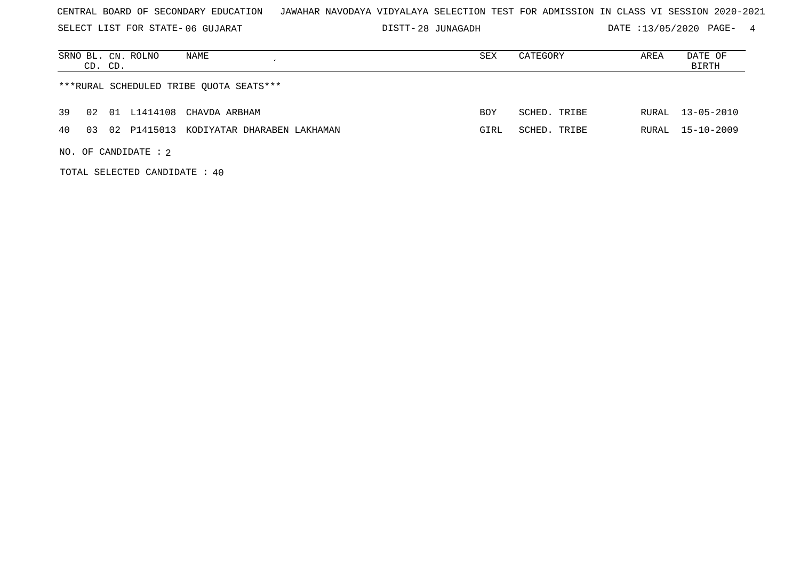SELECT LIST FOR STATE- DISTT- 06 GUJARAT

DISTT-28 JUNAGADH DATE :13/05/2020 PAGE- 4

|    | NAME<br>SRNO BL. CN. ROLNO<br>CD. CD.         | SEX        | CATEGORY     | AREA  | DATE OF<br>BIRTH |
|----|-----------------------------------------------|------------|--------------|-------|------------------|
|    | ***RURAL SCHEDULED TRIBE QUOTA SEATS***       |            |              |       |                  |
| 39 | 01 L1414108 CHAVDA ARBHAM<br>02               | <b>BOY</b> | SCHED. TRIBE | RURAL | 13-05-2010       |
| 40 | 02 P1415013 KODIYATAR DHARABEN LAKHAMAN<br>03 | GIRL       | SCHED. TRIBE | RURAL | $15 - 10 - 2009$ |
|    | NO. OF CANDIDATE : $2$                        |            |              |       |                  |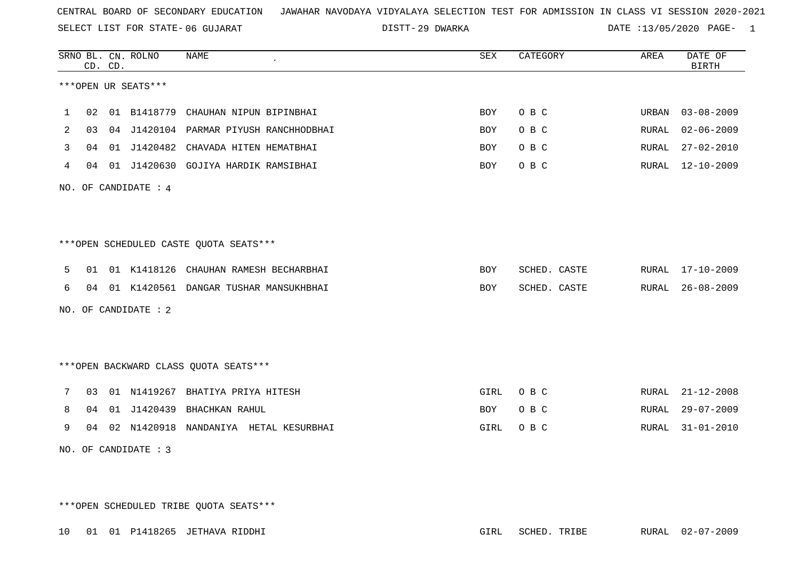29 DWARKA DATE :13/05/2020 PAGE- 1

|                |    | CD. CD. | SRNO BL. CN. ROLNO   | <b>NAME</b>                            | <b>SEX</b> | CATEGORY     | AREA         | DATE OF<br><b>BIRTH</b> |
|----------------|----|---------|----------------------|----------------------------------------|------------|--------------|--------------|-------------------------|
|                |    |         | ***OPEN UR SEATS***  |                                        |            |              |              |                         |
| 1              | 02 |         | 01 B1418779          | CHAUHAN NIPUN BIPINBHAI                | <b>BOY</b> | O B C        | URBAN        | $03 - 08 - 2009$        |
| $\overline{2}$ | 03 | 04      | J1420104             | PARMAR PIYUSH RANCHHODBHAI             | <b>BOY</b> | O B C        | RURAL        | $02 - 06 - 2009$        |
| 3              | 04 | 01      |                      | J1420482 CHAVADA HITEN HEMATBHAI       | BOY        | O B C        | RURAL        | $27 - 02 - 2010$        |
| 4              | 04 |         |                      | 01 J1420630 GOJIYA HARDIK RAMSIBHAI    | BOY        | O B C        | RURAL        | 12-10-2009              |
|                |    |         | NO. OF CANDIDATE : 4 |                                        |            |              |              |                         |
|                |    |         |                      |                                        |            |              |              |                         |
|                |    |         |                      | ***OPEN SCHEDULED CASTE QUOTA SEATS*** |            |              |              |                         |
| 5              | 01 |         |                      | 01 K1418126 CHAUHAN RAMESH BECHARBHAI  | <b>BOY</b> | SCHED. CASTE | RURAL        | $17 - 10 - 2009$        |
| 6              | 04 |         |                      | 01 K1420561 DANGAR TUSHAR MANSUKHBHAI  | BOY        | SCHED. CASTE | RURAL        | $26 - 08 - 2009$        |
|                |    |         | NO. OF CANDIDATE : 2 |                                        |            |              |              |                         |
|                |    |         |                      |                                        |            |              |              |                         |
|                |    |         |                      | *** OPEN BACKWARD CLASS QUOTA SEATS*** |            |              |              |                         |
| 7              | 03 |         |                      | 01 N1419267 BHATIYA PRIYA HITESH       | GIRL       | O B C        | RURAL        | $21 - 12 - 2008$        |
| 8              | 04 |         | 01 J1420439          | BHACHKAN RAHUL                         | <b>BOY</b> | O B C        | RURAL        | $29 - 07 - 2009$        |
| 9              | 04 | 02      | N1420918             | NANDANIYA HETAL KESURBHAI              | GIRL       | O B C        | <b>RURAL</b> | $31 - 01 - 2010$        |
|                |    |         | NO. OF CANDIDATE : 3 |                                        |            |              |              |                         |

\*\*\*OPEN SCHEDULED TRIBE QUOTA SEATS\*\*\*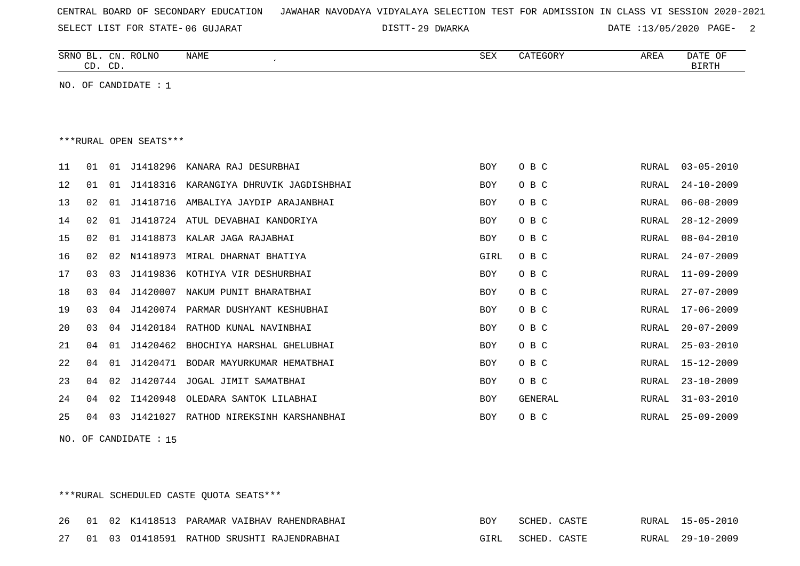| CENTRAL BOARD OF SECONDARY EDUCATION – JAWAHAR NAVODAYA VIDYALAYA SELECTION TEST FOR ADMISSION IN CLASS VI SESSION 2020-2021 |  |  |  |  |  |  |
|------------------------------------------------------------------------------------------------------------------------------|--|--|--|--|--|--|
|------------------------------------------------------------------------------------------------------------------------------|--|--|--|--|--|--|

29 DWARKA DATE :13/05/2020 PAGE- 2

|    | CD. CD. |    | SRNO BL. CN. ROLNO     | <b>NAME</b>                   | <b>SEX</b> | CATEGORY | AREA         | DATE OF<br><b>BIRTH</b> |
|----|---------|----|------------------------|-------------------------------|------------|----------|--------------|-------------------------|
|    |         |    | NO. OF CANDIDATE : 1   |                               |            |          |              |                         |
|    |         |    |                        |                               |            |          |              |                         |
|    |         |    | ***RURAL OPEN SEATS*** |                               |            |          |              |                         |
| 11 | 01      | 01 | J1418296               | KANARA RAJ DESURBHAI          | <b>BOY</b> | O B C    | RURAL        | $03 - 05 - 2010$        |
| 12 | 01      | 01 | J1418316               | KARANGIYA DHRUVIK JAGDISHBHAI | <b>BOY</b> | O B C    | RURAL        | $24 - 10 - 2009$        |
| 13 | 02      | 01 | J1418716               | AMBALIYA JAYDIP ARAJANBHAI    | BOY        | O B C    | RURAL        | $06 - 08 - 2009$        |
| 14 | 02      | 01 | J1418724               | ATUL DEVABHAI KANDORIYA       | <b>BOY</b> | O B C    | <b>RURAL</b> | $28 - 12 - 2009$        |
| 15 | 02      | 01 | J1418873               | KALAR JAGA RAJABHAI           | <b>BOY</b> | O B C    | <b>RURAL</b> | $08 - 04 - 2010$        |
| 16 | 02      | 02 | N1418973               | MIRAL DHARNAT BHATIYA         | GIRL       | O B C    | RURAL        | $24 - 07 - 2009$        |
| 17 | 03      | 03 | J1419836               | KOTHIYA VIR DESHURBHAI        | <b>BOY</b> | O B C    | <b>RURAL</b> | $11 - 09 - 2009$        |
| 18 | 03      | 04 | J1420007               | NAKUM PUNIT BHARATBHAI        | <b>BOY</b> | O B C    | RURAL        | $27 - 07 - 2009$        |
| 19 | 03      | 04 | J1420074               | PARMAR DUSHYANT KESHUBHAI     | BOY        | O B C    | RURAL        | $17 - 06 - 2009$        |
| 20 | 03      | 04 | J1420184               | RATHOD KUNAL NAVINBHAI        | BOY        | O B C    | RURAL        | $20 - 07 - 2009$        |
| 21 | 04      | 01 | J1420462               | BHOCHIYA HARSHAL GHELUBHAI    | BOY        | O B C    | RURAL        | $25 - 03 - 2010$        |
| 22 | 04      | 01 | J1420471               | BODAR MAYURKUMAR HEMATBHAI    | <b>BOY</b> | O B C    | <b>RURAL</b> | $15 - 12 - 2009$        |
| 23 | 04      | 02 | J1420744               | JOGAL JIMIT SAMATBHAI         | BOY        | O B C    | RURAL        | $23 - 10 - 2009$        |
| 24 | 04      | 02 | I1420948               | OLEDARA SANTOK LILABHAI       | BOY        | GENERAL  | RURAL        | $31 - 03 - 2010$        |
| 25 | 04      | 03 | J1421027               | RATHOD NIREKSINH KARSHANBHAI  | <b>BOY</b> | O B C    | RURAL        | $25 - 09 - 2009$        |

NO. OF CANDIDATE : 15

# \*\*\*RURAL SCHEDULED CASTE QUOTA SEATS\*\*\*

|  |  | 26 01 02 K1418513 PARAMAR VAIBHAV RAHENDRABHAI | BOY SCHED. CASTE  |  | RURAL 15-05-2010 |
|--|--|------------------------------------------------|-------------------|--|------------------|
|  |  | 27 01 03 01418591 RATHOD SRUSHTI RAJENDRABHAI  | GIRL SCHED. CASTE |  | RURAL 29-10-2009 |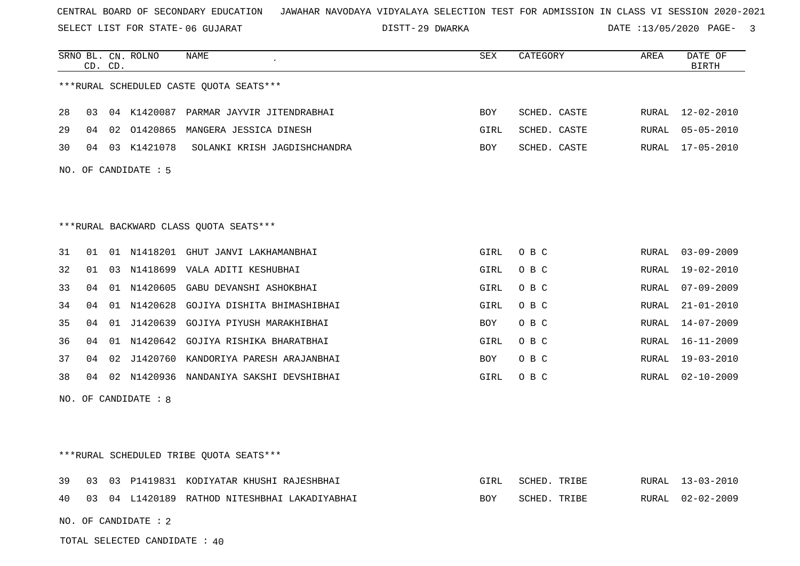SELECT LIST FOR STATE- DISTT- 06 GUJARAT

29 DWARKA DATE :13/05/2020 PAGE- 3

|    | CD. CD. |    | SRNO BL. CN. ROLNO   | NAME                                       | SEX        | CATEGORY     | AREA  | DATE OF<br><b>BIRTH</b> |
|----|---------|----|----------------------|--------------------------------------------|------------|--------------|-------|-------------------------|
|    |         |    |                      | *** RURAL SCHEDULED CASTE QUOTA SEATS***   |            |              |       |                         |
| 28 | 03      |    |                      | 04 K1420087 PARMAR JAYVIR JITENDRABHAI     | BOY        | SCHED. CASTE | RURAL | $12 - 02 - 2010$        |
| 29 | 04      | 02 | 01420865             | MANGERA JESSICA DINESH                     | GIRL       | SCHED. CASTE | RURAL | $05 - 05 - 2010$        |
| 30 | 04      |    | 03 K1421078          | SOLANKI KRISH JAGDISHCHANDRA               | BOY        | SCHED. CASTE | RURAL | $17 - 05 - 2010$        |
|    |         |    | NO. OF CANDIDATE : 5 |                                            |            |              |       |                         |
|    |         |    |                      |                                            |            |              |       |                         |
|    |         |    |                      | *** RURAL BACKWARD CLASS QUOTA SEATS***    |            |              |       |                         |
| 31 | 01      |    |                      | 01 N1418201 GHUT JANVI LAKHAMANBHAI        | GIRL       | O B C        | RURAL | $03 - 09 - 2009$        |
| 32 | 01      |    |                      | 03 N1418699 VALA ADITI KESHUBHAI           | GIRL       | O B C        | RURAL | 19-02-2010              |
| 33 | 04      | 01 |                      | N1420605 GABU DEVANSHI ASHOKBHAI           | GIRL       | O B C        | RURAL | $07 - 09 - 2009$        |
| 34 | 04      |    |                      | 01 N1420628 GOJIYA DISHITA BHIMASHIBHAI    | GIRL       | O B C        | RURAL | $21 - 01 - 2010$        |
| 35 | 04      | 01 |                      | J1420639 GOJIYA PIYUSH MARAKHIBHAI         | BOY        | O B C        | RURAL | $14 - 07 - 2009$        |
| 36 | 04      | 01 |                      | N1420642 GOJIYA RISHIKA BHARATBHAI         | GIRL       | O B C        | RURAL | $16 - 11 - 2009$        |
| 37 | 04      | 02 | J1420760             | KANDORIYA PARESH ARAJANBHAI                | BOY        | O B C        | RURAL | $19 - 03 - 2010$        |
| 38 | 04      |    |                      | 02 N1420936 NANDANIYA SAKSHI DEVSHIBHAI    | GIRL       | O B C        | RURAL | $02 - 10 - 2009$        |
|    |         |    | NO. OF CANDIDATE : 8 |                                            |            |              |       |                         |
|    |         |    |                      |                                            |            |              |       |                         |
|    |         |    |                      |                                            |            |              |       |                         |
|    |         |    |                      | *** RURAL SCHEDULED TRIBE QUOTA SEATS***   |            |              |       |                         |
| 39 | 03      | 03 |                      | P1419831 KODIYATAR KHUSHI RAJESHBHAI       | GIRL       | SCHED. TRIBE | RURAL | $13 - 03 - 2010$        |
| 40 | 03      |    |                      | 04 L1420189 RATHOD NITESHBHAI LAKADIYABHAI | <b>BOY</b> | SCHED. TRIBE | RURAL | $02 - 02 - 2009$        |
|    |         |    |                      |                                            |            |              |       |                         |

TOTAL SELECTED CANDIDATE : 40

NO. OF CANDIDATE : 2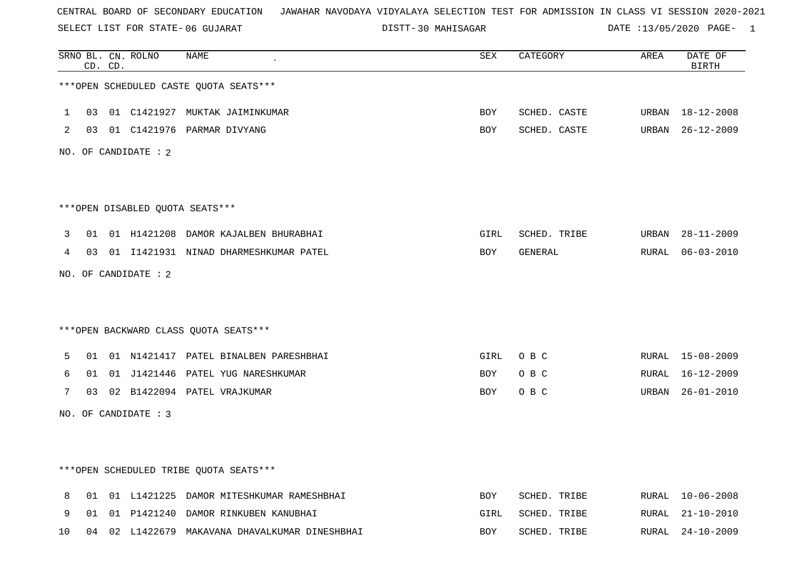SELECT LIST FOR STATE- DISTT- 06 GUJARAT

DISTT-30 MAHISAGAR DATE :13/05/2020 PAGE- 1

|    |    | CD. CD. | SRNO BL. CN. ROLNO   | <b>NAME</b>                                    | <b>SEX</b> | CATEGORY     | AREA  | DATE OF<br><b>BIRTH</b> |
|----|----|---------|----------------------|------------------------------------------------|------------|--------------|-------|-------------------------|
|    |    |         |                      | ***OPEN SCHEDULED CASTE QUOTA SEATS***         |            |              |       |                         |
| 1  | 03 |         |                      | 01 C1421927 MUKTAK JAIMINKUMAR                 | <b>BOY</b> | SCHED. CASTE | URBAN | 18-12-2008              |
| 2  |    |         |                      | 03 01 C1421976 PARMAR DIVYANG                  | BOY        | SCHED. CASTE |       | URBAN 26-12-2009        |
|    |    |         | NO. OF CANDIDATE : 2 |                                                |            |              |       |                         |
|    |    |         |                      |                                                |            |              |       |                         |
|    |    |         |                      | ***OPEN DISABLED OUOTA SEATS***                |            |              |       |                         |
| 3  | 01 |         |                      | 01 H1421208 DAMOR KAJALBEN BHURABHAI           | GIRL       | SCHED. TRIBE | URBAN | $28 - 11 - 2009$        |
| 4  |    |         |                      | 03 01 I1421931 NINAD DHARMESHKUMAR PATEL       | BOY        | GENERAL      |       | RURAL 06-03-2010        |
|    |    |         | NO. OF CANDIDATE : 2 |                                                |            |              |       |                         |
|    |    |         |                      |                                                |            |              |       |                         |
|    |    |         |                      | *** OPEN BACKWARD CLASS QUOTA SEATS***         |            |              |       |                         |
| 5  | 01 |         |                      | 01 N1421417 PATEL BINALBEN PARESHBHAI          | GIRL       | O B C        |       | RURAL 15-08-2009        |
| 6  | 01 |         |                      | 01 J1421446 PATEL YUG NARESHKUMAR              | BOY        | O B C        | RURAL | 16-12-2009              |
| 7  |    |         |                      | 03 02 B1422094 PATEL VRAJKUMAR                 | BOY        | O B C        |       | URBAN 26-01-2010        |
|    |    |         | NO. OF CANDIDATE : 3 |                                                |            |              |       |                         |
|    |    |         |                      |                                                |            |              |       |                         |
|    |    |         |                      | ***OPEN SCHEDULED TRIBE QUOTA SEATS***         |            |              |       |                         |
| 8  |    |         |                      | 01 01 L1421225 DAMOR MITESHKUMAR RAMESHBHAI    | <b>BOY</b> | SCHED. TRIBE |       | RURAL 10-06-2008        |
| 9  | 01 |         |                      | 01 P1421240 DAMOR RINKUBEN KANUBHAI            | GIRL       | SCHED. TRIBE | RURAL | 21-10-2010              |
| 10 |    |         |                      | 04 02 L1422679 MAKAVANA DHAVALKUMAR DINESHBHAI | <b>BOY</b> | SCHED. TRIBE | RURAL | $24 - 10 - 2009$        |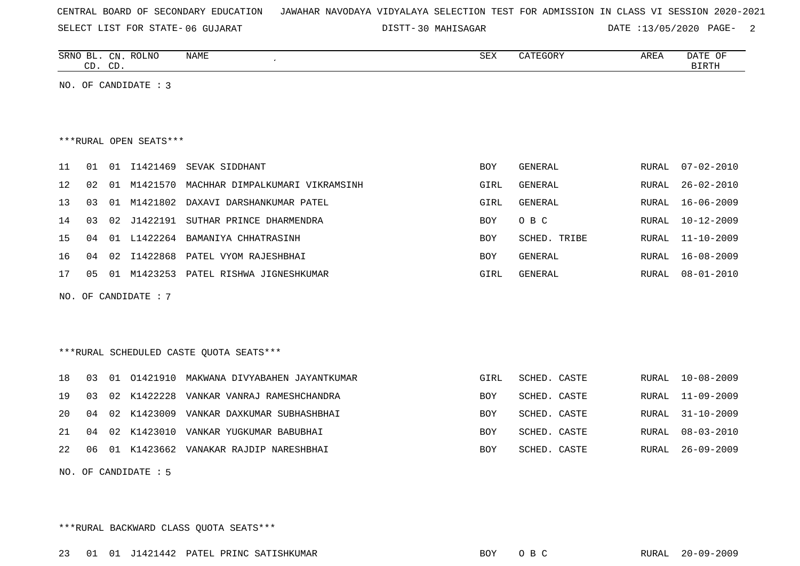SELECT LIST FOR STATE- DISTT- 06 GUJARAT

DISTT-30 MAHISAGAR DATE :13/05/2020 PAGE- 2

| SRNO<br>ല    | CN           | <b>ROLNC</b> | NAME | O TJ 37<br>つロマ | AREA | $\cap$<br>. $J\rightarrow$<br>.<br>$\sim$ |
|--------------|--------------|--------------|------|----------------|------|-------------------------------------------|
| $\sim$<br>ىب | $\cap$<br>◡╜ |              |      |                |      | ------                                    |

NO. OF CANDIDATE : 3

#### \*\*\*RURAL OPEN SEATS\*\*\*

| 11              | 01  | 01  | I1421469    | SEVAK SIDDHANT                  | <b>BOY</b> | GENERAL      | RURAL | 07-02-2010       |
|-----------------|-----|-----|-------------|---------------------------------|------------|--------------|-------|------------------|
| 12 <sup>°</sup> | 02  | 01  | M1421570    | MACHHAR DIMPALKUMARI VIKRAMSINH | GIRL       | GENERAL      | RURAL | 26-02-2010       |
| 13 <sup>7</sup> | 03  | 01  | M1421802    | DAXAVI DARSHANKUMAR PATEL       | GIRL       | GENERAL      | RURAL | 16-06-2009       |
| 14              | 03  |     | 02 J1422191 | SUTHAR PRINCE DHARMENDRA        | <b>BOY</b> | O B C        | RURAL | $10 - 12 - 2009$ |
| 15              | 04  | 01  | L1422264    | BAMANIYA CHHATRASINH            | <b>BOY</b> | SCHED. TRIBE | RURAL | $11 - 10 - 2009$ |
| 16              | በ 4 | 02  | I1422868    | PATEL VYOM RAJESHBHAI           | <b>BOY</b> | GENERAL      | RURAL | 16-08-2009       |
| 17              | 05  | O 1 | M1423253    | PATEL RISHWA JIGNESHKUMAR       | GIRL       | GENERAL      | RURAL | 08-01-2010       |

NO. OF CANDIDATE : 7

# \*\*\*RURAL SCHEDULED CASTE QUOTA SEATS\*\*\*

|  |  | 18 03 01 01421910 MAKWANA DIVYABAHEN JAYANTKUMAR | GIRL       | SCHED. CASTE | RURAL 10-08-2009 |
|--|--|--------------------------------------------------|------------|--------------|------------------|
|  |  | 19 03 02 K1422228 VANKAR VANRAJ RAMESHCHANDRA    | BOY        | SCHED. CASTE | RURAL 11-09-2009 |
|  |  | 20 04 02 K1423009 VANKAR DAXKUMAR SUBHASHBHAI    | BOY        | SCHED. CASTE | RURAL 31-10-2009 |
|  |  | 21 04 02 K1423010 VANKAR YUGKUMAR BABUBHAI       | <b>BOY</b> | SCHED. CASTE | RURAL 08-03-2010 |
|  |  | 22 06 01 K1423662 VANAKAR RAJDIP NARESHBHAI      | <b>BOY</b> | SCHED. CASTE | RURAL 26-09-2009 |

NO. OF CANDIDATE : 5

\*\*\*RURAL BACKWARD CLASS QUOTA SEATS\*\*\*

23 01 01 J1421442 PATEL PRINC SATISHKUMAR BOY O B C RURAL 20-09-2009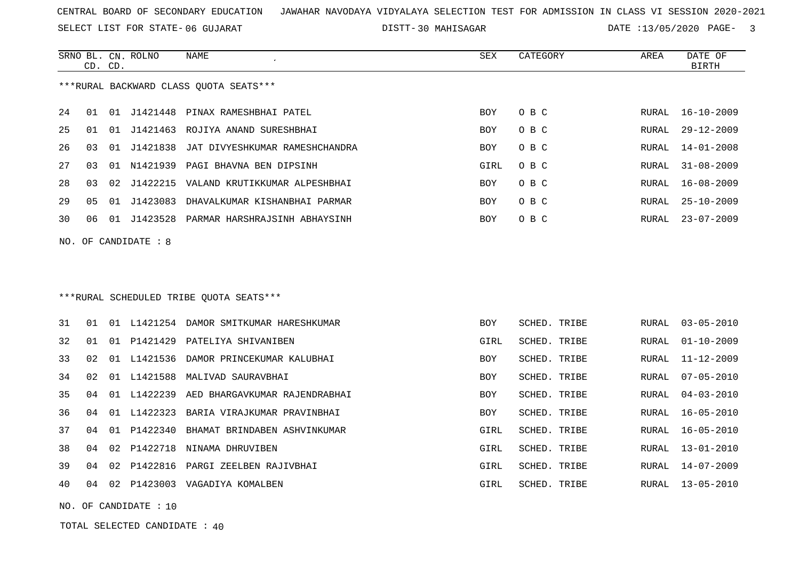SELECT LIST FOR STATE- DISTT- 06 GUJARAT

30 MAHISAGAR DATE :13/05/2020 PAGE- 3

SCHED. TRIBE RURAL 04-03-2010

SCHED. TRIBE RURAL 16-05-2010

SCHED. TRIBE RURAL 16-05-2010

GIRL SCHED. TRIBE RURAL 14-07-2009

|    |                | CD. CD. | SRNO BL. CN. ROLNO   | NAME                                       | SEX        | CATEGORY            | AREA  | DATE OF<br><b>BIRTH</b> |
|----|----------------|---------|----------------------|--------------------------------------------|------------|---------------------|-------|-------------------------|
|    |                |         |                      | *** RURAL BACKWARD CLASS QUOTA SEATS***    |            |                     |       |                         |
| 24 | 01             |         |                      | 01 J1421448 PINAX RAMESHBHAI PATEL         | <b>BOY</b> | O B C               | RURAL | $16 - 10 - 2009$        |
| 25 | 01             |         |                      | 01 J1421463 ROJIYA ANAND SURESHBHAI        | <b>BOY</b> | O B C               | RURAL | $29 - 12 - 2009$        |
| 26 | 03             |         |                      | 01 J1421838 JAT DIVYESHKUMAR RAMESHCHANDRA | <b>BOY</b> | O B C               | RURAL | $14 - 01 - 2008$        |
| 27 | 03             | 01      |                      | N1421939 PAGI BHAVNA BEN DIPSINH           | GIRL       | O B C               | RURAL | $31 - 08 - 2009$        |
| 28 | 03             |         |                      | 02 J1422215 VALAND KRUTIKKUMAR ALPESHBHAI  | <b>BOY</b> | O B C               | RURAL | $16 - 08 - 2009$        |
| 29 | 0 <sub>5</sub> |         | 01 J1423083          | DHAVALKUMAR KISHANBHAI PARMAR              | <b>BOY</b> | O B C               | RURAL | $25 - 10 - 2009$        |
| 30 | 06             |         |                      | 01 J1423528 PARMAR HARSHRAJSINH ABHAYSINH  | BOY        | O B C               | RURAL | $23 - 07 - 2009$        |
|    |                |         | NO. OF CANDIDATE : 8 |                                            |            |                     |       |                         |
|    |                |         |                      |                                            |            |                     |       |                         |
|    |                |         |                      |                                            |            |                     |       |                         |
|    |                |         |                      | ***RURAL SCHEDULED TRIBE QUOTA SEATS***    |            |                     |       |                         |
| 31 | 01             |         |                      | 01 L1421254 DAMOR SMITKUMAR HARESHKUMAR    | <b>BOY</b> | SCHED. TRIBE        | RURAL | $03 - 05 - 2010$        |
| 32 | 01             | 01      | P1421429             | PATELIYA SHIVANIBEN                        | GIRL       | SCHED. TRIBE        | RURAL | $01 - 10 - 2009$        |
| 33 | 02             |         | 01 L1421536          | DAMOR PRINCEKUMAR KALUBHAI                 | <b>BOY</b> | <b>SCHED. TRIBE</b> | RURAL | $11 - 12 - 2009$        |
| 34 | 02             | 01      |                      | L1421588 MALIVAD SAURAVBHAI                | <b>BOY</b> | SCHED. TRIBE        | RURAL | $07 - 05 - 2010$        |

35 04 01 L1422239 AED BHARGAVKUMAR RAJENDRABHAI SAHA SAHA SOY

36 04 01 L1422323 BARIA VIRAJKUMAR PRAVINBHAI BOY SCHED. TROY

37 04 01 P1422340 BHAMAT BRINDABEN ASHVINKUMAR GIRL SCHED. TRIBE RURAL 16-05-2010

38 04 02 P1422718 NINAMA DHRUVIBEN GIRL SCHED. TRIBE RURAL 13-01-2010

39 04 02 P1422816 PARGI ZEELBEN RAJIVBHAI

40 04 02 P1423003 VAGADIYA KOMALBEN GIRL SCHED. TRIBE RURAL 13-05-2010

NO. OF CANDIDATE : 10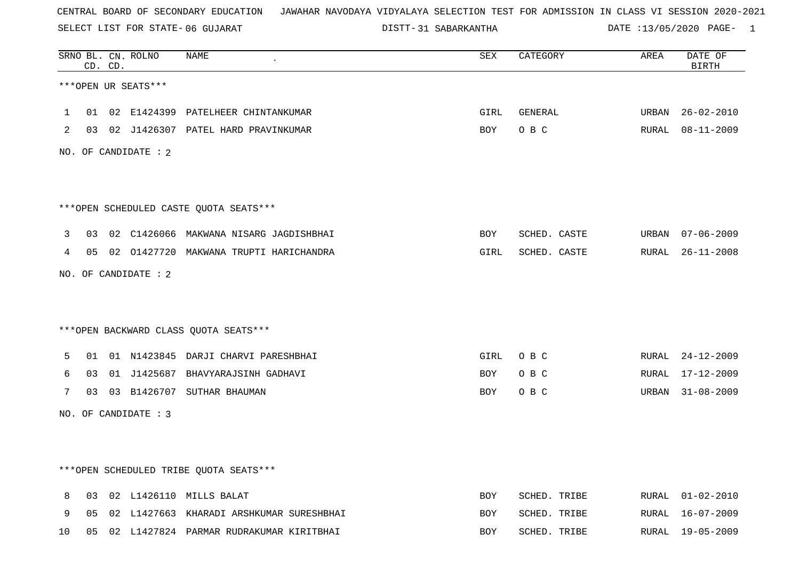SELECT LIST FOR STATE- DISTT- 06 GUJARAT

DISTT-31 SABARKANTHA DATE :13/05/2020 PAGE- 1

|    |    | CD. CD. | SRNO BL. CN. ROLNO   | <b>NAME</b>                                | <b>SEX</b> | CATEGORY     | AREA  | DATE OF<br><b>BIRTH</b> |
|----|----|---------|----------------------|--------------------------------------------|------------|--------------|-------|-------------------------|
|    |    |         | ***OPEN UR SEATS***  |                                            |            |              |       |                         |
| 1  | 01 |         |                      | 02 E1424399 PATELHEER CHINTANKUMAR         | GIRL       | GENERAL      | URBAN | $26 - 02 - 2010$        |
| 2  |    |         |                      | 03 02 J1426307 PATEL HARD PRAVINKUMAR      | BOY        | O B C        |       | RURAL 08-11-2009        |
|    |    |         | NO. OF CANDIDATE : 2 |                                            |            |              |       |                         |
|    |    |         |                      | ***OPEN SCHEDULED CASTE QUOTA SEATS***     |            |              |       |                         |
| 3  |    |         |                      | 03 02 C1426066 MAKWANA NISARG JAGDISHBHAI  | BOY        | SCHED. CASTE |       | URBAN 07-06-2009        |
| 4  |    |         |                      | 05 02 01427720 MAKWANA TRUPTI HARICHANDRA  | GIRL       | SCHED. CASTE |       | RURAL 26-11-2008        |
|    |    |         | NO. OF CANDIDATE : 2 |                                            |            |              |       |                         |
|    |    |         |                      | *** OPEN BACKWARD CLASS QUOTA SEATS***     |            |              |       |                         |
| 5  | 01 |         |                      | 01 N1423845 DARJI CHARVI PARESHBHAI        | GIRL       | O B C        |       | RURAL 24-12-2009        |
| 6  | 03 |         |                      | 01 J1425687 BHAVYARAJSINH GADHAVI          | BOY        | O B C        | RURAL | 17-12-2009              |
| 7  |    |         |                      | 03 03 B1426707 SUTHAR BHAUMAN              | BOY        | O B C        | URBAN | 31-08-2009              |
|    |    |         | NO. OF CANDIDATE : 3 |                                            |            |              |       |                         |
|    |    |         |                      |                                            |            |              |       |                         |
|    |    |         |                      | ***OPEN SCHEDULED TRIBE QUOTA SEATS***     |            |              |       |                         |
| 8  | 03 |         |                      | 02 L1426110 MILLS BALAT                    | <b>BOY</b> | SCHED. TRIBE |       | RURAL 01-02-2010        |
| 9  | 05 |         |                      | 02 L1427663 KHARADI ARSHKUMAR SURESHBHAI   | BOY        | SCHED. TRIBE |       | RURAL 16-07-2009        |
| 10 |    |         |                      | 05 02 L1427824 PARMAR RUDRAKUMAR KIRITBHAI | <b>BOY</b> | SCHED. TRIBE |       | RURAL 19-05-2009        |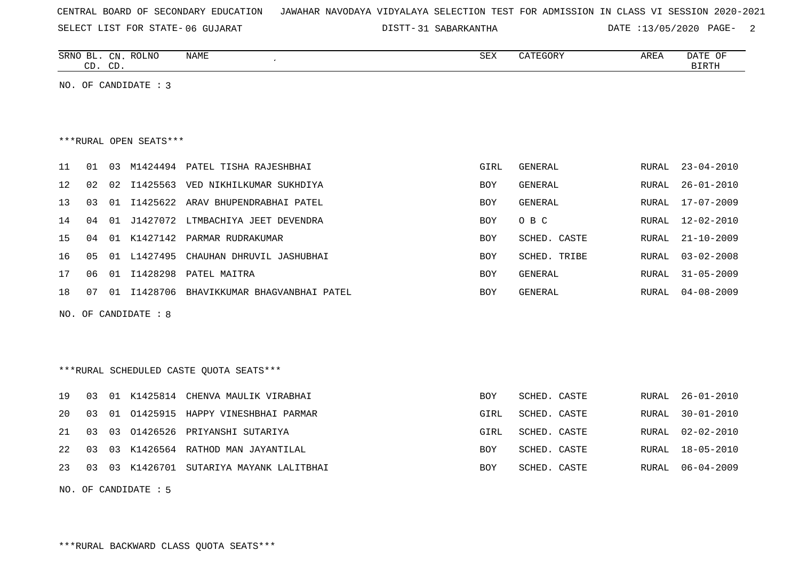|  |  |  | CENTRAL BOARD OF SECONDARY EDUCATION – JAWAHAR NAVODAYA VIDYALAYA SELECTION TEST FOR ADMISSION IN CLASS VI SESSION 2020-2021 |  |  |  |  |  |  |  |  |  |  |  |  |  |  |
|--|--|--|------------------------------------------------------------------------------------------------------------------------------|--|--|--|--|--|--|--|--|--|--|--|--|--|--|
|--|--|--|------------------------------------------------------------------------------------------------------------------------------|--|--|--|--|--|--|--|--|--|--|--|--|--|--|

SELECT LIST FOR STATE- DISTT- 06 GUJARAT

DISTT-31 SABARKANTHA DATE :13/05/2020 PAGE- 2

| SRNO<br>ВL   | C <sub>NT</sub><br>لالمب | <b>ROLNO</b> | NAME | $\cap$<br>∠תכ | CATEGORY | AREA | D.B. mm<br>OF<br><b>UAIL</b> |
|--------------|--------------------------|--------------|------|---------------|----------|------|------------------------------|
| $\sim$<br>ىت | $\sqrt{2}$<br>ىب         |              |      |               |          |      | <b>BIRTH</b>                 |

NO. OF CANDIDATE : 3

#### \*\*\*RURAL OPEN SEATS\*\*\*

|     | 01  | 03    |          | M1424494 PATEL TISHA RAJESHBHAI       | GIRL       | GENERAL      | RURAL | $23 - 04 - 2010$ |
|-----|-----|-------|----------|---------------------------------------|------------|--------------|-------|------------------|
| 12. | 02  |       |          | 02 I1425563 VED NIKHILKUMAR SUKHDIYA  | BOY        | GENERAL      | RURAL | $26 - 01 - 2010$ |
| 13  | 03  |       |          | 01 I1425622 ARAV BHUPENDRABHAI PATEL  | BOY        | GENERAL      | RURAL | $17 - 07 - 2009$ |
| 14  | 04  |       |          | 01 J1427072 LTMBACHIYA JEET DEVENDRA  | <b>BOY</b> | O B C        | RURAL | 12-02-2010       |
| 15  | በ 4 |       |          | 01 K1427142 PARMAR RUDRAKUMAR         | <b>BOY</b> | SCHED, CASTE | RURAL | 21-10-2009       |
| 16  | 05  |       |          | 01 L1427495 CHAUHAN DHRUVIL JASHUBHAI | <b>BOY</b> | SCHED. TRIBE | RURAL | $03 - 02 - 2008$ |
| 17  |     | . N 1 |          | I1428298 PATEL MAITRA                 | BOY        | GENERAL      | RURAL | $31 - 05 - 2009$ |
| 18  | -07 | -01   | I1428706 | BHAVIKKUMAR BHAGVANBHAI PATEL         | BOY        | GENERAL      | RURAL | $04 - 08 - 2009$ |

NO. OF CANDIDATE : 8

\*\*\*RURAL SCHEDULED CASTE QUOTA SEATS\*\*\*

|  |  | 19 03 01 K1425814 CHENVA MAULIK VIRABHAI    | BOY        | SCHED. CASTE |  | RURAL 26-01-2010 |
|--|--|---------------------------------------------|------------|--------------|--|------------------|
|  |  | 20 03 01 01425915 HAPPY VINESHBHAI PARMAR   | GIRL       | SCHED. CASTE |  | RURAL 30-01-2010 |
|  |  | 21 03 03 01426526 PRIYANSHI SUTARIYA        | GIRL       | SCHED. CASTE |  | RURAL 02-02-2010 |
|  |  | 22 03 03 K1426564 RATHOD MAN JAYANTILAL     | <b>BOY</b> | SCHED. CASTE |  | RURAL 18-05-2010 |
|  |  | 23 03 03 K1426701 SUTARIYA MAYANK LALITBHAI | <b>BOY</b> | SCHED. CASTE |  | RURAL 06-04-2009 |

NO. OF CANDIDATE : 5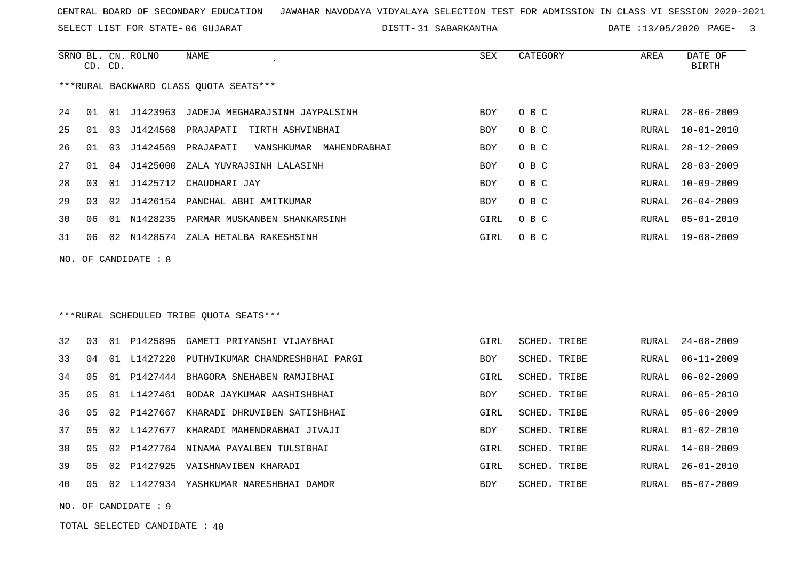SELECT LIST FOR STATE- DISTT- 06 GUJARAT

31 SABARKANTHA DATE :13/05/2020 PAGE- 3

|    | CD. CD. |    | SRNO BL. CN. ROLNO | NAME                                    | SEX        | CATEGORY | AREA  | DATE OF<br>BIRTH |
|----|---------|----|--------------------|-----------------------------------------|------------|----------|-------|------------------|
|    |         |    |                    | ***RURAL BACKWARD CLASS OUOTA SEATS***  |            |          |       |                  |
| 24 | 01      | 01 | J1423963           | JADEJA MEGHARAJSINH JAYPALSINH          | <b>BOY</b> | O B C    | RURAL | $28 - 06 - 2009$ |
| 25 | 01      | 03 | J1424568           | PRAJAPATI<br>TIRTH ASHVINBHAI           | <b>BOY</b> | O B C    | RURAL | $10 - 01 - 2010$ |
| 26 | 01      | 03 | J1424569           | PRAJAPATI<br>VANSHKUMAR<br>MAHENDRABHAI | <b>BOY</b> | O B C    | RURAL | $28 - 12 - 2009$ |
| 27 | 01      | 04 | J1425000           | ZALA YUVRAJSINH LALASINH                | <b>BOY</b> | O B C    | RURAL | $28 - 03 - 2009$ |
| 28 | 03      | 01 | J1425712           | CHAUDHARI JAY                           | <b>BOY</b> | O B C    | RURAL | $10 - 09 - 2009$ |
| 29 | 03      | 02 | J1426154           | PANCHAL ABHI AMITKUMAR                  | <b>BOY</b> | O B C    | RURAL | $26 - 04 - 2009$ |
| 30 | 06      | 01 | N1428235           | PARMAR MUSKANBEN SHANKARSINH            | GIRL       | O B C    | RURAL | $05 - 01 - 2010$ |
| 31 | 06      | 02 | N1428574           | ZALA HETALBA RAKESHSINH                 | GIRL       | O B C    | RURAL | $19 - 08 - 2009$ |
|    |         |    |                    |                                         |            |          |       |                  |

NO. OF CANDIDATE : 8

# \*\*\*RURAL SCHEDULED TRIBE QUOTA SEATS\*\*\*

| 32 | 03 | 01 | P1425895       | GAMETI PRIYANSHI VIJAYBHAI      | GIRL       | SCHED. TRIBE |       | RURAL 24-08-2009 |
|----|----|----|----------------|---------------------------------|------------|--------------|-------|------------------|
| 33 | 04 | 01 | L1427220       | PUTHVIKUMAR CHANDRESHBHAI PARGI | <b>BOY</b> | SCHED, TRIBE | RURAL | $06 - 11 - 2009$ |
| 34 |    |    | 05 01 P1427444 | BHAGORA SNEHABEN RAMJIBHAI      | GIRL       | SCHED. TRIBE | RURAL | 06-02-2009       |
| 35 | 05 |    | 01 L1427461    | BODAR JAYKUMAR AASHISHBHAI      | <b>BOY</b> | SCHED. TRIBE | RURAL | $06 - 05 - 2010$ |
| 36 |    |    | 05 02 P1427667 | KHARADI DHRUVIBEN SATISHBHAI    | GIRL       | SCHED. TRIBE |       | RURAL 05-06-2009 |
| 37 | 05 |    | 02 L1427677    | KHARADI MAHENDRABHAI JIVAJI     | <b>BOY</b> | SCHED. TRIBE |       | RURAL 01-02-2010 |
| 38 |    |    | 05 02 P1427764 | NINAMA PAYALBEN TULSIBHAI       | GIRL       | SCHED. TRIBE | RURAL | $14 - 08 - 2009$ |
| 39 | 05 | 02 | P1427925       | VAISHNAVIBEN KHARADI            | GIRL       | SCHED. TRIBE | RURAL | 26-01-2010       |
| 40 | 05 | 02 | L1427934       | YASHKUMAR NARESHBHAI DAMOR      | BOY        | SCHED, TRIBE | RURAL | $05 - 07 - 2009$ |
|    |    |    |                |                                 |            |              |       |                  |

NO. OF CANDIDATE : 9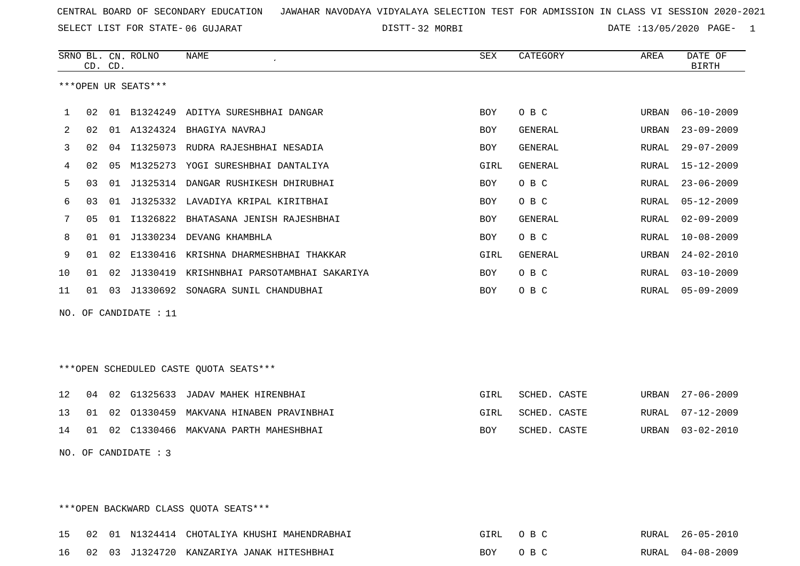SELECT LIST FOR STATE- DISTT- 06 GUJARAT

DISTT-32 MORBI DATE :13/05/2020 PAGE- 1

|     |                  | CD. CD. | SRNO BL. CN. ROLNO  | <b>NAME</b>                               | <b>SEX</b> | CATEGORY       | AREA  | DATE OF<br><b>BIRTH</b> |  |
|-----|------------------|---------|---------------------|-------------------------------------------|------------|----------------|-------|-------------------------|--|
|     |                  |         | ***OPEN UR SEATS*** |                                           |            |                |       |                         |  |
| 1   | 02               |         |                     | 01 B1324249 ADITYA SURESHBHAI DANGAR      | <b>BOY</b> | O B C          | URBAN | $06 - 10 - 2009$        |  |
| 2   | 02               |         |                     | 01 A1324324 BHAGIYA NAVRAJ                | <b>BOY</b> | <b>GENERAL</b> | URBAN | $23 - 09 - 2009$        |  |
| 3   | 02               |         |                     | 04 I1325073 RUDRA RAJESHBHAI NESADIA      | <b>BOY</b> | <b>GENERAL</b> | RURAL | $29 - 07 - 2009$        |  |
| 4   | 02               | 05      |                     | M1325273 YOGI SURESHBHAI DANTALIYA        | GIRL       | <b>GENERAL</b> | RURAL | $15 - 12 - 2009$        |  |
| 5   | 03               |         |                     | 01 J1325314 DANGAR RUSHIKESH DHIRUBHAI    | BOY        | O B C          | RURAL | $23 - 06 - 2009$        |  |
| 6   | 03               | 01      | J1325332            | LAVADIYA KRIPAL KIRITBHAI                 | <b>BOY</b> | O B C          | RURAL | $05 - 12 - 2009$        |  |
| 7   | 05               | 01      | I1326822            | BHATASANA JENISH RAJESHBHAI               | BOY        | <b>GENERAL</b> | RURAL | $02 - 09 - 2009$        |  |
| 8   | 01               |         |                     | 01 J1330234 DEVANG KHAMBHLA               | <b>BOY</b> | O B C          | RURAL | $10 - 08 - 2009$        |  |
| 9   | 01               | 02      | E1330416            | KRISHNA DHARMESHBHAI THAKKAR              | GIRL       | <b>GENERAL</b> | URBAN | $24 - 02 - 2010$        |  |
| 10  | 01               | 02      |                     | J1330419 KRISHNBHAI PARSOTAMBHAI SAKARIYA | BOY        | O B C          | RURAL | $03 - 10 - 2009$        |  |
| 11  | 01               | 03      |                     | J1330692 SONAGRA SUNIL CHANDUBHAI         | BOY        | O B C          | RURAL | $05 - 09 - 2009$        |  |
| NO. |                  |         | OF CANDIDATE : 11   |                                           |            |                |       |                         |  |
|     |                  |         |                     |                                           |            |                |       |                         |  |
|     |                  |         |                     |                                           |            |                |       |                         |  |
|     |                  |         |                     | ***OPEN SCHEDULED CASTE QUOTA SEATS***    |            |                |       |                         |  |
| 12  | 04               |         | 02 G1325633         | JADAV MAHEK HIRENBHAI                     | GIRL       | SCHED. CASTE   | URBAN | $27 - 06 - 2009$        |  |
| 13  | 01               |         |                     | 02 01330459 MAKVANA HINABEN PRAVINBHAI    | GIRL       | SCHED. CASTE   | RURAL | $07 - 12 - 2009$        |  |
| 14  | 01               |         |                     | 02 C1330466 MAKVANA PARTH MAHESHBHAI      | <b>BOY</b> | SCHED. CASTE   | URBAN | $03 - 02 - 2010$        |  |
| NO. | OF CANDIDATE : 3 |         |                     |                                           |            |                |       |                         |  |
|     |                  |         |                     |                                           |            |                |       |                         |  |

\*\*\*OPEN BACKWARD CLASS QUOTA SEATS\*\*\*

|  |  | 15 02 01 N1324414 CHOTALIYA KHUSHI MAHENDRABHAI | GIRL OBC | RURAL 26-05-2010 |
|--|--|-------------------------------------------------|----------|------------------|
|  |  | 16 02 03 J1324720 KANZARIYA JANAK HITESHBHAI    | BOY OBC  | RURAL 04-08-2009 |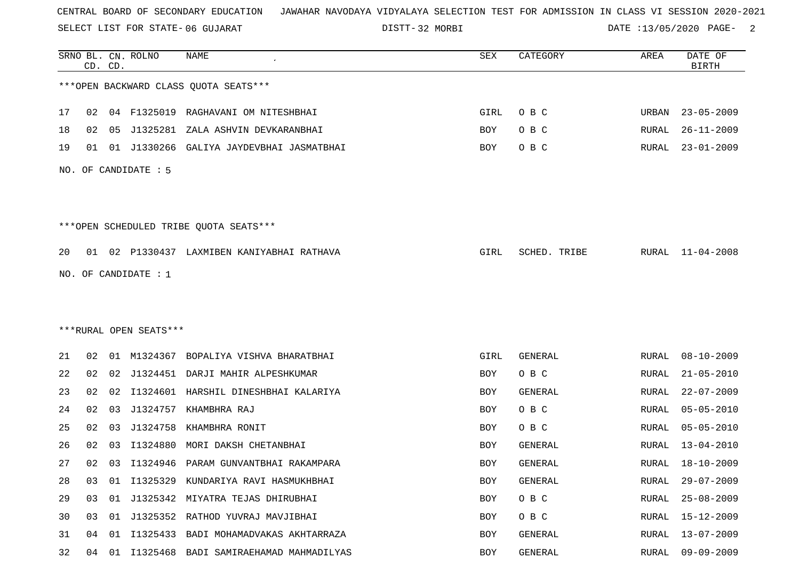SELECT LIST FOR STATE- DISTT- 06 GUJARAT

DISTT-32 MORBI DATE :13/05/2020 PAGE- 2

|    |    | CD. CD. | SRNO BL. CN. ROLNO     | <b>NAME</b>                                | SEX        | CATEGORY       | AREA         | DATE OF<br><b>BIRTH</b> |
|----|----|---------|------------------------|--------------------------------------------|------------|----------------|--------------|-------------------------|
|    |    |         |                        | *** OPEN BACKWARD CLASS QUOTA SEATS***     |            |                |              |                         |
| 17 | 02 |         |                        | 04 F1325019 RAGHAVANI OM NITESHBHAI        | GIRL       | O B C          | URBAN        | $23 - 05 - 2009$        |
| 18 | 02 | 05      | J1325281               | ZALA ASHVIN DEVKARANBHAI                   | BOY        | O B C          | RURAL        | $26 - 11 - 2009$        |
| 19 | 01 |         |                        | 01 J1330266 GALIYA JAYDEVBHAI JASMATBHAI   | BOY        | O B C          | RURAL        | $23 - 01 - 2009$        |
|    |    |         | NO. OF CANDIDATE : 5   |                                            |            |                |              |                         |
|    |    |         |                        | ***OPEN SCHEDULED TRIBE QUOTA SEATS***     |            |                |              |                         |
| 20 |    |         |                        | 01 02 P1330437 LAXMIBEN KANIYABHAI RATHAVA | GIRL       | SCHED. TRIBE   |              | RURAL 11-04-2008        |
|    |    |         | NO. OF CANDIDATE : 1   |                                            |            |                |              |                         |
|    |    |         |                        |                                            |            |                |              |                         |
|    |    |         |                        |                                            |            |                |              |                         |
|    |    |         | ***RURAL OPEN SEATS*** |                                            |            |                |              |                         |
| 21 | 02 |         | 01 M1324367            | BOPALIYA VISHVA BHARATBHAI                 | GIRL       | <b>GENERAL</b> | RURAL        | $08 - 10 - 2009$        |
| 22 | 02 |         |                        | 02 J1324451 DARJI MAHIR ALPESHKUMAR        | BOY        | O B C          | RURAL        | $21 - 05 - 2010$        |
| 23 | 02 | 02      | I1324601               | HARSHIL DINESHBHAI KALARIYA                | BOY        | <b>GENERAL</b> | RURAL        | $22 - 07 - 2009$        |
| 24 | 02 | 03      | J1324757               | KHAMBHRA RAJ                               | BOY        | O B C          | RURAL        | $05 - 05 - 2010$        |
| 25 | 02 | 03      | J1324758               | KHAMBHRA RONIT                             | BOY        | O B C          | RURAL        | $05 - 05 - 2010$        |
| 26 | 02 | 03      | I1324880               | MORI DAKSH CHETANBHAI                      | BOY        | <b>GENERAL</b> | RURAL        | $13 - 04 - 2010$        |
| 27 | 02 |         |                        | 03 I1324946 PARAM GUNVANTBHAI RAKAMPARA    | BOY        | GENERAL        | RURAL        | 18-10-2009              |
| 28 | 03 | 01      |                        | I1325329 KUNDARIYA RAVI HASMUKHBHAI        | <b>BOY</b> | GENERAL        | RURAL        | $29 - 07 - 2009$        |
| 29 | 03 |         |                        | 01 J1325342 MIYATRA TEJAS DHIRUBHAI        | BOY        | O B C          | RURAL        | $25 - 08 - 2009$        |
| 30 | 03 |         |                        | 01 J1325352 RATHOD YUVRAJ MAVJIBHAI        | BOY        | O B C          | RURAL        | 15-12-2009              |
| 31 | 04 | 01      | I1325433               | BADI MOHAMADVAKAS AKHTARRAZA               | BOY        | GENERAL        | <b>RURAL</b> | $13 - 07 - 2009$        |
| 32 | 04 |         |                        | 01 I1325468 BADI SAMIRAEHAMAD MAHMADILYAS  | BOY        | GENERAL        | RURAL        | $09 - 09 - 2009$        |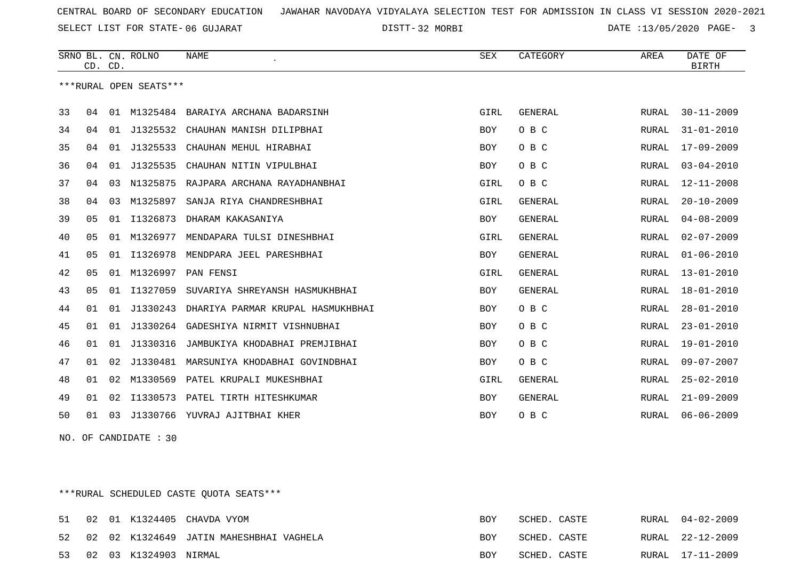SELECT LIST FOR STATE- DISTT- 06 GUJARAT

32 MORBI DATE :13/05/2020 PAGE- 3

|    | CD. CD.        |    | SRNO BL. CN. ROLNO     | <b>NAME</b>                       | <b>SEX</b> | CATEGORY       | AREA  | DATE OF<br><b>BIRTH</b> |
|----|----------------|----|------------------------|-----------------------------------|------------|----------------|-------|-------------------------|
|    |                |    | ***RURAL OPEN SEATS*** |                                   |            |                |       |                         |
| 33 | 04             | 01 | M1325484               | BARAIYA ARCHANA BADARSINH         | GIRL       | <b>GENERAL</b> | RURAL | $30 - 11 - 2009$        |
| 34 | 04             | 01 | J1325532               | CHAUHAN MANISH DILIPBHAI          | <b>BOY</b> | O B C          | RURAL | $31 - 01 - 2010$        |
| 35 | 04             | 01 | J1325533               | CHAUHAN MEHUL HIRABHAI            | <b>BOY</b> | O B C          | RURAL | $17 - 09 - 2009$        |
| 36 | 04             | 01 | J1325535               | CHAUHAN NITIN VIPULBHAI           | BOY        | O B C          | RURAL | $03 - 04 - 2010$        |
| 37 | 04             | 03 | N1325875               | RAJPARA ARCHANA RAYADHANBHAI      | GIRL       | O B C          | RURAL | $12 - 11 - 2008$        |
| 38 | 04             | 03 | M1325897               | SANJA RIYA CHANDRESHBHAI          | GIRL       | <b>GENERAL</b> | RURAL | $20 - 10 - 2009$        |
| 39 | 0 <sub>5</sub> | 01 | I1326873               | DHARAM KAKASANIYA                 | BOY        | <b>GENERAL</b> | RURAL | $04 - 08 - 2009$        |
| 40 | 0 <sub>5</sub> | 01 | M1326977               | MENDAPARA TULSI DINESHBHAI        | GIRL       | <b>GENERAL</b> | RURAL | $02 - 07 - 2009$        |
| 41 | 05             | 01 | I1326978               | MENDPARA JEEL PARESHBHAI          | <b>BOY</b> | <b>GENERAL</b> | RURAL | $01 - 06 - 2010$        |
| 42 | 05             | 01 | M1326997               | PAN FENSI                         | GIRL       | <b>GENERAL</b> | RURAL | $13 - 01 - 2010$        |
| 43 | 05             | 01 | I1327059               | SUVARIYA SHREYANSH HASMUKHBHAI    | BOY        | <b>GENERAL</b> | RURAL | $18 - 01 - 2010$        |
| 44 | 01             | 01 | J1330243               | DHARIYA PARMAR KRUPAL HASMUKHBHAI | BOY        | O B C          | RURAL | $28 - 01 - 2010$        |
| 45 | 01             | 01 | J1330264               | GADESHIYA NIRMIT VISHNUBHAI       | BOY        | O B C          | RURAL | $23 - 01 - 2010$        |
| 46 | 01             | 01 | J1330316               | JAMBUKIYA KHODABHAI PREMJIBHAI    | BOY        | O B C          | RURAL | $19 - 01 - 2010$        |
| 47 | 01             | 02 | J1330481               | MARSUNIYA KHODABHAI GOVINDBHAI    | BOY        | O B C          | RURAL | $09 - 07 - 2007$        |
| 48 | 01             | 02 | M1330569               | PATEL KRUPALI MUKESHBHAI          | GIRL       | <b>GENERAL</b> | RURAL | $25 - 02 - 2010$        |
| 49 | 01             | 02 | I1330573               | PATEL TIRTH HITESHKUMAR           | BOY        | <b>GENERAL</b> | RURAL | $21 - 09 - 2009$        |
| 50 | 01             | 03 |                        | J1330766 YUVRAJ AJITBHAI KHER     | <b>BOY</b> | O B C          | RURAL | $06 - 06 - 2009$        |

NO. OF CANDIDATE : 30

\*\*\*RURAL SCHEDULED CASTE QUOTA SEATS\*\*\*

| 51 |  |                          | 02 01 K1324405 CHAVDA VYOM              | BOY        | SCHED. CASTE | RURAL 04-02-2009 |
|----|--|--------------------------|-----------------------------------------|------------|--------------|------------------|
| 52 |  |                          | 02 02 K1324649 JATIN MAHESHBHAI VAGHELA | <b>BOY</b> | SCHED. CASTE | RURAL 22-12-2009 |
|    |  | 53 02 03 K1324903 NIRMAL |                                         | <b>BOY</b> | SCHED. CASTE | RURAL 17-11-2009 |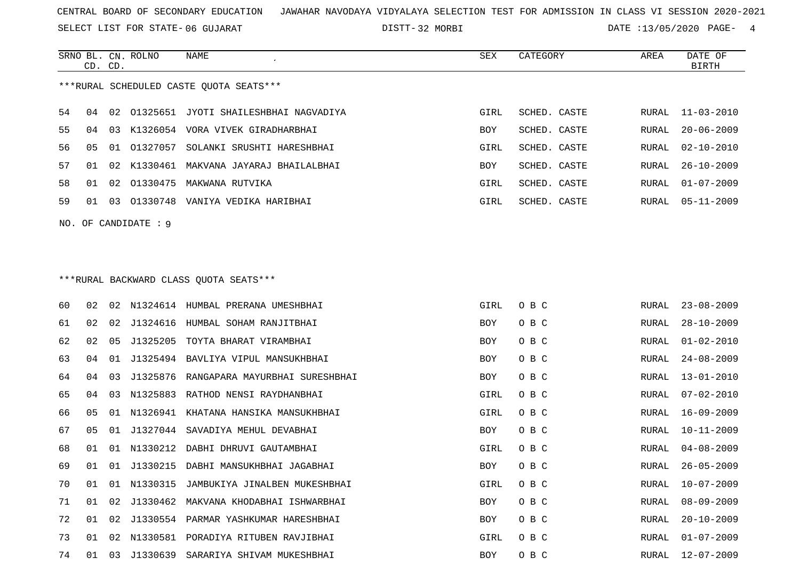SELECT LIST FOR STATE- DISTT- 06 GUJARAT

DISTT-32 MORBI DATE :13/05/2020 PAGE- 4

|                                         | CD. CD. |    | SRNO BL. CN. ROLNO | NAME                                     | SEX        | CATEGORY     | AREA  | DATE OF<br>BIRTH |  |  |
|-----------------------------------------|---------|----|--------------------|------------------------------------------|------------|--------------|-------|------------------|--|--|
| ***RURAL SCHEDULED CASTE OUOTA SEATS*** |         |    |                    |                                          |            |              |       |                  |  |  |
| 54                                      | 04      |    |                    | 02 01325651 JYOTI SHAILESHBHAI NAGVADIYA | GIRL       | SCHED. CASTE |       | RURAL 11-03-2010 |  |  |
| 55                                      | በ 4     | 03 |                    | K1326054 VORA VIVEK GIRADHARBHAI         | BOY        | SCHED. CASTE | RURAL | $20 - 06 - 2009$ |  |  |
| 56                                      | 05      |    | 01 01327057        | SOLANKI SRUSHTI HARESHBHAI               | GIRL       | SCHED. CASTE | RURAL | 02-10-2010       |  |  |
| 57                                      | O 1     |    |                    | 02 K1330461 MAKVANA JAYARAJ BHAILALBHAI  | <b>BOY</b> | SCHED. CASTE | RURAL | $26 - 10 - 2009$ |  |  |
| 58                                      | O 1     |    |                    | 02 01330475 MAKWANA RUTVIKA              | GIRL       | SCHED. CASTE | RURAL | $01 - 07 - 2009$ |  |  |
| 59                                      | 01      |    |                    | 03 01330748 VANIYA VEDIKA HARIBHAI       | GIRL       | SCHED. CASTE | RURAL | $05 - 11 - 2009$ |  |  |
| NO. OF CANDIDATE : 9                    |         |    |                    |                                          |            |              |       |                  |  |  |

# \*\*\*RURAL BACKWARD CLASS QUOTA SEATS\*\*\*

| 60 | 02 |     |             | 02 N1324614 HUMBAL PRERANA UMESHBHAI    | GIRL       | O B C | RURAL | $23 - 08 - 2009$ |
|----|----|-----|-------------|-----------------------------------------|------------|-------|-------|------------------|
| 61 | 02 | 0.2 |             | J1324616 HUMBAL SOHAM RANJITBHAI        | BOY        | O B C | RURAL | $28 - 10 - 2009$ |
| 62 | 02 | 05  | J1325205    | TOYTA BHARAT VIRAMBHAI                  | BOY        | O B C | RURAL | $01 - 02 - 2010$ |
| 63 | 04 | 01  | J1325494    | BAVLIYA VIPUL MANSUKHBHAI               | BOY        | O B C | RURAL | $24 - 08 - 2009$ |
| 64 | 04 | 03  |             | J1325876 RANGAPARA MAYURBHAI SURESHBHAI | BOY        | O B C | RURAL | $13 - 01 - 2010$ |
| 65 | 04 | 03  |             | N1325883 RATHOD NENSI RAYDHANBHAI       | GIRL       | O B C | RURAL | $07 - 02 - 2010$ |
| 66 | 05 |     |             | 01 N1326941 KHATANA HANSIKA MANSUKHBHAI | GIRL       | O B C | RURAL | 16-09-2009       |
| 67 | 05 | 01  |             | J1327044 SAVADIYA MEHUL DEVABHAI        | BOY        | O B C | RURAL | $10 - 11 - 2009$ |
| 68 | 01 | 0 1 |             | N1330212 DABHI DHRUVI GAUTAMBHAI        | GIRL       | O B C | RURAL | $04 - 08 - 2009$ |
| 69 | 01 | 01  |             | J1330215 DABHI MANSUKHBHAI JAGABHAI     | BOY        | O B C | RURAL | $26 - 05 - 2009$ |
| 70 | 01 |     | 01 N1330315 | JAMBUKIYA JINALBEN MUKESHBHAI           | GIRL       | O B C | RURAL | $10 - 07 - 2009$ |
| 71 | 01 | 02  |             | J1330462 MAKVANA KHODABHAI ISHWARBHAI   | <b>BOY</b> | O B C | RURAL | $08 - 09 - 2009$ |
| 72 | 01 | 02  |             | J1330554 PARMAR YASHKUMAR HARESHBHAI    | BOY        | O B C | RURAL | $20 - 10 - 2009$ |
| 73 | 01 |     |             | 02 N1330581 PORADIYA RITUBEN RAVJIBHAI  | GIRL       | O B C | RURAL | $01 - 07 - 2009$ |
| 74 | 01 | 03  |             | J1330639 SARARIYA SHIVAM MUKESHBHAI     | BOY        | O B C | RURAL | 12-07-2009       |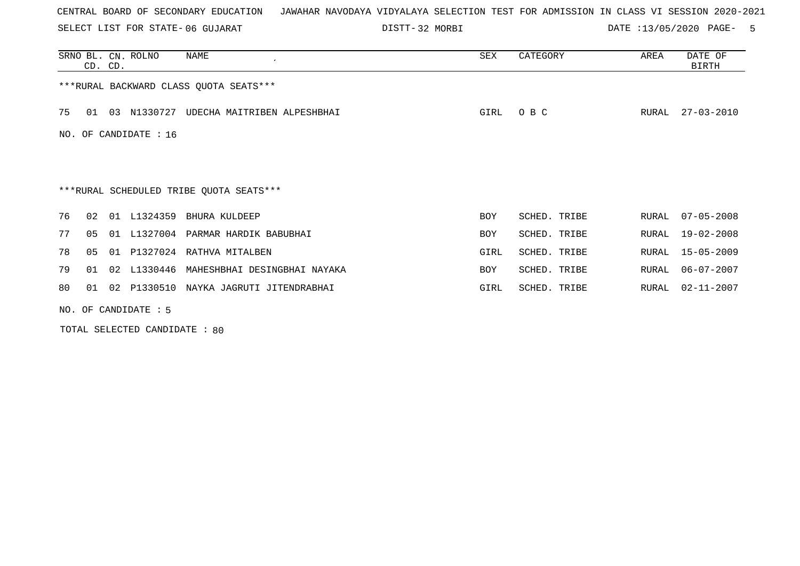SELECT LIST FOR STATE- DISTT- 06 GUJARAT

DISTT-32 MORBI DATE :13/05/2020 PAGE- 5

|     |    | CD. CD. | SRNO BL. CN. ROLNO    | NAME                                    | SEX        | CATEGORY     | AREA  | DATE OF<br>BIRTH |
|-----|----|---------|-----------------------|-----------------------------------------|------------|--------------|-------|------------------|
|     |    |         |                       | *** RURAL BACKWARD CLASS QUOTA SEATS*** |            |              |       |                  |
| 75  | 01 | 03      | N1330727              | UDECHA MAITRIBEN ALPESHBHAI             | GIRL       | O B C        | RURAL | $27 - 03 - 2010$ |
| NO. |    |         | OF CANDIDATE : 16     |                                         |            |              |       |                  |
|     |    |         |                       |                                         |            |              |       |                  |
|     |    |         |                       | ***RURAL SCHEDULED TRIBE QUOTA SEATS*** |            |              |       |                  |
| 76  | 02 |         |                       | 01 L1324359 BHURA KULDEEP               | BOY        | SCHED. TRIBE | RURAL | $07 - 05 - 2008$ |
| 77  | 05 |         | 01 L1327004           | PARMAR HARDIK BABUBHAI                  | <b>BOY</b> | SCHED. TRIBE | RURAL | $19 - 02 - 2008$ |
| 78  | 05 |         |                       | 01 P1327024 RATHVA MITALBEN             | GIRL       | SCHED. TRIBE | RURAL | $15 - 05 - 2009$ |
| 79  | 01 | 02      | L1330446              | MAHESHBHAI DESINGBHAI NAYAKA            | BOY        | SCHED. TRIBE | RURAL | $06 - 07 - 2007$ |
| 80  | 01 |         |                       | 02 P1330510 NAYKA JAGRUTI JITENDRABHAI  | GIRL       | SCHED. TRIBE | RURAL | 02-11-2007       |
|     |    |         | $NO.$ OF CANDIDATE: 5 |                                         |            |              |       |                  |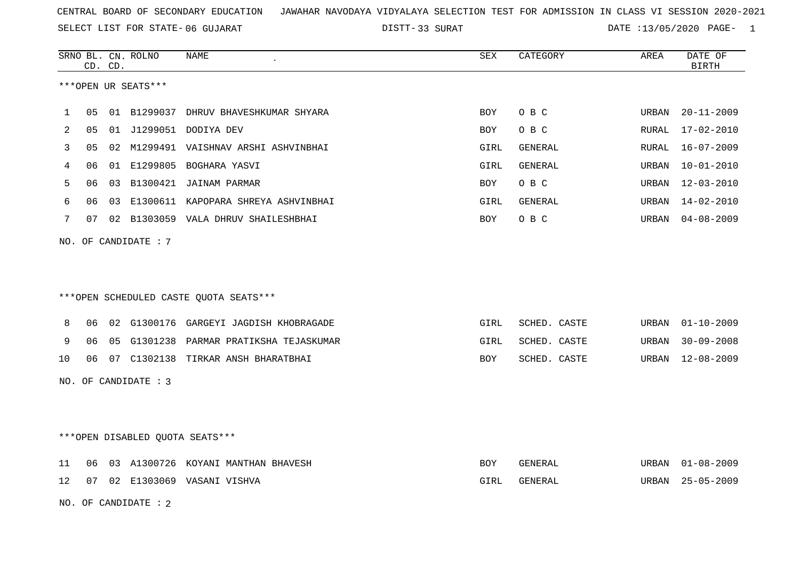SELECT LIST FOR STATE- DISTT- 06 GUJARAT

33 SURAT DATE :13/05/2020 PAGE- 1

|    |                                 | CD. CD. | SRNO BL. CN. ROLNO     | NAME                                    | SEX        | CATEGORY     | AREA  | DATE OF<br><b>BIRTH</b> |  |
|----|---------------------------------|---------|------------------------|-----------------------------------------|------------|--------------|-------|-------------------------|--|
|    |                                 |         | ***OPEN UR SEATS***    |                                         |            |              |       |                         |  |
| 1  | 05                              |         |                        | 01 B1299037 DHRUV BHAVESHKUMAR SHYARA   | <b>BOY</b> | O B C        | URBAN | $20 - 11 - 2009$        |  |
| 2  | 05                              |         |                        | 01 J1299051 DODIYA DEV                  | <b>BOY</b> | O B C        | RURAL | $17 - 02 - 2010$        |  |
| 3  | 05                              | 02      |                        | M1299491 VAISHNAV ARSHI ASHVINBHAI      | GIRL       | GENERAL      | RURAL | $16 - 07 - 2009$        |  |
| 4  | 06                              |         |                        | 01 E1299805 BOGHARA YASVI               | GIRL       | GENERAL      | URBAN | $10 - 01 - 2010$        |  |
| 5  | 06                              |         |                        | 03 B1300421 JAINAM PARMAR               | <b>BOY</b> | O B C        | URBAN | $12 - 03 - 2010$        |  |
| 6  | 06                              | 03      |                        | E1300611 KAPOPARA SHREYA ASHVINBHAI     | GIRL       | GENERAL      | URBAN | 14-02-2010              |  |
| 7  | 07                              |         |                        | 02 B1303059 VALA DHRUV SHAILESHBHAI     | BOY        | O B C        | URBAN | $04 - 08 - 2009$        |  |
|    |                                 |         | NO. OF CANDIDATE : 7   |                                         |            |              |       |                         |  |
|    |                                 |         |                        | *** OPEN SCHEDULED CASTE QUOTA SEATS*** |            |              |       |                         |  |
| 8  | 06                              |         |                        | 02 G1300176 GARGEYI JAGDISH KHOBRAGADE  | GIRL       | SCHED. CASTE | URBAN | $01 - 10 - 2009$        |  |
| 9  | 06                              |         |                        | 05 G1301238 PARMAR PRATIKSHA TEJASKUMAR | GIRL       | SCHED. CASTE | URBAN | $30 - 09 - 2008$        |  |
| 10 | 06                              |         |                        | 07 C1302138 TIRKAR ANSH BHARATBHAI      | BOY        | SCHED. CASTE | URBAN | $12 - 08 - 2009$        |  |
|    |                                 |         | NO. OF CANDIDATE : 3   |                                         |            |              |       |                         |  |
|    | ***OPEN DISABLED QUOTA SEATS*** |         |                        |                                         |            |              |       |                         |  |
| 11 | 06                              |         |                        | 03 A1300726 KOYANI MANTHAN BHAVESH      | BOY        | GENERAL      | URBAN | $01 - 08 - 2009$        |  |
| 12 | 07                              |         |                        | 02 E1303069 VASANI VISHVA               | GIRL       | GENERAL      | URBAN | $25 - 05 - 2009$        |  |
|    |                                 |         | NO. OF CANDIDATE : $2$ |                                         |            |              |       |                         |  |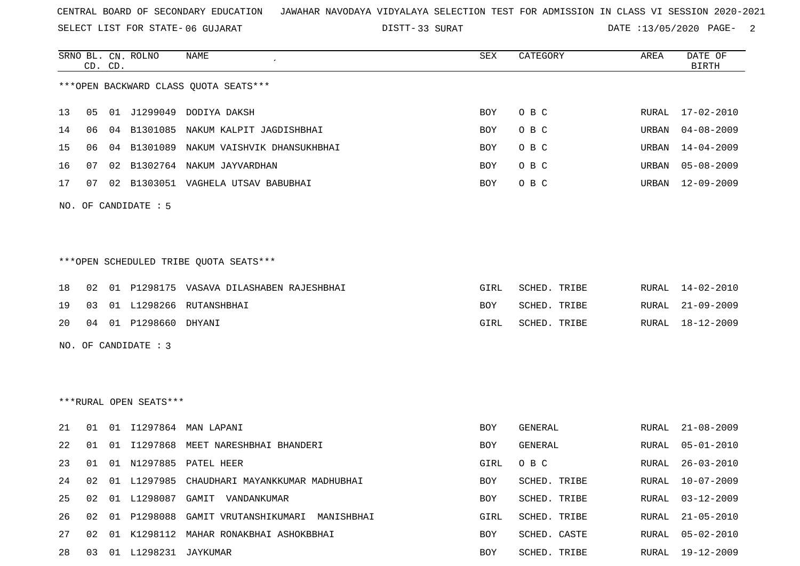SELECT LIST FOR STATE- DISTT- 06 GUJARAT

33 SURAT DATE :13/05/2020 PAGE- 2

|    |    | CD. CD. | SRNO BL. CN. ROLNO      | NAME                                         | SEX        | CATEGORY     | AREA  | DATE OF<br><b>BIRTH</b> |
|----|----|---------|-------------------------|----------------------------------------------|------------|--------------|-------|-------------------------|
|    |    |         |                         | *** OPEN BACKWARD CLASS QUOTA SEATS***       |            |              |       |                         |
|    |    |         |                         |                                              |            |              |       |                         |
| 13 | 05 |         | 01 J1299049             | DODIYA DAKSH                                 | BOY        | O B C        | RURAL | $17 - 02 - 2010$        |
| 14 | 06 | 04      | B1301085                | NAKUM KALPIT JAGDISHBHAI                     | BOY        | O B C        | URBAN | $04 - 08 - 2009$        |
| 15 | 06 | 04      |                         | B1301089 NAKUM VAISHVIK DHANSUKHBHAI         | BOY        | O B C        | URBAN | $14 - 04 - 2009$        |
| 16 | 07 | 02      | B1302764                | NAKUM JAYVARDHAN                             | <b>BOY</b> | O B C        | URBAN | $05 - 08 - 2009$        |
| 17 | 07 | 02      |                         | B1303051 VAGHELA UTSAV BABUBHAI              | BOY        | O B C        | URBAN | $12 - 09 - 2009$        |
|    |    |         | NO. OF CANDIDATE : 5    |                                              |            |              |       |                         |
|    |    |         |                         |                                              |            |              |       |                         |
|    |    |         |                         |                                              |            |              |       |                         |
|    |    |         |                         | ***OPEN SCHEDULED TRIBE QUOTA SEATS***       |            |              |       |                         |
| 18 | 02 |         |                         | 01 P1298175 VASAVA DILASHABEN RAJESHBHAI     | GIRL       | SCHED. TRIBE | RURAL | $14 - 02 - 2010$        |
| 19 | 03 |         |                         | 01 L1298266 RUTANSHBHAI                      | BOY        | SCHED. TRIBE | RURAL | $21 - 09 - 2009$        |
| 20 | 04 |         | 01 P1298660             | DHYANI                                       | GIRL       | SCHED. TRIBE | RURAL | $18 - 12 - 2009$        |
|    |    |         | NO. OF CANDIDATE : 3    |                                              |            |              |       |                         |
|    |    |         |                         |                                              |            |              |       |                         |
|    |    |         |                         |                                              |            |              |       |                         |
|    |    |         | ***RURAL OPEN SEATS***  |                                              |            |              |       |                         |
| 21 | 01 |         |                         | 01 I1297864 MAN LAPANI                       | BOY        | GENERAL      | RURAL | $21 - 08 - 2009$        |
| 22 | 01 | 01      | I1297868                | MEET NARESHBHAI BHANDERI                     | BOY        | GENERAL      | RURAL | $05 - 01 - 2010$        |
| 23 | 01 |         |                         | 01 N1297885 PATEL HEER                       | GIRL       | O B C        | RURAL | $26 - 03 - 2010$        |
| 24 | 02 |         |                         | 01 L1297985 CHAUDHARI MAYANKKUMAR MADHUBHAI  | BOY        | SCHED. TRIBE | RURAL | $10 - 07 - 2009$        |
| 25 | 02 |         |                         | 01 L1298087 GAMIT VANDANKUMAR                | BOY        | SCHED. TRIBE | RURAL | $03 - 12 - 2009$        |
| 26 | 02 |         |                         | 01 P1298088 GAMIT VRUTANSHIKUMARI MANISHBHAI | GIRL       | SCHED. TRIBE | RURAL | $21 - 05 - 2010$        |
| 27 | 02 |         |                         | 01 K1298112 MAHAR RONAKBHAI ASHOKBBHAI       | BOY        | SCHED. CASTE | RURAL | $05 - 02 - 2010$        |
| 28 |    |         | 03 01 L1298231 JAYKUMAR |                                              | BOY        | SCHED. TRIBE |       | RURAL 19-12-2009        |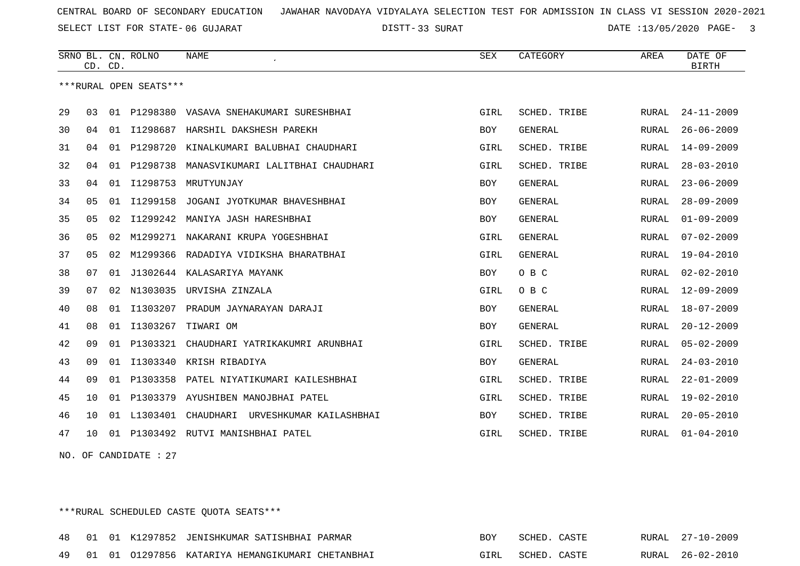SELECT LIST FOR STATE- DISTT- 06 GUJARAT

33 SURAT DATE :13/05/2020 PAGE- 3

|    |              | CD. CD. | SRNO BL. CN. ROLNO     | <b>NAME</b>                           | <b>SEX</b> | CATEGORY       | AREA         | DATE OF<br><b>BIRTH</b> |
|----|--------------|---------|------------------------|---------------------------------------|------------|----------------|--------------|-------------------------|
|    |              |         | ***RURAL OPEN SEATS*** |                                       |            |                |              |                         |
| 29 | 03           |         | 01 P1298380            | VASAVA SNEHAKUMARI SURESHBHAI         | GIRL       | SCHED. TRIBE   | RURAL        | $24 - 11 - 2009$        |
| 30 | 04           | 01      | I1298687               | HARSHIL DAKSHESH PAREKH               | <b>BOY</b> | <b>GENERAL</b> | RURAL        | $26 - 06 - 2009$        |
| 31 | 04           |         | 01 P1298720            | KINALKUMARI BALUBHAI CHAUDHARI        | GIRL       | SCHED. TRIBE   | RURAL        | $14 - 09 - 2009$        |
| 32 | 04           |         | 01 P1298738            | MANASVIKUMARI LALITBHAI CHAUDHARI     | GIRL       | SCHED. TRIBE   | RURAL        | $28 - 03 - 2010$        |
| 33 | 04           | 01      | I1298753               | MRUTYUNJAY                            | <b>BOY</b> | <b>GENERAL</b> | RURAL        | $23 - 06 - 2009$        |
| 34 | 05           | 01      | I1299158               | JOGANI JYOTKUMAR BHAVESHBHAI          | <b>BOY</b> | <b>GENERAL</b> | RURAL        | $28 - 09 - 2009$        |
| 35 | 05           | 02      | I1299242               | MANIYA JASH HARESHBHAI                | BOY        | <b>GENERAL</b> | RURAL        | $01 - 09 - 2009$        |
| 36 | 05           | 02      | M1299271               | NAKARANI KRUPA YOGESHBHAI             | GIRL       | <b>GENERAL</b> | RURAL        | $07 - 02 - 2009$        |
| 37 | 05           | 02      |                        | M1299366 RADADIYA VIDIKSHA BHARATBHAI | GIRL       | <b>GENERAL</b> | RURAL        | $19 - 04 - 2010$        |
| 38 | 07           | 01      | J1302644               | KALASARIYA MAYANK                     | BOY        | O B C          | RURAL        | $02 - 02 - 2010$        |
| 39 | 07           | 02      | N1303035               | URVISHA ZINZALA                       | GIRL       | O B C          | RURAL        | $12 - 09 - 2009$        |
| 40 | 08           | 01      |                        | I1303207 PRADUM JAYNARAYAN DARAJI     | BOY        | <b>GENERAL</b> | RURAL        | $18 - 07 - 2009$        |
| 41 | 08           | 01      | I1303267               | TIWARI OM                             | <b>BOY</b> | <b>GENERAL</b> | RURAL        | $20 - 12 - 2009$        |
| 42 | 09           | 01      | P1303321               | CHAUDHARI YATRIKAKUMRI ARUNBHAI       | GIRL       | SCHED. TRIBE   | RURAL        | $05 - 02 - 2009$        |
| 43 | 09           |         | 01 11303340            | KRISH RIBADIYA                        | <b>BOY</b> | <b>GENERAL</b> | <b>RURAL</b> | $24 - 03 - 2010$        |
| 44 | 09           |         | 01 P1303358            | PATEL NIYATIKUMARI KAILESHBHAI        | GIRL       | SCHED. TRIBE   | RURAL        | $22 - 01 - 2009$        |
| 45 | 10           |         | 01 P1303379            | AYUSHIBEN MANOJBHAI PATEL             | GIRL       | SCHED. TRIBE   | <b>RURAL</b> | $19 - 02 - 2010$        |
| 46 | 10           | 01      | L1303401               | CHAUDHARI<br>URVESHKUMAR KAILASHBHAI  | <b>BOY</b> | SCHED. TRIBE   | RURAL        | $20 - 05 - 2010$        |
| 47 | $10^{\circ}$ |         |                        | 01 P1303492 RUTVI MANISHBHAI PATEL    | GIRL       | SCHED. TRIBE   | RURAL        | $01 - 04 - 2010$        |

NO. OF CANDIDATE : 27

\*\*\*RURAL SCHEDULED CASTE QUOTA SEATS\*\*\*

|  |  | 48 01 01 K1297852 JENISHKUMAR SATISHBHAI PARMAR     | <b>BOY</b> | SCHED. CASTE |  | RURAL 27-10-2009 |
|--|--|-----------------------------------------------------|------------|--------------|--|------------------|
|  |  | 49 01 01 01297856 KATARIYA HEMANGIKUMARI CHETANBHAI | GIRL       | SCHED. CASTE |  | RURAL 26-02-2010 |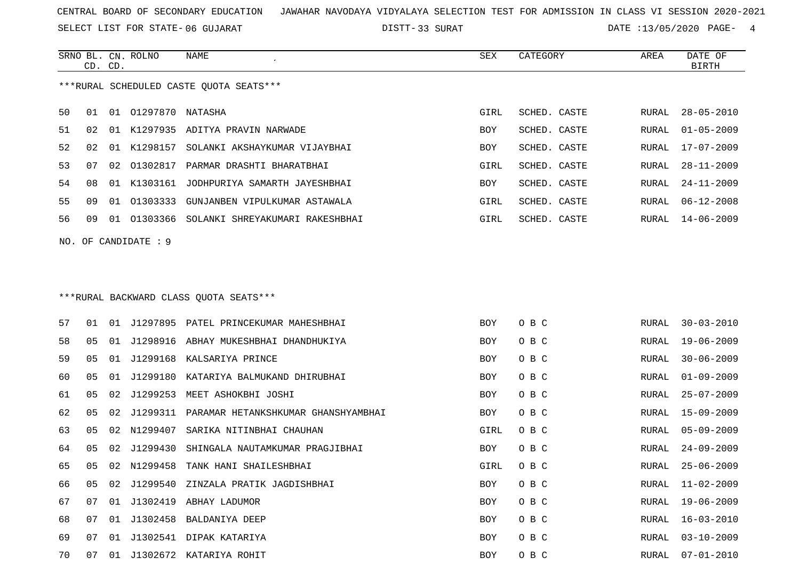SELECT LIST FOR STATE- DISTT- 06 GUJARAT

SRNO BL. CN.

ROLNO NAME SEX CATEGORY AREA DATE OF

33 SURAT DATE :13/05/2020 PAGE- 4

|    | CD. CD. |    |                     |                                             |            |              |       | <b>BIRTH</b>     |
|----|---------|----|---------------------|---------------------------------------------|------------|--------------|-------|------------------|
|    |         |    |                     | ***RURAL SCHEDULED CASTE QUOTA SEATS***     |            |              |       |                  |
| 50 | 01      |    | 01 01297870 NATASHA |                                             | GIRL       | SCHED. CASTE | RURAL | $28 - 05 - 2010$ |
| 51 | 02      | 01 |                     | K1297935 ADITYA PRAVIN NARWADE              | BOY        | SCHED. CASTE | RURAL | $01 - 05 - 2009$ |
| 52 | 02      |    |                     | 01 K1298157 SOLANKI AKSHAYKUMAR VIJAYBHAI   | BOY        | SCHED. CASTE | RURAL | 17-07-2009       |
| 53 | 07      | 02 | 01302817            | PARMAR DRASHTI BHARATBHAI                   | GIRL       | SCHED. CASTE | RURAL | $28 - 11 - 2009$ |
| 54 | 08      |    | 01 K1303161         | JODHPURIYA SAMARTH JAYESHBHAI               | BOY        | SCHED. CASTE | RURAL | $24 - 11 - 2009$ |
| 55 | 09      | 01 | 01303333            | GUNJANBEN VIPULKUMAR ASTAWALA               | GIRL       | SCHED. CASTE | RURAL | $06 - 12 - 2008$ |
| 56 | 09      |    |                     | 01 01303366 SOLANKI SHREYAKUMARI RAKESHBHAI | GIRL       | SCHED. CASTE | RURAL | $14 - 06 - 2009$ |
|    |         |    | NO. OF CANDIDATE: 9 |                                             |            |              |       |                  |
|    |         |    |                     |                                             |            |              |       |                  |
|    |         |    |                     | ***RURAL BACKWARD CLASS OUOTA SEATS***      |            |              |       |                  |
| 57 | 01      |    |                     | 01 J1297895 PATEL PRINCEKUMAR MAHESHBHAI    | <b>BOY</b> | O B C        | RURAL | $30 - 03 - 2010$ |
| 58 | 05      | 01 |                     | J1298916 ABHAY MUKESHBHAI DHANDHUKIYA       | BOY        | O B C        | RURAL | $19 - 06 - 2009$ |
| 59 | 05      |    |                     | 01 J1299168 KALSARIYA PRINCE                | BOY        | O B C        | RURAL | $30 - 06 - 2009$ |
| 60 | 05      | 01 | J1299180            | KATARIYA BALMUKAND DHIRUBHAI                | BOY        | O B C        | RURAL | $01 - 09 - 2009$ |
| 61 | 05      | 02 | J1299253            | MEET ASHOKBHI JOSHI                         | BOY        | O B C        | RURAL | $25 - 07 - 2009$ |
| 62 | 05      | 02 | J1299311            | PARAMAR HETANKSHKUMAR GHANSHYAMBHAI         | BOY        | O B C        | RURAL | $15 - 09 - 2009$ |
| 63 | 05      | 02 | N1299407            | SARIKA NITINBHAI CHAUHAN                    | GIRL       | O B C        | RURAL | $05 - 09 - 2009$ |
| 64 | 05      | 02 | J1299430            | SHINGALA NAUTAMKUMAR PRAGJIBHAI             | BOY        | O B C        | RURAL | $24 - 09 - 2009$ |
| 65 | 05      | 02 | N1299458            | TANK HANI SHAILESHBHAI                      | GIRL       | O B C        | RURAL | $25 - 06 - 2009$ |
| 66 | 05      |    | 02 J1299540         | ZINZALA PRATIK JAGDISHBHAI                  | BOY        | O B C        | RURAL | $11 - 02 - 2009$ |
| 67 |         |    |                     | 07 01 J1302419 ABHAY LADUMOR                | BOY        | O B C        | RURAL | 19-06-2009       |
| 68 | 07      |    |                     | 01 J1302458 BALDANIYA DEEP                  | BOY        | O B C        | RURAL | $16 - 03 - 2010$ |
| 69 | 07      |    |                     | 01 J1302541 DIPAK KATARIYA                  | BOY        | O B C        | RURAL | $03 - 10 - 2009$ |
| 70 | 07      |    |                     | 01 J1302672 KATARIYA ROHIT                  | BOY        | O B C        | RURAL | $07 - 01 - 2010$ |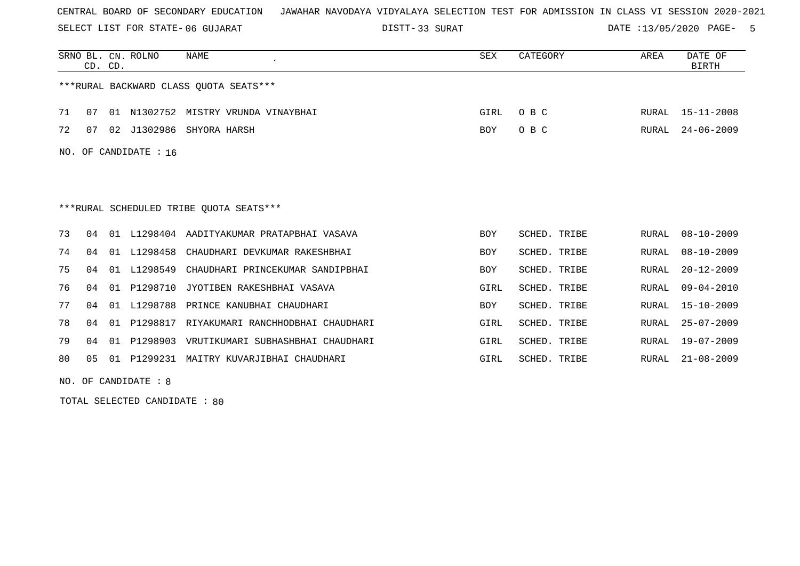SELECT LIST FOR STATE- DISTT- 06 GUJARAT

33 SURAT DATE :13/05/2020 PAGE- 5

|     | CD. CD. |    | SRNO BL. CN. ROLNO | <b>NAME</b>                                | SEX        | CATEGORY            | AREA  | DATE OF<br><b>BIRTH</b> |
|-----|---------|----|--------------------|--------------------------------------------|------------|---------------------|-------|-------------------------|
|     |         |    |                    | ***RURAL BACKWARD CLASS OUOTA SEATS***     |            |                     |       |                         |
| 71  | 07      |    |                    | 01 N1302752 MISTRY VRUNDA VINAYBHAI        | GIRL       | O B C               | RURAL | 15-11-2008              |
| 72  | 07      |    |                    | 02 J1302986 SHYORA HARSH                   | BOY        | O B C               | RURAL | $24 - 06 - 2009$        |
| NO. |         |    | OF CANDIDATE : 16  |                                            |            |                     |       |                         |
|     |         |    |                    |                                            |            |                     |       |                         |
|     |         |    |                    |                                            |            |                     |       |                         |
|     |         |    |                    | ***RURAL SCHEDULED TRIBE OUOTA SEATS***    |            |                     |       |                         |
| 73  | 04      |    |                    | 01 L1298404 AADITYAKUMAR PRATAPBHAI VASAVA | <b>BOY</b> | SCHED. TRIBE        | RURAL | $08 - 10 - 2009$        |
| 74  | 04      |    | 01 L1298458        | CHAUDHARI DEVKUMAR RAKESHBHAI              | <b>BOY</b> | <b>SCHED. TRIBE</b> | RURAL | $08 - 10 - 2009$        |
| 75  | 04      |    | 01 L1298549        | CHAUDHARI PRINCEKUMAR SANDIPBHAI           | <b>BOY</b> | <b>SCHED. TRIBE</b> | RURAL | $20 - 12 - 2009$        |
| 76  | 04      |    | 01 P1298710        | JYOTIBEN RAKESHBHAI VASAVA                 | GIRL       | <b>SCHED. TRIBE</b> | RURAL | $09 - 04 - 2010$        |
| 77  | 04      | 01 | L1298788           | PRINCE KANUBHAI CHAUDHARI                  | BOY        | SCHED. TRIBE        | RURAL | $15 - 10 - 2009$        |
| 78  | 04      | 01 | P1298817           | RIYAKUMARI RANCHHODBHAI CHAUDHARI          | GIRL       | SCHED. TRIBE        | RURAL | $25 - 07 - 2009$        |
| 79  | 04      |    | 01 P1298903        | VRUTIKUMARI SUBHASHBHAI CHAUDHARI          | GIRL       | SCHED. TRIBE        | RURAL | $19 - 07 - 2009$        |
| 80  | 05      |    |                    | 01 P1299231 MAITRY KUVARJIBHAI CHAUDHARI   | GIRL       | SCHED. TRIBE        | RURAL | $21 - 08 - 2009$        |

NO. OF CANDIDATE : 8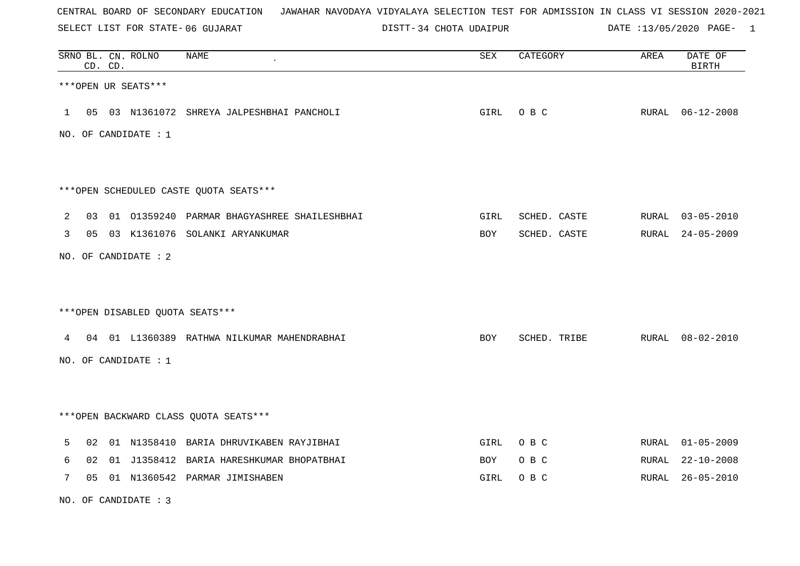SELECT LIST FOR STATE- DISTT- 06 GUJARAT

DISTT-34 CHOTA UDAIPUR DATE :13/05/2020 PAGE- 1

|              | CD. CD. | SRNO BL. CN. ROLNO   | <b>NAME</b>                                    | SEX  | CATEGORY     | AREA | DATE OF<br><b>BIRTH</b> |
|--------------|---------|----------------------|------------------------------------------------|------|--------------|------|-------------------------|
|              |         | ***OPEN UR SEATS***  |                                                |      |              |      |                         |
|              |         |                      | 1 05 03 N1361072 SHREYA JALPESHBHAI PANCHOLI   | GIRL | O B C        |      | RURAL 06-12-2008        |
|              |         | NO. OF CANDIDATE : 1 |                                                |      |              |      |                         |
|              |         |                      |                                                |      |              |      |                         |
|              |         |                      | ***OPEN SCHEDULED CASTE QUOTA SEATS***         |      |              |      |                         |
| 2            |         |                      | 03 01 01359240 PARMAR BHAGYASHREE SHAILESHBHAI | GIRL | SCHED. CASTE |      | RURAL 03-05-2010        |
| $\mathbf{3}$ |         |                      | 05 03 K1361076 SOLANKI ARYANKUMAR              | BOY  | SCHED. CASTE |      | RURAL 24-05-2009        |
|              |         | NO. OF CANDIDATE : 2 |                                                |      |              |      |                         |
|              |         |                      |                                                |      |              |      |                         |
|              |         |                      | ***OPEN DISABLED QUOTA SEATS***                |      |              |      |                         |
|              |         |                      | 4 04 01 L1360389 RATHWA NILKUMAR MAHENDRABHAI  | BOY  | SCHED. TRIBE |      | RURAL 08-02-2010        |
|              |         | NO. OF CANDIDATE : 1 |                                                |      |              |      |                         |
|              |         |                      |                                                |      |              |      |                         |
|              |         |                      | *** OPEN BACKWARD CLASS QUOTA SEATS***         |      |              |      |                         |
| 5            |         |                      | 02 01 N1358410 BARIA DHRUVIKABEN RAYJIBHAI     | GIRL | O B C        |      | RURAL 01-05-2009        |
| 6            |         |                      | 02 01 J1358412 BARIA HARESHKUMAR BHOPATBHAI    | BOY  | O B C        |      | RURAL 22-10-2008        |
| 7            |         |                      | 05 01 N1360542 PARMAR JIMISHABEN               | GIRL | O B C        |      | RURAL 26-05-2010        |

NO. OF CANDIDATE : 3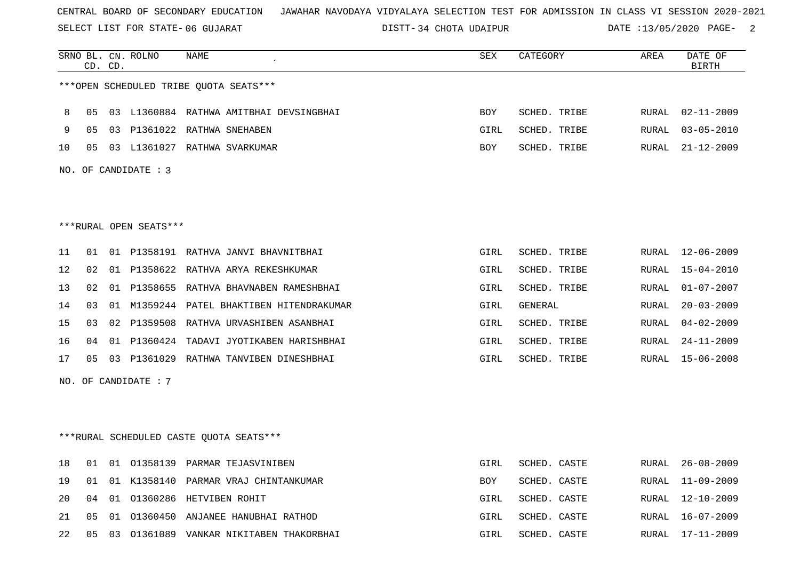SELECT LIST FOR STATE- DISTT- 06 GUJARAT

34 CHOTA UDAIPUR DATE :13/05/2020 PAGE- 2

|    |                | CD. CD. | SRNO BL. CN. ROLNO     | <b>NAME</b>                               | SEX        | CATEGORY       | AREA         | DATE OF<br><b>BIRTH</b> |
|----|----------------|---------|------------------------|-------------------------------------------|------------|----------------|--------------|-------------------------|
|    |                |         |                        | ***OPEN SCHEDULED TRIBE QUOTA SEATS***    |            |                |              |                         |
| 8  | 05             |         |                        | 03 L1360884 RATHWA AMITBHAI DEVSINGBHAI   | <b>BOY</b> | SCHED. TRIBE   | RURAL        | $02 - 11 - 2009$        |
| 9  | 0 <sub>5</sub> |         |                        | 03 P1361022 RATHWA SNEHABEN               | GIRL       | SCHED. TRIBE   | RURAL        | $03 - 05 - 2010$        |
| 10 | 05             |         |                        | 03 L1361027 RATHWA SVARKUMAR              | <b>BOY</b> | SCHED. TRIBE   | RURAL        | $21 - 12 - 2009$        |
|    |                |         |                        |                                           |            |                |              |                         |
|    |                |         | NO. OF CANDIDATE : $3$ |                                           |            |                |              |                         |
|    |                |         |                        |                                           |            |                |              |                         |
|    |                |         |                        |                                           |            |                |              |                         |
|    |                |         | ***RURAL OPEN SEATS*** |                                           |            |                |              |                         |
| 11 | 01             |         |                        | 01 P1358191 RATHVA JANVI BHAVNITBHAI      | GIRL       | SCHED. TRIBE   | RURAL        | $12 - 06 - 2009$        |
| 12 | 02             |         |                        | 01 P1358622 RATHVA ARYA REKESHKUMAR       | GIRL       | SCHED. TRIBE   | RURAL        | $15 - 04 - 2010$        |
| 13 | 02             |         |                        | 01 P1358655 RATHVA BHAVNABEN RAMESHBHAI   | GIRL       | SCHED. TRIBE   | RURAL        | $01 - 07 - 2007$        |
| 14 | 03             |         |                        | 01 M1359244 PATEL BHAKTIBEN HITENDRAKUMAR | GIRL       | <b>GENERAL</b> | RURAL        | $20 - 03 - 2009$        |
| 15 | 03             |         |                        | 02 P1359508 RATHVA URVASHIBEN ASANBHAI    | GIRL       | SCHED. TRIBE   | <b>RURAL</b> | $04 - 02 - 2009$        |
| 16 | 04             |         |                        | 01 P1360424 TADAVI JYOTIKABEN HARISHBHAI  | GIRL       | SCHED. TRIBE   | <b>RURAL</b> | $24 - 11 - 2009$        |
| 17 | 05             |         |                        | 03 P1361029 RATHWA TANVIBEN DINESHBHAI    | GIRL       | SCHED. TRIBE   | RURAL        | 15-06-2008              |
|    |                |         | NO. OF CANDIDATE : 7   |                                           |            |                |              |                         |
|    |                |         |                        |                                           |            |                |              |                         |
|    |                |         |                        |                                           |            |                |              |                         |
|    |                |         |                        | *** RURAL SCHEDULED CASTE QUOTA SEATS***  |            |                |              |                         |
| 18 | 01             |         |                        | 01 01358139 PARMAR TEJASVINIBEN           | GIRL       | SCHED. CASTE   | RURAL        | $26 - 08 - 2009$        |
| 19 | 01             |         |                        | 01 K1358140 PARMAR VRAJ CHINTANKUMAR      | <b>BOY</b> | SCHED. CASTE   | RURAL        | $11 - 09 - 2009$        |
| 20 | 04             |         |                        | 01 01360286 HETVIBEN ROHIT                | GIRL       | SCHED. CASTE   | RURAL        | $12 - 10 - 2009$        |
| 21 | 05             |         |                        | 01 01360450 ANJANEE HANUBHAI RATHOD       | GIRL       | SCHED. CASTE   | RURAL        | $16 - 07 - 2009$        |

22 05 03 O1361089 VANKAR NIKITABEN THAKORBHAI GIRL SCHED. CASTE RURAL 17-11-2009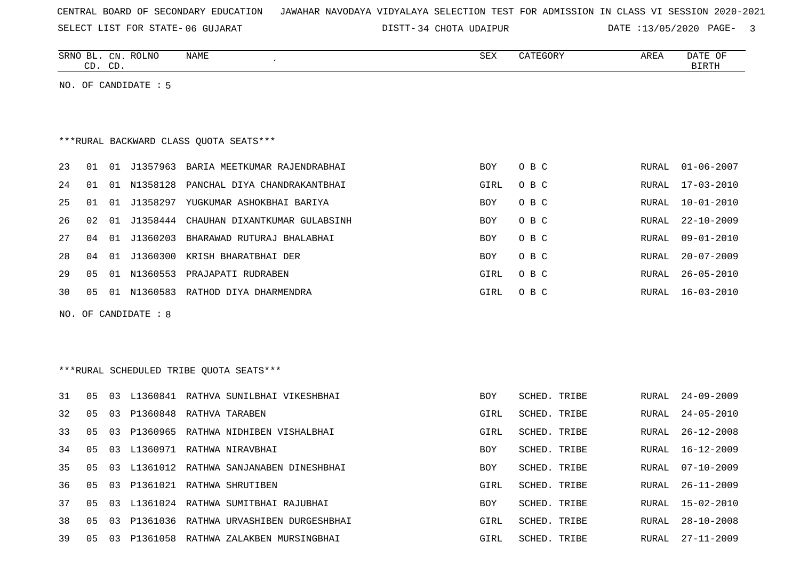SELECT LIST FOR STATE- DISTT- 06 GUJARAT

34 CHOTA UDAIPUR DATE :13/05/2020 PAGE- 3

|    |    | CD. CD. | SRNO BL. CN. ROLNO   | NAME                                      | SEX  | CATEGORY            | AREA  | DATE OF<br><b>BIRTH</b> |
|----|----|---------|----------------------|-------------------------------------------|------|---------------------|-------|-------------------------|
|    |    |         | NO. OF CANDIDATE : 5 |                                           |      |                     |       |                         |
|    |    |         |                      |                                           |      |                     |       |                         |
|    |    |         |                      |                                           |      |                     |       |                         |
|    |    |         |                      | *** RURAL BACKWARD CLASS QUOTA SEATS***   |      |                     |       |                         |
|    |    |         |                      |                                           |      |                     |       |                         |
| 23 | 01 | 01      |                      | J1357963 BARIA MEETKUMAR RAJENDRABHAI     | BOY  | O B C               | RURAL | $01 - 06 - 2007$        |
| 24 | 01 |         | 01 N1358128          | PANCHAL DIYA CHANDRAKANTBHAI              | GIRL | O B C               | RURAL | $17 - 03 - 2010$        |
| 25 | 01 | 01      |                      | J1358297 YUGKUMAR ASHOKBHAI BARIYA        | BOY  | O B C               | RURAL | $10 - 01 - 2010$        |
| 26 | 02 | 01      | J1358444             | CHAUHAN DIXANTKUMAR GULABSINH             | BOY  | O B C               | RURAL | $22 - 10 - 2009$        |
| 27 | 04 | 01      | J1360203             | BHARAWAD RUTURAJ BHALABHAI                | BOY  | O B C               | RURAL | $09 - 01 - 2010$        |
| 28 | 04 | 01      | J1360300             | KRISH BHARATBHAI DER                      | BOY  | O B C               | RURAL | $20 - 07 - 2009$        |
| 29 | 05 |         | 01 N1360553          | PRAJAPATI RUDRABEN                        | GIRL | O B C               | RURAL | $26 - 05 - 2010$        |
| 30 | 05 |         |                      | 01 N1360583 RATHOD DIYA DHARMENDRA        | GIRL | O B C               | RURAL | $16 - 03 - 2010$        |
|    |    |         | NO. OF CANDIDATE: 8  |                                           |      |                     |       |                         |
|    |    |         |                      |                                           |      |                     |       |                         |
|    |    |         |                      |                                           |      |                     |       |                         |
|    |    |         |                      |                                           |      |                     |       |                         |
|    |    |         |                      | ***RURAL SCHEDULED TRIBE QUOTA SEATS***   |      |                     |       |                         |
| 31 | 05 | 03      |                      | L1360841 RATHVA SUNILBHAI VIKESHBHAI      | BOY  | SCHED. TRIBE        | RURAL | $24 - 09 - 2009$        |
| 32 | 05 | 03      |                      | P1360848 RATHVA TARABEN                   | GIRL | SCHED. TRIBE        | RURAL | $24 - 05 - 2010$        |
| 33 | 05 | 03      |                      | P1360965 RATHWA NIDHIBEN VISHALBHAI       | GIRL | <b>SCHED. TRIBE</b> | RURAL | $26 - 12 - 2008$        |
| 34 | 05 | 03      |                      | L1360971 RATHWA NIRAVBHAI                 | BOY  | SCHED. TRIBE        | RURAL | $16 - 12 - 2009$        |
| 35 | 05 | 03      |                      | L1361012 RATHWA SANJANABEN DINESHBHAI     | BOY  | SCHED. TRIBE        | RURAL | $07 - 10 - 2009$        |
| 36 | 05 |         |                      | 03 P1361021 RATHWA SHRUTIBEN              | GIRL | SCHED. TRIBE        |       | RURAL 26-11-2009        |
| 37 | 05 |         |                      | 03 L1361024 RATHWA SUMITBHAI RAJUBHAI     | BOY  | SCHED. TRIBE        | RURAL | 15-02-2010              |
| 38 | 05 |         |                      | 03 P1361036 RATHWA URVASHIBEN DURGESHBHAI | GIRL | SCHED. TRIBE        | RURAL | $28 - 10 - 2008$        |
| 39 | 05 |         |                      | 03 P1361058 RATHWA ZALAKBEN MURSINGBHAI   | GIRL | SCHED. TRIBE        | RURAL | $27 - 11 - 2009$        |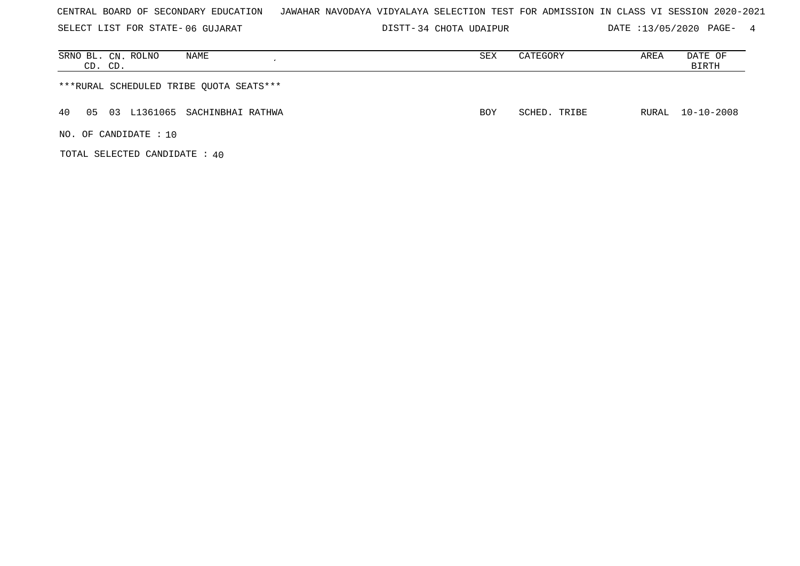|  |  |  |  |  | CENTRAL BOARD OF SECONDARY EDUCATION | JAWAHAR NAVODAYA VIDYALAYA SELECTION TEST FOR ADMISSION IN CLASS VI SESSION 2020-2021 |  |  |  |  |  |  |  |  |  |  |  |  |  |
|--|--|--|--|--|--------------------------------------|---------------------------------------------------------------------------------------|--|--|--|--|--|--|--|--|--|--|--|--|--|
|--|--|--|--|--|--------------------------------------|---------------------------------------------------------------------------------------|--|--|--|--|--|--|--|--|--|--|--|--|--|

SELECT LIST FOR STATE- DISTT- 06 GUJARAT 34 CHOTA UDAIPUR DATE :13/05/2020 PAGE- 4

| SRNO BL. CN. ROLNO<br>NAME<br>CD. CD.     | SEX        | CATEGORY     | AREA | DATE OF<br>BIRTH |
|-------------------------------------------|------------|--------------|------|------------------|
| ***RURAL SCHEDULED TRIBE OUOTA SEATS***   |            |              |      |                  |
| 40<br>03 L1361065 SACHINBHAI RATHWA<br>05 | <b>BOY</b> | SCHED. TRIBE |      | RURAL 10-10-2008 |
| NO. OF CANDIDATE: 10                      |            |              |      |                  |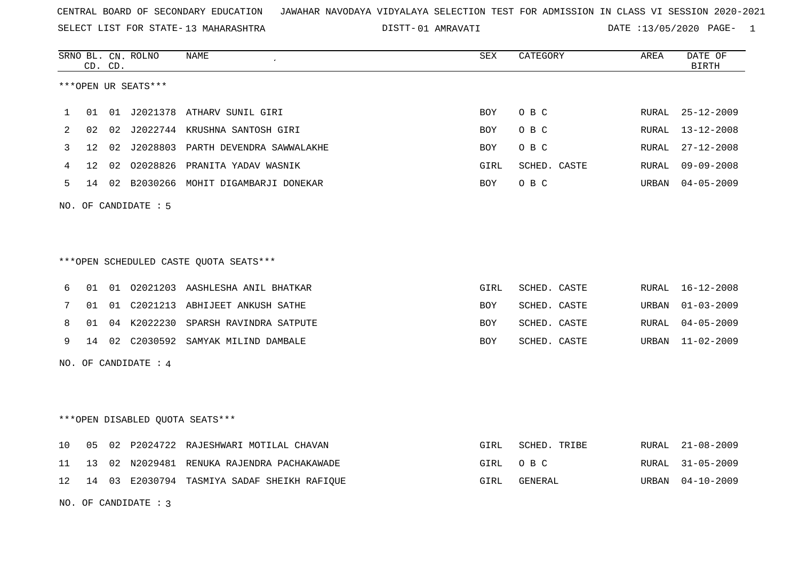SELECT LIST FOR STATE- DISTT- 13 MAHARASHTRA

01 AMRAVATI DATE :13/05/2020 PAGE- 1

|    |                   | CD. CD. | SRNO BL. CN. ROLNO   | NAME                                        | <b>SEX</b> | CATEGORY     | AREA  | DATE OF<br><b>BIRTH</b> |
|----|-------------------|---------|----------------------|---------------------------------------------|------------|--------------|-------|-------------------------|
|    |                   |         | ***OPEN UR SEATS***  |                                             |            |              |       |                         |
| 1  | 01                |         |                      | 01 J2021378 ATHARV SUNIL GIRI               | <b>BOY</b> | O B C        | RURAL | $25 - 12 - 2009$        |
| 2  | 02                |         |                      | 02 J2022744 KRUSHNA SANTOSH GIRI            | <b>BOY</b> | O B C        | RURAL | 13-12-2008              |
| 3  | 12 <sup>°</sup>   |         |                      | 02 J2028803 PARTH DEVENDRA SAWWALAKHE       | <b>BOY</b> | O B C        | RURAL | $27 - 12 - 2008$        |
| 4  | $12 \overline{ }$ |         |                      | 02 02028826 PRANITA YADAV WASNIK            | GIRL       | SCHED. CASTE | RURAL | $09 - 09 - 2008$        |
| 5  |                   |         |                      | 14 02 B2030266 MOHIT DIGAMBARJI DONEKAR     | BOY        | O B C        | URBAN | $04 - 05 - 2009$        |
|    |                   |         | NO. OF CANDIDATE : 5 |                                             |            |              |       |                         |
|    |                   |         |                      |                                             |            |              |       |                         |
|    |                   |         |                      |                                             |            |              |       |                         |
|    |                   |         |                      | ***OPEN SCHEDULED CASTE QUOTA SEATS***      |            |              |       |                         |
| 6  |                   |         |                      | 01 01 02021203 AASHLESHA ANIL BHATKAR       | GIRL       | SCHED. CASTE | RURAL | $16 - 12 - 2008$        |
| 7  | 01                |         |                      | 01 C2021213 ABHIJEET ANKUSH SATHE           | <b>BOY</b> | SCHED. CASTE | URBAN | $01 - 03 - 2009$        |
| 8  | 01                |         |                      | 04 K2022230 SPARSH RAVINDRA SATPUTE         | <b>BOY</b> | SCHED. CASTE | RURAL | $04 - 05 - 2009$        |
| 9  | 14                |         |                      | 02 C2030592 SAMYAK MILIND DAMBALE           | BOY        | SCHED. CASTE | URBAN | $11 - 02 - 2009$        |
|    |                   |         | NO. OF CANDIDATE : 4 |                                             |            |              |       |                         |
|    |                   |         |                      |                                             |            |              |       |                         |
|    |                   |         |                      |                                             |            |              |       |                         |
|    |                   |         |                      | ***OPEN DISABLED QUOTA SEATS***             |            |              |       |                         |
| 10 | 05                |         |                      | 02 P2024722 RAJESHWARI MOTILAL CHAVAN       | GIRL       | SCHED. TRIBE | RURAL | $21 - 08 - 2009$        |
| 11 | 13                |         |                      | 02 N2029481 RENUKA RAJENDRA PACHAKAWADE     | GIRL       | O B C        | RURAL | $31 - 05 - 2009$        |
| 12 |                   |         |                      | 14 03 E2030794 TASMIYA SADAF SHEIKH RAFIQUE | GIRL       | GENERAL      | URBAN | $04 - 10 - 2009$        |
|    |                   |         | NO. OF CANDIDATE: 3  |                                             |            |              |       |                         |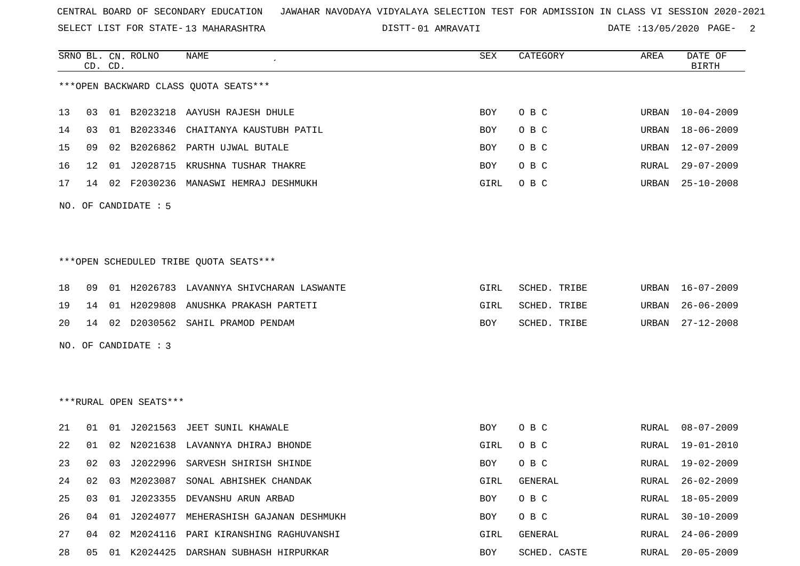SELECT LIST FOR STATE- DISTT- 13 MAHARASHTRA

01 AMRAVATI DATE :13/05/2020 PAGE- 2

|    |    | CD. CD. | SRNO BL. CN. ROLNO     | NAME                                     | SEX  | CATEGORY     | AREA  | DATE OF<br><b>BIRTH</b> |
|----|----|---------|------------------------|------------------------------------------|------|--------------|-------|-------------------------|
|    |    |         |                        | *** OPEN BACKWARD CLASS QUOTA SEATS***   |      |              |       |                         |
| 13 | 03 |         |                        | 01 B2023218 AAYUSH RAJESH DHULE          | BOY  | O B C        | URBAN | $10 - 04 - 2009$        |
| 14 | 03 |         |                        | 01 B2023346 CHAITANYA KAUSTUBH PATIL     | BOY  | O B C        | URBAN | 18-06-2009              |
| 15 | 09 |         | 02 B2026862            | PARTH UJWAL BUTALE                       | BOY  | O B C        | URBAN | $12 - 07 - 2009$        |
| 16 | 12 | 01      |                        | J2028715 KRUSHNA TUSHAR THAKRE           | BOY  | O B C        | RURAL | $29 - 07 - 2009$        |
| 17 | 14 |         |                        | 02 F2030236 MANASWI HEMRAJ DESHMUKH      | GIRL | O B C        | URBAN | $25 - 10 - 2008$        |
|    |    |         | NO. OF CANDIDATE : 5   |                                          |      |              |       |                         |
|    |    |         |                        |                                          |      |              |       |                         |
|    |    |         |                        | *** OPEN SCHEDULED TRIBE QUOTA SEATS***  |      |              |       |                         |
| 18 | 09 |         |                        | 01 H2026783 LAVANNYA SHIVCHARAN LASWANTE | GIRL | SCHED. TRIBE | URBAN | $16 - 07 - 2009$        |
| 19 | 14 |         | 01 H2029808            | ANUSHKA PRAKASH PARTETI                  | GIRL | SCHED. TRIBE | URBAN | $26 - 06 - 2009$        |
| 20 |    |         |                        | 14 02 D2030562 SAHIL PRAMOD PENDAM       | BOY  | SCHED. TRIBE | URBAN | $27 - 12 - 2008$        |
|    |    |         | NO. OF CANDIDATE : 3   |                                          |      |              |       |                         |
|    |    |         |                        |                                          |      |              |       |                         |
|    |    |         |                        |                                          |      |              |       |                         |
|    |    |         | ***RURAL OPEN SEATS*** |                                          |      |              |       |                         |
| 21 | 01 |         |                        | 01 J2021563 JEET SUNIL KHAWALE           | BOY  | O B C        | RURAL | $08 - 07 - 2009$        |
| 22 | 01 | 02      |                        | N2021638 LAVANNYA DHIRAJ BHONDE          | GIRL | O B C        | RURAL | 19-01-2010              |
| 23 | 02 | 03      |                        | J2022996 SARVESH SHIRISH SHINDE          | BOY  | O B C        | RURAL | 19-02-2009              |
|    |    |         |                        | 24 02 03 M2023087 SONAL ABHISHEK CHANDAK | GIRL | GENERAL      |       | RURAL 26-02-2009        |
| 25 | 03 | 01      |                        | J2023355 DEVANSHU ARUN ARBAD             | BOY  | O B C        | RURAL | $18 - 05 - 2009$        |
| 26 | 04 | 01      | J2024077               | MEHERASHISH GAJANAN DESHMUKH             | BOY  | O B C        | RURAL | $30 - 10 - 2009$        |
| 27 | 04 | 02      |                        | M2024116 PARI KIRANSHING RAGHUVANSHI     | GIRL | GENERAL      | RURAL | $24 - 06 - 2009$        |
| 28 | 05 |         |                        | 01 K2024425 DARSHAN SUBHASH HIRPURKAR    | BOY  | SCHED. CASTE | RURAL | $20 - 05 - 2009$        |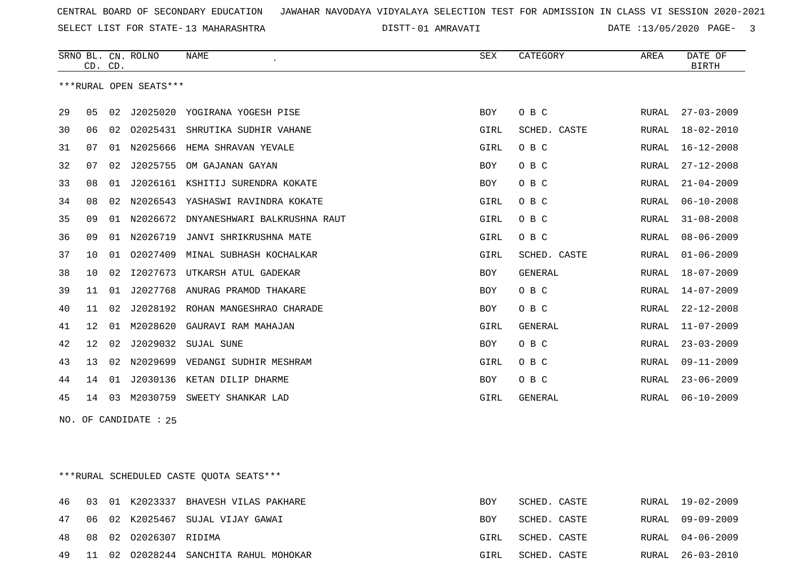SELECT LIST FOR STATE- DISTT- 13 MAHARASHTRA

01 AMRAVATI DATE :13/05/2020 PAGE- 3

|    |                | CD. CD. | SRNO BL. CN. ROLNO     | <b>NAME</b>                  | SEX        | CATEGORY       | AREA         | DATE OF<br><b>BIRTH</b> |
|----|----------------|---------|------------------------|------------------------------|------------|----------------|--------------|-------------------------|
|    |                |         | ***RURAL OPEN SEATS*** |                              |            |                |              |                         |
| 29 | 0 <sub>5</sub> | 02      | J2025020               | YOGIRANA YOGESH PISE         | <b>BOY</b> | O B C          | RURAL        | $27 - 03 - 2009$        |
| 30 | 06             | 02      | 02025431               | SHRUTIKA SUDHIR VAHANE       | GIRL       | SCHED. CASTE   | RURAL        | $18 - 02 - 2010$        |
| 31 | 07             | 01      | N2025666               | HEMA SHRAVAN YEVALE          | GIRL       | O B C          | RURAL        | $16 - 12 - 2008$        |
| 32 | 07             | 02      | J2025755               | OM GAJANAN GAYAN             | <b>BOY</b> | O B C          | RURAL        | $27 - 12 - 2008$        |
| 33 | 08             | 01      | J2026161               | KSHITIJ SURENDRA KOKATE      | BOY        | O B C          | RURAL        | $21 - 04 - 2009$        |
| 34 | 08             | 02      | N2026543               | YASHASWI RAVINDRA KOKATE     | GIRL       | O B C          | RURAL        | $06 - 10 - 2008$        |
| 35 | 09             | 01      | N2026672               | DNYANESHWARI BALKRUSHNA RAUT | GIRL       | O B C          | RURAL        | $31 - 08 - 2008$        |
| 36 | 09             | 01      | N2026719               | JANVI SHRIKRUSHNA MATE       | GIRL       | O B C          | RURAL        | $08 - 06 - 2009$        |
| 37 | 10             | 01      | 02027409               | MINAL SUBHASH KOCHALKAR      | GIRL       | SCHED. CASTE   | RURAL        | $01 - 06 - 2009$        |
| 38 | 10             | 02      | I2027673               | UTKARSH ATUL GADEKAR         | <b>BOY</b> | <b>GENERAL</b> | <b>RURAL</b> | $18 - 07 - 2009$        |
| 39 | 11             | 01      | J2027768               | ANURAG PRAMOD THAKARE        | <b>BOY</b> | O B C          | RURAL        | $14 - 07 - 2009$        |
| 40 | 11             | 02      | J2028192               | ROHAN MANGESHRAO CHARADE     | <b>BOY</b> | O B C          | RURAL        | $22 - 12 - 2008$        |
| 41 | 12             | 01      | M2028620               | GAURAVI RAM MAHAJAN          | GIRL       | <b>GENERAL</b> | RURAL        | $11 - 07 - 2009$        |
| 42 | 12             | 02      | J2029032               | SUJAL SUNE                   | BOY        | O B C          | RURAL        | $23 - 03 - 2009$        |
| 43 | 13             | 02      | N2029699               | VEDANGI SUDHIR MESHRAM       | GIRL       | O B C          | RURAL        | $09 - 11 - 2009$        |
| 44 | 14             | 01      | J2030136               | KETAN DILIP DHARME           | <b>BOY</b> | O B C          | RURAL        | $23 - 06 - 2009$        |
| 45 | 14             | 03      | M2030759               | SWEETY SHANKAR LAD           | GIRL       | <b>GENERAL</b> | RURAL        | $06 - 10 - 2009$        |

NO. OF CANDIDATE : 25

\*\*\*RURAL SCHEDULED CASTE QUOTA SEATS\*\*\*

|  |                              | 46 03 01 K2023337 BHAVESH VILAS PAKHARE  | <b>BOY</b> | SCHED. CASTE |  | RURAL 19-02-2009 |
|--|------------------------------|------------------------------------------|------------|--------------|--|------------------|
|  |                              | 47 06 02 K2025467 SUJAL VIJAY GAWAI      | BOY        | SCHED. CASTE |  | RURAL 09-09-2009 |
|  | 48  08  02  02026307  RIDIMA |                                          | GIRL       | SCHED. CASTE |  | RURAL 04-06-2009 |
|  |                              | 49 11 02 02028244 SANCHITA RAHUL MOHOKAR | GIRL       | SCHED. CASTE |  | RURAL 26-03-2010 |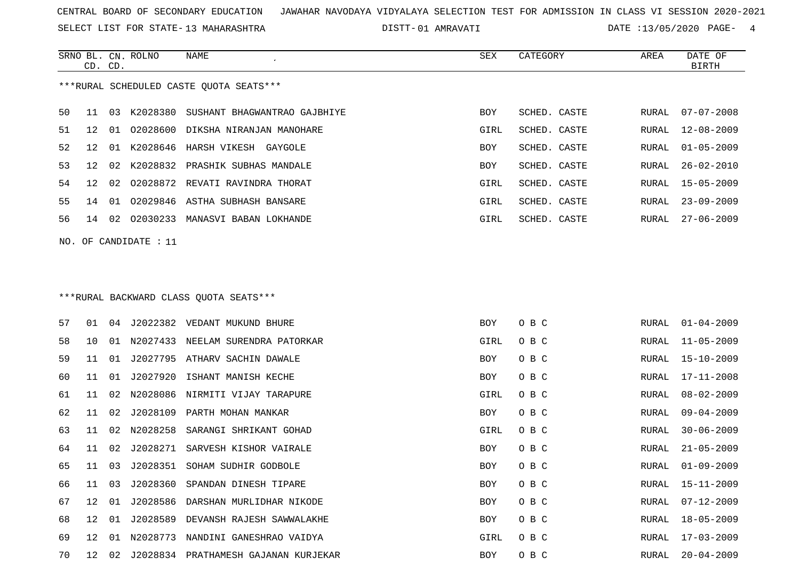SELECT LIST FOR STATE- DISTT- 13 MAHARASHTRA

01 AMRAVATI DATE :13/05/2020 PAGE- 4

|    | CD. CD. |    | SRNO BL. CN. ROLNO      | <b>NAME</b>                              | SEX        | CATEGORY     | AREA  | DATE OF<br><b>BIRTH</b> |
|----|---------|----|-------------------------|------------------------------------------|------------|--------------|-------|-------------------------|
|    |         |    |                         | ***RURAL SCHEDULED CASTE QUOTA SEATS***  |            |              |       |                         |
| 50 | 11      |    |                         | 03 K2028380 SUSHANT BHAGWANTRAO GAJBHIYE | BOY        | SCHED. CASTE | RURAL | $07 - 07 - 2008$        |
| 51 | 12      | 01 |                         | 02028600 DIKSHA NIRANJAN MANOHARE        | GIRL       | SCHED. CASTE | RURAL | $12 - 08 - 2009$        |
| 52 | 12      | 01 |                         | K2028646 HARSH VIKESH GAYGOLE            | <b>BOY</b> | SCHED. CASTE | RURAL | $01 - 05 - 2009$        |
| 53 | 12      | 02 |                         | K2028832 PRASHIK SUBHAS MANDALE          | BOY        | SCHED. CASTE | RURAL | $26 - 02 - 2010$        |
| 54 | 12      | 02 | 02028872                | REVATI RAVINDRA THORAT                   | GIRL       | SCHED. CASTE | RURAL | $15 - 05 - 2009$        |
| 55 | 14      | 01 |                         | 02029846 ASTHA SUBHASH BANSARE           | GIRL       | SCHED. CASTE | RURAL | $23 - 09 - 2009$        |
| 56 | 14      | 02 |                         | 02030233 MANASVI BABAN LOKHANDE          | GIRL       | SCHED. CASTE | RURAL | $27 - 06 - 2009$        |
|    |         |    | NO. OF CANDIDATE : $11$ |                                          |            |              |       |                         |
|    |         |    |                         |                                          |            |              |       |                         |
|    |         |    |                         | ***RURAL BACKWARD CLASS QUOTA SEATS***   |            |              |       |                         |
| 57 | 01      |    |                         | 04 J2022382 VEDANT MUKUND BHURE          | BOY        | O B C        |       | RURAL 01-04-2009        |
| 58 | 10      | 01 |                         | N2027433 NEELAM SURENDRA PATORKAR        | GIRL       | O B C        | RURAL | $11 - 05 - 2009$        |
| 59 | 11      | 01 |                         | J2027795 ATHARV SACHIN DAWALE            | <b>BOY</b> | O B C        | RURAL | 15-10-2009              |
| 60 | 11      | 01 | J2027920                | ISHANT MANISH KECHE                      | BOY        | O B C        | RURAL | $17 - 11 - 2008$        |
| 61 | 11      | 02 | N2028086                | NIRMITI VIJAY TARAPURE                   | GIRL       | O B C        | RURAL | $08 - 02 - 2009$        |
| 62 | 11      | 02 |                         | J2028109 PARTH MOHAN MANKAR              | <b>BOY</b> | O B C        | RURAL | $09 - 04 - 2009$        |
| 63 | 11      | 02 | N2028258                | SARANGI SHRIKANT GOHAD                   | GIRL       | O B C        | RURAL | $30 - 06 - 2009$        |
| 64 | 11      | 02 |                         | J2028271 SARVESH KISHOR VAIRALE          | BOY        | O B C        | RURAL | $21 - 05 - 2009$        |
| 65 | 11      | 03 |                         | J2028351 SOHAM SUDHIR GODBOLE            | BOY        | O B C        | RURAL | $01 - 09 - 2009$        |
| 66 | 11      | 03 | J2028360                | SPANDAN DINESH TIPARE                    | BOY        | O B C        | RURAL | 15-11-2009              |
| 67 | 12      | 01 | J2028586                | DARSHAN MURLIDHAR NIKODE                 | BOY        | O B C        | RURAL | 07-12-2009              |
| 68 | 12      | 01 | J2028589                | DEVANSH RAJESH SAWWALAKHE                | BOY        | O B C        | RURAL | 18-05-2009              |
| 69 | 12      |    |                         | 01 N2028773 NANDINI GANESHRAO VAIDYA     | GIRL       | O B C        |       | RURAL 17-03-2009        |

12 02 J2028834 PRATHAMESH GAJANAN KURJEKAR BOY O B C RURAL 20-04-2009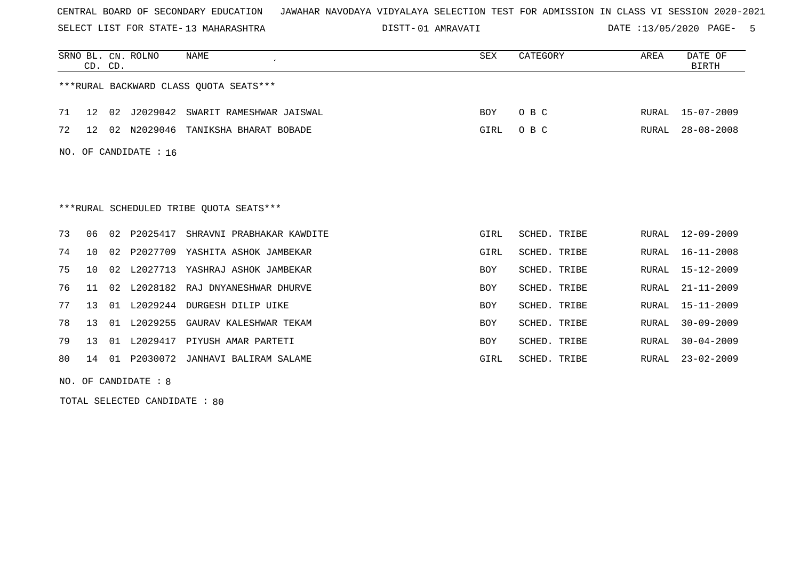SELECT LIST FOR STATE- DISTT- 13 MAHARASHTRA

01 AMRAVATI DATE :13/05/2020 PAGE- 5

|    | CD. CD. |    | SRNO BL. CN. ROLNO    | NAME                                    | SEX        | CATEGORY            | AREA  | DATE OF<br><b>BIRTH</b> |
|----|---------|----|-----------------------|-----------------------------------------|------------|---------------------|-------|-------------------------|
|    |         |    |                       | ***RURAL BACKWARD CLASS QUOTA SEATS***  |            |                     |       |                         |
| 71 | 12      | 02 | J2029042              | SWARIT RAMESHWAR JAISWAL                | BOY        | O B C               | RURAL | $15 - 07 - 2009$        |
| 72 | 12      | 02 | N2029046              | TANIKSHA BHARAT BOBADE                  | GIRL       | O B C               | RURAL | $28 - 08 - 2008$        |
|    |         |    | NO. OF CANDIDATE : 16 |                                         |            |                     |       |                         |
|    |         |    |                       |                                         |            |                     |       |                         |
|    |         |    |                       |                                         |            |                     |       |                         |
|    |         |    |                       | ***RURAL SCHEDULED TRIBE OUOTA SEATS*** |            |                     |       |                         |
| 73 | 06      | 02 | P2025417              | SHRAVNI PRABHAKAR KAWDITE               | GIRL       | <b>SCHED. TRIBE</b> | RURAL | $12 - 09 - 2009$        |
| 74 | 1 O     | 02 |                       | P2027709 YASHITA ASHOK JAMBEKAR         | GIRL       | SCHED. TRIBE        | RURAL | $16 - 11 - 2008$        |
| 75 | 10      |    | 02 L2027713           | YASHRAJ ASHOK JAMBEKAR                  | <b>BOY</b> | SCHED. TRIBE        | RURAL | $15 - 12 - 2009$        |
| 76 | 11      | 02 |                       | L2028182 RAJ DNYANESHWAR DHURVE         | BOY        | <b>SCHED. TRIBE</b> | RURAL | $21 - 11 - 2009$        |
| 77 | 13      | 01 | L2029244              | DURGESH DILIP UIKE                      | <b>BOY</b> | <b>SCHED. TRIBE</b> | RURAL | $15 - 11 - 2009$        |
| 78 | 13      | 01 | L2029255              | GAURAV KALESHWAR TEKAM                  | <b>BOY</b> | <b>SCHED. TRIBE</b> | RURAL | $30 - 09 - 2009$        |
| 79 | 13      |    |                       | 01 L2029417 PIYUSH AMAR PARTETI         | <b>BOY</b> | SCHED. TRIBE        | RURAL | $30 - 04 - 2009$        |
| 80 | 14      |    |                       | 01 P2030072 JANHAVI BALIRAM SALAME      | GIRL       | SCHED. TRIBE        | RURAL | $23 - 02 - 2009$        |

NO. OF CANDIDATE : 8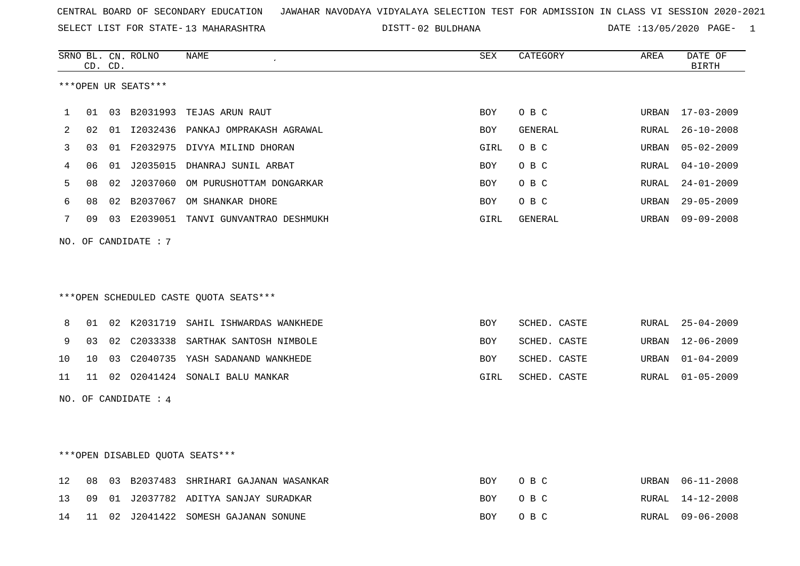SELECT LIST FOR STATE- DISTT- 13 MAHARASHTRA

02 BULDHANA DATE :13/05/2020 PAGE- 1

|    |                 | CD. CD. | SRNO BL. CN. ROLNO              | NAME                                   | SEX        | CATEGORY     | AREA          | DATE OF<br><b>BIRTH</b> |
|----|-----------------|---------|---------------------------------|----------------------------------------|------------|--------------|---------------|-------------------------|
|    |                 |         | ***OPEN UR SEATS***             |                                        |            |              |               |                         |
| 1  | 01              |         |                                 | 03 B2031993 TEJAS ARUN RAUT            | <b>BOY</b> | O B C        | URBAN         | $17 - 03 - 2009$        |
| 2  | 02              |         |                                 | 01 I2032436 PANKAJ OMPRAKASH AGRAWAL   | <b>BOY</b> | GENERAL      | RURAL         | $26 - 10 - 2008$        |
|    |                 |         |                                 |                                        |            |              |               |                         |
| 3  | 03              |         |                                 | 01 F2032975 DIVYA MILIND DHORAN        | GIRL       | O B C        | URBAN         | $05 - 02 - 2009$        |
| 4  | 06              |         |                                 | 01 J2035015 DHANRAJ SUNIL ARBAT        | <b>BOY</b> | O B C        | ${\tt RURAL}$ | $04 - 10 - 2009$        |
| 5  | 08              | 02      |                                 | J2037060 OM PURUSHOTTAM DONGARKAR      | BOY        | O B C        | RURAL         | $24 - 01 - 2009$        |
| 6  | 08              | 02      |                                 | B2037067 OM SHANKAR DHORE              | BOY        | O B C        | URBAN         | $29 - 05 - 2009$        |
| 7  | 09              |         |                                 | 03 E2039051 TANVI GUNVANTRAO DESHMUKH  | GIRL       | GENERAL      | URBAN         | $09 - 09 - 2008$        |
|    |                 |         | NO. OF CANDIDATE: 7             |                                        |            |              |               |                         |
|    |                 |         |                                 |                                        |            |              |               |                         |
|    |                 |         |                                 |                                        |            |              |               |                         |
|    |                 |         |                                 | ***OPEN SCHEDULED CASTE QUOTA SEATS*** |            |              |               |                         |
|    |                 |         |                                 |                                        |            |              |               |                         |
| 8  | 01              | 02      |                                 | K2031719 SAHIL ISHWARDAS WANKHEDE      | <b>BOY</b> | SCHED. CASTE | RURAL         | $25 - 04 - 2009$        |
| 9  | 03              | 02      | C2033338                        | SARTHAK SANTOSH NIMBOLE                | BOY        | SCHED. CASTE | URBAN         | $12 - 06 - 2009$        |
| 10 | 10 <sup>°</sup> |         |                                 | 03 C2040735 YASH SADANAND WANKHEDE     | <b>BOY</b> | SCHED. CASTE | URBAN         | $01 - 04 - 2009$        |
| 11 | 11              |         |                                 | 02 02041424 SONALI BALU MANKAR         | GIRL       | SCHED. CASTE | RURAL         | $01 - 05 - 2009$        |
|    |                 |         | NO. OF CANDIDATE : 4            |                                        |            |              |               |                         |
|    |                 |         |                                 |                                        |            |              |               |                         |
|    |                 |         |                                 |                                        |            |              |               |                         |
|    |                 |         |                                 |                                        |            |              |               |                         |
|    |                 |         | ***OPEN DISABLED QUOTA SEATS*** |                                        |            |              |               |                         |
| 12 | 08              |         |                                 | 03 B2037483 SHRIHARI GAJANAN WASANKAR  | <b>BOY</b> | O B C        | URBAN         | $06 - 11 - 2008$        |
| 13 | 09              | 01      |                                 | J2037782 ADITYA SANJAY SURADKAR        | <b>BOY</b> | O B C        | RURAL         | $14 - 12 - 2008$        |
| 14 | 11              | 02      |                                 | J2041422 SOMESH GAJANAN SONUNE         | <b>BOY</b> | O B C        | RURAL         | $09 - 06 - 2008$        |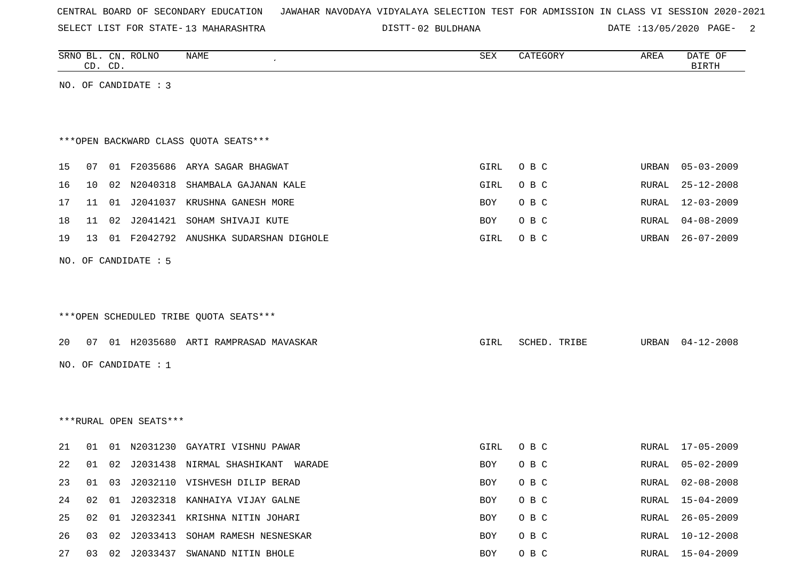SELECT LIST FOR STATE- DISTT- 13 MAHARASHTRA

02 BULDHANA DATE :13/05/2020 PAGE- 2

|    |    | CD. CD. | SRNO BL. CN. ROLNO     | NAME                                    | ${\tt SEX}$ | CATEGORY     | AREA  | DATE OF<br><b>BIRTH</b> |
|----|----|---------|------------------------|-----------------------------------------|-------------|--------------|-------|-------------------------|
|    |    |         | NO. OF CANDIDATE : 3   |                                         |             |              |       |                         |
|    |    |         |                        |                                         |             |              |       |                         |
|    |    |         |                        |                                         |             |              |       |                         |
|    |    |         |                        | *** OPEN BACKWARD CLASS QUOTA SEATS***  |             |              |       |                         |
| 15 | 07 |         |                        | 01 F2035686 ARYA SAGAR BHAGWAT          | GIRL        | O B C        | URBAN | $05 - 03 - 2009$        |
| 16 | 10 | 02      | N2040318               | SHAMBALA GAJANAN KALE                   | GIRL        | O B C        | RURAL | $25 - 12 - 2008$        |
| 17 | 11 |         |                        | 01 J2041037 KRUSHNA GANESH MORE         | BOY         | O B C        | RURAL | $12 - 03 - 2009$        |
| 18 | 11 |         |                        | 02 J2041421 SOHAM SHIVAJI KUTE          | BOY         | O B C        | RURAL | $04 - 08 - 2009$        |
| 19 | 13 |         |                        | 01 F2042792 ANUSHKA SUDARSHAN DIGHOLE   | GIRL        | O B C        | URBAN | $26 - 07 - 2009$        |
|    |    |         |                        |                                         |             |              |       |                         |
|    |    |         | NO. OF CANDIDATE : 5   |                                         |             |              |       |                         |
|    |    |         |                        |                                         |             |              |       |                         |
|    |    |         |                        |                                         |             |              |       |                         |
|    |    |         |                        | ***OPEN SCHEDULED TRIBE QUOTA SEATS***  |             |              |       |                         |
| 20 |    |         |                        | 07 01 H2035680 ARTI RAMPRASAD MAVASKAR  | GIRL        | SCHED. TRIBE | URBAN | $04 - 12 - 2008$        |
|    |    |         | NO. OF CANDIDATE : $1$ |                                         |             |              |       |                         |
|    |    |         |                        |                                         |             |              |       |                         |
|    |    |         |                        |                                         |             |              |       |                         |
|    |    |         | ***RURAL OPEN SEATS*** |                                         |             |              |       |                         |
|    |    |         |                        |                                         |             |              |       |                         |
| 21 | 01 |         | 01 N2031230            | GAYATRI VISHNU PAWAR                    | GIRL        | O B C        | RURAL | $17 - 05 - 2009$        |
| 22 | 01 |         |                        | 02 J2031438 NIRMAL SHASHIKANT<br>WARADE | BOY         | O B C        | RURAL | $05 - 02 - 2009$        |
| 23 |    |         |                        | 01 03 J2032110 VISHVESH DILIP BERAD     | BOY         | O B C        | RURAL | $02 - 08 - 2008$        |
| 24 |    |         |                        | 02 01 J2032318 KANHAIYA VIJAY GALNE     | BOY         | O B C        |       | RURAL 15-04-2009        |
| 25 |    |         |                        | 02 01 J2032341 KRISHNA NITIN JOHARI     | BOY         | O B C        | RURAL | $26 - 05 - 2009$        |
| 26 |    | 03 02   |                        | J2033413 SOHAM RAMESH NESNESKAR         | BOY         | O B C        |       | RURAL 10-12-2008        |
| 27 |    |         |                        | 03 02 J2033437 SWANAND NITIN BHOLE      | BOY         | O B C        |       | RURAL 15-04-2009        |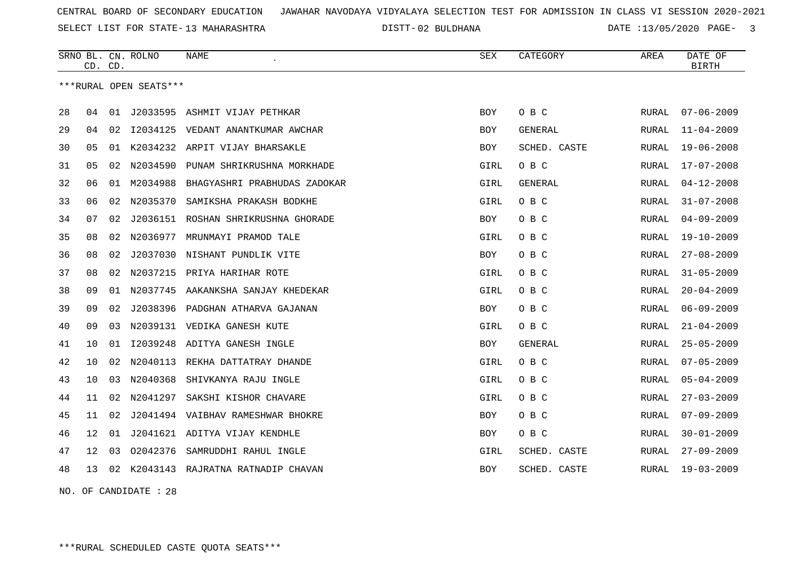SELECT LIST FOR STATE- DISTT- 13 MAHARASHTRA

02 BULDHANA DATE :13/05/2020 PAGE- 3

|    | CD. CD. |    | SRNO BL. CN. ROLNO     | NAME                                 | <b>SEX</b>  | CATEGORY     | AREA         | DATE OF<br><b>BIRTH</b> |
|----|---------|----|------------------------|--------------------------------------|-------------|--------------|--------------|-------------------------|
|    |         |    | ***RURAL OPEN SEATS*** |                                      |             |              |              |                         |
| 28 | 04      | 01 |                        | J2033595 ASHMIT VIJAY PETHKAR        | <b>BOY</b>  | O B C        | RURAL        | $07 - 06 - 2009$        |
| 29 | 04      | 02 |                        | 12034125 VEDANT ANANTKUMAR AWCHAR    | <b>BOY</b>  | GENERAL      | RURAL        | $11 - 04 - 2009$        |
| 30 | 05      | 01 |                        | K2034232 ARPIT VIJAY BHARSAKLE       | <b>BOY</b>  | SCHED. CASTE | RURAL        | $19 - 06 - 2008$        |
| 31 | 05      | 02 | N2034590               | PUNAM SHRIKRUSHNA MORKHADE           | <b>GIRL</b> | O B C        | RURAL        | $17 - 07 - 2008$        |
| 32 | 06      | 01 | M2034988               | BHAGYASHRI PRABHUDAS ZADOKAR         | GIRL        | GENERAL      | <b>RURAL</b> | $04 - 12 - 2008$        |
| 33 | 06      | 02 | N2035370               | SAMIKSHA PRAKASH BODKHE              | <b>GIRL</b> | O B C        | RURAL        | $31 - 07 - 2008$        |
| 34 | 07      | 02 |                        | J2036151 ROSHAN SHRIKRUSHNA GHORADE  | BOY         | O B C        | RURAL        | $04 - 09 - 2009$        |
| 35 | 08      | 02 | N2036977               | MRUNMAYI PRAMOD TALE                 | GIRL        | O B C        | RURAL        | $19 - 10 - 2009$        |
| 36 | 08      | 02 |                        | J2037030 NISHANT PUNDLIK VITE        | BOY         | O B C        | RURAL        | $27 - 08 - 2009$        |
| 37 | 08      | 02 |                        | N2037215 PRIYA HARIHAR ROTE          | GIRL        | O B C        | RURAL        | $31 - 05 - 2009$        |
| 38 | 09      | 01 | N2037745               | AAKANKSHA SANJAY KHEDEKAR            | GIRL        | O B C        | RURAL        | $20 - 04 - 2009$        |
| 39 | 09      | 02 |                        | J2038396 PADGHAN ATHARVA GAJANAN     | <b>BOY</b>  | O B C        | RURAL        | $06 - 09 - 2009$        |
| 40 | 09      | 03 |                        | N2039131 VEDIKA GANESH KUTE          | GIRL        | O B C        | RURAL        | $21 - 04 - 2009$        |
| 41 | 10      | 01 |                        | 12039248 ADITYA GANESH INGLE         | <b>BOY</b>  | GENERAL      | RURAL        | $25 - 05 - 2009$        |
| 42 | 10      | 02 | N2040113               | REKHA DATTATRAY DHANDE               | <b>GIRL</b> | O B C        | RURAL        | $07 - 05 - 2009$        |
| 43 | 10      | 03 | N2040368               | SHIVKANYA RAJU INGLE                 | GIRL        | O B C        | RURAL        | $05 - 04 - 2009$        |
| 44 | 11      | 02 | N2041297               | SAKSHI KISHOR CHAVARE                | GIRL        | O B C        | RURAL        | $27 - 03 - 2009$        |
| 45 | 11      | 02 |                        | J2041494 VAIBHAV RAMESHWAR BHOKRE    | <b>BOY</b>  | O B C        | <b>RURAL</b> | $07 - 09 - 2009$        |
| 46 | 12      | 01 |                        | J2041621 ADITYA VIJAY KENDHLE        | BOY         | O B C        | RURAL        | $30 - 01 - 2009$        |
| 47 | 12      | 03 | 02042376               | SAMRUDDHI RAHUL INGLE                | GIRL        | SCHED. CASTE | RURAL        | $27 - 09 - 2009$        |
| 48 | 13      |    |                        | 02 K2043143 RAJRATNA RATNADIP CHAVAN | BOY         | SCHED. CASTE | RURAL        | $19 - 03 - 2009$        |

NO. OF CANDIDATE : 28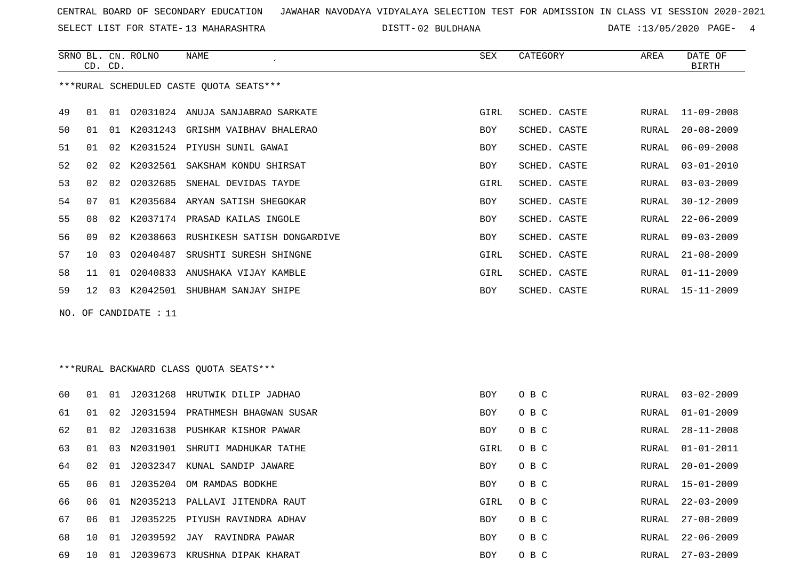SELECT LIST FOR STATE- DISTT- 13 MAHARASHTRA

02 BULDHANA DATE :13/05/2020 PAGE- 4

|    |                                         | CD. CD. | SRNO BL. CN. ROLNO    | <b>NAME</b>                             | <b>SEX</b> | CATEGORY     | AREA         | DATE OF<br><b>BIRTH</b> |  |  |
|----|-----------------------------------------|---------|-----------------------|-----------------------------------------|------------|--------------|--------------|-------------------------|--|--|
|    |                                         |         |                       | ***RURAL SCHEDULED CASTE OUOTA SEATS*** |            |              |              |                         |  |  |
| 49 | 01                                      |         |                       | 01 02031024 ANUJA SANJABRAO SARKATE     | GIRL       | SCHED. CASTE | RURAL        | $11 - 09 - 2008$        |  |  |
| 50 | 01                                      |         |                       | 01 K2031243 GRISHM VAIBHAV BHALERAO     | BOY        | SCHED. CASTE | RURAL        | $20 - 08 - 2009$        |  |  |
| 51 | 01                                      | 02      |                       | K2031524 PIYUSH SUNIL GAWAI             | <b>BOY</b> | SCHED. CASTE | RURAL        | $06 - 09 - 2008$        |  |  |
| 52 | 02                                      | 02      | K2032561              | SAKSHAM KONDU SHIRSAT                   | <b>BOY</b> | SCHED. CASTE | RURAL        | $03 - 01 - 2010$        |  |  |
| 53 | 02                                      | 02      | 02032685              | SNEHAL DEVIDAS TAYDE                    | GIRL       | SCHED. CASTE | RURAL        | $03 - 03 - 2009$        |  |  |
| 54 | 07                                      | 01      |                       | K2035684 ARYAN SATISH SHEGOKAR          | <b>BOY</b> | SCHED. CASTE | RURAL        | $30 - 12 - 2009$        |  |  |
| 55 | 08                                      | 02      |                       | K2037174 PRASAD KAILAS INGOLE           | <b>BOY</b> | SCHED. CASTE | RURAL        | $22 - 06 - 2009$        |  |  |
| 56 | 09                                      | 02      | K2038663              | RUSHIKESH SATISH DONGARDIVE             | <b>BOY</b> | SCHED. CASTE | <b>RURAL</b> | $09 - 03 - 2009$        |  |  |
| 57 | 10                                      | 03      | 02040487              | SRUSHTI SURESH SHINGNE                  | GIRL       | SCHED. CASTE | RURAL        | $21 - 08 - 2009$        |  |  |
| 58 | 11                                      | 01      |                       | 02040833 ANUSHAKA VIJAY KAMBLE          | GIRL       | SCHED. CASTE | RURAL        | $01 - 11 - 2009$        |  |  |
| 59 | 12 <sup>°</sup>                         |         |                       | 03 K2042501 SHUBHAM SANJAY SHIPE        | BOY        | SCHED. CASTE | RURAL        | $15 - 11 - 2009$        |  |  |
|    |                                         |         | NO. OF CANDIDATE : 11 |                                         |            |              |              |                         |  |  |
|    |                                         |         |                       |                                         |            |              |              |                         |  |  |
|    |                                         |         |                       |                                         |            |              |              |                         |  |  |
|    | *** RURAL BACKWARD CLASS QUOTA SEATS*** |         |                       |                                         |            |              |              |                         |  |  |
| 60 |                                         |         |                       | 01 01 J2031268 HRUTWIK DILIP JADHAO     | <b>BOY</b> | O B C        | RURAL        | $03 - 02 - 2009$        |  |  |

| 60 | 01 | 01 | J2031268 | HRUTWIK DILIP JADHAO    | BOY        | O B C | RURAL | $03 - 02 - 2009$ |
|----|----|----|----------|-------------------------|------------|-------|-------|------------------|
| 61 | 01 | 02 | J2031594 | PRATHMESH BHAGWAN SUSAR | BOY        | O B C | RURAL | $01 - 01 - 2009$ |
| 62 | 01 | 02 | J2031638 | PUSHKAR KISHOR PAWAR    | <b>BOY</b> | O B C | RURAL | $28 - 11 - 2008$ |
| 63 | 01 | 03 | N2031901 | SHRUTI MADHUKAR TATHE   | GIRL       | O B C | RURAL | $01 - 01 - 2011$ |
| 64 | 02 | 01 | J2032347 | KUNAL SANDIP JAWARE     | BOY        | O B C | RURAL | $20 - 01 - 2009$ |
| 65 | 06 | 01 | J2035204 | OM RAMDAS BODKHE        | BOY        | O B C | RURAL | $15 - 01 - 2009$ |
| 66 | 06 | 01 | N2035213 | PALLAVI JITENDRA RAUT   | GIRL       | O B C | RURAL | $22 - 03 - 2009$ |
| 67 | 06 | 01 | J2035225 | PIYUSH RAVINDRA ADHAV   | BOY        | O B C | RURAL | $27 - 08 - 2009$ |
| 68 | 10 | 01 | J2039592 | JAY RAVINDRA PAWAR      | BOY        | O B C | RURAL | $22 - 06 - 2009$ |
| 69 | 10 | 01 | J2039673 | KRUSHNA DIPAK KHARAT    | BOY        | O B C | RURAL | 27-03-2009       |
|    |    |    |          |                         |            |       |       |                  |
|    |    |    |          |                         |            |       |       |                  |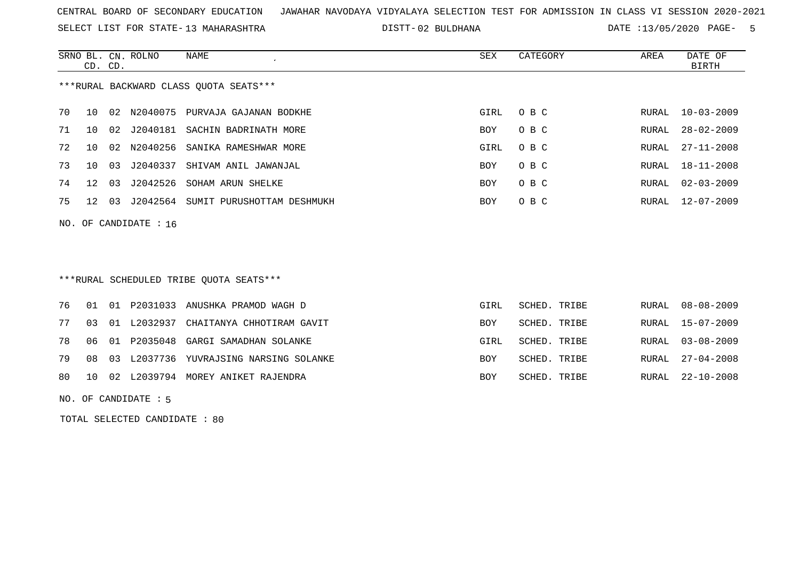SELECT LIST FOR STATE- DISTT- 13 MAHARASHTRA

02 BULDHANA DATE :13/05/2020 PAGE- 5

|                                        | CD. CD. |     | SRNO BL. CN. ROLNO | NAME                              | SEX        | CATEGORY | AREA  | DATE OF<br>BIRTH |
|----------------------------------------|---------|-----|--------------------|-----------------------------------|------------|----------|-------|------------------|
| ***RURAL BACKWARD CLASS OUOTA SEATS*** |         |     |                    |                                   |            |          |       |                  |
| 70                                     | 10      |     | 02 N2040075        | PURVAJA GAJANAN BODKHE            | GIRL       | O B C    | RURAL | $10 - 03 - 2009$ |
| 71                                     | 10      |     | 02 J2040181        | SACHIN BADRINATH MORE             | <b>BOY</b> | O B C    | RURAL | $28 - 02 - 2009$ |
| 72                                     | 1 O     |     |                    | 02 N2040256 SANIKA RAMESHWAR MORE | GIRL       | O B C    | RURAL | $27 - 11 - 2008$ |
| 73                                     | 1 O     | 03  | J2040337           | SHIVAM ANIL JAWANJAL              | <b>BOY</b> | O B C    | RURAL | $18 - 11 - 2008$ |
| 74                                     | 12      | 03  | J2042526           | SOHAM ARUN SHELKE                 | <b>BOY</b> | O B C    | RURAL | $02 - 03 - 2009$ |
| 75                                     | 12.     | -03 | J2042564           | SUMIT PURUSHOTTAM DESHMUKH        | <b>BOY</b> | O B C    | RURAL | 12-07-2009       |
|                                        |         |     |                    |                                   |            |          |       |                  |

NO. OF CANDIDATE : 16

# \*\*\*RURAL SCHEDULED TRIBE QUOTA SEATS\*\*\*

|  |  | 76 01 01 P2031033 ANUSHKA PRAMOD WAGH D      | GIRL       | SCHED. TRIBE |  | RURAL 08-08-2009 |
|--|--|----------------------------------------------|------------|--------------|--|------------------|
|  |  | 77 03 01 L2032937 CHAITANYA CHHOTIRAM GAVIT  | <b>BOY</b> | SCHED. TRIBE |  | RURAL 15-07-2009 |
|  |  | 78 06 01 P2035048 GARGI SAMADHAN SOLANKE     | GIRL       | SCHED. TRIBE |  | RURAL 03-08-2009 |
|  |  | 79 08 03 L2037736 YUVRAJSING NARSING SOLANKE | <b>BOY</b> | SCHED. TRIBE |  | RURAL 27-04-2008 |
|  |  | 80 10 02 L2039794 MOREY ANIKET RAJENDRA      | <b>BOY</b> | SCHED. TRIBE |  | RURAL 22-10-2008 |

NO. OF CANDIDATE : 5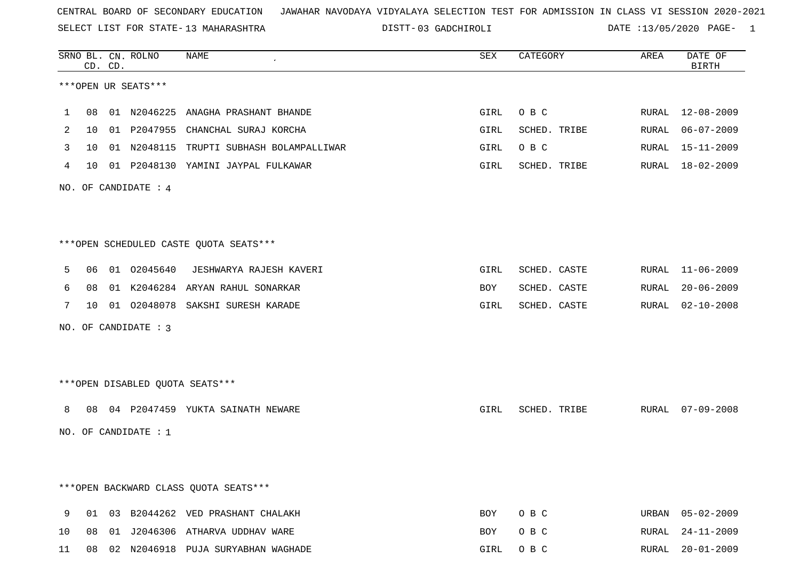SELECT LIST FOR STATE- DISTT- 13 MAHARASHTRA

03 GADCHIROLI DATE :13/05/2020 PAGE- 1

|                 | CD. CD. | SRNO BL. CN. ROLNO              | NAME                                     | SEX  | CATEGORY     | AREA  | DATE OF<br><b>BIRTH</b> |
|-----------------|---------|---------------------------------|------------------------------------------|------|--------------|-------|-------------------------|
|                 |         | ***OPEN UR SEATS***             |                                          |      |              |       |                         |
| 1.              |         |                                 | 08 01 N2046225 ANAGHA PRASHANT BHANDE    | GIRL | O B C        |       | RURAL 12-08-2009        |
| 2               |         |                                 | 10 01 P2047955 CHANCHAL SURAJ KORCHA     | GIRL | SCHED. TRIBE | RURAL | 06-07-2009              |
| 3               | 10      |                                 | 01 N2048115 TRUPTI SUBHASH BOLAMPALLIWAR | GIRL | O B C        | RURAL | 15-11-2009              |
| 4               |         |                                 | 10 01 P2048130 YAMINI JAYPAL FULKAWAR    | GIRL | SCHED. TRIBE |       | RURAL 18-02-2009        |
|                 |         | NO. OF CANDIDATE : $4$          |                                          |      |              |       |                         |
|                 |         |                                 |                                          |      |              |       |                         |
|                 |         |                                 | ***OPEN SCHEDULED CASTE QUOTA SEATS***   |      |              |       |                         |
| 5               |         |                                 | 06 01 02045640 JESHWARYA RAJESH KAVERI   | GIRL | SCHED. CASTE |       | RURAL 11-06-2009        |
| 6               |         |                                 | 08 01 K2046284 ARYAN RAHUL SONARKAR      | BOY  | SCHED. CASTE | RURAL | $20 - 06 - 2009$        |
| $7\phantom{.0}$ |         |                                 | 10 01 02048078 SAKSHI SURESH KARADE      | GIRL | SCHED. CASTE | RURAL | $02 - 10 - 2008$        |
|                 |         | NO. OF CANDIDATE : 3            |                                          |      |              |       |                         |
|                 |         |                                 |                                          |      |              |       |                         |
|                 |         | ***OPEN DISABLED QUOTA SEATS*** |                                          |      |              |       |                         |
| 8               |         |                                 | 08 04 P2047459 YUKTA SAINATH NEWARE      | GIRL | SCHED. TRIBE |       | RURAL 07-09-2008        |
|                 |         | NO. OF CANDIDATE : $1$          |                                          |      |              |       |                         |
|                 |         |                                 |                                          |      |              |       |                         |
|                 |         |                                 | *** OPEN BACKWARD CLASS QUOTA SEATS***   |      |              |       |                         |
| 9               |         |                                 | 01 03 B2044262 VED PRASHANT CHALAKH      | BOY  | O B C        |       | URBAN 05-02-2009        |
| 10              |         |                                 | 08 01 J2046306 ATHARVA UDDHAV WARE       | BOY  | O B C        | RURAL | $24 - 11 - 2009$        |
| 11              |         |                                 | 08 02 N2046918 PUJA SURYABHAN WAGHADE    | GIRL | O B C        |       | RURAL 20-01-2009        |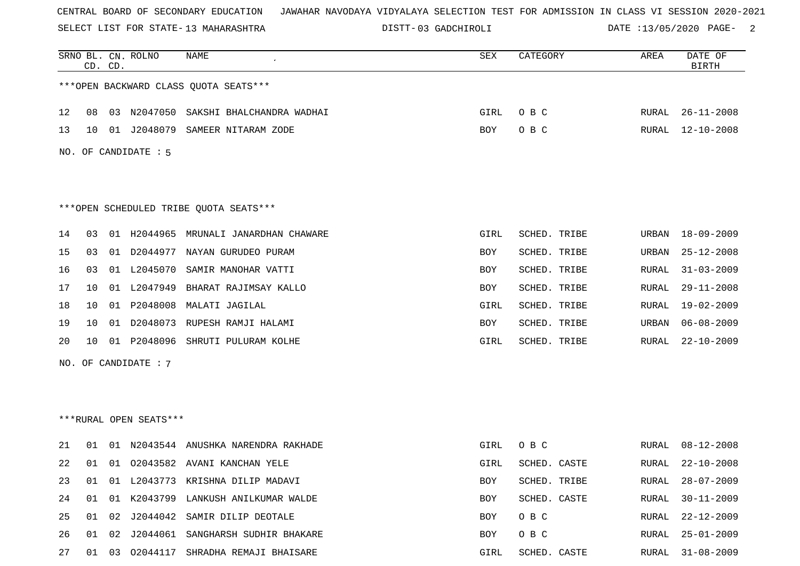SELECT LIST FOR STATE- DISTT- 13 MAHARASHTRA

03 GADCHIROLI DATE :13/05/2020 PAGE- 2

|    |                      | CD. CD. | SRNO BL. CN. ROLNO     | NAME                                   | SEX        | CATEGORY     | AREA  | DATE OF<br><b>BIRTH</b> |  |  |  |
|----|----------------------|---------|------------------------|----------------------------------------|------------|--------------|-------|-------------------------|--|--|--|
|    |                      |         |                        | *** OPEN BACKWARD CLASS QUOTA SEATS*** |            |              |       |                         |  |  |  |
| 12 | 08                   |         | 03 N2047050            | SAKSHI BHALCHANDRA WADHAI              | GIRL       | O B C        | RURAL | $26 - 11 - 2008$        |  |  |  |
| 13 | 10                   | 01      | J2048079               | SAMEER NITARAM ZODE                    | BOY        | O B C        | RURAL | $12 - 10 - 2008$        |  |  |  |
|    | NO. OF CANDIDATE : 5 |         |                        |                                        |            |              |       |                         |  |  |  |
|    |                      |         |                        |                                        |            |              |       |                         |  |  |  |
|    |                      |         |                        | ***OPEN SCHEDULED TRIBE QUOTA SEATS*** |            |              |       |                         |  |  |  |
| 14 | 03                   |         |                        | 01 H2044965 MRUNALI JANARDHAN CHAWARE  | GIRL       | SCHED. TRIBE | URBAN | 18-09-2009              |  |  |  |
| 15 | 03                   | 01      |                        | D2044977 NAYAN GURUDEO PURAM           | BOY        | SCHED. TRIBE | URBAN | $25 - 12 - 2008$        |  |  |  |
| 16 | 03                   |         | 01 L2045070            | SAMIR MANOHAR VATTI                    | BOY        | SCHED. TRIBE | RURAL | $31 - 03 - 2009$        |  |  |  |
| 17 | 10                   |         | 01 L2047949            | BHARAT RAJIMSAY KALLO                  | BOY        | SCHED. TRIBE | RURAL | $29 - 11 - 2008$        |  |  |  |
| 18 | 10                   |         | 01 P2048008            | MALATI JAGILAL                         | GIRL       | SCHED. TRIBE | RURAL | $19 - 02 - 2009$        |  |  |  |
| 19 | 10                   | 01      | D2048073               | RUPESH RAMJI HALAMI                    | BOY        | SCHED. TRIBE | URBAN | $06 - 08 - 2009$        |  |  |  |
| 20 | 10                   |         | 01 P2048096            | SHRUTI PULURAM KOLHE                   | GIRL       | SCHED. TRIBE | RURAL | $22 - 10 - 2009$        |  |  |  |
|    |                      |         | NO. OF CANDIDATE : 7   |                                        |            |              |       |                         |  |  |  |
|    |                      |         |                        |                                        |            |              |       |                         |  |  |  |
|    |                      |         |                        |                                        |            |              |       |                         |  |  |  |
|    |                      |         | ***RURAL OPEN SEATS*** |                                        |            |              |       |                         |  |  |  |
| 21 | 01                   |         |                        | 01 N2043544 ANUSHKA NARENDRA RAKHADE   | GIRL       | O B C        | RURAL | $08 - 12 - 2008$        |  |  |  |
| 22 | 01                   | 01      |                        | 02043582 AVANI KANCHAN YELE            | GIRL       | SCHED. CASTE | RURAL | $22 - 10 - 2008$        |  |  |  |
| 23 | 01                   | 01      |                        | L2043773 KRISHNA DILIP MADAVI          | <b>BOY</b> | SCHED. TRIBE | RURAL | $28 - 07 - 2009$        |  |  |  |
| 24 | 01                   |         |                        | 01 K2043799 LANKUSH ANILKUMAR WALDE    | BOY        | SCHED. CASTE | RURAL | $30 - 11 - 2009$        |  |  |  |
| 25 | 01                   | 02      | J2044042               | SAMIR DILIP DEOTALE                    | BOY        | O B C        | RURAL | $22 - 12 - 2009$        |  |  |  |
| 26 | 01                   | 02      |                        | J2044061 SANGHARSH SUDHIR BHAKARE      | BOY        | O B C        | RURAL | $25 - 01 - 2009$        |  |  |  |
| 27 | 01                   | 03      |                        | 02044117 SHRADHA REMAJI BHAISARE       | GIRL       | SCHED. CASTE | RURAL | $31 - 08 - 2009$        |  |  |  |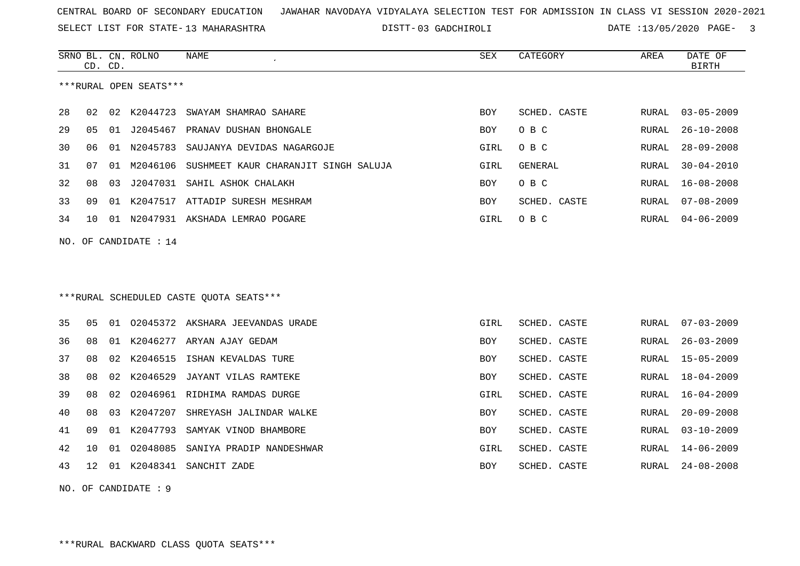SELECT LIST FOR STATE- DISTT- 13 MAHARASHTRA

DISTT-03 GADCHIROLI DATE :13/05/2020 PAGE- 3

|    | CD. CD. |    | SRNO BL. CN. ROLNO     | NAME                                     | SEX        | CATEGORY     | AREA         | DATE OF<br><b>BIRTH</b> |
|----|---------|----|------------------------|------------------------------------------|------------|--------------|--------------|-------------------------|
|    |         |    | ***RURAL OPEN SEATS*** |                                          |            |              |              |                         |
| 28 | 02      | 02 | K2044723               | SWAYAM SHAMRAO SAHARE                    | <b>BOY</b> | SCHED. CASTE | RURAL        | $03 - 05 - 2009$        |
| 29 | 05      | 01 | J2045467               | PRANAV DUSHAN BHONGALE                   | BOY        | O B C        | RURAL        | $26 - 10 - 2008$        |
| 30 | 06      | 01 | N2045783               | SAUJANYA DEVIDAS NAGARGOJE               | GIRL       | O B C        | RURAL        | $28 - 09 - 2008$        |
| 31 | 07      | 01 | M2046106               | SUSHMEET KAUR CHARANJIT SINGH SALUJA     | GIRL       | GENERAL      | RURAL        | $30 - 04 - 2010$        |
| 32 | 08      | 03 | J2047031               | SAHIL ASHOK CHALAKH                      | <b>BOY</b> | O B C        | RURAL        | $16 - 08 - 2008$        |
| 33 | 09      | 01 |                        | K2047517 ATTADIP SURESH MESHRAM          | BOY        | SCHED. CASTE | RURAL        | $07 - 08 - 2009$        |
| 34 | 10      |    |                        | 01 N2047931 AKSHADA LEMRAO POGARE        | GIRL       | O B C        | <b>RURAL</b> | $04 - 06 - 2009$        |
|    |         |    | NO. OF CANDIDATE : 14  |                                          |            |              |              |                         |
|    |         |    |                        |                                          |            |              |              |                         |
|    |         |    |                        |                                          |            |              |              |                         |
|    |         |    |                        | *** RURAL SCHEDULED CASTE QUOTA SEATS*** |            |              |              |                         |
| 35 | 05      |    |                        | 01 02045372 AKSHARA JEEVANDAS URADE      | GIRL       | SCHED. CASTE | <b>RURAL</b> | $07 - 03 - 2009$        |
| 36 | 08      | 01 | K2046277               | ARYAN AJAY GEDAM                         | BOY        | SCHED. CASTE | RURAL        | $26 - 03 - 2009$        |
| 37 | 08      | 02 | K2046515               | ISHAN KEVALDAS TURE                      | BOY        | SCHED. CASTE | RURAL        | $15 - 05 - 2009$        |
| 38 | 08      | 02 | K2046529               | JAYANT VILAS RAMTEKE                     | BOY        | SCHED. CASTE | RURAL        | $18 - 04 - 2009$        |
| 39 | 08      | 02 | 02046961               | RIDHIMA RAMDAS DURGE                     | GIRL       | SCHED. CASTE | <b>RURAL</b> | $16 - 04 - 2009$        |
| 40 | 08      | 03 | K2047207               | SHREYASH JALINDAR WALKE                  | BOY        | SCHED. CASTE | RURAL        | $20 - 09 - 2008$        |
| 41 | 09      | 01 | K2047793               | SAMYAK VINOD BHAMBORE                    | BOY        | SCHED. CASTE | <b>RURAL</b> | $03 - 10 - 2009$        |
| 42 | 10      | 01 | 02048085               | SANIYA PRADIP NANDESHWAR                 | GIRL       | SCHED. CASTE | RURAL        | $14 - 06 - 2009$        |
| 43 | 12      | 01 |                        | K2048341 SANCHIT ZADE                    | <b>BOY</b> | SCHED. CASTE | RURAL        | $24 - 08 - 2008$        |
|    |         |    |                        |                                          |            |              |              |                         |

NO. OF CANDIDATE : 9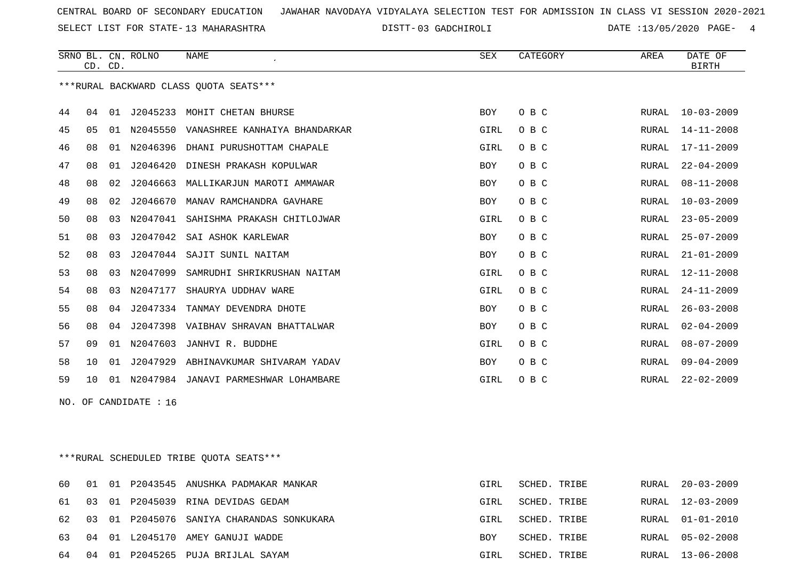SELECT LIST FOR STATE- DISTT- 13 MAHARASHTRA

DISTT-03 GADCHIROLI DATE :13/05/2020 PAGE- 4

|                       |                                        | CD. CD. | SRNO BL. CN. ROLNO | <b>NAME</b><br>$\lambda$               | SEX        | CATEGORY | AREA         | DATE OF<br><b>BIRTH</b> |  |
|-----------------------|----------------------------------------|---------|--------------------|----------------------------------------|------------|----------|--------------|-------------------------|--|
|                       | ***RURAL BACKWARD CLASS OUOTA SEATS*** |         |                    |                                        |            |          |              |                         |  |
| 44                    | 04                                     | 01      | J2045233           | MOHIT CHETAN BHURSE                    | <b>BOY</b> | O B C    | RURAL        | $10 - 03 - 2009$        |  |
| 45                    | 05                                     | 01      |                    | N2045550 VANASHREE KANHAIYA BHANDARKAR | GIRL       | O B C    | RURAL        | 14-11-2008              |  |
| 46                    | 08                                     | 01      | N2046396           | DHANI PURUSHOTTAM CHAPALE              | GIRL       | O B C    | RURAL        | 17-11-2009              |  |
| 47                    | 08                                     | 01      | J2046420           | DINESH PRAKASH KOPULWAR                | BOY        | O B C    | RURAL        | $22 - 04 - 2009$        |  |
| 48                    | 08                                     | 02      | J2046663           | MALLIKARJUN MAROTI AMMAWAR             | <b>BOY</b> | O B C    | RURAL        | $08 - 11 - 2008$        |  |
| 49                    | 08                                     | 02      | J2046670           | MANAV RAMCHANDRA GAVHARE               | <b>BOY</b> | O B C    | RURAL        | $10 - 03 - 2009$        |  |
| 50                    | 08                                     | 03      | N2047041           | SAHISHMA PRAKASH CHITLOJWAR            | GIRL       | O B C    | RURAL        | $23 - 05 - 2009$        |  |
| 51                    | 08                                     | 03      | J2047042           | SAI ASHOK KARLEWAR                     | <b>BOY</b> | O B C    | RURAL        | $25 - 07 - 2009$        |  |
| 52                    | 08                                     | 03      | J2047044           | SAJIT SUNIL NAITAM                     | BOY        | O B C    | RURAL        | $21 - 01 - 2009$        |  |
| 53                    | 08                                     | 03      | N2047099           | SAMRUDHI SHRIKRUSHAN NAITAM            | GIRL       | O B C    | RURAL        | 12-11-2008              |  |
| 54                    | 08                                     | 03      | N2047177           | SHAURYA UDDHAV WARE                    | GIRL       | O B C    | RURAL        | $24 - 11 - 2009$        |  |
| 55                    | 08                                     | 04      | J2047334           | TANMAY DEVENDRA DHOTE                  | <b>BOY</b> | O B C    | RURAL        | $26 - 03 - 2008$        |  |
| 56                    | 08                                     | 04      | J2047398           | VAIBHAV SHRAVAN BHATTALWAR             | BOY        | O B C    | <b>RURAL</b> | $02 - 04 - 2009$        |  |
| 57                    | 09                                     |         | 01 N2047603        | JANHVI R. BUDDHE                       | GIRL       | O B C    | RURAL        | $08 - 07 - 2009$        |  |
| 58                    | 10                                     | 01      | J2047929           | ABHINAVKUMAR SHIVARAM YADAV            | BOY        | O B C    | RURAL        | $09 - 04 - 2009$        |  |
| 59                    | 10                                     |         | 01 N2047984        | JANAVI PARMESHWAR LOHAMBARE            | GIRL       | O B C    | RURAL        | $22 - 02 - 2009$        |  |
| NO. OF CANDIDATE : 16 |                                        |         |                    |                                        |            |          |              |                         |  |
|                       |                                        |         |                    |                                        |            |          |              |                         |  |
|                       |                                        |         |                    |                                        |            |          |              |                         |  |

\*\*\*RURAL SCHEDULED TRIBE QUOTA SEATS\*\*\*

|  |  | 60 01 01 P2043545 ANUSHKA PADMAKAR MANKAR    | GIRL       | SCHED. TRIBE | RURAL 20-03-2009 |
|--|--|----------------------------------------------|------------|--------------|------------------|
|  |  | 61 03 01 P2045039 RINA DEVIDAS GEDAM         | GIRL       | SCHED. TRIBE | RURAL 12-03-2009 |
|  |  | 62 03 01 P2045076 SANIYA CHARANDAS SONKUKARA | GIRL       | SCHED. TRIBE | RURAL 01-01-2010 |
|  |  | 63 04 01 L2045170 AMEY GANUJI WADDE          | <b>BOY</b> | SCHED. TRIBE | RURAL 05-02-2008 |
|  |  | 64 04 01 P2045265 PUJA BRIJLAL SAYAM         | GIRL       | SCHED. TRIBE | RURAL 13-06-2008 |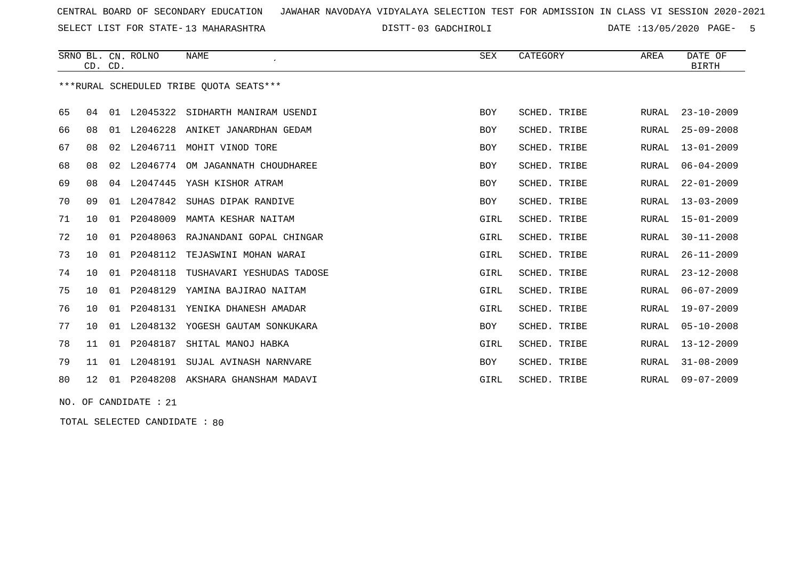SELECT LIST FOR STATE- DISTT- 13 MAHARASHTRA

03 GADCHIROLI DATE :13/05/2020 PAGE- 5

|                         |                                         | CD. CD. | SRNO BL. CN. ROLNO | NAME<br>$\epsilon$                     | <b>SEX</b> | CATEGORY            | AREA         | DATE OF<br><b>BIRTH</b> |  |  |
|-------------------------|-----------------------------------------|---------|--------------------|----------------------------------------|------------|---------------------|--------------|-------------------------|--|--|
|                         | ***RURAL SCHEDULED TRIBE QUOTA SEATS*** |         |                    |                                        |            |                     |              |                         |  |  |
| 65                      | 04                                      |         |                    | 01 L2045322 SIDHARTH MANIRAM USENDI    | <b>BOY</b> | <b>SCHED. TRIBE</b> | RURAL        | $23 - 10 - 2009$        |  |  |
| 66                      | 08                                      |         |                    | 01 L2046228 ANIKET JANARDHAN GEDAM     | <b>BOY</b> | SCHED. TRIBE        | RURAL        | $25 - 09 - 2008$        |  |  |
| 67                      | 08                                      | 02      |                    | L2046711 MOHIT VINOD TORE              | BOY        | SCHED. TRIBE        | RURAL        | $13 - 01 - 2009$        |  |  |
| 68                      | 08                                      | 02      | L2046774           | OM JAGANNATH CHOUDHAREE                | BOY        | <b>SCHED. TRIBE</b> | <b>RURAL</b> | $06 - 04 - 2009$        |  |  |
| 69                      | 08                                      |         | 04 L2047445        | YASH KISHOR ATRAM                      | BOY        | SCHED. TRIBE        | RURAL        | $22 - 01 - 2009$        |  |  |
| 70                      | 09                                      |         | 01 L2047842        | SUHAS DIPAK RANDIVE                    | BOY        | SCHED. TRIBE        | RURAL        | $13 - 03 - 2009$        |  |  |
| 71                      | 10                                      | 01      | P2048009           | MAMTA KESHAR NAITAM                    | GIRL       | SCHED. TRIBE        | RURAL        | $15 - 01 - 2009$        |  |  |
| 72                      | 10                                      |         | 01 P2048063        | RAJNANDANI GOPAL CHINGAR               | GIRL       | <b>SCHED. TRIBE</b> | <b>RURAL</b> | $30 - 11 - 2008$        |  |  |
| 73                      | 10 <sup>°</sup>                         |         | 01 P2048112        | TEJASWINI MOHAN WARAI                  | GIRL       | SCHED. TRIBE        | RURAL        | $26 - 11 - 2009$        |  |  |
| 74                      | 10                                      |         | 01 P2048118        | TUSHAVARI YESHUDAS TADOSE              | GIRL       | SCHED. TRIBE        | RURAL        | $23 - 12 - 2008$        |  |  |
| 75                      | 10                                      | 01      | P2048129           | YAMINA BAJIRAO NAITAM                  | GIRL       | SCHED. TRIBE        | <b>RURAL</b> | $06 - 07 - 2009$        |  |  |
| 76                      | 10                                      |         | 01 P2048131        | YENIKA DHANESH AMADAR                  | GIRL       | SCHED. TRIBE        | <b>RURAL</b> | $19 - 07 - 2009$        |  |  |
| 77                      | 10                                      |         |                    | 01 L2048132 YOGESH GAUTAM SONKUKARA    | BOY        | SCHED. TRIBE        | RURAL        | $05 - 10 - 2008$        |  |  |
| 78                      | 11                                      | 01      | P2048187           | SHITAL MANOJ HABKA                     | GIRL       | SCHED. TRIBE        | <b>RURAL</b> | $13 - 12 - 2009$        |  |  |
| 79                      | 11                                      |         | 01 L2048191        | SUJAL AVINASH NARNVARE                 | BOY        | SCHED. TRIBE        | <b>RURAL</b> | $31 - 08 - 2009$        |  |  |
| 80                      |                                         |         |                    | 12 01 P2048208 AKSHARA GHANSHAM MADAVI | GIRL       | SCHED. TRIBE        | RURAL        | $09 - 07 - 2009$        |  |  |
| $NO.$ OF CANDIDATE : 21 |                                         |         |                    |                                        |            |                     |              |                         |  |  |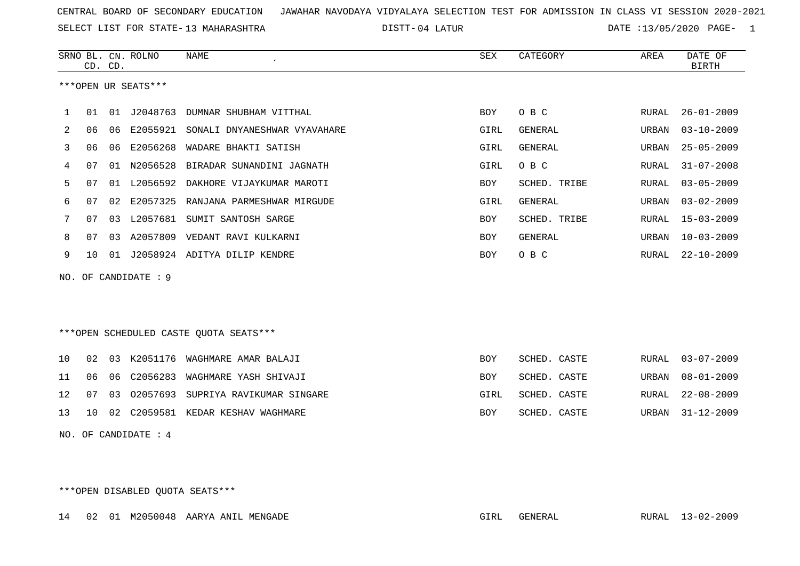SELECT LIST FOR STATE- DISTT- 13 MAHARASHTRA

04 LATUR DATE :13/05/2020 PAGE- 1

|    |    | CD. CD. | SRNO BL. CN. ROLNO   | <b>NAME</b>                            | ${\tt SEX}$ | CATEGORY       | AREA         | DATE OF<br><b>BIRTH</b> |
|----|----|---------|----------------------|----------------------------------------|-------------|----------------|--------------|-------------------------|
|    |    |         | ***OPEN UR SEATS***  |                                        |             |                |              |                         |
| ı. | 01 | 01      | J2048763             | DUMNAR SHUBHAM VITTHAL                 | BOY         | O B C          | RURAL        | $26 - 01 - 2009$        |
| 2  | 06 | 06      |                      | E2055921 SONALI DNYANESHWAR VYAVAHARE  | GIRL        | GENERAL        | URBAN        | $03 - 10 - 2009$        |
| 3  | 06 | 06      | E2056268             | WADARE BHAKTI SATISH                   | GIRL        | GENERAL        | URBAN        | $25 - 05 - 2009$        |
| 4  | 07 | 01      | N2056528             | BIRADAR SUNANDINI JAGNATH              | GIRL        | O B C          | <b>RURAL</b> | $31 - 07 - 2008$        |
| 5  | 07 | 01      | L2056592             | DAKHORE VIJAYKUMAR MAROTI              | <b>BOY</b>  | SCHED. TRIBE   | RURAL        | $03 - 05 - 2009$        |
| 6  | 07 | 02      | E2057325             | RANJANA PARMESHWAR MIRGUDE             | GIRL        | GENERAL        | URBAN        | $03 - 02 - 2009$        |
| 7  | 07 | 03      | L2057681             | SUMIT SANTOSH SARGE                    | <b>BOY</b>  | SCHED. TRIBE   | RURAL        | $15 - 03 - 2009$        |
| 8  | 07 | 03      | A2057809             | VEDANT RAVI KULKARNI                   | <b>BOY</b>  | <b>GENERAL</b> | URBAN        | $10 - 03 - 2009$        |
| 9  | 10 |         |                      | 01 J2058924 ADITYA DILIP KENDRE        | <b>BOY</b>  | O B C          | RURAL        | $22 - 10 - 2009$        |
|    |    |         | NO. OF CANDIDATE : 9 |                                        |             |                |              |                         |
|    |    |         |                      |                                        |             |                |              |                         |
|    |    |         |                      |                                        |             |                |              |                         |
|    |    |         |                      | ***OPEN SCHEDULED CASTE QUOTA SEATS*** |             |                |              |                         |
| 10 | 02 | 03      |                      | K2051176 WAGHMARE AMAR BALAJI          | <b>BOY</b>  | SCHED. CASTE   | RURAL        | $03 - 07 - 2009$        |
| 11 | 06 | 06      | C2056283             | WAGHMARE YASH SHIVAJI                  | <b>BOY</b>  | SCHED. CASTE   | <b>URBAN</b> | $08 - 01 - 2009$        |
| 12 | 07 | 03      | 02057693             | SUPRIYA RAVIKUMAR SINGARE              | GIRL        | SCHED. CASTE   | <b>RURAL</b> | $22 - 08 - 2009$        |
| 13 | 10 | 02      |                      | C2059581 KEDAR KESHAV WAGHMARE         | <b>BOY</b>  | SCHED. CASTE   | URBAN        | $31 - 12 - 2009$        |
|    |    |         | NO. OF CANDIDATE : 4 |                                        |             |                |              |                         |

\*\*\*OPEN DISABLED QUOTA SEATS\*\*\*

14 02 01 M2050048 AARYA ANIL MENGADE GIRL GENERAL RURAL 13-02-2009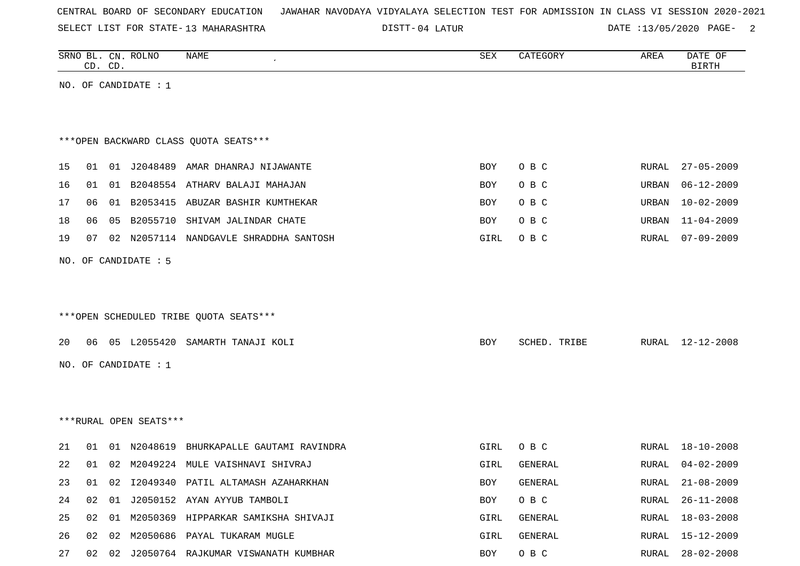| CENTRAL BOARD OF SECONDARY EDUCATION – JAWAHAR NAVODAYA VIDYALAYA SELECTION TEST FOR ADMISSION IN CLASS VI SESSION 2020-2021 |  |
|------------------------------------------------------------------------------------------------------------------------------|--|
|------------------------------------------------------------------------------------------------------------------------------|--|

SELECT LIST FOR STATE- DISTT- 13 MAHARASHTRA

DISTT-04 LATUR DATE :13/05/2020 PAGE- 2

|    |    | CD. CD. | SRNO BL. CN. ROLNO     | NAME                                    | SEX  | CATEGORY     | AREA  | DATE OF<br><b>BIRTH</b> |
|----|----|---------|------------------------|-----------------------------------------|------|--------------|-------|-------------------------|
|    |    |         | NO. OF CANDIDATE : $1$ |                                         |      |              |       |                         |
|    |    |         |                        |                                         |      |              |       |                         |
|    |    |         |                        | *** OPEN BACKWARD CLASS QUOTA SEATS***  |      |              |       |                         |
| 15 | 01 |         |                        | 01 J2048489 AMAR DHANRAJ NIJAWANTE      | BOY  | O B C        | RURAL | $27 - 05 - 2009$        |
| 16 | 01 | 01      |                        | B2048554 ATHARV BALAJI MAHAJAN          | BOY  | O B C        | URBAN | $06 - 12 - 2009$        |
| 17 | 06 | 01      |                        | B2053415 ABUZAR BASHIR KUMTHEKAR        | BOY  | O B C        | URBAN | $10 - 02 - 2009$        |
| 18 | 06 | 05      |                        | B2055710 SHIVAM JALINDAR CHATE          | BOY  | O B C        | URBAN | $11 - 04 - 2009$        |
| 19 | 07 | 02      | N2057114               | NANDGAVLE SHRADDHA SANTOSH              | GIRL | O B C        | RURAL | $07 - 09 - 2009$        |
|    |    |         | NO. OF CANDIDATE : 5   |                                         |      |              |       |                         |
|    |    |         |                        |                                         |      |              |       |                         |
|    |    |         |                        |                                         |      |              |       |                         |
|    |    |         |                        | *** OPEN SCHEDULED TRIBE QUOTA SEATS*** |      |              |       |                         |
| 20 | 06 |         |                        | 05 L2055420 SAMARTH TANAJI KOLI         | BOY  | SCHED. TRIBE | RURAL | 12-12-2008              |
|    |    |         | NO. OF CANDIDATE $: 1$ |                                         |      |              |       |                         |
|    |    |         |                        |                                         |      |              |       |                         |
|    |    |         |                        |                                         |      |              |       |                         |
|    |    |         | ***RURAL OPEN SEATS*** |                                         |      |              |       |                         |
| 21 | 01 |         | 01 N2048619            | BHURKAPALLE GAUTAMI RAVINDRA            | GIRL | O B C        | RURAL | 18-10-2008              |
| 22 | 01 |         |                        | 02 M2049224 MULE VAISHNAVI SHIVRAJ      | GIRL | GENERAL      | RURAL | $04 - 02 - 2009$        |
| 23 | 01 |         |                        | 02 I2049340 PATIL ALTAMASH AZAHARKHAN   | BOY  | GENERAL      | RURAL | $21 - 08 - 2009$        |
| 24 | 02 | 01      |                        | J2050152 AYAN AYYUB TAMBOLI             | BOY  | O B C        | RURAL | $26 - 11 - 2008$        |
| 25 | 02 | 01      |                        | M2050369 HIPPARKAR SAMIKSHA SHIVAJI     | GIRL | GENERAL      | RURAL | $18 - 03 - 2008$        |
| 26 | 02 | 02      |                        | M2050686 PAYAL TUKARAM MUGLE            | GIRL | GENERAL      | RURAL | 15-12-2009              |
| 27 | 02 |         |                        | 02 J2050764 RAJKUMAR VISWANATH KUMBHAR  | BOY  | O B C        | RURAL | $28 - 02 - 2008$        |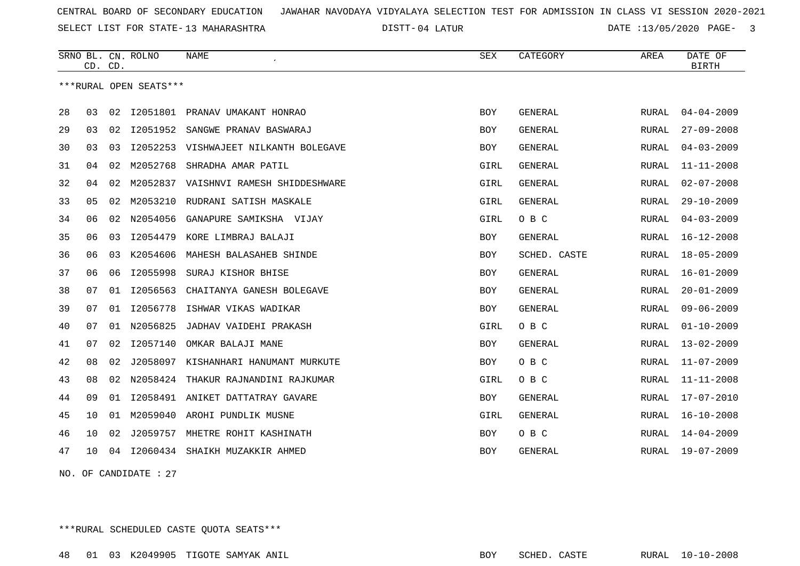SELECT LIST FOR STATE- DISTT- 13 MAHARASHTRA

04 LATUR DATE :13/05/2020 PAGE- 3

|    | CD. CD. |    | SRNO BL. CN. ROLNO     | <b>NAME</b>                     | <b>SEX</b> | CATEGORY       | AREA         | DATE OF<br><b>BIRTH</b> |
|----|---------|----|------------------------|---------------------------------|------------|----------------|--------------|-------------------------|
|    |         |    | ***RURAL OPEN SEATS*** |                                 |            |                |              |                         |
| 28 | 03      | 02 |                        | 12051801 PRANAV UMAKANT HONRAO  | <b>BOY</b> | <b>GENERAL</b> | RURAL        | $04 - 04 - 2009$        |
| 29 | 03      | 02 | I2051952               | SANGWE PRANAV BASWARAJ          | <b>BOY</b> | <b>GENERAL</b> | RURAL        | $27 - 09 - 2008$        |
| 30 | 03      | 03 | I2052253               | VISHWAJEET NILKANTH BOLEGAVE    | <b>BOY</b> | <b>GENERAL</b> | RURAL        | $04 - 03 - 2009$        |
| 31 | 04      | 02 | M2052768               | SHRADHA AMAR PATIL              | GIRL       | <b>GENERAL</b> | RURAL        | $11 - 11 - 2008$        |
| 32 | 04      | 02 | M2052837               | VAISHNVI RAMESH SHIDDESHWARE    | GIRL       | <b>GENERAL</b> | RURAL        | $02 - 07 - 2008$        |
| 33 | 05      | 02 |                        | M2053210 RUDRANI SATISH MASKALE | GIRL       | <b>GENERAL</b> | RURAL        | $29 - 10 - 2009$        |
| 34 | 06      | 02 | N2054056               | GANAPURE SAMIKSHA VIJAY         | GIRL       | O B C          | RURAL        | $04 - 03 - 2009$        |
| 35 | 06      | 03 | I2054479               | KORE LIMBRAJ BALAJI             | BOY        | <b>GENERAL</b> | RURAL        | $16 - 12 - 2008$        |
| 36 | 06      | 03 | K2054606               | MAHESH BALASAHEB SHINDE         | <b>BOY</b> | SCHED. CASTE   | RURAL        | $18 - 05 - 2009$        |
| 37 | 06      | 06 | I2055998               | SURAJ KISHOR BHISE              | <b>BOY</b> | <b>GENERAL</b> | RURAL        | $16 - 01 - 2009$        |
| 38 | 07      | 01 | I2056563               | CHAITANYA GANESH BOLEGAVE       | <b>BOY</b> | <b>GENERAL</b> | <b>RURAL</b> | $20 - 01 - 2009$        |
| 39 | 07      | 01 | I2056778               | ISHWAR VIKAS WADIKAR            | <b>BOY</b> | <b>GENERAL</b> | <b>RURAL</b> | $09 - 06 - 2009$        |
| 40 | 07      | 01 | N2056825               | JADHAV VAIDEHI PRAKASH          | GIRL       | O B C          | RURAL        | $01 - 10 - 2009$        |
| 41 | 07      | 02 | I2057140               | OMKAR BALAJI MANE               | <b>BOY</b> | GENERAL        | RURAL        | $13 - 02 - 2009$        |
| 42 | 08      | 02 | J2058097               | KISHANHARI HANUMANT MURKUTE     | <b>BOY</b> | O B C          | RURAL        | $11 - 07 - 2009$        |
| 43 | 08      | 02 | N2058424               | THAKUR RAJNANDINI RAJKUMAR      | GIRL       | O B C          | RURAL        | $11 - 11 - 2008$        |
| 44 | 09      | 01 | I2058491               | ANIKET DATTATRAY GAVARE         | <b>BOY</b> | <b>GENERAL</b> | RURAL        | $17 - 07 - 2010$        |
| 45 | 10      | 01 | M2059040               | AROHI PUNDLIK MUSNE             | GIRL       | <b>GENERAL</b> | RURAL        | $16 - 10 - 2008$        |
| 46 | 10      | 02 | J2059757               | MHETRE ROHIT KASHINATH          | <b>BOY</b> | O B C          | RURAL        | $14 - 04 - 2009$        |
| 47 | 10      | 04 | I2060434               | SHAIKH MUZAKKIR AHMED           | <b>BOY</b> | <b>GENERAL</b> | RURAL        | $19 - 07 - 2009$        |
|    |         |    |                        |                                 |            |                |              |                         |

NO. OF CANDIDATE : 27

\*\*\*RURAL SCHEDULED CASTE QUOTA SEATS\*\*\*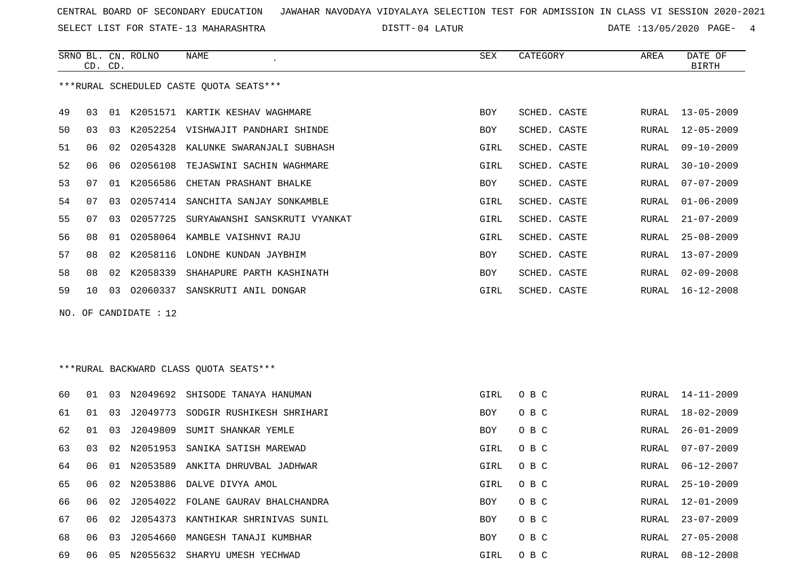SELECT LIST FOR STATE- DISTT- 13 MAHARASHTRA

04 LATUR DATE :13/05/2020 PAGE- 4

|     |    | CD. CD. | SRNO BL. CN. ROLNO | <b>NAME</b>                              | <b>SEX</b> | CATEGORY     | AREA  | DATE OF<br><b>BIRTH</b> |
|-----|----|---------|--------------------|------------------------------------------|------------|--------------|-------|-------------------------|
|     |    |         |                    | *** RURAL SCHEDULED CASTE QUOTA SEATS*** |            |              |       |                         |
| 49  | 03 | 01      | K2051571           | KARTIK KESHAV WAGHMARE                   | <b>BOY</b> | SCHED. CASTE | RURAL | $13 - 05 - 2009$        |
| 50  | 03 | 03      | K2052254           | VISHWAJIT PANDHARI SHINDE                | <b>BOY</b> | SCHED. CASTE | RURAL | $12 - 05 - 2009$        |
| 51  | 06 | 02      | 02054328           | KALUNKE SWARANJALI SUBHASH               | GIRL       | SCHED. CASTE | RURAL | $09 - 10 - 2009$        |
| 52  | 06 | 06      | 02056108           | TEJASWINI SACHIN WAGHMARE                | GIRL       | SCHED. CASTE | RURAL | $30 - 10 - 2009$        |
| 53  | 07 | 01      | K2056586           | CHETAN PRASHANT BHALKE                   | BOY        | SCHED. CASTE | RURAL | $07 - 07 - 2009$        |
| 54  | 07 | 03      | 02057414           | SANCHITA SANJAY SONKAMBLE                | GIRL       | SCHED. CASTE | RURAL | $01 - 06 - 2009$        |
| 55  | 07 | 03      | 02057725           | SURYAWANSHI SANSKRUTI VYANKAT            | GIRL       | SCHED. CASTE | RURAL | $21 - 07 - 2009$        |
| 56  | 08 | 01      |                    | 02058064 KAMBLE VAISHNVI RAJU            | GIRL       | SCHED. CASTE | RURAL | $25 - 08 - 2009$        |
| 57  | 08 | 02      | K2058116           | LONDHE KUNDAN JAYBHIM                    | <b>BOY</b> | SCHED. CASTE | RURAL | $13 - 07 - 2009$        |
| 58  | 08 | 02      | K2058339           | SHAHAPURE PARTH KASHINATH                | <b>BOY</b> | SCHED. CASTE | RURAL | $02 - 09 - 2008$        |
| 59  | 10 | 03      | 02060337           | SANSKRUTI ANIL DONGAR                    | GIRL       | SCHED. CASTE | RURAL | $16 - 12 - 2008$        |
| NO. |    |         | OF CANDIDATE : 12  |                                          |            |              |       |                         |
|     |    |         |                    |                                          |            |              |       |                         |
|     |    |         |                    | ***RURAL BACKWARD CLASS OUOTA SEATS***   |            |              |       |                         |
| 60  | 01 | 03      | N2049692           | SHISODE TANAYA HANUMAN                   | GIRL       | O B C        | RURAL | $14 - 11 - 2009$        |
| 61  | 01 | 03      | J2049773           | SODGIR RUSHIKESH SHRIHARI                | <b>BOY</b> | O B C        | RURAL | $18 - 02 - 2009$        |

| 0U | . U L | - 11.5 |             | NZU4969Z SHISODE IANAYA HANUMAN    | GIKL       | U B C |       | KUKAL 14-11-2009 |
|----|-------|--------|-------------|------------------------------------|------------|-------|-------|------------------|
| 61 | 01    | 03     | J2049773    | SODGIR RUSHIKESH SHRIHARI          | <b>BOY</b> | O B C | RURAL | $18 - 02 - 2009$ |
| 62 | . N 1 | 03     | J2049809    | SUMIT SHANKAR YEMLE                | <b>BOY</b> | O B C | RURAL | $26 - 01 - 2009$ |
| 63 | 03    |        | 02 N2051953 | SANIKA SATISH MAREWAD              | GIRL       | O B C | RURAL | $07 - 07 - 2009$ |
| 64 | ึ ೧ 6 |        | 01 N2053589 | ANKITA DHRUVBAL JADHWAR            | GIRL       | O B C | RURAL | 06-12-2007       |
| 65 |       |        |             | 02 N2053886 DALVE DIVYA AMOL       | GIRL       | O B C | RURAL | $25 - 10 - 2009$ |
| 66 | 06    | 02     |             | J2054022 FOLANE GAURAV BHALCHANDRA | <b>BOY</b> | O B C | RURAL | $12 - 01 - 2009$ |
| 67 | 06    | 02     | 72054373    | KANTHIKAR SHRINIVAS SUNIL          | <b>BOY</b> | O B C | RURAL | $23 - 07 - 2009$ |
| 68 | 06    | 03     | J2054660    | MANGESH TANAJI KUMBHAR             | <b>BOY</b> | O B C | RURAL | $27 - 05 - 2008$ |
| 69 | 06    | 05     | N2055632    | SHARYU UMESH YECHWAD               | GIRL       | O B C | RURAL | $08 - 12 - 2008$ |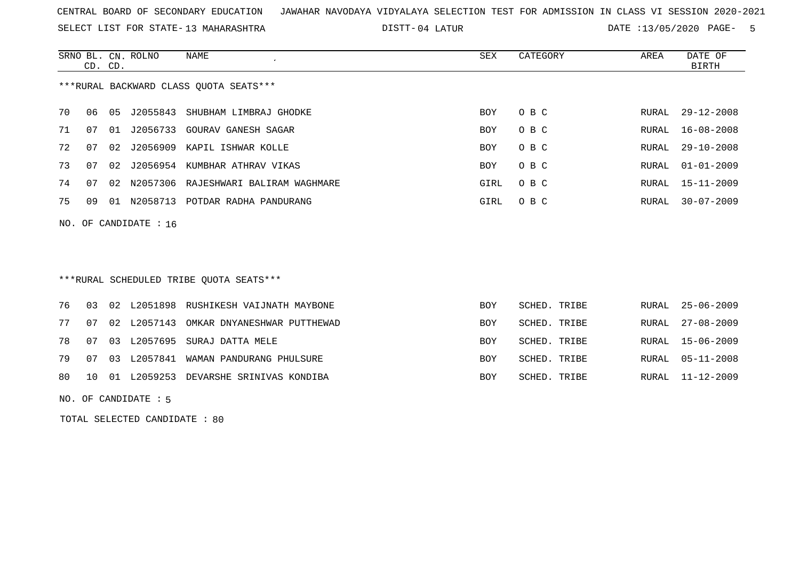SELECT LIST FOR STATE- DISTT- 13 MAHARASHTRA

04 LATUR DATE :13/05/2020 PAGE- 5

|                                         | CD. CD.                 |       | SRNO BL. CN. ROLNO | NAME                                 | SEX  | CATEGORY | AREA  | DATE OF<br>BIRTH |  |  |  |
|-----------------------------------------|-------------------------|-------|--------------------|--------------------------------------|------|----------|-------|------------------|--|--|--|
| *** RURAL BACKWARD CLASS QUOTA SEATS*** |                         |       |                    |                                      |      |          |       |                  |  |  |  |
| 70                                      | 06                      | 05    | J2055843           | SHUBHAM LIMBRAJ GHODKE               | BOY  | O B C    | RURAL | $29 - 12 - 2008$ |  |  |  |
| 71                                      | 07                      | 01    | 12056733           | GOURAV GANESH SAGAR                  | BOY  | O B C    | RURAL | 16-08-2008       |  |  |  |
| 72                                      | 07                      |       | 02 J2056909        | KAPIL ISHWAR KOLLE                   | BOY  | O B C    | RURAL | $29 - 10 - 2008$ |  |  |  |
| 73                                      | 07                      | 02    | J2056954           | KUMBHAR ATHRAV VIKAS                 | BOY  | O B C    | RURAL | 01-01-2009       |  |  |  |
| 74                                      | 07                      | 02    |                    | N2057306 RAJESHWARI BALIRAM WAGHMARE | GIRL | O B C    |       | RURAL 15-11-2009 |  |  |  |
| 75                                      | 09                      | . N 1 | N2058713           | POTDAR RADHA PANDURANG               | GIRL | O B C    | RURAL | $30 - 07 - 2009$ |  |  |  |
|                                         | NO. OF CANDIDATE : $16$ |       |                    |                                      |      |          |       |                  |  |  |  |

\*\*\*RURAL SCHEDULED TRIBE QUOTA SEATS\*\*\*

|  |  | 76 03 02 L2051898 RUSHIKESH VAIJNATH MAYBONE  | BOY        | SCHED. TRIBE | RURAL 25-06-2009 |
|--|--|-----------------------------------------------|------------|--------------|------------------|
|  |  | 77 07 02 L2057143 OMKAR DNYANESHWAR PUTTHEWAD | BOY        | SCHED. TRIBE | RURAL 27-08-2009 |
|  |  | 78 07 03 L2057695 SURAJ DATTA MELE            | <b>BOY</b> | SCHED. TRIBE | RURAL 15-06-2009 |
|  |  | 79 07 03 L2057841 WAMAN PANDURANG PHULSURE    | <b>BOY</b> | SCHED. TRIBE | RURAL 05-11-2008 |
|  |  | 80 10 01 L2059253 DEVARSHE SRINIVAS KONDIBA   | <b>BOY</b> | SCHED. TRIBE | RURAL 11-12-2009 |

NO. OF CANDIDATE : 5

TOTAL SELECTED CANDIDATE : 80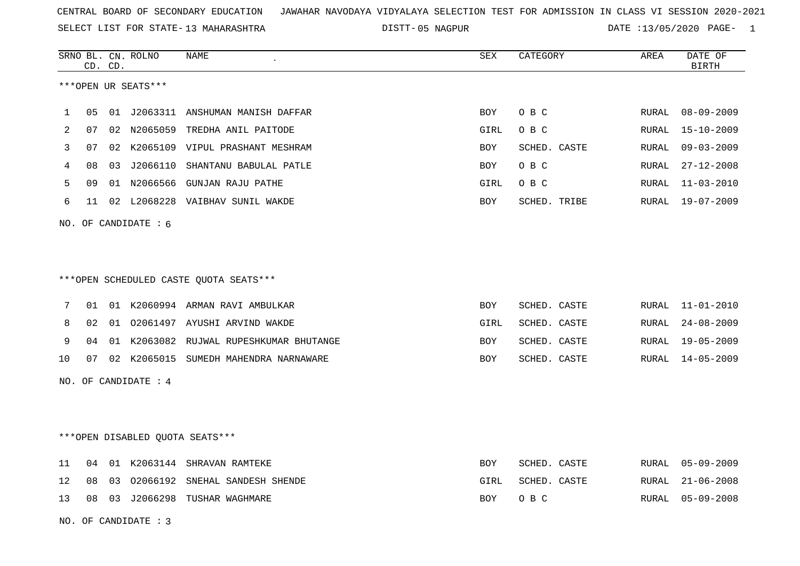SELECT LIST FOR STATE- DISTT- 13 MAHARASHTRA

05 NAGPUR DATE :13/05/2020 PAGE- 1

|                |    | CD. CD. | SRNO BL. CN. ROLNO     | <b>NAME</b>                             | <b>SEX</b> | CATEGORY     | AREA         | DATE OF<br><b>BIRTH</b> |
|----------------|----|---------|------------------------|-----------------------------------------|------------|--------------|--------------|-------------------------|
|                |    |         | ***OPEN UR SEATS***    |                                         |            |              |              |                         |
| $\mathbf{1}$   | 05 |         |                        | 01 J2063311 ANSHUMAN MANISH DAFFAR      | <b>BOY</b> | O B C        | RURAL        | $08 - 09 - 2009$        |
| $\overline{2}$ | 07 |         |                        | 02 N2065059 TREDHA ANIL PAITODE         | GIRL       | O B C        | RURAL        | $15 - 10 - 2009$        |
| 3              | 07 |         |                        | 02 K2065109 VIPUL PRASHANT MESHRAM      | <b>BOY</b> | SCHED. CASTE | <b>RURAL</b> | $09 - 03 - 2009$        |
| 4              | 08 | 03      |                        | J2066110 SHANTANU BABULAL PATLE         | <b>BOY</b> | O B C        | RURAL        | $27 - 12 - 2008$        |
| 5              | 09 |         |                        | 01 N2066566 GUNJAN RAJU PATHE           | GIRL       | O B C        | RURAL        | $11 - 03 - 2010$        |
| 6              | 11 |         |                        | 02 L2068228 VAIBHAV SUNIL WAKDE         | <b>BOY</b> | SCHED. TRIBE | RURAL        | $19 - 07 - 2009$        |
|                |    |         | NO. OF CANDIDATE : 6   |                                         |            |              |              |                         |
|                |    |         |                        |                                         |            |              |              |                         |
|                |    |         |                        |                                         |            |              |              |                         |
|                |    |         |                        | ***OPEN SCHEDULED CASTE QUOTA SEATS***  |            |              |              |                         |
| 7              | 01 |         |                        | 01 K2060994 ARMAN RAVI AMBULKAR         | <b>BOY</b> | SCHED. CASTE |              | RURAL 11-01-2010        |
| 8              | 02 |         |                        | 01 02061497 AYUSHI ARVIND WAKDE         | GIRL       | SCHED. CASTE | RURAL        | $24 - 08 - 2009$        |
| 9              | 04 |         |                        | 01 K2063082 RUJWAL RUPESHKUMAR BHUTANGE | <b>BOY</b> | SCHED. CASTE | RURAL        | $19 - 05 - 2009$        |
| 10             | 07 |         |                        | 02 K2065015 SUMEDH MAHENDRA NARNAWARE   | <b>BOY</b> | SCHED. CASTE | RURAL        | 14-05-2009              |
|                |    |         | NO. OF CANDIDATE : $4$ |                                         |            |              |              |                         |
|                |    |         |                        |                                         |            |              |              |                         |
|                |    |         |                        |                                         |            |              |              |                         |
|                |    |         |                        | ***OPEN DISABLED QUOTA SEATS***         |            |              |              |                         |
| 11             | 04 |         |                        | 01 K2063144 SHRAVAN RAMTEKE             | <b>BOY</b> | SCHED. CASTE | RURAL        | $05 - 09 - 2009$        |
| 12             | 08 | 03      |                        | 02066192 SNEHAL SANDESH SHENDE          | GIRL       | SCHED. CASTE | RURAL        | $21 - 06 - 2008$        |
| 13             |    |         |                        | 08 03 J2066298 TUSHAR WAGHMARE          | <b>BOY</b> | O B C        | RURAL        | $05 - 09 - 2008$        |
|                |    |         | NO. OF CANDIDATE : $3$ |                                         |            |              |              |                         |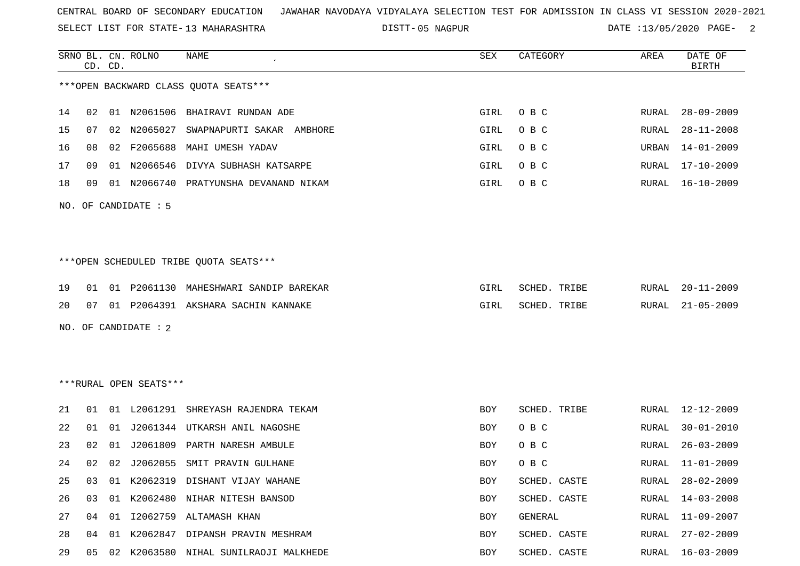SELECT LIST FOR STATE- DISTT- 13 MAHARASHTRA

05 NAGPUR DATE :13/05/2020 PAGE- 2

|    |    | CD. CD. | SRNO BL. CN. ROLNO     | <b>NAME</b>                            | <b>SEX</b> | CATEGORY     | AREA  | DATE OF<br><b>BIRTH</b> |
|----|----|---------|------------------------|----------------------------------------|------------|--------------|-------|-------------------------|
|    |    |         |                        | *** OPEN BACKWARD CLASS QUOTA SEATS*** |            |              |       |                         |
| 14 | 02 |         |                        | 01 N2061506 BHAIRAVI RUNDAN ADE        | GIRL       | O B C        | RURAL | $28 - 09 - 2009$        |
| 15 | 07 |         | 02 N2065027            | SWAPNAPURTI SAKAR<br>AMBHORE           | GIRL       | O B C        | RURAL | $28 - 11 - 2008$        |
| 16 | 08 |         | 02 F2065688            | MAHI UMESH YADAV                       | GIRL       | O B C        | URBAN | $14 - 01 - 2009$        |
| 17 | 09 |         |                        | 01 N2066546 DIVYA SUBHASH KATSARPE     | GIRL       | O B C        | RURAL | 17-10-2009              |
| 18 | 09 |         |                        | 01 N2066740 PRATYUNSHA DEVANAND NIKAM  | GIRL       | O B C        | RURAL | $16 - 10 - 2009$        |
|    |    |         | NO. OF CANDIDATE : 5   |                                        |            |              |       |                         |
|    |    |         |                        | ***OPEN SCHEDULED TRIBE QUOTA SEATS*** |            |              |       |                         |
| 19 | 01 |         |                        | 01 P2061130 MAHESHWARI SANDIP BAREKAR  | GIRL       | SCHED. TRIBE | RURAL | $20 - 11 - 2009$        |
| 20 | 07 |         |                        | 01 P2064391 AKSHARA SACHIN KANNAKE     | GIRL       | SCHED. TRIBE | RURAL | $21 - 05 - 2009$        |
|    |    |         | NO. OF CANDIDATE : 2   |                                        |            |              |       |                         |
|    |    |         | ***RURAL OPEN SEATS*** |                                        |            |              |       |                         |
| 21 | 01 |         |                        | 01 L2061291 SHREYASH RAJENDRA TEKAM    | <b>BOY</b> | SCHED. TRIBE | RURAL | 12-12-2009              |
| 22 | 01 |         |                        | 01 J2061344 UTKARSH ANIL NAGOSHE       | BOY        | O B C        | RURAL | $30 - 01 - 2010$        |
| 23 | 02 | 01      | J2061809               | PARTH NARESH AMBULE                    | BOY        | O B C        | RURAL | $26 - 03 - 2009$        |
| 24 | 02 |         |                        | 02 J2062055 SMIT PRAVIN GULHANE        | BOY        | O B C        | RURAL | $11 - 01 - 2009$        |
| 25 | 03 |         |                        | 01 K2062319 DISHANT VIJAY WAHANE       | BOY        | SCHED. CASTE | RURAL | $28 - 02 - 2009$        |
| 26 | 03 |         |                        | 01 K2062480 NIHAR NITESH BANSOD        | BOY        | SCHED. CASTE | RURAL | $14 - 03 - 2008$        |
| 27 | 04 |         |                        | 01 I2062759 ALTAMASH KHAN              | BOY        | GENERAL      | RURAL | 11-09-2007              |
| 28 | 04 |         |                        | 01 K2062847 DIPANSH PRAVIN MESHRAM     | BOY        | SCHED. CASTE | RURAL | $27 - 02 - 2009$        |
| 29 | 05 |         |                        | 02 K2063580 NIHAL SUNILRAOJI MALKHEDE  | BOY        | SCHED. CASTE |       | RURAL 16-03-2009        |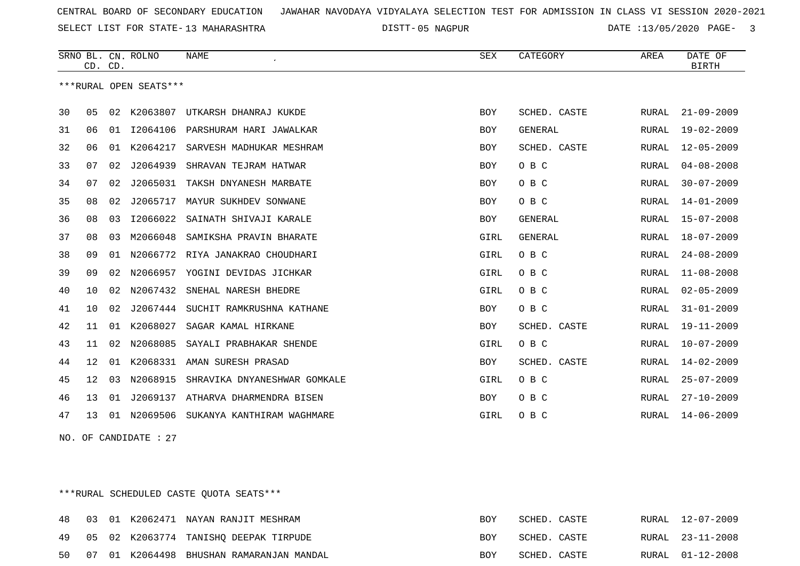SELECT LIST FOR STATE- DISTT- 13 MAHARASHTRA

05 NAGPUR DATE :13/05/2020 PAGE- 3

|    | CD. CD.           |    | SRNO BL. CN. ROLNO     | <b>NAME</b>                  | SEX        | CATEGORY     | AREA  | DATE OF<br><b>BIRTH</b> |
|----|-------------------|----|------------------------|------------------------------|------------|--------------|-------|-------------------------|
|    |                   |    | ***RURAL OPEN SEATS*** |                              |            |              |       |                         |
| 30 | 05                | 02 | K2063807               | UTKARSH DHANRAJ KUKDE        | BOY        | SCHED. CASTE | RURAL | $21 - 09 - 2009$        |
| 31 | 06                | 01 | I2064106               | PARSHURAM HARI JAWALKAR      | BOY        | GENERAL      | RURAL | $19 - 02 - 2009$        |
| 32 | 06                | 01 | K2064217               | SARVESH MADHUKAR MESHRAM     | <b>BOY</b> | SCHED. CASTE | RURAL | $12 - 05 - 2009$        |
| 33 | 07                | 02 | J2064939               | SHRAVAN TEJRAM HATWAR        | BOY        | O B C        | RURAL | $04 - 08 - 2008$        |
| 34 | 07                | 02 | J2065031               | TAKSH DNYANESH MARBATE       | BOY        | O B C        | RURAL | $30 - 07 - 2009$        |
| 35 | 08                | 02 | J2065717               | MAYUR SUKHDEV SONWANE        | BOY        | O B C        | RURAL | $14 - 01 - 2009$        |
| 36 | 08                | 03 | I2066022               | SAINATH SHIVAJI KARALE       | <b>BOY</b> | GENERAL      | RURAL | $15 - 07 - 2008$        |
| 37 | 08                | 03 | M2066048               | SAMIKSHA PRAVIN BHARATE      | GIRL       | GENERAL      | RURAL | $18 - 07 - 2009$        |
| 38 | 09                | 01 | N2066772               | RIYA JANAKRAO CHOUDHARI      | GIRL       | O B C        | RURAL | $24 - 08 - 2009$        |
| 39 | 09                | 02 | N2066957               | YOGINI DEVIDAS JICHKAR       | GIRL       | O B C        | RURAL | $11 - 08 - 2008$        |
| 40 | 10                | 02 | N2067432               | SNEHAL NARESH BHEDRE         | GIRL       | O B C        | RURAL | $02 - 05 - 2009$        |
| 41 | 10                | 02 | J2067444               | SUCHIT RAMKRUSHNA KATHANE    | BOY        | O B C        | RURAL | $31 - 01 - 2009$        |
| 42 | 11                | 01 | K2068027               | SAGAR KAMAL HIRKANE          | BOY        | SCHED. CASTE | RURAL | $19 - 11 - 2009$        |
| 43 | 11                | 02 | N2068085               | SAYALI PRABHAKAR SHENDE      | GIRL       | O B C        | RURAL | $10 - 07 - 2009$        |
| 44 | $12 \overline{ }$ | 01 |                        | K2068331 AMAN SURESH PRASAD  | <b>BOY</b> | SCHED. CASTE | RURAL | $14 - 02 - 2009$        |
| 45 | $12 \overline{ }$ | 03 | N2068915               | SHRAVIKA DNYANESHWAR GOMKALE | GIRL       | O B C        | RURAL | $25 - 07 - 2009$        |
| 46 | 13                | 01 | J2069137               | ATHARVA DHARMENDRA BISEN     | <b>BOY</b> | O B C        | RURAL | $27 - 10 - 2009$        |
| 47 | 13                | 01 | N2069506               | SUKANYA KANTHIRAM WAGHMARE   | GIRL       | O B C        | RURAL | $14 - 06 - 2009$        |

NO. OF CANDIDATE : 27

\*\*\*RURAL SCHEDULED CASTE QUOTA SEATS\*\*\*

|    |  | 48 03 01 K2062471 NAYAN RANJIT MESHRAM   | BOY        | SCHED. CASTE | RURAL 12-07-2009 |
|----|--|------------------------------------------|------------|--------------|------------------|
|    |  | 49 05 02 K2063774 TANISHQ DEEPAK TIRPUDE | <b>BOY</b> | SCHED. CASTE | RURAL 23-11-2008 |
| 50 |  | 07 01 K2064498 BHUSHAN RAMARANJAN MANDAL | BOY        | SCHED. CASTE | RURAL 01-12-2008 |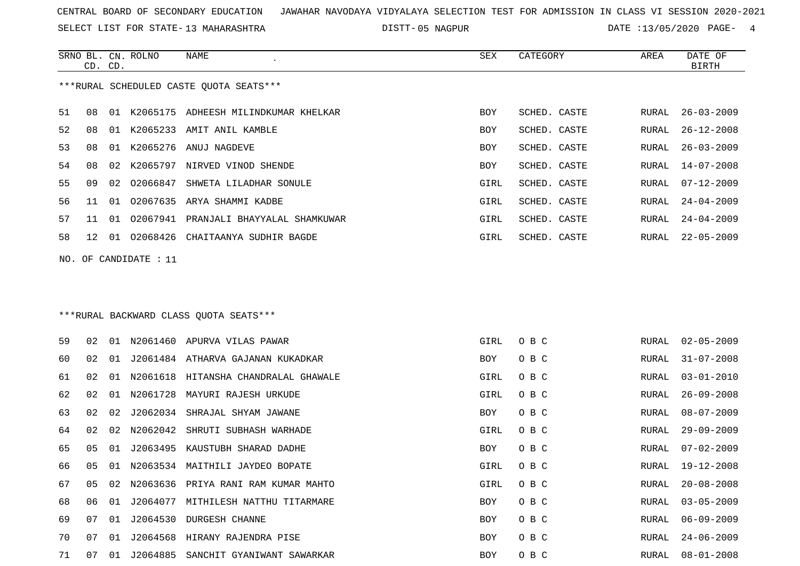SELECT LIST FOR STATE- DISTT- 13 MAHARASHTRA

05 NAGPUR DATE :13/05/2020 PAGE- 4

|    | CD. CD.                                 |    | SRNO BL. CN. ROLNO    | NAME                                    | SEX        | CATEGORY     | AREA  | DATE OF<br><b>BIRTH</b> |  |  |
|----|-----------------------------------------|----|-----------------------|-----------------------------------------|------------|--------------|-------|-------------------------|--|--|
|    | ***RURAL SCHEDULED CASTE QUOTA SEATS*** |    |                       |                                         |            |              |       |                         |  |  |
| 51 | 08                                      |    |                       | 01 K2065175 ADHEESH MILINDKUMAR KHELKAR | <b>BOY</b> | SCHED. CASTE | RURAL | $26 - 03 - 2009$        |  |  |
| 52 | 08                                      |    |                       | 01 K2065233 AMIT ANIL KAMBLE            | <b>BOY</b> | SCHED. CASTE | RURAL | $26 - 12 - 2008$        |  |  |
| 53 | 08                                      | 01 |                       | K2065276 ANUJ NAGDEVE                   | <b>BOY</b> | SCHED. CASTE | RURAL | $26 - 03 - 2009$        |  |  |
| 54 | 08                                      | 02 |                       | K2065797 NIRVED VINOD SHENDE            | <b>BOY</b> | SCHED. CASTE | RURAL | $14 - 07 - 2008$        |  |  |
| 55 | 09                                      |    |                       | 02 02066847 SHWETA LILADHAR SONULE      | GIRL       | SCHED. CASTE | RURAL | $07 - 12 - 2009$        |  |  |
| 56 | 11                                      | 01 |                       | 02067635 ARYA SHAMMI KADBE              | GIRL       | SCHED. CASTE | RURAL | $24 - 04 - 2009$        |  |  |
| 57 | 11                                      | 01 |                       | 02067941 PRANJALI BHAYYALAL SHAMKUWAR   | GIRL       | SCHED. CASTE | RURAL | $24 - 04 - 2009$        |  |  |
| 58 | 12                                      | 01 |                       | 02068426 CHAITAANYA SUDHIR BAGDE        | GIRL       | SCHED. CASTE | RURAL | $22 - 05 - 2009$        |  |  |
|    |                                         |    | NO. OF CANDIDATE : 11 |                                         |            |              |       |                         |  |  |
|    | ***RURAL BACKWARD CLASS OUOTA SEATS***  |    |                       |                                         |            |              |       |                         |  |  |
| 59 | 02                                      |    |                       | 01 N2061460 APURVA VILAS PAWAR          | GIRL       | O B C        |       | RURAL 02-05-2009        |  |  |

| 60 | 02 | 01 |             | J2061484 ATHARVA GAJANAN KUKADKAR       | <b>BOY</b> | O B C | RURAL | $31 - 07 - 2008$ |
|----|----|----|-------------|-----------------------------------------|------------|-------|-------|------------------|
| 61 | 02 |    |             | 01 N2061618 HITANSHA CHANDRALAL GHAWALE | GIRL       | O B C | RURAL | 03-01-2010       |
| 62 | 02 |    | 01 N2061728 | MAYURI RAJESH URKUDE                    | GIRL       | O B C | RURAL | $26 - 09 - 2008$ |
| 63 | 02 | 02 | J2062034    | SHRAJAL SHYAM JAWANE                    | BOY        | O B C | RURAL | $08 - 07 - 2009$ |
| 64 | 02 |    | 02 N2062042 | SHRUTI SUBHASH WARHADE                  | GIRL       | O B C | RURAL | $29 - 09 - 2009$ |
| 65 | 05 | 01 | J2063495    | KAUSTUBH SHARAD DADHE                   | BOY        | O B C | RURAL | $07 - 02 - 2009$ |
| 66 | 05 |    |             | 01 N2063534 MAITHILI JAYDEO BOPATE      | GIRL       | O B C | RURAL | $19 - 12 - 2008$ |
| 67 | 05 | 02 |             | N2063636 PRIYA RANI RAM KUMAR MAHTO     | GIRL       | O B C | RURAL | $20 - 08 - 2008$ |
| 68 | 06 | 01 | J2064077    | MITHILESH NATTHU TITARMARE              | <b>BOY</b> | O B C | RURAL | $03 - 05 - 2009$ |
| 69 | 07 | 01 |             | J2064530 DURGESH CHANNE                 | BOY        | O B C | RURAL | 06-09-2009       |
| 70 | 07 |    |             | 01 J2064568 HIRANY RAJENDRA PISE        | BOY        | O B C | RURAL | $24 - 06 - 2009$ |
| 71 | 07 | 01 | J2064885    | SANCHIT GYANIWANT SAWARKAR              | BOY        | O B C |       | RURAL 08-01-2008 |
|    |    |    |             |                                         |            |       |       |                  |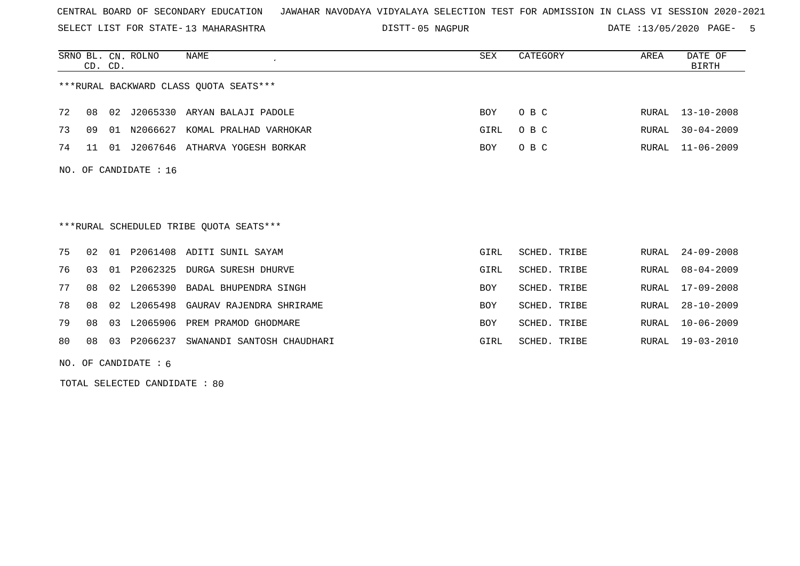SELECT LIST FOR STATE- DISTT- 13 MAHARASHTRA

05 NAGPUR DATE :13/05/2020 PAGE- 5

|    | CD. CD.                                |    | SRNO BL. CN. ROLNO      | NAME                                    | <b>SEX</b> | CATEGORY     | AREA  | DATE OF<br><b>BIRTH</b> |  |  |
|----|----------------------------------------|----|-------------------------|-----------------------------------------|------------|--------------|-------|-------------------------|--|--|
|    | ***RURAL BACKWARD CLASS OUOTA SEATS*** |    |                         |                                         |            |              |       |                         |  |  |
| 72 | 08                                     | 02 |                         | J2065330 ARYAN BALAJI PADOLE            | BOY        | O B C        | RURAL | $13 - 10 - 2008$        |  |  |
| 73 | 09                                     | 01 | N2066627                | KOMAL PRALHAD VARHOKAR                  | GIRL       | O B C        | RURAL | $30 - 04 - 2009$        |  |  |
| 74 | 11                                     | 01 |                         | J2067646 ATHARVA YOGESH BORKAR          | <b>BOY</b> | O B C        | RURAL | $11 - 06 - 2009$        |  |  |
|    |                                        |    | NO. OF CANDIDATE : $16$ |                                         |            |              |       |                         |  |  |
|    |                                        |    |                         |                                         |            |              |       |                         |  |  |
|    |                                        |    |                         |                                         |            |              |       |                         |  |  |
|    |                                        |    |                         | ***RURAL SCHEDULED TRIBE OUOTA SEATS*** |            |              |       |                         |  |  |
| 75 | 02                                     |    |                         | 01 P2061408 ADITI SUNIL SAYAM           | GIRL       | SCHED. TRIBE | RURAL | $24 - 09 - 2008$        |  |  |
| 76 | 03                                     | 01 | P2062325                | DURGA SURESH DHURVE                     | GIRL       | SCHED. TRIBE | RURAL | $08 - 04 - 2009$        |  |  |
| 77 | 08                                     | 02 |                         | L2065390 BADAL BHUPENDRA SINGH          | <b>BOY</b> | SCHED. TRIBE | RURAL | $17 - 09 - 2008$        |  |  |
| 78 | 08                                     | 02 |                         | L2065498 GAURAV RAJENDRA SHRIRAME       | <b>BOY</b> | SCHED. TRIBE | RURAL | $28 - 10 - 2009$        |  |  |
| 79 | 08                                     |    |                         | 03 L2065906 PREM PRAMOD GHODMARE        | <b>BOY</b> | SCHED. TRIBE | RURAL | $10 - 06 - 2009$        |  |  |
| 80 | 08                                     | 03 | P2066237                | SWANANDI SANTOSH CHAUDHARI              | GIRL       | SCHED. TRIBE | RURAL | $19 - 03 - 2010$        |  |  |

NO. OF CANDIDATE : 6

TOTAL SELECTED CANDIDATE : 80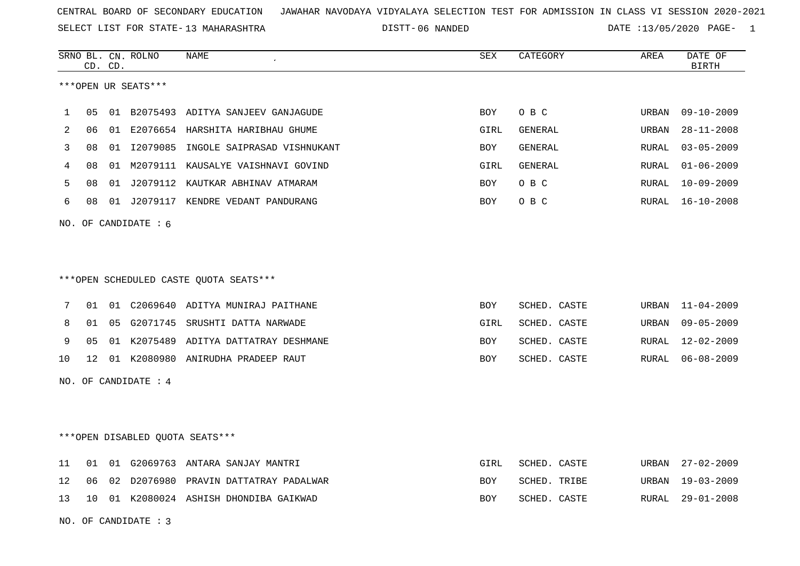SELECT LIST FOR STATE- DISTT- 13 MAHARASHTRA

06 NANDED DATE :13/05/2020 PAGE- 1

|                |                        | CD. CD. | SRNO BL. CN. ROLNO     | <b>NAME</b>                             | <b>SEX</b> | CATEGORY     | AREA         | DATE OF<br>$\operatorname{BIRTH}$ |  |
|----------------|------------------------|---------|------------------------|-----------------------------------------|------------|--------------|--------------|-----------------------------------|--|
|                |                        |         | ***OPEN UR SEATS***    |                                         |            |              |              |                                   |  |
|                |                        |         |                        |                                         |            |              |              |                                   |  |
| 1              | 05                     |         |                        | 01 B2075493 ADITYA SANJEEV GANJAGUDE    | BOY        | O B C        | URBAN        | $09 - 10 - 2009$                  |  |
| $\overline{2}$ | 06                     |         |                        | 01 E2076654 HARSHITA HARIBHAU GHUME     | GIRL       | GENERAL      | URBAN        | $28 - 11 - 2008$                  |  |
| 3              | 08                     |         |                        | 01 I2079085 INGOLE SAIPRASAD VISHNUKANT | BOY        | GENERAL      | <b>RURAL</b> | $03 - 05 - 2009$                  |  |
| 4              | 08                     | 01      |                        | M2079111 KAUSALYE VAISHNAVI GOVIND      | GIRL       | GENERAL      | RURAL        | $01 - 06 - 2009$                  |  |
| 5              | 08                     |         |                        | 01 J2079112 KAUTKAR ABHINAV ATMARAM     | BOY        | O B C        | RURAL        | $10 - 09 - 2009$                  |  |
| 6              | 08                     |         |                        | 01 J2079117 KENDRE VEDANT PANDURANG     | BOY        | O B C        | RURAL        | $16 - 10 - 2008$                  |  |
|                |                        |         | NO. OF CANDIDATE : $6$ |                                         |            |              |              |                                   |  |
|                |                        |         |                        |                                         |            |              |              |                                   |  |
|                |                        |         |                        |                                         |            |              |              |                                   |  |
|                |                        |         |                        | ***OPEN SCHEDULED CASTE OUOTA SEATS***  |            |              |              |                                   |  |
|                |                        |         |                        |                                         |            |              |              |                                   |  |
| 7              | 01                     |         |                        | 01 C2069640 ADITYA MUNIRAJ PAITHANE     | BOY        | SCHED. CASTE | URBAN        | $11 - 04 - 2009$                  |  |
| 8              | 01                     |         |                        | 05 G2071745 SRUSHTI DATTA NARWADE       | GIRL       | SCHED. CASTE | URBAN        | $09 - 05 - 2009$                  |  |
| 9              | 05                     |         |                        | 01 K2075489 ADITYA DATTATRAY DESHMANE   | BOY        | SCHED. CASTE | RURAL        | $12 - 02 - 2009$                  |  |
| 10             | 12 <sup>°</sup>        |         |                        | 01 K2080980 ANIRUDHA PRADEEP RAUT       | BOY        | SCHED. CASTE | RURAL        | $06 - 08 - 2009$                  |  |
|                |                        |         | NO. OF CANDIDATE : 4   |                                         |            |              |              |                                   |  |
|                |                        |         |                        |                                         |            |              |              |                                   |  |
|                |                        |         |                        |                                         |            |              |              |                                   |  |
|                |                        |         |                        | ***OPEN DISABLED QUOTA SEATS***         |            |              |              |                                   |  |
|                |                        |         |                        |                                         |            |              |              |                                   |  |
| 11             | 01                     |         |                        | 01 G2069763 ANTARA SANJAY MANTRI        | GIRL       | SCHED. CASTE | URBAN        | $27 - 02 - 2009$                  |  |
| 12             | 06                     |         |                        | 02 D2076980 PRAVIN DATTATRAY PADALWAR   | <b>BOY</b> | SCHED. TRIBE | URBAN        | $19 - 03 - 2009$                  |  |
| 13             | 10                     |         |                        | 01 K2080024 ASHISH DHONDIBA GAIKWAD     | BOY        | SCHED. CASTE | RURAL        | $29 - 01 - 2008$                  |  |
|                | NO. OF CANDIDATE : $3$ |         |                        |                                         |            |              |              |                                   |  |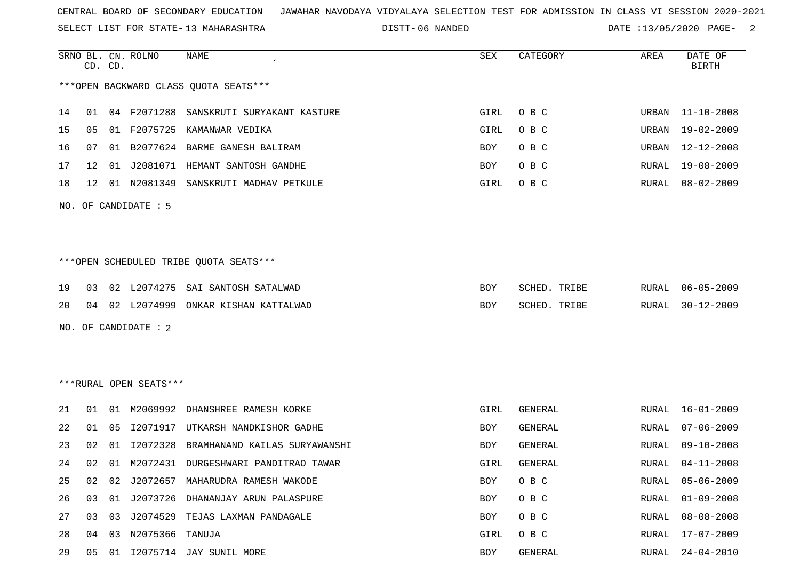SELECT LIST FOR STATE- DISTT- 13 MAHARASHTRA

06 NANDED DATE :13/05/2020 PAGE- 2

|    |                      | CD. CD. | SRNO BL. CN. ROLNO     | <b>NAME</b>                            | <b>SEX</b> | CATEGORY       | AREA  | DATE OF<br><b>BIRTH</b> |  |  |
|----|----------------------|---------|------------------------|----------------------------------------|------------|----------------|-------|-------------------------|--|--|
|    |                      |         |                        | *** OPEN BACKWARD CLASS QUOTA SEATS*** |            |                |       |                         |  |  |
| 14 | 01                   |         | 04 F2071288            | SANSKRUTI SURYAKANT KASTURE            | GIRL       | O B C          | URBAN | $11 - 10 - 2008$        |  |  |
| 15 | 05                   | 01      | F2075725               | KAMANWAR VEDIKA                        | GIRL       | O B C          | URBAN | $19 - 02 - 2009$        |  |  |
| 16 | 07                   | 01      |                        | B2077624 BARME GANESH BALIRAM          | BOY        | O B C          | URBAN | $12 - 12 - 2008$        |  |  |
| 17 | 12                   | 01      | J2081071               | HEMANT SANTOSH GANDHE                  | BOY        | O B C          | RURAL | 19-08-2009              |  |  |
| 18 | 12                   |         | 01 N2081349            | SANSKRUTI MADHAV PETKULE               | GIRL       | O B C          | RURAL | $08 - 02 - 2009$        |  |  |
|    | NO. OF CANDIDATE : 5 |         |                        |                                        |            |                |       |                         |  |  |
|    |                      |         |                        |                                        |            |                |       |                         |  |  |
|    |                      |         |                        | ***OPEN SCHEDULED TRIBE QUOTA SEATS*** |            |                |       |                         |  |  |
| 19 | 03                   |         | 02 L2074275            | SAI SANTOSH SATALWAD                   | BOY        | SCHED. TRIBE   | RURAL | $06 - 05 - 2009$        |  |  |
| 20 | 04                   |         | 02 L2074999            | ONKAR KISHAN KATTALWAD                 | BOY        | SCHED. TRIBE   | RURAL | $30 - 12 - 2009$        |  |  |
|    |                      |         | NO. OF CANDIDATE : 2   |                                        |            |                |       |                         |  |  |
|    |                      |         |                        |                                        |            |                |       |                         |  |  |
|    |                      |         |                        |                                        |            |                |       |                         |  |  |
|    |                      |         | ***RURAL OPEN SEATS*** |                                        |            |                |       |                         |  |  |
| 21 | 01                   | 01      | M2069992               | DHANSHREE RAMESH KORKE                 | GIRL       | <b>GENERAL</b> | RURAL | $16 - 01 - 2009$        |  |  |
| 22 | 01                   | 05      | I2071917               | UTKARSH NANDKISHOR GADHE               | BOY        | GENERAL        | RURAL | $07 - 06 - 2009$        |  |  |
| 23 | 02                   | 01      | I2072328               | BRAMHANAND KAILAS SURYAWANSHI          | BOY        | <b>GENERAL</b> | RURAL | $09 - 10 - 2008$        |  |  |
| 24 | 02                   | 01      |                        | M2072431 DURGESHWARI PANDITRAO TAWAR   | GIRL       | GENERAL        | RURAL | $04 - 11 - 2008$        |  |  |
| 25 | 02                   | 02      |                        | J2072657 MAHARUDRA RAMESH WAKODE       | <b>BOY</b> | O B C          | RURAL | $05 - 06 - 2009$        |  |  |
| 26 | 03                   | 01      | J2073726               | DHANANJAY ARUN PALASPURE               | BOY        | O B C          | RURAL | $01 - 09 - 2008$        |  |  |
| 27 | 03                   | 03      |                        | J2074529 TEJAS LAXMAN PANDAGALE        | BOY        | O B C          | RURAL | $08 - 08 - 2008$        |  |  |
| 28 | 04                   |         | 03 N2075366 TANUJA     |                                        | GIRL       | O B C          | RURAL | $17 - 07 - 2009$        |  |  |
| 29 | 05                   |         |                        | 01 I2075714 JAY SUNIL MORE             | <b>BOY</b> | GENERAL        | RURAL | $24 - 04 - 2010$        |  |  |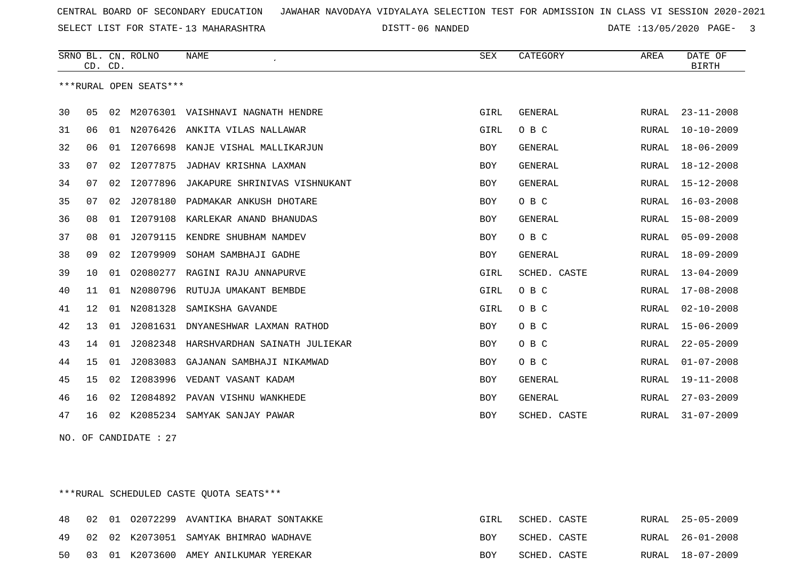SELECT LIST FOR STATE- DISTT- 13 MAHARASHTRA

06 NANDED DATE :13/05/2020 PAGE- 3

|    |                        | CD. CD. | SRNO BL. CN. ROLNO | <b>NAME</b>                       | <b>SEX</b> | CATEGORY       | AREA  | DATE OF<br><b>BIRTH</b> |  |  |
|----|------------------------|---------|--------------------|-----------------------------------|------------|----------------|-------|-------------------------|--|--|
|    | ***RURAL OPEN SEATS*** |         |                    |                                   |            |                |       |                         |  |  |
| 30 | 05                     | 02      | M2076301           | VAISHNAVI NAGNATH HENDRE          | GIRL       | <b>GENERAL</b> | RURAL | $23 - 11 - 2008$        |  |  |
| 31 | 06                     | 01      | N2076426           | ANKITA VILAS NALLAWAR             | GIRL       | O B C          | RURAL | $10 - 10 - 2009$        |  |  |
| 32 | 06                     | 01      |                    | I2076698 KANJE VISHAL MALLIKARJUN | <b>BOY</b> | <b>GENERAL</b> | RURAL | $18 - 06 - 2009$        |  |  |
| 33 | 07                     | 02      | I2077875           | JADHAV KRISHNA LAXMAN             | <b>BOY</b> | <b>GENERAL</b> | RURAL | $18 - 12 - 2008$        |  |  |
| 34 | 07                     | 02      | I2077896           | JAKAPURE SHRINIVAS VISHNUKANT     | <b>BOY</b> | <b>GENERAL</b> | RURAL | $15 - 12 - 2008$        |  |  |
| 35 | 07                     | 02      | J2078180           | PADMAKAR ANKUSH DHOTARE           | <b>BOY</b> | O B C          | RURAL | $16 - 03 - 2008$        |  |  |
| 36 | 08                     | 01      |                    | I2079108 KARLEKAR ANAND BHANUDAS  | <b>BOY</b> | <b>GENERAL</b> | RURAL | $15 - 08 - 2009$        |  |  |
| 37 | 08                     | 01      | J2079115           | KENDRE SHUBHAM NAMDEV             | <b>BOY</b> | O B C          | RURAL | $05 - 09 - 2008$        |  |  |
| 38 | 09                     | 02      | I2079909           | SOHAM SAMBHAJI GADHE              | <b>BOY</b> | <b>GENERAL</b> | RURAL | $18 - 09 - 2009$        |  |  |
| 39 | 10                     | 01      | 02080277           | RAGINI RAJU ANNAPURVE             | GIRL       | SCHED. CASTE   | RURAL | $13 - 04 - 2009$        |  |  |
| 40 | 11                     | 01      | N2080796           | RUTUJA UMAKANT BEMBDE             | GIRL       | O B C          | RURAL | $17 - 08 - 2008$        |  |  |
| 41 | 12                     | 01      | N2081328           | SAMIKSHA GAVANDE                  | GIRL       | O B C          | RURAL | $02 - 10 - 2008$        |  |  |
| 42 | 13                     | 01      | J2081631           | DNYANESHWAR LAXMAN RATHOD         | <b>BOY</b> | O B C          | RURAL | $15 - 06 - 2009$        |  |  |
| 43 | 14                     | 01      | J2082348           | HARSHVARDHAN SAINATH JULIEKAR     | <b>BOY</b> | O B C          | RURAL | $22 - 05 - 2009$        |  |  |
| 44 | 15                     | 01      | J2083083           | GAJANAN SAMBHAJI NIKAMWAD         | <b>BOY</b> | O B C          | RURAL | $01 - 07 - 2008$        |  |  |
| 45 | 15                     | 02      | I2083996           | VEDANT VASANT KADAM               | <b>BOY</b> | <b>GENERAL</b> | RURAL | $19 - 11 - 2008$        |  |  |
| 46 | 16                     | 02      | I2084892           | PAVAN VISHNU WANKHEDE             | <b>BOY</b> | <b>GENERAL</b> | RURAL | $27 - 03 - 2009$        |  |  |
| 47 | 16                     | 02      | K2085234           | SAMYAK SANJAY PAWAR               | <b>BOY</b> | SCHED. CASTE   | RURAL | $31 - 07 - 2009$        |  |  |

NO. OF CANDIDATE : 27

\*\*\*RURAL SCHEDULED CASTE QUOTA SEATS\*\*\*

| 48 |  | 02 01 02072299 AVANTIKA BHARAT SONTAKKE | GIRL       | SCHED. CASTE |  | RURAL 25-05-2009 |
|----|--|-----------------------------------------|------------|--------------|--|------------------|
| 49 |  | 02 02 K2073051 SAMYAK BHIMRAO WADHAVE   | <b>BOY</b> | SCHED. CASTE |  | RURAL 26-01-2008 |
| 50 |  | 03 01 K2073600 AMEY ANILKUMAR YEREKAR   | <b>BOY</b> | SCHED. CASTE |  | RURAL 18-07-2009 |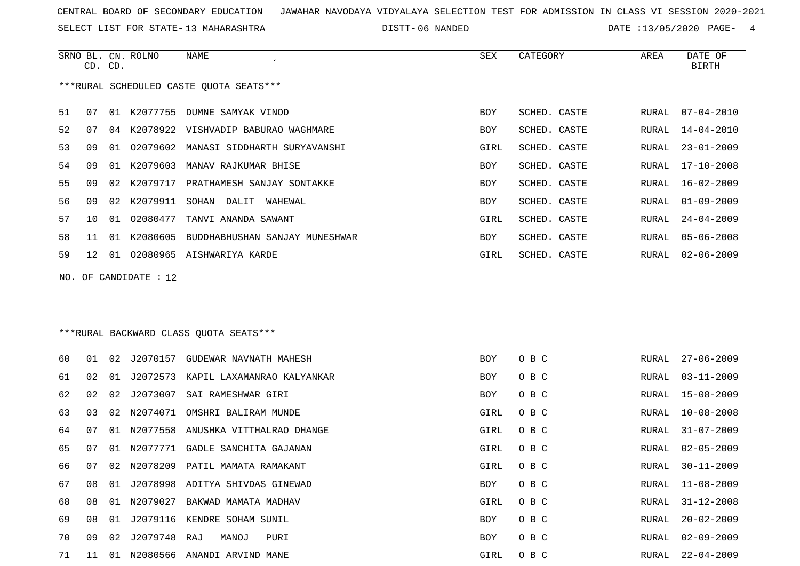SELECT LIST FOR STATE- DISTT- 13 MAHARASHTRA

SRNO BL. CN.

ROLNO NAME SEX CATEGORY AREA DATE OF

06 NANDED DATE :13/05/2020 PAGE- 4

|    | CD. CD. |    |                       |                                         |      |              |       | BIRTH            |
|----|---------|----|-----------------------|-----------------------------------------|------|--------------|-------|------------------|
|    |         |    |                       | ***RURAL SCHEDULED CASTE QUOTA SEATS*** |      |              |       |                  |
| 51 | 07      |    |                       | 01 K2077755 DUMNE SAMYAK VINOD          | BOY  | SCHED. CASTE | RURAL | 07-04-2010       |
| 52 | 07      | 04 |                       | K2078922 VISHVADIP BABURAO WAGHMARE     | BOY  | SCHED. CASTE | RURAL | 14-04-2010       |
| 53 | 09      | 01 | 02079602              | MANASI SIDDHARTH SURYAVANSHI            | GIRL | SCHED. CASTE | RURAL | $23 - 01 - 2009$ |
| 54 | 09      | 01 | K2079603              | MANAV RAJKUMAR BHISE                    | BOY  | SCHED. CASTE | RURAL | $17 - 10 - 2008$ |
| 55 | 09      | 02 |                       | K2079717 PRATHAMESH SANJAY SONTAKKE     | BOY  | SCHED. CASTE | RURAL | $16 - 02 - 2009$ |
| 56 | 09      | 02 | K2079911              | SOHAN DALIT<br>WAHEWAL                  | BOY  | SCHED. CASTE | RURAL | $01 - 09 - 2009$ |
| 57 | 10      | 01 |                       | 02080477 TANVI ANANDA SAWANT            | GIRL | SCHED. CASTE | RURAL | $24 - 04 - 2009$ |
| 58 | 11      | 01 | K2080605              | BUDDHABHUSHAN SANJAY MUNESHWAR          | BOY  | SCHED. CASTE | RURAL | $05 - 06 - 2008$ |
| 59 | 12      |    |                       | 01 02080965 AISHWARIYA KARDE            | GIRL | SCHED. CASTE | RURAL | $02 - 06 - 2009$ |
|    |         |    | NO. OF CANDIDATE : 12 |                                         |      |              |       |                  |
|    |         |    |                       |                                         |      |              |       |                  |
|    |         |    |                       | ***RURAL BACKWARD CLASS QUOTA SEATS***  |      |              |       |                  |
| 60 | 01      | 02 |                       | J2070157 GUDEWAR NAVNATH MAHESH         | BOY  | O B C        | RURAL | $27 - 06 - 2009$ |
| 61 | 02      | 01 |                       | J2072573 KAPIL LAXAMANRAO KALYANKAR     | BOY  | O B C        | RURAL | $03 - 11 - 2009$ |
| 62 | 02      | 02 | J2073007              | SAI RAMESHWAR GIRI                      | BOY  | O B C        | RURAL | $15 - 08 - 2009$ |
| 63 | 03      | 02 | N2074071              | OMSHRI BALIRAM MUNDE                    | GIRL | O B C        | RURAL | $10 - 08 - 2008$ |
| 64 | 07      | 01 | N2077558              | ANUSHKA VITTHALRAO DHANGE               | GIRL | O B C        | RURAL | $31 - 07 - 2009$ |
| 65 | 07      | 01 |                       | N2077771 GADLE SANCHITA GAJANAN         | GIRL | O B C        | RURAL | $02 - 05 - 2009$ |
| 66 | 07      | 02 | N2078209              | PATIL MAMATA RAMAKANT                   | GIRL | O B C        | RURAL | $30 - 11 - 2009$ |
| 67 | 08      | 01 |                       | J2078998 ADITYA SHIVDAS GINEWAD         | BOY  | O B C        | RURAL | $11 - 08 - 2009$ |
| 68 | 08      |    |                       | 01 N2079027 BAKWAD MAMATA MADHAV        | GIRL | O B C        |       | RURAL 31-12-2008 |
| 69 | 08      |    |                       | 01 J2079116 KENDRE SOHAM SUNIL          | BOY  | O B C        | RURAL | $20 - 02 - 2009$ |
| 70 | 09      |    | 02 J2079748 RAJ       | MANOJ<br>PURI                           | BOY  | O B C        | RURAL | $02 - 09 - 2009$ |
| 71 | 11      |    |                       | 01 N2080566 ANANDI ARVIND MANE          | GIRL | O B C        | RURAL | $22 - 04 - 2009$ |
|    |         |    |                       |                                         |      |              |       |                  |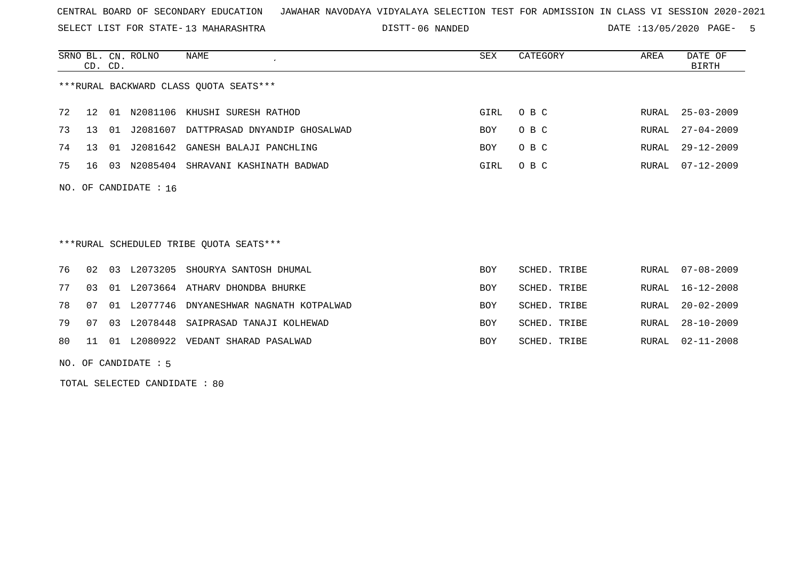SELECT LIST FOR STATE- DISTT- 13 MAHARASHTRA

06 NANDED DATE :13/05/2020 PAGE- 5

|     | CD. CD. |    | SRNO BL. CN. ROLNO | NAME                                      | SEX        | CATEGORY     | AREA    | DATE OF<br><b>BIRTH</b> |
|-----|---------|----|--------------------|-------------------------------------------|------------|--------------|---------|-------------------------|
|     |         |    |                    | ***RURAL BACKWARD CLASS OUOTA SEATS***    |            |              |         |                         |
| 72  | 12      | 01 | N2081106           | KHUSHI SURESH RATHOD                      | GIRL       | O B C        | RURAL   | $25 - 03 - 2009$        |
| 73  | 13      | 01 | J2081607           | DATTPRASAD DNYANDIP GHOSALWAD             | BOY        | O B C        | RURAL   | $27 - 04 - 2009$        |
| 74  | 13      |    |                    | 01 J2081642 GANESH BALAJI PANCHLING       | BOY        | O B C        | RURAL   | $29 - 12 - 2009$        |
| 75  | 16      | 03 |                    | N2085404 SHRAVANI KASHINATH BADWAD        | GIRL       | O B C        | RURAL   | $07 - 12 - 2009$        |
| NO. |         |    | OF CANDIDATE : 16  |                                           |            |              |         |                         |
|     |         |    |                    | ***RURAL SCHEDULED TRIBE QUOTA SEATS***   |            |              |         |                         |
| 76  | 02      | 03 | L2073205           | SHOURYA SANTOSH DHUMAL                    | <b>BOY</b> | SCHED. TRIBE | RURAL   | $07 - 08 - 2009$        |
| 77  | 03      | 01 |                    | L2073664 ATHARV DHONDBA BHURKE            | BOY        | SCHED. TRIBE | RURAL   | $16 - 12 - 2008$        |
| 78  | 07      |    |                    | 01 L2077746 DNYANESHWAR NAGNATH KOTPALWAD | BOY        | SCHED. TRIBE | RURAL   | $20 - 02 - 2009$        |
| 79  | 07      |    |                    | 03 L2078448 SAIPRASAD TANAJI KOLHEWAD     | BOY        | SCHED. TRIBE | RURAL   | $28 - 10 - 2009$        |
| 80  | 11      |    |                    | 01 L2080922 VEDANT SHARAD PASALWAD        | <b>BOY</b> | SCHED, TRIBE | RIJRAL, | $02 - 11 - 2008$        |

NO. OF CANDIDATE : 5

TOTAL SELECTED CANDIDATE : 80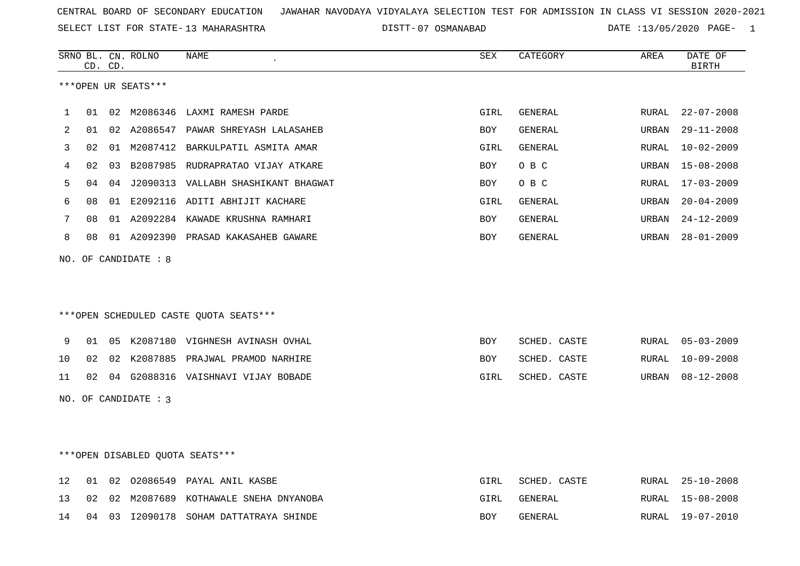SELECT LIST FOR STATE- DISTT- 13 MAHARASHTRA

07 OSMANABAD DATE :13/05/2020 PAGE- 1

|    |    | CD. CD. | SRNO BL. CN. ROLNO     | <b>NAME</b>                            | SEX        | CATEGORY       | AREA         | DATE OF<br><b>BIRTH</b> |
|----|----|---------|------------------------|----------------------------------------|------------|----------------|--------------|-------------------------|
|    |    |         | ***OPEN UR SEATS***    |                                        |            |                |              |                         |
| 1  | 01 |         |                        | 02 M2086346 LAXMI RAMESH PARDE         | GIRL       | GENERAL        | RURAL        | $22 - 07 - 2008$        |
| 2  | 01 |         |                        | 02 A2086547 PAWAR SHREYASH LALASAHEB   | <b>BOY</b> | GENERAL        | URBAN        | $29 - 11 - 2008$        |
| 3  | 02 |         |                        | 01 M2087412 BARKULPATIL ASMITA AMAR    | GIRL       | <b>GENERAL</b> | <b>RURAL</b> | $10 - 02 - 2009$        |
| 4  | 02 |         |                        | 03 B2087985 RUDRAPRATAO VIJAY ATKARE   | <b>BOY</b> | O B C          | URBAN        | $15 - 08 - 2008$        |
| 5  | 04 |         |                        | 04 J2090313 VALLABH SHASHIKANT BHAGWAT | <b>BOY</b> | O B C          | RURAL        | $17 - 03 - 2009$        |
| 6  | 08 |         |                        | 01 E2092116 ADITI ABHIJIT KACHARE      | GIRL       | <b>GENERAL</b> | URBAN        | $20 - 04 - 2009$        |
| 7  | 08 |         |                        | 01 A2092284 KAWADE KRUSHNA RAMHARI     | BOY        | GENERAL        | URBAN        | $24 - 12 - 2009$        |
| 8  | 08 |         |                        | 01 A2092390 PRASAD KAKASAHEB GAWARE    | BOY        | GENERAL        | URBAN        | $28 - 01 - 2009$        |
|    |    |         | NO. OF CANDIDATE : 8   | ***OPEN SCHEDULED CASTE QUOTA SEATS*** |            |                |              |                         |
| 9  | 01 |         |                        | 05 K2087180 VIGHNESH AVINASH OVHAL     | <b>BOY</b> | SCHED. CASTE   | RURAL        | $05 - 03 - 2009$        |
| 10 | 02 |         |                        | 02 K2087885 PRAJWAL PRAMOD NARHIRE     | <b>BOY</b> | SCHED. CASTE   | RURAL        | $10 - 09 - 2008$        |
| 11 | 02 |         |                        | 04 G2088316 VAISHNAVI VIJAY BOBADE     | GIRL       | SCHED. CASTE   | URBAN        | $08 - 12 - 2008$        |
|    |    |         | NO. OF CANDIDATE : $3$ |                                        |            |                |              |                         |
|    |    |         |                        | ***OPEN DISABLED OUOTA SEATS***        |            |                |              |                         |
| 12 | 01 | 02      |                        | 02086549 PAYAL ANIL KASBE              | GIRL       | SCHED. CASTE   | RURAL        | $25 - 10 - 2008$        |
| 13 | 02 |         |                        | 02 M2087689 KOTHAWALE SNEHA DNYANOBA   | GIRL       | GENERAL        | RURAL        | $15 - 08 - 2008$        |

| 14 |  | 04 03 12090178 . | SOHAM DATTATRAYA SHINDE | R∩Y | GENERAL | <b>RURAL</b> | $19 - 07 - 2010$ |
|----|--|------------------|-------------------------|-----|---------|--------------|------------------|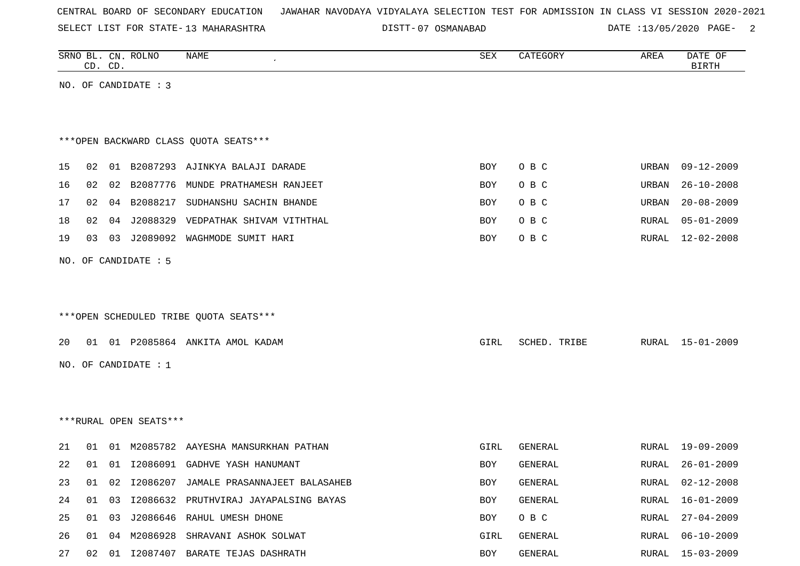SELECT LIST FOR STATE- DISTT- 13 MAHARASHTRA

07 OSMANABAD DATE :13/05/2020 PAGE- 2

|    |                                        | CD. CD. | SRNO BL. CN. ROLNO     | NAME                                   | SEX        | CATEGORY     | AREA  | DATE OF<br><b>BIRTH</b> |  |  |
|----|----------------------------------------|---------|------------------------|----------------------------------------|------------|--------------|-------|-------------------------|--|--|
|    |                                        |         | NO. OF CANDIDATE : 3   |                                        |            |              |       |                         |  |  |
|    |                                        |         |                        |                                        |            |              |       |                         |  |  |
|    |                                        |         |                        |                                        |            |              |       |                         |  |  |
|    | *** OPEN BACKWARD CLASS QUOTA SEATS*** |         |                        |                                        |            |              |       |                         |  |  |
| 15 | 02                                     | 01      |                        | B2087293 AJINKYA BALAJI DARADE         | BOY        | O B C        | URBAN | $09 - 12 - 2009$        |  |  |
| 16 | 02                                     | 02      | B2087776               | MUNDE PRATHAMESH RANJEET               | BOY        | O B C        | URBAN | $26 - 10 - 2008$        |  |  |
| 17 | 02                                     |         | 04 B2088217            | SUDHANSHU SACHIN BHANDE                | BOY        | O B C        | URBAN | $20 - 08 - 2009$        |  |  |
| 18 | 02                                     | 04      | J2088329               | VEDPATHAK SHIVAM VITHTHAL              | BOY        | O B C        | RURAL | $05 - 01 - 2009$        |  |  |
| 19 | 03                                     |         | 03 J2089092            | WAGHMODE SUMIT HARI                    | <b>BOY</b> | O B C        | RURAL | $12 - 02 - 2008$        |  |  |
|    |                                        |         | NO. OF CANDIDATE : 5   |                                        |            |              |       |                         |  |  |
|    |                                        |         |                        |                                        |            |              |       |                         |  |  |
|    |                                        |         |                        |                                        |            |              |       |                         |  |  |
|    |                                        |         |                        | ***OPEN SCHEDULED TRIBE QUOTA SEATS*** |            |              |       |                         |  |  |
|    |                                        |         |                        |                                        |            |              |       |                         |  |  |
| 20 |                                        |         |                        | 01 01 P2085864 ANKITA AMOL KADAM       | GIRL       | SCHED. TRIBE | RURAL | 15-01-2009              |  |  |
|    |                                        |         | NO. OF CANDIDATE : 1   |                                        |            |              |       |                         |  |  |
|    |                                        |         |                        |                                        |            |              |       |                         |  |  |
|    |                                        |         |                        |                                        |            |              |       |                         |  |  |
|    |                                        |         | ***RURAL OPEN SEATS*** |                                        |            |              |       |                         |  |  |
| 21 | 01                                     | 01      | M2085782               | AAYESHA MANSURKHAN PATHAN              | GIRL       | GENERAL      | RURAL | $19 - 09 - 2009$        |  |  |
| 22 | 01                                     |         |                        | 01 I2086091 GADHVE YASH HANUMANT       | BOY        | GENERAL      | RURAL | $26 - 01 - 2009$        |  |  |
| 23 | 01                                     | 02      |                        | 12086207 JAMALE PRASANNAJEET BALASAHEB | <b>BOY</b> | GENERAL      | RURAL | $02 - 12 - 2008$        |  |  |
| 24 | 01                                     | 03      |                        | I2086632 PRUTHVIRAJ JAYAPALSING BAYAS  | BOY        | GENERAL      | RURAL | $16 - 01 - 2009$        |  |  |
| 25 | 01                                     | 03      |                        | J2086646 RAHUL UMESH DHONE             | BOY        | O B C        | RURAL | $27 - 04 - 2009$        |  |  |
| 26 | 01                                     | 04      | M2086928               | SHRAVANI ASHOK SOLWAT                  | GIRL       | GENERAL      | RURAL | $06 - 10 - 2009$        |  |  |
| 27 | 02                                     |         |                        | 01 I2087407 BARATE TEJAS DASHRATH      | BOY        | GENERAL      | RURAL | 15-03-2009              |  |  |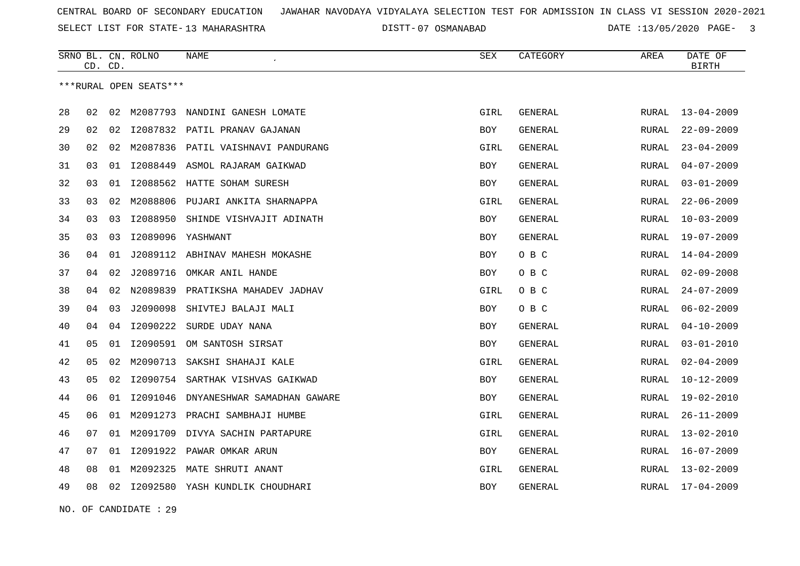SELECT LIST FOR STATE- DISTT- 13 MAHARASHTRA

07 OSMANABAD DATE :13/05/2020 PAGE- 3

|    | CD. CD. |    | SRNO BL. CN. ROLNO     | NAME                               | <b>SEX</b> | CATEGORY       | AREA  | DATE OF<br><b>BIRTH</b> |
|----|---------|----|------------------------|------------------------------------|------------|----------------|-------|-------------------------|
|    |         |    | ***RURAL OPEN SEATS*** |                                    |            |                |       |                         |
| 28 | 02      | 02 | M2087793               | NANDINI GANESH LOMATE              | GIRL       | GENERAL        | RURAL | $13 - 04 - 2009$        |
| 29 | 02      | 02 |                        | 12087832 PATIL PRANAV GAJANAN      | BOY        | GENERAL        | RURAL | $22 - 09 - 2009$        |
| 30 | 02      | 02 |                        | M2087836 PATIL VAISHNAVI PANDURANG | GIRL       | GENERAL        | RURAL | $23 - 04 - 2009$        |
| 31 | 03      | 01 | I2088449               | ASMOL RAJARAM GAIKWAD              | <b>BOY</b> | <b>GENERAL</b> | RURAL | $04 - 07 - 2009$        |
| 32 | 03      | 01 |                        | I2088562 HATTE SOHAM SURESH        | BOY        | GENERAL        | RURAL | $03 - 01 - 2009$        |
| 33 | 03      | 02 |                        | M2088806 PUJARI ANKITA SHARNAPPA   | GIRL       | GENERAL        | RURAL | $22 - 06 - 2009$        |
| 34 | 03      | 03 | I2088950               | SHINDE VISHVAJIT ADINATH           | <b>BOY</b> | <b>GENERAL</b> | RURAL | $10 - 03 - 2009$        |
| 35 | 03      | 03 |                        | I2089096 YASHWANT                  | BOY        | GENERAL        | RURAL | 19-07-2009              |
| 36 | 04      | 01 | J2089112               | ABHINAV MAHESH MOKASHE             | BOY        | O B C          | RURAL | 14-04-2009              |
| 37 | 04      | 02 | J2089716               | OMKAR ANIL HANDE                   | <b>BOY</b> | O B C          | RURAL | $02 - 09 - 2008$        |
| 38 | 04      | 02 | N2089839               | PRATIKSHA MAHADEV JADHAV           | GIRL       | O B C          | RURAL | $24 - 07 - 2009$        |
| 39 | 04      | 03 | J2090098               | SHIVTEJ BALAJI MALI                | BOY        | O B C          | RURAL | $06 - 02 - 2009$        |
| 40 | 04      | 04 | I2090222               | SURDE UDAY NANA                    | BOY        | GENERAL        | RURAL | $04 - 10 - 2009$        |
| 41 | 05      | 01 | I2090591               | OM SANTOSH SIRSAT                  | BOY        | <b>GENERAL</b> | RURAL | $03 - 01 - 2010$        |
| 42 | 05      | 02 | M2090713               | SAKSHI SHAHAJI KALE                | GIRL       | GENERAL        | RURAL | $02 - 04 - 2009$        |
| 43 | 05      | 02 |                        | 12090754 SARTHAK VISHVAS GAIKWAD   | <b>BOY</b> | <b>GENERAL</b> | RURAL | $10 - 12 - 2009$        |
| 44 | 06      | 01 | I2091046               | DNYANESHWAR SAMADHAN GAWARE        | BOY        | <b>GENERAL</b> | RURAL | $19 - 02 - 2010$        |
| 45 | 06      | 01 | M2091273               | PRACHI SAMBHAJI HUMBE              | GIRL       | GENERAL        | RURAL | $26 - 11 - 2009$        |
| 46 | 07      | 01 | M2091709               | DIVYA SACHIN PARTAPURE             | GIRL       | GENERAL        | RURAL | $13 - 02 - 2010$        |
| 47 | 07      | 01 |                        | 12091922 PAWAR OMKAR ARUN          | <b>BOY</b> | <b>GENERAL</b> | RURAL | $16 - 07 - 2009$        |
| 48 | 08      | 01 | M2092325               | MATE SHRUTI ANANT                  | GIRL       | GENERAL        | RURAL | $13 - 02 - 2009$        |
| 49 | 08      | 02 | I2092580               | YASH KUNDLIK CHOUDHARI             | <b>BOY</b> | GENERAL        | RURAL | 17-04-2009              |

NO. OF CANDIDATE : 29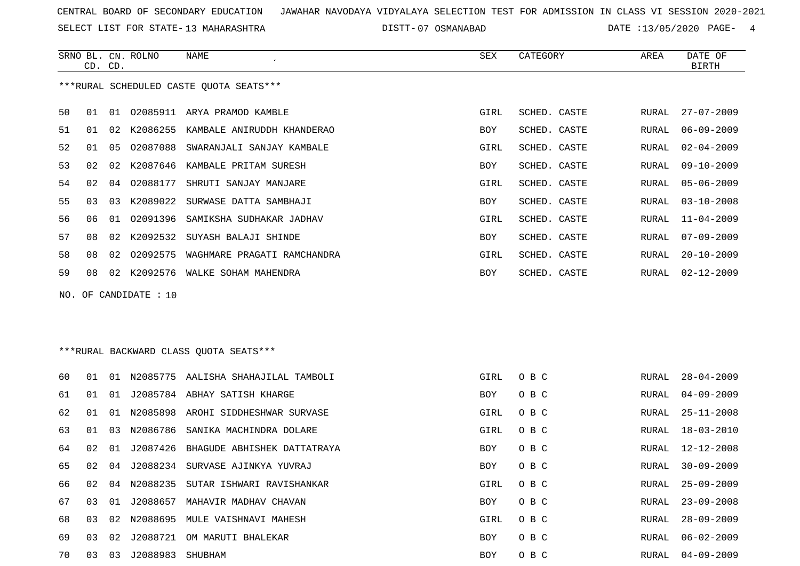SELECT LIST FOR STATE- DISTT- 13 MAHARASHTRA

07 OSMANABAD DATE :13/05/2020 PAGE- 4

|    | CD. CD.                                 |     | SRNO BL. CN. ROLNO | NAME<br>$\cdot$             | SEX        | CATEGORY     | AREA  | DATE OF<br><b>BIRTH</b> |
|----|-----------------------------------------|-----|--------------------|-----------------------------|------------|--------------|-------|-------------------------|
|    | ***RURAL SCHEDULED CASTE OUOTA SEATS*** |     |                    |                             |            |              |       |                         |
| 50 | 01                                      | O 1 | 02085911           | ARYA PRAMOD KAMBLE          | GIRL       | SCHED. CASTE | RURAL | $27 - 07 - 2009$        |
| 51 | 01                                      | 02  | K2086255           | KAMBALE ANIRUDDH KHANDERAO  | <b>BOY</b> | SCHED. CASTE | RURAL | $06 - 09 - 2009$        |
| 52 | 01                                      | 05  | 02087088           | SWARANJALI SANJAY KAMBALE   | GIRL       | SCHED. CASTE | RURAL | $02 - 04 - 2009$        |
| 53 | 02                                      | 02  | K2087646           | KAMBALE PRITAM SURESH       | <b>BOY</b> | SCHED. CASTE | RURAL | $09 - 10 - 2009$        |
| 54 | 02                                      | 04  | 02088177           | SHRUTI SANJAY MANJARE       | GIRL       | SCHED. CASTE | RURAL | $05 - 06 - 2009$        |
| 55 | 03                                      | 03  | K2089022           | SURWASE DATTA SAMBHAJI      | <b>BOY</b> | SCHED. CASTE | RURAL | $03 - 10 - 2008$        |
| 56 | 06                                      | 01  | 02091396           | SAMIKSHA SUDHAKAR JADHAV    | GIRL       | SCHED. CASTE | RURAL | $11 - 04 - 2009$        |
| 57 | 08                                      | 02  | K2092532           | SUYASH BALAJI SHINDE        | BOY        | SCHED. CASTE | RURAL | $07 - 09 - 2009$        |
| 58 | 08                                      | 02  | 02092575           | WAGHMARE PRAGATI RAMCHANDRA | GIRL       | SCHED. CASTE | RURAL | $20 - 10 - 2009$        |
| 59 | 08                                      | 02  | K2092576           | WALKE SOHAM MAHENDRA        | <b>BOY</b> | SCHED. CASTE | RURAL | $02 - 12 - 2009$        |

NO. OF CANDIDATE : 10

# \*\*\*RURAL BACKWARD CLASS QUOTA SEATS\*\*\*

| 60 | . በ 1 | . N 1 | N2085775    | AALISHA SHAHAJILAL TAMBOLI            | GIRL       | O B C | RURAL | $28 - 04 - 2009$ |
|----|-------|-------|-------------|---------------------------------------|------------|-------|-------|------------------|
| 61 | O 1   | 01    |             | J2085784 ABHAY SATISH KHARGE          | <b>BOY</b> | O B C | RURAL | 04-09-2009       |
| 62 | O 1   | O 1   |             | N2085898 AROHI SIDDHESHWAR SURVASE    | GIRL       | O B C | RURAL | $25 - 11 - 2008$ |
| 63 | 01    | 03    |             | N2086786 SANIKA MACHINDRA DOLARE      | GIRL       | O B C | RURAL | 18-03-2010       |
| 64 | O 2.  | O 1   |             | J2087426 BHAGUDE ABHISHEK DATTATRAYA  | BOY        | O B C | RURAL | $12 - 12 - 2008$ |
| 65 | 02    | 04    |             | J2088234 SURVASE AJINKYA YUVRAJ       | <b>BOY</b> | O B C | RURAL | $30 - 09 - 2009$ |
| 66 | O 2.  |       |             | 04 N2088235 SUTAR ISHWARI RAVISHANKAR | GIRL       | O B C | RURAL | 25-09-2009       |
| 67 | 03    |       | 01 J2088657 | MAHAVIR MADHAV CHAVAN                 | BOY        | O B C | RURAL | $23 - 09 - 2008$ |
| 68 | 03    |       |             | 02 N2088695 MULE VAISHNAVI MAHESH     | GIRL       | O B C | RURAL | $28 - 09 - 2009$ |
| 69 | 03    | 02    | J2088721    | OM MARUTI BHALEKAR                    | <b>BOY</b> | O B C | RURAL | 06-02-2009       |
| 70 | 03    | 03    | J2088983    | SHUBHAM                               | <b>BOY</b> | O B C | RURAL | $04 - 09 - 2009$ |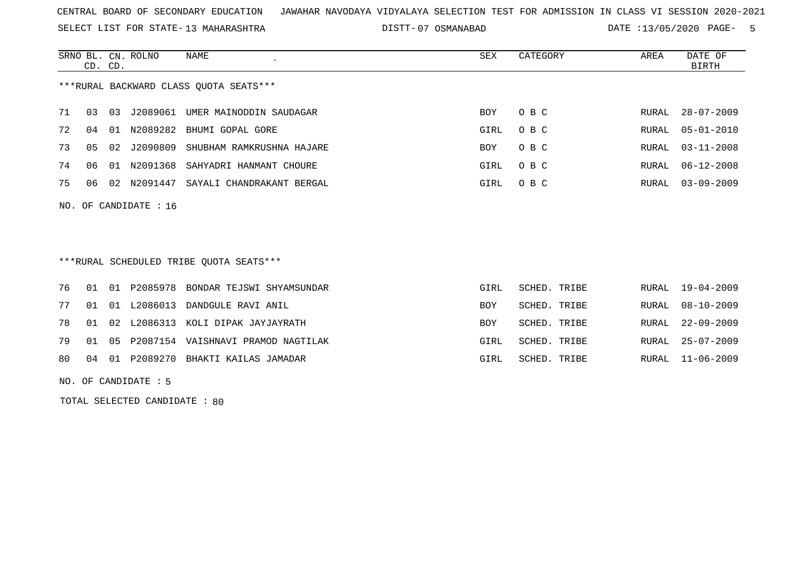SELECT LIST FOR STATE- DISTT- 13 MAHARASHTRA

07 OSMANABAD DATE :13/05/2020 PAGE- 5

|                                        | CD. CD. |       | SRNO BL. CN. ROLNO | NAME                      | SEX        | CATEGORY | AREA  | DATE OF<br>BIRTH |
|----------------------------------------|---------|-------|--------------------|---------------------------|------------|----------|-------|------------------|
| ***RURAL BACKWARD CLASS QUOTA SEATS*** |         |       |                    |                           |            |          |       |                  |
| 71                                     | 03      | 03    | J2089061           | UMER MAINODDIN SAUDAGAR   | BOY        | O B C    | RURAL | $28 - 07 - 2009$ |
| 72                                     | 04      | . O 1 | N2089282           | BHUMI GOPAL GORE          | GIRL       | O B C    | RURAL | $05 - 01 - 2010$ |
| 73                                     | 05      | 02    | 12090809           | SHUBHAM RAMKRUSHNA HAJARE | <b>BOY</b> | O B C    | RURAL | $03 - 11 - 2008$ |
| 74                                     | 06      | O 1   | N2091368           | SAHYADRI HANMANT CHOURE   | GIRL       | O B C    | RURAL | $06 - 12 - 2008$ |
| 75                                     | 06      | O 2.  | N2091447           | SAYALI CHANDRAKANT BERGAL | GIRL       | O B C    | RURAL | $03 - 09 - 2009$ |
|                                        |         |       |                    |                           |            |          |       |                  |

NO. OF CANDIDATE : 16

\*\*\*RURAL SCHEDULED TRIBE QUOTA SEATS\*\*\*

|  | GIRL                                                                                                                                                                                                                     |                                                                              | RURAL 19-04-2009 |
|--|--------------------------------------------------------------------------------------------------------------------------------------------------------------------------------------------------------------------------|------------------------------------------------------------------------------|------------------|
|  | BOY                                                                                                                                                                                                                      |                                                                              | RURAL 08-10-2009 |
|  | <b>BOY</b>                                                                                                                                                                                                               |                                                                              | RURAL 22-09-2009 |
|  | GTRI.                                                                                                                                                                                                                    |                                                                              | RURAL 25-07-2009 |
|  | GIRL                                                                                                                                                                                                                     |                                                                              | RURAL 11-06-2009 |
|  | 76 01 01 P2085978 BONDAR TEJSWI SHYAMSUNDAR<br>77 01 01 L2086013 DANDGULE RAVI ANIL<br>78 01 02 L2086313 KOLI DIPAK JAYJAYRATH<br>79 01 05 P2087154 VAISHNAVI PRAMOD NAGTILAK<br>80 04 01 P2089270 BHAKTI KAILAS JAMADAR | SCHED. TRIBE<br>SCHED. TRIBE<br>SCHED. TRIBE<br>SCHED. TRIBE<br>SCHED. TRIBE |                  |

NO. OF CANDIDATE : 5

TOTAL SELECTED CANDIDATE : 80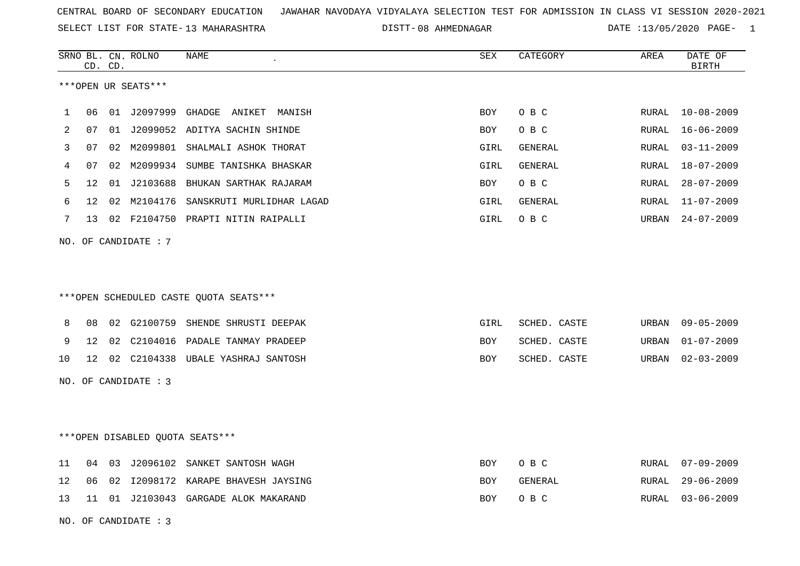SELECT LIST FOR STATE- DISTT- 13 MAHARASHTRA

DISTT-08 AHMEDNAGAR DATE :13/05/2020 PAGE- 1

|    |                 | CD. CD. | SRNO BL. CN. ROLNO   | NAME                                   | SEX        | CATEGORY       | AREA  | DATE OF<br><b>BIRTH</b> |
|----|-----------------|---------|----------------------|----------------------------------------|------------|----------------|-------|-------------------------|
|    |                 |         | ***OPEN UR SEATS***  |                                        |            |                |       |                         |
| 1  | 06              |         | 01 J2097999          | GHADGE ANIKET MANISH                   | <b>BOY</b> | O B C          | RURAL | $10 - 08 - 2009$        |
| 2  | 07              | 01      |                      | J2099052 ADITYA SACHIN SHINDE          | <b>BOY</b> | O B C          | RURAL | $16 - 06 - 2009$        |
| 3  | 07              | 02      |                      | M2099801 SHALMALI ASHOK THORAT         | GIRL       | GENERAL        | RURAL | $03 - 11 - 2009$        |
| 4  | 07              | 02      | M2099934             | SUMBE TANISHKA BHASKAR                 | GIRL       | <b>GENERAL</b> | RURAL | $18 - 07 - 2009$        |
| 5  | 12              | 01      |                      | J2103688 BHUKAN SARTHAK RAJARAM        | BOY        | O B C          | RURAL | $28 - 07 - 2009$        |
| 6  | 12              | 02      | M2104176             | SANSKRUTI MURLIDHAR LAGAD              | GIRL       | GENERAL        | RURAL | $11 - 07 - 2009$        |
| 7  |                 |         |                      | 13 02 F2104750 PRAPTI NITIN RAIPALLI   | GIRL       | O B C          | URBAN | 24-07-2009              |
|    |                 |         | NO. OF CANDIDATE : 7 |                                        |            |                |       |                         |
|    |                 |         |                      | ***OPEN SCHEDULED CASTE QUOTA SEATS*** |            |                |       |                         |
| 8  | 08              | 02      |                      | G2100759 SHENDE SHRUSTI DEEPAK         | GIRL       | SCHED. CASTE   | URBAN | $09 - 05 - 2009$        |
| 9  | 12              | 02      |                      | C2104016 PADALE TANMAY PRADEEP         | BOY        | SCHED. CASTE   | URBAN | $01 - 07 - 2009$        |
| 10 | 12 <sup>°</sup> |         |                      | 02 C2104338 UBALE YASHRAJ SANTOSH      | <b>BOY</b> | SCHED. CASTE   | URBAN | $02 - 03 - 2009$        |
|    |                 |         | NO. OF CANDIDATE : 3 |                                        |            |                |       |                         |
|    |                 |         |                      | ***OPEN DISABLED QUOTA SEATS***        |            |                |       |                         |
| 11 | 04              | 03      |                      | J2096102 SANKET SANTOSH WAGH           | BOY        | O B C          | RURAL | $07 - 09 - 2009$        |
| 12 | 06              | 02      |                      | 12098172 KARAPE BHAVESH JAYSING        | <b>BOY</b> | GENERAL        | RURAL | $29 - 06 - 2009$        |
| 13 | 11              |         |                      | 01 J2103043 GARGADE ALOK MAKARAND      | <b>BOY</b> | O B C          | RURAL | $03 - 06 - 2009$        |
|    |                 |         | NO. OF CANDIDATE : 3 |                                        |            |                |       |                         |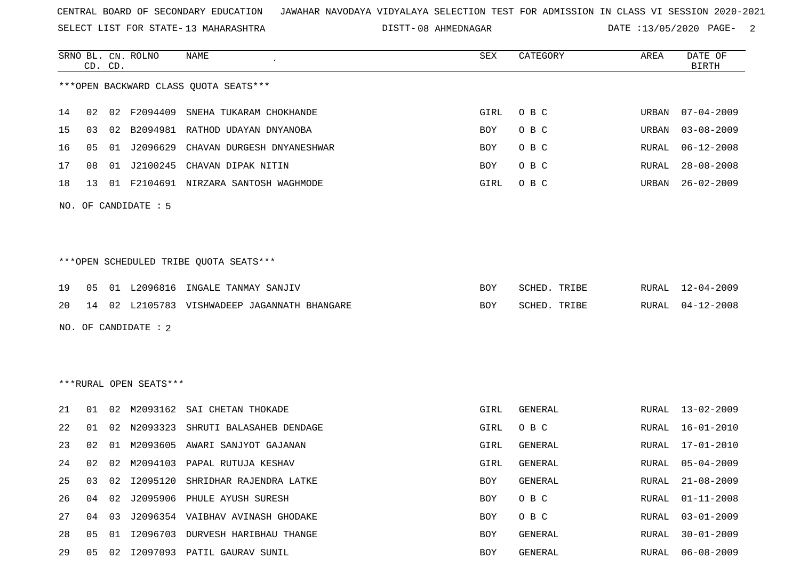SELECT LIST FOR STATE- DISTT- 13 MAHARASHTRA

08 AHMEDNAGAR DATE :13/05/2020 PAGE- 2

 $\overline{\phantom{a}}$ 

|                      |    | CD. CD. | SRNO BL. CN. ROLNO     | NAME                                         | SEX  | CATEGORY     | AREA  | DATE OF<br><b>BIRTH</b> |  |
|----------------------|----|---------|------------------------|----------------------------------------------|------|--------------|-------|-------------------------|--|
|                      |    |         |                        | *** OPEN BACKWARD CLASS QUOTA SEATS***       |      |              |       |                         |  |
| 14                   | 02 |         | 02 F2094409            | SNEHA TUKARAM CHOKHANDE                      | GIRL | $O$ B $C$    | URBAN | $07 - 04 - 2009$        |  |
| 15                   | 03 |         |                        | 02 B2094981 RATHOD UDAYAN DNYANOBA           | BOY  | O B C        | URBAN | $03 - 08 - 2009$        |  |
| 16                   | 05 | 01      | J2096629               | CHAVAN DURGESH DNYANESHWAR                   | BOY  | O B C        | RURAL | $06 - 12 - 2008$        |  |
| 17                   | 08 | 01      |                        | J2100245 CHAVAN DIPAK NITIN                  | BOY  | O B C        | RURAL | $28 - 08 - 2008$        |  |
| 18                   | 13 |         |                        | 01 F2104691 NIRZARA SANTOSH WAGHMODE         | GIRL | O B C        | URBAN | $26 - 02 - 2009$        |  |
| NO. OF CANDIDATE : 5 |    |         |                        |                                              |      |              |       |                         |  |
|                      |    |         |                        |                                              |      |              |       |                         |  |
|                      |    |         |                        |                                              |      |              |       |                         |  |
|                      |    |         |                        | ***OPEN SCHEDULED TRIBE QUOTA SEATS***       |      |              |       |                         |  |
| 19                   | 05 |         |                        | 01 L2096816 INGALE TANMAY SANJIV             | BOY  | SCHED. TRIBE |       | RURAL 12-04-2009        |  |
| 20                   |    |         |                        | 14 02 L2105783 VISHWADEEP JAGANNATH BHANGARE | BOY  | SCHED. TRIBE | RURAL | $04 - 12 - 2008$        |  |
|                      |    |         | NO. OF CANDIDATE : 2   |                                              |      |              |       |                         |  |
|                      |    |         |                        |                                              |      |              |       |                         |  |
|                      |    |         |                        |                                              |      |              |       |                         |  |
|                      |    |         | ***RURAL OPEN SEATS*** |                                              |      |              |       |                         |  |
| 21                   |    |         |                        | 01 02 M2093162 SAI CHETAN THOKADE            | GIRL | GENERAL      |       | RURAL 13-02-2009        |  |
| 22                   | 01 | 02      | N2093323               | SHRUTI BALASAHEB DENDAGE                     | GIRL | O B C        | RURAL | $16 - 01 - 2010$        |  |
| 23                   | 02 | 01      |                        | M2093605 AWARI SANJYOT GAJANAN               | GIRL | GENERAL      | RURAL | 17-01-2010              |  |
| 24                   | 02 | 02      | M2094103               | PAPAL RUTUJA KESHAV                          | GIRL | GENERAL      | RURAL | $05 - 04 - 2009$        |  |
| 25                   |    |         |                        | 03 02 I2095120 SHRIDHAR RAJENDRA LATKE       | BOY  | GENERAL      |       | RURAL 21-08-2009        |  |
| 26                   | 04 | 02      |                        | J2095906 PHULE AYUSH SURESH                  | BOY  | O B C        | RURAL | $01 - 11 - 2008$        |  |
| 27                   | 04 | 03      |                        | J2096354 VAIBHAV AVINASH GHODAKE             | BOY  | O B C        | RURAL | $03 - 01 - 2009$        |  |
| 28                   | 05 |         |                        | 01 I2096703 DURVESH HARIBHAU THANGE          | BOY  | GENERAL      | RURAL | $30 - 01 - 2009$        |  |
| 29                   | 05 |         |                        | 02 I2097093 PATIL GAURAV SUNIL               | BOY  | GENERAL      | RURAL | $06 - 08 - 2009$        |  |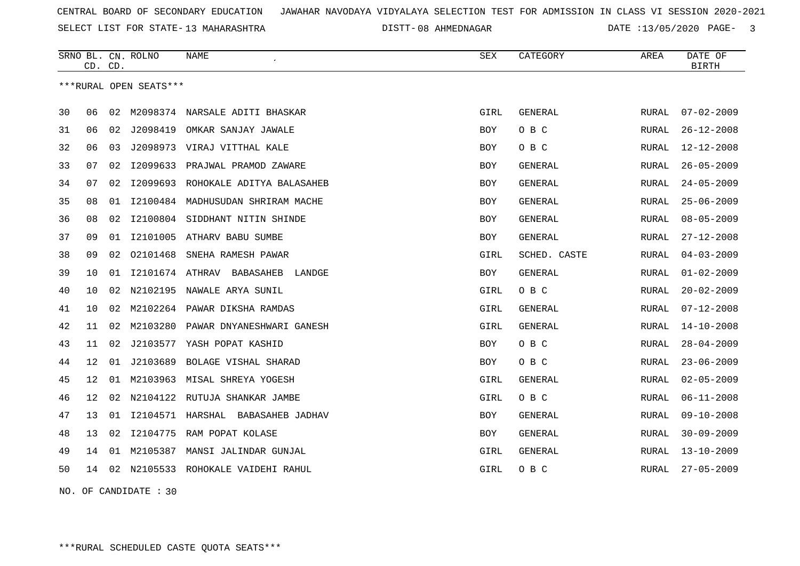SELECT LIST FOR STATE- DISTT- 13 MAHARASHTRA

DISTT-08 AHMEDNAGAR DATE :13/05/2020 PAGE- 3

|    | CD. CD. |    | SRNO BL. CN. ROLNO     | <b>NAME</b>                         | SEX        | CATEGORY       | AREA          | DATE OF<br><b>BIRTH</b> |
|----|---------|----|------------------------|-------------------------------------|------------|----------------|---------------|-------------------------|
|    |         |    | ***RURAL OPEN SEATS*** |                                     |            |                |               |                         |
| 30 | 06      | 02 |                        | M2098374 NARSALE ADITI BHASKAR      | GIRL       | GENERAL        | RURAL         | $07 - 02 - 2009$        |
| 31 | 06      | 02 | J2098419               | OMKAR SANJAY JAWALE                 | BOY        | O B C          | RURAL         | $26 - 12 - 2008$        |
| 32 | 06      | 03 |                        | J2098973 VIRAJ VITTHAL KALE         | BOY        | O B C          | RURAL         | $12 - 12 - 2008$        |
| 33 | 07      | 02 | I2099633               | PRAJWAL PRAMOD ZAWARE               | <b>BOY</b> | <b>GENERAL</b> | RURAL         | $26 - 05 - 2009$        |
| 34 | 07      | 02 |                        | I2099693 ROHOKALE ADITYA BALASAHEB  | BOY        | GENERAL        | RURAL         | $24 - 05 - 2009$        |
| 35 | 08      | 01 | I2100484               | MADHUSUDAN SHRIRAM MACHE            | <b>BOY</b> | GENERAL        | <b>RURAL</b>  | $25 - 06 - 2009$        |
| 36 | 08      | 02 | I2100804               | SIDDHANT NITIN SHINDE               | <b>BOY</b> | GENERAL        | RURAL         | $08 - 05 - 2009$        |
| 37 | 09      | 01 | I2101005               | ATHARV BABU SUMBE                   | <b>BOY</b> | GENERAL        | RURAL         | $27 - 12 - 2008$        |
| 38 | 09      | 02 | 02101468               | SNEHA RAMESH PAWAR                  | GIRL       | SCHED. CASTE   | RURAL         | $04 - 03 - 2009$        |
| 39 | 10      | 01 |                        | 12101674 ATHRAV BABASAHEB<br>LANDGE | BOY        | <b>GENERAL</b> | RURAL         | $01 - 02 - 2009$        |
| 40 | 10      | 02 | N2102195               | NAWALE ARYA SUNIL                   | GIRL       | O B C          | RURAL         | $20 - 02 - 2009$        |
| 41 | 10      | 02 |                        | M2102264 PAWAR DIKSHA RAMDAS        | GIRL       | GENERAL        | RURAL         | $07 - 12 - 2008$        |
| 42 | 11      | 02 | M2103280               | PAWAR DNYANESHWARI GANESH           | GIRL       | GENERAL        | RURAL         | $14 - 10 - 2008$        |
| 43 | 11      | 02 |                        | J2103577 YASH POPAT KASHID          | BOY        | O B C          | RURAL         | $28 - 04 - 2009$        |
| 44 | 12      | 01 | J2103689               | BOLAGE VISHAL SHARAD                | <b>BOY</b> | O B C          | RURAL         | $23 - 06 - 2009$        |
| 45 | 12      | 01 |                        | M2103963 MISAL SHREYA YOGESH        | GIRL       | <b>GENERAL</b> | RURAL         | $02 - 05 - 2009$        |
| 46 | 12      | 02 |                        | N2104122 RUTUJA SHANKAR JAMBE       | GIRL       | O B C          | RURAL         | $06 - 11 - 2008$        |
| 47 | 13      | 01 |                        | I2104571 HARSHAL BABASAHEB JADHAV   | <b>BOY</b> | GENERAL        | ${\tt RURAL}$ | $09 - 10 - 2008$        |
| 48 | 13      | 02 | I2104775               | RAM POPAT KOLASE                    | <b>BOY</b> | <b>GENERAL</b> | <b>RURAL</b>  | $30 - 09 - 2009$        |
| 49 | 14      | 01 | M2105387               | MANSI JALINDAR GUNJAL               | GIRL       | <b>GENERAL</b> | RURAL         | $13 - 10 - 2009$        |
| 50 | 14      | 02 |                        | N2105533 ROHOKALE VAIDEHI RAHUL     | GIRL       | O B C          | RURAL         | $27 - 05 - 2009$        |
|    |         |    |                        |                                     |            |                |               |                         |

NO. OF CANDIDATE : 30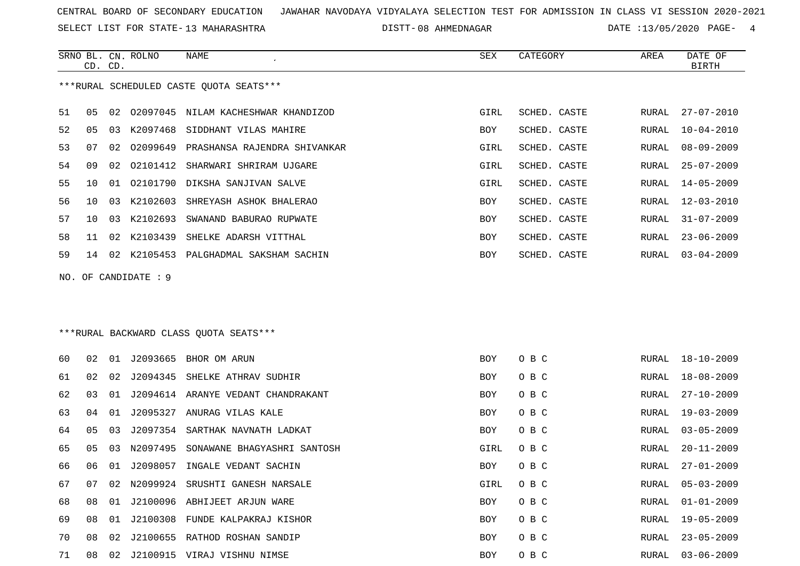SELECT LIST FOR STATE- DISTT- 13 MAHARASHTRA

SRNO BL. CN.

ROLNO NAME SEX CATEGORY AREA DATE OF

DISTT-08 AHMEDNAGAR DATE :13/05/2020 PAGE- 4

|    | CD. CD.             |    |             |                                         |            |              |       | <b>BIRTH</b>     |  |  |
|----|---------------------|----|-------------|-----------------------------------------|------------|--------------|-------|------------------|--|--|
|    |                     |    |             | ***RURAL SCHEDULED CASTE QUOTA SEATS*** |            |              |       |                  |  |  |
| 51 | 05                  | 02 |             | 02097045 NILAM KACHESHWAR KHANDIZOD     | GIRL       | SCHED. CASTE | RURAL | $27 - 07 - 2010$ |  |  |
| 52 | 05                  | 03 | K2097468    | SIDDHANT VILAS MAHIRE                   | BOY        | SCHED. CASTE | RURAL | $10 - 04 - 2010$ |  |  |
| 53 | 07                  | 02 | 02099649    | PRASHANSA RAJENDRA SHIVANKAR            | GIRL       | SCHED. CASTE | RURAL | $08 - 09 - 2009$ |  |  |
| 54 | 09                  | 02 | 02101412    | SHARWARI SHRIRAM UJGARE                 | GIRL       | SCHED. CASTE | RURAL | $25 - 07 - 2009$ |  |  |
| 55 | 10                  | 01 | 02101790    | DIKSHA SANJIVAN SALVE                   | GIRL       | SCHED. CASTE | RURAL | $14 - 05 - 2009$ |  |  |
| 56 | 10                  | 03 | K2102603    | SHREYASH ASHOK BHALERAO                 | BOY        | SCHED. CASTE | RURAL | $12 - 03 - 2010$ |  |  |
| 57 | 10                  | 03 | K2102693    | SWANAND BABURAO RUPWATE                 | BOY        | SCHED. CASTE | RURAL | $31 - 07 - 2009$ |  |  |
| 58 | 11                  | 02 | K2103439    | SHELKE ADARSH VITTHAL                   | BOY        | SCHED. CASTE | RURAL | $23 - 06 - 2009$ |  |  |
| 59 | 14                  | 02 |             | K2105453 PALGHADMAL SAKSHAM SACHIN      | BOY        | SCHED. CASTE | RURAL | $03 - 04 - 2009$ |  |  |
|    | NO. OF CANDIDATE: 9 |    |             |                                         |            |              |       |                  |  |  |
|    |                     |    |             |                                         |            |              |       |                  |  |  |
|    |                     |    |             |                                         |            |              |       |                  |  |  |
|    |                     |    |             | ***RURAL BACKWARD CLASS QUOTA SEATS***  |            |              |       |                  |  |  |
| 60 | 02                  | 01 | J2093665    | BHOR OM ARUN                            | <b>BOY</b> | O B C        | RURAL | $18 - 10 - 2009$ |  |  |
| 61 | 02                  | 02 |             | J2094345 SHELKE ATHRAV SUDHIR           | BOY        | O B C        | RURAL | $18 - 08 - 2009$ |  |  |
| 62 | 03                  | 01 |             | J2094614 ARANYE VEDANT CHANDRAKANT      | BOY        | O B C        | RURAL | $27 - 10 - 2009$ |  |  |
| 63 | 04                  | 01 | J2095327    | ANURAG VILAS KALE                       | BOY        | O B C        | RURAL | $19 - 03 - 2009$ |  |  |
| 64 | 05                  | 03 | J2097354    | SARTHAK NAVNATH LADKAT                  | BOY        | O B C        | RURAL | $03 - 05 - 2009$ |  |  |
| 65 | 05                  | 03 | N2097495    | SONAWANE BHAGYASHRI SANTOSH             | GIRL       | O B C        | RURAL | $20 - 11 - 2009$ |  |  |
| 66 | 06                  | 01 | J2098057    | INGALE VEDANT SACHIN                    | BOY        | O B C        | RURAL | $27 - 01 - 2009$ |  |  |
| 67 | 07                  |    | 02 N2099924 | SRUSHTI GANESH NARSALE                  | GIRL       | O B C        | RURAL | $05 - 03 - 2009$ |  |  |
| 68 | 08                  |    |             | 01 J2100096 ABHIJEET ARJUN WARE         | BOY        | O B C        |       | RURAL 01-01-2009 |  |  |
| 69 | 08                  |    |             | 01 J2100308 FUNDE KALPAKRAJ KISHOR      | BOY        | O B C        | RURAL | 19-05-2009       |  |  |
| 70 | 08                  |    |             | 02 J2100655 RATHOD ROSHAN SANDIP        | BOY        | O B C        | RURAL | $23 - 05 - 2009$ |  |  |
| 71 | 08                  |    |             | 02 J2100915 VIRAJ VISHNU NIMSE          | BOY        | O B C        | RURAL | $03 - 06 - 2009$ |  |  |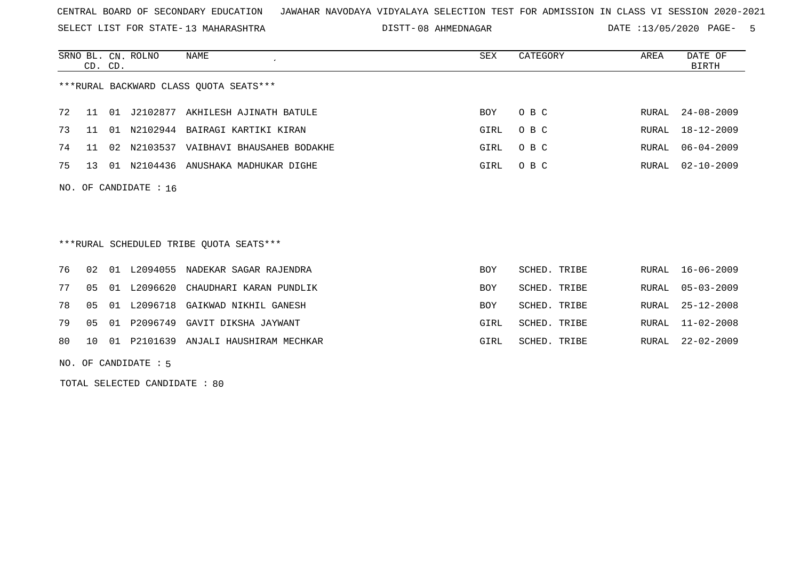SELECT LIST FOR STATE- DISTT- 13 MAHARASHTRA

08 AHMEDNAGAR DATE :13/05/2020 PAGE- 5

|    | CD. CD.        |    | SRNO BL. CN. ROLNO      | NAME                                    | SEX        | CATEGORY     | AREA         | DATE OF<br><b>BIRTH</b> |
|----|----------------|----|-------------------------|-----------------------------------------|------------|--------------|--------------|-------------------------|
|    |                |    |                         | ***RURAL BACKWARD CLASS QUOTA SEATS***  |            |              |              |                         |
| 72 | 11             | 01 | J2102877                | AKHILESH AJINATH BATULE                 | BOY        | O B C        | RURAL        | $24 - 08 - 2009$        |
| 73 | 11             | 01 | N2102944                | BAIRAGI KARTIKI KIRAN                   | GIRL       | O B C        | RURAL        | $18 - 12 - 2009$        |
| 74 | 11             | 02 |                         | N2103537 VAIBHAVI BHAUSAHEB BODAKHE     | GIRL       | O B C        | RURAL        | $06 - 04 - 2009$        |
| 75 | 13             |    | 01 N2104436             | ANUSHAKA MADHUKAR DIGHE                 | GIRL       | O B C        | <b>RURAL</b> | $02 - 10 - 2009$        |
|    |                |    | NO. OF CANDIDATE : $16$ |                                         |            |              |              |                         |
|    |                |    |                         | ***RURAL SCHEDULED TRIBE OUOTA SEATS*** |            |              |              |                         |
| 76 | 02             | 01 | L2094055                | NADEKAR SAGAR RAJENDRA                  | BOY        | SCHED. TRIBE | RURAL        | $16 - 06 - 2009$        |
| 77 | 0 <sub>5</sub> | 01 | L2096620                | CHAUDHARI KARAN PUNDLIK                 | <b>BOY</b> | SCHED. TRIBE | RURAL        | $05 - 03 - 2009$        |
| 78 | 0 <sub>5</sub> | 01 | L2096718                | GAIKWAD NIKHIL GANESH                   | <b>BOY</b> | SCHED. TRIBE | RURAL        | $25 - 12 - 2008$        |
| 79 | 05             | 01 |                         | P2096749 GAVIT DIKSHA JAYWANT           | GIRL       | SCHED. TRIBE | RURAL        | $11 - 02 - 2008$        |
| 80 | 10             | 01 | P2101639                | ANJALI HAUSHIRAM MECHKAR                | GIRL       | SCHED. TRIBE | RURAL        | $22 - 02 - 2009$        |

NO. OF CANDIDATE : 5

TOTAL SELECTED CANDIDATE : 80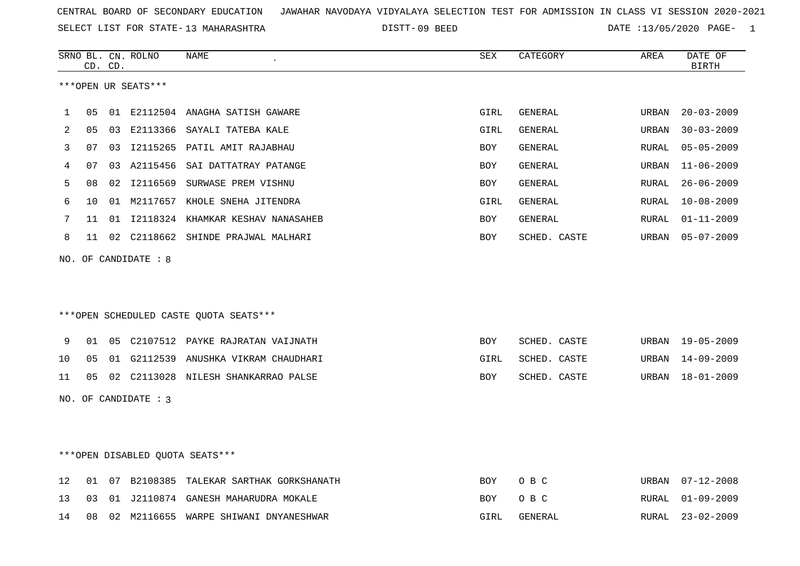SELECT LIST FOR STATE- DISTT- 13 MAHARASHTRA

DISTT-09 BEED DATE :13/05/2020 PAGE- 1

|    |                      | CD. CD. | SRNO BL. CN. ROLNO   | <b>NAME</b><br>$\epsilon$              | SEX        | CATEGORY       | AREA  | DATE OF<br><b>BIRTH</b> |  |
|----|----------------------|---------|----------------------|----------------------------------------|------------|----------------|-------|-------------------------|--|
|    |                      |         | ***OPEN UR SEATS***  |                                        |            |                |       |                         |  |
| 1  | 05                   | 01      |                      | E2112504 ANAGHA SATISH GAWARE          | GIRL       | GENERAL        | URBAN | $20 - 03 - 2009$        |  |
| 2  | 05                   | 03      | E2113366             | SAYALI TATEBA KALE                     | GIRL       | GENERAL        | URBAN | $30 - 03 - 2009$        |  |
| 3  | 07                   | 03      |                      | I2115265 PATIL AMIT RAJABHAU           | <b>BOY</b> | <b>GENERAL</b> | RURAL | $05 - 05 - 2009$        |  |
| 4  | 07                   | 03      |                      | A2115456 SAI DATTATRAY PATANGE         | BOY        | <b>GENERAL</b> | URBAN | $11 - 06 - 2009$        |  |
| 5  | 08                   | 02      | I2116569             | SURWASE PREM VISHNU                    | BOY        | <b>GENERAL</b> | RURAL | $26 - 06 - 2009$        |  |
| 6  | 10                   | 01      |                      | M2117657 KHOLE SNEHA JITENDRA          | GIRL       | <b>GENERAL</b> | RURAL | $10 - 08 - 2009$        |  |
| 7  | 11                   |         |                      | 01 I2118324 KHAMKAR KESHAV NANASAHEB   | BOY        | GENERAL        | RURAL | $01 - 11 - 2009$        |  |
| 8  | 11                   |         |                      | 02 C2118662 SHINDE PRAJWAL MALHARI     | <b>BOY</b> | SCHED. CASTE   | URBAN | $05 - 07 - 2009$        |  |
|    |                      |         | NO. OF CANDIDATE : 8 |                                        |            |                |       |                         |  |
|    |                      |         |                      |                                        |            |                |       |                         |  |
|    |                      |         |                      |                                        |            |                |       |                         |  |
|    |                      |         |                      | ***OPEN SCHEDULED CASTE QUOTA SEATS*** |            |                |       |                         |  |
| 9  | 01                   |         |                      | 05 C2107512 PAYKE RAJRATAN VAIJNATH    | BOY        | SCHED. CASTE   | URBAN | 19-05-2009              |  |
| 10 | 05                   | 01      |                      | G2112539 ANUSHKA VIKRAM CHAUDHARI      | GIRL       | SCHED. CASTE   | URBAN | $14 - 09 - 2009$        |  |
| 11 | 05                   | 02      |                      | C2113028 NILESH SHANKARRAO PALSE       | BOY        | SCHED. CASTE   | URBAN | $18 - 01 - 2009$        |  |
|    | NO. OF CANDIDATE : 3 |         |                      |                                        |            |                |       |                         |  |
|    |                      |         |                      |                                        |            |                |       |                         |  |
|    |                      |         |                      |                                        |            |                |       |                         |  |

\*\*\*OPEN DISABLED QUOTA SEATS\*\*\*

|  |  | 12 01 07 B2108385 TALEKAR SARTHAK GORKSHANATH |      | BOY OBC | URBAN 07-12-2008 |
|--|--|-----------------------------------------------|------|---------|------------------|
|  |  | 13 03 01 J2110874 GANESH MAHARUDRA MOKALE     |      | BOY OBC | RURAL 01-09-2009 |
|  |  | 14 08 02 M2116655 WARPE SHIWANI DNYANESHWAR   | GIRL | GENERAL | RURAL 23-02-2009 |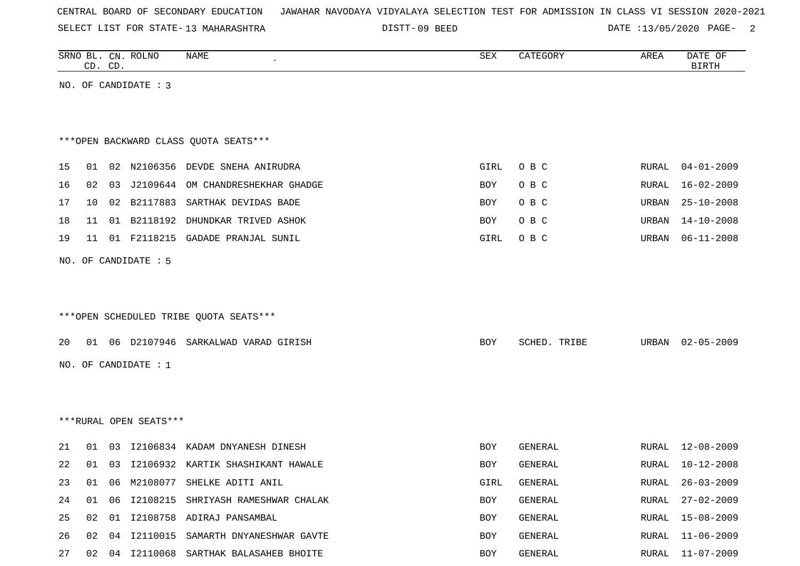|  |  |  | CENTRAL BOARD OF SECONDARY EDUCATION – JAWAHAR NAVODAYA VIDYALAYA SELECTION TEST FOR ADMISSION IN CLASS VI SESSION 2020-2021 |  |  |  |  |  |  |  |  |  |  |  |  |  |
|--|--|--|------------------------------------------------------------------------------------------------------------------------------|--|--|--|--|--|--|--|--|--|--|--|--|--|
|--|--|--|------------------------------------------------------------------------------------------------------------------------------|--|--|--|--|--|--|--|--|--|--|--|--|--|

SELECT LIST FOR STATE- DISTT- 13 MAHARASHTRA

DISTT-09 BEED DATE :13/05/2020 PAGE- 2

|    |                 | CD. CD. | SRNO BL. CN. ROLNO     | NAME                                    | SEX        | CATEGORY       | AREA          | DATE OF<br><b>BIRTH</b> |
|----|-----------------|---------|------------------------|-----------------------------------------|------------|----------------|---------------|-------------------------|
|    |                 |         | NO. OF CANDIDATE : 3   |                                         |            |                |               |                         |
|    |                 |         |                        |                                         |            |                |               |                         |
|    |                 |         |                        | *** OPEN BACKWARD CLASS QUOTA SEATS***  |            |                |               |                         |
| 15 |                 |         |                        | 01 02 N2106356 DEVDE SNEHA ANIRUDRA     | GIRL       | O B C          | RURAL         | $04 - 01 - 2009$        |
| 16 |                 |         |                        | 02 03 J2109644 OM CHANDRESHEKHAR GHADGE | BOY        | O B C          | RURAL         | 16-02-2009              |
| 17 | 10 <sup>1</sup> |         |                        | 02 B2117883 SARTHAK DEVIDAS BADE        | BOY        | O B C          | URBAN         | $25 - 10 - 2008$        |
| 18 |                 |         |                        | 11 01 B2118192 DHUNDKAR TRIVED ASHOK    | BOY        | O B C          |               | URBAN 14-10-2008        |
| 19 |                 |         |                        | 11 01 F2118215 GADADE PRANJAL SUNIL     | GIRL       | O B C          |               | URBAN 06-11-2008        |
|    |                 |         | NO. OF CANDIDATE : 5   |                                         |            |                |               |                         |
|    |                 |         |                        |                                         |            |                |               |                         |
|    |                 |         |                        |                                         |            |                |               |                         |
|    |                 |         |                        | ***OPEN SCHEDULED TRIBE QUOTA SEATS***  |            |                |               |                         |
| 20 |                 |         |                        | 01 06 D2107946 SARKALWAD VARAD GIRISH   | <b>BOY</b> | SCHED. TRIBE   |               | URBAN 02-05-2009        |
|    |                 |         | NO. OF CANDIDATE : 1   |                                         |            |                |               |                         |
|    |                 |         |                        |                                         |            |                |               |                         |
|    |                 |         |                        |                                         |            |                |               |                         |
|    |                 |         | ***RURAL OPEN SEATS*** |                                         |            |                |               |                         |
| 21 | 01              |         |                        | 03 I2106834 KADAM DNYANESH DINESH       | BOY        | <b>GENERAL</b> |               | RURAL 12-08-2009        |
| 22 |                 |         |                        | 01 03 I2106932 KARTIK SHASHIKANT HAWALE | BOY        | GENERAL        | RURAL         | 10-12-2008              |
| 23 |                 |         |                        | 01 06 M2108077 SHELKE ADITI ANIL        | GIRL       | GENERAL        | ${\tt RURAL}$ | $26 - 03 - 2009$        |
| 24 | 01              | 06      |                        | I2108215 SHRIYASH RAMESHWAR CHALAK      | BOY        | GENERAL        | RURAL         | $27 - 02 - 2009$        |
| 25 | 02              | 01      |                        | I2108758 ADIRAJ PANSAMBAL               | BOY        | GENERAL        | RURAL         | $15 - 08 - 2009$        |
| 26 | 02              | 04      |                        | I2110015 SAMARTH DNYANESHWAR GAVTE      | BOY        | GENERAL        | RURAL         | $11 - 06 - 2009$        |
| 27 | 02              |         |                        | 04 I2110068 SARTHAK BALASAHEB BHOITE    | BOY        | GENERAL        | RURAL         | $11 - 07 - 2009$        |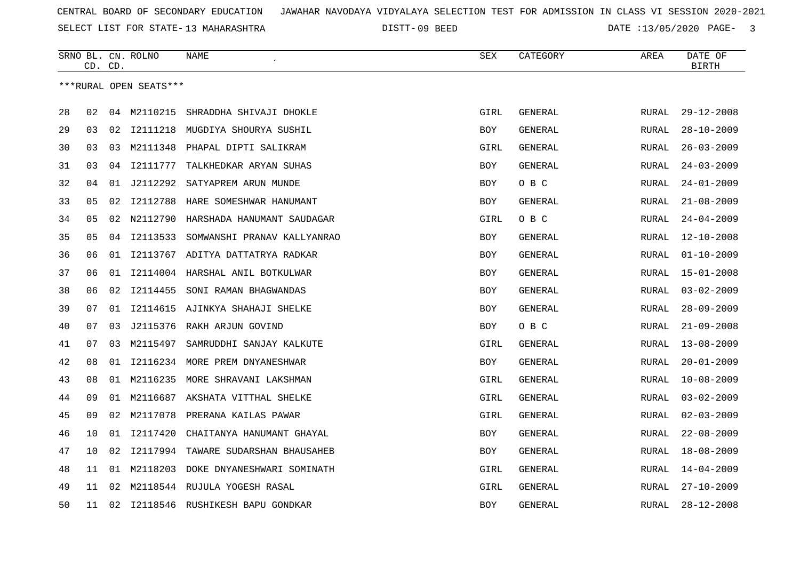SELECT LIST FOR STATE- DISTT- 13 MAHARASHTRA

09 BEED DATE :13/05/2020 PAGE- 3

|    |    | CD. CD. | SRNO BL. CN. ROLNO     | <b>NAME</b>                      | <b>SEX</b> | CATEGORY | AREA         | DATE OF<br><b>BIRTH</b> |
|----|----|---------|------------------------|----------------------------------|------------|----------|--------------|-------------------------|
|    |    |         | ***RURAL OPEN SEATS*** |                                  |            |          |              |                         |
|    |    |         |                        |                                  |            |          |              |                         |
| 28 | 02 |         | 04 M2110215            | SHRADDHA SHIVAJI DHOKLE          | GIRL       | GENERAL  | RURAL        | $29 - 12 - 2008$        |
| 29 | 03 | 02      |                        | I2111218 MUGDIYA SHOURYA SUSHIL  | BOY        | GENERAL  | RURAL        | $28 - 10 - 2009$        |
| 30 | 03 | 03      | M2111348               | PHAPAL DIPTI SALIKRAM            | GIRL       | GENERAL  | RURAL        | $26 - 03 - 2009$        |
| 31 | 03 | 04      | I2111777               | TALKHEDKAR ARYAN SUHAS           | BOY        | GENERAL  | RURAL        | $24 - 03 - 2009$        |
| 32 | 04 | 01      | J2112292               | SATYAPREM ARUN MUNDE             | BOY        | O B C    | RURAL        | $24 - 01 - 2009$        |
| 33 | 05 | 02      | I2112788               | HARE SOMESHWAR HANUMANT          | BOY        | GENERAL  | RURAL        | $21 - 08 - 2009$        |
| 34 | 05 | 02      | N2112790               | HARSHADA HANUMANT SAUDAGAR       | GIRL       | O B C    | <b>RURAL</b> | $24 - 04 - 2009$        |
| 35 | 05 | 04      | I2113533               | SOMWANSHI PRANAV KALLYANRAO      | BOY        | GENERAL  | RURAL        | $12 - 10 - 2008$        |
| 36 | 06 | 01      |                        | 12113767 ADITYA DATTATRYA RADKAR | <b>BOY</b> | GENERAL  | RURAL        | $01 - 10 - 2009$        |
| 37 | 06 | 01      | I2114004               | HARSHAL ANIL BOTKULWAR           | BOY        | GENERAL  | RURAL        | $15 - 01 - 2008$        |
| 38 | 06 | 02      | I2114455               | SONI RAMAN BHAGWANDAS            | <b>BOY</b> | GENERAL  | RURAL        | $03 - 02 - 2009$        |
| 39 | 07 | 01      | I2114615               | AJINKYA SHAHAJI SHELKE           | BOY        | GENERAL  | RURAL        | $28 - 09 - 2009$        |
| 40 | 07 | 03      | J2115376               | RAKH ARJUN GOVIND                | BOY        | O B C    | RURAL        | $21 - 09 - 2008$        |
| 41 | 07 | 03      | M2115497               | SAMRUDDHI SANJAY KALKUTE         | GIRL       | GENERAL  | RURAL        | $13 - 08 - 2009$        |
| 42 | 08 | 01      |                        | I2116234 MORE PREM DNYANESHWAR   | BOY        | GENERAL  | RURAL        | $20 - 01 - 2009$        |
| 43 | 08 | 01      |                        | M2116235 MORE SHRAVANI LAKSHMAN  | GIRL       | GENERAL  | <b>RURAL</b> | $10 - 08 - 2009$        |
| 44 | 09 | 01      | M2116687               | AKSHATA VITTHAL SHELKE           | GIRL       | GENERAL  | RURAL        | $03 - 02 - 2009$        |
| 45 | 09 | 02      | M2117078               | PRERANA KAILAS PAWAR             | GIRL       | GENERAL  | RURAL        | $02 - 03 - 2009$        |
| 46 | 10 | 01      | I2117420               | CHAITANYA HANUMANT GHAYAL        | BOY        | GENERAL  | RURAL        | $22 - 08 - 2009$        |
| 47 | 10 | 02      | I2117994               | TAWARE SUDARSHAN BHAUSAHEB       | BOY        | GENERAL  | RURAL        | $18 - 08 - 2009$        |
| 48 | 11 | 01      | M2118203               | DOKE DNYANESHWARI SOMINATH       | GIRL       | GENERAL  | RURAL        | $14 - 04 - 2009$        |
| 49 | 11 | 02      |                        | M2118544 RUJULA YOGESH RASAL     | GIRL       | GENERAL  | RURAL        | $27 - 10 - 2009$        |
| 50 | 11 | 02      |                        | 12118546 RUSHIKESH BAPU GONDKAR  | <b>BOY</b> | GENERAL  | RURAL        | $28 - 12 - 2008$        |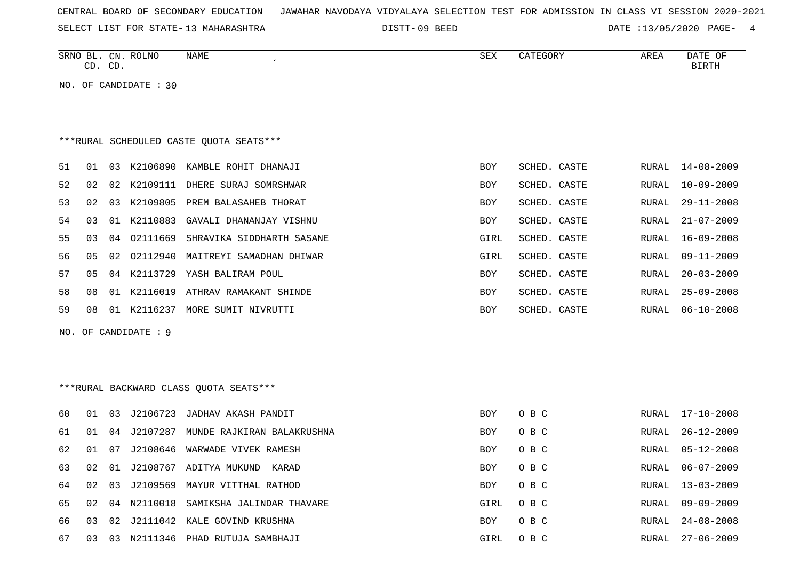| CENTRAL BOARD OF SECONDARY EDUCATION – JAWAHAR NAVODAYA VIDYALAYA SELECTION TEST FOR ADMISSION IN CLASS VI SESSION 2020-2021 |
|------------------------------------------------------------------------------------------------------------------------------|
|------------------------------------------------------------------------------------------------------------------------------|

SELECT LIST FOR STATE- DISTT- 13 MAHARASHTRA 09 BEED DATE :13/05/2020 PAGE- 4

| SRNO BL. CN. ROLNO<br>NAME<br>CD. CD. | SEX<br>CATEGORY | AREA | DATE OF<br>BIRTH |
|---------------------------------------|-----------------|------|------------------|
| NO. OF CANDIDATE : 30                 |                 |      |                  |
|                                       |                 |      |                  |

# \*\*\*RURAL SCHEDULED CASTE QUOTA SEATS\*\*\*

| 51 | 01 | 03  | K2106890 | KAMBLE ROHIT DHANAJI      | <b>BOY</b> | SCHED. CASTE |       | RURAL 14-08-2009 |
|----|----|-----|----------|---------------------------|------------|--------------|-------|------------------|
| 52 | 02 | 02  | K2109111 | DHERE SURAJ SOMRSHWAR     | <b>BOY</b> | SCHED. CASTE | RURAL | $10 - 09 - 2009$ |
| 53 | 02 | 03  | K2109805 | PREM BALASAHEB THORAT     | <b>BOY</b> | SCHED. CASTE | RURAL | 29-11-2008       |
| 54 | 03 | O 1 | K2110883 | GAVALI DHANANJAY VISHNU   | <b>BOY</b> | SCHED, CASTE | RURAL | $21 - 07 - 2009$ |
| 55 | 03 | 04  | 02111669 | SHRAVIKA SIDDHARTH SASANE | GIRL       | SCHED, CASTE | RURAL | $16 - 09 - 2008$ |
| 56 | 05 | 02  | 02112940 | MAITREYI SAMADHAN DHIWAR  | GIRL       | SCHED, CASTE | RURAL | $09 - 11 - 2009$ |
| 57 | 05 | 04  | K2113729 | YASH BALIRAM POUL         | <b>BOY</b> | SCHED. CASTE | RURAL | $20 - 03 - 2009$ |
| 58 | 08 | 01  | K2116019 | ATHRAV RAMAKANT SHINDE    | <b>BOY</b> | SCHED. CASTE | RURAL | 25-09-2008       |
| 59 | 08 | -01 | K2116237 | MORE SUMIT NIVRUTTI       | <b>BOY</b> | SCHED. CASTE | RURAL | 06-10-2008       |

NO. OF CANDIDATE : 9

# \*\*\*RURAL BACKWARD CLASS QUOTA SEATS\*\*\*

| 60 | 01  | 03   | J2106723     | JADHAV AKASH PANDIT        | <b>BOY</b> | O B C | RURAL | 17-10-2008       |
|----|-----|------|--------------|----------------------------|------------|-------|-------|------------------|
| 61 | 01  | 04   | J2107287     | MUNDE RAJKIRAN BALAKRUSHNA | <b>BOY</b> | O B C | RURAL | 26-12-2009       |
| 62 | 01  | 07   | J2108646     | WARWADE VIVEK RAMESH       | BOY        | O B C | RURAL | $05 - 12 - 2008$ |
| 63 | 02  | 01   | J2108767     | ADITYA MUKUND<br>KARAD     | <b>BOY</b> | O B C | RURAL | $06 - 07 - 2009$ |
| 64 | 02  | 03   | J2109569     | MAYUR VITTHAL RATHOD       | <b>BOY</b> | O B C | RURAL | $13 - 03 - 2009$ |
| 65 | 02. | በ 4  | N2110018     | SAMIKSHA JALINDAR THAVARE  | GIRL       | O B C | RURAL | $09 - 09 - 2009$ |
| 66 | 03  | O 2. | J2111042     | KALE GOVIND KRUSHNA        | <b>BOY</b> | O B C | RURAL | $24 - 08 - 2008$ |
| 67 | 03  | 03   | 11346<br>N21 | PHAD RUTUJA SAMBHAJI       | GIRL       | O B C | RURAL | $27 - 06 - 2009$ |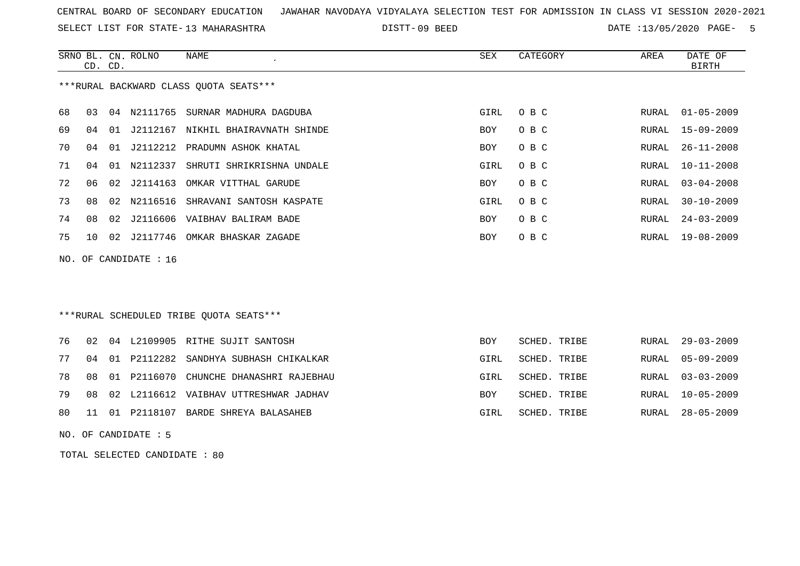SELECT LIST FOR STATE- DISTT- 13 MAHARASHTRA

DISTT-09 BEED DATE :13/05/2020 PAGE- 5

|    | CD. CD. |    | SRNO BL. CN. ROLNO | NAME                                   | SEX  | CATEGORY | AREA  | DATE OF<br>BIRTH |
|----|---------|----|--------------------|----------------------------------------|------|----------|-------|------------------|
|    |         |    |                    | ***RURAL BACKWARD CLASS QUOTA SEATS*** |      |          |       |                  |
| 68 | 03      | 04 | N2111765           | SURNAR MADHURA DAGDUBA                 | GIRL | O B C    | RURAL | $01 - 05 - 2009$ |
| 69 | 04      | 01 | J2112167           | NIKHIL BHAIRAVNATH SHINDE              | BOY  | O B C    |       | RURAL 15-09-2009 |
| 70 | 04      |    |                    | 01 J2112212 PRADUMN ASHOK KHATAL       | BOY  | O B C    | RURAL | $26 - 11 - 2008$ |
| 71 | 04      | 01 | N2112337           | SHRUTI SHRIKRISHNA UNDALE              | GIRL | O B C    | RURAL | $10 - 11 - 2008$ |
| 72 | 06      |    | 02 J2114163        | OMKAR VITTHAL GARUDE                   | BOY  | O B C    | RURAL | $03 - 04 - 2008$ |
| 73 | 08      |    | 02 N2116516        | SHRAVANI SANTOSH KASPATE               | GIRL | O B C    | RURAL | $30 - 10 - 2009$ |
| 74 | 08      |    |                    | 02 J2116606 VAIBHAV BALIRAM BADE       | BOY  | O B C    | RURAL | $24 - 03 - 2009$ |
| 75 | 10      |    | 02 J2117746        | OMKAR BHASKAR ZAGADE                   | BOY  | O B C    |       | RURAL 19-08-2009 |
|    |         |    |                    |                                        |      |          |       |                  |

NO. OF CANDIDATE : 16

# \*\*\*RURAL SCHEDULED TRIBE QUOTA SEATS\*\*\*

|  |  | 76 02 04 L2109905 RITHE SUJIT SANTOSH        | <b>BOY</b> | SCHED. TRIBE | RURAL 29-03-2009 |
|--|--|----------------------------------------------|------------|--------------|------------------|
|  |  | 77 04 01 P2112282 SANDHYA SUBHASH CHIKALKAR  | GIRL       | SCHED. TRIBE | RURAL 05-09-2009 |
|  |  | 78 08 01 P2116070 CHUNCHE DHANASHRI RAJEBHAU | GIRL       | SCHED. TRIBE | RURAL 03-03-2009 |
|  |  | 79 08 02 L2116612 VAIBHAV UTTRESHWAR JADHAV  | <b>BOY</b> | SCHED. TRIBE | RURAL 10-05-2009 |
|  |  | 80 11 01 P2118107 BARDE SHREYA BALASAHEB     | GIRL       | SCHED. TRIBE | RURAL 28-05-2009 |
|  |  |                                              |            |              |                  |

NO. OF CANDIDATE : 5

TOTAL SELECTED CANDIDATE : 80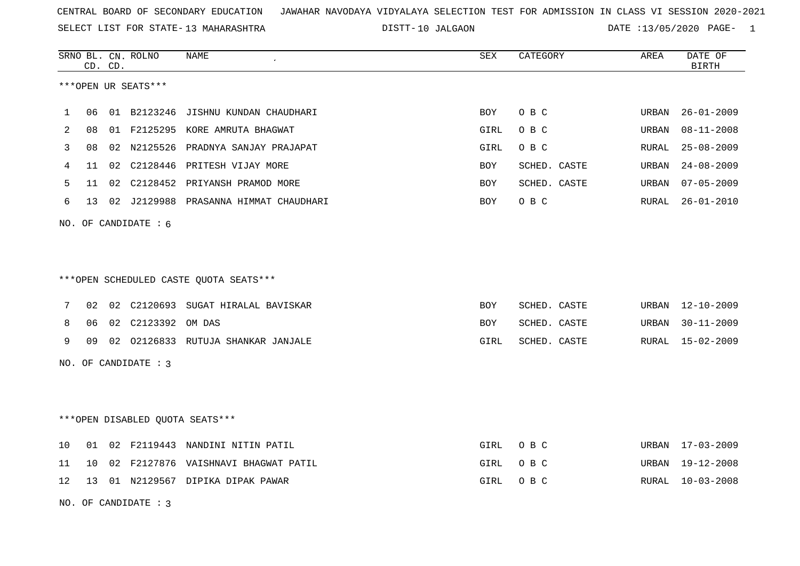SELECT LIST FOR STATE- DISTT- 13 MAHARASHTRA

DISTT-10 JALGAON **DATE** :13/05/2020 PAGE- 1

|    |    | CD. CD. | SRNO BL. CN. ROLNO   | NAME                                    | SEX        | CATEGORY     | AREA  | DATE OF<br><b>BIRTH</b> |
|----|----|---------|----------------------|-----------------------------------------|------------|--------------|-------|-------------------------|
|    |    |         | ***OPEN UR SEATS***  |                                         |            |              |       |                         |
| 1  | 06 |         | 01 B2123246          | JISHNU KUNDAN CHAUDHARI                 | <b>BOY</b> | O B C        | URBAN | $26 - 01 - 2009$        |
| 2  | 08 |         |                      | 01 F2125295 KORE AMRUTA BHAGWAT         | GIRL       | O B C        | URBAN | $08 - 11 - 2008$        |
| 3  | 08 |         |                      | 02 N2125526 PRADNYA SANJAY PRAJAPAT     | GIRL       | O B C        | RURAL | $25 - 08 - 2009$        |
| 4  | 11 |         |                      | 02 C2128446 PRITESH VIJAY MORE          | <b>BOY</b> | SCHED. CASTE | URBAN | $24 - 08 - 2009$        |
| 5  | 11 | 02      |                      | C2128452 PRIYANSH PRAMOD MORE           | BOY        | SCHED. CASTE | URBAN | $07 - 05 - 2009$        |
| 6  | 13 |         |                      | 02 J2129988 PRASANNA HIMMAT CHAUDHARI   | <b>BOY</b> | O B C        | RURAL | 26-01-2010              |
|    |    |         | NO. OF CANDIDATE : 6 |                                         |            |              |       |                         |
|    |    |         |                      |                                         |            |              |       |                         |
|    |    |         |                      |                                         |            |              |       |                         |
|    |    |         |                      | *** OPEN SCHEDULED CASTE QUOTA SEATS*** |            |              |       |                         |
| 7  | 02 |         |                      | 02 C2120693 SUGAT HIRALAL BAVISKAR      | BOY        | SCHED. CASTE | URBAN | 12-10-2009              |
| 8  | 06 |         | 02 C2123392 OM DAS   |                                         | <b>BOY</b> | SCHED. CASTE | URBAN | $30 - 11 - 2009$        |
| 9  | 09 |         |                      | 02 02126833 RUTUJA SHANKAR JANJALE      | GIRL       | SCHED. CASTE | RURAL | 15-02-2009              |
|    |    |         | NO. OF CANDIDATE : 3 |                                         |            |              |       |                         |
|    |    |         |                      |                                         |            |              |       |                         |
|    |    |         |                      |                                         |            |              |       |                         |
|    |    |         |                      | ***OPEN DISABLED QUOTA SEATS***         |            |              |       |                         |
| 10 | 01 |         |                      | 02 F2119443 NANDINI NITIN PATIL         | GIRL       | O B C        |       | URBAN 17-03-2009        |
| 11 | 10 |         |                      | 02 F2127876 VAISHNAVI BHAGWAT PATIL     | GIRL       | O B C        | URBAN | 19-12-2008              |
| 12 | 13 |         |                      | 01 N2129567 DIPIKA DIPAK PAWAR          | GIRL       | O B C        | RURAL | $10 - 03 - 2008$        |
|    |    |         | NO. OF CANDIDATE : 3 |                                         |            |              |       |                         |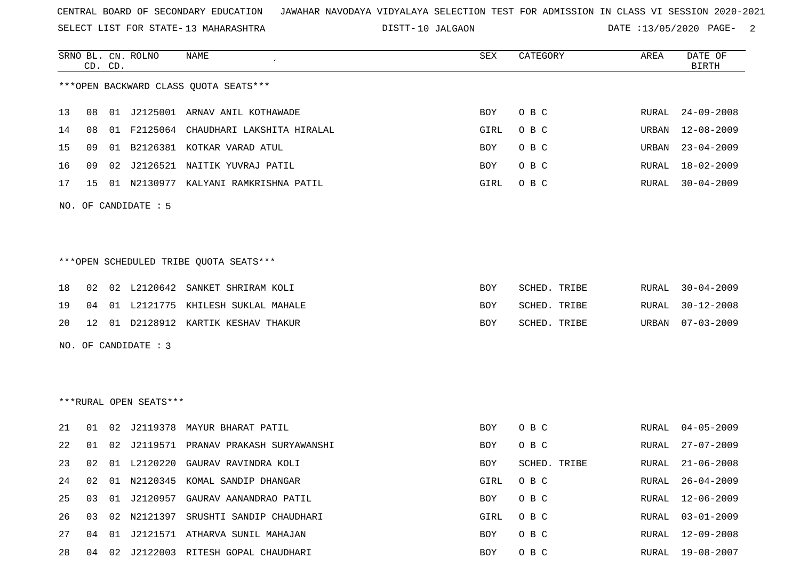SELECT LIST FOR STATE- DISTT- 13 MAHARASHTRA

DISTT-10 JALGAON DATE :13/05/2020 PAGE- 2

|    | CD. CD. | SRNO BL. CN. ROLNO     | NAME                                   | SEX  | CATEGORY     | AREA  | DATE OF<br><b>BIRTH</b> |
|----|---------|------------------------|----------------------------------------|------|--------------|-------|-------------------------|
|    |         |                        | *** OPEN BACKWARD CLASS QUOTA SEATS*** |      |              |       |                         |
| 13 | 08      |                        | 01 J2125001 ARNAV ANIL KOTHAWADE       | BOY  | O B C        | RURAL | 24-09-2008              |
| 14 | 08      |                        | 01 F2125064 CHAUDHARI LAKSHITA HIRALAL | GIRL | O B C        | URBAN | $12 - 08 - 2009$        |
| 15 | 09      |                        | 01 B2126381 KOTKAR VARAD ATUL          | BOY  | O B C        | URBAN | $23 - 04 - 2009$        |
| 16 | 09      |                        | 02 J2126521 NAITIK YUVRAJ PATIL        | BOY  | O B C        | RURAL | 18-02-2009              |
| 17 | 15      |                        | 01 N2130977 KALYANI RAMKRISHNA PATIL   | GIRL | O B C        | RURAL | $30 - 04 - 2009$        |
|    |         | NO. OF CANDIDATE : 5   |                                        |      |              |       |                         |
|    |         |                        | ***OPEN SCHEDULED TRIBE QUOTA SEATS*** |      |              |       |                         |
| 18 | 02      |                        | 02 L2120642 SANKET SHRIRAM KOLI        | BOY  | SCHED. TRIBE | RURAL | $30 - 04 - 2009$        |
| 19 | 04      |                        | 01 L2121775 KHILESH SUKLAL MAHALE      | BOY  | SCHED. TRIBE | RURAL | $30 - 12 - 2008$        |
| 20 | 12      |                        | 01 D2128912 KARTIK KESHAV THAKUR       | BOY  | SCHED. TRIBE |       | URBAN 07-03-2009        |
|    |         | NO. OF CANDIDATE : 3   |                                        |      |              |       |                         |
|    |         | ***RURAL OPEN SEATS*** |                                        |      |              |       |                         |
| 21 | 01      |                        | 02 J2119378 MAYUR BHARAT PATIL         | BOY  | O B C        | RURAL | 04-05-2009              |
| 22 | 01      |                        | 02 J2119571 PRANAV PRAKASH SURYAWANSHI | BOY  | O B C        | RURAL | $27 - 07 - 2009$        |
| 23 | 02      |                        | 01 L2120220 GAURAV RAVINDRA KOLI       | BOY  | SCHED. TRIBE | RURAL | $21 - 06 - 2008$        |
| 24 | 02      |                        | 01 N2120345 KOMAL SANDIP DHANGAR       | GIRL | O B C        |       | RURAL 26-04-2009        |
| 25 | 03      |                        | 01 J2120957 GAURAV AANANDRAO PATIL     | BOY  | O B C        | RURAL | 12-06-2009              |
| 26 | 03      |                        | 02 N2121397 SRUSHTI SANDIP CHAUDHARI   | GIRL | O B C        | RURAL | 03-01-2009              |
| 27 | 04      |                        | 01 J2121571 ATHARVA SUNIL MAHAJAN      | BOY  | O B C        | RURAL | 12-09-2008              |
| 28 |         |                        | 04 02 J2122003 RITESH GOPAL CHAUDHARI  | BOY  | O B C        |       | RURAL 19-08-2007        |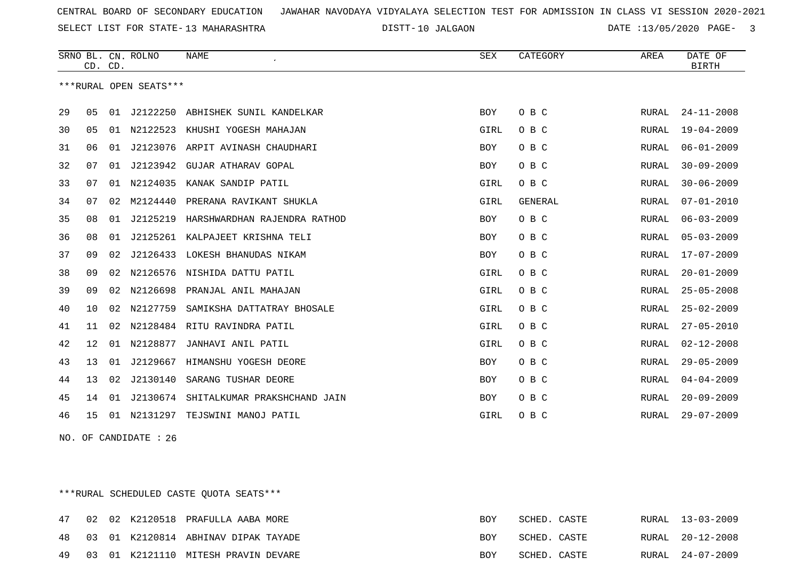SELECT LIST FOR STATE- DISTT- 13 MAHARASHTRA

10 JALGAON DATE :13/05/2020 PAGE- 3

|    | CD. CD. |    | SRNO BL. CN. ROLNO     | NAME                             | SEX        | CATEGORY       | AREA         | DATE OF<br><b>BIRTH</b> |
|----|---------|----|------------------------|----------------------------------|------------|----------------|--------------|-------------------------|
|    |         |    | ***RURAL OPEN SEATS*** |                                  |            |                |              |                         |
| 29 | 05      | 01 | J2122250               | ABHISHEK SUNIL KANDELKAR         | <b>BOY</b> | O B C          | RURAL        | $24 - 11 - 2008$        |
| 30 | 05      | 01 | N2122523               | KHUSHI YOGESH MAHAJAN            | GIRL       | O B C          | RURAL        | $19 - 04 - 2009$        |
| 31 | 06      | 01 |                        | J2123076 ARPIT AVINASH CHAUDHARI | <b>BOY</b> | O B C          | RURAL        | $06 - 01 - 2009$        |
| 32 | 07      | 01 | J2123942               | GUJAR ATHARAV GOPAL              | BOY        | O B C          | RURAL        | $30 - 09 - 2009$        |
| 33 | 07      | 01 | N2124035               | KANAK SANDIP PATIL               | GIRL       | O B C          | RURAL        | $30 - 06 - 2009$        |
| 34 | 07      | 02 | M2124440               | PRERANA RAVIKANT SHUKLA          | GIRL       | <b>GENERAL</b> | RURAL        | $07 - 01 - 2010$        |
| 35 | 08      | 01 | J2125219               | HARSHWARDHAN RAJENDRA RATHOD     | <b>BOY</b> | O B C          | RURAL        | $06 - 03 - 2009$        |
| 36 | 08      | 01 | J2125261               | KALPAJEET KRISHNA TELI           | <b>BOY</b> | O B C          | RURAL        | $05 - 03 - 2009$        |
| 37 | 09      | 02 | J2126433               | LOKESH BHANUDAS NIKAM            | <b>BOY</b> | O B C          | RURAL        | $17 - 07 - 2009$        |
| 38 | 09      | 02 | N2126576               | NISHIDA DATTU PATIL              | GIRL       | O B C          | RURAL        | $20 - 01 - 2009$        |
| 39 | 09      | 02 | N2126698               | PRANJAL ANIL MAHAJAN             | GIRL       | O B C          | RURAL        | $25 - 05 - 2008$        |
| 40 | 10      | 02 | N2127759               | SAMIKSHA DATTATRAY BHOSALE       | GIRL       | O B C          | RURAL        | $25 - 02 - 2009$        |
| 41 | 11      | 02 | N2128484               | RITU RAVINDRA PATIL              | GIRL       | O B C          | <b>RURAL</b> | $27 - 05 - 2010$        |
| 42 | 12      | 01 | N2128877               | JANHAVI ANIL PATIL               | GIRL       | O B C          | <b>RURAL</b> | $02 - 12 - 2008$        |
| 43 | 13      | 01 | J2129667               | HIMANSHU YOGESH DEORE            | <b>BOY</b> | O B C          | RURAL        | $29 - 05 - 2009$        |
| 44 | 13      | 02 | J2130140               | SARANG TUSHAR DEORE              | BOY        | O B C          | RURAL        | $04 - 04 - 2009$        |
| 45 | 14      | 01 | J2130674               | SHITALKUMAR PRAKSHCHAND JAIN     | <b>BOY</b> | O B C          | RURAL        | $20 - 09 - 2009$        |
| 46 | 15      | 01 | N2131297               | TEJSWINI MANOJ PATIL             | GIRL       | O B C          | RURAL        | $29 - 07 - 2009$        |

NO. OF CANDIDATE : 26

\*\*\*RURAL SCHEDULED CASTE QUOTA SEATS\*\*\*

| 47 |  | 02 02 K2120518 PRAFULLA AABA MORE   | BOY        | SCHED. CASTE | RURAL 13-03-2009 |
|----|--|-------------------------------------|------------|--------------|------------------|
| 48 |  | 03 01 K2120814 ABHINAV DIPAK TAYADE | BOY        | SCHED. CASTE | RURAL 20-12-2008 |
| 49 |  | 03 01 K2121110 MITESH PRAVIN DEVARE | <b>ROY</b> | SCHED. CASTE | RURAL 24-07-2009 |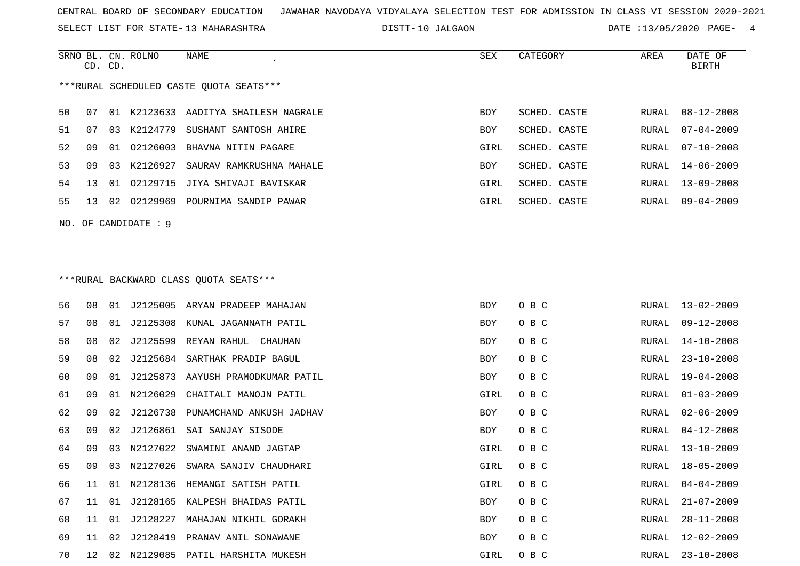SELECT LIST FOR STATE- DISTT- 13 MAHARASHTRA

DISTT-10 JALGAON DATE :13/05/2020 PAGE- 4

RURAL 18-05-2009

RURAL 28-11-2008

|                                          | CD. CD.              |    | SRNO BL. CN. ROLNO | <b>NAME</b>                            | SEX        | CATEGORY     | AREA         | DATE OF<br><b>BIRTH</b> |  |  |
|------------------------------------------|----------------------|----|--------------------|----------------------------------------|------------|--------------|--------------|-------------------------|--|--|
| *** RURAL SCHEDULED CASTE QUOTA SEATS*** |                      |    |                    |                                        |            |              |              |                         |  |  |
| 50                                       | 07                   |    |                    | 01 K2123633 AADITYA SHAILESH NAGRALE   | <b>BOY</b> | SCHED. CASTE | RURAL        | $08 - 12 - 2008$        |  |  |
| 51                                       | 07                   | 03 | K2124779           | SUSHANT SANTOSH AHIRE                  | <b>BOY</b> | SCHED. CASTE | RURAL        | $07 - 04 - 2009$        |  |  |
| 52                                       | 09                   | 01 |                    | 02126003 BHAVNA NITIN PAGARE           | GIRL       | SCHED. CASTE | RURAL        | $07 - 10 - 2008$        |  |  |
| 53                                       | 09                   | 03 | K2126927           | SAURAV RAMKRUSHNA MAHALE               | BOY        | SCHED. CASTE | RURAL        | $14 - 06 - 2009$        |  |  |
| 54                                       | 13                   | 01 |                    | 02129715 JIYA SHIVAJI BAVISKAR         | GIRL       | SCHED. CASTE | RURAL        | $13 - 09 - 2008$        |  |  |
| 55                                       | 13                   |    |                    | 02 02129969 POURNIMA SANDIP PAWAR      | GIRL       | SCHED. CASTE | RURAL        | $09 - 04 - 2009$        |  |  |
|                                          | NO. OF CANDIDATE : 9 |    |                    |                                        |            |              |              |                         |  |  |
|                                          |                      |    |                    |                                        |            |              |              |                         |  |  |
|                                          |                      |    |                    |                                        |            |              |              |                         |  |  |
|                                          |                      |    |                    | ***RURAL BACKWARD CLASS OUOTA SEATS*** |            |              |              |                         |  |  |
|                                          |                      |    |                    |                                        |            |              |              |                         |  |  |
| 56                                       | 08                   |    |                    | 01 J2125005 ARYAN PRADEEP MAHAJAN      | <b>BOY</b> | O B C        | RURAL        | $13 - 02 - 2009$        |  |  |
| 57                                       | 08                   | 01 |                    | J2125308 KUNAL JAGANNATH PATIL         | BOY        | O B C        | RURAL        | $09 - 12 - 2008$        |  |  |
| 58                                       | 08                   | 02 | J2125599           | REYAN RAHUL CHAUHAN                    | <b>BOY</b> | O B C        | RURAL        | $14 - 10 - 2008$        |  |  |
| 59                                       | 08                   | 02 |                    | J2125684 SARTHAK PRADIP BAGUL          | BOY        | O B C        | RURAL        | $23 - 10 - 2008$        |  |  |
| 60                                       | 09                   | 01 |                    | J2125873 AAYUSH PRAMODKUMAR PATIL      | <b>BOY</b> | O B C        | RURAL        | $19 - 04 - 2008$        |  |  |
| 61                                       | 09                   | 01 | N2126029           | CHAITALI MANOJN PATIL                  | GIRL       | O B C        | RURAL        | $01 - 03 - 2009$        |  |  |
| 62                                       | 09                   | 02 | J2126738           | PUNAMCHAND ANKUSH JADHAV               | <b>BOY</b> | O B C        | <b>RURAL</b> | $02 - 06 - 2009$        |  |  |
| 63                                       | 09                   | 02 | J2126861           | SAI SANJAY SISODE                      | <b>BOY</b> | O B C        | RURAL        | $04 - 12 - 2008$        |  |  |
| 64                                       | 09                   | 03 | N2127022           | SWAMINI ANAND JAGTAP                   | GIRL       | O B C        | <b>RURAL</b> | $13 - 10 - 2009$        |  |  |

65 09 03 N2127026 SWARA SANJIV CHAUDHARI GIRL O B C RURAL 18-05-2009

66 11 01 N2128136 HEMANGI SATISH PATIL GURAL GIRL O B C RURAL 04-04-2009 67 11 01 J2128165 KALPESH BHAIDAS PATIL BOY O B C RURAL 2009 BOY O B C RURAL 21-07-2009 68 11 01 J2128227 MAHAJAN NIKHIL GORAKH BOY O B C 69 11 02 J2128419 PRANAV ANIL SONAWANE SON BOY O B C RURAL 12-02-2009

70 12 02 N2129085 PATIL HARSHITA MUKESH GIRL O B C RURAL 23-10-2008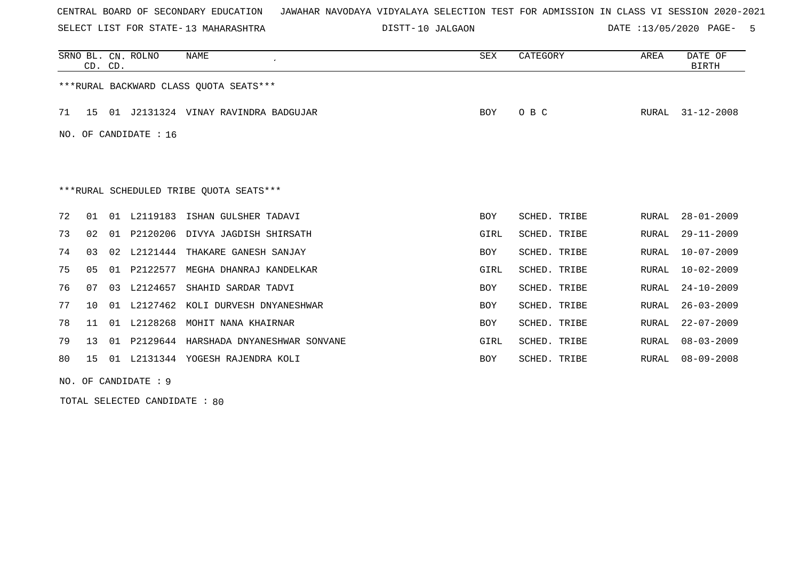SELECT LIST FOR STATE- DISTT- 13 MAHARASHTRA

DISTT-10 JALGAON **DATE** :13/05/2020 PAGE- 5

|                                          | CD. CD.        |    | SRNO BL. CN. ROLNO | NAME                                | SEX        | CATEGORY     | AREA  | DATE OF<br><b>BIRTH</b> |
|------------------------------------------|----------------|----|--------------------|-------------------------------------|------------|--------------|-------|-------------------------|
| *** RURAL BACKWARD CLASS QUOTA SEATS***  |                |    |                    |                                     |            |              |       |                         |
| 71                                       | 15             |    |                    | 01 J2131324 VINAY RAVINDRA BADGUJAR | <b>BOY</b> | O B C        | RURAL | $31 - 12 - 2008$        |
| NO. OF CANDIDATE : 16                    |                |    |                    |                                     |            |              |       |                         |
|                                          |                |    |                    |                                     |            |              |       |                         |
|                                          |                |    |                    |                                     |            |              |       |                         |
| *** RURAL SCHEDULED TRIBE QUOTA SEATS*** |                |    |                    |                                     |            |              |       |                         |
| 72                                       | 01             |    |                    | 01 L2119183 ISHAN GULSHER TADAVI    | <b>BOY</b> | SCHED. TRIBE | RURAL | $28 - 01 - 2009$        |
| 73                                       | 02             |    |                    | 01 P2120206 DIVYA JAGDISH SHIRSATH  | GIRL       | SCHED. TRIBE | RURAL | $29 - 11 - 2009$        |
| 74                                       | 03             |    |                    | 02 L2121444 THAKARE GANESH SANJAY   | <b>BOY</b> | SCHED. TRIBE | RURAL | $10 - 07 - 2009$        |
| 75                                       | 0 <sub>5</sub> |    |                    | 01 P2122577 MEGHA DHANRAJ KANDELKAR | GIRL       | SCHED. TRIBE | RURAL | $10 - 02 - 2009$        |
| 76                                       | 07             | 03 | L2124657           | SHAHID SARDAR TADVI                 | BOY        | SCHED. TRIBE | RURAL | $24 - 10 - 2009$        |
| 77                                       | 10             |    | 01 L2127462        | KOLI DURVESH DNYANESHWAR            | <b>BOY</b> | SCHED. TRIBE | RURAL | $26 - 03 - 2009$        |
| 78                                       | 11             |    | 01 L2128268        | MOHIT NANA KHAIRNAR                 | <b>BOY</b> | SCHED. TRIBE | RURAL | $22 - 07 - 2009$        |
| 79                                       | 13             | 01 | P2129644           | HARSHADA DNYANESHWAR SONVANE        | GIRL       | SCHED. TRIBE | RURAL | $08 - 03 - 2009$        |
| 80                                       | 15             |    |                    | 01 L2131344 YOGESH RAJENDRA KOLI    | <b>BOY</b> | SCHED. TRIBE | RURAL | $08 - 09 - 2008$        |

NO. OF CANDIDATE : 9

TOTAL SELECTED CANDIDATE : 80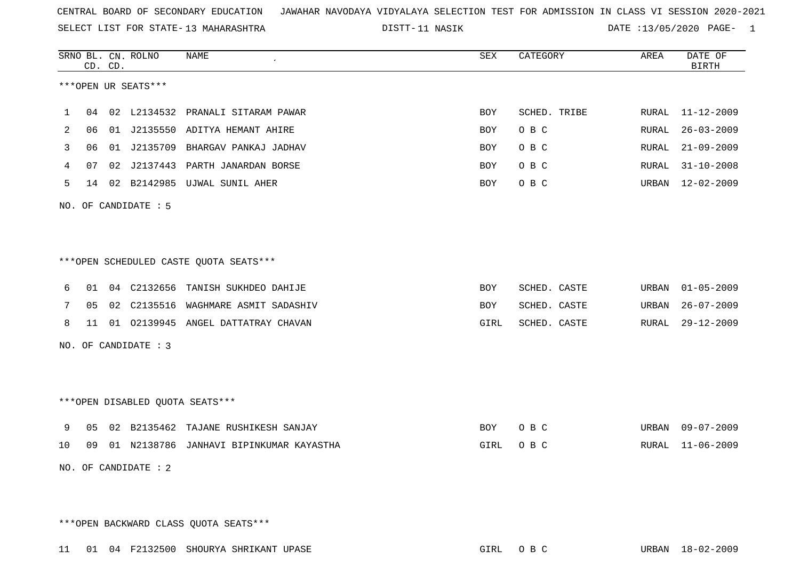SELECT LIST FOR STATE- DISTT- 13 MAHARASHTRA

11 NASIK DATE :13/05/2020 PAGE- 1

|    |                                        | CD. CD. | SRNO BL. CN. ROLNO   | <b>NAME</b><br>$\pmb{\cdot}$            | <b>SEX</b> | CATEGORY     | AREA  | DATE OF<br><b>BIRTH</b> |  |
|----|----------------------------------------|---------|----------------------|-----------------------------------------|------------|--------------|-------|-------------------------|--|
|    | ***OPEN UR SEATS***                    |         |                      |                                         |            |              |       |                         |  |
| 1  | 04                                     |         |                      | 02 L2134532 PRANALI SITARAM PAWAR       | BOY        | SCHED. TRIBE | RURAL | $11 - 12 - 2009$        |  |
| 2  | 06                                     |         |                      | 01 J2135550 ADITYA HEMANT AHIRE         | BOY        | O B C        | RURAL | $26 - 03 - 2009$        |  |
| 3  | 06                                     |         |                      | 01 J2135709 BHARGAV PANKAJ JADHAV       | BOY        | O B C        | RURAL | $21 - 09 - 2009$        |  |
| 4  | 07                                     | 02      |                      | J2137443 PARTH JANARDAN BORSE           | BOY        | O B C        | RURAL | $31 - 10 - 2008$        |  |
| 5  | 14                                     |         |                      | 02 B2142985 UJWAL SUNIL AHER            | BOY        | O B C        | URBAN | $12 - 02 - 2009$        |  |
|    |                                        |         | NO. OF CANDIDATE : 5 |                                         |            |              |       |                         |  |
|    |                                        |         |                      |                                         |            |              |       |                         |  |
|    | ***OPEN SCHEDULED CASTE QUOTA SEATS*** |         |                      |                                         |            |              |       |                         |  |
| 6  |                                        |         |                      | 01 04 C2132656 TANISH SUKHDEO DAHIJE    | BOY        | SCHED. CASTE | URBAN | $01 - 05 - 2009$        |  |
| 7  | 05                                     |         |                      | 02 C2135516 WAGHMARE ASMIT SADASHIV     | BOY        | SCHED. CASTE | URBAN | $26 - 07 - 2009$        |  |
| 8  | 11                                     |         |                      | 01 02139945 ANGEL DATTATRAY CHAVAN      | GIRL       | SCHED. CASTE | RURAL | $29 - 12 - 2009$        |  |
|    | NO. OF CANDIDATE : 3                   |         |                      |                                         |            |              |       |                         |  |
|    |                                        |         |                      |                                         |            |              |       |                         |  |
|    | *** OPEN DISABLED QUOTA SEATS***       |         |                      |                                         |            |              |       |                         |  |
| 9  | 05                                     |         |                      | 02 B2135462 TAJANE RUSHIKESH SANJAY     | BOY        | O B C        | URBAN | $09 - 07 - 2009$        |  |
| 10 | 09                                     |         |                      | 01 N2138786 JANHAVI BIPINKUMAR KAYASTHA | GIRL       | O B C        | RURAL | $11 - 06 - 2009$        |  |
|    | NO. OF CANDIDATE : 2                   |         |                      |                                         |            |              |       |                         |  |
|    |                                        |         |                      |                                         |            |              |       |                         |  |

\*\*\*OPEN BACKWARD CLASS QUOTA SEATS\*\*\*

11 01 04 F2132500 SHOURYA SHRIKANT UPASE GIRL O B C URBAN 18-02-2009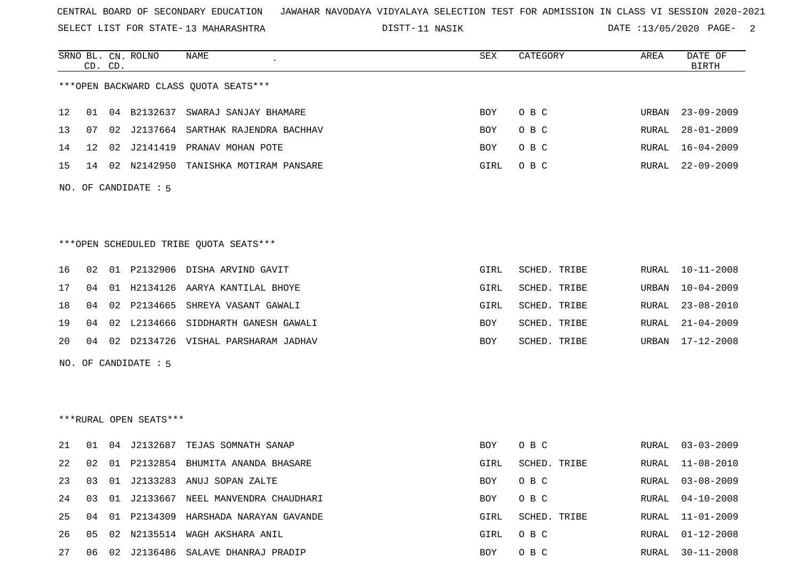SELECT LIST FOR STATE- DISTT- 13 MAHARASHTRA

DISTT-11 NASIK 2001 2002 DATE :13/05/2020 PAGE-

|    |                 | CD. CD. | SRNO BL. CN. ROLNO     | <b>NAME</b>                             | SEX        | CATEGORY     | AREA  | DATE OF<br><b>BIRTH</b> |
|----|-----------------|---------|------------------------|-----------------------------------------|------------|--------------|-------|-------------------------|
|    |                 |         |                        | *** OPEN BACKWARD CLASS QUOTA SEATS *** |            |              |       |                         |
| 12 | 01              |         |                        | 04 B2132637 SWARAJ SANJAY BHAMARE       | <b>BOY</b> | O B C        | URBAN | $23 - 09 - 2009$        |
| 13 | 07              | 02      |                        | J2137664 SARTHAK RAJENDRA BACHHAV       | <b>BOY</b> | O B C        | RURAL | $28 - 01 - 2009$        |
| 14 | 12 <sup>°</sup> |         |                        | 02 J2141419 PRANAV MOHAN POTE           | <b>BOY</b> | O B C        | RURAL | $16 - 04 - 2009$        |
| 15 | 14              |         |                        | 02 N2142950 TANISHKA MOTIRAM PANSARE    | GIRL       | O B C        | RURAL | $22 - 09 - 2009$        |
|    |                 |         | NO. OF CANDIDATE : 5   |                                         |            |              |       |                         |
|    |                 |         |                        |                                         |            |              |       |                         |
|    |                 |         |                        |                                         |            |              |       |                         |
|    |                 |         |                        | ***OPEN SCHEDULED TRIBE QUOTA SEATS***  |            |              |       |                         |
| 16 | 02              |         |                        | 01 P2132906 DISHA ARVIND GAVIT          | GIRL       | SCHED. TRIBE | RURAL | $10 - 11 - 2008$        |
| 17 | 04              |         |                        | 01 H2134126 AARYA KANTILAL BHOYE        | GIRL       | SCHED. TRIBE | URBAN | $10 - 04 - 2009$        |
| 18 | 04              | 02      |                        | P2134665 SHREYA VASANT GAWALI           | GIRL       | SCHED. TRIBE | RURAL | $23 - 08 - 2010$        |
| 19 | 04              | 02      |                        | L2134666 SIDDHARTH GANESH GAWALI        | <b>BOY</b> | SCHED. TRIBE | RURAL | $21 - 04 - 2009$        |
| 20 | 04              |         |                        | 02 D2134726 VISHAL PARSHARAM JADHAV     | BOY        | SCHED. TRIBE | URBAN | $17 - 12 - 2008$        |
|    |                 |         | NO. OF CANDIDATE : 5   |                                         |            |              |       |                         |
|    |                 |         |                        |                                         |            |              |       |                         |
|    |                 |         |                        |                                         |            |              |       |                         |
|    |                 |         | ***RURAL OPEN SEATS*** |                                         |            |              |       |                         |

| 21  | 01 |                | 04 J2132687 TEJAS SOMNATH SANAP            | BOY        | O B C        | RURAL 03-03-2009 |
|-----|----|----------------|--------------------------------------------|------------|--------------|------------------|
| 2.2 |    |                | 02 01 P2132854 BHUMITA ANANDA BHASARE      | GIRL       | SCHED. TRIBE | RURAL 11-08-2010 |
| 23  | 03 |                | 01 J2133283 ANUJ SOPAN ZALTE               | BOY        | $O$ B C      | RURAL 03-08-2009 |
| 2.4 |    | 03 01 J2133667 | NEEL MANVENDRA CHAUDHARI                   | BOY        | $O$ B C      | RURAL 04-10-2008 |
|     |    |                | 25 04 01 P2134309 HARSHADA NARAYAN GAVANDE | GIRL       | SCHED. TRIBE | RURAL 11-01-2009 |
| 26  |    |                | 05 02 N2135514 WAGH AKSHARA ANIL           | GIRL OBC   |              | RURAL 01-12-2008 |
| 27  | 06 |                | 02 J2136486 SALAVE DHANRAJ PRADIP          | <b>BOY</b> | O B C        | RURAL 30-11-2008 |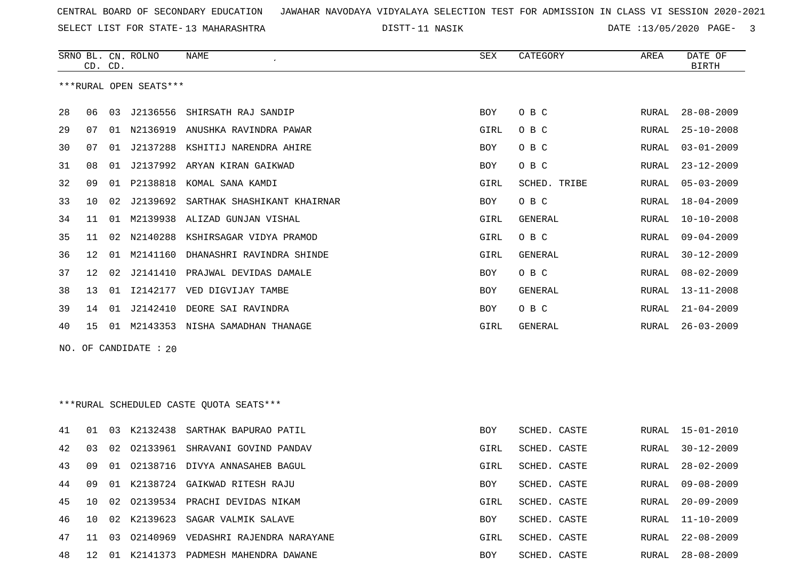SELECT LIST FOR STATE- DISTT- 13 MAHARASHTRA

11 NASIK DATE :13/05/2020 PAGE- 3

|     |    | CD. CD. | SRNO BL. CN. ROLNO     | NAME                                     | <b>SEX</b> | CATEGORY       | AREA          | DATE OF<br>BIRTH |
|-----|----|---------|------------------------|------------------------------------------|------------|----------------|---------------|------------------|
|     |    |         | ***RURAL OPEN SEATS*** |                                          |            |                |               |                  |
| 28  | 06 |         | 03 J2136556            | SHIRSATH RAJ SANDIP                      | BOY        | O B C          | RURAL         | $28 - 08 - 2009$ |
| 29  | 07 |         |                        | 01 N2136919 ANUSHKA RAVINDRA PAWAR       | GIRL       | O B C          | RURAL         | $25 - 10 - 2008$ |
| 30  | 07 |         |                        | 01 J2137288 KSHITIJ NARENDRA AHIRE       | BOY        | O B C          | RURAL         | $03 - 01 - 2009$ |
| 31  | 08 | 01      |                        | J2137992 ARYAN KIRAN GAIKWAD             | <b>BOY</b> | O B C          | <b>RURAL</b>  | $23 - 12 - 2009$ |
| 32  | 09 |         |                        | 01 P2138818 KOMAL SANA KAMDI             | GIRL       | SCHED. TRIBE   | RURAL         | $05 - 03 - 2009$ |
| 33  | 10 | 02      |                        | J2139692 SARTHAK SHASHIKANT KHAIRNAR     | BOY        | O B C          | RURAL         | $18 - 04 - 2009$ |
| 34  | 11 | 01      |                        | M2139938 ALIZAD GUNJAN VISHAL            | GIRL       | GENERAL        | RURAL         | $10 - 10 - 2008$ |
| 35  | 11 | 02      |                        | N2140288 KSHIRSAGAR VIDYA PRAMOD         | GIRL       | O B C          | RURAL         | $09 - 04 - 2009$ |
| 36  | 12 | 01      | M2141160               | DHANASHRI RAVINDRA SHINDE                | GIRL       | <b>GENERAL</b> | RURAL         | $30 - 12 - 2009$ |
| 37  | 12 | 02      |                        | J2141410 PRAJWAL DEVIDAS DAMALE          | BOY        | O B C          | RURAL         | $08 - 02 - 2009$ |
| 38  | 13 | 01      |                        | 12142177 VED DIGVIJAY TAMBE              | <b>BOY</b> | GENERAL        | RURAL         | $13 - 11 - 2008$ |
| 39  | 14 | 01      |                        | J2142410 DEORE SAI RAVINDRA              | BOY        | O B C          | RURAL         | $21 - 04 - 2009$ |
| 40  | 15 |         |                        | 01 M2143353 NISHA SAMADHAN THANAGE       | GIRL       | GENERAL        | RURAL         | $26 - 03 - 2009$ |
| NO. |    |         | OF CANDIDATE : 20      |                                          |            |                |               |                  |
|     |    |         |                        |                                          |            |                |               |                  |
|     |    |         |                        |                                          |            |                |               |                  |
|     |    |         |                        | *** RURAL SCHEDULED CASTE QUOTA SEATS*** |            |                |               |                  |
|     |    |         |                        |                                          |            |                |               |                  |
| 41  | 01 | 03      | K2132438               | SARTHAK BAPURAO PATIL                    | <b>BOY</b> | SCHED. CASTE   | ${\tt RURAL}$ | $15 - 01 - 2010$ |
| 42  | 03 | 02      |                        | 02133961 SHRAVANI GOVIND PANDAV          | GIRL       | SCHED. CASTE   | RURAL         | $30 - 12 - 2009$ |
| 43  | 09 | 01      |                        | 02138716 DIVYA ANNASAHEB BAGUL           | GIRL       | SCHED. CASTE   | RURAL         | $28 - 02 - 2009$ |
| 44  | 09 |         |                        | 01 K2138724 GAIKWAD RITESH RAJU          | BOY        | SCHED. CASTE   | RURAL         | $09 - 08 - 2009$ |
| 45  | 10 | 02      |                        | 02139534 PRACHI DEVIDAS NIKAM            | GIRL       | SCHED. CASTE   | RURAL         | $20 - 09 - 2009$ |
| 46  | 10 | 02      | K2139623               | SAGAR VALMIK SALAVE                      | BOY        | SCHED. CASTE   | RURAL         | $11 - 10 - 2009$ |
| 47  | 11 |         |                        | 03 02140969 VEDASHRI RAJENDRA NARAYANE   | GIRL       | SCHED. CASTE   | RURAL         | $22 - 08 - 2009$ |

12 01 K2141373 PADMESH MAHENDRA DAWANE BOY SCHED. CASTE RURAL 28-08-2009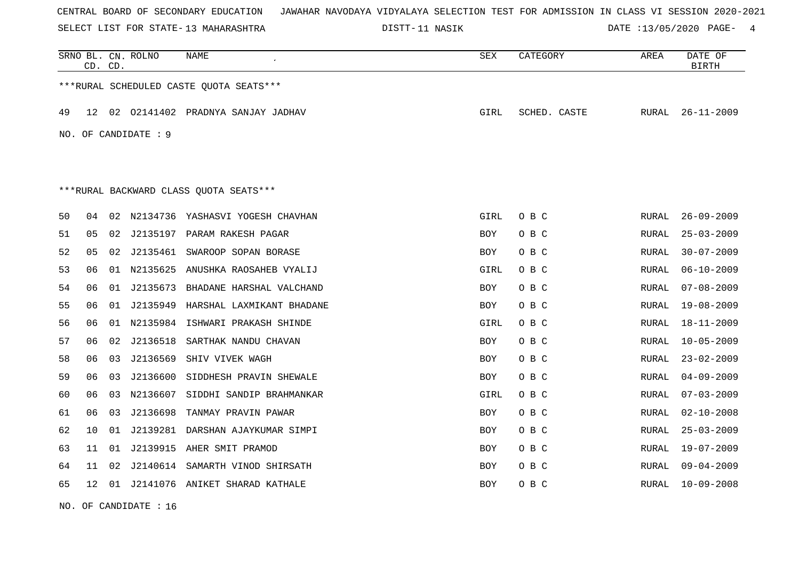SELECT LIST FOR STATE- DISTT- 13 MAHARASHTRA

DISTT-11 NASIK **DATE** :13/05/2020 PAGE- 4

|    | CD. CD. |    | SRNO BL. CN. ROLNO     | NAME                                    | SEX        | CATEGORY     | AREA  | DATE OF<br><b>BIRTH</b> |
|----|---------|----|------------------------|-----------------------------------------|------------|--------------|-------|-------------------------|
|    |         |    |                        | ***RURAL SCHEDULED CASTE QUOTA SEATS*** |            |              |       |                         |
| 49 | 12      | 02 | 02141402               | PRADNYA SANJAY JADHAV                   | GIRL       | SCHED. CASTE | RURAL | $26 - 11 - 2009$        |
|    |         |    | NO. OF CANDIDATE : $9$ |                                         |            |              |       |                         |
|    |         |    |                        |                                         |            |              |       |                         |
|    |         |    |                        | *** RURAL BACKWARD CLASS QUOTA SEATS*** |            |              |       |                         |
| 50 | 04      |    |                        | 02 N2134736 YASHASVI YOGESH CHAVHAN     | GIRL       | O B C        | RURAL | $26 - 09 - 2009$        |
| 51 | 05      |    |                        | 02 J2135197 PARAM RAKESH PAGAR          | BOY        | O B C        | RURAL | $25 - 03 - 2009$        |
| 52 | 05      |    |                        | 02 J2135461 SWAROOP SOPAN BORASE        | <b>BOY</b> | O B C        | RURAL | $30 - 07 - 2009$        |
| 53 | 06      |    | 01 N2135625            | ANUSHKA RAOSAHEB VYALIJ                 | GIRL       | O B C        | RURAL | $06 - 10 - 2009$        |
| 54 | 06      |    | 01 J2135673            | BHADANE HARSHAL VALCHAND                | <b>BOY</b> | O B C        | RURAL | $07 - 08 - 2009$        |
| 55 | 06      |    | 01 J2135949            | HARSHAL LAXMIKANT BHADANE               | <b>BOY</b> | O B C        | RURAL | $19 - 08 - 2009$        |
| 56 | 06      |    |                        | 01 N2135984 ISHWARI PRAKASH SHINDE      | GIRL       | O B C        | RURAL | $18 - 11 - 2009$        |
| 57 | 06      | 02 | J2136518               | SARTHAK NANDU CHAVAN                    | <b>BOY</b> | O B C        | RURAL | $10 - 05 - 2009$        |
| 58 | 06      | 03 | J2136569               | SHIV VIVEK WAGH                         | <b>BOY</b> | O B C        | RURAL | $23 - 02 - 2009$        |
| 59 | 06      | 03 | J2136600               | SIDDHESH PRAVIN SHEWALE                 | <b>BOY</b> | O B C        | RURAL | $04 - 09 - 2009$        |
| 60 | 06      | 03 | N2136607               | SIDDHI SANDIP BRAHMANKAR                | GIRL       | O B C        | RURAL | $07 - 03 - 2009$        |
| 61 | 06      | 03 | J2136698               | TANMAY PRAVIN PAWAR                     | <b>BOY</b> | O B C        | RURAL | $02 - 10 - 2008$        |
| 62 | 10      | 01 | J2139281               | DARSHAN AJAYKUMAR SIMPI                 | <b>BOY</b> | O B C        | RURAL | $25 - 03 - 2009$        |
| 63 | 11      | 01 | J2139915               | AHER SMIT PRAMOD                        | BOY        | O B C        | RURAL | $19 - 07 - 2009$        |
| 64 | 11      | 02 |                        | J2140614 SAMARTH VINOD SHIRSATH         | BOY        | O B C        | RURAL | $09 - 04 - 2009$        |
| 65 | 12      | 01 |                        | J2141076 ANIKET SHARAD KATHALE          | <b>BOY</b> | O B C        | RURAL | $10 - 09 - 2008$        |

NO. OF CANDIDATE : 16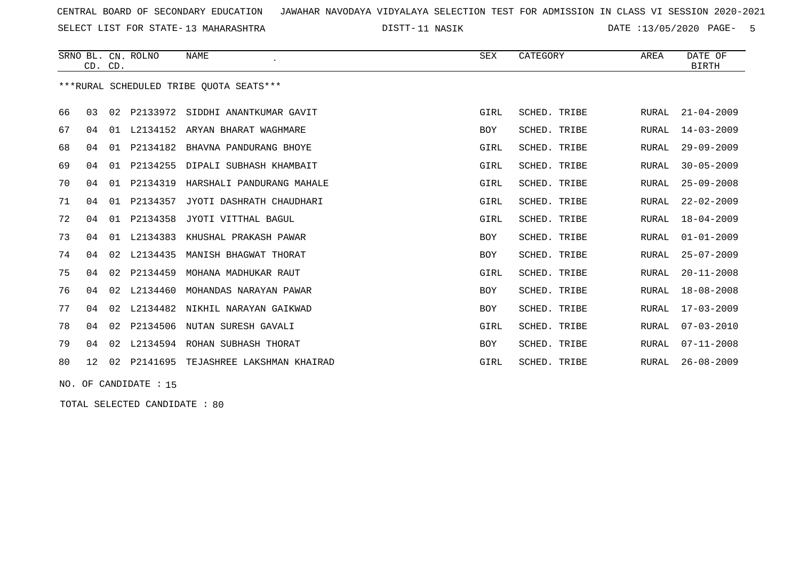SELECT LIST FOR STATE- DISTT- 13 MAHARASHTRA

DISTT-11 NASIK **DATE** :13/05/2020 PAGE- 5

|    |    | CD. CD. | SRNO BL. CN. ROLNO | <b>NAME</b>                             | <b>SEX</b>  | CATEGORY     | AREA  | DATE OF<br><b>BIRTH</b> |
|----|----|---------|--------------------|-----------------------------------------|-------------|--------------|-------|-------------------------|
|    |    |         |                    | ***RURAL SCHEDULED TRIBE OUOTA SEATS*** |             |              |       |                         |
| 66 | 03 | 02      | P2133972           | SIDDHI ANANTKUMAR GAVIT                 | GIRL        | SCHED. TRIBE | RURAL | $21 - 04 - 2009$        |
| 67 | 04 | 01      | L2134152           | ARYAN BHARAT WAGHMARE                   | <b>BOY</b>  | SCHED. TRIBE | RURAL | $14 - 03 - 2009$        |
| 68 | 04 | 01      | P2134182           | BHAVNA PANDURANG BHOYE                  | GIRL        | SCHED. TRIBE | RURAL | $29 - 09 - 2009$        |
| 69 | 04 | 01      | P2134255           | DIPALI SUBHASH KHAMBAIT                 | GIRL        | SCHED. TRIBE | RURAL | $30 - 05 - 2009$        |
| 70 | 04 | 01      | P2134319           | HARSHALI PANDURANG MAHALE               | GIRL        | SCHED. TRIBE | RURAL | $25 - 09 - 2008$        |
| 71 | 04 | 01      | P2134357           | JYOTI DASHRATH CHAUDHARI                | GIRL        | SCHED. TRIBE | RURAL | $22 - 02 - 2009$        |
| 72 | 04 | 01      | P2134358           | JYOTI VITTHAL BAGUL                     | GIRL        | SCHED. TRIBE | RURAL | $18 - 04 - 2009$        |
| 73 | 04 | 01      | L2134383           | KHUSHAL PRAKASH PAWAR                   | <b>BOY</b>  | SCHED. TRIBE | RURAL | $01 - 01 - 2009$        |
| 74 | 04 | 02      | L2134435           | MANISH BHAGWAT THORAT                   | <b>BOY</b>  | SCHED. TRIBE | RURAL | $25 - 07 - 2009$        |
| 75 | 04 | 02      | P2134459           | MOHANA MADHUKAR RAUT                    | GIRL        | SCHED. TRIBE | RURAL | $20 - 11 - 2008$        |
| 76 | 04 | 02      | L2134460           | MOHANDAS NARAYAN PAWAR                  | <b>BOY</b>  | SCHED. TRIBE | RURAL | $18 - 08 - 2008$        |
| 77 | 04 | 02      | L2134482           | NIKHIL NARAYAN GAIKWAD                  | <b>BOY</b>  | SCHED. TRIBE | RURAL | $17 - 03 - 2009$        |
| 78 | 04 | 02      | P2134506           | NUTAN SURESH GAVALI                     | <b>GIRL</b> | SCHED. TRIBE | RURAL | $07 - 03 - 2010$        |
| 79 | 04 | 02      | L2134594           | ROHAN SUBHASH THORAT                    | <b>BOY</b>  | SCHED. TRIBE | RURAL | $07 - 11 - 2008$        |
| 80 | 12 | 02      | P2141695           | TEJASHREE LAKSHMAN KHAIRAD              | GIRL        | SCHED. TRIBE | RURAL | $26 - 08 - 2009$        |

NO. OF CANDIDATE : 15

TOTAL SELECTED CANDIDATE : 80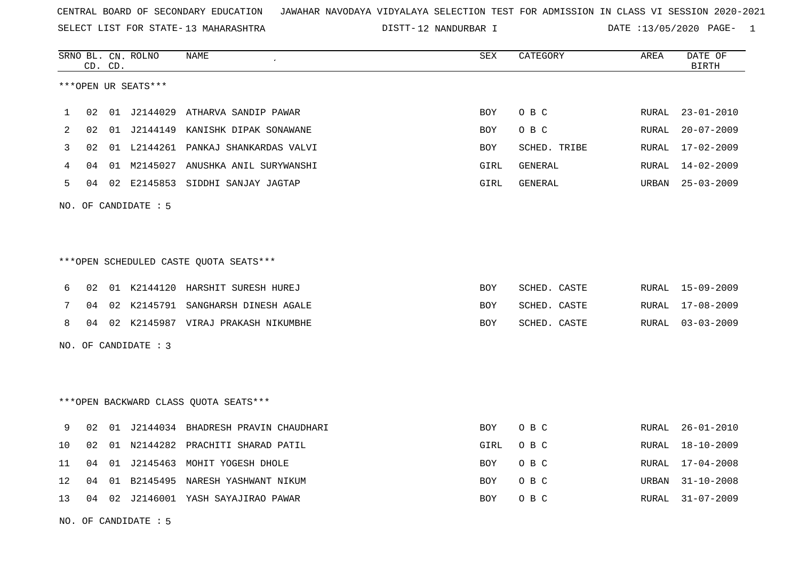SELECT LIST FOR STATE- DISTT- 13 MAHARASHTRA

DISTT-12 NANDURBAR I DATE :13/05/2020 PAGE- 1

|     |    | CD. CD. | SRNO BL. CN. ROLNO     | <b>NAME</b>                            | <b>SEX</b> | CATEGORY       | AREA  | DATE OF<br><b>BIRTH</b> |
|-----|----|---------|------------------------|----------------------------------------|------------|----------------|-------|-------------------------|
|     |    |         | ***OPEN UR SEATS***    |                                        |            |                |       |                         |
| 1   | 02 |         | 01 J2144029            | ATHARVA SANDIP PAWAR                   | <b>BOY</b> | O B C          | RURAL | $23 - 01 - 2010$        |
| 2   | 02 |         |                        | 01 J2144149 KANISHK DIPAK SONAWANE     | <b>BOY</b> | O B C          | RURAL | $20 - 07 - 2009$        |
| 3   | 02 |         |                        | 01 L2144261 PANKAJ SHANKARDAS VALVI    | <b>BOY</b> | SCHED. TRIBE   | RURAL | $17 - 02 - 2009$        |
| 4   | 04 |         | 01 M2145027            | ANUSHKA ANIL SURYWANSHI                | GIRL       | <b>GENERAL</b> | RURAL | $14 - 02 - 2009$        |
| 5   | 04 | 02      | E2145853               | SIDDHI SANJAY JAGTAP                   | GIRL       | GENERAL        | URBAN | $25 - 03 - 2009$        |
|     |    |         | NO. OF CANDIDATE $: 5$ |                                        |            |                |       |                         |
|     |    |         |                        |                                        |            |                |       |                         |
|     |    |         |                        | ***OPEN SCHEDULED CASTE QUOTA SEATS*** |            |                |       |                         |
| 6   | 02 |         |                        | 01 K2144120 HARSHIT SURESH HUREJ       | BOY        | SCHED. CASTE   | RURAL | 15-09-2009              |
| 7   | 04 | 02      | K2145791               | SANGHARSH DINESH AGALE                 | <b>BOY</b> | SCHED. CASTE   | RURAL | $17 - 08 - 2009$        |
| 8   | 04 |         |                        | 02 K2145987 VIRAJ PRAKASH NIKUMBHE     | <b>BOY</b> | SCHED. CASTE   | RURAL | $03 - 03 - 2009$        |
| NO. |    |         | OF CANDIDATE : 3       |                                        |            |                |       |                         |
|     |    |         |                        |                                        |            |                |       |                         |
|     |    |         |                        | *** OPEN BACKWARD CLASS QUOTA SEATS*** |            |                |       |                         |
| 9   | 02 | 01      |                        | J2144034 BHADRESH PRAVIN CHAUDHARI     | <b>BOY</b> | O B C          | RURAL | $26 - 01 - 2010$        |
| 10  | 02 |         |                        | 01 N2144282 PRACHITI SHARAD PATIL      | GIRL       | O B C          | RURAL | $18 - 10 - 2009$        |
| 11  | 04 | 01      |                        | J2145463 MOHIT YOGESH DHOLE            | <b>BOY</b> | O B C          | RURAL | $17 - 04 - 2008$        |
| 12  | 04 | 01      | B2145495               | NARESH YASHWANT NIKUM                  | BOY        | O B C          | URBAN | $31 - 10 - 2008$        |
| 13  | 04 | 02      |                        | J2146001 YASH SAYAJIRAO PAWAR          | BOY        | O B C          | RURAL | $31 - 07 - 2009$        |

NO. OF CANDIDATE : 5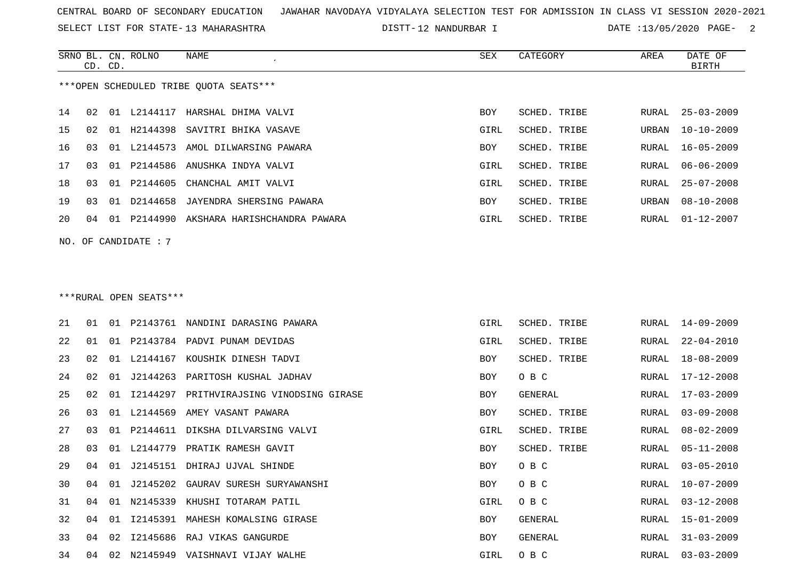SRNO BL. CN. ROLNO NAME SEX CATEGORY AREA DATE OF

SELECT LIST FOR STATE- DISTT- 13 MAHARASHTRA

12 NANDURBAR I DATE :13/05/2020 PAGE- 2

|      | CD. CD. |    |                        |                                             |      |              |                  | <b>BIRTH</b>     |
|------|---------|----|------------------------|---------------------------------------------|------|--------------|------------------|------------------|
|      |         |    |                        | ***OPEN SCHEDULED TRIBE QUOTA SEATS***      |      |              |                  |                  |
| 14   | 02      |    |                        | 01 L2144117 HARSHAL DHIMA VALVI             | BOY  | SCHED. TRIBE | RURAL            | $25 - 03 - 2009$ |
| 15   | 02      |    | 01 H2144398            | SAVITRI BHIKA VASAVE                        | GIRL | SCHED. TRIBE | URBAN            | 10-10-2009       |
| 16   | 03      |    |                        | 01 L2144573 AMOL DILWARSING PAWARA          | BOY  | SCHED. TRIBE | RURAL            | $16 - 05 - 2009$ |
| $17$ | 03      | 01 | P2144586               | ANUSHKA INDYA VALVI                         | GIRL | SCHED. TRIBE | RURAL            | $06 - 06 - 2009$ |
| 18   | 03      |    | 01 P2144605            | CHANCHAL AMIT VALVI                         | GIRL | SCHED. TRIBE | RURAL            | $25 - 07 - 2008$ |
| 19   | 03      |    | 01 D2144658            | JAYENDRA SHERSING PAWARA                    | BOY  | SCHED. TRIBE | $\mathtt{URBAN}$ | $08 - 10 - 2008$ |
| 20   | 04      |    |                        | 01 P2144990 AKSHARA HARISHCHANDRA PAWARA    | GIRL | SCHED. TRIBE | RURAL            | $01 - 12 - 2007$ |
|      |         |    | $NO.$ OF CANDIDATE : 7 |                                             |      |              |                  |                  |
|      |         |    | ***RURAL OPEN SEATS*** |                                             |      |              |                  |                  |
| 21   | 01      |    |                        | 01 P2143761 NANDINI DARASING PAWARA         | GIRL | SCHED. TRIBE | RURAL            | 14-09-2009       |
| 22   | 01      |    |                        | 01 P2143784 PADVI PUNAM DEVIDAS             | GIRL | SCHED. TRIBE | RURAL            | $22 - 04 - 2010$ |
| 23   | 02      | 01 |                        | L2144167 KOUSHIK DINESH TADVI               | BOY  | SCHED. TRIBE | RURAL            | 18-08-2009       |
| 24   | 02      | 01 |                        | J2144263 PARITOSH KUSHAL JADHAV             | BOY  | O B C        | RURAL            | 17-12-2008       |
| 25   | 02      |    |                        | 01 I2144297 PRITHVIRAJSING VINODSING GIRASE | BOY  | GENERAL      | RURAL            | 17-03-2009       |
| 26   | 03      |    |                        | 01 L2144569 AMEY VASANT PAWARA              | BOY  | SCHED. TRIBE | RURAL            | $03 - 09 - 2008$ |
| 27   | 03      | 01 | P2144611               | DIKSHA DILVARSING VALVI                     | GIRL | SCHED. TRIBE | RURAL            | $08 - 02 - 2009$ |
| 28   | 03      | 01 | L2144779               | PRATIK RAMESH GAVIT                         | BOY  | SCHED. TRIBE | RURAL            | $05 - 11 - 2008$ |
| 29   | 04      | 01 |                        | J2145151 DHIRAJ UJVAL SHINDE                | BOY  | O B C        | RURAL            | $03 - 05 - 2010$ |
| 30   | 04      |    |                        | 01 J2145202 GAURAV SURESH SURYAWANSHI       | BOY  | O B C        | RURAL            | 10-07-2009       |
| 31   |         |    |                        | 04 01 N2145339 KHUSHI TOTARAM PATIL         | GIRL | O B C        |                  | RURAL 03-12-2008 |
| 32   |         |    |                        | 04 01 I2145391 MAHESH KOMALSING GIRASE      | BOY  | GENERAL      | RURAL            | 15-01-2009       |
| 33   |         |    |                        | 04 02 I2145686 RAJ VIKAS GANGURDE           | BOY  | GENERAL      | RURAL            | $31 - 03 - 2009$ |
| 34   | 04      |    |                        | 02 N2145949 VAISHNAVI VIJAY WALHE           | GIRL | O B C        | RURAL            | $03 - 03 - 2009$ |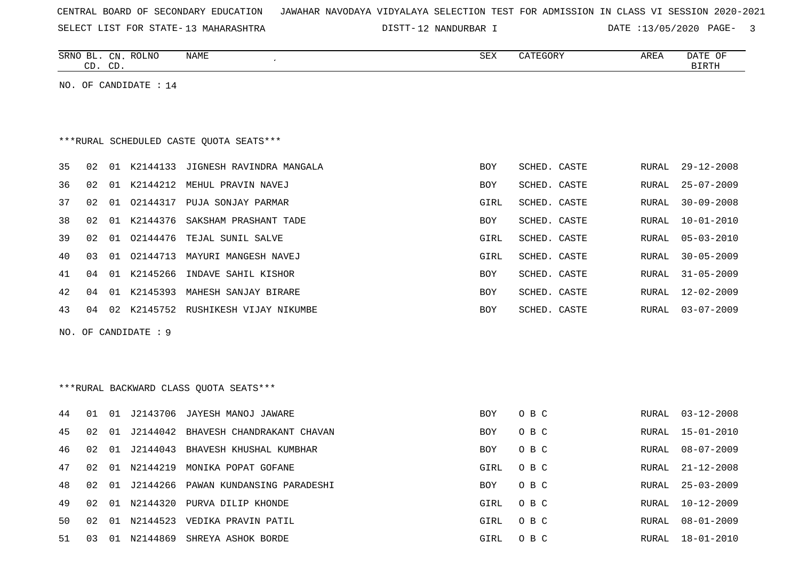| CENTRAL BOARD OF SECONDARY EDUCATION – JAWAHAR NAVODAYA VIDYALAYA SELECTION TEST FOR ADMISSION IN CLASS VI SESSION 2020-2021 |
|------------------------------------------------------------------------------------------------------------------------------|
|------------------------------------------------------------------------------------------------------------------------------|

SELECT LIST FOR STATE- DISTT- 13 MAHARASHTRA

12 NANDURBAR I DATE :13/05/2020 PAGE- 3

|     | CD. CD. |    | SRNO BL. CN. ROLNO    | NAME                                    | SEX        | CATEGORY     | AREA         | DATE OF<br><b>BIRTH</b> |
|-----|---------|----|-----------------------|-----------------------------------------|------------|--------------|--------------|-------------------------|
|     |         |    | NO. OF CANDIDATE : 14 |                                         |            |              |              |                         |
|     |         |    |                       |                                         |            |              |              |                         |
|     |         |    |                       | ***RURAL SCHEDULED CASTE OUOTA SEATS*** |            |              |              |                         |
| 35  | 02      |    |                       | 01 K2144133 JIGNESH RAVINDRA MANGALA    | <b>BOY</b> | SCHED. CASTE | RURAL        | $29 - 12 - 2008$        |
| 36  | 02      | 01 | K2144212              | MEHUL PRAVIN NAVEJ                      | BOY        | SCHED. CASTE | RURAL        | $25 - 07 - 2009$        |
| 37  | 02      | 01 | 02144317              | PUJA SONJAY PARMAR                      | GIRL       | SCHED. CASTE | <b>RURAL</b> | $30 - 09 - 2008$        |
| 38  | 02      | 01 | K2144376              | SAKSHAM PRASHANT TADE                   | <b>BOY</b> | SCHED. CASTE | <b>RURAL</b> | $10 - 01 - 2010$        |
| 39  | 02      | 01 | 02144476              | TEJAL SUNIL SALVE                       | GIRL       | SCHED. CASTE | <b>RURAL</b> | $05 - 03 - 2010$        |
| 40  | 03      | 01 | 02144713              | MAYURI MANGESH NAVEJ                    | GIRL       | SCHED. CASTE | RURAL        | $30 - 05 - 2009$        |
| 41  | 04      | 01 | K2145266              | INDAVE SAHIL KISHOR                     | <b>BOY</b> | SCHED. CASTE | RURAL        | $31 - 05 - 2009$        |
| 42  | 04      | 01 |                       | K2145393 MAHESH SANJAY BIRARE           | BOY        | SCHED. CASTE | RURAL        | 12-02-2009              |
| 43  | 04      |    |                       | 02 K2145752 RUSHIKESH VIJAY NIKUMBE     | <b>BOY</b> | SCHED. CASTE | RURAL        | $03 - 07 - 2009$        |
| NO. |         |    | OF CANDIDATE : 9      |                                         |            |              |              |                         |
|     |         |    |                       |                                         |            |              |              |                         |
|     |         |    |                       |                                         |            |              |              |                         |
|     |         |    |                       | ***RURAL BACKWARD CLASS OUOTA SEATS***  |            |              |              |                         |
| 44  | 01      | 01 |                       | J2143706 JAYESH MANOJ JAWARE            | <b>BOY</b> | O B C        | RURAL        | $03 - 12 - 2008$        |
| 45  | 02      | 01 |                       | J2144042 BHAVESH CHANDRAKANT CHAVAN     | <b>BOY</b> | O B C        | RURAL        | $15 - 01 - 2010$        |
| 46  | 02      | 01 | J2144043              | BHAVESH KHUSHAL KUMBHAR                 | <b>BOY</b> | O B C        | RURAL        | $08 - 07 - 2009$        |
| 47  | 02      |    | 01 N2144219           | MONIKA POPAT GOFANE                     | GIRL       | O B C        | RURAL        | $21 - 12 - 2008$        |
| 48  | 02      | 01 | J2144266              | PAWAN KUNDANSING PARADESHI              | <b>BOY</b> | O B C        | RURAL        | $25 - 03 - 2009$        |
| 49  | 02      | 01 | N2144320              | PURVA DILIP KHONDE                      | GIRL       | O B C        | RURAL        | $10 - 12 - 2009$        |
| 50  | 02      | 01 |                       | N2144523 VEDIKA PRAVIN PATIL            | GIRL       | O B C        | RURAL        | $08 - 01 - 2009$        |
| 51  | 03      |    | 01 N2144869           | SHREYA ASHOK BORDE                      | GIRL       | O B C        | RURAL        | $18 - 01 - 2010$        |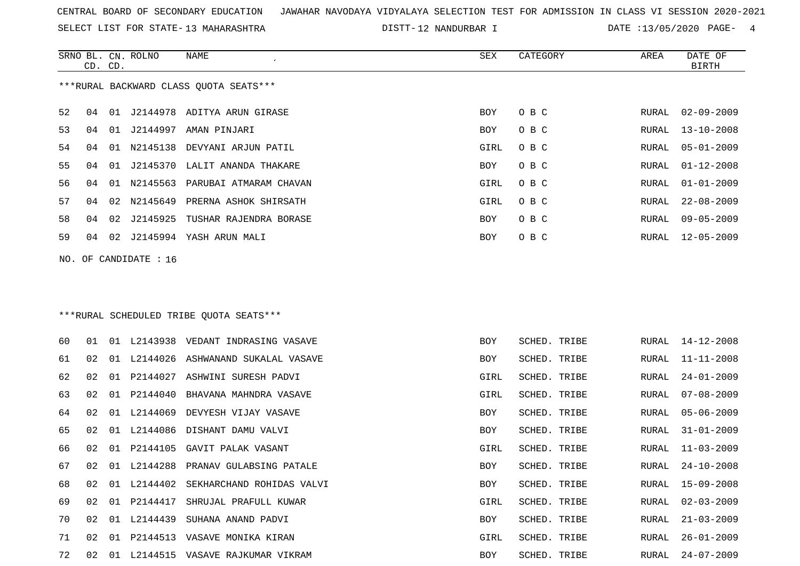SELECT LIST FOR STATE- DISTT- 13 MAHARASHTRA

12 NANDURBAR I DATE :13/05/2020 PAGE- 4

|    | CD. CD. |    | SRNO BL. CN. ROLNO    | NAME                                    | SEX         | CATEGORY     | AREA  | DATE OF<br><b>BIRTH</b> |
|----|---------|----|-----------------------|-----------------------------------------|-------------|--------------|-------|-------------------------|
|    |         |    |                       | *** RURAL BACKWARD CLASS QUOTA SEATS*** |             |              |       |                         |
| 52 | 04      |    |                       | 01 J2144978 ADITYA ARUN GIRASE          | <b>BOY</b>  | O B C        | RURAL | $02 - 09 - 2009$        |
| 53 | 04      |    |                       | 01 J2144997 AMAN PINJARI                | <b>BOY</b>  | O B C        | RURAL | $13 - 10 - 2008$        |
| 54 | 04      |    |                       | 01 N2145138 DEVYANI ARJUN PATIL         | GIRL        | O B C        | RURAL | $05 - 01 - 2009$        |
| 55 | 04      |    |                       | 01 J2145370 LALIT ANANDA THAKARE        | <b>BOY</b>  | O B C        | RURAL | $01 - 12 - 2008$        |
| 56 | 04      | 01 |                       | N2145563 PARUBAI ATMARAM CHAVAN         | GIRL        | O B C        | RURAL | $01 - 01 - 2009$        |
| 57 | 04      | 02 | N2145649              | PRERNA ASHOK SHIRSATH                   | GIRL        | O B C        | RURAL | $22 - 08 - 2009$        |
| 58 | 04      |    | 02 J2145925           | TUSHAR RAJENDRA BORASE                  | <b>BOY</b>  | O B C        | RURAL | $09 - 05 - 2009$        |
| 59 | 04      |    |                       | 02 J2145994 YASH ARUN MALI              | BOY         | O B C        | RURAL | $12 - 05 - 2009$        |
|    |         |    | NO. OF CANDIDATE : 16 |                                         |             |              |       |                         |
|    |         |    |                       |                                         |             |              |       |                         |
|    |         |    |                       |                                         |             |              |       |                         |
|    |         |    |                       | ***RURAL SCHEDULED TRIBE QUOTA SEATS*** |             |              |       |                         |
| 60 | 01      |    |                       | 01 L2143938 VEDANT INDRASING VASAVE     | <b>BOY</b>  | SCHED. TRIBE | RURAL | 14-12-2008              |
| 61 | 02      |    |                       | 01 L2144026 ASHWANAND SUKALAL VASAVE    | BOY         | SCHED. TRIBE | RURAL | $11 - 11 - 2008$        |
| 62 | 02      | 01 | P2144027              | ASHWINI SURESH PADVI                    | <b>GIRL</b> | SCHED. TRIBE | RURAL | $24 - 01 - 2009$        |
| 63 | 02      |    |                       | 01 P2144040 BHAVANA MAHNDRA VASAVE      | GIRL        | SCHED. TRIBE | RURAL | $07 - 08 - 2009$        |

| 64 | 02              | 01    | L2144069 | DEVYESH VIJAY VASAVE      | <b>BOY</b> | SCHED. TRIBE |       | RURAL 05-06-2009 |
|----|-----------------|-------|----------|---------------------------|------------|--------------|-------|------------------|
| 65 | 02              | . O 1 | L2144086 | DISHANT DAMU VALVI        | <b>BOY</b> | SCHED. TRIBE |       | RURAL 31-01-2009 |
| 66 | 02 <sub>o</sub> | 01    | P2144105 | GAVIT PALAK VASANT        | GIRL       | SCHED. TRIBE |       | RURAL 11-03-2009 |
| 67 | 02              | 01    | L2144288 | PRANAV GULABSING PATALE   | <b>BOY</b> | SCHED. TRIBE | RURAL | $24 - 10 - 2008$ |
| 68 | O 2.            | 01    | L2144402 | SEKHARCHAND ROHIDAS VALVI | <b>BOY</b> | SCHED. TRIBE |       | RURAL 15-09-2008 |
| 69 | O 2.            | 01    | P2144417 | SHRUJAL PRAFULL KUWAR     | GIRL       | SCHED. TRIBE |       | RURAL 02-03-2009 |
| 70 | 02              | 01    | L2144439 | SUHANA ANAND PADVI        | <b>BOY</b> | SCHED. TRIBE | RURAL | $21 - 03 - 2009$ |
| 71 | 02 <sub>o</sub> | O 1   | P2144513 | VASAVE MONIKA KIRAN       | GIRL       | SCHED. TRIBE |       | RURAL 26-01-2009 |
| 72 | 02              | . O 1 | L2144515 | VASAVE RAJKUMAR VIKRAM    | <b>BOY</b> | SCHED. TRIBE |       | RURAL 24-07-2009 |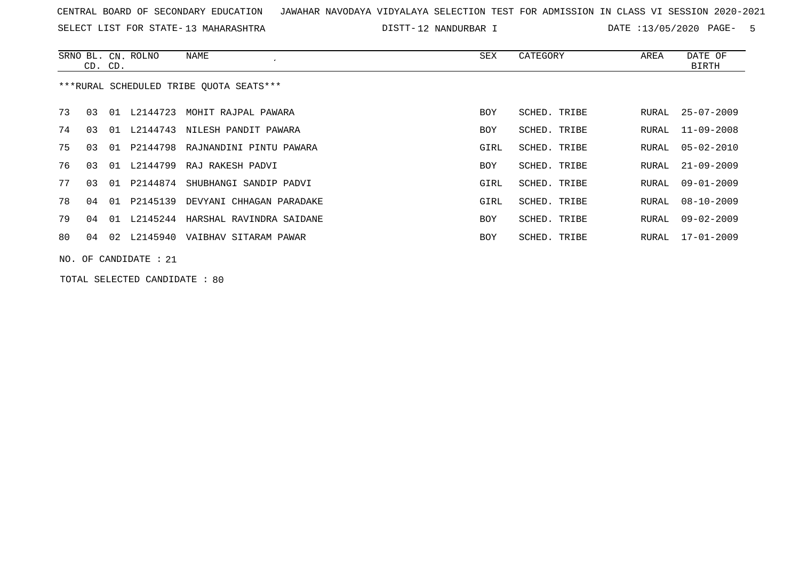SELECT LIST FOR STATE- DISTT- 13 MAHARASHTRA

12 NANDURBAR I DATE :13/05/2020 PAGE- 5

|    | CD. CD. |     | SRNO BL. CN. ROLNO      | NAME                                    | SEX        | CATEGORY     | AREA  | DATE OF<br>BIRTH |
|----|---------|-----|-------------------------|-----------------------------------------|------------|--------------|-------|------------------|
|    |         |     |                         | ***RURAL SCHEDULED TRIBE OUOTA SEATS*** |            |              |       |                  |
| 73 | 03 01   |     | L2144723                | MOHIT RAJPAL PAWARA                     | BOY        | SCHED. TRIBE | RURAL | $25 - 07 - 2009$ |
| 74 | 03      | 01  | L2144743                | NILESH PANDIT PAWARA                    | BOY        | SCHED. TRIBE | RURAL | $11 - 09 - 2008$ |
| 75 | 03      | O 1 | P2144798                | RAJNANDINI PINTU PAWARA                 | GIRL       | SCHED. TRIBE | RURAL | $05 - 02 - 2010$ |
| 76 | 03      | 01  | L2144799                | RAJ RAKESH PADVI                        | <b>BOY</b> | SCHED. TRIBE | RURAL | $21 - 09 - 2009$ |
| 77 | 03      | 01  | P2144874                | SHUBHANGI SANDIP PADVI                  | GIRL       | SCHED. TRIBE | RURAL | $09 - 01 - 2009$ |
| 78 | 04      | 01  | P2145139                | DEVYANI CHHAGAN PARADAKE                | GIRL       | SCHED. TRIBE | RURAL | $08 - 10 - 2009$ |
| 79 | 04 01   |     | L2145244                | HARSHAL RAVINDRA SAIDANE                | BOY        | SCHED. TRIBE | RURAL | $09 - 02 - 2009$ |
| 80 |         |     | 04 02 L2145940          | VAIBHAV SITARAM PAWAR                   | BOY        | SCHED. TRIBE | RURAL | 17-01-2009       |
|    |         |     | NO. OF CANDIDATE : $21$ |                                         |            |              |       |                  |

TOTAL SELECTED CANDIDATE : 80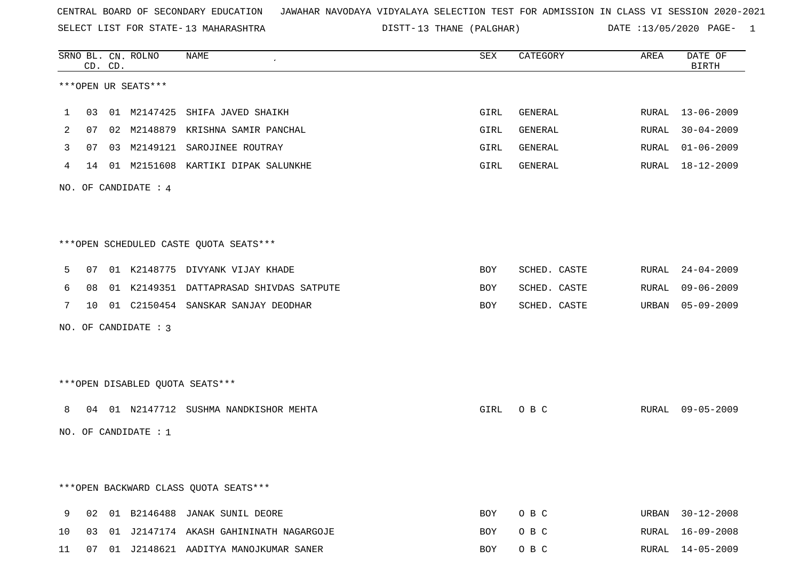SELECT LIST FOR STATE- DISTT- 13 MAHARASHTRA

DISTT-13 THANE (PALGHAR) DATE :13/05/2020 PAGE- 1

|    |    | CD. CD. | SRNO BL. CN. ROLNO   | NAME                                      | ${\tt SEX}$ | CATEGORY     | AREA  | DATE OF<br><b>BIRTH</b> |
|----|----|---------|----------------------|-------------------------------------------|-------------|--------------|-------|-------------------------|
|    |    |         | ***OPEN UR SEATS***  |                                           |             |              |       |                         |
| 1  | 03 |         |                      | 01 M2147425 SHIFA JAVED SHAIKH            | GIRL        | GENERAL      |       | RURAL 13-06-2009        |
| 2  | 07 |         |                      | 02 M2148879 KRISHNA SAMIR PANCHAL         | GIRL        | GENERAL      | RURAL | $30 - 04 - 2009$        |
| 3  | 07 |         |                      | 03 M2149121 SAROJINEE ROUTRAY             | GIRL        | GENERAL      | RURAL | $01 - 06 - 2009$        |
| 4  |    |         |                      | 14 01 M2151608 KARTIKI DIPAK SALUNKHE     | GIRL        | GENERAL      |       | RURAL 18-12-2009        |
|    |    |         | NO. OF CANDIDATE : 4 |                                           |             |              |       |                         |
|    |    |         |                      | ***OPEN SCHEDULED CASTE QUOTA SEATS***    |             |              |       |                         |
| 5  | 07 |         |                      | 01 K2148775 DIVYANK VIJAY KHADE           | BOY         | SCHED. CASTE | RURAL | $24 - 04 - 2009$        |
| 6  | 08 |         |                      | 01 K2149351 DATTAPRASAD SHIVDAS SATPUTE   | BOY         | SCHED. CASTE | RURAL | $09 - 06 - 2009$        |
| 7  |    |         |                      | 10 01 C2150454 SANSKAR SANJAY DEODHAR     | BOY         | SCHED. CASTE | URBAN | $05 - 09 - 2009$        |
|    |    |         | NO. OF CANDIDATE : 3 |                                           |             |              |       |                         |
|    |    |         |                      | ***OPEN DISABLED QUOTA SEATS***           |             |              |       |                         |
| 8  |    |         |                      | 04 01 N2147712 SUSHMA NANDKISHOR MEHTA    | GIRL        | O B C        | RURAL | $09 - 05 - 2009$        |
|    |    |         | NO. OF CANDIDATE : 1 |                                           |             |              |       |                         |
|    |    |         |                      |                                           |             |              |       |                         |
|    |    |         |                      | *** OPEN BACKWARD CLASS QUOTA SEATS ***   |             |              |       |                         |
| 9  |    |         |                      | 02 01 B2146488 JANAK SUNIL DEORE          | BOY         | O B C        |       | URBAN 30-12-2008        |
| 10 |    |         |                      | 03 01 J2147174 AKASH GAHININATH NAGARGOJE | BOY         | O B C        |       | RURAL 16-09-2008        |
| 11 |    |         |                      | 07 01 J2148621 AADITYA MANOJKUMAR SANER   | BOY         | O B C        |       | RURAL 14-05-2009        |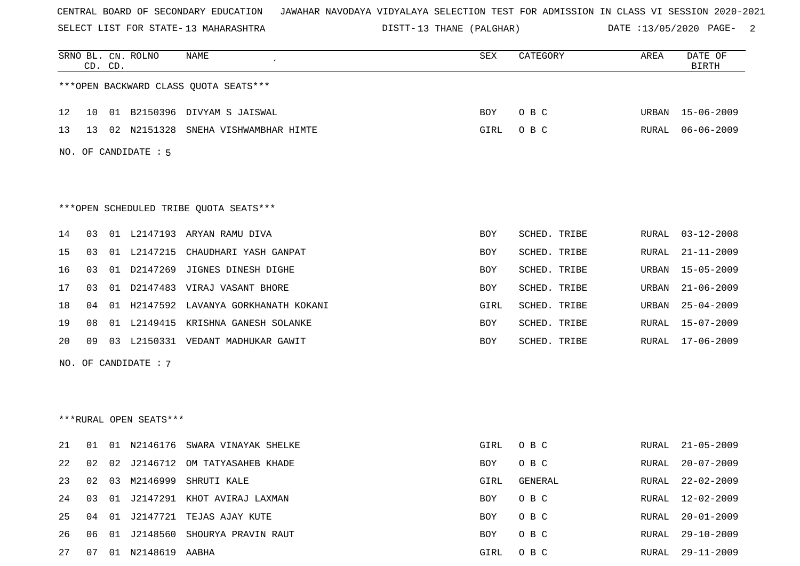SELECT LIST FOR STATE- DISTT- 13 MAHARASHTRA

DISTT-13 THANE (PALGHAR) DATE :13/05/2020 PAGE- 2

|    | CD. CD. |    | SRNO BL. CN. ROLNO     | NAME                                   | SEX  | CATEGORY     | AREA  | DATE OF<br><b>BIRTH</b> |
|----|---------|----|------------------------|----------------------------------------|------|--------------|-------|-------------------------|
|    |         |    |                        | *** OPEN BACKWARD CLASS QUOTA SEATS*** |      |              |       |                         |
| 12 | 10      |    |                        | 01 B2150396 DIVYAM S JAISWAL           | BOY  | O B C        |       | URBAN 15-06-2009        |
| 13 | 13      |    | 02 N2151328            | SNEHA VISHWAMBHAR HIMTE                | GIRL | O B C        | RURAL | $06 - 06 - 2009$        |
|    |         |    | NO. OF CANDIDATE : 5   |                                        |      |              |       |                         |
|    |         |    |                        | ***OPEN SCHEDULED TRIBE QUOTA SEATS*** |      |              |       |                         |
| 14 | 03      |    |                        | 01 L2147193 ARYAN RAMU DIVA            | BOY  | SCHED. TRIBE | RURAL | $03 - 12 - 2008$        |
| 15 | 03      | 01 | L2147215               | CHAUDHARI YASH GANPAT                  | BOY  | SCHED. TRIBE | RURAL | $21 - 11 - 2009$        |
| 16 | 03      |    | 01 D2147269            | JIGNES DINESH DIGHE                    | BOY  | SCHED. TRIBE | URBAN | $15 - 05 - 2009$        |
| 17 | 03      |    | 01 D2147483            | VIRAJ VASANT BHORE                     | BOY  | SCHED. TRIBE | URBAN | $21 - 06 - 2009$        |
| 18 | 04      |    |                        | 01 H2147592 LAVANYA GORKHANATH KOKANI  | GIRL | SCHED. TRIBE | URBAN | $25 - 04 - 2009$        |
| 19 | 08      |    |                        | 01 L2149415 KRISHNA GANESH SOLANKE     | BOY  | SCHED. TRIBE | RURAL | $15 - 07 - 2009$        |
| 20 | 09      | 03 |                        | L2150331 VEDANT MADHUKAR GAWIT         | BOY  | SCHED. TRIBE | RURAL | $17 - 06 - 2009$        |
|    |         |    | NO. OF CANDIDATE : 7   |                                        |      |              |       |                         |
|    |         |    |                        |                                        |      |              |       |                         |
|    |         |    |                        |                                        |      |              |       |                         |
|    |         |    | ***RURAL OPEN SEATS*** |                                        |      |              |       |                         |
| 21 | 01      | 01 | N2146176               | SWARA VINAYAK SHELKE                   | GIRL | O B C        | RURAL | $21 - 05 - 2009$        |
| 22 | 02      |    | 02 J2146712            | OM TATYASAHEB KHADE                    | BOY  | O B C        | RURAL | $20 - 07 - 2009$        |
| 23 | 02      | 03 |                        | M2146999 SHRUTI KALE                   | GIRL | GENERAL      | RURAL | $22 - 02 - 2009$        |
| 24 | 03      |    |                        | 01 J2147291 KHOT AVIRAJ LAXMAN         | BOY  | O B C        | RURAL | $12 - 02 - 2009$        |
| 25 |         |    |                        | 04 01 J2147721 TEJAS AJAY KUTE         | BOY  | O B C        | RURAL | $20 - 01 - 2009$        |
| 26 | 06      |    |                        | 01 J2148560 SHOURYA PRAVIN RAUT        | BOY  | O B C        | RURAL | $29 - 10 - 2009$        |
| 27 | 07      |    | 01 N2148619 AABHA      |                                        | GIRL | O B C        | RURAL | 29-11-2009              |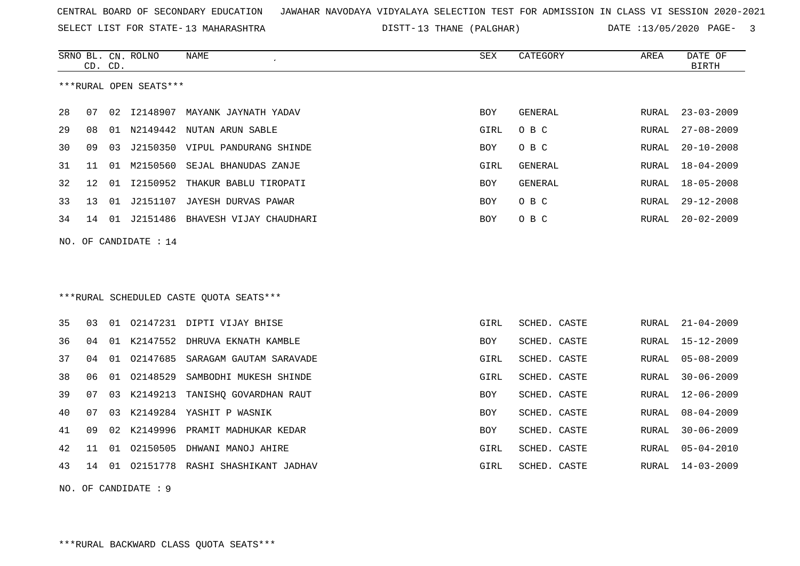SELECT LIST FOR STATE- DISTT- 13 MAHARASHTRA

DISTT-13 THANE (PALGHAR) DATE :13/05/2020 PAGE- 3

|    | CD. CD. |    | SRNO BL. CN. ROLNO     | NAME                                    | <b>SEX</b> | CATEGORY       | AREA         | DATE OF<br><b>BIRTH</b> |
|----|---------|----|------------------------|-----------------------------------------|------------|----------------|--------------|-------------------------|
|    |         |    | ***RURAL OPEN SEATS*** |                                         |            |                |              |                         |
| 28 | 07      | 02 |                        | 12148907 MAYANK JAYNATH YADAV           | <b>BOY</b> | GENERAL        | RURAL        | $23 - 03 - 2009$        |
| 29 | 08      | 01 |                        | N2149442 NUTAN ARUN SABLE               | GIRL       | O B C          | RURAL        | $27 - 08 - 2009$        |
| 30 | 09      | 03 |                        | J2150350 VIPUL PANDURANG SHINDE         | BOY        | O B C          | RURAL        | $20 - 10 - 2008$        |
| 31 | 11      | 01 | M2150560               | SEJAL BHANUDAS ZANJE                    | GIRL       | <b>GENERAL</b> | RURAL        | $18 - 04 - 2009$        |
| 32 | 12      | 01 |                        | I2150952 THAKUR BABLU TIROPATI          | BOY        | GENERAL        | RURAL        | $18 - 05 - 2008$        |
| 33 | 13      | 01 | J2151107               | JAYESH DURVAS PAWAR                     | <b>BOY</b> | O B C          | RURAL        | $29 - 12 - 2008$        |
| 34 | 14      |    |                        | 01 J2151486 BHAVESH VIJAY CHAUDHARI     | BOY        | O B C          | RURAL        | $20 - 02 - 2009$        |
|    |         |    | NO. OF CANDIDATE : 14  |                                         |            |                |              |                         |
|    |         |    |                        |                                         |            |                |              |                         |
|    |         |    |                        |                                         |            |                |              |                         |
|    |         |    |                        | ***RURAL SCHEDULED CASTE QUOTA SEATS*** |            |                |              |                         |
| 35 | 03      |    |                        | 01 02147231 DIPTI VIJAY BHISE           | GIRL       | SCHED. CASTE   | RURAL        | $21 - 04 - 2009$        |
| 36 | 04      | 01 |                        | K2147552 DHRUVA EKNATH KAMBLE           | <b>BOY</b> | SCHED. CASTE   | RURAL        | $15 - 12 - 2009$        |
| 37 | 04      | 01 | 02147685               | SARAGAM GAUTAM SARAVADE                 | GIRL       | SCHED. CASTE   | <b>RURAL</b> | $05 - 08 - 2009$        |
| 38 | 06      | 01 | 02148529               | SAMBODHI MUKESH SHINDE                  | GIRL       | SCHED. CASTE   | RURAL        | $30 - 06 - 2009$        |
| 39 | 07      | 03 | K2149213               | TANISHQ GOVARDHAN RAUT                  | BOY        | SCHED. CASTE   | RURAL        | $12 - 06 - 2009$        |
| 40 | 07      | 03 |                        | K2149284 YASHIT P WASNIK                | <b>BOY</b> | SCHED. CASTE   | <b>RURAL</b> | $08 - 04 - 2009$        |
| 41 | 09      | 02 | K2149996               | PRAMIT MADHUKAR KEDAR                   | BOY        | SCHED. CASTE   | RURAL        | $30 - 06 - 2009$        |
| 42 | 11      | 01 |                        | 02150505 DHWANI MANOJ AHIRE             | GIRL       | SCHED. CASTE   | RURAL        | $05 - 04 - 2010$        |
| 43 | 14      |    |                        | 01 02151778 RASHI SHASHIKANT JADHAV     | GIRL       | SCHED. CASTE   | RURAL        | $14 - 03 - 2009$        |
|    |         |    |                        |                                         |            |                |              |                         |

NO. OF CANDIDATE : 9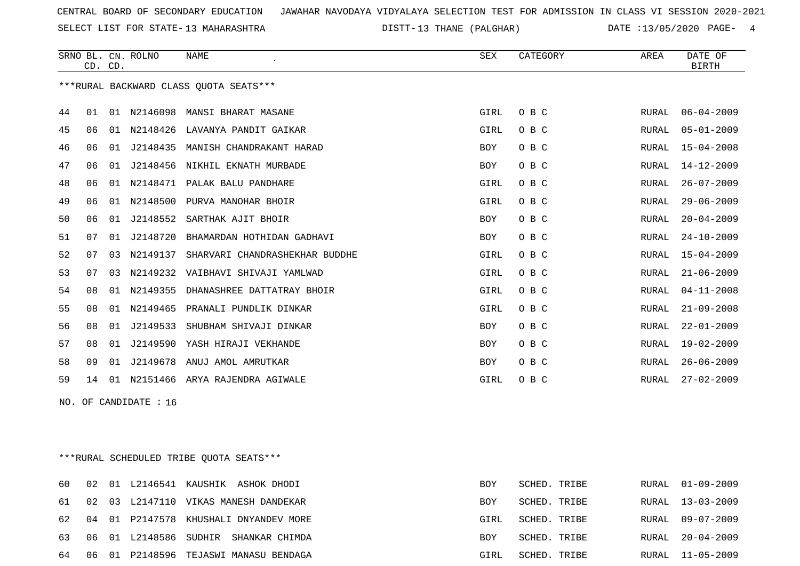SELECT LIST FOR STATE- DISTT- 13 MAHARASHTRA

DISTT-13 THANE (PALGHAR) DATE :13/05/2020 PAGE- 4

|     | CD. CD. |    | SRNO BL. CN. ROLNO | <b>NAME</b>                            | <b>SEX</b> | CATEGORY | AREA  | DATE OF<br><b>BIRTH</b> |
|-----|---------|----|--------------------|----------------------------------------|------------|----------|-------|-------------------------|
|     |         |    |                    | ***RURAL BACKWARD CLASS QUOTA SEATS*** |            |          |       |                         |
| 44  | 01      | 01 | N2146098           | MANSI BHARAT MASANE                    | GIRL       | O B C    | RURAL | $06 - 04 - 2009$        |
| 45  | 06      | 01 | N2148426           | LAVANYA PANDIT GAIKAR                  | GIRL       | O B C    | RURAL | $05 - 01 - 2009$        |
| 46  | 06      | 01 | J2148435           | MANISH CHANDRAKANT HARAD               | BOY        | O B C    | RURAL | $15 - 04 - 2008$        |
| 47  | 06      | 01 |                    | J2148456 NIKHIL EKNATH MURBADE         | BOY        | O B C    | RURAL | $14 - 12 - 2009$        |
| 48  | 06      | 01 |                    | N2148471 PALAK BALU PANDHARE           | GIRL       | O B C    | RURAL | $26 - 07 - 2009$        |
| 49  | 06      | 01 | N2148500           | PURVA MANOHAR BHOIR                    | GIRL       | O B C    | RURAL | $29 - 06 - 2009$        |
| 50  | 06      | 01 | J2148552           | SARTHAK AJIT BHOIR                     | BOY        | O B C    | RURAL | $20 - 04 - 2009$        |
| 51  | 07      | 01 | J2148720           | BHAMARDAN HOTHIDAN GADHAVI             | BOY        | O B C    | RURAL | $24 - 10 - 2009$        |
| 52  | 07      | 03 | N2149137           | SHARVARI CHANDRASHEKHAR BUDDHE         | GIRL       | O B C    | RURAL | $15 - 04 - 2009$        |
| 53  | 07      | 03 | N2149232           | VAIBHAVI SHIVAJI YAMLWAD               | GIRL       | O B C    | RURAL | $21 - 06 - 2009$        |
| 54  | 08      | 01 | N2149355           | DHANASHREE DATTATRAY BHOIR             | GIRL       | O B C    | RURAL | $04 - 11 - 2008$        |
| 55  | 08      | 01 | N2149465           | PRANALI PUNDLIK DINKAR                 | GIRL       | O B C    | RURAL | $21 - 09 - 2008$        |
| 56  | 08      | 01 | J2149533           | SHUBHAM SHIVAJI DINKAR                 | BOY        | O B C    | RURAL | $22 - 01 - 2009$        |
| 57  | 08      | 01 | J2149590           | YASH HIRAJI VEKHANDE                   | <b>BOY</b> | O B C    | RURAL | $19 - 02 - 2009$        |
| 58  | 09      | 01 |                    | J2149678 ANUJ AMOL AMRUTKAR            | BOY        | O B C    | RURAL | $26 - 06 - 2009$        |
| 59  | 14      | 01 | N2151466           | ARYA RAJENDRA AGIWALE                  | GIRL       | O B C    | RURAL | $27 - 02 - 2009$        |
| NO. |         |    | OF CANDIDATE : 16  |                                        |            |          |       |                         |

\*\*\*RURAL SCHEDULED TRIBE QUOTA SEATS\*\*\*

|  |                          | 60 02 01 L2146541 KAUSHIK ASHOK DHODI    | <b>BOY</b> | SCHED. TRIBE | RURAL 01-09-2009 |
|--|--------------------------|------------------------------------------|------------|--------------|------------------|
|  |                          | 61 02 03 L2147110 VIKAS MANESH DANDEKAR  | <b>BOY</b> | SCHED. TRIBE | RURAL 13-03-2009 |
|  |                          | 62 04 01 P2147578 KHUSHALI DNYANDEV MORE | GIRL       | SCHED. TRIBE | RURAL 09-07-2009 |
|  | 63 06 01 L2148586 SUDHIR | SHANKAR CHIMDA                           | BOY        | SCHED. TRIBE | RURAL 20-04-2009 |
|  |                          | 64 06 01 P2148596 TEJASWI MANASU BENDAGA | GIRL       | SCHED. TRIBE | RURAL 11-05-2009 |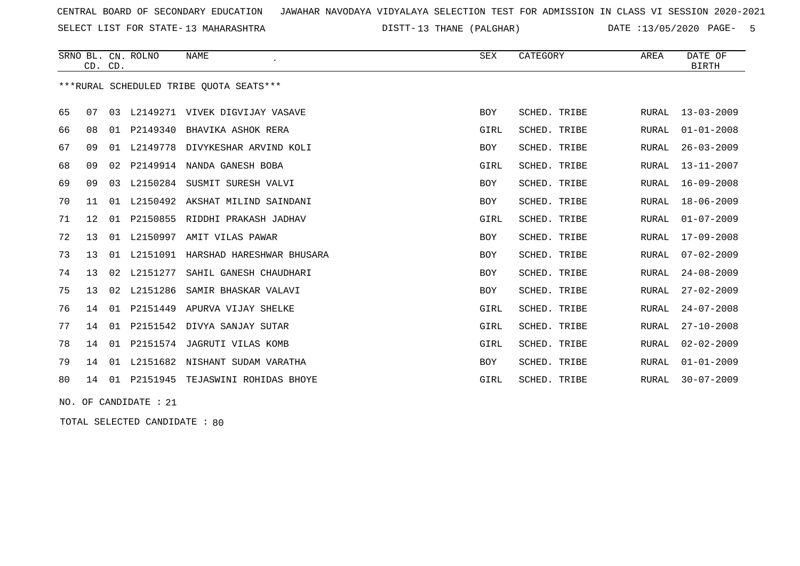SELECT LIST FOR STATE- DISTT- 13 MAHARASHTRA

DISTT-13 THANE (PALGHAR) DATE :13/05/2020 PAGE- 5

|    | CD. CD. |    | SRNO BL. CN. ROLNO | <b>NAME</b><br>$\cdot$                  | SEX        | CATEGORY     | AREA         | DATE OF<br><b>BIRTH</b> |
|----|---------|----|--------------------|-----------------------------------------|------------|--------------|--------------|-------------------------|
|    |         |    |                    | ***RURAL SCHEDULED TRIBE OUOTA SEATS*** |            |              |              |                         |
| 65 | 07      | 03 |                    | L2149271 VIVEK DIGVIJAY VASAVE          | BOY        | SCHED. TRIBE | <b>RURAL</b> | $13 - 03 - 2009$        |
| 66 | 08      | 01 | P2149340           | BHAVIKA ASHOK RERA                      | GIRL       | SCHED. TRIBE | RURAL        | $01 - 01 - 2008$        |
| 67 | 09      | 01 |                    | L2149778 DIVYKESHAR ARVIND KOLI         | <b>BOY</b> | SCHED. TRIBE | <b>RURAL</b> | $26 - 03 - 2009$        |
| 68 | 09      |    |                    | 02 P2149914 NANDA GANESH BOBA           | GIRL       | SCHED. TRIBE | <b>RURAL</b> | $13 - 11 - 2007$        |
| 69 | 09      | 03 |                    | L2150284 SUSMIT SURESH VALVI            | BOY        | SCHED. TRIBE | RURAL        | $16 - 09 - 2008$        |
| 70 | 11      | 01 |                    | L2150492 AKSHAT MILIND SAINDANI         | BOY        | SCHED. TRIBE | RURAL        | $18 - 06 - 2009$        |
| 71 | 12      | 01 | P2150855           | RIDDHI PRAKASH JADHAV                   | GIRL       | SCHED. TRIBE | RURAL        | $01 - 07 - 2009$        |
| 72 | 13      | 01 | L2150997           | AMIT VILAS PAWAR                        | <b>BOY</b> | SCHED. TRIBE | RURAL        | $17 - 09 - 2008$        |
| 73 | 13      |    | 01 L2151091        | HARSHAD HARESHWAR BHUSARA               | BOY        | SCHED. TRIBE | RURAL        | $07 - 02 - 2009$        |
| 74 | 13      | 02 | L2151277           | SAHIL GANESH CHAUDHARI                  | BOY        | SCHED. TRIBE | RURAL        | $24 - 08 - 2009$        |
| 75 | 13      | 02 | L2151286           | SAMIR BHASKAR VALAVI                    | BOY        | SCHED. TRIBE | RURAL        | $27 - 02 - 2009$        |
| 76 | 14      | 01 | P2151449           | APURVA VIJAY SHELKE                     | GIRL       | SCHED. TRIBE | RURAL        | $24 - 07 - 2008$        |
| 77 | 14      | 01 | P2151542           | DIVYA SANJAY SUTAR                      | GIRL       | SCHED. TRIBE | RURAL        | $27 - 10 - 2008$        |
| 78 | 14      |    |                    | 01 P2151574 JAGRUTI VILAS KOMB          | GIRL       | SCHED. TRIBE | RURAL        | $02 - 02 - 2009$        |
| 79 | 14      |    |                    | 01 L2151682 NISHANT SUDAM VARATHA       | BOY        | SCHED. TRIBE | RURAL        | $01 - 01 - 2009$        |
| 80 | 14      | 01 | P2151945           | TEJASWINI ROHIDAS BHOYE                 | GIRL       | SCHED. TRIBE | RURAL        | $30 - 07 - 2009$        |
|    |         |    |                    |                                         |            |              |              |                         |

NO. OF CANDIDATE : 21

TOTAL SELECTED CANDIDATE : 80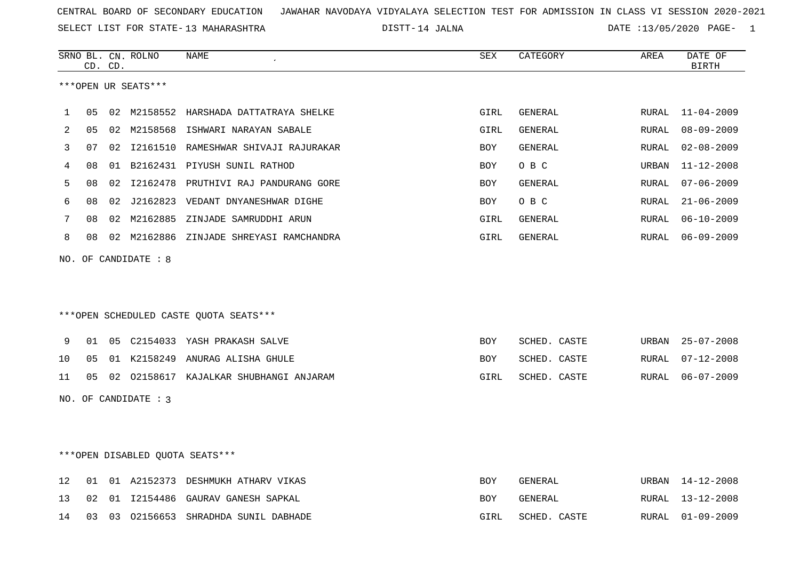SELECT LIST FOR STATE- DISTT- 13 MAHARASHTRA

14 JALNA DATE :13/05/2020 PAGE- 1

|    |                | CD. CD. | SRNO BL. CN. ROLNO   | <b>NAME</b><br>$\epsilon$               | SEX        | CATEGORY       | AREA  | DATE OF<br><b>BIRTH</b> |
|----|----------------|---------|----------------------|-----------------------------------------|------------|----------------|-------|-------------------------|
|    |                |         | ***OPEN UR SEATS***  |                                         |            |                |       |                         |
| 1  | 05             |         |                      | 02 M2158552 HARSHADA DATTATRAYA SHELKE  | GIRL       | <b>GENERAL</b> | RURAL | $11 - 04 - 2009$        |
| 2  | 0 <sub>5</sub> | 02      | M2158568             | ISHWARI NARAYAN SABALE                  | GIRL       | GENERAL        | RURAL | $08 - 09 - 2009$        |
| 3  | 07             |         |                      | 02 I2161510 RAMESHWAR SHIVAJI RAJURAKAR | <b>BOY</b> | GENERAL        | RURAL | $02 - 08 - 2009$        |
| 4  | 08             | 01      |                      | B2162431 PIYUSH SUNIL RATHOD            | <b>BOY</b> | O B C          | URBAN | $11 - 12 - 2008$        |
| 5  | 08             |         | 02 12162478          | PRUTHIVI RAJ PANDURANG GORE             | <b>BOY</b> | <b>GENERAL</b> | RURAL | $07 - 06 - 2009$        |
| 6  | 08             | 02      |                      | J2162823 VEDANT DNYANESHWAR DIGHE       | <b>BOY</b> | O B C          | RURAL | $21 - 06 - 2009$        |
| 7  | 08             |         | 02 M2162885          | ZINJADE SAMRUDDHI ARUN                  | GIRL       | GENERAL        | RURAL | $06 - 10 - 2009$        |
| 8  | 08             |         |                      | 02 M2162886 ZINJADE SHREYASI RAMCHANDRA | GIRL       | GENERAL        | RURAL | $06 - 09 - 2009$        |
|    |                |         |                      | ***OPEN SCHEDULED CASTE QUOTA SEATS***  |            |                |       |                         |
| 9  | 01             |         |                      | 05 C2154033 YASH PRAKASH SALVE          | <b>BOY</b> | SCHED. CASTE   | URBAN | $25 - 07 - 2008$        |
| 10 | 0 <sub>5</sub> |         |                      | 01 K2158249 ANURAG ALISHA GHULE         | <b>BOY</b> | SCHED. CASTE   | RURAL | $07 - 12 - 2008$        |
| 11 | 05             |         |                      | 02 02158617 KAJALKAR SHUBHANGI ANJARAM  | GIRL       | SCHED. CASTE   | RURAL | $06 - 07 - 2009$        |
|    |                |         | NO. OF CANDIDATE : 3 |                                         |            |                |       |                         |
|    |                |         |                      | ***OPEN DISABLED QUOTA SEATS***         |            |                |       |                         |
| 12 | 01             |         |                      | 01 A2152373 DESHMUKH ATHARV VIKAS       | <b>BOY</b> | GENERAL        | URBAN | 14-12-2008              |
| 13 | 02             |         |                      | 01 I2154486 GAURAV GANESH SAPKAL        | <b>BOY</b> | GENERAL        | RURAL | $13 - 12 - 2008$        |

14 03 03 O2156653 SHRADHDA SUNIL DABHADE GIRL SCHED. CASTE RURAL 01-09-2009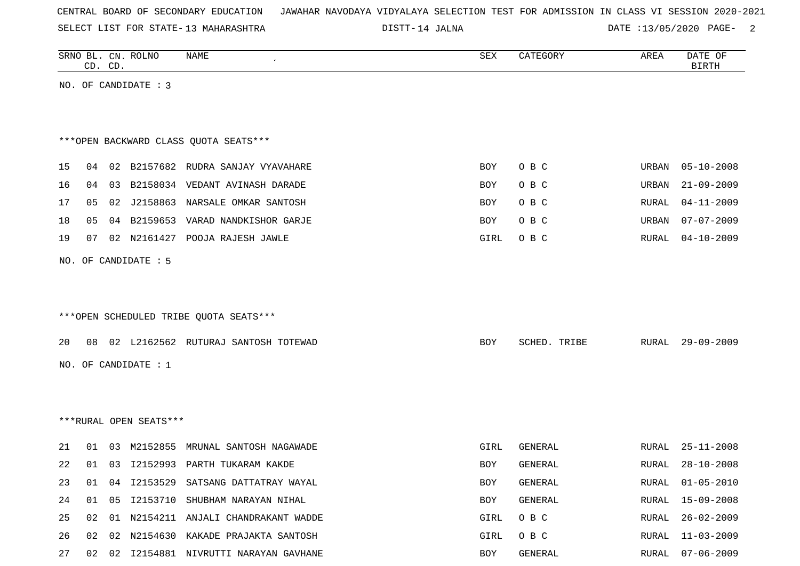|  |  |  |  | CENTRAL BOARD OF SECONDARY EDUCATION – JAWAHAR NAVODAYA VIDYALAYA SELECTION TEST FOR ADMISSION IN CLASS VI SESSION 2020-2021 |  |  |  |  |  |  |  |  |  |  |  |  |
|--|--|--|--|------------------------------------------------------------------------------------------------------------------------------|--|--|--|--|--|--|--|--|--|--|--|--|
|--|--|--|--|------------------------------------------------------------------------------------------------------------------------------|--|--|--|--|--|--|--|--|--|--|--|--|

SELECT LIST FOR STATE- DISTT- 13 MAHARASHTRA

DISTT-14 JALNA 2001 20020 DATE :13/05/2020 PAGE-

|    |    | CD. CD. | SRNO BL. CN. ROLNO     | NAME                                   | ${\tt SEX}$ | CATEGORY     | AREA         | DATE OF<br><b>BIRTH</b> |
|----|----|---------|------------------------|----------------------------------------|-------------|--------------|--------------|-------------------------|
|    |    |         | NO. OF CANDIDATE : 3   |                                        |             |              |              |                         |
|    |    |         |                        |                                        |             |              |              |                         |
|    |    |         |                        |                                        |             |              |              |                         |
|    |    |         |                        | *** OPEN BACKWARD CLASS QUOTA SEATS*** |             |              |              |                         |
| 15 | 04 |         |                        | 02 B2157682 RUDRA SANJAY VYAVAHARE     | BOY         | O B C        | URBAN        | $05 - 10 - 2008$        |
| 16 | 04 | 03      |                        | B2158034 VEDANT AVINASH DARADE         | BOY         | O B C        | URBAN        | $21 - 09 - 2009$        |
| 17 | 05 |         |                        | 02 J2158863 NARSALE OMKAR SANTOSH      | BOY         | O B C        | RURAL        | $04 - 11 - 2009$        |
| 18 | 05 |         |                        | 04 B2159653 VARAD NANDKISHOR GARJE     | BOY         | O B C        | URBAN        | $07 - 07 - 2009$        |
| 19 | 07 |         |                        | 02 N2161427 POOJA RAJESH JAWLE         | GIRL        | O B C        | <b>RURAL</b> | $04 - 10 - 2009$        |
|    |    |         | NO. OF CANDIDATE : 5   |                                        |             |              |              |                         |
|    |    |         |                        |                                        |             |              |              |                         |
|    |    |         |                        |                                        |             |              |              |                         |
|    |    |         |                        | ***OPEN SCHEDULED TRIBE QUOTA SEATS*** |             |              |              |                         |
|    |    |         |                        |                                        |             |              |              |                         |
| 20 | 08 |         |                        | 02 L2162562 RUTURAJ SANTOSH TOTEWAD    | BOY         | SCHED. TRIBE | RURAL        | $29 - 09 - 2009$        |
|    |    |         | NO. OF CANDIDATE : $1$ |                                        |             |              |              |                         |
|    |    |         |                        |                                        |             |              |              |                         |
|    |    |         |                        |                                        |             |              |              |                         |
|    |    |         | ***RURAL OPEN SEATS*** |                                        |             |              |              |                         |
| 21 | 01 | 03      | M2152855               | MRUNAL SANTOSH NAGAWADE                | GIRL        | GENERAL      | RURAL        | $25 - 11 - 2008$        |
| 22 | 01 |         |                        | 03 I2152993 PARTH TUKARAM KAKDE        | BOY         | GENERAL      | RURAL        | $28 - 10 - 2008$        |
| 23 | 01 |         |                        | 04 I2153529 SATSANG DATTATRAY WAYAL    | BOY         | GENERAL      | RURAL        | $01 - 05 - 2010$        |
| 24 | 01 | 05      |                        | I2153710 SHUBHAM NARAYAN NIHAL         | BOY         | GENERAL      | RURAL        | $15 - 09 - 2008$        |
| 25 | 02 |         |                        | 01 N2154211 ANJALI CHANDRAKANT WADDE   | GIRL        | O B C        | RURAL        | $26 - 02 - 2009$        |
| 26 | 02 |         |                        | 02 N2154630 KAKADE PRAJAKTA SANTOSH    | GIRL        | O B C        | RURAL        | $11 - 03 - 2009$        |
| 27 | 02 |         |                        | 02 I2154881 NIVRUTTI NARAYAN GAVHANE   | BOY         | GENERAL      | RURAL        | 07-06-2009              |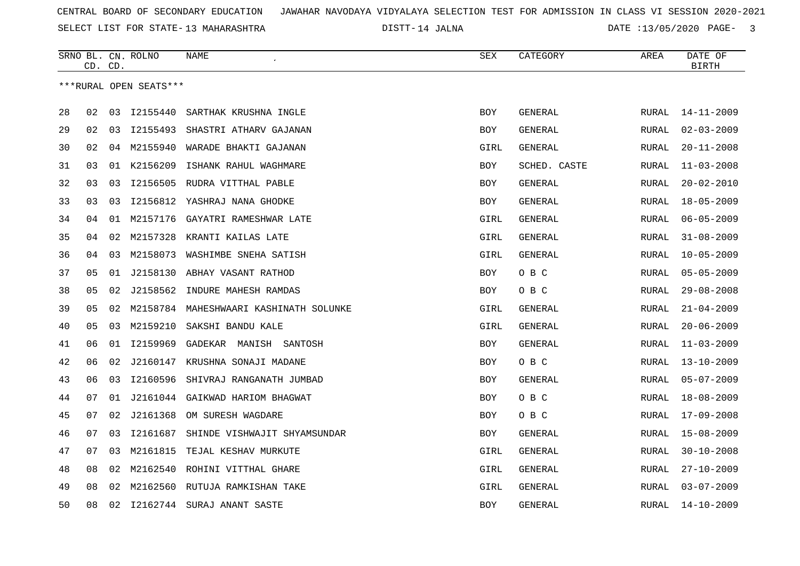SELECT LIST FOR STATE- DISTT- 13 MAHARASHTRA

DISTT-14 JALNA 14 12 13/05/2020 PAGE- 3

|    |    | CD. CD. | SRNO BL. CN. ROLNO     | <b>NAME</b>                   | <b>SEX</b> | CATEGORY       | AREA         | DATE OF<br><b>BIRTH</b> |
|----|----|---------|------------------------|-------------------------------|------------|----------------|--------------|-------------------------|
|    |    |         | ***RURAL OPEN SEATS*** |                               |            |                |              |                         |
|    |    |         |                        |                               |            |                |              |                         |
| 28 | 02 | 03      | 12155440               | SARTHAK KRUSHNA INGLE         | <b>BOY</b> | GENERAL        | RURAL        | $14 - 11 - 2009$        |
| 29 | 02 | 03      | I2155493               | SHASTRI ATHARV GAJANAN        | <b>BOY</b> | <b>GENERAL</b> | <b>RURAL</b> | $02 - 03 - 2009$        |
| 30 | 02 | 04      | M2155940               | WARADE BHAKTI GAJANAN         | GIRL       | GENERAL        | RURAL        | $20 - 11 - 2008$        |
| 31 | 03 |         | 01 K2156209            | ISHANK RAHUL WAGHMARE         | BOY        | SCHED. CASTE   | RURAL        | $11 - 03 - 2008$        |
| 32 | 03 | 03      | I2156505               | RUDRA VITTHAL PABLE           | <b>BOY</b> | GENERAL        | RURAL        | $20 - 02 - 2010$        |
| 33 | 03 | 03      | I2156812               | YASHRAJ NANA GHODKE           | <b>BOY</b> | <b>GENERAL</b> | RURAL        | $18 - 05 - 2009$        |
| 34 | 04 | 01      | M2157176               | GAYATRI RAMESHWAR LATE        | GIRL       | GENERAL        | RURAL        | $06 - 05 - 2009$        |
| 35 | 04 | 02      | M2157328               | KRANTI KAILAS LATE            | GIRL       | GENERAL        | <b>RURAL</b> | $31 - 08 - 2009$        |
| 36 | 04 | 03      | M2158073               | WASHIMBE SNEHA SATISH         | GIRL       | <b>GENERAL</b> | RURAL        | $10 - 05 - 2009$        |
| 37 | 05 | 01      | J2158130               | ABHAY VASANT RATHOD           | <b>BOY</b> | O B C          | RURAL        | $05 - 05 - 2009$        |
| 38 | 05 | 02      | J2158562               | INDURE MAHESH RAMDAS          | BOY        | O B C          | RURAL        | $29 - 08 - 2008$        |
| 39 | 05 | 02      | M2158784               | MAHESHWAARI KASHINATH SOLUNKE | GIRL       | <b>GENERAL</b> | <b>RURAL</b> | $21 - 04 - 2009$        |
| 40 | 05 | 03      | M2159210               | SAKSHI BANDU KALE             | GIRL       | GENERAL        | RURAL        | $20 - 06 - 2009$        |
| 41 | 06 | 01      | I2159969               | GADEKAR MANISH SANTOSH        | <b>BOY</b> | GENERAL        | <b>RURAL</b> | $11 - 03 - 2009$        |
| 42 | 06 | 02      | J2160147               | KRUSHNA SONAJI MADANE         | <b>BOY</b> | O B C          | RURAL        | $13 - 10 - 2009$        |
| 43 | 06 | 03      | I2160596               | SHIVRAJ RANGANATH JUMBAD      | <b>BOY</b> | GENERAL        | RURAL        | $05 - 07 - 2009$        |
| 44 | 07 | 01      | J2161044               | GAIKWAD HARIOM BHAGWAT        | <b>BOY</b> | O B C          | <b>RURAL</b> | $18 - 08 - 2009$        |
| 45 | 07 | 02      | J2161368               | OM SURESH WAGDARE             | BOY        | O B C          | RURAL        | $17 - 09 - 2008$        |
| 46 | 07 | 03      | I2161687               | SHINDE VISHWAJIT SHYAMSUNDAR  | <b>BOY</b> | GENERAL        | RURAL        | $15 - 08 - 2009$        |
| 47 | 07 | 03      | M2161815               | TEJAL KESHAV MURKUTE          | GIRL       | GENERAL        | RURAL        | $30 - 10 - 2008$        |
| 48 | 08 | 02      | M2162540               | ROHINI VITTHAL GHARE          | GIRL       | GENERAL        | RURAL        | $27 - 10 - 2009$        |
| 49 | 08 | 02      | M2162560               | RUTUJA RAMKISHAN TAKE         | GIRL       | GENERAL        | RURAL        | $03 - 07 - 2009$        |
| 50 | 08 | 02      | I2162744               | SURAJ ANANT SASTE             | <b>BOY</b> | GENERAL        | RURAL        | $14 - 10 - 2009$        |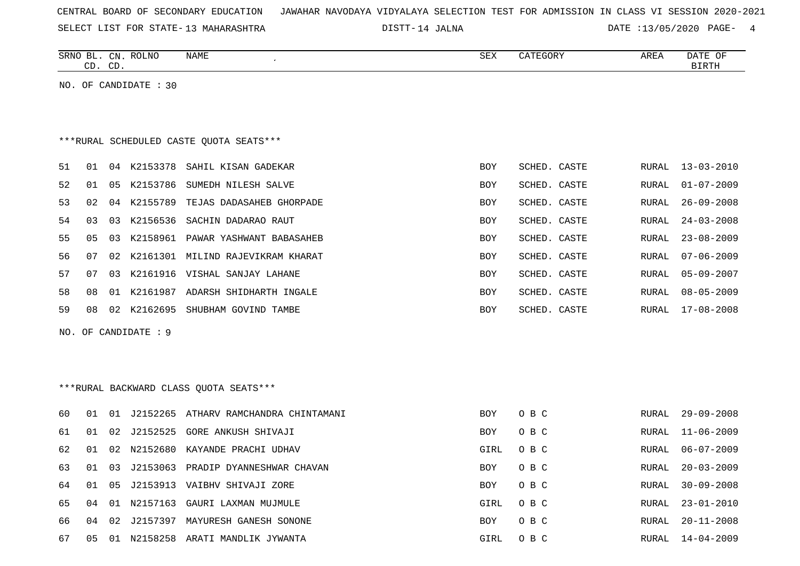| CENTRAL BOARD OF SECONDARY EDUCATION – JAWAHAR NAVODAYA VIDYALAYA SELECTION TEST FOR ADMISSION IN CLASS VI SESSION 2020-2021 |
|------------------------------------------------------------------------------------------------------------------------------|
|------------------------------------------------------------------------------------------------------------------------------|

SELECT LIST FOR STATE- DISTT- 13 MAHARASHTRA

14 JALNA DATE :13/05/2020 PAGE- 4

|    |    | CD. CD.        | SRNO BL. CN. ROLNO    | NAME                                    | SEX        | CATEGORY     | AREA         | DATE OF<br><b>BIRTH</b> |
|----|----|----------------|-----------------------|-----------------------------------------|------------|--------------|--------------|-------------------------|
|    |    |                | NO. OF CANDIDATE : 30 |                                         |            |              |              |                         |
|    |    |                |                       |                                         |            |              |              |                         |
|    |    |                |                       |                                         |            |              |              |                         |
|    |    |                |                       | ***RURAL SCHEDULED CASTE QUOTA SEATS*** |            |              |              |                         |
| 51 | 01 |                |                       | 04 K2153378 SAHIL KISAN GADEKAR         | <b>BOY</b> | SCHED. CASTE | RURAL        | $13 - 03 - 2010$        |
| 52 | 01 | 05             | K2153786              | SUMEDH NILESH SALVE                     | BOY        | SCHED. CASTE | RURAL        | $01 - 07 - 2009$        |
| 53 | 02 | 04             | K2155789              | TEJAS DADASAHEB GHORPADE                | <b>BOY</b> | SCHED. CASTE | RURAL        | $26 - 09 - 2008$        |
| 54 | 03 | 03             | K2156536              | SACHIN DADARAO RAUT                     | BOY        | SCHED. CASTE | <b>RURAL</b> | $24 - 03 - 2008$        |
| 55 | 05 | 03             | K2158961              | PAWAR YASHWANT BABASAHEB                | <b>BOY</b> | SCHED. CASTE | RURAL        | $23 - 08 - 2009$        |
| 56 | 07 | 02             |                       | K2161301 MILIND RAJEVIKRAM KHARAT       | BOY        | SCHED. CASTE | RURAL        | $07 - 06 - 2009$        |
| 57 | 07 | 03             |                       | K2161916 VISHAL SANJAY LAHANE           | BOY        | SCHED. CASTE | RURAL        | $05 - 09 - 2007$        |
| 58 | 08 | 01             |                       | K2161987 ADARSH SHIDHARTH INGALE        | BOY        | SCHED. CASTE | RURAL        | $08 - 05 - 2009$        |
| 59 | 08 |                |                       | 02 K2162695 SHUBHAM GOVIND TAMBE        | BOY        | SCHED. CASTE | RURAL        | 17-08-2008              |
|    |    |                | NO. OF CANDIDATE : 9  |                                         |            |              |              |                         |
|    |    |                |                       |                                         |            |              |              |                         |
|    |    |                |                       |                                         |            |              |              |                         |
|    |    |                |                       | *** RURAL BACKWARD CLASS QUOTA SEATS*** |            |              |              |                         |
| 60 | 01 | 01             |                       | J2152265 ATHARV RAMCHANDRA CHINTAMANI   | BOY        | O B C        | RURAL        | $29 - 09 - 2008$        |
| 61 | 01 | 02             | J2152525              | GORE ANKUSH SHIVAJI                     | BOY        | O B C        | RURAL        | $11 - 06 - 2009$        |
| 62 | 01 | 02             | N2152680              | KAYANDE PRACHI UDHAV                    | GIRL       | O B C        | <b>RURAL</b> | $06 - 07 - 2009$        |
| 63 | 01 | 03             |                       | J2153063 PRADIP DYANNESHWAR CHAVAN      | <b>BOY</b> | O B C        | RURAL        | $20 - 03 - 2009$        |
| 64 | 01 | 0 <sub>5</sub> |                       | J2153913 VAIBHV SHIVAJI ZORE            | BOY        | O B C        | RURAL        | $30 - 09 - 2008$        |
| 65 | 04 | 01             | N2157163              | GAURI LAXMAN MUJMULE                    | GIRL       | O B C        | RURAL        | $23 - 01 - 2010$        |
| 66 | 04 | 02             |                       | J2157397 MAYURESH GANESH SONONE         | BOY        | O B C        | RURAL        | $20 - 11 - 2008$        |
| 67 | 05 |                |                       | 01 N2158258 ARATI MANDLIK JYWANTA       | GIRL       | O B C        | RURAL        | $14 - 04 - 2009$        |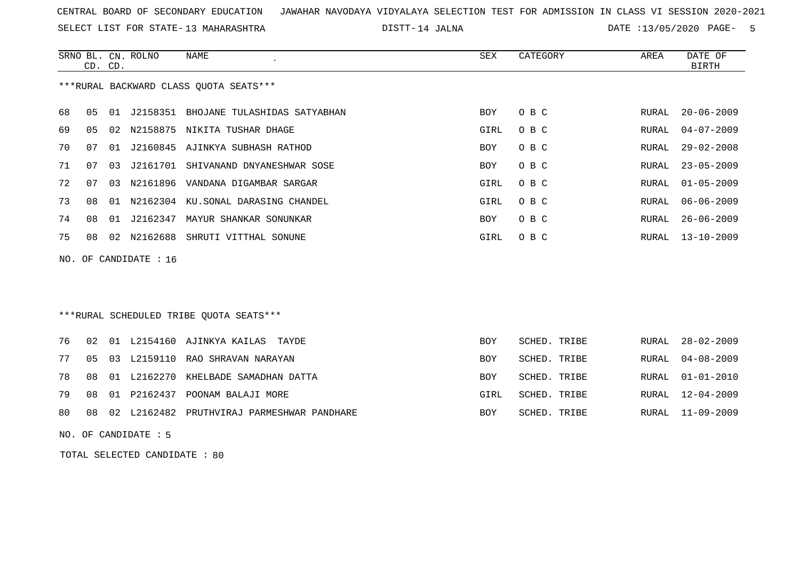SELECT LIST FOR STATE- DISTT- 13 MAHARASHTRA

DISTT-14 JALNA 14 CONTROLLER DATE :13/05/2020 PAGE- 5

|                       | CD. CD.                                |    | SRNO BL. CN. ROLNO | NAME                                     | SEX        | CATEGORY | AREA  | DATE OF<br>BIRTH |  |  |  |
|-----------------------|----------------------------------------|----|--------------------|------------------------------------------|------------|----------|-------|------------------|--|--|--|
|                       | ***RURAL BACKWARD CLASS QUOTA SEATS*** |    |                    |                                          |            |          |       |                  |  |  |  |
| 68                    | 05                                     |    |                    | 01 J2158351 BHOJANE TULASHIDAS SATYABHAN | BOY        | O B C    |       | RURAL 20-06-2009 |  |  |  |
| 69                    | 05                                     |    |                    | 02 N2158875 NIKITA TUSHAR DHAGE          | GIRL       | O B C    |       | RURAL 04-07-2009 |  |  |  |
| 70                    | 07                                     |    |                    | 01 J2160845 AJINKYA SUBHASH RATHOD       | <b>BOY</b> | O B C    | RURAL | 29-02-2008       |  |  |  |
| 71                    | 07                                     |    |                    | 03 J2161701 SHIVANAND DNYANESHWAR SOSE   | BOY        | O B C    | RURAL | $23 - 05 - 2009$ |  |  |  |
| 72                    | 07                                     |    |                    | 03 N2161896 VANDANA DIGAMBAR SARGAR      | GIRL       | O B C    |       | RURAL 01-05-2009 |  |  |  |
| 73                    | 08                                     |    |                    | 01 N2162304 KU.SONAL DARASING CHANDEL    | GIRL       | O B C    |       | RURAL 06-06-2009 |  |  |  |
| 74                    | 08                                     | 01 | J2162347           | MAYUR SHANKAR SONUNKAR                   | BOY        | O B C    | RURAL | $26 - 06 - 2009$ |  |  |  |
| 75                    | 08                                     |    |                    | 02 N2162688 SHRUTI VITTHAL SONUNE        | GIRL       | O B C    |       | RURAL 13-10-2009 |  |  |  |
| NO. OF CANDIDATE : 16 |                                        |    |                    |                                          |            |          |       |                  |  |  |  |

# \*\*\*RURAL SCHEDULED TRIBE QUOTA SEATS\*\*\*

|  |  | 76 02 01 L2154160 AJINKYA KAILAS TAYDE           | <b>BOY</b> | SCHED. TRIBE | RURAL 28-02-2009 |
|--|--|--------------------------------------------------|------------|--------------|------------------|
|  |  | 77 05 03 L2159110 RAO SHRAVAN NARAYAN            | BOY        | SCHED. TRIBE | RURAL 04-08-2009 |
|  |  | 78 08 01 L2162270 KHELBADE SAMADHAN DATTA        | <b>BOY</b> | SCHED. TRIBE | RURAL 01-01-2010 |
|  |  | 79 08 01 P2162437 POONAM BALAJI MORE             | GIRL       | SCHED. TRIBE | RURAL 12-04-2009 |
|  |  | 80 08 02 L2162482 PRUTHVIRAJ PARMESHWAR PANDHARE | BOY        | SCHED. TRIBE | RURAL 11-09-2009 |

NO. OF CANDIDATE : 5

TOTAL SELECTED CANDIDATE : 80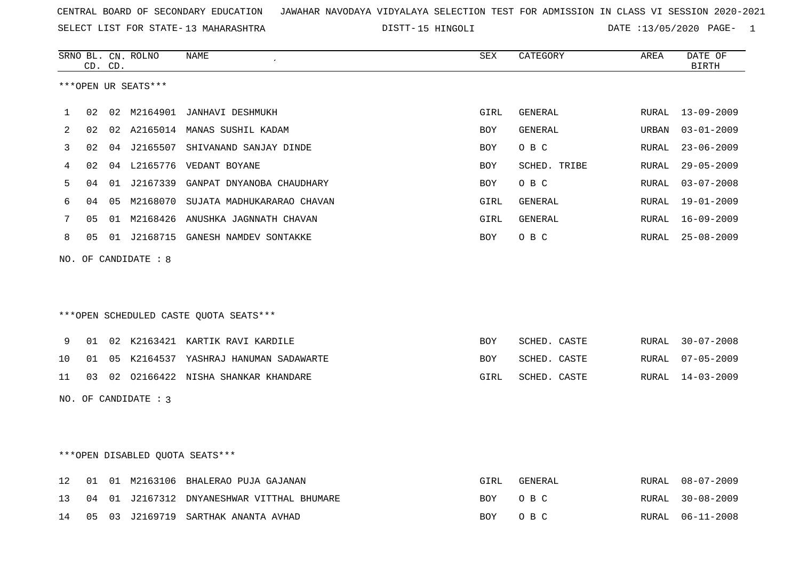SELECT LIST FOR STATE- DISTT- 13 MAHARASHTRA

15 HINGOLI DATE :13/05/2020 PAGE- 1

|    |    | CD. CD. | SRNO BL. CN. ROLNO     | NAME                                       | SEX        | CATEGORY       | AREA  | DATE OF<br><b>BIRTH</b> |
|----|----|---------|------------------------|--------------------------------------------|------------|----------------|-------|-------------------------|
|    |    |         | ***OPEN UR SEATS***    |                                            |            |                |       |                         |
| 1  | 02 |         |                        | 02 M2164901 JANHAVI DESHMUKH               | GIRL       | GENERAL        | RURAL | 13-09-2009              |
| 2  | 02 |         |                        | 02 A2165014 MANAS SUSHIL KADAM             | BOY        | <b>GENERAL</b> | URBAN | $03 - 01 - 2009$        |
| 3  | 02 |         | 04 J2165507            | SHIVANAND SANJAY DINDE                     | <b>BOY</b> | O B C          | RURAL | $23 - 06 - 2009$        |
| 4  | 02 |         |                        | 04 L2165776 VEDANT BOYANE                  | BOY        | SCHED. TRIBE   | RURAL | $29 - 05 - 2009$        |
| 5  | 04 |         | 01 J2167339            | GANPAT DNYANOBA CHAUDHARY                  | BOY        | O B C          | RURAL | $03 - 07 - 2008$        |
| 6  | 04 |         |                        | 05 M2168070 SUJATA MADHUKARARAO CHAVAN     | GIRL       | GENERAL        | RURAL | 19-01-2009              |
| 7  | 05 |         |                        | 01 M2168426 ANUSHKA JAGNNATH CHAVAN        | GIRL       | GENERAL        | RURAL | 16-09-2009              |
| 8  | 05 |         |                        | 01 J2168715 GANESH NAMDEV SONTAKKE         | BOY        | O B C          | RURAL | 25-08-2009              |
|    |    |         | NO. OF CANDIDATE : 8   | *** OPEN SCHEDULED CASTE QUOTA SEATS***    |            |                |       |                         |
| 9  | 01 |         |                        | 02 K2163421 KARTIK RAVI KARDILE            | BOY        | SCHED. CASTE   | RURAL | $30 - 07 - 2008$        |
| 10 | 01 |         |                        | 05 K2164537 YASHRAJ HANUMAN SADAWARTE      | BOY        | SCHED. CASTE   | RURAL | $07 - 05 - 2009$        |
| 11 | 03 |         |                        | 02 02166422 NISHA SHANKAR KHANDARE         | GIRL       | SCHED. CASTE   | RURAL | $14 - 03 - 2009$        |
|    |    |         | NO. OF CANDIDATE : $3$ |                                            |            |                |       |                         |
|    |    |         |                        | *** OPEN DISABLED QUOTA SEATS***           |            |                |       |                         |
| 12 | 01 |         |                        | 01 M2163106 BHALERAO PUJA GAJANAN          | GIRL       | GENERAL        | RURAL | $08 - 07 - 2009$        |
| 13 |    |         |                        | 04 01 J2167312 DNYANESHWAR VITTHAL BHUMARE | <b>BOY</b> | O B C          | RURAL | $30 - 08 - 2009$        |

14 05 03 J2169719 SARTHAK ANANTA AVHAD BOY O B C RURAL 06-11-2008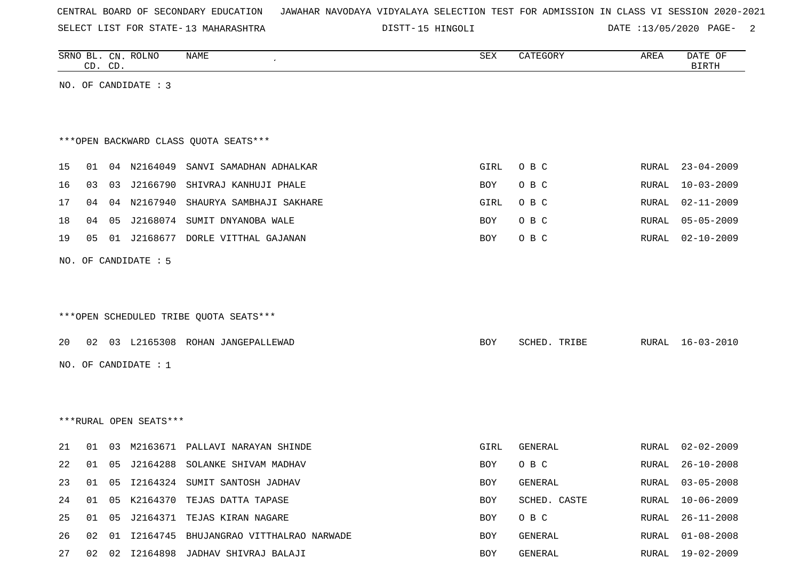| CENTRAL BOARD OF SECONDARY EDUCATION – JAWAHAR NAVODAYA VIDYALAYA SELECTION TEST FOR ADMISSION IN CLASS VI SESSION 2020-2021 |  |  |  |  |
|------------------------------------------------------------------------------------------------------------------------------|--|--|--|--|
|------------------------------------------------------------------------------------------------------------------------------|--|--|--|--|

SELECT LIST FOR STATE- DISTT- 13 MAHARASHTRA 15 HINGOLI DATE :13/05/2020 PAGE- 2

|    |    | CD. CD. | SRNO BL. CN. ROLNO     | NAME                                      | SEX        | CATEGORY     | AREA  | DATE OF<br><b>BIRTH</b> |
|----|----|---------|------------------------|-------------------------------------------|------------|--------------|-------|-------------------------|
|    |    |         | NO. OF CANDIDATE : 3   |                                           |            |              |       |                         |
|    |    |         |                        |                                           |            |              |       |                         |
|    |    |         |                        |                                           |            |              |       |                         |
|    |    |         |                        | *** OPEN BACKWARD CLASS QUOTA SEATS***    |            |              |       |                         |
| 15 | 01 |         | 04 N2164049            | SANVI SAMADHAN ADHALKAR                   | GIRL       | O B C        | RURAL | $23 - 04 - 2009$        |
| 16 | 03 | 03      | J2166790               | SHIVRAJ KANHUJI PHALE                     | BOY        | O B C        | RURAL | $10 - 03 - 2009$        |
| 17 | 04 |         | 04 N2167940            | SHAURYA SAMBHAJI SAKHARE                  | GIRL       | O B C        | RURAL | $02 - 11 - 2009$        |
| 18 | 04 | 05      |                        | J2168074 SUMIT DNYANOBA WALE              | BOY        | O B C        | RURAL | $05 - 05 - 2009$        |
| 19 | 05 |         |                        | 01 J2168677 DORLE VITTHAL GAJANAN         | BOY        | O B C        | RURAL | $02 - 10 - 2009$        |
|    |    |         | NO. OF CANDIDATE : 5   |                                           |            |              |       |                         |
|    |    |         |                        |                                           |            |              |       |                         |
|    |    |         |                        |                                           |            |              |       |                         |
|    |    |         |                        | *** OPEN SCHEDULED TRIBE QUOTA SEATS***   |            |              |       |                         |
|    |    |         |                        |                                           |            |              |       |                         |
| 20 |    |         |                        | 02 03 L2165308 ROHAN JANGEPALLEWAD        | BOY        | SCHED. TRIBE | RURAL | 16-03-2010              |
|    |    |         | NO. OF CANDIDATE : 1   |                                           |            |              |       |                         |
|    |    |         |                        |                                           |            |              |       |                         |
|    |    |         |                        |                                           |            |              |       |                         |
|    |    |         | ***RURAL OPEN SEATS*** |                                           |            |              |       |                         |
| 21 | 01 | 03      | M2163671               | PALLAVI NARAYAN SHINDE                    | GIRL       | GENERAL      | RURAL | $02 - 02 - 2009$        |
| 22 | 01 | 05      |                        | J2164288 SOLANKE SHIVAM MADHAV            | <b>BOY</b> | O B C        | RURAL | $26 - 10 - 2008$        |
| 23 | 01 |         |                        | 05 I2164324 SUMIT SANTOSH JADHAV          | BOY        | GENERAL      | RURAL | $03 - 05 - 2008$        |
| 24 | 01 |         |                        | 05 K2164370 TEJAS DATTA TAPASE            | BOY        | SCHED. CASTE | RURAL | $10 - 06 - 2009$        |
| 25 | 01 | 05      |                        | J2164371 TEJAS KIRAN NAGARE               | BOY        | O B C        | RURAL | $26 - 11 - 2008$        |
| 26 | 02 |         |                        | 01 I2164745 BHUJANGRAO VITTHALRAO NARWADE | BOY        | GENERAL      | RURAL | $01 - 08 - 2008$        |
| 27 |    |         |                        | 02 02 I2164898 JADHAV SHIVRAJ BALAJI      | BOY        | GENERAL      |       | RURAL 19-02-2009        |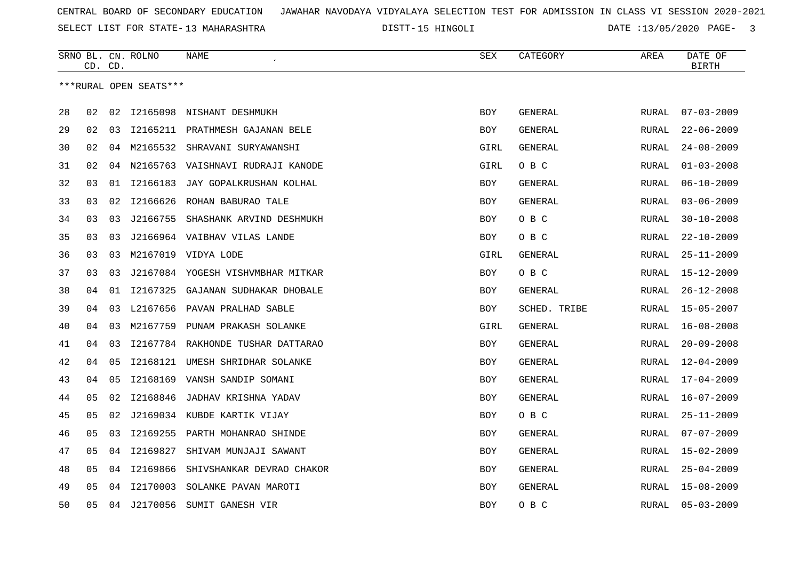SELECT LIST FOR STATE- DISTT- 13 MAHARASHTRA

15 HINGOLI DATE :13/05/2020 PAGE- 3

|    | CD. CD. |    | SRNO BL. CN. ROLNO     | NAME                              | SEX        | CATEGORY       | AREA         | DATE OF<br><b>BIRTH</b> |
|----|---------|----|------------------------|-----------------------------------|------------|----------------|--------------|-------------------------|
|    |         |    | ***RURAL OPEN SEATS*** |                                   |            |                |              |                         |
| 28 | 02      | 02 |                        | 12165098 NISHANT DESHMUKH         | <b>BOY</b> | GENERAL        | <b>RURAL</b> | $07 - 03 - 2009$        |
| 29 | 02      | 03 |                        | 12165211 PRATHMESH GAJANAN BELE   | BOY        | GENERAL        | RURAL        | $22 - 06 - 2009$        |
| 30 | 02      | 04 | M2165532               | SHRAVANI SURYAWANSHI              | GIRL       | GENERAL        | RURAL        | $24 - 08 - 2009$        |
| 31 | 02      | 04 |                        | N2165763 VAISHNAVI RUDRAJI KANODE | GIRL       | O B C          | <b>RURAL</b> | $01 - 03 - 2008$        |
| 32 | 03      | 01 | I2166183               | JAY GOPALKRUSHAN KOLHAL           | <b>BOY</b> | <b>GENERAL</b> | RURAL        | $06 - 10 - 2009$        |
| 33 | 03      | 02 | I2166626               | ROHAN BABURAO TALE                | BOY        | GENERAL        | RURAL        | $03 - 06 - 2009$        |
| 34 | 03      | 03 | J2166755               | SHASHANK ARVIND DESHMUKH          | <b>BOY</b> | O B C          | <b>RURAL</b> | $30 - 10 - 2008$        |
| 35 | 03      | 03 |                        | J2166964 VAIBHAV VILAS LANDE      | BOY        | O B C          | RURAL        | $22 - 10 - 2009$        |
| 36 | 03      | 03 |                        | M2167019 VIDYA LODE               | GIRL       | <b>GENERAL</b> | RURAL        | $25 - 11 - 2009$        |
|    |         |    |                        |                                   |            |                |              |                         |
| 37 | 03      | 03 |                        | J2167084 YOGESH VISHVMBHAR MITKAR | <b>BOY</b> | O B C          | <b>RURAL</b> | $15 - 12 - 2009$        |
| 38 | 04      | 01 | I2167325               | GAJANAN SUDHAKAR DHOBALE          | BOY        | GENERAL        | RURAL        | $26 - 12 - 2008$        |
| 39 | 04      | 03 | L2167656               | PAVAN PRALHAD SABLE               | <b>BOY</b> | SCHED. TRIBE   | <b>RURAL</b> | $15 - 05 - 2007$        |
| 40 | 04      | 03 | M2167759               | PUNAM PRAKASH SOLANKE             | GIRL       | GENERAL        | RURAL        | $16 - 08 - 2008$        |
| 41 | 04      | 03 | I2167784               | RAKHONDE TUSHAR DATTARAO          | <b>BOY</b> | GENERAL        | <b>RURAL</b> | $20 - 09 - 2008$        |
| 42 | 04      | 05 | I2168121               | UMESH SHRIDHAR SOLANKE            | BOY        | <b>GENERAL</b> | RURAL        | $12 - 04 - 2009$        |
| 43 | 04      | 05 | I2168169               | VANSH SANDIP SOMANI               | BOY        | GENERAL        | RURAL        | $17 - 04 - 2009$        |
| 44 | 05      | 02 | I2168846               | JADHAV KRISHNA YADAV              | <b>BOY</b> | GENERAL        | <b>RURAL</b> | $16 - 07 - 2009$        |
| 45 | 05      | 02 |                        | J2169034 KUBDE KARTIK VIJAY       | BOY        | O B C          | <b>RURAL</b> | $25 - 11 - 2009$        |
| 46 | 05      | 03 | I2169255               | PARTH MOHANRAO SHINDE             | <b>BOY</b> | GENERAL        | RURAL        | $07 - 07 - 2009$        |
| 47 | 05      | 04 | I2169827               | SHIVAM MUNJAJI SAWANT             | BOY        | GENERAL        | RURAL        | 15-02-2009              |
| 48 | 05      | 04 | I2169866               | SHIVSHANKAR DEVRAO CHAKOR         | <b>BOY</b> | GENERAL        | <b>RURAL</b> | $25 - 04 - 2009$        |
| 49 | 05      | 04 | I2170003               | SOLANKE PAVAN MAROTI              | <b>BOY</b> | GENERAL        | RURAL        | $15 - 08 - 2009$        |
| 50 | 05      | 04 | J2170056               | SUMIT GANESH VIR                  | BOY        | O B C          | RURAL        | $05 - 03 - 2009$        |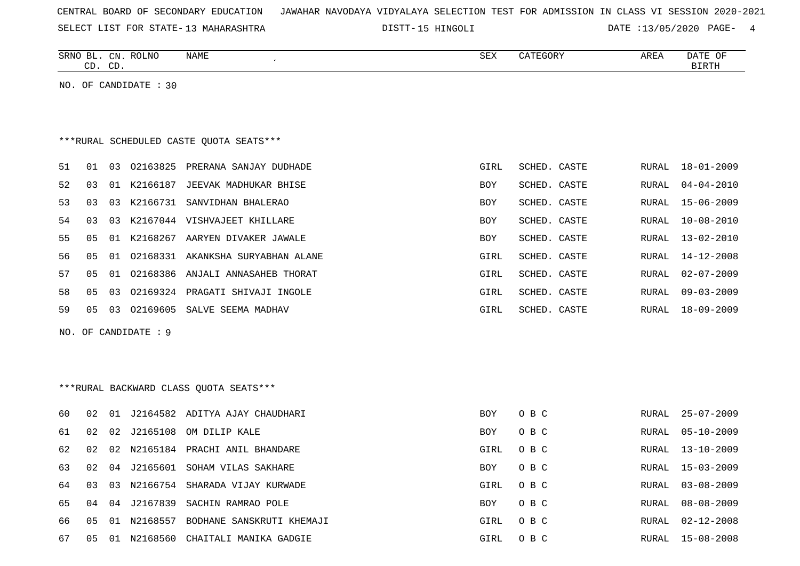| CENTRAL BOARD OF SECONDARY EDUCATION – JAWAHAR NAVODAYA VIDYALAYA SELECTION TEST FOR ADMISSION IN CLASS VI SESSION 2020-2021 |  |  |  |
|------------------------------------------------------------------------------------------------------------------------------|--|--|--|
|------------------------------------------------------------------------------------------------------------------------------|--|--|--|

SELECT LIST FOR STATE- DISTT- 13 MAHARASHTRA 15 HINGOLI DATE :13/05/2020 PAGE- 4

| SRNO<br>BL<br>$\cap$<br>ىب | $\cap$ <sub>NT</sub><br>◡⊥៶<br>$\cap$<br>◡ | $DT$ $NTC$<br>ULINC | NAME | C <sub>0</sub><br>∆∟د |  | AREA | OF<br>יים µר<br>וזיחת דת |
|----------------------------|--------------------------------------------|---------------------|------|-----------------------|--|------|--------------------------|
|                            |                                            |                     |      |                       |  |      |                          |

NO. OF CANDIDATE : 30

# \*\*\*RURAL SCHEDULED CASTE QUOTA SEATS\*\*\*

| 51 | O 1 | 03    | 02163825 | PRERANA SANJAY DUDHADE   | GIRL       | SCHED. CASTE |       | RURAL 18-01-2009 |
|----|-----|-------|----------|--------------------------|------------|--------------|-------|------------------|
| 52 | 03  | O 1   | K2166187 | JEEVAK MADHUKAR BHISE    | <b>BOY</b> | SCHED, CASTE | RURAL | $04 - 04 - 2010$ |
| 53 | 03  | 03    | K2166731 | SANVIDHAN BHALERAO       | <b>BOY</b> | SCHED, CASTE |       | RURAL 15-06-2009 |
| 54 | 03  | 03    | K2167044 | VISHVAJEET KHILLARE      | BOY        | SCHED. CASTE | RURAL | $10 - 08 - 2010$ |
| 55 | 05  | . O 1 | K2168267 | AARYEN DIVAKER JAWALE    | <b>BOY</b> | SCHED. CASTE | RURAL | $13 - 02 - 2010$ |
| 56 | 05  | . O 1 | 02168331 | AKANKSHA SURYABHAN ALANE | GIRL       | SCHED. CASTE |       | RURAL 14-12-2008 |
| 57 | 05  | . O 1 | 02168386 | ANJALI ANNASAHEB THORAT  | GIRL       | SCHED, CASTE | RURAL | $02 - 07 - 2009$ |
| 58 | 05  | 03    | 02169324 | PRAGATI SHIVAJI INGOLE   | GIRL       | SCHED. CASTE | RURAL | $09 - 03 - 2009$ |
| 59 | 05  | 03    | 02169605 | SALVE SEEMA MADHAV       | GIRL       | SCHED. CASTE | RURAL | $18 - 09 - 2009$ |
|    |     |       |          |                          |            |              |       |                  |

NO. OF CANDIDATE : 9

# \*\*\*RURAL BACKWARD CLASS QUOTA SEATS\*\*\*

| 60 | 02 | . N 1 | J2164582 | ADITYA AJAY CHAUDHARI     | BOY        | O B C | RURAL | $25 - 07 - 2009$ |
|----|----|-------|----------|---------------------------|------------|-------|-------|------------------|
| 61 | 02 | 02    | J2165108 | OM DILIP KALE             | BOY        | O B C | RURAL | $05 - 10 - 2009$ |
| 62 | 02 | 02    | N2165184 | PRACHI ANIL BHANDARE      | GIRL       | O B C | RURAL | 13-10-2009       |
| 63 | 02 | 04    | J2165601 | SOHAM VILAS SAKHARE       | BOY        | O B C | RURAL | 15-03-2009       |
| 64 | 03 | 03    | N2166754 | SHARADA VIJAY KURWADE     | GIRL       | O B C | RURAL | $03 - 08 - 2009$ |
| 65 | 04 | 04    | J2167839 | SACHIN RAMRAO POLE        | <b>BOY</b> | O B C | RURAL | 08-08-2009       |
| 66 | 05 | 01    | N2168557 | BODHANE SANSKRUTI KHEMAJI | GIRL       | O B C | RURAL | 02-12-2008       |
| 67 | 05 | . 0.1 | N2168560 | CHAITALI MANIKA GADGIE    | GIRL       | O B C | RURAL | $15 - 08 - 2008$ |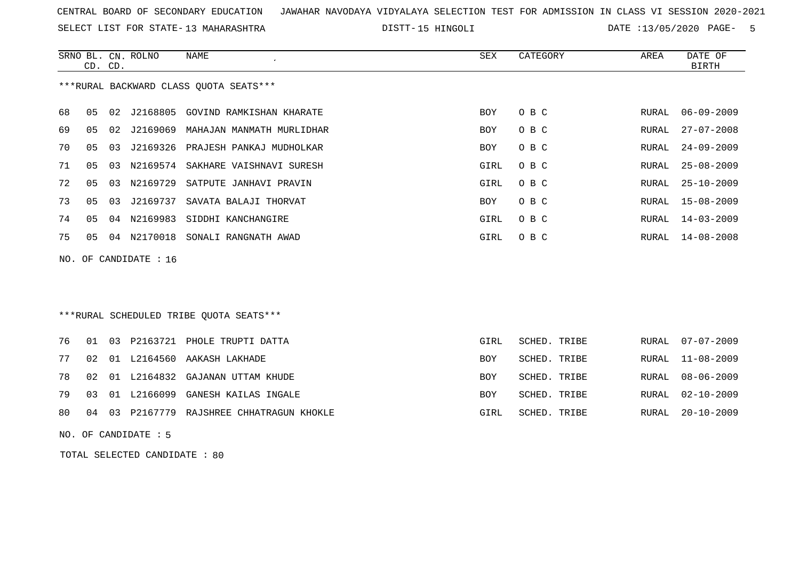SELECT LIST FOR STATE- DISTT- 13 MAHARASHTRA

15 HINGOLI DATE :13/05/2020 PAGE- 5

|     | CD. CD.        |    | SRNO BL. CN. ROLNO | <b>NAME</b>                             | SEX        | CATEGORY     | AREA  | DATE OF<br><b>BIRTH</b> |
|-----|----------------|----|--------------------|-----------------------------------------|------------|--------------|-------|-------------------------|
|     |                |    |                    | *** RURAL BACKWARD CLASS QUOTA SEATS*** |            |              |       |                         |
| 68  | 0 <sub>5</sub> | 02 | J2168805           | GOVIND RAMKISHAN KHARATE                | <b>BOY</b> | O B C        | RURAL | $06 - 09 - 2009$        |
| 69  | 0 <sub>5</sub> | 02 | J2169069           | MAHAJAN MANMATH MURLIDHAR               | <b>BOY</b> | O B C        | RURAL | $27 - 07 - 2008$        |
| 70  | 05             | 03 | J2169326           | PRAJESH PANKAJ MUDHOLKAR                | BOY        | O B C        | RURAL | $24 - 09 - 2009$        |
| 71  | 05             | 03 |                    | N2169574 SAKHARE VAISHNAVI SURESH       | GIRL       | O B C        | RURAL | $25 - 08 - 2009$        |
| 72  | 0 <sub>5</sub> | 03 | N2169729           | SATPUTE JANHAVI PRAVIN                  | GIRL       | O B C        | RURAL | $25 - 10 - 2009$        |
| 73  | 0 <sub>5</sub> | 03 | J2169737           | SAVATA BALAJI THORVAT                   | BOY        | O B C        | RURAL | $15 - 08 - 2009$        |
| 74  | 05             | 04 | N2169983           | SIDDHI KANCHANGIRE                      | GIRL       | O B C        | RURAL | $14 - 03 - 2009$        |
| 75  | 0 <sub>5</sub> | 04 | N2170018           | SONALI RANGNATH AWAD                    | GIRL       | O B C        | RURAL | $14 - 08 - 2008$        |
| NO. |                |    | OF CANDIDATE : 16  |                                         |            |              |       |                         |
|     |                |    |                    |                                         |            |              |       |                         |
|     |                |    |                    |                                         |            |              |       |                         |
|     |                |    |                    | ***RURAL SCHEDULED TRIBE OUOTA SEATS*** |            |              |       |                         |
| 76  | 01             | 03 | P2163721           | PHOLE TRUPTI DATTA                      | GIRL       | SCHED. TRIBE | RURAL | $07 - 07 - 2009$        |
| 77  | 02             |    |                    | 01 L2164560 AAKASH LAKHADE              | <b>BOY</b> | SCHED. TRIBE | RURAL | 11-08-2009              |

78 02 01 L2164832 GAJANAN UTTAM KHUDE BOY SCHED. TRIBE ROY SCHED. TRIBE RURAL 08-06-2009 79 03 01 L2166099 GANESH KAILAS INGALE BOY SCHED. TRIBE ROY SCHED. TRIBE RURAL 02-10-2009 80 04 03 P2167779 RAJSHREE CHHATRAGUN KHOKLE GIRL SCHED. TRIBE RURAL 20-10-2009

NO. OF CANDIDATE : 5

TOTAL SELECTED CANDIDATE : 80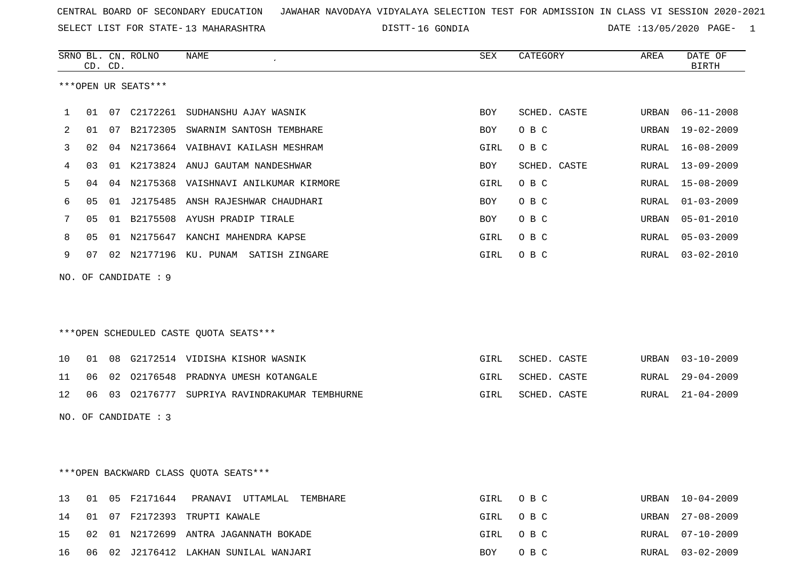SELECT LIST FOR STATE- DISTT- 13 MAHARASHTRA

DISTT-16 GONDIA 2020 DATE :13/05/2020 PAGE- 1

|              |    | CD. CD. | SRNO BL. CN. ROLNO   | <b>NAME</b>                                 | ${\tt SEX}$ | CATEGORY     | AREA  | DATE OF<br><b>BIRTH</b> |
|--------------|----|---------|----------------------|---------------------------------------------|-------------|--------------|-------|-------------------------|
|              |    |         | ***OPEN UR SEATS***  |                                             |             |              |       |                         |
| $\mathbf{1}$ | 01 | 07      | C2172261             | SUDHANSHU AJAY WASNIK                       | BOY         | SCHED. CASTE | URBAN | $06 - 11 - 2008$        |
| 2            | 01 | 07      |                      | B2172305 SWARNIM SANTOSH TEMBHARE           | <b>BOY</b>  | O B C        | URBAN | $19 - 02 - 2009$        |
| 3            | 02 |         |                      | 04 N2173664 VAIBHAVI KAILASH MESHRAM        | GIRL        | O B C        | RURAL | $16 - 08 - 2009$        |
| 4            | 03 |         |                      | 01 K2173824 ANUJ GAUTAM NANDESHWAR          | BOY         | SCHED. CASTE | RURAL | $13 - 09 - 2009$        |
| 5            | 04 |         |                      | 04 N2175368 VAISHNAVI ANILKUMAR KIRMORE     | GIRL        | O B C        | RURAL | $15 - 08 - 2009$        |
| 6            | 05 | 01      |                      | J2175485 ANSH RAJESHWAR CHAUDHARI           | BOY         | O B C        | RURAL | $01 - 03 - 2009$        |
| 7            | 05 |         |                      | 01 B2175508 AYUSH PRADIP TIRALE             | BOY         | O B C        | URBAN | $05 - 01 - 2010$        |
| 8            | 05 |         |                      | 01 N2175647 KANCHI MAHENDRA KAPSE           | GIRL        | O B C        | RURAL | $05 - 03 - 2009$        |
| 9            | 07 |         |                      | 02 N2177196 KU. PUNAM SATISH ZINGARE        | GIRL        | O B C        |       | $03 - 02 - 2010$        |
|              |    |         |                      |                                             |             |              | RURAL |                         |
|              |    |         | NO. OF CANDIDATE : 9 |                                             |             |              |       |                         |
|              |    |         |                      |                                             |             |              |       |                         |
|              |    |         |                      |                                             |             |              |       |                         |
|              |    |         |                      | ***OPEN SCHEDULED CASTE OUOTA SEATS***      |             |              |       |                         |
| 10           | 01 | 08      |                      | G2172514 VIDISHA KISHOR WASNIK              | GIRL        | SCHED. CASTE | URBAN | $03 - 10 - 2009$        |
| 11           | 06 |         |                      | 02 02176548 PRADNYA UMESH KOTANGALE         | GIRL        | SCHED. CASTE | RURAL | $29 - 04 - 2009$        |
| 12           | 06 |         |                      | 03 02176777 SUPRIYA RAVINDRAKUMAR TEMBHURNE | GIRL        | SCHED. CASTE | RURAL | $21 - 04 - 2009$        |
|              |    |         | NO. OF CANDIDATE : 3 |                                             |             |              |       |                         |
|              |    |         |                      |                                             |             |              |       |                         |
|              |    |         |                      |                                             |             |              |       |                         |
|              |    |         |                      | *** OPEN BACKWARD CLASS QUOTA SEATS***      |             |              |       |                         |
|              |    |         |                      |                                             |             |              |       |                         |

|  |  | 13 01 05 F2171644 PRANAVI UTTAMLAL TEMBHARE | GIRL OBC | URBAN 10-04-2009 |
|--|--|---------------------------------------------|----------|------------------|
|  |  | 14 01 07 F2172393 TRUPTI KAWALE             | GIRL OBC | URBAN 27-08-2009 |
|  |  | 15 02 01 N2172699 ANTRA JAGANNATH BOKADE    | GIRL OBC | RURAL 07-10-2009 |
|  |  | 16 06 02 J2176412 LAKHAN SUNILAL WANJARI    | BOY OBC  | RURAL 03-02-2009 |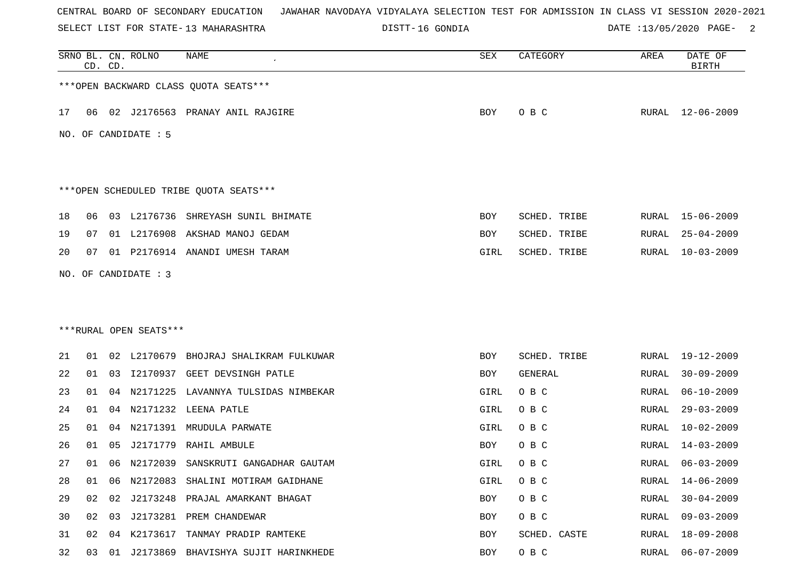SELECT LIST FOR STATE- DISTT- 13 MAHARASHTRA

16 GONDIA DATE :13/05/2020 PAGE- 2

|    |    | CD. CD. | SRNO BL. CN. ROLNO     | <b>NAME</b>                            | SEX  | CATEGORY     | AREA         | DATE OF<br><b>BIRTH</b> |
|----|----|---------|------------------------|----------------------------------------|------|--------------|--------------|-------------------------|
|    |    |         |                        | *** OPEN BACKWARD CLASS QUOTA SEATS*** |      |              |              |                         |
| 17 |    |         |                        | 06 02 J2176563 PRANAY ANIL RAJGIRE     | BOY  | O B C        |              | RURAL 12-06-2009        |
|    |    |         | NO. OF CANDIDATE : 5   |                                        |      |              |              |                         |
|    |    |         |                        | ***OPEN SCHEDULED TRIBE QUOTA SEATS*** |      |              |              |                         |
| 18 | 06 |         |                        | 03 L2176736 SHREYASH SUNIL BHIMATE     | BOY  | SCHED. TRIBE | RURAL        | $15 - 06 - 2009$        |
| 19 | 07 |         |                        | 01 L2176908 AKSHAD MANOJ GEDAM         | BOY  | SCHED. TRIBE | RURAL        | $25 - 04 - 2009$        |
| 20 | 07 |         |                        | 01 P2176914 ANANDI UMESH TARAM         | GIRL | SCHED. TRIBE | RURAL        | $10 - 03 - 2009$        |
|    |    |         | NO. OF CANDIDATE : 3   |                                        |      |              |              |                         |
|    |    |         |                        |                                        |      |              |              |                         |
|    |    |         |                        |                                        |      |              |              |                         |
|    |    |         | ***RURAL OPEN SEATS*** |                                        |      |              |              |                         |
| 21 | 01 |         | 02 L2170679            | BHOJRAJ SHALIKRAM FULKUWAR             | BOY  | SCHED. TRIBE | RURAL        | 19-12-2009              |
| 22 | 01 | 03      |                        | 12170937 GEET DEVSINGH PATLE           | BOY  | GENERAL      | RURAL        | $30 - 09 - 2009$        |
| 23 | 01 | 04      |                        | N2171225 LAVANNYA TULSIDAS NIMBEKAR    | GIRL | O B C        | <b>RURAL</b> | $06 - 10 - 2009$        |
| 24 | 01 | 04      | N2171232               | LEENA PATLE                            | GIRL | O B C        | <b>RURAL</b> | $29 - 03 - 2009$        |
| 25 | 01 | 04      |                        | N2171391 MRUDULA PARWATE               | GIRL | O B C        | RURAL        | $10 - 02 - 2009$        |
| 26 | 01 | 05      | J2171779               | RAHIL AMBULE                           | BOY  | O B C        | <b>RURAL</b> | $14 - 03 - 2009$        |
| 27 | 01 |         |                        | 06 N2172039 SANSKRUTI GANGADHAR GAUTAM | GIRL | O B C        | RURAL        | $06 - 03 - 2009$        |
| 28 | 01 | 06      |                        | N2172083 SHALINI MOTIRAM GAIDHANE      | GIRL | O B C        | RURAL        | $14 - 06 - 2009$        |
| 29 | 02 | 02      |                        | J2173248 PRAJAL AMARKANT BHAGAT        | BOY  | O B C        | <b>RURAL</b> | $30 - 04 - 2009$        |
| 30 | 02 | 03      |                        | J2173281 PREM CHANDEWAR                | BOY  | O B C        | RURAL        | $09 - 03 - 2009$        |
| 31 | 02 | 04      |                        | K2173617 TANMAY PRADIP RAMTEKE         | BOY  | SCHED. CASTE | <b>RURAL</b> | $18 - 09 - 2008$        |
| 32 | 03 | 01      |                        | J2173869 BHAVISHYA SUJIT HARINKHEDE    | BOY  | O B C        | RURAL        | $06 - 07 - 2009$        |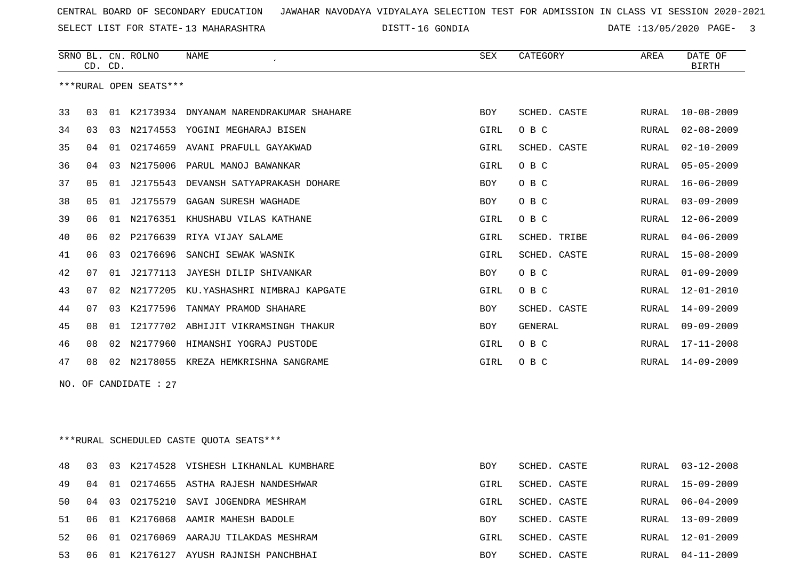SELECT LIST FOR STATE- DISTT- 13 MAHARASHTRA

DISTT-16 GONDIA  $\overline{DATE}$  :13/05/2020 PAGE- 3

|    | CD. CD. |                | SRNO BL. CN. ROLNO     | NAME                                      | <b>SEX</b> | CATEGORY     | AREA  | DATE OF<br><b>BIRTH</b> |
|----|---------|----------------|------------------------|-------------------------------------------|------------|--------------|-------|-------------------------|
|    |         |                | ***RURAL OPEN SEATS*** |                                           |            |              |       |                         |
| 33 | 03      |                |                        | 01 K2173934 DNYANAM NARENDRAKUMAR SHAHARE | <b>BOY</b> | SCHED. CASTE | RURAL | $10 - 08 - 2009$        |
| 34 | 03      | 03             |                        | N2174553 YOGINI MEGHARAJ BISEN            | GIRL       | O B C        | RURAL | $02 - 08 - 2009$        |
| 35 | 04      | 01             | 02174659               | AVANI PRAFULL GAYAKWAD                    | GIRL       | SCHED. CASTE | RURAL | $02 - 10 - 2009$        |
| 36 | 04      | 03             | N2175006               | PARUL MANOJ BAWANKAR                      | GIRL       | O B C        | RURAL | $05 - 05 - 2009$        |
| 37 | 05      | 01             | J2175543               | DEVANSH SATYAPRAKASH DOHARE               | BOY        | O B C        | RURAL | $16 - 06 - 2009$        |
| 38 | 05      | 01             | J2175579               | GAGAN SURESH WAGHADE                      | <b>BOY</b> | O B C        | RURAL | $03 - 09 - 2009$        |
| 39 | 06      | 01             | N2176351               | KHUSHABU VILAS KATHANE                    | GIRL       | O B C        | RURAL | $12 - 06 - 2009$        |
| 40 | 06      | 02             | P2176639               | RIYA VIJAY SALAME                         | GIRL       | SCHED. TRIBE | RURAL | $04 - 06 - 2009$        |
| 41 | 06      | 0 <sub>3</sub> | 02176696               | SANCHI SEWAK WASNIK                       | GIRL       | SCHED. CASTE | RURAL | $15 - 08 - 2009$        |
| 42 | 07      | 01             | J2177113               | JAYESH DILIP SHIVANKAR                    | <b>BOY</b> | O B C        | RURAL | $01 - 09 - 2009$        |
| 43 | 07      | 02             | N2177205               | KU.YASHASHRI NIMBRAJ KAPGATE              | GIRL       | O B C        | RURAL | $12 - 01 - 2010$        |
| 44 | 07      | 03             | K2177596               | TANMAY PRAMOD SHAHARE                     | <b>BOY</b> | SCHED. CASTE | RURAL | $14 - 09 - 2009$        |
| 45 | 08      | 01             | I2177702               | ABHIJIT VIKRAMSINGH THAKUR                | BOY        | GENERAL      | RURAL | $09 - 09 - 2009$        |
| 46 | 08      | 02             | N2177960               | HIMANSHI YOGRAJ PUSTODE                   | GIRL       | O B C        | RURAL | $17 - 11 - 2008$        |
| 47 | 08      | 02             |                        | N2178055 KREZA HEMKRISHNA SANGRAME        | GIRL       | O B C        | RURAL | $14 - 09 - 2009$        |
|    |         |                |                        |                                           |            |              |       |                         |

NO. OF CANDIDATE : 27

\*\*\*RURAL SCHEDULED CASTE QUOTA SEATS\*\*\*

| 48  | 03  | 03   | K2174528 VISHESH LIKHANLAL KUMBHARE | <b>BOY</b> | SCHED, CASTE | RURAL | $03 - 12 - 2008$ |
|-----|-----|------|-------------------------------------|------------|--------------|-------|------------------|
| 49  | 04  | 01   | 02174655 ASTHA RAJESH NANDESHWAR    | GIRL       | SCHED. CASTE | RURAL | $15 - 09 - 2009$ |
| 50. | 04  | 03   | 02175210 SAVI JOGENDRA MESHRAM      | GIRL       | SCHED, CASTE | RURAL | $06 - 04 - 2009$ |
| 51  |     |      | 01 K2176068 AAMIR MAHESH BADOLE     | <b>BOY</b> | SCHED, CASTE | RURAL | $13 - 09 - 2009$ |
| 52. | 06  | 01   | 02176069 AARAJU TILAKDAS MESHRAM    | GIRL       | SCHED, CASTE | RURAL | 12-01-2009       |
| 53  | 06. | - 01 | K2176127 AYUSH RAJNISH PANCHBHAI    | BOY        | SCHED, CASTE | RURAL | 04-11-2009       |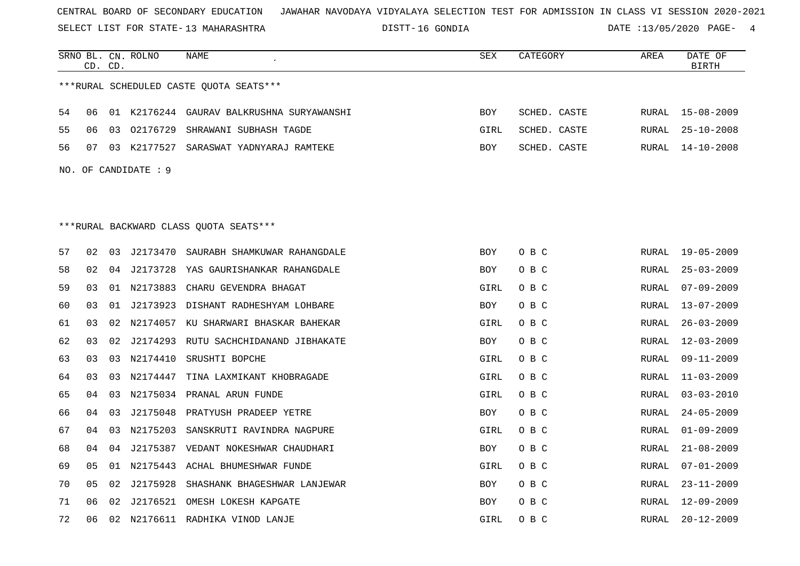SELECT LIST FOR STATE- DISTT- 13 MAHARASHTRA

DISTT-16 GONDIA 2008 2010 DATE :13/05/2020 PAGE- 4

|    |                | CD. CD. | SRNO BL. CN. ROLNO   | <b>NAME</b>                               | <b>SEX</b> | CATEGORY     | AREA         | DATE OF<br><b>BIRTH</b> |
|----|----------------|---------|----------------------|-------------------------------------------|------------|--------------|--------------|-------------------------|
|    |                |         |                      | ***RURAL SCHEDULED CASTE OUOTA SEATS***   |            |              |              |                         |
| 54 | 06             |         |                      | 01 K2176244 GAURAV BALKRUSHNA SURYAWANSHI | BOY        | SCHED. CASTE | RURAL        | 15-08-2009              |
| 55 | 06             | 03      |                      | 02176729 SHRAWANI SUBHASH TAGDE           | GIRL       | SCHED. CASTE | RURAL        | $25 - 10 - 2008$        |
| 56 | 07             |         |                      | 03 K2177527 SARASWAT YADNYARAJ RAMTEKE    | BOY        | SCHED. CASTE | <b>RURAL</b> | $14 - 10 - 2008$        |
|    |                |         | NO. OF CANDIDATE : 9 |                                           |            |              |              |                         |
|    |                |         |                      |                                           |            |              |              |                         |
|    |                |         |                      |                                           |            |              |              |                         |
|    |                |         |                      | ***RURAL BACKWARD CLASS OUOTA SEATS***    |            |              |              |                         |
| 57 | 02             | 03      | J2173470             | SAURABH SHAMKUWAR RAHANGDALE              | BOY        | O B C        | RURAL        | 19-05-2009              |
| 58 | 02             |         |                      | 04 J2173728 YAS GAURISHANKAR RAHANGDALE   | BOY        | O B C        | RURAL        | $25 - 03 - 2009$        |
| 59 | 03             |         | 01 N2173883          | CHARU GEVENDRA BHAGAT                     | GIRL       | O B C        | <b>RURAL</b> | $07 - 09 - 2009$        |
| 60 | 03             |         | 01 J2173923          | DISHANT RADHESHYAM LOHBARE                | BOY        | O B C        | <b>RURAL</b> | $13 - 07 - 2009$        |
| 61 | 03             | 02      |                      | N2174057 KU SHARWARI BHASKAR BAHEKAR      | GIRL       | O B C        | RURAL        | $26 - 03 - 2009$        |
| 62 | 0 <sub>3</sub> | 02      |                      | J2174293 RUTU SACHCHIDANAND JIBHAKATE     | <b>BOY</b> | O B C        | <b>RURAL</b> | $12 - 03 - 2009$        |
| 63 | 03             |         | 03 N2174410          | SRUSHTI BOPCHE                            | GIRL       | O B C        | RURAL        | $09 - 11 - 2009$        |
| 64 | 03             | 03      | N2174447             | TINA LAXMIKANT KHOBRAGADE                 | GIRL       | O B C        | RURAL        | $11 - 03 - 2009$        |
| 65 | 04             |         |                      | 03 N2175034 PRANAL ARUN FUNDE             | GIRL       | O B C        | RURAL        | $03 - 03 - 2010$        |
| 66 | 04             | 03      |                      | J2175048 PRATYUSH PRADEEP YETRE           | BOY        | O B C        | RURAL        | $24 - 05 - 2009$        |
| 67 | 04             | 03      | N2175203             | SANSKRUTI RAVINDRA NAGPURE                | GIRL       | O B C        | RURAL        | $01 - 09 - 2009$        |
| 68 | 04             | 04      |                      | J2175387 VEDANT NOKESHWAR CHAUDHARI       | BOY        | O B C        | RURAL        | $21 - 08 - 2009$        |
| 69 | 05             | 01      |                      | N2175443 ACHAL BHUMESHWAR FUNDE           | GIRL       | O B C        | RURAL        | $07 - 01 - 2009$        |
| 70 | 05             | 02      | J2175928             | SHASHANK BHAGESHWAR LANJEWAR              | BOY        | O B C        | RURAL        | $23 - 11 - 2009$        |
| 71 | 06             | 02      |                      | J2176521 OMESH LOKESH KAPGATE             | BOY        | O B C        | RURAL        | $12 - 09 - 2009$        |
| 72 | 06             |         |                      | 02 N2176611 RADHIKA VINOD LANJE           | GIRL       | O B C        | <b>RURAL</b> | $20 - 12 - 2009$        |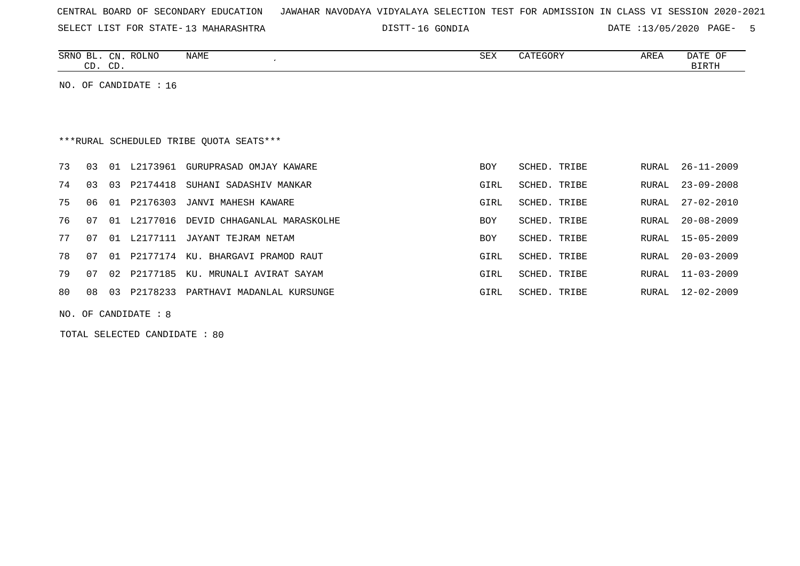| CENTRAL BOARD OF SECONDARY EDUCATION – JAWAHAR NAVODAYA VIDYALAYA SELECTION TEST FOR ADMISSION IN CLASS VI SESSION 2020-2021 |  |  |  |
|------------------------------------------------------------------------------------------------------------------------------|--|--|--|
|------------------------------------------------------------------------------------------------------------------------------|--|--|--|

SELECT LIST FOR STATE- DISTT- 13 MAHARASHTRA

16 GONDIA DATE :13/05/2020 PAGE- 5

| <b>SRNC</b><br>CΝ<br>$\sim$                  | <b>NAME</b><br>ROLNO | SEX | 고ㅁㅠ<br>ARLI | $\sim$<br>U™<br>DAIL |
|----------------------------------------------|----------------------|-----|-------------|----------------------|
| $\sim$ $\sim$<br>$\bigcap$<br>ىد<br><u>.</u> |                      |     |             | ╖ᇭ                   |

NO. OF CANDIDATE : 16

# \*\*\*RURAL SCHEDULED TRIBE QUOTA SEATS\*\*\*

| 73  | 03    | 01 | L2173961    | GURUPRASAD OMJAY KAWARE                    | <b>BOY</b> | SCHED. TRIBE |       | RURAL 26-11-2009 |
|-----|-------|----|-------------|--------------------------------------------|------------|--------------|-------|------------------|
| 74  | 03    | 03 | P2174418    | SUHANI SADASHIV MANKAR                     | GIRL       | SCHED. TRIBE | RURAL | 23-09-2008       |
| 75  | 06 01 |    | P2176303    | JANVI MAHESH KAWARE                        | GIRL       | SCHED. TRIBE | RURAL | $27 - 02 - 2010$ |
| 76  |       |    |             | 07 01 L2177016 DEVID CHHAGANLAL MARASKOLHE | <b>BOY</b> | SCHED. TRIBE |       | RURAL 20-08-2009 |
| 77  | 07    |    |             | 01 L2177111 JAYANT TEJRAM NETAM            | <b>BOY</b> | SCHED. TRIBE |       | RURAL 15-05-2009 |
| 78  |       |    |             | KU. BHARGAVI PRAMOD RAUT                   | GIRL       | SCHED. TRIBE |       | RURAL 20-03-2009 |
| 79  | 07    |    | 02 P2177185 | KU. MRUNALI AVIRAT SAYAM                   | GIRL       | SCHED. TRIBE | RURAL | $11 - 03 - 2009$ |
| 80. | 08    | 03 | P2178233    | PARTHAVI MADANLAL KURSUNGE                 | GIRL       | SCHED. TRIBE | RURAL | 12-02-2009       |
|     |       |    |             |                                            |            |              |       |                  |

NO. OF CANDIDATE : 8

TOTAL SELECTED CANDIDATE : 80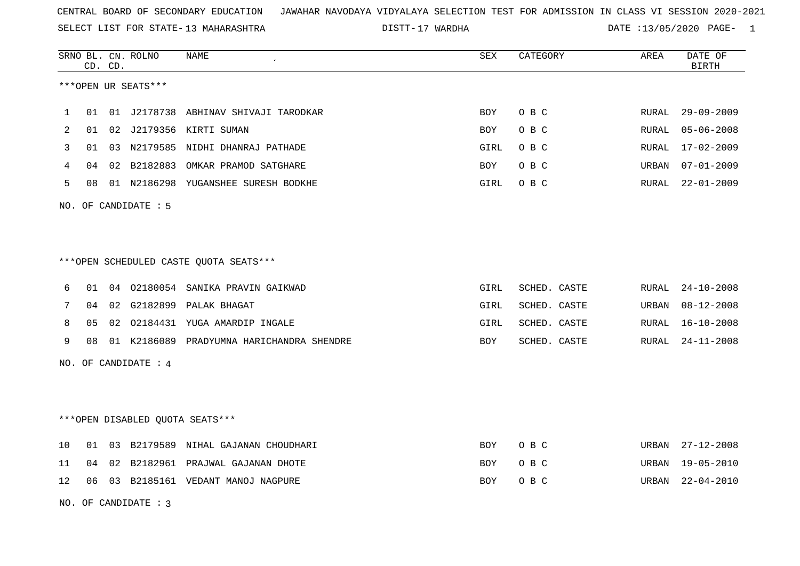SELECT LIST FOR STATE- DISTT- 13 MAHARASHTRA

17 WARDHA DATE :13/05/2020 PAGE- 1

|    |    | CD. CD. | SRNO BL. CN. ROLNO   | NAME                                      | SEX        | CATEGORY     | AREA  | DATE OF<br><b>BIRTH</b> |
|----|----|---------|----------------------|-------------------------------------------|------------|--------------|-------|-------------------------|
|    |    |         | ***OPEN UR SEATS***  |                                           |            |              |       |                         |
| 1  | 01 |         | 01 J2178738          | ABHINAV SHIVAJI TARODKAR                  | <b>BOY</b> | O B C        | RURAL | $29 - 09 - 2009$        |
| 2  | 01 |         |                      | 02 J2179356 KIRTI SUMAN                   | <b>BOY</b> | O B C        | RURAL | $05 - 06 - 2008$        |
| 3  | 01 |         |                      | 03 N2179585 NIDHI DHANRAJ PATHADE         | GIRL       | O B C        | RURAL | $17 - 02 - 2009$        |
| 4  | 04 |         |                      | 02 B2182883 OMKAR PRAMOD SATGHARE         | BOY        | O B C        | URBAN | $07 - 01 - 2009$        |
| 5  | 08 |         |                      | 01 N2186298 YUGANSHEE SURESH BODKHE       | GIRL       | O B C        | RURAL | $22 - 01 - 2009$        |
|    |    |         | NO. OF CANDIDATE : 5 |                                           |            |              |       |                         |
|    |    |         |                      |                                           |            |              |       |                         |
|    |    |         |                      | ***OPEN SCHEDULED CASTE QUOTA SEATS***    |            |              |       |                         |
| 6  | 01 |         |                      | 04 02180054 SANIKA PRAVIN GAIKWAD         | GIRL       | SCHED. CASTE | RURAL | $24 - 10 - 2008$        |
| 7  | 04 | 02      |                      | G2182899 PALAK BHAGAT                     | GIRL       | SCHED. CASTE | URBAN | $08 - 12 - 2008$        |
| 8  | 05 |         |                      | 02 02184431 YUGA AMARDIP INGALE           | GIRL       | SCHED. CASTE | RURAL | $16 - 10 - 2008$        |
| 9  | 08 |         |                      | 01 K2186089 PRADYUMNA HARICHANDRA SHENDRE | BOY        | SCHED. CASTE | RURAL | $24 - 11 - 2008$        |
|    |    |         | NO. OF CANDIDATE : 4 |                                           |            |              |       |                         |
|    |    |         |                      |                                           |            |              |       |                         |
|    |    |         |                      | ***OPEN DISABLED QUOTA SEATS***           |            |              |       |                         |
| 10 | 01 | 03      |                      | B2179589 NIHAL GAJANAN CHOUDHARI          | <b>BOY</b> | O B C        | URBAN | $27 - 12 - 2008$        |
| 11 | 04 | 02      |                      | B2182961 PRAJWAL GAJANAN DHOTE            | <b>BOY</b> | O B C        | URBAN | $19 - 05 - 2010$        |
| 12 |    |         |                      | 06 03 B2185161 VEDANT MANOJ NAGPURE       | <b>BOY</b> | O B C        | URBAN | $22 - 04 - 2010$        |
|    |    |         | NO. OF CANDIDATE: 3  |                                           |            |              |       |                         |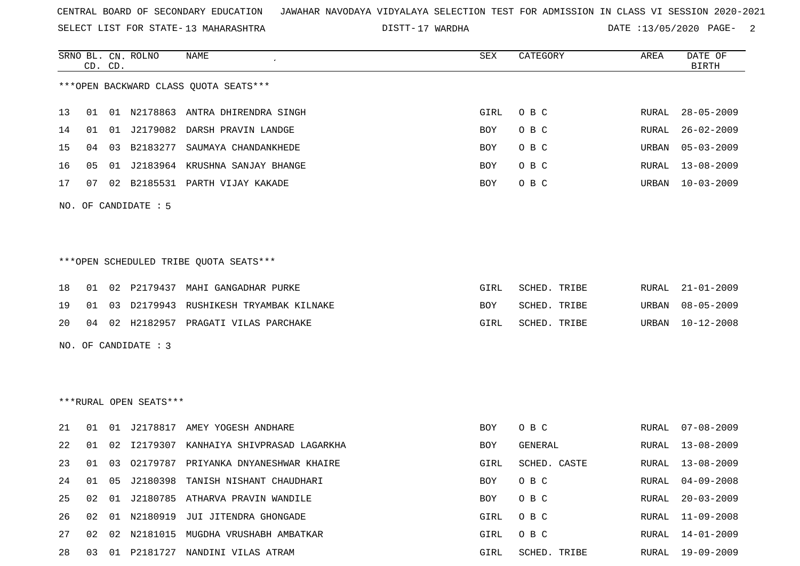SELECT LIST FOR STATE- DISTT- 13 MAHARASHTRA

17 WARDHA DATE :13/05/2020 PAGE- 2

|    |    | CD. CD. | SRNO BL. CN. ROLNO     | <b>NAME</b>                             | SEX  | CATEGORY       | AREA  | DATE OF<br><b>BIRTH</b> |
|----|----|---------|------------------------|-----------------------------------------|------|----------------|-------|-------------------------|
|    |    |         |                        | *** OPEN BACKWARD CLASS QUOTA SEATS***  |      |                |       |                         |
| 13 | 01 |         |                        | 01 N2178863 ANTRA DHIRENDRA SINGH       | GIRL | O B C          | RURAL | $28 - 05 - 2009$        |
| 14 | 01 |         |                        | 01 J2179082 DARSH PRAVIN LANDGE         | BOY  | O B C          | RURAL | $26 - 02 - 2009$        |
| 15 | 04 |         | 03 B2183277            | SAUMAYA CHANDANKHEDE                    | BOY  | O B C          | URBAN | $05 - 03 - 2009$        |
| 16 | 05 |         |                        | 01 J2183964 KRUSHNA SANJAY BHANGE       | BOY  | O B C          | RURAL | $13 - 08 - 2009$        |
| 17 | 07 |         |                        | 02 B2185531 PARTH VIJAY KAKADE          | BOY  | O B C          | URBAN | $10 - 03 - 2009$        |
|    |    |         | NO. OF CANDIDATE : 5   |                                         |      |                |       |                         |
|    |    |         |                        |                                         |      |                |       |                         |
|    |    |         |                        | ***OPEN SCHEDULED TRIBE QUOTA SEATS***  |      |                |       |                         |
| 18 | 01 |         | 02 P2179437            | MAHI GANGADHAR PURKE                    | GIRL | SCHED. TRIBE   | RURAL | $21 - 01 - 2009$        |
| 19 | 01 |         |                        | 03 D2179943 RUSHIKESH TRYAMBAK KILNAKE  | BOY  | SCHED. TRIBE   | URBAN | $08 - 05 - 2009$        |
| 20 | 04 |         |                        | 02 H2182957 PRAGATI VILAS PARCHAKE      | GIRL | SCHED. TRIBE   | URBAN | $10 - 12 - 2008$        |
|    |    |         | NO. OF CANDIDATE : 3   |                                         |      |                |       |                         |
|    |    |         |                        |                                         |      |                |       |                         |
|    |    |         | ***RURAL OPEN SEATS*** |                                         |      |                |       |                         |
| 21 | 01 |         |                        | 01 J2178817 AMEY YOGESH ANDHARE         | BOY  | O B C          | RURAL | $07 - 08 - 2009$        |
| 22 | 01 | 02      | I2179307               | KANHAIYA SHIVPRASAD LAGARKHA            | BOY  | <b>GENERAL</b> | RURAL | $13 - 08 - 2009$        |
| 23 | 01 |         |                        | 03 02179787 PRIYANKA DNYANESHWAR KHAIRE | GIRL | SCHED. CASTE   | RURAL | $13 - 08 - 2009$        |
| 24 | 01 |         |                        | 05 J2180398 TANISH NISHANT CHAUDHARI    | BOY  | O B C          | RURAL | $04 - 09 - 2008$        |
| 25 | 02 | 01      |                        | J2180785 ATHARVA PRAVIN WANDILE         | BOY  | O B C          | RURAL | $20 - 03 - 2009$        |
| 26 | 02 | 01      | N2180919               | JUI JITENDRA GHONGADE                   | GIRL | O B C          | RURAL | $11 - 09 - 2008$        |
| 27 | 02 |         |                        | 02 N2181015 MUGDHA VRUSHABH AMBATKAR    | GIRL | O B C          | RURAL | $14 - 01 - 2009$        |

28 03 01 P2181727 NANDINI VILAS ATRAM GIRL SCHED. TRIBE RURAL 19-09-2009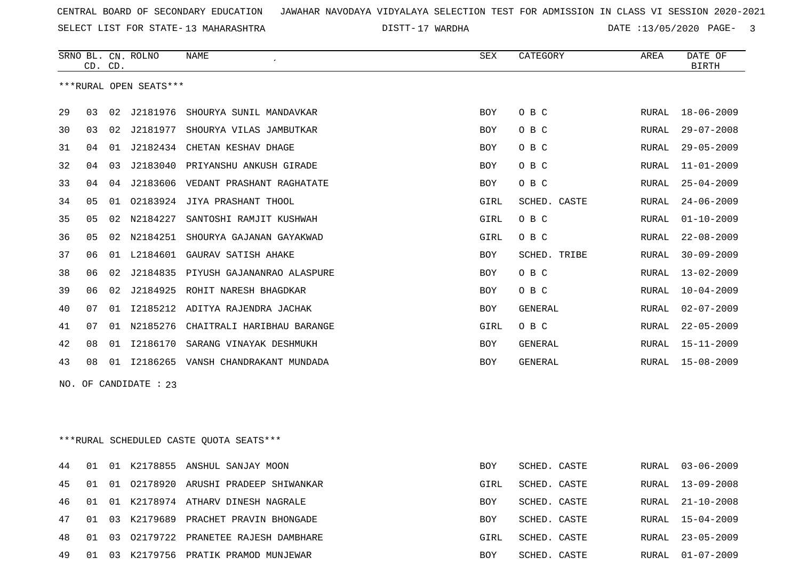SELECT LIST FOR STATE- DISTT- 13 MAHARASHTRA

17 WARDHA DATE :13/05/2020 PAGE- 3

|    |    |         | SRNO BL. CN. ROLNO     | NAME                       | <b>SEX</b> | CATEGORY       | AREA  | DATE OF          |
|----|----|---------|------------------------|----------------------------|------------|----------------|-------|------------------|
|    |    | CD. CD. |                        |                            |            |                |       | <b>BIRTH</b>     |
|    |    |         | ***RURAL OPEN SEATS*** |                            |            |                |       |                  |
| 29 | 03 | 02      | J2181976               | SHOURYA SUNIL MANDAVKAR    | <b>BOY</b> | O B C          | RURAL | $18 - 06 - 2009$ |
| 30 | 03 | 02      | J2181977               | SHOURYA VILAS JAMBUTKAR    | <b>BOY</b> | O B C          | RURAL | $29 - 07 - 2008$ |
| 31 | 04 | 01      | J2182434               | CHETAN KESHAV DHAGE        | <b>BOY</b> | O B C          | RURAL | $29 - 05 - 2009$ |
| 32 | 04 | 03      | J2183040               | PRIYANSHU ANKUSH GIRADE    | <b>BOY</b> | O B C          | RURAL | $11 - 01 - 2009$ |
| 33 | 04 | 04      | J2183606               | VEDANT PRASHANT RAGHATATE  | <b>BOY</b> | O B C          | RURAL | $25 - 04 - 2009$ |
| 34 | 05 | 01      | 02183924               | JIYA PRASHANT THOOL        | GIRL       | SCHED. CASTE   | RURAL | $24 - 06 - 2009$ |
| 35 | 05 | 02      | N2184227               | SANTOSHI RAMJIT KUSHWAH    | GIRL       | O B C          | RURAL | $01 - 10 - 2009$ |
| 36 | 05 | 02      | N2184251               | SHOURYA GAJANAN GAYAKWAD   | GIRL       | O B C          | RURAL | $22 - 08 - 2009$ |
| 37 | 06 | 01      | L2184601               | GAURAV SATISH AHAKE        | <b>BOY</b> | SCHED. TRIBE   | RURAL | $30 - 09 - 2009$ |
| 38 | 06 | 02      | J2184835               | PIYUSH GAJANANRAO ALASPURE | <b>BOY</b> | O B C          | RURAL | $13 - 02 - 2009$ |
| 39 | 06 | 02      | J2184925               | ROHIT NARESH BHAGDKAR      | <b>BOY</b> | O B C          | RURAL | $10 - 04 - 2009$ |
| 40 | 07 | 01      | I2185212               | ADITYA RAJENDRA JACHAK     | <b>BOY</b> | <b>GENERAL</b> | RURAL | $02 - 07 - 2009$ |
| 41 | 07 | 01      | N2185276               | CHAITRALI HARIBHAU BARANGE | GIRL       | O B C          | RURAL | $22 - 05 - 2009$ |
| 42 | 08 | 01      | I2186170               | SARANG VINAYAK DESHMUKH    | <b>BOY</b> | <b>GENERAL</b> | RURAL | $15 - 11 - 2009$ |
| 43 | 08 | 01      | I2186265               | VANSH CHANDRAKANT MUNDADA  | <b>BOY</b> | <b>GENERAL</b> | RURAL | $15 - 08 - 2009$ |
|    |    |         | NO. OF CANDIDATE : 23  |                            |            |                |       |                  |

\*\*\*RURAL SCHEDULED CASTE QUOTA SEATS\*\*\*

| 44 01 |  | 01 K2178855 ANSHUL SANJAY MOON             | <b>BOY</b> | SCHED. CASTE | RURAL 03-06-2009 |
|-------|--|--------------------------------------------|------------|--------------|------------------|
|       |  | 45 01 01 02178920 ARUSHI PRADEEP SHIWANKAR | GIRL       | SCHED. CASTE | RURAL 13-09-2008 |
|       |  | 46 01 01 K2178974 ATHARV DINESH NAGRALE    | <b>BOY</b> | SCHED, CASTE | RURAL 21-10-2008 |
|       |  | 47 01 03 K2179689 PRACHET PRAVIN BHONGADE  | <b>BOY</b> | SCHED. CASTE | RURAL 15-04-2009 |
|       |  | 48 01 03 02179722 PRANETEE RAJESH DAMBHARE | GIRL       | SCHED. CASTE | RURAL 23-05-2009 |
| 49 01 |  | 03 K2179756 PRATIK PRAMOD MUNJEWAR         | <b>BOY</b> | SCHED. CASTE | RURAL 01-07-2009 |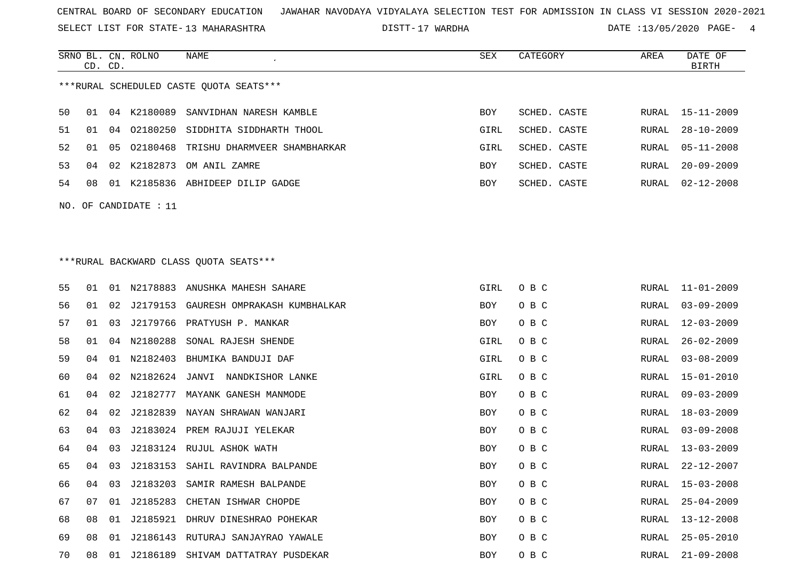SELECT LIST FOR STATE- DISTT- 13 MAHARASHTRA

SRNO BL. CN.

ROLNO NAME SEX CATEGORY AREA DATE OF

DISTT-17 WARDHA 113/05/2020 PAGE- 4

|                                         | CD. CD. |    |                       |                                         |            |              |               | <b>BIRTH</b>     |  |  |
|-----------------------------------------|---------|----|-----------------------|-----------------------------------------|------------|--------------|---------------|------------------|--|--|
| ***RURAL SCHEDULED CASTE QUOTA SEATS*** |         |    |                       |                                         |            |              |               |                  |  |  |
| 50                                      | 01      |    | 04 K2180089           | SANVIDHAN NARESH KAMBLE                 | BOY        | SCHED. CASTE | RURAL         | 15-11-2009       |  |  |
| 51                                      | 01      | 04 | 02180250              | SIDDHITA SIDDHARTH THOOL                | GIRL       | SCHED. CASTE | RURAL         | $28 - 10 - 2009$ |  |  |
| 52                                      | 01      | 05 | 02180468              | TRISHU DHARMVEER SHAMBHARKAR            | GIRL       | SCHED. CASTE | RURAL         | $05 - 11 - 2008$ |  |  |
| 53                                      | 04      |    | 02 K2182873           | OM ANIL ZAMRE                           | BOY        | SCHED. CASTE | RURAL         | $20 - 09 - 2009$ |  |  |
| 54                                      | 08      |    |                       | 01 K2185836 ABHIDEEP DILIP GADGE        | BOY        | SCHED. CASTE | RURAL         | $02 - 12 - 2008$ |  |  |
|                                         |         |    | NO. OF CANDIDATE : 11 |                                         |            |              |               |                  |  |  |
|                                         |         |    |                       |                                         |            |              |               |                  |  |  |
|                                         |         |    |                       |                                         |            |              |               |                  |  |  |
|                                         |         |    |                       | *** RURAL BACKWARD CLASS QUOTA SEATS*** |            |              |               |                  |  |  |
| 55                                      | 01      | 01 |                       | N2178883 ANUSHKA MAHESH SAHARE          | GIRL       | O B C        | RURAL         | $11 - 01 - 2009$ |  |  |
| 56                                      | 01      | 02 | J2179153              | GAURESH OMPRAKASH KUMBHALKAR            | BOY        | O B C        | RURAL         | $03 - 09 - 2009$ |  |  |
| 57                                      | 01      | 03 | J2179766              | PRATYUSH P. MANKAR                      | BOY        | O B C        | RURAL         | $12 - 03 - 2009$ |  |  |
| 58                                      | 01      | 04 | N2180288              | SONAL RAJESH SHENDE                     | GIRL       | O B C        | RURAL         | $26 - 02 - 2009$ |  |  |
| 59                                      | 04      |    | 01 N2182403           | BHUMIKA BANDUJI DAF                     | GIRL       | O B C        | RURAL         | $03 - 08 - 2009$ |  |  |
| 60                                      | 04      | 02 |                       | N2182624 JANVI NANDKISHOR LANKE         | GIRL       | O B C        | RURAL         | $15 - 01 - 2010$ |  |  |
| 61                                      | 04      | 02 | J2182777              | MAYANK GANESH MANMODE                   | BOY        | O B C        | RURAL         | $09 - 03 - 2009$ |  |  |
| 62                                      | 04      | 02 | J2182839              | NAYAN SHRAWAN WANJARI                   | BOY        | O B C        | RURAL         | $18 - 03 - 2009$ |  |  |
| 63                                      | 04      | 03 | J2183024              | PREM RAJUJI YELEKAR                     | BOY        | O B C        | RURAL         | $03 - 09 - 2008$ |  |  |
| 64                                      | 04      | 03 | J2183124              | RUJUL ASHOK WATH                        | BOY        | O B C        | RURAL         | $13 - 03 - 2009$ |  |  |
| 65                                      | 04      | 03 | J2183153              | SAHIL RAVINDRA BALPANDE                 | BOY        | O B C        | RURAL         | $22 - 12 - 2007$ |  |  |
| 66                                      | 04      | 03 | J2183203              | SAMIR RAMESH BALPANDE                   | <b>BOY</b> | O B C        | RURAL         | $15 - 03 - 2008$ |  |  |
| 67                                      | 07      |    |                       | 01 J2185283 CHETAN ISHWAR CHOPDE        | BOY        | O B C        | RURAL         | $25 - 04 - 2009$ |  |  |
| 68                                      | 08      |    |                       | 01 J2185921 DHRUV DINESHRAO POHEKAR     | BOY        | O B C        | ${\tt RURAL}$ | $13 - 12 - 2008$ |  |  |
| 69                                      | 08      | 01 | J2186143              | RUTURAJ SANJAYRAO YAWALE                | BOY        | O B C        | RURAL         | $25 - 05 - 2010$ |  |  |
| 70                                      | 08      | 01 | J2186189              | SHIVAM DATTATRAY PUSDEKAR               | BOY        | O B C        | RURAL         | $21 - 09 - 2008$ |  |  |
|                                         |         |    |                       |                                         |            |              |               |                  |  |  |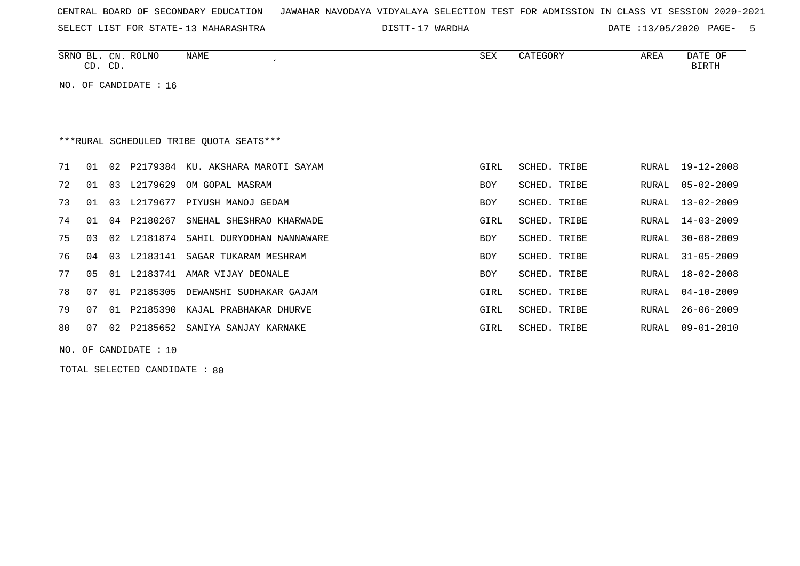| CENTRAL BOARD OF SECONDARY EDUCATION – JAWAHAR NAVODAYA VIDYALAYA SELECTION TEST FOR ADMISSION IN CLASS VI SESSION 2020-2021 |  |
|------------------------------------------------------------------------------------------------------------------------------|--|
|------------------------------------------------------------------------------------------------------------------------------|--|

SELECT LIST FOR STATE- DISTT- 13 MAHARASHTRA

17 WARDHA DATE :13/05/2020 PAGE- 5

| SRNO<br>RL  | CN           | <b>ROLNO</b><br>NAME | $\cap$<br>∆∟ت | <b>ARE</b> | $\mathbf{L}$<br>OF<br>DA. |
|-------------|--------------|----------------------|---------------|------------|---------------------------|
| $\sim$<br>. | $\cap$<br>ىب |                      |               |            | <b>TDMT</b><br>------     |
|             |              |                      |               |            |                           |

NO. OF CANDIDATE : 16

# \*\*\*RURAL SCHEDULED TRIBE QUOTA SEATS\*\*\*

| 71 | . N 1      | O 2. | P2179384       | KU. AKSHARA MAROTI SAYAM           | GIRL       | SCHED. TRIBE | RURAL | 19-12-2008       |
|----|------------|------|----------------|------------------------------------|------------|--------------|-------|------------------|
| 72 | $01 \t 03$ |      | L2179629       | OM GOPAL MASRAM                    | <b>BOY</b> | SCHED. TRIBE | RURAL | 05-02-2009       |
| 73 | 01 03      |      | L2179677       | PIYUSH MANOJ GEDAM                 | <b>BOY</b> | SCHED. TRIBE | RURAL | 13-02-2009       |
| 74 |            |      | 01 04 P2180267 | SNEHAL SHESHRAO KHARWADE           | GIRL       | SCHED. TRIBE |       | RURAL 14-03-2009 |
| 75 | 03         |      | 02 L2181874    | SAHIL DURYODHAN NANNAWARE          | <b>BOY</b> | SCHED. TRIBE | RURAL | $30 - 08 - 2009$ |
| 76 | 04 03      |      |                | L2183141 SAGAR TUKARAM MESHRAM     | <b>BOY</b> | SCHED. TRIBE |       | RURAL 31-05-2009 |
| 77 | 05 01      |      | L2183741       | AMAR VIJAY DEONALE                 | <b>BOY</b> | SCHED. TRIBE | RURAL | 18-02-2008       |
| 78 | 07         | 01   | P2185305       | DEWANSHI SUDHAKAR GAJAM            | GIRL       | SCHED. TRIBE |       | RURAL 04-10-2009 |
| 79 | 07         |      |                | 01 P2185390 KAJAL PRABHAKAR DHURVE | GIRL       | SCHED. TRIBE | RURAL | $26 - 06 - 2009$ |
| 80 | 07         | O 2. |                | P2185652 SANIYA SANJAY KARNAKE     | GIRL       | SCHED. TRIBE | RURAL | $09 - 01 - 2010$ |
|    |            |      |                |                                    |            |              |       |                  |

NO. OF CANDIDATE : 10

TOTAL SELECTED CANDIDATE : 80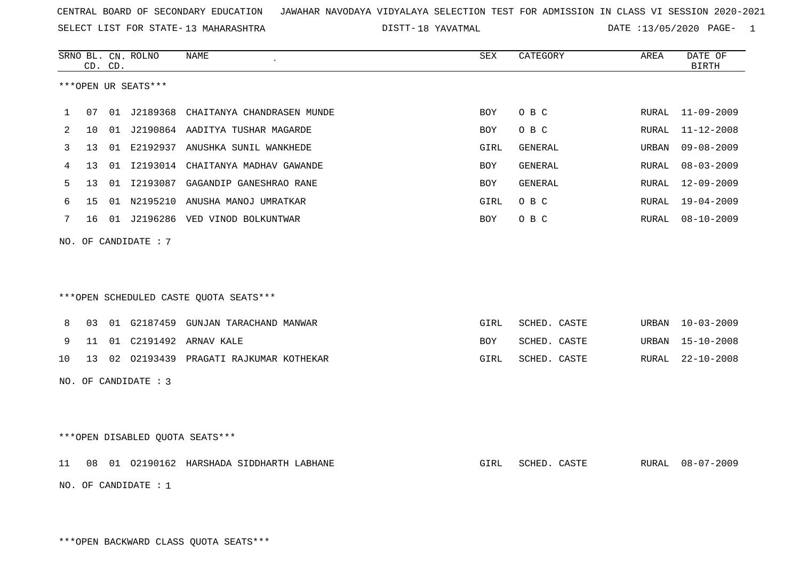SELECT LIST FOR STATE- DISTT- 13 MAHARASHTRA

18 YAVATMAL DATE :13/05/2020 PAGE- 1

|                     |                 | CD. CD. | SRNO BL. CN. ROLNO              | <b>NAME</b>                             | SEX        | CATEGORY       | AREA         | DATE OF<br><b>BIRTH</b> |  |  |
|---------------------|-----------------|---------|---------------------------------|-----------------------------------------|------------|----------------|--------------|-------------------------|--|--|
| ***OPEN UR SEATS*** |                 |         |                                 |                                         |            |                |              |                         |  |  |
|                     |                 |         |                                 |                                         |            |                |              |                         |  |  |
| $\mathbf{1}$        | 07              |         |                                 | 01 J2189368 CHAITANYA CHANDRASEN MUNDE  | <b>BOY</b> | O B C          | RURAL        | $11 - 09 - 2009$        |  |  |
| 2                   | 10              |         |                                 | 01 J2190864 AADITYA TUSHAR MAGARDE      | <b>BOY</b> | O B C          | <b>RURAL</b> | $11 - 12 - 2008$        |  |  |
| 3                   | 13              |         |                                 | 01 E2192937 ANUSHKA SUNIL WANKHEDE      | GIRL       | GENERAL        | URBAN        | $09 - 08 - 2009$        |  |  |
| 4                   | 13              |         |                                 | 01 I2193014 CHAITANYA MADHAV GAWANDE    | BOY        | GENERAL        | <b>RURAL</b> | $08 - 03 - 2009$        |  |  |
| 5                   | 13              |         | 01 12193087                     | GAGANDIP GANESHRAO RANE                 | BOY        | <b>GENERAL</b> | <b>RURAL</b> | $12 - 09 - 2009$        |  |  |
| 6                   | 15              |         |                                 | 01 N2195210 ANUSHA MANOJ UMRATKAR       | GIRL       | O B C          | RURAL        | 19-04-2009              |  |  |
| 7                   | 16              |         |                                 | 01 J2196286 VED VINOD BOLKUNTWAR        | BOY        | O B C          | RURAL        | $08 - 10 - 2009$        |  |  |
|                     |                 |         | NO. OF CANDIDATE : 7            |                                         |            |                |              |                         |  |  |
|                     |                 |         |                                 |                                         |            |                |              |                         |  |  |
|                     |                 |         |                                 |                                         |            |                |              |                         |  |  |
|                     |                 |         |                                 | *** OPEN SCHEDULED CASTE QUOTA SEATS*** |            |                |              |                         |  |  |
|                     |                 |         |                                 |                                         |            |                |              |                         |  |  |
| 8                   | 03              |         |                                 | 01 G2187459 GUNJAN TARACHAND MANWAR     | GIRL       | SCHED. CASTE   | URBAN        | $10 - 03 - 2009$        |  |  |
| 9                   | 11              |         |                                 | 01 C2191492 ARNAV KALE                  | BOY        | SCHED. CASTE   | URBAN        | $15 - 10 - 2008$        |  |  |
| 10                  | 13 <sup>°</sup> |         |                                 | 02 02193439 PRAGATI RAJKUMAR KOTHEKAR   | GIRL       | SCHED. CASTE   | RURAL        | $22 - 10 - 2008$        |  |  |
|                     |                 |         | NO. OF CANDIDATE : 3            |                                         |            |                |              |                         |  |  |
|                     |                 |         |                                 |                                         |            |                |              |                         |  |  |
|                     |                 |         |                                 |                                         |            |                |              |                         |  |  |
|                     |                 |         | ***OPEN DISABLED QUOTA SEATS*** |                                         |            |                |              |                         |  |  |
| 11                  | 08              |         |                                 | 01 02190162 HARSHADA SIDDHARTH LABHANE  | GIRL       | SCHED. CASTE   | RURAL        | $08 - 07 - 2009$        |  |  |
|                     |                 |         | NO. OF CANDIDATE : $1$          |                                         |            |                |              |                         |  |  |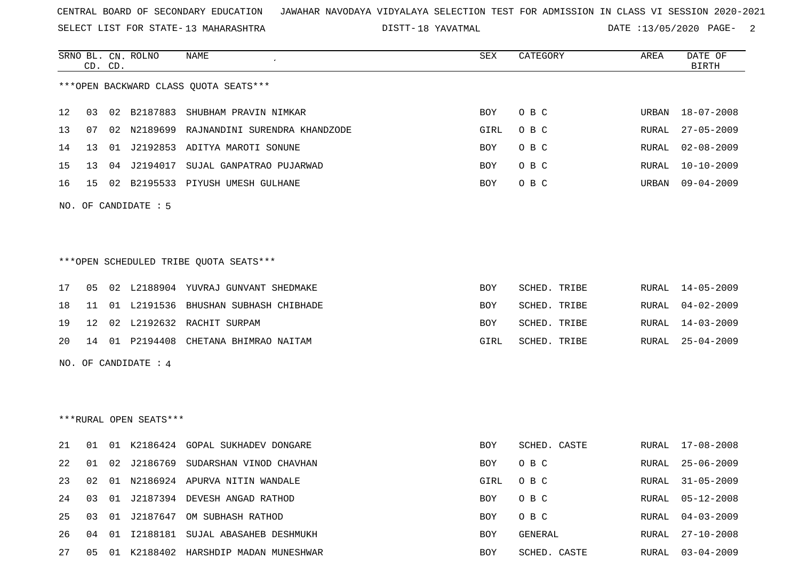SELECT LIST FOR STATE- DISTT- 13 MAHARASHTRA

DISTT-18 YAVATMAL 18 12 OATE :13/05/2020 PAGE- 2

|                                        |    | CD. CD. | SRNO BL. CN. ROLNO     | NAME                                      | <b>SEX</b> | CATEGORY     | AREA  | DATE OF<br><b>BIRTH</b>                   |  |  |
|----------------------------------------|----|---------|------------------------|-------------------------------------------|------------|--------------|-------|-------------------------------------------|--|--|
| *** OPEN BACKWARD CLASS QUOTA SEATS*** |    |         |                        |                                           |            |              |       |                                           |  |  |
| 12                                     | 03 |         |                        | 02 B2187883 SHUBHAM PRAVIN NIMKAR         | <b>BOY</b> | O B C        | URBAN | 18-07-2008                                |  |  |
| 13                                     | 07 |         |                        | 02 N2189699 RAJNANDINI SURENDRA KHANDZODE | GIRL       | O B C        | RURAL | $27 - 05 - 2009$                          |  |  |
| 14                                     | 13 |         |                        | 01 J2192853 ADITYA MAROTI SONUNE          | BOY        | O B C        | RURAL | $02 - 08 - 2009$                          |  |  |
| 15                                     | 13 |         |                        | 04 J2194017 SUJAL GANPATRAO PUJARWAD      | BOY        | O B C        | RURAL | $10 - 10 - 2009$                          |  |  |
| 16                                     | 15 |         |                        | 02 B2195533 PIYUSH UMESH GULHANE          | BOY        | O B C        | URBAN | $09 - 04 - 2009$                          |  |  |
|                                        |    |         | NO. OF CANDIDATE : 5   |                                           |            |              |       |                                           |  |  |
|                                        |    |         |                        |                                           |            |              |       |                                           |  |  |
|                                        |    |         |                        |                                           |            |              |       |                                           |  |  |
|                                        |    |         |                        | ***OPEN SCHEDULED TRIBE QUOTA SEATS***    |            |              |       |                                           |  |  |
| 17                                     | 05 |         |                        | 02 L2188904 YUVRAJ GUNVANT SHEDMAKE       | BOY        | SCHED. TRIBE | RURAL | $14 - 05 - 2009$                          |  |  |
| 18                                     | 11 |         |                        | 01 L2191536 BHUSHAN SUBHASH CHIBHADE      | <b>BOY</b> | SCHED. TRIBE | RURAL | $04 - 02 - 2009$                          |  |  |
| 19                                     | 12 |         |                        | 02 L2192632 RACHIT SURPAM                 | BOY        | SCHED. TRIBE | RURAL | $14 - 03 - 2009$                          |  |  |
| 20                                     |    |         |                        | 14 01 P2194408 CHETANA BHIMRAO NAITAM     | GIRL       | SCHED. TRIBE | RURAL | $25 - 04 - 2009$                          |  |  |
|                                        |    |         | NO. OF CANDIDATE : 4   |                                           |            |              |       |                                           |  |  |
|                                        |    |         |                        |                                           |            |              |       |                                           |  |  |
|                                        |    |         |                        |                                           |            |              |       |                                           |  |  |
|                                        |    |         | ***RURAL OPEN SEATS*** |                                           |            |              |       |                                           |  |  |
| 21                                     | 01 |         |                        | 01 K2186424 GOPAL SUKHADEV DONGARE        | BOY        | SCHED. CASTE | RURAL | 17-08-2008                                |  |  |
| 22                                     | 01 |         |                        | 02 J2186769 SUDARSHAN VINOD CHAVHAN       | BOY        | O B C        | RURAL | $25 - 06 - 2009$                          |  |  |
| 23                                     | 02 |         |                        | 01 N2186924 APURVA NITIN WANDALE          | GIRL       | O B C        | RURAL | $31 - 05 - 2009$                          |  |  |
| 24                                     |    |         |                        | 03 01 J2187394 DEVESH ANGAD RATHOD        | BOY        | O B C        | RURAL | 05-12-2008                                |  |  |
| $\sim$ $-$                             |    |         |                        | $20 - 24 - 242 = 17$                      |            |              |       | $\sim$ $\sim$ $\sim$ $\sim$ $\sim$ $\sim$ |  |  |

25 03 01 J2187647 OM SUBHASH RATHOD BOY O B C RURAL 04-03-2009 26 04 01 I2188181 SUJAL ABASAHEB DESHMUKH BOY BOY GENERAL RURAL 27-10-2008 27 05 01 K2188402 HARSHDIP MADAN MUNESHWAR BOY SCHED. CASTE RURAL 03-04-2009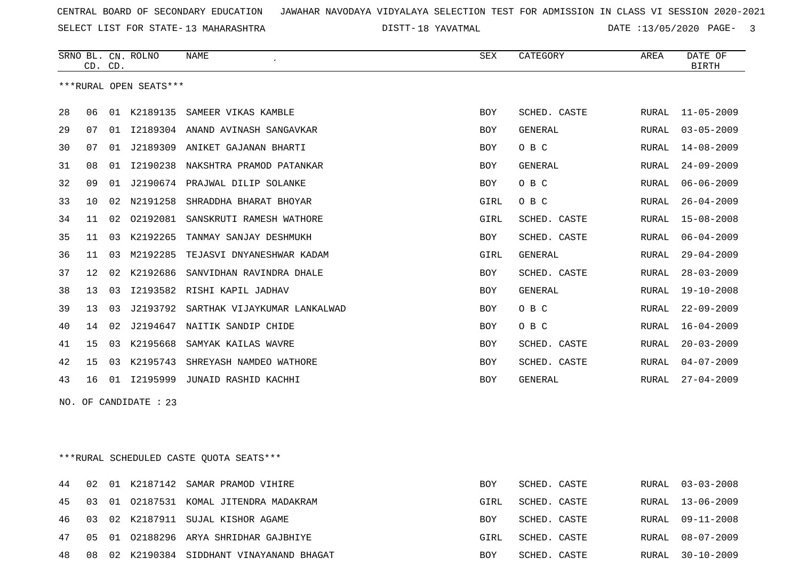SELECT LIST FOR STATE- DISTT- 13 MAHARASHTRA

18 YAVATMAL DATE :13/05/2020 PAGE- 3

|    |                 | CD. CD. | SRNO BL. CN. ROLNO     | <b>NAME</b><br>$\epsilon$    | <b>SEX</b> | CATEGORY       | AREA  | DATE OF<br><b>BIRTH</b> |
|----|-----------------|---------|------------------------|------------------------------|------------|----------------|-------|-------------------------|
|    |                 |         | ***RURAL OPEN SEATS*** |                              |            |                |       |                         |
| 28 | 06              |         | 01 K2189135            | SAMEER VIKAS KAMBLE          | <b>BOY</b> | SCHED. CASTE   | RURAL | $11 - 05 - 2009$        |
| 29 | 07              | 01      | I2189304               | ANAND AVINASH SANGAVKAR      | <b>BOY</b> | <b>GENERAL</b> | RURAL | $03 - 05 - 2009$        |
| 30 | 07              | 01      | J2189309               | ANIKET GAJANAN BHARTI        | BOY        | O B C          | RURAL | $14 - 08 - 2009$        |
| 31 | 08              | 01      | I2190238               | NAKSHTRA PRAMOD PATANKAR     | <b>BOY</b> | <b>GENERAL</b> | RURAL | $24 - 09 - 2009$        |
| 32 | 09              | 01      | J2190674               | PRAJWAL DILIP SOLANKE        | BOY        | O B C          | RURAL | $06 - 06 - 2009$        |
| 33 | 10              | 02      | N2191258               | SHRADDHA BHARAT BHOYAR       | GIRL       | O B C          | RURAL | $26 - 04 - 2009$        |
| 34 | 11              | 02      | 02192081               | SANSKRUTI RAMESH WATHORE     | GIRL       | SCHED. CASTE   | RURAL | $15 - 08 - 2008$        |
| 35 | 11              | 03      | K2192265               | TANMAY SANJAY DESHMUKH       | BOY        | SCHED. CASTE   | RURAL | $06 - 04 - 2009$        |
| 36 | 11              | 03      | M2192285               | TEJASVI DNYANESHWAR KADAM    | GIRL       | <b>GENERAL</b> | RURAL | $29 - 04 - 2009$        |
| 37 | 12 <sub>1</sub> | 02      | K2192686               | SANVIDHAN RAVINDRA DHALE     | BOY        | SCHED. CASTE   | RURAL | $28 - 03 - 2009$        |
| 38 | 13              | 03      | I2193582               | RISHI KAPIL JADHAV           | <b>BOY</b> | <b>GENERAL</b> | RURAL | $19 - 10 - 2008$        |
| 39 | 13              | 03      | J2193792               | SARTHAK VIJAYKUMAR LANKALWAD | BOY        | O B C          | RURAL | $22 - 09 - 2009$        |
| 40 | 14              | 02      | J2194647               | NAITIK SANDIP CHIDE          | BOY        | O B C          | RURAL | $16 - 04 - 2009$        |
| 41 | 15              | 03      | K2195668               | SAMYAK KAILAS WAVRE          | BOY        | SCHED. CASTE   | RURAL | $20 - 03 - 2009$        |
| 42 | 15              | 03      | K2195743               | SHREYASH NAMDEO WATHORE      | <b>BOY</b> | SCHED. CASTE   | RURAL | $04 - 07 - 2009$        |
| 43 | 16              |         | 01 12195999            | JUNAID RASHID KACHHI         | <b>BOY</b> | GENERAL        | RURAL | $27 - 04 - 2009$        |
|    |                 |         | NO. OF CANDIDATE : 23  |                              |            |                |       |                         |

\*\*\*RURAL SCHEDULED CASTE QUOTA SEATS\*\*\*

|  |  | 44 02 01 K2187142 SAMAR PRAMOD VIHIRE        | BOY  | SCHED. CASTE |  | RURAL 03-03-2008 |
|--|--|----------------------------------------------|------|--------------|--|------------------|
|  |  | 45 03 01 02187531 KOMAL JITENDRA MADAKRAM    | GIRL | SCHED. CASTE |  | RURAL 13-06-2009 |
|  |  | 46 03 02 K2187911 SUJAL KISHOR AGAME         | BOY  | SCHED. CASTE |  | RURAL 09-11-2008 |
|  |  | 47 05 01 02188296 ARYA SHRIDHAR GAJBHIYE     | GIRL | SCHED. CASTE |  | RURAL 08-07-2009 |
|  |  | 48 08 02 K2190384 SIDDHANT VINAYANAND BHAGAT | BOY  | SCHED. CASTE |  | RURAL 30-10-2009 |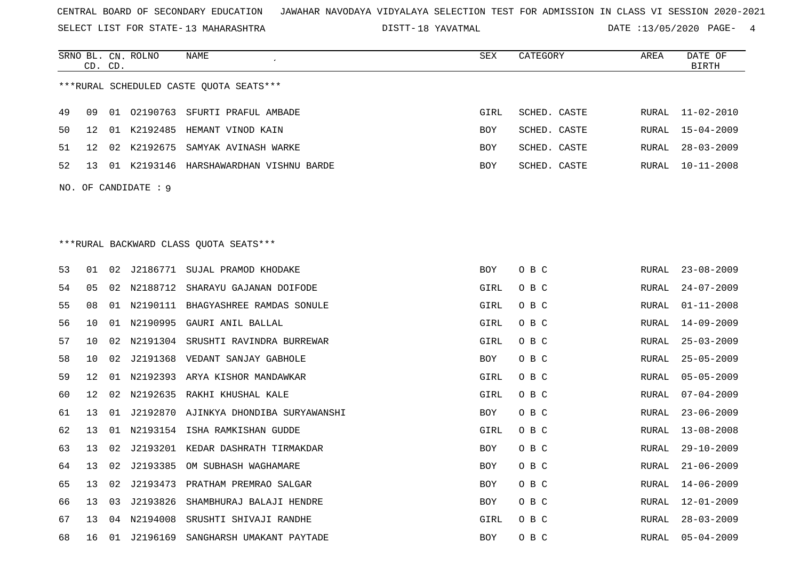SELECT LIST FOR STATE- DISTT- 13 MAHARASHTRA

18 YAVATMAL DATE :13/05/2020 PAGE- 4

|    | CD. CD.         |    | SRNO BL. CN. ROLNO   | <b>NAME</b>                              | <b>SEX</b> | CATEGORY     | AREA         | DATE OF<br>BIRTH |
|----|-----------------|----|----------------------|------------------------------------------|------------|--------------|--------------|------------------|
|    |                 |    |                      | ***RURAL SCHEDULED CASTE OUOTA SEATS***  |            |              |              |                  |
| 49 | 09              |    |                      | 01 02190763 SFURTI PRAFUL AMBADE         | GIRL       | SCHED. CASTE | RURAL        | 11-02-2010       |
| 50 | 12              |    |                      | 01 K2192485 HEMANT VINOD KAIN            | <b>BOY</b> | SCHED. CASTE | RURAL        | $15 - 04 - 2009$ |
| 51 | 12              |    |                      | 02 K2192675 SAMYAK AVINASH WARKE         | <b>BOY</b> | SCHED. CASTE | RURAL        | $28 - 03 - 2009$ |
| 52 | 13              |    |                      | 01 K2193146 HARSHAWARDHAN VISHNU BARDE   | BOY        | SCHED. CASTE | RURAL        | 10-11-2008       |
|    |                 |    | NO. OF CANDIDATE : 9 |                                          |            |              |              |                  |
|    |                 |    |                      |                                          |            |              |              |                  |
|    |                 |    |                      |                                          |            |              |              |                  |
|    |                 |    |                      | ***RURAL BACKWARD CLASS QUOTA SEATS***   |            |              |              |                  |
| 53 | 01              |    |                      | 02 J2186771 SUJAL PRAMOD KHODAKE         | BOY        | O B C        | RURAL        | $23 - 08 - 2009$ |
| 54 | 05              |    |                      | 02 N2188712 SHARAYU GAJANAN DOIFODE      | GIRL       | O B C        | RURAL        | $24 - 07 - 2009$ |
| 55 | 08              |    |                      | 01 N2190111 BHAGYASHREE RAMDAS SONULE    | GIRL       | O B C        | RURAL        | $01 - 11 - 2008$ |
| 56 | 10              |    |                      | 01 N2190995 GAURI ANIL BALLAL            | GIRL       | O B C        | RURAL        | 14-09-2009       |
| 57 | 10              | 02 |                      | N2191304 SRUSHTI RAVINDRA BURREWAR       | GIRL       | O B C        | <b>RURAL</b> | $25 - 03 - 2009$ |
| 58 | 10              |    |                      | 02 J2191368 VEDANT SANJAY GABHOLE        | BOY        | O B C        | RURAL        | $25 - 05 - 2009$ |
| 59 | 12              |    |                      | 01 N2192393 ARYA KISHOR MANDAWKAR        | GIRL       | O B C        | RURAL        | $05 - 05 - 2009$ |
| 60 | 12 <sup>°</sup> | 02 |                      | N2192635 RAKHI KHUSHAL KALE              | GIRL       | O B C        | <b>RURAL</b> | $07 - 04 - 2009$ |
| 61 | 13              |    |                      | 01 J2192870 AJINKYA DHONDIBA SURYAWANSHI | BOY        | O B C        | RURAL        | $23 - 06 - 2009$ |
| 62 | 13              | 01 |                      | N2193154 ISHA RAMKISHAN GUDDE            | GIRL       | O B C        | <b>RURAL</b> | $13 - 08 - 2008$ |
| 63 | 13              |    |                      | 02 J2193201 KEDAR DASHRATH TIRMAKDAR     | BOY        | O B C        | RURAL        | $29 - 10 - 2009$ |
| 64 | 13              |    |                      | 02 J2193385 OM SUBHASH WAGHAMARE         | <b>BOY</b> | O B C        | RURAL        | $21 - 06 - 2009$ |
| 65 | 13              | 02 |                      | J2193473 PRATHAM PREMRAO SALGAR          | BOY        | O B C        | RURAL        | $14 - 06 - 2009$ |
| 66 | 13              | 03 | J2193826             | SHAMBHURAJ BALAJI HENDRE                 | BOY        | O B C        | RURAL        | 12-01-2009       |
| 67 | 13              |    |                      | 04 N2194008 SRUSHTI SHIVAJI RANDHE       | GIRL       | O B C        | RURAL        | $28 - 03 - 2009$ |
| 68 | 16              |    |                      | 01 J2196169 SANGHARSH UMAKANT PAYTADE    | <b>BOY</b> | O B C        | RURAL        | $05 - 04 - 2009$ |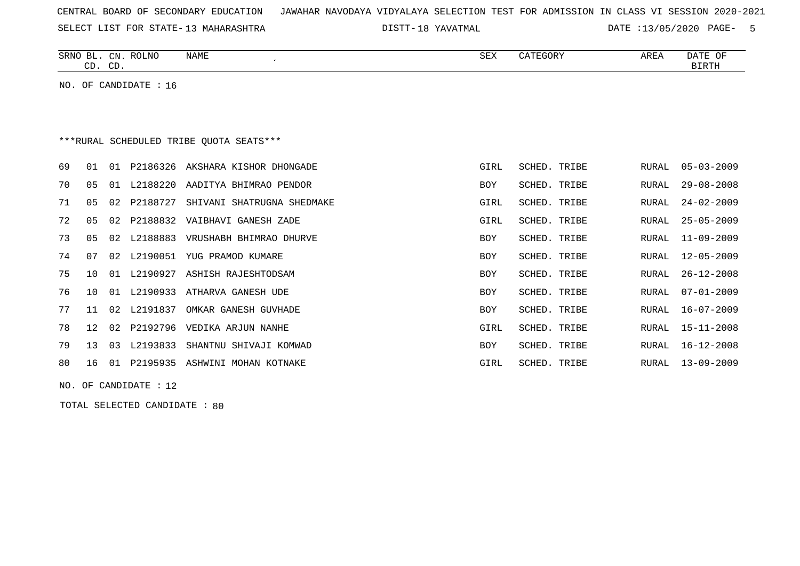| CENTRAL BOARD OF SECONDARY EDUCATION – JAWAHAR NAVODAYA VIDYALAYA SELECTION TEST FOR ADMISSION IN CLASS VI SESSION 2020-2021 |  |  |  |
|------------------------------------------------------------------------------------------------------------------------------|--|--|--|
|------------------------------------------------------------------------------------------------------------------------------|--|--|--|

SELECT LIST FOR STATE- DISTT- 13 MAHARASHTRA

18 YAVATMAL DATE :13/05/2020 PAGE- 5

| SRNO<br>BL   | $\cap$ <sub>NT</sub><br>◡∸ | ROLNO | NAME | SEX | GORY | AREA | <b>DATE</b><br>$\sim$ $\sim$<br>UF |
|--------------|----------------------------|-------|------|-----|------|------|------------------------------------|
| $\sim$<br>سـ | $\cap$<br>◡╜               |       |      |     |      |      | ויחת דת                            |

NO. OF CANDIDATE : 16

# \*\*\*RURAL SCHEDULED TRIBE QUOTA SEATS\*\*\*

|     |       | P2186326 AKSHARA KISHOR DHONGADE                                                                            | GIRL                                                                                                                                                                                                                                                                                            | SCHED. TRIBE |                                                                                                                                                                              | RURAL 05-03-2009 |
|-----|-------|-------------------------------------------------------------------------------------------------------------|-------------------------------------------------------------------------------------------------------------------------------------------------------------------------------------------------------------------------------------------------------------------------------------------------|--------------|------------------------------------------------------------------------------------------------------------------------------------------------------------------------------|------------------|
| 05  | . N 1 |                                                                                                             | BOY                                                                                                                                                                                                                                                                                             |              | RURAL                                                                                                                                                                        | $29 - 08 - 2008$ |
| 05  | 02    |                                                                                                             | GIRL                                                                                                                                                                                                                                                                                            |              | RURAL                                                                                                                                                                        | $24 - 02 - 2009$ |
| 05  | O 2.  |                                                                                                             | GIRL                                                                                                                                                                                                                                                                                            |              | RURAL                                                                                                                                                                        | $25 - 05 - 2009$ |
| 05  | 02    |                                                                                                             | BOY                                                                                                                                                                                                                                                                                             |              | RURAL                                                                                                                                                                        | 11-09-2009       |
| 07  |       |                                                                                                             | BOY                                                                                                                                                                                                                                                                                             |              | RURAL                                                                                                                                                                        | 12-05-2009       |
| 1 O | 01    |                                                                                                             | BOY                                                                                                                                                                                                                                                                                             |              | RURAL                                                                                                                                                                        | $26 - 12 - 2008$ |
| 1 Q | 01    |                                                                                                             | BOY                                                                                                                                                                                                                                                                                             |              | RURAL                                                                                                                                                                        | $07 - 01 - 2009$ |
| 11  |       |                                                                                                             | BOY                                                                                                                                                                                                                                                                                             |              | RURAL                                                                                                                                                                        | $16 - 07 - 2009$ |
| 12. | O 2.  |                                                                                                             | GIRL                                                                                                                                                                                                                                                                                            |              | RURAL                                                                                                                                                                        | 15-11-2008       |
| 13  | 03    |                                                                                                             | BOY                                                                                                                                                                                                                                                                                             |              | RURAL                                                                                                                                                                        | 16-12-2008       |
| 16  | 01    |                                                                                                             | GIRL                                                                                                                                                                                                                                                                                            |              | RURAL                                                                                                                                                                        | $13 - 09 - 2009$ |
|     |       | L2188220<br>P2188727<br>L2188883<br>L2190927<br>L2190933<br>02 L2191837<br>P2192796<br>L2193833<br>P2195935 | AADITYA BHIMRAO PENDOR<br>SHIVANI SHATRUGNA SHEDMAKE<br>P2188832 VAIBHAVI GANESH ZADE<br>VRUSHABH BHIMRAO DHURVE<br>02 L2190051 YUG PRAMOD KUMARE<br>ASHISH RAJESHTODSAM<br>ATHARVA GANESH UDE<br>OMKAR GANESH GUVHADE<br>VEDIKA ARJUN NANHE<br>SHANTNU SHIVAJI KOMWAD<br>ASHWINI MOHAN KOTNAKE |              | SCHED. TRIBE<br>SCHED. TRIBE<br>SCHED. TRIBE<br>SCHED. TRIBE<br>SCHED. TRIBE<br>SCHED. TRIBE<br>SCHED. TRIBE<br>SCHED. TRIBE<br>SCHED. TRIBE<br>SCHED. TRIBE<br>SCHED. TRIBE |                  |

NO. OF CANDIDATE : 12

TOTAL SELECTED CANDIDATE : 80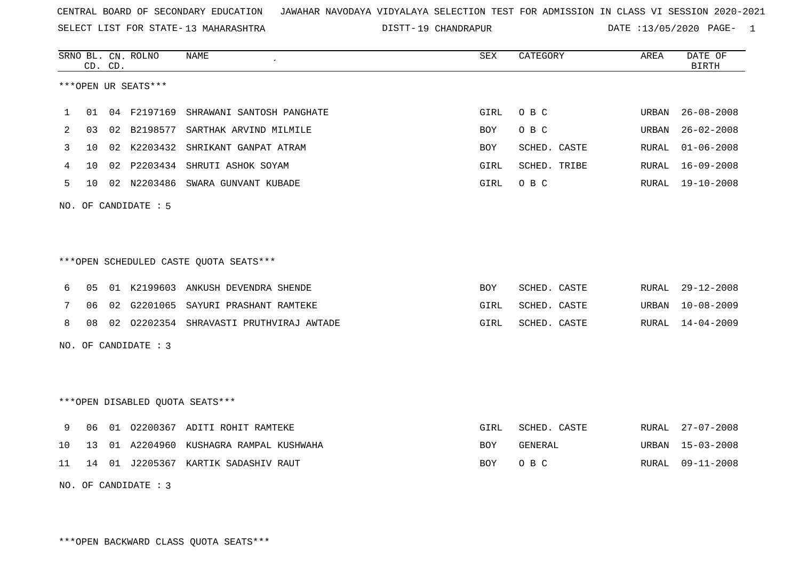SELECT LIST FOR STATE- DISTT- 13 MAHARASHTRA

19 CHANDRAPUR DATE :13/05/2020 PAGE- 1

|                                                                                                   |                | CD. CD. | SRNO BL. CN. ROLNO   | NAME<br>$\pmb{\cdot}$                   | SEX        | CATEGORY     | AREA  | DATE OF<br><b>BIRTH</b> |  |  |  |  |  |
|---------------------------------------------------------------------------------------------------|----------------|---------|----------------------|-----------------------------------------|------------|--------------|-------|-------------------------|--|--|--|--|--|
|                                                                                                   |                |         | ***OPEN UR SEATS***  |                                         |            |              |       |                         |  |  |  |  |  |
| 04 F2197169<br>O B C<br>$26 - 08 - 2008$<br>01<br>SHRAWANI SANTOSH PANGHATE<br>GIRL<br>URBAN<br>1 |                |         |                      |                                         |            |              |       |                         |  |  |  |  |  |
| 2                                                                                                 | 03             | 02      | B2198577             | SARTHAK ARVIND MILMILE                  | <b>BOY</b> | O B C        | URBAN | $26 - 02 - 2008$        |  |  |  |  |  |
| 3                                                                                                 | 10             |         | 02 K2203432          | SHRIKANT GANPAT ATRAM                   | BOY        | SCHED. CASTE | RURAL | $01 - 06 - 2008$        |  |  |  |  |  |
| 4                                                                                                 | 10             | 02      |                      | P2203434 SHRUTI ASHOK SOYAM             | GIRL       | SCHED. TRIBE | RURAL | $16 - 09 - 2008$        |  |  |  |  |  |
| 5                                                                                                 | 10             |         |                      | 02 N2203486 SWARA GUNVANT KUBADE        | RURAL      | 19-10-2008   |       |                         |  |  |  |  |  |
| NO.                                                                                               |                |         | OF CANDIDATE : 5     |                                         |            |              |       |                         |  |  |  |  |  |
|                                                                                                   |                |         |                      |                                         |            |              |       |                         |  |  |  |  |  |
|                                                                                                   |                |         |                      |                                         |            |              |       |                         |  |  |  |  |  |
|                                                                                                   |                |         |                      | ***OPEN SCHEDULED CASTE QUOTA SEATS***  |            |              |       |                         |  |  |  |  |  |
| 6                                                                                                 | 0 <sub>5</sub> |         |                      | 01 K2199603 ANKUSH DEVENDRA SHENDE      | <b>BOY</b> | SCHED. CASTE | RURAL | $29 - 12 - 2008$        |  |  |  |  |  |
| 7                                                                                                 | 06             |         |                      | 02 G2201065 SAYURI PRASHANT RAMTEKE     | GIRL       | SCHED. CASTE | URBAN | $10 - 08 - 2009$        |  |  |  |  |  |
| 8                                                                                                 | 08             |         |                      | 02 02202354 SHRAVASTI PRUTHVIRAJ AWTADE | GIRL       | SCHED. CASTE | RURAL | $14 - 04 - 2009$        |  |  |  |  |  |
|                                                                                                   |                |         | NO. OF CANDIDATE : 3 |                                         |            |              |       |                         |  |  |  |  |  |
|                                                                                                   |                |         |                      |                                         |            |              |       |                         |  |  |  |  |  |
|                                                                                                   |                |         |                      |                                         |            |              |       |                         |  |  |  |  |  |
|                                                                                                   |                |         |                      | ***OPEN DISABLED QUOTA SEATS***         |            |              |       |                         |  |  |  |  |  |
| 9                                                                                                 | 06             |         |                      | 01 02200367 ADITI ROHIT RAMTEKE         | GIRL       | SCHED. CASTE | RURAL | $27 - 07 - 2008$        |  |  |  |  |  |
| 10                                                                                                | 13             |         |                      | 01 A2204960 KUSHAGRA RAMPAL KUSHWAHA    | <b>BOY</b> | GENERAL      | URBAN | $15 - 03 - 2008$        |  |  |  |  |  |
| 11                                                                                                | 14             |         |                      | 01 J2205367 KARTIK SADASHIV RAUT        | BOY        | O B C        | RURAL | $09 - 11 - 2008$        |  |  |  |  |  |
|                                                                                                   |                |         | NO. OF CANDIDATE : 3 |                                         |            |              |       |                         |  |  |  |  |  |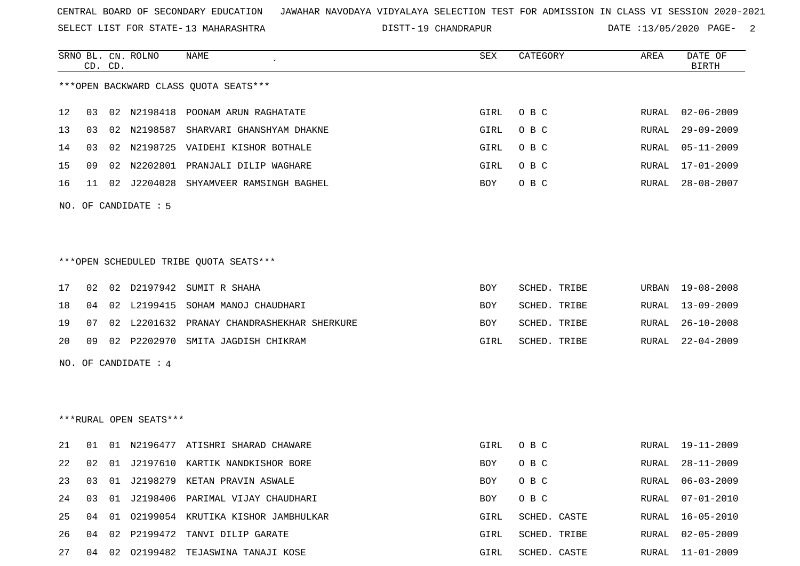SELECT LIST FOR STATE- DISTT- 13 MAHARASHTRA

19 CHANDRAPUR DATE :13/05/2020 PAGE- 2

|    | CD. CD. | SRNO BL. CN. ROLNO     | NAME                                       | SEX        | CATEGORY     | AREA  | DATE OF<br><b>BIRTH</b> |
|----|---------|------------------------|--------------------------------------------|------------|--------------|-------|-------------------------|
|    |         |                        | *** OPEN BACKWARD CLASS OUOTA SEATS***     |            |              |       |                         |
| 12 | 03      |                        | 02 N2198418 POONAM ARUN RAGHATATE          | GIRL       | O B C        | RURAL | $02 - 06 - 2009$        |
| 13 | 03      |                        | 02 N2198587 SHARVARI GHANSHYAM DHAKNE      | GIRL       | O B C        | RURAL | $29 - 09 - 2009$        |
| 14 | 03      |                        | 02 N2198725 VAIDEHI KISHOR BOTHALE         | GIRL       | O B C        | RURAL | $05 - 11 - 2009$        |
| 15 | 09      | 02 N2202801            | PRANJALI DILIP WAGHARE                     | GIRL       | O B C        | RURAL | $17 - 01 - 2009$        |
| 16 | 11      | 02 J2204028            | SHYAMVEER RAMSINGH BAGHEL                  | BOY        | O B C        | RURAL | 28-08-2007              |
|    |         | NO. OF CANDIDATE : 5   |                                            |            |              |       |                         |
|    |         |                        |                                            |            |              |       |                         |
|    |         |                        | *** OPEN SCHEDULED TRIBE QUOTA SEATS***    |            |              |       |                         |
| 17 | 02      |                        | 02 D2197942 SUMIT R SHAHA                  | <b>BOY</b> | SCHED. TRIBE | URBAN | 19-08-2008              |
| 18 | 04      | 02 L2199415            | SOHAM MANOJ CHAUDHARI                      | BOY        | SCHED. TRIBE | RURAL | $13 - 09 - 2009$        |
| 19 | 07      |                        | 02 L2201632 PRANAY CHANDRASHEKHAR SHERKURE | BOY        | SCHED. TRIBE | RURAL | $26 - 10 - 2008$        |
| 20 | 09      |                        | 02 P2202970 SMITA JAGDISH CHIKRAM          | GIRL       | SCHED. TRIBE | RURAL | $22 - 04 - 2009$        |
|    |         | NO. OF CANDIDATE : 4   |                                            |            |              |       |                         |
|    |         |                        |                                            |            |              |       |                         |
|    |         | ***RURAL OPEN SEATS*** |                                            |            |              |       |                         |
| 21 | 01      |                        | 01 N2196477 ATISHRI SHARAD CHAWARE         | GIRL       | O B C        | RURAL | 19-11-2009              |
| 22 | 02      |                        | 01 J2197610 KARTIK NANDKISHOR BORE         | BOY        | O B C        | RURAL | $28 - 11 - 2009$        |
|    |         |                        | 23 03 01 J2198279 KETAN PRAVIN ASWALE      | BOY OBC    |              |       | RURAL 06-03-2009        |
| 24 | 03      |                        | 01 J2198406 PARIMAL VIJAY CHAUDHARI        | BOY        | O B C        | RURAL | 07-01-2010              |
| 25 | 04      |                        | 01 02199054 KRUTIKA KISHOR JAMBHULKAR      | GIRL       | SCHED. CASTE | RURAL | $16 - 05 - 2010$        |
| 26 | 04      |                        | 02 P2199472 TANVI DILIP GARATE             | GIRL       | SCHED. TRIBE |       | RURAL 02-05-2009        |
| 27 | 04      |                        | 02 02199482 TEJASWINA TANAJI KOSE          | GIRL       | SCHED. CASTE | RURAL | 11-01-2009              |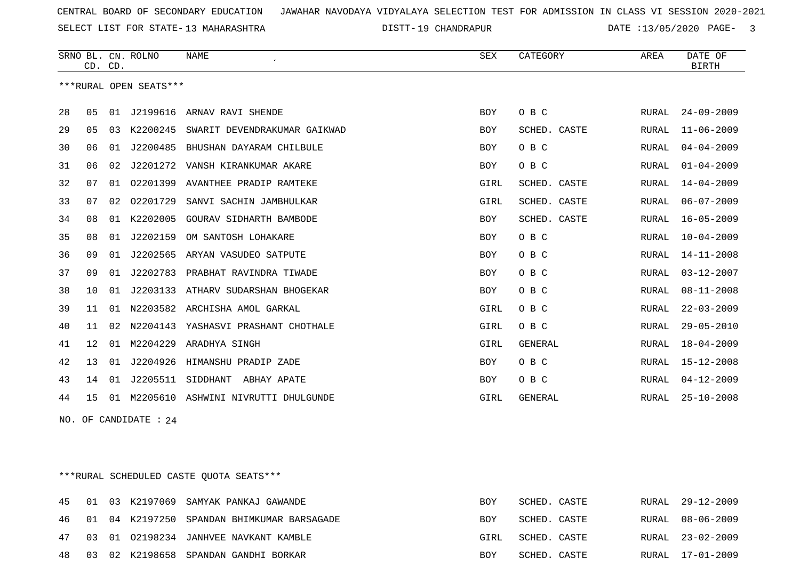SELECT LIST FOR STATE- DISTT- 13 MAHARASHTRA

DISTT-19 CHANDRAPUR DATE :13/05/2020 PAGE- 3

|    |    | CD. CD. | SRNO BL. CN. ROLNO     | <b>NAME</b>                    | SEX        | CATEGORY       | AREA         | DATE OF<br><b>BIRTH</b> |
|----|----|---------|------------------------|--------------------------------|------------|----------------|--------------|-------------------------|
|    |    |         | ***RURAL OPEN SEATS*** |                                |            |                |              |                         |
| 28 | 05 | 01      |                        | J2199616 ARNAV RAVI SHENDE     | <b>BOY</b> | O B C          | RURAL        | $24 - 09 - 2009$        |
| 29 | 05 | 03      | K2200245               | SWARIT DEVENDRAKUMAR GAIKWAD   | <b>BOY</b> | SCHED. CASTE   | RURAL        | $11 - 06 - 2009$        |
| 30 | 06 | 01      | J2200485               | BHUSHAN DAYARAM CHILBULE       | <b>BOY</b> | O B C          | RURAL        | $04 - 04 - 2009$        |
| 31 | 06 | 02      | J2201272               | VANSH KIRANKUMAR AKARE         | <b>BOY</b> | O B C          | <b>RURAL</b> | $01 - 04 - 2009$        |
| 32 | 07 | 01      | 02201399               | AVANTHEE PRADIP RAMTEKE        | GIRL       | SCHED. CASTE   | RURAL        | $14 - 04 - 2009$        |
| 33 | 07 | 02      | 02201729               | SANVI SACHIN JAMBHULKAR        | GIRL       | SCHED. CASTE   | RURAL        | $06 - 07 - 2009$        |
| 34 | 08 | 01      | K2202005               | <b>GOURAV SIDHARTH BAMBODE</b> | <b>BOY</b> | SCHED. CASTE   | <b>RURAL</b> | $16 - 05 - 2009$        |
| 35 | 08 | 01      | J2202159               | OM SANTOSH LOHAKARE            | <b>BOY</b> | O B C          | <b>RURAL</b> | $10 - 04 - 2009$        |
| 36 | 09 | 01      | J2202565               | ARYAN VASUDEO SATPUTE          | BOY        | O B C          | RURAL        | $14 - 11 - 2008$        |
| 37 | 09 | 01      | J2202783               | PRABHAT RAVINDRA TIWADE        | <b>BOY</b> | O B C          | RURAL        | $03 - 12 - 2007$        |
| 38 | 10 | 01      | J2203133               | ATHARV SUDARSHAN BHOGEKAR      | <b>BOY</b> | O B C          | RURAL        | $08 - 11 - 2008$        |
| 39 | 11 | 01      | N2203582               | ARCHISHA AMOL GARKAL           | GIRL       | O B C          | <b>RURAL</b> | $22 - 03 - 2009$        |
| 40 | 11 | 02      | N2204143               | YASHASVI PRASHANT CHOTHALE     | GIRL       | O B C          | <b>RURAL</b> | $29 - 05 - 2010$        |
| 41 | 12 | 01      | M2204229               | ARADHYA SINGH                  | GIRL       | <b>GENERAL</b> | <b>RURAL</b> | $18 - 04 - 2009$        |
| 42 | 13 | 01      | J2204926               | HIMANSHU PRADIP ZADE           | <b>BOY</b> | O B C          | <b>RURAL</b> | 15-12-2008              |
| 43 | 14 | 01      | J2205511               | SIDDHANT<br>ABHAY APATE        | <b>BOY</b> | O B C          | RURAL        | $04 - 12 - 2009$        |
| 44 | 15 | 01      | M2205610               | ASHWINI NIVRUTTI DHULGUNDE     | GIRL       | <b>GENERAL</b> | RURAL        | $25 - 10 - 2008$        |

NO. OF CANDIDATE : 24

\*\*\*RURAL SCHEDULED CASTE QUOTA SEATS\*\*\*

|  |  | 45 01 03 K2197069 SAMYAK PANKAJ GAWANDE       | BOY  | SCHED. CASTE |  | RURAL 29-12-2009 |
|--|--|-----------------------------------------------|------|--------------|--|------------------|
|  |  | 46 01 04 K2197250 SPANDAN BHIMKUMAR BARSAGADE | BOY  | SCHED. CASTE |  | RURAL 08-06-2009 |
|  |  | 47 03 01 02198234 JANHVEE NAVKANT KAMBLE      | GIRL | SCHED. CASTE |  | RURAL 23-02-2009 |
|  |  | 48 03 02 K2198658 SPANDAN GANDHI BORKAR       | BOY  | SCHED. CASTE |  | RURAL 17-01-2009 |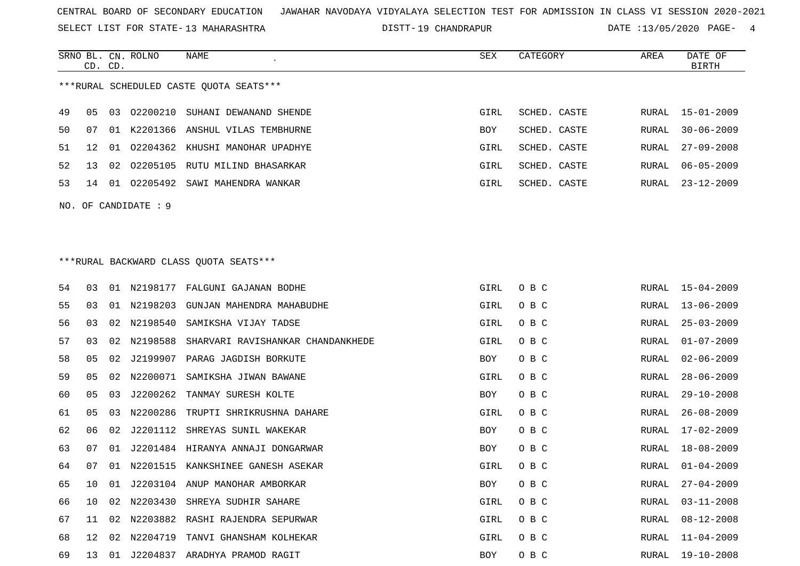SELECT LIST FOR STATE- DISTT- 13 MAHARASHTRA

DISTT-19 CHANDRAPUR **DATE** :13/05/2020 PAGE- 4

|     | CD. CD. |    | SRNO BL. CN. ROLNO | NAME                                    | SEX  | CATEGORY     | AREA  | DATE OF<br><b>BIRTH</b> |
|-----|---------|----|--------------------|-----------------------------------------|------|--------------|-------|-------------------------|
|     |         |    |                    | ***RURAL SCHEDULED CASTE QUOTA SEATS*** |      |              |       |                         |
| 49  | 05      | 03 | 02200210           | SUHANI DEWANAND SHENDE                  | GIRL | SCHED. CASTE | RURAL | 15-01-2009              |
| 50  | 07      |    |                    | 01 K2201366 ANSHUL VILAS TEMBHURNE      | BOY  | SCHED. CASTE | RURAL | $30 - 06 - 2009$        |
| 51  | 12      | 01 | 02204362           | KHUSHI MANOHAR UPADHYE                  | GIRL | SCHED. CASTE | RURAL | $27 - 09 - 2008$        |
| 52  | 13      | 02 |                    | 02205105 RUTU MILIND BHASARKAR          | GIRL | SCHED. CASTE | RURAL | $06 - 05 - 2009$        |
| 53  | 14      | 01 | 02205492           | SAWI MAHENDRA WANKAR                    | GIRL | SCHED. CASTE | RURAL | $23 - 12 - 2009$        |
| NO. |         |    | OF CANDIDATE: 9    |                                         |      |              |       |                         |
|     |         |    |                    |                                         |      |              |       |                         |
|     |         |    |                    |                                         |      |              |       |                         |
|     |         |    |                    | *** RURAL BACKWARD CLASS QUOTA SEATS*** |      |              |       |                         |
| 54  | 03      | 01 |                    | N2198177 FALGUNI GAJANAN BODHE          | GIRL | O B C        | RURAL | 15-04-2009              |
| 55  | 03      | 01 | N2198203           | GUNJAN MAHENDRA MAHABUDHE               | GIRL | O B C        | RURAL | $13 - 06 - 2009$        |
| 56  | 03      | 02 | N2198540           | SAMIKSHA VIJAY TADSE                    | GIRL | O B C        | RURAL | $25 - 03 - 2009$        |
| 57  | 03      | 02 | N2198588           | SHARVARI RAVISHANKAR CHANDANKHEDE       | GIRL | O B C        | RURAL | $01 - 07 - 2009$        |
| 58  | 05      | 02 | J2199907           | PARAG JAGDISH BORKUTE                   | BOY  | O B C        | RURAL | $02 - 06 - 2009$        |
| 59  | 05      | 02 | N2200071           | SAMIKSHA JIWAN BAWANE                   | GIRL | O B C        | RURAL | $28 - 06 - 2009$        |
| 60  | 05      | 03 | J2200262           | TANMAY SURESH KOLTE                     | BOY  | O B C        | RURAL | $29 - 10 - 2008$        |
| 61  | 05      | 03 | N2200286           | TRUPTI SHRIKRUSHNA DAHARE               | GIRL | O B C        | RURAL | $26 - 08 - 2009$        |
| 62  | 06      | 02 | J2201112           | SHREYAS SUNIL WAKEKAR                   | BOY  | O B C        | RURAL | $17 - 02 - 2009$        |
| 63  | 07      | 01 |                    | J2201484 HIRANYA ANNAJI DONGARWAR       | BOY  | O B C        | RURAL | $18 - 08 - 2009$        |
| 64  | 07      | 01 | N2201515           | KANKSHINEE GANESH ASEKAR                | GIRL | O B C        | RURAL | $01 - 04 - 2009$        |
| 65  | 10      | 01 |                    | J2203104 ANUP MANOHAR AMBORKAR          | BOY  | O B C        | RURAL | $27 - 04 - 2009$        |
| 66  | 10      | 02 |                    | N2203430 SHREYA SUDHIR SAHARE           | GIRL | O B C        | RURAL | $03 - 11 - 2008$        |
| 67  | 11      | 02 | N2203882           | RASHI RAJENDRA SEPURWAR                 | GIRL | O B C        | RURAL | $08 - 12 - 2008$        |
| 68  | 12      | 02 | N2204719           | TANVI GHANSHAM KOLHEKAR                 | GIRL | O B C        | RURAL | $11 - 04 - 2009$        |
| 69  | 13      |    |                    | 01 J2204837 ARADHYA PRAMOD RAGIT        | BOY  | O B C        |       | RURAL 19-10-2008        |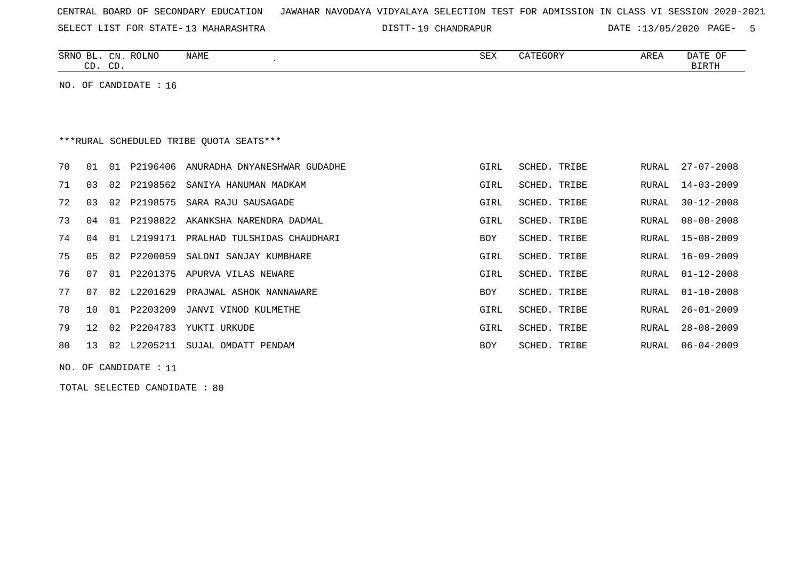|  |  |  |  | CENTRAL BOARD OF SECONDARY EDUCATION – JAWAHAR NAVODAYA VIDYALAYA SELECTION TEST FOR ADMISSION IN CLASS VI SESSION 2020-2021 |  |  |  |  |  |  |  |  |  |  |  |  |  |  |
|--|--|--|--|------------------------------------------------------------------------------------------------------------------------------|--|--|--|--|--|--|--|--|--|--|--|--|--|--|
|--|--|--|--|------------------------------------------------------------------------------------------------------------------------------|--|--|--|--|--|--|--|--|--|--|--|--|--|--|

SELECT LIST FOR STATE-13 MAHARASHTRA DISTT-19 CHANDRAPUR DATE :13/05/2020 PAGE- 5

|    | CD. CD.         |    | SRNO BL. CN. ROLNO      | <b>NAME</b>                             | <b>SEX</b> | CATEGORY     | AREA         | DATE OF<br><b>BIRTH</b> |
|----|-----------------|----|-------------------------|-----------------------------------------|------------|--------------|--------------|-------------------------|
|    |                 |    | NO. OF CANDIDATE : $16$ |                                         |            |              |              |                         |
|    |                 |    |                         |                                         |            |              |              |                         |
|    |                 |    |                         |                                         |            |              |              |                         |
|    |                 |    |                         | ***RURAL SCHEDULED TRIBE OUOTA SEATS*** |            |              |              |                         |
| 70 | 01              | 01 | P2196406                | ANURADHA DNYANESHWAR GUDADHE            | GIRL       | SCHED. TRIBE | RURAL        | $27 - 07 - 2008$        |
| 71 | 03              | 02 | P2198562                | SANIYA HANUMAN MADKAM                   | GIRL       | SCHED. TRIBE | RURAL        | $14 - 03 - 2009$        |
| 72 | 03              | 02 | P2198575                | SARA RAJU SAUSAGADE                     | GIRL       | SCHED. TRIBE | RURAL        | $30 - 12 - 2008$        |
| 73 | 04              | 01 | P2198822                | AKANKSHA NARENDRA DADMAL                | GIRL       | SCHED. TRIBE | <b>RURAL</b> | $08 - 08 - 2008$        |
| 74 | 04              | 01 | L2199171                | PRALHAD TULSHIDAS CHAUDHARI             | <b>BOY</b> | SCHED. TRIBE | RURAL        | $15 - 08 - 2009$        |
| 75 | 0 <sub>5</sub>  | 02 | P2200059                | SALONI SANJAY KUMBHARE                  | GIRL       | SCHED. TRIBE | RURAL        | 16-09-2009              |
| 76 | 07              | 01 | P2201375                | APURVA VILAS NEWARE                     | GIRL       | SCHED. TRIBE | <b>RURAL</b> | $01 - 12 - 2008$        |
| 77 | 07              | 02 | L2201629                | PRAJWAL ASHOK NANNAWARE                 | <b>BOY</b> | SCHED. TRIBE | <b>RURAL</b> | $01 - 10 - 2008$        |
| 78 | 10              | 01 | P2203209                | JANVI VINOD KULMETHE                    | GIRL       | SCHED. TRIBE | RURAL        | $26 - 01 - 2009$        |
| 79 | 12 <sup>°</sup> | 02 | P2204783                | YUKTI URKUDE                            | GIRL       | SCHED. TRIBE | <b>RURAL</b> | $28 - 08 - 2009$        |
| 80 | 13              | 02 | L2205211                | SUJAL OMDATT PENDAM                     | <b>BOY</b> | SCHED. TRIBE | <b>RURAL</b> | $06 - 04 - 2009$        |
|    |                 |    |                         |                                         |            |              |              |                         |

NO. OF CANDIDATE : 11

TOTAL SELECTED CANDIDATE : 80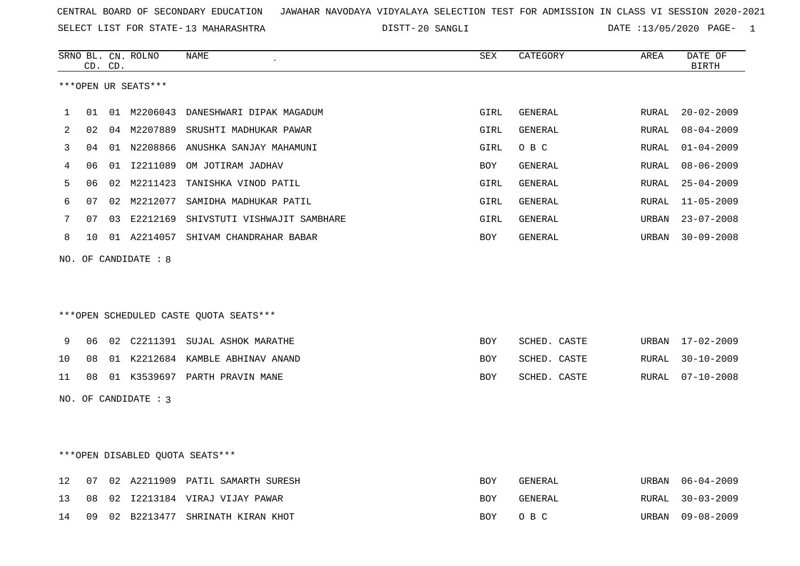SELECT LIST FOR STATE- DISTT- 13 MAHARASHTRA

20 SANGLI DATE :13/05/2020 PAGE- 1

|    |    | CD. CD. | SRNO BL. CN. ROLNO     | <b>NAME</b>                              | <b>SEX</b> | CATEGORY       | AREA         | DATE OF<br><b>BIRTH</b> |
|----|----|---------|------------------------|------------------------------------------|------------|----------------|--------------|-------------------------|
|    |    |         | ***OPEN UR SEATS***    |                                          |            |                |              |                         |
|    |    |         |                        |                                          |            |                |              |                         |
| 1  | 01 |         |                        | 01 M2206043 DANESHWARI DIPAK MAGADUM     | GIRL       | <b>GENERAL</b> | RURAL        | $20 - 02 - 2009$        |
| 2  | 02 |         |                        | 04 M2207889 SRUSHTI MADHUKAR PAWAR       | GIRL       | <b>GENERAL</b> | RURAL        | $08 - 04 - 2009$        |
| 3  | 04 |         |                        | 01 N2208866 ANUSHKA SANJAY MAHAMUNI      | GIRL       | O B C          | RURAL        | $01 - 04 - 2009$        |
| 4  | 06 |         |                        | 01 I2211089 OM JOTIRAM JADHAV            | <b>BOY</b> | GENERAL        | RURAL        | $08 - 06 - 2009$        |
| 5  | 06 |         | 02 M2211423            | TANISHKA VINOD PATIL                     | GIRL       | <b>GENERAL</b> | <b>RURAL</b> | $25 - 04 - 2009$        |
| 6  | 07 |         | 02 M2212077            | SAMIDHA MADHUKAR PATIL                   | GIRL       | <b>GENERAL</b> | <b>RURAL</b> | $11 - 05 - 2009$        |
| 7  | 07 |         |                        | 03 E2212169 SHIVSTUTI VISHWAJIT SAMBHARE | GIRL       | GENERAL        | URBAN        | $23 - 07 - 2008$        |
| 8  | 10 |         |                        | 01 A2214057 SHIVAM CHANDRAHAR BABAR      | BOY        | GENERAL        | URBAN        | $30 - 09 - 2008$        |
|    |    |         | NO. OF CANDIDATE : 8   |                                          |            |                |              |                         |
|    |    |         |                        |                                          |            |                |              |                         |
|    |    |         |                        |                                          |            |                |              |                         |
|    |    |         |                        | ***OPEN SCHEDULED CASTE QUOTA SEATS***   |            |                |              |                         |
|    |    |         |                        |                                          |            |                |              |                         |
| 9  | 06 |         |                        | 02 C2211391 SUJAL ASHOK MARATHE          | <b>BOY</b> | SCHED. CASTE   | URBAN        | $17 - 02 - 2009$        |
| 10 | 08 |         |                        | 01 K2212684 KAMBLE ABHINAV ANAND         | <b>BOY</b> | SCHED. CASTE   | RURAL        | $30 - 10 - 2009$        |
| 11 | 08 |         |                        | 01 K3539697 PARTH PRAVIN MANE            | <b>BOY</b> | SCHED. CASTE   | RURAL        | $07 - 10 - 2008$        |
|    |    |         | NO. OF CANDIDATE : $3$ |                                          |            |                |              |                         |
|    |    |         |                        |                                          |            |                |              |                         |
|    |    |         |                        |                                          |            |                |              |                         |
|    |    |         |                        | ***OPEN DISABLED QUOTA SEATS***          |            |                |              |                         |
|    |    |         |                        |                                          |            |                |              |                         |
| 12 | 07 |         |                        | 02 A2211909 PATIL SAMARTH SURESH         | <b>BOY</b> | GENERAL        | URBAN        | $06 - 04 - 2009$        |
| 13 | 08 |         |                        | 02 I2213184 VIRAJ VIJAY PAWAR            | <b>BOY</b> | GENERAL        | RURAL        | $30 - 03 - 2009$        |
| 14 | 09 |         |                        | 02 B2213477 SHRINATH KIRAN KHOT          | <b>BOY</b> | O B C          | URBAN        | $09 - 08 - 2009$        |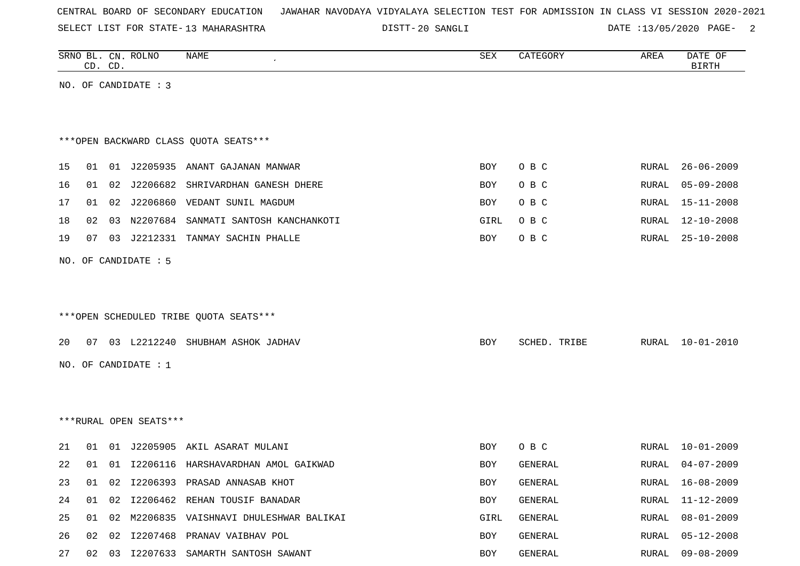|  | CENTRAL BOARD OF SECONDARY EDUCATION – JAWAHAR NAVODAYA VIDYALAYA SELECTION TEST FOR ADMISSION IN CLASS VI SESSION 2020-2021 |  |  |  |
|--|------------------------------------------------------------------------------------------------------------------------------|--|--|--|
|--|------------------------------------------------------------------------------------------------------------------------------|--|--|--|

SELECT LIST FOR STATE- DISTT- 13 MAHARASHTRA

DISTT-20 SANGLI 20 DATE :13/05/2020 PAGE- 2

|    | CD. CD. |    | SRNO BL. CN. ROLNO     | NAME                                        | SEX  | CATEGORY     | AREA  | DATE OF<br><b>BIRTH</b> |
|----|---------|----|------------------------|---------------------------------------------|------|--------------|-------|-------------------------|
|    |         |    | NO. OF CANDIDATE : 3   |                                             |      |              |       |                         |
|    |         |    |                        | *** OPEN BACKWARD CLASS QUOTA SEATS***      |      |              |       |                         |
| 15 | 01      |    |                        | 01 J2205935 ANANT GAJANAN MANWAR            | BOY  | O B C        | RURAL | $26 - 06 - 2009$        |
| 16 | 01      | 02 |                        | J2206682 SHRIVARDHAN GANESH DHERE           | BOY  | O B C        | RURAL | $05 - 09 - 2008$        |
| 17 | 01      | 02 |                        | J2206860 VEDANT SUNIL MAGDUM                | BOY  | O B C        | RURAL | $15 - 11 - 2008$        |
| 18 | 02      | 03 |                        | N2207684 SANMATI SANTOSH KANCHANKOTI        | GIRL | O B C        | RURAL | $12 - 10 - 2008$        |
| 19 | 07      | 03 |                        | J2212331 TANMAY SACHIN PHALLE               | BOY  | O B C        | RURAL | $25 - 10 - 2008$        |
|    |         |    | NO. OF CANDIDATE : 5   |                                             |      |              |       |                         |
|    |         |    |                        |                                             |      |              |       |                         |
|    |         |    |                        |                                             |      |              |       |                         |
|    |         |    |                        | ***OPEN SCHEDULED TRIBE QUOTA SEATS***      |      |              |       |                         |
| 20 |         |    |                        | 07 03 L2212240 SHUBHAM ASHOK JADHAV         | BOY  | SCHED. TRIBE | RURAL | $10 - 01 - 2010$        |
|    |         |    | NO. OF CANDIDATE : 1   |                                             |      |              |       |                         |
|    |         |    |                        |                                             |      |              |       |                         |
|    |         |    |                        |                                             |      |              |       |                         |
|    |         |    | ***RURAL OPEN SEATS*** |                                             |      |              |       |                         |
| 21 | 01      | 01 |                        | J2205905 AKIL ASARAT MULANI                 | BOY  | O B C        | RURAL | $10 - 01 - 2009$        |
| 22 | 01      | 01 |                        | I2206116 HARSHAVARDHAN AMOL GAIKWAD         | BOY  | GENERAL      | RURAL | $04 - 07 - 2009$        |
| 23 |         |    |                        | 01 02 I2206393 PRASAD ANNASAB KHOT          | BOY  | GENERAL      |       | RURAL 16-08-2009        |
| 24 |         |    |                        | 01 02 I2206462 REHAN TOUSIF BANADAR         | BOY  | GENERAL      | RURAL | 11-12-2009              |
| 25 |         |    |                        | 01 02 M2206835 VAISHNAVI DHULESHWAR BALIKAI | GIRL | GENERAL      | RURAL | $08 - 01 - 2009$        |
| 26 |         |    |                        | 02 02 I2207468 PRANAV VAIBHAV POL           | BOY  | GENERAL      | RURAL | 05-12-2008              |
| 27 |         |    |                        | 02 03 I2207633 SAMARTH SANTOSH SAWANT       | BOY  | GENERAL      | RURAL | $09 - 08 - 2009$        |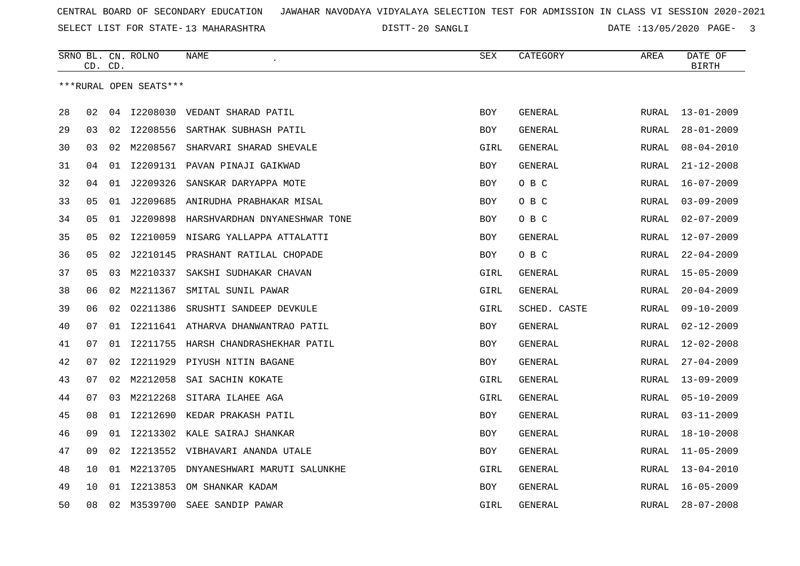SELECT LIST FOR STATE- DISTT- 13 MAHARASHTRA

20 SANGLI DATE :13/05/2020 PAGE- 3

|    |    | CD. CD. | SRNO BL. CN. ROLNO     | NAME                               | <b>SEX</b> | CATEGORY       | AREA         | DATE OF<br><b>BIRTH</b> |
|----|----|---------|------------------------|------------------------------------|------------|----------------|--------------|-------------------------|
|    |    |         | ***RURAL OPEN SEATS*** |                                    |            |                |              |                         |
| 28 | 02 | 04      |                        | I2208030 VEDANT SHARAD PATIL       | <b>BOY</b> | <b>GENERAL</b> | RURAL        | $13 - 01 - 2009$        |
| 29 | 03 | 02      | I2208556               | SARTHAK SUBHASH PATIL              | BOY        | GENERAL        | RURAL        | $28 - 01 - 2009$        |
| 30 | 03 | 02      | M2208567               | SHARVARI SHARAD SHEVALE            | GIRL       | GENERAL        | RURAL        | $08 - 04 - 2010$        |
| 31 | 04 | 01      |                        | 12209131 PAVAN PINAJI GAIKWAD      | <b>BOY</b> | GENERAL        | RURAL        | $21 - 12 - 2008$        |
| 32 | 04 | 01      | J2209326               | SANSKAR DARYAPPA MOTE              | BOY        | O B C          | RURAL        | $16 - 07 - 2009$        |
| 33 | 05 | 01      | J2209685               | ANIRUDHA PRABHAKAR MISAL           | <b>BOY</b> | O B C          | RURAL        | $03 - 09 - 2009$        |
| 34 | 05 | 01      | J2209898               | HARSHVARDHAN DNYANESHWAR TONE      | <b>BOY</b> | O B C          | RURAL        | $02 - 07 - 2009$        |
| 35 | 05 | 02      | I2210059               | NISARG YALLAPPA ATTALATTI          | <b>BOY</b> | GENERAL        | RURAL        | $12 - 07 - 2009$        |
| 36 | 05 | 02      | J2210145               | PRASHANT RATILAL CHOPADE           | BOY        | O B C          | RURAL        | $22 - 04 - 2009$        |
| 37 | 05 | 03      | M2210337               | SAKSHI SUDHAKAR CHAVAN             | GIRL       | GENERAL        | RURAL        | $15 - 05 - 2009$        |
| 38 | 06 | 02      | M2211367               | SMITAL SUNIL PAWAR                 | GIRL       | GENERAL        | <b>RURAL</b> | $20 - 04 - 2009$        |
| 39 | 06 | 02      | 02211386               | SRUSHTI SANDEEP DEVKULE            | GIRL       | SCHED. CASTE   | RURAL        | $09 - 10 - 2009$        |
| 40 | 07 | 01      |                        | I2211641 ATHARVA DHANWANTRAO PATIL | <b>BOY</b> | GENERAL        | <b>RURAL</b> | $02 - 12 - 2009$        |
| 41 | 07 | 01      | I2211755               | HARSH CHANDRASHEKHAR PATIL         | BOY        | GENERAL        | RURAL        | $12 - 02 - 2008$        |
| 42 | 07 | 02      | I2211929               | PIYUSH NITIN BAGANE                | <b>BOY</b> | GENERAL        | <b>RURAL</b> | $27 - 04 - 2009$        |
| 43 | 07 | 02      | M2212058               | SAI SACHIN KOKATE                  | GIRL       | GENERAL        | RURAL        | $13 - 09 - 2009$        |
| 44 | 07 | 03      | M2212268               | SITARA ILAHEE AGA                  | GIRL       | GENERAL        | RURAL        | $05 - 10 - 2009$        |
| 45 | 08 | 01      |                        | 12212690 KEDAR PRAKASH PATIL       | <b>BOY</b> | GENERAL        | RURAL        | $03 - 11 - 2009$        |
| 46 | 09 | 01      |                        | 12213302 KALE SAIRAJ SHANKAR       | BOY        | GENERAL        | RURAL        | $18 - 10 - 2008$        |
| 47 | 09 | 02      |                        | I2213552 VIBHAVARI ANANDA UTALE    | BOY        | GENERAL        | <b>RURAL</b> | $11 - 05 - 2009$        |
| 48 | 10 | 01      | M2213705               | DNYANESHWARI MARUTI SALUNKHE       | GIRL       | GENERAL        | <b>RURAL</b> | $13 - 04 - 2010$        |
| 49 | 10 | 01      | I2213853               | OM SHANKAR KADAM                   | <b>BOY</b> | GENERAL        | RURAL        | $16 - 05 - 2009$        |
| 50 | 08 | 02      | M3539700               | SAEE SANDIP PAWAR                  | GIRL       | GENERAL        | <b>RURAL</b> | $28 - 07 - 2008$        |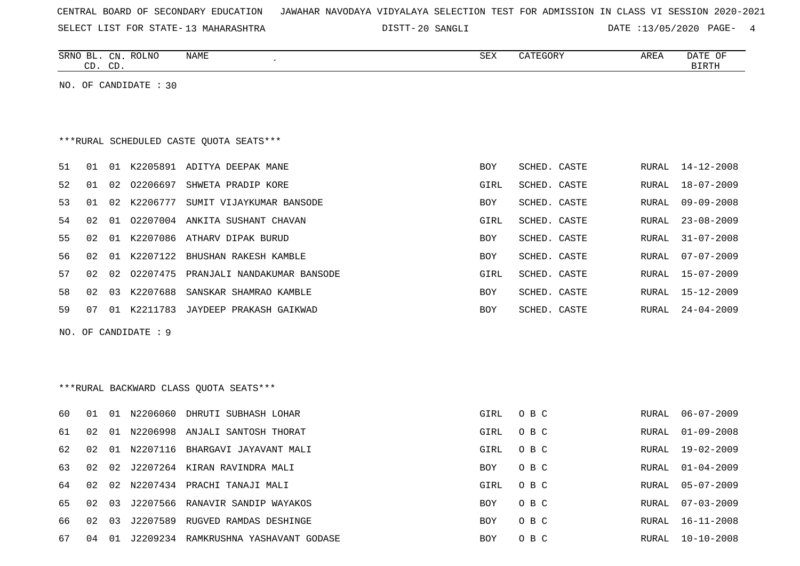|  |  |  | CENTRAL BOARD OF SECONDARY EDUCATION – JAWAHAR NAVODAYA VIDYALAYA SELECTION TEST FOR ADMISSION IN CLASS VI SESSION 2020-2021 |  |  |  |  |  |  |  |  |  |  |  |  |  |  |
|--|--|--|------------------------------------------------------------------------------------------------------------------------------|--|--|--|--|--|--|--|--|--|--|--|--|--|--|
|--|--|--|------------------------------------------------------------------------------------------------------------------------------|--|--|--|--|--|--|--|--|--|--|--|--|--|--|

SELECT LIST FOR STATE- DISTT- 13 MAHARASHTRA

20 SANGLI DATE :13/05/2020 PAGE- 4

|    |    | CD. CD. | SRNO BL. CN. ROLNO    | NAME                                    | SEX        | CATEGORY     | AREA         | DATE OF<br><b>BIRTH</b> |
|----|----|---------|-----------------------|-----------------------------------------|------------|--------------|--------------|-------------------------|
|    |    |         | NO. OF CANDIDATE : 30 |                                         |            |              |              |                         |
|    |    |         |                       | ***RURAL SCHEDULED CASTE QUOTA SEATS*** |            |              |              |                         |
| 51 | 01 |         |                       | 01 K2205891 ADITYA DEEPAK MANE          | BOY        | SCHED. CASTE | RURAL        | $14 - 12 - 2008$        |
| 52 | 01 | 02      | 02206697              | SHWETA PRADIP KORE                      | GIRL       | SCHED. CASTE | RURAL        | $18 - 07 - 2009$        |
| 53 | 01 |         |                       | 02 K2206777 SUMIT VIJAYKUMAR BANSODE    | <b>BOY</b> | SCHED. CASTE | <b>RURAL</b> | $09 - 09 - 2008$        |
| 54 | 02 | 01      |                       | 02207004 ANKITA SUSHANT CHAVAN          | GIRL       | SCHED. CASTE | <b>RURAL</b> | $23 - 08 - 2009$        |
| 55 | 02 | 01      |                       | K2207086 ATHARV DIPAK BURUD             | BOY        | SCHED. CASTE | RURAL        | $31 - 07 - 2008$        |
| 56 | 02 | 01      | K2207122              | BHUSHAN RAKESH KAMBLE                   | BOY        | SCHED. CASTE | RURAL        | $07 - 07 - 2009$        |
| 57 | 02 | 02      |                       | 02207475 PRANJALI NANDAKUMAR BANSODE    | GIRL       | SCHED. CASTE | RURAL        | $15 - 07 - 2009$        |
| 58 | 02 | 03      | K2207688              | SANSKAR SHAMRAO KAMBLE                  | BOY        | SCHED. CASTE | RURAL        | $15 - 12 - 2009$        |
| 59 | 07 |         |                       | 01 K2211783 JAYDEEP PRAKASH GAIKWAD     | BOY        | SCHED. CASTE | RURAL        | $24 - 04 - 2009$        |
|    |    |         | NO. OF CANDIDATE : 9  |                                         |            |              |              |                         |
|    |    |         |                       |                                         |            |              |              |                         |
|    |    |         |                       | *** RURAL BACKWARD CLASS QUOTA SEATS*** |            |              |              |                         |
| 60 | 01 |         |                       | 01 N2206060 DHRUTI SUBHASH LOHAR        | GIRL       | O B C        | RURAL        | $06 - 07 - 2009$        |
| 61 | 02 |         |                       | 01 N2206998 ANJALI SANTOSH THORAT       | GIRL       | O B C        | RURAL        | $01 - 09 - 2008$        |
| 62 | 02 |         |                       | 01 N2207116 BHARGAVI JAYAVANT MALI      | GIRL       | O B C        | RURAL        | $19 - 02 - 2009$        |
| 63 | 02 | 02      |                       | J2207264 KIRAN RAVINDRA MALI            | BOY        | O B C        | RURAL        | $01 - 04 - 2009$        |
| 64 | 02 | 02      |                       | N2207434 PRACHI TANAJI MALI             | GIRL       | O B C        | RURAL        | $05 - 07 - 2009$        |

65 02 03 J2207566 RANAVIR SANDIP WAYAKOS BOY O B C RURAL 07-03-2009

66 02 03 J2207589 RUGVED RAMDAS DESHINGE BOY CHARL 160 BOY

67 04 01 J2209234 RAMKRUSHNA YASHAVANT GODASE BOY O B C BOY O B C RURAL 10-10-2008

O B C RURAL 16-11-2008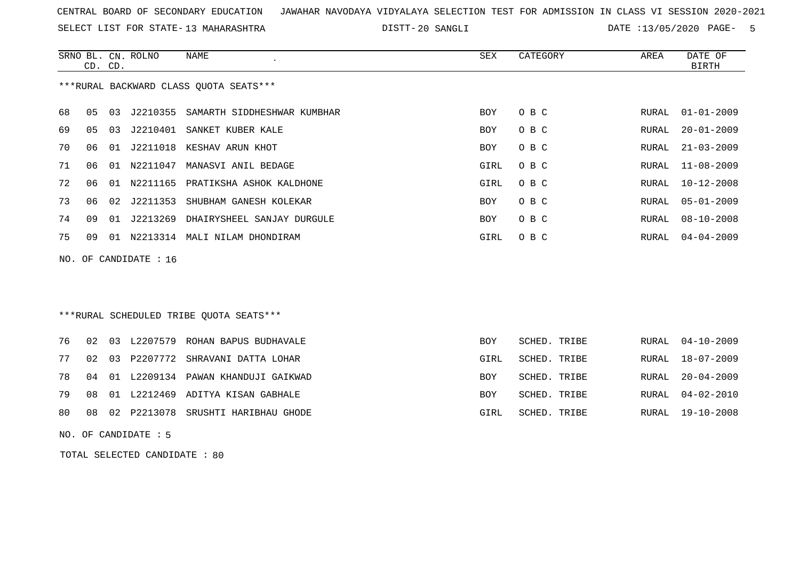SELECT LIST FOR STATE- DISTT- 13 MAHARASHTRA

20 SANGLI DATE :13/05/2020 PAGE- 5

|                                        |         |    | SRNO BL. CN. ROLNO   | NAME                                 | SEX        | CATEGORY | AREA  | DATE OF          |  |  |
|----------------------------------------|---------|----|----------------------|--------------------------------------|------------|----------|-------|------------------|--|--|
|                                        | CD. CD. |    |                      |                                      |            |          |       | BIRTH            |  |  |
| ***RURAL BACKWARD CLASS OUOTA SEATS*** |         |    |                      |                                      |            |          |       |                  |  |  |
| 68                                     | 05      | 03 |                      | J2210355 SAMARTH SIDDHESHWAR KUMBHAR | <b>BOY</b> | O B C    | RURAL | $01 - 01 - 2009$ |  |  |
| 69                                     | 05      | 03 |                      | J2210401 SANKET KUBER KALE           | <b>BOY</b> | O B C    | RURAL | $20 - 01 - 2009$ |  |  |
| 70                                     | 06      | 01 | J2211018             | KESHAV ARUN KHOT                     | BOY        | O B C    | RURAL | $21 - 03 - 2009$ |  |  |
| 71                                     | 06      | 01 | N2211047             | MANASVI ANIL BEDAGE                  | GIRL       | O B C    |       | RURAL 11-08-2009 |  |  |
| 72                                     | 06      | 01 |                      | N2211165 PRATIKSHA ASHOK KALDHONE    | GIRL       | O B C    | RURAL | $10 - 12 - 2008$ |  |  |
| 73                                     | 06      |    | 02 J2211353          | SHUBHAM GANESH KOLEKAR               | <b>BOY</b> | O B C    | RURAL | $05 - 01 - 2009$ |  |  |
| 74                                     | 09      | 01 | J2213269             | DHAIRYSHEEL SANJAY DURGULE           | BOY        | O B C    | RURAL | $08 - 10 - 2008$ |  |  |
| 75                                     | O 9     | 01 | N2213314             | MALI NILAM DHONDIRAM                 | GIRL       | O B C    |       | RURAL 04-04-2009 |  |  |
|                                        |         |    | NO. OF CANDIDATE: 16 |                                      |            |          |       |                  |  |  |

### \*\*\*RURAL SCHEDULED TRIBE QUOTA SEATS\*\*\*

|  |  | 76 02 03 L2207579 ROHAN BAPUS BUDHAVALE  | BOY  | SCHED. TRIBE |  | RURAL 04-10-2009 |
|--|--|------------------------------------------|------|--------------|--|------------------|
|  |  | 77 02 03 P2207772 SHRAVANI DATTA LOHAR   | GIRL | SCHED. TRIBE |  | RURAL 18-07-2009 |
|  |  | 78 04 01 L2209134 PAWAN KHANDUJI GAIKWAD | BOY  | SCHED. TRIBE |  | RURAL 20-04-2009 |
|  |  | 79 08 01 L2212469 ADITYA KISAN GABHALE   | BOY  | SCHED. TRIBE |  | RURAL 04-02-2010 |
|  |  | 80 08 02 P2213078 SRUSHTI HARIBHAU GHODE | GIRL | SCHED. TRIBE |  | RURAL 19-10-2008 |

NO. OF CANDIDATE : 5

TOTAL SELECTED CANDIDATE : 80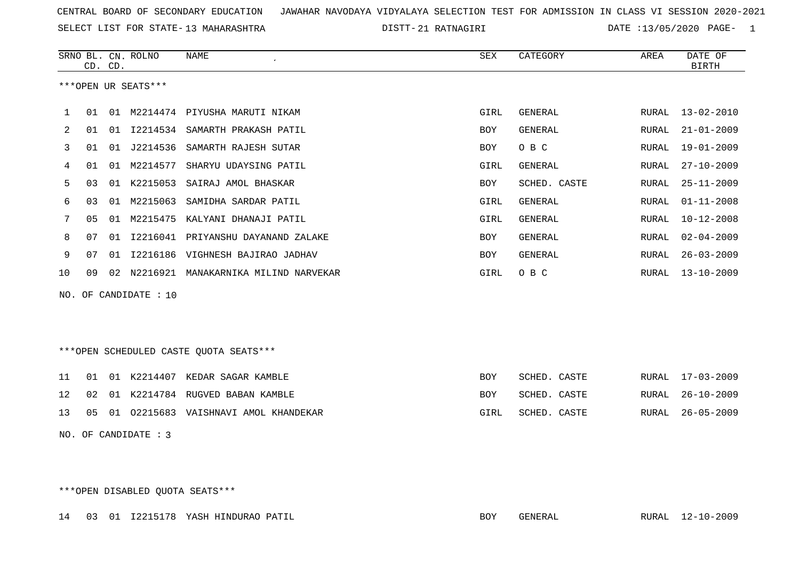SELECT LIST FOR STATE- DISTT- 13 MAHARASHTRA

21 RATNAGIRI DATE :13/05/2020 PAGE- 1

|    |    | CD. CD. | SRNO BL. CN. ROLNO     | <b>NAME</b>                             | SEX        | CATEGORY       | AREA  | DATE OF<br><b>BIRTH</b> |
|----|----|---------|------------------------|-----------------------------------------|------------|----------------|-------|-------------------------|
|    |    |         | ***OPEN UR SEATS***    |                                         |            |                |       |                         |
| 1  | 01 |         |                        | 01 M2214474 PIYUSHA MARUTI NIKAM        | GIRL       | GENERAL        | RURAL | $13 - 02 - 2010$        |
| 2  | 01 | 01      |                        | 12214534 SAMARTH PRAKASH PATIL          | <b>BOY</b> | <b>GENERAL</b> | RURAL | $21 - 01 - 2009$        |
| 3  | 01 | 01      | J2214536               | SAMARTH RAJESH SUTAR                    | <b>BOY</b> | O B C          | RURAL | $19 - 01 - 2009$        |
| 4  | 01 | 01      | M2214577               | SHARYU UDAYSING PATIL                   | GIRL       | GENERAL        | RURAL | $27 - 10 - 2009$        |
| 5  | 03 | 01      | K2215053               | SAIRAJ AMOL BHASKAR                     | <b>BOY</b> | SCHED. CASTE   | RURAL | $25 - 11 - 2009$        |
| 6  | 03 | 01      | M2215063               | SAMIDHA SARDAR PATIL                    | GIRL       | <b>GENERAL</b> | RURAL | $01 - 11 - 2008$        |
| 7  | 05 | 01      | M2215475               | KALYANI DHANAJI PATIL                   | GIRL       | GENERAL        | RURAL | $10 - 12 - 2008$        |
| 8  | 07 | 01      | I2216041               | PRIYANSHU DAYANAND ZALAKE               | <b>BOY</b> | <b>GENERAL</b> | RURAL | $02 - 04 - 2009$        |
|    | 07 |         | I2216186               | VIGHNESH BAJIRAO JADHAV                 |            | GENERAL        |       | $26 - 03 - 2009$        |
| 9  |    | 01      |                        |                                         | BOY        |                | RURAL |                         |
| 10 | 09 |         |                        | 02 N2216921 MANAKARNIKA MILIND NARVEKAR | GIRL       | O B C          | RURAL | $13 - 10 - 2009$        |
|    |    |         | NO. OF CANDIDATE : 10  |                                         |            |                |       |                         |
|    |    |         |                        |                                         |            |                |       |                         |
|    |    |         |                        |                                         |            |                |       |                         |
|    |    |         |                        | ***OPEN SCHEDULED CASTE QUOTA SEATS***  |            |                |       |                         |
| 11 | 01 |         | 01 K2214407            | KEDAR SAGAR KAMBLE                      | <b>BOY</b> | SCHED. CASTE   | RURAL | $17 - 03 - 2009$        |
| 12 | 02 | 01      | K2214784               | RUGVED BABAN KAMBLE                     | <b>BOY</b> | SCHED. CASTE   | RURAL | $26 - 10 - 2009$        |
| 13 | 05 | 01      |                        | 02215683 VAISHNAVI AMOL KHANDEKAR       | GIRL       | SCHED. CASTE   | RURAL | $26 - 05 - 2009$        |
|    |    |         | NO. OF CANDIDATE : $3$ |                                         |            |                |       |                         |

\*\*\*OPEN DISABLED QUOTA SEATS\*\*\*

14 03 01 I2215178 YASH HINDURAO PATIL BOY GENERAL RURAL 12-10-2009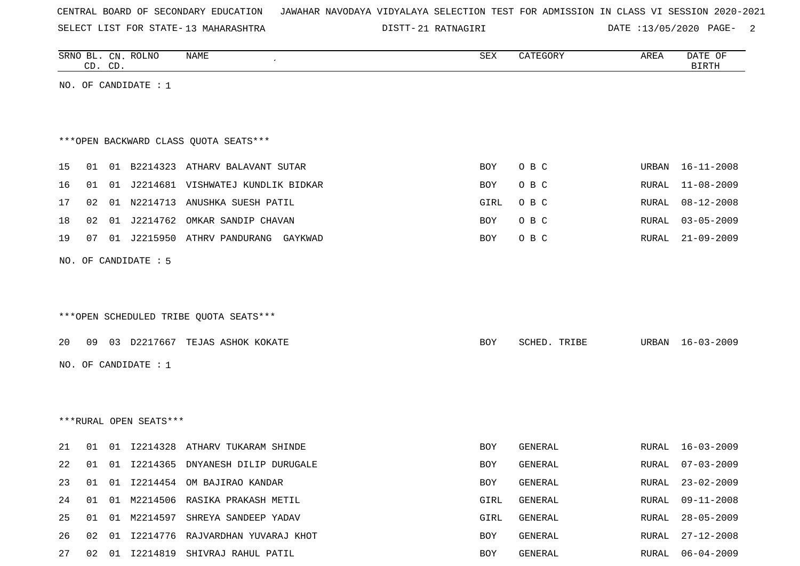SELECT LIST FOR STATE- DISTT- 13 MAHARASHTRA

21 RATNAGIRI DATE :13/05/2020 PAGE- 2

|    |    | CD. CD. | SRNO BL. CN. ROLNO     | <b>NAME</b>                            | <b>SEX</b> | CATEGORY       | AREA  | DATE OF<br><b>BIRTH</b> |
|----|----|---------|------------------------|----------------------------------------|------------|----------------|-------|-------------------------|
|    |    |         | NO. OF CANDIDATE : 1   |                                        |            |                |       |                         |
|    |    |         |                        |                                        |            |                |       |                         |
|    |    |         |                        |                                        |            |                |       |                         |
|    |    |         |                        | *** OPEN BACKWARD CLASS QUOTA SEATS*** |            |                |       |                         |
| 15 | 01 |         |                        | 01 B2214323 ATHARV BALAVANT SUTAR      | BOY        | O B C          | URBAN | $16 - 11 - 2008$        |
| 16 | 01 | 01      |                        | J2214681 VISHWATEJ KUNDLIK BIDKAR      | BOY        | O B C          | RURAL | $11 - 08 - 2009$        |
| 17 | 02 |         |                        | 01 N2214713 ANUSHKA SUESH PATIL        | GIRL       | O B C          | RURAL | $08 - 12 - 2008$        |
| 18 | 02 |         |                        | 01 J2214762 OMKAR SANDIP CHAVAN        | BOY        | O B C          | RURAL | $03 - 05 - 2009$        |
| 19 | 07 |         |                        | 01 J2215950 ATHRV PANDURANG GAYKWAD    | <b>BOY</b> | O B C          | RURAL | $21 - 09 - 2009$        |
|    |    |         | NO. OF CANDIDATE : 5   |                                        |            |                |       |                         |
|    |    |         |                        |                                        |            |                |       |                         |
|    |    |         |                        |                                        |            |                |       |                         |
|    |    |         |                        | ***OPEN SCHEDULED TRIBE QUOTA SEATS*** |            |                |       |                         |
|    |    |         |                        |                                        |            |                |       |                         |
| 20 | 09 |         |                        | 03 D2217667 TEJAS ASHOK KOKATE         | BOY        | SCHED. TRIBE   | URBAN | 16-03-2009              |
|    |    |         | NO. OF CANDIDATE : 1   |                                        |            |                |       |                         |
|    |    |         |                        |                                        |            |                |       |                         |
|    |    |         |                        |                                        |            |                |       |                         |
|    |    |         | ***RURAL OPEN SEATS*** |                                        |            |                |       |                         |
| 21 | 01 |         |                        | 01 I2214328 ATHARV TUKARAM SHINDE      | BOY        | GENERAL        | RURAL | $16 - 03 - 2009$        |
| 22 |    |         |                        | 01 01 I2214365 DNYANESH DILIP DURUGALE | BOY        | <b>GENERAL</b> | RURAL | $07 - 03 - 2009$        |
| 23 | 01 |         |                        | 01 I2214454 OM BAJIRAO KANDAR          | BOY        | GENERAL        | RURAL | $23 - 02 - 2009$        |
| 24 | 01 | 01      |                        | M2214506 RASIKA PRAKASH METIL          | GIRL       | GENERAL        | RURAL | $09 - 11 - 2008$        |
| 25 | 01 | 01      |                        | M2214597 SHREYA SANDEEP YADAV          | GIRL       | GENERAL        | RURAL | $28 - 05 - 2009$        |
| 26 | 02 | 01      |                        | I2214776 RAJVARDHAN YUVARAJ KHOT       | BOY        | GENERAL        | RURAL | $27 - 12 - 2008$        |
| 27 |    |         |                        | 02 01 I2214819 SHIVRAJ RAHUL PATIL     | BOY        | GENERAL        | RURAL | $06 - 04 - 2009$        |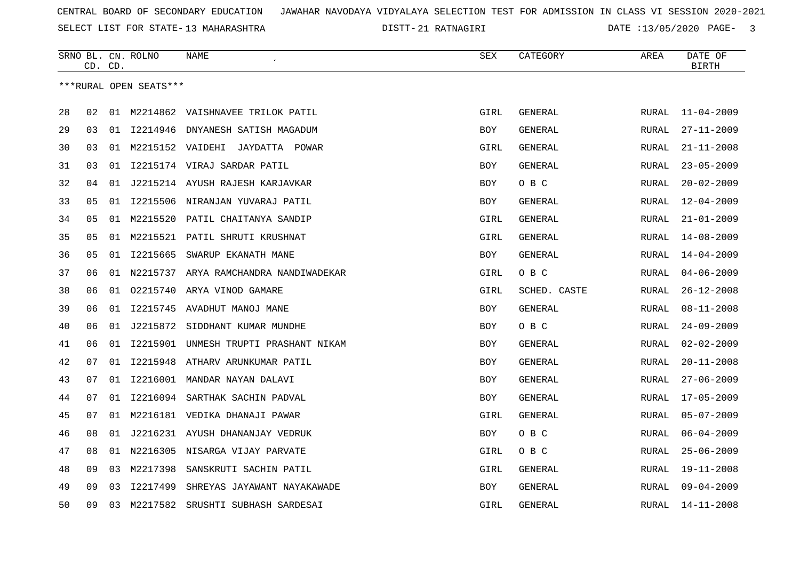SELECT LIST FOR STATE- DISTT- 13 MAHARASHTRA

21 RATNAGIRI DATE :13/05/2020 PAGE- 3

|    |    | CD. CD. | SRNO BL. CN. ROLNO     | NAME                                  | SEX        | CATEGORY       | AREA         | DATE OF<br><b>BIRTH</b> |
|----|----|---------|------------------------|---------------------------------------|------------|----------------|--------------|-------------------------|
|    |    |         | ***RURAL OPEN SEATS*** |                                       |            |                |              |                         |
| 28 | 02 |         |                        | 01 M2214862 VAISHNAVEE TRILOK PATIL   | GIRL       | GENERAL        | RURAL        | $11 - 04 - 2009$        |
| 29 | 03 |         |                        | 01 I2214946 DNYANESH SATISH MAGADUM   | <b>BOY</b> | GENERAL        | RURAL        | $27 - 11 - 2009$        |
| 30 | 03 | 01      |                        | M2215152 VAIDEHI JAYDATTA POWAR       | GIRL       | GENERAL        | RURAL        | $21 - 11 - 2008$        |
| 31 | 03 | 01      |                        | I2215174 VIRAJ SARDAR PATIL           | <b>BOY</b> | <b>GENERAL</b> | RURAL        | $23 - 05 - 2009$        |
| 32 | 04 | 01      |                        | J2215214 AYUSH RAJESH KARJAVKAR       | BOY        | O B C          | RURAL        | $20 - 02 - 2009$        |
| 33 | 05 | 01      |                        | 12215506 NIRANJAN YUVARAJ PATIL       | BOY        | GENERAL        | RURAL        | $12 - 04 - 2009$        |
| 34 | 05 | 01      |                        | M2215520 PATIL CHAITANYA SANDIP       | GIRL       | GENERAL        | RURAL        | $21 - 01 - 2009$        |
| 35 | 05 | 01      | M2215521               | PATIL SHRUTI KRUSHNAT                 | GIRL       | <b>GENERAL</b> | RURAL        | $14 - 08 - 2009$        |
| 36 | 05 | 01      | I2215665               | SWARUP EKANATH MANE                   | BOY        | <b>GENERAL</b> | RURAL        | $14 - 04 - 2009$        |
| 37 | 06 | 01      |                        | N2215737 ARYA RAMCHANDRA NANDIWADEKAR | GIRL       | O B C          | RURAL        | $04 - 06 - 2009$        |
| 38 | 06 |         |                        | 01 02215740 ARYA VINOD GAMARE         | GIRL       | SCHED. CASTE   | RURAL        | $26 - 12 - 2008$        |
| 39 | 06 | 01      | I2215745               | AVADHUT MANOJ MANE                    | <b>BOY</b> | GENERAL        | RURAL        | $08 - 11 - 2008$        |
| 40 | 06 | 01      |                        | J2215872 SIDDHANT KUMAR MUNDHE        | BOY        | O B C          | RURAL        | $24 - 09 - 2009$        |
| 41 | 06 | 01      | I2215901               | UNMESH TRUPTI PRASHANT NIKAM          | <b>BOY</b> | GENERAL        | <b>RURAL</b> | $02 - 02 - 2009$        |
| 42 | 07 | 01      | I2215948               | ATHARV ARUNKUMAR PATIL                | BOY        | GENERAL        | RURAL        | $20 - 11 - 2008$        |
| 43 | 07 | 01      |                        | I2216001 MANDAR NAYAN DALAVI          | <b>BOY</b> | GENERAL        | RURAL        | $27 - 06 - 2009$        |
| 44 | 07 | 01      |                        | 12216094 SARTHAK SACHIN PADVAL        | <b>BOY</b> | <b>GENERAL</b> | RURAL        | $17 - 05 - 2009$        |
| 45 | 07 | 01      |                        | M2216181 VEDIKA DHANAJI PAWAR         | GIRL       | <b>GENERAL</b> | RURAL        | $05 - 07 - 2009$        |
| 46 | 08 | 01      |                        | J2216231 AYUSH DHANANJAY VEDRUK       | BOY        | O B C          | RURAL        | $06 - 04 - 2009$        |
| 47 | 08 |         |                        | 01 N2216305 NISARGA VIJAY PARVATE     | GIRL       | O B C          | RURAL        | $25 - 06 - 2009$        |
| 48 | 09 | 03      | M2217398               | SANSKRUTI SACHIN PATIL                | GIRL       | GENERAL        | <b>RURAL</b> | $19 - 11 - 2008$        |
| 49 | 09 | 03      | I2217499               | SHREYAS JAYAWANT NAYAKAWADE           | <b>BOY</b> | <b>GENERAL</b> | RURAL        | $09 - 04 - 2009$        |
| 50 | 09 | 03      | M2217582               | SRUSHTI SUBHASH SARDESAI              | GIRL       | GENERAL        | RURAL        | $14 - 11 - 2008$        |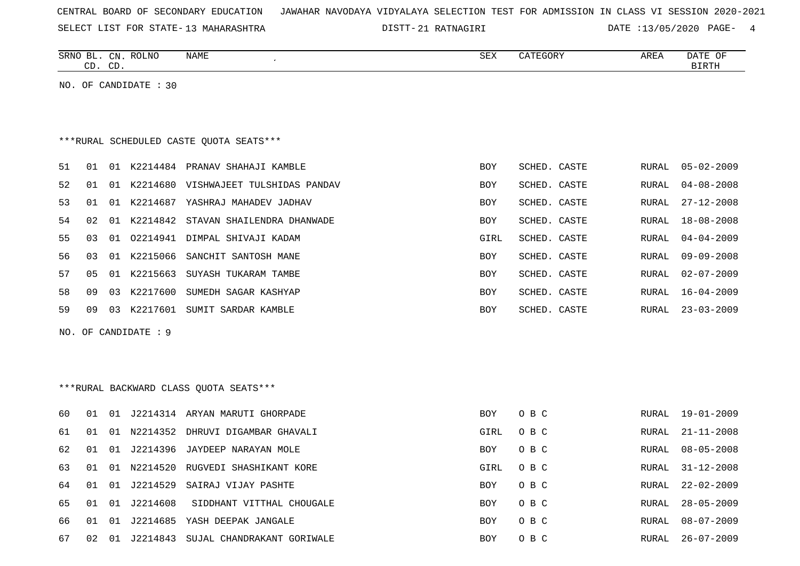| CENTRAL BOARD OF SECONDARY EDUCATION – JAWAHAR NAVODAYA VIDYALAYA SELECTION TEST FOR ADMISSION IN CLASS VI SESSION 2020-2021 |  |  |  |
|------------------------------------------------------------------------------------------------------------------------------|--|--|--|
|------------------------------------------------------------------------------------------------------------------------------|--|--|--|

SELECT LIST FOR STATE- DISTT- 13 MAHARASHTRA

21 RATNAGIRI DATE :13/05/2020 PAGE- 4

|          |    | CD. CD. | SRNO BL. CN. ROLNO    | NAME                                      | SEX         | CATEGORY     | AREA         | DATE OF<br><b>BIRTH</b> |
|----------|----|---------|-----------------------|-------------------------------------------|-------------|--------------|--------------|-------------------------|
|          |    |         | NO. OF CANDIDATE : 30 |                                           |             |              |              |                         |
|          |    |         |                       |                                           |             |              |              |                         |
|          |    |         |                       |                                           |             |              |              |                         |
|          |    |         |                       | *** RURAL SCHEDULED CASTE QUOTA SEATS***  |             |              |              |                         |
| 51       | 01 |         |                       | 01 K2214484 PRANAV SHAHAJI KAMBLE         | <b>BOY</b>  | SCHED. CASTE | RURAL        | $05 - 02 - 2009$        |
| 52       | 01 |         |                       | 01 K2214680 VISHWAJEET TULSHIDAS PANDAV   | <b>BOY</b>  | SCHED. CASTE | RURAL        | $04 - 08 - 2008$        |
| 53       | 01 |         |                       | 01 K2214687 YASHRAJ MAHADEV JADHAV        | BOY         | SCHED. CASTE | RURAL        | $27 - 12 - 2008$        |
| 54       | 02 |         |                       | 01 K2214842 STAVAN SHAILENDRA DHANWADE    | BOY         | SCHED. CASTE | RURAL        | $18 - 08 - 2008$        |
| 55       | 03 |         |                       | 01 02214941 DIMPAL SHIVAJI KADAM          | GIRL        | SCHED. CASTE | <b>RURAL</b> | $04 - 04 - 2009$        |
| 56       | 03 |         |                       | 01 K2215066 SANCHIT SANTOSH MANE          | <b>BOY</b>  | SCHED. CASTE | <b>RURAL</b> | $09 - 09 - 2008$        |
| 57       | 05 |         |                       | 01 K2215663 SUYASH TUKARAM TAMBE          | <b>BOY</b>  | SCHED. CASTE | RURAL        | $02 - 07 - 2009$        |
| 58       | 09 | 03      |                       | K2217600 SUMEDH SAGAR KASHYAP             | BOY         | SCHED. CASTE | RURAL        | $16 - 04 - 2009$        |
| 59       | 09 | 03      |                       | K2217601 SUMIT SARDAR KAMBLE              | <b>BOY</b>  | SCHED. CASTE | RURAL        | $23 - 03 - 2009$        |
|          |    |         | NO. OF CANDIDATE : 9  |                                           |             |              |              |                         |
|          |    |         |                       |                                           |             |              |              |                         |
|          |    |         |                       |                                           |             |              |              |                         |
|          |    |         |                       | ***RURAL BACKWARD CLASS QUOTA SEATS***    |             |              |              |                         |
|          | 01 |         |                       | 01 J2214314 ARYAN MARUTI GHORPADE         |             | O B C        | <b>RURAL</b> | $19 - 01 - 2009$        |
| 60<br>61 | 01 | 01      |                       | N2214352 DHRUVI DIGAMBAR GHAVALI          | BOY<br>GIRL | O B C        | RURAL        | $21 - 11 - 2008$        |
| 62       | 01 |         | 01 J2214396           | JAYDEEP NARAYAN MOLE                      | <b>BOY</b>  | O B C        | <b>RURAL</b> | $08 - 05 - 2008$        |
| 63       | 01 | 01      |                       | N2214520 RUGVEDI SHASHIKANT KORE          | GIRL        | O B C        | RURAL        | $31 - 12 - 2008$        |
| 64       | 01 |         | 01 J2214529           | SAIRAJ VIJAY PASHTE                       | BOY         | O B C        | RURAL        | $22 - 02 - 2009$        |
| 65       | 01 |         | 01 J2214608           | SIDDHANT VITTHAL CHOUGALE                 | <b>BOY</b>  | O B C        | RURAL        | $28 - 05 - 2009$        |
| 66       | 01 |         |                       | 01 J2214685 YASH DEEPAK JANGALE           | <b>BOY</b>  | O B C        | RURAL        | $08 - 07 - 2009$        |
| 67       |    |         |                       | 02 01 J2214843 SUJAL CHANDRAKANT GORIWALE | <b>BOY</b>  | O B C        | RURAL        | $26 - 07 - 2009$        |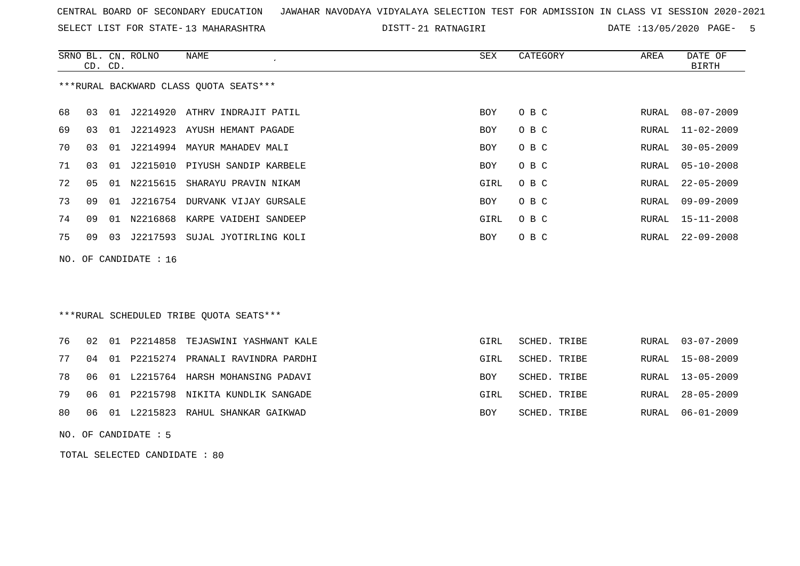SELECT LIST FOR STATE- DISTT- 13 MAHARASHTRA

21 RATNAGIRI DATE :13/05/2020 PAGE- 5

|    | CD. CD.                 |    | SRNO BL. CN. ROLNO | NAME                                   | SEX  | CATEGORY | AREA  | DATE OF<br><b>BIRTH</b> |
|----|-------------------------|----|--------------------|----------------------------------------|------|----------|-------|-------------------------|
|    |                         |    |                    | ***RURAL BACKWARD CLASS OUOTA SEATS*** |      |          |       |                         |
| 68 | 03                      |    |                    | 01 J2214920 ATHRV INDRAJIT PATIL       | BOY  | O B C    | RURAL | 08-07-2009              |
| 69 | 03                      |    |                    | 01 J2214923 AYUSH HEMANT PAGADE        | BOY  | O B C    |       | RURAL 11-02-2009        |
| 70 | 03                      | 01 |                    | J2214994 MAYUR MAHADEV MALI            | BOY  | O B C    | RURAL | $30 - 05 - 2009$        |
| 71 | 03                      | 01 |                    | J2215010 PIYUSH SANDIP KARBELE         | BOY  | O B C    | RURAL | 05-10-2008              |
| 72 | 0 <sub>5</sub>          | 01 | N2215615           | SHARAYU PRAVIN NIKAM                   | GIRL | O B C    | RURAL | $22 - 05 - 2009$        |
| 73 | 09                      | 01 |                    | J2216754 DURVANK VIJAY GURSALE         | BOY  | O B C    | RURAL | $09 - 09 - 2009$        |
| 74 | 09                      | 01 |                    | N2216868 KARPE VAIDEHI SANDEEP         | GIRL | O B C    | RURAL | $15 - 11 - 2008$        |
| 75 | 09                      |    | 03 J2217593        | SUJAL JYOTIRLING KOLI                  | BOY  | O B C    | RURAL | $22 - 09 - 2008$        |
|    | NO. OF CANDIDATE : $16$ |    |                    |                                        |      |          |       |                         |

### \*\*\*RURAL SCHEDULED TRIBE QUOTA SEATS\*\*\*

|  |  | 76 02 01 P2214858 TEJASWINI YASHWANT KALE | GIRL       | SCHED. TRIBE |  | RURAL 03-07-2009 |
|--|--|-------------------------------------------|------------|--------------|--|------------------|
|  |  | 77 04 01 P2215274 PRANALI RAVINDRA PARDHI | GIRL       | SCHED. TRIBE |  | RURAL 15-08-2009 |
|  |  | 78 06 01 L2215764 HARSH MOHANSING PADAVI  | <b>BOY</b> | SCHED. TRIBE |  | RURAL 13-05-2009 |
|  |  | 79 06 01 P2215798 NIKITA KUNDLIK SANGADE  | GIRL       | SCHED. TRIBE |  | RURAL 28-05-2009 |
|  |  | 80 06 01 L2215823 RAHUL SHANKAR GAIKWAD   | BOY        | SCHED. TRIBE |  | RURAL 06-01-2009 |

NO. OF CANDIDATE : 5

TOTAL SELECTED CANDIDATE : 80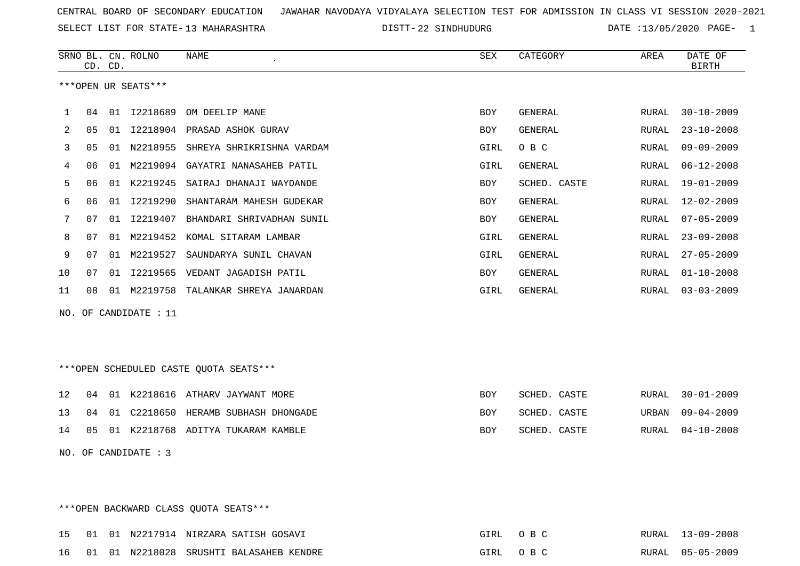SELECT LIST FOR STATE- DISTT- 13 MAHARASHTRA

DISTT-22 SINDHUDURG DATE :13/05/2020 PAGE- 1

|              |    | CD. CD. | SRNO BL. CN. ROLNO      | <b>NAME</b>                            | <b>SEX</b> | CATEGORY       | AREA         | DATE OF<br><b>BIRTH</b> |
|--------------|----|---------|-------------------------|----------------------------------------|------------|----------------|--------------|-------------------------|
|              |    |         | ***OPEN UR SEATS***     |                                        |            |                |              |                         |
| $\mathbf{1}$ | 04 | 01      | I2218689                | OM DEELIP MANE                         | BOY        | GENERAL        | RURAL        | $30 - 10 - 2009$        |
| 2            | 05 | 01      |                         | I2218904 PRASAD ASHOK GURAV            | BOY        | GENERAL        | RURAL        | $23 - 10 - 2008$        |
| 3            | 05 |         |                         | 01 N2218955 SHREYA SHRIKRISHNA VARDAM  | GIRL       | O B C          | RURAL        | $09 - 09 - 2009$        |
| 4            | 06 |         | 01 M2219094             | GAYATRI NANASAHEB PATIL                | GIRL       | <b>GENERAL</b> | <b>RURAL</b> | $06 - 12 - 2008$        |
| 5            | 06 |         | 01 K2219245             | SAIRAJ DHANAJI WAYDANDE                | BOY        | SCHED. CASTE   | RURAL        | 19-01-2009              |
| 6            | 06 | 01      | I2219290                | SHANTARAM MAHESH GUDEKAR               | BOY        | GENERAL        | RURAL        | $12 - 02 - 2009$        |
| 7            | 07 | 01      | I2219407                | BHANDARI SHRIVADHAN SUNIL              | BOY        | GENERAL        | RURAL        | $07 - 05 - 2009$        |
| 8            | 07 | 01      | M2219452                | KOMAL SITARAM LAMBAR                   | GIRL       | <b>GENERAL</b> | <b>RURAL</b> | $23 - 09 - 2008$        |
| 9            | 07 | 01      | M2219527                | SAUNDARYA SUNIL CHAVAN                 | GIRL       | <b>GENERAL</b> | RURAL        | $27 - 05 - 2009$        |
| 10           | 07 | 01      |                         | I2219565 VEDANT JAGADISH PATIL         | BOY        | GENERAL        | RURAL        | $01 - 10 - 2008$        |
| 11           | 08 |         |                         | 01 M2219758 TALANKAR SHREYA JANARDAN   | GIRL       | <b>GENERAL</b> | RURAL        | $03 - 03 - 2009$        |
|              |    |         | NO. OF CANDIDATE : $11$ |                                        |            |                |              |                         |
|              |    |         |                         |                                        |            |                |              |                         |
|              |    |         |                         | ***OPEN SCHEDULED CASTE QUOTA SEATS*** |            |                |              |                         |
| 12           | 04 |         |                         | 01 K2218616 ATHARV JAYWANT MORE        | BOY        | SCHED. CASTE   | RURAL        | $30 - 01 - 2009$        |
| 13           | 04 | 01      |                         | C2218650 HERAMB SUBHASH DHONGADE       | BOY        | SCHED. CASTE   | URBAN        | $09 - 04 - 2009$        |
| 14           | 05 |         |                         | 01 K2218768 ADITYA TUKARAM KAMBLE      | BOY        | SCHED. CASTE   | RURAL        | $04 - 10 - 2008$        |
|              |    |         | NO. OF CANDIDATE : 3    |                                        |            |                |              |                         |

\*\*\*OPEN BACKWARD CLASS QUOTA SEATS\*\*\*

|  |  | 15 01 01 N2217914 NIRZARA SATISH GOSAVI    | GIRL OBC | RURAL 13-09-2008 |
|--|--|--------------------------------------------|----------|------------------|
|  |  | 16 01 01 N2218028 SRUSHTI BALASAHEB KENDRE | GIRL OBC | RURAL 05-05-2009 |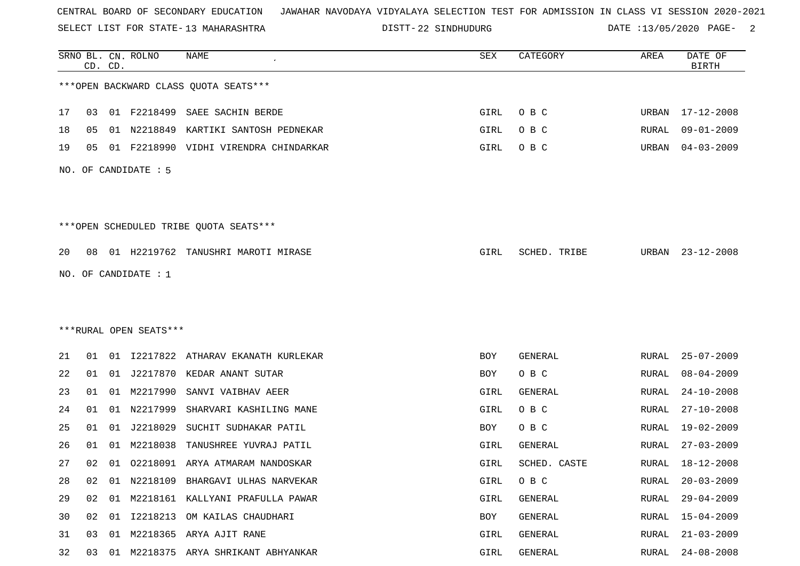SELECT LIST FOR STATE- DISTT- 13 MAHARASHTRA

22 SINDHUDURG DATE :13/05/2020 PAGE- 2

|    |    | CD. CD. | SRNO BL. CN. ROLNO     | <b>NAME</b>                            | SEX  | CATEGORY     | AREA  | DATE OF<br><b>BIRTH</b> |
|----|----|---------|------------------------|----------------------------------------|------|--------------|-------|-------------------------|
|    |    |         |                        | *** OPEN BACKWARD CLASS QUOTA SEATS*** |      |              |       |                         |
| 17 | 03 |         |                        | 01 F2218499 SAEE SACHIN BERDE          | GIRL | O B C        |       | URBAN 17-12-2008        |
| 18 | 05 | 01      | N2218849               | KARTIKI SANTOSH PEDNEKAR               | GIRL | O B C        | RURAL | $09 - 01 - 2009$        |
| 19 | 05 | 01      |                        | F2218990 VIDHI VIRENDRA CHINDARKAR     | GIRL | O B C        | URBAN | $04 - 03 - 2009$        |
|    |    |         | NO. OF CANDIDATE : 5   |                                        |      |              |       |                         |
|    |    |         |                        | ***OPEN SCHEDULED TRIBE QUOTA SEATS*** |      |              |       |                         |
| 20 | 08 |         |                        | 01 H2219762 TANUSHRI MAROTI MIRASE     | GIRL | SCHED. TRIBE | URBAN | $23 - 12 - 2008$        |
|    |    |         | NO. OF CANDIDATE : 1   |                                        |      |              |       |                         |
|    |    |         |                        |                                        |      |              |       |                         |
|    |    |         |                        |                                        |      |              |       |                         |
|    |    |         | ***RURAL OPEN SEATS*** |                                        |      |              |       |                         |
| 21 | 01 |         | 01 12217822            | ATHARAV EKANATH KURLEKAR               | BOY  | GENERAL      | RURAL | $25 - 07 - 2009$        |
| 22 | 01 |         |                        | 01 J2217870 KEDAR ANANT SUTAR          | BOY  | O B C        | RURAL | $08 - 04 - 2009$        |
| 23 | 01 | 01      | M2217990               | SANVI VAIBHAV AEER                     | GIRL | GENERAL      | RURAL | $24 - 10 - 2008$        |
| 24 | 01 | 01      | N2217999               | SHARVARI KASHILING MANE                | GIRL | O B C        | RURAL | $27 - 10 - 2008$        |
| 25 | 01 | 01      | J2218029               | SUCHIT SUDHAKAR PATIL                  | BOY  | O B C        | RURAL | 19-02-2009              |
| 26 | 01 | 01      | M2218038               | TANUSHREE YUVRAJ PATIL                 | GIRL | GENERAL      | RURAL | $27 - 03 - 2009$        |
| 27 | 02 | 01      |                        | 02218091 ARYA ATMARAM NANDOSKAR        | GIRL | SCHED. CASTE | RURAL | 18-12-2008              |
| 28 | 02 | 01      |                        | N2218109 BHARGAVI ULHAS NARVEKAR       | GIRL | O B C        | RURAL | $20 - 03 - 2009$        |
| 29 | 02 | 01      |                        | M2218161 KALLYANI PRAFULLA PAWAR       | GIRL | GENERAL      | RURAL | $29 - 04 - 2009$        |
| 30 | 02 |         |                        | 01 I2218213 OM KAILAS CHAUDHARI        | BOY  | GENERAL      | RURAL | 15-04-2009              |
| 31 | 03 | 01      |                        | M2218365 ARYA AJIT RANE                | GIRL | GENERAL      | RURAL | $21 - 03 - 2009$        |
| 32 | 03 |         |                        | 01 M2218375 ARYA SHRIKANT ABHYANKAR    | GIRL | GENERAL      | RURAL | $24 - 08 - 2008$        |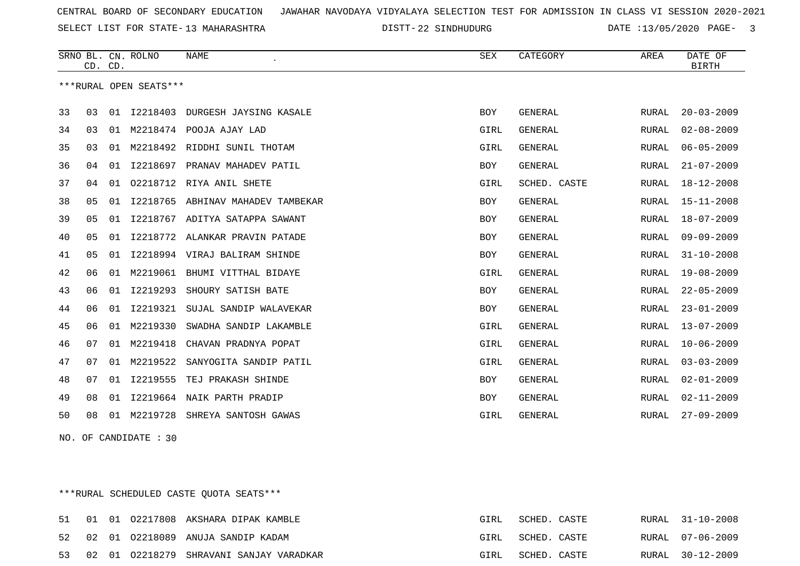SELECT LIST FOR STATE- DISTT- 13 MAHARASHTRA

DISTT-22 SINDHUDURG DATE :13/05/2020 PAGE- 3

|    |    | CD. CD. | SRNO BL. CN. ROLNO     | <b>NAME</b>                    | <b>SEX</b> | CATEGORY       | AREA         | DATE OF<br><b>BIRTH</b> |
|----|----|---------|------------------------|--------------------------------|------------|----------------|--------------|-------------------------|
|    |    |         | ***RURAL OPEN SEATS*** |                                |            |                |              |                         |
| 33 | 03 | 01      | I2218403               | DURGESH JAYSING KASALE         | <b>BOY</b> | <b>GENERAL</b> | RURAL        | $20 - 03 - 2009$        |
| 34 | 03 | 01      | M2218474               | POOJA AJAY LAD                 | GIRL       | GENERAL        | RURAL        | $02 - 08 - 2009$        |
| 35 | 03 | 01      |                        | M2218492 RIDDHI SUNIL THOTAM   | GIRL       | <b>GENERAL</b> | RURAL        | $06 - 05 - 2009$        |
| 36 | 04 | 01      | I2218697               | PRANAV MAHADEV PATIL           | BOY        | <b>GENERAL</b> | RURAL        | $21 - 07 - 2009$        |
| 37 | 04 | 01      | 02218712               | RIYA ANIL SHETE                | GIRL       | SCHED. CASTE   | RURAL        | $18 - 12 - 2008$        |
| 38 | 05 | 01      | I2218765               | ABHINAV MAHADEV TAMBEKAR       | BOY        | GENERAL        | RURAL        | $15 - 11 - 2008$        |
| 39 | 05 | 01      | I2218767               | ADITYA SATAPPA SAWANT          | <b>BOY</b> | <b>GENERAL</b> | RURAL        | 18-07-2009              |
| 40 | 05 | 01      |                        | 12218772 ALANKAR PRAVIN PATADE | <b>BOY</b> | <b>GENERAL</b> | RURAL        | $09 - 09 - 2009$        |
| 41 | 05 | 01      | I2218994               | VIRAJ BALIRAM SHINDE           | BOY        | <b>GENERAL</b> | RURAL        | $31 - 10 - 2008$        |
| 42 | 06 | 01      | M2219061               | BHUMI VITTHAL BIDAYE           | GIRL       | <b>GENERAL</b> | RURAL        | $19 - 08 - 2009$        |
| 43 | 06 | 01      | I2219293               | SHOURY SATISH BATE             | <b>BOY</b> | <b>GENERAL</b> | <b>RURAL</b> | $22 - 05 - 2009$        |
| 44 | 06 |         | 01 12219321            | SUJAL SANDIP WALAVEKAR         | BOY        | <b>GENERAL</b> | RURAL        | $23 - 01 - 2009$        |
| 45 | 06 | 01      | M2219330               | SWADHA SANDIP LAKAMBLE         | GIRL       | <b>GENERAL</b> | RURAL        | $13 - 07 - 2009$        |
| 46 | 07 | 01      | M2219418               | CHAVAN PRADNYA POPAT           | GIRL       | <b>GENERAL</b> | RURAL        | $10 - 06 - 2009$        |
| 47 | 07 | 01      | M2219522               | SANYOGITA SANDIP PATIL         | GIRL       | <b>GENERAL</b> | RURAL        | $03 - 03 - 2009$        |
| 48 | 07 |         | 01 12219555            | TEJ PRAKASH SHINDE             | BOY        | <b>GENERAL</b> | RURAL        | $02 - 01 - 2009$        |
| 49 | 08 | 01      |                        | 12219664 NAIK PARTH PRADIP     | BOY        | <b>GENERAL</b> | RURAL        | $02 - 11 - 2009$        |
| 50 | 08 |         | 01 M2219728            | SHREYA SANTOSH GAWAS           | GIRL       | <b>GENERAL</b> | RURAL        | $27 - 09 - 2009$        |

NO. OF CANDIDATE : 30

\*\*\*RURAL SCHEDULED CASTE QUOTA SEATS\*\*\*

|  |  | 51 01 01 02217808 AKSHARA DIPAK KAMBLE     | GIRL | SCHED. CASTE |  | RURAL 31-10-2008 |
|--|--|--------------------------------------------|------|--------------|--|------------------|
|  |  | 52 02 01 02218089 ANUJA SANDIP KADAM       | GIRL | SCHED. CASTE |  | RURAL 07-06-2009 |
|  |  | 53 02 01 02218279 SHRAVANI SANJAY VARADKAR | GIRL | SCHED. CASTE |  | RURAL 30-12-2009 |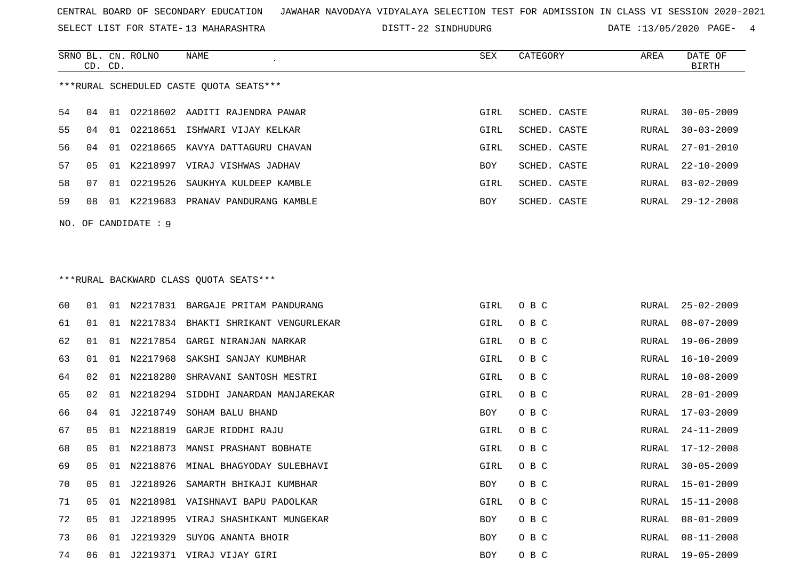SELECT LIST FOR STATE- DISTT- 13 MAHARASHTRA

SRNO BL. CN.

ROLNO NAME SEX CATEGORY AREA DATE OF

DISTT-22 SINDHUDURG DATE :13/05/2020 PAGE- 4

| ***RURAL SCHEDULED CASTE QUOTA SEATS***<br>54<br>01 02218602 AADITI RAJENDRA PAWAR<br>GIRL<br>SCHED. CASTE<br>$30 - 05 - 2009$<br>RURAL<br>04<br>55<br>01<br>02218651 ISHWARI VIJAY KELKAR<br>GIRL<br>SCHED. CASTE<br>$30 - 03 - 2009$<br>04<br>RURAL<br>56<br>04<br>02218665<br>KAVYA DATTAGURU CHAVAN<br>GIRL<br>SCHED. CASTE<br>$27 - 01 - 2010$<br>01<br>RURAL<br>57<br>05<br>01<br>K2218997 VIRAJ VISHWAS JADHAV<br>SCHED. CASTE<br>$22 - 10 - 2009$<br>BOY<br>RURAL<br>58<br>02219526<br>07<br>SAUKHYA KULDEEP KAMBLE<br>GIRL<br>SCHED. CASTE<br>$03 - 02 - 2009$<br>01<br>RURAL<br>59<br>08<br>01 K2219683 PRANAV PANDURANG KAMBLE<br>BOY<br>SCHED. CASTE<br>$29 - 12 - 2008$<br>RURAL<br>NO. OF CANDIDATE : $9$<br>***RURAL BACKWARD CLASS QUOTA SEATS***<br>60<br>01 N2217831 BARGAJE PRITAM PANDURANG<br>GIRL<br>O B C<br>RURAL<br>$25 - 02 - 2009$<br>01<br>61<br>N2217834 BHAKTI SHRIKANT VENGURLEKAR<br>GIRL<br>O B C<br>$08 - 07 - 2009$<br>01<br>01<br>RURAL<br>62<br>01 N2217854 GARGI NIRANJAN NARKAR<br>O B C<br>$19 - 06 - 2009$<br>01<br>GIRL<br>RURAL<br>63<br>N2217968<br>O B C<br>01<br>01<br>SAKSHI SANJAY KUMBHAR<br>GIRL<br>16-10-2009<br>RURAL<br>64<br>01 N2218280<br>O B C<br>$10 - 08 - 2009$<br>02<br>SHRAVANI SANTOSH MESTRI<br>GIRL<br>RURAL<br>65<br>N2218294 SIDDHI JANARDAN MANJAREKAR<br>O B C<br>$28 - 01 - 2009$<br>02<br>01<br>GIRL<br>RURAL<br>66<br>01 J2218749<br>O B C<br>04<br>SOHAM BALU BHAND<br>BOY<br>RURAL<br>$17 - 03 - 2009$<br>67<br>01 N2218819<br>05<br>GARJE RIDDHI RAJU<br>GIRL<br>O B C<br>$24 - 11 - 2009$<br>RURAL<br>N2218873<br>68<br>05<br>01<br>MANSI PRASHANT BOBHATE<br>GIRL<br>O B C<br><b>RURAL</b><br>17-12-2008<br>69<br>05<br>N2218876<br>MINAL BHAGYODAY SULEBHAVI<br>GIRL<br>O B C<br>$30 - 05 - 2009$<br>01<br>RURAL<br>70<br>$15 - 01 - 2009$<br>05<br>01 J2218926 SAMARTH BHIKAJI KUMBHAR<br>BOY<br>O B C<br>RURAL<br>71<br>05 01 N2218981 VAISHNAVI BAPU PADOLKAR<br>O B C<br>RURAL 15-11-2008<br>GIRL<br>72<br>O B C<br>$08 - 01 - 2009$<br>05 01 J2218995 VIRAJ SHASHIKANT MUNGEKAR<br>BOY<br>RURAL<br>73<br>01 J2219329 SUYOG ANANTA BHOIR<br>O B C<br>$08 - 11 - 2008$<br>06<br>BOY<br>RURAL<br>74<br>O B C<br>RURAL 19-05-2009<br>06  01  J2219371  VIRAJ VIJAY GIRI<br><b>BOY</b> | CD. CD. |  |  |  | <b>BIRTH</b> |
|----------------------------------------------------------------------------------------------------------------------------------------------------------------------------------------------------------------------------------------------------------------------------------------------------------------------------------------------------------------------------------------------------------------------------------------------------------------------------------------------------------------------------------------------------------------------------------------------------------------------------------------------------------------------------------------------------------------------------------------------------------------------------------------------------------------------------------------------------------------------------------------------------------------------------------------------------------------------------------------------------------------------------------------------------------------------------------------------------------------------------------------------------------------------------------------------------------------------------------------------------------------------------------------------------------------------------------------------------------------------------------------------------------------------------------------------------------------------------------------------------------------------------------------------------------------------------------------------------------------------------------------------------------------------------------------------------------------------------------------------------------------------------------------------------------------------------------------------------------------------------------------------------------------------------------------------------------------------------------------------------------------------------------------------------------------------------------------------------------------------------------------------------------------------------------------------------------------------------------------------------------------------|---------|--|--|--|--------------|
|                                                                                                                                                                                                                                                                                                                                                                                                                                                                                                                                                                                                                                                                                                                                                                                                                                                                                                                                                                                                                                                                                                                                                                                                                                                                                                                                                                                                                                                                                                                                                                                                                                                                                                                                                                                                                                                                                                                                                                                                                                                                                                                                                                                                                                                                      |         |  |  |  |              |
|                                                                                                                                                                                                                                                                                                                                                                                                                                                                                                                                                                                                                                                                                                                                                                                                                                                                                                                                                                                                                                                                                                                                                                                                                                                                                                                                                                                                                                                                                                                                                                                                                                                                                                                                                                                                                                                                                                                                                                                                                                                                                                                                                                                                                                                                      |         |  |  |  |              |
|                                                                                                                                                                                                                                                                                                                                                                                                                                                                                                                                                                                                                                                                                                                                                                                                                                                                                                                                                                                                                                                                                                                                                                                                                                                                                                                                                                                                                                                                                                                                                                                                                                                                                                                                                                                                                                                                                                                                                                                                                                                                                                                                                                                                                                                                      |         |  |  |  |              |
|                                                                                                                                                                                                                                                                                                                                                                                                                                                                                                                                                                                                                                                                                                                                                                                                                                                                                                                                                                                                                                                                                                                                                                                                                                                                                                                                                                                                                                                                                                                                                                                                                                                                                                                                                                                                                                                                                                                                                                                                                                                                                                                                                                                                                                                                      |         |  |  |  |              |
|                                                                                                                                                                                                                                                                                                                                                                                                                                                                                                                                                                                                                                                                                                                                                                                                                                                                                                                                                                                                                                                                                                                                                                                                                                                                                                                                                                                                                                                                                                                                                                                                                                                                                                                                                                                                                                                                                                                                                                                                                                                                                                                                                                                                                                                                      |         |  |  |  |              |
|                                                                                                                                                                                                                                                                                                                                                                                                                                                                                                                                                                                                                                                                                                                                                                                                                                                                                                                                                                                                                                                                                                                                                                                                                                                                                                                                                                                                                                                                                                                                                                                                                                                                                                                                                                                                                                                                                                                                                                                                                                                                                                                                                                                                                                                                      |         |  |  |  |              |
|                                                                                                                                                                                                                                                                                                                                                                                                                                                                                                                                                                                                                                                                                                                                                                                                                                                                                                                                                                                                                                                                                                                                                                                                                                                                                                                                                                                                                                                                                                                                                                                                                                                                                                                                                                                                                                                                                                                                                                                                                                                                                                                                                                                                                                                                      |         |  |  |  |              |
|                                                                                                                                                                                                                                                                                                                                                                                                                                                                                                                                                                                                                                                                                                                                                                                                                                                                                                                                                                                                                                                                                                                                                                                                                                                                                                                                                                                                                                                                                                                                                                                                                                                                                                                                                                                                                                                                                                                                                                                                                                                                                                                                                                                                                                                                      |         |  |  |  |              |
|                                                                                                                                                                                                                                                                                                                                                                                                                                                                                                                                                                                                                                                                                                                                                                                                                                                                                                                                                                                                                                                                                                                                                                                                                                                                                                                                                                                                                                                                                                                                                                                                                                                                                                                                                                                                                                                                                                                                                                                                                                                                                                                                                                                                                                                                      |         |  |  |  |              |
|                                                                                                                                                                                                                                                                                                                                                                                                                                                                                                                                                                                                                                                                                                                                                                                                                                                                                                                                                                                                                                                                                                                                                                                                                                                                                                                                                                                                                                                                                                                                                                                                                                                                                                                                                                                                                                                                                                                                                                                                                                                                                                                                                                                                                                                                      |         |  |  |  |              |
|                                                                                                                                                                                                                                                                                                                                                                                                                                                                                                                                                                                                                                                                                                                                                                                                                                                                                                                                                                                                                                                                                                                                                                                                                                                                                                                                                                                                                                                                                                                                                                                                                                                                                                                                                                                                                                                                                                                                                                                                                                                                                                                                                                                                                                                                      |         |  |  |  |              |
|                                                                                                                                                                                                                                                                                                                                                                                                                                                                                                                                                                                                                                                                                                                                                                                                                                                                                                                                                                                                                                                                                                                                                                                                                                                                                                                                                                                                                                                                                                                                                                                                                                                                                                                                                                                                                                                                                                                                                                                                                                                                                                                                                                                                                                                                      |         |  |  |  |              |
|                                                                                                                                                                                                                                                                                                                                                                                                                                                                                                                                                                                                                                                                                                                                                                                                                                                                                                                                                                                                                                                                                                                                                                                                                                                                                                                                                                                                                                                                                                                                                                                                                                                                                                                                                                                                                                                                                                                                                                                                                                                                                                                                                                                                                                                                      |         |  |  |  |              |
|                                                                                                                                                                                                                                                                                                                                                                                                                                                                                                                                                                                                                                                                                                                                                                                                                                                                                                                                                                                                                                                                                                                                                                                                                                                                                                                                                                                                                                                                                                                                                                                                                                                                                                                                                                                                                                                                                                                                                                                                                                                                                                                                                                                                                                                                      |         |  |  |  |              |
|                                                                                                                                                                                                                                                                                                                                                                                                                                                                                                                                                                                                                                                                                                                                                                                                                                                                                                                                                                                                                                                                                                                                                                                                                                                                                                                                                                                                                                                                                                                                                                                                                                                                                                                                                                                                                                                                                                                                                                                                                                                                                                                                                                                                                                                                      |         |  |  |  |              |
|                                                                                                                                                                                                                                                                                                                                                                                                                                                                                                                                                                                                                                                                                                                                                                                                                                                                                                                                                                                                                                                                                                                                                                                                                                                                                                                                                                                                                                                                                                                                                                                                                                                                                                                                                                                                                                                                                                                                                                                                                                                                                                                                                                                                                                                                      |         |  |  |  |              |
|                                                                                                                                                                                                                                                                                                                                                                                                                                                                                                                                                                                                                                                                                                                                                                                                                                                                                                                                                                                                                                                                                                                                                                                                                                                                                                                                                                                                                                                                                                                                                                                                                                                                                                                                                                                                                                                                                                                                                                                                                                                                                                                                                                                                                                                                      |         |  |  |  |              |
|                                                                                                                                                                                                                                                                                                                                                                                                                                                                                                                                                                                                                                                                                                                                                                                                                                                                                                                                                                                                                                                                                                                                                                                                                                                                                                                                                                                                                                                                                                                                                                                                                                                                                                                                                                                                                                                                                                                                                                                                                                                                                                                                                                                                                                                                      |         |  |  |  |              |
|                                                                                                                                                                                                                                                                                                                                                                                                                                                                                                                                                                                                                                                                                                                                                                                                                                                                                                                                                                                                                                                                                                                                                                                                                                                                                                                                                                                                                                                                                                                                                                                                                                                                                                                                                                                                                                                                                                                                                                                                                                                                                                                                                                                                                                                                      |         |  |  |  |              |
|                                                                                                                                                                                                                                                                                                                                                                                                                                                                                                                                                                                                                                                                                                                                                                                                                                                                                                                                                                                                                                                                                                                                                                                                                                                                                                                                                                                                                                                                                                                                                                                                                                                                                                                                                                                                                                                                                                                                                                                                                                                                                                                                                                                                                                                                      |         |  |  |  |              |
|                                                                                                                                                                                                                                                                                                                                                                                                                                                                                                                                                                                                                                                                                                                                                                                                                                                                                                                                                                                                                                                                                                                                                                                                                                                                                                                                                                                                                                                                                                                                                                                                                                                                                                                                                                                                                                                                                                                                                                                                                                                                                                                                                                                                                                                                      |         |  |  |  |              |
|                                                                                                                                                                                                                                                                                                                                                                                                                                                                                                                                                                                                                                                                                                                                                                                                                                                                                                                                                                                                                                                                                                                                                                                                                                                                                                                                                                                                                                                                                                                                                                                                                                                                                                                                                                                                                                                                                                                                                                                                                                                                                                                                                                                                                                                                      |         |  |  |  |              |
|                                                                                                                                                                                                                                                                                                                                                                                                                                                                                                                                                                                                                                                                                                                                                                                                                                                                                                                                                                                                                                                                                                                                                                                                                                                                                                                                                                                                                                                                                                                                                                                                                                                                                                                                                                                                                                                                                                                                                                                                                                                                                                                                                                                                                                                                      |         |  |  |  |              |
|                                                                                                                                                                                                                                                                                                                                                                                                                                                                                                                                                                                                                                                                                                                                                                                                                                                                                                                                                                                                                                                                                                                                                                                                                                                                                                                                                                                                                                                                                                                                                                                                                                                                                                                                                                                                                                                                                                                                                                                                                                                                                                                                                                                                                                                                      |         |  |  |  |              |
|                                                                                                                                                                                                                                                                                                                                                                                                                                                                                                                                                                                                                                                                                                                                                                                                                                                                                                                                                                                                                                                                                                                                                                                                                                                                                                                                                                                                                                                                                                                                                                                                                                                                                                                                                                                                                                                                                                                                                                                                                                                                                                                                                                                                                                                                      |         |  |  |  |              |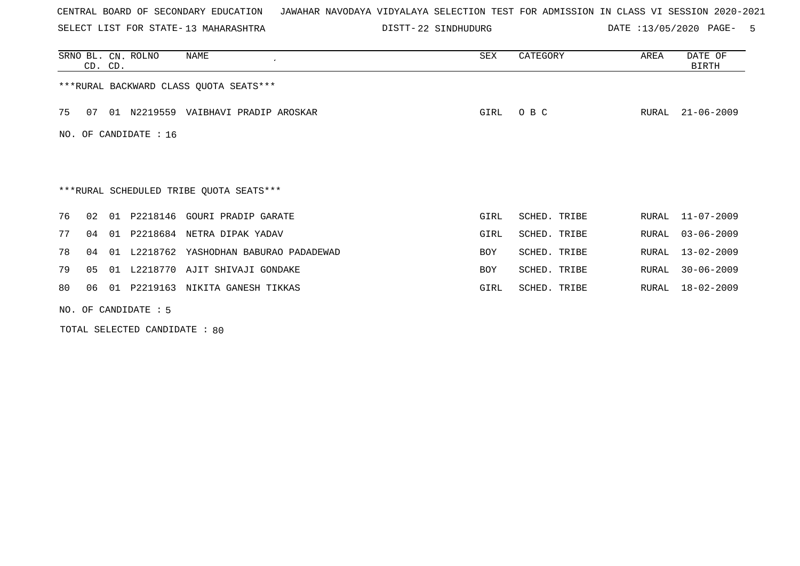SELECT LIST FOR STATE- DISTT- 13 MAHARASHTRA

DISTT-22 SINDHUDURG DATE :13/05/2020 PAGE- 5

|     | CD. CD.                |    | SRNO BL. CN. ROLNO | NAME                                    | SEX        | CATEGORY     | AREA  | DATE OF<br>BIRTH |  |  |
|-----|------------------------|----|--------------------|-----------------------------------------|------------|--------------|-------|------------------|--|--|
|     |                        |    |                    | *** RURAL BACKWARD CLASS QUOTA SEATS*** |            |              |       |                  |  |  |
| 75  | 07                     |    |                    | 01 N2219559 VAIBHAVI PRADIP AROSKAR     | GIRL       | O B C        | RURAL | $21 - 06 - 2009$ |  |  |
| NO. | OF CANDIDATE : 16      |    |                    |                                         |            |              |       |                  |  |  |
|     |                        |    |                    |                                         |            |              |       |                  |  |  |
|     |                        |    |                    | ***RURAL SCHEDULED TRIBE QUOTA SEATS*** |            |              |       |                  |  |  |
| 76  | 0.2 <sub>1</sub>       | 01 |                    | P2218146 GOURI PRADIP GARATE            | GIRL       | SCHED. TRIBE | RURAL | 11-07-2009       |  |  |
| 77  | 04                     | 01 |                    | P2218684 NETRA DIPAK YADAV              | GIRL       | SCHED. TRIBE | RURAL | $03 - 06 - 2009$ |  |  |
| 78  | 04                     |    |                    | 01 L2218762 YASHODHAN BABURAO PADADEWAD | <b>BOY</b> | SCHED. TRIBE | RURAL | $13 - 02 - 2009$ |  |  |
| 79  | 05                     |    |                    | 01 L2218770 AJIT SHIVAJI GONDAKE        | <b>BOY</b> | SCHED. TRIBE | RURAL | $30 - 06 - 2009$ |  |  |
| 80  | 06                     |    |                    | 01 P2219163 NIKITA GANESH TIKKAS        | GIRL       | SCHED. TRIBE | RURAL | 18-02-2009       |  |  |
|     | NO. OF CANDIDATE $: 5$ |    |                    |                                         |            |              |       |                  |  |  |

TOTAL SELECTED CANDIDATE : 80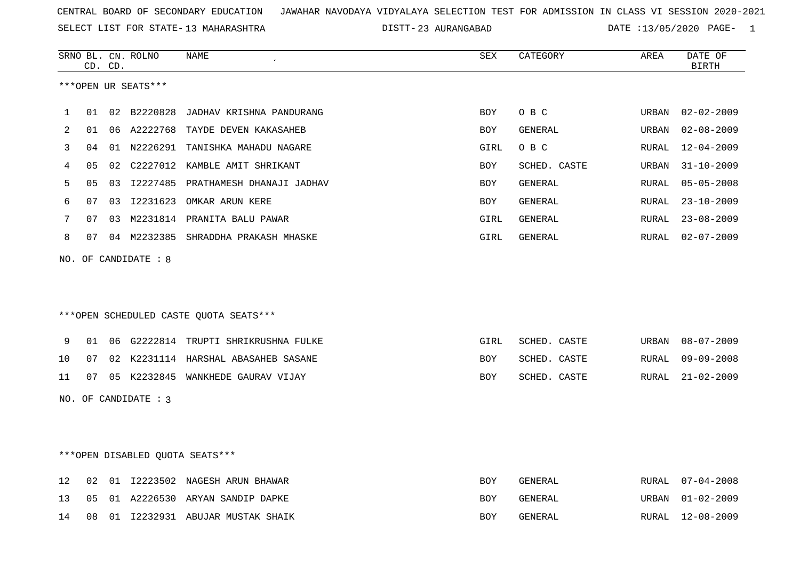SELECT LIST FOR STATE- DISTT- 13 MAHARASHTRA

23 AURANGABAD DATE :13/05/2020 PAGE- 1

|    |    | CD. CD. | SRNO BL. CN. ROLNO     | NAME                                   | SEX        | CATEGORY     | AREA  | DATE OF<br><b>BIRTH</b> |
|----|----|---------|------------------------|----------------------------------------|------------|--------------|-------|-------------------------|
|    |    |         | ***OPEN UR SEATS***    |                                        |            |              |       |                         |
|    |    |         |                        |                                        |            |              |       |                         |
| 1  | 01 |         |                        | 02 B2220828 JADHAV KRISHNA PANDURANG   | <b>BOY</b> | O B C        | URBAN | $02 - 02 - 2009$        |
| 2  | 01 |         |                        | 06 A2222768 TAYDE DEVEN KAKASAHEB      | <b>BOY</b> | GENERAL      | URBAN | $02 - 08 - 2009$        |
| 3  | 04 |         |                        | 01 N2226291 TANISHKA MAHADU NAGARE     | GIRL       | O B C        | RURAL | $12 - 04 - 2009$        |
| 4  | 05 |         |                        | 02 C2227012 KAMBLE AMIT SHRIKANT       | BOY        | SCHED. CASTE | URBAN | $31 - 10 - 2009$        |
| 5  | 05 |         |                        | 03 I2227485 PRATHAMESH DHANAJI JADHAV  | <b>BOY</b> | GENERAL      | RURAL | $05 - 05 - 2008$        |
| 6  | 07 | 03      | I2231623               | OMKAR ARUN KERE                        | <b>BOY</b> | GENERAL      | RURAL | $23 - 10 - 2009$        |
| 7  | 07 |         |                        | 03 M2231814 PRANITA BALU PAWAR         | GIRL       | GENERAL      | RURAL | $23 - 08 - 2009$        |
| 8  | 07 |         |                        | 04 M2232385 SHRADDHA PRAKASH MHASKE    | GIRL       | GENERAL      | RURAL | $02 - 07 - 2009$        |
|    |    |         | NO. OF CANDIDATE : 8   |                                        |            |              |       |                         |
|    |    |         |                        |                                        |            |              |       |                         |
|    |    |         |                        |                                        |            |              |       |                         |
|    |    |         |                        | ***OPEN SCHEDULED CASTE OUOTA SEATS*** |            |              |       |                         |
|    |    |         |                        |                                        |            |              |       |                         |
| 9  | 01 |         |                        | 06 G2222814 TRUPTI SHRIKRUSHNA FULKE   | GIRL       | SCHED. CASTE | URBAN | $08 - 07 - 2009$        |
| 10 | 07 |         |                        | 02 K2231114 HARSHAL ABASAHEB SASANE    | <b>BOY</b> | SCHED. CASTE | RURAL | $09 - 09 - 2008$        |
| 11 | 07 |         |                        | 05 K2232845 WANKHEDE GAURAV VIJAY      | BOY        | SCHED. CASTE | RURAL | $21 - 02 - 2009$        |
|    |    |         | NO. OF CANDIDATE : $3$ |                                        |            |              |       |                         |
|    |    |         |                        |                                        |            |              |       |                         |
|    |    |         |                        |                                        |            |              |       |                         |
|    |    |         |                        |                                        |            |              |       |                         |
|    |    |         |                        | ***OPEN DISABLED QUOTA SEATS***        |            |              |       |                         |
| 12 | 02 |         |                        | 01 I2223502 NAGESH ARUN BHAWAR         | BOY        | GENERAL      | RURAL | $07 - 04 - 2008$        |
| 13 | 05 |         |                        | 01 A2226530 ARYAN SANDIP DAPKE         | BOY        | GENERAL      | URBAN | $01 - 02 - 2009$        |
| 14 | 08 |         |                        | 01 I2232931 ABUJAR MUSTAK SHAIK        | <b>BOY</b> | GENERAL      | RURAL | $12 - 08 - 2009$        |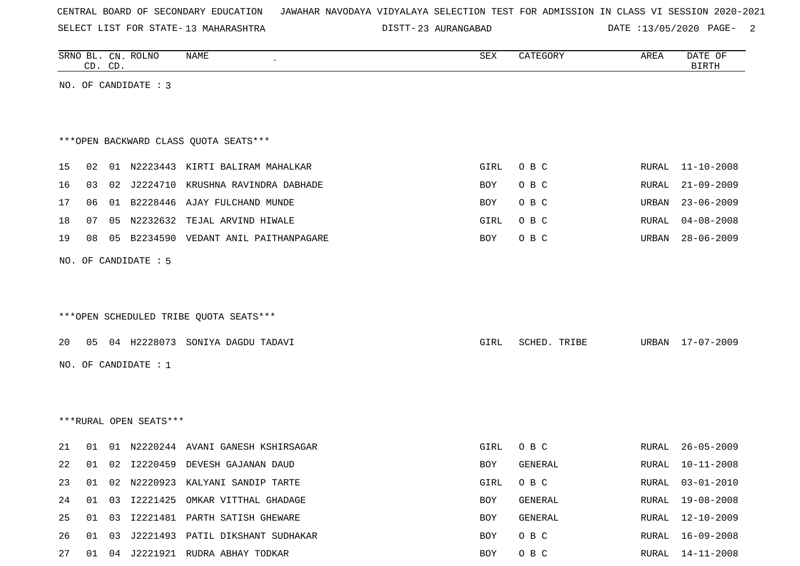SELECT LIST FOR STATE- DISTT- 13 MAHARASHTRA

23 AURANGABAD DATE :13/05/2020 PAGE- 2

|    |    | CD. CD. | SRNO BL. CN. ROLNO     | <b>NAME</b>                            | SEX  | CATEGORY     | AREA  | DATE OF<br><b>BIRTH</b> |
|----|----|---------|------------------------|----------------------------------------|------|--------------|-------|-------------------------|
|    |    |         | NO. OF CANDIDATE : 3   |                                        |      |              |       |                         |
|    |    |         |                        |                                        |      |              |       |                         |
|    |    |         |                        |                                        |      |              |       |                         |
|    |    |         |                        | *** OPEN BACKWARD CLASS QUOTA SEATS*** |      |              |       |                         |
|    |    |         |                        |                                        |      |              |       |                         |
| 15 | 02 |         |                        | 01 N2223443 KIRTI BALIRAM MAHALKAR     | GIRL | O B C        | RURAL | $11 - 10 - 2008$        |
| 16 | 03 | 02      | J2224710               | KRUSHNA RAVINDRA DABHADE               | BOY  | O B C        | RURAL | $21 - 09 - 2009$        |
| 17 | 06 |         |                        | 01 B2228446 AJAY FULCHAND MUNDE        | BOY  | O B C        | URBAN | $23 - 06 - 2009$        |
| 18 | 07 | 05      | N2232632               | TEJAL ARVIND HIWALE                    | GIRL | O B C        | RURAL | $04 - 08 - 2008$        |
| 19 | 08 |         |                        | 05 B2234590 VEDANT ANIL PAITHANPAGARE  | BOY  | O B C        | URBAN | $28 - 06 - 2009$        |
|    |    |         | NO. OF CANDIDATE : 5   |                                        |      |              |       |                         |
|    |    |         |                        |                                        |      |              |       |                         |
|    |    |         |                        |                                        |      |              |       |                         |
|    |    |         |                        | ***OPEN SCHEDULED TRIBE QUOTA SEATS*** |      |              |       |                         |
|    |    |         |                        |                                        |      |              |       |                         |
| 20 | 05 |         |                        | 04 H2228073 SONIYA DAGDU TADAVI        | GIRL | SCHED. TRIBE | URBAN | 17-07-2009              |
|    |    |         | NO. OF CANDIDATE : 1   |                                        |      |              |       |                         |
|    |    |         |                        |                                        |      |              |       |                         |
|    |    |         |                        |                                        |      |              |       |                         |
|    |    |         | ***RURAL OPEN SEATS*** |                                        |      |              |       |                         |
|    |    |         |                        |                                        |      |              |       |                         |
| 21 | 01 |         |                        | 01 N2220244 AVANI GANESH KSHIRSAGAR    | GIRL | O B C        | RURAL | $26 - 05 - 2009$        |
| 22 | 01 | 02      |                        | I2220459 DEVESH GAJANAN DAUD           | BOY  | GENERAL      | RURAL | $10 - 11 - 2008$        |
| 23 |    |         |                        | 01 02 N2220923 KALYANI SANDIP TARTE    | GIRL | O B C        | RURAL | $03 - 01 - 2010$        |
| 24 | 01 | 03      |                        | I2221425 OMKAR VITTHAL GHADAGE         | BOY  | GENERAL      |       | RURAL 19-08-2008        |
| 25 | 01 | 03      |                        | 12221481 PARTH SATISH GHEWARE          | BOY  | GENERAL      | RURAL | 12-10-2009              |
| 26 |    | 01 03   |                        | J2221493 PATIL DIKSHANT SUDHAKAR       | BOY  | O B C        | RURAL | 16-09-2008              |
| 27 |    |         |                        | 01 04 J2221921 RUDRA ABHAY TODKAR      | BOY  | O B C        |       | RURAL 14-11-2008        |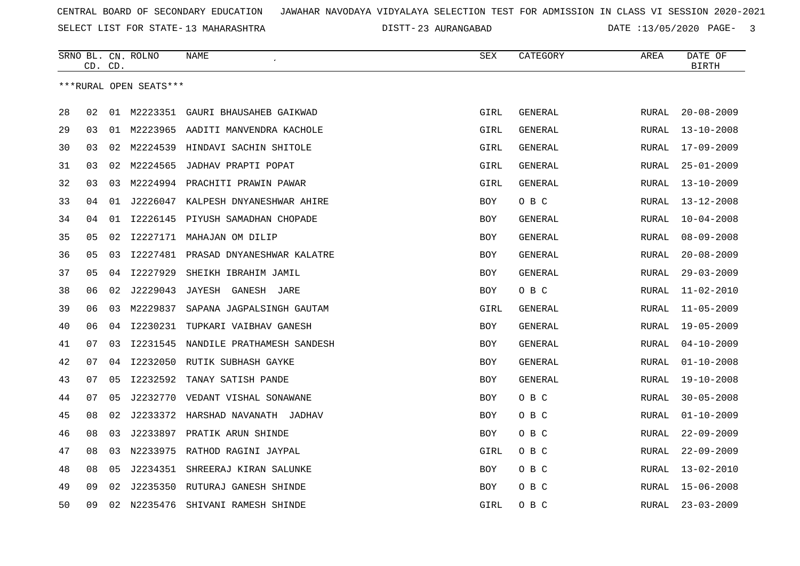SELECT LIST FOR STATE- DISTT- 13 MAHARASHTRA

23 AURANGABAD DATE :13/05/2020 PAGE- 3

|    |    | CD. CD. | SRNO BL. CN. ROLNO     | NAME                                 | SEX        | CATEGORY       | AREA         | DATE OF<br><b>BIRTH</b> |
|----|----|---------|------------------------|--------------------------------------|------------|----------------|--------------|-------------------------|
|    |    |         | ***RURAL OPEN SEATS*** |                                      |            |                |              |                         |
| 28 | 02 |         |                        | 01 M2223351 GAURI BHAUSAHEB GAIKWAD  | GIRL       | <b>GENERAL</b> | RURAL        | $20 - 08 - 2009$        |
| 29 | 03 |         |                        | 01 M2223965 AADITI MANVENDRA KACHOLE | GIRL       | GENERAL        | RURAL        | $13 - 10 - 2008$        |
| 30 | 03 | 02      | M2224539               | HINDAVI SACHIN SHITOLE               | GIRL       | GENERAL        | RURAL        | $17 - 09 - 2009$        |
| 31 | 03 | 02      | M2224565               | JADHAV PRAPTI POPAT                  | GIRL       | GENERAL        | RURAL        | $25 - 01 - 2009$        |
| 32 | 03 | 03      | M2224994               | PRACHITI PRAWIN PAWAR                | GIRL       | GENERAL        | RURAL        | $13 - 10 - 2009$        |
| 33 | 04 | 01      |                        | J2226047 KALPESH DNYANESHWAR AHIRE   | <b>BOY</b> | O B C          | <b>RURAL</b> | $13 - 12 - 2008$        |
| 34 | 04 | 01      | I2226145               | PIYUSH SAMADHAN CHOPADE              | BOY        | GENERAL        | RURAL        | $10 - 04 - 2008$        |
| 35 | 05 | 02      |                        | I2227171 MAHAJAN OM DILIP            | <b>BOY</b> | GENERAL        | RURAL        | $08 - 09 - 2008$        |
| 36 | 05 | 03      |                        | 12227481 PRASAD DNYANESHWAR KALATRE  | BOY        | GENERAL        | RURAL        | $20 - 08 - 2009$        |
| 37 | 05 | 04      | I2227929               | SHEIKH IBRAHIM JAMIL                 | <b>BOY</b> | <b>GENERAL</b> | RURAL        | $29 - 03 - 2009$        |
| 38 | 06 | 02      | J2229043               | JAYESH GANESH JARE                   | BOY        | O B C          | <b>RURAL</b> | $11 - 02 - 2010$        |
| 39 | 06 | 03      | M2229837               | SAPANA JAGPALSINGH GAUTAM            | GIRL       | GENERAL        | RURAL        | $11 - 05 - 2009$        |
| 40 | 06 | 04      |                        | 12230231 TUPKARI VAIBHAV GANESH      | <b>BOY</b> | GENERAL        | <b>RURAL</b> | $19 - 05 - 2009$        |
| 41 | 07 | 03      | I2231545               | NANDILE PRATHAMESH SANDESH           | BOY        | GENERAL        | RURAL        | $04 - 10 - 2009$        |
| 42 | 07 | 04      | I2232050               | RUTIK SUBHASH GAYKE                  | <b>BOY</b> | GENERAL        | <b>RURAL</b> | $01 - 10 - 2008$        |
| 43 | 07 | 05      | I2232592               | TANAY SATISH PANDE                   | <b>BOY</b> | GENERAL        | RURAL        | $19 - 10 - 2008$        |
| 44 | 07 | 05      | J2232770               | VEDANT VISHAL SONAWANE               | <b>BOY</b> | O B C          | RURAL        | $30 - 05 - 2008$        |
| 45 | 08 | 02      |                        | J2233372 HARSHAD NAVANATH JADHAV     | BOY        | O B C          | RURAL        | $01 - 10 - 2009$        |
| 46 | 08 | 03      | J2233897               | PRATIK ARUN SHINDE                   | BOY        | O B C          | RURAL        | $22 - 09 - 2009$        |
| 47 | 08 | 03      |                        | N2233975 RATHOD RAGINI JAYPAL        | GIRL       | O B C          | RURAL        | $22 - 09 - 2009$        |
| 48 | 08 | 05      | J2234351               | SHREERAJ KIRAN SALUNKE               | BOY        | O B C          | <b>RURAL</b> | $13 - 02 - 2010$        |
| 49 | 09 | 02      |                        | J2235350 RUTURAJ GANESH SHINDE       | <b>BOY</b> | O B C          | <b>RURAL</b> | $15 - 06 - 2008$        |
| 50 | 09 | 02      | N2235476               | SHIVANI RAMESH SHINDE                | GIRL       | O B C          | <b>RURAL</b> | $23 - 03 - 2009$        |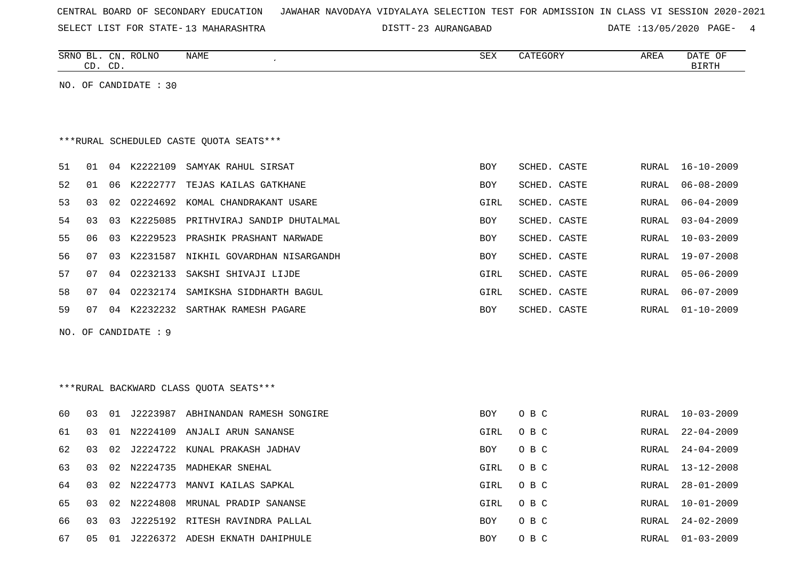|  |  |  |  | CENTRAL BOARD OF SECONDARY EDUCATION – JAWAHAR NAVODAYA VIDYALAYA SELECTION TEST FOR ADMISSION IN CLASS VI SESSION 2020-2021 |  |  |  |  |  |  |  |  |  |  |  |  |  |  |
|--|--|--|--|------------------------------------------------------------------------------------------------------------------------------|--|--|--|--|--|--|--|--|--|--|--|--|--|--|
|--|--|--|--|------------------------------------------------------------------------------------------------------------------------------|--|--|--|--|--|--|--|--|--|--|--|--|--|--|

SELECT LIST FOR STATE- DISTT- 13 MAHARASHTRA

DISTT-23 AURANGABAD DATE :13/05/2020 PAGE- 4

|    |    | CD. CD. | SRNO BL. CN. ROLNO      | NAME                                    | <b>SEX</b> | CATEGORY     | AREA          | DATE OF<br><b>BIRTH</b> |
|----|----|---------|-------------------------|-----------------------------------------|------------|--------------|---------------|-------------------------|
|    |    |         | NO. OF CANDIDATE $: 30$ |                                         |            |              |               |                         |
|    |    |         |                         |                                         |            |              |               |                         |
|    |    |         |                         |                                         |            |              |               |                         |
|    |    |         |                         | ***RURAL SCHEDULED CASTE QUOTA SEATS*** |            |              |               |                         |
| 51 | 01 | 04      | K2222109                | SAMYAK RAHUL SIRSAT                     | BOY        | SCHED. CASTE | RURAL         | $16 - 10 - 2009$        |
| 52 | 01 | 06      | K2222777                | TEJAS KAILAS GATKHANE                   | BOY        | SCHED. CASTE | ${\tt RURAL}$ | $06 - 08 - 2009$        |
| 53 | 03 | 02      |                         | 02224692 KOMAL CHANDRAKANT USARE        | GIRL       | SCHED. CASTE | <b>RURAL</b>  | $06 - 04 - 2009$        |
| 54 | 03 | 03      | K2225085                | PRITHVIRAJ SANDIP DHUTALMAL             | BOY        | SCHED. CASTE | RURAL         | $03 - 04 - 2009$        |
| 55 | 06 | 03      | K2229523                | PRASHIK PRASHANT NARWADE                | BOY        | SCHED. CASTE | RURAL         | $10 - 03 - 2009$        |
| 56 | 07 | 03      | K2231587                | NIKHIL GOVARDHAN NISARGANDH             | <b>BOY</b> | SCHED. CASTE | <b>RURAL</b>  | $19 - 07 - 2008$        |
| 57 | 07 | 04      | 02232133                | SAKSHI SHIVAJI LIJDE                    | GIRL       | SCHED. CASTE | <b>RURAL</b>  | $05 - 06 - 2009$        |
| 58 | 07 | 04      |                         | 02232174 SAMIKSHA SIDDHARTH BAGUL       | GIRL       | SCHED. CASTE | RURAL         | $06 - 07 - 2009$        |
| 59 | 07 | 04      |                         | K2232232 SARTHAK RAMESH PAGARE          | BOY        | SCHED. CASTE | RURAL         | $01 - 10 - 2009$        |
|    |    |         | NO. OF CANDIDATE : 9    |                                         |            |              |               |                         |
|    |    |         |                         |                                         |            |              |               |                         |
|    |    |         |                         |                                         |            |              |               |                         |
|    |    |         |                         | *** RURAL BACKWARD CLASS QUOTA SEATS*** |            |              |               |                         |
| 60 | 03 |         |                         | 01 J2223987 ABHINANDAN RAMESH SONGIRE   | BOY        | O B C        | RURAL         | 10-03-2009              |
| 61 | 03 | 01      |                         | N2224109 ANJALI ARUN SANANSE            | GIRL       | O B C        | RURAL         | $22 - 04 - 2009$        |
| 62 | 03 | 02      |                         | J2224722 KUNAL PRAKASH JADHAV           | <b>BOY</b> | O B C        | RURAL         | $24 - 04 - 2009$        |
| 63 | 03 | 02      |                         | N2224735 MADHEKAR SNEHAL                | GIRL       | O B C        | RURAL         | $13 - 12 - 2008$        |
| 64 | 03 | 02      | N2224773                | MANVI KAILAS SAPKAL                     | GIRL       | O B C        | RURAL         | $28 - 01 - 2009$        |
| 65 | 03 | 02      | N2224808                | MRUNAL PRADIP SANANSE                   | GIRL       | O B C        | RURAL         | $10 - 01 - 2009$        |
| 66 | 03 | 03      |                         | J2225192 RITESH RAVINDRA PALLAL         | <b>BOY</b> | O B C        | RURAL         | $24 - 02 - 2009$        |
| 67 | 05 |         |                         | 01 J2226372 ADESH EKNATH DAHIPHULE      | <b>BOY</b> | O B C        | RURAL         | $01 - 03 - 2009$        |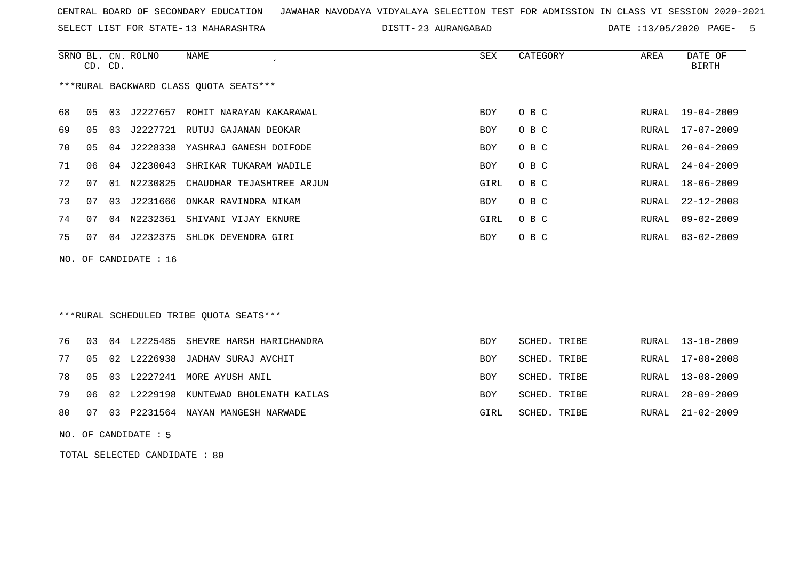SELECT LIST FOR STATE- DISTT- 13 MAHARASHTRA

DISTT-23 AURANGABAD DATE :13/05/2020 PAGE- 5

RURAL 13-08-2009

SCHED. TRIBE RURAL 28-09-2009

|    |                | CD. CD. | SRNO BL. CN. ROLNO    | NAME                                    | <b>SEX</b> | CATEGORY     | AREA  | DATE OF<br><b>BIRTH</b> |
|----|----------------|---------|-----------------------|-----------------------------------------|------------|--------------|-------|-------------------------|
|    |                |         |                       | ***RURAL BACKWARD CLASS OUOTA SEATS***  |            |              |       |                         |
| 68 | 0 <sub>5</sub> | 03      | J2227657              | ROHIT NARAYAN KAKARAWAL                 | <b>BOY</b> | O B C        | RURAL | $19 - 04 - 2009$        |
| 69 | 0 <sub>5</sub> | 03      | J2227721              | RUTUJ GAJANAN DEOKAR                    | <b>BOY</b> | O B C        | RURAL | $17 - 07 - 2009$        |
| 70 | 05             | 04      | J2228338              | YASHRAJ GANESH DOIFODE                  | <b>BOY</b> | O B C        | RURAL | $20 - 04 - 2009$        |
| 71 | 06             |         | 04 J2230043           | SHRIKAR TUKARAM WADILE                  | BOY        | O B C        | RURAL | $24 - 04 - 2009$        |
| 72 | 07             | 01      | N2230825              | CHAUDHAR TEJASHTREE ARJUN               | GIRL       | O B C        | RURAL | $18 - 06 - 2009$        |
| 73 | 07             | 03      | J2231666              | ONKAR RAVINDRA NIKAM                    | BOY        | O B C        | RURAL | $22 - 12 - 2008$        |
| 74 | 07             | 04      | N2232361              | SHIVANI VIJAY EKNURE                    | GIRL       | O B C        | RURAL | $09 - 02 - 2009$        |
| 75 | 07             |         | 04 J2232375           | SHLOK DEVENDRA GIRI                     | BOY        | O B C        | RURAL | $03 - 02 - 2009$        |
|    |                |         | NO. OF CANDIDATE : 16 |                                         |            |              |       |                         |
|    |                |         |                       |                                         |            |              |       |                         |
|    |                |         |                       |                                         |            |              |       |                         |
|    |                |         |                       | ***RURAL SCHEDULED TRIBE OUOTA SEATS*** |            |              |       |                         |
| 76 | 03             |         | 04 L2225485           | SHEVRE HARSH HARICHANDRA                | <b>BOY</b> | SCHED. TRIBE | RURAL | $13 - 10 - 2009$        |
| 77 | 05             | 02      | L2226938              | JADHAV SURAJ AVCHIT                     | <b>BOY</b> | SCHED. TRIBE | RURAL | $17 - 08 - 2008$        |

- 
- 78 05 03 L2227241 MORE AYUSH ANIL BOY SCHED. TRIBE RURAL 13-08-2009
- 79 06 02 L2229198 KUNTEWAD BHOLENATH KAILAS STARBE ROY
- 80 07 03 P2231564 NAYAN MANGESH NARWADE GIRL SCHED. TRIBE RURAL 21-02-2009
- NO. OF CANDIDATE : 5

TOTAL SELECTED CANDIDATE : 80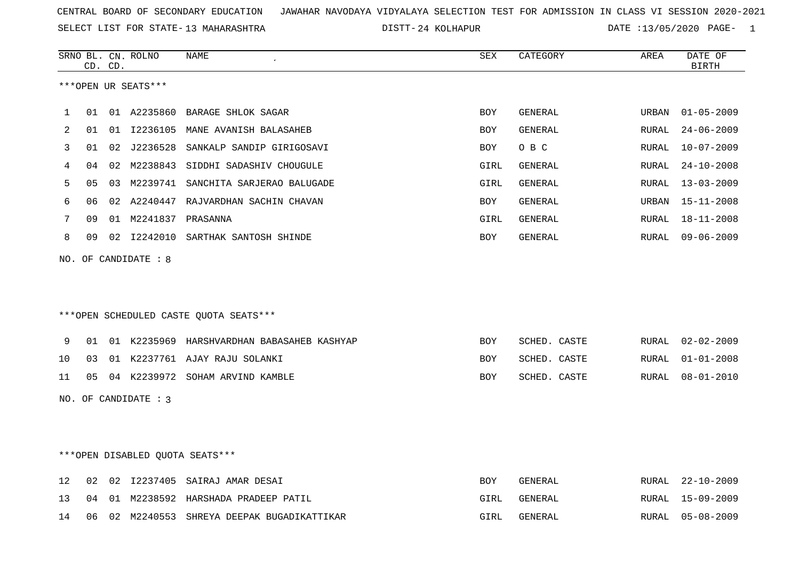SELECT LIST FOR STATE- DISTT- 13 MAHARASHTRA

24 KOLHAPUR DATE :13/05/2020 PAGE- 1

|    | CD. CD. |    | SRNO BL. CN. ROLNO   | <b>NAME</b>                                 | <b>SEX</b> | CATEGORY       | AREA  | DATE OF<br><b>BIRTH</b> |
|----|---------|----|----------------------|---------------------------------------------|------------|----------------|-------|-------------------------|
|    |         |    | ***OPEN UR SEATS***  |                                             |            |                |       |                         |
| 1  | 01      |    |                      | 01 A2235860 BARAGE SHLOK SAGAR              | <b>BOY</b> | GENERAL        | URBAN | $01 - 05 - 2009$        |
| 2  | 01      |    |                      | 01 I2236105 MANE AVANISH BALASAHEB          | <b>BOY</b> | GENERAL        | RURAL | $24 - 06 - 2009$        |
| 3  | 01      | 02 | J2236528             | SANKALP SANDIP GIRIGOSAVI                   | <b>BOY</b> | O B C          | RURAL | $10 - 07 - 2009$        |
| 4  | 04      |    |                      | 02 M2238843 SIDDHI SADASHIV CHOUGULE        | GIRL       | GENERAL        | RURAL | $24 - 10 - 2008$        |
| 5  | 05      | 03 |                      | M2239741 SANCHITA SARJERAO BALUGADE         | GIRL       | GENERAL        | RURAL | $13 - 03 - 2009$        |
| 6  | 06      |    |                      | 02 A2240447 RAJVARDHAN SACHIN CHAVAN        | BOY        | <b>GENERAL</b> | URBAN | $15 - 11 - 2008$        |
| 7  | 09      |    | 01 M2241837 PRASANNA |                                             | GIRL       | GENERAL        | RURAL | $18 - 11 - 2008$        |
| 8  | 09      |    |                      | 02 I2242010 SARTHAK SANTOSH SHINDE          | BOY        | GENERAL        | RURAL | $09 - 06 - 2009$        |
|    |         |    |                      | ***OPEN SCHEDULED CASTE QUOTA SEATS***      |            |                |       |                         |
| 9  | 01      |    |                      | 01 K2235969 HARSHVARDHAN BABASAHEB KASHYAP  | <b>BOY</b> | SCHED. CASTE   | RURAL | $02 - 02 - 2009$        |
| 10 | 03      |    |                      | 01 K2237761 AJAY RAJU SOLANKI               | BOY        | SCHED. CASTE   | RURAL | $01 - 01 - 2008$        |
| 11 |         |    |                      | 05 04 K2239972 SOHAM ARVIND KAMBLE          | <b>BOY</b> | SCHED. CASTE   | RURAL | $08 - 01 - 2010$        |
|    |         |    | NO. OF CANDIDATE : 3 |                                             |            |                |       |                         |
|    |         |    |                      | ***OPEN DISABLED QUOTA SEATS***             |            |                |       |                         |
| 12 | 02      |    |                      | 02 I2237405 SAIRAJ AMAR DESAI               | BOY        | GENERAL        | RURAL | $22 - 10 - 2009$        |
| 13 | 04      |    |                      | 01 M2238592 HARSHADA PRADEEP PATIL          | GIRL       | GENERAL        | RURAL | $15 - 09 - 2009$        |
| 14 |         |    |                      | 06 02 M2240553 SHREYA DEEPAK BUGADIKATTIKAR | GIRL       | <b>GENERAL</b> | RURAL | $05 - 08 - 2009$        |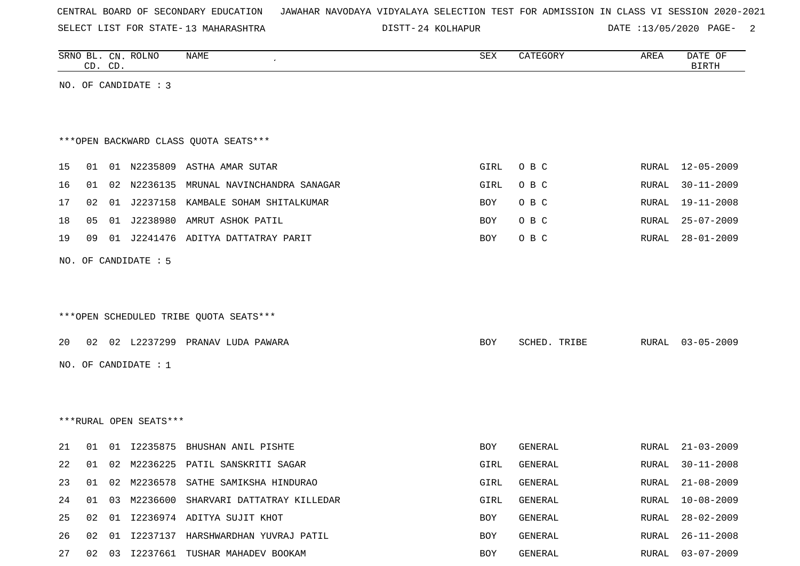SELECT LIST FOR STATE- DISTT- 13 MAHARASHTRA

DISTT-24 KOLHAPUR DATE :13/05/2020 PAGE- 2

|          |    | CD. CD. | SRNO BL. CN. ROLNO     | NAME                                                                | SEX        | CATEGORY           | AREA           | DATE OF<br><b>BIRTH</b>              |
|----------|----|---------|------------------------|---------------------------------------------------------------------|------------|--------------------|----------------|--------------------------------------|
|          |    |         | NO. OF CANDIDATE : 3   |                                                                     |            |                    |                |                                      |
|          |    |         |                        |                                                                     |            |                    |                |                                      |
|          |    |         |                        |                                                                     |            |                    |                |                                      |
|          |    |         |                        | *** OPEN BACKWARD CLASS QUOTA SEATS***                              |            |                    |                |                                      |
|          |    |         |                        |                                                                     |            |                    |                |                                      |
| 15       | 01 |         |                        | 01 N2235809 ASTHA AMAR SUTAR                                        | GIRL       | O B C              | RURAL          | 12-05-2009                           |
| 16       | 01 |         |                        | 02 N2236135 MRUNAL NAVINCHANDRA SANAGAR                             | GIRL       | O B C              | RURAL          | $30 - 11 - 2009$                     |
| 17       | 02 |         |                        | 01 J2237158 KAMBALE SOHAM SHITALKUMAR                               | BOY        | O B C              | RURAL          | $19 - 11 - 2008$                     |
| 18       | 05 |         | 01 J2238980            | AMRUT ASHOK PATIL                                                   | BOY        | O B C              | RURAL          | $25 - 07 - 2009$                     |
| 19       | 09 |         |                        | 01 J2241476 ADITYA DATTATRAY PARIT                                  | BOY        | O B C              | RURAL          | $28 - 01 - 2009$                     |
|          |    |         | NO. OF CANDIDATE : 5   |                                                                     |            |                    |                |                                      |
|          |    |         |                        |                                                                     |            |                    |                |                                      |
|          |    |         |                        |                                                                     |            |                    |                |                                      |
|          |    |         |                        | ***OPEN SCHEDULED TRIBE QUOTA SEATS***                              |            |                    |                |                                      |
| 20       | 02 |         |                        | 02 L2237299 PRANAV LUDA PAWARA                                      | BOY        | SCHED. TRIBE       | RURAL          | $03 - 05 - 2009$                     |
|          |    |         |                        |                                                                     |            |                    |                |                                      |
|          |    |         | NO. OF CANDIDATE : 1   |                                                                     |            |                    |                |                                      |
|          |    |         |                        |                                                                     |            |                    |                |                                      |
|          |    |         |                        |                                                                     |            |                    |                |                                      |
|          |    |         | ***RURAL OPEN SEATS*** |                                                                     |            |                    |                |                                      |
| 21       | 01 | 01      | I2235875               | BHUSHAN ANIL PISHTE                                                 | BOY        | <b>GENERAL</b>     | RURAL          | $21 - 03 - 2009$                     |
| 22       | 01 |         |                        | 02 M2236225 PATIL SANSKRITI SAGAR                                   | GIRL       | GENERAL            | RURAL          | $30 - 11 - 2008$                     |
| 23       | 01 |         |                        | 02 M2236578 SATHE SAMIKSHA HINDURAO                                 | GIRL       | GENERAL            | RURAL          | $21 - 08 - 2009$                     |
| 24       | 01 | 03      |                        | M2236600 SHARVARI DATTATRAY KILLEDAR                                | GIRL       | GENERAL            | RURAL          | $10 - 08 - 2009$                     |
|          |    |         |                        |                                                                     |            |                    |                |                                      |
|          | 02 |         |                        |                                                                     |            |                    |                |                                      |
| 25<br>26 | 02 | 01      |                        | 01 I2236974 ADITYA SUJIT KHOT<br>I2237137 HARSHWARDHAN YUVRAJ PATIL | BOY<br>BOY | GENERAL<br>GENERAL | RURAL<br>RURAL | $28 - 02 - 2009$<br>$26 - 11 - 2008$ |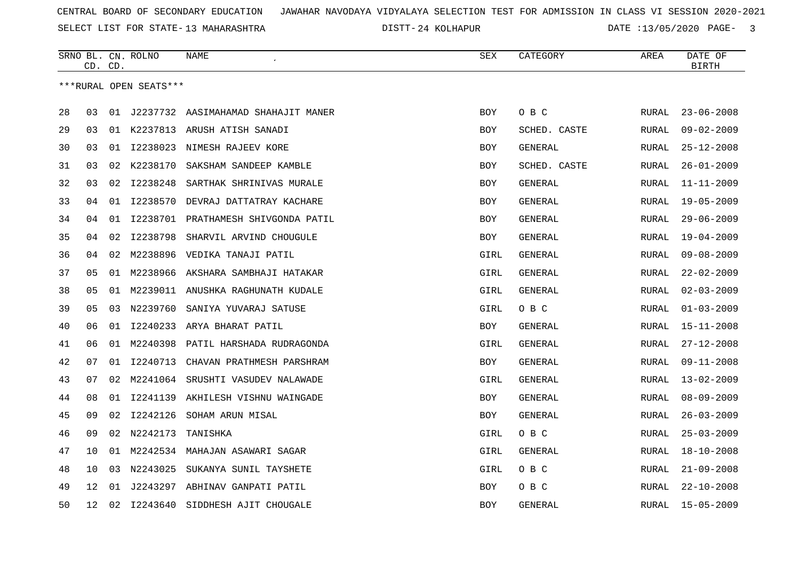SELECT LIST FOR STATE- DISTT- 13 MAHARASHTRA

24 KOLHAPUR DATE :13/05/2020 PAGE- 3

|    | CD. CD. |    | SRNO BL. CN. ROLNO     | NAME                                   | SEX        | CATEGORY       | AREA          | DATE OF<br><b>BIRTH</b> |
|----|---------|----|------------------------|----------------------------------------|------------|----------------|---------------|-------------------------|
|    |         |    | ***RURAL OPEN SEATS*** |                                        |            |                |               |                         |
| 28 | 03      |    |                        | 01 J2237732 AASIMAHAMAD SHAHAJIT MANER | BOY        | O B C          | RURAL         | $23 - 06 - 2008$        |
| 29 | 03      |    |                        | 01 K2237813 ARUSH ATISH SANADI         | <b>BOY</b> | SCHED. CASTE   | RURAL         | $09 - 02 - 2009$        |
| 30 | 03      | 01 |                        | 12238023 NIMESH RAJEEV KORE            | <b>BOY</b> | GENERAL        | RURAL         | $25 - 12 - 2008$        |
| 31 | 03      | 02 | K2238170               | SAKSHAM SANDEEP KAMBLE                 | <b>BOY</b> | SCHED. CASTE   | RURAL         | $26 - 01 - 2009$        |
| 32 | 03      | 02 | I2238248               | SARTHAK SHRINIVAS MURALE               | <b>BOY</b> | GENERAL        | RURAL         | $11 - 11 - 2009$        |
| 33 | 04      | 01 | I2238570               | DEVRAJ DATTATRAY KACHARE               | <b>BOY</b> | GENERAL        | RURAL         | $19 - 05 - 2009$        |
| 34 | 04      | 01 | I2238701               | PRATHAMESH SHIVGONDA PATIL             | BOY        | GENERAL        | RURAL         | $29 - 06 - 2009$        |
| 35 | 04      | 02 | I2238798               | SHARVIL ARVIND CHOUGULE                | BOY        | <b>GENERAL</b> | RURAL         | $19 - 04 - 2009$        |
| 36 | 04      | 02 |                        | M2238896 VEDIKA TANAJI PATIL           | GIRL       | GENERAL        | RURAL         | $09 - 08 - 2009$        |
| 37 | 05      |    |                        | 01 M2238966 AKSHARA SAMBHAJI HATAKAR   | GIRL       | GENERAL        | RURAL         | $22 - 02 - 2009$        |
| 38 | 05      |    |                        | 01 M2239011 ANUSHKA RAGHUNATH KUDALE   | GIRL       | <b>GENERAL</b> | RURAL         | $02 - 03 - 2009$        |
| 39 | 05      | 03 | N2239760               | SANIYA YUVARAJ SATUSE                  | GIRL       | O B C          | RURAL         | $01 - 03 - 2009$        |
| 40 | 06      | 01 |                        | I2240233 ARYA BHARAT PATIL             | BOY        | GENERAL        | RURAL         | $15 - 11 - 2008$        |
| 41 | 06      | 01 | M2240398               | PATIL HARSHADA RUDRAGONDA              | GIRL       | GENERAL        | RURAL         | $27 - 12 - 2008$        |
| 42 | 07      | 01 | I2240713               | CHAVAN PRATHMESH PARSHRAM              | BOY        | GENERAL        | RURAL         | $09 - 11 - 2008$        |
| 43 | 07      | 02 | M2241064               | SRUSHTI VASUDEV NALAWADE               | GIRL       | GENERAL        | RURAL         | $13 - 02 - 2009$        |
| 44 | 08      | 01 | I2241139               | AKHILESH VISHNU WAINGADE               | BOY        | <b>GENERAL</b> | RURAL         | $08 - 09 - 2009$        |
| 45 | 09      | 02 | I2242126               | SOHAM ARUN MISAL                       | BOY        | GENERAL        | RURAL         | $26 - 03 - 2009$        |
| 46 | 09      |    | 02 N2242173            | TANISHKA                               | GIRL       | O B C          | RURAL         | $25 - 03 - 2009$        |
| 47 | 10      |    |                        | 01 M2242534 MAHAJAN ASAWARI SAGAR      | GIRL       | GENERAL        | RURAL         | $18 - 10 - 2008$        |
| 48 | 10      | 03 | N2243025               | SUKANYA SUNIL TAYSHETE                 | GIRL       | O B C          | RURAL         | $21 - 09 - 2008$        |
| 49 | 12      | 01 |                        | J2243297 ABHINAV GANPATI PATIL         | BOY        | O B C          | RURAL         | $22 - 10 - 2008$        |
| 50 | 12      | 02 | I2243640               | SIDDHESH AJIT CHOUGALE                 | <b>BOY</b> | <b>GENERAL</b> | ${\tt RURAL}$ | $15 - 05 - 2009$        |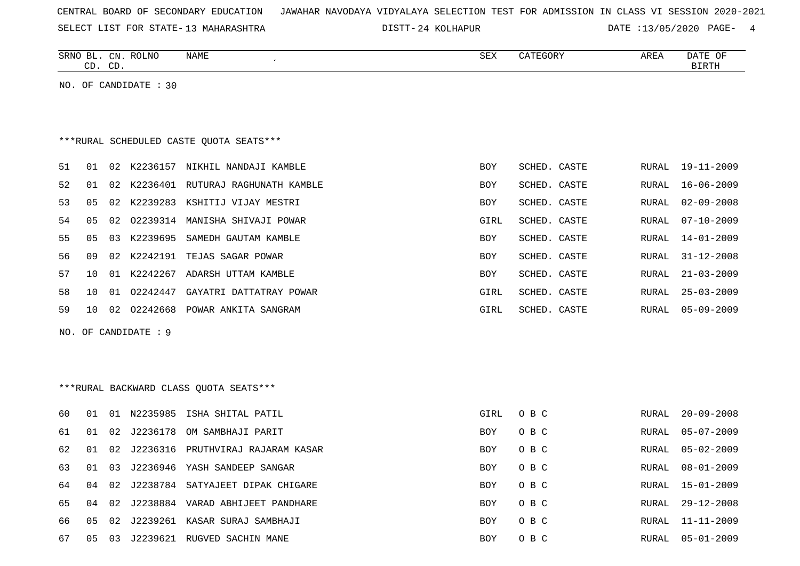| CENTRAL BOARD OF SECONDARY EDUCATION – JAWAHAR NAVODAYA VIDYALAYA SELECTION TEST FOR ADMISSION IN CLASS VI SESSION 2020-2021 |  |  |  |
|------------------------------------------------------------------------------------------------------------------------------|--|--|--|
|------------------------------------------------------------------------------------------------------------------------------|--|--|--|

SELECT LIST FOR STATE- DISTT- 13 MAHARASHTRA

DISTT-24 KOLHAPUR DATE :13/05/2020 PAGE- 4

|    |    | CD. CD. | SRNO BL. CN. ROLNO    | NAME                                    | SEX        | CATEGORY     | AREA         | DATE OF<br><b>BIRTH</b> |
|----|----|---------|-----------------------|-----------------------------------------|------------|--------------|--------------|-------------------------|
|    |    |         | NO. OF CANDIDATE : 30 |                                         |            |              |              |                         |
|    |    |         |                       |                                         |            |              |              |                         |
|    |    |         |                       |                                         |            |              |              |                         |
|    |    |         |                       | ***RURAL SCHEDULED CASTE QUOTA SEATS*** |            |              |              |                         |
| 51 | 01 |         |                       | 02 K2236157 NIKHIL NANDAJI KAMBLE       | <b>BOY</b> | SCHED. CASTE | RURAL        | $19 - 11 - 2009$        |
| 52 | 01 |         |                       | 02 K2236401 RUTURAJ RAGHUNATH KAMBLE    | <b>BOY</b> | SCHED. CASTE | RURAL        | $16 - 06 - 2009$        |
| 53 | 05 |         |                       | 02 K2239283 KSHITIJ VIJAY MESTRI        | BOY        | SCHED. CASTE | <b>RURAL</b> | $02 - 09 - 2008$        |
| 54 | 05 | 02      |                       | 02239314 MANISHA SHIVAJI POWAR          | GIRL       | SCHED. CASTE | RURAL        | $07 - 10 - 2009$        |
| 55 | 05 | 03      |                       | K2239695 SAMEDH GAUTAM KAMBLE           | <b>BOY</b> | SCHED. CASTE | RURAL        | $14 - 01 - 2009$        |
| 56 | 09 | 02      |                       | K2242191 TEJAS SAGAR POWAR              | BOY        | SCHED. CASTE | RURAL        | $31 - 12 - 2008$        |
| 57 | 10 |         |                       | 01 K2242267 ADARSH UTTAM KAMBLE         | <b>BOY</b> | SCHED. CASTE | RURAL        | $21 - 03 - 2009$        |
| 58 | 10 |         |                       | 01 02242447 GAYATRI DATTATRAY POWAR     | GIRL       | SCHED. CASTE | RURAL        | $25 - 03 - 2009$        |
| 59 | 10 |         |                       | 02 02242668 POWAR ANKITA SANGRAM        | GIRL       | SCHED. CASTE | RURAL        | $05 - 09 - 2009$        |
|    |    |         | NO. OF CANDIDATE : 9  |                                         |            |              |              |                         |
|    |    |         |                       |                                         |            |              |              |                         |
|    |    |         |                       |                                         |            |              |              |                         |
|    |    |         |                       | ***RURAL BACKWARD CLASS QUOTA SEATS***  |            |              |              |                         |
|    |    |         |                       |                                         |            |              |              |                         |
| 60 | 01 |         |                       | 01 N2235985 ISHA SHITAL PATIL           | GIRL       | O B C        | RURAL        | $20 - 09 - 2008$        |
| 61 | 01 | 02      | J2236178              | OM SAMBHAJI PARIT                       | BOY        | O B C        | RURAL        | $05 - 07 - 2009$        |
| 62 | 01 | 02      | J2236316              | PRUTHVIRAJ RAJARAM KASAR                | BOY        | O B C        | RURAL        | $05 - 02 - 2009$        |
| 63 | 01 | 03      |                       | J2236946 YASH SANDEEP SANGAR            | <b>BOY</b> | O B C        | <b>RURAL</b> | $08 - 01 - 2009$        |
| 64 | 04 | 02      |                       | J2238784 SATYAJEET DIPAK CHIGARE        | <b>BOY</b> | O B C        | RURAL        | $15 - 01 - 2009$        |
| 65 | 04 | 02      |                       | J2238884 VARAD ABHIJEET PANDHARE        | <b>BOY</b> | O B C        | RURAL        | $29 - 12 - 2008$        |
| 66 | 05 | 02      |                       | J2239261 KASAR SURAJ SAMBHAJI           | <b>BOY</b> | O B C        | RURAL        | $11 - 11 - 2009$        |
| 67 |    |         |                       | 05 03 J2239621 RUGVED SACHIN MANE       | <b>BOY</b> | O B C        | RURAL        | $05 - 01 - 2009$        |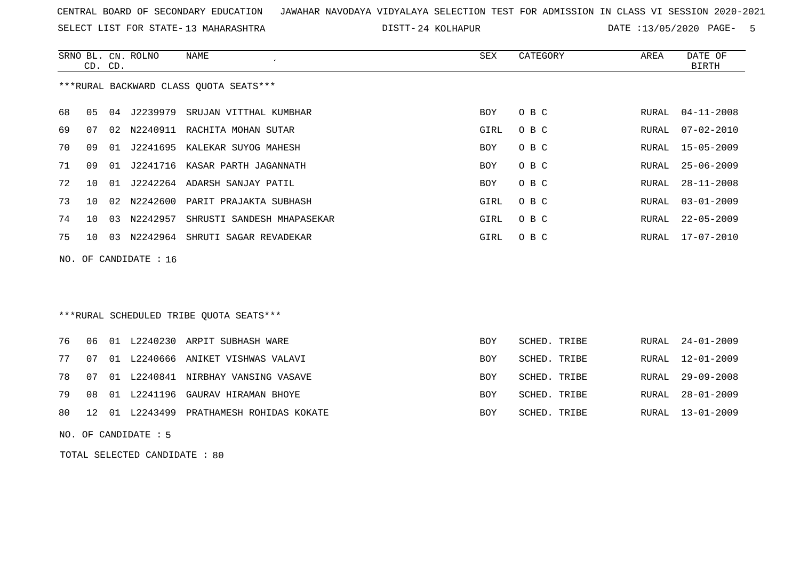SELECT LIST FOR STATE- DISTT- 13 MAHARASHTRA

DISTT-24 KOLHAPUR DATE :13/05/2020 PAGE- 5

|     | CD. CD.        |                 | SRNO BL. CN. ROLNO | NAME<br>$\epsilon$                      | SEX        | CATEGORY | AREA  | DATE OF<br><b>BIRTH</b> |
|-----|----------------|-----------------|--------------------|-----------------------------------------|------------|----------|-------|-------------------------|
|     |                |                 |                    | *** RURAL BACKWARD CLASS QUOTA SEATS*** |            |          |       |                         |
| 68  | 0 <sub>5</sub> | 04              |                    | J2239979 SRUJAN VITTHAL KUMBHAR         | <b>BOY</b> | O B C    | RURAL | $04 - 11 - 2008$        |
| 69  | 07             | 02              |                    | N2240911 RACHITA MOHAN SUTAR            | GIRL       | O B C    | RURAL | $07 - 02 - 2010$        |
| 70  | 09             | 01              |                    | J2241695 KALEKAR SUYOG MAHESH           | <b>BOY</b> | O B C    | RURAL | $15 - 05 - 2009$        |
| 71  | 09             | 01              |                    | J2241716 KASAR PARTH JAGANNATH          | BOY        | O B C    | RURAL | $25 - 06 - 2009$        |
| 72  | 10             | 01              |                    | J2242264 ADARSH SANJAY PATIL            | BOY        | O B C    | RURAL | $28 - 11 - 2008$        |
| 73  | 10             | 02 <sub>o</sub> | N2242600           | PARIT PRAJAKTA SUBHASH                  | GIRL       | O B C    | RURAL | $03 - 01 - 2009$        |
| 74  | 10             | 03              | N2242957           | SHRUSTI SANDESH MHAPASEKAR              | GIRL       | O B C    | RURAL | $22 - 05 - 2009$        |
| 75  | 10             | 03              | N2242964           | SHRUTI SAGAR REVADEKAR                  | GIRL       | O B C    | RURAL | $17 - 07 - 2010$        |
| NO. |                |                 | OF CANDIDATE : 16  |                                         |            |          |       |                         |
|     |                |                 |                    |                                         |            |          |       |                         |
|     |                |                 |                    |                                         |            |          |       |                         |
|     |                |                 |                    | ***RURAL SCHEDULED TRIBE QUOTA SEATS*** |            |          |       |                         |

|  |  | 76 06 01 L2240230 ARPIT SUBHASH WARE        | BOY        | SCHED. TRIBE | RURAL 24-01-2009 |
|--|--|---------------------------------------------|------------|--------------|------------------|
|  |  | 77 07 01 L2240666 ANIKET VISHWAS VALAVI     | <b>BOY</b> | SCHED. TRIBE | RURAL 12-01-2009 |
|  |  | 78 07 01 L2240841 NIRBHAY VANSING VASAVE    | BOY        | SCHED. TRIBE | RURAL 29-09-2008 |
|  |  | 79 08 01 L2241196 GAURAV HIRAMAN BHOYE      | <b>BOY</b> | SCHED. TRIBE | RURAL 28-01-2009 |
|  |  | 80 12 01 L2243499 PRATHAMESH ROHIDAS KOKATE | <b>BOY</b> | SCHED. TRIBE | RURAL 13-01-2009 |

NO. OF CANDIDATE : 5

TOTAL SELECTED CANDIDATE : 80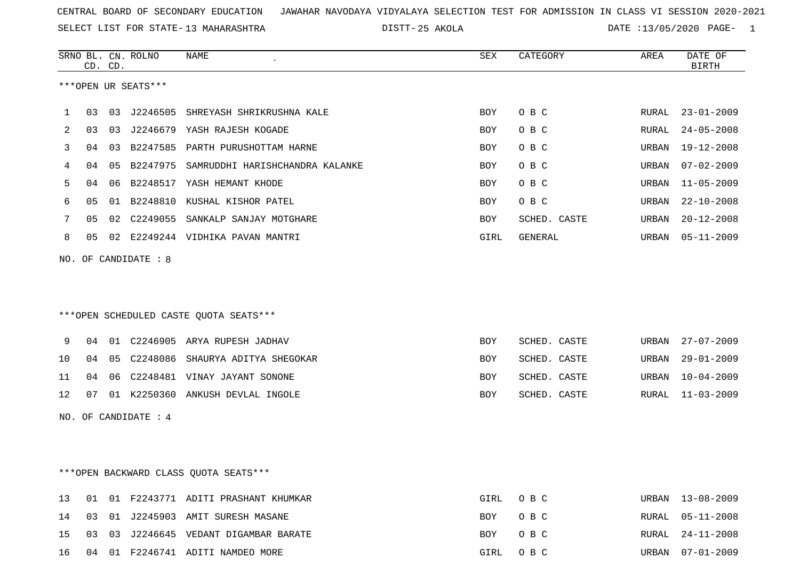SELECT LIST FOR STATE- DISTT- 13 MAHARASHTRA

25 AKOLA DATE :13/05/2020 PAGE- 1

|    |                        |         | SRNO BL. CN. ROLNO | NAME                            | SEX  | CATEGORY     | AREA  | DATE OF          |  |  |
|----|------------------------|---------|--------------------|---------------------------------|------|--------------|-------|------------------|--|--|
|    |                        | CD. CD. |                    |                                 |      |              |       | BIRTH            |  |  |
|    | ***OPEN UR SEATS***    |         |                    |                                 |      |              |       |                  |  |  |
|    | 03                     | 03      | J2246505           | SHREYASH SHRIKRUSHNA KALE       | BOY  | O B C        | RURAL | $23 - 01 - 2009$ |  |  |
| 2  | 03                     | 03      | J2246679           | YASH RAJESH KOGADE              | BOY  | O B C        | RURAL | $24 - 05 - 2008$ |  |  |
| 3  | 04                     | 03      | B2247585           | PARTH PURUSHOTTAM HARNE         | BOY  | O B C        | URBAN | 19-12-2008       |  |  |
| 4  | 04                     | 05      | B2247975           | SAMRUDDHI HARISHCHANDRA KALANKE | BOY  | O B C        | URBAN | $07 - 02 - 2009$ |  |  |
| 5. | 04                     | 06      |                    | B2248517 YASH HEMANT KHODE      | BOY  | O B C        | URBAN | $11 - 05 - 2009$ |  |  |
| 6  | 05                     |         |                    | 01 B2248810 KUSHAL KISHOR PATEL | BOY  | O B C        | URBAN | $22 - 10 - 2008$ |  |  |
|    | 05                     |         | 02 C2249055        | SANKALP SANJAY MOTGHARE         | BOY  | SCHED. CASTE | URBAN | $20 - 12 - 2008$ |  |  |
| 8  | 05                     | 02      | E2249244           | VIDHIKA PAVAN MANTRI            | GIRL | GENERAL      | URBAN | 05-11-2009       |  |  |
|    | NO. OF CANDIDATE $: 8$ |         |                    |                                 |      |              |       |                  |  |  |

### \*\*\*OPEN SCHEDULED CASTE QUOTA SEATS\*\*\*

|  |  | 9 04 01 C2246905 ARYA RUPESH JADHAV       | BOY        | SCHED. CASTE | URBAN 27-07-2009 |
|--|--|-------------------------------------------|------------|--------------|------------------|
|  |  | 10 04 05 C2248086 SHAURYA ADITYA SHEGOKAR | BOY        | SCHED. CASTE | URBAN 29-01-2009 |
|  |  | 11 04 06 C2248481 VINAY JAYANT SONONE     | BOY        | SCHED. CASTE | URBAN 10-04-2009 |
|  |  | 12 07 01 K2250360 ANKUSH DEVLAL INGOLE    | <b>BOY</b> | SCHED. CASTE | RURAL 11-03-2009 |

NO. OF CANDIDATE : 4

## \*\*\*OPEN BACKWARD CLASS QUOTA SEATS\*\*\*

|  |  | 13 01 01 F2243771 ADITI PRASHANT KHUMKAR | GIRL OBC | URBAN 13-08-2009 |
|--|--|------------------------------------------|----------|------------------|
|  |  | 14 03 01 J2245903 AMIT SURESH MASANE     | BOY OBC  | RURAL 05-11-2008 |
|  |  | 15 03 03 J2246645 VEDANT DIGAMBAR BARATE | BOY OBC  | RURAL 24-11-2008 |
|  |  | 16 04 01 F2246741 ADITI NAMDEO MORE      | GIRL OBC | URBAN 07-01-2009 |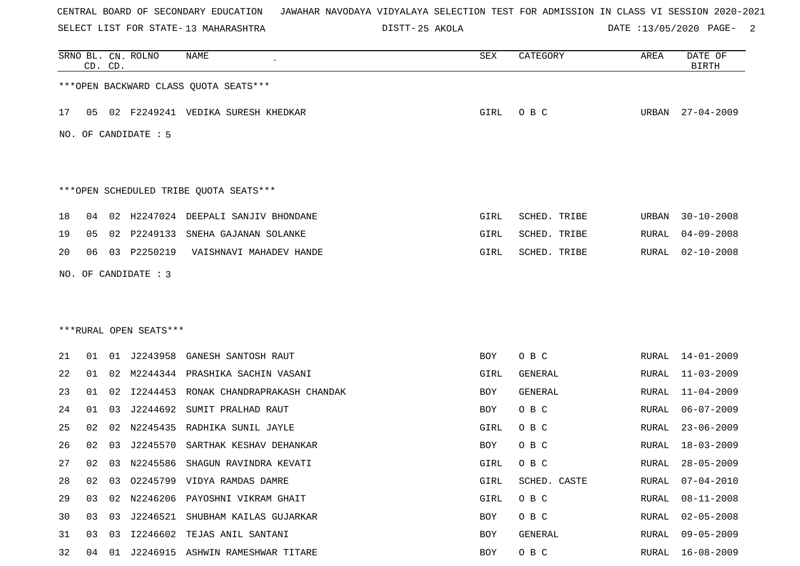SELECT LIST FOR STATE- DISTT- 13 MAHARASHTRA

25 AKOLA DATE :13/05/2020 PAGE- 2

|    |    | CD. CD. | SRNO BL. CN. ROLNO     | NAME                                   | SEX  | CATEGORY       | AREA         | DATE OF<br><b>BIRTH</b> |
|----|----|---------|------------------------|----------------------------------------|------|----------------|--------------|-------------------------|
|    |    |         |                        | *** OPEN BACKWARD CLASS QUOTA SEATS*** |      |                |              |                         |
| 17 | 05 |         |                        | 02 F2249241 VEDIKA SURESH KHEDKAR      | GIRL | O B C          |              | URBAN 27-04-2009        |
|    |    |         | NO. OF CANDIDATE : 5   |                                        |      |                |              |                         |
|    |    |         |                        |                                        |      |                |              |                         |
|    |    |         |                        | ***OPEN SCHEDULED TRIBE QUOTA SEATS*** |      |                |              |                         |
| 18 | 04 | 02      |                        | H2247024 DEEPALI SANJIV BHONDANE       | GIRL | SCHED. TRIBE   | URBAN        | $30 - 10 - 2008$        |
| 19 | 05 | 02      | P2249133               | SNEHA GAJANAN SOLANKE                  | GIRL | SCHED. TRIBE   | RURAL        | $04 - 09 - 2008$        |
| 20 | 06 |         | 03 P2250219            | VAISHNAVI MAHADEV HANDE                | GIRL | SCHED. TRIBE   | RURAL        | $02 - 10 - 2008$        |
|    |    |         | NO. OF CANDIDATE : 3   |                                        |      |                |              |                         |
|    |    |         |                        |                                        |      |                |              |                         |
|    |    |         |                        |                                        |      |                |              |                         |
|    |    |         | ***RURAL OPEN SEATS*** |                                        |      |                |              |                         |
| 21 | 01 |         | 01 J2243958            | GANESH SANTOSH RAUT                    | BOY  | O B C          | RURAL        | 14-01-2009              |
| 22 | 01 |         |                        | 02 M2244344 PRASHIKA SACHIN VASANI     | GIRL | GENERAL        | RURAL        | $11 - 03 - 2009$        |
| 23 | 01 | 02      | I2244453               | RONAK CHANDRAPRAKASH CHANDAK           | BOY  | <b>GENERAL</b> | RURAL        | $11 - 04 - 2009$        |
| 24 | 01 | 03      | J2244692               | SUMIT PRALHAD RAUT                     | BOY  | O B C          | RURAL        | $06 - 07 - 2009$        |
| 25 | 02 | 02      | N2245435               | RADHIKA SUNIL JAYLE                    | GIRL | O B C          | RURAL        | $23 - 06 - 2009$        |
| 26 | 02 | 03      | J2245570               | SARTHAK KESHAV DEHANKAR                | BOY  | O B C          | RURAL        | $18 - 03 - 2009$        |
| 27 | 02 | 03      |                        | N2245586 SHAGUN RAVINDRA KEVATI        | GIRL | O B C          | RURAL        | $28 - 05 - 2009$        |
| 28 | 02 | 03      |                        | 02245799 VIDYA RAMDAS DAMRE            | GIRL | SCHED. CASTE   | RURAL        | $07 - 04 - 2010$        |
| 29 | 03 | 02      |                        | N2246206 PAYOSHNI VIKRAM GHAIT         | GIRL | O B C          | RURAL        | $08 - 11 - 2008$        |
| 30 | 03 | 03      |                        | J2246521 SHUBHAM KAILAS GUJARKAR       | BOY  | O B C          | RURAL        | $02 - 05 - 2008$        |
| 31 | 03 | 03      |                        | I2246602 TEJAS ANIL SANTANI            | BOY  | GENERAL        | <b>RURAL</b> | $09 - 05 - 2009$        |
| 32 | 04 | 01      |                        | J2246915 ASHWIN RAMESHWAR TITARE       | BOY  | O B C          | RURAL        | $16 - 08 - 2009$        |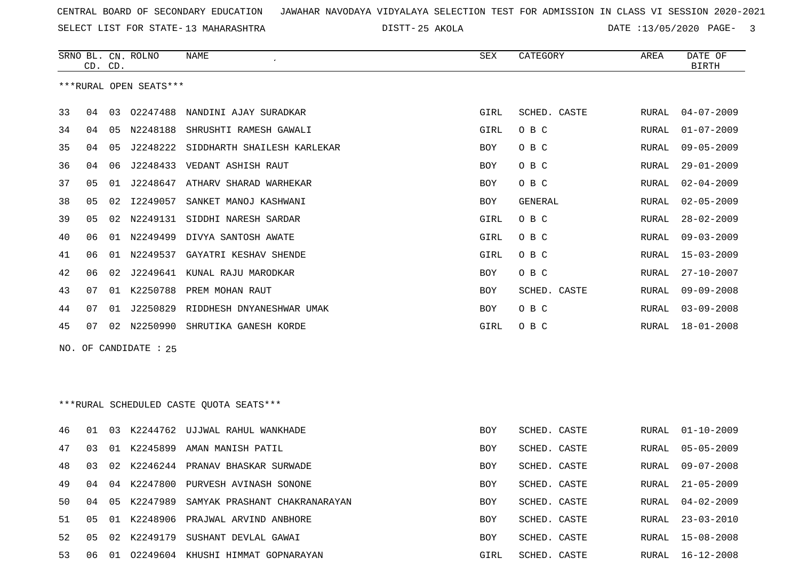SELECT LIST FOR STATE- DISTT- 13 MAHARASHTRA

25 AKOLA DATE :13/05/2020 PAGE- 3

|                        |      | CD. CD. | SRNO BL. CN. ROLNO    | NAME                                      | <b>SEX</b> | CATEGORY     | AREA  | DATE OF<br><b>BIRTH</b> |  |
|------------------------|------|---------|-----------------------|-------------------------------------------|------------|--------------|-------|-------------------------|--|
| ***RURAL OPEN SEATS*** |      |         |                       |                                           |            |              |       |                         |  |
| 33                     | 04   | 03      | 02247488              | NANDINI AJAY SURADKAR                     | GIRL       | SCHED. CASTE | RURAL | $04 - 07 - 2009$        |  |
| 34                     | 04   | 05      | N2248188              | SHRUSHTI RAMESH GAWALI                    | GIRL       | O B C        | RURAL | $01 - 07 - 2009$        |  |
| 35                     | 04   | 05      |                       | J2248222 SIDDHARTH SHAILESH KARLEKAR      | BOY        | O B C        | RURAL | $09 - 05 - 2009$        |  |
| 36                     | 04   | 06      | J2248433              | VEDANT ASHISH RAUT                        | BOY        | O B C        | RURAL | $29 - 01 - 2009$        |  |
| 37                     | 05   | 01      |                       | J2248647 ATHARV SHARAD WARHEKAR           | BOY        | O B C        | RURAL | $02 - 04 - 2009$        |  |
| 38                     | 05   | 02      | I2249057              | SANKET MANOJ KASHWANI                     | BOY        | GENERAL      | RURAL | $02 - 05 - 2009$        |  |
| 39                     | 05   | 02      |                       | N2249131 SIDDHI NARESH SARDAR             | GIRL       | O B C        | RURAL | $28 - 02 - 2009$        |  |
| 40                     | 06   |         |                       | 01 N2249499 DIVYA SANTOSH AWATE           | GIRL       | O B C        | RURAL | $09 - 03 - 2009$        |  |
| 41                     | 06   | 01      | N2249537              | GAYATRI KESHAV SHENDE                     | GIRL       | O B C        | RURAL | $15 - 03 - 2009$        |  |
| 42                     | 06   | 02      |                       | J2249641 KUNAL RAJU MARODKAR              | BOY        | O B C        | RURAL | $27 - 10 - 2007$        |  |
| 43                     | 07   | 01      | K2250788              | PREM MOHAN RAUT                           | BOY        | SCHED. CASTE | RURAL | $09 - 09 - 2008$        |  |
| 44                     | 07   | 01      |                       | J2250829 RIDDHESH DNYANESHWAR UMAK        | BOY        | O B C        | RURAL | $03 - 09 - 2008$        |  |
| 45                     | 07   |         | 02 N2250990           | SHRUTIKA GANESH KORDE                     | GIRL       | O B C        | RURAL | $18 - 01 - 2008$        |  |
|                        |      |         | NO. OF CANDIDATE : 25 |                                           |            |              |       |                         |  |
|                        |      |         |                       |                                           |            |              |       |                         |  |
|                        |      |         |                       |                                           |            |              |       |                         |  |
|                        |      |         |                       |                                           |            |              |       |                         |  |
|                        |      |         |                       | *** RURAL SCHEDULED CASTE QUOTA SEATS***  |            |              |       |                         |  |
| 46                     | 01   | 03      |                       | K2244762 UJJWAL RAHUL WANKHADE            | BOY        | SCHED. CASTE | RURAL | $01 - 10 - 2009$        |  |
| 47                     | 03   | 01      | K2245899              | AMAN MANISH PATIL                         | BOY        | SCHED. CASTE | RURAL | $05 - 05 - 2009$        |  |
| 48                     | 03   | 02      |                       | K2246244 PRANAV BHASKAR SURWADE           | BOY        | SCHED. CASTE | RURAL | $09 - 07 - 2008$        |  |
| 49                     | 04   |         |                       | 04 K2247800 PURVESH AVINASH SONONE        | BOY        | SCHED. CASTE | RURAL | $21 - 05 - 2009$        |  |
| 50                     | 04   |         |                       | 05 K2247989 SAMYAK PRASHANT CHAKRANARAYAN | BOY        | SCHED. CASTE | RURAL | $04 - 02 - 2009$        |  |
| 51                     | 05   |         |                       | 01 K2248906 PRAJWAL ARVIND ANBHORE        | BOY        | SCHED. CASTE | RURAL | $23 - 03 - 2010$        |  |
| 52                     | 05   | 02      | K2249179              | SUSHANT DEVLAL GAWAI                      | BOY        | SCHED. CASTE | RURAL | $15 - 08 - 2008$        |  |
| 53                     | 06 - |         |                       | 01 02249604 KHUSHI HIMMAT GOPNARAYAN      | GIRL       | SCHED. CASTE | RURAL | 16-12-2008              |  |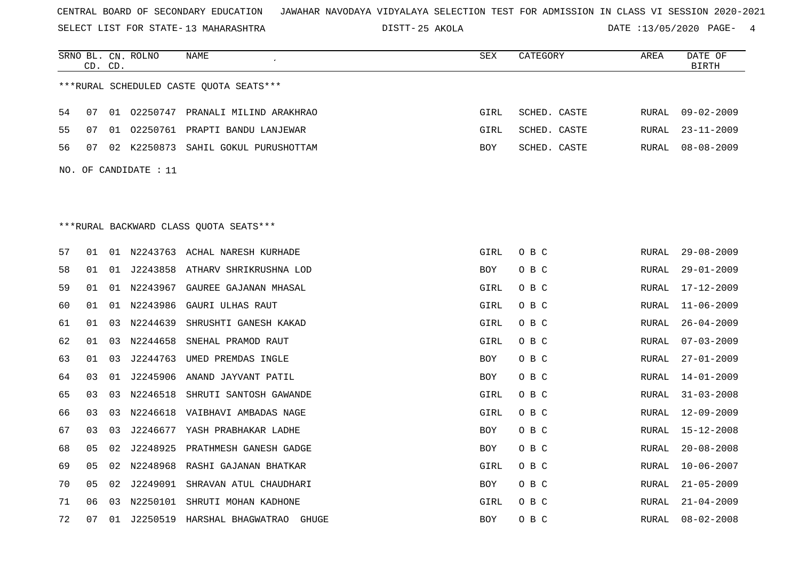SELECT LIST FOR STATE- DISTT- 13 MAHARASHTRA

25 AKOLA DATE :13/05/2020 PAGE- 4

|    |    | CD. CD. | SRNO BL. CN. ROLNO    | NAME<br>$\pmb{\cdot}$                   | SEX        | CATEGORY     | AREA         | DATE OF<br><b>BIRTH</b> |
|----|----|---------|-----------------------|-----------------------------------------|------------|--------------|--------------|-------------------------|
|    |    |         |                       | ***RURAL SCHEDULED CASTE QUOTA SEATS*** |            |              |              |                         |
| 54 | 07 |         |                       | 01 02250747 PRANALI MILIND ARAKHRAO     | GIRL       | SCHED. CASTE | RURAL        | $09 - 02 - 2009$        |
| 55 | 07 | 01      |                       | 02250761 PRAPTI BANDU LANJEWAR          | GIRL       | SCHED. CASTE | RURAL        | $23 - 11 - 2009$        |
| 56 | 07 |         |                       | 02 K2250873 SAHIL GOKUL PURUSHOTTAM     | BOY        | SCHED. CASTE | RURAL        | $08 - 08 - 2009$        |
|    |    |         | NO. OF CANDIDATE : 11 |                                         |            |              |              |                         |
|    |    |         |                       |                                         |            |              |              |                         |
|    |    |         |                       |                                         |            |              |              |                         |
|    |    |         |                       | ***RURAL BACKWARD CLASS QUOTA SEATS***  |            |              |              |                         |
| 57 | 01 |         |                       | 01 N2243763 ACHAL NARESH KURHADE        | GIRL       | O B C        | RURAL        | $29 - 08 - 2009$        |
|    | 01 |         |                       |                                         |            |              |              |                         |
| 58 |    | 01      | J2243858              | ATHARV SHRIKRUSHNA LOD                  | BOY        | O B C        | RURAL        | $29 - 01 - 2009$        |
| 59 | 01 | 01      | N2243967              | GAUREE GAJANAN MHASAL                   | GIRL       | O B C        | RURAL        | $17 - 12 - 2009$        |
| 60 | 01 |         | 01 N2243986           | GAURI ULHAS RAUT                        | GIRL       | O B C        | RURAL        | $11 - 06 - 2009$        |
| 61 | 01 | 03      | N2244639              | SHRUSHTI GANESH KAKAD                   | GIRL       | O B C        | RURAL        | $26 - 04 - 2009$        |
| 62 | 01 | 03      | N2244658              | SNEHAL PRAMOD RAUT                      | GIRL       | O B C        | RURAL        | $07 - 03 - 2009$        |
| 63 | 01 | 03      | J2244763              | UMED PREMDAS INGLE                      | BOY        | O B C        | RURAL        | $27 - 01 - 2009$        |
| 64 | 03 | 01      | J2245906              | ANAND JAYVANT PATIL                     | BOY        | O B C        | RURAL        | $14 - 01 - 2009$        |
| 65 | 03 | 03      | N2246518              | SHRUTI SANTOSH GAWANDE                  | GIRL       | O B C        | RURAL        | $31 - 03 - 2008$        |
| 66 | 03 | 03      | N2246618              | VAIBHAVI AMBADAS NAGE                   | GIRL       | O B C        | RURAL        | $12 - 09 - 2009$        |
| 67 | 03 | 03      | J2246677              | YASH PRABHAKAR LADHE                    | BOY        | O B C        | RURAL        | $15 - 12 - 2008$        |
| 68 | 05 | 02      | J2248925              | PRATHMESH GANESH GADGE                  | BOY        | O B C        | RURAL        | $20 - 08 - 2008$        |
| 69 | 05 | 02      | N2248968              | RASHI GAJANAN BHATKAR                   | GIRL       | O B C        | RURAL        | $10 - 06 - 2007$        |
| 70 | 05 | 02      | J2249091              | SHRAVAN ATUL CHAUDHARI                  | BOY        | O B C        | RURAL        | $21 - 05 - 2009$        |
| 71 | 06 | 03      | N2250101              | SHRUTI MOHAN KADHONE                    | GIRL       | O B C        | <b>RURAL</b> | $21 - 04 - 2009$        |
| 72 | 07 | 01      | J2250519              | HARSHAL BHAGWATRAO GHUGE                | <b>BOY</b> | O B C        | RURAL        | $08 - 02 - 2008$        |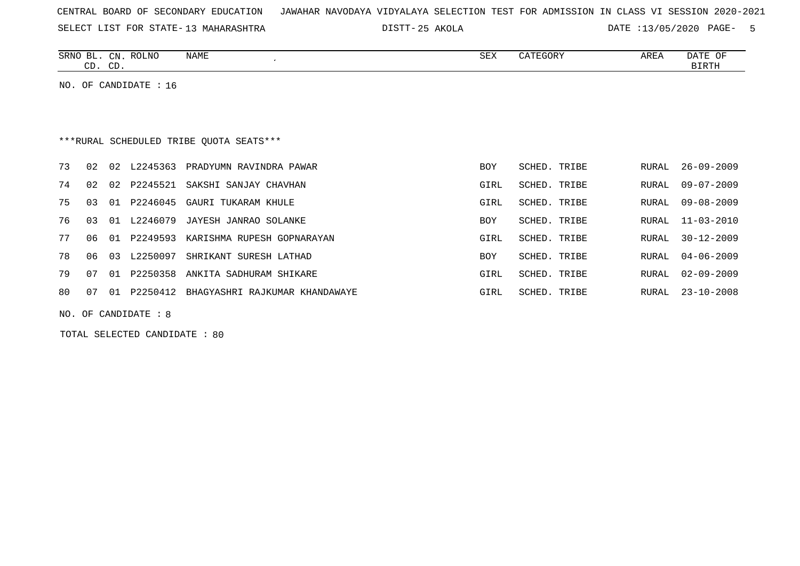|  |  |  |  | CENTRAL BOARD OF SECONDARY EDUCATION – JAWAHAR NAVODAYA VIDYALAYA SELECTION TEST FOR ADMISSION IN CLASS VI SESSION 2020-2021 |  |  |  |  |  |  |  |  |  |  |  |  |  |  |
|--|--|--|--|------------------------------------------------------------------------------------------------------------------------------|--|--|--|--|--|--|--|--|--|--|--|--|--|--|
|--|--|--|--|------------------------------------------------------------------------------------------------------------------------------|--|--|--|--|--|--|--|--|--|--|--|--|--|--|

25 AKOLA DATE :13/05/2020 PAGE- 5

| SRNO<br>--  | CN          | <b>ROLNO</b> | <b>NAME</b> | SEX | $\alpha$ <sup>n</sup> $\beta$<br>・・・・・・ フレフェー・ | <b>AREA</b> | <b>DATE</b><br>ΟF  |
|-------------|-------------|--------------|-------------|-----|------------------------------------------------|-------------|--------------------|
| $\sim$<br>ັ | $\cap$<br>◡ |              |             |     |                                                |             | נזיחים דם<br>DIKIL |

NO. OF CANDIDATE : 16

# \*\*\*RURAL SCHEDULED TRIBE QUOTA SEATS\*\*\*

| 73 | 02  | 02    | L2245363 | PRADYUMN RAVINDRA PAWAR        | BOY        | SCHED. TRIBE | RURAL | $26 - 09 - 2009$ |
|----|-----|-------|----------|--------------------------------|------------|--------------|-------|------------------|
| 74 | 02  | 02    | P2245521 | SAKSHI SANJAY CHAVHAN          | GIRL       | SCHED. TRIBE | RURAL | $09 - 07 - 2009$ |
| 75 | 03  | . O 1 | P2246045 | GAURI TUKARAM KHULE            | GIRL       | SCHED. TRIBE | RURAL | 09-08-2009       |
| 76 | 03  | 01    | L2246079 | JAYESH JANRAO SOLANKE          | <b>BOY</b> | SCHED. TRIBE | RURAL | $11 - 03 - 2010$ |
| 77 | 06. | 01    | P2249593 | KARISHMA RUPESH GOPNARAYAN     | GIRL       | SCHED. TRIBE | RURAL | 30-12-2009       |
| 78 | 06  | 03    | L2250097 | SHRIKANT SURESH LATHAD         | <b>BOY</b> | SCHED. TRIBE | RURAL | $04 - 06 - 2009$ |
| 79 | 07  | 01    | P2250358 | ANKITA SADHURAM SHIKARE        | GIRL       | SCHED. TRIBE | RURAL | $02 - 09 - 2009$ |
| 80 | 07  | 01    | P2250412 | BHAGYASHRI RAJKUMAR KHANDAWAYE | GIRL       | SCHED. TRIBE | RURAL | $23 - 10 - 2008$ |
|    |     |       |          |                                |            |              |       |                  |

NO. OF CANDIDATE : 8

TOTAL SELECTED CANDIDATE : 80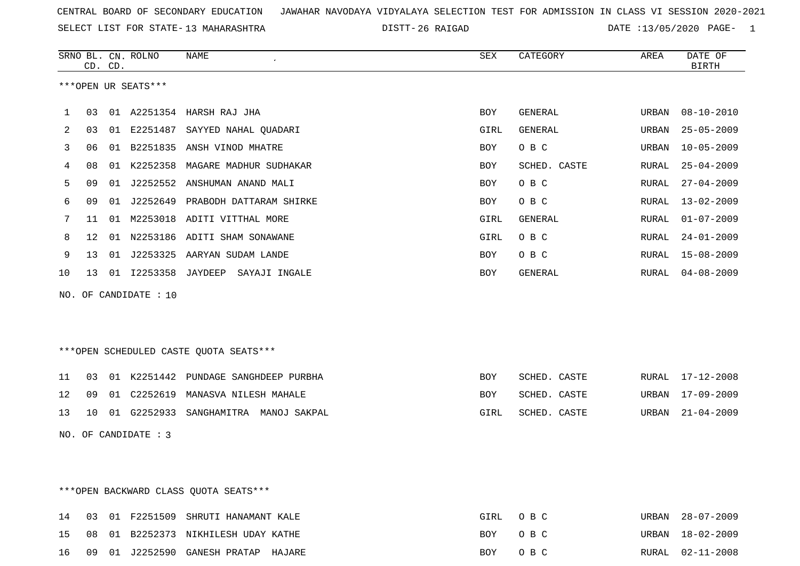SELECT LIST FOR STATE- DISTT- 13 MAHARASHTRA

26 RAIGAD DATE :13/05/2020 PAGE- 1

|    |    | CD. CD. | SRNO BL. CN. ROLNO     | <b>NAME</b>                             | <b>SEX</b> | CATEGORY       | AREA         | DATE OF<br><b>BIRTH</b> |
|----|----|---------|------------------------|-----------------------------------------|------------|----------------|--------------|-------------------------|
|    |    |         | ***OPEN UR SEATS***    |                                         |            |                |              |                         |
| 1  | 03 |         |                        | 01 A2251354 HARSH RAJ JHA               | <b>BOY</b> | GENERAL        | URBAN        | $08 - 10 - 2010$        |
| 2  | 03 |         |                        | 01 E2251487 SAYYED NAHAL OUADARI        | GIRL       | <b>GENERAL</b> | URBAN        | $25 - 05 - 2009$        |
| 3  | 06 | 01      |                        | B2251835 ANSH VINOD MHATRE              | BOY        | O B C          | URBAN        | $10 - 05 - 2009$        |
| 4  | 08 | 01      | K2252358               | MAGARE MADHUR SUDHAKAR                  | <b>BOY</b> | SCHED. CASTE   | <b>RURAL</b> | $25 - 04 - 2009$        |
| 5  | 09 | 01      |                        | J2252552 ANSHUMAN ANAND MALI            | BOY        | O B C          | RURAL        | $27 - 04 - 2009$        |
| 6  | 09 |         |                        | 01 J2252649 PRABODH DATTARAM SHIRKE     | BOY        | O B C          | RURAL        | $13 - 02 - 2009$        |
| 7  | 11 | 01      |                        | M2253018 ADITI VITTHAL MORE             | GIRL       | <b>GENERAL</b> | RURAL        | $01 - 07 - 2009$        |
| 8  | 12 | 01      |                        | N2253186 ADITI SHAM SONAWANE            | GIRL       | O B C          | RURAL        | $24 - 01 - 2009$        |
| 9  | 13 | 01      |                        | J2253325 AARYAN SUDAM LANDE             | BOY        | O B C          | RURAL        | $15 - 08 - 2009$        |
| 10 | 13 |         | 01 I2253358 JAYDEEP    | SAYAJI INGALE                           | BOY        | GENERAL        | RURAL        | $04 - 08 - 2009$        |
|    |    |         | NO. OF CANDIDATE : 10  |                                         |            |                |              |                         |
|    |    |         |                        |                                         |            |                |              |                         |
|    |    |         |                        |                                         |            |                |              |                         |
|    |    |         |                        | *** OPEN SCHEDULED CASTE QUOTA SEATS*** |            |                |              |                         |
| 11 | 03 |         |                        | 01 K2251442 PUNDAGE SANGHDEEP PURBHA    | <b>BOY</b> | SCHED. CASTE   | RURAL        | $17 - 12 - 2008$        |
| 12 | 09 | 01      | C2252619               | MANASVA NILESH MAHALE                   | <b>BOY</b> | SCHED. CASTE   | URBAN        | $17 - 09 - 2009$        |
| 13 | 10 |         | 01 G2252933            | SANGHAMITRA MANOJ SAKPAL                | GIRL       | SCHED. CASTE   | URBAN        | $21 - 04 - 2009$        |
|    |    |         | NO. OF CANDIDATE : $3$ |                                         |            |                |              |                         |

\*\*\*OPEN BACKWARD CLASS QUOTA SEATS\*\*\*

|  |  | 14 03 01 F2251509 SHRUTI HANAMANT KALE | GIRL OBC | URBAN 28-07-2009 |
|--|--|----------------------------------------|----------|------------------|
|  |  | 15 08 01 B2252373 NIKHILESH UDAY KATHE | BOY OBC  | URBAN 18-02-2009 |
|  |  | 16 09 01 J2252590 GANESH PRATAP HAJARE | BOY OBC  | RURAL 02-11-2008 |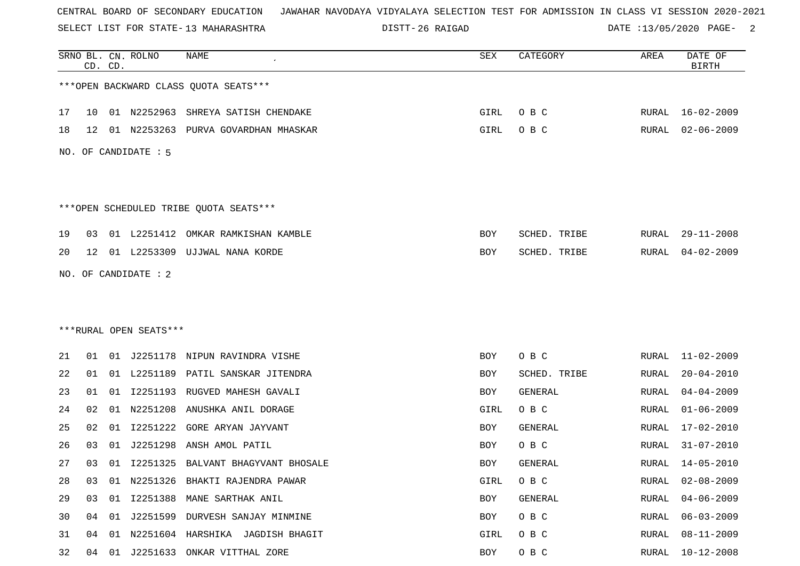SELECT LIST FOR STATE- DISTT- 13 MAHARASHTRA

26 RAIGAD DATE :13/05/2020 PAGE- 2

|    |    | CD. CD. | SRNO BL. CN. ROLNO     | NAME                                   | ${\tt SEX}$ | CATEGORY     | AREA  | DATE OF<br><b>BIRTH</b> |
|----|----|---------|------------------------|----------------------------------------|-------------|--------------|-------|-------------------------|
|    |    |         |                        | *** OPEN BACKWARD CLASS QUOTA SEATS*** |             |              |       |                         |
| 17 | 10 |         |                        | 01 N2252963 SHREYA SATISH CHENDAKE     | GIRL        | O B C        |       | RURAL 16-02-2009        |
| 18 | 12 |         |                        | 01 N2253263 PURVA GOVARDHAN MHASKAR    | GIRL        | O B C        | RURAL | $02 - 06 - 2009$        |
|    |    |         | NO. OF CANDIDATE : 5   |                                        |             |              |       |                         |
|    |    |         |                        |                                        |             |              |       |                         |
|    |    |         |                        | ***OPEN SCHEDULED TRIBE QUOTA SEATS*** |             |              |       |                         |
| 19 | 03 |         |                        | 01 L2251412 OMKAR RAMKISHAN KAMBLE     | BOY         | SCHED. TRIBE | RURAL | $29 - 11 - 2008$        |
| 20 | 12 |         |                        | 01 L2253309 UJJWAL NANA KORDE          | BOY         | SCHED. TRIBE | RURAL | $04 - 02 - 2009$        |
|    |    |         | NO. OF CANDIDATE : 2   |                                        |             |              |       |                         |
|    |    |         |                        |                                        |             |              |       |                         |
|    |    |         |                        |                                        |             |              |       |                         |
|    |    |         | ***RURAL OPEN SEATS*** |                                        |             |              |       |                         |
| 21 | 01 |         |                        | 01 J2251178 NIPUN RAVINDRA VISHE       | BOY         | O B C        | RURAL | $11 - 02 - 2009$        |
| 22 | 01 |         |                        | 01 L2251189 PATIL SANSKAR JITENDRA     | BOY         | SCHED. TRIBE | RURAL | $20 - 04 - 2010$        |
| 23 | 01 | 01      | I2251193               | RUGVED MAHESH GAVALI                   | BOY         | GENERAL      | RURAL | $04 - 04 - 2009$        |
| 24 | 02 | 01      | N2251208               | ANUSHKA ANIL DORAGE                    | GIRL        | O B C        | RURAL | $01 - 06 - 2009$        |
| 25 | 02 | 01      | I2251222               | GORE ARYAN JAYVANT                     | BOY         | GENERAL      | RURAL | $17 - 02 - 2010$        |
| 26 | 03 | 01      | J2251298               | ANSH AMOL PATIL                        | BOY         | O B C        | RURAL | $31 - 07 - 2010$        |
| 27 | 03 |         |                        | 01 I2251325 BALVANT BHAGYVANT BHOSALE  | BOY         | GENERAL      | RURAL | 14-05-2010              |
| 28 | 03 |         |                        | 01 N2251326 BHAKTI RAJENDRA PAWAR      | GIRL        | O B C        | RURAL | $02 - 08 - 2009$        |
| 29 | 03 | 01      |                        | 12251388 MANE SARTHAK ANIL             | BOY         | GENERAL      | RURAL | $04 - 06 - 2009$        |
| 30 |    |         |                        | 04 01 J2251599 DURVESH SANJAY MINMINE  | BOY         | O B C        | RURAL | $06 - 03 - 2009$        |
| 31 | 04 | 01      |                        | N2251604 HARSHIKA JAGDISH BHAGIT       | GIRL        | O B C        | RURAL | $08 - 11 - 2009$        |
| 32 |    |         |                        | 04 01 J2251633 ONKAR VITTHAL ZORE      | BOY         | O B C        | RURAL | $10 - 12 - 2008$        |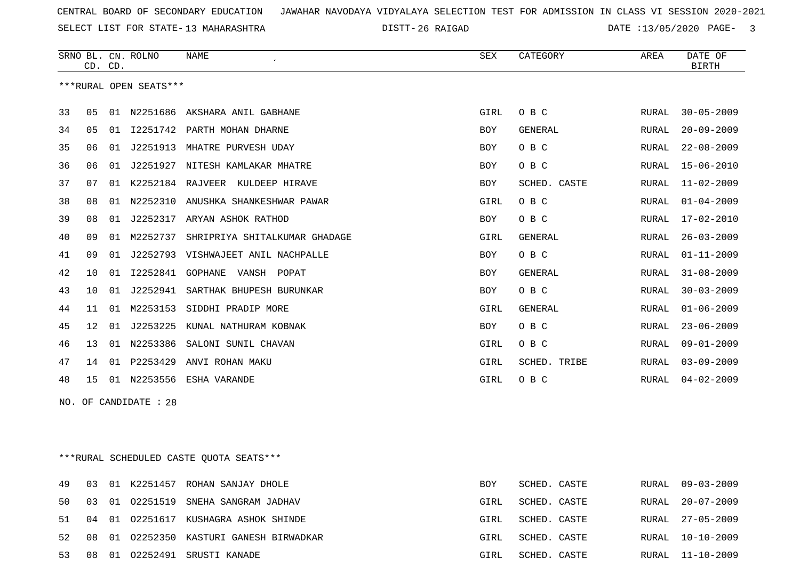SELECT LIST FOR STATE- DISTT- 13 MAHARASHTRA

26 RAIGAD DATE :13/05/2020 PAGE- 3

|    | CD. CD.         |    | SRNO BL. CN. ROLNO     | <b>NAME</b>                      | SEX         | CATEGORY       | AREA         | DATE OF<br><b>BIRTH</b> |
|----|-----------------|----|------------------------|----------------------------------|-------------|----------------|--------------|-------------------------|
|    |                 |    | ***RURAL OPEN SEATS*** |                                  |             |                |              |                         |
| 33 | 05              |    |                        | 01 N2251686 AKSHARA ANIL GABHANE | GIRL        | O B C          | RURAL        | $30 - 05 - 2009$        |
| 34 | 05              | 01 |                        | I2251742 PARTH MOHAN DHARNE      | <b>BOY</b>  | GENERAL        | RURAL        | $20 - 09 - 2009$        |
| 35 | 06              | 01 | J2251913               | MHATRE PURVESH UDAY              | <b>BOY</b>  | O B C          | <b>RURAL</b> | $22 - 08 - 2009$        |
| 36 | 06              | 01 | J2251927               | NITESH KAMLAKAR MHATRE           | <b>BOY</b>  | O B C          | <b>RURAL</b> | $15 - 06 - 2010$        |
| 37 | 07              | 01 |                        | K2252184 RAJVEER KULDEEP HIRAVE  | BOY         | SCHED. CASTE   | RURAL        | $11 - 02 - 2009$        |
| 38 | 08              | 01 | N2252310               | ANUSHKA SHANKESHWAR PAWAR        | GIRL        | O B C          | <b>RURAL</b> | $01 - 04 - 2009$        |
| 39 | 08              | 01 | J2252317               | ARYAN ASHOK RATHOD               | BOY         | O B C          | RURAL        | 17-02-2010              |
| 40 | 09              | 01 | M2252737               | SHRIPRIYA SHITALKUMAR GHADAGE    | GIRL        | GENERAL        | RURAL        | $26 - 03 - 2009$        |
| 41 | 09              | 01 | J2252793               | VISHWAJEET ANIL NACHPALLE        | <b>BOY</b>  | O B C          | <b>RURAL</b> | $01 - 11 - 2009$        |
| 42 | 10              | 01 | I2252841               | GOPHANE<br>VANSH<br>POPAT        | <b>BOY</b>  | GENERAL        | RURAL        | $31 - 08 - 2009$        |
| 43 | 10              | 01 | J2252941               | SARTHAK BHUPESH BURUNKAR         | BOY         | O B C          | <b>RURAL</b> | $30 - 03 - 2009$        |
| 44 | 11              | 01 | M2253153               | SIDDHI PRADIP MORE               | GIRL        | <b>GENERAL</b> | RURAL        | $01 - 06 - 2009$        |
| 45 | 12 <sup>°</sup> | 01 | J2253225               | KUNAL NATHURAM KOBNAK            | BOY         | O B C          | RURAL        | $23 - 06 - 2009$        |
| 46 | 13              | 01 | N2253386               | SALONI SUNIL CHAVAN              | GIRL        | O B C          | RURAL        | $09 - 01 - 2009$        |
| 47 | 14              | 01 | P2253429               | ANVI ROHAN MAKU                  | GIRL        | SCHED. TRIBE   | <b>RURAL</b> | $03 - 09 - 2009$        |
| 48 | 15              |    |                        | 01 N2253556 ESHA VARANDE         | <b>GIRL</b> | O B C          | RURAL        | $04 - 02 - 2009$        |

NO. OF CANDIDATE : 28

\*\*\*RURAL SCHEDULED CASTE QUOTA SEATS\*\*\*

|          |  | 49 03 01 K2251457 ROHAN SANJAY DHOLE       | BOY  | SCHED. CASTE |  | RURAL 09-03-2009 |
|----------|--|--------------------------------------------|------|--------------|--|------------------|
|          |  | 50 03 01 02251519 SNEHA SANGRAM JADHAV     | GIRL | SCHED. CASTE |  | RURAL 20-07-2009 |
|          |  | 51 04 01 02251617 KUSHAGRA ASHOK SHINDE    | GIRL | SCHED. CASTE |  | RURAL 27-05-2009 |
|          |  | 52 08 01 02252350 KASTURI GANESH BIRWADKAR | GIRL | SCHED. CASTE |  | RURAL 10-10-2009 |
| 53 08 01 |  | 02252491 SRUSTI KANADE                     | GIRL | SCHED. CASTE |  | RURAL 11-10-2009 |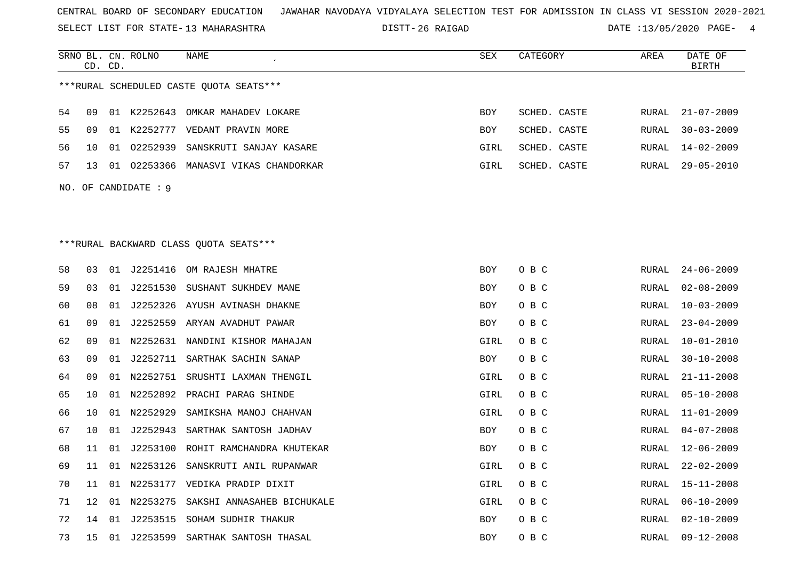SELECT LIST FOR STATE- DISTT- 13 MAHARASHTRA

26 RAIGAD DATE :13/05/2020 PAGE- 4

|    |    | CD. CD. | SRNO BL. CN. ROLNO   | NAME                                    | <b>SEX</b> | CATEGORY     | AREA         | DATE OF<br>BIRTH |
|----|----|---------|----------------------|-----------------------------------------|------------|--------------|--------------|------------------|
|    |    |         |                      | ***RURAL SCHEDULED CASTE OUOTA SEATS*** |            |              |              |                  |
| 54 | 09 |         |                      | 01 K2252643 OMKAR MAHADEV LOKARE        | <b>BOY</b> | SCHED. CASTE | RURAL        | $21 - 07 - 2009$ |
| 55 | 09 |         |                      | 01 K2252777 VEDANT PRAVIN MORE          | BOY        | SCHED. CASTE | <b>RURAL</b> | $30 - 03 - 2009$ |
| 56 | 10 |         |                      | 01 02252939 SANSKRUTI SANJAY KASARE     | GIRL       | SCHED. CASTE | RURAL        | $14 - 02 - 2009$ |
| 57 | 13 |         |                      | 01 02253366 MANASVI VIKAS CHANDORKAR    | GIRL       | SCHED. CASTE | RURAL        | $29 - 05 - 2010$ |
|    |    |         | NO. OF CANDIDATE : 9 |                                         |            |              |              |                  |
|    |    |         |                      |                                         |            |              |              |                  |
|    |    |         |                      |                                         |            |              |              |                  |
|    |    |         |                      | ***RURAL BACKWARD CLASS QUOTA SEATS***  |            |              |              |                  |
| 58 | 03 |         |                      | 01 J2251416 OM RAJESH MHATRE            | BOY        | O B C        | RURAL        | $24 - 06 - 2009$ |
| 59 | 03 |         |                      | 01 J2251530 SUSHANT SUKHDEV MANE        | BOY        | O B C        | RURAL        | $02 - 08 - 2009$ |
| 60 | 08 |         |                      | 01 J2252326 AYUSH AVINASH DHAKNE        | BOY        | O B C        | RURAL        | $10 - 03 - 2009$ |
| 61 | 09 |         |                      | 01 J2252559 ARYAN AVADHUT PAWAR         | BOY        | O B C        | <b>RURAL</b> | $23 - 04 - 2009$ |
| 62 | 09 |         |                      | 01 N2252631 NANDINI KISHOR MAHAJAN      | GIRL       | O B C        | <b>RURAL</b> | $10 - 01 - 2010$ |
| 63 | 09 |         |                      | 01 J2252711 SARTHAK SACHIN SANAP        | BOY        | O B C        | RURAL        | $30 - 10 - 2008$ |
| 64 | 09 |         |                      | 01 N2252751 SRUSHTI LAXMAN THENGIL      | GIRL       | O B C        | RURAL        | $21 - 11 - 2008$ |
| 65 | 10 |         |                      | 01 N2252892 PRACHI PARAG SHINDE         | GIRL       | O B C        | <b>RURAL</b> | $05 - 10 - 2008$ |
| 66 | 10 |         | 01 N2252929          | SAMIKSHA MANOJ CHAHVAN                  | GIRL       | O B C        | RURAL        | $11 - 01 - 2009$ |
| 67 | 10 | 01      | J2252943             | SARTHAK SANTOSH JADHAV                  | BOY        | O B C        | <b>RURAL</b> | $04 - 07 - 2008$ |
| 68 | 11 |         |                      | 01 J2253100 ROHIT RAMCHANDRA KHUTEKAR   | BOY        | O B C        | <b>RURAL</b> | $12 - 06 - 2009$ |
| 69 | 11 |         | 01 N2253126          | SANSKRUTI ANIL RUPANWAR                 | GIRL       | O B C        | RURAL        | $22 - 02 - 2009$ |
| 70 | 11 |         |                      | 01 N2253177 VEDIKA PRADIP DIXIT         | GIRL       | O B C        | RURAL        | $15 - 11 - 2008$ |
| 71 | 12 |         | 01 N2253275          | SAKSHI ANNASAHEB BICHUKALE              | GIRL       | O B C        | <b>RURAL</b> | $06 - 10 - 2009$ |
| 72 | 14 |         |                      | 01 J2253515 SOHAM SUDHIR THAKUR         | BOY        | O B C        | RURAL        | $02 - 10 - 2009$ |
| 73 | 15 |         |                      | 01 J2253599 SARTHAK SANTOSH THASAL      | BOY        | O B C        | RURAL        | $09 - 12 - 2008$ |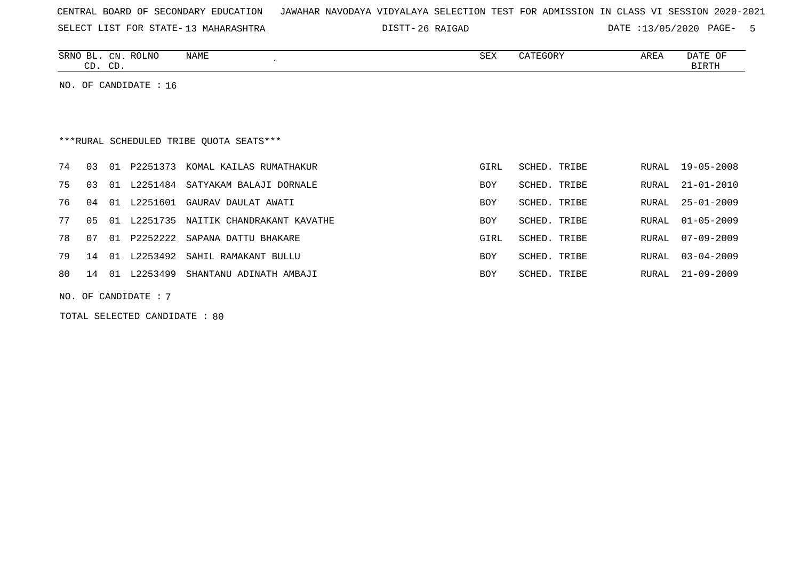|  |  |  |  | CENTRAL BOARD OF SECONDARY EDUCATION – JAWAHAR NAVODAYA VIDYALAYA SELECTION TEST FOR ADMISSION IN CLASS VI SESSION 2020-2021 |  |  |  |  |  |  |  |  |  |  |  |  |  |  |
|--|--|--|--|------------------------------------------------------------------------------------------------------------------------------|--|--|--|--|--|--|--|--|--|--|--|--|--|--|
|--|--|--|--|------------------------------------------------------------------------------------------------------------------------------|--|--|--|--|--|--|--|--|--|--|--|--|--|--|

26 RAIGAD DATE :13/05/2020 PAGE- 5

| <b>SRNC</b><br>CΝ<br>$\sim$           | <b>NAME</b><br>ROLNO | SEX | 고ㅁㅠ<br>ARLI | $\sim$<br>U™<br>DAIL |
|---------------------------------------|----------------------|-----|-------------|----------------------|
| $\sim$<br>$\bigcap$<br>ىد<br><u>.</u> |                      |     |             | ╖ᇭ                   |

NO. OF CANDIDATE : 16

# \*\*\*RURAL SCHEDULED TRIBE QUOTA SEATS\*\*\*

| 74       | 03 | 01 | P2251373    | KOMAL KAILAS RUMATHAKUR             | GIRL       | SCHED. TRIBE |       | RURAL 19-05-2008 |
|----------|----|----|-------------|-------------------------------------|------------|--------------|-------|------------------|
| 75       | 03 |    |             | 01 L2251484 SATYAKAM BALAJI DORNALE | <b>BOY</b> | SCHED. TRIBE |       | RURAL 21-01-2010 |
| 76       | 04 | 01 | L2251601    | GAURAV DAULAT AWATI                 | <b>BOY</b> | SCHED. TRIBE |       | RURAL 25-01-2009 |
| 77       | 05 |    | 01 L2251735 | NAITIK CHANDRAKANT KAVATHE          | <b>BOY</b> | SCHED. TRIBE |       | RURAL 01-05-2009 |
| 78       | 07 | 01 | P2252222    | SAPANA DATTU BHAKARE                | GIRL       | SCHED. TRIBE |       | RURAL 07-09-2009 |
| 79       | 14 | 01 | L2253492    | SAHIL RAMAKANT BULLU                | <b>BOY</b> | SCHED. TRIBE | RURAL | $03 - 04 - 2009$ |
| 80 14 01 |    |    | L2253499    | SHANTANU ADINATH AMBAJI             | <b>BOY</b> | SCHED. TRIBE |       | RURAL 21-09-2009 |
|          |    |    |             |                                     |            |              |       |                  |

NO. OF CANDIDATE : 7

TOTAL SELECTED CANDIDATE : 80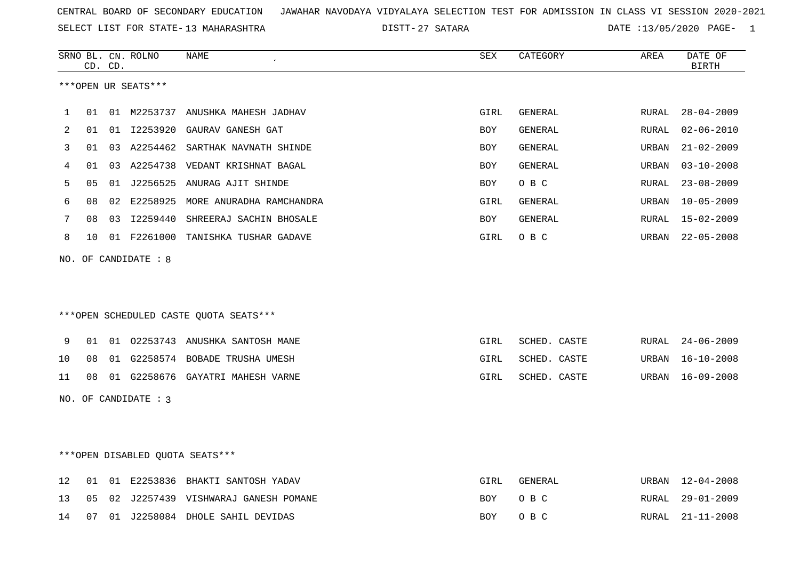SELECT LIST FOR STATE- DISTT- 13 MAHARASHTRA

27 SATARA DATE :13/05/2020 PAGE- 1

|                | CD. CD. |                     |                                              |                                                                                                                                                                                                                                                                                                                                                                                                                                                                                                                                        |                |                                               | DATE OF<br><b>BIRTH</b> |
|----------------|---------|---------------------|----------------------------------------------|----------------------------------------------------------------------------------------------------------------------------------------------------------------------------------------------------------------------------------------------------------------------------------------------------------------------------------------------------------------------------------------------------------------------------------------------------------------------------------------------------------------------------------------|----------------|-----------------------------------------------|-------------------------|
|                |         | ***OPEN UR SEATS*** |                                              |                                                                                                                                                                                                                                                                                                                                                                                                                                                                                                                                        |                |                                               |                         |
| 01             |         |                     |                                              | GIRL                                                                                                                                                                                                                                                                                                                                                                                                                                                                                                                                   | GENERAL        | RURAL                                         | $28 - 04 - 2009$        |
| 01             |         |                     |                                              | BOY                                                                                                                                                                                                                                                                                                                                                                                                                                                                                                                                    | GENERAL        | RURAL                                         | $02 - 06 - 2010$        |
| 01             |         |                     |                                              | <b>BOY</b>                                                                                                                                                                                                                                                                                                                                                                                                                                                                                                                             | <b>GENERAL</b> | URBAN                                         | $21 - 02 - 2009$        |
| 01             |         |                     |                                              | <b>BOY</b>                                                                                                                                                                                                                                                                                                                                                                                                                                                                                                                             | GENERAL        | URBAN                                         | $03 - 10 - 2008$        |
| 0 <sub>5</sub> |         |                     |                                              | <b>BOY</b>                                                                                                                                                                                                                                                                                                                                                                                                                                                                                                                             | O B C          | RURAL                                         | $23 - 08 - 2009$        |
| 08             |         |                     |                                              | GIRL                                                                                                                                                                                                                                                                                                                                                                                                                                                                                                                                   | GENERAL        | URBAN                                         | 10-05-2009              |
| 08             |         |                     |                                              | BOY                                                                                                                                                                                                                                                                                                                                                                                                                                                                                                                                    | GENERAL        | RURAL                                         | 15-02-2009              |
| 10             |         |                     |                                              | GIRL                                                                                                                                                                                                                                                                                                                                                                                                                                                                                                                                   | O B C          |                                               | URBAN 22-05-2008        |
|                |         |                     |                                              |                                                                                                                                                                                                                                                                                                                                                                                                                                                                                                                                        |                |                                               |                         |
|                |         |                     |                                              |                                                                                                                                                                                                                                                                                                                                                                                                                                                                                                                                        |                |                                               |                         |
|                |         |                     |                                              |                                                                                                                                                                                                                                                                                                                                                                                                                                                                                                                                        |                |                                               |                         |
|                |         |                     |                                              |                                                                                                                                                                                                                                                                                                                                                                                                                                                                                                                                        |                |                                               |                         |
| 01             |         |                     |                                              | GIRL                                                                                                                                                                                                                                                                                                                                                                                                                                                                                                                                   |                | RURAL                                         | $24 - 06 - 2009$        |
| 08             |         |                     |                                              | GIRL                                                                                                                                                                                                                                                                                                                                                                                                                                                                                                                                   | SCHED. CASTE   | URBAN                                         | 16-10-2008              |
| 08             |         |                     |                                              | GIRL                                                                                                                                                                                                                                                                                                                                                                                                                                                                                                                                   |                |                                               | URBAN 16-09-2008        |
|                |         |                     |                                              |                                                                                                                                                                                                                                                                                                                                                                                                                                                                                                                                        |                |                                               |                         |
|                |         |                     |                                              |                                                                                                                                                                                                                                                                                                                                                                                                                                                                                                                                        |                |                                               |                         |
|                |         |                     |                                              |                                                                                                                                                                                                                                                                                                                                                                                                                                                                                                                                        |                |                                               |                         |
|                |         |                     |                                              |                                                                                                                                                                                                                                                                                                                                                                                                                                                                                                                                        |                |                                               |                         |
|                |         |                     |                                              |                                                                                                                                                                                                                                                                                                                                                                                                                                                                                                                                        |                |                                               |                         |
|                |         |                     | NO. OF CANDIDATE : 8<br>NO. OF CANDIDATE : 3 | 01 M2253737 ANUSHKA MAHESH JADHAV<br>01 I2253920 GAURAV GANESH GAT<br>03 A2254462 SARTHAK NAVNATH SHINDE<br>03 A2254738 VEDANT KRISHNAT BAGAL<br>01 J2256525 ANURAG AJIT SHINDE<br>02 E2258925 MORE ANURADHA RAMCHANDRA<br>03 I2259440 SHREERAJ SACHIN BHOSALE<br>01 F2261000 TANISHKA TUSHAR GADAVE<br>***OPEN SCHEDULED CASTE QUOTA SEATS***<br>01 02253743 ANUSHKA SANTOSH MANE<br>01 G2258574 BOBADE TRUSHA UMESH<br>01 G2258676 GAYATRI MAHESH VARNE<br>***OPEN DISABLED OUOTA SEATS***<br>12 01 01 F2253836 BHAKTI SANTOSH YADAV |                | SCHED. CASTE<br>SCHED. CASTE<br>GIRI. GENERAL | IIRRAN 12-04-2008       |

|  |  | TA UI UI BAAJJOJO DHANII DANIODH IADAV    | سمتدف | ULIVLIVALI | UNDAIN IZTUITZUUO |
|--|--|-------------------------------------------|-------|------------|-------------------|
|  |  | 13 05 02 J2257439 VISHWARAJ GANESH POMANE |       | BOY OBC    | RURAL 29-01-2009  |
|  |  | 14 07 01 J2258084 DHOLE SAHIL DEVIDAS     |       | BOY OBC    | RURAL 21-11-2008  |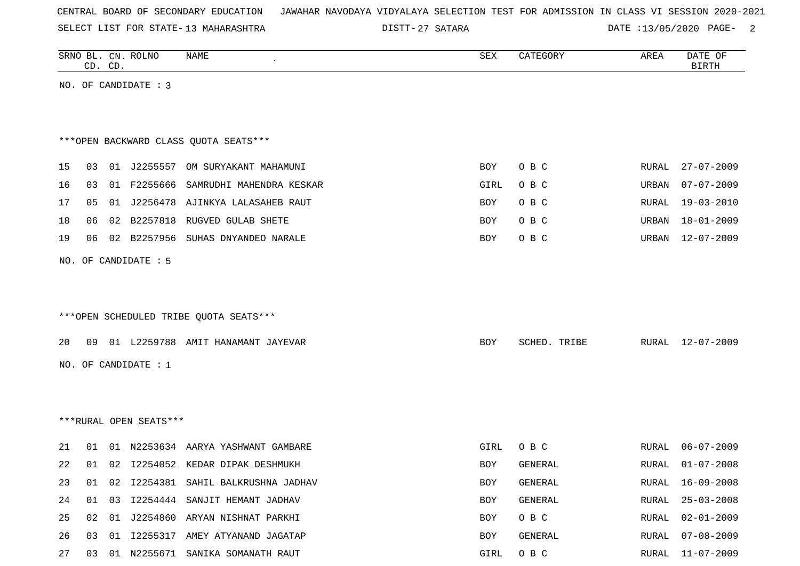|  | CENTRAL BOARD OF SECONDARY EDUCATION – JAWAHAR NAVODAYA VIDYALAYA SELECTION TEST FOR ADMISSION IN CLASS VI SESSION 2020-2021 |  |  |  |
|--|------------------------------------------------------------------------------------------------------------------------------|--|--|--|
|--|------------------------------------------------------------------------------------------------------------------------------|--|--|--|

DISTT-27 SATARA 20020 DATE :13/05/2020 PAGE-

|    |    | CD. CD. | SRNO BL. CN. ROLNO     | <b>NAME</b>                            | ${\tt SEX}$ | CATEGORY     | AREA  | DATE OF<br><b>BIRTH</b> |
|----|----|---------|------------------------|----------------------------------------|-------------|--------------|-------|-------------------------|
|    |    |         | NO. OF CANDIDATE : 3   |                                        |             |              |       |                         |
|    |    |         |                        |                                        |             |              |       |                         |
|    |    |         |                        |                                        |             |              |       |                         |
|    |    |         |                        | *** OPEN BACKWARD CLASS QUOTA SEATS*** |             |              |       |                         |
| 15 | 03 |         |                        | 01 J2255557 OM SURYAKANT MAHAMUNI      | BOY         | O B C        | RURAL | $27 - 07 - 2009$        |
| 16 | 03 |         | 01 F2255666            | SAMRUDHI MAHENDRA KESKAR               | GIRL        | O B C        | URBAN | $07 - 07 - 2009$        |
| 17 | 05 |         |                        | 01 J2256478 AJINKYA LALASAHEB RAUT     | BOY         | O B C        | RURAL | $19 - 03 - 2010$        |
| 18 | 06 | 02      |                        | B2257818 RUGVED GULAB SHETE            | BOY         | O B C        | URBAN | $18 - 01 - 2009$        |
| 19 | 06 |         |                        | 02 B2257956 SUHAS DNYANDEO NARALE      | BOY         | O B C        | URBAN | $12 - 07 - 2009$        |
|    |    |         | NO. OF CANDIDATE : 5   |                                        |             |              |       |                         |
|    |    |         |                        |                                        |             |              |       |                         |
|    |    |         |                        |                                        |             |              |       |                         |
|    |    |         |                        | ***OPEN SCHEDULED TRIBE QUOTA SEATS*** |             |              |       |                         |
|    |    |         |                        |                                        |             |              |       |                         |
| 20 | 09 |         |                        | 01 L2259788 AMIT HANAMANT JAYEVAR      | <b>BOY</b>  | SCHED. TRIBE | RURAL | 12-07-2009              |
|    |    |         | NO. OF CANDIDATE : $1$ |                                        |             |              |       |                         |
|    |    |         |                        |                                        |             |              |       |                         |
|    |    |         |                        |                                        |             |              |       |                         |
|    |    |         | ***RURAL OPEN SEATS*** |                                        |             |              |       |                         |
| 21 | 01 |         |                        | 01 N2253634 AARYA YASHWANT GAMBARE     | GIRL        | O B C        | RURAL | $06 - 07 - 2009$        |
| 22 | 01 | 02      |                        | 12254052 KEDAR DIPAK DESHMUKH          | BOY         | GENERAL      | RURAL | $01 - 07 - 2008$        |
| 23 | 01 | 02      |                        | I2254381 SAHIL BALKRUSHNA JADHAV       | BOY         | GENERAL      |       | RURAL 16-09-2008        |
| 24 | 01 | 03      |                        | 12254444 SANJIT HEMANT JADHAV          | BOY         | GENERAL      | RURAL | $25 - 03 - 2008$        |
| 25 | 02 |         |                        | 01 J2254860 ARYAN NISHNAT PARKHI       | BOY         | O B C        | RURAL | $02 - 01 - 2009$        |
| 26 | 03 | 01      |                        | I2255317 AMEY ATYANAND JAGATAP         | BOY         | GENERAL      | RURAL | $07 - 08 - 2009$        |
| 27 |    |         |                        | 03 01 N2255671 SANIKA SOMANATH RAUT    | GIRL        | O B C        |       | RURAL 11-07-2009        |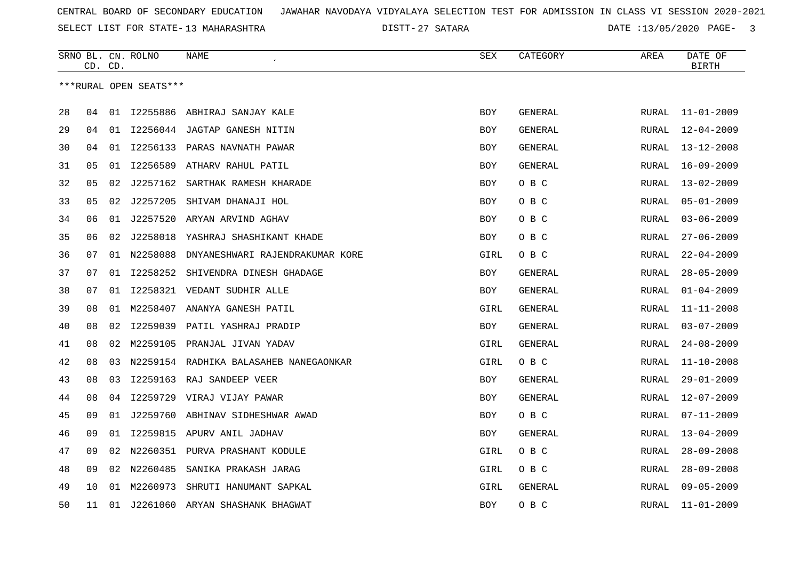SELECT LIST FOR STATE- DISTT- 13 MAHARASHTRA

27 SATARA DATE :13/05/2020 PAGE- 3

|    |    | CD. CD. | SRNO BL. CN. ROLNO     | NAME<br>$\epsilon$                     | SEX        | CATEGORY       | AREA         | DATE OF<br><b>BIRTH</b> |
|----|----|---------|------------------------|----------------------------------------|------------|----------------|--------------|-------------------------|
|    |    |         | ***RURAL OPEN SEATS*** |                                        |            |                |              |                         |
| 28 | 04 |         |                        | 01 I2255886 ABHIRAJ SANJAY KALE        | <b>BOY</b> | GENERAL        | RURAL        | $11 - 01 - 2009$        |
| 29 | 04 |         |                        | 01 I2256044 JAGTAP GANESH NITIN        | BOY        | <b>GENERAL</b> | RURAL        | $12 - 04 - 2009$        |
| 30 | 04 | 01      |                        | I2256133 PARAS NAVNATH PAWAR           | <b>BOY</b> | GENERAL        | <b>RURAL</b> | $13 - 12 - 2008$        |
| 31 | 05 | 01      | I2256589               | ATHARV RAHUL PATIL                     | <b>BOY</b> | GENERAL        | RURAL        | $16 - 09 - 2009$        |
| 32 | 05 | 02      | J2257162               | SARTHAK RAMESH KHARADE                 | BOY        | O B C          | RURAL        | $13 - 02 - 2009$        |
| 33 | 05 | 02      | J2257205               | SHIVAM DHANAJI HOL                     | BOY        | O B C          | <b>RURAL</b> | $05 - 01 - 2009$        |
| 34 | 06 | 01      | J2257520               | ARYAN ARVIND AGHAV                     | <b>BOY</b> | O B C          | RURAL        | $03 - 06 - 2009$        |
| 35 | 06 | 02      | J2258018               | YASHRAJ SHASHIKANT KHADE               | BOY        | O B C          | RURAL        | $27 - 06 - 2009$        |
| 36 | 07 |         | 01 N2258088            | DNYANESHWARI RAJENDRAKUMAR KORE        | GIRL       | O B C          | <b>RURAL</b> | $22 - 04 - 2009$        |
| 37 | 07 | 01      | I2258252               | SHIVENDRA DINESH GHADAGE               | BOY        | GENERAL        | RURAL        | $28 - 05 - 2009$        |
| 38 | 07 | 01      |                        | 12258321 VEDANT SUDHIR ALLE            | BOY        | GENERAL        | RURAL        | $01 - 04 - 2009$        |
| 39 | 08 | 01      | M2258407               | ANANYA GANESH PATIL                    | GIRL       | GENERAL        | <b>RURAL</b> | $11 - 11 - 2008$        |
| 40 | 08 | 02      | I2259039               | PATIL YASHRAJ PRADIP                   | BOY        | GENERAL        | RURAL        | $03 - 07 - 2009$        |
| 41 | 08 | 02      |                        | M2259105 PRANJAL JIVAN YADAV           | GIRL       | GENERAL        | RURAL        | $24 - 08 - 2009$        |
| 42 | 08 | 03      |                        | N2259154 RADHIKA BALASAHEB NANEGAONKAR | GIRL       | O B C          | RURAL        | $11 - 10 - 2008$        |
| 43 | 08 | 03      | I2259163               | RAJ SANDEEP VEER                       | BOY        | GENERAL        | <b>RURAL</b> | $29 - 01 - 2009$        |
| 44 | 08 | 04      | I2259729               | VIRAJ VIJAY PAWAR                      | BOY        | GENERAL        | RURAL        | $12 - 07 - 2009$        |
| 45 | 09 | 01      | J2259760               | ABHINAV SIDHESHWAR AWAD                | BOY        | O B C          | <b>RURAL</b> | $07 - 11 - 2009$        |
| 46 | 09 | 01      |                        | 12259815 APURV ANIL JADHAV             | BOY        | GENERAL        | RURAL        | $13 - 04 - 2009$        |
| 47 | 09 | 02      |                        | N2260351 PURVA PRASHANT KODULE         | GIRL       | O B C          | RURAL        | $28 - 09 - 2008$        |
| 48 | 09 | 02      | N2260485               | SANIKA PRAKASH JARAG                   | GIRL       | O B C          | <b>RURAL</b> | $28 - 09 - 2008$        |
| 49 | 10 | 01      | M2260973               | SHRUTI HANUMANT SAPKAL                 | GIRL       | GENERAL        | RURAL        | $09 - 05 - 2009$        |
| 50 | 11 | 01      |                        | J2261060 ARYAN SHASHANK BHAGWAT        | BOY        | O B C          | RURAL        | $11 - 01 - 2009$        |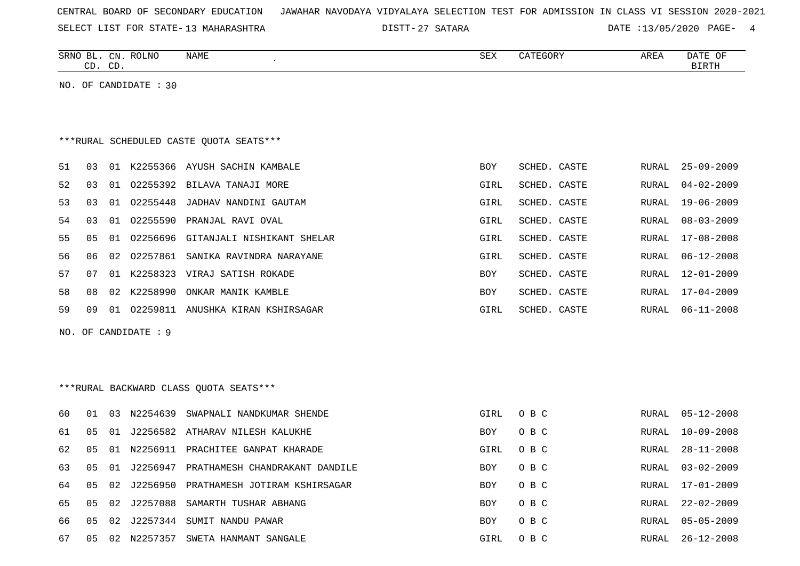|  |  |  |  | CENTRAL BOARD OF SECONDARY EDUCATION – JAWAHAR NAVODAYA VIDYALAYA SELECTION TEST FOR ADMISSION IN CLASS VI SESSION 2020-2021 |  |  |  |  |  |  |  |  |  |  |  |  |  |  |
|--|--|--|--|------------------------------------------------------------------------------------------------------------------------------|--|--|--|--|--|--|--|--|--|--|--|--|--|--|
|--|--|--|--|------------------------------------------------------------------------------------------------------------------------------|--|--|--|--|--|--|--|--|--|--|--|--|--|--|

27 SATARA DATE :13/05/2020 PAGE- 4

|    |                | CD. CD. | SRNO BL. CN. ROLNO    | NAME                                    | SEX        | CATEGORY     | AREA         | DATE OF<br><b>BIRTH</b> |
|----|----------------|---------|-----------------------|-----------------------------------------|------------|--------------|--------------|-------------------------|
|    |                |         | NO. OF CANDIDATE : 30 |                                         |            |              |              |                         |
|    |                |         |                       |                                         |            |              |              |                         |
|    |                |         |                       |                                         |            |              |              |                         |
|    |                |         |                       | ***RURAL SCHEDULED CASTE QUOTA SEATS*** |            |              |              |                         |
| 51 | 03             |         |                       | 01 K2255366 AYUSH SACHIN KAMBALE        | <b>BOY</b> | SCHED. CASTE | RURAL        | $25 - 09 - 2009$        |
| 52 | 0 <sub>3</sub> | 01      | 02255392              | BILAVA TANAJI MORE                      | GIRL       | SCHED. CASTE | RURAL        | $04 - 02 - 2009$        |
| 53 | 03             |         | 01 02255448           | JADHAV NANDINI GAUTAM                   | GIRL       | SCHED. CASTE | RURAL        | $19 - 06 - 2009$        |
| 54 | 03             | 01      | 02255590              | PRANJAL RAVI OVAL                       | GIRL       | SCHED. CASTE | RURAL        | $08 - 03 - 2009$        |
| 55 | 0 <sub>5</sub> |         | 01 02256696           | GITANJALI NISHIKANT SHELAR              | GIRL       | SCHED. CASTE | RURAL        | $17 - 08 - 2008$        |
| 56 | 06             | 02      | 02257861              | SANIKA RAVINDRA NARAYANE                | GIRL       | SCHED. CASTE | RURAL        | $06 - 12 - 2008$        |
| 57 | 07             | 01      |                       | K2258323 VIRAJ SATISH ROKADE            | <b>BOY</b> | SCHED. CASTE | RURAL        | $12 - 01 - 2009$        |
| 58 | 08             | 02      | K2258990              | ONKAR MANIK KAMBLE                      | BOY        | SCHED. CASTE | RURAL        | 17-04-2009              |
| 59 | 09             |         |                       | 01 02259811 ANUSHKA KIRAN KSHIRSAGAR    | GIRL       | SCHED. CASTE | RURAL        | $06 - 11 - 2008$        |
|    |                |         | NO. OF CANDIDATE : 9  |                                         |            |              |              |                         |
|    |                |         |                       |                                         |            |              |              |                         |
|    |                |         |                       |                                         |            |              |              |                         |
|    |                |         |                       | ***RURAL BACKWARD CLASS QUOTA SEATS***  |            |              |              |                         |
| 60 | 01             |         | 03 N2254639           | SWAPNALI NANDKUMAR SHENDE               | GIRL       | O B C        | RURAL        | $05 - 12 - 2008$        |
| 61 | 05             |         |                       | 01 J2256582 ATHARAV NILESH KALUKHE      | BOY        | O B C        | RURAL        | $10 - 09 - 2008$        |
| 62 | 0 <sub>5</sub> |         |                       | 01 N2256911 PRACHITEE GANPAT KHARADE    | GIRL       | O B C        | RURAL        | $28 - 11 - 2008$        |
| 63 | 05             | 01      | J2256947              | PRATHAMESH CHANDRAKANT DANDILE          | BOY        | O B C        | RURAL        | $03 - 02 - 2009$        |
| 64 | 05             | 02      |                       | J2256950 PRATHAMESH JOTIRAM KSHIRSAGAR  | BOY        | O B C        | RURAL        | 17-01-2009              |
| 65 | 0 <sub>5</sub> | 02      | J2257088              | SAMARTH TUSHAR ABHANG                   | BOY        | O B C        | <b>RURAL</b> | $22 - 02 - 2009$        |
| 66 | 05             | 02      | J2257344              | SUMIT NANDU PAWAR                       | <b>BOY</b> | O B C        | RURAL        | $05 - 05 - 2009$        |

67 05 02 N2257357 SWETA HANMANT SANGALE CHANGALE GIRL O B C RURAL 26-12-2008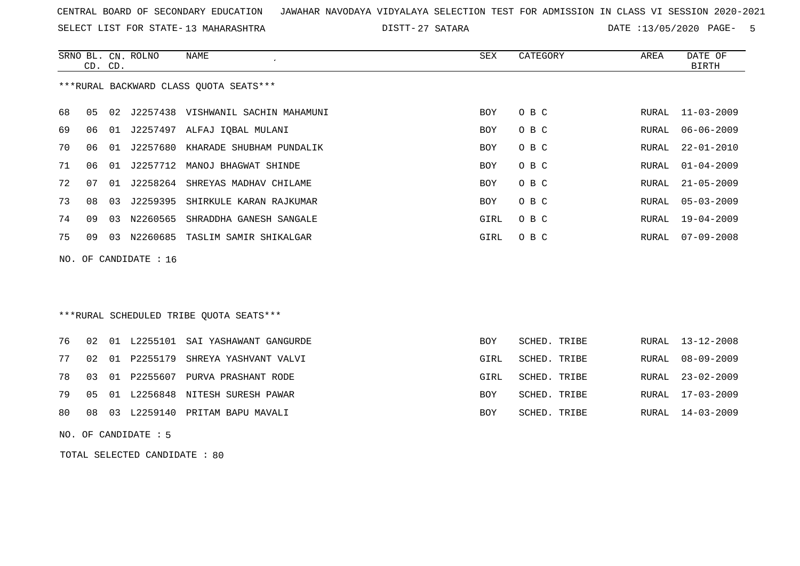SELECT LIST FOR STATE- DISTT- 13 MAHARASHTRA

27 SATARA DATE :13/05/2020 PAGE- 5

|    | CD. CD.                                |    | SRNO BL. CN. ROLNO      | NAME                                  | SEX        | CATEGORY | AREA  | DATE OF<br>BIRTH |  |  |  |
|----|----------------------------------------|----|-------------------------|---------------------------------------|------------|----------|-------|------------------|--|--|--|
|    | ***RURAL BACKWARD CLASS QUOTA SEATS*** |    |                         |                                       |            |          |       |                  |  |  |  |
| 68 | 05                                     |    |                         | 02 J2257438 VISHWANIL SACHIN MAHAMUNI | BOY        | O B C    |       | RURAL 11-03-2009 |  |  |  |
| 69 | 06                                     |    |                         | 01 J2257497 ALFAJ IQBAL MULANI        | BOY        | O B C    | RURAL | $06 - 06 - 2009$ |  |  |  |
| 70 | ೧೯                                     | 01 |                         | J2257680 KHARADE SHUBHAM PUNDALIK     | <b>BOY</b> | O B C    | RURAL | $22 - 01 - 2010$ |  |  |  |
| 71 | 06                                     | 01 | J2257712                | MANOJ BHAGWAT SHINDE                  | <b>BOY</b> | O B C    | RURAL | $01 - 04 - 2009$ |  |  |  |
| 72 | 07                                     |    |                         | 01 J2258264 SHREYAS MADHAV CHILAME    | <b>BOY</b> | O B C    | RURAL | $21 - 05 - 2009$ |  |  |  |
| 73 | 08                                     | 03 |                         | J2259395 SHIRKULE KARAN RAJKUMAR      | <b>BOY</b> | O B C    | RURAL | $05 - 03 - 2009$ |  |  |  |
| 74 | 09                                     | 03 | N2260565                | SHRADDHA GANESH SANGALE               | GIRL       | O B C    | RURAL | 19-04-2009       |  |  |  |
| 75 | 09                                     | 03 | N2260685                | TASLIM SAMIR SHIKALGAR                | GIRL       | O B C    | RURAL | $07 - 09 - 2008$ |  |  |  |
|    |                                        |    | NO. OF CANDIDATE : $16$ |                                       |            |          |       |                  |  |  |  |

## \*\*\*RURAL SCHEDULED TRIBE QUOTA SEATS\*\*\*

|  |  | 76 02 01 L2255101 SAI YASHAWANT GANGURDE | BOY        | SCHED. TRIBE |  | RURAL 13-12-2008 |
|--|--|------------------------------------------|------------|--------------|--|------------------|
|  |  | 77 02 01 P2255179 SHREYA YASHVANT VALVI  | GIRL       | SCHED. TRIBE |  | RURAL 08-09-2009 |
|  |  | 78 03 01 P2255607 PURVA PRASHANT RODE    | GIRL       | SCHED. TRIBE |  | RURAL 23-02-2009 |
|  |  | 79 05 01 L2256848 NITESH SURESH PAWAR    | <b>BOY</b> | SCHED. TRIBE |  | RURAL 17-03-2009 |
|  |  | 80 08 03 L2259140 PRITAM BAPU MAVALI     | BOY        | SCHED. TRIBE |  | RURAL 14-03-2009 |

NO. OF CANDIDATE : 5

TOTAL SELECTED CANDIDATE : 80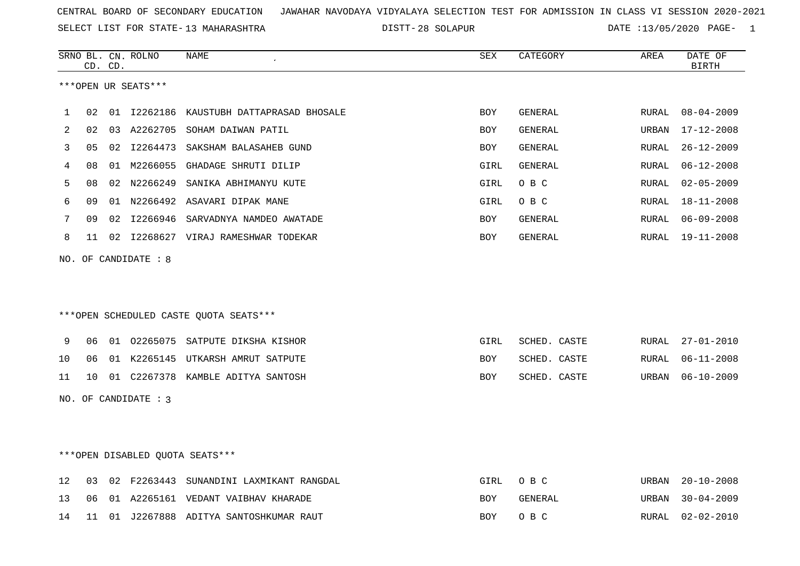SELECT LIST FOR STATE- DISTT- 13 MAHARASHTRA

28 SOLAPUR DATE :13/05/2020 PAGE- 1

|                   |    | CD. CD. | SRNO BL. CN. ROLNO   | NAME                                   | <b>SEX</b> | CATEGORY     | AREA  | DATE OF<br><b>BIRTH</b> |
|-------------------|----|---------|----------------------|----------------------------------------|------------|--------------|-------|-------------------------|
|                   |    |         | ***OPEN UR SEATS***  |                                        |            |              |       |                         |
| 1                 | 02 |         | 01 12262186          | KAUSTUBH DATTAPRASAD BHOSALE           | <b>BOY</b> | GENERAL      | RURAL | $08 - 04 - 2009$        |
| 2                 | 02 |         | 03 A2262705          | SOHAM DAIWAN PATIL                     | <b>BOY</b> | GENERAL      | URBAN | $17 - 12 - 2008$        |
| 3                 | 05 |         | 02 12264473          | SAKSHAM BALASAHEB GUND                 | <b>BOY</b> | GENERAL      | RURAL | $26 - 12 - 2009$        |
| 4                 | 08 |         |                      | 01 M2266055 GHADAGE SHRUTI DILIP       | GIRL       | GENERAL      | RURAL | $06 - 12 - 2008$        |
| 5                 | 08 |         | 02 N2266249          | SANIKA ABHIMANYU KUTE                  | GIRL       | O B C        | RURAL | $02 - 05 - 2009$        |
| 6                 | 09 |         |                      | 01 N2266492 ASAVARI DIPAK MANE         | GIRL       | O B C        | RURAL | $18 - 11 - 2008$        |
| 7                 | 09 |         | 02 12266946          | SARVADNYA NAMDEO AWATADE               | BOY        | GENERAL      | RURAL | $06 - 09 - 2008$        |
| 8                 | 11 |         |                      | 02 I2268627 VIRAJ RAMESHWAR TODEKAR    | BOY        | GENERAL      | RURAL | 19-11-2008              |
|                   |    |         | NO. OF CANDIDATE : 8 |                                        |            |              |       |                         |
|                   |    |         |                      |                                        |            |              |       |                         |
|                   |    |         |                      |                                        |            |              |       |                         |
|                   |    |         |                      | ***OPEN SCHEDULED CASTE QUOTA SEATS*** |            |              |       |                         |
| 9                 | 06 |         |                      | 01 02265075 SATPUTE DIKSHA KISHOR      | GIRL       | SCHED. CASTE | RURAL | $27 - 01 - 2010$        |
| 10                | 06 |         |                      | 01 K2265145 UTKARSH AMRUT SATPUTE      | <b>BOY</b> | SCHED. CASTE | RURAL | $06 - 11 - 2008$        |
| 11                | 10 |         |                      | 01 C2267378 KAMBLE ADITYA SANTOSH      | <b>BOY</b> | SCHED. CASTE | URBAN | $06 - 10 - 2009$        |
|                   |    |         | NO. OF CANDIDATE : 3 |                                        |            |              |       |                         |
|                   |    |         |                      |                                        |            |              |       |                         |
|                   |    |         |                      |                                        |            |              |       |                         |
|                   |    |         |                      | ***OPEN DISABLED QUOTA SEATS***        |            |              |       |                         |
| $12 \overline{ }$ | 03 |         | 02 F2263443          | SUNANDINI LAXMIKANT RANGDAL            | GIRL       | O B C        | URBAN | $20 - 10 - 2008$        |
| 13                | 06 |         |                      | 01 A2265161 VEDANT VAIBHAV KHARADE     | <b>BOY</b> | GENERAL      | URBAN | $30 - 04 - 2009$        |

14 11 01 J2267888 ADITYA SANTOSHKUMAR RAUT BOY O B C RURAL 02-02-2010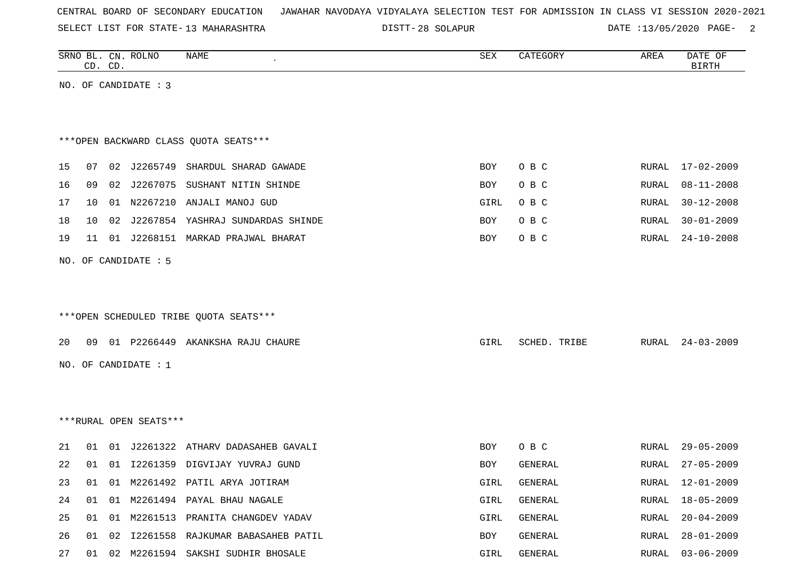| CENTRAL BOARD OF SECONDARY EDUCATION – JAWAHAR NAVODAYA VIDYALAYA SELECTION TEST FOR ADMISSION IN CLASS VI SESSION 2020-2021 |  |  |  |  |
|------------------------------------------------------------------------------------------------------------------------------|--|--|--|--|
|------------------------------------------------------------------------------------------------------------------------------|--|--|--|--|

SELECT LIST FOR STATE- DISTT- 13 MAHARASHTRA 28 SOLAPUR DATE :13/05/2020 PAGE- 2

|    |    | CD. CD. | SRNO BL. CN. ROLNO     | <b>NAME</b>                            | SEX  | CATEGORY       | AREA  | DATE OF<br><b>BIRTH</b> |
|----|----|---------|------------------------|----------------------------------------|------|----------------|-------|-------------------------|
|    |    |         | NO. OF CANDIDATE : 3   |                                        |      |                |       |                         |
|    |    |         |                        |                                        |      |                |       |                         |
|    |    |         |                        |                                        |      |                |       |                         |
|    |    |         |                        | *** OPEN BACKWARD CLASS QUOTA SEATS*** |      |                |       |                         |
| 15 | 07 |         |                        | 02 J2265749 SHARDUL SHARAD GAWADE      | BOY  | O B C          | RURAL | 17-02-2009              |
| 16 | 09 | 02      |                        | J2267075 SUSHANT NITIN SHINDE          | BOY  | O B C          | RURAL | $08 - 11 - 2008$        |
| 17 | 10 |         |                        | 01 N2267210 ANJALI MANOJ GUD           | GIRL | O B C          | RURAL | $30 - 12 - 2008$        |
| 18 | 10 |         |                        | 02 J2267854 YASHRAJ SUNDARDAS SHINDE   | BOY  | O B C          | RURAL | $30 - 01 - 2009$        |
| 19 | 11 |         |                        | 01 J2268151 MARKAD PRAJWAL BHARAT      | BOY  | O B C          | RURAL | $24 - 10 - 2008$        |
|    |    |         | NO. OF CANDIDATE : 5   |                                        |      |                |       |                         |
|    |    |         |                        |                                        |      |                |       |                         |
|    |    |         |                        |                                        |      |                |       |                         |
|    |    |         |                        | ***OPEN SCHEDULED TRIBE QUOTA SEATS*** |      |                |       |                         |
|    |    |         |                        |                                        |      |                |       |                         |
| 20 | 09 |         |                        | 01 P2266449 AKANKSHA RAJU CHAURE       | GIRL | SCHED. TRIBE   | RURAL | $24 - 03 - 2009$        |
|    |    |         | NO. OF CANDIDATE : 1   |                                        |      |                |       |                         |
|    |    |         |                        |                                        |      |                |       |                         |
|    |    |         |                        |                                        |      |                |       |                         |
|    |    |         | ***RURAL OPEN SEATS*** |                                        |      |                |       |                         |
| 21 | 01 |         | 01 J2261322            | ATHARV DADASAHEB GAVALI                | BOY  | O B C          | RURAL | $29 - 05 - 2009$        |
| 22 | 01 |         |                        | 01 I2261359 DIGVIJAY YUVRAJ GUND       | BOY  | GENERAL        | RURAL | $27 - 05 - 2009$        |
| 23 |    |         |                        | 01 01 M2261492 PATIL ARYA JOTIRAM      | GIRL | GENERAL        | RURAL | $12 - 01 - 2009$        |
| 24 | 01 | 01      |                        | M2261494 PAYAL BHAU NAGALE             | GIRL | GENERAL        | RURAL | $18 - 05 - 2009$        |
| 25 | 01 | 01      |                        | M2261513 PRANITA CHANGDEV YADAV        | GIRL | GENERAL        | RURAL | $20 - 04 - 2009$        |
| 26 | 01 | 02      |                        | I2261558 RAJKUMAR BABASAHEB PATIL      | BOY  | GENERAL        | RURAL | $28 - 01 - 2009$        |
| 27 |    |         |                        | 01 02 M2261594 SAKSHI SUDHIR BHOSALE   | GIRL | <b>GENERAL</b> | RURAL | $03 - 06 - 2009$        |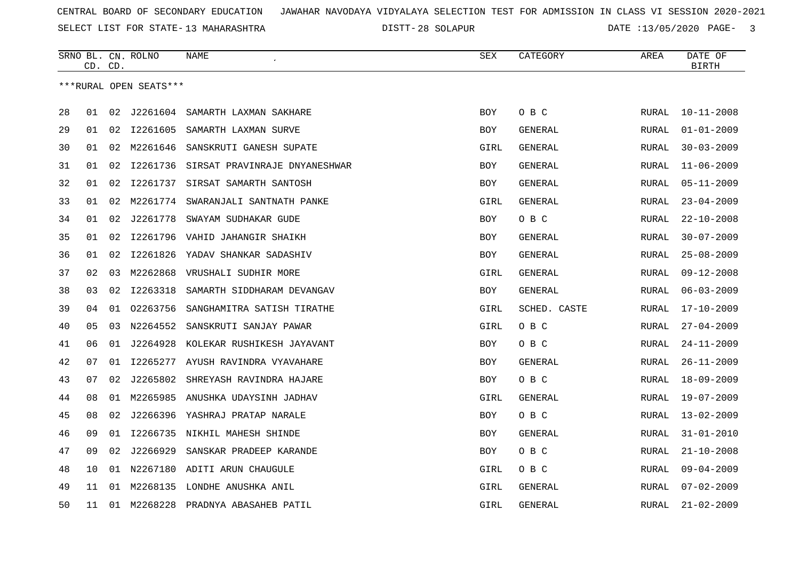SELECT LIST FOR STATE- DISTT- 13 MAHARASHTRA

28 SOLAPUR DATE :13/05/2020 PAGE- 3

|    | CD. CD. |    | SRNO BL. CN. ROLNO     | NAME                                | SEX        | CATEGORY       | AREA         | DATE OF<br><b>BIRTH</b> |
|----|---------|----|------------------------|-------------------------------------|------------|----------------|--------------|-------------------------|
|    |         |    | ***RURAL OPEN SEATS*** |                                     |            |                |              |                         |
|    |         |    |                        |                                     |            |                |              |                         |
| 28 | 01      |    | 02 J2261604            | SAMARTH LAXMAN SAKHARE              | <b>BOY</b> | O B C          | RURAL        | $10 - 11 - 2008$        |
| 29 | 01      | 02 | I2261605               | SAMARTH LAXMAN SURVE                | <b>BOY</b> | GENERAL        | RURAL        | $01 - 01 - 2009$        |
| 30 | 01      | 02 | M2261646               | SANSKRUTI GANESH SUPATE             | GIRL       | GENERAL        | RURAL        | $30 - 03 - 2009$        |
| 31 | 01      | 02 | I2261736               | SIRSAT PRAVINRAJE DNYANESHWAR       | BOY        | GENERAL        | RURAL        | $11 - 06 - 2009$        |
| 32 | 01      | 02 | I2261737               | SIRSAT SAMARTH SANTOSH              | <b>BOY</b> | GENERAL        | RURAL        | $05 - 11 - 2009$        |
| 33 | 01      | 02 | M2261774               | SWARANJALI SANTNATH PANKE           | GIRL       | <b>GENERAL</b> | RURAL        | $23 - 04 - 2009$        |
| 34 | 01      | 02 | J2261778               | SWAYAM SUDHAKAR GUDE                | <b>BOY</b> | O B C          | RURAL        | $22 - 10 - 2008$        |
| 35 | 01      | 02 |                        | 12261796 VAHID JAHANGIR SHAIKH      | <b>BOY</b> | GENERAL        | RURAL        | $30 - 07 - 2009$        |
| 36 | 01      | 02 |                        | 12261826 YADAV SHANKAR SADASHIV     | BOY        | <b>GENERAL</b> | RURAL        | $25 - 08 - 2009$        |
| 37 | 02      | 03 | M2262868               | VRUSHALI SUDHIR MORE                | GIRL       | GENERAL        | RURAL        | $09 - 12 - 2008$        |
| 38 | 03      | 02 | I2263318               | SAMARTH SIDDHARAM DEVANGAV          | <b>BOY</b> | GENERAL        | <b>RURAL</b> | $06 - 03 - 2009$        |
| 39 | 04      | 01 | 02263756               | SANGHAMITRA SATISH TIRATHE          | GIRL       | SCHED. CASTE   | RURAL        | $17 - 10 - 2009$        |
| 40 | 05      | 03 | N2264552               | SANSKRUTI SANJAY PAWAR              | GIRL       | O B C          | RURAL        | $27 - 04 - 2009$        |
| 41 | 06      | 01 | J2264928               | KOLEKAR RUSHIKESH JAYAVANT          | <b>BOY</b> | O B C          | <b>RURAL</b> | $24 - 11 - 2009$        |
| 42 | 07      | 01 | I2265277               | AYUSH RAVINDRA VYAVAHARE            | <b>BOY</b> | GENERAL        | RURAL        | $26 - 11 - 2009$        |
| 43 | 07      | 02 | J2265802               | SHREYASH RAVINDRA HAJARE            | <b>BOY</b> | O B C          | RURAL        | $18 - 09 - 2009$        |
| 44 | 08      |    |                        | 01 M2265985 ANUSHKA UDAYSINH JADHAV | GIRL       | GENERAL        | RURAL        | $19 - 07 - 2009$        |
| 45 | 08      | 02 |                        | J2266396 YASHRAJ PRATAP NARALE      | <b>BOY</b> | O B C          | RURAL        | $13 - 02 - 2009$        |
| 46 | 09      | 01 | I2266735               | NIKHIL MAHESH SHINDE                | <b>BOY</b> | GENERAL        | RURAL        | $31 - 01 - 2010$        |
| 47 | 09      | 02 | J2266929               | SANSKAR PRADEEP KARANDE             | <b>BOY</b> | O B C          | RURAL        | $21 - 10 - 2008$        |
| 48 | 10      | 01 | N2267180               | ADITI ARUN CHAUGULE                 | GIRL       | O B C          | <b>RURAL</b> | $09 - 04 - 2009$        |
| 49 | 11      |    |                        | 01 M2268135 LONDHE ANUSHKA ANIL     | GIRL       | <b>GENERAL</b> | RURAL        | $07 - 02 - 2009$        |
| 50 | 11      |    |                        | 01 M2268228 PRADNYA ABASAHEB PATIL  | GIRL       | <b>GENERAL</b> | <b>RURAL</b> | $21 - 02 - 2009$        |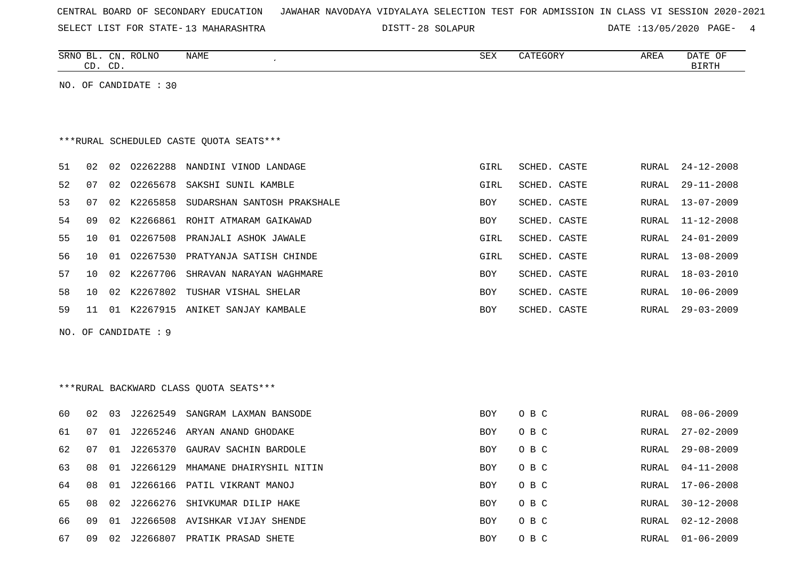|  |  |  |  | CENTRAL BOARD OF SECONDARY EDUCATION – JAWAHAR NAVODAYA VIDYALAYA SELECTION TEST FOR ADMISSION IN CLASS VI SESSION 2020-2021 |  |  |  |  |  |  |  |  |  |  |  |  |  |  |
|--|--|--|--|------------------------------------------------------------------------------------------------------------------------------|--|--|--|--|--|--|--|--|--|--|--|--|--|--|
|--|--|--|--|------------------------------------------------------------------------------------------------------------------------------|--|--|--|--|--|--|--|--|--|--|--|--|--|--|

DISTT-28 SOLAPUR DATE :13/05/2020 PAGE- 4

|     | CD. CD. |    | SRNO BL. CN. ROLNO    | NAME<br>$\lambda$                       | ${\tt SEX}$ | CATEGORY     | AREA         | DATE OF<br><b>BIRTH</b> |
|-----|---------|----|-----------------------|-----------------------------------------|-------------|--------------|--------------|-------------------------|
|     |         |    | NO. OF CANDIDATE : 30 |                                         |             |              |              |                         |
|     |         |    |                       |                                         |             |              |              |                         |
|     |         |    |                       |                                         |             |              |              |                         |
|     |         |    |                       | ***RURAL SCHEDULED CASTE QUOTA SEATS*** |             |              |              |                         |
| 51  | 02      | 02 | 02262288              | NANDINI VINOD LANDAGE                   | GIRL        | SCHED. CASTE | <b>RURAL</b> | $24 - 12 - 2008$        |
| 52  | 07      |    | 02 02265678           | SAKSHI SUNIL KAMBLE                     | GIRL        | SCHED. CASTE | RURAL        | $29 - 11 - 2008$        |
| 53  | 07      | 02 | K2265858              | SUDARSHAN SANTOSH PRAKSHALE             | BOY         | SCHED. CASTE | RURAL        | $13 - 07 - 2009$        |
| 54  | 09      |    | 02 K2266861           | ROHIT ATMARAM GAIKAWAD                  | BOY         | SCHED. CASTE | <b>RURAL</b> | $11 - 12 - 2008$        |
| 55  | 10      |    | 01 02267508           | PRANJALI ASHOK JAWALE                   | GIRL        | SCHED. CASTE | <b>RURAL</b> | $24 - 01 - 2009$        |
| 56  | 10      | 01 | 02267530              | PRATYANJA SATISH CHINDE                 | GIRL        | SCHED. CASTE | <b>RURAL</b> | $13 - 08 - 2009$        |
| 57  | 10      |    | 02 K2267706           | SHRAVAN NARAYAN WAGHMARE                | BOY         | SCHED. CASTE | <b>RURAL</b> | $18 - 03 - 2010$        |
| 58  | 10      | 02 | K2267802              | TUSHAR VISHAL SHELAR                    | BOY         | SCHED. CASTE | <b>RURAL</b> | $10 - 06 - 2009$        |
| 59  | 11      |    |                       | 01 K2267915 ANIKET SANJAY KAMBALE       | <b>BOY</b>  | SCHED. CASTE | <b>RURAL</b> | $29 - 03 - 2009$        |
| NO. |         |    | OF CANDIDATE : 9      |                                         |             |              |              |                         |
|     |         |    |                       |                                         |             |              |              |                         |
|     |         |    |                       |                                         |             |              |              |                         |
|     |         |    |                       | *** RURAL BACKWARD CLASS QUOTA SEATS*** |             |              |              |                         |
| 60  | 02      | 03 | J2262549              | SANGRAM LAXMAN BANSODE                  | <b>BOY</b>  | O B C        | RURAL        | $08 - 06 - 2009$        |
| 61  | 07      | 01 |                       | J2265246 ARYAN ANAND GHODAKE            | BOY         | O B C        | <b>RURAL</b> | $27 - 02 - 2009$        |
| 62  | 07      |    |                       | 01 J2265370 GAURAV SACHIN BARDOLE       | BOY         | O B C        | RURAL        | $29 - 08 - 2009$        |
| 63  | 08      | 01 | J2266129              | MHAMANE DHAIRYSHIL NITIN                | BOY         | O B C        | RURAL        | $04 - 11 - 2008$        |
| 64  | 08      | 01 |                       | J2266166 PATIL VIKRANT MANOJ            | <b>BOY</b>  | O B C        | <b>RURAL</b> | $17 - 06 - 2008$        |
| 65  | 08      |    |                       | 02 J2266276 SHIVKUMAR DILIP HAKE        | <b>BOY</b>  | O B C        | <b>RURAL</b> | $30 - 12 - 2008$        |

66 09 01 J2266508 AVISHKAR VIJAY SHENDE BOY O B C RURAL 02-12-2008 67 09 02 J2266807 PRATIK PRASAD SHETE BOY O B C RURAL 01-06-2009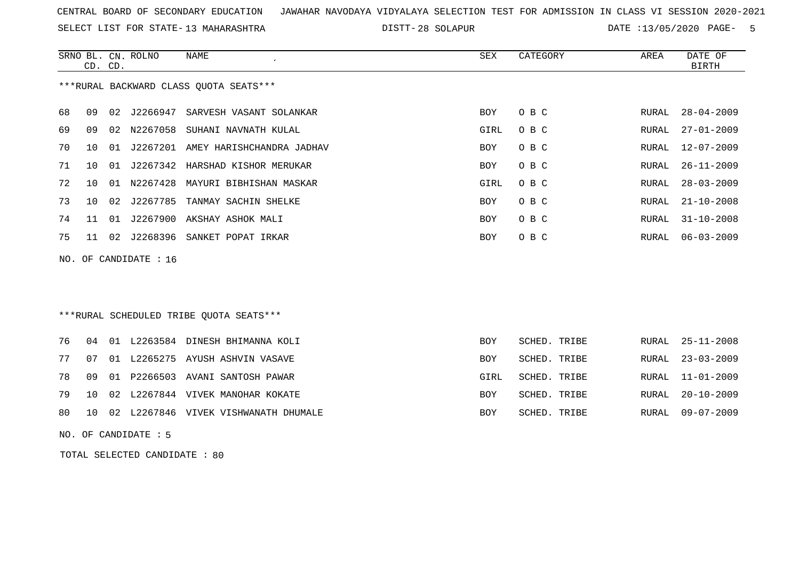SELECT LIST FOR STATE- DISTT- 13 MAHARASHTRA

28 SOLAPUR DATE :13/05/2020 PAGE- 5

|    |    | CD. CD. | SRNO BL. CN. ROLNO      | NAME<br>$\cdot$                        | SEX  | CATEGORY | AREA  | DATE OF<br><b>BIRTH</b> |
|----|----|---------|-------------------------|----------------------------------------|------|----------|-------|-------------------------|
|    |    |         |                         | ***RURAL BACKWARD CLASS QUOTA SEATS*** |      |          |       |                         |
| 68 | 09 | 02      | J2266947                | SARVESH VASANT SOLANKAR                | BOY  | O B C    | RURAL | $28 - 04 - 2009$        |
| 69 | 09 |         | 02 N2267058             | SUHANI NAVNATH KULAL                   | GIRL | O B C    | RURAL | 27-01-2009              |
| 70 | 10 | 01      |                         | J2267201 AMEY HARISHCHANDRA JADHAV     | BOY  | O B C    | RURAL | 12-07-2009              |
| 71 | 10 | 01      |                         | J2267342 HARSHAD KISHOR MERUKAR        | BOY  | O B C    | RURAL | 26-11-2009              |
| 72 | 10 | 01      |                         | N2267428 MAYURI BIBHISHAN MASKAR       | GIRL | O B C    | RURAL | $28 - 03 - 2009$        |
| 73 | 10 | 02      |                         | J2267785 TANMAY SACHIN SHELKE          | BOY  | O B C    | RURAL | $21 - 10 - 2008$        |
| 74 | 11 | 01      |                         | J2267900 AKSHAY ASHOK MALI             | BOY  | O B C    | RURAL | $31 - 10 - 2008$        |
| 75 | 11 | 02      | J2268396                | SANKET POPAT IRKAR                     | BOY  | O B C    | RURAL | $06 - 03 - 2009$        |
|    |    |         | NO. OF CANDIDATE : $16$ |                                        |      |          |       |                         |
|    |    |         |                         |                                        |      |          |       |                         |
|    |    |         |                         |                                        |      |          |       |                         |

## \*\*\*RURAL SCHEDULED TRIBE QUOTA SEATS\*\*\*

|  |  | 76 04 01 L2263584 DINESH BHIMANNA KOLI     | BOY        | SCHED. TRIBE | RURAL 25-11-2008 |
|--|--|--------------------------------------------|------------|--------------|------------------|
|  |  | 77 07 01 L2265275 AYUSH ASHVIN VASAVE      | <b>BOY</b> | SCHED. TRIBE | RURAL 23-03-2009 |
|  |  | 78 09 01 P2266503 AVANI SANTOSH PAWAR      | GIRL       | SCHED. TRIBE | RURAL 11-01-2009 |
|  |  | 79 10 02 L2267844 VIVEK MANOHAR KOKATE     | <b>BOY</b> | SCHED. TRIBE | RURAL 20-10-2009 |
|  |  | 80 10 02 L2267846 VIVEK VISHWANATH DHUMALE | BOY        | SCHED. TRIBE | RURAL 09-07-2009 |

NO. OF CANDIDATE : 5

TOTAL SELECTED CANDIDATE : 80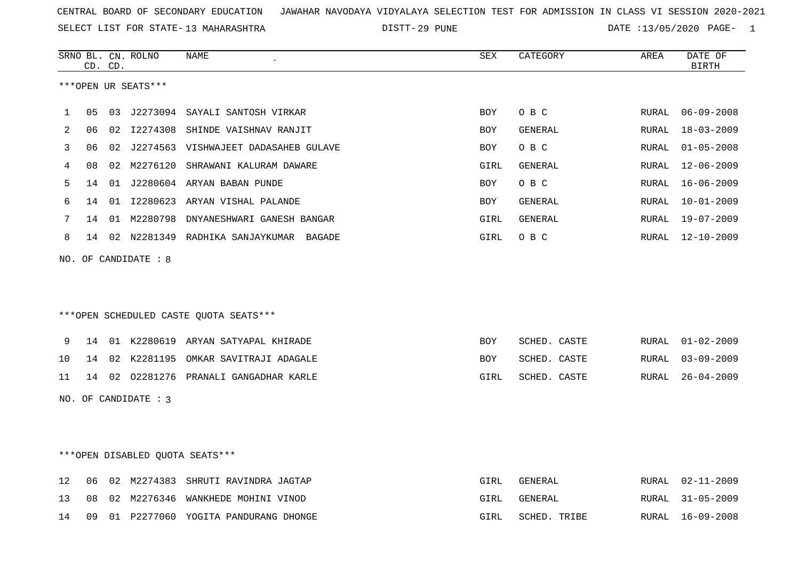29 PUNE DATE :13/05/2020 PAGE- 1

|     |    | CD. CD. | SRNO BL. CN. ROLNO     | NAME                                    | SEX        | CATEGORY       | AREA  | DATE OF<br><b>BIRTH</b> |
|-----|----|---------|------------------------|-----------------------------------------|------------|----------------|-------|-------------------------|
|     |    |         | ***OPEN UR SEATS***    |                                         |            |                |       |                         |
| 1   | 05 |         |                        | 03 J2273094 SAYALI SANTOSH VIRKAR       | <b>BOY</b> | O B C          | RURAL | $06 - 09 - 2008$        |
| 2   | 06 |         |                        | 02 I2274308 SHINDE VAISHNAV RANJIT      | BOY        | GENERAL        | RURAL | $18 - 03 - 2009$        |
| 3   | 06 |         |                        | 02 J2274563 VISHWAJEET DADASAHEB GULAVE | BOY        | O B C          | RURAL | $01 - 05 - 2008$        |
| 4   | 08 | 02      | M2276120               | SHRAWANI KALURAM DAWARE                 | GIRL       | <b>GENERAL</b> | RURAL | $12 - 06 - 2009$        |
| 5   | 14 | 01      |                        | J2280604 ARYAN BABAN PUNDE              | BOY        | O B C          | RURAL | $16 - 06 - 2009$        |
| 6   | 14 | 01      |                        | I2280623 ARYAN VISHAL PALANDE           | <b>BOY</b> | <b>GENERAL</b> | RURAL | $10 - 01 - 2009$        |
| 7   | 14 |         |                        | 01 M2280798 DNYANESHWARI GANESH BANGAR  | GIRL       | GENERAL        | RURAL | $19 - 07 - 2009$        |
| 8   | 14 |         |                        | 02 N2281349 RADHIKA SANJAYKUMAR BAGADE  | GIRL       | O B C          | RURAL | $12 - 10 - 2009$        |
| NO. |    |         | OF CANDIDATE : 8       |                                         |            |                |       |                         |
|     |    |         |                        |                                         |            |                |       |                         |
|     |    |         |                        |                                         |            |                |       |                         |
|     |    |         |                        | ***OPEN SCHEDULED CASTE QUOTA SEATS***  |            |                |       |                         |
| 9   | 14 |         |                        | 01 K2280619 ARYAN SATYAPAL KHIRADE      | BOY        | SCHED. CASTE   | RURAL | $01 - 02 - 2009$        |
| 10  | 14 | 02      | K2281195               | OMKAR SAVITRAJI ADAGALE                 | BOY        | SCHED. CASTE   | RURAL | $03 - 09 - 2009$        |
| 11  |    |         |                        | 14 02 02281276 PRANALI GANGADHAR KARLE  | GIRL       | SCHED. CASTE   | RURAL | $26 - 04 - 2009$        |
|     |    |         | NO. OF CANDIDATE : $3$ |                                         |            |                |       |                         |
|     |    |         |                        |                                         |            |                |       |                         |
|     |    |         |                        |                                         |            |                |       |                         |

\*\*\*OPEN DISABLED QUOTA SEATS\*\*\*

|  |  | 12 06 02 M2274383 SHRUTI RAVINDRA JAGTAP  | GIRL | GENERAL      | RURAL 02-11-2009 |
|--|--|-------------------------------------------|------|--------------|------------------|
|  |  | 13 08 02 M2276346 WANKHEDE MOHINI VINOD   | GIRL | GENERAL      | RURAL 31-05-2009 |
|  |  | 14 09 01 P2277060 YOGITA PANDURANG DHONGE | GIRL | SCHED. TRIBE | RURAL 16-09-2008 |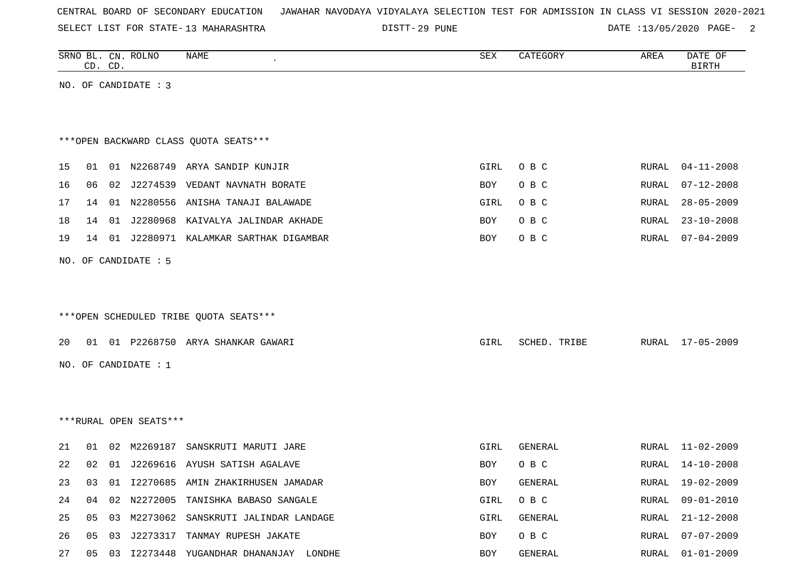|  | CENTRAL BOARD OF SECONDARY EDUCATION – JAWAHAR NAVODAYA VIDYALAYA SELECTION TEST FOR ADMISSION IN CLASS VI SESSION 2020-2021 |
|--|------------------------------------------------------------------------------------------------------------------------------|
|--|------------------------------------------------------------------------------------------------------------------------------|

DISTT-29 PUNE 2000 PAGE- 2000 PAGE- 2000 PAGE- 2000 PAGE- 2000 PAGE-

|    |    | CD. CD. | SRNO BL. CN. ROLNO     | NAME                                     | ${\tt SEX}$ | CATEGORY       | AREA  | DATE OF<br><b>BIRTH</b> |
|----|----|---------|------------------------|------------------------------------------|-------------|----------------|-------|-------------------------|
|    |    |         | NO. OF CANDIDATE : 3   |                                          |             |                |       |                         |
|    |    |         |                        |                                          |             |                |       |                         |
|    |    |         |                        |                                          |             |                |       |                         |
|    |    |         |                        | *** OPEN BACKWARD CLASS QUOTA SEATS***   |             |                |       |                         |
| 15 | 01 |         |                        | 01 N2268749 ARYA SANDIP KUNJIR           | GIRL        | O B C          | RURAL | $04 - 11 - 2008$        |
| 16 | 06 |         |                        | 02 J2274539 VEDANT NAVNATH BORATE        | BOY         | O B C          | RURAL | $07 - 12 - 2008$        |
| 17 | 14 |         |                        | 01 N2280556 ANISHA TANAJI BALAWADE       | GIRL        | O B C          | RURAL | $28 - 05 - 2009$        |
| 18 | 14 | 01      |                        | J2280968 KAIVALYA JALINDAR AKHADE        | <b>BOY</b>  | O B C          | RURAL | $23 - 10 - 2008$        |
| 19 |    |         |                        | 14 01 J2280971 KALAMKAR SARTHAK DIGAMBAR | BOY         | O B C          | RURAL | 07-04-2009              |
|    |    |         | NO. OF CANDIDATE : 5   |                                          |             |                |       |                         |
|    |    |         |                        |                                          |             |                |       |                         |
|    |    |         |                        |                                          |             |                |       |                         |
|    |    |         |                        | ***OPEN SCHEDULED TRIBE QUOTA SEATS***   |             |                |       |                         |
| 20 |    |         |                        | 01 01 P2268750 ARYA SHANKAR GAWARI       | GIRL        | SCHED. TRIBE   |       | RURAL 17-05-2009        |
|    |    |         |                        |                                          |             |                |       |                         |
|    |    |         | NO. OF CANDIDATE : $1$ |                                          |             |                |       |                         |
|    |    |         |                        |                                          |             |                |       |                         |
|    |    |         |                        |                                          |             |                |       |                         |
|    |    |         | ***RURAL OPEN SEATS*** |                                          |             |                |       |                         |
| 21 | 01 |         |                        | 02 M2269187 SANSKRUTI MARUTI JARE        | GIRL        | GENERAL        | RURAL | 11-02-2009              |
| 22 | 02 |         |                        | 01 J2269616 AYUSH SATISH AGALAVE         | <b>BOY</b>  | O B C          | RURAL | 14-10-2008              |
| 23 | 03 | 01      |                        | 12270685 AMIN ZHAKIRHUSEN JAMADAR        | <b>BOY</b>  | <b>GENERAL</b> | RURAL | 19-02-2009              |
| 24 | 04 | 02      | N2272005               | TANISHKA BABASO SANGALE                  | GIRL        | O B C          | RURAL | $09 - 01 - 2010$        |
| 25 | 05 | 03      | M2273062               | SANSKRUTI JALINDAR LANDAGE               | GIRL        | GENERAL        | RURAL | $21 - 12 - 2008$        |
| 26 | 05 | 03      |                        | J2273317 TANMAY RUPESH JAKATE            | <b>BOY</b>  | O B C          | RURAL | $07 - 07 - 2009$        |

27 05 03 I2273448 YUGANDHAR DHANANJAY LONDHE SAN BOY GENERAL SAN RURAL 01-01-2009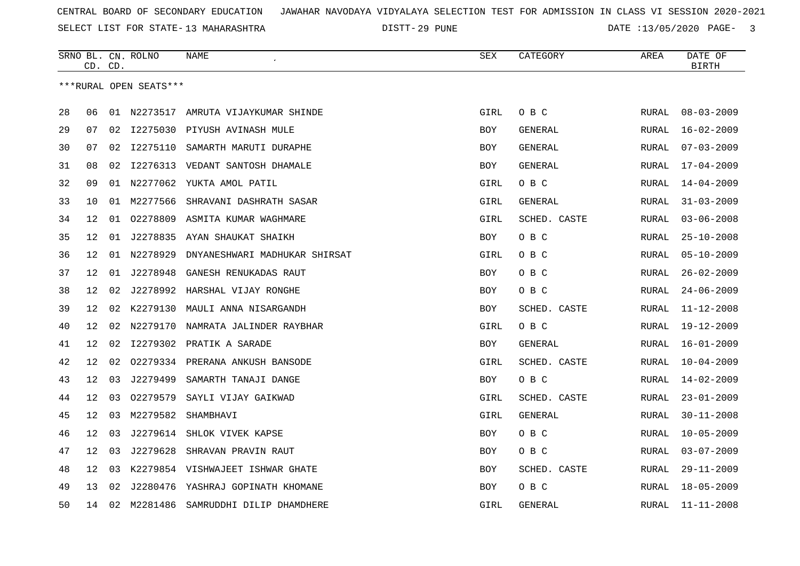SELECT LIST FOR STATE- DISTT- 13 MAHARASHTRA

29 PUNE DATE :13/05/2020 PAGE- 3

|    | CD. CD. |    | SRNO BL. CN. ROLNO     | <b>NAME</b>                       | SEX        | CATEGORY     | AREA          | DATE OF<br><b>BIRTH</b> |
|----|---------|----|------------------------|-----------------------------------|------------|--------------|---------------|-------------------------|
|    |         |    | ***RURAL OPEN SEATS*** |                                   |            |              |               |                         |
| 28 | 06      |    | 01 N2273517            | AMRUTA VIJAYKUMAR SHINDE          | GIRL       | O B C        | RURAL         | $08 - 03 - 2009$        |
| 29 | 07      |    |                        | 02 I2275030 PIYUSH AVINASH MULE   | BOY        | GENERAL      | RURAL         | $16 - 02 - 2009$        |
| 30 | 07      | 02 | I2275110               | SAMARTH MARUTI DURAPHE            | BOY        | GENERAL      | RURAL         | $07 - 03 - 2009$        |
| 31 | 08      | 02 | I2276313               | VEDANT SANTOSH DHAMALE            | BOY        | GENERAL      | RURAL         | $17 - 04 - 2009$        |
| 32 | 09      | 01 |                        | N2277062 YUKTA AMOL PATIL         | GIRL       | O B C        | RURAL         | $14 - 04 - 2009$        |
| 33 | 10      | 01 | M2277566               | SHRAVANI DASHRATH SASAR           | GIRL       | GENERAL      | RURAL         | $31 - 03 - 2009$        |
| 34 | 12      | 01 | 02278809               | ASMITA KUMAR WAGHMARE             | GIRL       | SCHED. CASTE | RURAL         | $03 - 06 - 2008$        |
| 35 | 12      | 01 | J2278835               | AYAN SHAUKAT SHAIKH               | BOY        | O B C        | RURAL         | $25 - 10 - 2008$        |
| 36 | 12      | 01 | N2278929               | DNYANESHWARI MADHUKAR SHIRSAT     | GIRL       | O B C        | RURAL         | $05 - 10 - 2009$        |
| 37 | 12      | 01 | J2278948               | GANESH RENUKADAS RAUT             | <b>BOY</b> | O B C        | RURAL         | $26 - 02 - 2009$        |
| 38 | 12      | 02 |                        | J2278992 HARSHAL VIJAY RONGHE     | BOY        | O B C        | RURAL         | $24 - 06 - 2009$        |
| 39 | 12      | 02 | K2279130               | MAULI ANNA NISARGANDH             | BOY        | SCHED. CASTE | RURAL         | $11 - 12 - 2008$        |
| 40 | 12      | 02 | N2279170               | NAMRATA JALINDER RAYBHAR          | GIRL       | O B C        | RURAL         | $19 - 12 - 2009$        |
| 41 | 12      | 02 | I2279302               | PRATIK A SARADE                   | BOY        | GENERAL      | <b>RURAL</b>  | $16 - 01 - 2009$        |
| 42 | 12      | 02 |                        | 02279334 PRERANA ANKUSH BANSODE   | GIRL       | SCHED. CASTE | RURAL         | $10 - 04 - 2009$        |
| 43 | 12      | 03 | J2279499               | SAMARTH TANAJI DANGE              | BOY        | O B C        | RURAL         | $14 - 02 - 2009$        |
| 44 | 12      | 03 | 02279579               | SAYLI VIJAY GAIKWAD               | GIRL       | SCHED. CASTE | RURAL         | $23 - 01 - 2009$        |
| 45 | 12      | 03 | M2279582               | SHAMBHAVI                         | GIRL       | GENERAL      | RURAL         | $30 - 11 - 2008$        |
| 46 | 12      | 03 | J2279614               | SHLOK VIVEK KAPSE                 | BOY        | O B C        | RURAL         | $10 - 05 - 2009$        |
| 47 | 12      | 03 | J2279628               | SHRAVAN PRAVIN RAUT               | BOY        | O B C        | RURAL         | $03 - 07 - 2009$        |
| 48 | 12      | 03 |                        | K2279854 VISHWAJEET ISHWAR GHATE  | BOY        | SCHED. CASTE | <b>RURAL</b>  | $29 - 11 - 2009$        |
| 49 | 13      | 02 |                        | J2280476 YASHRAJ GOPINATH KHOMANE | BOY        | O B C        | RURAL         | $18 - 05 - 2009$        |
| 50 | 14      | 02 | M2281486               | SAMRUDDHI DILIP DHAMDHERE         | GIRL       | GENERAL      | ${\tt RURAL}$ | $11 - 11 - 2008$        |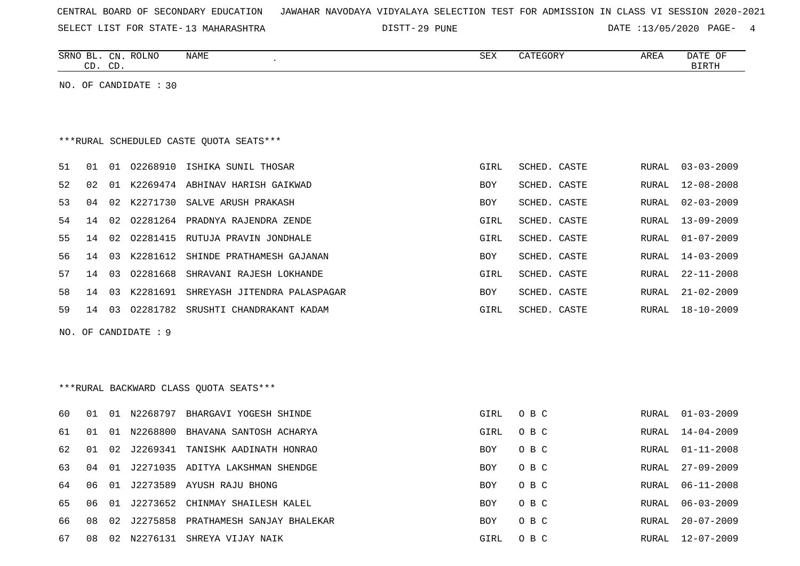| CENTRAL BOARD OF SECONDARY EDUCATION – JAWAHAR NAVODAYA VIDYALAYA SELECTION TEST FOR ADMISSION IN CLASS VI SESSION 2020-2021 |  |
|------------------------------------------------------------------------------------------------------------------------------|--|
|------------------------------------------------------------------------------------------------------------------------------|--|

29 PUNE DATE :13/05/2020 PAGE- 4

| <b>ROLNO</b><br><b>SRNC</b><br>$\cap$ NI<br>۰ ۱۹ ب | <b>NAME</b> | C <sub>0</sub><br>∆∟ت | AREA | OF<br><b>DATE</b> |
|----------------------------------------------------|-------------|-----------------------|------|-------------------|
| $\sim$<br>~-<br>.                                  |             |                       |      | ייחים דם          |
|                                                    |             |                       |      |                   |

NO. OF CANDIDATE : 30

# \*\*\*RURAL SCHEDULED CASTE QUOTA SEATS\*\*\*

| 51.  | 01 | 01  | 02268910 | ISHIKA SUNIL THOSAR                   | GIRL       | SCHED. CASTE | RURAL | 03-03-2009       |
|------|----|-----|----------|---------------------------------------|------------|--------------|-------|------------------|
| 52.  | 02 | 01  | K2269474 | ABHINAV HARISH GAIKWAD                | <b>BOY</b> | SCHED, CASTE | RURAL | 12-08-2008       |
| 53.  | 04 | 02  | K2271730 | SALVE ARUSH PRAKASH                   | <b>BOY</b> | SCHED. CASTE | RURAL | 02-03-2009       |
| 54   | 14 | 02  | 02281264 | PRADNYA RAJENDRA ZENDE                | GIRL       | SCHED. CASTE | RURAL | $13 - 09 - 2009$ |
| 55 - | 14 | 02  | 02281415 | RUTUJA PRAVIN JONDHALE                | GIRL       | SCHED. CASTE | RURAL | 01-07-2009       |
| 56.  | 14 | 03  | K2281612 | SHINDE PRATHAMESH GAJANAN             | <b>BOY</b> | SCHED. CASTE | RURAL | $14 - 03 - 2009$ |
| 57   | 14 | 03  | 02281668 | SHRAVANI RAJESH LOKHANDE              | GIRL       | SCHED, CASTE | RURAL | $22 - 11 - 2008$ |
| 58.  | 14 | 0.3 | K2281691 | SHREYASH JITENDRA PALASPAGAR          | <b>BOY</b> | SCHED, CASTE | RURAL | $21 - 02 - 2009$ |
| 59 - | 14 |     |          | 03 02281782 SRUSHTI CHANDRAKANT KADAM | GIRL       | SCHED. CASTE | RURAL | 18-10-2009       |

NO. OF CANDIDATE : 9

# \*\*\*RURAL BACKWARD CLASS QUOTA SEATS\*\*\*

| 60 | . O 1 | - 01 | N2268797 | BHARGAVI YOGESH SHINDE           | GIRL       | O B C | RURAL | $01 - 03 - 2009$ |
|----|-------|------|----------|----------------------------------|------------|-------|-------|------------------|
| 61 | -01   | -01  | N2268800 | BHAVANA SANTOSH ACHARYA          | GIRL       | O B C | RURAL | 14-04-2009       |
| 62 | O 1   | 02   | J2269341 | TANISHK AADINATH HONRAO          | BOY.       | O B C | RURAL | $01 - 11 - 2008$ |
| 63 | 04    | - 01 |          | J2271035 ADITYA LAKSHMAN SHENDGE | <b>BOY</b> | O B C | RURAL | $27 - 09 - 2009$ |
| 64 |       | -01  | J2273589 | AYUSH RAJU BHONG                 | <b>BOY</b> | O B C | RURAL | 06-11-2008       |
| 65 |       | 01   | 12273652 | CHINMAY SHAILESH KALEL           | <b>BOY</b> | O B C | RURAL | 06-03-2009       |
| 66 | 08    | 02   | 12275858 | PRATHAMESH SANJAY BHALEKAR       | <b>BOY</b> | O B C | RURAL | $20 - 07 - 2009$ |
| 67 | 08    | 02   | N2276131 | SHREYA VIJAY NAIK                | GIRL       | O B C | RURAL | $12 - 07 - 2009$ |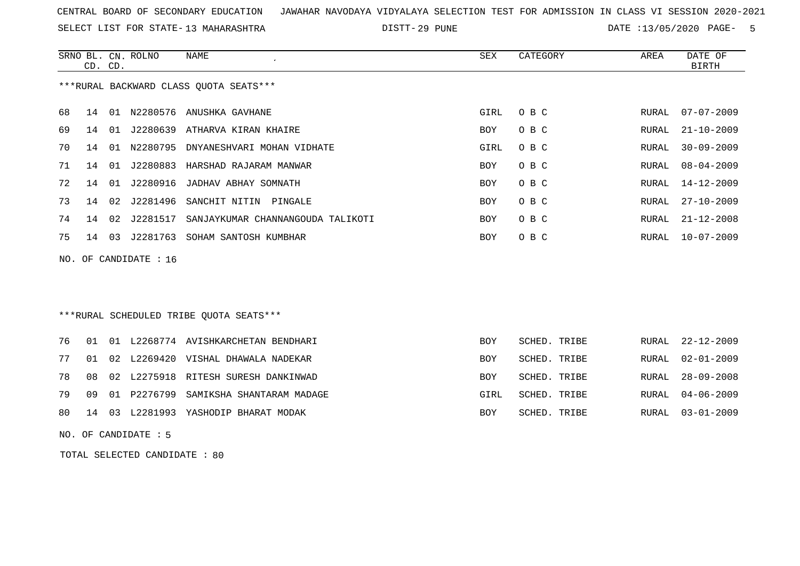SELECT LIST FOR STATE- DISTT- 13 MAHARASHTRA

29 PUNE DATE :13/05/2020 PAGE- 5

|     | CD. CD. |    | SRNO BL. CN. ROLNO | NAME                                   | SEX  | CATEGORY | AREA  | DATE OF<br><b>BIRTH</b> |
|-----|---------|----|--------------------|----------------------------------------|------|----------|-------|-------------------------|
|     |         |    |                    | ***RURAL BACKWARD CLASS OUOTA SEATS*** |      |          |       |                         |
| 68  | 14      | 01 |                    | N2280576 ANUSHKA GAVHANE               | GIRL | O B C    | RURAL | $07 - 07 - 2009$        |
| 69  | 14      | 01 | J2280639           | ATHARVA KIRAN KHAIRE                   | BOY  | O B C    | RURAL | 21-10-2009              |
| 70  | 14      | 01 | N2280795           | DNYANESHVARI MOHAN VIDHATE             | GIRL | O B C    | RURAL | $30 - 09 - 2009$        |
| 71  | 14      | 01 | J2280883           | HARSHAD RAJARAM MANWAR                 | BOY. | O B C    | RURAL | $08 - 04 - 2009$        |
| 72. | 14      | 01 | J2280916           | JADHAV ABHAY SOMNATH                   | BOY  | O B C    | RURAL | 14-12-2009              |
| 73  | 14      | 02 | J2281496           | SANCHIT NITIN<br>PINGALE               | BOY  | O B C    | RURAL | $27 - 10 - 2009$        |
| 74  | 14      | 02 | J2281517           | SANJAYKUMAR CHANNANGOUDA TALIKOTI      | BOY  | O B C    | RURAL | $21 - 12 - 2008$        |
| 75  | 14      | 03 | J2281763           | SOHAM SANTOSH KUMBHAR                  | BOY  | O B C    | RURAL | $10 - 07 - 2009$        |
|     |         |    |                    |                                        |      |          |       |                         |

NO. OF CANDIDATE : 16

## \*\*\*RURAL SCHEDULED TRIBE QUOTA SEATS\*\*\*

|  |  | 76 01 01 L2268774 AVISHKARCHETAN BENDHARI   | BOY        | SCHED. TRIBE | RURAL 22-12-2009 |
|--|--|---------------------------------------------|------------|--------------|------------------|
|  |  | 77 01 02 L2269420 VISHAL DHAWALA NADEKAR    | BOY        | SCHED. TRIBE | RURAL 02-01-2009 |
|  |  | 78 08 02 L2275918 RITESH SURESH DANKINWAD   | BOY        | SCHED. TRIBE | RURAL 28-09-2008 |
|  |  | 79 09 01 P2276799 SAMIKSHA SHANTARAM MADAGE | GIRL       | SCHED. TRIBE | RURAL 04-06-2009 |
|  |  | 80 14 03 L2281993 YASHODIP BHARAT MODAK     | <b>BOY</b> | SCHED. TRIBE | RURAL 03-01-2009 |

NO. OF CANDIDATE : 5

TOTAL SELECTED CANDIDATE : 80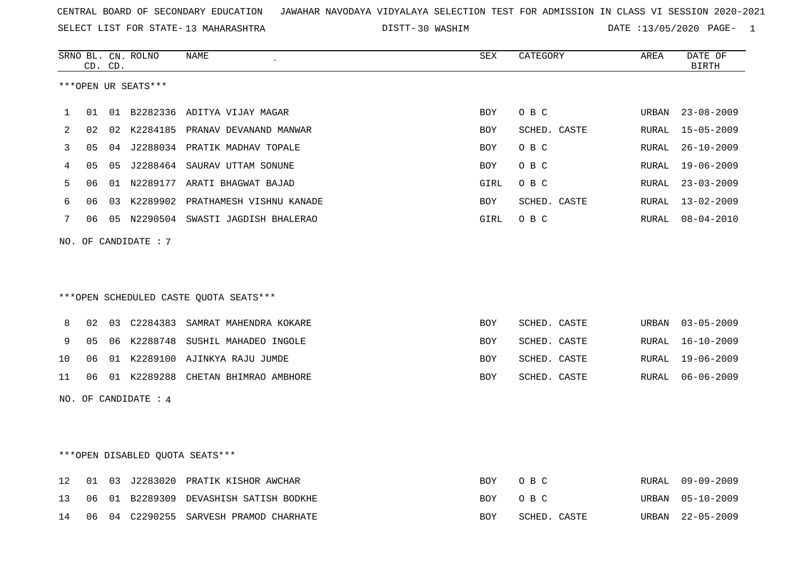SELECT LIST FOR STATE- DISTT- 13 MAHARASHTRA

30 WASHIM DATE :13/05/2020 PAGE- 1

|    |    | CD. CD. | SRNO BL. CN. ROLNO              | NAME                                   | <b>SEX</b> | CATEGORY     | AREA         | DATE OF<br><b>BIRTH</b> |
|----|----|---------|---------------------------------|----------------------------------------|------------|--------------|--------------|-------------------------|
|    |    |         | ***OPEN UR SEATS***             |                                        |            |              |              |                         |
| 1  | 01 |         |                                 | 01 B2282336 ADITYA VIJAY MAGAR         | <b>BOY</b> | O B C        | URBAN        | $23 - 08 - 2009$        |
| 2  | 02 |         |                                 | 02 K2284185 PRANAV DEVANAND MANWAR     | BOY        | SCHED. CASTE | RURAL        | $15 - 05 - 2009$        |
| 3  | 05 |         |                                 | 04 J2288034 PRATIK MADHAV TOPALE       | BOY        | O B C        | <b>RURAL</b> | $26 - 10 - 2009$        |
| 4  | 05 | 05      |                                 | J2288464 SAURAV UTTAM SONUNE           | BOY        | O B C        | RURAL        | $19 - 06 - 2009$        |
| 5  | 06 |         |                                 | 01 N2289177 ARATI BHAGWAT BAJAD        | GIRL       | O B C        | RURAL        | $23 - 03 - 2009$        |
| 6  | 06 | 03      |                                 | K2289902 PRATHAMESH VISHNU KANADE      | BOY        | SCHED. CASTE | RURAL        | $13 - 02 - 2009$        |
| 7  | 06 |         |                                 | 05 N2290504 SWASTI JAGDISH BHALERAO    | GIRL       | O B C        | RURAL        | $08 - 04 - 2010$        |
|    |    |         | NO. OF CANDIDATE : 7            |                                        |            |              |              |                         |
|    |    |         |                                 |                                        |            |              |              |                         |
|    |    |         |                                 |                                        |            |              |              |                         |
|    |    |         |                                 | ***OPEN SCHEDULED CASTE QUOTA SEATS*** |            |              |              |                         |
| 8  | 02 |         | 03 C2284383                     | SAMRAT MAHENDRA KOKARE                 | <b>BOY</b> | SCHED. CASTE | URBAN        | $03 - 05 - 2009$        |
| 9  | 05 |         |                                 | 06 K2288748 SUSHIL MAHADEO INGOLE      | BOY        | SCHED. CASTE | RURAL        | $16 - 10 - 2009$        |
| 10 | 06 |         |                                 | 01 K2289100 AJINKYA RAJU JUMDE         | BOY        | SCHED. CASTE | RURAL        | $19 - 06 - 2009$        |
| 11 | 06 |         |                                 | 01 K2289288 CHETAN BHIMRAO AMBHORE     | <b>BOY</b> | SCHED. CASTE | RURAL        | $06 - 06 - 2009$        |
|    |    |         | NO. OF CANDIDATE : 4            |                                        |            |              |              |                         |
|    |    |         |                                 |                                        |            |              |              |                         |
|    |    |         |                                 |                                        |            |              |              |                         |
|    |    |         | ***OPEN DISABLED OUOTA SEATS*** |                                        |            |              |              |                         |
| 12 | 01 | 03      |                                 | J2283020 PRATIK KISHOR AWCHAR          | BOY        | O B C        | RURAL        | $09 - 09 - 2009$        |
| 13 | 06 | 01      | B2289309                        | DEVASHISH SATISH BODKHE                | BOY        | O B C        | URBAN        | $05 - 10 - 2009$        |
| 14 | 06 |         |                                 | 04 C2290255 SARVESH PRAMOD CHARHATE    | BOY        | SCHED. CASTE | URBAN        | $22 - 05 - 2009$        |
|    |    |         |                                 |                                        |            |              |              |                         |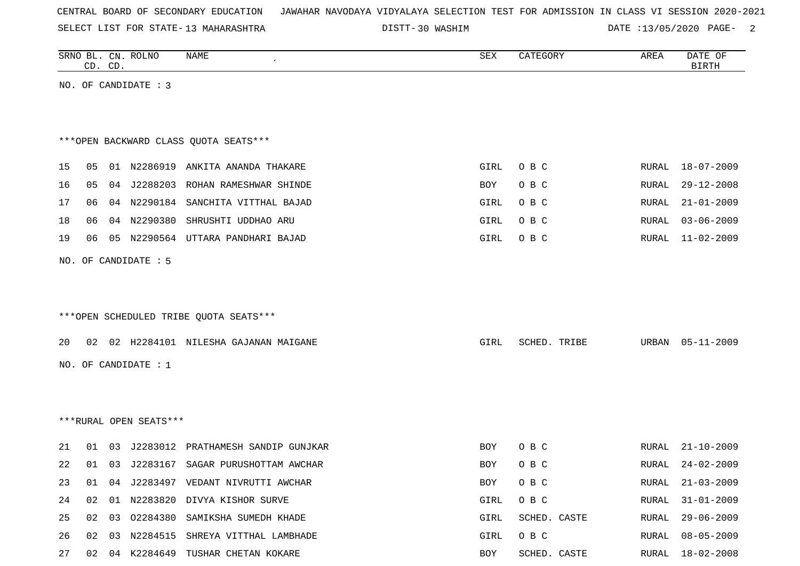| CENTRAL BOARD OF SECONDARY EDUCATION – JAWAHAR NAVODAYA VIDYALAYA SELECTION TEST FOR ADMISSION IN CLASS VI SESSION 2020-2021 |  |  |
|------------------------------------------------------------------------------------------------------------------------------|--|--|
|------------------------------------------------------------------------------------------------------------------------------|--|--|

DISTT-30 WASHIM **DATE** :13/05/2020 PAGE- 2

|    |    | CD. CD. | SRNO BL. CN. ROLNO     | NAME                                   | ${\tt SEX}$ | CATEGORY     | AREA  | DATE OF<br><b>BIRTH</b> |
|----|----|---------|------------------------|----------------------------------------|-------------|--------------|-------|-------------------------|
|    |    |         | NO. OF CANDIDATE : 3   |                                        |             |              |       |                         |
|    |    |         |                        |                                        |             |              |       |                         |
|    |    |         |                        |                                        |             |              |       |                         |
|    |    |         |                        | *** OPEN BACKWARD CLASS QUOTA SEATS*** |             |              |       |                         |
| 15 | 05 |         |                        | 01 N2286919 ANKITA ANANDA THAKARE      | GIRL        | O B C        | RURAL | $18 - 07 - 2009$        |
| 16 | 05 |         | 04 J2288203            | ROHAN RAMESHWAR SHINDE                 | BOY         | O B C        | RURAL | $29 - 12 - 2008$        |
| 17 | 06 |         |                        | 04 N2290184 SANCHITA VITTHAL BAJAD     | GIRL        | O B C        | RURAL | $21 - 01 - 2009$        |
| 18 | 06 |         | 04 N2290380            | SHRUSHTI UDDHAO ARU                    | GIRL        | O B C        | RURAL | $03 - 06 - 2009$        |
| 19 | 06 |         | 05 N2290564            | UTTARA PANDHARI BAJAD                  | GIRL        | O B C        | RURAL | $11 - 02 - 2009$        |
|    |    |         |                        |                                        |             |              |       |                         |
|    |    |         | NO. OF CANDIDATE : 5   |                                        |             |              |       |                         |
|    |    |         |                        |                                        |             |              |       |                         |
|    |    |         |                        |                                        |             |              |       |                         |
|    |    |         |                        | ***OPEN SCHEDULED TRIBE QUOTA SEATS*** |             |              |       |                         |
| 20 | 02 |         |                        | 02 H2284101 NILESHA GAJANAN MAIGANE    | GIRL        | SCHED. TRIBE | URBAN | $05 - 11 - 2009$        |
|    |    |         | NO. OF CANDIDATE : $1$ |                                        |             |              |       |                         |
|    |    |         |                        |                                        |             |              |       |                         |
|    |    |         |                        |                                        |             |              |       |                         |
|    |    |         | ***RURAL OPEN SEATS*** |                                        |             |              |       |                         |
|    |    |         |                        |                                        |             |              |       |                         |
| 21 | 01 | 03      | J2283012               | PRATHAMESH SANDIP GUNJKAR              | BOY         | O B C        | RURAL | $21 - 10 - 2009$        |
| 22 | 01 |         |                        | 03 J2283167 SAGAR PURUSHOTTAM AWCHAR   | BOY         | O B C        | RURAL | $24 - 02 - 2009$        |
| 23 | 01 |         |                        | 04 J2283497 VEDANT NIVRUTTI AWCHAR     | BOY         | O B C        | RURAL | $21 - 03 - 2009$        |
| 24 | 02 |         |                        | 01 N2283820 DIVYA KISHOR SURVE         | GIRL        | O B C        | RURAL | $31 - 01 - 2009$        |
| 25 | 02 |         |                        | 03 02284380 SAMIKSHA SUMEDH KHADE      | GIRL        | SCHED. CASTE | RURAL | $29 - 06 - 2009$        |
| 26 | 02 |         |                        | 03 N2284515 SHREYA VITTHAL LAMBHADE    | GIRL        | O B C        | RURAL | $08 - 05 - 2009$        |
| 27 |    |         |                        | 02 04 K2284649 TUSHAR CHETAN KOKARE    | BOY         | SCHED. CASTE |       | RURAL 18-02-2008        |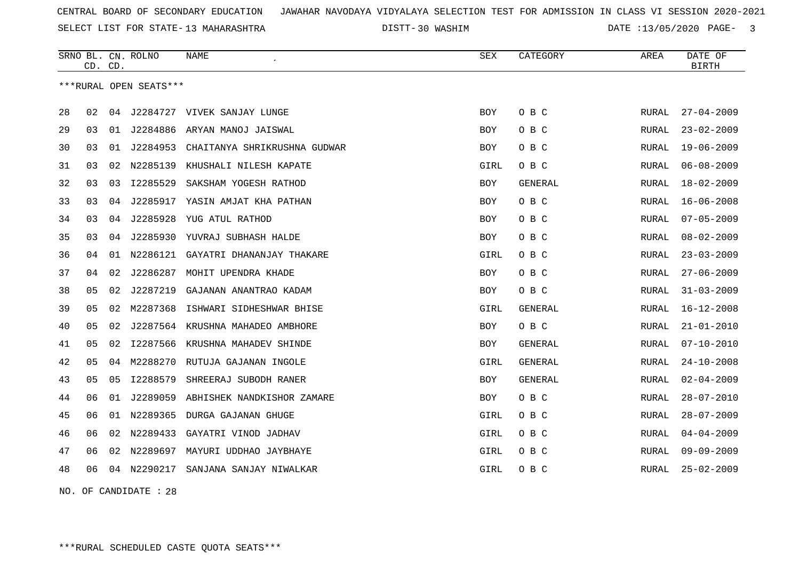SELECT LIST FOR STATE- DISTT- 13 MAHARASHTRA

30 WASHIM DATE :13/05/2020 PAGE- 3

|    | CD. CD. |    | SRNO BL. CN. ROLNO     | NAME                               | SEX        | CATEGORY       | AREA         | DATE OF<br><b>BIRTH</b> |
|----|---------|----|------------------------|------------------------------------|------------|----------------|--------------|-------------------------|
|    |         |    | ***RURAL OPEN SEATS*** |                                    |            |                |              |                         |
| 28 | 02      | 04 |                        | J2284727 VIVEK SANJAY LUNGE        | BOY        | O B C          | RURAL        | $27 - 04 - 2009$        |
| 29 | 03      | 01 | J2284886               | ARYAN MANOJ JAISWAL                | BOY        | O B C          | RURAL        | $23 - 02 - 2009$        |
| 30 | 03      | 01 | J2284953               | CHAITANYA SHRIKRUSHNA GUDWAR       | BOY        | O B C          | RURAL        | $19 - 06 - 2009$        |
| 31 | 03      | 02 | N2285139               | KHUSHALI NILESH KAPATE             | GIRL       | O B C          | RURAL        | $06 - 08 - 2009$        |
| 32 | 03      | 03 | I2285529               | SAKSHAM YOGESH RATHOD              | <b>BOY</b> | GENERAL        | RURAL        | $18 - 02 - 2009$        |
| 33 | 03      | 04 | J2285917               | YASIN AMJAT KHA PATHAN             | BOY        | O B C          | RURAL        | $16 - 06 - 2008$        |
| 34 | 03      | 04 |                        | J2285928 YUG ATUL RATHOD           | BOY        | O B C          | RURAL        | $07 - 05 - 2009$        |
| 35 | 03      | 04 |                        | J2285930 YUVRAJ SUBHASH HALDE      | <b>BOY</b> | O B C          | RURAL        | $08 - 02 - 2009$        |
| 36 | 04      | 01 |                        | N2286121 GAYATRI DHANANJAY THAKARE | GIRL       | O B C          | <b>RURAL</b> | $23 - 03 - 2009$        |
| 37 | 04      | 02 | J2286287               | MOHIT UPENDRA KHADE                | BOY        | O B C          | RURAL        | $27 - 06 - 2009$        |
| 38 | 05      | 02 | J2287219               | GAJANAN ANANTRAO KADAM             | BOY        | O B C          | RURAL        | $31 - 03 - 2009$        |
| 39 | 05      | 02 | M2287368               | ISHWARI SIDHESHWAR BHISE           | GIRL       | <b>GENERAL</b> | RURAL        | $16 - 12 - 2008$        |
| 40 | 05      | 02 | J2287564               | KRUSHNA MAHADEO AMBHORE            | <b>BOY</b> | O B C          | RURAL        | $21 - 01 - 2010$        |
| 41 | 05      | 02 | I2287566               | KRUSHNA MAHADEV SHINDE             | BOY        | GENERAL        | RURAL        | $07 - 10 - 2010$        |
| 42 | 05      | 04 | M2288270               | RUTUJA GAJANAN INGOLE              | GIRL       | <b>GENERAL</b> | RURAL        | $24 - 10 - 2008$        |
| 43 | 05      | 05 | I2288579               | SHREERAJ SUBODH RANER              | BOY        | <b>GENERAL</b> | RURAL        | $02 - 04 - 2009$        |
| 44 | 06      | 01 | J2289059               | ABHISHEK NANDKISHOR ZAMARE         | BOY        | O B C          | RURAL        | $28 - 07 - 2010$        |
| 45 | 06      |    |                        | 01 N2289365 DURGA GAJANAN GHUGE    | GIRL       | O B C          | RURAL        | $28 - 07 - 2009$        |
| 46 | 06      | 02 | N2289433               | GAYATRI VINOD JADHAV               | GIRL       | O B C          | RURAL        | $04 - 04 - 2009$        |
| 47 | 06      |    | 02 N2289697            | MAYURI UDDHAO JAYBHAYE             | GIRL       | O B C          | RURAL        | $09 - 09 - 2009$        |
| 48 | 06      |    | 04 N2290217            | SANJANA SANJAY NIWALKAR            | GIRL       | O B C          | RURAL        | $25 - 02 - 2009$        |

NO. OF CANDIDATE : 28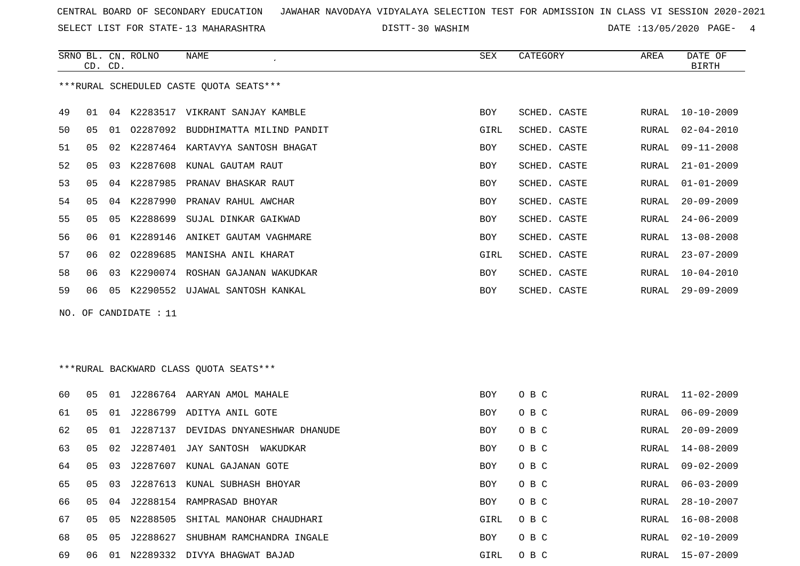SELECT LIST FOR STATE- DISTT- 13 MAHARASHTRA

30 WASHIM DATE :13/05/2020 PAGE- 4

|    | CD. CD.        |    | SRNO BL. CN. ROLNO    | NAME                                    | SEX        | CATEGORY     | AREA  | DATE OF<br><b>BIRTH</b> |
|----|----------------|----|-----------------------|-----------------------------------------|------------|--------------|-------|-------------------------|
|    |                |    |                       | ***RURAL SCHEDULED CASTE QUOTA SEATS*** |            |              |       |                         |
| 49 | 01             |    |                       | 04 K2283517 VIKRANT SANJAY KAMBLE       | BOY        | SCHED. CASTE | RURAL | $10 - 10 - 2009$        |
| 50 | 05             |    |                       | 01 02287092 BUDDHIMATTA MILIND PANDIT   | GIRL       | SCHED. CASTE | RURAL | $02 - 04 - 2010$        |
| 51 | 05             | 02 |                       | K2287464 KARTAVYA SANTOSH BHAGAT        | BOY        | SCHED. CASTE | RURAL | $09 - 11 - 2008$        |
| 52 | 05             |    |                       | 03 K2287608 KUNAL GAUTAM RAUT           | BOY        | SCHED. CASTE | RURAL | $21 - 01 - 2009$        |
| 53 | 05             |    |                       | 04 K2287985 PRANAV BHASKAR RAUT         | BOY        | SCHED. CASTE | RURAL | $01 - 01 - 2009$        |
| 54 | 05             |    |                       | 04 K2287990 PRANAV RAHUL AWCHAR         | BOY        | SCHED. CASTE | RURAL | $20 - 09 - 2009$        |
| 55 | 0 <sub>5</sub> | 05 | K2288699              | SUJAL DINKAR GAIKWAD                    | BOY        | SCHED. CASTE | RURAL | $24 - 06 - 2009$        |
| 56 | 06             | 01 |                       | K2289146 ANIKET GAUTAM VAGHMARE         | BOY        | SCHED. CASTE | RURAL | $13 - 08 - 2008$        |
| 57 | 06             | 02 |                       | 02289685 MANISHA ANIL KHARAT            | GIRL       | SCHED. CASTE | RURAL | $23 - 07 - 2009$        |
| 58 | 06             | 03 |                       | K2290074 ROSHAN GAJANAN WAKUDKAR        | BOY        | SCHED. CASTE | RURAL | $10 - 04 - 2010$        |
| 59 | 06             |    |                       | 05 K2290552 UJAWAL SANTOSH KANKAL       | BOY        | SCHED. CASTE | RURAL | $29 - 09 - 2009$        |
|    |                |    | NO. OF CANDIDATE : 11 |                                         |            |              |       |                         |
|    |                |    |                       |                                         |            |              |       |                         |
|    |                |    |                       |                                         |            |              |       |                         |
|    |                |    |                       | ***RURAL BACKWARD CLASS OUOTA SEATS***  |            |              |       |                         |
| 60 | 05             |    |                       | 01 J2286764 AARYAN AMOL MAHALE          | BOY        | O B C        | RURAL | $11 - 02 - 2009$        |
| 61 | 0 <sub>5</sub> |    |                       | 01 J2286799 ADITYA ANIL GOTE            | BOY        | O B C        | RURAL | $06 - 09 - 2009$        |
| 62 | 05             | 01 |                       | J2287137 DEVIDAS DNYANESHWAR DHANUDE    | <b>BOY</b> | O B C        | RURAL | $20 - 09 - 2009$        |
| 63 | 05             | 02 |                       | J2287401 JAY SANTOSH WAKUDKAR           | <b>BOY</b> | O B C        | RURAL | $14 - 08 - 2009$        |
| 64 | 05             | 03 |                       | J2287607 KUNAL GAJANAN GOTE             | BOY        | O B C        | RURAL | $09 - 02 - 2009$        |
| 65 | 05             | 03 |                       | J2287613 KUNAL SUBHASH BHOYAR           | BOY        | O B C        | RURAL | $06 - 03 - 2009$        |
| 66 | 05             | 04 |                       | J2288154 RAMPRASAD BHOYAR               | BOY        | O B C        | RURAL | $28 - 10 - 2007$        |
| 67 | 05             |    |                       | 05 N2288505 SHITAL MANOHAR CHAUDHARI    | GIRL       | O B C        | RURAL | $16 - 08 - 2008$        |

68 05 05 J2288627 SHUBHAM RAMCHANDRA INGALE BOY O B C RURAL 02-10-2009 69 06 01 N2289332 DIVYA BHAGWAT BAJAD GIRL O B C RURAL 15-07-2009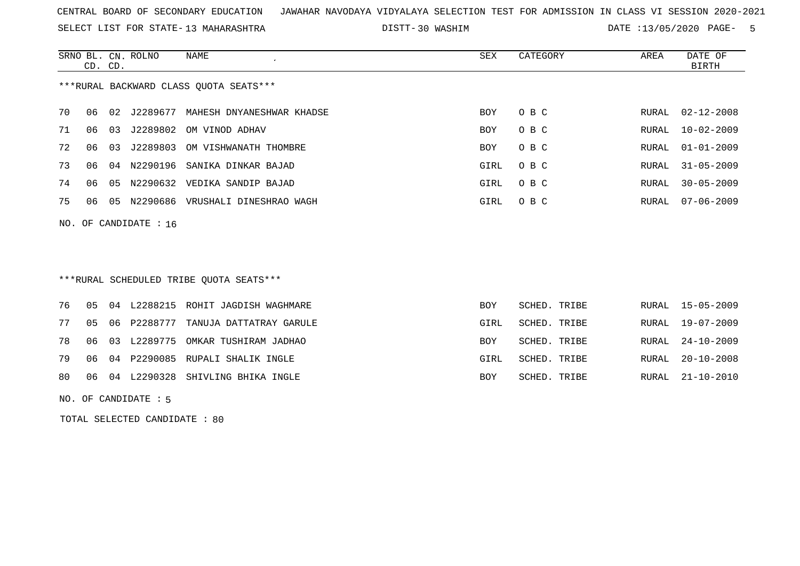SELECT LIST FOR STATE- DISTT- 13 MAHARASHTRA

30 WASHIM DATE :13/05/2020 PAGE- 5

|                                        | CD. CD. |    | SRNO BL. CN. ROLNO | NAME                      | SEX        | CATEGORY | AREA  | DATE OF<br>BIRTH |
|----------------------------------------|---------|----|--------------------|---------------------------|------------|----------|-------|------------------|
| ***RURAL BACKWARD CLASS OUOTA SEATS*** |         |    |                    |                           |            |          |       |                  |
| 70                                     | 06      | 02 | J2289677           | MAHESH DNYANESHWAR KHADSE | <b>BOY</b> | O B C    |       | RURAL 02-12-2008 |
| 71                                     | 06      | 03 | J2289802           | OM VINOD ADHAV            | BOY        | O B C    | RURAL | $10 - 02 - 2009$ |
| 72                                     | 06      | 03 | J2289803           | OM VISHWANATH THOMBRE     | <b>BOY</b> | O B C    | RURAL | $01 - 01 - 2009$ |
| 73                                     | 06      | 04 | N2290196           | SANIKA DINKAR BAJAD       | GIRL       | O B C    | RURAL | $31 - 05 - 2009$ |
| 74                                     | 06      | 05 | N2290632           | VEDIKA SANDIP BAJAD       | GIRL       | O B C    | RURAL | $30 - 05 - 2009$ |
| 75                                     | 06      | 05 | N2290686           | VRUSHALI DINESHRAO WAGH   | GIRL       | O B C    | RURAL | 07-06-2009       |

NO. OF CANDIDATE : 16

# \*\*\*RURAL SCHEDULED TRIBE QUOTA SEATS\*\*\*

|  |  | 76 05 04 L2288215 ROHIT JAGDISH WAGHMARE  | BOY        | SCHED. TRIBE |  | RURAL 15-05-2009 |
|--|--|-------------------------------------------|------------|--------------|--|------------------|
|  |  | 77 05 06 P2288777 TANUJA DATTATRAY GARULE | GIRL       | SCHED. TRIBE |  | RURAL 19-07-2009 |
|  |  | 78 06 03 L2289775 OMKAR TUSHIRAM JADHAO   | <b>BOY</b> | SCHED. TRIBE |  | RURAL 24-10-2009 |
|  |  | 79 06 04 P2290085 RUPALI SHALIK INGLE     | GIRL       | SCHED. TRIBE |  | RURAL 20-10-2008 |
|  |  | 80 06 04 L2290328 SHIVLING BHIKA INGLE    | <b>BOY</b> | SCHED. TRIBE |  | RURAL 21-10-2010 |
|  |  |                                           |            |              |  |                  |

NO. OF CANDIDATE : 5

TOTAL SELECTED CANDIDATE : 80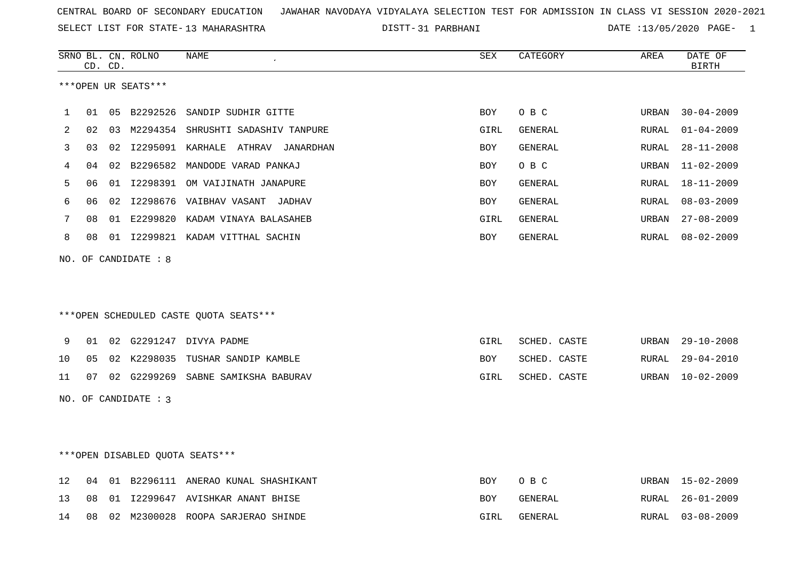SELECT LIST FOR STATE- DISTT- 13 MAHARASHTRA

31 PARBHANI DATE :13/05/2020 PAGE- 1

|                      |    | CD. CD. | SRNO BL. CN. ROLNO  | NAME                                   | <b>SEX</b>  | CATEGORY       | AREA         | DATE OF<br><b>BIRTH</b> |  |
|----------------------|----|---------|---------------------|----------------------------------------|-------------|----------------|--------------|-------------------------|--|
|                      |    |         | ***OPEN UR SEATS*** |                                        |             |                |              |                         |  |
| 1                    | 01 |         | 05 B2292526         | SANDIP SUDHIR GITTE                    | <b>BOY</b>  | O B C          | URBAN        | $30 - 04 - 2009$        |  |
| 2                    | 02 |         |                     | 03 M2294354 SHRUSHTI SADASHIV TANPURE  | GIRL        | GENERAL        | RURAL        | $01 - 04 - 2009$        |  |
| 3                    | 03 |         |                     | 02 I2295091 KARHALE ATHRAV JANARDHAN   | <b>BOY</b>  | GENERAL        | RURAL        | $28 - 11 - 2008$        |  |
| 4                    | 04 |         |                     | 02 B2296582 MANDODE VARAD PANKAJ       | BOY         | O B C          | URBAN        | $11 - 02 - 2009$        |  |
| 5                    | 06 | 01      |                     | 12298391 OM VAIJINATH JANAPURE         | BOY         | GENERAL        | RURAL        | $18 - 11 - 2009$        |  |
| 6                    | 06 |         |                     | 02 I2298676 VAIBHAV VASANT JADHAV      | BOY         | GENERAL        | RURAL        | $08 - 03 - 2009$        |  |
| 7                    | 08 |         |                     | 01 E2299820 KADAM VINAYA BALASAHEB     | GIRL        | GENERAL        | URBAN        | $27 - 08 - 2009$        |  |
| 8                    | 08 |         |                     | 01 I2299821 KADAM VITTHAL SACHIN       | <b>BOY</b>  | GENERAL        | RURAL        | $08 - 02 - 2009$        |  |
| NO.                  |    |         | OF CANDIDATE : 8    | ***OPEN SCHEDULED CASTE QUOTA SEATS*** |             |                |              |                         |  |
| 9                    | 01 |         |                     | 02 G2291247 DIVYA PADME                | <b>GIRL</b> | SCHED. CASTE   | URBAN        | $29 - 10 - 2008$        |  |
| 10                   | 05 |         |                     | 02 K2298035 TUSHAR SANDIP KAMBLE       | BOY         | SCHED. CASTE   | RURAL        | $29 - 04 - 2010$        |  |
| 11                   | 07 |         |                     | 02 G2299269 SABNE SAMIKSHA BABURAV     | GIRL        | SCHED. CASTE   | URBAN        | $10 - 02 - 2009$        |  |
| NO. OF CANDIDATE : 3 |    |         |                     |                                        |             |                |              |                         |  |
|                      |    |         |                     | ***OPEN DISABLED OUOTA SEATS***        |             |                |              |                         |  |
| 12                   | 04 |         |                     | 01 B2296111 ANERAO KUNAL SHASHIKANT    | <b>BOY</b>  | O B C          | URBAN        | $15 - 02 - 2009$        |  |
| 13                   | 08 |         |                     | 01 I2299647 AVISHKAR ANANT BHISE       | BOY         | GENERAL        | RURAL        | $26 - 01 - 2009$        |  |
| 14                   | 08 |         |                     | 02 M2300028 ROOPA SARJERAO SHINDE      | GIRL        | <b>GENERAL</b> | <b>RURAL</b> | $03 - 08 - 2009$        |  |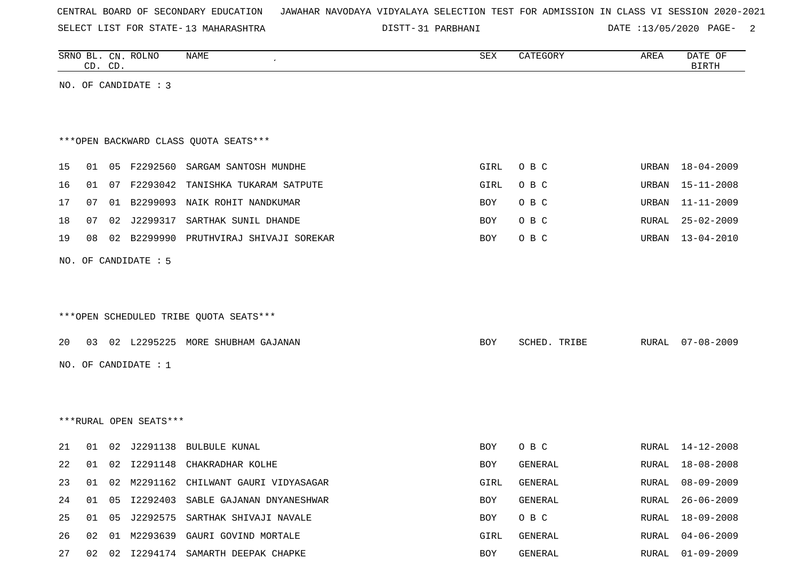|  | CENTRAL BOARD OF SECONDARY EDUCATION – JAWAHAR NAVODAYA VIDYALAYA SELECTION TEST FOR ADMISSION IN CLASS VI SESSION 2020-2021 |
|--|------------------------------------------------------------------------------------------------------------------------------|
|--|------------------------------------------------------------------------------------------------------------------------------|

DISTT-31 PARBHANI 2000 DATE :13/05/2020 PAGE- 2

|    |    | CD. CD. | SRNO BL. CN. ROLNO     | <b>NAME</b>                            | <b>SEX</b> | CATEGORY     | AREA  | DATE OF<br><b>BIRTH</b> |
|----|----|---------|------------------------|----------------------------------------|------------|--------------|-------|-------------------------|
|    |    |         | NO. OF CANDIDATE : 3   |                                        |            |              |       |                         |
|    |    |         |                        |                                        |            |              |       |                         |
|    |    |         |                        |                                        |            |              |       |                         |
|    |    |         |                        | *** OPEN BACKWARD CLASS QUOTA SEATS*** |            |              |       |                         |
| 15 | 01 |         |                        | 05 F2292560 SARGAM SANTOSH MUNDHE      | GIRL       | O B C        | URBAN | 18-04-2009              |
| 16 | 01 |         | 07 F2293042            | TANISHKA TUKARAM SATPUTE               | GIRL       | O B C        | URBAN | 15-11-2008              |
| 17 | 07 |         |                        | 01 B2299093 NAIK ROHIT NANDKUMAR       | BOY        | O B C        | URBAN | 11-11-2009              |
| 18 | 07 |         | 02 J2299317            | SARTHAK SUNIL DHANDE                   | BOY        | O B C        | RURAL | $25 - 02 - 2009$        |
| 19 | 08 | 02      | B2299990               | PRUTHVIRAJ SHIVAJI SOREKAR             | BOY        | O B C        | URBAN | $13 - 04 - 2010$        |
|    |    |         | NO. OF CANDIDATE : 5   |                                        |            |              |       |                         |
|    |    |         |                        |                                        |            |              |       |                         |
|    |    |         |                        |                                        |            |              |       |                         |
|    |    |         |                        | ***OPEN SCHEDULED TRIBE QUOTA SEATS*** |            |              |       |                         |
|    |    |         |                        |                                        |            |              |       |                         |
| 20 | 03 |         |                        | 02 L2295225 MORE SHUBHAM GAJANAN       | <b>BOY</b> | SCHED. TRIBE |       | RURAL 07-08-2009        |
|    |    |         | NO. OF CANDIDATE : 1   |                                        |            |              |       |                         |
|    |    |         |                        |                                        |            |              |       |                         |
|    |    |         |                        |                                        |            |              |       |                         |
|    |    |         | ***RURAL OPEN SEATS*** |                                        |            |              |       |                         |
| 21 | 01 |         |                        | 02 J2291138 BULBULE KUNAL              | BOY        | O B C        | RURAL | 14-12-2008              |
| 22 | 01 |         |                        | 02 I2291148 CHAKRADHAR KOLHE           | <b>BOY</b> | GENERAL      |       | RURAL 18-08-2008        |
| 23 | 01 |         |                        | 02 M2291162 CHILWANT GAURI VIDYASAGAR  | GIRL       | GENERAL      | RURAL | $08 - 09 - 2009$        |
| 24 | 01 | 05      |                        | I2292403 SABLE GAJANAN DNYANESHWAR     | BOY        | GENERAL      | RURAL | 26-06-2009              |
| 25 | 01 | 05      |                        | J2292575 SARTHAK SHIVAJI NAVALE        | BOY        | O B C        | RURAL | $18 - 09 - 2008$        |
| 26 |    |         |                        | 02 01 M2293639 GAURI GOVIND MORTALE    | GIRL       | GENERAL      | RURAL | $04 - 06 - 2009$        |
| 27 |    |         |                        | 02 02 I2294174 SAMARTH DEEPAK CHAPKE   | BOY        | GENERAL      |       | RURAL 01-09-2009        |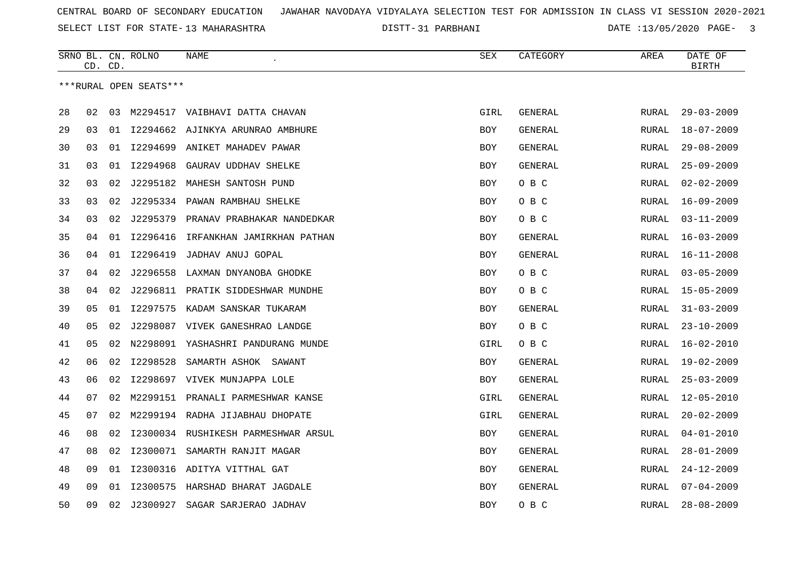SELECT LIST FOR STATE- DISTT- 13 MAHARASHTRA

31 PARBHANI DATE :13/05/2020 PAGE- 3

|    |    | CD. CD. | SRNO BL. CN. ROLNO     | NAME                                | SEX         | CATEGORY       | AREA         | DATE OF<br><b>BIRTH</b> |
|----|----|---------|------------------------|-------------------------------------|-------------|----------------|--------------|-------------------------|
|    |    |         | ***RURAL OPEN SEATS*** |                                     |             |                |              |                         |
| 28 | 02 | 03      |                        | M2294517 VAIBHAVI DATTA CHAVAN      | <b>GIRL</b> | <b>GENERAL</b> | RURAL        | $29 - 03 - 2009$        |
|    | 03 | 01      |                        |                                     |             |                |              |                         |
| 29 |    |         |                        | 12294662 AJINKYA ARUNRAO AMBHURE    | <b>BOY</b>  | GENERAL        | RURAL        | $18 - 07 - 2009$        |
| 30 | 03 | 01      | I2294699               | ANIKET MAHADEV PAWAR                | <b>BOY</b>  | <b>GENERAL</b> | <b>RURAL</b> | $29 - 08 - 2009$        |
| 31 | 03 | 01      | I2294968               | GAURAV UDDHAV SHELKE                | BOY         | GENERAL        | RURAL        | $25 - 09 - 2009$        |
| 32 | 03 | 02      |                        | J2295182 MAHESH SANTOSH PUND        | BOY         | O B C          | RURAL        | $02 - 02 - 2009$        |
| 33 | 03 | 02      |                        | J2295334 PAWAN RAMBHAU SHELKE       | <b>BOY</b>  | O B C          | RURAL        | $16 - 09 - 2009$        |
| 34 | 03 | 02      | J2295379               | PRANAV PRABHAKAR NANDEDKAR          | <b>BOY</b>  | O B C          | <b>RURAL</b> | $03 - 11 - 2009$        |
| 35 | 04 | 01      | I2296416               | IRFANKHAN JAMIRKHAN PATHAN          | BOY         | GENERAL        | RURAL        | $16 - 03 - 2009$        |
| 36 | 04 |         | 01 12296419            | JADHAV ANUJ GOPAL                   | BOY         | <b>GENERAL</b> | RURAL        | $16 - 11 - 2008$        |
| 37 | 04 | 02      |                        | J2296558 LAXMAN DNYANOBA GHODKE     | <b>BOY</b>  | O B C          | RURAL        | $03 - 05 - 2009$        |
| 38 | 04 | 02      |                        | J2296811 PRATIK SIDDESHWAR MUNDHE   | <b>BOY</b>  | O B C          | RURAL        | $15 - 05 - 2009$        |
| 39 | 05 | 01      | I2297575               | KADAM SANSKAR TUKARAM               | <b>BOY</b>  | GENERAL        | RURAL        | $31 - 03 - 2009$        |
| 40 | 05 | 02      |                        | J2298087 VIVEK GANESHRAO LANDGE     | BOY         | O B C          | RURAL        | $23 - 10 - 2009$        |
| 41 | 05 | 02      |                        | N2298091 YASHASHRI PANDURANG MUNDE  | GIRL        | O B C          | RURAL        | $16 - 02 - 2010$        |
| 42 | 06 | 02      | I2298528               | SAMARTH ASHOK SAWANT                | <b>BOY</b>  | GENERAL        | RURAL        | $19 - 02 - 2009$        |
| 43 | 06 | 02      |                        | 12298697 VIVEK MUNJAPPA LOLE        | <b>BOY</b>  | <b>GENERAL</b> | RURAL        | $25 - 03 - 2009$        |
| 44 | 07 | 02      |                        | M2299151 PRANALI PARMESHWAR KANSE   | GIRL        | <b>GENERAL</b> | RURAL        | $12 - 05 - 2010$        |
| 45 | 07 | 02      |                        | M2299194 RADHA JIJABHAU DHOPATE     | GIRL        | GENERAL        | RURAL        | $20 - 02 - 2009$        |
| 46 | 08 | 02      |                        | 12300034 RUSHIKESH PARMESHWAR ARSUL | BOY         | GENERAL        | RURAL        | $04 - 01 - 2010$        |
| 47 | 08 | 02      | I2300071               | SAMARTH RANJIT MAGAR                | <b>BOY</b>  | GENERAL        | RURAL        | $28 - 01 - 2009$        |
| 48 | 09 | 01      | I2300316               | ADITYA VITTHAL GAT                  | BOY         | GENERAL        | RURAL        | $24 - 12 - 2009$        |
| 49 | 09 | 01      |                        | I2300575 HARSHAD BHARAT JAGDALE     | <b>BOY</b>  | GENERAL        | RURAL        | $07 - 04 - 2009$        |
| 50 | 09 | 02      | J2300927               | SAGAR SARJERAO JADHAV               | <b>BOY</b>  | O B C          | RURAL        | $28 - 08 - 2009$        |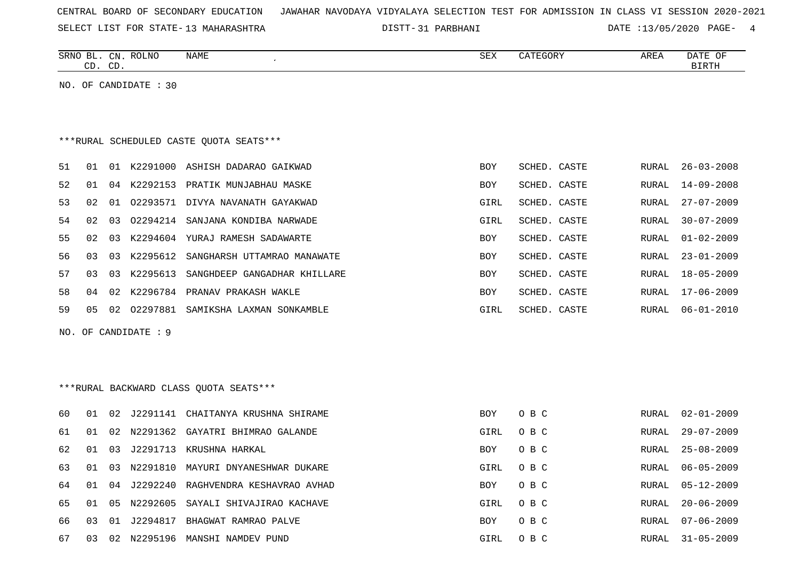| CENTRAL BOARD OF SECONDARY EDUCATION – JAWAHAR NAVODAYA VIDYALAYA SELECTION TEST FOR ADMISSION IN CLASS VI SESSION 2020-2021 |
|------------------------------------------------------------------------------------------------------------------------------|
|------------------------------------------------------------------------------------------------------------------------------|

DISTT-31 PARBHANI DATE :13/05/2020 PAGE- 4

|    |    | CD. CD. | SRNO BL. CN. ROLNO    | NAME                                    | SEX        | CATEGORY     | AREA         | DATE OF<br><b>BIRTH</b> |
|----|----|---------|-----------------------|-----------------------------------------|------------|--------------|--------------|-------------------------|
|    |    |         | NO. OF CANDIDATE : 30 |                                         |            |              |              |                         |
|    |    |         |                       |                                         |            |              |              |                         |
|    |    |         |                       |                                         |            |              |              |                         |
|    |    |         |                       | ***RURAL SCHEDULED CASTE OUOTA SEATS*** |            |              |              |                         |
| 51 | 01 |         |                       | 01 K2291000 ASHISH DADARAO GAIKWAD      | <b>BOY</b> | SCHED. CASTE | RURAL        | $26 - 03 - 2008$        |
| 52 | 01 |         |                       | 04 K2292153 PRATIK MUNJABHAU MASKE      | BOY        | SCHED. CASTE | RURAL        | $14 - 09 - 2008$        |
| 53 | 02 |         |                       | 01 02293571 DIVYA NAVANATH GAYAKWAD     | GIRL       | SCHED. CASTE | RURAL        | $27 - 07 - 2009$        |
| 54 | 02 | 03      |                       | 02294214 SANJANA KONDIBA NARWADE        | GIRL       | SCHED. CASTE | RURAL        | $30 - 07 - 2009$        |
| 55 | 02 | 03      |                       | K2294604 YURAJ RAMESH SADAWARTE         | BOY        | SCHED. CASTE | <b>RURAL</b> | $01 - 02 - 2009$        |
| 56 | 03 | 03      | K2295612              | SANGHARSH UTTAMRAO MANAWATE             | BOY        | SCHED. CASTE | RURAL        | $23 - 01 - 2009$        |
| 57 | 03 | 03      |                       | K2295613 SANGHDEEP GANGADHAR KHILLARE   | <b>BOY</b> | SCHED. CASTE | RURAL        | $18 - 05 - 2009$        |
| 58 | 04 | 02      |                       | K2296784 PRANAV PRAKASH WAKLE           | BOY        | SCHED. CASTE | RURAL        | $17 - 06 - 2009$        |
| 59 | 05 |         |                       | 02 02297881 SAMIKSHA LAXMAN SONKAMBLE   | GIRL       | SCHED. CASTE | RURAL        | $06 - 01 - 2010$        |
|    |    |         | NO. OF CANDIDATE : 9  |                                         |            |              |              |                         |
|    |    |         |                       |                                         |            |              |              |                         |
|    |    |         |                       |                                         |            |              |              |                         |
|    |    |         |                       | ***RURAL BACKWARD CLASS QUOTA SEATS***  |            |              |              |                         |
| 60 | 01 | 02      |                       | J2291141 CHAITANYA KRUSHNA SHIRAME      | <b>BOY</b> | O B C        | RURAL        | $02 - 01 - 2009$        |
| 61 | 01 | 02      |                       | N2291362 GAYATRI BHIMRAO GALANDE        | GIRL       | O B C        | RURAL        | $29 - 07 - 2009$        |
| 62 | 01 | 03      | J2291713              | KRUSHNA HARKAL                          | <b>BOY</b> | O B C        | <b>RURAL</b> | $25 - 08 - 2009$        |
| 63 | 01 | 03      | N2291810              | MAYURI DNYANESHWAR DUKARE               | GIRL       | O B C        | <b>RURAL</b> | $06 - 05 - 2009$        |
| 64 | 01 | 04      | J2292240              | RAGHVENDRA KESHAVRAO AVHAD              | <b>BOY</b> | O B C        | RURAL        | $05 - 12 - 2009$        |
| 65 | 01 | 05      | N2292605              | SAYALI SHIVAJIRAO KACHAVE               | GIRL       | O B C        | RURAL        | $20 - 06 - 2009$        |
| 66 | 03 |         |                       | 01 J2294817 BHAGWAT RAMRAO PALVE        | <b>BOY</b> | O B C        | RURAL        | $07 - 06 - 2009$        |

67 03 02 N2295196 MANSHI NAMDEV PUND CONTROL O B C STRL O B C RURAL 31-05-2009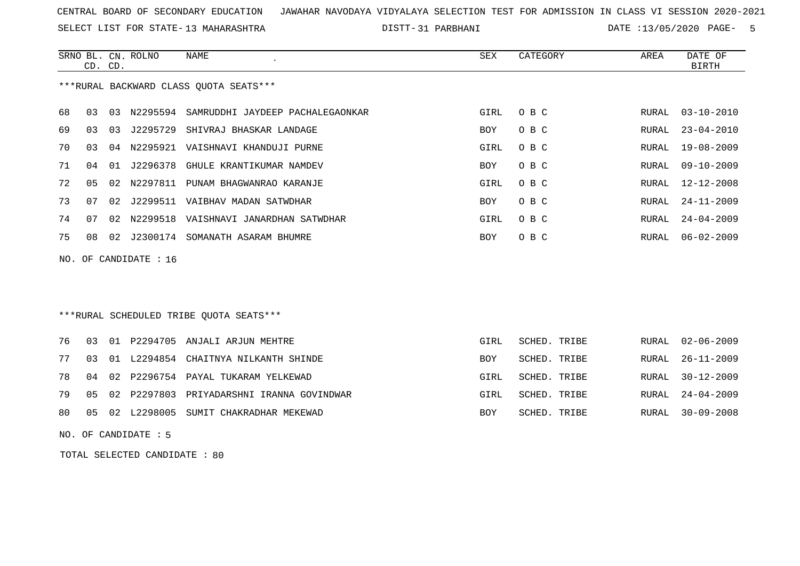SELECT LIST FOR STATE- DISTT- 13 MAHARASHTRA

31 PARBHANI DATE :13/05/2020 PAGE- 5

|     |    | CD. CD. | SRNO BL. CN. ROLNO | <b>NAME</b>                               | <b>SEX</b> | CATEGORY            | AREA  | DATE OF<br><b>BIRTH</b> |
|-----|----|---------|--------------------|-------------------------------------------|------------|---------------------|-------|-------------------------|
|     |    |         |                    | ***RURAL BACKWARD CLASS OUOTA SEATS***    |            |                     |       |                         |
| 68  | 03 | 03      |                    | N2295594 SAMRUDDHI JAYDEEP PACHALEGAONKAR | GIRL       | O B C               | RURAL | $03 - 10 - 2010$        |
| 69  | 03 | 03      | J2295729           | SHIVRAJ BHASKAR LANDAGE                   | BOY        | O B C               | RURAL | $23 - 04 - 2010$        |
| 70  | 03 |         |                    | 04 N2295921 VAISHNAVI KHANDUJI PURNE      | GIRL       | O B C               | RURAL | $19 - 08 - 2009$        |
| 71  | 04 |         |                    | 01 J2296378 GHULE KRANTIKUMAR NAMDEV      | BOY        | O B C               | RURAL | $09 - 10 - 2009$        |
| 72  | 05 | 02      | N2297811           | PUNAM BHAGWANRAO KARANJE                  | GIRL       | O B C               | RURAL | $12 - 12 - 2008$        |
| 73  | 07 | 02      | J2299511           | VAIBHAV MADAN SATWDHAR                    | BOY        | O B C               | RURAL | $24 - 11 - 2009$        |
| 74  | 07 | 02      | N2299518           | VAISHNAVI JANARDHAN SATWDHAR              | GIRL       | O B C               | RURAL | $24 - 04 - 2009$        |
| 75  | 08 | 02      | J2300174           | SOMANATH ASARAM BHUMRE                    | <b>BOY</b> | O B C               | RURAL | $06 - 02 - 2009$        |
| NO. |    |         | OF CANDIDATE : 16  |                                           |            |                     |       |                         |
|     |    |         |                    |                                           |            |                     |       |                         |
|     |    |         |                    |                                           |            |                     |       |                         |
|     |    |         |                    | ***RURAL SCHEDULED TRIBE OUOTA SEATS***   |            |                     |       |                         |
| 76  | 03 |         |                    | 01 P2294705 ANJALI ARJUN MEHTRE           | GIRL       | SCHED. TRIBE        | RURAL | $02 - 06 - 2009$        |
| 77  | 03 | 01      | L2294854           | CHAITNYA NILKANTH SHINDE                  | <b>BOY</b> | <b>SCHED. TRIBE</b> | RURAL | $26 - 11 - 2009$        |
| 78  | 04 |         |                    | 02 P2296754 PAYAL TUKARAM YELKEWAD        | GIRL       | SCHED. TRIBE        | RURAL | $30 - 12 - 2009$        |
| 79  | 05 |         | 02 P2297803        | PRIYADARSHNI IRANNA GOVINDWAR             | GIRL       | SCHED. TRIBE        | RURAL | $24 - 04 - 2009$        |

- 80 05 02 L2298005 SUMIT CHAKRADHAR MEKEWAD SCHED. TRIBE ROY SCHED. TRIBE RURAL 30-09-2008
- NO. OF CANDIDATE : 5

TOTAL SELECTED CANDIDATE : 80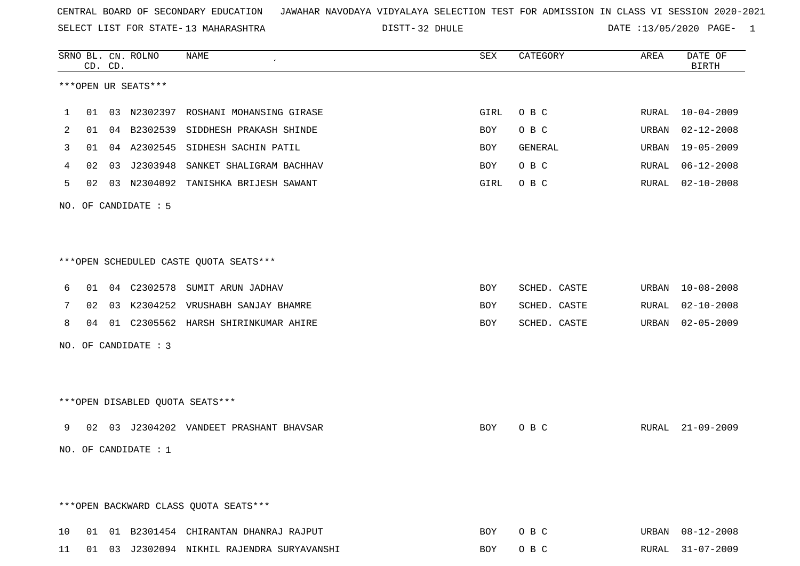SELECT LIST FOR STATE- DISTT- 13 MAHARASHTRA

DISTT-32 DHULE DATE :13/05/2020 PAGE- 1

|    |    | CD. CD. | SRNO BL. CN. ROLNO     | <b>NAME</b>                                   | SEX        | CATEGORY     | AREA  | DATE OF<br><b>BIRTH</b> |
|----|----|---------|------------------------|-----------------------------------------------|------------|--------------|-------|-------------------------|
|    |    |         | ***OPEN UR SEATS***    |                                               |            |              |       |                         |
| ı  |    |         |                        | 01 03 N2302397 ROSHANI MOHANSING GIRASE       | GIRL       | O B C        | RURAL | 10-04-2009              |
| 2  | 01 | 04      | B2302539               | SIDDHESH PRAKASH SHINDE                       | BOY        | O B C        | URBAN | $02 - 12 - 2008$        |
| 3  | 01 |         | 04 A2302545            | SIDHESH SACHIN PATIL                          | BOY        | GENERAL      | URBAN | $19 - 05 - 2009$        |
| 4  | 02 | 03      | J2303948               | SANKET SHALIGRAM BACHHAV                      | BOY        | O B C        | RURAL | $06 - 12 - 2008$        |
| 5  | 02 |         |                        | 03 N2304092 TANISHKA BRIJESH SAWANT           | GIRL       | O B C        | RURAL | $02 - 10 - 2008$        |
|    |    |         | NO. OF CANDIDATE : 5   |                                               |            |              |       |                         |
|    |    |         |                        | ***OPEN SCHEDULED CASTE QUOTA SEATS***        |            |              |       |                         |
| 6  | 01 |         |                        | 04 C2302578 SUMIT ARUN JADHAV                 | BOY        | SCHED. CASTE | URBAN | $10 - 08 - 2008$        |
| 7  | 02 |         |                        | 03 K2304252 VRUSHABH SANJAY BHAMRE            | <b>BOY</b> | SCHED. CASTE | RURAL | $02 - 10 - 2008$        |
| 8  | 04 |         |                        | 01 C2305562 HARSH SHIRINKUMAR AHIRE           | BOY        | SCHED. CASTE | URBAN | $02 - 05 - 2009$        |
|    |    |         | NO. OF CANDIDATE : 3   |                                               |            |              |       |                         |
|    |    |         |                        | ***OPEN DISABLED QUOTA SEATS***               |            |              |       |                         |
| 9  | 02 |         |                        | 03 J2304202 VANDEET PRASHANT BHAVSAR          | BOY        | O B C        |       | RURAL 21-09-2009        |
|    |    |         | NO. OF CANDIDATE : $1$ |                                               |            |              |       |                         |
|    |    |         |                        | *** OPEN BACKWARD CLASS QUOTA SEATS***        |            |              |       |                         |
| 10 |    |         |                        | 01 01 B2301454 CHIRANTAN DHANRAJ RAJPUT       | BOY        | O B C        |       | URBAN 08-12-2008        |
|    |    |         |                        | 11 01 03 J2302094 NIKHIL RAJENDRA SURYAVANSHI | BOY        | O B C        |       | RURAL 31-07-2009        |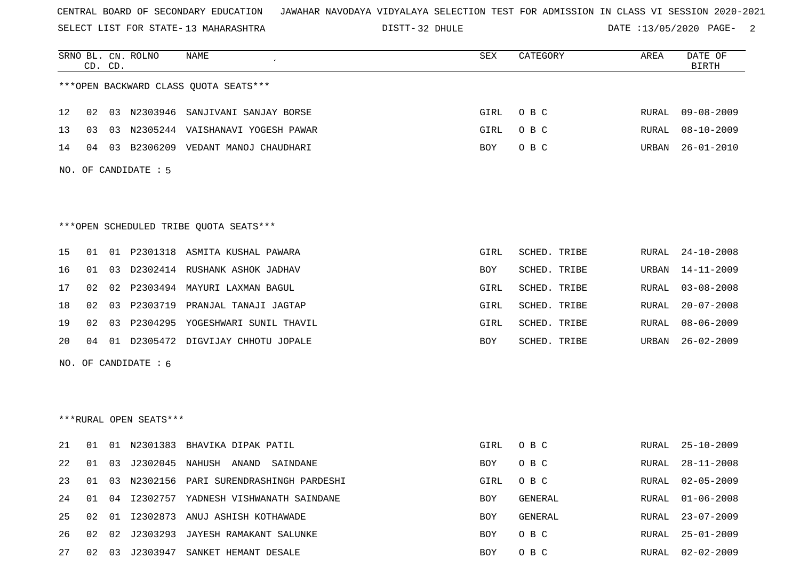SELECT LIST FOR STATE- DISTT- 13 MAHARASHTRA

DISTT-32 DHULE DATE :13/05/2020 PAGE- 2

|    |                                        | CD. CD. | SRNO BL. CN. ROLNO     | <b>NAME</b>                              | SEX  | CATEGORY     | AREA         | DATE OF<br><b>BIRTH</b> |  |  |  |
|----|----------------------------------------|---------|------------------------|------------------------------------------|------|--------------|--------------|-------------------------|--|--|--|
|    | *** OPEN BACKWARD CLASS QUOTA SEATS*** |         |                        |                                          |      |              |              |                         |  |  |  |
| 12 | 02                                     |         |                        | 03 N2303946 SANJIVANI SANJAY BORSE       | GIRL | O B C        | RURAL        | $09 - 08 - 2009$        |  |  |  |
| 13 | 03                                     |         |                        | 03 N2305244 VAISHANAVI YOGESH PAWAR      | GIRL | O B C        | RURAL        | $08 - 10 - 2009$        |  |  |  |
| 14 | 04                                     |         |                        | 03 B2306209 VEDANT MANOJ CHAUDHARI       | BOY  | O B C        | URBAN        | $26 - 01 - 2010$        |  |  |  |
|    |                                        |         | NO. OF CANDIDATE : 5   |                                          |      |              |              |                         |  |  |  |
|    |                                        |         |                        |                                          |      |              |              |                         |  |  |  |
|    | ***OPEN SCHEDULED TRIBE QUOTA SEATS*** |         |                        |                                          |      |              |              |                         |  |  |  |
| 15 | 01                                     |         |                        | 01 P2301318 ASMITA KUSHAL PAWARA         | GIRL | SCHED. TRIBE | RURAL        | $24 - 10 - 2008$        |  |  |  |
| 16 | 01                                     |         |                        | 03 D2302414 RUSHANK ASHOK JADHAV         | BOY  | SCHED. TRIBE | URBAN        | $14 - 11 - 2009$        |  |  |  |
| 17 | 02                                     |         |                        | 02 P2303494 MAYURI LAXMAN BAGUL          | GIRL | SCHED. TRIBE | RURAL        | $03 - 08 - 2008$        |  |  |  |
| 18 | 02                                     |         |                        | 03 P2303719 PRANJAL TANAJI JAGTAP        | GIRL | SCHED. TRIBE | RURAL        | $20 - 07 - 2008$        |  |  |  |
| 19 | 02                                     |         |                        | 03 P2304295 YOGESHWARI SUNIL THAVIL      | GIRL | SCHED. TRIBE | RURAL        | $08 - 06 - 2009$        |  |  |  |
| 20 | 04                                     |         |                        | 01 D2305472 DIGVIJAY CHHOTU JOPALE       | BOY  | SCHED. TRIBE | URBAN        | $26 - 02 - 2009$        |  |  |  |
|    |                                        |         | NO. OF CANDIDATE $: 6$ |                                          |      |              |              |                         |  |  |  |
|    |                                        |         |                        |                                          |      |              |              |                         |  |  |  |
|    |                                        |         |                        |                                          |      |              |              |                         |  |  |  |
|    |                                        |         | ***RURAL OPEN SEATS*** |                                          |      |              |              |                         |  |  |  |
| 21 | 01                                     |         |                        | 01 N2301383 BHAVIKA DIPAK PATIL          | GIRL | O B C        | RURAL        | $25 - 10 - 2009$        |  |  |  |
| 22 | 01                                     |         |                        | 03 J2302045 NAHUSH ANAND<br>SAINDANE     | BOY  | O B C        | RURAL        | $28 - 11 - 2008$        |  |  |  |
| 23 | 01                                     |         |                        | 03 N2302156 PARI SURENDRASHINGH PARDESHI | GIRL | O B C        | RURAL        | $02 - 05 - 2009$        |  |  |  |
| 24 | 01                                     |         |                        | 04 I2302757 YADNESH VISHWANATH SAINDANE  | BOY  | GENERAL      | RURAL        | $01 - 06 - 2008$        |  |  |  |
| 25 | 02                                     |         |                        | 01 I2302873 ANUJ ASHISH KOTHAWADE        | BOY  | GENERAL      | RURAL        | $23 - 07 - 2009$        |  |  |  |
| 26 | 02                                     |         |                        | 02 J2303293 JAYESH RAMAKANT SALUNKE      | BOY  | O B C        | <b>RURAL</b> | $25 - 01 - 2009$        |  |  |  |
| 27 | 02                                     |         |                        | 03 J2303947 SANKET HEMANT DESALE         | BOY  | O B C        | <b>RURAL</b> | $02 - 02 - 2009$        |  |  |  |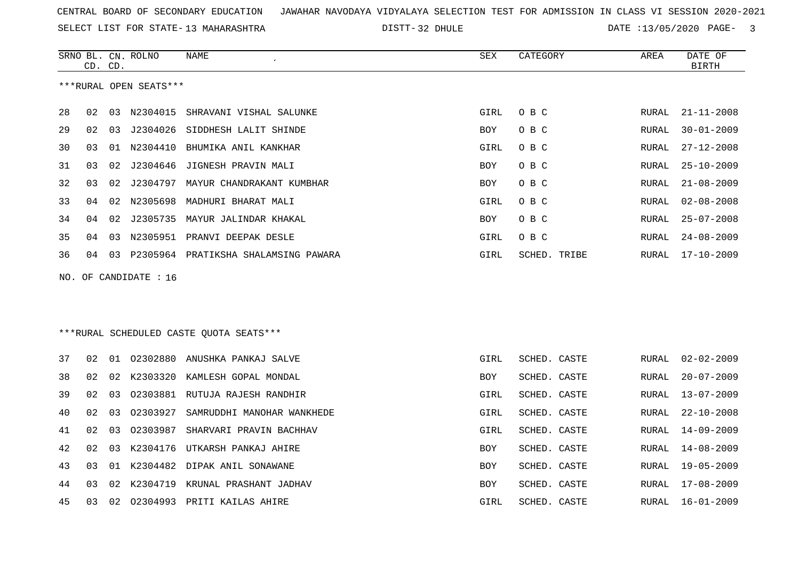32 DHULE DATE :13/05/2020 PAGE- 3

|    | CD.                   | CD. | SRNO BL. CN. ROLNO     | <b>NAME</b>                             | SEX        | CATEGORY     | AREA           | DATE OF<br><b>BIRTH</b> |  |  |
|----|-----------------------|-----|------------------------|-----------------------------------------|------------|--------------|----------------|-------------------------|--|--|
|    |                       |     | ***RURAL OPEN SEATS*** |                                         |            |              |                |                         |  |  |
| 28 | 02                    |     | 03 N2304015            | SHRAVANI VISHAL SALUNKE                 | GIRL       | O B C        | RURAL          | $21 - 11 - 2008$        |  |  |
| 29 | 02                    | 03  |                        | J2304026 SIDDHESH LALIT SHINDE          | BOY        | O B C        | RURAL          | $30 - 01 - 2009$        |  |  |
| 30 | 03                    | 01  | N2304410               | BHUMIKA ANIL KANKHAR                    | GIRL       | O B C        | RURAL          | $27 - 12 - 2008$        |  |  |
| 31 | 03                    | 02  |                        | J2304646 JIGNESH PRAVIN MALI            | <b>BOY</b> | O B C        | RURAL          | $25 - 10 - 2009$        |  |  |
| 32 | 03                    | 02  | J2304797               | MAYUR CHANDRAKANT KUMBHAR               | <b>BOY</b> | O B C        | RURAL          | $21 - 08 - 2009$        |  |  |
| 33 | 04                    | 02  | N2305698               | MADHURI BHARAT MALI                     | GIRL       | O B C        | RURAL          | $02 - 08 - 2008$        |  |  |
| 34 | 04                    | 02  | J2305735               | MAYUR JALINDAR KHAKAL                   | <b>BOY</b> | O B C        | RURAL          | $25 - 07 - 2008$        |  |  |
| 35 | 04                    | 03  |                        | N2305951 PRANVI DEEPAK DESLE            | GIRL       | O B C        | RURAL          | $24 - 08 - 2009$        |  |  |
| 36 | 04                    |     |                        | 03 P2305964 PRATIKSHA SHALAMSING PAWARA | GIRL       | SCHED. TRIBE | RURAL          | 17-10-2009              |  |  |
|    | NO. OF CANDIDATE : 16 |     |                        |                                         |            |              |                |                         |  |  |
|    |                       |     |                        |                                         |            |              |                |                         |  |  |
|    |                       |     |                        |                                         |            |              |                |                         |  |  |
|    |                       |     |                        | ***RURAL SCHEDULED CASTE OUOTA SEATS*** |            |              |                |                         |  |  |
| 37 | 02                    |     |                        | 01 02302880 ANUSHKA PANKAJ SALVE        | GIRL       | SCHED. CASTE |                | $02 - 02 - 2009$        |  |  |
| 38 | 02                    | 02  |                        | K2303320 KAMLESH GOPAL MONDAL           | <b>BOY</b> | SCHED. CASTE | RURAL<br>RURAL | $20 - 07 - 2009$        |  |  |
| 39 | 02                    | 03  |                        | 02303881 RUTUJA RAJESH RANDHIR          | GIRL       | SCHED. CASTE | RURAL          | $13 - 07 - 2009$        |  |  |
|    | 02                    | 03  | 02303927               | SAMRUDDHI MANOHAR WANKHEDE              | GIRL       | SCHED. CASTE | RURAL          | $22 - 10 - 2008$        |  |  |
| 40 |                       |     |                        |                                         |            |              |                |                         |  |  |
| 41 | 02                    | 03  | 02303987               | SHARVARI PRAVIN BACHHAV                 | GIRL       | SCHED. CASTE | RURAL          | $14 - 09 - 2009$        |  |  |
| 42 | 02                    | 03  |                        | K2304176 UTKARSH PANKAJ AHIRE           | <b>BOY</b> | SCHED. CASTE | RURAL          | $14 - 08 - 2009$        |  |  |
| 43 | 03                    | 01  | K2304482               | DIPAK ANIL SONAWANE                     | BOY        | SCHED. CASTE | RURAL          | $19 - 05 - 2009$        |  |  |
| 44 | 03                    | 02  |                        | K2304719 KRUNAL PRASHANT JADHAV         | BOY        | SCHED. CASTE | RURAL          | $17 - 08 - 2009$        |  |  |
| 45 | 03                    | 02  |                        | 02304993 PRITI KAILAS AHIRE             | GIRL       | SCHED. CASTE | RURAL          | $16 - 01 - 2009$        |  |  |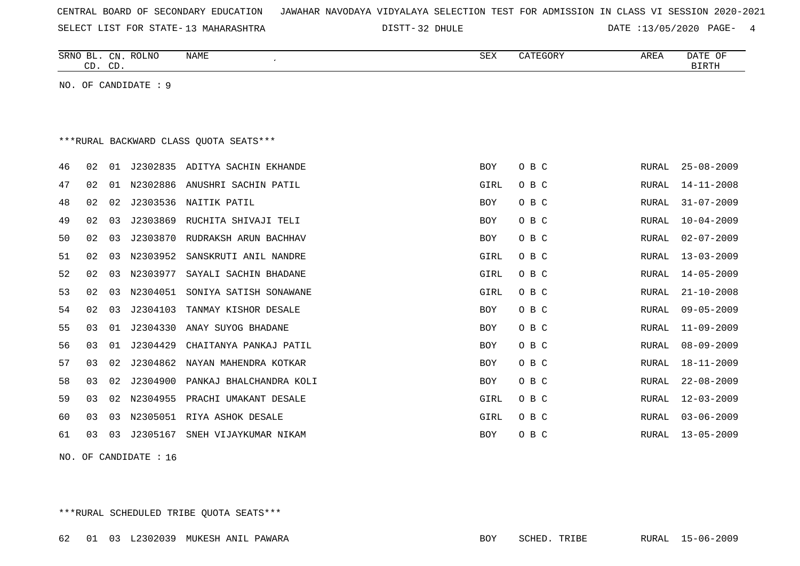| CENTRAL BOARD OF SECONDARY EDUCATION – JAWAHAR NAVODAYA VIDYALAYA SELECTION TEST FOR ADMISSION IN CLASS VI SESSION 2020-2021 |  |
|------------------------------------------------------------------------------------------------------------------------------|--|
|------------------------------------------------------------------------------------------------------------------------------|--|

DISTT-32 DHULE 2020 DATE :13/05/2020 PAGE- 4

|    | CD. CD.                                |    | SRNO BL. CN. ROLNO | NAME                           | <b>SEX</b> | CATEGORY | AREA         | DATE OF<br><b>BIRTH</b> |  |  |  |  |
|----|----------------------------------------|----|--------------------|--------------------------------|------------|----------|--------------|-------------------------|--|--|--|--|
|    | NO. OF CANDIDATE : 9                   |    |                    |                                |            |          |              |                         |  |  |  |  |
|    |                                        |    |                    |                                |            |          |              |                         |  |  |  |  |
|    |                                        |    |                    |                                |            |          |              |                         |  |  |  |  |
|    | ***RURAL BACKWARD CLASS OUOTA SEATS*** |    |                    |                                |            |          |              |                         |  |  |  |  |
| 46 | 02                                     | 01 |                    | J2302835 ADITYA SACHIN EKHANDE | <b>BOY</b> | O B C    | RURAL        | $25 - 08 - 2009$        |  |  |  |  |
| 47 | 02                                     | 01 | N2302886           | ANUSHRI SACHIN PATIL           | GIRL       | O B C    | RURAL        | $14 - 11 - 2008$        |  |  |  |  |
| 48 | 02                                     | 02 | J2303536           | NAITIK PATIL                   | <b>BOY</b> | O B C    | RURAL        | $31 - 07 - 2009$        |  |  |  |  |
| 49 | 02                                     | 03 | J2303869           | RUCHITA SHIVAJI TELI           | <b>BOY</b> | O B C    | <b>RURAL</b> | $10 - 04 - 2009$        |  |  |  |  |
| 50 | 02                                     | 03 | J2303870           | RUDRAKSH ARUN BACHHAV          | <b>BOY</b> | O B C    | RURAL        | $02 - 07 - 2009$        |  |  |  |  |
| 51 | 02                                     | 03 | N2303952           | SANSKRUTI ANIL NANDRE          | GIRL       | O B C    | RURAL        | $13 - 03 - 2009$        |  |  |  |  |
| 52 | 02                                     | 03 | N2303977           | SAYALI SACHIN BHADANE          | GIRL       | O B C    | RURAL        | $14 - 05 - 2009$        |  |  |  |  |
| 53 | 02                                     | 03 | N2304051           | SONIYA SATISH SONAWANE         | GIRL       | O B C    | RURAL        | $21 - 10 - 2008$        |  |  |  |  |
| 54 | 02                                     | 03 | J2304103           | TANMAY KISHOR DESALE           | <b>BOY</b> | O B C    | RURAL        | $09 - 05 - 2009$        |  |  |  |  |
| 55 | 03                                     | 01 | J2304330           | ANAY SUYOG BHADANE             | <b>BOY</b> | O B C    | <b>RURAL</b> | $11 - 09 - 2009$        |  |  |  |  |
| 56 | 03                                     | 01 | J2304429           | CHAITANYA PANKAJ PATIL         | <b>BOY</b> | O B C    | RURAL        | $08 - 09 - 2009$        |  |  |  |  |
| 57 | 03                                     | 02 | J2304862           | NAYAN MAHENDRA KOTKAR          | <b>BOY</b> | O B C    | RURAL        | $18 - 11 - 2009$        |  |  |  |  |
| 58 | 03                                     | 02 | J2304900           | PANKAJ BHALCHANDRA KOLI        | <b>BOY</b> | O B C    | RURAL        | $22 - 08 - 2009$        |  |  |  |  |
| 59 | 03                                     | 02 | N2304955           | PRACHI UMAKANT DESALE          | GIRL       | O B C    | <b>RURAL</b> | $12 - 03 - 2009$        |  |  |  |  |
| 60 | 03                                     | 03 | N2305051           | RIYA ASHOK DESALE              | GIRL       | O B C    | RURAL        | $03 - 06 - 2009$        |  |  |  |  |
| 61 | 03                                     | 03 | J2305167           | SNEH VIJAYKUMAR NIKAM          | <b>BOY</b> | O B C    | RURAL        | $13 - 05 - 2009$        |  |  |  |  |
|    |                                        |    |                    |                                |            |          |              |                         |  |  |  |  |

NO. OF CANDIDATE : 16

\*\*\*RURAL SCHEDULED TRIBE QUOTA SEATS\*\*\*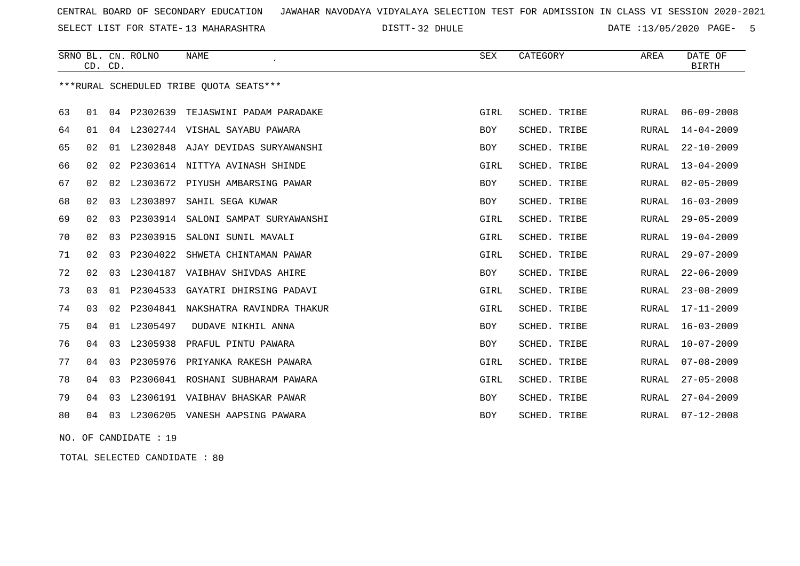SELECT LIST FOR STATE- DISTT- 13 MAHARASHTRA

DISTT-32 DHULE DATE :13/05/2020 PAGE- 5

|    |    | CD. CD. | SRNO BL. CN. ROLNO | <b>NAME</b>                             | SEX         | CATEGORY     | AREA         | DATE OF<br><b>BIRTH</b> |
|----|----|---------|--------------------|-----------------------------------------|-------------|--------------|--------------|-------------------------|
|    |    |         |                    | ***RURAL SCHEDULED TRIBE QUOTA SEATS*** |             |              |              |                         |
| 63 | 01 | 04      | P2302639           | TEJASWINI PADAM PARADAKE                | GIRL        | SCHED. TRIBE | RURAL        | $06 - 09 - 2008$        |
| 64 | 01 | 04      |                    | L2302744 VISHAL SAYABU PAWARA           | BOY         | SCHED. TRIBE | RURAL        | $14 - 04 - 2009$        |
| 65 | 02 |         |                    | 01 L2302848 AJAY DEVIDAS SURYAWANSHI    | <b>BOY</b>  | SCHED. TRIBE | RURAL        | $22 - 10 - 2009$        |
| 66 | 02 | 02      |                    | P2303614 NITTYA AVINASH SHINDE          | GIRL        | SCHED. TRIBE | RURAL        | $13 - 04 - 2009$        |
| 67 | 02 | 02      | L2303672           | PIYUSH AMBARSING PAWAR                  | BOY         | SCHED. TRIBE | RURAL        | $02 - 05 - 2009$        |
| 68 | 02 | 03      | L2303897           | SAHIL SEGA KUWAR                        | <b>BOY</b>  | SCHED. TRIBE | RURAL        | $16 - 03 - 2009$        |
| 69 | 02 | 03      | P2303914           | SALONI SAMPAT SURYAWANSHI               | GIRL        | SCHED. TRIBE | RURAL        | $29 - 05 - 2009$        |
| 70 | 02 | 03      | P2303915           | SALONI SUNIL MAVALI                     | GIRL        | SCHED. TRIBE | RURAL        | $19 - 04 - 2009$        |
| 71 | 02 | 03      | P2304022           | SHWETA CHINTAMAN PAWAR                  | GIRL        | SCHED. TRIBE | RURAL        | $29 - 07 - 2009$        |
| 72 | 02 | 03      | L2304187           | VAIBHAV SHIVDAS AHIRE                   | <b>BOY</b>  | SCHED. TRIBE | RURAL        | $22 - 06 - 2009$        |
| 73 | 03 | 01      | P2304533           | GAYATRI DHIRSING PADAVI                 | GIRL        | SCHED. TRIBE | RURAL        | $23 - 08 - 2009$        |
| 74 | 03 | 02      | P2304841           | NAKSHATRA RAVINDRA THAKUR               | <b>GIRL</b> | SCHED. TRIBE | RURAL        | $17 - 11 - 2009$        |
| 75 | 04 | 01      | L2305497           | DUDAVE NIKHIL ANNA                      | BOY         | SCHED. TRIBE | RURAL        | $16 - 03 - 2009$        |
| 76 | 04 | 03      | L2305938           | PRAFUL PINTU PAWARA                     | <b>BOY</b>  | SCHED. TRIBE | <b>RURAL</b> | $10 - 07 - 2009$        |
| 77 | 04 | 03      | P2305976           | PRIYANKA RAKESH PAWARA                  | GIRL        | SCHED. TRIBE | RURAL        | $07 - 08 - 2009$        |
| 78 | 04 | 03      | P2306041           | ROSHANI SUBHARAM PAWARA                 | GIRL        | SCHED. TRIBE | RURAL        | $27 - 05 - 2008$        |
| 79 | 04 | 03      | L2306191           | VAIBHAV BHASKAR PAWAR                   | BOY         | SCHED. TRIBE | RURAL        | $27 - 04 - 2009$        |
| 80 | 04 | 03      | L2306205           | VANESH AAPSING PAWARA                   | <b>BOY</b>  | SCHED. TRIBE | RURAL        | $07 - 12 - 2008$        |

NO. OF CANDIDATE : 19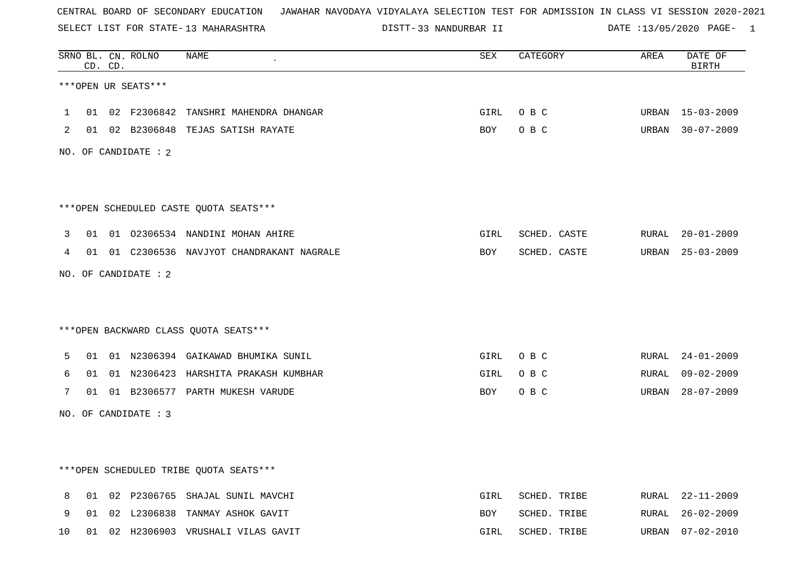SELECT LIST FOR STATE- DISTT- 13 MAHARASHTRA

33 NANDURBAR II DATE :13/05/2020 PAGE- 1

|    |    | CD. CD. | SRNO BL. CN. ROLNO   | NAME                                       | <b>SEX</b> | CATEGORY     | AREA  | DATE OF<br><b>BIRTH</b> |
|----|----|---------|----------------------|--------------------------------------------|------------|--------------|-------|-------------------------|
|    |    |         | ***OPEN UR SEATS***  |                                            |            |              |       |                         |
| 1  | 01 |         |                      | 02 F2306842 TANSHRI MAHENDRA DHANGAR       | GIRL       | O B C        | URBAN | 15-03-2009              |
| 2  |    |         |                      | 01 02 B2306848 TEJAS SATISH RAYATE         | BOY        | O B C        |       | URBAN 30-07-2009        |
|    |    |         | NO. OF CANDIDATE : 2 |                                            |            |              |       |                         |
|    |    |         |                      | ***OPEN SCHEDULED CASTE QUOTA SEATS***     |            |              |       |                         |
| 3  | 01 |         |                      | 01 02306534 NANDINI MOHAN AHIRE            | GIRL       | SCHED. CASTE | RURAL | $20 - 01 - 2009$        |
| 4  |    |         |                      | 01 01 C2306536 NAVJYOT CHANDRAKANT NAGRALE | BOY        | SCHED. CASTE |       | URBAN 25-03-2009        |
|    |    |         | NO. OF CANDIDATE : 2 |                                            |            |              |       |                         |
|    |    |         |                      | *** OPEN BACKWARD CLASS QUOTA SEATS***     |            |              |       |                         |
| 5  | 01 |         |                      | 01 N2306394 GAIKAWAD BHUMIKA SUNIL         | GIRL       | O B C        | RURAL | 24-01-2009              |
| 6  | 01 |         |                      | 01 N2306423 HARSHITA PRAKASH KUMBHAR       | GIRL       | O B C        | RURAL | $09 - 02 - 2009$        |
| 7  |    |         |                      | 01 01 B2306577 PARTH MUKESH VARUDE         | BOY        | O B C        |       | URBAN 28-07-2009        |
|    |    |         | NO. OF CANDIDATE : 3 |                                            |            |              |       |                         |
|    |    |         |                      |                                            |            |              |       |                         |
|    |    |         |                      | ***OPEN SCHEDULED TRIBE QUOTA SEATS***     |            |              |       |                         |
| 8  | 01 |         |                      | 02 P2306765 SHAJAL SUNIL MAVCHI            | GIRL       | SCHED. TRIBE |       | RURAL 22-11-2009        |
| 9  | 01 |         |                      | 02 L2306838 TANMAY ASHOK GAVIT             | BOY        | SCHED. TRIBE | RURAL | $26 - 02 - 2009$        |
| 10 | 01 |         |                      | 02 H2306903 VRUSHALI VILAS GAVIT           | GIRL       | SCHED. TRIBE | URBAN | $07 - 02 - 2010$        |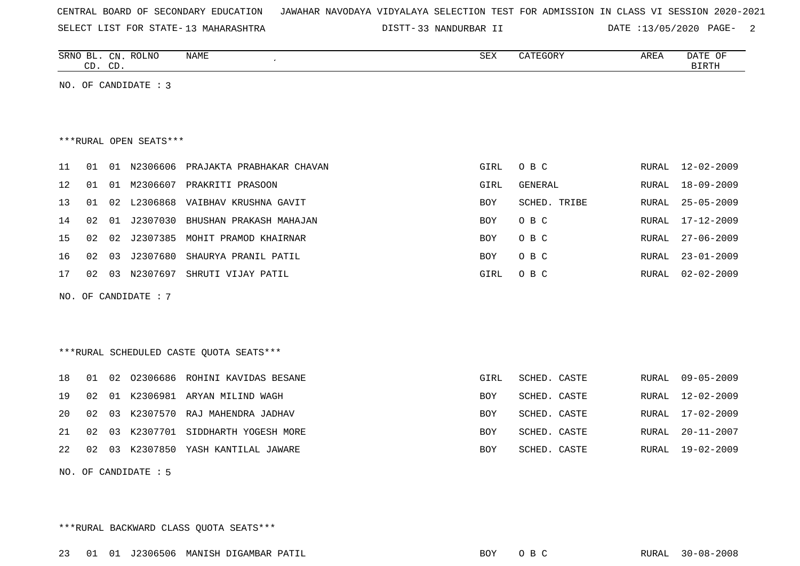|  |  |  | CENTRAL BOARD OF SECONDARY EDUCATION – JAWAHAR NAVODAYA VIDYALAYA SELECTION TEST FOR ADMISSION IN CLASS VI SESSION 2020-2021 |  |  |  |  |  |  |  |  |  |  |  |  |  |  |
|--|--|--|------------------------------------------------------------------------------------------------------------------------------|--|--|--|--|--|--|--|--|--|--|--|--|--|--|
|--|--|--|------------------------------------------------------------------------------------------------------------------------------|--|--|--|--|--|--|--|--|--|--|--|--|--|--|

SELECT LIST FOR STATE- DISTT- 13 MAHARASHTRA

33 NANDURBAR II DATE :13/05/2020 PAGE- 2

|      | CD. CD. |    | SRNO BL. CN. ROLNO     | NAME                                     | SEX        | CATEGORY       | AREA         | DATE OF<br><b>BIRTH</b> |
|------|---------|----|------------------------|------------------------------------------|------------|----------------|--------------|-------------------------|
|      |         |    | NO. OF CANDIDATE : 3   |                                          |            |                |              |                         |
|      |         |    |                        |                                          |            |                |              |                         |
|      |         |    |                        |                                          |            |                |              |                         |
|      |         |    | ***RURAL OPEN SEATS*** |                                          |            |                |              |                         |
| 11   | 01      |    | 01 N2306606            | PRAJAKTA PRABHAKAR CHAVAN                | GIRL       | O B C          | <b>RURAL</b> | $12 - 02 - 2009$        |
| 12   | 01      | 01 | M2306607               | PRAKRITI PRASOON                         | GIRL       | <b>GENERAL</b> | <b>RURAL</b> | $18 - 09 - 2009$        |
| 13   | 01      | 02 | L2306868               | VAIBHAV KRUSHNA GAVIT                    | BOY        | SCHED. TRIBE   | RURAL        | $25 - 05 - 2009$        |
| 14   | 02      | 01 | J2307030               | BHUSHAN PRAKASH MAHAJAN                  | <b>BOY</b> | O B C          | RURAL        | $17 - 12 - 2009$        |
| 15   | 02      | 02 | J2307385               | MOHIT PRAMOD KHAIRNAR                    | BOY        | O B C          | RURAL        | $27 - 06 - 2009$        |
| 16   | 02      | 03 | J2307680               | SHAURYA PRANIL PATIL                     | BOY        | O B C          | RURAL        | $23 - 01 - 2009$        |
| $17$ | 02      | 03 | N2307697               | SHRUTI VIJAY PATIL                       | GIRL       | O B C          | <b>RURAL</b> | $02 - 02 - 2009$        |
|      |         |    | NO. OF CANDIDATE : 7   |                                          |            |                |              |                         |
|      |         |    |                        |                                          |            |                |              |                         |
|      |         |    |                        |                                          |            |                |              |                         |
|      |         |    |                        | *** RURAL SCHEDULED CASTE QUOTA SEATS*** |            |                |              |                         |
| 18   | 01      | 02 | 02306686               | ROHINI KAVIDAS BESANE                    | GIRL       | SCHED. CASTE   | <b>RURAL</b> | $09 - 05 - 2009$        |
| 19   | 02      | 01 | K2306981               | ARYAN MILIND WAGH                        | BOY        | SCHED. CASTE   | <b>RURAL</b> | $12 - 02 - 2009$        |
| 20   | 02      | 03 | K2307570               | RAJ MAHENDRA JADHAV                      | <b>BOY</b> | SCHED. CASTE   | <b>RURAL</b> | $17 - 02 - 2009$        |
| 21   | 02      | 03 | K2307701               | SIDDHARTH YOGESH MORE                    | <b>BOY</b> | SCHED. CASTE   | <b>RURAL</b> | $20 - 11 - 2007$        |
| 22   | 02      | 03 | K2307850               | YASH KANTILAL JAWARE                     | <b>BOY</b> | SCHED. CASTE   | <b>RURAL</b> | $19 - 02 - 2009$        |

NO. OF CANDIDATE : 5

\*\*\*RURAL BACKWARD CLASS QUOTA SEATS\*\*\*

23 01 01 J2306506 MANISH DIGAMBAR PATIL BOY O B C RURAL 30-08-2008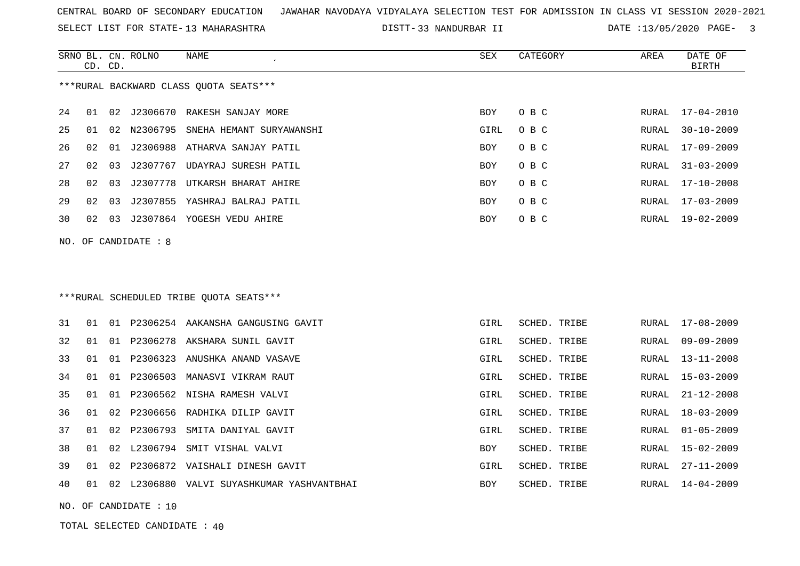SELECT LIST FOR STATE- DISTT- 13 MAHARASHTRA

33 NANDURBAR II DATE :13/05/2020 PAGE- 3

|    | CD. CD. |    | SRNO BL. CN. ROLNO   | <b>NAME</b>                                | SEX        | CATEGORY     | AREA  | DATE OF<br><b>BIRTH</b> |
|----|---------|----|----------------------|--------------------------------------------|------------|--------------|-------|-------------------------|
|    |         |    |                      | ***RURAL BACKWARD CLASS OUOTA SEATS***     |            |              |       |                         |
| 24 | 01      | 02 | J2306670             | RAKESH SANJAY MORE                         | <b>BOY</b> | O B C        | RURAL | 17-04-2010              |
| 25 | 01      | 02 | N2306795             | SNEHA HEMANT SURYAWANSHI                   | GIRL       | O B C        | RURAL | $30 - 10 - 2009$        |
| 26 | 02      | 01 |                      | J2306988 ATHARVA SANJAY PATIL              | <b>BOY</b> | O B C        | RURAL | 17-09-2009              |
| 27 | 02      | 03 |                      | J2307767 UDAYRAJ SURESH PATIL              | <b>BOY</b> | O B C        | RURAL | $31 - 03 - 2009$        |
| 28 | 02      | 03 | J2307778             | UTKARSH BHARAT AHIRE                       | <b>BOY</b> | O B C        | RURAL | $17 - 10 - 2008$        |
| 29 | 02      | 03 |                      | J2307855 YASHRAJ BALRAJ PATIL              | <b>BOY</b> | O B C        | RURAL | $17 - 03 - 2009$        |
| 30 |         |    |                      | 02 03 J2307864 YOGESH VEDU AHIRE           | <b>BOY</b> | O B C        | RURAL | 19-02-2009              |
|    |         |    | NO. OF CANDIDATE : 8 |                                            |            |              |       |                         |
|    |         |    |                      | *** RURAL SCHEDULED TRIBE QUOTA SEATS***   |            |              |       |                         |
| 31 | 01      |    |                      | 01 P2306254 AAKANSHA GANGUSING GAVIT       | GIRL       | SCHED. TRIBE | RURAL | 17-08-2009              |
| 32 | 01      |    | 01 P2306278          | AKSHARA SUNIL GAVIT                        | GIRL       | SCHED. TRIBE | RURAL | $09 - 09 - 2009$        |
| 33 | 01      |    |                      | 01 P2306323 ANUSHKA ANAND VASAVE           | GIRL       | SCHED. TRIBE | RURAL | $13 - 11 - 2008$        |
| 34 | 01      | 01 |                      | P2306503 MANASVI VIKRAM RAUT               | GIRL       | SCHED. TRIBE | RURAL | $15 - 03 - 2009$        |
| 35 | 01      |    |                      | 01 P2306562 NISHA RAMESH VALVI             | GIRL       | SCHED. TRIBE | RURAL | $21 - 12 - 2008$        |
| 36 | 01      | 02 | P2306656             | RADHIKA DILIP GAVIT                        | GIRL       | SCHED. TRIBE | RURAL | $18 - 03 - 2009$        |
| 37 | 01      | 02 |                      | P2306793 SMITA DANIYAL GAVIT               | GIRL       | SCHED. TRIBE | RURAL | $01 - 05 - 2009$        |
| 38 | 01      | 02 |                      | L2306794 SMIT VISHAL VALVI                 | <b>BOY</b> | SCHED. TRIBE | RURAL | $15 - 02 - 2009$        |
| 39 | 01      | 02 |                      | P2306872 VAISHALI DINESH GAVIT             | GIRL       | SCHED. TRIBE | RURAL | $27 - 11 - 2009$        |
| 40 | 01      |    |                      | 02 L2306880 VALVI SUYASHKUMAR YASHVANTBHAI | <b>BOY</b> | SCHED. TRIBE | RURAL | $14 - 04 - 2009$        |

NO. OF CANDIDATE : 10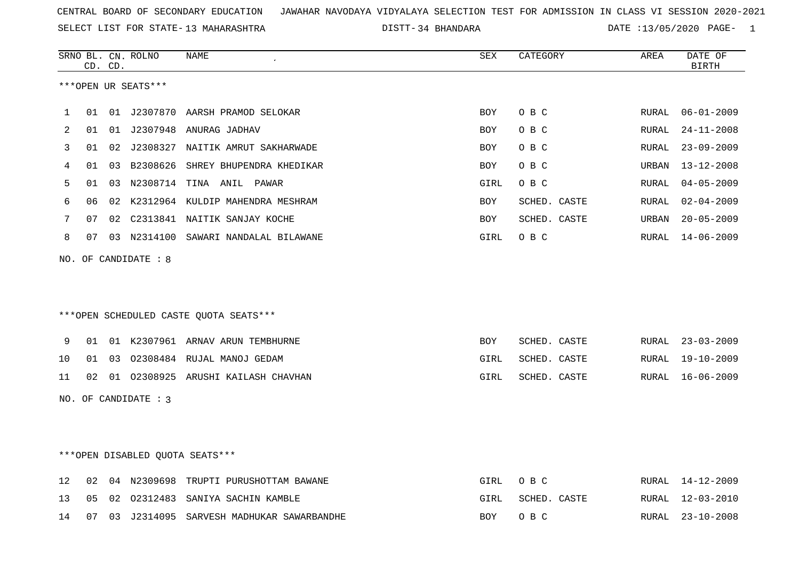SELECT LIST FOR STATE- DISTT- 13 MAHARASHTRA

34 BHANDARA DATE :13/05/2020 PAGE- 1

|                   |    | CD. CD. | SRNO BL. CN. ROLNO   | NAME                                   | SEX        | CATEGORY     | AREA         | DATE OF<br><b>BIRTH</b> |
|-------------------|----|---------|----------------------|----------------------------------------|------------|--------------|--------------|-------------------------|
|                   |    |         | ***OPEN UR SEATS***  |                                        |            |              |              |                         |
| 1                 | 01 |         |                      | 01 J2307870 AARSH PRAMOD SELOKAR       | <b>BOY</b> | O B C        | RURAL        | $06 - 01 - 2009$        |
| 2                 | 01 |         |                      | 01 J2307948 ANURAG JADHAV              | <b>BOY</b> | O B C        | RURAL        | $24 - 11 - 2008$        |
| 3                 | 01 |         |                      | 02 J2308327 NAITIK AMRUT SAKHARWADE    | <b>BOY</b> | O B C        | RURAL        | $23 - 09 - 2009$        |
| 4                 | 01 |         | 03 B2308626          | SHREY BHUPENDRA KHEDIKAR               | <b>BOY</b> | O B C        | URBAN        | $13 - 12 - 2008$        |
| 5                 | 01 | 03      | N2308714             | TINA ANIL PAWAR                        | GIRL       | O B C        | <b>RURAL</b> | $04 - 05 - 2009$        |
| 6                 | 06 |         |                      | 02 K2312964 KULDIP MAHENDRA MESHRAM    | <b>BOY</b> | SCHED. CASTE | RURAL        | $02 - 04 - 2009$        |
| 7                 | 07 | 02      |                      | C2313841 NAITIK SANJAY KOCHE           | <b>BOY</b> | SCHED. CASTE | URBAN        | $20 - 05 - 2009$        |
| 8                 | 07 |         |                      | 03 N2314100 SAWARI NANDALAL BILAWANE   | GIRL       | O B C        | RURAL        | $14 - 06 - 2009$        |
|                   |    |         | NO. OF CANDIDATE : 8 |                                        |            |              |              |                         |
|                   |    |         |                      | ***OPEN SCHEDULED CASTE QUOTA SEATS*** |            |              |              |                         |
|                   |    |         |                      |                                        |            |              |              |                         |
| 9                 | 01 |         |                      | 01 K2307961 ARNAV ARUN TEMBHURNE       | BOY        | SCHED. CASTE | RURAL        | $23 - 03 - 2009$        |
| 10                | 01 |         |                      | 03 02308484 RUJAL MANOJ GEDAM          | GIRL       | SCHED. CASTE | RURAL        | $19 - 10 - 2009$        |
| 11                | 02 |         |                      | 01 02308925 ARUSHI KAILASH CHAVHAN     | GIRL       | SCHED. CASTE | RURAL        | $16 - 06 - 2009$        |
|                   |    |         | NO. OF CANDIDATE : 3 |                                        |            |              |              |                         |
|                   |    |         |                      |                                        |            |              |              |                         |
|                   |    |         |                      | ***OPEN DISABLED QUOTA SEATS***        |            |              |              |                         |
| $12 \overline{ }$ | 02 |         | 04 N2309698          | TRUPTI PURUSHOTTAM BAWANE              | GIRL       | O B C        | RURAL        | $14 - 12 - 2009$        |
| 13                | 05 |         | 02 02312483          | SANIYA SACHIN KAMBLE                   | GIRL       | SCHED. CASTE | RURAL        | $12 - 03 - 2010$        |

14 07 03 J2314095 SARVESH MADHUKAR SAWARBANDHE BOY O B C RURAL 23-10-2008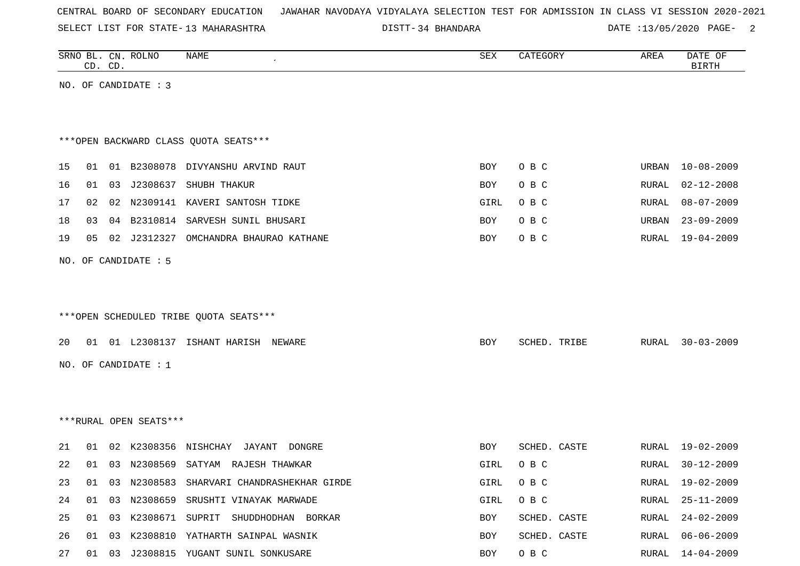|  |  |  |  | CENTRAL BOARD OF SECONDARY EDUCATION – JAWAHAR NAVODAYA VIDYALAYA SELECTION TEST FOR ADMISSION IN CLASS VI SESSION 2020-2021 |  |  |  |  |  |  |  |  |  |  |  |  |  |
|--|--|--|--|------------------------------------------------------------------------------------------------------------------------------|--|--|--|--|--|--|--|--|--|--|--|--|--|
|--|--|--|--|------------------------------------------------------------------------------------------------------------------------------|--|--|--|--|--|--|--|--|--|--|--|--|--|

SELECT LIST FOR STATE- DISTT- 13 MAHARASHTRA 34 BHANDARA DATE :13/05/2020 PAGE- 2

|    |    | CD. CD. | SRNO BL. CN. ROLNO     | NAME                                         | SEX  | CATEGORY     | AREA         | DATE OF<br><b>BIRTH</b> |
|----|----|---------|------------------------|----------------------------------------------|------|--------------|--------------|-------------------------|
|    |    |         | NO. OF CANDIDATE : 3   |                                              |      |              |              |                         |
|    |    |         |                        |                                              |      |              |              |                         |
|    |    |         |                        |                                              |      |              |              |                         |
|    |    |         |                        | *** OPEN BACKWARD CLASS QUOTA SEATS***       |      |              |              |                         |
| 15 | 01 |         |                        | 01 B2308078 DIVYANSHU ARVIND RAUT            | BOY  | O B C        | URBAN        | $10 - 08 - 2009$        |
| 16 | 01 | 03      |                        | J2308637 SHUBH THAKUR                        | BOY  | O B C        | RURAL        | $02 - 12 - 2008$        |
| 17 | 02 |         |                        | 02 N2309141 KAVERI SANTOSH TIDKE             | GIRL | O B C        | <b>RURAL</b> | $08 - 07 - 2009$        |
| 18 | 03 |         |                        | 04 B2310814 SARVESH SUNIL BHUSARI            | BOY  | O B C        | URBAN        | $23 - 09 - 2009$        |
| 19 | 05 |         |                        | 02 J2312327 OMCHANDRA BHAURAO KATHANE        | BOY  | O B C        | RURAL        | $19 - 04 - 2009$        |
|    |    |         | NO. OF CANDIDATE : 5   |                                              |      |              |              |                         |
|    |    |         |                        |                                              |      |              |              |                         |
|    |    |         |                        |                                              |      |              |              |                         |
|    |    |         |                        | ***OPEN SCHEDULED TRIBE QUOTA SEATS***       |      |              |              |                         |
| 20 |    |         |                        | 01 01 L2308137 ISHANT HARISH NEWARE          | BOY  | SCHED. TRIBE | RURAL        | $30 - 03 - 2009$        |
|    |    |         |                        |                                              |      |              |              |                         |
|    |    |         | NO. OF CANDIDATE : 1   |                                              |      |              |              |                         |
|    |    |         |                        |                                              |      |              |              |                         |
|    |    |         | ***RURAL OPEN SEATS*** |                                              |      |              |              |                         |
|    |    |         |                        |                                              |      |              |              |                         |
| 21 | 01 |         |                        | 02 K2308356 NISHCHAY<br>JAYANT<br>DONGRE     | BOY  | SCHED. CASTE | RURAL        | $19 - 02 - 2009$        |
| 22 |    |         |                        | 01 03 N2308569 SATYAM RAJESH THAWKAR         | GIRL | O B C        | RURAL        | $30 - 12 - 2009$        |
| 23 |    |         |                        | 01 03 N2308583 SHARVARI CHANDRASHEKHAR GIRDE | GIRL | O B C        | RURAL        | 19-02-2009              |
| 24 |    | 01 03   |                        | N2308659 SRUSHTI VINAYAK MARWADE             | GIRL | O B C        | RURAL        | $25 - 11 - 2009$        |
| 25 |    | 01 03   |                        | K2308671 SUPRIT SHUDDHODHAN BORKAR           | BOY  | SCHED. CASTE | RURAL        | $24 - 02 - 2009$        |
| 26 |    | 01 03   |                        | K2308810 YATHARTH SAINPAL WASNIK             | BOY  | SCHED. CASTE | RURAL        | $06 - 06 - 2009$        |
| 27 |    |         |                        | 01 03 J2308815 YUGANT SUNIL SONKUSARE        | BOY  | O B C        | RURAL        | $14 - 04 - 2009$        |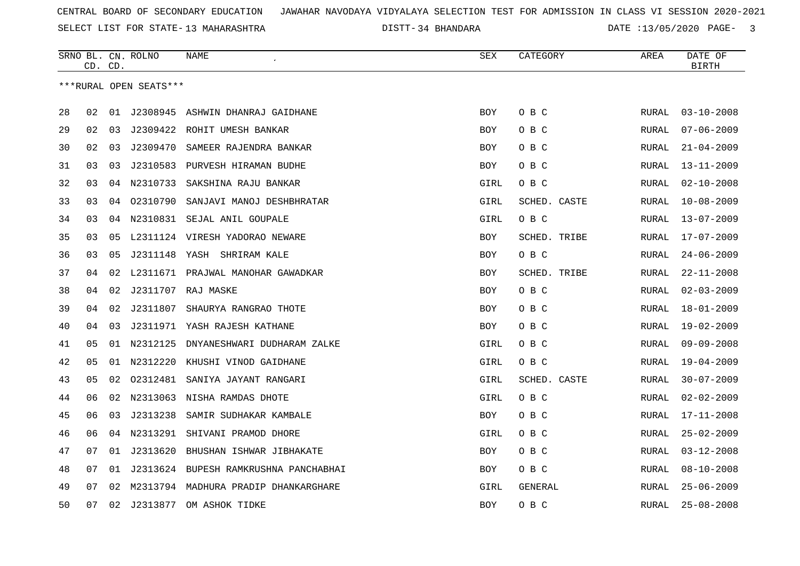SELECT LIST FOR STATE- DISTT- 13 MAHARASHTRA

34 BHANDARA DATE :13/05/2020 PAGE- 3

|    | CD. CD. |    | SRNO BL. CN. ROLNO     | NAME                                  | SEX        | CATEGORY     | AREA         | DATE OF<br><b>BIRTH</b> |
|----|---------|----|------------------------|---------------------------------------|------------|--------------|--------------|-------------------------|
|    |         |    | ***RURAL OPEN SEATS*** |                                       |            |              |              |                         |
| 28 | 02      |    |                        | 01 J2308945 ASHWIN DHANRAJ GAIDHANE   | <b>BOY</b> | O B C        | RURAL        | $03 - 10 - 2008$        |
| 29 | 02      | 03 |                        | J2309422 ROHIT UMESH BANKAR           | <b>BOY</b> | O B C        | RURAL        | $07 - 06 - 2009$        |
| 30 | 02      | 03 | J2309470               | SAMEER RAJENDRA BANKAR                | BOY        | O B C        | RURAL        | $21 - 04 - 2009$        |
| 31 | 03      | 03 |                        | J2310583 PURVESH HIRAMAN BUDHE        | <b>BOY</b> | O B C        | RURAL        | $13 - 11 - 2009$        |
| 32 | 03      |    | 04 N2310733            | SAKSHINA RAJU BANKAR                  | GIRL       | O B C        | RURAL        | $02 - 10 - 2008$        |
| 33 | 03      | 04 | 02310790               | SANJAVI MANOJ DESHBHRATAR             | GIRL       | SCHED. CASTE | RURAL        | $10 - 08 - 2009$        |
| 34 | 03      |    |                        | 04 N2310831 SEJAL ANIL GOUPALE        | GIRL       | O B C        | RURAL        | $13 - 07 - 2009$        |
| 35 | 03      | 05 |                        | L2311124 VIRESH YADORAO NEWARE        | BOY        | SCHED. TRIBE | RURAL        | $17 - 07 - 2009$        |
| 36 | 03      | 05 |                        | J2311148 YASH SHRIRAM KALE            | BOY        | O B C        | RURAL        | $24 - 06 - 2009$        |
| 37 | 04      |    |                        | 02 L2311671 PRAJWAL MANOHAR GAWADKAR  | BOY        | SCHED. TRIBE | RURAL        | $22 - 11 - 2008$        |
| 38 | 04      |    |                        | 02 J2311707 RAJ MASKE                 | <b>BOY</b> | O B C        | RURAL        | $02 - 03 - 2009$        |
| 39 | 04      | 02 | J2311807               | SHAURYA RANGRAO THOTE                 | <b>BOY</b> | O B C        | <b>RURAL</b> | $18 - 01 - 2009$        |
| 40 | 04      | 03 |                        | J2311971 YASH RAJESH KATHANE          | <b>BOY</b> | O B C        | RURAL        | $19 - 02 - 2009$        |
| 41 | 05      | 01 | N2312125               | DNYANESHWARI DUDHARAM ZALKE           | GIRL       | O B C        | RURAL        | $09 - 09 - 2008$        |
| 42 | 05      |    | 01 N2312220            | KHUSHI VINOD GAIDHANE                 | GIRL       | O B C        | RURAL        | $19 - 04 - 2009$        |
| 43 | 05      | 02 | 02312481               | SANIYA JAYANT RANGARI                 | GIRL       | SCHED. CASTE | RURAL        | $30 - 07 - 2009$        |
| 44 | 06      |    |                        | 02 N2313063 NISHA RAMDAS DHOTE        | GIRL       | O B C        | <b>RURAL</b> | $02 - 02 - 2009$        |
| 45 | 06      | 03 | J2313238               | SAMIR SUDHAKAR KAMBALE                | BOY        | O B C        | RURAL        | $17 - 11 - 2008$        |
| 46 | 06      |    | 04 N2313291            | SHIVANI PRAMOD DHORE                  | GIRL       | O B C        | RURAL        | $25 - 02 - 2009$        |
| 47 | 07      | 01 |                        | J2313620 BHUSHAN ISHWAR JIBHAKATE     | <b>BOY</b> | O B C        | RURAL        | $03 - 12 - 2008$        |
| 48 | 07      | 01 |                        | J2313624 BUPESH RAMKRUSHNA PANCHABHAI | BOY        | овс          | RURAL        | $08 - 10 - 2008$        |
| 49 | 07      | 02 |                        | M2313794 MADHURA PRADIP DHANKARGHARE  | GIRL       | GENERAL      | RURAL        | $25 - 06 - 2009$        |
| 50 | 07      | 02 | J2313877               | OM ASHOK TIDKE                        | <b>BOY</b> | O B C        | RURAL        | $25 - 08 - 2008$        |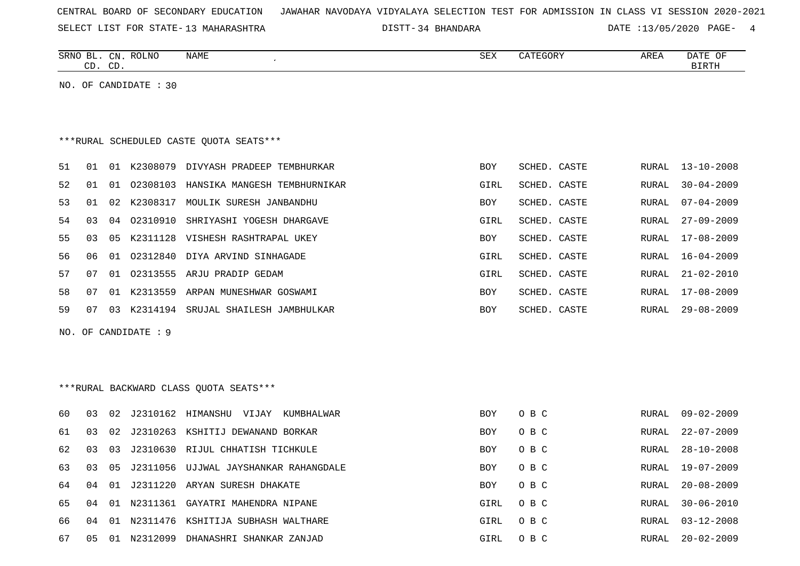| CENTRAL BOARD OF SECONDARY EDUCATION – JAWAHAR NAVODAYA VIDYALAYA SELECTION TEST FOR ADMISSION IN CLASS VI SESSION 2020-2021 |  |  |  |
|------------------------------------------------------------------------------------------------------------------------------|--|--|--|
|------------------------------------------------------------------------------------------------------------------------------|--|--|--|

SELECT LIST FOR STATE- DISTT- 13 MAHARASHTRA

34 BHANDARA DATE :13/05/2020 PAGE- 4

RURAL 30-06-2010

RURAL 03-12-2008

|    |    | CD. CD. | SRNO BL. CN. ROLNO    | <b>NAME</b>                             | <b>SEX</b> | CATEGORY     | AREA  | DATE OF<br><b>BIRTH</b> |
|----|----|---------|-----------------------|-----------------------------------------|------------|--------------|-------|-------------------------|
|    |    |         | NO. OF CANDIDATE : 30 |                                         |            |              |       |                         |
|    |    |         |                       |                                         |            |              |       |                         |
|    |    |         |                       | ***RURAL SCHEDULED CASTE QUOTA SEATS*** |            |              |       |                         |
| 51 | 01 |         |                       | 01 K2308079 DIVYASH PRADEEP TEMBHURKAR  | BOY        | SCHED. CASTE | RURAL | $13 - 10 - 2008$        |
| 52 | 01 |         | 01 02308103           | HANSIKA MANGESH TEMBHURNIKAR            | GIRL       | SCHED. CASTE | RURAL | $30 - 04 - 2009$        |
| 53 | 01 |         |                       | 02 K2308317 MOULIK SURESH JANBANDHU     | BOY        | SCHED. CASTE | RURAL | $07 - 04 - 2009$        |
| 54 | 03 | 04      | 02310910              | SHRIYASHI YOGESH DHARGAVE               | GIRL       | SCHED. CASTE | RURAL | $27 - 09 - 2009$        |
| 55 | 03 |         |                       | 05 K2311128 VISHESH RASHTRAPAL UKEY     | BOY        | SCHED. CASTE | RURAL | 17-08-2009              |
| 56 | 06 | 01      | 02312840              | DIYA ARVIND SINHAGADE                   | GIRL       | SCHED. CASTE | RURAL | $16 - 04 - 2009$        |
| 57 | 07 | 01      |                       | 02313555 ARJU PRADIP GEDAM              | GIRL       | SCHED. CASTE | RURAL | $21 - 02 - 2010$        |
| 58 | 07 |         |                       | 01 K2313559 ARPAN MUNESHWAR GOSWAMI     | BOY        | SCHED. CASTE | RURAL | 17-08-2009              |
| 59 | 07 |         |                       | 03 K2314194 SRUJAL SHAILESH JAMBHULKAR  | <b>BOY</b> | SCHED. CASTE | RURAL | $29 - 08 - 2009$        |
|    |    |         | NO. OF CANDIDATE : 9  |                                         |            |              |       |                         |
|    |    |         |                       |                                         |            |              |       |                         |
|    |    |         |                       |                                         |            |              |       |                         |
|    |    |         |                       | *** RURAL BACKWARD CLASS QUOTA SEATS*** |            |              |       |                         |
| 60 | 03 | 02      |                       | J2310162 HIMANSHU VIJAY<br>KUMBHALWAR   | <b>BOY</b> | O B C        | RURAL | $09 - 02 - 2009$        |
| 61 | 03 |         |                       | 02 J2310263 KSHITIJ DEWANAND BORKAR     | <b>BOY</b> | O B C        | RURAL | $22 - 07 - 2009$        |
| 62 | 03 | 03      | J2310630              | RIJUL CHHATISH TICHKULE                 | <b>BOY</b> | O B C        | RURAL | $28 - 10 - 2008$        |
| 63 | 03 | 05      | J2311056              | UJJWAL JAYSHANKAR RAHANGDALE            | BOY        | O B C        | RURAL | 19-07-2009              |
| 64 | 04 | 01      |                       | J2311220 ARYAN SURESH DHAKATE           | <b>BOY</b> | O B C        | RURAL | $20 - 08 - 2009$        |

65 04 01 N2311361 GAYATRI MAHENDRA NIPANE GIRL O B C GIRL O B C

66 04 01 N2311476 KSHITIJA SUBHASH WALTHARE GIRL O B C

67 05 01 N2312099 DHANASHRI SHANKAR ZANJAD GIRL O B C RURAL 20-02-2009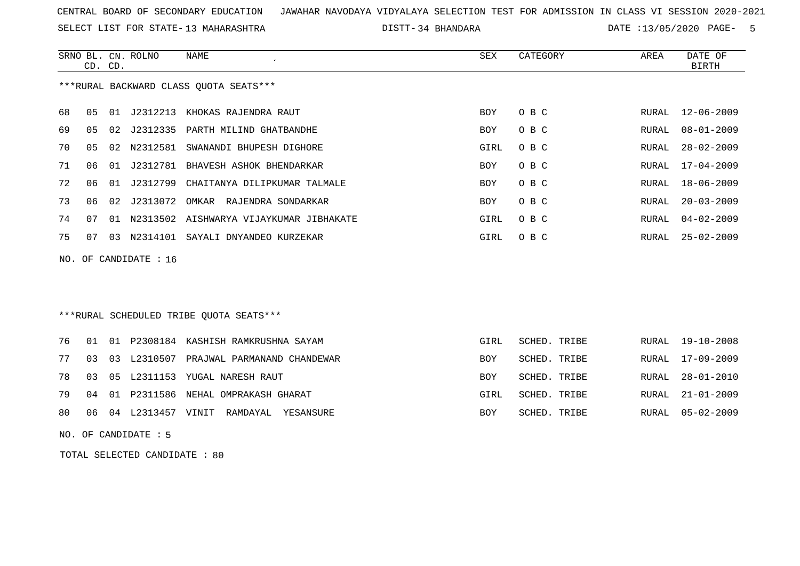SELECT LIST FOR STATE- DISTT- 13 MAHARASHTRA

34 BHANDARA DATE :13/05/2020 PAGE- 5

|    |    | CD. CD. | SRNO BL. CN. ROLNO      | NAME                                    | SEX        | CATEGORY | AREA  | DATE OF<br>BIRTH |
|----|----|---------|-------------------------|-----------------------------------------|------------|----------|-------|------------------|
|    |    |         |                         | ***RURAL BACKWARD CLASS OUOTA SEATS***  |            |          |       |                  |
| 68 | 05 | 01      | J2312213                | KHOKAS RAJENDRA RAUT                    | <b>BOY</b> | O B C    |       | RURAL 12-06-2009 |
| 69 | 05 | 02      | 12312335                | PARTH MILIND GHATBANDHE                 | BOY        | O B C    | RURAL | $08 - 01 - 2009$ |
| 70 | 05 | 02      | N2312581                | SWANANDI BHUPESH DIGHORE                | GIRL       | O B C    | RURAL | $28 - 02 - 2009$ |
| 71 | 06 | 01      | J2312781                | BHAVESH ASHOK BHENDARKAR                | BOY        | O B C    | RURAL | 17-04-2009       |
| 72 | 06 | 01      | J2312799                | CHAITANYA DILIPKUMAR TALMALE            | BOY        | O B C    | RURAL | $18 - 06 - 2009$ |
| 73 | 06 | 02      | J2313072                | OMKAR RAJENDRA SONDARKAR                | <b>BOY</b> | O B C    | RURAL | $20 - 03 - 2009$ |
| 74 | 07 | 01      |                         | N2313502 AISHWARYA VIJAYKUMAR JIBHAKATE | GIRL       | O B C    | RURAL | $04 - 02 - 2009$ |
| 75 | 07 | 03      | N2314101                | SAYALI DNYANDEO KURZEKAR                | GIRL       | O B C    | RURAL | $25 - 02 - 2009$ |
|    |    |         | NO. OF CANDIDATE : $16$ |                                         |            |          |       |                  |

### \*\*\*RURAL SCHEDULED TRIBE QUOTA SEATS\*\*\*

|  |  | 76 01 01 P2308184 KASHISH RAMKRUSHNA SAYAM    | GIRL | SCHED. TRIBE | RURAL 19-10-2008 |
|--|--|-----------------------------------------------|------|--------------|------------------|
|  |  | 77 03 03 L2310507 PRAJWAL PARMANAND CHANDEWAR | BOY  | SCHED. TRIBE | RURAL 17-09-2009 |
|  |  | 78 03 05 L2311153 YUGAL NARESH RAUT           | BOY  | SCHED. TRIBE | RURAL 28-01-2010 |
|  |  | 79 04 01 P2311586 NEHAL OMPRAKASH GHARAT      | GIRL | SCHED. TRIBE | RURAL 21-01-2009 |
|  |  | 80 06 04 L2313457 VINIT RAMDAYAL YESANSURE    | BOY  | SCHED. TRIBE | RURAL 05-02-2009 |

NO. OF CANDIDATE : 5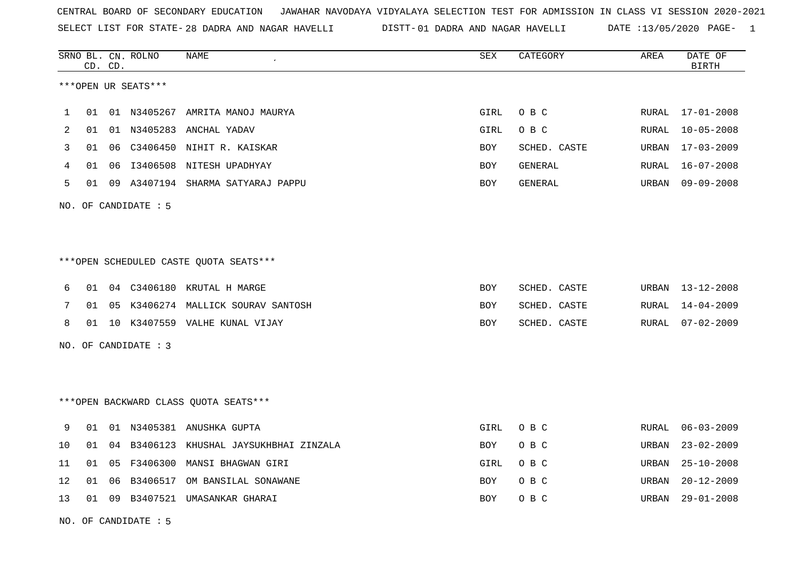SELECT LIST FOR STATE- DISTT- 28 DADRA AND NAGAR HAVELLI 01 DADRA AND NAGAR HAVELLI DATE :13/05/2020 PAGE- 1

|    |    |          | <b>NAME</b>                                                                                 | SEX                                                                                                                                                                                                                                                                                                                                                                                                 | CATEGORY     | AREA  | DATE OF<br><b>BIRTH</b> |
|----|----|----------|---------------------------------------------------------------------------------------------|-----------------------------------------------------------------------------------------------------------------------------------------------------------------------------------------------------------------------------------------------------------------------------------------------------------------------------------------------------------------------------------------------------|--------------|-------|-------------------------|
|    |    |          |                                                                                             |                                                                                                                                                                                                                                                                                                                                                                                                     |              |       |                         |
| 01 |    |          |                                                                                             | GIRL                                                                                                                                                                                                                                                                                                                                                                                                | O B C        | RURAL | 17-01-2008              |
| 01 |    |          |                                                                                             | GIRL                                                                                                                                                                                                                                                                                                                                                                                                | O B C        | RURAL | $10 - 05 - 2008$        |
| 01 | 06 |          |                                                                                             | BOY                                                                                                                                                                                                                                                                                                                                                                                                 | SCHED. CASTE | URBAN | $17 - 03 - 2009$        |
| 01 | 06 |          |                                                                                             | BOY                                                                                                                                                                                                                                                                                                                                                                                                 | GENERAL      | RURAL | 16-07-2008              |
| 01 | 09 |          |                                                                                             | BOY                                                                                                                                                                                                                                                                                                                                                                                                 | GENERAL      | URBAN | $09 - 09 - 2008$        |
|    |    |          |                                                                                             |                                                                                                                                                                                                                                                                                                                                                                                                     |              |       |                         |
|    |    |          |                                                                                             |                                                                                                                                                                                                                                                                                                                                                                                                     |              |       |                         |
|    |    |          |                                                                                             |                                                                                                                                                                                                                                                                                                                                                                                                     |              |       |                         |
| 01 | 04 |          |                                                                                             | BOY                                                                                                                                                                                                                                                                                                                                                                                                 | SCHED. CASTE | URBAN | 13-12-2008              |
| 01 | 05 |          |                                                                                             | BOY                                                                                                                                                                                                                                                                                                                                                                                                 | SCHED. CASTE | RURAL | $14 - 04 - 2009$        |
| 01 |    |          |                                                                                             | BOY                                                                                                                                                                                                                                                                                                                                                                                                 | SCHED. CASTE | RURAL | $07 - 02 - 2009$        |
|    |    |          |                                                                                             |                                                                                                                                                                                                                                                                                                                                                                                                     |              |       |                         |
|    |    |          |                                                                                             |                                                                                                                                                                                                                                                                                                                                                                                                     |              |       |                         |
|    |    |          |                                                                                             |                                                                                                                                                                                                                                                                                                                                                                                                     |              |       |                         |
| 01 |    |          |                                                                                             | GIRL                                                                                                                                                                                                                                                                                                                                                                                                | O B C        | RURAL | $06 - 03 - 2009$        |
| 01 | 04 | B3406123 | KHUSHAL JAYSUKHBHAI ZINZALA                                                                 | BOY                                                                                                                                                                                                                                                                                                                                                                                                 | O B C        | URBAN | $23 - 02 - 2009$        |
| 01 | 05 | F3406300 | MANSI BHAGWAN GIRI                                                                          | GIRL                                                                                                                                                                                                                                                                                                                                                                                                | O B C        | URBAN | $25 - 10 - 2008$        |
| 01 | 06 | B3406517 | OM BANSILAL SONAWANE                                                                        | BOY                                                                                                                                                                                                                                                                                                                                                                                                 | O B C        | URBAN | $20 - 12 - 2009$        |
| 01 | 09 |          |                                                                                             | BOY                                                                                                                                                                                                                                                                                                                                                                                                 | O B C        | URBAN | $29 - 01 - 2008$        |
|    |    | CD. CD.  | SRNO BL. CN. ROLNO<br>***OPEN UR SEATS***<br>NO. OF CANDIDATE $: 5$<br>NO. OF CANDIDATE : 3 | 01 N3405267 AMRITA MANOJ MAURYA<br>01 N3405283 ANCHAL YADAV<br>C3406450 NIHIT R. KAISKAR<br>I3406508 NITESH UPADHYAY<br>A3407194 SHARMA SATYARAJ PAPPU<br>***OPEN SCHEDULED CASTE QUOTA SEATS***<br>C3406180 KRUTAL H MARGE<br>K3406274 MALLICK SOURAV SANTOSH<br>10 K3407559 VALHE KUNAL VIJAY<br>*** OPEN BACKWARD CLASS QUOTA SEATS***<br>01 N3405381 ANUSHKA GUPTA<br>B3407521 UMASANKAR GHARAI |              |       |                         |

NO. OF CANDIDATE : 5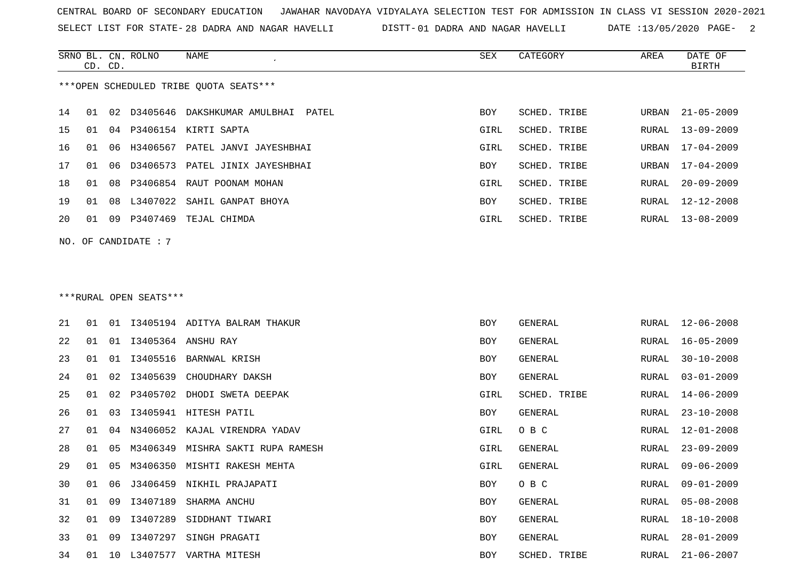SELECT LIST FOR STATE- DISTT- 28 DADRA AND NAGAR HAVELLI

01 DADRA AND NAGAR HAVELLI DATE :13/05/2020 PAGE- 2

|    | CD. CD. |    | SRNO BL. CN. ROLNO     | NAME                                   | SEX  | CATEGORY       | AREA  | DATE OF<br><b>BIRTH</b> |
|----|---------|----|------------------------|----------------------------------------|------|----------------|-------|-------------------------|
|    |         |    |                        | ***OPEN SCHEDULED TRIBE QUOTA SEATS*** |      |                |       |                         |
| 14 | 01      | 02 |                        | D3405646 DAKSHKUMAR AMULBHAI PATEL     | BOY  | SCHED. TRIBE   | URBAN | $21 - 05 - 2009$        |
| 15 | 01      | 04 |                        | P3406154 KIRTI SAPTA                   | GIRL | SCHED. TRIBE   | RURAL | $13 - 09 - 2009$        |
| 16 | 01      | 06 | H3406567               | PATEL JANVI JAYESHBHAI                 | GIRL | SCHED. TRIBE   | URBAN | $17 - 04 - 2009$        |
| 17 | 01      | 06 | D3406573               | PATEL JINIX JAYESHBHAI                 | BOY  | SCHED. TRIBE   | URBAN | $17 - 04 - 2009$        |
| 18 | 01      | 08 | P3406854               | RAUT POONAM MOHAN                      | GIRL | SCHED. TRIBE   | RURAL | $20 - 09 - 2009$        |
| 19 | 01      | 08 | L3407022               | SAHIL GANPAT BHOYA                     | BOY  | SCHED. TRIBE   | RURAL | $12 - 12 - 2008$        |
| 20 | 01      |    |                        | 09 P3407469 TEJAL CHIMDA               | GIRL | SCHED. TRIBE   | RURAL | $13 - 08 - 2009$        |
|    |         |    | NO. OF CANDIDATE: 7    |                                        |      |                |       |                         |
|    |         |    |                        |                                        |      |                |       |                         |
|    |         |    |                        |                                        |      |                |       |                         |
|    |         |    | ***RURAL OPEN SEATS*** |                                        |      |                |       |                         |
| 21 | 01      |    |                        | 01 I3405194 ADITYA BALRAM THAKUR       | BOY  | GENERAL        | RURAL | 12-06-2008              |
| 22 | 01      | 01 |                        | 13405364 ANSHU RAY                     | BOY  | <b>GENERAL</b> | RURAL | $16 - 05 - 2009$        |
| 23 | 01      | 01 | I3405516               | BARNWAL KRISH                          | BOY  | <b>GENERAL</b> | RURAL | $30 - 10 - 2008$        |
| 24 | 01      | 02 | I3405639               | CHOUDHARY DAKSH                        | BOY  | <b>GENERAL</b> | RURAL | $03 - 01 - 2009$        |
| 25 | 01      | 02 | P3405702               | DHODI SWETA DEEPAK                     | GIRL | SCHED. TRIBE   | RURAL | $14 - 06 - 2009$        |
| 26 | 01      | 03 |                        | I3405941 HITESH PATIL                  | BOY  | GENERAL        | RURAL | $23 - 10 - 2008$        |
| 27 | 01      | 04 | N3406052               | KAJAL VIRENDRA YADAV                   | GIRL | O B C          | RURAL | $12 - 01 - 2008$        |
| 28 | 01      | 05 | M3406349               | MISHRA SAKTI RUPA RAMESH               | GIRL | <b>GENERAL</b> | RURAL | $23 - 09 - 2009$        |
| 29 | 01      | 05 |                        | M3406350 MISHTI RAKESH MEHTA           | GIRL | GENERAL        | RURAL | $09 - 06 - 2009$        |
| 30 | 01      | 06 |                        | J3406459 NIKHIL PRAJAPATI              | BOY  | O B C          | RURAL | $09 - 01 - 2009$        |
| 31 | 01      | 09 | I3407189               | SHARMA ANCHU                           | BOY  | GENERAL        | RURAL | $05 - 08 - 2008$        |
| 32 | 01      | 09 | I3407289               | SIDDHANT TIWARI                        | BOY  | GENERAL        | RURAL | 18-10-2008              |
| 33 | 01      | 09 | I3407297               | SINGH PRAGATI                          | BOY  | GENERAL        | RURAL | 28-01-2009              |
| 34 |         |    |                        | 01 10 L3407577 VARTHA MITESH           | BOY  | SCHED. TRIBE   | RURAL | 21-06-2007              |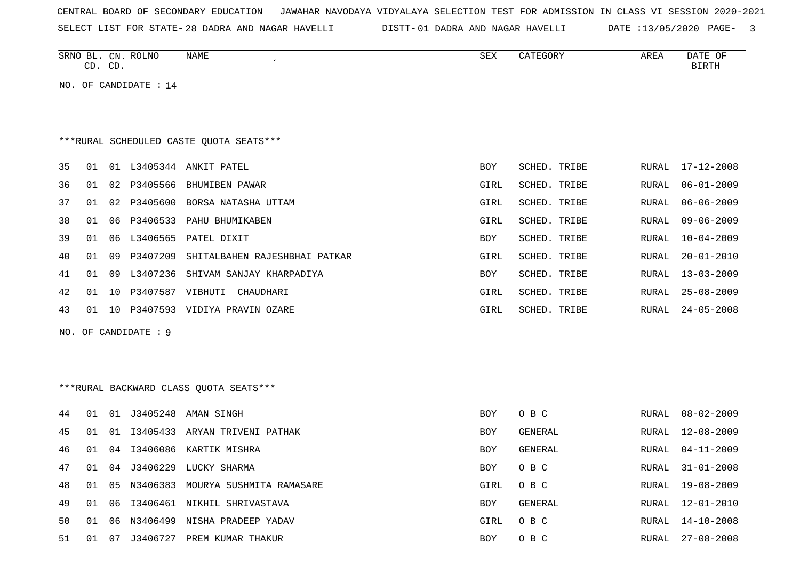CENTRAL BOARD OF SECONDARY EDUCATION JAWAHAR NAVODAYA VIDYALAYA SELECTION TEST FOR ADMISSION IN CLASS VI SESSION 2020-2021 SELECT LIST FOR STATE- DISTT- 28 DADRA AND NAGAR HAVELLI01 DADRA AND NAGAR HAVELLI DATE :13/05/2020 PAGE- 3

|  |  |  |  | THEST THAT LOW ATTEL TO DUNNY UND MUCHAL UNABLE |  |  | PISII UI DADRA AND NAGAR AAVLUUI | PAIR '13/03/2020 FAGE |  |
|--|--|--|--|-------------------------------------------------|--|--|----------------------------------|-----------------------|--|
|  |  |  |  |                                                 |  |  |                                  |                       |  |
|  |  |  |  |                                                 |  |  |                                  |                       |  |
|  |  |  |  |                                                 |  |  |                                  |                       |  |

| SRNO BL. | . CN. ROLNO             | NAME | SEX | CATEGORY | AREA | DATE OF      |
|----------|-------------------------|------|-----|----------|------|--------------|
| CD.      | CD                      |      |     |          |      | <b>BIRTH</b> |
|          |                         |      |     |          |      |              |
|          | NO. OF CANDIDATE : $14$ |      |     |          |      |              |

## \*\*\*RURAL SCHEDULED CASTE QUOTA SEATS\*\*\*

| 35 | 01  | 01 | L3405344    | ANKIT PATEL                   | <b>BOY</b> | SCHED. TRIBE        |       | RURAL 17-12-2008 |
|----|-----|----|-------------|-------------------------------|------------|---------------------|-------|------------------|
| 36 | 01  | 02 | P3405566    | BHUMIBEN PAWAR                | GIRL       | SCHED. TRIBE        | RURAL | 06-01-2009       |
| 37 | 01  |    | 02 P3405600 | BORSA NATASHA UTTAM           | GIRL       | SCHED. TRIBE        | RURAL | $06 - 06 - 2009$ |
| 38 | 01  | 06 | P3406533    | PAHU BHUMIKABEN               | GIRL       | SCHED. TRIBE        | RURAL | 09-06-2009       |
| 39 | O 1 |    | L3406565    | PATEL DIXIT                   | <b>BOY</b> | SCHED. TRIBE        | RURAL | $10 - 04 - 2009$ |
| 40 | 01  | 09 | P3407209    | SHITALBAHEN RAJESHBHAI PATKAR | GIRL       | SCHED. TRIBE        | RURAL | $20 - 01 - 2010$ |
| 41 | 01  | 09 | L3407236    | SHIVAM SANJAY KHARPADIYA      | <b>BOY</b> | <b>SCHED. TRIBE</b> | RURAL | $13 - 03 - 2009$ |
| 42 | 01  | 10 | P3407587    | VIBHUTI<br>CHAUDHARI          | GIRL       | SCHED. TRIBE        |       | RURAL 25-08-2009 |
| 43 | 01  | 10 | P3407593    | VIDIYA PRAVIN OZARE           | GIRL       | SCHED. TRIBE        | RURAL | $24 - 05 - 2008$ |
|    |     |    |             |                               |            |                     |       |                  |

```
NO. OF CANDIDATE : 9
```
# \*\*\*RURAL BACKWARD CLASS QUOTA SEATS\*\*\*

| 44 | 01  | . N 1 |             | J3405248 AMAN SINGH           | <b>BOY</b> | O B C   | RURAL | $08 - 02 - 2009$ |
|----|-----|-------|-------------|-------------------------------|------------|---------|-------|------------------|
| 45 | O 1 | . O 1 |             | 13405433 ARYAN TRIVENI PATHAK | BOY        | GENERAL | RURAL | $12 - 08 - 2009$ |
| 46 | 01  |       |             | 04 I3406086 KARTIK MISHRA     | BOY        | GENERAL | RURAL | $04 - 11 - 2009$ |
| 47 | O 1 |       | 04 J3406229 | LUCKY SHARMA                  | <b>BOY</b> | O B C   | RURAL | $31 - 01 - 2008$ |
| 48 | O 1 |       | 05 N3406383 | MOURYA SUSHMITA RAMASARE      | GIRL       | O B C   | RURAL | 19-08-2009       |
| 49 | O 1 | 06    |             | 13406461 NIKHIL SHRIVASTAVA   | <b>BOY</b> | GENERAL | RURAL | 12-01-2010       |
| 50 | 01  | 06    | N3406499    | NISHA PRADEEP YADAV           | GIRL       | O B C   | RURAL | $14 - 10 - 2008$ |
| 51 | 01  | -07   | J3406727    | PREM KUMAR THAKUR             | BOY        | O B C   | RURAL | $27 - 08 - 2008$ |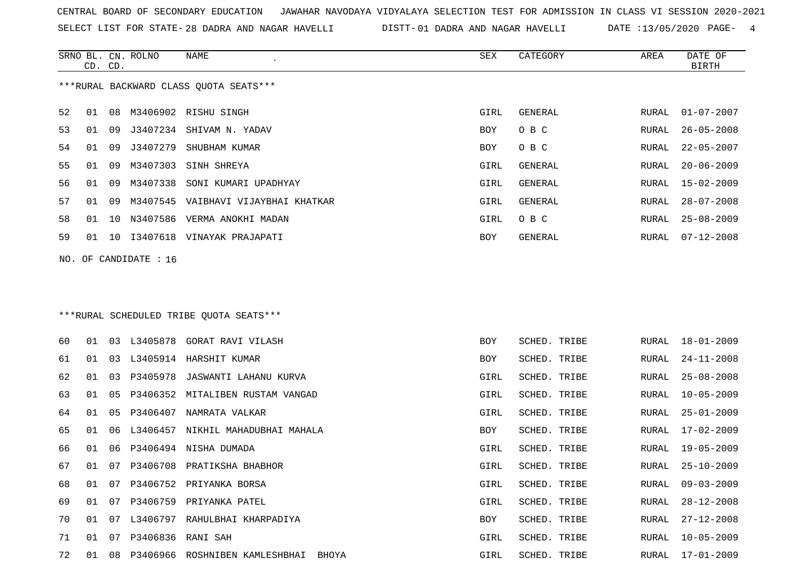SELECT LIST FOR STATE- DISTT- 28 DADRA AND NAGAR HAVELLI

01 DADRA AND NAGAR HAVELLI DATE :13/05/2020 PAGE- 4

|    | CD. CD. |    | SRNO BL. CN. ROLNO      | NAME                                                                     | SEX        | CATEGORY       | AREA  | DATE OF<br><b>BIRTH</b> |
|----|---------|----|-------------------------|--------------------------------------------------------------------------|------------|----------------|-------|-------------------------|
|    |         |    |                         | ***RURAL BACKWARD CLASS QUOTA SEATS***                                   |            |                |       |                         |
| 52 | 01      |    |                         | 08 M3406902 RISHU SINGH                                                  | GIRL       | GENERAL        | RURAL | $01 - 07 - 2007$        |
| 53 | 01      | 09 |                         | J3407234 SHIVAM N. YADAV                                                 | BOY        | O B C          | RURAL | $26 - 05 - 2008$        |
| 54 | 01      | 09 | J3407279                | SHUBHAM KUMAR                                                            | BOY        | овс            | RURAL | $22 - 05 - 2007$        |
| 55 | 01      | 09 | M3407303                | SINH SHREYA                                                              | GIRL       | <b>GENERAL</b> | RURAL | $20 - 06 - 2009$        |
| 56 | 01      | 09 | M3407338                | SONI KUMARI UPADHYAY                                                     | GIRL       | <b>GENERAL</b> | RURAL | $15 - 02 - 2009$        |
| 57 | 01      | 09 | M3407545                | VAIBHAVI VIJAYBHAI KHATKAR                                               | GIRL       | <b>GENERAL</b> | RURAL | $28 - 07 - 2008$        |
| 58 | 01      | 10 |                         | N3407586 VERMA ANOKHI MADAN                                              | GIRL       | O B C          | RURAL | $25 - 08 - 2009$        |
| 59 | 01      | 10 |                         | 13407618 VINAYAK PRAJAPATI                                               | BOY        | GENERAL        | RURAL | $07 - 12 - 2008$        |
|    |         |    | NO. OF CANDIDATE : $16$ |                                                                          |            |                |       |                         |
| 60 | 01      |    |                         | ***RURAL SCHEDULED TRIBE QUOTA SEATS***<br>03 L3405878 GORAT RAVI VILASH | BOY        | SCHED. TRIBE   | RURAL | $18 - 01 - 2009$        |
| 61 | 01      | 03 |                         | L3405914 HARSHIT KUMAR                                                   | <b>BOY</b> | SCHED. TRIBE   | RURAL | $24 - 11 - 2008$        |
| 62 | 01      | 03 | P3405978                | JASWANTI LAHANU KURVA                                                    | GIRL       | SCHED. TRIBE   | RURAL | $25 - 08 - 2008$        |
| 63 | 01      | 05 | P3406352                | MITALIBEN RUSTAM VANGAD                                                  | GIRL       | SCHED. TRIBE   | RURAL | $10 - 05 - 2009$        |
| 64 | 01      | 05 | P3406407                | NAMRATA VALKAR                                                           | GIRL       | SCHED. TRIBE   | RURAL | $25 - 01 - 2009$        |
| 65 | 01      | 06 | L3406457                | NIKHIL MAHADUBHAI MAHALA                                                 | BOY        | SCHED. TRIBE   | RURAL | $17 - 02 - 2009$        |
| 66 | 01      | 06 |                         | P3406494 NISHA DUMADA                                                    | GIRL       | SCHED. TRIBE   | RURAL | $19 - 05 - 2009$        |
| 67 | 01      | 07 |                         | P3406708 PRATIKSHA BHABHOR                                               | GIRL       | SCHED. TRIBE   | RURAL | $25 - 10 - 2009$        |
| 68 | 01      | 07 |                         | P3406752 PRIYANKA BORSA                                                  | GIRL       | SCHED. TRIBE   | RURAL | $09 - 03 - 2009$        |
| 69 | 01      | 07 |                         | P3406759 PRIYANKA PATEL                                                  | GIRL       | SCHED. TRIBE   | RURAL | $28 - 12 - 2008$        |
| 70 | 01      | 07 |                         | L3406797 RAHULBHAI KHARPADIYA                                            | BOY        | SCHED. TRIBE   | RURAL | $27 - 12 - 2008$        |
| 71 | 01      | 07 | P3406836 RANI SAH       |                                                                          | GIRL       | SCHED. TRIBE   | RURAL | $10 - 05 - 2009$        |
| 72 | 01      |    |                         | 08 P3406966 ROSHNIBEN KAMLESHBHAI BHOYA                                  | GIRL       | SCHED. TRIBE   | RURAL | 17-01-2009              |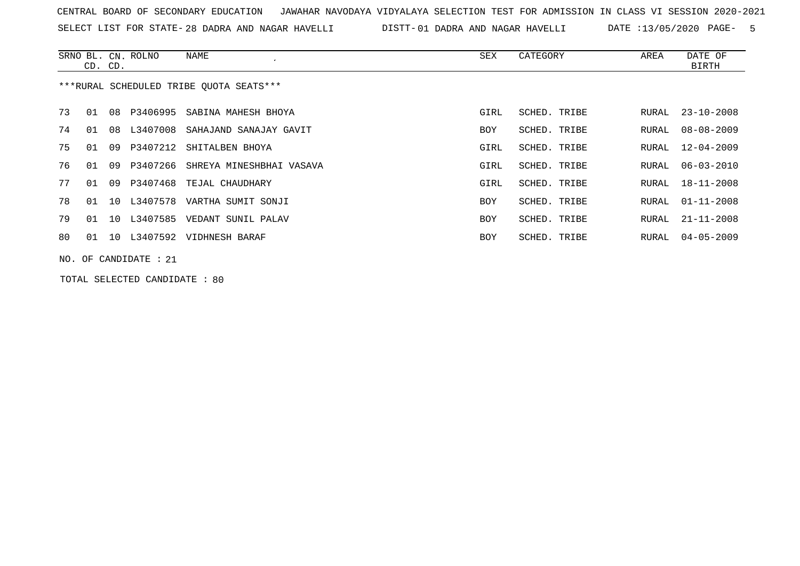SELECT LIST FOR STATE- DISTT- 28 DADRA AND NAGAR HAVELLI 01 DADRA AND NAGAR HAVELLI DATE :13/05/2020 PAGE- 5

|                                         | CD. CD. |     | SRNO BL. CN. ROLNO      | NAME                           | SEX  | CATEGORY     | AREA  | DATE OF<br>BIRTH |  |
|-----------------------------------------|---------|-----|-------------------------|--------------------------------|------|--------------|-------|------------------|--|
| ***RURAL SCHEDULED TRIBE OUOTA SEATS*** |         |     |                         |                                |      |              |       |                  |  |
| 73                                      | 01      | 08  | P3406995                | SABINA MAHESH BHOYA            | GIRL | SCHED. TRIBE | RURAL | $23 - 10 - 2008$ |  |
| 74                                      | 01      | 08  | L3407008                | SAHAJAND SANAJAY GAVIT         | BOY  | SCHED. TRIBE | RURAL | $08 - 08 - 2009$ |  |
| 75                                      | O 1     | O 9 |                         | P3407212 SHITALBEN BHOYA       | GIRL | SCHED. TRIBE | RURAL | 12-04-2009       |  |
| 76                                      | 01      | 09  | P3407266                | SHREYA MINESHBHAI VASAVA       | GIRL | SCHED. TRIBE | RURAL | $06 - 03 - 2010$ |  |
| 77                                      | 01      | 09  |                         | P3407468 TEJAL CHAUDHARY       | GIRL | SCHED. TRIBE | RURAL | 18-11-2008       |  |
| 78                                      | 01      | 10  |                         | L3407578 VARTHA SUMIT SONJI    | BOY  | SCHED. TRIBE | RURAL | $01 - 11 - 2008$ |  |
| 79                                      | 01      |     |                         | 10 L3407585 VEDANT SUNIL PALAV | BOY  | SCHED. TRIBE | RURAL | 21-11-2008       |  |
| 80                                      | 01      |     |                         | 10 L3407592 VIDHNESH BARAF     | BOY  | SCHED. TRIBE | RURAL | 04-05-2009       |  |
|                                         |         |     | NO. OF CANDIDATE : $21$ |                                |      |              |       |                  |  |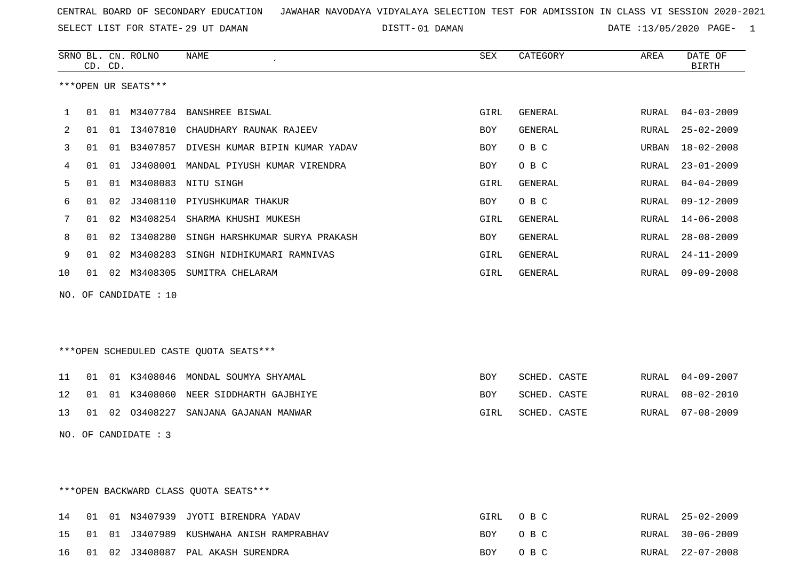SELECT LIST FOR STATE- DISTT- 29 UT DAMAN

01 DAMAN DATE :13/05/2020 PAGE- 1

|    | CD. CD. |    | SRNO BL. CN. ROLNO   | <b>NAME</b>                            | <b>SEX</b> | CATEGORY       | AREA         | DATE OF<br><b>BIRTH</b> |
|----|---------|----|----------------------|----------------------------------------|------------|----------------|--------------|-------------------------|
|    |         |    | ***OPEN UR SEATS***  |                                        |            |                |              |                         |
|    | 01      | 01 | M3407784             | <b>BANSHREE BISWAL</b>                 | GIRL       | <b>GENERAL</b> | RURAL        | $04 - 03 - 2009$        |
| 2  | 01      | 01 | I3407810             | CHAUDHARY RAUNAK RAJEEV                | BOY        | <b>GENERAL</b> | RURAL        | $25 - 02 - 2009$        |
| 3  | 01      | 01 | B3407857             | DIVESH KUMAR BIPIN KUMAR YADAV         | BOY        | O B C          | URBAN        | $18 - 02 - 2008$        |
| 4  | 01      | 01 | J3408001             | MANDAL PIYUSH KUMAR VIRENDRA           | <b>BOY</b> | O B C          | RURAL        | $23 - 01 - 2009$        |
| 5  | 01      | 01 | M3408083             | NITU SINGH                             | GIRL       | GENERAL        | RURAL        | $04 - 04 - 2009$        |
| 6  | 01      | 02 | J3408110             | PIYUSHKUMAR THAKUR                     | BOY        | O B C          | <b>RURAL</b> | $09 - 12 - 2009$        |
| 7  | 01      | 02 | M3408254             | SHARMA KHUSHI MUKESH                   | GIRL       | <b>GENERAL</b> | <b>RURAL</b> | $14 - 06 - 2008$        |
| 8  | 01      | 02 | I3408280             | SINGH HARSHKUMAR SURYA PRAKASH         | <b>BOY</b> | <b>GENERAL</b> | <b>RURAL</b> | $28 - 08 - 2009$        |
| 9  | 01      | 02 | M3408283             | SINGH NIDHIKUMARI RAMNIVAS             | GIRL       | <b>GENERAL</b> | RURAL        | $24 - 11 - 2009$        |
| 10 | 01      | 02 | M3408305             | SUMITRA CHELARAM                       | GIRL       | <b>GENERAL</b> | RURAL        | $09 - 09 - 2008$        |
|    |         |    | NO. OF CANDIDATE: 10 |                                        |            |                |              |                         |
|    |         |    |                      | ***OPEN SCHEDULED CASTE QUOTA SEATS*** |            |                |              |                         |
| 11 | 01      | 01 | K3408046             | MONDAL SOUMYA SHYAMAL                  | <b>BOY</b> | SCHED. CASTE   | RURAL        | $04 - 09 - 2007$        |
| 12 | 01      | 01 | K3408060             | NEER SIDDHARTH GAJBHIYE                | <b>BOY</b> | SCHED. CASTE   | RURAL        | $08 - 02 - 2010$        |
| 13 | 01      | 02 | 03408227             | SANJANA GAJANAN MANWAR                 | GIRL       | SCHED. CASTE   | RURAL        | $07 - 08 - 2009$        |

NO. OF CANDIDATE : 3

\*\*\*OPEN BACKWARD CLASS QUOTA SEATS\*\*\*

|  |  | 14 01 01 N3407939 JYOTI BIRENDRA YADAV      | GIRL OBC | RURAL 25-02-2009 |
|--|--|---------------------------------------------|----------|------------------|
|  |  | 15 01 01 J3407989 KUSHWAHA ANISH RAMPRABHAV | BOY OBC  | RURAL 30-06-2009 |
|  |  | 16 01 02 J3408087 PAL AKASH SURENDRA        | BOY OBC  | RURAL 22-07-2008 |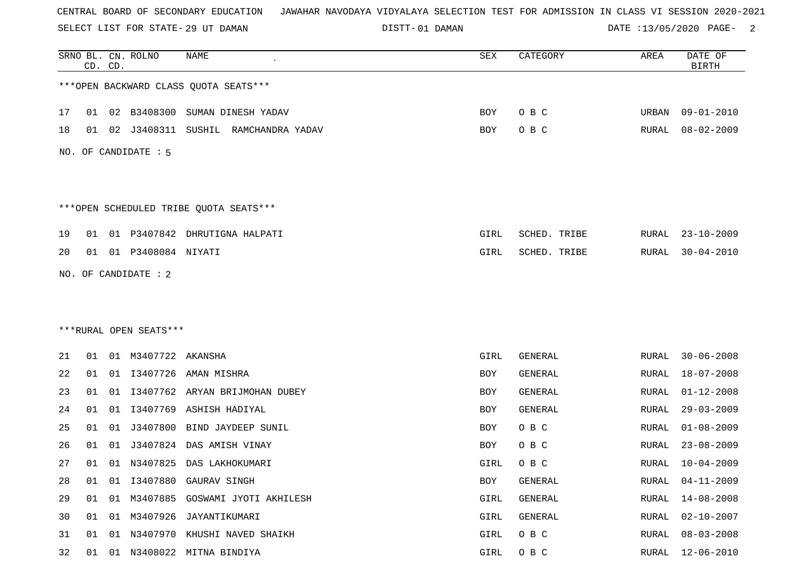SELECT LIST FOR STATE- DISTT- 29 UT DAMAN

01 DAMAN DATE :13/05/2020 PAGE- 2

|    |    | CD. CD. | SRNO BL. CN. ROLNO     | <b>NAME</b>                            | SEX        | CATEGORY       | AREA         | DATE OF<br><b>BIRTH</b> |
|----|----|---------|------------------------|----------------------------------------|------------|----------------|--------------|-------------------------|
|    |    |         |                        | *** OPEN BACKWARD CLASS QUOTA SEATS*** |            |                |              |                         |
| 17 | 01 |         | 02 B3408300            | SUMAN DINESH YADAV                     | BOY        | O B C          | URBAN        | 09-01-2010              |
| 18 | 01 | 02      | J3408311               | SUSHIL RAMCHANDRA YADAV                | <b>BOY</b> | O B C          | RURAL        | $08 - 02 - 2009$        |
|    |    |         | NO. OF CANDIDATE : 5   |                                        |            |                |              |                         |
|    |    |         |                        | ***OPEN SCHEDULED TRIBE QUOTA SEATS*** |            |                |              |                         |
| 19 | 01 |         |                        | 01 P3407842 DHRUTIGNA HALPATI          | GIRL       | SCHED. TRIBE   | RURAL        | $23 - 10 - 2009$        |
| 20 | 01 |         | 01 P3408084 NIYATI     |                                        | GIRL       | SCHED. TRIBE   | RURAL        | $30 - 04 - 2010$        |
|    |    |         | NO. OF CANDIDATE : 2   |                                        |            |                |              |                         |
|    |    |         |                        |                                        |            |                |              |                         |
|    |    |         |                        |                                        |            |                |              |                         |
|    |    |         | ***RURAL OPEN SEATS*** |                                        |            |                |              |                         |
| 21 | 01 |         | 01 M3407722            | AKANSHA                                | GIRL       | GENERAL        | RURAL        | $30 - 06 - 2008$        |
| 22 | 01 |         |                        | 01 I3407726 AMAN MISHRA                | BOY        | GENERAL        | RURAL        | $18 - 07 - 2008$        |
| 23 | 01 | 01      |                        | 13407762 ARYAN BRIJMOHAN DUBEY         | BOY        | <b>GENERAL</b> | RURAL        | $01 - 12 - 2008$        |
| 24 | 01 | 01      | I3407769               | ASHISH HADIYAL                         | BOY        | <b>GENERAL</b> | RURAL        | $29 - 03 - 2009$        |
| 25 | 01 | 01      | J3407800               | BIND JAYDEEP SUNIL                     | BOY        | O B C          | RURAL        | $01 - 08 - 2009$        |
| 26 | 01 | 01      | J3407824               | DAS AMISH VINAY                        | BOY        | O B C          | RURAL        | $23 - 08 - 2009$        |
| 27 | 01 |         |                        | 01 N3407825 DAS LAKHOKUMARI            | GIRL       | O B C          | RURAL        | $10 - 04 - 2009$        |
| 28 | 01 | 01      |                        | I3407880 GAURAV SINGH                  | <b>BOY</b> | GENERAL        | <b>RURAL</b> | $04 - 11 - 2009$        |
| 29 | 01 | 01      | M3407885               | GOSWAMI JYOTI AKHILESH                 | GIRL       | GENERAL        | RURAL        | $14 - 08 - 2008$        |
| 30 | 01 |         |                        | 01 M3407926 JAYANTIKUMARI              | GIRL       | GENERAL        | RURAL        | $02 - 10 - 2007$        |
| 31 | 01 | 01      |                        | N3407970 KHUSHI NAVED SHAIKH           | GIRL       | O B C          | <b>RURAL</b> | $08 - 03 - 2008$        |
| 32 | 01 | 01      |                        | N3408022 MITNA BINDIYA                 | GIRL       | O B C          | RURAL        | $12 - 06 - 2010$        |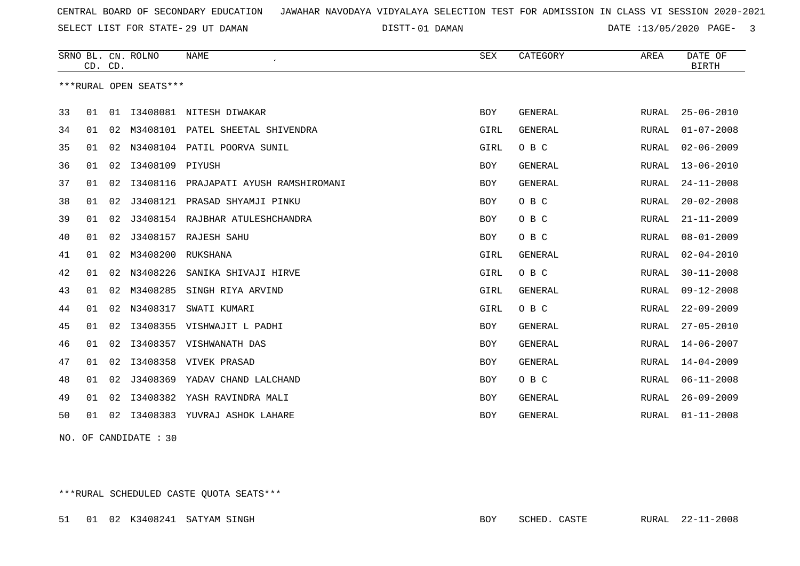SELECT LIST FOR STATE- DISTT- 29 UT DAMAN

01 DAMAN DATE :13/05/2020 PAGE- 3

|    | CD. CD. |                        | SRNO BL. CN. ROLNO | <b>NAME</b>                      | <b>SEX</b> | CATEGORY       | AREA         | DATE OF<br><b>BIRTH</b> |
|----|---------|------------------------|--------------------|----------------------------------|------------|----------------|--------------|-------------------------|
|    |         | ***RURAL OPEN SEATS*** |                    |                                  |            |                |              |                         |
| 33 | 01      |                        |                    | 01 I3408081 NITESH DIWAKAR       | <b>BOY</b> | GENERAL        | RURAL        | $25 - 06 - 2010$        |
| 34 | 01      | 02                     |                    | M3408101 PATEL SHEETAL SHIVENDRA | GIRL       | GENERAL        | RURAL        | $01 - 07 - 2008$        |
| 35 | 01      | 02                     |                    | N3408104 PATIL POORVA SUNIL      | GIRL       | O B C          | RURAL        | $02 - 06 - 2009$        |
| 36 | 01      | 02                     | I3408109 PIYUSH    |                                  | BOY        | GENERAL        | RURAL        | $13 - 06 - 2010$        |
| 37 | 01      | 02                     | I3408116           | PRAJAPATI AYUSH RAMSHIROMANI     | <b>BOY</b> | GENERAL        | RURAL        | $24 - 11 - 2008$        |
| 38 | 01      | 02                     | J3408121           | PRASAD SHYAMJI PINKU             | BOY        | O B C          | RURAL        | $20 - 02 - 2008$        |
| 39 | 01      | 02                     |                    | J3408154 RAJBHAR ATULESHCHANDRA  | <b>BOY</b> | O B C          | RURAL        | $21 - 11 - 2009$        |
| 40 | 01      | 02                     | J3408157           | RAJESH SAHU                      | BOY        | O B C          | RURAL        | $08 - 01 - 2009$        |
| 41 | 01      | 02                     | M3408200           | RUKSHANA                         | GIRL       | GENERAL        | RURAL        | $02 - 04 - 2010$        |
| 42 | 01      | 02                     | N3408226           | SANIKA SHIVAJI HIRVE             | GIRL       | O B C          | RURAL        | $30 - 11 - 2008$        |
| 43 | 01      | 02                     | M3408285           | SINGH RIYA ARVIND                | GIRL       | GENERAL        | RURAL        | $09 - 12 - 2008$        |
| 44 | 01      | 02                     | N3408317           | SWATI KUMARI                     | GIRL       | O B C          | RURAL        | $22 - 09 - 2009$        |
| 45 | 01      | 02                     | I3408355           | VISHWAJIT L PADHI                | BOY        | GENERAL        | RURAL        | $27 - 05 - 2010$        |
| 46 | 01      | 02                     | I3408357           | VISHWANATH DAS                   | <b>BOY</b> | GENERAL        | RURAL        | $14 - 06 - 2007$        |
| 47 | 01      | 02                     | I3408358           | VIVEK PRASAD                     | BOY        | GENERAL        | RURAL        | $14 - 04 - 2009$        |
| 48 | 01      | 02                     |                    | J3408369 YADAV CHAND LALCHAND    | <b>BOY</b> | O B C          | RURAL        | $06 - 11 - 2008$        |
| 49 | 01      | 02                     | I3408382           | YASH RAVINDRA MALI               | <b>BOY</b> | GENERAL        | RURAL        | $26 - 09 - 2009$        |
| 50 | 01      | 02                     |                    | 13408383 YUVRAJ ASHOK LAHARE     | <b>BOY</b> | <b>GENERAL</b> | <b>RURAL</b> | $01 - 11 - 2008$        |

NO. OF CANDIDATE : 30

\*\*\*RURAL SCHEDULED CASTE QUOTA SEATS\*\*\*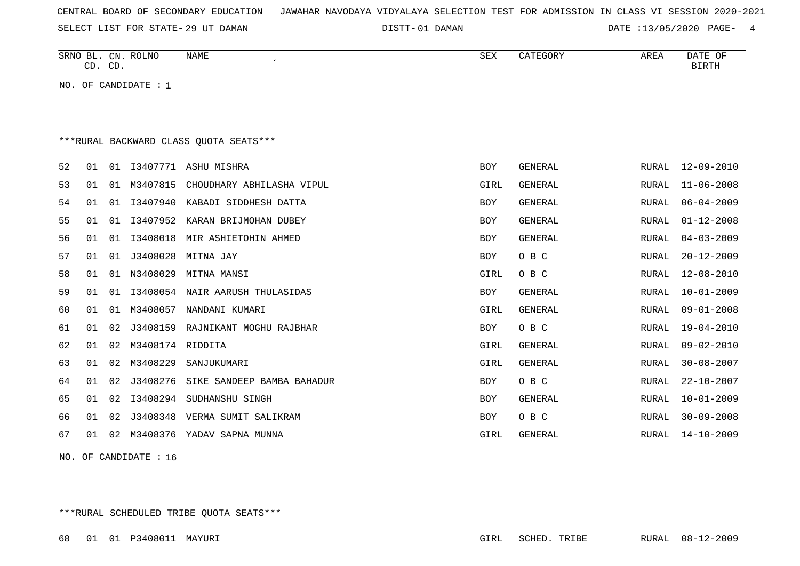| CENTRAL BOARD OF SECONDARY EDUCATION – JAWAHAR NAVODAYA VIDYALAYA SELECTION TEST FOR ADMISSION IN CLASS VI SESSION 2020-2021 |  |  |
|------------------------------------------------------------------------------------------------------------------------------|--|--|
|------------------------------------------------------------------------------------------------------------------------------|--|--|

SELECT LIST FOR STATE- DISTT- 29 UT DAMAN

01 DAMAN DATE :13/05/2020 PAGE- 4

| SRNO<br>BГ  | ROLNO<br>CN | <b>NAME</b> | <b>SEX</b> | CATEGORY | AREA | DATE<br>ΟF   |
|-------------|-------------|-------------|------------|----------|------|--------------|
| $\cap$<br>ັ | $CD$ .      |             |            |          |      | <b>BIRTH</b> |

NO. OF CANDIDATE : 1

## \*\*\*RURAL BACKWARD CLASS QUOTA SEATS\*\*\*

| 52 | 01 | 01 |                  | I3407771 ASHU MISHRA                | <b>BOY</b> | GENERAL        | RURAL | 12-09-2010       |
|----|----|----|------------------|-------------------------------------|------------|----------------|-------|------------------|
| 53 | 01 | 01 | M3407815         | CHOUDHARY ABHILASHA VIPUL           | GIRL       | GENERAL        | RURAL | $11 - 06 - 2008$ |
| 54 | 01 | 01 | I3407940         | KABADI SIDDHESH DATTA               | BOY        | GENERAL        | RURAL | $06 - 04 - 2009$ |
| 55 | 01 | 01 |                  | I3407952 KARAN BRIJMOHAN DUBEY      | BOY        | GENERAL        | RURAL | $01 - 12 - 2008$ |
| 56 | 01 | 01 | I3408018         | MIR ASHIETOHIN AHMED                | BOY        | GENERAL        | RURAL | $04 - 03 - 2009$ |
| 57 | 01 | 01 | J3408028         | MITNA JAY                           | BOY        | O B C          | RURAL | $20 - 12 - 2009$ |
| 58 | 01 | 01 |                  | N3408029 MITNA MANSI                | GIRL       | O B C          | RURAL | 12-08-2010       |
| 59 | 01 | 01 |                  | I3408054 NAIR AARUSH THULASIDAS     | BOY        | GENERAL        | RURAL | $10 - 01 - 2009$ |
| 60 | 01 | 01 | M3408057         | NANDANI KUMARI                      | GIRL       | GENERAL        | RURAL | $09 - 01 - 2008$ |
| 61 | 01 | 02 |                  | J3408159 RAJNIKANT MOGHU RAJBHAR    | BOY        | O B C          | RURAL | $19 - 04 - 2010$ |
| 62 | 01 | 02 | M3408174 RIDDITA |                                     | GIRL       | GENERAL        | RURAL | $09 - 02 - 2010$ |
| 63 | 01 | 02 | M3408229         | SANJUKUMARI                         | GIRL       | GENERAL        | RURAL | $30 - 08 - 2007$ |
| 64 | 01 | 02 |                  | J3408276 SIKE SANDEEP BAMBA BAHADUR | BOY        | O B C          | RURAL | $22 - 10 - 2007$ |
| 65 | 01 | 02 | I3408294         | SUDHANSHU SINGH                     | BOY        | <b>GENERAL</b> | RURAL | $10 - 01 - 2009$ |
| 66 | 01 | 02 |                  | J3408348 VERMA SUMIT SALIKRAM       | BOY        | O B C          | RURAL | $30 - 09 - 2008$ |
| 67 | 01 | 02 | M3408376         | YADAV SAPNA MUNNA                   | GIRL       | GENERAL        | RURAL | $14 - 10 - 2009$ |
|    |    |    |                  |                                     |            |                |       |                  |

NO. OF CANDIDATE : 16

\*\*\*RURAL SCHEDULED TRIBE QUOTA SEATS\*\*\*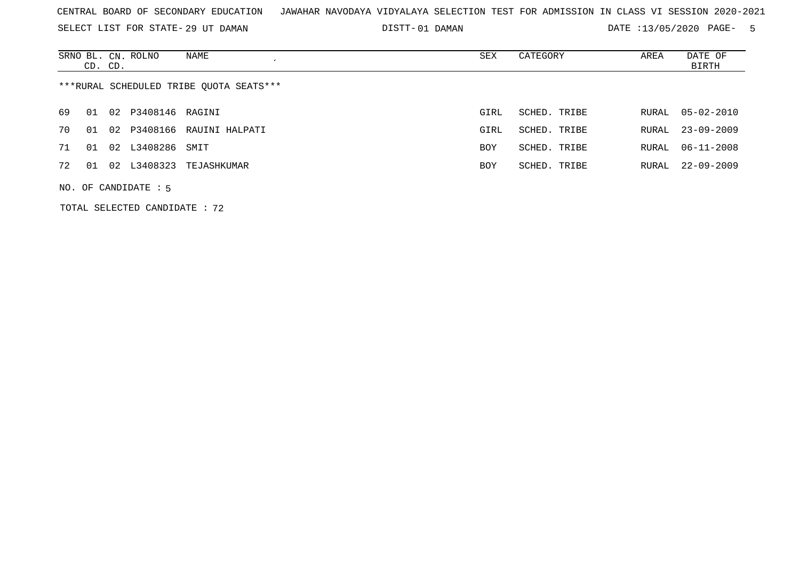SELECT LIST FOR STATE- DISTT- 29 UT DAMAN

01 DAMAN DATE :13/05/2020 PAGE- 5

|    | CD. CD.                                 |    | SRNO BL. CN. ROLNO | NAME                    | SEX        | CATEGORY     | AREA  | DATE OF<br><b>BIRTH</b> |  |  |
|----|-----------------------------------------|----|--------------------|-------------------------|------------|--------------|-------|-------------------------|--|--|
|    | ***RURAL SCHEDULED TRIBE OUOTA SEATS*** |    |                    |                         |            |              |       |                         |  |  |
| 69 | 01                                      |    | 02 P3408146 RAGINI |                         | GIRL       | SCHED. TRIBE | RURAL | $05 - 02 - 2010$        |  |  |
| 70 | O 1                                     | 02 |                    | P3408166 RAUINI HALPATI | GIRL       | SCHED. TRIBE | RURAL | $23 - 09 - 2009$        |  |  |
| 71 | 01                                      |    | 02 L3408286 SMIT   |                         | <b>BOY</b> | SCHED. TRIBE | RURAL | $06 - 11 - 2008$        |  |  |
| 72 | 01                                      |    |                    | 02 L3408323 TEJASHKUMAR | <b>BOY</b> | SCHED. TRIBE | RURAL | $22 - 09 - 2009$        |  |  |
|    | $NO.$ OF CANDIDATE : 5                  |    |                    |                         |            |              |       |                         |  |  |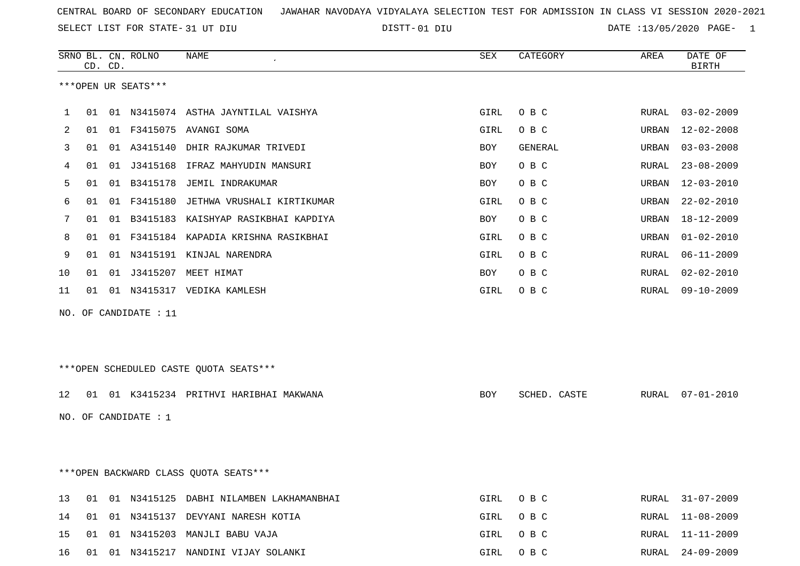SELECT LIST FOR STATE- DISTT- 31 UT DIU

01 DIU DATE :13/05/2020 PAGE- 1

|     |                                        | CD. CD. | SRNO BL. CN. ROLNO     | <b>NAME</b><br>$\bullet$                   | <b>SEX</b> | CATEGORY     | AREA  | DATE OF<br><b>BIRTH</b> |  |
|-----|----------------------------------------|---------|------------------------|--------------------------------------------|------------|--------------|-------|-------------------------|--|
|     |                                        |         | ***OPEN UR SEATS***    |                                            |            |              |       |                         |  |
| 1   |                                        |         |                        | 01 01 N3415074 ASTHA JAYNTILAL VAISHYA     | GIRL       | O B C        | RURAL | $03 - 02 - 2009$        |  |
| 2   | 01                                     |         |                        | 01 F3415075 AVANGI SOMA                    | GIRL       | O B C        | URBAN | $12 - 02 - 2008$        |  |
| 3   | 01                                     |         | 01 A3415140            | DHIR RAJKUMAR TRIVEDI                      | BOY        | GENERAL      | URBAN | $03 - 03 - 2008$        |  |
| 4   | 01                                     |         | 01 J3415168            | IFRAZ MAHYUDIN MANSURI                     | BOY        | O B C        | RURAL | $23 - 08 - 2009$        |  |
| 5   | 01                                     |         | 01 B3415178            | JEMIL INDRAKUMAR                           | BOY        | O B C        | URBAN | $12 - 03 - 2010$        |  |
| 6   | 01                                     |         | 01 F3415180            | JETHWA VRUSHALI KIRTIKUMAR                 | GIRL       | O B C        | URBAN | $22 - 02 - 2010$        |  |
| 7   | 01                                     |         |                        | 01 B3415183 KAISHYAP RASIKBHAI KAPDIYA     | BOY        | O B C        | URBAN | 18-12-2009              |  |
| 8   | 01                                     |         |                        | 01 F3415184 KAPADIA KRISHNA RASIKBHAI      | GIRL       | O B C        | URBAN | $01 - 02 - 2010$        |  |
| 9   | 01                                     |         |                        | 01 N3415191 KINJAL NARENDRA                | GIRL       | O B C        | RURAL | $06 - 11 - 2009$        |  |
| 10  | 01                                     |         |                        | 01 J3415207 MEET HIMAT                     | BOY        | O B C        | RURAL | $02 - 02 - 2010$        |  |
| 11  | 01                                     |         |                        | 01 N3415317 VEDIKA KAMLESH                 | GIRL       | O B C        | RURAL | $09 - 10 - 2009$        |  |
| NO. |                                        |         | OF CANDIDATE : 11      |                                            |            |              |       |                         |  |
|     |                                        |         |                        | ***OPEN SCHEDULED CASTE QUOTA SEATS***     |            |              |       |                         |  |
| 12  |                                        |         |                        | 01 01 K3415234 PRITHVI HARIBHAI MAKWANA    | BOY        | SCHED. CASTE |       | RURAL 07-01-2010        |  |
|     |                                        |         | NO. OF CANDIDATE $: 1$ |                                            |            |              |       |                         |  |
|     |                                        |         |                        |                                            |            |              |       |                         |  |
|     | *** OPEN BACKWARD CLASS QUOTA SEATS*** |         |                        |                                            |            |              |       |                         |  |
| 13  |                                        |         |                        | 01 01 N3415125 DABHI NILAMBEN LAKHAMANBHAI | GIRL       | O B C        | RURAL | 31-07-2009              |  |
| 14  |                                        |         |                        | 01 01 N3415137 DEVYANI NARESH KOTIA        | GIRL       | O B C        | RURAL | 11-08-2009              |  |
| 15  |                                        |         |                        | 01 01 N3415203 MANJLI BABU VAJA            | GIRL       | O B C        | RURAL | 11-11-2009              |  |
| 16  |                                        |         |                        | 01 01 N3415217 NANDINI VIJAY SOLANKI       | GIRL       | O B C        |       | RURAL 24-09-2009        |  |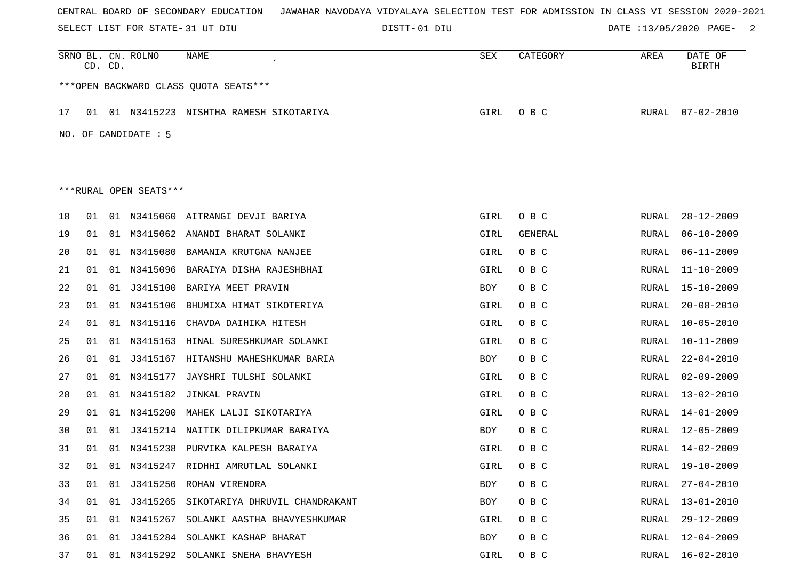SELECT LIST FOR STATE- DISTT- 31 UT DIU

DISTT-01 DIU  $\overline{D}$ DATE :13/05/2020 PAGE- 2

|    | CD. CD.                                |    | SRNO BL. CN. ROLNO     | NAME                                       | SEX        | CATEGORY       | AREA  | DATE OF<br><b>BIRTH</b> |  |  |  |
|----|----------------------------------------|----|------------------------|--------------------------------------------|------------|----------------|-------|-------------------------|--|--|--|
|    | *** OPEN BACKWARD CLASS QUOTA SEATS*** |    |                        |                                            |            |                |       |                         |  |  |  |
| 17 |                                        |    |                        | 01 01 N3415223 NISHTHA RAMESH SIKOTARIYA   | GIRL       | O B C          | RURAL | $07 - 02 - 2010$        |  |  |  |
|    | NO. OF CANDIDATE : $5$                 |    |                        |                                            |            |                |       |                         |  |  |  |
|    |                                        |    |                        |                                            |            |                |       |                         |  |  |  |
|    |                                        |    | ***RURAL OPEN SEATS*** |                                            |            |                |       |                         |  |  |  |
| 18 | 01                                     |    |                        | 01 N3415060 AITRANGI DEVJI BARIYA          | GIRL       | O B C          | RURAL | $28 - 12 - 2009$        |  |  |  |
| 19 | 01                                     | 01 | M3415062               | ANANDI BHARAT SOLANKI                      | GIRL       | <b>GENERAL</b> | RURAL | $06 - 10 - 2009$        |  |  |  |
| 20 | 01                                     | 01 | N3415080               | BAMANIA KRUTGNA NANJEE                     | GIRL       | O B C          | RURAL | $06 - 11 - 2009$        |  |  |  |
| 21 | 01                                     | 01 | N3415096               | BARAIYA DISHA RAJESHBHAI                   | GIRL       | O B C          | RURAL | $11 - 10 - 2009$        |  |  |  |
| 22 | 01                                     | 01 | J3415100               | BARIYA MEET PRAVIN                         | BOY        | O B C          | RURAL | 15-10-2009              |  |  |  |
| 23 | 01                                     | 01 | N3415106               | BHUMIXA HIMAT SIKOTERIYA                   | GIRL       | O B C          | RURAL | $20 - 08 - 2010$        |  |  |  |
| 24 | 01                                     | 01 | N3415116               | CHAVDA DAIHIKA HITESH                      | GIRL       | O B C          | RURAL | $10 - 05 - 2010$        |  |  |  |
| 25 | 01                                     | 01 | N3415163               | HINAL SURESHKUMAR SOLANKI                  | GIRL       | O B C          | RURAL | $10 - 11 - 2009$        |  |  |  |
| 26 | 01                                     | 01 | J3415167               | HITANSHU MAHESHKUMAR BARIA                 | BOY        | O B C          | RURAL | $22 - 04 - 2010$        |  |  |  |
| 27 | 01                                     | 01 | N3415177               | JAYSHRI TULSHI SOLANKI                     | GIRL       | O B C          | RURAL | $02 - 09 - 2009$        |  |  |  |
| 28 | 01                                     | 01 | N3415182               | JINKAL PRAVIN                              | GIRL       | O B C          | RURAL | $13 - 02 - 2010$        |  |  |  |
| 29 | 01                                     | 01 | N3415200               | MAHEK LALJI SIKOTARIYA                     | GIRL       | O B C          | RURAL | 14-01-2009              |  |  |  |
| 30 | 01                                     | 01 | J3415214               | NAITIK DILIPKUMAR BARAIYA                  | BOY        | O B C          | RURAL | $12 - 05 - 2009$        |  |  |  |
| 31 | 01                                     | 01 | N3415238               | PURVIKA KALPESH BARAIYA                    | GIRL       | O B C          | RURAL | 14-02-2009              |  |  |  |
| 32 | 01                                     |    |                        | 01 N3415247 RIDHHI AMRUTLAL SOLANKI        | GIRL       | O B C          | RURAL | 19-10-2009              |  |  |  |
| 33 | 01                                     |    |                        | 01 J3415250 ROHAN VIRENDRA                 | BOY        | O B C          | RURAL | $27 - 04 - 2010$        |  |  |  |
| 34 | 01                                     |    |                        | 01 J3415265 SIKOTARIYA DHRUVIL CHANDRAKANT | <b>BOY</b> | O B C          | RURAL | $13 - 01 - 2010$        |  |  |  |
| 35 | 01                                     | 01 |                        | N3415267 SOLANKI AASTHA BHAVYESHKUMAR      | GIRL       | O B C          | RURAL | 29-12-2009              |  |  |  |
| 36 |                                        |    |                        | 01 01 J3415284 SOLANKI KASHAP BHARAT       | BOY        | O B C          | RURAL | 12-04-2009              |  |  |  |
| 37 |                                        |    |                        | 01 01 N3415292 SOLANKI SNEHA BHAVYESH      | GIRL       | O B C          |       | RURAL 16-02-2010        |  |  |  |